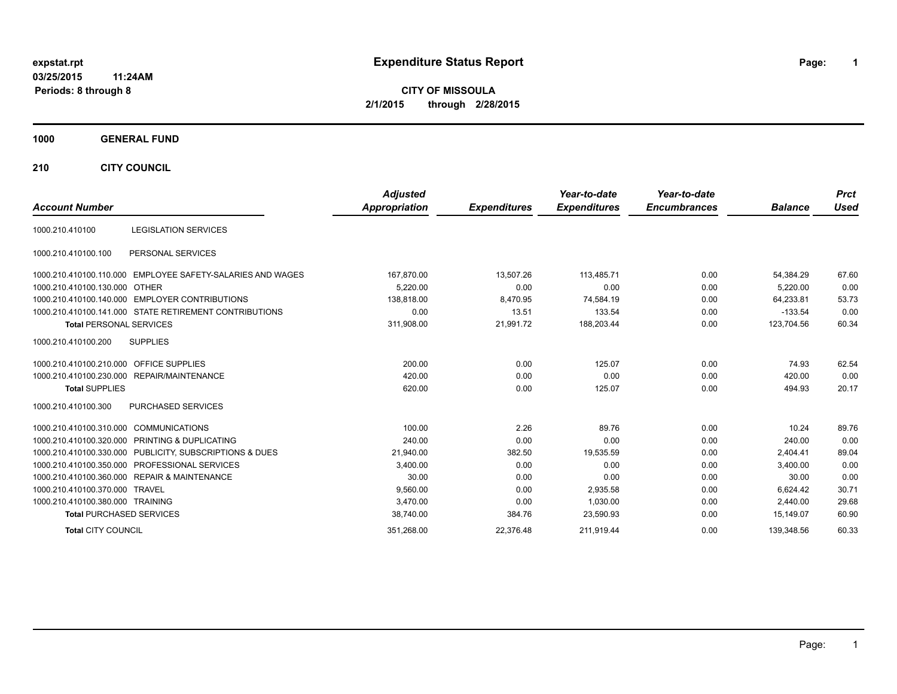# **expstat.rpt Expenditure Status Report Page:**

**1**

**CITY OF MISSOULA 2/1/2015 through 2/28/2015**

## **1000 GENERAL FUND**

**210 CITY COUNCIL**

|                                                         |                                                        | <b>Adjusted</b>      |                     | Year-to-date        | Year-to-date        |                | <b>Prct</b> |
|---------------------------------------------------------|--------------------------------------------------------|----------------------|---------------------|---------------------|---------------------|----------------|-------------|
| <b>Account Number</b>                                   |                                                        | <b>Appropriation</b> | <b>Expenditures</b> | <b>Expenditures</b> | <b>Encumbrances</b> | <b>Balance</b> | <b>Used</b> |
| 1000.210.410100                                         | <b>LEGISLATION SERVICES</b>                            |                      |                     |                     |                     |                |             |
| 1000.210.410100.100                                     | PERSONAL SERVICES                                      |                      |                     |                     |                     |                |             |
| 1000.210.410100.110.000                                 | EMPLOYEE SAFETY-SALARIES AND WAGES                     | 167,870.00           | 13,507.26           | 113.485.71          | 0.00                | 54.384.29      | 67.60       |
| 1000.210.410100.130.000 OTHER                           |                                                        | 5.220.00             | 0.00                | 0.00                | 0.00                | 5.220.00       | 0.00        |
| 1000.210.410100.140.000 EMPLOYER CONTRIBUTIONS          |                                                        | 138.818.00           | 8,470.95            | 74,584.19           | 0.00                | 64,233.81      | 53.73       |
|                                                         | 1000.210.410100.141.000 STATE RETIREMENT CONTRIBUTIONS | 0.00                 | 13.51               | 133.54              | 0.00                | $-133.54$      | 0.00        |
| <b>Total PERSONAL SERVICES</b>                          |                                                        | 311,908.00           | 21,991.72           | 188,203.44          | 0.00                | 123.704.56     | 60.34       |
| <b>SUPPLIES</b><br>1000.210.410100.200                  |                                                        |                      |                     |                     |                     |                |             |
| 1000.210.410100.210.000 OFFICE SUPPLIES                 |                                                        | 200.00               | 0.00                | 125.07              | 0.00                | 74.93          | 62.54       |
| 1000.210.410100.230.000 REPAIR/MAINTENANCE              |                                                        | 420.00               | 0.00                | 0.00                | 0.00                | 420.00         | 0.00        |
| <b>Total SUPPLIES</b>                                   |                                                        | 620.00               | 0.00                | 125.07              | 0.00                | 494.93         | 20.17       |
| 1000.210.410100.300                                     | PURCHASED SERVICES                                     |                      |                     |                     |                     |                |             |
| 1000.210.410100.310.000 COMMUNICATIONS                  |                                                        | 100.00               | 2.26                | 89.76               | 0.00                | 10.24          | 89.76       |
| 1000.210.410100.320.000 PRINTING & DUPLICATING          |                                                        | 240.00               | 0.00                | 0.00                | 0.00                | 240.00         | 0.00        |
| 1000.210.410100.330.000 PUBLICITY, SUBSCRIPTIONS & DUES |                                                        | 21,940.00            | 382.50              | 19,535.59           | 0.00                | 2,404.41       | 89.04       |
| 1000.210.410100.350.000 PROFESSIONAL SERVICES           |                                                        | 3,400.00             | 0.00                | 0.00                | 0.00                | 3,400.00       | 0.00        |
| 1000.210.410100.360.000 REPAIR & MAINTENANCE            |                                                        | 30.00                | 0.00                | 0.00                | 0.00                | 30.00          | 0.00        |
| 1000.210.410100.370.000 TRAVEL                          |                                                        | 9,560.00             | 0.00                | 2,935.58            | 0.00                | 6.624.42       | 30.71       |
| 1000.210.410100.380.000 TRAINING                        |                                                        | 3,470.00             | 0.00                | 1.030.00            | 0.00                | 2.440.00       | 29.68       |
| <b>Total PURCHASED SERVICES</b>                         |                                                        | 38,740.00            | 384.76              | 23,590.93           | 0.00                | 15,149.07      | 60.90       |
| <b>Total CITY COUNCIL</b>                               |                                                        | 351,268.00           | 22,376.48           | 211,919.44          | 0.00                | 139.348.56     | 60.33       |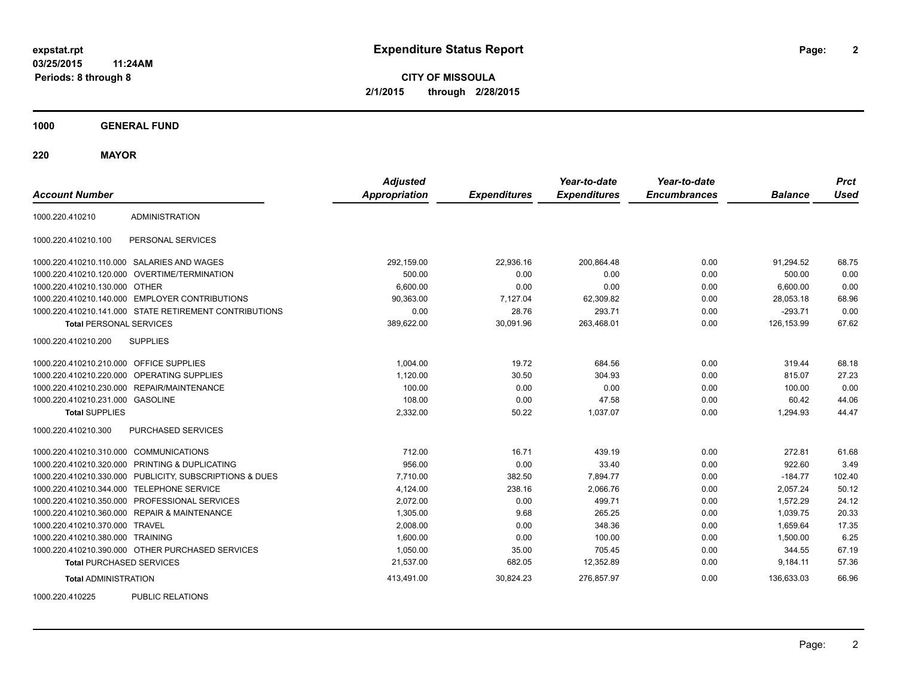**CITY OF MISSOULA 2/1/2015 through 2/28/2015**

**1000 GENERAL FUND**

**220 MAYOR**

| <b>Account Number</b>                   |                                                         | <b>Adjusted</b><br><b>Appropriation</b> | <b>Expenditures</b> | Year-to-date<br><b>Expenditures</b> | Year-to-date<br><b>Encumbrances</b> | <b>Balance</b> | <b>Prct</b><br><b>Used</b> |
|-----------------------------------------|---------------------------------------------------------|-----------------------------------------|---------------------|-------------------------------------|-------------------------------------|----------------|----------------------------|
| 1000.220.410210                         | <b>ADMINISTRATION</b>                                   |                                         |                     |                                     |                                     |                |                            |
| 1000.220.410210.100                     | PERSONAL SERVICES                                       |                                         |                     |                                     |                                     |                |                            |
|                                         | 1000.220.410210.110.000 SALARIES AND WAGES              | 292,159.00                              | 22,936.16           | 200,864.48                          | 0.00                                | 91.294.52      | 68.75                      |
| 1000.220.410210.120.000                 | OVERTIME/TERMINATION                                    | 500.00                                  | 0.00                | 0.00                                | 0.00                                | 500.00         | 0.00                       |
| 1000.220.410210.130.000 OTHER           |                                                         | 6,600.00                                | 0.00                | 0.00                                | 0.00                                | 6,600.00       | 0.00                       |
|                                         | 1000.220.410210.140.000 EMPLOYER CONTRIBUTIONS          | 90,363.00                               | 7,127.04            | 62,309.82                           | 0.00                                | 28,053.18      | 68.96                      |
|                                         | 1000.220.410210.141.000 STATE RETIREMENT CONTRIBUTIONS  | 0.00                                    | 28.76               | 293.71                              | 0.00                                | $-293.71$      | 0.00                       |
| <b>Total PERSONAL SERVICES</b>          |                                                         | 389,622.00                              | 30,091.96           | 263,468.01                          | 0.00                                | 126,153.99     | 67.62                      |
| 1000.220.410210.200                     | <b>SUPPLIES</b>                                         |                                         |                     |                                     |                                     |                |                            |
| 1000.220.410210.210.000 OFFICE SUPPLIES |                                                         | 1,004.00                                | 19.72               | 684.56                              | 0.00                                | 319.44         | 68.18                      |
| 1000.220.410210.220.000                 | OPERATING SUPPLIES                                      | 1,120.00                                | 30.50               | 304.93                              | 0.00                                | 815.07         | 27.23                      |
| 1000.220.410210.230.000                 | REPAIR/MAINTENANCE                                      | 100.00                                  | 0.00                | 0.00                                | 0.00                                | 100.00         | 0.00                       |
| 1000.220.410210.231.000 GASOLINE        |                                                         | 108.00                                  | 0.00                | 47.58                               | 0.00                                | 60.42          | 44.06                      |
| <b>Total SUPPLIES</b>                   |                                                         | 2,332.00                                | 50.22               | 1,037.07                            | 0.00                                | 1,294.93       | 44.47                      |
| 1000.220.410210.300                     | PURCHASED SERVICES                                      |                                         |                     |                                     |                                     |                |                            |
| 1000.220.410210.310.000 COMMUNICATIONS  |                                                         | 712.00                                  | 16.71               | 439.19                              | 0.00                                | 272.81         | 61.68                      |
|                                         | 1000.220.410210.320.000 PRINTING & DUPLICATING          | 956.00                                  | 0.00                | 33.40                               | 0.00                                | 922.60         | 3.49                       |
|                                         | 1000.220.410210.330.000 PUBLICITY, SUBSCRIPTIONS & DUES | 7,710.00                                | 382.50              | 7,894.77                            | 0.00                                | $-184.77$      | 102.40                     |
| 1000.220.410210.344.000                 | <b>TELEPHONE SERVICE</b>                                | 4,124.00                                | 238.16              | 2,066.76                            | 0.00                                | 2,057.24       | 50.12                      |
|                                         | 1000.220.410210.350.000 PROFESSIONAL SERVICES           | 2,072.00                                | 0.00                | 499.71                              | 0.00                                | 1,572.29       | 24.12                      |
|                                         | 1000.220.410210.360.000 REPAIR & MAINTENANCE            | 1,305.00                                | 9.68                | 265.25                              | 0.00                                | 1,039.75       | 20.33                      |
| 1000.220.410210.370.000 TRAVEL          |                                                         | 2.008.00                                | 0.00                | 348.36                              | 0.00                                | 1.659.64       | 17.35                      |
| 1000.220.410210.380.000 TRAINING        |                                                         | 1,600.00                                | 0.00                | 100.00                              | 0.00                                | 1,500.00       | 6.25                       |
|                                         | 1000.220.410210.390.000 OTHER PURCHASED SERVICES        | 1,050.00                                | 35.00               | 705.45                              | 0.00                                | 344.55         | 67.19                      |
| <b>Total PURCHASED SERVICES</b>         |                                                         | 21,537.00                               | 682.05              | 12,352.89                           | 0.00                                | 9,184.11       | 57.36                      |
| <b>Total ADMINISTRATION</b>             |                                                         | 413,491.00                              | 30,824.23           | 276,857.97                          | 0.00                                | 136,633.03     | 66.96                      |
| 1000000110000                           | $D(1D1)$ $D(2D1)$                                       |                                         |                     |                                     |                                     |                |                            |

1000.220.410225 PUBLIC RELATIONS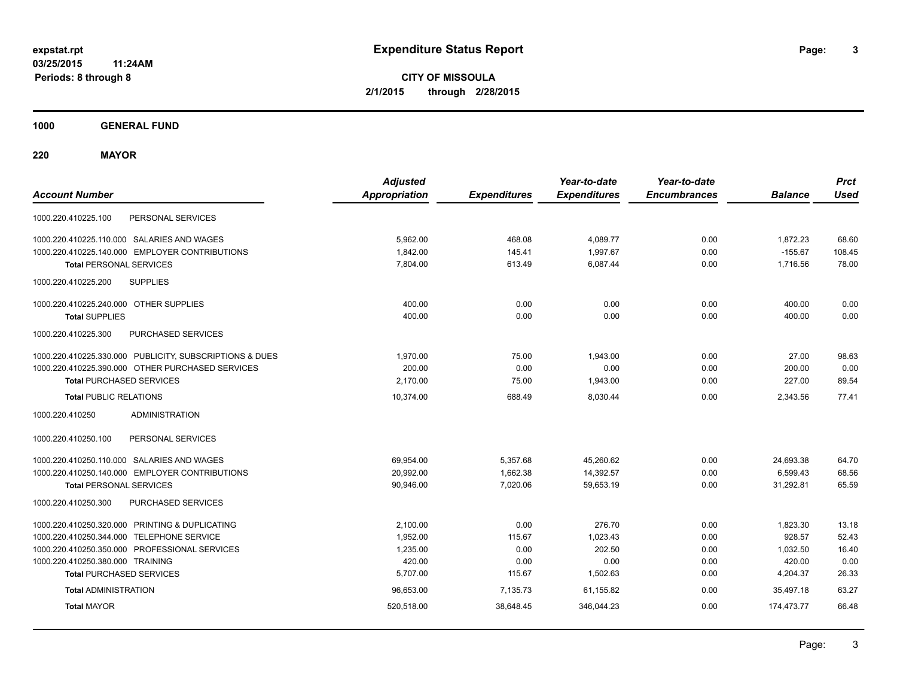**CITY OF MISSOULA 2/1/2015 through 2/28/2015**

**1000 GENERAL FUND**

**220 MAYOR**

| <b>Account Number</b>                                   | <b>Adjusted</b><br><b>Appropriation</b> | <b>Expenditures</b> | Year-to-date<br><b>Expenditures</b> | Year-to-date<br><b>Encumbrances</b> | <b>Balance</b> | <b>Prct</b><br><b>Used</b> |
|---------------------------------------------------------|-----------------------------------------|---------------------|-------------------------------------|-------------------------------------|----------------|----------------------------|
| PERSONAL SERVICES<br>1000.220.410225.100                |                                         |                     |                                     |                                     |                |                            |
| 1000.220.410225.110.000 SALARIES AND WAGES              | 5,962.00                                | 468.08              | 4,089.77                            | 0.00                                | 1,872.23       | 68.60                      |
| 1000.220.410225.140.000 EMPLOYER CONTRIBUTIONS          | 1,842.00                                | 145.41              | 1,997.67                            | 0.00                                | $-155.67$      | 108.45                     |
| <b>Total PERSONAL SERVICES</b>                          | 7.804.00                                | 613.49              | 6.087.44                            | 0.00                                | 1,716.56       | 78.00                      |
| 1000.220.410225.200<br><b>SUPPLIES</b>                  |                                         |                     |                                     |                                     |                |                            |
| 1000.220.410225.240.000 OTHER SUPPLIES                  | 400.00                                  | 0.00                | 0.00                                | 0.00                                | 400.00         | 0.00                       |
| <b>Total SUPPLIES</b>                                   | 400.00                                  | 0.00                | 0.00                                | 0.00                                | 400.00         | 0.00                       |
| 1000.220.410225.300<br><b>PURCHASED SERVICES</b>        |                                         |                     |                                     |                                     |                |                            |
| 1000.220.410225.330.000 PUBLICITY, SUBSCRIPTIONS & DUES | 1.970.00                                | 75.00               | 1.943.00                            | 0.00                                | 27.00          | 98.63                      |
| 1000.220.410225.390.000 OTHER PURCHASED SERVICES        | 200.00                                  | 0.00                | 0.00                                | 0.00                                | 200.00         | 0.00                       |
| <b>Total PURCHASED SERVICES</b>                         | 2,170.00                                | 75.00               | 1,943.00                            | 0.00                                | 227.00         | 89.54                      |
| <b>Total PUBLIC RELATIONS</b>                           | 10,374.00                               | 688.49              | 8,030.44                            | 0.00                                | 2,343.56       | 77.41                      |
| <b>ADMINISTRATION</b><br>1000.220.410250                |                                         |                     |                                     |                                     |                |                            |
| 1000.220.410250.100<br>PERSONAL SERVICES                |                                         |                     |                                     |                                     |                |                            |
| 1000.220.410250.110.000 SALARIES AND WAGES              | 69,954.00                               | 5,357.68            | 45,260.62                           | 0.00                                | 24,693.38      | 64.70                      |
| 1000.220.410250.140.000 EMPLOYER CONTRIBUTIONS          | 20,992.00                               | 1,662.38            | 14,392.57                           | 0.00                                | 6,599.43       | 68.56                      |
| <b>Total PERSONAL SERVICES</b>                          | 90,946.00                               | 7,020.06            | 59,653.19                           | 0.00                                | 31,292.81      | 65.59                      |
| 1000.220.410250.300<br>PURCHASED SERVICES               |                                         |                     |                                     |                                     |                |                            |
| 1000.220.410250.320.000 PRINTING & DUPLICATING          | 2,100.00                                | 0.00                | 276.70                              | 0.00                                | 1,823.30       | 13.18                      |
| 1000.220.410250.344.000 TELEPHONE SERVICE               | 1,952.00                                | 115.67              | 1,023.43                            | 0.00                                | 928.57         | 52.43                      |
| 1000.220.410250.350.000 PROFESSIONAL SERVICES           | 1,235.00                                | 0.00                | 202.50                              | 0.00                                | 1,032.50       | 16.40                      |
| 1000.220.410250.380.000 TRAINING                        | 420.00                                  | 0.00                | 0.00                                | 0.00                                | 420.00         | 0.00                       |
| <b>Total PURCHASED SERVICES</b>                         | 5,707.00                                | 115.67              | 1,502.63                            | 0.00                                | 4,204.37       | 26.33                      |
| <b>Total ADMINISTRATION</b>                             | 96,653.00                               | 7,135.73            | 61,155.82                           | 0.00                                | 35.497.18      | 63.27                      |
| <b>Total MAYOR</b>                                      | 520,518.00                              | 38,648.45           | 346,044.23                          | 0.00                                | 174,473.77     | 66.48                      |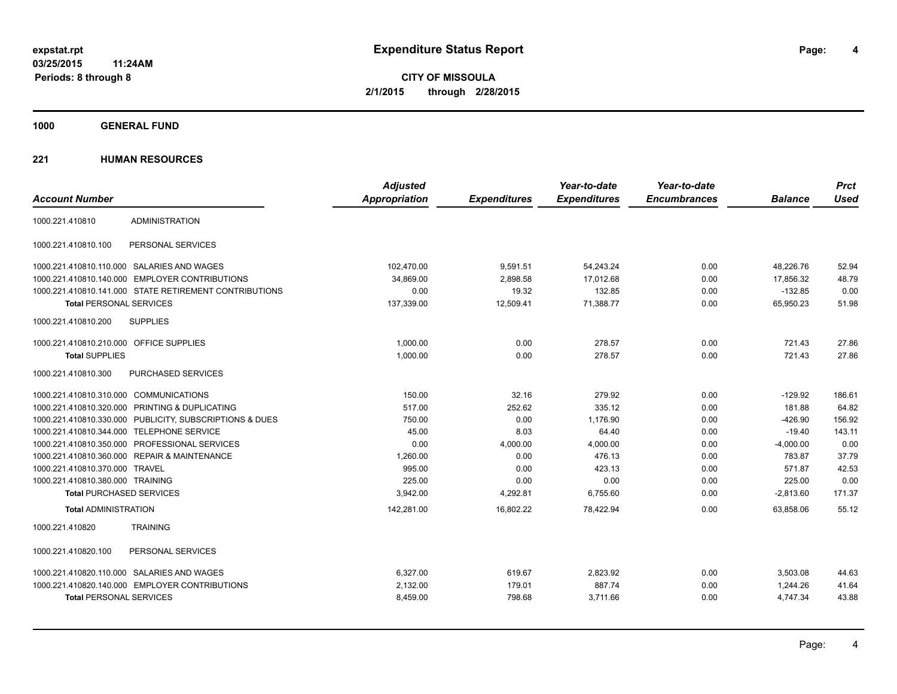**1000 GENERAL FUND**

|                                         |                                                         | <b>Adjusted</b>      |                     | Year-to-date        | Year-to-date        |                | <b>Prct</b> |
|-----------------------------------------|---------------------------------------------------------|----------------------|---------------------|---------------------|---------------------|----------------|-------------|
| <b>Account Number</b>                   |                                                         | <b>Appropriation</b> | <b>Expenditures</b> | <b>Expenditures</b> | <b>Encumbrances</b> | <b>Balance</b> | <b>Used</b> |
| 1000.221.410810                         | <b>ADMINISTRATION</b>                                   |                      |                     |                     |                     |                |             |
| 1000.221.410810.100                     | PERSONAL SERVICES                                       |                      |                     |                     |                     |                |             |
|                                         | 1000.221.410810.110.000 SALARIES AND WAGES              | 102.470.00           | 9,591.51            | 54,243.24           | 0.00                | 48.226.76      | 52.94       |
|                                         | 1000.221.410810.140.000 EMPLOYER CONTRIBUTIONS          | 34,869.00            | 2,898.58            | 17,012.68           | 0.00                | 17,856.32      | 48.79       |
|                                         | 1000.221.410810.141.000 STATE RETIREMENT CONTRIBUTIONS  | 0.00                 | 19.32               | 132.85              | 0.00                | $-132.85$      | 0.00        |
| <b>Total PERSONAL SERVICES</b>          |                                                         | 137,339.00           | 12,509.41           | 71,388.77           | 0.00                | 65,950.23      | 51.98       |
| 1000.221.410810.200                     | <b>SUPPLIES</b>                                         |                      |                     |                     |                     |                |             |
| 1000.221.410810.210.000 OFFICE SUPPLIES |                                                         | 1,000.00             | 0.00                | 278.57              | 0.00                | 721.43         | 27.86       |
| <b>Total SUPPLIES</b>                   |                                                         | 1,000.00             | 0.00                | 278.57              | 0.00                | 721.43         | 27.86       |
| 1000.221.410810.300                     | <b>PURCHASED SERVICES</b>                               |                      |                     |                     |                     |                |             |
| 1000.221.410810.310.000 COMMUNICATIONS  |                                                         | 150.00               | 32.16               | 279.92              | 0.00                | $-129.92$      | 186.61      |
|                                         | 1000.221.410810.320.000 PRINTING & DUPLICATING          | 517.00               | 252.62              | 335.12              | 0.00                | 181.88         | 64.82       |
|                                         | 1000.221.410810.330.000 PUBLICITY, SUBSCRIPTIONS & DUES | 750.00               | 0.00                | 1,176.90            | 0.00                | $-426.90$      | 156.92      |
|                                         | 1000.221.410810.344.000 TELEPHONE SERVICE               | 45.00                | 8.03                | 64.40               | 0.00                | $-19.40$       | 143.11      |
|                                         | 1000.221.410810.350.000 PROFESSIONAL SERVICES           | 0.00                 | 4,000.00            | 4,000.00            | 0.00                | $-4,000.00$    | 0.00        |
|                                         | 1000.221.410810.360.000 REPAIR & MAINTENANCE            | 1,260.00             | 0.00                | 476.13              | 0.00                | 783.87         | 37.79       |
| 1000.221.410810.370.000 TRAVEL          |                                                         | 995.00               | 0.00                | 423.13              | 0.00                | 571.87         | 42.53       |
| 1000.221.410810.380.000 TRAINING        |                                                         | 225.00               | 0.00                | 0.00                | 0.00                | 225.00         | 0.00        |
| <b>Total PURCHASED SERVICES</b>         |                                                         | 3,942.00             | 4,292.81            | 6,755.60            | 0.00                | $-2,813.60$    | 171.37      |
| <b>Total ADMINISTRATION</b>             |                                                         | 142,281.00           | 16,802.22           | 78,422.94           | 0.00                | 63,858.06      | 55.12       |
| 1000.221.410820                         | <b>TRAINING</b>                                         |                      |                     |                     |                     |                |             |
| 1000.221.410820.100                     | PERSONAL SERVICES                                       |                      |                     |                     |                     |                |             |
|                                         | 1000.221.410820.110.000 SALARIES AND WAGES              | 6.327.00             | 619.67              | 2,823.92            | 0.00                | 3,503.08       | 44.63       |
|                                         | 1000.221.410820.140.000 EMPLOYER CONTRIBUTIONS          | 2,132.00             | 179.01              | 887.74              | 0.00                | 1,244.26       | 41.64       |
| <b>Total PERSONAL SERVICES</b>          |                                                         | 8,459.00             | 798.68              | 3,711.66            | 0.00                | 4,747.34       | 43.88       |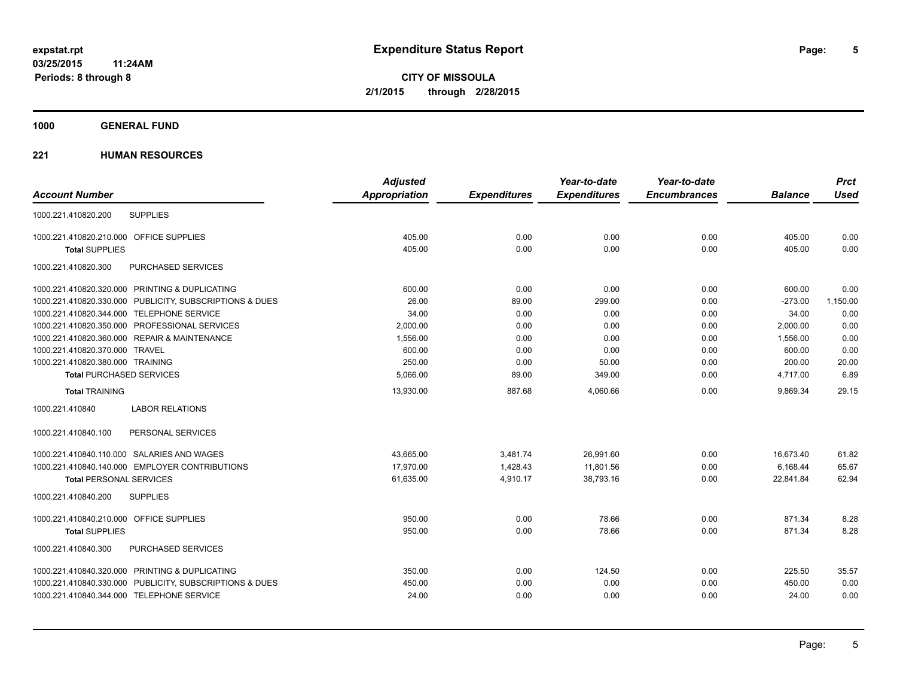**5**

**CITY OF MISSOULA 2/1/2015 through 2/28/2015**

## **1000 GENERAL FUND**

|                                                         | <b>Adjusted</b> |                     | Year-to-date        | Year-to-date        |                | <b>Prct</b> |
|---------------------------------------------------------|-----------------|---------------------|---------------------|---------------------|----------------|-------------|
| <b>Account Number</b>                                   | Appropriation   | <b>Expenditures</b> | <b>Expenditures</b> | <b>Encumbrances</b> | <b>Balance</b> | <b>Used</b> |
| 1000.221.410820.200<br><b>SUPPLIES</b>                  |                 |                     |                     |                     |                |             |
| 1000.221.410820.210.000 OFFICE SUPPLIES                 | 405.00          | 0.00                | 0.00                | 0.00                | 405.00         | 0.00        |
| <b>Total SUPPLIES</b>                                   | 405.00          | 0.00                | 0.00                | 0.00                | 405.00         | 0.00        |
| 1000.221.410820.300<br>PURCHASED SERVICES               |                 |                     |                     |                     |                |             |
| 1000.221.410820.320.000 PRINTING & DUPLICATING          | 600.00          | 0.00                | 0.00                | 0.00                | 600.00         | 0.00        |
| 1000.221.410820.330.000 PUBLICITY, SUBSCRIPTIONS & DUES | 26.00           | 89.00               | 299.00              | 0.00                | $-273.00$      | 1,150.00    |
| 1000.221.410820.344.000 TELEPHONE SERVICE               | 34.00           | 0.00                | 0.00                | 0.00                | 34.00          | 0.00        |
| 1000.221.410820.350.000 PROFESSIONAL SERVICES           | 2,000.00        | 0.00                | 0.00                | 0.00                | 2,000.00       | 0.00        |
| 1000.221.410820.360.000 REPAIR & MAINTENANCE            | 1,556.00        | 0.00                | 0.00                | 0.00                | 1,556.00       | 0.00        |
| 1000.221.410820.370.000 TRAVEL                          | 600.00          | 0.00                | 0.00                | 0.00                | 600.00         | 0.00        |
| 1000.221.410820.380.000 TRAINING                        | 250.00          | 0.00                | 50.00               | 0.00                | 200.00         | 20.00       |
| <b>Total PURCHASED SERVICES</b>                         | 5,066.00        | 89.00               | 349.00              | 0.00                | 4.717.00       | 6.89        |
| <b>Total TRAINING</b>                                   | 13,930.00       | 887.68              | 4.060.66            | 0.00                | 9.869.34       | 29.15       |
| 1000.221.410840<br><b>LABOR RELATIONS</b>               |                 |                     |                     |                     |                |             |
| 1000.221.410840.100<br>PERSONAL SERVICES                |                 |                     |                     |                     |                |             |
| 1000.221.410840.110.000 SALARIES AND WAGES              | 43.665.00       | 3,481.74            | 26,991.60           | 0.00                | 16,673.40      | 61.82       |
| 1000.221.410840.140.000 EMPLOYER CONTRIBUTIONS          | 17,970.00       | 1,428.43            | 11,801.56           | 0.00                | 6,168.44       | 65.67       |
| <b>Total PERSONAL SERVICES</b>                          | 61,635.00       | 4,910.17            | 38,793.16           | 0.00                | 22,841.84      | 62.94       |
| 1000.221.410840.200<br><b>SUPPLIES</b>                  |                 |                     |                     |                     |                |             |
| 1000.221.410840.210.000 OFFICE SUPPLIES                 | 950.00          | 0.00                | 78.66               | 0.00                | 871.34         | 8.28        |
| <b>Total SUPPLIES</b>                                   | 950.00          | 0.00                | 78.66               | 0.00                | 871.34         | 8.28        |
| 1000.221.410840.300<br>PURCHASED SERVICES               |                 |                     |                     |                     |                |             |
| 1000.221.410840.320.000 PRINTING & DUPLICATING          | 350.00          | 0.00                | 124.50              | 0.00                | 225.50         | 35.57       |
| 1000.221.410840.330.000 PUBLICITY, SUBSCRIPTIONS & DUES | 450.00          | 0.00                | 0.00                | 0.00                | 450.00         | 0.00        |
| 1000.221.410840.344.000 TELEPHONE SERVICE               | 24.00           | 0.00                | 0.00                | 0.00                | 24.00          | 0.00        |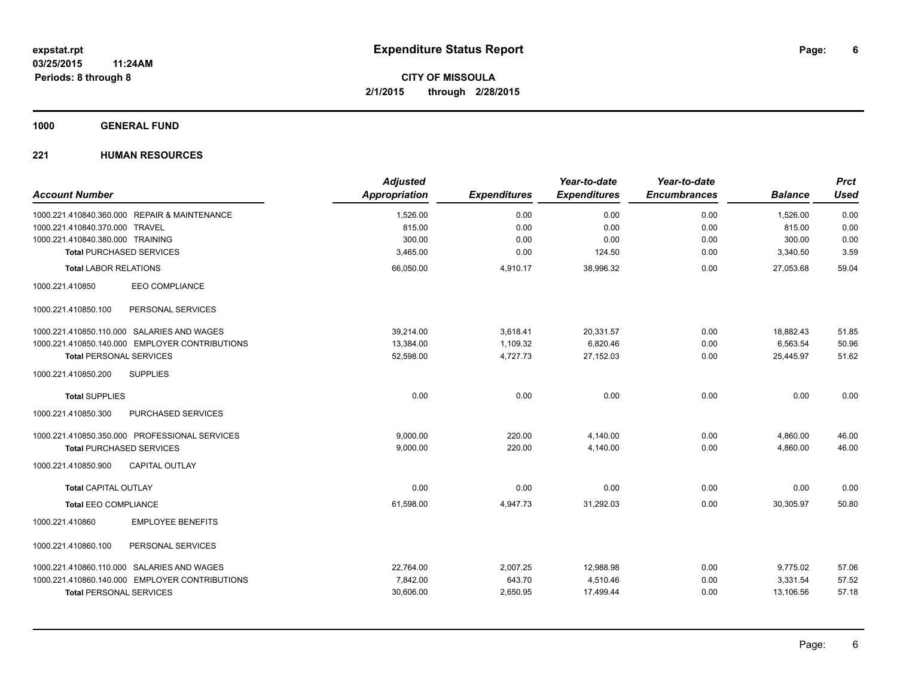**1000 GENERAL FUND**

| <b>Account Number</b>                          | <b>Adjusted</b><br><b>Appropriation</b> | <b>Expenditures</b> | Year-to-date<br><b>Expenditures</b> | Year-to-date<br><b>Encumbrances</b> | <b>Balance</b> | <b>Prct</b><br><b>Used</b> |
|------------------------------------------------|-----------------------------------------|---------------------|-------------------------------------|-------------------------------------|----------------|----------------------------|
| 1000.221.410840.360.000 REPAIR & MAINTENANCE   | 1,526.00                                | 0.00                | 0.00                                | 0.00                                | 1,526.00       | 0.00                       |
| 1000.221.410840.370.000 TRAVEL                 | 815.00                                  | 0.00                | 0.00                                | 0.00                                | 815.00         | 0.00                       |
| 1000.221.410840.380.000 TRAINING               | 300.00                                  | 0.00                | 0.00                                | 0.00                                | 300.00         | 0.00                       |
| <b>Total PURCHASED SERVICES</b>                | 3,465.00                                | 0.00                | 124.50                              | 0.00                                | 3,340.50       | 3.59                       |
| <b>Total LABOR RELATIONS</b>                   | 66,050.00                               | 4,910.17            | 38,996.32                           | 0.00                                | 27,053.68      | 59.04                      |
| <b>EEO COMPLIANCE</b><br>1000.221.410850       |                                         |                     |                                     |                                     |                |                            |
| PERSONAL SERVICES<br>1000.221.410850.100       |                                         |                     |                                     |                                     |                |                            |
| 1000.221.410850.110.000 SALARIES AND WAGES     | 39,214.00                               | 3,618.41            | 20,331.57                           | 0.00                                | 18,882.43      | 51.85                      |
| 1000.221.410850.140.000 EMPLOYER CONTRIBUTIONS | 13,384.00                               | 1,109.32            | 6,820.46                            | 0.00                                | 6,563.54       | 50.96                      |
| <b>Total PERSONAL SERVICES</b>                 | 52,598.00                               | 4,727.73            | 27,152.03                           | 0.00                                | 25,445.97      | 51.62                      |
| 1000.221.410850.200<br><b>SUPPLIES</b>         |                                         |                     |                                     |                                     |                |                            |
| <b>Total SUPPLIES</b>                          | 0.00                                    | 0.00                | 0.00                                | 0.00                                | 0.00           | 0.00                       |
| PURCHASED SERVICES<br>1000.221.410850.300      |                                         |                     |                                     |                                     |                |                            |
| 1000.221.410850.350.000 PROFESSIONAL SERVICES  | 9.000.00                                | 220.00              | 4.140.00                            | 0.00                                | 4,860.00       | 46.00                      |
| <b>Total PURCHASED SERVICES</b>                | 9,000.00                                | 220.00              | 4,140.00                            | 0.00                                | 4,860.00       | 46.00                      |
| <b>CAPITAL OUTLAY</b><br>1000.221.410850.900   |                                         |                     |                                     |                                     |                |                            |
| <b>Total CAPITAL OUTLAY</b>                    | 0.00                                    | 0.00                | 0.00                                | 0.00                                | 0.00           | 0.00                       |
| <b>Total EEO COMPLIANCE</b>                    | 61,598.00                               | 4,947.73            | 31,292.03                           | 0.00                                | 30,305.97      | 50.80                      |
| <b>EMPLOYEE BENEFITS</b><br>1000.221.410860    |                                         |                     |                                     |                                     |                |                            |
| PERSONAL SERVICES<br>1000.221.410860.100       |                                         |                     |                                     |                                     |                |                            |
| 1000.221.410860.110.000 SALARIES AND WAGES     | 22,764.00                               | 2,007.25            | 12,988.98                           | 0.00                                | 9,775.02       | 57.06                      |
| 1000.221.410860.140.000 EMPLOYER CONTRIBUTIONS | 7,842.00                                | 643.70              | 4,510.46                            | 0.00                                | 3,331.54       | 57.52                      |
| <b>Total PERSONAL SERVICES</b>                 | 30,606.00                               | 2,650.95            | 17,499.44                           | 0.00                                | 13,106.56      | 57.18                      |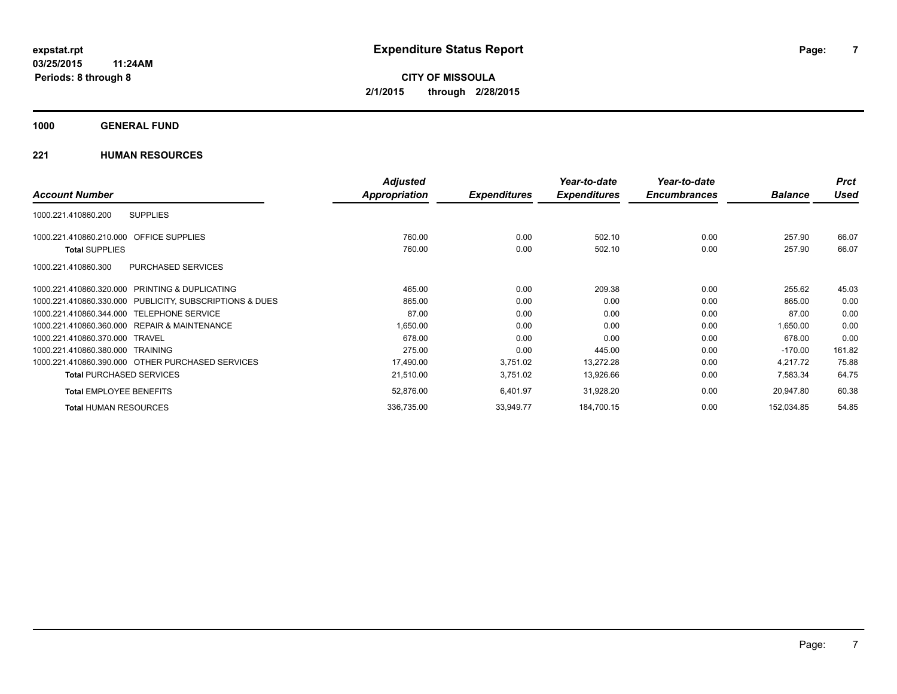## **1000 GENERAL FUND**

|                                                         | <b>Adjusted</b> |                     | Year-to-date        | Year-to-date        |                | <b>Prct</b> |
|---------------------------------------------------------|-----------------|---------------------|---------------------|---------------------|----------------|-------------|
| <b>Account Number</b>                                   | Appropriation   | <b>Expenditures</b> | <b>Expenditures</b> | <b>Encumbrances</b> | <b>Balance</b> | <b>Used</b> |
| <b>SUPPLIES</b><br>1000.221.410860.200                  |                 |                     |                     |                     |                |             |
| 1000.221.410860.210.000 OFFICE SUPPLIES                 | 760.00          | 0.00                | 502.10              | 0.00                | 257.90         | 66.07       |
| <b>Total SUPPLIES</b>                                   | 760.00          | 0.00                | 502.10              | 0.00                | 257.90         | 66.07       |
| PURCHASED SERVICES<br>1000.221.410860.300               |                 |                     |                     |                     |                |             |
| 1000.221.410860.320.000 PRINTING & DUPLICATING          | 465.00          | 0.00                | 209.38              | 0.00                | 255.62         | 45.03       |
| 1000.221.410860.330.000 PUBLICITY, SUBSCRIPTIONS & DUES | 865.00          | 0.00                | 0.00                | 0.00                | 865.00         | 0.00        |
| 1000.221.410860.344.000 TELEPHONE SERVICE               | 87.00           | 0.00                | 0.00                | 0.00                | 87.00          | 0.00        |
| 1000.221.410860.360.000 REPAIR & MAINTENANCE            | 1,650.00        | 0.00                | 0.00                | 0.00                | 1,650.00       | 0.00        |
| 1000.221.410860.370.000 TRAVEL                          | 678.00          | 0.00                | 0.00                | 0.00                | 678.00         | 0.00        |
| 1000.221.410860.380.000 TRAINING                        | 275.00          | 0.00                | 445.00              | 0.00                | $-170.00$      | 161.82      |
| 1000.221.410860.390.000 OTHER PURCHASED SERVICES        | 17,490.00       | 3,751.02            | 13,272.28           | 0.00                | 4,217.72       | 75.88       |
| <b>Total PURCHASED SERVICES</b>                         | 21,510.00       | 3,751.02            | 13,926.66           | 0.00                | 7,583.34       | 64.75       |
| <b>Total EMPLOYEE BENEFITS</b>                          | 52,876.00       | 6,401.97            | 31,928.20           | 0.00                | 20,947.80      | 60.38       |
| <b>Total HUMAN RESOURCES</b>                            | 336,735.00      | 33,949.77           | 184,700.15          | 0.00                | 152,034.85     | 54.85       |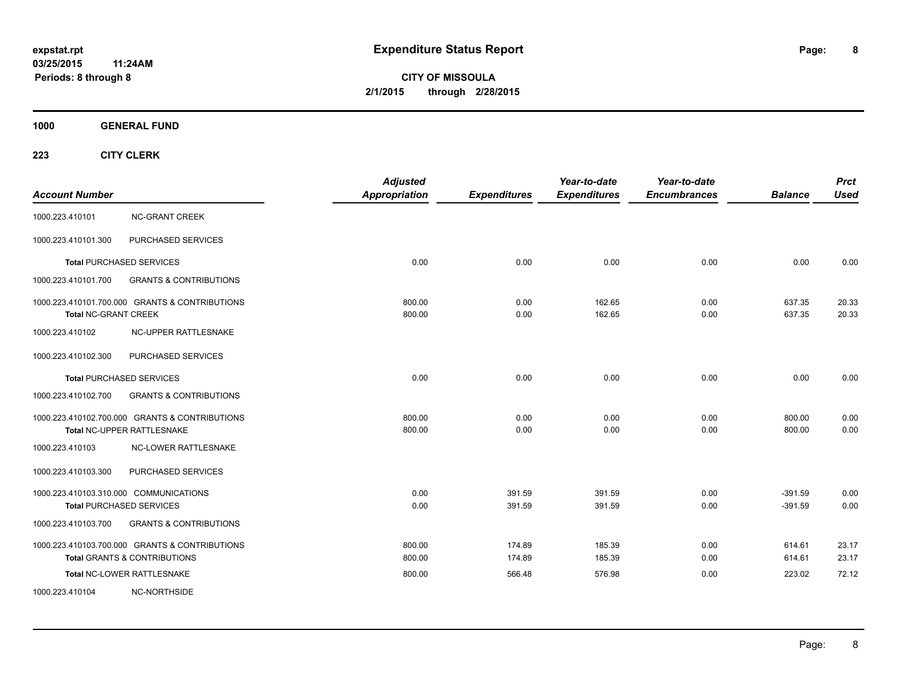**CITY OF MISSOULA 2/1/2015 through 2/28/2015**

**1000 GENERAL FUND**

| <b>Account Number</b>       |                                                                                           | <b>Adjusted</b><br>Appropriation | <b>Expenditures</b> | Year-to-date<br><b>Expenditures</b> | Year-to-date<br><b>Encumbrances</b> | <b>Balance</b>         | <b>Prct</b><br><b>Used</b> |
|-----------------------------|-------------------------------------------------------------------------------------------|----------------------------------|---------------------|-------------------------------------|-------------------------------------|------------------------|----------------------------|
| 1000.223.410101             | <b>NC-GRANT CREEK</b>                                                                     |                                  |                     |                                     |                                     |                        |                            |
| 1000.223.410101.300         | PURCHASED SERVICES                                                                        |                                  |                     |                                     |                                     |                        |                            |
|                             | <b>Total PURCHASED SERVICES</b>                                                           | 0.00                             | 0.00                | 0.00                                | 0.00                                | 0.00                   | 0.00                       |
| 1000.223.410101.700         | <b>GRANTS &amp; CONTRIBUTIONS</b>                                                         |                                  |                     |                                     |                                     |                        |                            |
| <b>Total NC-GRANT CREEK</b> | 1000.223.410101.700.000 GRANTS & CONTRIBUTIONS                                            | 800.00<br>800.00                 | 0.00<br>0.00        | 162.65<br>162.65                    | 0.00<br>0.00                        | 637.35<br>637.35       | 20.33<br>20.33             |
| 1000.223.410102             | NC-UPPER RATTLESNAKE                                                                      |                                  |                     |                                     |                                     |                        |                            |
| 1000.223.410102.300         | PURCHASED SERVICES                                                                        |                                  |                     |                                     |                                     |                        |                            |
|                             | <b>Total PURCHASED SERVICES</b>                                                           | 0.00                             | 0.00                | 0.00                                | 0.00                                | 0.00                   | 0.00                       |
| 1000.223.410102.700         | <b>GRANTS &amp; CONTRIBUTIONS</b>                                                         |                                  |                     |                                     |                                     |                        |                            |
|                             | 1000.223.410102.700.000 GRANTS & CONTRIBUTIONS<br>Total NC-UPPER RATTLESNAKE              | 800.00<br>800.00                 | 0.00<br>0.00        | 0.00<br>0.00                        | 0.00<br>0.00                        | 800.00<br>800.00       | 0.00<br>0.00               |
| 1000.223.410103             | NC-LOWER RATTLESNAKE                                                                      |                                  |                     |                                     |                                     |                        |                            |
| 1000.223.410103.300         | PURCHASED SERVICES                                                                        |                                  |                     |                                     |                                     |                        |                            |
|                             | 1000.223.410103.310.000 COMMUNICATIONS<br><b>Total PURCHASED SERVICES</b>                 | 0.00<br>0.00                     | 391.59<br>391.59    | 391.59<br>391.59                    | 0.00<br>0.00                        | $-391.59$<br>$-391.59$ | 0.00<br>0.00               |
| 1000.223.410103.700         | <b>GRANTS &amp; CONTRIBUTIONS</b>                                                         |                                  |                     |                                     |                                     |                        |                            |
|                             | 1000.223.410103.700.000 GRANTS & CONTRIBUTIONS<br><b>Total GRANTS &amp; CONTRIBUTIONS</b> | 800.00<br>800.00                 | 174.89<br>174.89    | 185.39<br>185.39                    | 0.00<br>0.00                        | 614.61<br>614.61       | 23.17<br>23.17             |
|                             | Total NC-LOWER RATTLESNAKE                                                                | 800.00                           | 566.48              | 576.98                              | 0.00                                | 223.02                 | 72.12                      |
| 1000.223.410104             | NC-NORTHSIDE                                                                              |                                  |                     |                                     |                                     |                        |                            |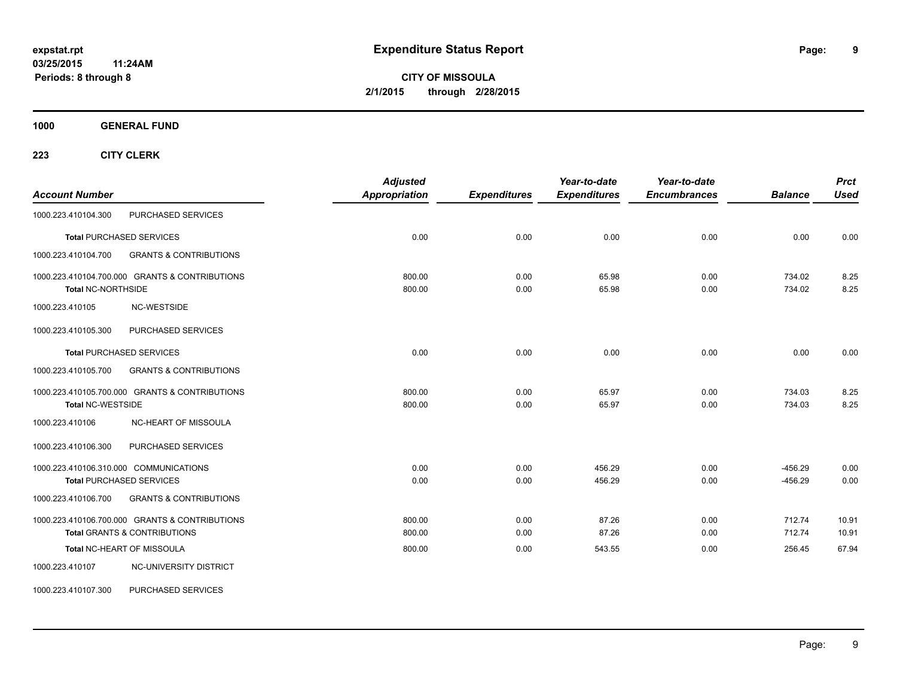**1000 GENERAL FUND**

| <b>Account Number</b>     |                                                | <b>Adjusted</b><br><b>Appropriation</b> | <b>Expenditures</b> | Year-to-date<br><b>Expenditures</b> | Year-to-date<br><b>Encumbrances</b> | <b>Balance</b>   | <b>Prct</b><br><b>Used</b> |
|---------------------------|------------------------------------------------|-----------------------------------------|---------------------|-------------------------------------|-------------------------------------|------------------|----------------------------|
| 1000.223.410104.300       | PURCHASED SERVICES                             |                                         |                     |                                     |                                     |                  |                            |
|                           | <b>Total PURCHASED SERVICES</b>                | 0.00                                    | 0.00                | 0.00                                | 0.00                                | 0.00             | 0.00                       |
| 1000.223.410104.700       | <b>GRANTS &amp; CONTRIBUTIONS</b>              |                                         |                     |                                     |                                     |                  |                            |
| <b>Total NC-NORTHSIDE</b> | 1000.223.410104.700.000 GRANTS & CONTRIBUTIONS | 800.00<br>800.00                        | 0.00<br>0.00        | 65.98<br>65.98                      | 0.00<br>0.00                        | 734.02<br>734.02 | 8.25<br>8.25               |
| 1000.223.410105           | NC-WESTSIDE                                    |                                         |                     |                                     |                                     |                  |                            |
| 1000.223.410105.300       | PURCHASED SERVICES                             |                                         |                     |                                     |                                     |                  |                            |
|                           | <b>Total PURCHASED SERVICES</b>                | 0.00                                    | 0.00                | 0.00                                | 0.00                                | 0.00             | 0.00                       |
| 1000.223.410105.700       | <b>GRANTS &amp; CONTRIBUTIONS</b>              |                                         |                     |                                     |                                     |                  |                            |
| <b>Total NC-WESTSIDE</b>  | 1000.223.410105.700.000 GRANTS & CONTRIBUTIONS | 800.00<br>800.00                        | 0.00<br>0.00        | 65.97<br>65.97                      | 0.00<br>0.00                        | 734.03<br>734.03 | 8.25<br>8.25               |
| 1000.223.410106           | NC-HEART OF MISSOULA                           |                                         |                     |                                     |                                     |                  |                            |
| 1000.223.410106.300       | PURCHASED SERVICES                             |                                         |                     |                                     |                                     |                  |                            |
|                           | 1000.223.410106.310.000 COMMUNICATIONS         | 0.00                                    | 0.00                | 456.29                              | 0.00                                | $-456.29$        | 0.00                       |
|                           | <b>Total PURCHASED SERVICES</b>                | 0.00                                    | 0.00                | 456.29                              | 0.00                                | $-456.29$        | 0.00                       |
| 1000.223.410106.700       | <b>GRANTS &amp; CONTRIBUTIONS</b>              |                                         |                     |                                     |                                     |                  |                            |
|                           | 1000.223.410106.700.000 GRANTS & CONTRIBUTIONS | 800.00                                  | 0.00                | 87.26                               | 0.00                                | 712.74           | 10.91                      |
|                           | <b>Total GRANTS &amp; CONTRIBUTIONS</b>        | 800.00                                  | 0.00                | 87.26                               | 0.00                                | 712.74           | 10.91                      |
|                           | Total NC-HEART OF MISSOULA                     | 800.00                                  | 0.00                | 543.55                              | 0.00                                | 256.45           | 67.94                      |
| 1000.223.410107           | NC-UNIVERSITY DISTRICT                         |                                         |                     |                                     |                                     |                  |                            |
| 1000.223.410107.300       | PURCHASED SERVICES                             |                                         |                     |                                     |                                     |                  |                            |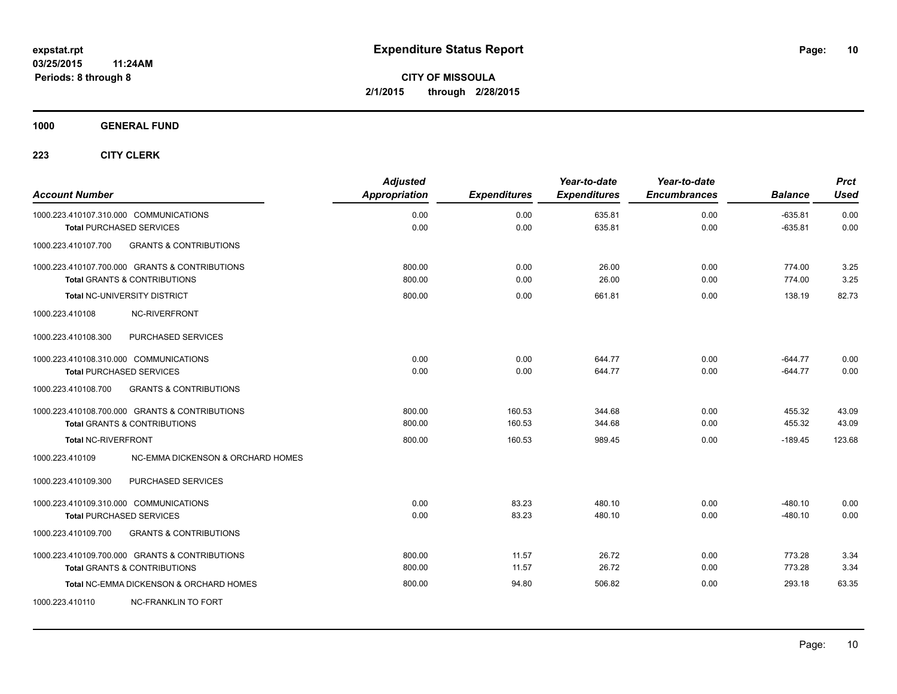**1000 GENERAL FUND**

| <b>Account Number</b>                                    | <b>Adjusted</b><br><b>Appropriation</b> | <b>Expenditures</b> | Year-to-date<br><b>Expenditures</b> | Year-to-date<br><b>Encumbrances</b> | <b>Balance</b> | <b>Prct</b><br><b>Used</b> |
|----------------------------------------------------------|-----------------------------------------|---------------------|-------------------------------------|-------------------------------------|----------------|----------------------------|
| 1000.223.410107.310.000 COMMUNICATIONS                   | 0.00                                    | 0.00                | 635.81                              | 0.00                                | $-635.81$      | 0.00                       |
| <b>Total PURCHASED SERVICES</b>                          | 0.00                                    | 0.00                | 635.81                              | 0.00                                | $-635.81$      | 0.00                       |
| <b>GRANTS &amp; CONTRIBUTIONS</b><br>1000.223.410107.700 |                                         |                     |                                     |                                     |                |                            |
| 1000.223.410107.700.000 GRANTS & CONTRIBUTIONS           | 800.00                                  | 0.00                | 26.00                               | 0.00                                | 774.00         | 3.25                       |
| <b>Total GRANTS &amp; CONTRIBUTIONS</b>                  | 800.00                                  | 0.00                | 26.00                               | 0.00                                | 774.00         | 3.25                       |
| <b>Total NC-UNIVERSITY DISTRICT</b>                      | 800.00                                  | 0.00                | 661.81                              | 0.00                                | 138.19         | 82.73                      |
| 1000.223.410108<br><b>NC-RIVERFRONT</b>                  |                                         |                     |                                     |                                     |                |                            |
| 1000.223.410108.300<br>PURCHASED SERVICES                |                                         |                     |                                     |                                     |                |                            |
| 1000.223.410108.310.000 COMMUNICATIONS                   | 0.00                                    | 0.00                | 644.77                              | 0.00                                | $-644.77$      | 0.00                       |
| <b>Total PURCHASED SERVICES</b>                          | 0.00                                    | 0.00                | 644.77                              | 0.00                                | $-644.77$      | 0.00                       |
| 1000.223.410108.700<br><b>GRANTS &amp; CONTRIBUTIONS</b> |                                         |                     |                                     |                                     |                |                            |
| 1000.223.410108.700.000 GRANTS & CONTRIBUTIONS           | 800.00                                  | 160.53              | 344.68                              | 0.00                                | 455.32         | 43.09                      |
| <b>Total GRANTS &amp; CONTRIBUTIONS</b>                  | 800.00                                  | 160.53              | 344.68                              | 0.00                                | 455.32         | 43.09                      |
| <b>Total NC-RIVERFRONT</b>                               | 800.00                                  | 160.53              | 989.45                              | 0.00                                | $-189.45$      | 123.68                     |
| 1000.223.410109<br>NC-EMMA DICKENSON & ORCHARD HOMES     |                                         |                     |                                     |                                     |                |                            |
| 1000.223.410109.300<br>PURCHASED SERVICES                |                                         |                     |                                     |                                     |                |                            |
| 1000.223.410109.310.000 COMMUNICATIONS                   | 0.00                                    | 83.23               | 480.10                              | 0.00                                | $-480.10$      | 0.00                       |
| <b>Total PURCHASED SERVICES</b>                          | 0.00                                    | 83.23               | 480.10                              | 0.00                                | $-480.10$      | 0.00                       |
| 1000.223.410109.700<br><b>GRANTS &amp; CONTRIBUTIONS</b> |                                         |                     |                                     |                                     |                |                            |
| 1000.223.410109.700.000 GRANTS & CONTRIBUTIONS           | 800.00                                  | 11.57               | 26.72                               | 0.00                                | 773.28         | 3.34                       |
| <b>Total GRANTS &amp; CONTRIBUTIONS</b>                  | 800.00                                  | 11.57               | 26.72                               | 0.00                                | 773.28         | 3.34                       |
| Total NC-EMMA DICKENSON & ORCHARD HOMES                  | 800.00                                  | 94.80               | 506.82                              | 0.00                                | 293.18         | 63.35                      |
| 1000.223.410110<br><b>NC-FRANKLIN TO FORT</b>            |                                         |                     |                                     |                                     |                |                            |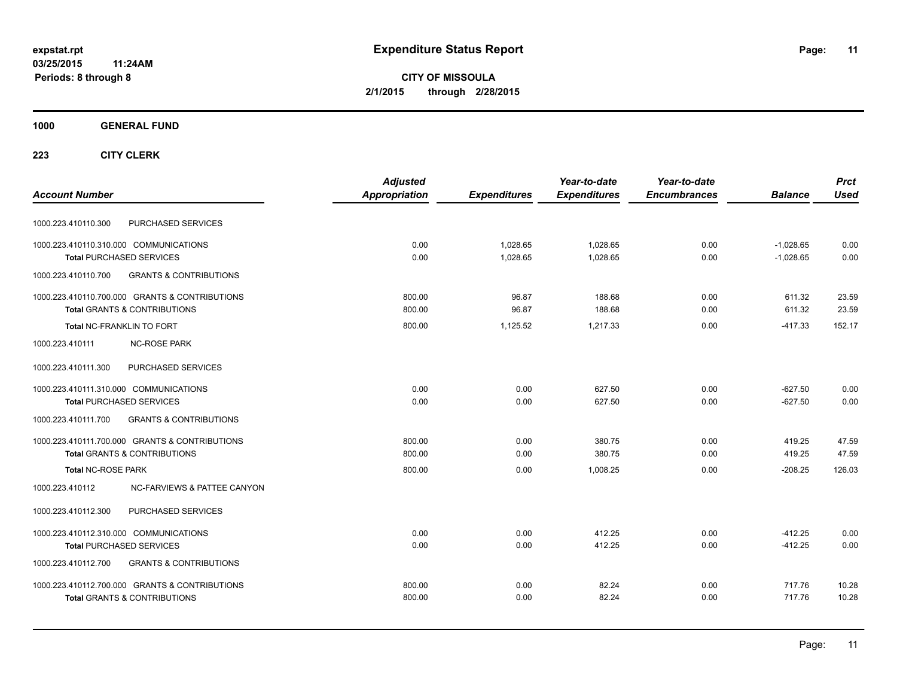**CITY OF MISSOULA 2/1/2015 through 2/28/2015**

**1000 GENERAL FUND**

| <b>Account Number</b>                                                                       | <b>Adjusted</b><br><b>Appropriation</b> | <b>Expenditures</b> | Year-to-date<br><b>Expenditures</b> | Year-to-date<br><b>Encumbrances</b> | <b>Balance</b> | <b>Prct</b><br><b>Used</b> |
|---------------------------------------------------------------------------------------------|-----------------------------------------|---------------------|-------------------------------------|-------------------------------------|----------------|----------------------------|
| PURCHASED SERVICES<br>1000.223.410110.300                                                   |                                         |                     |                                     |                                     |                |                            |
| 1000.223.410110.310.000 COMMUNICATIONS                                                      | 0.00                                    | 1,028.65            | 1,028.65                            | 0.00                                | $-1,028.65$    | 0.00                       |
| <b>Total PURCHASED SERVICES</b><br>1000.223.410110.700<br><b>GRANTS &amp; CONTRIBUTIONS</b> | 0.00                                    | 1,028.65            | 1,028.65                            | 0.00                                | $-1,028.65$    | 0.00                       |
| 1000.223.410110.700.000 GRANTS & CONTRIBUTIONS                                              | 800.00                                  | 96.87               | 188.68                              | 0.00                                | 611.32         | 23.59                      |
| <b>Total GRANTS &amp; CONTRIBUTIONS</b>                                                     | 800.00                                  | 96.87               | 188.68                              | 0.00                                | 611.32         | 23.59                      |
| Total NC-FRANKLIN TO FORT                                                                   | 800.00                                  | 1,125.52            | 1,217.33                            | 0.00                                | $-417.33$      | 152.17                     |
| <b>NC-ROSE PARK</b><br>1000.223.410111                                                      |                                         |                     |                                     |                                     |                |                            |
| PURCHASED SERVICES<br>1000.223.410111.300                                                   |                                         |                     |                                     |                                     |                |                            |
| 1000.223.410111.310.000 COMMUNICATIONS                                                      | 0.00                                    | 0.00                | 627.50                              | 0.00                                | $-627.50$      | 0.00                       |
| <b>Total PURCHASED SERVICES</b>                                                             | 0.00                                    | 0.00                | 627.50                              | 0.00                                | $-627.50$      | 0.00                       |
| 1000.223.410111.700<br><b>GRANTS &amp; CONTRIBUTIONS</b>                                    |                                         |                     |                                     |                                     |                |                            |
| 1000.223.410111.700.000 GRANTS & CONTRIBUTIONS                                              | 800.00                                  | 0.00                | 380.75                              | 0.00                                | 419.25         | 47.59                      |
| <b>Total GRANTS &amp; CONTRIBUTIONS</b>                                                     | 800.00                                  | 0.00                | 380.75                              | 0.00                                | 419.25         | 47.59                      |
| <b>Total NC-ROSE PARK</b>                                                                   | 800.00                                  | 0.00                | 1.008.25                            | 0.00                                | $-208.25$      | 126.03                     |
| 1000.223.410112<br><b>NC-FARVIEWS &amp; PATTEE CANYON</b>                                   |                                         |                     |                                     |                                     |                |                            |
| PURCHASED SERVICES<br>1000.223.410112.300                                                   |                                         |                     |                                     |                                     |                |                            |
| 1000.223.410112.310.000 COMMUNICATIONS                                                      | 0.00                                    | 0.00                | 412.25                              | 0.00                                | $-412.25$      | 0.00                       |
| <b>Total PURCHASED SERVICES</b>                                                             | 0.00                                    | 0.00                | 412.25                              | 0.00                                | $-412.25$      | 0.00                       |
| 1000.223.410112.700<br><b>GRANTS &amp; CONTRIBUTIONS</b>                                    |                                         |                     |                                     |                                     |                |                            |
| 1000.223.410112.700.000 GRANTS & CONTRIBUTIONS                                              | 800.00                                  | 0.00                | 82.24                               | 0.00                                | 717.76         | 10.28                      |
| <b>Total GRANTS &amp; CONTRIBUTIONS</b>                                                     | 800.00                                  | 0.00                | 82.24                               | 0.00                                | 717.76         | 10.28                      |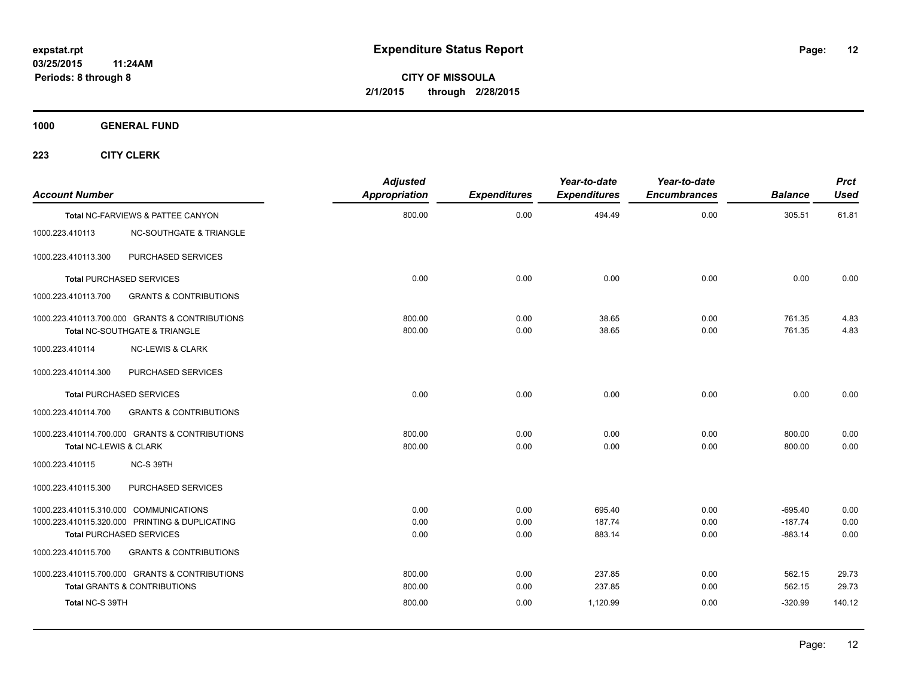**1000 GENERAL FUND**

| <b>Account Number</b>  |                                                                                           | <b>Adjusted</b><br>Appropriation | <b>Expenditures</b> | Year-to-date<br><b>Expenditures</b> | Year-to-date<br><b>Encumbrances</b> | <b>Balance</b>         | <b>Prct</b><br><b>Used</b> |
|------------------------|-------------------------------------------------------------------------------------------|----------------------------------|---------------------|-------------------------------------|-------------------------------------|------------------------|----------------------------|
|                        | <b>Total NC-FARVIEWS &amp; PATTEE CANYON</b>                                              | 800.00                           | 0.00                | 494.49                              | 0.00                                | 305.51                 | 61.81                      |
| 1000.223.410113        | <b>NC-SOUTHGATE &amp; TRIANGLE</b>                                                        |                                  |                     |                                     |                                     |                        |                            |
| 1000.223.410113.300    | PURCHASED SERVICES                                                                        |                                  |                     |                                     |                                     |                        |                            |
|                        | <b>Total PURCHASED SERVICES</b>                                                           | 0.00                             | 0.00                | 0.00                                | 0.00                                | 0.00                   | 0.00                       |
| 1000.223.410113.700    | <b>GRANTS &amp; CONTRIBUTIONS</b>                                                         |                                  |                     |                                     |                                     |                        |                            |
|                        | 1000.223.410113.700.000 GRANTS & CONTRIBUTIONS<br>Total NC-SOUTHGATE & TRIANGLE           | 800.00<br>800.00                 | 0.00<br>0.00        | 38.65<br>38.65                      | 0.00<br>0.00                        | 761.35<br>761.35       | 4.83<br>4.83               |
| 1000.223.410114        | <b>NC-LEWIS &amp; CLARK</b>                                                               |                                  |                     |                                     |                                     |                        |                            |
| 1000.223.410114.300    | PURCHASED SERVICES                                                                        |                                  |                     |                                     |                                     |                        |                            |
|                        | <b>Total PURCHASED SERVICES</b>                                                           | 0.00                             | 0.00                | 0.00                                | 0.00                                | 0.00                   | 0.00                       |
| 1000.223.410114.700    | <b>GRANTS &amp; CONTRIBUTIONS</b>                                                         |                                  |                     |                                     |                                     |                        |                            |
| Total NC-LEWIS & CLARK | 1000.223.410114.700.000 GRANTS & CONTRIBUTIONS                                            | 800.00<br>800.00                 | 0.00<br>0.00        | 0.00<br>0.00                        | 0.00<br>0.00                        | 800.00<br>800.00       | 0.00<br>0.00               |
| 1000.223.410115        | NC-S 39TH                                                                                 |                                  |                     |                                     |                                     |                        |                            |
| 1000.223.410115.300    | <b>PURCHASED SERVICES</b>                                                                 |                                  |                     |                                     |                                     |                        |                            |
|                        | 1000.223.410115.310.000 COMMUNICATIONS                                                    | 0.00                             | 0.00                | 695.40                              | 0.00                                | $-695.40$              | 0.00                       |
|                        | 1000.223.410115.320.000 PRINTING & DUPLICATING<br><b>Total PURCHASED SERVICES</b>         | 0.00<br>0.00                     | 0.00<br>0.00        | 187.74<br>883.14                    | 0.00<br>0.00                        | $-187.74$<br>$-883.14$ | 0.00<br>0.00               |
| 1000.223.410115.700    | <b>GRANTS &amp; CONTRIBUTIONS</b>                                                         |                                  |                     |                                     |                                     |                        |                            |
|                        |                                                                                           |                                  |                     |                                     |                                     |                        |                            |
|                        | 1000.223.410115.700.000 GRANTS & CONTRIBUTIONS<br><b>Total GRANTS &amp; CONTRIBUTIONS</b> | 800.00<br>800.00                 | 0.00<br>0.00        | 237.85<br>237.85                    | 0.00<br>0.00                        | 562.15<br>562.15       | 29.73<br>29.73             |
| Total NC-S 39TH        |                                                                                           | 800.00                           | 0.00                | 1,120.99                            | 0.00                                | $-320.99$              | 140.12                     |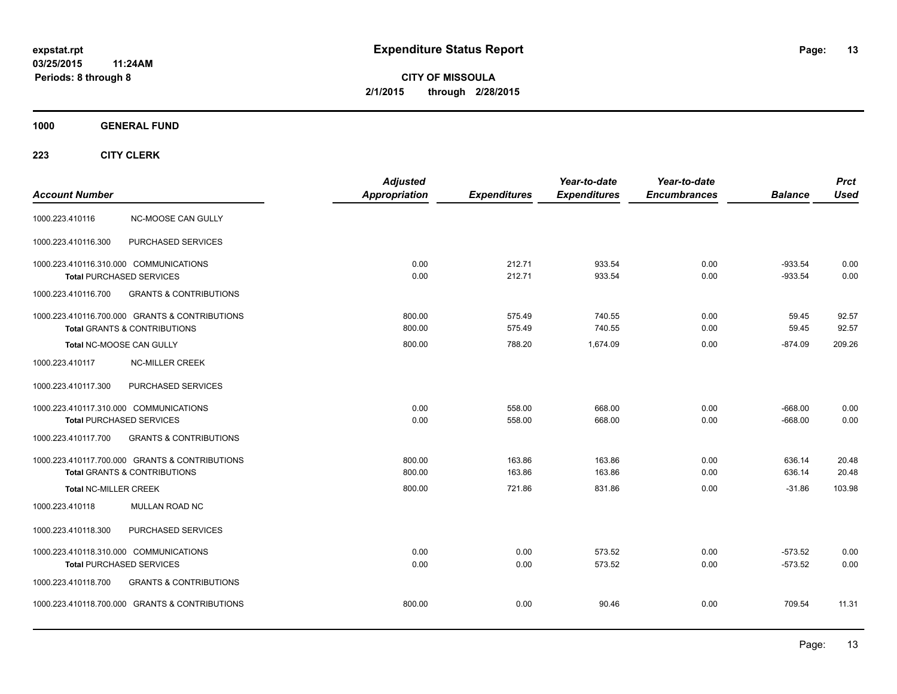**CITY OF MISSOULA 2/1/2015 through 2/28/2015**

**1000 GENERAL FUND**

| <b>Account Number</b>                                                     |                                                                                           | <b>Adjusted</b><br><b>Appropriation</b> | <b>Expenditures</b> | Year-to-date<br><b>Expenditures</b> | Year-to-date<br><b>Encumbrances</b> | <b>Balance</b>         | <b>Prct</b><br><b>Used</b> |
|---------------------------------------------------------------------------|-------------------------------------------------------------------------------------------|-----------------------------------------|---------------------|-------------------------------------|-------------------------------------|------------------------|----------------------------|
| 1000.223.410116                                                           | NC-MOOSE CAN GULLY                                                                        |                                         |                     |                                     |                                     |                        |                            |
| 1000.223.410116.300                                                       | PURCHASED SERVICES                                                                        |                                         |                     |                                     |                                     |                        |                            |
| 1000.223.410116.310.000 COMMUNICATIONS<br><b>Total PURCHASED SERVICES</b> |                                                                                           | 0.00<br>0.00                            | 212.71<br>212.71    | 933.54<br>933.54                    | 0.00<br>0.00                        | $-933.54$<br>$-933.54$ | 0.00<br>0.00               |
| 1000.223.410116.700                                                       | <b>GRANTS &amp; CONTRIBUTIONS</b>                                                         |                                         |                     |                                     |                                     |                        |                            |
|                                                                           | 1000.223.410116.700.000 GRANTS & CONTRIBUTIONS<br><b>Total GRANTS &amp; CONTRIBUTIONS</b> | 800.00<br>800.00                        | 575.49<br>575.49    | 740.55<br>740.55                    | 0.00<br>0.00                        | 59.45<br>59.45         | 92.57<br>92.57             |
| Total NC-MOOSE CAN GULLY                                                  |                                                                                           | 800.00                                  | 788.20              | 1,674.09                            | 0.00                                | $-874.09$              | 209.26                     |
| 1000.223.410117                                                           | <b>NC-MILLER CREEK</b>                                                                    |                                         |                     |                                     |                                     |                        |                            |
| 1000.223.410117.300                                                       | PURCHASED SERVICES                                                                        |                                         |                     |                                     |                                     |                        |                            |
| 1000.223.410117.310.000 COMMUNICATIONS                                    |                                                                                           | 0.00<br>0.00                            | 558.00<br>558.00    | 668.00<br>668.00                    | 0.00<br>0.00                        | $-668.00$<br>$-668.00$ | 0.00<br>0.00               |
| <b>Total PURCHASED SERVICES</b><br>1000.223.410117.700                    | <b>GRANTS &amp; CONTRIBUTIONS</b>                                                         |                                         |                     |                                     |                                     |                        |                            |
|                                                                           | 1000.223.410117.700.000 GRANTS & CONTRIBUTIONS                                            | 800.00                                  | 163.86              | 163.86                              | 0.00                                | 636.14                 | 20.48                      |
|                                                                           | <b>Total GRANTS &amp; CONTRIBUTIONS</b>                                                   | 800.00                                  | 163.86              | 163.86                              | 0.00                                | 636.14                 | 20.48                      |
| <b>Total NC-MILLER CREEK</b>                                              |                                                                                           | 800.00                                  | 721.86              | 831.86                              | 0.00                                | $-31.86$               | 103.98                     |
| 1000.223.410118                                                           | MULLAN ROAD NC                                                                            |                                         |                     |                                     |                                     |                        |                            |
| 1000.223.410118.300                                                       | PURCHASED SERVICES                                                                        |                                         |                     |                                     |                                     |                        |                            |
| 1000.223.410118.310.000 COMMUNICATIONS<br>Total PURCHASED SERVICES        |                                                                                           | 0.00<br>0.00                            | 0.00<br>0.00        | 573.52<br>573.52                    | 0.00<br>0.00                        | $-573.52$<br>$-573.52$ | 0.00<br>0.00               |
| 1000.223.410118.700                                                       | <b>GRANTS &amp; CONTRIBUTIONS</b>                                                         |                                         |                     |                                     |                                     |                        |                            |
|                                                                           | 1000.223.410118.700.000 GRANTS & CONTRIBUTIONS                                            | 800.00                                  | 0.00                | 90.46                               | 0.00                                | 709.54                 | 11.31                      |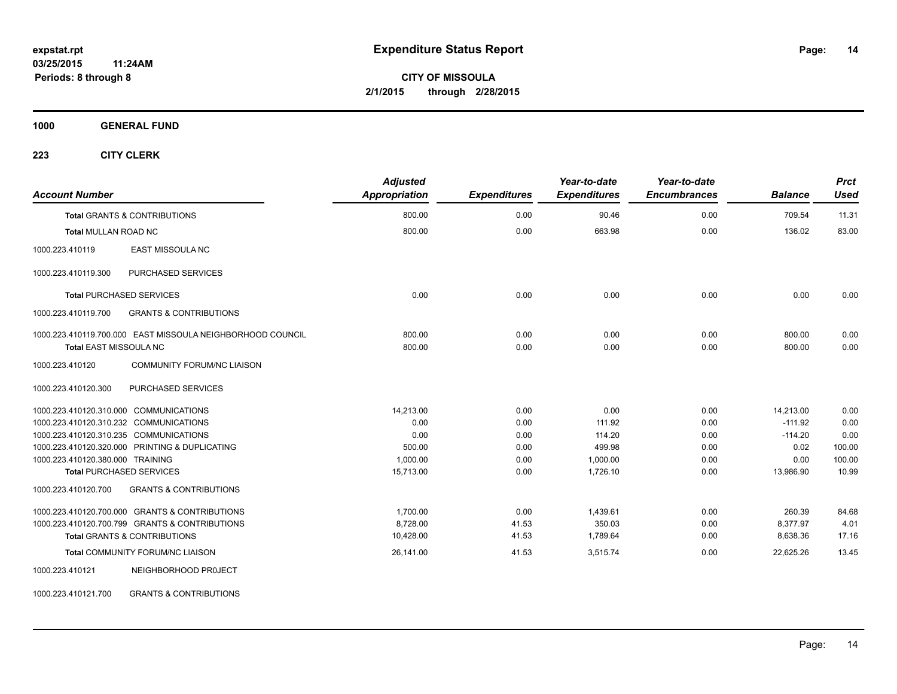**1000 GENERAL FUND**

| <b>Account Number</b>                                      | <b>Adjusted</b><br><b>Appropriation</b> | <b>Expenditures</b> | Year-to-date<br><b>Expenditures</b> | Year-to-date<br><b>Encumbrances</b> | <b>Balance</b> | <b>Prct</b><br><b>Used</b> |
|------------------------------------------------------------|-----------------------------------------|---------------------|-------------------------------------|-------------------------------------|----------------|----------------------------|
| <b>Total GRANTS &amp; CONTRIBUTIONS</b>                    | 800.00                                  | 0.00                | 90.46                               | 0.00                                | 709.54         | 11.31                      |
| <b>Total MULLAN ROAD NC</b>                                | 800.00                                  | 0.00                | 663.98                              | 0.00                                | 136.02         | 83.00                      |
| <b>EAST MISSOULA NC</b><br>1000.223.410119                 |                                         |                     |                                     |                                     |                |                            |
| 1000.223.410119.300<br>PURCHASED SERVICES                  |                                         |                     |                                     |                                     |                |                            |
| <b>Total PURCHASED SERVICES</b>                            | 0.00                                    | 0.00                | 0.00                                | 0.00                                | 0.00           | 0.00                       |
| 1000.223.410119.700<br><b>GRANTS &amp; CONTRIBUTIONS</b>   |                                         |                     |                                     |                                     |                |                            |
| 1000.223.410119.700.000 EAST MISSOULA NEIGHBORHOOD COUNCIL | 800.00                                  | 0.00                | 0.00                                | 0.00                                | 800.00         | 0.00                       |
| <b>Total EAST MISSOULA NC</b>                              | 800.00                                  | 0.00                | 0.00                                | 0.00                                | 800.00         | 0.00                       |
| COMMUNITY FORUM/NC LIAISON<br>1000.223.410120              |                                         |                     |                                     |                                     |                |                            |
| <b>PURCHASED SERVICES</b><br>1000.223.410120.300           |                                         |                     |                                     |                                     |                |                            |
| 1000.223.410120.310.000 COMMUNICATIONS                     | 14,213.00                               | 0.00                | 0.00                                | 0.00                                | 14,213.00      | 0.00                       |
| 1000.223.410120.310.232 COMMUNICATIONS                     | 0.00                                    | 0.00                | 111.92                              | 0.00                                | $-111.92$      | 0.00                       |
| 1000.223.410120.310.235 COMMUNICATIONS                     | 0.00                                    | 0.00                | 114.20                              | 0.00                                | $-114.20$      | 0.00                       |
| 1000.223.410120.320.000 PRINTING & DUPLICATING             | 500.00                                  | 0.00                | 499.98                              | 0.00                                | 0.02           | 100.00                     |
| 1000.223.410120.380.000 TRAINING                           | 1,000.00                                | 0.00                | 1,000.00                            | 0.00                                | 0.00           | 100.00                     |
| <b>Total PURCHASED SERVICES</b>                            | 15,713.00                               | 0.00                | 1.726.10                            | 0.00                                | 13,986.90      | 10.99                      |
| 1000.223.410120.700<br><b>GRANTS &amp; CONTRIBUTIONS</b>   |                                         |                     |                                     |                                     |                |                            |
| 1000.223.410120.700.000 GRANTS & CONTRIBUTIONS             | 1.700.00                                | 0.00                | 1.439.61                            | 0.00                                | 260.39         | 84.68                      |
| 1000.223.410120.700.799 GRANTS & CONTRIBUTIONS             | 8,728.00                                | 41.53               | 350.03                              | 0.00                                | 8,377.97       | 4.01                       |
| <b>Total GRANTS &amp; CONTRIBUTIONS</b>                    | 10,428.00                               | 41.53               | 1,789.64                            | 0.00                                | 8,638.36       | 17.16                      |
| Total COMMUNITY FORUM/NC LIAISON                           | 26,141.00                               | 41.53               | 3,515.74                            | 0.00                                | 22,625.26      | 13.45                      |
| 1000.223.410121<br>NEIGHBORHOOD PROJECT                    |                                         |                     |                                     |                                     |                |                            |
| 1000.223.410121.700<br><b>GRANTS &amp; CONTRIBUTIONS</b>   |                                         |                     |                                     |                                     |                |                            |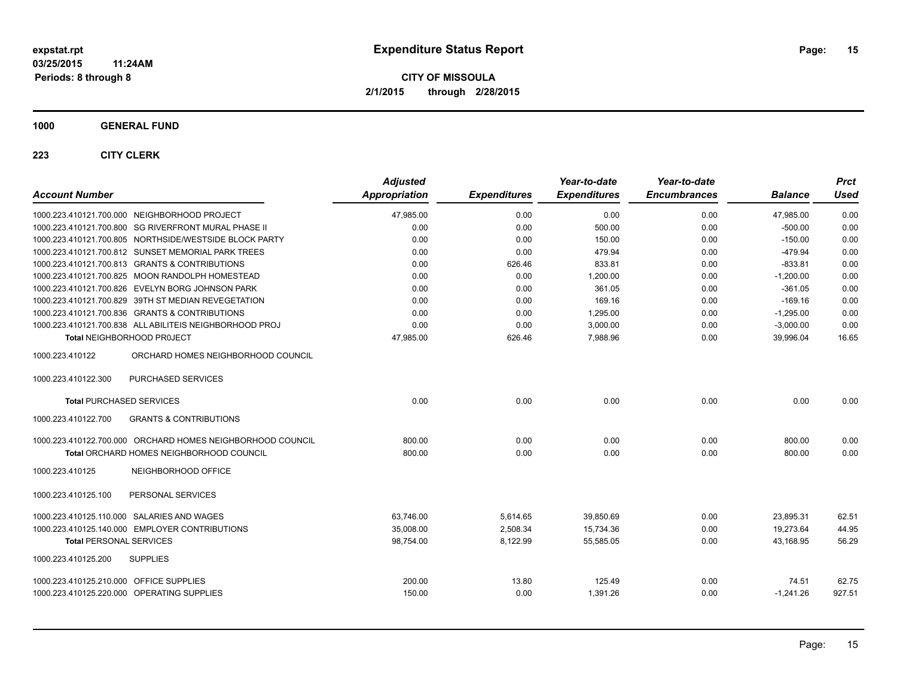**1000 GENERAL FUND**

| <b>Account Number</b>                                      | <b>Adjusted</b><br><b>Appropriation</b> | <b>Expenditures</b> | Year-to-date<br><b>Expenditures</b> | Year-to-date<br><b>Encumbrances</b> | <b>Balance</b> | <b>Prct</b><br><b>Used</b> |
|------------------------------------------------------------|-----------------------------------------|---------------------|-------------------------------------|-------------------------------------|----------------|----------------------------|
| 1000.223.410121.700.000 NEIGHBORHOOD PROJECT               | 47,985.00                               | 0.00                | 0.00                                | 0.00                                | 47,985.00      | 0.00                       |
| 1000.223.410121.700.800 SG RIVERFRONT MURAL PHASE II       | 0.00                                    | 0.00                | 500.00                              | 0.00                                | $-500.00$      | 0.00                       |
| 1000.223.410121.700.805 NORTHSIDE/WESTSIDE BLOCK PARTY     | 0.00                                    | 0.00                | 150.00                              | 0.00                                | $-150.00$      | 0.00                       |
| 1000.223.410121.700.812 SUNSET MEMORIAL PARK TREES         | 0.00                                    | 0.00                | 479.94                              | 0.00                                | $-479.94$      | 0.00                       |
| 1000.223.410121.700.813 GRANTS & CONTRIBUTIONS             | 0.00                                    | 626.46              | 833.81                              | 0.00                                | $-833.81$      | 0.00                       |
| 1000.223.410121.700.825 MOON RANDOLPH HOMESTEAD            | 0.00                                    | 0.00                | 1,200.00                            | 0.00                                | $-1,200.00$    | 0.00                       |
| 1000.223.410121.700.826 EVELYN BORG JOHNSON PARK           | 0.00                                    | 0.00                | 361.05                              | 0.00                                | $-361.05$      | 0.00                       |
| 1000.223.410121.700.829 39TH ST MEDIAN REVEGETATION        | 0.00                                    | 0.00                | 169.16                              | 0.00                                | $-169.16$      | 0.00                       |
| 1000.223.410121.700.836 GRANTS & CONTRIBUTIONS             | 0.00                                    | 0.00                | 1,295.00                            | 0.00                                | $-1,295.00$    | 0.00                       |
| 1000.223.410121.700.838 ALL ABILITEIS NEIGHBORHOOD PROJ    | 0.00                                    | 0.00                | 3,000.00                            | 0.00                                | $-3,000.00$    | 0.00                       |
| Total NEIGHBORHOOD PROJECT                                 | 47,985.00                               | 626.46              | 7,988.96                            | 0.00                                | 39,996.04      | 16.65                      |
| ORCHARD HOMES NEIGHBORHOOD COUNCIL<br>1000.223.410122      |                                         |                     |                                     |                                     |                |                            |
| PURCHASED SERVICES<br>1000.223.410122.300                  |                                         |                     |                                     |                                     |                |                            |
| <b>Total PURCHASED SERVICES</b>                            | 0.00                                    | 0.00                | 0.00                                | 0.00                                | 0.00           | 0.00                       |
| 1000.223.410122.700<br><b>GRANTS &amp; CONTRIBUTIONS</b>   |                                         |                     |                                     |                                     |                |                            |
| 1000.223.410122.700.000 ORCHARD HOMES NEIGHBORHOOD COUNCIL | 800.00                                  | 0.00                | 0.00                                | 0.00                                | 800.00         | 0.00                       |
| Total ORCHARD HOMES NEIGHBORHOOD COUNCIL                   | 800.00                                  | 0.00                | 0.00                                | 0.00                                | 800.00         | 0.00                       |
| 1000.223.410125<br>NEIGHBORHOOD OFFICE                     |                                         |                     |                                     |                                     |                |                            |
| PERSONAL SERVICES<br>1000.223.410125.100                   |                                         |                     |                                     |                                     |                |                            |
| 1000.223.410125.110.000 SALARIES AND WAGES                 | 63.746.00                               | 5,614.65            | 39,850.69                           | 0.00                                | 23,895.31      | 62.51                      |
| 1000.223.410125.140.000 EMPLOYER CONTRIBUTIONS             | 35,008.00                               | 2,508.34            | 15,734.36                           | 0.00                                | 19,273.64      | 44.95                      |
| <b>Total PERSONAL SERVICES</b>                             | 98,754.00                               | 8,122.99            | 55,585.05                           | 0.00                                | 43,168.95      | 56.29                      |
| <b>SUPPLIES</b><br>1000.223.410125.200                     |                                         |                     |                                     |                                     |                |                            |
| 1000.223.410125.210.000 OFFICE SUPPLIES                    | 200.00                                  | 13.80               | 125.49                              | 0.00                                | 74.51          | 62.75                      |
| 1000.223.410125.220.000 OPERATING SUPPLIES                 | 150.00                                  | 0.00                | 1,391.26                            | 0.00                                | $-1,241.26$    | 927.51                     |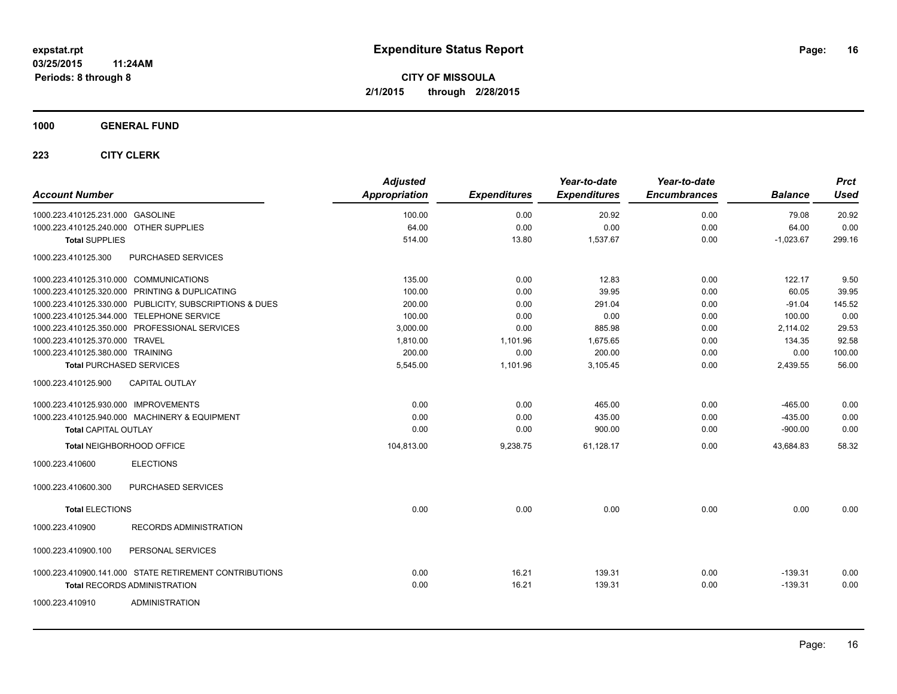## **1000 GENERAL FUND**

| <b>Account Number</b>                  |                                                         | <b>Adjusted</b><br>Appropriation | <b>Expenditures</b> | Year-to-date<br><b>Expenditures</b> | Year-to-date<br><b>Encumbrances</b> | <b>Balance</b> | <b>Prct</b><br><b>Used</b> |
|----------------------------------------|---------------------------------------------------------|----------------------------------|---------------------|-------------------------------------|-------------------------------------|----------------|----------------------------|
| 1000.223.410125.231.000 GASOLINE       |                                                         | 100.00                           | 0.00                | 20.92                               | 0.00                                | 79.08          | 20.92                      |
| 1000.223.410125.240.000 OTHER SUPPLIES |                                                         | 64.00                            | 0.00                | 0.00                                | 0.00                                | 64.00          | 0.00                       |
| <b>Total SUPPLIES</b>                  |                                                         | 514.00                           | 13.80               | 1,537.67                            | 0.00                                | $-1,023.67$    | 299.16                     |
| 1000.223.410125.300                    | PURCHASED SERVICES                                      |                                  |                     |                                     |                                     |                |                            |
| 1000.223.410125.310.000 COMMUNICATIONS |                                                         | 135.00                           | 0.00                | 12.83                               | 0.00                                | 122.17         | 9.50                       |
|                                        | 1000.223.410125.320.000 PRINTING & DUPLICATING          | 100.00                           | 0.00                | 39.95                               | 0.00                                | 60.05          | 39.95                      |
|                                        | 1000.223.410125.330.000 PUBLICITY, SUBSCRIPTIONS & DUES | 200.00                           | 0.00                | 291.04                              | 0.00                                | $-91.04$       | 145.52                     |
|                                        | 1000.223.410125.344.000 TELEPHONE SERVICE               | 100.00                           | 0.00                | 0.00                                | 0.00                                | 100.00         | 0.00                       |
|                                        | 1000.223.410125.350.000 PROFESSIONAL SERVICES           | 3,000.00                         | 0.00                | 885.98                              | 0.00                                | 2,114.02       | 29.53                      |
| 1000.223.410125.370.000 TRAVEL         |                                                         | 1,810.00                         | 1,101.96            | 1,675.65                            | 0.00                                | 134.35         | 92.58                      |
| 1000.223.410125.380.000 TRAINING       |                                                         | 200.00                           | 0.00                | 200.00                              | 0.00                                | 0.00           | 100.00                     |
|                                        | <b>Total PURCHASED SERVICES</b>                         | 5,545.00                         | 1,101.96            | 3,105.45                            | 0.00                                | 2,439.55       | 56.00                      |
| 1000.223.410125.900                    | <b>CAPITAL OUTLAY</b>                                   |                                  |                     |                                     |                                     |                |                            |
| 1000.223.410125.930.000 IMPROVEMENTS   |                                                         | 0.00                             | 0.00                | 465.00                              | 0.00                                | $-465.00$      | 0.00                       |
|                                        | 1000.223.410125.940.000 MACHINERY & EQUIPMENT           | 0.00                             | 0.00                | 435.00                              | 0.00                                | $-435.00$      | 0.00                       |
| <b>Total CAPITAL OUTLAY</b>            |                                                         | 0.00                             | 0.00                | 900.00                              | 0.00                                | $-900.00$      | 0.00                       |
|                                        | Total NEIGHBORHOOD OFFICE                               | 104,813.00                       | 9,238.75            | 61,128.17                           | 0.00                                | 43,684.83      | 58.32                      |
| 1000.223.410600                        | <b>ELECTIONS</b>                                        |                                  |                     |                                     |                                     |                |                            |
| 1000.223.410600.300                    | PURCHASED SERVICES                                      |                                  |                     |                                     |                                     |                |                            |
| <b>Total ELECTIONS</b>                 |                                                         | 0.00                             | 0.00                | 0.00                                | 0.00                                | 0.00           | 0.00                       |
| 1000.223.410900                        | <b>RECORDS ADMINISTRATION</b>                           |                                  |                     |                                     |                                     |                |                            |
| 1000.223.410900.100                    | PERSONAL SERVICES                                       |                                  |                     |                                     |                                     |                |                            |
|                                        | 1000.223.410900.141.000 STATE RETIREMENT CONTRIBUTIONS  | 0.00                             | 16.21               | 139.31                              | 0.00                                | $-139.31$      | 0.00                       |
|                                        | <b>Total RECORDS ADMINISTRATION</b>                     | 0.00                             | 16.21               | 139.31                              | 0.00                                | $-139.31$      | 0.00                       |
| 1000.223.410910                        | <b>ADMINISTRATION</b>                                   |                                  |                     |                                     |                                     |                |                            |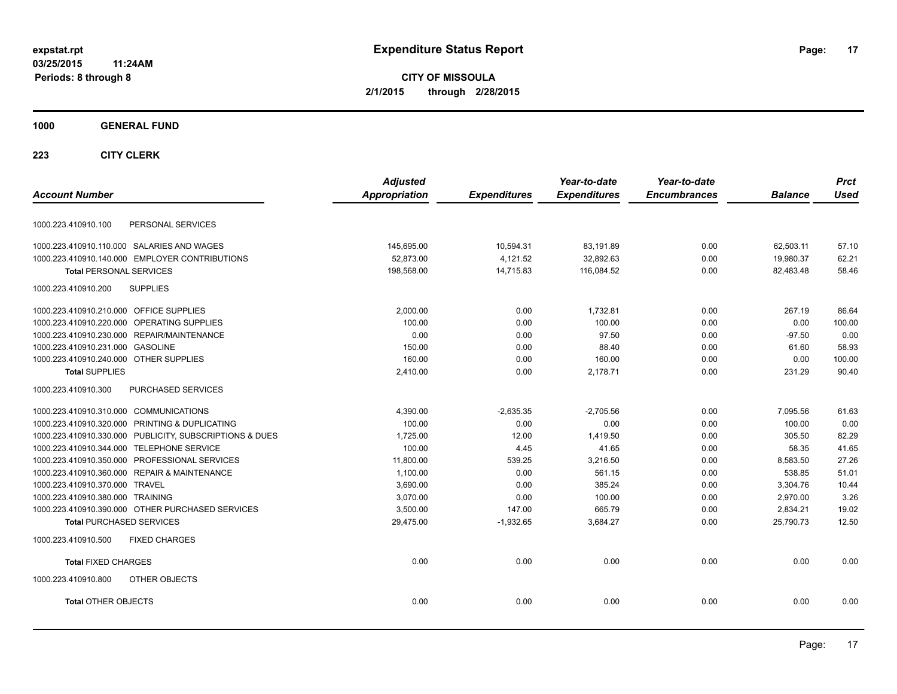**CITY OF MISSOULA 2/1/2015 through 2/28/2015**

## **1000 GENERAL FUND**

|                                                         | <b>Adjusted</b> |                     | Year-to-date        | Year-to-date        |                | <b>Prct</b> |
|---------------------------------------------------------|-----------------|---------------------|---------------------|---------------------|----------------|-------------|
| <b>Account Number</b>                                   | Appropriation   | <b>Expenditures</b> | <b>Expenditures</b> | <b>Encumbrances</b> | <b>Balance</b> | <b>Used</b> |
| PERSONAL SERVICES<br>1000.223.410910.100                |                 |                     |                     |                     |                |             |
| 1000.223.410910.110.000 SALARIES AND WAGES              | 145,695.00      | 10,594.31           | 83,191.89           | 0.00                | 62,503.11      | 57.10       |
| 1000.223.410910.140.000 EMPLOYER CONTRIBUTIONS          | 52,873.00       | 4,121.52            | 32,892.63           | 0.00                | 19,980.37      | 62.21       |
| <b>Total PERSONAL SERVICES</b>                          | 198,568.00      | 14,715.83           | 116.084.52          | 0.00                | 82,483.48      | 58.46       |
| <b>SUPPLIES</b><br>1000.223.410910.200                  |                 |                     |                     |                     |                |             |
| 1000.223.410910.210.000 OFFICE SUPPLIES                 | 2,000.00        | 0.00                | 1,732.81            | 0.00                | 267.19         | 86.64       |
| 1000.223.410910.220.000 OPERATING SUPPLIES              | 100.00          | 0.00                | 100.00              | 0.00                | 0.00           | 100.00      |
| 1000.223.410910.230.000 REPAIR/MAINTENANCE              | 0.00            | 0.00                | 97.50               | 0.00                | $-97.50$       | 0.00        |
| 1000.223.410910.231.000 GASOLINE                        | 150.00          | 0.00                | 88.40               | 0.00                | 61.60          | 58.93       |
| 1000.223.410910.240.000 OTHER SUPPLIES                  | 160.00          | 0.00                | 160.00              | 0.00                | 0.00           | 100.00      |
| <b>Total SUPPLIES</b>                                   | 2,410.00        | 0.00                | 2,178.71            | 0.00                | 231.29         | 90.40       |
| 1000.223.410910.300<br>PURCHASED SERVICES               |                 |                     |                     |                     |                |             |
| 1000.223.410910.310.000 COMMUNICATIONS                  | 4,390.00        | $-2,635.35$         | $-2,705.56$         | 0.00                | 7,095.56       | 61.63       |
| 1000.223.410910.320.000 PRINTING & DUPLICATING          | 100.00          | 0.00                | 0.00                | 0.00                | 100.00         | 0.00        |
| 1000.223.410910.330.000 PUBLICITY, SUBSCRIPTIONS & DUES | 1,725.00        | 12.00               | 1,419.50            | 0.00                | 305.50         | 82.29       |
| 1000.223.410910.344.000 TELEPHONE SERVICE               | 100.00          | 4.45                | 41.65               | 0.00                | 58.35          | 41.65       |
| 1000.223.410910.350.000 PROFESSIONAL SERVICES           | 11,800.00       | 539.25              | 3,216.50            | 0.00                | 8,583.50       | 27.26       |
| 1000.223.410910.360.000 REPAIR & MAINTENANCE            | 1,100.00        | 0.00                | 561.15              | 0.00                | 538.85         | 51.01       |
| 1000.223.410910.370.000 TRAVEL                          | 3,690.00        | 0.00                | 385.24              | 0.00                | 3,304.76       | 10.44       |
| 1000.223.410910.380.000 TRAINING                        | 3.070.00        | 0.00                | 100.00              | 0.00                | 2,970.00       | 3.26        |
| 1000.223.410910.390.000 OTHER PURCHASED SERVICES        | 3,500.00        | 147.00              | 665.79              | 0.00                | 2,834.21       | 19.02       |
| <b>Total PURCHASED SERVICES</b>                         | 29,475.00       | $-1,932.65$         | 3,684.27            | 0.00                | 25,790.73      | 12.50       |
| <b>FIXED CHARGES</b><br>1000.223.410910.500             |                 |                     |                     |                     |                |             |
| <b>Total FIXED CHARGES</b>                              | 0.00            | 0.00                | 0.00                | 0.00                | 0.00           | 0.00        |
| 1000.223.410910.800<br>OTHER OBJECTS                    |                 |                     |                     |                     |                |             |
| <b>Total OTHER OBJECTS</b>                              | 0.00            | 0.00                | 0.00                | 0.00                | 0.00           | 0.00        |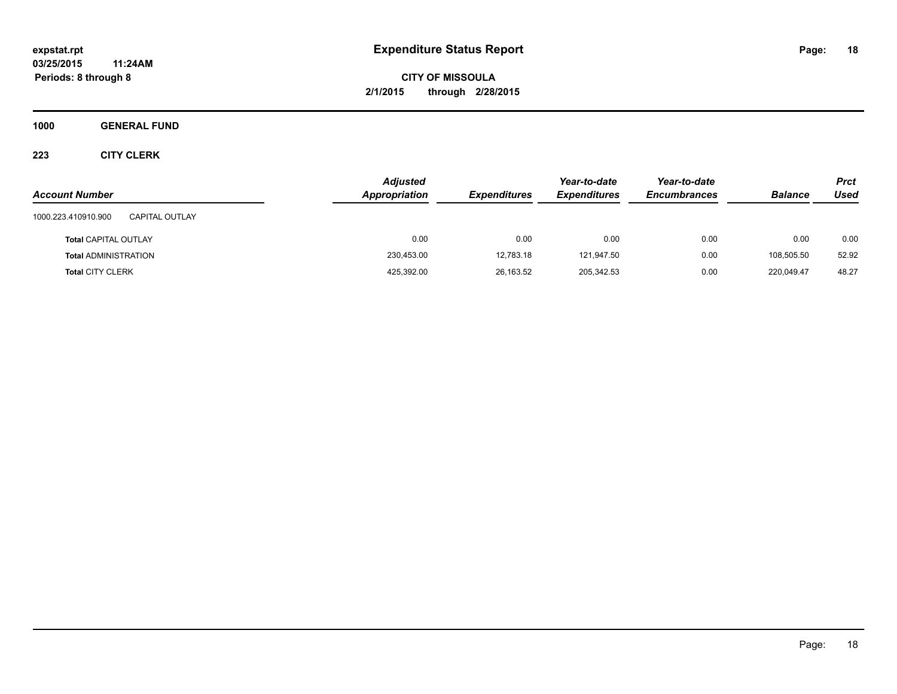**CITY OF MISSOULA 2/1/2015 through 2/28/2015**

**1000 GENERAL FUND**

| <b>Account Number</b>                        | <b>Adjusted</b><br><b>Appropriation</b> | <b>Expenditures</b> | Year-to-date<br><b>Expenditures</b> | Year-to-date<br><b>Encumbrances</b> | <b>Balance</b> | <b>Prct</b><br>Used |
|----------------------------------------------|-----------------------------------------|---------------------|-------------------------------------|-------------------------------------|----------------|---------------------|
| 1000.223.410910.900<br><b>CAPITAL OUTLAY</b> |                                         |                     |                                     |                                     |                |                     |
| <b>Total CAPITAL OUTLAY</b>                  | 0.00                                    | 0.00                | 0.00                                | 0.00                                | 0.00           | 0.00                |
| <b>Total ADMINISTRATION</b>                  | 230,453.00                              | 12,783.18           | 121,947.50                          | 0.00                                | 108,505.50     | 52.92               |
| <b>Total CITY CLERK</b>                      | 425,392.00                              | 26,163.52           | 205,342.53                          | 0.00                                | 220.049.47     | 48.27               |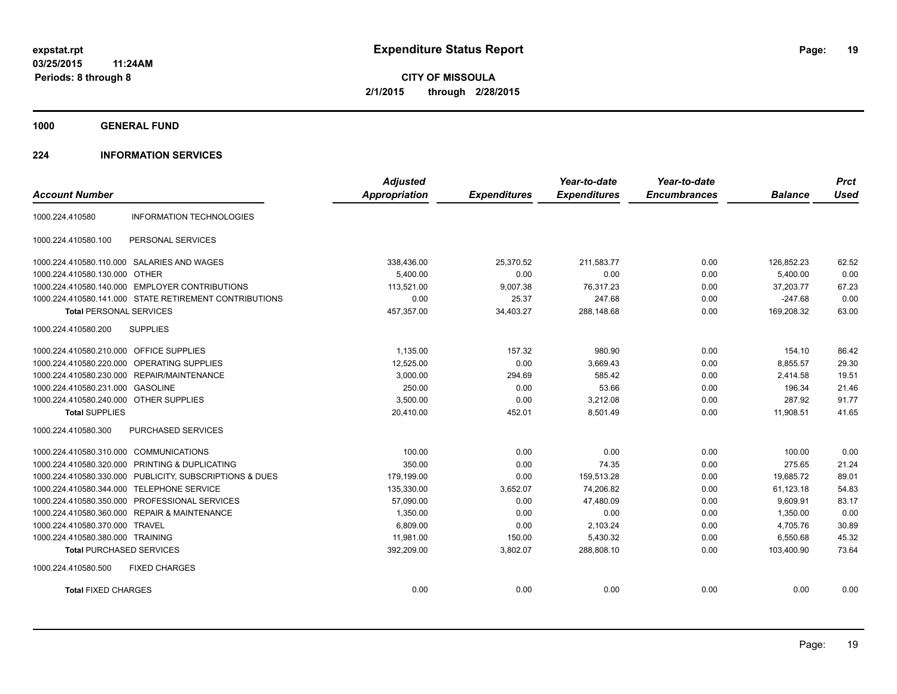**1000 GENERAL FUND**

## **224 INFORMATION SERVICES**

|                                                         |                                                        | <b>Adjusted</b>      |                     | Year-to-date        | Year-to-date        |                | <b>Prct</b> |
|---------------------------------------------------------|--------------------------------------------------------|----------------------|---------------------|---------------------|---------------------|----------------|-------------|
| <b>Account Number</b>                                   |                                                        | <b>Appropriation</b> | <b>Expenditures</b> | <b>Expenditures</b> | <b>Encumbrances</b> | <b>Balance</b> | <b>Used</b> |
| 1000.224.410580                                         | <b>INFORMATION TECHNOLOGIES</b>                        |                      |                     |                     |                     |                |             |
| 1000.224.410580.100                                     | PERSONAL SERVICES                                      |                      |                     |                     |                     |                |             |
| 1000.224.410580.110.000 SALARIES AND WAGES              |                                                        | 338,436.00           | 25,370.52           | 211.583.77          | 0.00                | 126,852.23     | 62.52       |
| 1000.224.410580.130.000 OTHER                           |                                                        | 5,400.00             | 0.00                | 0.00                | 0.00                | 5,400.00       | 0.00        |
| 1000.224.410580.140.000 EMPLOYER CONTRIBUTIONS          |                                                        | 113.521.00           | 9,007.38            | 76,317.23           | 0.00                | 37.203.77      | 67.23       |
|                                                         | 1000.224.410580.141.000 STATE RETIREMENT CONTRIBUTIONS | 0.00                 | 25.37               | 247.68              | 0.00                | $-247.68$      | 0.00        |
| <b>Total PERSONAL SERVICES</b>                          |                                                        | 457,357.00           | 34,403.27           | 288,148.68          | 0.00                | 169,208.32     | 63.00       |
| 1000.224.410580.200<br><b>SUPPLIES</b>                  |                                                        |                      |                     |                     |                     |                |             |
| 1000.224.410580.210.000 OFFICE SUPPLIES                 |                                                        | 1.135.00             | 157.32              | 980.90              | 0.00                | 154.10         | 86.42       |
| 1000.224.410580.220.000 OPERATING SUPPLIES              |                                                        | 12,525.00            | 0.00                | 3,669.43            | 0.00                | 8,855.57       | 29.30       |
| 1000.224.410580.230.000 REPAIR/MAINTENANCE              |                                                        | 3,000.00             | 294.69              | 585.42              | 0.00                | 2,414.58       | 19.51       |
| 1000.224.410580.231.000 GASOLINE                        |                                                        | 250.00               | 0.00                | 53.66               | 0.00                | 196.34         | 21.46       |
| 1000.224.410580.240.000 OTHER SUPPLIES                  |                                                        | 3,500.00             | 0.00                | 3,212.08            | 0.00                | 287.92         | 91.77       |
| <b>Total SUPPLIES</b>                                   |                                                        | 20.410.00            | 452.01              | 8.501.49            | 0.00                | 11,908.51      | 41.65       |
| 1000.224.410580.300                                     | <b>PURCHASED SERVICES</b>                              |                      |                     |                     |                     |                |             |
| 1000.224.410580.310.000                                 | <b>COMMUNICATIONS</b>                                  | 100.00               | 0.00                | 0.00                | 0.00                | 100.00         | 0.00        |
| 1000.224.410580.320.000 PRINTING & DUPLICATING          |                                                        | 350.00               | 0.00                | 74.35               | 0.00                | 275.65         | 21.24       |
| 1000.224.410580.330.000 PUBLICITY, SUBSCRIPTIONS & DUES |                                                        | 179,199.00           | 0.00                | 159,513.28          | 0.00                | 19,685.72      | 89.01       |
| 1000.224.410580.344.000 TELEPHONE SERVICE               |                                                        | 135,330.00           | 3,652.07            | 74,206.82           | 0.00                | 61,123.18      | 54.83       |
| 1000.224.410580.350.000                                 | PROFESSIONAL SERVICES                                  | 57,090.00            | 0.00                | 47,480.09           | 0.00                | 9,609.91       | 83.17       |
| 1000.224.410580.360.000 REPAIR & MAINTENANCE            |                                                        | 1,350.00             | 0.00                | 0.00                | 0.00                | 1.350.00       | 0.00        |
| 1000.224.410580.370.000 TRAVEL                          |                                                        | 6,809.00             | 0.00                | 2,103.24            | 0.00                | 4,705.76       | 30.89       |
| 1000.224.410580.380.000 TRAINING                        |                                                        | 11,981.00            | 150.00              | 5,430.32            | 0.00                | 6,550.68       | 45.32       |
| <b>Total PURCHASED SERVICES</b>                         |                                                        | 392,209.00           | 3,802.07            | 288,808.10          | 0.00                | 103,400.90     | 73.64       |
| 1000.224.410580.500                                     | <b>FIXED CHARGES</b>                                   |                      |                     |                     |                     |                |             |
| <b>Total FIXED CHARGES</b>                              |                                                        | 0.00                 | 0.00                | 0.00                | 0.00                | 0.00           | 0.00        |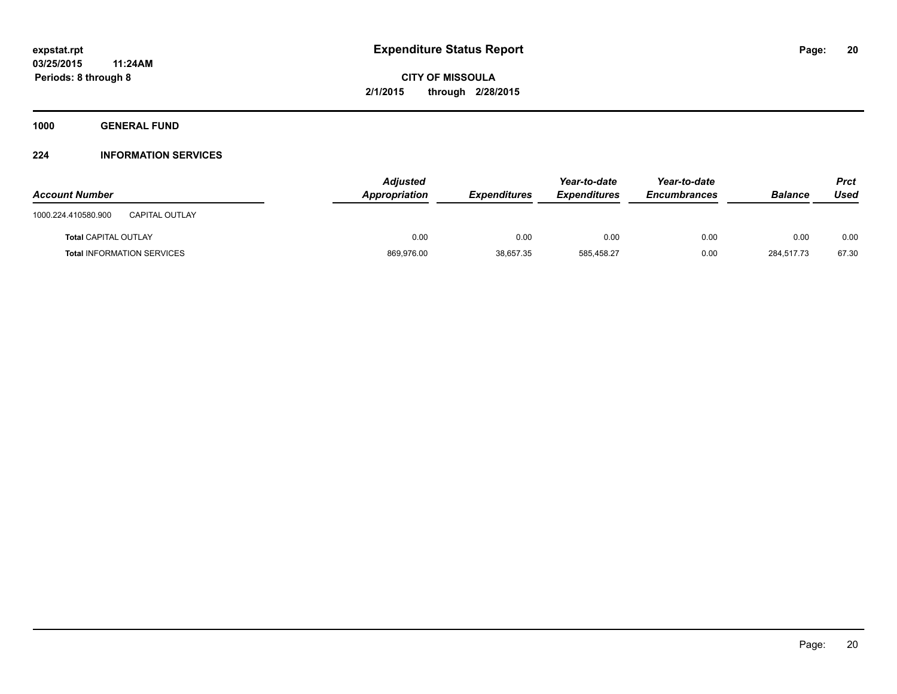**1000 GENERAL FUND**

## **224 INFORMATION SERVICES**

| <b>Account Number</b>                        | <b>Adjusted</b><br>Appropriation | <b>Expenditures</b> | Year-to-date<br><b>Expenditures</b> | Year-to-date<br><b>Encumbrances</b> | <b>Balance</b> | <b>Prct</b><br>Used |
|----------------------------------------------|----------------------------------|---------------------|-------------------------------------|-------------------------------------|----------------|---------------------|
| 1000.224.410580.900<br><b>CAPITAL OUTLAY</b> |                                  |                     |                                     |                                     |                |                     |
| <b>Total CAPITAL OUTLAY</b>                  | 0.00                             | 0.00                | 0.00                                | 0.00                                | 0.00           | 0.00                |
| <b>Total INFORMATION SERVICES</b>            | 869,976.00                       | 38,657.35           | 585.458.27                          | 0.00                                | 284.517.73     | 67.30               |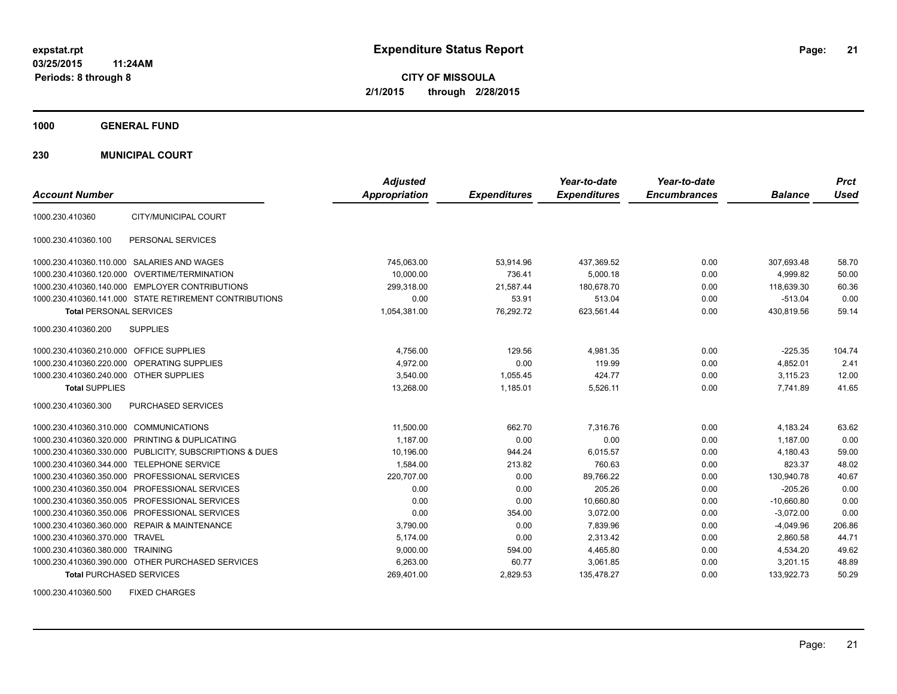**CITY OF MISSOULA 2/1/2015 through 2/28/2015**

**1000 GENERAL FUND**

**230 MUNICIPAL COURT**

| <b>Account Number</b>                                      | <b>Adjusted</b><br>Appropriation | <b>Expenditures</b> | Year-to-date<br><b>Expenditures</b> | Year-to-date<br><b>Encumbrances</b> | <b>Balance</b> | <b>Prct</b><br><b>Used</b> |
|------------------------------------------------------------|----------------------------------|---------------------|-------------------------------------|-------------------------------------|----------------|----------------------------|
| CITY/MUNICIPAL COURT<br>1000.230.410360                    |                                  |                     |                                     |                                     |                |                            |
| PERSONAL SERVICES<br>1000.230.410360.100                   |                                  |                     |                                     |                                     |                |                            |
| 1000.230.410360.110.000 SALARIES AND WAGES                 | 745,063.00                       | 53,914.96           | 437,369.52                          | 0.00                                | 307,693.48     | 58.70                      |
| 1000.230.410360.120.000 OVERTIME/TERMINATION               | 10.000.00                        | 736.41              | 5.000.18                            | 0.00                                | 4.999.82       | 50.00                      |
| 1000.230.410360.140.000 EMPLOYER CONTRIBUTIONS             | 299,318.00                       | 21,587.44           | 180,678.70                          | 0.00                                | 118,639.30     | 60.36                      |
| 1000.230.410360.141.000 STATE RETIREMENT CONTRIBUTIONS     | 0.00                             | 53.91               | 513.04                              | 0.00                                | $-513.04$      | 0.00                       |
| <b>Total PERSONAL SERVICES</b>                             | 1,054,381.00                     | 76.292.72           | 623,561.44                          | 0.00                                | 430,819.56     | 59.14                      |
| <b>SUPPLIES</b><br>1000.230.410360.200                     |                                  |                     |                                     |                                     |                |                            |
| 1000.230.410360.210.000 OFFICE SUPPLIES                    | 4,756.00                         | 129.56              | 4,981.35                            | 0.00                                | $-225.35$      | 104.74                     |
| 1000.230.410360.220.000 OPERATING SUPPLIES                 | 4.972.00                         | 0.00                | 119.99                              | 0.00                                | 4,852.01       | 2.41                       |
| 1000.230.410360.240.000 OTHER SUPPLIES                     | 3.540.00                         | 1.055.45            | 424.77                              | 0.00                                | 3.115.23       | 12.00                      |
| <b>Total SUPPLIES</b>                                      | 13,268.00                        | 1,185.01            | 5,526.11                            | 0.00                                | 7,741.89       | 41.65                      |
| 1000.230.410360.300<br>PURCHASED SERVICES                  |                                  |                     |                                     |                                     |                |                            |
| 1000.230.410360.310.000 COMMUNICATIONS                     | 11,500.00                        | 662.70              | 7,316.76                            | 0.00                                | 4,183.24       | 63.62                      |
| 1000.230.410360.320.000 PRINTING & DUPLICATING             | 1,187.00                         | 0.00                | 0.00                                | 0.00                                | 1,187.00       | 0.00                       |
| 1000.230.410360.330.000<br>PUBLICITY, SUBSCRIPTIONS & DUES | 10,196.00                        | 944.24              | 6,015.57                            | 0.00                                | 4,180.43       | 59.00                      |
| 1000.230.410360.344.000 TELEPHONE SERVICE                  | 1,584.00                         | 213.82              | 760.63                              | 0.00                                | 823.37         | 48.02                      |
| 1000.230.410360.350.000 PROFESSIONAL SERVICES              | 220,707.00                       | 0.00                | 89.766.22                           | 0.00                                | 130,940.78     | 40.67                      |
| 1000.230.410360.350.004 PROFESSIONAL SERVICES              | 0.00                             | 0.00                | 205.26                              | 0.00                                | $-205.26$      | 0.00                       |
| 1000.230.410360.350.005 PROFESSIONAL SERVICES              | 0.00                             | 0.00                | 10,660.80                           | 0.00                                | $-10,660.80$   | 0.00                       |
| 1000.230.410360.350.006 PROFESSIONAL SERVICES              | 0.00                             | 354.00              | 3,072.00                            | 0.00                                | $-3,072.00$    | 0.00                       |
| 1000.230.410360.360.000 REPAIR & MAINTENANCE               | 3,790.00                         | 0.00                | 7,839.96                            | 0.00                                | $-4,049.96$    | 206.86                     |
| 1000.230.410360.370.000 TRAVEL                             | 5,174.00                         | 0.00                | 2,313.42                            | 0.00                                | 2,860.58       | 44.71                      |
| 1000.230.410360.380.000 TRAINING                           | 9,000.00                         | 594.00              | 4,465.80                            | 0.00                                | 4,534.20       | 49.62                      |
| 1000.230.410360.390.000 OTHER PURCHASED SERVICES           | 6,263.00                         | 60.77               | 3,061.85                            | 0.00                                | 3,201.15       | 48.89                      |
| <b>Total PURCHASED SERVICES</b>                            | 269,401.00                       | 2,829.53            | 135,478.27                          | 0.00                                | 133,922.73     | 50.29                      |

1000.230.410360.500 FIXED CHARGES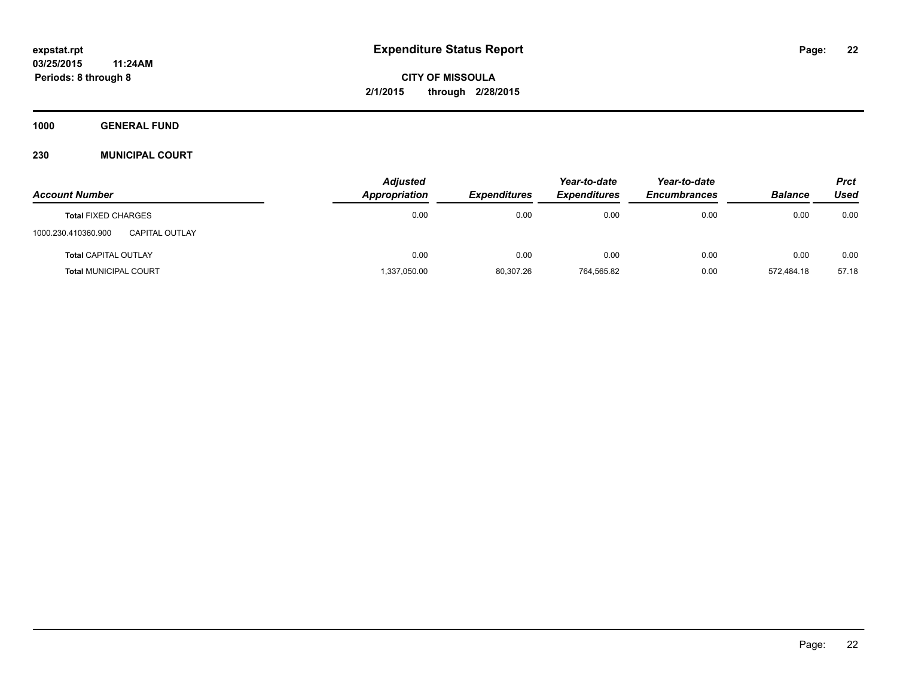**1000 GENERAL FUND**

## **230 MUNICIPAL COURT**

| <b>Account Number</b>                 | <b>Adjusted</b><br>Appropriation | <b>Expenditures</b> | Year-to-date<br><b>Expenditures</b> | Year-to-date<br><b>Encumbrances</b> | <b>Balance</b> | <b>Prct</b><br>Used |
|---------------------------------------|----------------------------------|---------------------|-------------------------------------|-------------------------------------|----------------|---------------------|
| <b>Total FIXED CHARGES</b>            | 0.00                             | 0.00                | 0.00                                | 0.00                                | 0.00           | 0.00                |
| 1000.230.410360.900<br>CAPITAL OUTLAY |                                  |                     |                                     |                                     |                |                     |
| <b>Total CAPITAL OUTLAY</b>           | 0.00                             | 0.00                | 0.00                                | 0.00                                | 0.00           | 0.00                |
| <b>Total MUNICIPAL COURT</b>          | 1,337,050.00                     | 80,307.26           | 764,565.82                          | 0.00                                | 572.484.18     | 57.18               |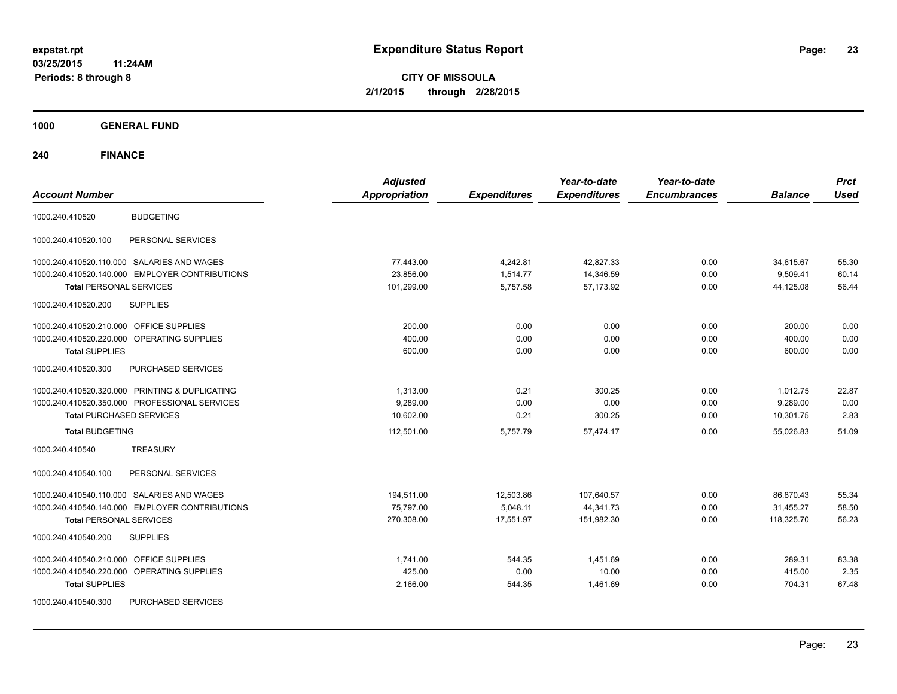**CITY OF MISSOULA 2/1/2015 through 2/28/2015**

**1000 GENERAL FUND**

| <b>Account Number</b>                          | <b>Adjusted</b><br><b>Appropriation</b> | <b>Expenditures</b> | Year-to-date<br><b>Expenditures</b> | Year-to-date<br><b>Encumbrances</b> | <b>Balance</b> | <b>Prct</b><br><b>Used</b> |
|------------------------------------------------|-----------------------------------------|---------------------|-------------------------------------|-------------------------------------|----------------|----------------------------|
| <b>BUDGETING</b><br>1000.240.410520            |                                         |                     |                                     |                                     |                |                            |
| PERSONAL SERVICES<br>1000.240.410520.100       |                                         |                     |                                     |                                     |                |                            |
| 1000.240.410520.110.000 SALARIES AND WAGES     | 77,443.00                               | 4,242.81            | 42,827.33                           | 0.00                                | 34,615.67      | 55.30                      |
| 1000.240.410520.140.000 EMPLOYER CONTRIBUTIONS | 23.856.00                               | 1.514.77            | 14,346.59                           | 0.00                                | 9.509.41       | 60.14                      |
| <b>Total PERSONAL SERVICES</b>                 | 101,299.00                              | 5,757.58            | 57,173.92                           | 0.00                                | 44,125.08      | 56.44                      |
| 1000.240.410520.200<br><b>SUPPLIES</b>         |                                         |                     |                                     |                                     |                |                            |
| 1000.240.410520.210.000 OFFICE SUPPLIES        | 200.00                                  | 0.00                | 0.00                                | 0.00                                | 200.00         | 0.00                       |
| 1000.240.410520.220.000 OPERATING SUPPLIES     | 400.00                                  | 0.00                | 0.00                                | 0.00                                | 400.00         | 0.00                       |
| <b>Total SUPPLIES</b>                          | 600.00                                  | 0.00                | 0.00                                | 0.00                                | 600.00         | 0.00                       |
| 1000.240.410520.300<br>PURCHASED SERVICES      |                                         |                     |                                     |                                     |                |                            |
| 1000.240.410520.320.000 PRINTING & DUPLICATING | 1,313.00                                | 0.21                | 300.25                              | 0.00                                | 1,012.75       | 22.87                      |
| 1000.240.410520.350.000 PROFESSIONAL SERVICES  | 9.289.00                                | 0.00                | 0.00                                | 0.00                                | 9,289.00       | 0.00                       |
| <b>Total PURCHASED SERVICES</b>                | 10.602.00                               | 0.21                | 300.25                              | 0.00                                | 10,301.75      | 2.83                       |
| <b>Total BUDGETING</b>                         | 112,501.00                              | 5,757.79            | 57,474.17                           | 0.00                                | 55,026.83      | 51.09                      |
| 1000.240.410540<br><b>TREASURY</b>             |                                         |                     |                                     |                                     |                |                            |
| PERSONAL SERVICES<br>1000.240.410540.100       |                                         |                     |                                     |                                     |                |                            |
| 1000.240.410540.110.000 SALARIES AND WAGES     | 194,511.00                              | 12,503.86           | 107,640.57                          | 0.00                                | 86,870.43      | 55.34                      |
| 1000.240.410540.140.000 EMPLOYER CONTRIBUTIONS | 75,797.00                               | 5,048.11            | 44,341.73                           | 0.00                                | 31,455.27      | 58.50                      |
| <b>Total PERSONAL SERVICES</b>                 | 270,308.00                              | 17,551.97           | 151,982.30                          | 0.00                                | 118,325.70     | 56.23                      |
| <b>SUPPLIES</b><br>1000.240.410540.200         |                                         |                     |                                     |                                     |                |                            |
| 1000.240.410540.210.000 OFFICE SUPPLIES        | 1.741.00                                | 544.35              | 1.451.69                            | 0.00                                | 289.31         | 83.38                      |
| 1000.240.410540.220.000 OPERATING SUPPLIES     | 425.00                                  | 0.00                | 10.00                               | 0.00                                | 415.00         | 2.35                       |
| <b>Total SUPPLIES</b>                          | 2,166.00                                | 544.35              | 1,461.69                            | 0.00                                | 704.31         | 67.48                      |
| PURCHASED SERVICES<br>1000.240.410540.300      |                                         |                     |                                     |                                     |                |                            |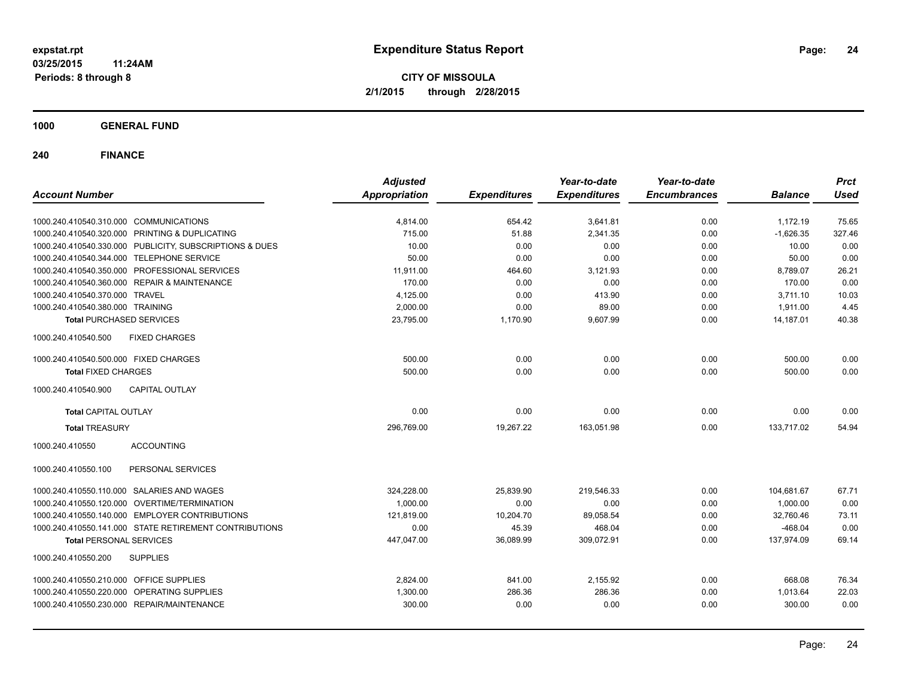**CITY OF MISSOULA 2/1/2015 through 2/28/2015**

**1000 GENERAL FUND**

| <b>Account Number</b>                                   | <b>Adjusted</b><br><b>Appropriation</b> | <b>Expenditures</b> | Year-to-date<br><b>Expenditures</b> | Year-to-date<br><b>Encumbrances</b> | <b>Balance</b> | <b>Prct</b><br><b>Used</b> |
|---------------------------------------------------------|-----------------------------------------|---------------------|-------------------------------------|-------------------------------------|----------------|----------------------------|
|                                                         |                                         |                     |                                     |                                     |                |                            |
| 1000.240.410540.310.000 COMMUNICATIONS                  | 4,814.00                                | 654.42              | 3,641.81                            | 0.00                                | 1,172.19       | 75.65                      |
| 1000.240.410540.320.000 PRINTING & DUPLICATING          | 715.00                                  | 51.88               | 2,341.35                            | 0.00                                | $-1,626.35$    | 327.46                     |
| 1000.240.410540.330.000 PUBLICITY, SUBSCRIPTIONS & DUES | 10.00                                   | 0.00                | 0.00                                | 0.00                                | 10.00          | 0.00                       |
| 1000.240.410540.344.000 TELEPHONE SERVICE               | 50.00                                   | 0.00                | 0.00                                | 0.00                                | 50.00          | 0.00                       |
| 1000.240.410540.350.000 PROFESSIONAL SERVICES           | 11,911.00                               | 464.60              | 3,121.93                            | 0.00                                | 8,789.07       | 26.21                      |
| 1000.240.410540.360.000 REPAIR & MAINTENANCE            | 170.00                                  | 0.00                | 0.00                                | 0.00                                | 170.00         | 0.00                       |
| 1000.240.410540.370.000 TRAVEL                          | 4,125.00                                | 0.00                | 413.90                              | 0.00                                | 3,711.10       | 10.03                      |
| 1000.240.410540.380.000 TRAINING                        | 2,000.00                                | 0.00                | 89.00                               | 0.00                                | 1,911.00       | 4.45                       |
| <b>Total PURCHASED SERVICES</b>                         | 23,795.00                               | 1,170.90            | 9,607.99                            | 0.00                                | 14,187.01      | 40.38                      |
| 1000.240.410540.500<br><b>FIXED CHARGES</b>             |                                         |                     |                                     |                                     |                |                            |
| 1000.240.410540.500.000 FIXED CHARGES                   | 500.00                                  | 0.00                | 0.00                                | 0.00                                | 500.00         | 0.00                       |
| <b>Total FIXED CHARGES</b>                              | 500.00                                  | 0.00                | 0.00                                | 0.00                                | 500.00         | 0.00                       |
| <b>CAPITAL OUTLAY</b><br>1000.240.410540.900            |                                         |                     |                                     |                                     |                |                            |
| <b>Total CAPITAL OUTLAY</b>                             | 0.00                                    | 0.00                | 0.00                                | 0.00                                | 0.00           | 0.00                       |
| <b>Total TREASURY</b>                                   | 296,769.00                              | 19,267.22           | 163,051.98                          | 0.00                                | 133,717.02     | 54.94                      |
| 1000.240.410550<br><b>ACCOUNTING</b>                    |                                         |                     |                                     |                                     |                |                            |
| PERSONAL SERVICES<br>1000.240.410550.100                |                                         |                     |                                     |                                     |                |                            |
| 1000.240.410550.110.000 SALARIES AND WAGES              | 324,228.00                              | 25,839.90           | 219,546.33                          | 0.00                                | 104,681.67     | 67.71                      |
| 1000.240.410550.120.000 OVERTIME/TERMINATION            | 1,000.00                                | 0.00                | 0.00                                | 0.00                                | 1,000.00       | 0.00                       |
| 1000.240.410550.140.000 EMPLOYER CONTRIBUTIONS          | 121,819.00                              | 10,204.70           | 89,058.54                           | 0.00                                | 32,760.46      | 73.11                      |
| 1000.240.410550.141.000 STATE RETIREMENT CONTRIBUTIONS  | 0.00                                    | 45.39               | 468.04                              | 0.00                                | $-468.04$      | 0.00                       |
| <b>Total PERSONAL SERVICES</b>                          | 447,047.00                              | 36,089.99           | 309,072.91                          | 0.00                                | 137,974.09     | 69.14                      |
| 1000.240.410550.200<br><b>SUPPLIES</b>                  |                                         |                     |                                     |                                     |                |                            |
| 1000.240.410550.210.000 OFFICE SUPPLIES                 | 2,824.00                                | 841.00              | 2,155.92                            | 0.00                                | 668.08         | 76.34                      |
| 1000.240.410550.220.000 OPERATING SUPPLIES              | 1,300.00                                | 286.36              | 286.36                              | 0.00                                | 1,013.64       | 22.03                      |
| 1000.240.410550.230.000 REPAIR/MAINTENANCE              | 300.00                                  | 0.00                | 0.00                                | 0.00                                | 300.00         | 0.00                       |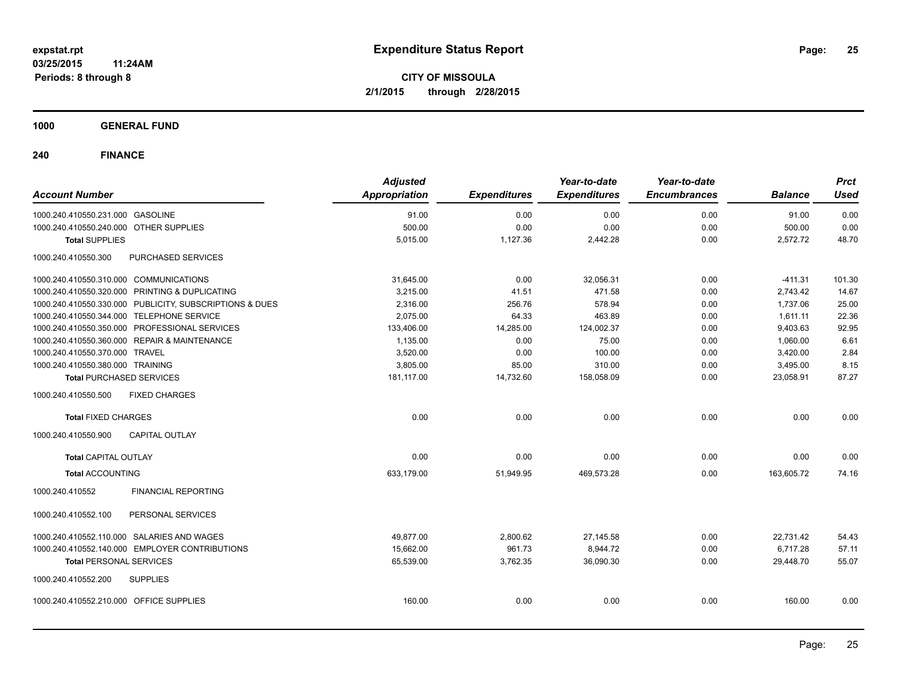**1000 GENERAL FUND**

| <b>Account Number</b>                                   | <b>Adjusted</b><br>Appropriation | <b>Expenditures</b> | Year-to-date<br><b>Expenditures</b> | Year-to-date<br><b>Encumbrances</b> | <b>Balance</b> | <b>Prct</b><br><b>Used</b> |
|---------------------------------------------------------|----------------------------------|---------------------|-------------------------------------|-------------------------------------|----------------|----------------------------|
| 1000.240.410550.231.000 GASOLINE                        | 91.00                            | 0.00                | 0.00                                | 0.00                                | 91.00          | 0.00                       |
| 1000.240.410550.240.000 OTHER SUPPLIES                  | 500.00                           | 0.00                | 0.00                                | 0.00                                | 500.00         | 0.00                       |
| <b>Total SUPPLIES</b>                                   | 5,015.00                         | 1,127.36            | 2,442.28                            | 0.00                                | 2,572.72       | 48.70                      |
| 1000.240.410550.300<br>PURCHASED SERVICES               |                                  |                     |                                     |                                     |                |                            |
| 1000.240.410550.310.000 COMMUNICATIONS                  | 31,645.00                        | 0.00                | 32,056.31                           | 0.00                                | $-411.31$      | 101.30                     |
| 1000.240.410550.320.000 PRINTING & DUPLICATING          | 3,215.00                         | 41.51               | 471.58                              | 0.00                                | 2,743.42       | 14.67                      |
| 1000.240.410550.330.000 PUBLICITY, SUBSCRIPTIONS & DUES | 2,316.00                         | 256.76              | 578.94                              | 0.00                                | 1,737.06       | 25.00                      |
| 1000.240.410550.344.000 TELEPHONE SERVICE               | 2,075.00                         | 64.33               | 463.89                              | 0.00                                | 1,611.11       | 22.36                      |
| 1000.240.410550.350.000 PROFESSIONAL SERVICES           | 133,406.00                       | 14,285.00           | 124,002.37                          | 0.00                                | 9,403.63       | 92.95                      |
| 1000.240.410550.360.000 REPAIR & MAINTENANCE            | 1,135.00                         | 0.00                | 75.00                               | 0.00                                | 1,060.00       | 6.61                       |
| 1000.240.410550.370.000 TRAVEL                          | 3,520.00                         | 0.00                | 100.00                              | 0.00                                | 3,420.00       | 2.84                       |
| 1000.240.410550.380.000 TRAINING                        | 3,805.00                         | 85.00               | 310.00                              | 0.00                                | 3,495.00       | 8.15                       |
| <b>Total PURCHASED SERVICES</b>                         | 181,117.00                       | 14,732.60           | 158,058.09                          | 0.00                                | 23,058.91      | 87.27                      |
| 1000.240.410550.500<br><b>FIXED CHARGES</b>             |                                  |                     |                                     |                                     |                |                            |
| <b>Total FIXED CHARGES</b>                              | 0.00                             | 0.00                | 0.00                                | 0.00                                | 0.00           | 0.00                       |
| <b>CAPITAL OUTLAY</b><br>1000.240.410550.900            |                                  |                     |                                     |                                     |                |                            |
| <b>Total CAPITAL OUTLAY</b>                             | 0.00                             | 0.00                | 0.00                                | 0.00                                | 0.00           | 0.00                       |
| <b>Total ACCOUNTING</b>                                 | 633,179.00                       | 51,949.95           | 469,573.28                          | 0.00                                | 163,605.72     | 74.16                      |
| 1000.240.410552<br><b>FINANCIAL REPORTING</b>           |                                  |                     |                                     |                                     |                |                            |
| PERSONAL SERVICES<br>1000.240.410552.100                |                                  |                     |                                     |                                     |                |                            |
| 1000.240.410552.110.000 SALARIES AND WAGES              | 49,877.00                        | 2,800.62            | 27,145.58                           | 0.00                                | 22,731.42      | 54.43                      |
| 1000.240.410552.140.000 EMPLOYER CONTRIBUTIONS          | 15,662.00                        | 961.73              | 8,944.72                            | 0.00                                | 6,717.28       | 57.11                      |
| <b>Total PERSONAL SERVICES</b>                          | 65,539.00                        | 3,762.35            | 36,090.30                           | 0.00                                | 29,448.70      | 55.07                      |
| 1000.240.410552.200<br><b>SUPPLIES</b>                  |                                  |                     |                                     |                                     |                |                            |
| 1000.240.410552.210.000 OFFICE SUPPLIES                 | 160.00                           | 0.00                | 0.00                                | 0.00                                | 160.00         | 0.00                       |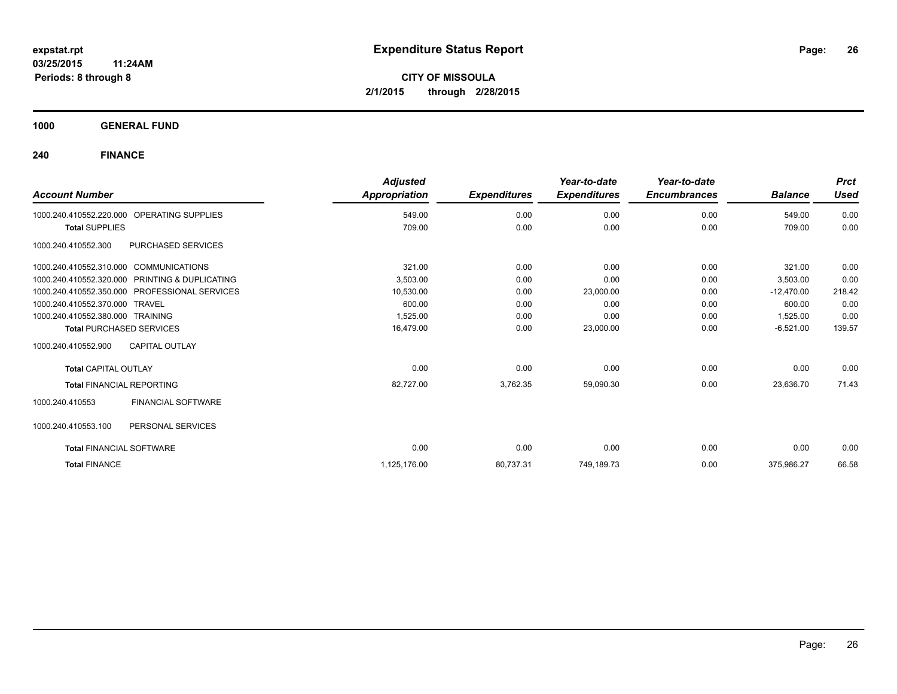**1000 GENERAL FUND**

| <b>Account Number</b>                  |                                               | <b>Adjusted</b><br>Appropriation | <b>Expenditures</b> | Year-to-date<br><b>Expenditures</b> | Year-to-date<br><b>Encumbrances</b> | <b>Balance</b> | <b>Prct</b><br><b>Used</b> |
|----------------------------------------|-----------------------------------------------|----------------------------------|---------------------|-------------------------------------|-------------------------------------|----------------|----------------------------|
| 1000.240.410552.220.000                | OPERATING SUPPLIES                            | 549.00                           | 0.00                | 0.00                                | 0.00                                | 549.00         | 0.00                       |
| <b>Total SUPPLIES</b>                  |                                               | 709.00                           | 0.00                | 0.00                                | 0.00                                | 709.00         | 0.00                       |
| 1000.240.410552.300                    | PURCHASED SERVICES                            |                                  |                     |                                     |                                     |                |                            |
| 1000.240.410552.310.000 COMMUNICATIONS |                                               | 321.00                           | 0.00                | 0.00                                | 0.00                                | 321.00         | 0.00                       |
| 1000.240.410552.320.000                | PRINTING & DUPLICATING                        | 3,503.00                         | 0.00                | 0.00                                | 0.00                                | 3,503.00       | 0.00                       |
|                                        | 1000.240.410552.350.000 PROFESSIONAL SERVICES | 10,530.00                        | 0.00                | 23,000.00                           | 0.00                                | $-12,470.00$   | 218.42                     |
| 1000.240.410552.370.000 TRAVEL         |                                               | 600.00                           | 0.00                | 0.00                                | 0.00                                | 600.00         | 0.00                       |
| 1000.240.410552.380.000 TRAINING       |                                               | 1,525.00                         | 0.00                | 0.00                                | 0.00                                | 1,525.00       | 0.00                       |
| <b>Total PURCHASED SERVICES</b>        |                                               | 16,479.00                        | 0.00                | 23,000.00                           | 0.00                                | $-6,521.00$    | 139.57                     |
| 1000.240.410552.900                    | <b>CAPITAL OUTLAY</b>                         |                                  |                     |                                     |                                     |                |                            |
| <b>Total CAPITAL OUTLAY</b>            |                                               | 0.00                             | 0.00                | 0.00                                | 0.00                                | 0.00           | 0.00                       |
| <b>Total FINANCIAL REPORTING</b>       |                                               | 82,727.00                        | 3,762.35            | 59,090.30                           | 0.00                                | 23,636.70      | 71.43                      |
| 1000.240.410553                        | <b>FINANCIAL SOFTWARE</b>                     |                                  |                     |                                     |                                     |                |                            |
| 1000.240.410553.100                    | PERSONAL SERVICES                             |                                  |                     |                                     |                                     |                |                            |
| <b>Total FINANCIAL SOFTWARE</b>        |                                               | 0.00                             | 0.00                | 0.00                                | 0.00                                | 0.00           | 0.00                       |
| <b>Total FINANCE</b>                   |                                               | 1,125,176.00                     | 80,737.31           | 749,189.73                          | 0.00                                | 375,986.27     | 66.58                      |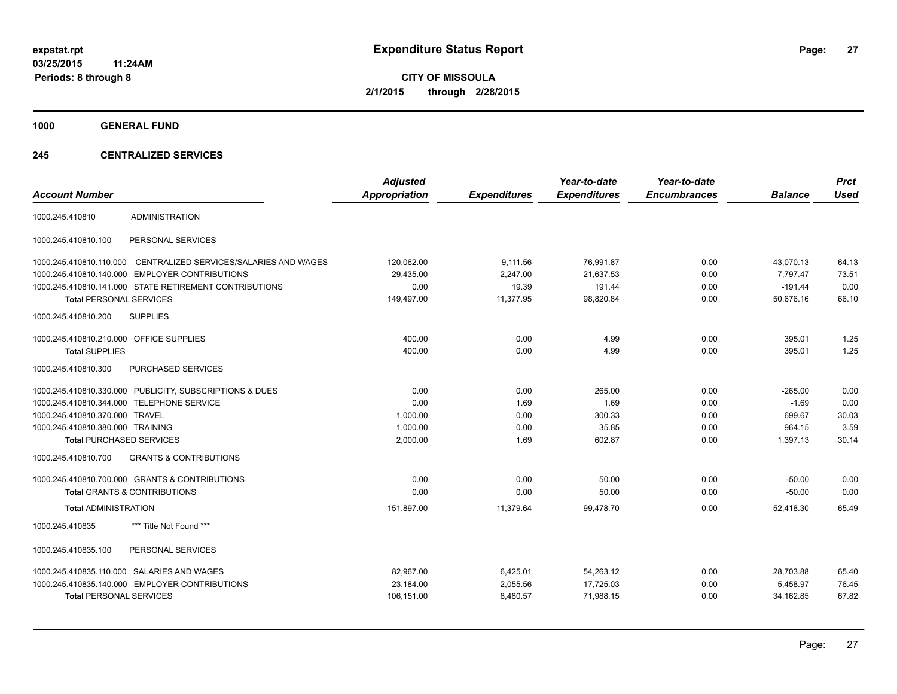**1000 GENERAL FUND**

## **245 CENTRALIZED SERVICES**

| <b>Account Number</b>                   |                                                         | <b>Adjusted</b><br><b>Appropriation</b> | <b>Expenditures</b> | Year-to-date<br><b>Expenditures</b> | Year-to-date<br><b>Encumbrances</b> | <b>Balance</b> | <b>Prct</b><br><b>Used</b> |
|-----------------------------------------|---------------------------------------------------------|-----------------------------------------|---------------------|-------------------------------------|-------------------------------------|----------------|----------------------------|
| 1000.245.410810                         | <b>ADMINISTRATION</b>                                   |                                         |                     |                                     |                                     |                |                            |
| 1000.245.410810.100                     | PERSONAL SERVICES                                       |                                         |                     |                                     |                                     |                |                            |
| 1000.245.410810.110.000                 | CENTRALIZED SERVICES/SALARIES AND WAGES                 | 120,062.00                              | 9,111.56            | 76,991.87                           | 0.00                                | 43,070.13      | 64.13                      |
| 1000.245.410810.140.000                 | <b>EMPLOYER CONTRIBUTIONS</b>                           | 29.435.00                               | 2,247.00            | 21.637.53                           | 0.00                                | 7.797.47       | 73.51                      |
|                                         | 1000.245.410810.141.000 STATE RETIREMENT CONTRIBUTIONS  | 0.00                                    | 19.39               | 191.44                              | 0.00                                | $-191.44$      | 0.00                       |
| <b>Total PERSONAL SERVICES</b>          |                                                         | 149,497.00                              | 11,377.95           | 98,820.84                           | 0.00                                | 50,676.16      | 66.10                      |
| 1000.245.410810.200                     | <b>SUPPLIES</b>                                         |                                         |                     |                                     |                                     |                |                            |
| 1000.245.410810.210.000 OFFICE SUPPLIES |                                                         | 400.00                                  | 0.00                | 4.99                                | 0.00                                | 395.01         | 1.25                       |
| <b>Total SUPPLIES</b>                   |                                                         | 400.00                                  | 0.00                | 4.99                                | 0.00                                | 395.01         | 1.25                       |
| 1000.245.410810.300                     | PURCHASED SERVICES                                      |                                         |                     |                                     |                                     |                |                            |
|                                         | 1000.245.410810.330.000 PUBLICITY, SUBSCRIPTIONS & DUES | 0.00                                    | 0.00                | 265.00                              | 0.00                                | $-265.00$      | 0.00                       |
|                                         | 1000.245.410810.344.000 TELEPHONE SERVICE               | 0.00                                    | 1.69                | 1.69                                | 0.00                                | $-1.69$        | 0.00                       |
| 1000.245.410810.370.000 TRAVEL          |                                                         | 1,000.00                                | 0.00                | 300.33                              | 0.00                                | 699.67         | 30.03                      |
| 1000.245.410810.380.000 TRAINING        |                                                         | 1,000.00                                | 0.00                | 35.85                               | 0.00                                | 964.15         | 3.59                       |
| <b>Total PURCHASED SERVICES</b>         |                                                         | 2,000.00                                | 1.69                | 602.87                              | 0.00                                | 1,397.13       | 30.14                      |
| 1000.245.410810.700                     | <b>GRANTS &amp; CONTRIBUTIONS</b>                       |                                         |                     |                                     |                                     |                |                            |
|                                         | 1000.245.410810.700.000 GRANTS & CONTRIBUTIONS          | 0.00                                    | 0.00                | 50.00                               | 0.00                                | $-50.00$       | 0.00                       |
|                                         | <b>Total GRANTS &amp; CONTRIBUTIONS</b>                 | 0.00                                    | 0.00                | 50.00                               | 0.00                                | $-50.00$       | 0.00                       |
| <b>Total ADMINISTRATION</b>             |                                                         | 151,897.00                              | 11,379.64           | 99.478.70                           | 0.00                                | 52.418.30      | 65.49                      |
| 1000.245.410835                         | *** Title Not Found ***                                 |                                         |                     |                                     |                                     |                |                            |
| 1000.245.410835.100                     | PERSONAL SERVICES                                       |                                         |                     |                                     |                                     |                |                            |
|                                         | 1000.245.410835.110.000 SALARIES AND WAGES              | 82.967.00                               | 6,425.01            | 54.263.12                           | 0.00                                | 28,703.88      | 65.40                      |
|                                         | 1000.245.410835.140.000 EMPLOYER CONTRIBUTIONS          | 23,184.00                               | 2,055.56            | 17,725.03                           | 0.00                                | 5,458.97       | 76.45                      |
| <b>Total PERSONAL SERVICES</b>          |                                                         | 106,151.00                              | 8,480.57            | 71,988.15                           | 0.00                                | 34,162.85      | 67.82                      |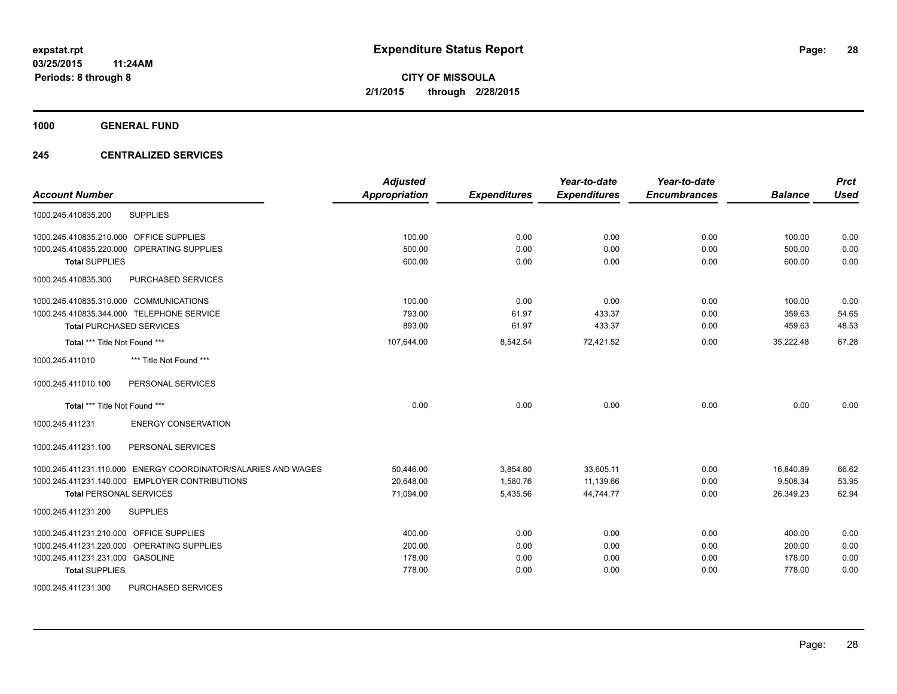**1000 GENERAL FUND**

## **245 CENTRALIZED SERVICES**

|                                                               | <b>Adjusted</b>      |                     | Year-to-date        | Year-to-date        |                | <b>Prct</b> |
|---------------------------------------------------------------|----------------------|---------------------|---------------------|---------------------|----------------|-------------|
| <b>Account Number</b>                                         | <b>Appropriation</b> | <b>Expenditures</b> | <b>Expenditures</b> | <b>Encumbrances</b> | <b>Balance</b> | <b>Used</b> |
| <b>SUPPLIES</b><br>1000.245.410835.200                        |                      |                     |                     |                     |                |             |
| 1000.245.410835.210.000 OFFICE SUPPLIES                       | 100.00               | 0.00                | 0.00                | 0.00                | 100.00         | 0.00        |
| 1000.245.410835.220.000 OPERATING SUPPLIES                    | 500.00               | 0.00                | 0.00                | 0.00                | 500.00         | 0.00        |
| <b>Total SUPPLIES</b>                                         | 600.00               | 0.00                | 0.00                | 0.00                | 600.00         | 0.00        |
| 1000.245.410835.300<br>PURCHASED SERVICES                     |                      |                     |                     |                     |                |             |
| 1000.245.410835.310.000 COMMUNICATIONS                        | 100.00               | 0.00                | 0.00                | 0.00                | 100.00         | 0.00        |
| 1000.245.410835.344.000 TELEPHONE SERVICE                     | 793.00               | 61.97               | 433.37              | 0.00                | 359.63         | 54.65       |
| <b>Total PURCHASED SERVICES</b>                               | 893.00               | 61.97               | 433.37              | 0.00                | 459.63         | 48.53       |
| Total *** Title Not Found ***                                 | 107,644.00           | 8,542.54            | 72,421.52           | 0.00                | 35,222.48      | 67.28       |
| 1000.245.411010<br>*** Title Not Found ***                    |                      |                     |                     |                     |                |             |
| 1000.245.411010.100<br>PERSONAL SERVICES                      |                      |                     |                     |                     |                |             |
| Total *** Title Not Found ***                                 | 0.00                 | 0.00                | 0.00                | 0.00                | 0.00           | 0.00        |
| <b>ENERGY CONSERVATION</b><br>1000.245.411231                 |                      |                     |                     |                     |                |             |
| 1000.245.411231.100<br>PERSONAL SERVICES                      |                      |                     |                     |                     |                |             |
| 1000.245.411231.110.000 ENERGY COORDINATOR/SALARIES AND WAGES | 50,446.00            | 3,854.80            | 33,605.11           | 0.00                | 16,840.89      | 66.62       |
| 1000.245.411231.140.000 EMPLOYER CONTRIBUTIONS                | 20,648.00            | 1,580.76            | 11,139.66           | 0.00                | 9,508.34       | 53.95       |
| <b>Total PERSONAL SERVICES</b>                                | 71,094.00            | 5,435.56            | 44,744.77           | 0.00                | 26,349.23      | 62.94       |
| 1000.245.411231.200<br><b>SUPPLIES</b>                        |                      |                     |                     |                     |                |             |
| 1000.245.411231.210.000 OFFICE SUPPLIES                       | 400.00               | 0.00                | 0.00                | 0.00                | 400.00         | 0.00        |
| 1000.245.411231.220.000 OPERATING SUPPLIES                    | 200.00               | 0.00                | 0.00                | 0.00                | 200.00         | 0.00        |
| 1000.245.411231.231.000 GASOLINE                              | 178.00               | 0.00                | 0.00                | 0.00                | 178.00         | 0.00        |
| <b>Total SUPPLIES</b>                                         | 778.00               | 0.00                | 0.00                | 0.00                | 778.00         | 0.00        |
| 1000.245.411231.300<br>PURCHASED SERVICES                     |                      |                     |                     |                     |                |             |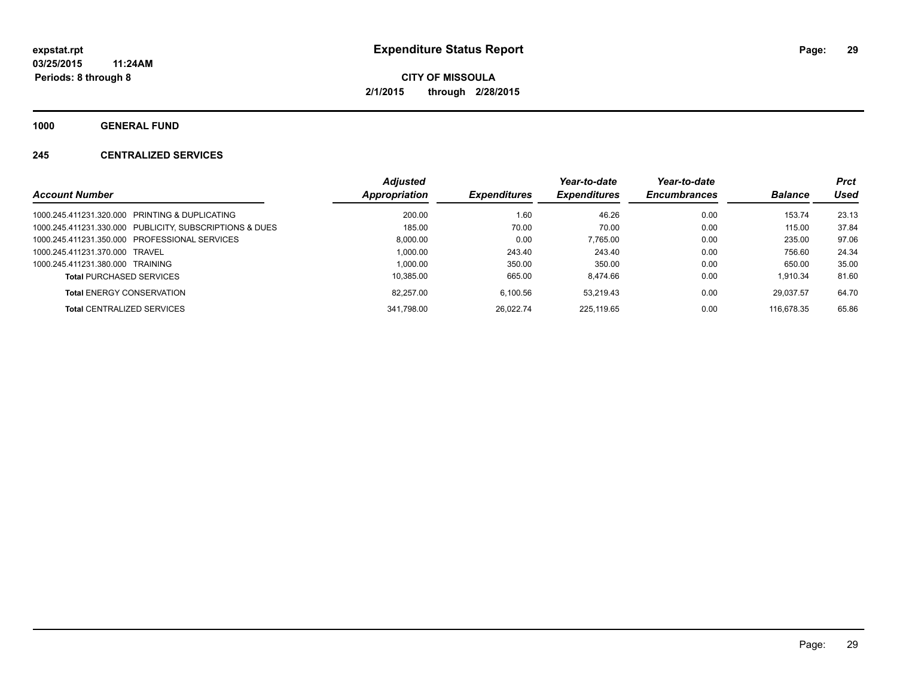**1000 GENERAL FUND**

## **245 CENTRALIZED SERVICES**

|                                                         | <b>Adjusted</b> |                     | Year-to-date        | Year-to-date        |                | <b>Prct</b> |
|---------------------------------------------------------|-----------------|---------------------|---------------------|---------------------|----------------|-------------|
| <b>Account Number</b>                                   | Appropriation   | <b>Expenditures</b> | <b>Expenditures</b> | <b>Encumbrances</b> | <b>Balance</b> | Used        |
| 1000.245.411231.320.000 PRINTING & DUPLICATING          | 200.00          | 1.60                | 46.26               | 0.00                | 153.74         | 23.13       |
| 1000.245.411231.330.000 PUBLICITY, SUBSCRIPTIONS & DUES | 185.00          | 70.00               | 70.00               | 0.00                | 115.00         | 37.84       |
| 1000.245.411231.350.000 PROFESSIONAL SERVICES           | 8.000.00        | 0.00                | 7.765.00            | 0.00                | 235.00         | 97.06       |
| 1000.245.411231.370.000 TRAVEL                          | 1.000.00        | 243.40              | 243.40              | 0.00                | 756.60         | 24.34       |
| 1000.245.411231.380.000 TRAINING                        | 1.000.00        | 350.00              | 350.00              | 0.00                | 650.00         | 35.00       |
| <b>Total PURCHASED SERVICES</b>                         | 10,385.00       | 665.00              | 8.474.66            | 0.00                | 1.910.34       | 81.60       |
| <b>Total ENERGY CONSERVATION</b>                        | 82.257.00       | 6.100.56            | 53.219.43           | 0.00                | 29.037.57      | 64.70       |
| <b>Total CENTRALIZED SERVICES</b>                       | 341.798.00      | 26.022.74           | 225.119.65          | 0.00                | 116.678.35     | 65.86       |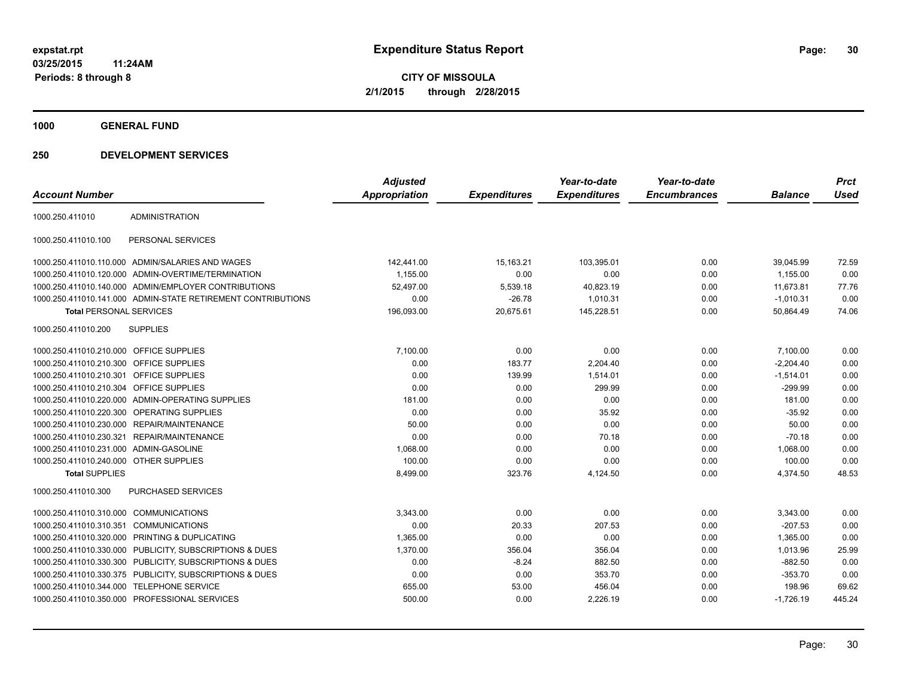**1000 GENERAL FUND**

| <b>Account Number</b>                   |                                                              | <b>Adjusted</b><br><b>Appropriation</b> | <b>Expenditures</b> | Year-to-date<br><b>Expenditures</b> | Year-to-date<br><b>Encumbrances</b> | <b>Balance</b> | <b>Prct</b><br><b>Used</b> |
|-----------------------------------------|--------------------------------------------------------------|-----------------------------------------|---------------------|-------------------------------------|-------------------------------------|----------------|----------------------------|
|                                         |                                                              |                                         |                     |                                     |                                     |                |                            |
| 1000.250.411010                         | <b>ADMINISTRATION</b>                                        |                                         |                     |                                     |                                     |                |                            |
| 1000.250.411010.100                     | PERSONAL SERVICES                                            |                                         |                     |                                     |                                     |                |                            |
|                                         | 1000.250.411010.110.000 ADMIN/SALARIES AND WAGES             | 142,441.00                              | 15,163.21           | 103,395.01                          | 0.00                                | 39,045.99      | 72.59                      |
|                                         | 1000.250.411010.120.000 ADMIN-OVERTIME/TERMINATION           | 1,155.00                                | 0.00                | 0.00                                | 0.00                                | 1,155.00       | 0.00                       |
|                                         | 1000.250.411010.140.000 ADMIN/EMPLOYER CONTRIBUTIONS         | 52.497.00                               | 5,539.18            | 40,823.19                           | 0.00                                | 11.673.81      | 77.76                      |
|                                         | 1000.250.411010.141.000 ADMIN-STATE RETIREMENT CONTRIBUTIONS | 0.00                                    | $-26.78$            | 1,010.31                            | 0.00                                | $-1,010.31$    | 0.00                       |
| <b>Total PERSONAL SERVICES</b>          |                                                              | 196,093.00                              | 20,675.61           | 145,228.51                          | 0.00                                | 50,864.49      | 74.06                      |
| 1000.250.411010.200                     | <b>SUPPLIES</b>                                              |                                         |                     |                                     |                                     |                |                            |
| 1000.250.411010.210.000 OFFICE SUPPLIES |                                                              | 7,100.00                                | 0.00                | 0.00                                | 0.00                                | 7,100.00       | 0.00                       |
| 1000.250.411010.210.300 OFFICE SUPPLIES |                                                              | 0.00                                    | 183.77              | 2,204.40                            | 0.00                                | $-2.204.40$    | 0.00                       |
| 1000.250.411010.210.301                 | OFFICE SUPPLIES                                              | 0.00                                    | 139.99              | 1,514.01                            | 0.00                                | $-1,514.01$    | 0.00                       |
| 1000.250.411010.210.304 OFFICE SUPPLIES |                                                              | 0.00                                    | 0.00                | 299.99                              | 0.00                                | $-299.99$      | 0.00                       |
|                                         | 1000.250.411010.220.000 ADMIN-OPERATING SUPPLIES             | 181.00                                  | 0.00                | 0.00                                | 0.00                                | 181.00         | 0.00                       |
|                                         | 1000.250.411010.220.300 OPERATING SUPPLIES                   | 0.00                                    | 0.00                | 35.92                               | 0.00                                | $-35.92$       | 0.00                       |
|                                         | 1000.250.411010.230.000 REPAIR/MAINTENANCE                   | 50.00                                   | 0.00                | 0.00                                | 0.00                                | 50.00          | 0.00                       |
| 1000.250.411010.230.321                 | <b>REPAIR/MAINTENANCE</b>                                    | 0.00                                    | 0.00                | 70.18                               | 0.00                                | $-70.18$       | 0.00                       |
| 1000.250.411010.231.000 ADMIN-GASOLINE  |                                                              | 1,068.00                                | 0.00                | 0.00                                | 0.00                                | 1,068.00       | 0.00                       |
| 1000.250.411010.240.000 OTHER SUPPLIES  |                                                              | 100.00                                  | 0.00                | 0.00                                | 0.00                                | 100.00         | 0.00                       |
| <b>Total SUPPLIES</b>                   |                                                              | 8,499.00                                | 323.76              | 4,124.50                            | 0.00                                | 4,374.50       | 48.53                      |
| 1000.250.411010.300                     | PURCHASED SERVICES                                           |                                         |                     |                                     |                                     |                |                            |
| 1000.250.411010.310.000 COMMUNICATIONS  |                                                              | 3,343.00                                | 0.00                | 0.00                                | 0.00                                | 3,343.00       | 0.00                       |
| 1000.250.411010.310.351                 | <b>COMMUNICATIONS</b>                                        | 0.00                                    | 20.33               | 207.53                              | 0.00                                | $-207.53$      | 0.00                       |
| 1000.250.411010.320.000                 | PRINTING & DUPLICATING                                       | 1,365.00                                | 0.00                | 0.00                                | 0.00                                | 1,365.00       | 0.00                       |
|                                         | 1000.250.411010.330.000 PUBLICITY, SUBSCRIPTIONS & DUES      | 1,370.00                                | 356.04              | 356.04                              | 0.00                                | 1,013.96       | 25.99                      |
|                                         | 1000.250.411010.330.300 PUBLICITY, SUBSCRIPTIONS & DUES      | 0.00                                    | $-8.24$             | 882.50                              | 0.00                                | $-882.50$      | 0.00                       |
|                                         | 1000.250.411010.330.375 PUBLICITY, SUBSCRIPTIONS & DUES      | 0.00                                    | 0.00                | 353.70                              | 0.00                                | $-353.70$      | 0.00                       |
|                                         | 1000.250.411010.344.000 TELEPHONE SERVICE                    | 655.00                                  | 53.00               | 456.04                              | 0.00                                | 198.96         | 69.62                      |
|                                         | 1000.250.411010.350.000 PROFESSIONAL SERVICES                | 500.00                                  | 0.00                | 2,226.19                            | 0.00                                | $-1,726.19$    | 445.24                     |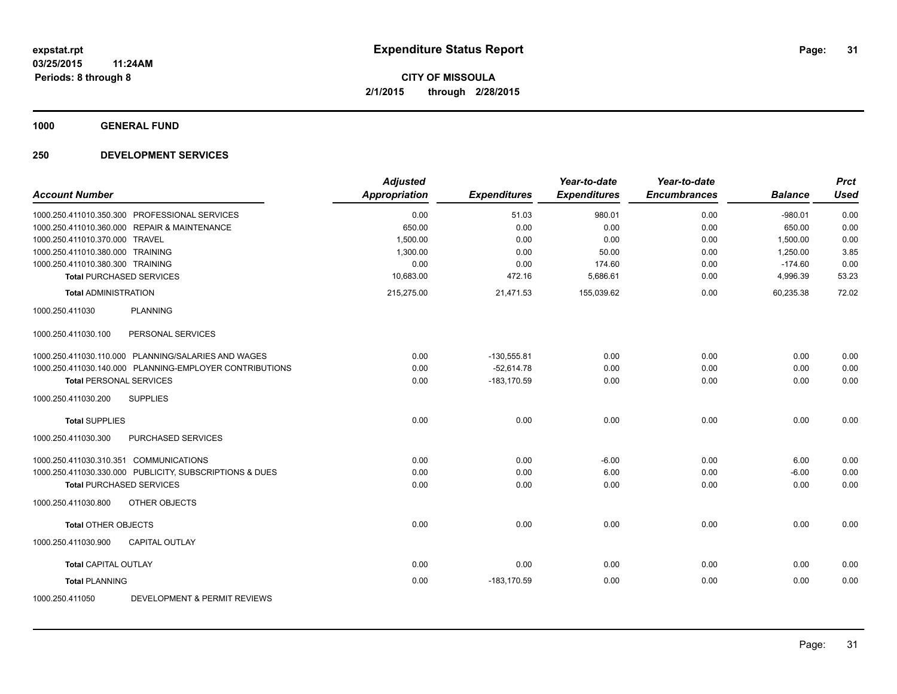**1000 GENERAL FUND**

|                                        |                                                         | <b>Adjusted</b>      |                     | Year-to-date        | Year-to-date        |                | <b>Prct</b> |
|----------------------------------------|---------------------------------------------------------|----------------------|---------------------|---------------------|---------------------|----------------|-------------|
| <b>Account Number</b>                  |                                                         | <b>Appropriation</b> | <b>Expenditures</b> | <b>Expenditures</b> | <b>Encumbrances</b> | <b>Balance</b> | <b>Used</b> |
|                                        | 1000.250.411010.350.300 PROFESSIONAL SERVICES           | 0.00                 | 51.03               | 980.01              | 0.00                | $-980.01$      | 0.00        |
|                                        | 1000.250.411010.360.000 REPAIR & MAINTENANCE            | 650.00               | 0.00                | 0.00                | 0.00                | 650.00         | 0.00        |
| 1000.250.411010.370.000 TRAVEL         |                                                         | 1,500.00             | 0.00                | 0.00                | 0.00                | 1,500.00       | 0.00        |
| 1000.250.411010.380.000 TRAINING       |                                                         | 1,300.00             | 0.00                | 50.00               | 0.00                | 1,250.00       | 3.85        |
| 1000.250.411010.380.300 TRAINING       |                                                         | 0.00                 | 0.00                | 174.60              | 0.00                | $-174.60$      | 0.00        |
| <b>Total PURCHASED SERVICES</b>        |                                                         | 10,683.00            | 472.16              | 5,686.61            | 0.00                | 4,996.39       | 53.23       |
| <b>Total ADMINISTRATION</b>            |                                                         | 215,275.00           | 21,471.53           | 155,039.62          | 0.00                | 60,235.38      | 72.02       |
| 1000.250.411030                        | <b>PLANNING</b>                                         |                      |                     |                     |                     |                |             |
| 1000.250.411030.100                    | PERSONAL SERVICES                                       |                      |                     |                     |                     |                |             |
|                                        | 1000.250.411030.110.000 PLANNING/SALARIES AND WAGES     | 0.00                 | $-130,555.81$       | 0.00                | 0.00                | 0.00           | 0.00        |
|                                        | 1000.250.411030.140.000 PLANNING-EMPLOYER CONTRIBUTIONS | 0.00                 | $-52,614.78$        | 0.00                | 0.00                | 0.00           | 0.00        |
| <b>Total PERSONAL SERVICES</b>         |                                                         | 0.00                 | -183.170.59         | 0.00                | 0.00                | 0.00           | 0.00        |
| 1000.250.411030.200                    | <b>SUPPLIES</b>                                         |                      |                     |                     |                     |                |             |
| <b>Total SUPPLIES</b>                  |                                                         | 0.00                 | 0.00                | 0.00                | 0.00                | 0.00           | 0.00        |
| 1000.250.411030.300                    | <b>PURCHASED SERVICES</b>                               |                      |                     |                     |                     |                |             |
| 1000.250.411030.310.351 COMMUNICATIONS |                                                         | 0.00                 | 0.00                | $-6.00$             | 0.00                | 6.00           | 0.00        |
|                                        | 1000.250.411030.330.000 PUBLICITY, SUBSCRIPTIONS & DUES | 0.00                 | 0.00                | 6.00                | 0.00                | $-6.00$        | 0.00        |
| <b>Total PURCHASED SERVICES</b>        |                                                         | 0.00                 | 0.00                | 0.00                | 0.00                | 0.00           | 0.00        |
| 1000.250.411030.800                    | <b>OTHER OBJECTS</b>                                    |                      |                     |                     |                     |                |             |
| <b>Total OTHER OBJECTS</b>             |                                                         | 0.00                 | 0.00                | 0.00                | 0.00                | 0.00           | 0.00        |
| 1000.250.411030.900                    | <b>CAPITAL OUTLAY</b>                                   |                      |                     |                     |                     |                |             |
| <b>Total CAPITAL OUTLAY</b>            |                                                         | 0.00                 | 0.00                | 0.00                | 0.00                | 0.00           | 0.00        |
| <b>Total PLANNING</b>                  |                                                         | 0.00                 | $-183, 170.59$      | 0.00                | 0.00                | 0.00           | 0.00        |
| 1000.250.411050                        | DEVELOPMENT & PERMIT REVIEWS                            |                      |                     |                     |                     |                |             |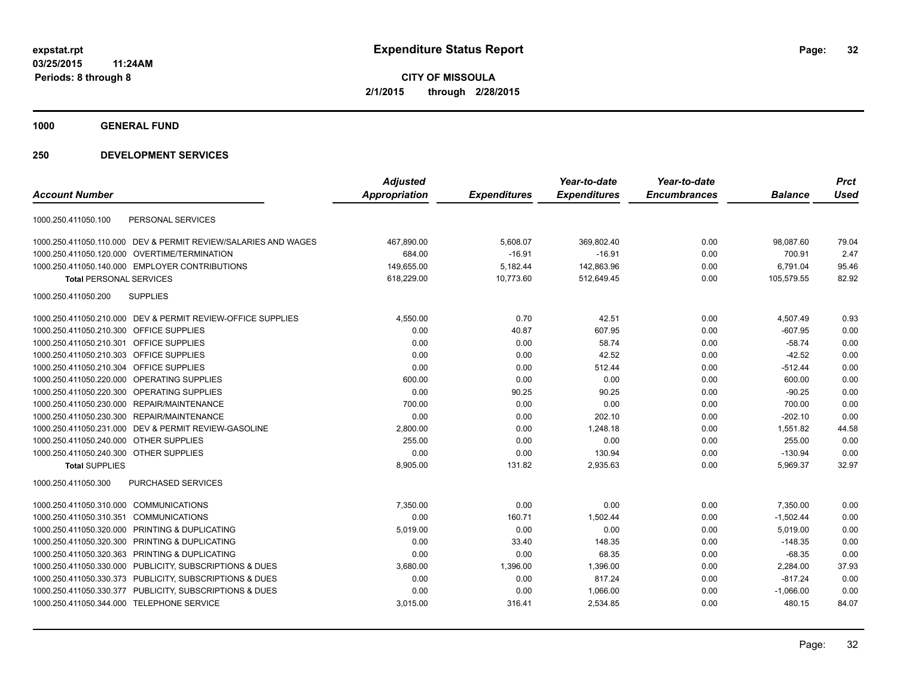**1000 GENERAL FUND**

|                                                                | <b>Adjusted</b>      |                     | Year-to-date        | Year-to-date        |                | <b>Prct</b> |
|----------------------------------------------------------------|----------------------|---------------------|---------------------|---------------------|----------------|-------------|
| <b>Account Number</b>                                          | <b>Appropriation</b> | <b>Expenditures</b> | <b>Expenditures</b> | <b>Encumbrances</b> | <b>Balance</b> | <b>Used</b> |
| PERSONAL SERVICES<br>1000.250.411050.100                       |                      |                     |                     |                     |                |             |
| 1000.250.411050.110.000 DEV & PERMIT REVIEW/SALARIES AND WAGES | 467,890.00           | 5,608.07            | 369,802.40          | 0.00                | 98,087.60      | 79.04       |
| 1000.250.411050.120.000 OVERTIME/TERMINATION                   | 684.00               | $-16.91$            | $-16.91$            | 0.00                | 700.91         | 2.47        |
| 1000.250.411050.140.000 EMPLOYER CONTRIBUTIONS                 | 149,655.00           | 5,182.44            | 142,863.96          | 0.00                | 6,791.04       | 95.46       |
| <b>Total PERSONAL SERVICES</b>                                 | 618,229.00           | 10,773.60           | 512,649.45          | 0.00                | 105,579.55     | 82.92       |
| 1000.250.411050.200<br><b>SUPPLIES</b>                         |                      |                     |                     |                     |                |             |
| 1000.250.411050.210.000 DEV & PERMIT REVIEW-OFFICE SUPPLIES    | 4,550.00             | 0.70                | 42.51               | 0.00                | 4,507.49       | 0.93        |
| 1000.250.411050.210.300 OFFICE SUPPLIES                        | 0.00                 | 40.87               | 607.95              | 0.00                | $-607.95$      | 0.00        |
| 1000.250.411050.210.301<br>OFFICE SUPPLIES                     | 0.00                 | 0.00                | 58.74               | 0.00                | $-58.74$       | 0.00        |
| 1000.250.411050.210.303 OFFICE SUPPLIES                        | 0.00                 | 0.00                | 42.52               | 0.00                | $-42.52$       | 0.00        |
| 1000.250.411050.210.304 OFFICE SUPPLIES                        | 0.00                 | 0.00                | 512.44              | 0.00                | $-512.44$      | 0.00        |
| 1000.250.411050.220.000 OPERATING SUPPLIES                     | 600.00               | 0.00                | 0.00                | 0.00                | 600.00         | 0.00        |
| 1000.250.411050.220.300 OPERATING SUPPLIES                     | 0.00                 | 90.25               | 90.25               | 0.00                | $-90.25$       | 0.00        |
| 1000.250.411050.230.000 REPAIR/MAINTENANCE                     | 700.00               | 0.00                | 0.00                | 0.00                | 700.00         | 0.00        |
| 1000.250.411050.230.300 REPAIR/MAINTENANCE                     | 0.00                 | 0.00                | 202.10              | 0.00                | $-202.10$      | 0.00        |
| 1000.250.411050.231.000 DEV & PERMIT REVIEW-GASOLINE           | 2,800.00             | 0.00                | 1,248.18            | 0.00                | 1,551.82       | 44.58       |
| 1000.250.411050.240.000 OTHER SUPPLIES                         | 255.00               | 0.00                | 0.00                | 0.00                | 255.00         | 0.00        |
| 1000.250.411050.240.300 OTHER SUPPLIES                         | 0.00                 | 0.00                | 130.94              | 0.00                | $-130.94$      | 0.00        |
| <b>Total SUPPLIES</b>                                          | 8,905.00             | 131.82              | 2,935.63            | 0.00                | 5,969.37       | 32.97       |
| PURCHASED SERVICES<br>1000.250.411050.300                      |                      |                     |                     |                     |                |             |
| 1000.250.411050.310.000<br><b>COMMUNICATIONS</b>               | 7,350.00             | 0.00                | 0.00                | 0.00                | 7,350.00       | 0.00        |
| 1000.250.411050.310.351<br><b>COMMUNICATIONS</b>               | 0.00                 | 160.71              | 1,502.44            | 0.00                | $-1,502.44$    | 0.00        |
| 1000.250.411050.320.000 PRINTING & DUPLICATING                 | 5,019.00             | 0.00                | 0.00                | 0.00                | 5,019.00       | 0.00        |
| 1000.250.411050.320.300 PRINTING & DUPLICATING                 | 0.00                 | 33.40               | 148.35              | 0.00                | $-148.35$      | 0.00        |
| 1000.250.411050.320.363<br>PRINTING & DUPLICATING              | 0.00                 | 0.00                | 68.35               | 0.00                | $-68.35$       | 0.00        |
| 1000.250.411050.330.000 PUBLICITY, SUBSCRIPTIONS & DUES        | 3,680.00             | 1,396.00            | 1,396.00            | 0.00                | 2,284.00       | 37.93       |
| 1000.250.411050.330.373 PUBLICITY, SUBSCRIPTIONS & DUES        | 0.00                 | 0.00                | 817.24              | 0.00                | $-817.24$      | 0.00        |
| 1000.250.411050.330.377 PUBLICITY, SUBSCRIPTIONS & DUES        | 0.00                 | 0.00                | 1,066.00            | 0.00                | $-1,066.00$    | 0.00        |
| 1000.250.411050.344.000 TELEPHONE SERVICE                      | 3,015.00             | 316.41              | 2,534.85            | 0.00                | 480.15         | 84.07       |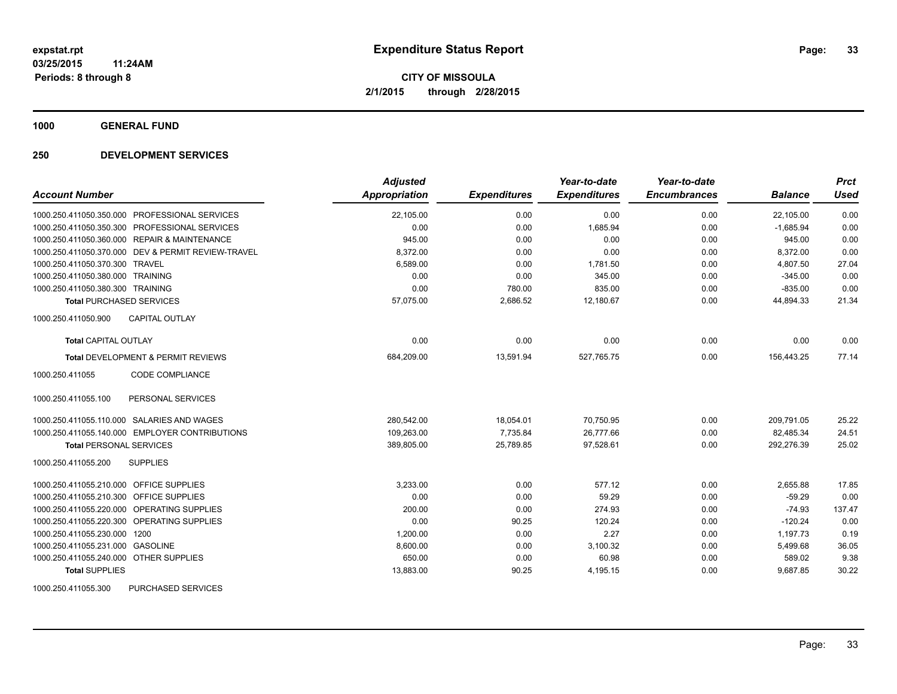**1000 GENERAL FUND**

| <b>Account Number</b>                              | <b>Adjusted</b><br>Appropriation | <b>Expenditures</b> | Year-to-date<br><b>Expenditures</b> | Year-to-date<br><b>Encumbrances</b> | <b>Balance</b> | Prct<br><b>Used</b> |
|----------------------------------------------------|----------------------------------|---------------------|-------------------------------------|-------------------------------------|----------------|---------------------|
| 1000.250.411050.350.000 PROFESSIONAL SERVICES      | 22,105.00                        | 0.00                | 0.00                                | 0.00                                | 22,105.00      | 0.00                |
| 1000.250.411050.350.300 PROFESSIONAL SERVICES      | 0.00                             | 0.00                | 1,685.94                            | 0.00                                | $-1,685.94$    | 0.00                |
| 1000.250.411050.360.000 REPAIR & MAINTENANCE       | 945.00                           | 0.00                | 0.00                                | 0.00                                | 945.00         | 0.00                |
| 1000.250.411050.370.000 DEV & PERMIT REVIEW-TRAVEL | 8,372.00                         | 0.00                | 0.00                                | 0.00                                | 8,372.00       | 0.00                |
| 1000.250.411050.370.300 TRAVEL                     | 6,589.00                         | 0.00                | 1,781.50                            | 0.00                                | 4,807.50       | 27.04               |
| 1000.250.411050.380.000 TRAINING                   | 0.00                             | 0.00                | 345.00                              | 0.00                                | $-345.00$      | 0.00                |
| 1000.250.411050.380.300 TRAINING                   | 0.00                             | 780.00              | 835.00                              | 0.00                                | $-835.00$      | 0.00                |
| <b>Total PURCHASED SERVICES</b>                    | 57,075.00                        | 2,686.52            | 12,180.67                           | 0.00                                | 44,894.33      | 21.34               |
| 1000.250.411050.900<br><b>CAPITAL OUTLAY</b>       |                                  |                     |                                     |                                     |                |                     |
| <b>Total CAPITAL OUTLAY</b>                        | 0.00                             | 0.00                | 0.00                                | 0.00                                | 0.00           | 0.00                |
| <b>Total DEVELOPMENT &amp; PERMIT REVIEWS</b>      | 684,209.00                       | 13,591.94           | 527,765.75                          | 0.00                                | 156,443.25     | 77.14               |
| CODE COMPLIANCE<br>1000.250.411055                 |                                  |                     |                                     |                                     |                |                     |
| 1000.250.411055.100<br>PERSONAL SERVICES           |                                  |                     |                                     |                                     |                |                     |
| 1000.250.411055.110.000 SALARIES AND WAGES         | 280,542.00                       | 18,054.01           | 70,750.95                           | 0.00                                | 209,791.05     | 25.22               |
| 1000.250.411055.140.000 EMPLOYER CONTRIBUTIONS     | 109,263.00                       | 7,735.84            | 26,777.66                           | 0.00                                | 82,485.34      | 24.51               |
| <b>Total PERSONAL SERVICES</b>                     | 389,805.00                       | 25,789.85           | 97,528.61                           | 0.00                                | 292,276.39     | 25.02               |
| <b>SUPPLIES</b><br>1000.250.411055.200             |                                  |                     |                                     |                                     |                |                     |
| 1000.250.411055.210.000 OFFICE SUPPLIES            | 3,233.00                         | 0.00                | 577.12                              | 0.00                                | 2,655.88       | 17.85               |
| 1000.250.411055.210.300 OFFICE SUPPLIES            | 0.00                             | 0.00                | 59.29                               | 0.00                                | $-59.29$       | 0.00                |
| 1000.250.411055.220.000 OPERATING SUPPLIES         | 200.00                           | 0.00                | 274.93                              | 0.00                                | $-74.93$       | 137.47              |
| 1000.250.411055.220.300 OPERATING SUPPLIES         | 0.00                             | 90.25               | 120.24                              | 0.00                                | $-120.24$      | 0.00                |
| 1000.250.411055.230.000<br>1200                    | 1,200.00                         | 0.00                | 2.27                                | 0.00                                | 1,197.73       | 0.19                |
| 1000.250.411055.231.000 GASOLINE                   | 8,600.00                         | 0.00                | 3,100.32                            | 0.00                                | 5,499.68       | 36.05               |
| 1000.250.411055.240.000 OTHER SUPPLIES             | 650.00                           | 0.00                | 60.98                               | 0.00                                | 589.02         | 9.38                |
| <b>Total SUPPLIES</b>                              | 13,883.00                        | 90.25               | 4,195.15                            | 0.00                                | 9,687.85       | 30.22               |
| 1000.250.411055.300<br>PURCHASED SERVICES          |                                  |                     |                                     |                                     |                |                     |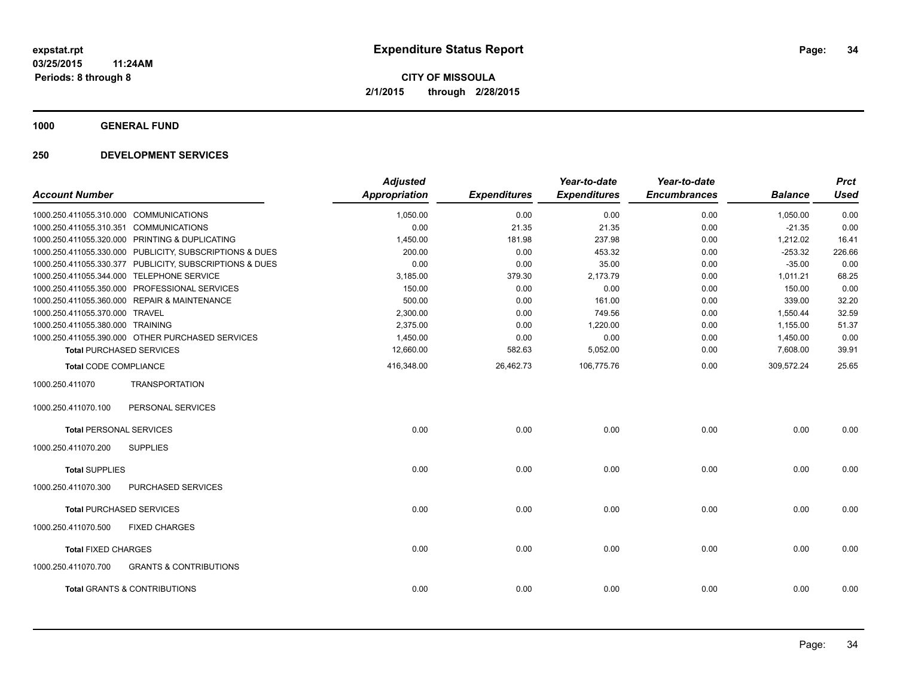**1000 GENERAL FUND**

| <b>Account Number</b>                  |                                                         | <b>Adjusted</b><br>Appropriation | <b>Expenditures</b> | Year-to-date<br><b>Expenditures</b> | Year-to-date<br><b>Encumbrances</b> | <b>Balance</b> | <b>Prct</b><br><b>Used</b> |
|----------------------------------------|---------------------------------------------------------|----------------------------------|---------------------|-------------------------------------|-------------------------------------|----------------|----------------------------|
| 1000.250.411055.310.000 COMMUNICATIONS |                                                         | 1,050.00                         | 0.00                | 0.00                                | 0.00                                | 1,050.00       | 0.00                       |
| 1000.250.411055.310.351 COMMUNICATIONS |                                                         | 0.00                             | 21.35               | 21.35                               | 0.00                                | $-21.35$       | 0.00                       |
|                                        | 1000.250.411055.320.000 PRINTING & DUPLICATING          | 1,450.00                         | 181.98              | 237.98                              | 0.00                                | 1,212.02       | 16.41                      |
|                                        | 1000.250.411055.330.000 PUBLICITY, SUBSCRIPTIONS & DUES | 200.00                           | 0.00                | 453.32                              | 0.00                                | $-253.32$      | 226.66                     |
|                                        | 1000.250.411055.330.377 PUBLICITY, SUBSCRIPTIONS & DUES | 0.00                             | 0.00                | 35.00                               | 0.00                                | $-35.00$       | 0.00                       |
|                                        | 1000.250.411055.344.000 TELEPHONE SERVICE               | 3,185.00                         | 379.30              | 2,173.79                            | 0.00                                | 1,011.21       | 68.25                      |
|                                        | 1000.250.411055.350.000 PROFESSIONAL SERVICES           | 150.00                           | 0.00                | 0.00                                | 0.00                                | 150.00         | 0.00                       |
|                                        | 1000.250.411055.360.000 REPAIR & MAINTENANCE            | 500.00                           | 0.00                | 161.00                              | 0.00                                | 339.00         | 32.20                      |
| 1000.250.411055.370.000 TRAVEL         |                                                         | 2,300.00                         | 0.00                | 749.56                              | 0.00                                | 1,550.44       | 32.59                      |
| 1000.250.411055.380.000 TRAINING       |                                                         | 2,375.00                         | 0.00                | 1,220.00                            | 0.00                                | 1,155.00       | 51.37                      |
|                                        | 1000.250.411055.390.000 OTHER PURCHASED SERVICES        | 1,450.00                         | 0.00                | 0.00                                | 0.00                                | 1,450.00       | 0.00                       |
|                                        | <b>Total PURCHASED SERVICES</b>                         | 12,660.00                        | 582.63              | 5,052.00                            | 0.00                                | 7,608.00       | 39.91                      |
| <b>Total CODE COMPLIANCE</b>           |                                                         | 416,348.00                       | 26,462.73           | 106,775.76                          | 0.00                                | 309,572.24     | 25.65                      |
| 1000.250.411070                        | <b>TRANSPORTATION</b>                                   |                                  |                     |                                     |                                     |                |                            |
| 1000.250.411070.100                    | PERSONAL SERVICES                                       |                                  |                     |                                     |                                     |                |                            |
| <b>Total PERSONAL SERVICES</b>         |                                                         | 0.00                             | 0.00                | 0.00                                | 0.00                                | 0.00           | 0.00                       |
| 1000.250.411070.200                    | <b>SUPPLIES</b>                                         |                                  |                     |                                     |                                     |                |                            |
| <b>Total SUPPLIES</b>                  |                                                         | 0.00                             | 0.00                | 0.00                                | 0.00                                | 0.00           | 0.00                       |
| 1000.250.411070.300                    | <b>PURCHASED SERVICES</b>                               |                                  |                     |                                     |                                     |                |                            |
|                                        | <b>Total PURCHASED SERVICES</b>                         | 0.00                             | 0.00                | 0.00                                | 0.00                                | 0.00           | 0.00                       |
| 1000.250.411070.500                    | <b>FIXED CHARGES</b>                                    |                                  |                     |                                     |                                     |                |                            |
| <b>Total FIXED CHARGES</b>             |                                                         | 0.00                             | 0.00                | 0.00                                | 0.00                                | 0.00           | 0.00                       |
| 1000.250.411070.700                    | <b>GRANTS &amp; CONTRIBUTIONS</b>                       |                                  |                     |                                     |                                     |                |                            |
|                                        | <b>Total GRANTS &amp; CONTRIBUTIONS</b>                 | 0.00                             | 0.00                | 0.00                                | 0.00                                | 0.00           | 0.00                       |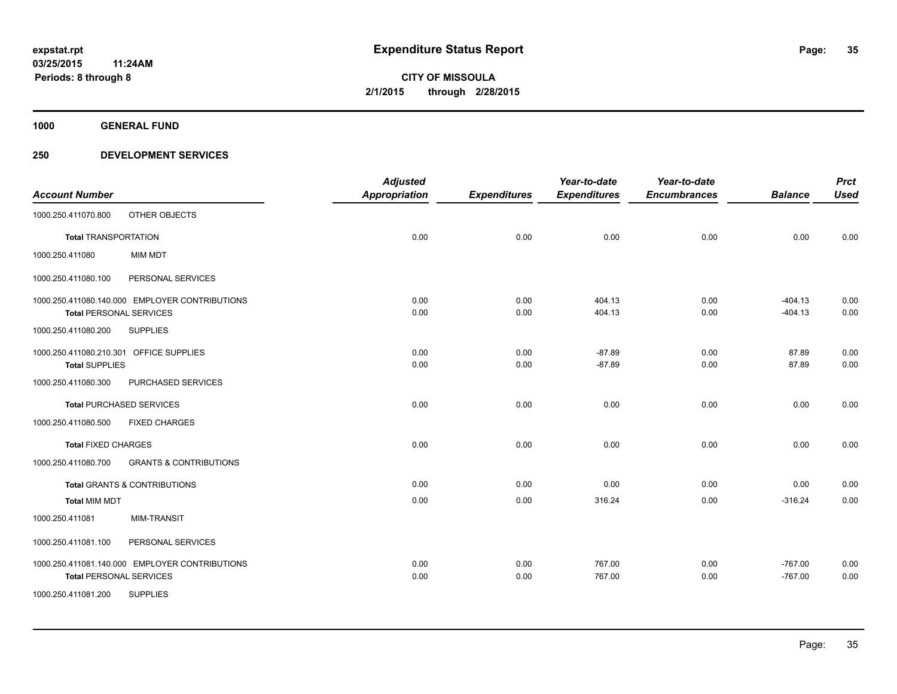**1000 GENERAL FUND**

|                                |                                                | <b>Adjusted</b>      |                     | Year-to-date        | Year-to-date        |                | <b>Prct</b> |
|--------------------------------|------------------------------------------------|----------------------|---------------------|---------------------|---------------------|----------------|-------------|
| <b>Account Number</b>          |                                                | <b>Appropriation</b> | <b>Expenditures</b> | <b>Expenditures</b> | <b>Encumbrances</b> | <b>Balance</b> | <b>Used</b> |
| 1000.250.411070.800            | OTHER OBJECTS                                  |                      |                     |                     |                     |                |             |
| <b>Total TRANSPORTATION</b>    |                                                | 0.00                 | 0.00                | 0.00                | 0.00                | 0.00           | 0.00        |
| 1000.250.411080                | <b>MIM MDT</b>                                 |                      |                     |                     |                     |                |             |
| 1000.250.411080.100            | PERSONAL SERVICES                              |                      |                     |                     |                     |                |             |
|                                | 1000.250.411080.140.000 EMPLOYER CONTRIBUTIONS | 0.00                 | 0.00                | 404.13              | 0.00                | $-404.13$      | 0.00        |
|                                | <b>Total PERSONAL SERVICES</b>                 | 0.00                 | 0.00                | 404.13              | 0.00                | $-404.13$      | 0.00        |
| 1000.250.411080.200            | <b>SUPPLIES</b>                                |                      |                     |                     |                     |                |             |
|                                | 1000.250.411080.210.301 OFFICE SUPPLIES        | 0.00                 | 0.00                | $-87.89$            | 0.00                | 87.89          | 0.00        |
| <b>Total SUPPLIES</b>          |                                                | 0.00                 | 0.00                | $-87.89$            | 0.00                | 87.89          | 0.00        |
| 1000.250.411080.300            | PURCHASED SERVICES                             |                      |                     |                     |                     |                |             |
|                                | <b>Total PURCHASED SERVICES</b>                | 0.00                 | 0.00                | 0.00                | 0.00                | 0.00           | 0.00        |
| 1000.250.411080.500            | <b>FIXED CHARGES</b>                           |                      |                     |                     |                     |                |             |
| <b>Total FIXED CHARGES</b>     |                                                | 0.00                 | 0.00                | 0.00                | 0.00                | 0.00           | 0.00        |
| 1000.250.411080.700            | <b>GRANTS &amp; CONTRIBUTIONS</b>              |                      |                     |                     |                     |                |             |
|                                | <b>Total GRANTS &amp; CONTRIBUTIONS</b>        | 0.00                 | 0.00                | 0.00                | 0.00                | 0.00           | 0.00        |
| <b>Total MIM MDT</b>           |                                                | 0.00                 | 0.00                | 316.24              | 0.00                | $-316.24$      | 0.00        |
| 1000.250.411081                | <b>MIM-TRANSIT</b>                             |                      |                     |                     |                     |                |             |
| 1000.250.411081.100            | PERSONAL SERVICES                              |                      |                     |                     |                     |                |             |
|                                | 1000.250.411081.140.000 EMPLOYER CONTRIBUTIONS | 0.00                 | 0.00                | 767.00              | 0.00                | $-767.00$      | 0.00        |
| <b>Total PERSONAL SERVICES</b> |                                                | 0.00                 | 0.00                | 767.00              | 0.00                | $-767.00$      | 0.00        |
| 1000.250.411081.200            | <b>SUPPLIES</b>                                |                      |                     |                     |                     |                |             |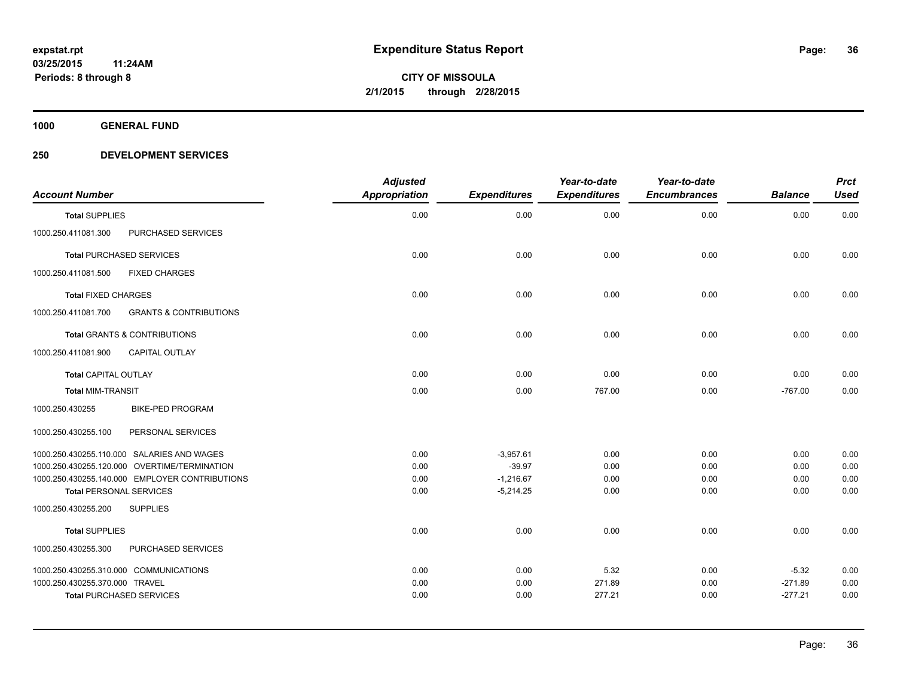**1000 GENERAL FUND**

| <b>Account Number</b>                                                    | <b>Adjusted</b><br><b>Appropriation</b> | <b>Expenditures</b> | Year-to-date<br><b>Expenditures</b> | Year-to-date<br><b>Encumbrances</b> | <b>Balance</b> | <b>Prct</b><br><b>Used</b> |
|--------------------------------------------------------------------------|-----------------------------------------|---------------------|-------------------------------------|-------------------------------------|----------------|----------------------------|
| <b>Total SUPPLIES</b>                                                    | 0.00                                    | 0.00                | 0.00                                | 0.00                                | 0.00           | 0.00                       |
| 1000.250.411081.300<br>PURCHASED SERVICES                                |                                         |                     |                                     |                                     |                |                            |
| <b>Total PURCHASED SERVICES</b>                                          | 0.00                                    | 0.00                | 0.00                                | 0.00                                | 0.00           | 0.00                       |
| 1000.250.411081.500<br><b>FIXED CHARGES</b>                              |                                         |                     |                                     |                                     |                |                            |
| <b>Total FIXED CHARGES</b>                                               | 0.00                                    | 0.00                | 0.00                                | 0.00                                | 0.00           | 0.00                       |
| 1000.250.411081.700<br><b>GRANTS &amp; CONTRIBUTIONS</b>                 |                                         |                     |                                     |                                     |                |                            |
| <b>Total GRANTS &amp; CONTRIBUTIONS</b>                                  | 0.00                                    | 0.00                | 0.00                                | 0.00                                | 0.00           | 0.00                       |
| <b>CAPITAL OUTLAY</b><br>1000.250.411081.900                             |                                         |                     |                                     |                                     |                |                            |
| <b>Total CAPITAL OUTLAY</b>                                              | 0.00                                    | 0.00                | 0.00                                | 0.00                                | 0.00           | 0.00                       |
| <b>Total MIM-TRANSIT</b>                                                 | 0.00                                    | 0.00                | 767.00                              | 0.00                                | $-767.00$      | 0.00                       |
| 1000.250.430255<br><b>BIKE-PED PROGRAM</b>                               |                                         |                     |                                     |                                     |                |                            |
| 1000.250.430255.100<br>PERSONAL SERVICES                                 |                                         |                     |                                     |                                     |                |                            |
| 1000.250.430255.110.000 SALARIES AND WAGES                               | 0.00                                    | $-3,957.61$         | 0.00                                | 0.00                                | 0.00           | 0.00                       |
| 1000.250.430255.120.000 OVERTIME/TERMINATION                             | 0.00                                    | $-39.97$            | 0.00                                | 0.00                                | 0.00           | 0.00                       |
| 1000.250.430255.140.000 EMPLOYER CONTRIBUTIONS                           | 0.00                                    | $-1,216.67$         | 0.00                                | 0.00                                | 0.00           | 0.00                       |
| <b>Total PERSONAL SERVICES</b><br>1000.250.430255.200<br><b>SUPPLIES</b> | 0.00                                    | $-5,214.25$         | 0.00                                | 0.00                                | 0.00           | 0.00                       |
|                                                                          |                                         |                     |                                     |                                     |                |                            |
| <b>Total SUPPLIES</b>                                                    | 0.00                                    | 0.00                | 0.00                                | 0.00                                | 0.00           | 0.00                       |
| PURCHASED SERVICES<br>1000.250.430255.300                                |                                         |                     |                                     |                                     |                |                            |
| 1000.250.430255.310.000 COMMUNICATIONS                                   | 0.00                                    | 0.00                | 5.32                                | 0.00                                | $-5.32$        | 0.00                       |
| 1000.250.430255.370.000 TRAVEL                                           | 0.00                                    | 0.00                | 271.89                              | 0.00                                | $-271.89$      | 0.00                       |
| <b>Total PURCHASED SERVICES</b>                                          | 0.00                                    | 0.00                | 277.21                              | 0.00                                | $-277.21$      | 0.00                       |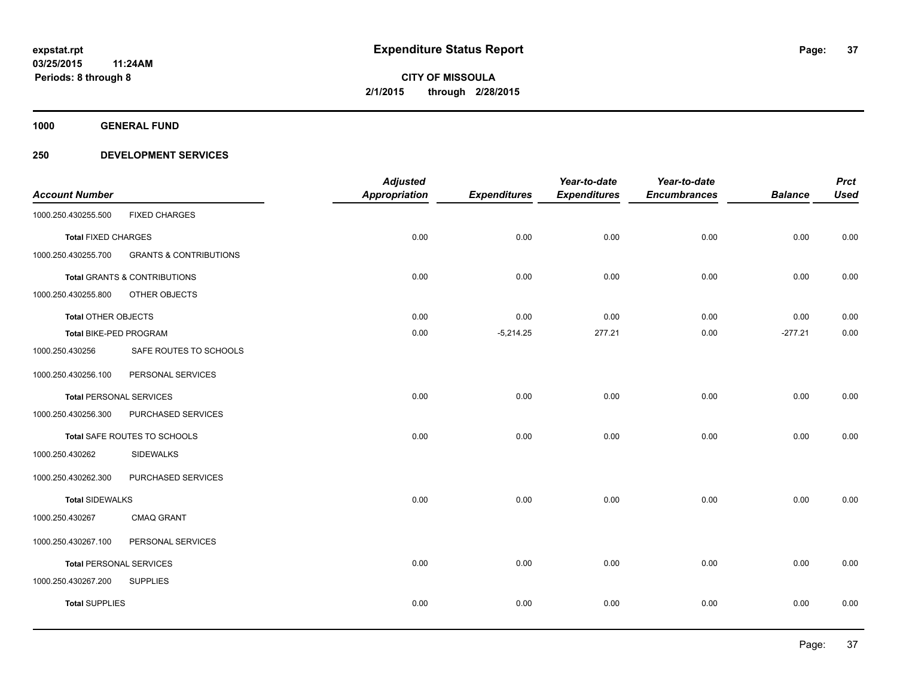**1000 GENERAL FUND**

### **250 DEVELOPMENT SERVICES**

| <b>Account Number</b>          |                                         | <b>Adjusted</b><br><b>Appropriation</b> | <b>Expenditures</b> | Year-to-date<br><b>Expenditures</b> | Year-to-date<br><b>Encumbrances</b> | <b>Balance</b> | <b>Prct</b><br><b>Used</b> |
|--------------------------------|-----------------------------------------|-----------------------------------------|---------------------|-------------------------------------|-------------------------------------|----------------|----------------------------|
| 1000.250.430255.500            | <b>FIXED CHARGES</b>                    |                                         |                     |                                     |                                     |                |                            |
| <b>Total FIXED CHARGES</b>     |                                         | 0.00                                    | 0.00                | 0.00                                | 0.00                                | 0.00           | 0.00                       |
| 1000.250.430255.700            | <b>GRANTS &amp; CONTRIBUTIONS</b>       |                                         |                     |                                     |                                     |                |                            |
|                                | <b>Total GRANTS &amp; CONTRIBUTIONS</b> | 0.00                                    | 0.00                | 0.00                                | 0.00                                | 0.00           | 0.00                       |
| 1000.250.430255.800            | OTHER OBJECTS                           |                                         |                     |                                     |                                     |                |                            |
| <b>Total OTHER OBJECTS</b>     |                                         | 0.00                                    | 0.00                | 0.00                                | 0.00                                | 0.00           | 0.00                       |
| <b>Total BIKE-PED PROGRAM</b>  |                                         | 0.00                                    | $-5,214.25$         | 277.21                              | 0.00                                | $-277.21$      | 0.00                       |
| 1000.250.430256                | SAFE ROUTES TO SCHOOLS                  |                                         |                     |                                     |                                     |                |                            |
| 1000.250.430256.100            | PERSONAL SERVICES                       |                                         |                     |                                     |                                     |                |                            |
| <b>Total PERSONAL SERVICES</b> |                                         | 0.00                                    | 0.00                | 0.00                                | 0.00                                | 0.00           | 0.00                       |
| 1000.250.430256.300            | PURCHASED SERVICES                      |                                         |                     |                                     |                                     |                |                            |
|                                | Total SAFE ROUTES TO SCHOOLS            | 0.00                                    | 0.00                | 0.00                                | 0.00                                | 0.00           | 0.00                       |
| 1000.250.430262                | <b>SIDEWALKS</b>                        |                                         |                     |                                     |                                     |                |                            |
| 1000.250.430262.300            | PURCHASED SERVICES                      |                                         |                     |                                     |                                     |                |                            |
| <b>Total SIDEWALKS</b>         |                                         | 0.00                                    | 0.00                | 0.00                                | 0.00                                | 0.00           | 0.00                       |
| 1000.250.430267                | CMAQ GRANT                              |                                         |                     |                                     |                                     |                |                            |
| 1000.250.430267.100            | PERSONAL SERVICES                       |                                         |                     |                                     |                                     |                |                            |
| <b>Total PERSONAL SERVICES</b> |                                         | 0.00                                    | 0.00                | 0.00                                | 0.00                                | 0.00           | 0.00                       |
| 1000.250.430267.200            | <b>SUPPLIES</b>                         |                                         |                     |                                     |                                     |                |                            |
| <b>Total SUPPLIES</b>          |                                         | 0.00                                    | 0.00                | 0.00                                | 0.00                                | 0.00           | 0.00                       |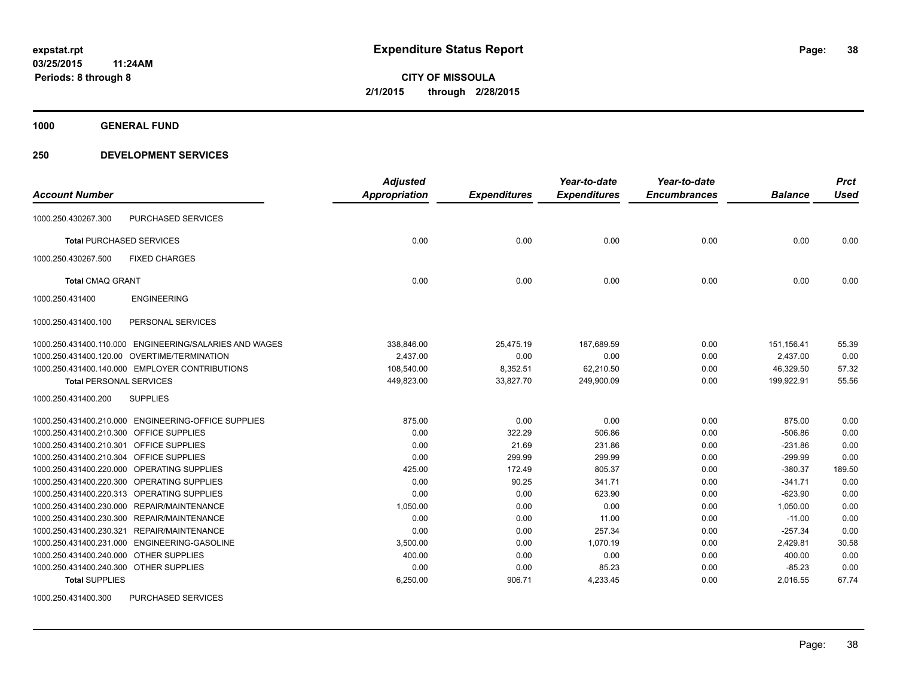**1000 GENERAL FUND**

### **250 DEVELOPMENT SERVICES**

|                                            |                                                        | <b>Adjusted</b> |                     | Year-to-date        | Year-to-date        |                | <b>Prct</b> |
|--------------------------------------------|--------------------------------------------------------|-----------------|---------------------|---------------------|---------------------|----------------|-------------|
| <b>Account Number</b>                      |                                                        | Appropriation   | <b>Expenditures</b> | <b>Expenditures</b> | <b>Encumbrances</b> | <b>Balance</b> | <b>Used</b> |
| 1000.250.430267.300                        | PURCHASED SERVICES                                     |                 |                     |                     |                     |                |             |
| <b>Total PURCHASED SERVICES</b>            |                                                        | 0.00            | 0.00                | 0.00                | 0.00                | 0.00           | 0.00        |
| 1000.250.430267.500                        | <b>FIXED CHARGES</b>                                   |                 |                     |                     |                     |                |             |
| <b>Total CMAQ GRANT</b>                    |                                                        | 0.00            | 0.00                | 0.00                | 0.00                | 0.00           | 0.00        |
| 1000.250.431400                            | <b>ENGINEERING</b>                                     |                 |                     |                     |                     |                |             |
| 1000.250.431400.100                        | PERSONAL SERVICES                                      |                 |                     |                     |                     |                |             |
|                                            | 1000.250.431400.110.000 ENGINEERING/SALARIES AND WAGES | 338,846.00      | 25,475.19           | 187,689.59          | 0.00                | 151, 156.41    | 55.39       |
|                                            | 1000.250.431400.120.00 OVERTIME/TERMINATION            | 2,437.00        | 0.00                | 0.00                | 0.00                | 2,437.00       | 0.00        |
|                                            | 1000.250.431400.140.000 EMPLOYER CONTRIBUTIONS         | 108,540.00      | 8,352.51            | 62,210.50           | 0.00                | 46.329.50      | 57.32       |
| <b>Total PERSONAL SERVICES</b>             |                                                        | 449,823.00      | 33,827.70           | 249,900.09          | 0.00                | 199,922.91     | 55.56       |
| 1000.250.431400.200                        | <b>SUPPLIES</b>                                        |                 |                     |                     |                     |                |             |
|                                            | 1000.250.431400.210.000 ENGINEERING-OFFICE SUPPLIES    | 875.00          | 0.00                | 0.00                | 0.00                | 875.00         | 0.00        |
| 1000.250.431400.210.300 OFFICE SUPPLIES    |                                                        | 0.00            | 322.29              | 506.86              | 0.00                | $-506.86$      | 0.00        |
| 1000.250.431400.210.301 OFFICE SUPPLIES    |                                                        | 0.00            | 21.69               | 231.86              | 0.00                | $-231.86$      | 0.00        |
| 1000.250.431400.210.304 OFFICE SUPPLIES    |                                                        | 0.00            | 299.99              | 299.99              | 0.00                | $-299.99$      | 0.00        |
| 1000.250.431400.220.000 OPERATING SUPPLIES |                                                        | 425.00          | 172.49              | 805.37              | 0.00                | $-380.37$      | 189.50      |
| 1000.250.431400.220.300 OPERATING SUPPLIES |                                                        | 0.00            | 90.25               | 341.71              | 0.00                | $-341.71$      | 0.00        |
| 1000.250.431400.220.313 OPERATING SUPPLIES |                                                        | 0.00            | 0.00                | 623.90              | 0.00                | $-623.90$      | 0.00        |
| 1000.250.431400.230.000 REPAIR/MAINTENANCE |                                                        | 1,050.00        | 0.00                | 0.00                | 0.00                | 1,050.00       | 0.00        |
| 1000.250.431400.230.300                    | REPAIR/MAINTENANCE                                     | 0.00            | 0.00                | 11.00               | 0.00                | $-11.00$       | 0.00        |
| 1000.250.431400.230.321                    | REPAIR/MAINTENANCE                                     | 0.00            | 0.00                | 257.34              | 0.00                | $-257.34$      | 0.00        |
|                                            | 1000.250.431400.231.000 ENGINEERING-GASOLINE           | 3,500.00        | 0.00                | 1,070.19            | 0.00                | 2,429.81       | 30.58       |
| 1000.250.431400.240.000 OTHER SUPPLIES     |                                                        | 400.00          | 0.00                | 0.00                | 0.00                | 400.00         | 0.00        |
| 1000.250.431400.240.300 OTHER SUPPLIES     |                                                        | 0.00            | 0.00                | 85.23               | 0.00                | $-85.23$       | 0.00        |
| <b>Total SUPPLIES</b>                      |                                                        | 6,250.00        | 906.71              | 4,233.45            | 0.00                | 2,016.55       | 67.74       |

1000.250.431400.300 PURCHASED SERVICES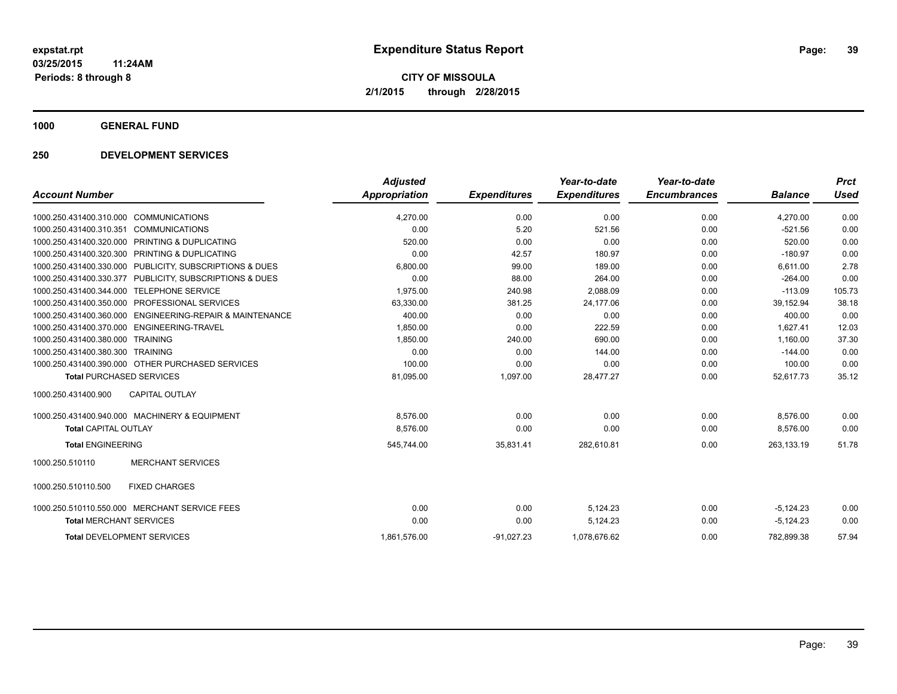**1000 GENERAL FUND**

### **250 DEVELOPMENT SERVICES**

|                                                          | <b>Adjusted</b>      |                     | Year-to-date        | Year-to-date        |                | <b>Prct</b> |
|----------------------------------------------------------|----------------------|---------------------|---------------------|---------------------|----------------|-------------|
| <b>Account Number</b>                                    | <b>Appropriation</b> | <b>Expenditures</b> | <b>Expenditures</b> | <b>Encumbrances</b> | <b>Balance</b> | <b>Used</b> |
| 1000.250.431400.310.000<br><b>COMMUNICATIONS</b>         | 4.270.00             | 0.00                | 0.00                | 0.00                | 4.270.00       | 0.00        |
| <b>COMMUNICATIONS</b><br>1000.250.431400.310.351         | 0.00                 | 5.20                | 521.56              | 0.00                | $-521.56$      | 0.00        |
| 1000.250.431400.320.000 PRINTING & DUPLICATING           | 520.00               | 0.00                | 0.00                | 0.00                | 520.00         | 0.00        |
| PRINTING & DUPLICATING<br>1000.250.431400.320.300        | 0.00                 | 42.57               | 180.97              | 0.00                | $-180.97$      | 0.00        |
| 1000.250.431400.330.000 PUBLICITY, SUBSCRIPTIONS & DUES  | 6.800.00             | 99.00               | 189.00              | 0.00                | 6.611.00       | 2.78        |
| 1000.250.431400.330.377 PUBLICITY, SUBSCRIPTIONS & DUES  | 0.00                 | 88.00               | 264.00              | 0.00                | $-264.00$      | 0.00        |
| 1000.250.431400.344.000<br><b>TELEPHONE SERVICE</b>      | 1,975.00             | 240.98              | 2,088.09            | 0.00                | $-113.09$      | 105.73      |
| 1000.250.431400.350.000<br><b>PROFESSIONAL SERVICES</b>  | 63,330.00            | 381.25              | 24,177.06           | 0.00                | 39,152.94      | 38.18       |
| 1000.250.431400.360.000 ENGINEERING-REPAIR & MAINTENANCE | 400.00               | 0.00                | 0.00                | 0.00                | 400.00         | 0.00        |
| 1000.250.431400.370.000 ENGINEERING-TRAVEL               | 1,850.00             | 0.00                | 222.59              | 0.00                | 1,627.41       | 12.03       |
| 1000.250.431400.380.000 TRAINING                         | 1,850.00             | 240.00              | 690.00              | 0.00                | 1,160.00       | 37.30       |
| 1000.250.431400.380.300 TRAINING                         | 0.00                 | 0.00                | 144.00              | 0.00                | $-144.00$      | 0.00        |
| 1000.250.431400.390.000 OTHER PURCHASED SERVICES         | 100.00               | 0.00                | 0.00                | 0.00                | 100.00         | 0.00        |
| <b>Total PURCHASED SERVICES</b>                          | 81,095.00            | 1,097.00            | 28,477.27           | 0.00                | 52,617.73      | 35.12       |
| <b>CAPITAL OUTLAY</b><br>1000.250.431400.900             |                      |                     |                     |                     |                |             |
| 1000.250.431400.940.000 MACHINERY & EQUIPMENT            | 8,576.00             | 0.00                | 0.00                | 0.00                | 8,576.00       | 0.00        |
| <b>Total CAPITAL OUTLAY</b>                              | 8,576.00             | 0.00                | 0.00                | 0.00                | 8,576.00       | 0.00        |
| <b>Total ENGINEERING</b>                                 | 545,744.00           | 35,831.41           | 282,610.81          | 0.00                | 263.133.19     | 51.78       |
| <b>MERCHANT SERVICES</b><br>1000.250.510110              |                      |                     |                     |                     |                |             |
| <b>FIXED CHARGES</b><br>1000.250.510110.500              |                      |                     |                     |                     |                |             |
| 1000.250.510110.550.000 MERCHANT SERVICE FEES            | 0.00                 | 0.00                | 5,124.23            | 0.00                | $-5,124.23$    | 0.00        |
| <b>Total MERCHANT SERVICES</b>                           | 0.00                 | 0.00                | 5,124.23            | 0.00                | $-5,124.23$    | 0.00        |
| <b>Total DEVELOPMENT SERVICES</b>                        | 1,861,576.00         | $-91,027.23$        | 1.078.676.62        | 0.00                | 782.899.38     | 57.94       |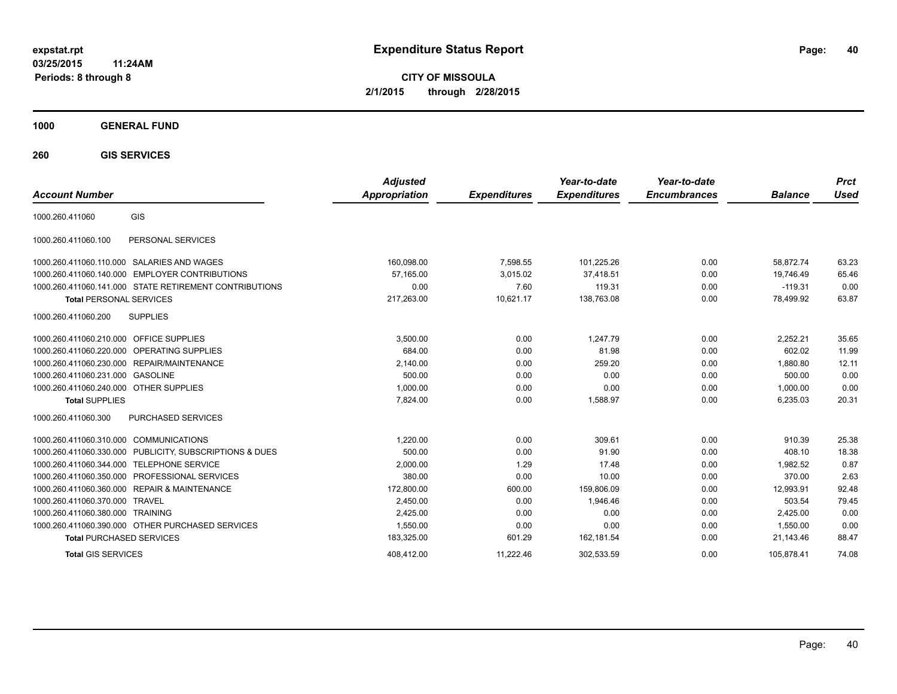**CITY OF MISSOULA 2/1/2015 through 2/28/2015**

### **1000 GENERAL FUND**

**260 GIS SERVICES**

| <b>Account Number</b>                                  |                                 | <b>Adjusted</b><br><b>Appropriation</b> | <b>Expenditures</b> | Year-to-date<br><b>Expenditures</b> | Year-to-date<br><b>Encumbrances</b> | <b>Balance</b> | <b>Prct</b><br>Used |
|--------------------------------------------------------|---------------------------------|-----------------------------------------|---------------------|-------------------------------------|-------------------------------------|----------------|---------------------|
| GIS<br>1000.260.411060                                 |                                 |                                         |                     |                                     |                                     |                |                     |
| PERSONAL SERVICES<br>1000.260.411060.100               |                                 |                                         |                     |                                     |                                     |                |                     |
| 1000.260.411060.110.000 SALARIES AND WAGES             |                                 | 160,098.00                              | 7,598.55            | 101,225.26                          | 0.00                                | 58.872.74      | 63.23               |
| 1000.260.411060.140.000                                | <b>EMPLOYER CONTRIBUTIONS</b>   | 57.165.00                               | 3,015.02            | 37,418.51                           | 0.00                                | 19,746.49      | 65.46               |
| 1000.260.411060.141.000 STATE RETIREMENT CONTRIBUTIONS |                                 | 0.00                                    | 7.60                | 119.31                              | 0.00                                | $-119.31$      | 0.00                |
| <b>Total PERSONAL SERVICES</b>                         |                                 | 217,263.00                              | 10,621.17           | 138,763.08                          | 0.00                                | 78,499.92      | 63.87               |
| <b>SUPPLIES</b><br>1000.260.411060.200                 |                                 |                                         |                     |                                     |                                     |                |                     |
| 1000.260.411060.210.000 OFFICE SUPPLIES                |                                 | 3,500.00                                | 0.00                | 1.247.79                            | 0.00                                | 2,252.21       | 35.65               |
| 1000.260.411060.220.000 OPERATING SUPPLIES             |                                 | 684.00                                  | 0.00                | 81.98                               | 0.00                                | 602.02         | 11.99               |
| REPAIR/MAINTENANCE<br>1000.260.411060.230.000          |                                 | 2,140.00                                | 0.00                | 259.20                              | 0.00                                | 1,880.80       | 12.11               |
| 1000.260.411060.231.000 GASOLINE                       |                                 | 500.00                                  | 0.00                | 0.00                                | 0.00                                | 500.00         | 0.00                |
| 1000.260.411060.240.000 OTHER SUPPLIES                 |                                 | 1,000.00                                | 0.00                | 0.00                                | 0.00                                | 1,000.00       | 0.00                |
| <b>Total SUPPLIES</b>                                  |                                 | 7,824.00                                | 0.00                | 1,588.97                            | 0.00                                | 6,235.03       | 20.31               |
| 1000.260.411060.300<br>PURCHASED SERVICES              |                                 |                                         |                     |                                     |                                     |                |                     |
| 1000.260.411060.310.000 COMMUNICATIONS                 |                                 | 1.220.00                                | 0.00                | 309.61                              | 0.00                                | 910.39         | 25.38               |
| 1000.260.411060.330.000                                | PUBLICITY, SUBSCRIPTIONS & DUES | 500.00                                  | 0.00                | 91.90                               | 0.00                                | 408.10         | 18.38               |
| <b>TELEPHONE SERVICE</b><br>1000.260.411060.344.000    |                                 | 2,000.00                                | 1.29                | 17.48                               | 0.00                                | 1.982.52       | 0.87                |
| 1000.260.411060.350.000                                | PROFESSIONAL SERVICES           | 380.00                                  | 0.00                | 10.00                               | 0.00                                | 370.00         | 2.63                |
| 1000.260.411060.360.000                                | <b>REPAIR &amp; MAINTENANCE</b> | 172,800.00                              | 600.00              | 159,806.09                          | 0.00                                | 12,993.91      | 92.48               |
| 1000.260.411060.370.000<br><b>TRAVEL</b>               |                                 | 2.450.00                                | 0.00                | 1.946.46                            | 0.00                                | 503.54         | 79.45               |
| 1000.260.411060.380.000<br><b>TRAINING</b>             |                                 | 2,425.00                                | 0.00                | 0.00                                | 0.00                                | 2,425.00       | 0.00                |
| 1000.260.411060.390.000 OTHER PURCHASED SERVICES       |                                 | 1,550.00                                | 0.00                | 0.00                                | 0.00                                | 1.550.00       | 0.00                |
| <b>Total PURCHASED SERVICES</b>                        |                                 | 183,325.00                              | 601.29              | 162,181.54                          | 0.00                                | 21,143.46      | 88.47               |
| <b>Total GIS SERVICES</b>                              |                                 | 408.412.00                              | 11.222.46           | 302.533.59                          | 0.00                                | 105.878.41     | 74.08               |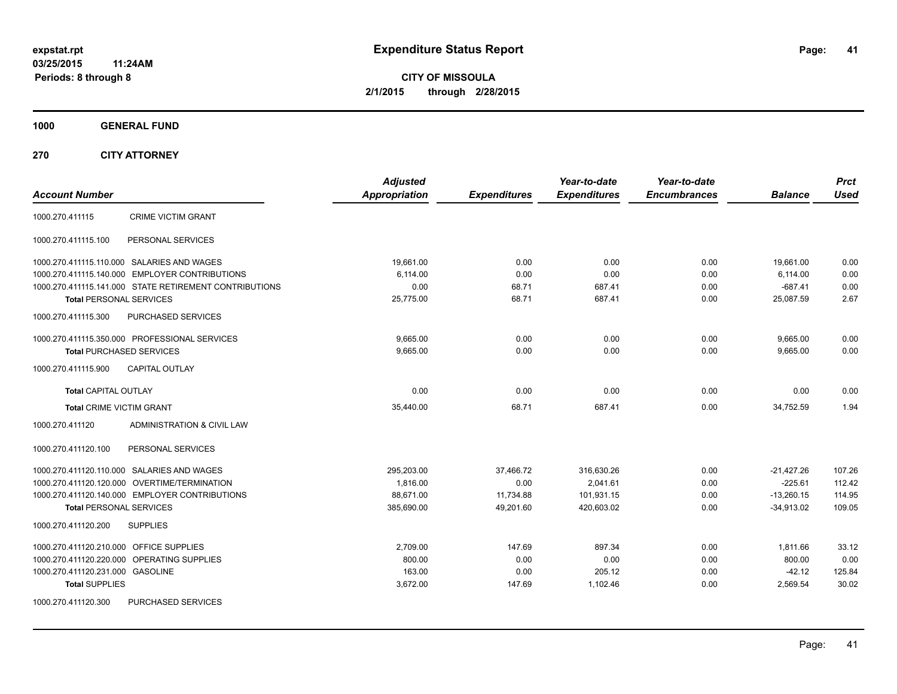**CITY OF MISSOULA 2/1/2015 through 2/28/2015**

**1000 GENERAL FUND**

**270 CITY ATTORNEY**

| <b>Account Number</b>                                  | <b>Adjusted</b><br><b>Appropriation</b> | <b>Expenditures</b> | Year-to-date<br><b>Expenditures</b> | Year-to-date<br><b>Encumbrances</b> | <b>Balance</b> | <b>Prct</b><br><b>Used</b> |
|--------------------------------------------------------|-----------------------------------------|---------------------|-------------------------------------|-------------------------------------|----------------|----------------------------|
| <b>CRIME VICTIM GRANT</b><br>1000.270.411115           |                                         |                     |                                     |                                     |                |                            |
| PERSONAL SERVICES<br>1000.270.411115.100               |                                         |                     |                                     |                                     |                |                            |
| 1000.270.411115.110.000 SALARIES AND WAGES             | 19,661.00                               | 0.00                | 0.00                                | 0.00                                | 19,661.00      | 0.00                       |
| 1000.270.411115.140.000 EMPLOYER CONTRIBUTIONS         | 6,114.00                                | 0.00                | 0.00                                | 0.00                                | 6,114.00       | 0.00                       |
| 1000.270.411115.141.000 STATE RETIREMENT CONTRIBUTIONS | 0.00                                    | 68.71               | 687.41                              | 0.00                                | $-687.41$      | 0.00                       |
| <b>Total PERSONAL SERVICES</b>                         | 25,775.00                               | 68.71               | 687.41                              | 0.00                                | 25,087.59      | 2.67                       |
| 1000.270.411115.300<br><b>PURCHASED SERVICES</b>       |                                         |                     |                                     |                                     |                |                            |
| 1000.270.411115.350.000 PROFESSIONAL SERVICES          | 9,665.00                                | 0.00                | 0.00                                | 0.00                                | 9,665.00       | 0.00                       |
| <b>Total PURCHASED SERVICES</b>                        | 9,665.00                                | 0.00                | 0.00                                | 0.00                                | 9,665.00       | 0.00                       |
| <b>CAPITAL OUTLAY</b><br>1000.270.411115.900           |                                         |                     |                                     |                                     |                |                            |
| <b>Total CAPITAL OUTLAY</b>                            | 0.00                                    | 0.00                | 0.00                                | 0.00                                | 0.00           | 0.00                       |
| <b>Total CRIME VICTIM GRANT</b>                        | 35,440.00                               | 68.71               | 687.41                              | 0.00                                | 34,752.59      | 1.94                       |
| 1000.270.411120<br>ADMINISTRATION & CIVIL LAW          |                                         |                     |                                     |                                     |                |                            |
| 1000.270.411120.100<br>PERSONAL SERVICES               |                                         |                     |                                     |                                     |                |                            |
| 1000.270.411120.110.000 SALARIES AND WAGES             | 295,203.00                              | 37,466.72           | 316,630.26                          | 0.00                                | $-21,427.26$   | 107.26                     |
| 1000.270.411120.120.000 OVERTIME/TERMINATION           | 1,816.00                                | 0.00                | 2,041.61                            | 0.00                                | $-225.61$      | 112.42                     |
| 1000.270.411120.140.000 EMPLOYER CONTRIBUTIONS         | 88,671.00                               | 11,734.88           | 101,931.15                          | 0.00                                | $-13,260.15$   | 114.95                     |
| <b>Total PERSONAL SERVICES</b>                         | 385,690.00                              | 49,201.60           | 420,603.02                          | 0.00                                | $-34,913.02$   | 109.05                     |
| 1000.270.411120.200<br><b>SUPPLIES</b>                 |                                         |                     |                                     |                                     |                |                            |
| 1000.270.411120.210.000 OFFICE SUPPLIES                | 2,709.00                                | 147.69              | 897.34                              | 0.00                                | 1,811.66       | 33.12                      |
| 1000.270.411120.220.000 OPERATING SUPPLIES             | 800.00                                  | 0.00                | 0.00                                | 0.00                                | 800.00         | 0.00                       |
| 1000.270.411120.231.000 GASOLINE                       | 163.00                                  | 0.00                | 205.12                              | 0.00                                | $-42.12$       | 125.84                     |
| <b>Total SUPPLIES</b>                                  | 3,672.00                                | 147.69              | 1,102.46                            | 0.00                                | 2,569.54       | 30.02                      |
| <b>PURCHASED SERVICES</b><br>1000.270.411120.300       |                                         |                     |                                     |                                     |                |                            |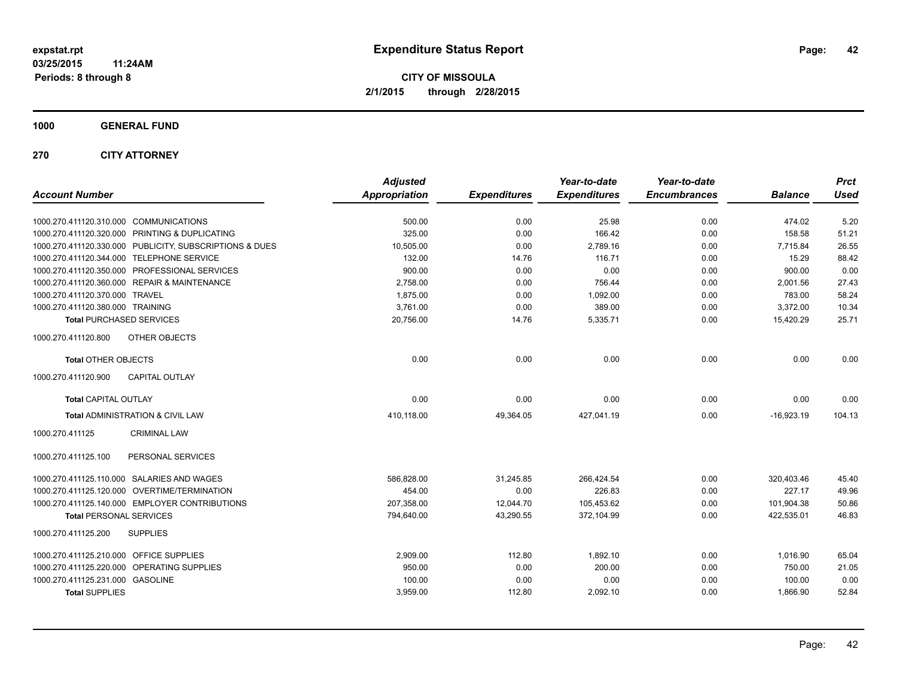**1000 GENERAL FUND**

**270 CITY ATTORNEY**

| <b>Account Number</b>                                   | <b>Adjusted</b><br>Appropriation | <b>Expenditures</b> | Year-to-date<br><b>Expenditures</b> | Year-to-date<br><b>Encumbrances</b> | <b>Balance</b> | <b>Prct</b><br><b>Used</b> |
|---------------------------------------------------------|----------------------------------|---------------------|-------------------------------------|-------------------------------------|----------------|----------------------------|
| 1000.270.411120.310.000 COMMUNICATIONS                  | 500.00                           | 0.00                | 25.98                               | 0.00                                | 474.02         | 5.20                       |
| 1000.270.411120.320.000 PRINTING & DUPLICATING          | 325.00                           | 0.00                | 166.42                              | 0.00                                | 158.58         | 51.21                      |
| 1000.270.411120.330.000 PUBLICITY, SUBSCRIPTIONS & DUES | 10,505.00                        | 0.00                | 2,789.16                            | 0.00                                | 7,715.84       | 26.55                      |
| 1000.270.411120.344.000 TELEPHONE SERVICE               | 132.00                           | 14.76               | 116.71                              | 0.00                                | 15.29          | 88.42                      |
| 1000.270.411120.350.000 PROFESSIONAL SERVICES           | 900.00                           | 0.00                | 0.00                                | 0.00                                | 900.00         | 0.00                       |
| 1000.270.411120.360.000 REPAIR & MAINTENANCE            | 2,758.00                         | 0.00                | 756.44                              | 0.00                                | 2,001.56       | 27.43                      |
| 1000.270.411120.370.000 TRAVEL                          | 1,875.00                         | 0.00                | 1,092.00                            | 0.00                                | 783.00         | 58.24                      |
| 1000.270.411120.380.000 TRAINING                        | 3,761.00                         | 0.00                | 389.00                              | 0.00                                | 3,372.00       | 10.34                      |
| <b>Total PURCHASED SERVICES</b>                         | 20,756.00                        | 14.76               | 5,335.71                            | 0.00                                | 15,420.29      | 25.71                      |
| 1000.270.411120.800<br>OTHER OBJECTS                    |                                  |                     |                                     |                                     |                |                            |
| <b>Total OTHER OBJECTS</b>                              | 0.00                             | 0.00                | 0.00                                | 0.00                                | 0.00           | 0.00                       |
| 1000.270.411120.900<br><b>CAPITAL OUTLAY</b>            |                                  |                     |                                     |                                     |                |                            |
| <b>Total CAPITAL OUTLAY</b>                             | 0.00                             | 0.00                | 0.00                                | 0.00                                | 0.00           | 0.00                       |
| Total ADMINISTRATION & CIVIL LAW                        | 410,118.00                       | 49,364.05           | 427,041.19                          | 0.00                                | $-16,923.19$   | 104.13                     |
| 1000.270.411125<br><b>CRIMINAL LAW</b>                  |                                  |                     |                                     |                                     |                |                            |
| 1000.270.411125.100<br>PERSONAL SERVICES                |                                  |                     |                                     |                                     |                |                            |
| 1000.270.411125.110.000 SALARIES AND WAGES              | 586,828.00                       | 31,245.85           | 266,424.54                          | 0.00                                | 320,403.46     | 45.40                      |
| 1000.270.411125.120.000 OVERTIME/TERMINATION            | 454.00                           | 0.00                | 226.83                              | 0.00                                | 227.17         | 49.96                      |
| 1000.270.411125.140.000 EMPLOYER CONTRIBUTIONS          | 207,358.00                       | 12,044.70           | 105,453.62                          | 0.00                                | 101,904.38     | 50.86                      |
| <b>Total PERSONAL SERVICES</b>                          | 794,640.00                       | 43,290.55           | 372,104.99                          | 0.00                                | 422,535.01     | 46.83                      |
| 1000.270.411125.200<br><b>SUPPLIES</b>                  |                                  |                     |                                     |                                     |                |                            |
| 1000.270.411125.210.000 OFFICE SUPPLIES                 | 2,909.00                         | 112.80              | 1,892.10                            | 0.00                                | 1,016.90       | 65.04                      |
| 1000.270.411125.220.000 OPERATING SUPPLIES              | 950.00                           | 0.00                | 200.00                              | 0.00                                | 750.00         | 21.05                      |
| 1000.270.411125.231.000 GASOLINE                        | 100.00                           | 0.00                | 0.00                                | 0.00                                | 100.00         | 0.00                       |
| <b>Total SUPPLIES</b>                                   | 3,959.00                         | 112.80              | 2,092.10                            | 0.00                                | 1,866.90       | 52.84                      |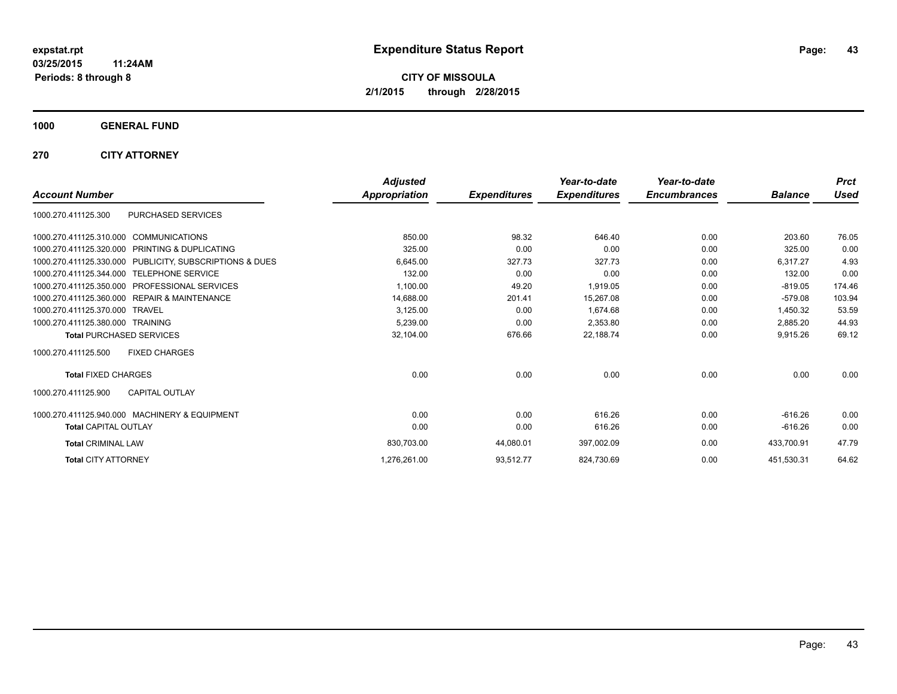**1000 GENERAL FUND**

**270 CITY ATTORNEY**

|                                                              | <b>Adjusted</b> |                     | Year-to-date        | Year-to-date        |                | <b>Prct</b> |
|--------------------------------------------------------------|-----------------|---------------------|---------------------|---------------------|----------------|-------------|
| <b>Account Number</b>                                        | Appropriation   | <b>Expenditures</b> | <b>Expenditures</b> | <b>Encumbrances</b> | <b>Balance</b> | <b>Used</b> |
| PURCHASED SERVICES<br>1000.270.411125.300                    |                 |                     |                     |                     |                |             |
| 1000.270.411125.310.000 COMMUNICATIONS                       | 850.00          | 98.32               | 646.40              | 0.00                | 203.60         | 76.05       |
| 1000.270.411125.320.000<br><b>PRINTING &amp; DUPLICATING</b> | 325.00          | 0.00                | 0.00                | 0.00                | 325.00         | 0.00        |
| 1000.270.411125.330.000 PUBLICITY, SUBSCRIPTIONS & DUES      | 6,645.00        | 327.73              | 327.73              | 0.00                | 6,317.27       | 4.93        |
| 1000.270.411125.344.000 TELEPHONE SERVICE                    | 132.00          | 0.00                | 0.00                | 0.00                | 132.00         | 0.00        |
| 1000.270.411125.350.000<br><b>PROFESSIONAL SERVICES</b>      | 1,100.00        | 49.20               | 1,919.05            | 0.00                | $-819.05$      | 174.46      |
| 1000.270.411125.360.000<br><b>REPAIR &amp; MAINTENANCE</b>   | 14,688.00       | 201.41              | 15.267.08           | 0.00                | $-579.08$      | 103.94      |
| 1000.270.411125.370.000<br><b>TRAVEL</b>                     | 3,125.00        | 0.00                | 1,674.68            | 0.00                | 1,450.32       | 53.59       |
| 1000.270.411125.380.000 TRAINING                             | 5,239.00        | 0.00                | 2,353.80            | 0.00                | 2,885.20       | 44.93       |
| <b>Total PURCHASED SERVICES</b>                              | 32,104.00       | 676.66              | 22,188.74           | 0.00                | 9,915.26       | 69.12       |
| <b>FIXED CHARGES</b><br>1000.270.411125.500                  |                 |                     |                     |                     |                |             |
| <b>Total FIXED CHARGES</b>                                   | 0.00            | 0.00                | 0.00                | 0.00                | 0.00           | 0.00        |
| <b>CAPITAL OUTLAY</b><br>1000.270.411125.900                 |                 |                     |                     |                     |                |             |
| 1000.270.411125.940.000 MACHINERY & EQUIPMENT                | 0.00            | 0.00                | 616.26              | 0.00                | $-616.26$      | 0.00        |
| <b>Total CAPITAL OUTLAY</b>                                  | 0.00            | 0.00                | 616.26              | 0.00                | $-616.26$      | 0.00        |
| <b>Total CRIMINAL LAW</b>                                    | 830,703.00      | 44,080.01           | 397,002.09          | 0.00                | 433,700.91     | 47.79       |
| <b>Total CITY ATTORNEY</b>                                   | 1,276,261.00    | 93.512.77           | 824,730.69          | 0.00                | 451,530.31     | 64.62       |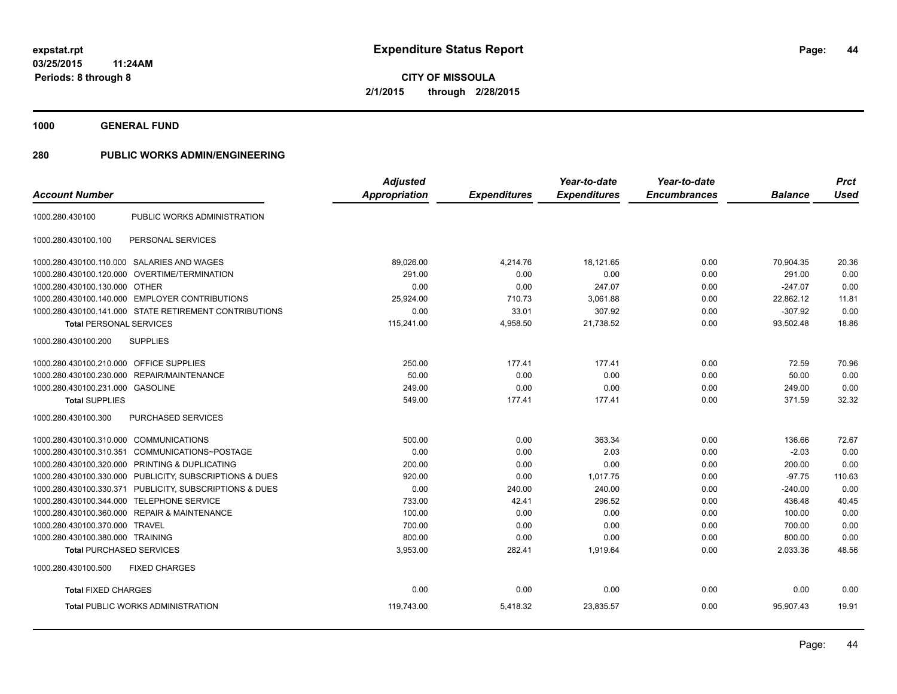**1000 GENERAL FUND**

# **280 PUBLIC WORKS ADMIN/ENGINEERING**

|                                         |                                                         | <b>Adjusted</b>      |                     | Year-to-date        | Year-to-date        |                | <b>Prct</b> |
|-----------------------------------------|---------------------------------------------------------|----------------------|---------------------|---------------------|---------------------|----------------|-------------|
| <b>Account Number</b>                   |                                                         | <b>Appropriation</b> | <b>Expenditures</b> | <b>Expenditures</b> | <b>Encumbrances</b> | <b>Balance</b> | <b>Used</b> |
| 1000.280.430100                         | PUBLIC WORKS ADMINISTRATION                             |                      |                     |                     |                     |                |             |
| 1000.280.430100.100                     | PERSONAL SERVICES                                       |                      |                     |                     |                     |                |             |
|                                         | 1000.280.430100.110.000 SALARIES AND WAGES              | 89,026.00            | 4,214.76            | 18,121.65           | 0.00                | 70,904.35      | 20.36       |
|                                         | 1000.280.430100.120.000 OVERTIME/TERMINATION            | 291.00               | 0.00                | 0.00                | 0.00                | 291.00         | 0.00        |
| 1000.280.430100.130.000 OTHER           |                                                         | 0.00                 | 0.00                | 247.07              | 0.00                | $-247.07$      | 0.00        |
|                                         | 1000.280.430100.140.000 EMPLOYER CONTRIBUTIONS          | 25,924.00            | 710.73              | 3,061.88            | 0.00                | 22,862.12      | 11.81       |
|                                         | 1000.280.430100.141.000 STATE RETIREMENT CONTRIBUTIONS  | 0.00                 | 33.01               | 307.92              | 0.00                | $-307.92$      | 0.00        |
| <b>Total PERSONAL SERVICES</b>          |                                                         | 115,241.00           | 4,958.50            | 21,738.52           | 0.00                | 93,502.48      | 18.86       |
| 1000.280.430100.200                     | <b>SUPPLIES</b>                                         |                      |                     |                     |                     |                |             |
| 1000.280.430100.210.000 OFFICE SUPPLIES |                                                         | 250.00               | 177.41              | 177.41              | 0.00                | 72.59          | 70.96       |
| 1000.280.430100.230.000                 | REPAIR/MAINTENANCE                                      | 50.00                | 0.00                | 0.00                | 0.00                | 50.00          | 0.00        |
| 1000.280.430100.231.000 GASOLINE        |                                                         | 249.00               | 0.00                | 0.00                | 0.00                | 249.00         | 0.00        |
| <b>Total SUPPLIES</b>                   |                                                         | 549.00               | 177.41              | 177.41              | 0.00                | 371.59         | 32.32       |
| 1000.280.430100.300                     | PURCHASED SERVICES                                      |                      |                     |                     |                     |                |             |
| 1000.280.430100.310.000 COMMUNICATIONS  |                                                         | 500.00               | 0.00                | 363.34              | 0.00                | 136.66         | 72.67       |
|                                         | 1000.280.430100.310.351 COMMUNICATIONS~POSTAGE          | 0.00                 | 0.00                | 2.03                | 0.00                | $-2.03$        | 0.00        |
|                                         | 1000.280.430100.320.000 PRINTING & DUPLICATING          | 200.00               | 0.00                | 0.00                | 0.00                | 200.00         | 0.00        |
|                                         | 1000.280.430100.330.000 PUBLICITY, SUBSCRIPTIONS & DUES | 920.00               | 0.00                | 1,017.75            | 0.00                | $-97.75$       | 110.63      |
|                                         | 1000.280.430100.330.371 PUBLICITY, SUBSCRIPTIONS & DUES | 0.00                 | 240.00              | 240.00              | 0.00                | $-240.00$      | 0.00        |
|                                         | 1000.280.430100.344.000 TELEPHONE SERVICE               | 733.00               | 42.41               | 296.52              | 0.00                | 436.48         | 40.45       |
|                                         | 1000.280.430100.360.000 REPAIR & MAINTENANCE            | 100.00               | 0.00                | 0.00                | 0.00                | 100.00         | 0.00        |
| 1000.280.430100.370.000 TRAVEL          |                                                         | 700.00               | 0.00                | 0.00                | 0.00                | 700.00         | 0.00        |
| 1000.280.430100.380.000 TRAINING        |                                                         | 800.00               | 0.00                | 0.00                | 0.00                | 800.00         | 0.00        |
| <b>Total PURCHASED SERVICES</b>         |                                                         | 3,953.00             | 282.41              | 1,919.64            | 0.00                | 2,033.36       | 48.56       |
| 1000.280.430100.500                     | <b>FIXED CHARGES</b>                                    |                      |                     |                     |                     |                |             |
| <b>Total FIXED CHARGES</b>              |                                                         | 0.00                 | 0.00                | 0.00                | 0.00                | 0.00           | 0.00        |
|                                         | <b>Total PUBLIC WORKS ADMINISTRATION</b>                | 119,743.00           | 5,418.32            | 23,835.57           | 0.00                | 95,907.43      | 19.91       |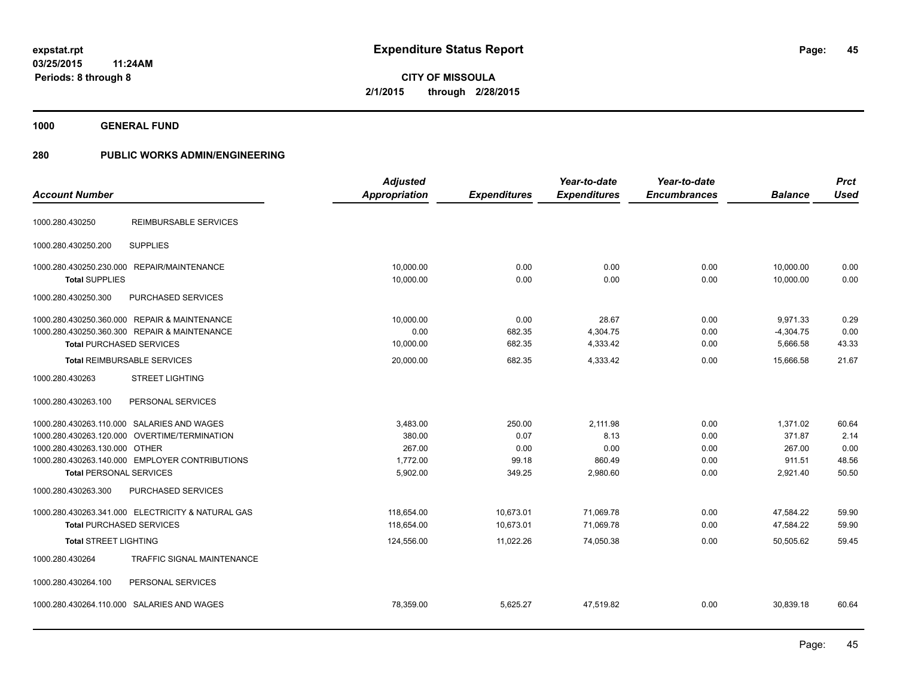**1000 GENERAL FUND**

# **280 PUBLIC WORKS ADMIN/ENGINEERING**

|                                 |                                                   | <b>Adjusted</b>      |                     | Year-to-date        | Year-to-date        |                | <b>Prct</b> |
|---------------------------------|---------------------------------------------------|----------------------|---------------------|---------------------|---------------------|----------------|-------------|
| <b>Account Number</b>           |                                                   | <b>Appropriation</b> | <b>Expenditures</b> | <b>Expenditures</b> | <b>Encumbrances</b> | <b>Balance</b> | <b>Used</b> |
| 1000.280.430250                 | <b>REIMBURSABLE SERVICES</b>                      |                      |                     |                     |                     |                |             |
| 1000.280.430250.200             | <b>SUPPLIES</b>                                   |                      |                     |                     |                     |                |             |
|                                 | 1000.280.430250.230.000 REPAIR/MAINTENANCE        | 10,000.00            | 0.00                | 0.00                | 0.00                | 10,000.00      | 0.00        |
| <b>Total SUPPLIES</b>           |                                                   | 10,000.00            | 0.00                | 0.00                | 0.00                | 10,000.00      | 0.00        |
| 1000.280.430250.300             | PURCHASED SERVICES                                |                      |                     |                     |                     |                |             |
|                                 | 1000.280.430250.360.000 REPAIR & MAINTENANCE      | 10.000.00            | 0.00                | 28.67               | 0.00                | 9,971.33       | 0.29        |
|                                 | 1000.280.430250.360.300 REPAIR & MAINTENANCE      | 0.00                 | 682.35              | 4,304.75            | 0.00                | $-4,304.75$    | 0.00        |
| <b>Total PURCHASED SERVICES</b> |                                                   | 10,000.00            | 682.35              | 4,333.42            | 0.00                | 5,666.58       | 43.33       |
|                                 | <b>Total REIMBURSABLE SERVICES</b>                | 20,000.00            | 682.35              | 4,333.42            | 0.00                | 15,666.58      | 21.67       |
| 1000.280.430263                 | <b>STREET LIGHTING</b>                            |                      |                     |                     |                     |                |             |
| 1000.280.430263.100             | PERSONAL SERVICES                                 |                      |                     |                     |                     |                |             |
|                                 | 1000.280.430263.110.000 SALARIES AND WAGES        | 3,483.00             | 250.00              | 2,111.98            | 0.00                | 1,371.02       | 60.64       |
|                                 | 1000.280.430263.120.000 OVERTIME/TERMINATION      | 380.00               | 0.07                | 8.13                | 0.00                | 371.87         | 2.14        |
| 1000.280.430263.130.000 OTHER   |                                                   | 267.00               | 0.00                | 0.00                | 0.00                | 267.00         | 0.00        |
|                                 | 1000.280.430263.140.000 EMPLOYER CONTRIBUTIONS    | 1,772.00             | 99.18               | 860.49              | 0.00                | 911.51         | 48.56       |
| <b>Total PERSONAL SERVICES</b>  |                                                   | 5,902.00             | 349.25              | 2,980.60            | 0.00                | 2,921.40       | 50.50       |
| 1000.280.430263.300             | <b>PURCHASED SERVICES</b>                         |                      |                     |                     |                     |                |             |
|                                 | 1000.280.430263.341.000 ELECTRICITY & NATURAL GAS | 118,654.00           | 10,673.01           | 71,069.78           | 0.00                | 47,584.22      | 59.90       |
| <b>Total PURCHASED SERVICES</b> |                                                   | 118,654.00           | 10,673.01           | 71,069.78           | 0.00                | 47,584.22      | 59.90       |
| <b>Total STREET LIGHTING</b>    |                                                   | 124,556.00           | 11,022.26           | 74,050.38           | 0.00                | 50.505.62      | 59.45       |
| 1000.280.430264                 | <b>TRAFFIC SIGNAL MAINTENANCE</b>                 |                      |                     |                     |                     |                |             |
| 1000.280.430264.100             | PERSONAL SERVICES                                 |                      |                     |                     |                     |                |             |
|                                 | 1000.280.430264.110.000 SALARIES AND WAGES        | 78,359.00            | 5,625.27            | 47.519.82           | 0.00                | 30,839.18      | 60.64       |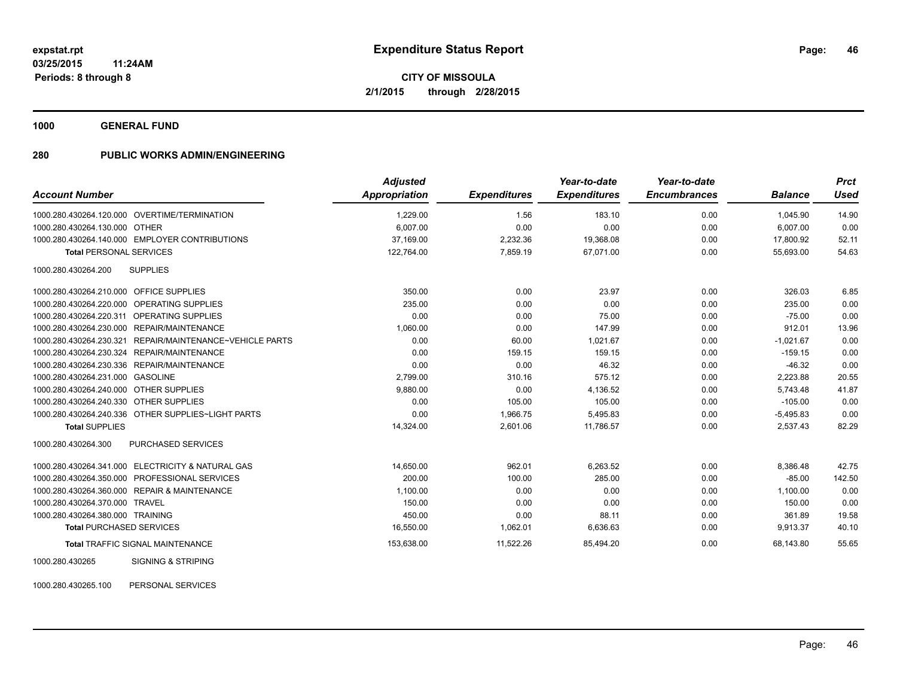**1000 GENERAL FUND**

### **280 PUBLIC WORKS ADMIN/ENGINEERING**

| <b>Account Number</b>                                       | <b>Adjusted</b><br><b>Appropriation</b> | <b>Expenditures</b> | Year-to-date<br><b>Expenditures</b> | Year-to-date<br><b>Encumbrances</b> | <b>Balance</b> | <b>Prct</b><br><b>Used</b> |
|-------------------------------------------------------------|-----------------------------------------|---------------------|-------------------------------------|-------------------------------------|----------------|----------------------------|
| 1000.280.430264.120.000 OVERTIME/TERMINATION                | 1,229.00                                | 1.56                | 183.10                              | 0.00                                | 1,045.90       | 14.90                      |
| 1000.280.430264.130.000 OTHER                               | 6,007.00                                | 0.00                | 0.00                                | 0.00                                | 6,007.00       | 0.00                       |
| 1000.280.430264.140.000 EMPLOYER CONTRIBUTIONS              | 37,169.00                               | 2,232.36            | 19,368.08                           | 0.00                                | 17,800.92      | 52.11                      |
| <b>Total PERSONAL SERVICES</b>                              | 122,764.00                              | 7,859.19            | 67,071.00                           | 0.00                                | 55,693.00      | 54.63                      |
| 1000.280.430264.200<br><b>SUPPLIES</b>                      |                                         |                     |                                     |                                     |                |                            |
| 1000.280.430264.210.000 OFFICE SUPPLIES                     | 350.00                                  | 0.00                | 23.97                               | 0.00                                | 326.03         | 6.85                       |
| 1000.280.430264.220.000 OPERATING SUPPLIES                  | 235.00                                  | 0.00                | 0.00                                | 0.00                                | 235.00         | 0.00                       |
| 1000.280.430264.220.311 OPERATING SUPPLIES                  | 0.00                                    | 0.00                | 75.00                               | 0.00                                | $-75.00$       | 0.00                       |
| 1000.280.430264.230.000 REPAIR/MAINTENANCE                  | 1,060.00                                | 0.00                | 147.99                              | 0.00                                | 912.01         | 13.96                      |
| 1000.280.430264.230.321<br>REPAIR/MAINTENANCE~VEHICLE PARTS | 0.00                                    | 60.00               | 1,021.67                            | 0.00                                | $-1,021.67$    | 0.00                       |
| 1000.280.430264.230.324 REPAIR/MAINTENANCE                  | 0.00                                    | 159.15              | 159.15                              | 0.00                                | $-159.15$      | 0.00                       |
| 1000.280.430264.230.336 REPAIR/MAINTENANCE                  | 0.00                                    | 0.00                | 46.32                               | 0.00                                | $-46.32$       | 0.00                       |
| 1000.280.430264.231.000 GASOLINE                            | 2,799.00                                | 310.16              | 575.12                              | 0.00                                | 2,223.88       | 20.55                      |
| 1000.280.430264.240.000 OTHER SUPPLIES                      | 9,880.00                                | 0.00                | 4,136.52                            | 0.00                                | 5,743.48       | 41.87                      |
| 1000.280.430264.240.330 OTHER SUPPLIES                      | 0.00                                    | 105.00              | 105.00                              | 0.00                                | $-105.00$      | 0.00                       |
| 1000.280.430264.240.336 OTHER SUPPLIES~LIGHT PARTS          | 0.00                                    | 1,966.75            | 5,495.83                            | 0.00                                | $-5,495.83$    | 0.00                       |
| <b>Total SUPPLIES</b>                                       | 14,324.00                               | 2,601.06            | 11,786.57                           | 0.00                                | 2,537.43       | 82.29                      |
| 1000.280.430264.300<br><b>PURCHASED SERVICES</b>            |                                         |                     |                                     |                                     |                |                            |
| 1000.280.430264.341.000 ELECTRICITY & NATURAL GAS           | 14,650.00                               | 962.01              | 6,263.52                            | 0.00                                | 8,386.48       | 42.75                      |
| 1000.280.430264.350.000 PROFESSIONAL SERVICES               | 200.00                                  | 100.00              | 285.00                              | 0.00                                | $-85.00$       | 142.50                     |
| 1000.280.430264.360.000 REPAIR & MAINTENANCE                | 1,100.00                                | 0.00                | 0.00                                | 0.00                                | 1.100.00       | 0.00                       |
| 1000.280.430264.370.000 TRAVEL                              | 150.00                                  | 0.00                | 0.00                                | 0.00                                | 150.00         | 0.00                       |
| 1000.280.430264.380.000 TRAINING                            | 450.00                                  | 0.00                | 88.11                               | 0.00                                | 361.89         | 19.58                      |
| <b>Total PURCHASED SERVICES</b>                             | 16,550.00                               | 1,062.01            | 6,636.63                            | 0.00                                | 9,913.37       | 40.10                      |
| <b>Total TRAFFIC SIGNAL MAINTENANCE</b>                     | 153,638.00                              | 11,522.26           | 85,494.20                           | 0.00                                | 68,143.80      | 55.65                      |
| 1000.280.430265<br><b>SIGNING &amp; STRIPING</b>            |                                         |                     |                                     |                                     |                |                            |

1000.280.430265.100 PERSONAL SERVICES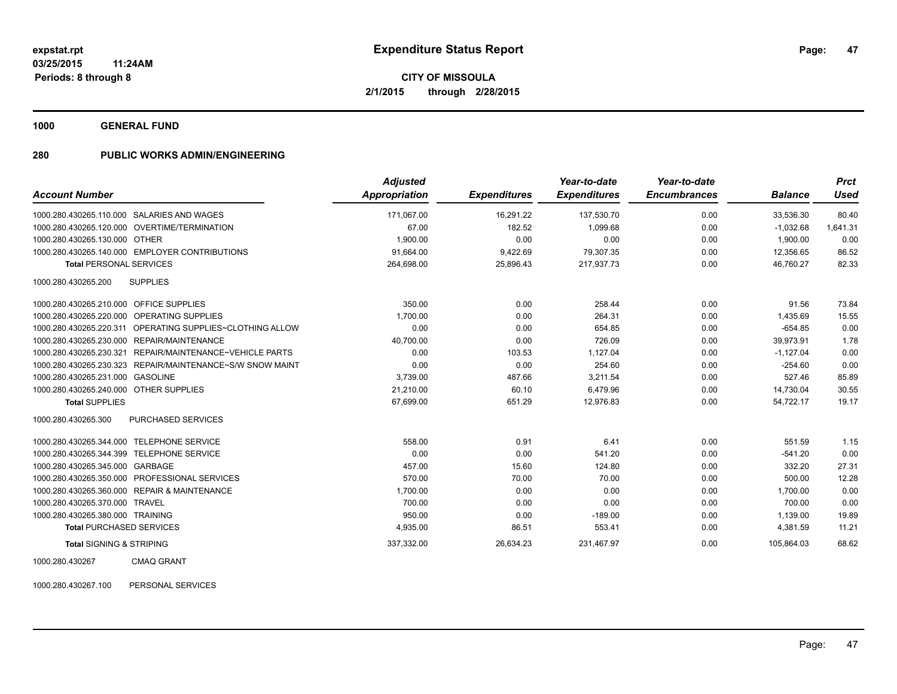**1000 GENERAL FUND**

### **280 PUBLIC WORKS ADMIN/ENGINEERING**

| <b>Account Number</b>                                       | <b>Adjusted</b><br><b>Appropriation</b> | <b>Expenditures</b> | Year-to-date<br><b>Expenditures</b> | Year-to-date<br><b>Encumbrances</b> | <b>Balance</b> | <b>Prct</b><br><b>Used</b> |
|-------------------------------------------------------------|-----------------------------------------|---------------------|-------------------------------------|-------------------------------------|----------------|----------------------------|
|                                                             |                                         |                     |                                     |                                     |                |                            |
| 1000.280.430265.110.000 SALARIES AND WAGES                  | 171,067.00                              | 16,291.22           | 137,530.70                          | 0.00                                | 33,536.30      | 80.40                      |
| 1000.280.430265.120.000 OVERTIME/TERMINATION                | 67.00                                   | 182.52              | 1,099.68                            | 0.00                                | $-1,032.68$    | 1,641.31                   |
| 1000.280.430265.130.000 OTHER                               | 1.900.00                                | 0.00                | 0.00                                | 0.00                                | 1.900.00       | 0.00                       |
| 1000.280.430265.140.000 EMPLOYER CONTRIBUTIONS              | 91.664.00                               | 9,422.69            | 79,307.35                           | 0.00                                | 12,356.65      | 86.52                      |
| <b>Total PERSONAL SERVICES</b>                              | 264,698.00                              | 25,896.43           | 217,937.73                          | 0.00                                | 46,760.27      | 82.33                      |
| 1000.280.430265.200<br><b>SUPPLIES</b>                      |                                         |                     |                                     |                                     |                |                            |
| 1000.280.430265.210.000 OFFICE SUPPLIES                     | 350.00                                  | 0.00                | 258.44                              | 0.00                                | 91.56          | 73.84                      |
| 1000.280.430265.220.000 OPERATING SUPPLIES                  | 1,700.00                                | 0.00                | 264.31                              | 0.00                                | 1,435.69       | 15.55                      |
| 1000.280.430265.220.311 OPERATING SUPPLIES~CLOTHING ALLOW   | 0.00                                    | 0.00                | 654.85                              | 0.00                                | $-654.85$      | 0.00                       |
| 1000.280.430265.230.000 REPAIR/MAINTENANCE                  | 40,700.00                               | 0.00                | 726.09                              | 0.00                                | 39,973.91      | 1.78                       |
| REPAIR/MAINTENANCE~VEHICLE PARTS<br>1000.280.430265.230.321 | 0.00                                    | 103.53              | 1,127.04                            | 0.00                                | $-1,127.04$    | 0.00                       |
| 1000.280.430265.230.323 REPAIR/MAINTENANCE~S/W SNOW MAINT   | 0.00                                    | 0.00                | 254.60                              | 0.00                                | $-254.60$      | 0.00                       |
| 1000.280.430265.231.000 GASOLINE                            | 3,739.00                                | 487.66              | 3,211.54                            | 0.00                                | 527.46         | 85.89                      |
| 1000.280.430265.240.000 OTHER SUPPLIES                      | 21,210.00                               | 60.10               | 6,479.96                            | 0.00                                | 14,730.04      | 30.55                      |
| <b>Total SUPPLIES</b>                                       | 67,699.00                               | 651.29              | 12,976.83                           | 0.00                                | 54,722.17      | 19.17                      |
| 1000.280.430265.300<br>PURCHASED SERVICES                   |                                         |                     |                                     |                                     |                |                            |
| 1000.280.430265.344.000 TELEPHONE SERVICE                   | 558.00                                  | 0.91                | 6.41                                | 0.00                                | 551.59         | 1.15                       |
| 1000.280.430265.344.399 TELEPHONE SERVICE                   | 0.00                                    | 0.00                | 541.20                              | 0.00                                | $-541.20$      | 0.00                       |
| 1000.280.430265.345.000 GARBAGE                             | 457.00                                  | 15.60               | 124.80                              | 0.00                                | 332.20         | 27.31                      |
| 1000.280.430265.350.000 PROFESSIONAL SERVICES               | 570.00                                  | 70.00               | 70.00                               | 0.00                                | 500.00         | 12.28                      |
| 1000.280.430265.360.000 REPAIR & MAINTENANCE                | 1,700.00                                | 0.00                | 0.00                                | 0.00                                | 1,700.00       | 0.00                       |
| 1000.280.430265.370.000 TRAVEL                              | 700.00                                  | 0.00                | 0.00                                | 0.00                                | 700.00         | 0.00                       |
| 1000.280.430265.380.000 TRAINING                            | 950.00                                  | 0.00                | $-189.00$                           | 0.00                                | 1,139.00       | 19.89                      |
| <b>Total PURCHASED SERVICES</b>                             | 4,935.00                                | 86.51               | 553.41                              | 0.00                                | 4,381.59       | 11.21                      |
| <b>Total SIGNING &amp; STRIPING</b>                         | 337,332.00                              | 26,634.23           | 231,467.97                          | 0.00                                | 105,864.03     | 68.62                      |

1000.280.430267 CMAQ GRANT

1000.280.430267.100 PERSONAL SERVICES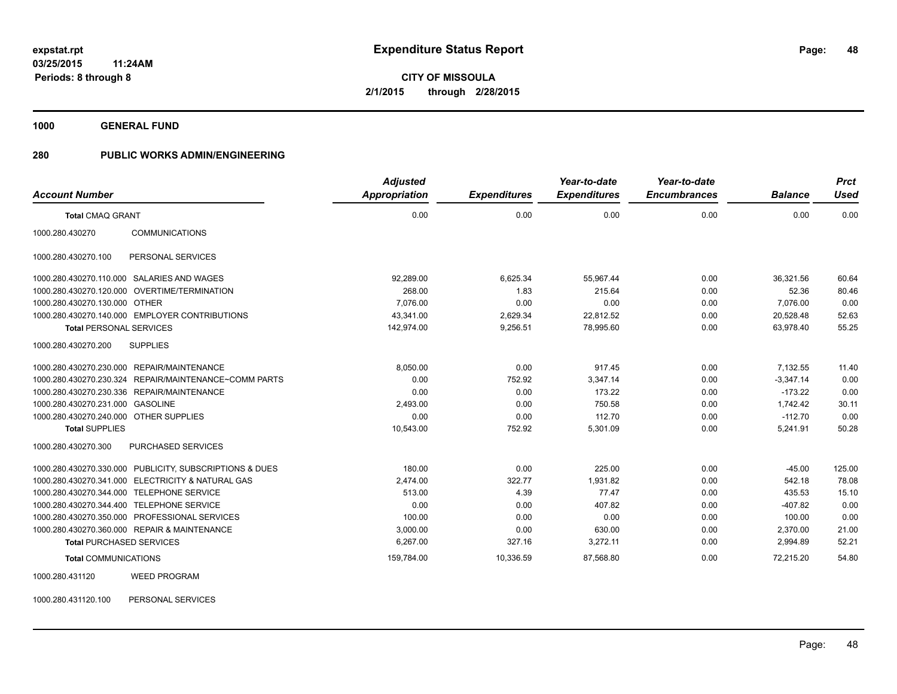**1000 GENERAL FUND**

### **280 PUBLIC WORKS ADMIN/ENGINEERING**

| <b>Account Number</b>                  |                                                         | <b>Adjusted</b><br><b>Appropriation</b> | <b>Expenditures</b> | Year-to-date<br><b>Expenditures</b> | Year-to-date<br><b>Encumbrances</b> | <b>Balance</b> | <b>Prct</b><br><b>Used</b> |
|----------------------------------------|---------------------------------------------------------|-----------------------------------------|---------------------|-------------------------------------|-------------------------------------|----------------|----------------------------|
| <b>Total CMAQ GRANT</b>                |                                                         | 0.00                                    | 0.00                | 0.00                                | 0.00                                | 0.00           | 0.00                       |
| 1000.280.430270                        | <b>COMMUNICATIONS</b>                                   |                                         |                     |                                     |                                     |                |                            |
| 1000.280.430270.100                    | PERSONAL SERVICES                                       |                                         |                     |                                     |                                     |                |                            |
|                                        | 1000.280.430270.110.000 SALARIES AND WAGES              | 92.289.00                               | 6,625.34            | 55.967.44                           | 0.00                                | 36.321.56      | 60.64                      |
|                                        | 1000.280.430270.120.000 OVERTIME/TERMINATION            | 268.00                                  | 1.83                | 215.64                              | 0.00                                | 52.36          | 80.46                      |
| 1000.280.430270.130.000 OTHER          |                                                         | 7.076.00                                | 0.00                | 0.00                                | 0.00                                | 7,076.00       | 0.00                       |
|                                        | 1000.280.430270.140.000 EMPLOYER CONTRIBUTIONS          | 43,341.00                               | 2,629.34            | 22,812.52                           | 0.00                                | 20,528.48      | 52.63                      |
| <b>Total PERSONAL SERVICES</b>         |                                                         | 142,974.00                              | 9,256.51            | 78,995.60                           | 0.00                                | 63,978.40      | 55.25                      |
| 1000.280.430270.200                    | <b>SUPPLIES</b>                                         |                                         |                     |                                     |                                     |                |                            |
|                                        | 1000.280.430270.230.000 REPAIR/MAINTENANCE              | 8,050.00                                | 0.00                | 917.45                              | 0.00                                | 7,132.55       | 11.40                      |
|                                        | 1000.280.430270.230.324 REPAIR/MAINTENANCE~COMM PARTS   | 0.00                                    | 752.92              | 3,347.14                            | 0.00                                | $-3,347.14$    | 0.00                       |
|                                        | 1000.280.430270.230.336 REPAIR/MAINTENANCE              | 0.00                                    | 0.00                | 173.22                              | 0.00                                | $-173.22$      | 0.00                       |
| 1000.280.430270.231.000 GASOLINE       |                                                         | 2,493.00                                | 0.00                | 750.58                              | 0.00                                | 1,742.42       | 30.11                      |
| 1000.280.430270.240.000 OTHER SUPPLIES |                                                         | 0.00                                    | 0.00                | 112.70                              | 0.00                                | $-112.70$      | 0.00                       |
| <b>Total SUPPLIES</b>                  |                                                         | 10,543.00                               | 752.92              | 5,301.09                            | 0.00                                | 5,241.91       | 50.28                      |
| 1000.280.430270.300                    | PURCHASED SERVICES                                      |                                         |                     |                                     |                                     |                |                            |
|                                        | 1000.280.430270.330.000 PUBLICITY, SUBSCRIPTIONS & DUES | 180.00                                  | 0.00                | 225.00                              | 0.00                                | $-45.00$       | 125.00                     |
|                                        | 1000.280.430270.341.000 ELECTRICITY & NATURAL GAS       | 2,474.00                                | 322.77              | 1,931.82                            | 0.00                                | 542.18         | 78.08                      |
|                                        | 1000.280.430270.344.000 TELEPHONE SERVICE               | 513.00                                  | 4.39                | 77.47                               | 0.00                                | 435.53         | 15.10                      |
|                                        | 1000.280.430270.344.400 TELEPHONE SERVICE               | 0.00                                    | 0.00                | 407.82                              | 0.00                                | $-407.82$      | 0.00                       |
|                                        | 1000.280.430270.350.000 PROFESSIONAL SERVICES           | 100.00                                  | 0.00                | 0.00                                | 0.00                                | 100.00         | 0.00                       |
|                                        | 1000.280.430270.360.000 REPAIR & MAINTENANCE            | 3,000.00                                | 0.00                | 630.00                              | 0.00                                | 2,370.00       | 21.00                      |
| <b>Total PURCHASED SERVICES</b>        |                                                         | 6,267.00                                | 327.16              | 3,272.11                            | 0.00                                | 2,994.89       | 52.21                      |
| <b>Total COMMUNICATIONS</b>            |                                                         | 159,784.00                              | 10,336.59           | 87,568.80                           | 0.00                                | 72,215.20      | 54.80                      |
| 1000.280.431120                        | <b>WEED PROGRAM</b>                                     |                                         |                     |                                     |                                     |                |                            |

1000.280.431120.100 PERSONAL SERVICES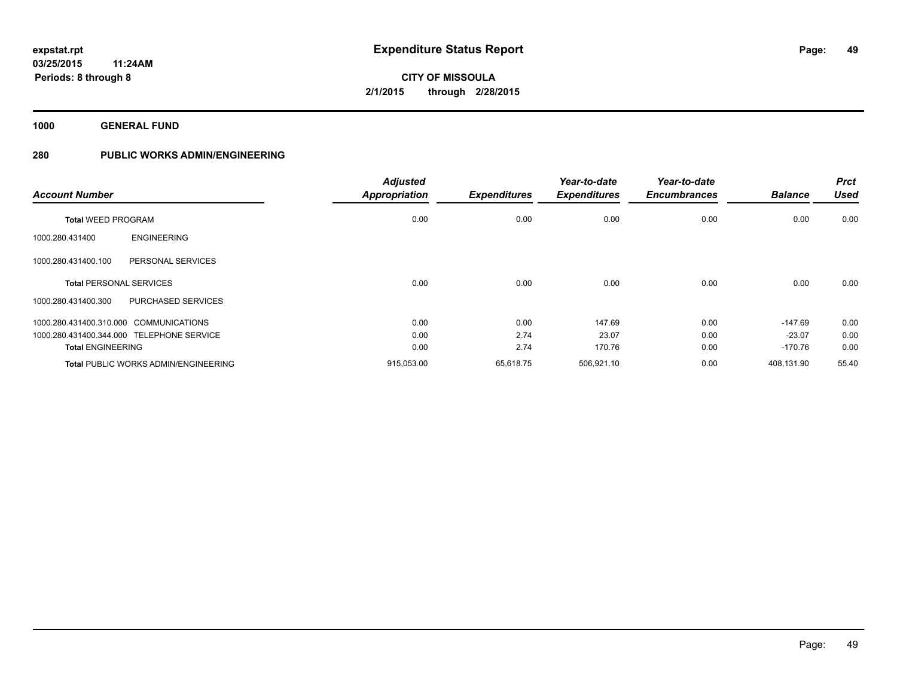**1000 GENERAL FUND**

# **280 PUBLIC WORKS ADMIN/ENGINEERING**

| <b>Account Number</b>                       | <b>Adjusted</b><br><b>Appropriation</b> | <b>Expenditures</b> | Year-to-date<br><b>Expenditures</b> | Year-to-date<br><b>Encumbrances</b> | <b>Balance</b> | <b>Prct</b><br><b>Used</b> |
|---------------------------------------------|-----------------------------------------|---------------------|-------------------------------------|-------------------------------------|----------------|----------------------------|
| <b>Total WEED PROGRAM</b>                   | 0.00                                    | 0.00                | 0.00                                | 0.00                                | 0.00           | 0.00                       |
| <b>ENGINEERING</b><br>1000.280.431400       |                                         |                     |                                     |                                     |                |                            |
| 1000.280.431400.100<br>PERSONAL SERVICES    |                                         |                     |                                     |                                     |                |                            |
| <b>Total PERSONAL SERVICES</b>              | 0.00                                    | 0.00                | 0.00                                | 0.00                                | 0.00           | 0.00                       |
| 1000.280.431400.300<br>PURCHASED SERVICES   |                                         |                     |                                     |                                     |                |                            |
| 1000.280.431400.310.000 COMMUNICATIONS      | 0.00                                    | 0.00                | 147.69                              | 0.00                                | $-147.69$      | 0.00                       |
| 1000.280.431400.344.000 TELEPHONE SERVICE   | 0.00                                    | 2.74                | 23.07                               | 0.00                                | $-23.07$       | 0.00                       |
| <b>Total ENGINEERING</b>                    | 0.00                                    | 2.74                | 170.76                              | 0.00                                | $-170.76$      | 0.00                       |
| <b>Total PUBLIC WORKS ADMIN/ENGINEERING</b> | 915,053.00                              | 65.618.75           | 506,921.10                          | 0.00                                | 408.131.90     | 55.40                      |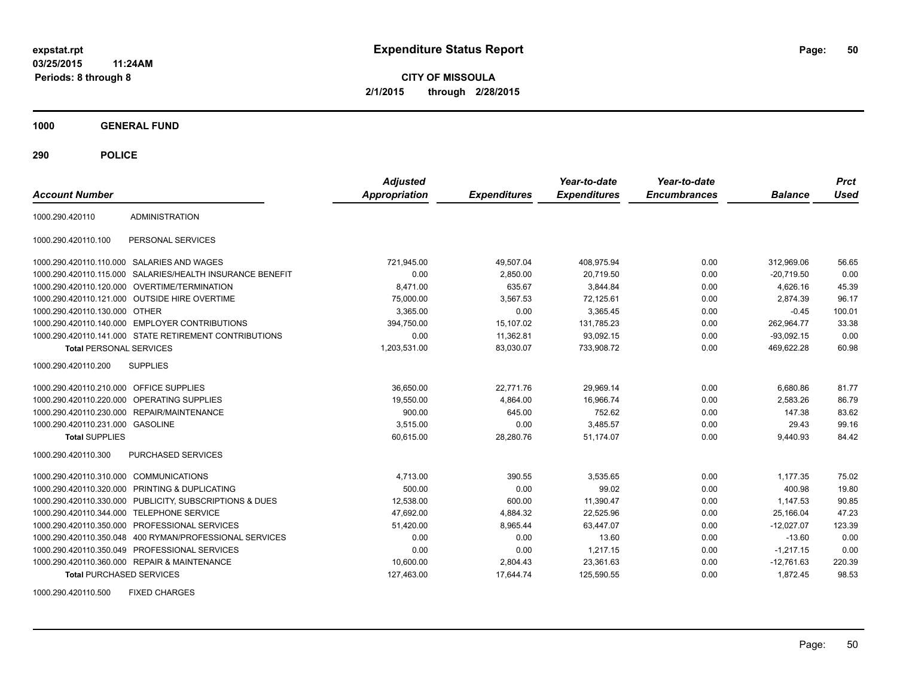**CITY OF MISSOULA 2/1/2015 through 2/28/2015**

**1000 GENERAL FUND**

**290 POLICE**

| <b>Account Number</b>                   |                                                        | <b>Adjusted</b><br><b>Appropriation</b> | <b>Expenditures</b> | Year-to-date<br><b>Expenditures</b> | Year-to-date<br><b>Encumbrances</b> | <b>Balance</b> | <b>Prct</b><br>Used |
|-----------------------------------------|--------------------------------------------------------|-----------------------------------------|---------------------|-------------------------------------|-------------------------------------|----------------|---------------------|
| 1000.290.420110                         | <b>ADMINISTRATION</b>                                  |                                         |                     |                                     |                                     |                |                     |
| 1000.290.420110.100                     | PERSONAL SERVICES                                      |                                         |                     |                                     |                                     |                |                     |
| 1000.290.420110.110.000                 | SALARIES AND WAGES                                     | 721,945.00                              | 49,507.04           | 408,975.94                          | 0.00                                | 312,969.06     | 56.65               |
| 1000.290.420110.115.000                 | SALARIES/HEALTH INSURANCE BENEFIT                      | 0.00                                    | 2,850.00            | 20,719.50                           | 0.00                                | $-20.719.50$   | 0.00                |
| 1000.290.420110.120.000                 | OVERTIME/TERMINATION                                   | 8.471.00                                | 635.67              | 3,844.84                            | 0.00                                | 4,626.16       | 45.39               |
| 1000.290.420110.121.000                 | <b>OUTSIDE HIRE OVERTIME</b>                           | 75,000.00                               | 3.567.53            | 72,125.61                           | 0.00                                | 2.874.39       | 96.17               |
| 1000.290.420110.130.000                 | <b>OTHER</b>                                           | 3,365.00                                | 0.00                | 3.365.45                            | 0.00                                | $-0.45$        | 100.01              |
| 1000.290.420110.140.000                 | <b>EMPLOYER CONTRIBUTIONS</b>                          | 394,750.00                              | 15,107.02           | 131,785.23                          | 0.00                                | 262,964.77     | 33.38               |
|                                         | 1000.290.420110.141.000 STATE RETIREMENT CONTRIBUTIONS | 0.00                                    | 11,362.81           | 93.092.15                           | 0.00                                | $-93.092.15$   | 0.00                |
| <b>Total PERSONAL SERVICES</b>          |                                                        | 1,203,531.00                            | 83,030.07           | 733,908.72                          | 0.00                                | 469,622.28     | 60.98               |
| 1000.290.420110.200                     | <b>SUPPLIES</b>                                        |                                         |                     |                                     |                                     |                |                     |
| 1000.290.420110.210.000 OFFICE SUPPLIES |                                                        | 36,650.00                               | 22,771.76           | 29,969.14                           | 0.00                                | 6,680.86       | 81.77               |
| 1000.290.420110.220.000                 | <b>OPERATING SUPPLIES</b>                              | 19,550.00                               | 4,864.00            | 16,966.74                           | 0.00                                | 2,583.26       | 86.79               |
| 1000.290.420110.230.000                 | <b>REPAIR/MAINTENANCE</b>                              | 900.00                                  | 645.00              | 752.62                              | 0.00                                | 147.38         | 83.62               |
| 1000.290.420110.231.000 GASOLINE        |                                                        | 3,515.00                                | 0.00                | 3,485.57                            | 0.00                                | 29.43          | 99.16               |
| <b>Total SUPPLIES</b>                   |                                                        | 60.615.00                               | 28.280.76           | 51,174.07                           | 0.00                                | 9.440.93       | 84.42               |
| 1000.290.420110.300                     | PURCHASED SERVICES                                     |                                         |                     |                                     |                                     |                |                     |
| 1000.290.420110.310.000                 | <b>COMMUNICATIONS</b>                                  | 4,713.00                                | 390.55              | 3,535.65                            | 0.00                                | 1,177.35       | 75.02               |
| 1000.290.420110.320.000                 | PRINTING & DUPLICATING                                 | 500.00                                  | 0.00                | 99.02                               | 0.00                                | 400.98         | 19.80               |
| 1000.290.420110.330.000                 | PUBLICITY, SUBSCRIPTIONS & DUES                        | 12,538.00                               | 600.00              | 11,390.47                           | 0.00                                | 1,147.53       | 90.85               |
| 1000.290.420110.344.000                 | <b>TELEPHONE SERVICE</b>                               | 47.692.00                               | 4,884.32            | 22,525.96                           | 0.00                                | 25.166.04      | 47.23               |
| 1000.290.420110.350.000                 | PROFESSIONAL SERVICES                                  | 51,420.00                               | 8.965.44            | 63,447.07                           | 0.00                                | $-12,027.07$   | 123.39              |
| 1000.290.420110.350.048                 | 400 RYMAN/PROFESSIONAL SERVICES                        | 0.00                                    | 0.00                | 13.60                               | 0.00                                | $-13.60$       | 0.00                |
| 1000.290.420110.350.049                 | PROFESSIONAL SERVICES                                  | 0.00                                    | 0.00                | 1,217.15                            | 0.00                                | $-1,217.15$    | 0.00                |
|                                         | 1000.290.420110.360.000 REPAIR & MAINTENANCE           | 10,600.00                               | 2,804.43            | 23,361.63                           | 0.00                                | $-12.761.63$   | 220.39              |
| <b>Total PURCHASED SERVICES</b>         |                                                        | 127,463.00                              | 17,644.74           | 125,590.55                          | 0.00                                | 1,872.45       | 98.53               |

1000.290.420110.500 FIXED CHARGES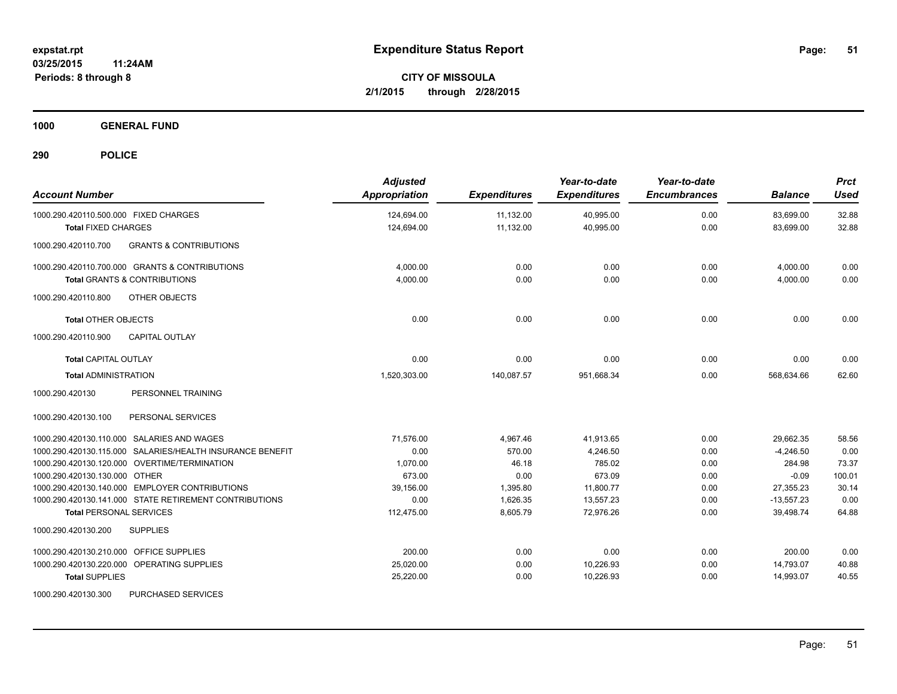**1000 GENERAL FUND**

| <b>Account Number</b>                                     | <b>Adjusted</b><br>Appropriation | <b>Expenditures</b> | Year-to-date<br><b>Expenditures</b> | Year-to-date<br><b>Encumbrances</b> | <b>Balance</b> | <b>Prct</b><br><b>Used</b> |
|-----------------------------------------------------------|----------------------------------|---------------------|-------------------------------------|-------------------------------------|----------------|----------------------------|
| 1000.290.420110.500.000 FIXED CHARGES                     | 124,694.00                       | 11,132.00           | 40,995.00                           | 0.00                                | 83,699.00      | 32.88                      |
| <b>Total FIXED CHARGES</b>                                | 124,694.00                       | 11,132.00           | 40,995.00                           | 0.00                                | 83,699.00      | 32.88                      |
| 1000.290.420110.700<br><b>GRANTS &amp; CONTRIBUTIONS</b>  |                                  |                     |                                     |                                     |                |                            |
| 1000.290.420110.700.000 GRANTS & CONTRIBUTIONS            | 4.000.00                         | 0.00                | 0.00                                | 0.00                                | 4,000.00       | 0.00                       |
| Total GRANTS & CONTRIBUTIONS                              | 4,000.00                         | 0.00                | 0.00                                | 0.00                                | 4,000.00       | 0.00                       |
| OTHER OBJECTS<br>1000.290.420110.800                      |                                  |                     |                                     |                                     |                |                            |
| <b>Total OTHER OBJECTS</b>                                | 0.00                             | 0.00                | 0.00                                | 0.00                                | 0.00           | 0.00                       |
| <b>CAPITAL OUTLAY</b><br>1000.290.420110.900              |                                  |                     |                                     |                                     |                |                            |
| <b>Total CAPITAL OUTLAY</b>                               | 0.00                             | 0.00                | 0.00                                | 0.00                                | 0.00           | 0.00                       |
| <b>Total ADMINISTRATION</b>                               | 1,520,303.00                     | 140,087.57          | 951,668.34                          | 0.00                                | 568,634.66     | 62.60                      |
| 1000.290.420130<br>PERSONNEL TRAINING                     |                                  |                     |                                     |                                     |                |                            |
| PERSONAL SERVICES<br>1000.290.420130.100                  |                                  |                     |                                     |                                     |                |                            |
| 1000.290.420130.110.000 SALARIES AND WAGES                | 71,576.00                        | 4.967.46            | 41.913.65                           | 0.00                                | 29.662.35      | 58.56                      |
| 1000.290.420130.115.000 SALARIES/HEALTH INSURANCE BENEFIT | 0.00                             | 570.00              | 4,246.50                            | 0.00                                | $-4,246.50$    | 0.00                       |
| 1000.290.420130.120.000 OVERTIME/TERMINATION              | 1,070.00                         | 46.18               | 785.02                              | 0.00                                | 284.98         | 73.37                      |
| 1000.290.420130.130.000 OTHER                             | 673.00                           | 0.00                | 673.09                              | 0.00                                | $-0.09$        | 100.01                     |
| 1000.290.420130.140.000 EMPLOYER CONTRIBUTIONS            | 39,156.00                        | 1,395.80            | 11,800.77                           | 0.00                                | 27,355.23      | 30.14                      |
| 1000.290.420130.141.000 STATE RETIREMENT CONTRIBUTIONS    | 0.00                             | 1,626.35            | 13,557.23                           | 0.00                                | $-13,557.23$   | 0.00                       |
| <b>Total PERSONAL SERVICES</b>                            | 112,475.00                       | 8,605.79            | 72,976.26                           | 0.00                                | 39,498.74      | 64.88                      |
| 1000.290.420130.200<br><b>SUPPLIES</b>                    |                                  |                     |                                     |                                     |                |                            |
| OFFICE SUPPLIES<br>1000.290.420130.210.000                | 200.00                           | 0.00                | 0.00                                | 0.00                                | 200.00         | 0.00                       |
| 1000.290.420130.220.000 OPERATING SUPPLIES                | 25,020.00                        | 0.00                | 10,226.93                           | 0.00                                | 14,793.07      | 40.88                      |
| <b>Total SUPPLIES</b>                                     | 25,220.00                        | 0.00                | 10,226.93                           | 0.00                                | 14,993.07      | 40.55                      |
| 1000.290.420130.300<br>PURCHASED SERVICES                 |                                  |                     |                                     |                                     |                |                            |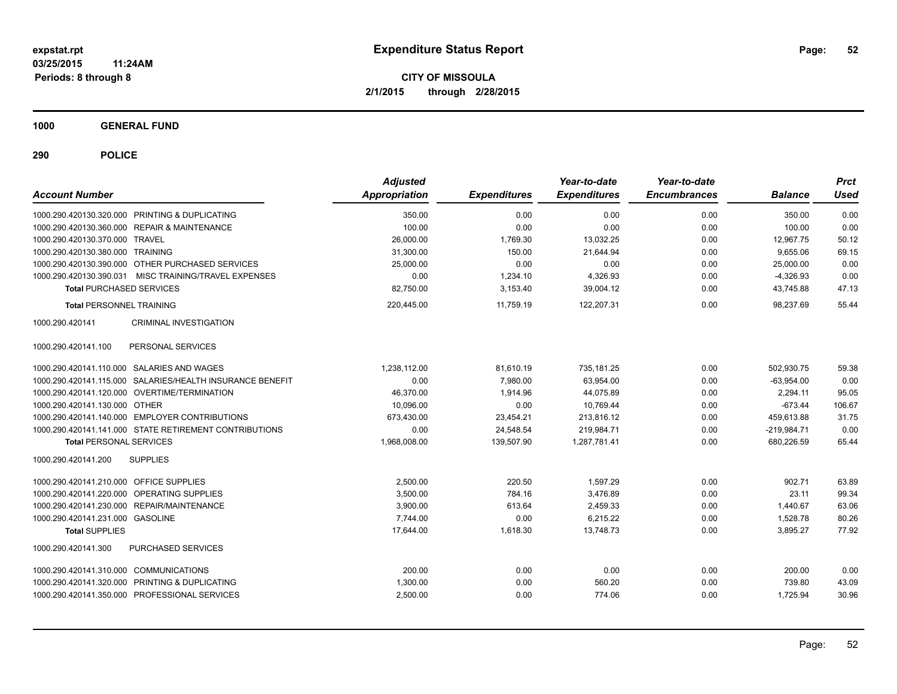**1000 GENERAL FUND**

| <b>Account Number</b>                                     | <b>Adjusted</b><br>Appropriation | <b>Expenditures</b> | Year-to-date<br><b>Expenditures</b> | Year-to-date<br><b>Encumbrances</b> | <b>Balance</b> | <b>Prct</b><br><b>Used</b> |
|-----------------------------------------------------------|----------------------------------|---------------------|-------------------------------------|-------------------------------------|----------------|----------------------------|
| 1000.290.420130.320.000 PRINTING & DUPLICATING            | 350.00                           | 0.00                | 0.00                                | 0.00                                | 350.00         | 0.00                       |
| 1000.290.420130.360.000 REPAIR & MAINTENANCE              | 100.00                           | 0.00                | 0.00                                | 0.00                                | 100.00         | 0.00                       |
| 1000.290.420130.370.000 TRAVEL                            | 26,000.00                        | 1,769.30            | 13,032.25                           | 0.00                                | 12.967.75      | 50.12                      |
| 1000.290.420130.380.000 TRAINING                          | 31,300.00                        | 150.00              | 21,644.94                           | 0.00                                | 9.655.06       | 69.15                      |
| 1000.290.420130.390.000 OTHER PURCHASED SERVICES          | 25,000.00                        | 0.00                | 0.00                                | 0.00                                | 25,000.00      | 0.00                       |
| 1000.290.420130.390.031 MISC TRAINING/TRAVEL EXPENSES     | 0.00                             | 1,234.10            | 4,326.93                            | 0.00                                | $-4,326.93$    | 0.00                       |
| <b>Total PURCHASED SERVICES</b>                           | 82,750.00                        | 3,153.40            | 39,004.12                           | 0.00                                | 43,745.88      | 47.13                      |
| <b>Total PERSONNEL TRAINING</b>                           | 220,445.00                       | 11.759.19           | 122,207.31                          | 0.00                                | 98.237.69      | 55.44                      |
| <b>CRIMINAL INVESTIGATION</b><br>1000.290.420141          |                                  |                     |                                     |                                     |                |                            |
| 1000.290.420141.100<br>PERSONAL SERVICES                  |                                  |                     |                                     |                                     |                |                            |
| 1000.290.420141.110.000 SALARIES AND WAGES                | 1,238,112.00                     | 81,610.19           | 735,181.25                          | 0.00                                | 502,930.75     | 59.38                      |
| 1000.290.420141.115.000 SALARIES/HEALTH INSURANCE BENEFIT | 0.00                             | 7,980.00            | 63,954.00                           | 0.00                                | $-63,954.00$   | 0.00                       |
| 1000.290.420141.120.000 OVERTIME/TERMINATION              | 46,370.00                        | 1,914.96            | 44,075.89                           | 0.00                                | 2,294.11       | 95.05                      |
| 1000.290.420141.130.000 OTHER                             | 10,096.00                        | 0.00                | 10,769.44                           | 0.00                                | $-673.44$      | 106.67                     |
| 1000.290.420141.140.000 EMPLOYER CONTRIBUTIONS            | 673,430.00                       | 23,454.21           | 213,816.12                          | 0.00                                | 459.613.88     | 31.75                      |
| 1000.290.420141.141.000 STATE RETIREMENT CONTRIBUTIONS    | 0.00                             | 24,548.54           | 219.984.71                          | 0.00                                | $-219,984.71$  | 0.00                       |
| <b>Total PERSONAL SERVICES</b>                            | 1,968,008.00                     | 139,507.90          | 1,287,781.41                        | 0.00                                | 680,226.59     | 65.44                      |
| 1000.290.420141.200<br><b>SUPPLIES</b>                    |                                  |                     |                                     |                                     |                |                            |
| 1000.290.420141.210.000 OFFICE SUPPLIES                   | 2,500.00                         | 220.50              | 1,597.29                            | 0.00                                | 902.71         | 63.89                      |
| 1000.290.420141.220.000 OPERATING SUPPLIES                | 3,500.00                         | 784.16              | 3.476.89                            | 0.00                                | 23.11          | 99.34                      |
| 1000.290.420141.230.000 REPAIR/MAINTENANCE                | 3,900.00                         | 613.64              | 2,459.33                            | 0.00                                | 1.440.67       | 63.06                      |
| 1000.290.420141.231.000 GASOLINE                          | 7,744.00                         | 0.00                | 6,215.22                            | 0.00                                | 1,528.78       | 80.26                      |
| <b>Total SUPPLIES</b>                                     | 17,644.00                        | 1,618.30            | 13,748.73                           | 0.00                                | 3,895.27       | 77.92                      |
| 1000.290.420141.300<br>PURCHASED SERVICES                 |                                  |                     |                                     |                                     |                |                            |
| 1000.290.420141.310.000 COMMUNICATIONS                    | 200.00                           | 0.00                | 0.00                                | 0.00                                | 200.00         | 0.00                       |
| 1000.290.420141.320.000 PRINTING & DUPLICATING            | 1,300.00                         | 0.00                | 560.20                              | 0.00                                | 739.80         | 43.09                      |
| 1000.290.420141.350.000 PROFESSIONAL SERVICES             | 2,500.00                         | 0.00                | 774.06                              | 0.00                                | 1,725.94       | 30.96                      |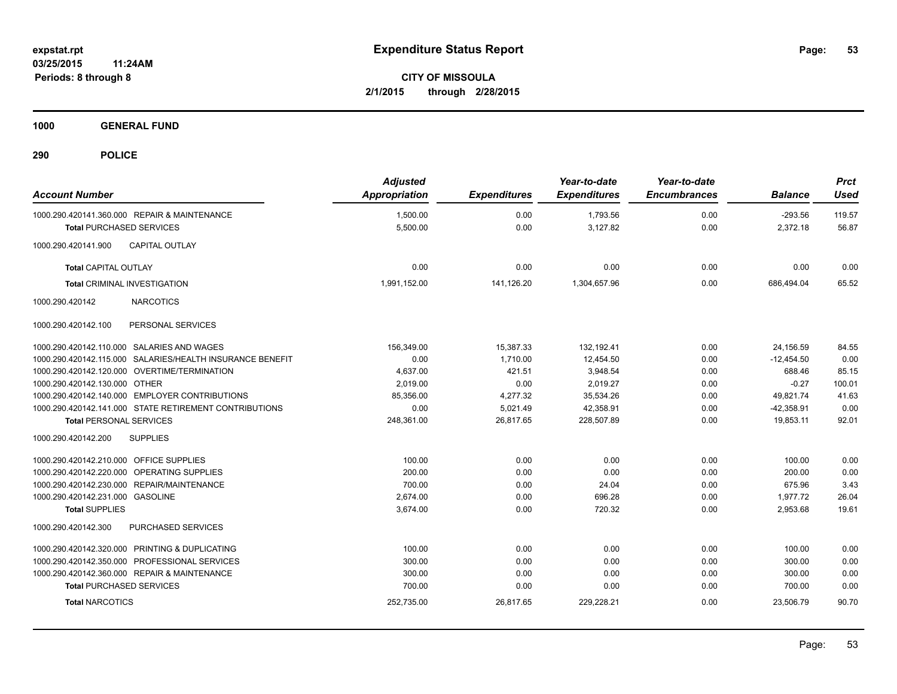**1000 GENERAL FUND**

| <b>Account Number</b>                   |                                                           | <b>Adjusted</b><br><b>Appropriation</b> | <b>Expenditures</b> | Year-to-date<br><b>Expenditures</b> | Year-to-date<br><b>Encumbrances</b> | <b>Balance</b> | <b>Prct</b><br><b>Used</b> |
|-----------------------------------------|-----------------------------------------------------------|-----------------------------------------|---------------------|-------------------------------------|-------------------------------------|----------------|----------------------------|
|                                         | 1000.290.420141.360.000 REPAIR & MAINTENANCE              | 1,500.00                                | 0.00                | 1,793.56                            | 0.00                                | $-293.56$      | 119.57                     |
| <b>Total PURCHASED SERVICES</b>         |                                                           | 5,500.00                                | 0.00                | 3,127.82                            | 0.00                                | 2,372.18       | 56.87                      |
| 1000.290.420141.900                     | <b>CAPITAL OUTLAY</b>                                     |                                         |                     |                                     |                                     |                |                            |
| <b>Total CAPITAL OUTLAY</b>             |                                                           | 0.00                                    | 0.00                | 0.00                                | 0.00                                | 0.00           | 0.00                       |
| <b>Total CRIMINAL INVESTIGATION</b>     |                                                           | 1,991,152.00                            | 141,126.20          | 1,304,657.96                        | 0.00                                | 686,494.04     | 65.52                      |
| 1000.290.420142                         | <b>NARCOTICS</b>                                          |                                         |                     |                                     |                                     |                |                            |
| 1000.290.420142.100                     | PERSONAL SERVICES                                         |                                         |                     |                                     |                                     |                |                            |
|                                         | 1000.290.420142.110.000 SALARIES AND WAGES                | 156.349.00                              | 15.387.33           | 132.192.41                          | 0.00                                | 24,156.59      | 84.55                      |
|                                         | 1000.290.420142.115.000 SALARIES/HEALTH INSURANCE BENEFIT | 0.00                                    | 1,710.00            | 12,454.50                           | 0.00                                | $-12,454.50$   | 0.00                       |
|                                         | 1000.290.420142.120.000 OVERTIME/TERMINATION              | 4,637.00                                | 421.51              | 3,948.54                            | 0.00                                | 688.46         | 85.15                      |
| 1000.290.420142.130.000 OTHER           |                                                           | 2,019.00                                | 0.00                | 2,019.27                            | 0.00                                | $-0.27$        | 100.01                     |
|                                         | 1000.290.420142.140.000 EMPLOYER CONTRIBUTIONS            | 85.356.00                               | 4,277.32            | 35,534.26                           | 0.00                                | 49.821.74      | 41.63                      |
|                                         | 1000.290.420142.141.000 STATE RETIREMENT CONTRIBUTIONS    | 0.00                                    | 5,021.49            | 42,358.91                           | 0.00                                | $-42,358.91$   | 0.00                       |
| <b>Total PERSONAL SERVICES</b>          |                                                           | 248,361.00                              | 26,817.65           | 228,507.89                          | 0.00                                | 19,853.11      | 92.01                      |
| 1000.290.420142.200                     | <b>SUPPLIES</b>                                           |                                         |                     |                                     |                                     |                |                            |
| 1000.290.420142.210.000 OFFICE SUPPLIES |                                                           | 100.00                                  | 0.00                | 0.00                                | 0.00                                | 100.00         | 0.00                       |
|                                         | 1000.290.420142.220.000 OPERATING SUPPLIES                | 200.00                                  | 0.00                | 0.00                                | 0.00                                | 200.00         | 0.00                       |
|                                         | 1000.290.420142.230.000 REPAIR/MAINTENANCE                | 700.00                                  | 0.00                | 24.04                               | 0.00                                | 675.96         | 3.43                       |
| 1000.290.420142.231.000 GASOLINE        |                                                           | 2,674.00                                | 0.00                | 696.28                              | 0.00                                | 1,977.72       | 26.04                      |
| <b>Total SUPPLIES</b>                   |                                                           | 3,674.00                                | 0.00                | 720.32                              | 0.00                                | 2,953.68       | 19.61                      |
| 1000.290.420142.300                     | <b>PURCHASED SERVICES</b>                                 |                                         |                     |                                     |                                     |                |                            |
|                                         | 1000.290.420142.320.000 PRINTING & DUPLICATING            | 100.00                                  | 0.00                | 0.00                                | 0.00                                | 100.00         | 0.00                       |
|                                         | 1000.290.420142.350.000 PROFESSIONAL SERVICES             | 300.00                                  | 0.00                | 0.00                                | 0.00                                | 300.00         | 0.00                       |
|                                         | 1000.290.420142.360.000 REPAIR & MAINTENANCE              | 300.00                                  | 0.00                | 0.00                                | 0.00                                | 300.00         | 0.00                       |
| <b>Total PURCHASED SERVICES</b>         |                                                           | 700.00                                  | 0.00                | 0.00                                | 0.00                                | 700.00         | 0.00                       |
| <b>Total NARCOTICS</b>                  |                                                           | 252,735.00                              | 26,817.65           | 229,228.21                          | 0.00                                | 23,506.79      | 90.70                      |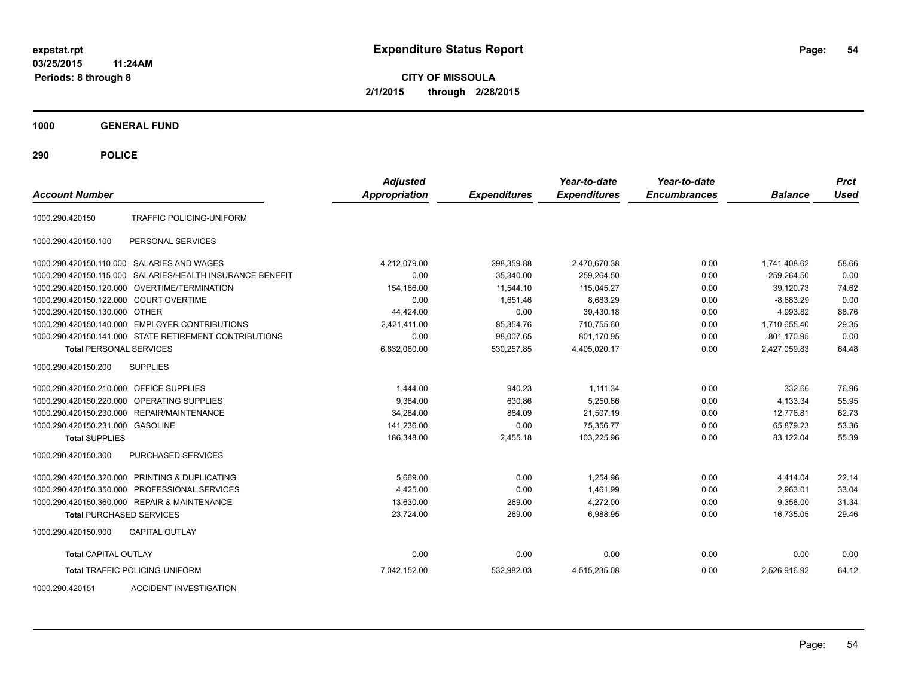**CITY OF MISSOULA 2/1/2015 through 2/28/2015**

**1000 GENERAL FUND**

**290 POLICE**

| <b>Account Number</b>                   |                                                        | <b>Adjusted</b><br><b>Appropriation</b> | <b>Expenditures</b> | Year-to-date<br><b>Expenditures</b> | Year-to-date<br><b>Encumbrances</b> | <b>Balance</b> | <b>Prct</b><br><b>Used</b> |
|-----------------------------------------|--------------------------------------------------------|-----------------------------------------|---------------------|-------------------------------------|-------------------------------------|----------------|----------------------------|
| 1000.290.420150                         | TRAFFIC POLICING-UNIFORM                               |                                         |                     |                                     |                                     |                |                            |
| 1000.290.420150.100                     | PERSONAL SERVICES                                      |                                         |                     |                                     |                                     |                |                            |
|                                         | 1000.290.420150.110.000 SALARIES AND WAGES             | 4.212.079.00                            | 298,359.88          | 2,470,670.38                        | 0.00                                | 1,741,408.62   | 58.66                      |
| 1000.290.420150.115.000                 | SALARIES/HEALTH INSURANCE BENEFIT                      | 0.00                                    | 35.340.00           | 259.264.50                          | 0.00                                | $-259.264.50$  | 0.00                       |
| 1000.290.420150.120.000                 | OVERTIME/TERMINATION                                   | 154.166.00                              | 11.544.10           | 115,045.27                          | 0.00                                | 39.120.73      | 74.62                      |
| 1000.290.420150.122.000 COURT OVERTIME  |                                                        | 0.00                                    | 1,651.46            | 8,683.29                            | 0.00                                | $-8,683.29$    | 0.00                       |
| 1000.290.420150.130.000 OTHER           |                                                        | 44,424.00                               | 0.00                | 39,430.18                           | 0.00                                | 4,993.82       | 88.76                      |
|                                         | 1000.290.420150.140.000 EMPLOYER CONTRIBUTIONS         | 2,421,411.00                            | 85,354.76           | 710,755.60                          | 0.00                                | 1,710,655.40   | 29.35                      |
|                                         | 1000.290.420150.141.000 STATE RETIREMENT CONTRIBUTIONS | 0.00                                    | 98,007.65           | 801.170.95                          | 0.00                                | $-801,170.95$  | 0.00                       |
| <b>Total PERSONAL SERVICES</b>          |                                                        | 6,832,080.00                            | 530,257.85          | 4,405,020.17                        | 0.00                                | 2,427,059.83   | 64.48                      |
| 1000.290.420150.200                     | <b>SUPPLIES</b>                                        |                                         |                     |                                     |                                     |                |                            |
| 1000.290.420150.210.000 OFFICE SUPPLIES |                                                        | 1,444.00                                | 940.23              | 1,111.34                            | 0.00                                | 332.66         | 76.96                      |
| 1000.290.420150.220.000                 | <b>OPERATING SUPPLIES</b>                              | 9,384.00                                | 630.86              | 5,250.66                            | 0.00                                | 4,133.34       | 55.95                      |
| 1000.290.420150.230.000                 | REPAIR/MAINTENANCE                                     | 34,284.00                               | 884.09              | 21,507.19                           | 0.00                                | 12,776.81      | 62.73                      |
| 1000.290.420150.231.000 GASOLINE        |                                                        | 141,236.00                              | 0.00                | 75,356.77                           | 0.00                                | 65,879.23      | 53.36                      |
| <b>Total SUPPLIES</b>                   |                                                        | 186,348.00                              | 2,455.18            | 103,225.96                          | 0.00                                | 83,122.04      | 55.39                      |
| 1000.290.420150.300                     | <b>PURCHASED SERVICES</b>                              |                                         |                     |                                     |                                     |                |                            |
|                                         | 1000.290.420150.320.000 PRINTING & DUPLICATING         | 5,669.00                                | 0.00                | 1,254.96                            | 0.00                                | 4,414.04       | 22.14                      |
|                                         | 1000.290.420150.350.000 PROFESSIONAL SERVICES          | 4,425.00                                | 0.00                | 1,461.99                            | 0.00                                | 2,963.01       | 33.04                      |
|                                         | 1000.290.420150.360.000 REPAIR & MAINTENANCE           | 13,630.00                               | 269.00              | 4,272.00                            | 0.00                                | 9,358.00       | 31.34                      |
| <b>Total PURCHASED SERVICES</b>         |                                                        | 23.724.00                               | 269.00              | 6,988.95                            | 0.00                                | 16.735.05      | 29.46                      |
| 1000.290.420150.900                     | <b>CAPITAL OUTLAY</b>                                  |                                         |                     |                                     |                                     |                |                            |
| <b>Total CAPITAL OUTLAY</b>             |                                                        | 0.00                                    | 0.00                | 0.00                                | 0.00                                | 0.00           | 0.00                       |
|                                         | <b>Total TRAFFIC POLICING-UNIFORM</b>                  | 7,042,152.00                            | 532,982.03          | 4,515,235.08                        | 0.00                                | 2,526,916.92   | 64.12                      |

1000.290.420151 ACCIDENT INVESTIGATION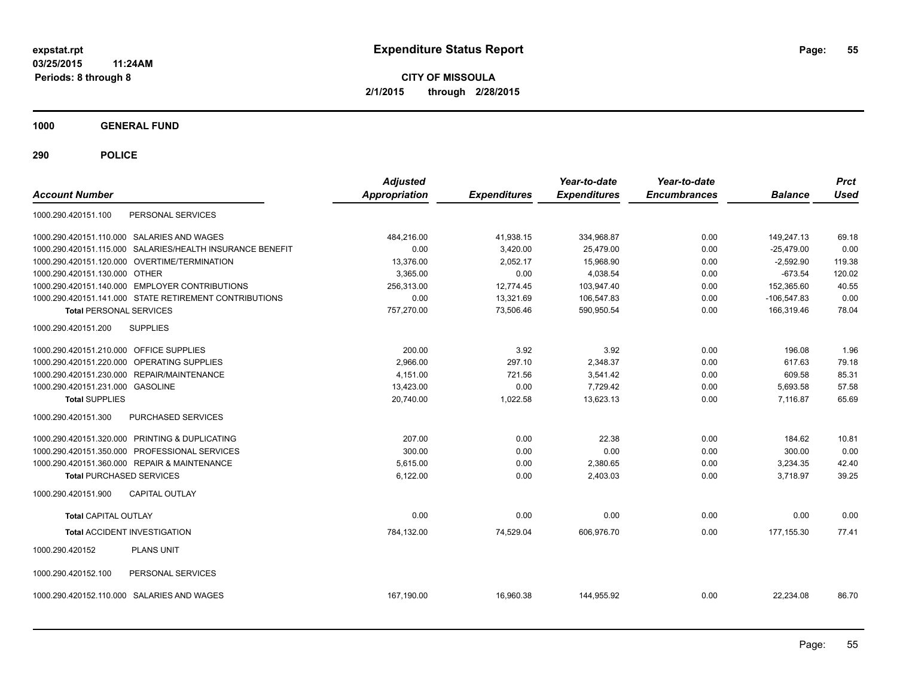**CITY OF MISSOULA 2/1/2015 through 2/28/2015**

**1000 GENERAL FUND**

| <b>Account Number</b>                          |                                                           | <b>Adjusted</b><br>Appropriation | <b>Expenditures</b> | Year-to-date<br><b>Expenditures</b> | Year-to-date<br><b>Encumbrances</b> | <b>Balance</b> | <b>Prct</b><br><b>Used</b> |
|------------------------------------------------|-----------------------------------------------------------|----------------------------------|---------------------|-------------------------------------|-------------------------------------|----------------|----------------------------|
| 1000.290.420151.100                            | PERSONAL SERVICES                                         |                                  |                     |                                     |                                     |                |                            |
| 1000.290.420151.110.000 SALARIES AND WAGES     |                                                           | 484,216.00                       | 41,938.15           | 334,968.87                          | 0.00                                | 149,247.13     | 69.18                      |
|                                                | 1000.290.420151.115.000 SALARIES/HEALTH INSURANCE BENEFIT | 0.00                             | 3,420.00            | 25,479.00                           | 0.00                                | $-25,479.00$   | 0.00                       |
| 1000.290.420151.120.000 OVERTIME/TERMINATION   |                                                           | 13,376.00                        | 2,052.17            | 15,968.90                           | 0.00                                | $-2,592.90$    | 119.38                     |
| 1000.290.420151.130.000 OTHER                  |                                                           | 3,365.00                         | 0.00                | 4,038.54                            | 0.00                                | $-673.54$      | 120.02                     |
| 1000.290.420151.140.000 EMPLOYER CONTRIBUTIONS |                                                           | 256,313.00                       | 12,774.45           | 103,947.40                          | 0.00                                | 152,365.60     | 40.55                      |
|                                                | 1000.290.420151.141.000 STATE RETIREMENT CONTRIBUTIONS    | 0.00                             | 13,321.69           | 106,547.83                          | 0.00                                | $-106.547.83$  | 0.00                       |
| <b>Total PERSONAL SERVICES</b>                 |                                                           | 757,270.00                       | 73,506.46           | 590,950.54                          | 0.00                                | 166,319.46     | 78.04                      |
| <b>SUPPLIES</b><br>1000.290.420151.200         |                                                           |                                  |                     |                                     |                                     |                |                            |
| 1000.290.420151.210.000 OFFICE SUPPLIES        |                                                           | 200.00                           | 3.92                | 3.92                                | 0.00                                | 196.08         | 1.96                       |
| 1000.290.420151.220.000 OPERATING SUPPLIES     |                                                           | 2.966.00                         | 297.10              | 2.348.37                            | 0.00                                | 617.63         | 79.18                      |
| 1000.290.420151.230.000 REPAIR/MAINTENANCE     |                                                           | 4,151.00                         | 721.56              | 3,541.42                            | 0.00                                | 609.58         | 85.31                      |
| 1000.290.420151.231.000 GASOLINE               |                                                           | 13,423.00                        | 0.00                | 7,729.42                            | 0.00                                | 5,693.58       | 57.58                      |
| <b>Total SUPPLIES</b>                          |                                                           | 20,740.00                        | 1,022.58            | 13,623.13                           | 0.00                                | 7.116.87       | 65.69                      |
| 1000.290.420151.300                            | PURCHASED SERVICES                                        |                                  |                     |                                     |                                     |                |                            |
| 1000.290.420151.320.000 PRINTING & DUPLICATING |                                                           | 207.00                           | 0.00                | 22.38                               | 0.00                                | 184.62         | 10.81                      |
| 1000.290.420151.350.000 PROFESSIONAL SERVICES  |                                                           | 300.00                           | 0.00                | 0.00                                | 0.00                                | 300.00         | 0.00                       |
| 1000.290.420151.360.000 REPAIR & MAINTENANCE   |                                                           | 5.615.00                         | 0.00                | 2,380.65                            | 0.00                                | 3,234.35       | 42.40                      |
| <b>Total PURCHASED SERVICES</b>                |                                                           | 6,122.00                         | 0.00                | 2,403.03                            | 0.00                                | 3,718.97       | 39.25                      |
| 1000.290.420151.900                            | <b>CAPITAL OUTLAY</b>                                     |                                  |                     |                                     |                                     |                |                            |
| <b>Total CAPITAL OUTLAY</b>                    |                                                           | 0.00                             | 0.00                | 0.00                                | 0.00                                | 0.00           | 0.00                       |
| <b>Total ACCIDENT INVESTIGATION</b>            |                                                           | 784,132.00                       | 74,529.04           | 606,976.70                          | 0.00                                | 177, 155.30    | 77.41                      |
| 1000.290.420152                                | <b>PLANS UNIT</b>                                         |                                  |                     |                                     |                                     |                |                            |
| 1000.290.420152.100                            | PERSONAL SERVICES                                         |                                  |                     |                                     |                                     |                |                            |
| 1000.290.420152.110.000 SALARIES AND WAGES     |                                                           | 167,190.00                       | 16,960.38           | 144,955.92                          | 0.00                                | 22,234.08      | 86.70                      |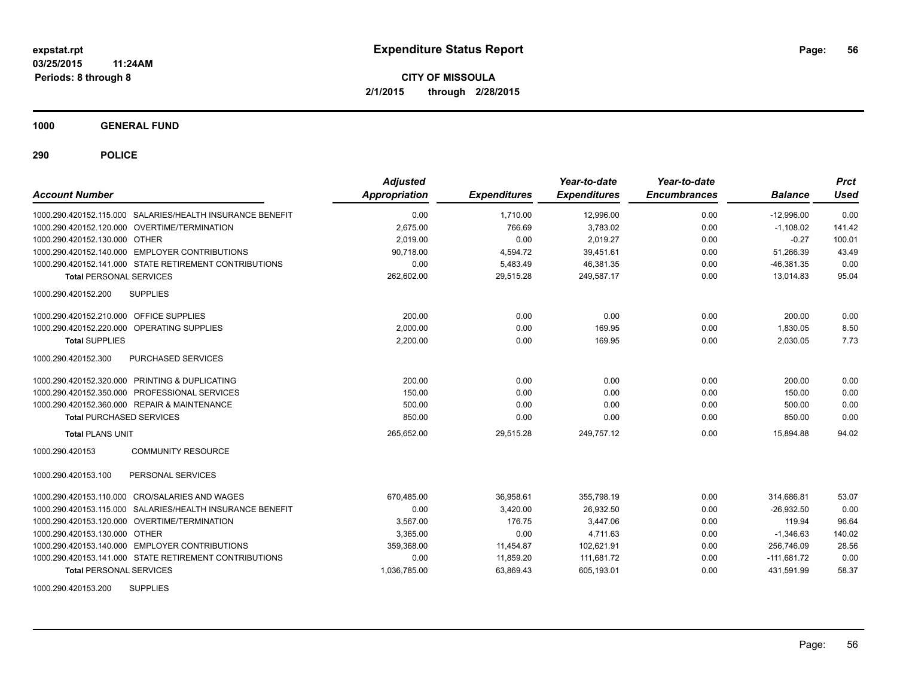**1000 GENERAL FUND**

**290 POLICE**

| <b>Account Number</b>                   |                                                           | <b>Adjusted</b><br>Appropriation | <b>Expenditures</b> | Year-to-date<br><b>Expenditures</b> | Year-to-date<br><b>Encumbrances</b> | <b>Balance</b> | <b>Prct</b><br>Used |
|-----------------------------------------|-----------------------------------------------------------|----------------------------------|---------------------|-------------------------------------|-------------------------------------|----------------|---------------------|
|                                         | 1000.290.420152.115.000 SALARIES/HEALTH INSURANCE BENEFIT | 0.00                             | 1.710.00            | 12,996.00                           | 0.00                                | $-12.996.00$   | 0.00                |
|                                         | 1000.290.420152.120.000 OVERTIME/TERMINATION              | 2.675.00                         | 766.69              | 3.783.02                            | 0.00                                | $-1.108.02$    | 141.42              |
| 1000.290.420152.130.000 OTHER           |                                                           | 2.019.00                         | 0.00                | 2.019.27                            | 0.00                                | $-0.27$        | 100.01              |
|                                         | 1000.290.420152.140.000 EMPLOYER CONTRIBUTIONS            | 90.718.00                        | 4,594.72            | 39.451.61                           | 0.00                                | 51,266.39      | 43.49               |
|                                         | 1000.290.420152.141.000 STATE RETIREMENT CONTRIBUTIONS    | 0.00                             | 5,483.49            | 46,381.35                           | 0.00                                | $-46,381.35$   | 0.00                |
| <b>Total PERSONAL SERVICES</b>          |                                                           | 262,602.00                       | 29,515.28           | 249,587.17                          | 0.00                                | 13,014.83      | 95.04               |
| 1000.290.420152.200                     | <b>SUPPLIES</b>                                           |                                  |                     |                                     |                                     |                |                     |
| 1000.290.420152.210.000 OFFICE SUPPLIES |                                                           | 200.00                           | 0.00                | 0.00                                | 0.00                                | 200.00         | 0.00                |
|                                         | 1000.290.420152.220.000 OPERATING SUPPLIES                | 2,000.00                         | 0.00                | 169.95                              | 0.00                                | 1,830.05       | 8.50                |
| <b>Total SUPPLIES</b>                   |                                                           | 2,200.00                         | 0.00                | 169.95                              | 0.00                                | 2,030.05       | 7.73                |
| 1000.290.420152.300                     | PURCHASED SERVICES                                        |                                  |                     |                                     |                                     |                |                     |
|                                         | 1000.290.420152.320.000 PRINTING & DUPLICATING            | 200.00                           | 0.00                | 0.00                                | 0.00                                | 200.00         | 0.00                |
|                                         | 1000.290.420152.350.000 PROFESSIONAL SERVICES             | 150.00                           | 0.00                | 0.00                                | 0.00                                | 150.00         | 0.00                |
|                                         | 1000.290.420152.360.000 REPAIR & MAINTENANCE              | 500.00                           | 0.00                | 0.00                                | 0.00                                | 500.00         | 0.00                |
| <b>Total PURCHASED SERVICES</b>         |                                                           | 850.00                           | 0.00                | 0.00                                | 0.00                                | 850.00         | 0.00                |
| <b>Total PLANS UNIT</b>                 |                                                           | 265,652.00                       | 29,515.28           | 249,757.12                          | 0.00                                | 15,894.88      | 94.02               |
| 1000.290.420153                         | <b>COMMUNITY RESOURCE</b>                                 |                                  |                     |                                     |                                     |                |                     |
| 1000.290.420153.100                     | PERSONAL SERVICES                                         |                                  |                     |                                     |                                     |                |                     |
|                                         | 1000.290.420153.110.000 CRO/SALARIES AND WAGES            | 670,485.00                       | 36,958.61           | 355,798.19                          | 0.00                                | 314,686.81     | 53.07               |
|                                         | 1000.290.420153.115.000 SALARIES/HEALTH INSURANCE BENEFIT | 0.00                             | 3,420.00            | 26,932.50                           | 0.00                                | $-26,932.50$   | 0.00                |
|                                         | 1000.290.420153.120.000 OVERTIME/TERMINATION              | 3.567.00                         | 176.75              | 3.447.06                            | 0.00                                | 119.94         | 96.64               |
| 1000.290.420153.130.000 OTHER           |                                                           | 3.365.00                         | 0.00                | 4.711.63                            | 0.00                                | $-1,346.63$    | 140.02              |
|                                         | 1000.290.420153.140.000 EMPLOYER CONTRIBUTIONS            | 359,368.00                       | 11,454.87           | 102,621.91                          | 0.00                                | 256,746.09     | 28.56               |
|                                         | 1000.290.420153.141.000 STATE RETIREMENT CONTRIBUTIONS    | 0.00                             | 11,859.20           | 111,681.72                          | 0.00                                | $-111,681.72$  | 0.00                |
| <b>Total PERSONAL SERVICES</b>          |                                                           | 1,036,785.00                     | 63,869.43           | 605,193.01                          | 0.00                                | 431,591.99     | 58.37               |

1000.290.420153.200 SUPPLIES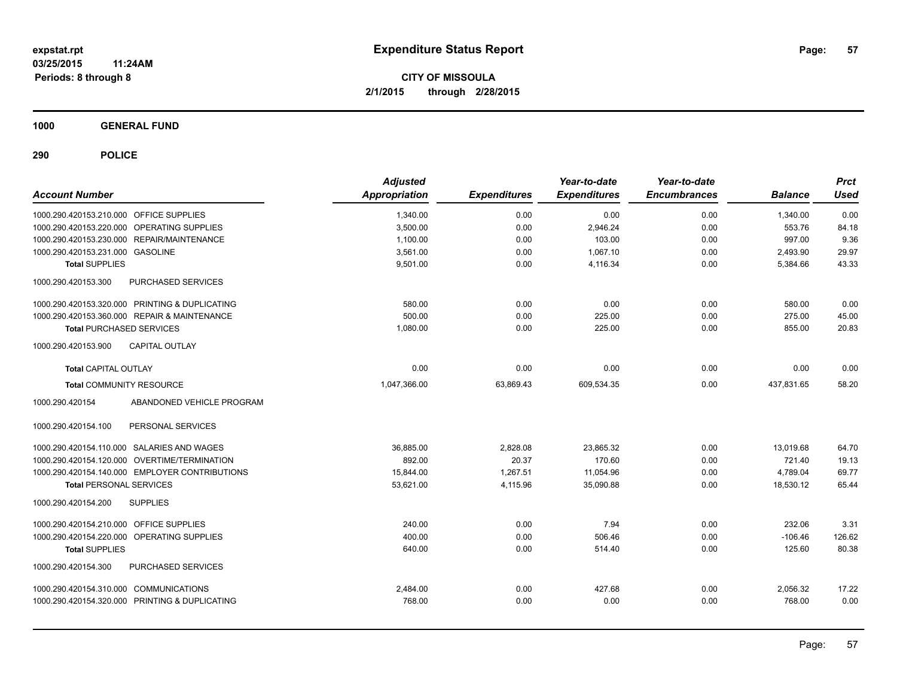**1000 GENERAL FUND**

| <b>Account Number</b>                          | <b>Adjusted</b><br><b>Appropriation</b> | <b>Expenditures</b> | Year-to-date<br><b>Expenditures</b> | Year-to-date<br><b>Encumbrances</b> | <b>Balance</b> | <b>Prct</b><br><b>Used</b> |
|------------------------------------------------|-----------------------------------------|---------------------|-------------------------------------|-------------------------------------|----------------|----------------------------|
| 1000.290.420153.210.000 OFFICE SUPPLIES        | 1,340.00                                | 0.00                | 0.00                                | 0.00                                | 1,340.00       | 0.00                       |
| 1000.290.420153.220.000 OPERATING SUPPLIES     | 3,500.00                                | 0.00                | 2,946.24                            | 0.00                                | 553.76         | 84.18                      |
| 1000.290.420153.230.000 REPAIR/MAINTENANCE     | 1,100.00                                | 0.00                | 103.00                              | 0.00                                | 997.00         | 9.36                       |
| 1000.290.420153.231.000 GASOLINE               | 3,561.00                                | 0.00                | 1.067.10                            | 0.00                                | 2,493.90       | 29.97                      |
| <b>Total SUPPLIES</b>                          | 9,501.00                                | 0.00                | 4.116.34                            | 0.00                                | 5,384.66       | 43.33                      |
| 1000.290.420153.300<br>PURCHASED SERVICES      |                                         |                     |                                     |                                     |                |                            |
| 1000.290.420153.320.000 PRINTING & DUPLICATING | 580.00                                  | 0.00                | 0.00                                | 0.00                                | 580.00         | 0.00                       |
| 1000.290.420153.360.000 REPAIR & MAINTENANCE   | 500.00                                  | 0.00                | 225.00                              | 0.00                                | 275.00         | 45.00                      |
| <b>Total PURCHASED SERVICES</b>                | 1,080.00                                | 0.00                | 225.00                              | 0.00                                | 855.00         | 20.83                      |
| <b>CAPITAL OUTLAY</b><br>1000.290.420153.900   |                                         |                     |                                     |                                     |                |                            |
| <b>Total CAPITAL OUTLAY</b>                    | 0.00                                    | 0.00                | 0.00                                | 0.00                                | 0.00           | 0.00                       |
| <b>Total COMMUNITY RESOURCE</b>                | 1.047.366.00                            | 63.869.43           | 609.534.35                          | 0.00                                | 437.831.65     | 58.20                      |
| 1000.290.420154<br>ABANDONED VEHICLE PROGRAM   |                                         |                     |                                     |                                     |                |                            |
| 1000.290.420154.100<br>PERSONAL SERVICES       |                                         |                     |                                     |                                     |                |                            |
| 1000.290.420154.110.000 SALARIES AND WAGES     | 36.885.00                               | 2,828.08            | 23.865.32                           | 0.00                                | 13.019.68      | 64.70                      |
| 1000.290.420154.120.000 OVERTIME/TERMINATION   | 892.00                                  | 20.37               | 170.60                              | 0.00                                | 721.40         | 19.13                      |
| 1000.290.420154.140.000 EMPLOYER CONTRIBUTIONS | 15,844.00                               | 1,267.51            | 11,054.96                           | 0.00                                | 4,789.04       | 69.77                      |
| <b>Total PERSONAL SERVICES</b>                 | 53,621.00                               | 4,115.96            | 35,090.88                           | 0.00                                | 18,530.12      | 65.44                      |
| <b>SUPPLIES</b><br>1000.290.420154.200         |                                         |                     |                                     |                                     |                |                            |
| 1000.290.420154.210.000 OFFICE SUPPLIES        | 240.00                                  | 0.00                | 7.94                                | 0.00                                | 232.06         | 3.31                       |
| 1000.290.420154.220.000 OPERATING SUPPLIES     | 400.00                                  | 0.00                | 506.46                              | 0.00                                | $-106.46$      | 126.62                     |
| <b>Total SUPPLIES</b>                          | 640.00                                  | 0.00                | 514.40                              | 0.00                                | 125.60         | 80.38                      |
| PURCHASED SERVICES<br>1000.290.420154.300      |                                         |                     |                                     |                                     |                |                            |
| 1000.290.420154.310.000 COMMUNICATIONS         | 2,484.00                                | 0.00                | 427.68                              | 0.00                                | 2,056.32       | 17.22                      |
| 1000.290.420154.320.000 PRINTING & DUPLICATING | 768.00                                  | 0.00                | 0.00                                | 0.00                                | 768.00         | 0.00                       |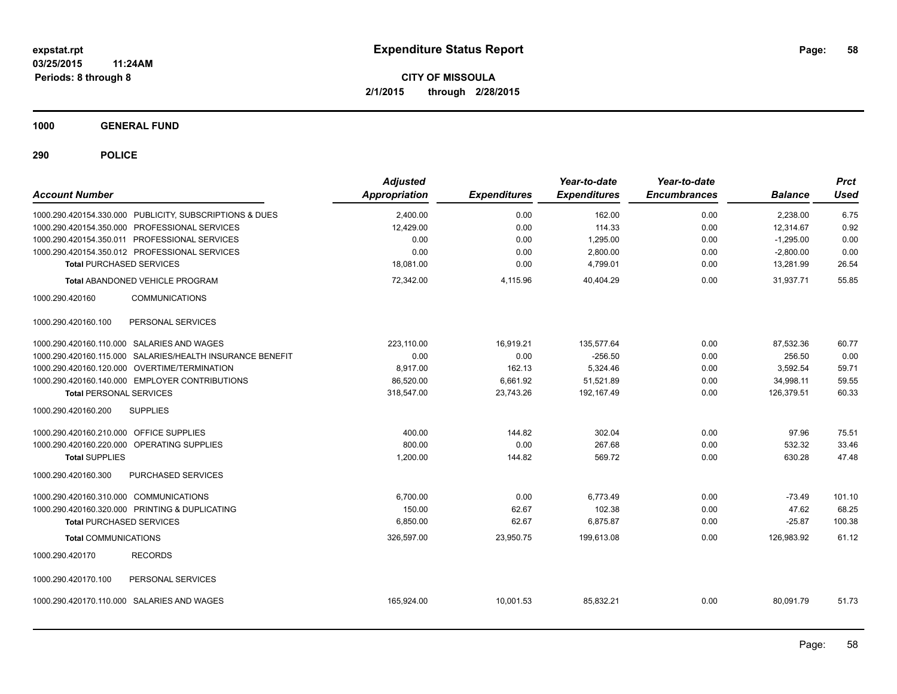**1000 GENERAL FUND**

| <b>Account Number</b>                   |                                                           | <b>Adjusted</b><br>Appropriation | <b>Expenditures</b> | Year-to-date<br><b>Expenditures</b> | Year-to-date<br><b>Encumbrances</b> | <b>Balance</b> | <b>Prct</b><br><b>Used</b> |
|-----------------------------------------|-----------------------------------------------------------|----------------------------------|---------------------|-------------------------------------|-------------------------------------|----------------|----------------------------|
|                                         | 1000.290.420154.330.000 PUBLICITY, SUBSCRIPTIONS & DUES   | 2,400.00                         | 0.00                | 162.00                              | 0.00                                | 2,238.00       | 6.75                       |
|                                         | 1000.290.420154.350.000 PROFESSIONAL SERVICES             | 12,429.00                        | 0.00                | 114.33                              | 0.00                                | 12,314.67      | 0.92                       |
|                                         | 1000.290.420154.350.011 PROFESSIONAL SERVICES             | 0.00                             | 0.00                | 1,295.00                            | 0.00                                | $-1,295.00$    | 0.00                       |
|                                         | 1000.290.420154.350.012 PROFESSIONAL SERVICES             | 0.00                             | 0.00                | 2,800.00                            | 0.00                                | $-2,800.00$    | 0.00                       |
| <b>Total PURCHASED SERVICES</b>         |                                                           | 18,081.00                        | 0.00                | 4,799.01                            | 0.00                                | 13,281.99      | 26.54                      |
|                                         | <b>Total ABANDONED VEHICLE PROGRAM</b>                    | 72,342.00                        | 4,115.96            | 40,404.29                           | 0.00                                | 31,937.71      | 55.85                      |
| 1000.290.420160                         | <b>COMMUNICATIONS</b>                                     |                                  |                     |                                     |                                     |                |                            |
| 1000.290.420160.100                     | PERSONAL SERVICES                                         |                                  |                     |                                     |                                     |                |                            |
|                                         | 1000.290.420160.110.000 SALARIES AND WAGES                | 223.110.00                       | 16,919.21           | 135,577.64                          | 0.00                                | 87,532.36      | 60.77                      |
|                                         | 1000.290.420160.115.000 SALARIES/HEALTH INSURANCE BENEFIT | 0.00                             | 0.00                | $-256.50$                           | 0.00                                | 256.50         | 0.00                       |
|                                         | 1000.290.420160.120.000 OVERTIME/TERMINATION              | 8,917.00                         | 162.13              | 5,324.46                            | 0.00                                | 3,592.54       | 59.71                      |
|                                         | 1000.290.420160.140.000 EMPLOYER CONTRIBUTIONS            | 86,520.00                        | 6,661.92            | 51,521.89                           | 0.00                                | 34,998.11      | 59.55                      |
| <b>Total PERSONAL SERVICES</b>          |                                                           | 318,547.00                       | 23,743.26           | 192, 167.49                         | 0.00                                | 126,379.51     | 60.33                      |
| 1000.290.420160.200                     | <b>SUPPLIES</b>                                           |                                  |                     |                                     |                                     |                |                            |
| 1000.290.420160.210.000 OFFICE SUPPLIES |                                                           | 400.00                           | 144.82              | 302.04                              | 0.00                                | 97.96          | 75.51                      |
|                                         | 1000.290.420160.220.000 OPERATING SUPPLIES                | 800.00                           | 0.00                | 267.68                              | 0.00                                | 532.32         | 33.46                      |
| <b>Total SUPPLIES</b>                   |                                                           | 1,200.00                         | 144.82              | 569.72                              | 0.00                                | 630.28         | 47.48                      |
| 1000.290.420160.300                     | PURCHASED SERVICES                                        |                                  |                     |                                     |                                     |                |                            |
| 1000.290.420160.310.000 COMMUNICATIONS  |                                                           | 6.700.00                         | 0.00                | 6.773.49                            | 0.00                                | $-73.49$       | 101.10                     |
|                                         | 1000.290.420160.320.000 PRINTING & DUPLICATING            | 150.00                           | 62.67               | 102.38                              | 0.00                                | 47.62          | 68.25                      |
| <b>Total PURCHASED SERVICES</b>         |                                                           | 6,850.00                         | 62.67               | 6,875.87                            | 0.00                                | $-25.87$       | 100.38                     |
| <b>Total COMMUNICATIONS</b>             |                                                           | 326,597.00                       | 23,950.75           | 199,613.08                          | 0.00                                | 126.983.92     | 61.12                      |
| 1000.290.420170                         | <b>RECORDS</b>                                            |                                  |                     |                                     |                                     |                |                            |
| 1000.290.420170.100                     | PERSONAL SERVICES                                         |                                  |                     |                                     |                                     |                |                            |
|                                         | 1000.290.420170.110.000 SALARIES AND WAGES                | 165,924.00                       | 10,001.53           | 85,832.21                           | 0.00                                | 80,091.79      | 51.73                      |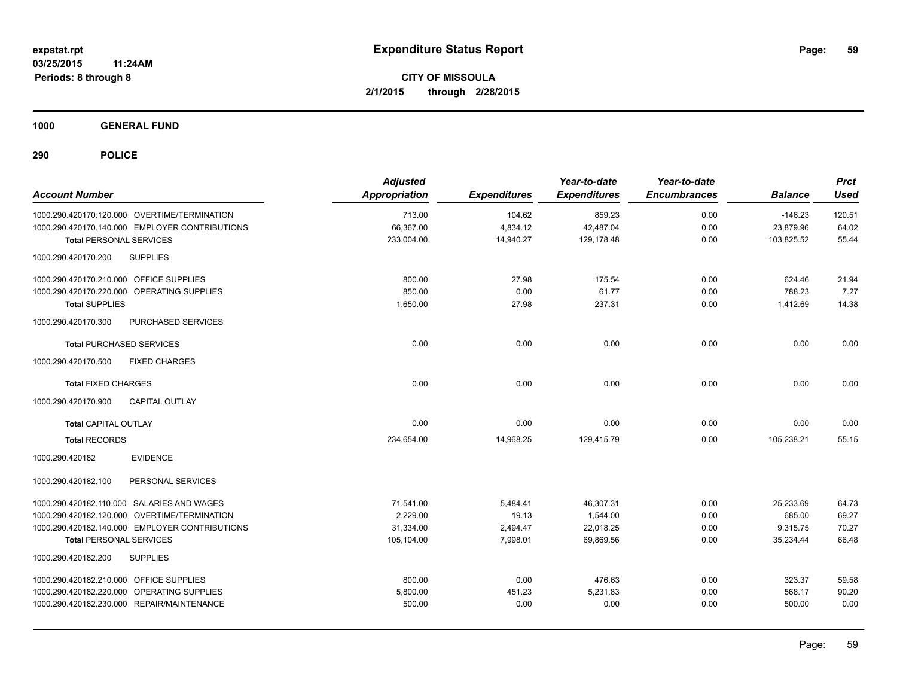**1000 GENERAL FUND**

| <b>Account Number</b>                          | <b>Adjusted</b><br><b>Appropriation</b> | <b>Expenditures</b> | Year-to-date<br><b>Expenditures</b> | Year-to-date<br><b>Encumbrances</b> | <b>Balance</b> | <b>Prct</b><br><b>Used</b> |
|------------------------------------------------|-----------------------------------------|---------------------|-------------------------------------|-------------------------------------|----------------|----------------------------|
| 1000.290.420170.120.000 OVERTIME/TERMINATION   | 713.00                                  | 104.62              | 859.23                              | 0.00                                | $-146.23$      | 120.51                     |
| 1000.290.420170.140.000 EMPLOYER CONTRIBUTIONS | 66,367.00                               | 4,834.12            | 42,487.04                           | 0.00                                | 23,879.96      | 64.02                      |
| Total PERSONAL SERVICES                        | 233,004.00                              | 14,940.27           | 129,178.48                          | 0.00                                | 103,825.52     | 55.44                      |
| 1000.290.420170.200<br><b>SUPPLIES</b>         |                                         |                     |                                     |                                     |                |                            |
| 1000.290.420170.210.000 OFFICE SUPPLIES        | 800.00                                  | 27.98               | 175.54                              | 0.00                                | 624.46         | 21.94                      |
| 1000.290.420170.220.000 OPERATING SUPPLIES     | 850.00                                  | 0.00                | 61.77                               | 0.00                                | 788.23         | 7.27                       |
| <b>Total SUPPLIES</b>                          | 1,650.00                                | 27.98               | 237.31                              | 0.00                                | 1,412.69       | 14.38                      |
| PURCHASED SERVICES<br>1000.290.420170.300      |                                         |                     |                                     |                                     |                |                            |
| <b>Total PURCHASED SERVICES</b>                | 0.00                                    | 0.00                | 0.00                                | 0.00                                | 0.00           | 0.00                       |
| <b>FIXED CHARGES</b><br>1000.290.420170.500    |                                         |                     |                                     |                                     |                |                            |
| <b>Total FIXED CHARGES</b>                     | 0.00                                    | 0.00                | 0.00                                | 0.00                                | 0.00           | 0.00                       |
| 1000.290.420170.900<br><b>CAPITAL OUTLAY</b>   |                                         |                     |                                     |                                     |                |                            |
| <b>Total CAPITAL OUTLAY</b>                    | 0.00                                    | 0.00                | 0.00                                | 0.00                                | 0.00           | 0.00                       |
| <b>Total RECORDS</b>                           | 234,654.00                              | 14,968.25           | 129,415.79                          | 0.00                                | 105,238.21     | 55.15                      |
| <b>EVIDENCE</b><br>1000.290.420182             |                                         |                     |                                     |                                     |                |                            |
| 1000.290.420182.100<br>PERSONAL SERVICES       |                                         |                     |                                     |                                     |                |                            |
| 1000.290.420182.110.000 SALARIES AND WAGES     | 71,541.00                               | 5,484.41            | 46,307.31                           | 0.00                                | 25,233.69      | 64.73                      |
| 1000.290.420182.120.000 OVERTIME/TERMINATION   | 2.229.00                                | 19.13               | 1,544.00                            | 0.00                                | 685.00         | 69.27                      |
| 1000.290.420182.140.000 EMPLOYER CONTRIBUTIONS | 31,334.00                               | 2,494.47            | 22,018.25                           | 0.00                                | 9,315.75       | 70.27                      |
| <b>Total PERSONAL SERVICES</b>                 | 105,104.00                              | 7,998.01            | 69.869.56                           | 0.00                                | 35,234.44      | 66.48                      |
| 1000.290.420182.200<br><b>SUPPLIES</b>         |                                         |                     |                                     |                                     |                |                            |
| 1000.290.420182.210.000 OFFICE SUPPLIES        | 800.00                                  | 0.00                | 476.63                              | 0.00                                | 323.37         | 59.58                      |
| 1000.290.420182.220.000 OPERATING SUPPLIES     | 5,800.00                                | 451.23              | 5,231.83                            | 0.00                                | 568.17         | 90.20                      |
| 1000.290.420182.230.000 REPAIR/MAINTENANCE     | 500.00                                  | 0.00                | 0.00                                | 0.00                                | 500.00         | 0.00                       |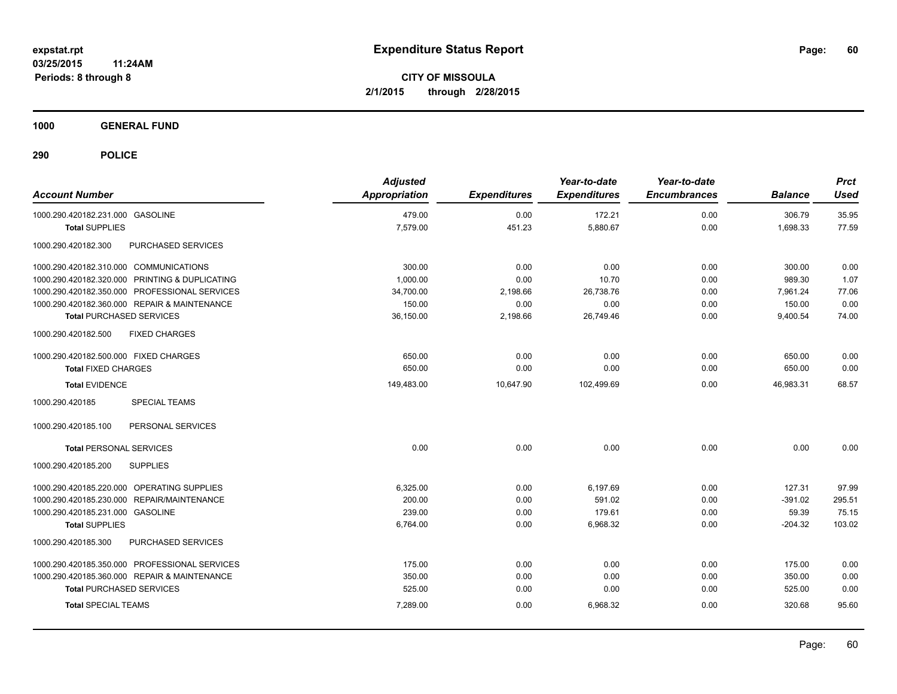**1000 GENERAL FUND**

| <b>Account Number</b>                          | <b>Adjusted</b><br><b>Appropriation</b> | <b>Expenditures</b> | Year-to-date<br><b>Expenditures</b> | Year-to-date<br><b>Encumbrances</b> | <b>Balance</b> | <b>Prct</b><br><b>Used</b> |
|------------------------------------------------|-----------------------------------------|---------------------|-------------------------------------|-------------------------------------|----------------|----------------------------|
| 1000.290.420182.231.000 GASOLINE               | 479.00                                  | 0.00                | 172.21                              | 0.00                                | 306.79         | 35.95                      |
| <b>Total SUPPLIES</b>                          | 7,579.00                                | 451.23              | 5,880.67                            | 0.00                                | 1,698.33       | 77.59                      |
| PURCHASED SERVICES<br>1000.290.420182.300      |                                         |                     |                                     |                                     |                |                            |
| 1000.290.420182.310.000 COMMUNICATIONS         | 300.00                                  | 0.00                | 0.00                                | 0.00                                | 300.00         | 0.00                       |
| 1000.290.420182.320.000 PRINTING & DUPLICATING | 1.000.00                                | 0.00                | 10.70                               | 0.00                                | 989.30         | 1.07                       |
| 1000.290.420182.350.000 PROFESSIONAL SERVICES  | 34,700.00                               | 2,198.66            | 26,738.76                           | 0.00                                | 7.961.24       | 77.06                      |
| 1000.290.420182.360.000 REPAIR & MAINTENANCE   | 150.00                                  | 0.00                | 0.00                                | 0.00                                | 150.00         | 0.00                       |
| <b>Total PURCHASED SERVICES</b>                | 36,150.00                               | 2,198.66            | 26,749.46                           | 0.00                                | 9,400.54       | 74.00                      |
| 1000.290.420182.500<br><b>FIXED CHARGES</b>    |                                         |                     |                                     |                                     |                |                            |
| 1000.290.420182.500.000 FIXED CHARGES          | 650.00                                  | 0.00                | 0.00                                | 0.00                                | 650.00         | 0.00                       |
| <b>Total FIXED CHARGES</b>                     | 650.00                                  | 0.00                | 0.00                                | 0.00                                | 650.00         | 0.00                       |
| <b>Total EVIDENCE</b>                          | 149,483.00                              | 10,647.90           | 102,499.69                          | 0.00                                | 46,983.31      | 68.57                      |
| 1000.290.420185<br><b>SPECIAL TEAMS</b>        |                                         |                     |                                     |                                     |                |                            |
| 1000.290.420185.100<br>PERSONAL SERVICES       |                                         |                     |                                     |                                     |                |                            |
| <b>Total PERSONAL SERVICES</b>                 | 0.00                                    | 0.00                | 0.00                                | 0.00                                | 0.00           | 0.00                       |
| <b>SUPPLIES</b><br>1000.290.420185.200         |                                         |                     |                                     |                                     |                |                            |
| 1000.290.420185.220.000 OPERATING SUPPLIES     | 6,325.00                                | 0.00                | 6,197.69                            | 0.00                                | 127.31         | 97.99                      |
| REPAIR/MAINTENANCE<br>1000.290.420185.230.000  | 200.00                                  | 0.00                | 591.02                              | 0.00                                | $-391.02$      | 295.51                     |
| 1000.290.420185.231.000 GASOLINE               | 239.00                                  | 0.00                | 179.61                              | 0.00                                | 59.39          | 75.15                      |
| <b>Total SUPPLIES</b>                          | 6,764.00                                | 0.00                | 6,968.32                            | 0.00                                | $-204.32$      | 103.02                     |
| 1000.290.420185.300<br>PURCHASED SERVICES      |                                         |                     |                                     |                                     |                |                            |
| 1000.290.420185.350.000 PROFESSIONAL SERVICES  | 175.00                                  | 0.00                | 0.00                                | 0.00                                | 175.00         | 0.00                       |
| 1000.290.420185.360.000 REPAIR & MAINTENANCE   | 350.00                                  | 0.00                | 0.00                                | 0.00                                | 350.00         | 0.00                       |
| <b>Total PURCHASED SERVICES</b>                | 525.00                                  | 0.00                | 0.00                                | 0.00                                | 525.00         | 0.00                       |
| <b>Total SPECIAL TEAMS</b>                     | 7,289.00                                | 0.00                | 6,968.32                            | 0.00                                | 320.68         | 95.60                      |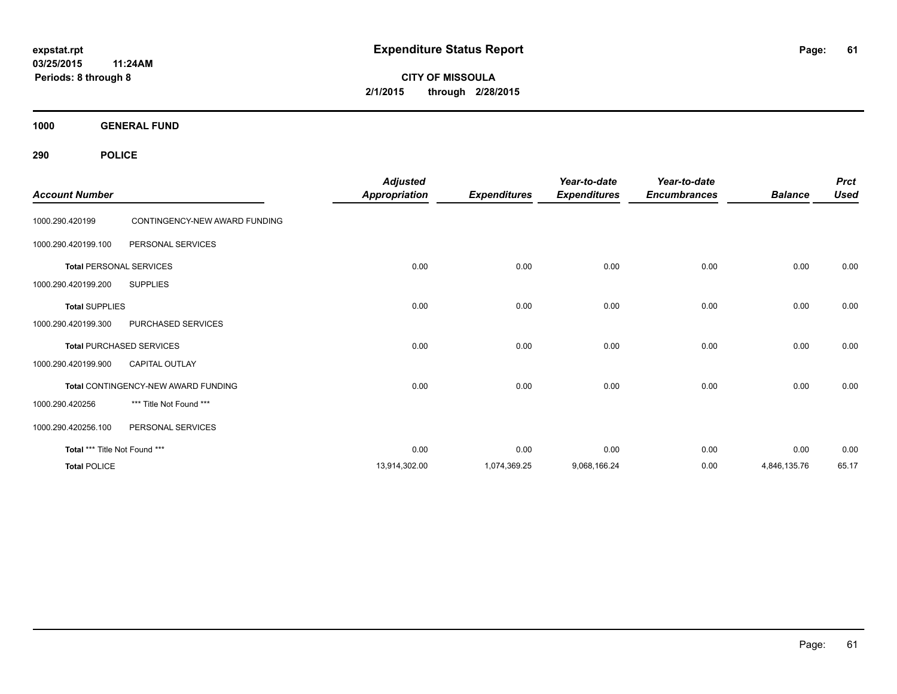**CITY OF MISSOULA 2/1/2015 through 2/28/2015**

**1000 GENERAL FUND**

| <b>Account Number</b>         |                                     | <b>Adjusted</b><br><b>Appropriation</b> | <b>Expenditures</b> | Year-to-date<br><b>Expenditures</b> | Year-to-date<br><b>Encumbrances</b> | <b>Balance</b> | <b>Prct</b><br><b>Used</b> |
|-------------------------------|-------------------------------------|-----------------------------------------|---------------------|-------------------------------------|-------------------------------------|----------------|----------------------------|
| 1000.290.420199               | CONTINGENCY-NEW AWARD FUNDING       |                                         |                     |                                     |                                     |                |                            |
| 1000.290.420199.100           | PERSONAL SERVICES                   |                                         |                     |                                     |                                     |                |                            |
|                               | <b>Total PERSONAL SERVICES</b>      | 0.00                                    | 0.00                | 0.00                                | 0.00                                | 0.00           | 0.00                       |
| 1000.290.420199.200           | <b>SUPPLIES</b>                     |                                         |                     |                                     |                                     |                |                            |
| <b>Total SUPPLIES</b>         |                                     | 0.00                                    | 0.00                | 0.00                                | 0.00                                | 0.00           | 0.00                       |
| 1000.290.420199.300           | PURCHASED SERVICES                  |                                         |                     |                                     |                                     |                |                            |
|                               | <b>Total PURCHASED SERVICES</b>     | 0.00                                    | 0.00                | 0.00                                | 0.00                                | 0.00           | 0.00                       |
| 1000.290.420199.900           | <b>CAPITAL OUTLAY</b>               |                                         |                     |                                     |                                     |                |                            |
|                               | Total CONTINGENCY-NEW AWARD FUNDING | 0.00                                    | 0.00                | 0.00                                | 0.00                                | 0.00           | 0.00                       |
| 1000.290.420256               | *** Title Not Found ***             |                                         |                     |                                     |                                     |                |                            |
| 1000.290.420256.100           | PERSONAL SERVICES                   |                                         |                     |                                     |                                     |                |                            |
| Total *** Title Not Found *** |                                     | 0.00                                    | 0.00                | 0.00                                | 0.00                                | 0.00           | 0.00                       |
| <b>Total POLICE</b>           |                                     | 13,914,302.00                           | 1,074,369.25        | 9,068,166.24                        | 0.00                                | 4,846,135.76   | 65.17                      |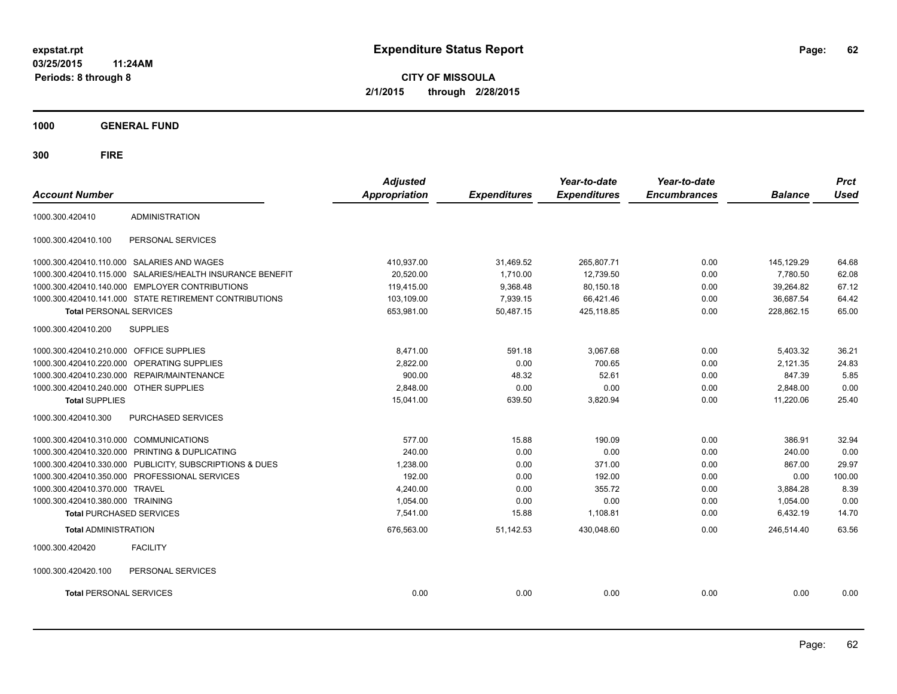**CITY OF MISSOULA 2/1/2015 through 2/28/2015**

**1000 GENERAL FUND**

| <b>Account Number</b>                   |                                                           | <b>Adjusted</b><br><b>Appropriation</b> | <b>Expenditures</b> | Year-to-date<br><b>Expenditures</b> | Year-to-date<br><b>Encumbrances</b> | <b>Balance</b> | <b>Prct</b><br><b>Used</b> |
|-----------------------------------------|-----------------------------------------------------------|-----------------------------------------|---------------------|-------------------------------------|-------------------------------------|----------------|----------------------------|
|                                         |                                                           |                                         |                     |                                     |                                     |                |                            |
| 1000.300.420410                         | <b>ADMINISTRATION</b>                                     |                                         |                     |                                     |                                     |                |                            |
| 1000.300.420410.100                     | PERSONAL SERVICES                                         |                                         |                     |                                     |                                     |                |                            |
|                                         | 1000.300.420410.110.000 SALARIES AND WAGES                | 410.937.00                              | 31,469.52           | 265,807.71                          | 0.00                                | 145.129.29     | 64.68                      |
|                                         | 1000.300.420410.115.000 SALARIES/HEALTH INSURANCE BENEFIT | 20.520.00                               | 1.710.00            | 12,739.50                           | 0.00                                | 7.780.50       | 62.08                      |
| 1000.300.420410.140.000                 | <b>EMPLOYER CONTRIBUTIONS</b>                             | 119,415.00                              | 9,368.48            | 80,150.18                           | 0.00                                | 39,264.82      | 67.12                      |
|                                         | 1000.300.420410.141.000 STATE RETIREMENT CONTRIBUTIONS    | 103,109.00                              | 7,939.15            | 66,421.46                           | 0.00                                | 36,687.54      | 64.42                      |
| <b>Total PERSONAL SERVICES</b>          |                                                           | 653,981.00                              | 50,487.15           | 425,118.85                          | 0.00                                | 228,862.15     | 65.00                      |
| 1000.300.420410.200                     | <b>SUPPLIES</b>                                           |                                         |                     |                                     |                                     |                |                            |
| 1000.300.420410.210.000 OFFICE SUPPLIES |                                                           | 8,471.00                                | 591.18              | 3,067.68                            | 0.00                                | 5,403.32       | 36.21                      |
| 1000.300.420410.220.000                 | OPERATING SUPPLIES                                        | 2,822.00                                | 0.00                | 700.65                              | 0.00                                | 2,121.35       | 24.83                      |
|                                         | 1000.300.420410.230.000 REPAIR/MAINTENANCE                | 900.00                                  | 48.32               | 52.61                               | 0.00                                | 847.39         | 5.85                       |
| 1000.300.420410.240.000 OTHER SUPPLIES  |                                                           | 2,848.00                                | 0.00                | 0.00                                | 0.00                                | 2,848.00       | 0.00                       |
| <b>Total SUPPLIES</b>                   |                                                           | 15,041.00                               | 639.50              | 3,820.94                            | 0.00                                | 11,220.06      | 25.40                      |
| 1000.300.420410.300                     | PURCHASED SERVICES                                        |                                         |                     |                                     |                                     |                |                            |
| 1000.300.420410.310.000 COMMUNICATIONS  |                                                           | 577.00                                  | 15.88               | 190.09                              | 0.00                                | 386.91         | 32.94                      |
|                                         | 1000.300.420410.320.000 PRINTING & DUPLICATING            | 240.00                                  | 0.00                | 0.00                                | 0.00                                | 240.00         | 0.00                       |
|                                         | 1000.300.420410.330.000 PUBLICITY, SUBSCRIPTIONS & DUES   | 1,238.00                                | 0.00                | 371.00                              | 0.00                                | 867.00         | 29.97                      |
|                                         | 1000.300.420410.350.000 PROFESSIONAL SERVICES             | 192.00                                  | 0.00                | 192.00                              | 0.00                                | 0.00           | 100.00                     |
| 1000.300.420410.370.000                 | <b>TRAVEL</b>                                             | 4,240.00                                | 0.00                | 355.72                              | 0.00                                | 3,884.28       | 8.39                       |
| 1000.300.420410.380.000 TRAINING        |                                                           | 1,054.00                                | 0.00                | 0.00                                | 0.00                                | 1,054.00       | 0.00                       |
| <b>Total PURCHASED SERVICES</b>         |                                                           | 7,541.00                                | 15.88               | 1,108.81                            | 0.00                                | 6,432.19       | 14.70                      |
| <b>Total ADMINISTRATION</b>             |                                                           | 676,563.00                              | 51,142.53           | 430,048.60                          | 0.00                                | 246.514.40     | 63.56                      |
| 1000.300.420420                         | <b>FACILITY</b>                                           |                                         |                     |                                     |                                     |                |                            |
| 1000.300.420420.100                     | PERSONAL SERVICES                                         |                                         |                     |                                     |                                     |                |                            |
| <b>Total PERSONAL SERVICES</b>          |                                                           | 0.00                                    | 0.00                | 0.00                                | 0.00                                | 0.00           | 0.00                       |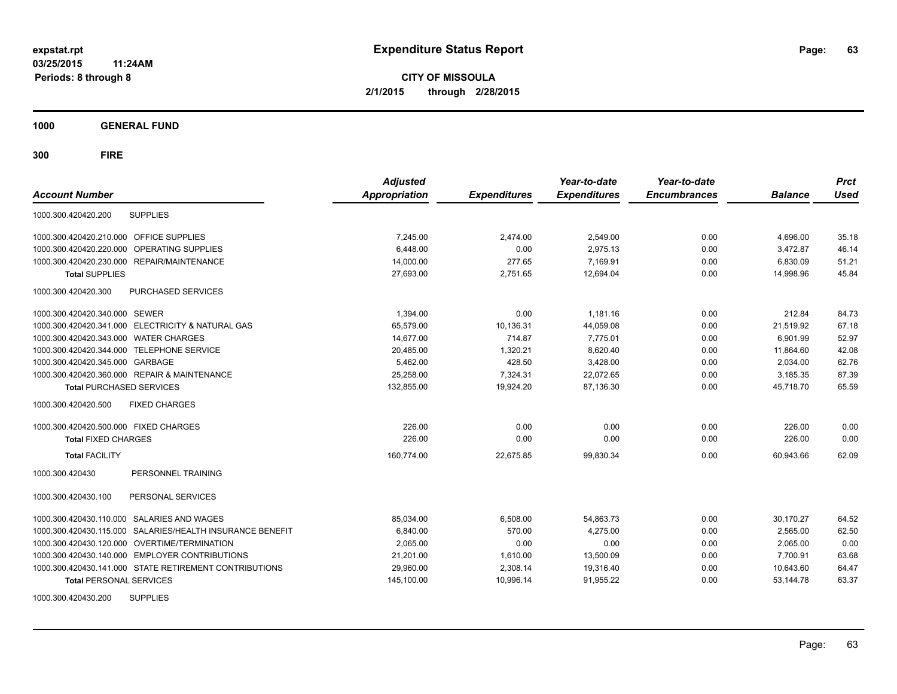**CITY OF MISSOULA 2/1/2015 through 2/28/2015**

**1000 GENERAL FUND**

| <b>Account Number</b>                                     | <b>Adjusted</b><br><b>Appropriation</b> | <b>Expenditures</b> | Year-to-date<br><b>Expenditures</b> | Year-to-date<br><b>Encumbrances</b> | <b>Balance</b> | <b>Prct</b><br>Used |
|-----------------------------------------------------------|-----------------------------------------|---------------------|-------------------------------------|-------------------------------------|----------------|---------------------|
| <b>SUPPLIES</b><br>1000.300.420420.200                    |                                         |                     |                                     |                                     |                |                     |
| 1000.300.420420.210.000 OFFICE SUPPLIES                   | 7,245.00                                | 2,474.00            | 2,549.00                            | 0.00                                | 4,696.00       | 35.18               |
| 1000.300.420420.220.000<br>OPERATING SUPPLIES             | 6,448.00                                | 0.00                | 2.975.13                            | 0.00                                | 3,472.87       | 46.14               |
| 1000.300.420420.230.000 REPAIR/MAINTENANCE                | 14,000.00                               | 277.65              | 7.169.91                            | 0.00                                | 6,830.09       | 51.21               |
| <b>Total SUPPLIES</b>                                     | 27,693.00                               | 2,751.65            | 12.694.04                           | 0.00                                | 14,998.96      | 45.84               |
| 1000.300.420420.300<br>PURCHASED SERVICES                 |                                         |                     |                                     |                                     |                |                     |
| 1000.300.420420.340.000 SEWER                             | 1,394.00                                | 0.00                | 1,181.16                            | 0.00                                | 212.84         | 84.73               |
| 1000.300.420420.341.000 ELECTRICITY & NATURAL GAS         | 65,579.00                               | 10,136.31           | 44,059.08                           | 0.00                                | 21,519.92      | 67.18               |
| 1000.300.420420.343.000 WATER CHARGES                     | 14,677.00                               | 714.87              | 7,775.01                            | 0.00                                | 6,901.99       | 52.97               |
| 1000.300.420420.344.000 TELEPHONE SERVICE                 | 20,485.00                               | 1,320.21            | 8,620.40                            | 0.00                                | 11,864.60      | 42.08               |
| 1000.300.420420.345.000 GARBAGE                           | 5,462.00                                | 428.50              | 3,428.00                            | 0.00                                | 2,034.00       | 62.76               |
| 1000.300.420420.360.000 REPAIR & MAINTENANCE              | 25,258.00                               | 7,324.31            | 22,072.65                           | 0.00                                | 3,185.35       | 87.39               |
| <b>Total PURCHASED SERVICES</b>                           | 132,855.00                              | 19,924.20           | 87,136.30                           | 0.00                                | 45,718.70      | 65.59               |
| 1000.300.420420.500<br><b>FIXED CHARGES</b>               |                                         |                     |                                     |                                     |                |                     |
| 1000.300.420420.500.000 FIXED CHARGES                     | 226.00                                  | 0.00                | 0.00                                | 0.00                                | 226.00         | 0.00                |
| <b>Total FIXED CHARGES</b>                                | 226.00                                  | 0.00                | 0.00                                | 0.00                                | 226.00         | 0.00                |
| <b>Total FACILITY</b>                                     | 160,774.00                              | 22,675.85           | 99,830.34                           | 0.00                                | 60,943.66      | 62.09               |
| PERSONNEL TRAINING<br>1000.300.420430                     |                                         |                     |                                     |                                     |                |                     |
| 1000.300.420430.100<br>PERSONAL SERVICES                  |                                         |                     |                                     |                                     |                |                     |
| 1000.300.420430.110.000 SALARIES AND WAGES                | 85,034.00                               | 6,508.00            | 54,863.73                           | 0.00                                | 30,170.27      | 64.52               |
| 1000.300.420430.115.000 SALARIES/HEALTH INSURANCE BENEFIT | 6,840.00                                | 570.00              | 4,275.00                            | 0.00                                | 2,565.00       | 62.50               |
| 1000.300.420430.120.000 OVERTIME/TERMINATION              | 2,065.00                                | 0.00                | 0.00                                | 0.00                                | 2,065.00       | 0.00                |
| 1000.300.420430.140.000 EMPLOYER CONTRIBUTIONS            | 21,201.00                               | 1,610.00            | 13,500.09                           | 0.00                                | 7,700.91       | 63.68               |
| 1000.300.420430.141.000 STATE RETIREMENT CONTRIBUTIONS    | 29,960.00                               | 2,308.14            | 19,316.40                           | 0.00                                | 10,643.60      | 64.47               |
| <b>Total PERSONAL SERVICES</b>                            | 145,100.00                              | 10,996.14           | 91,955.22                           | 0.00                                | 53,144.78      | 63.37               |
| <b>SUPPLIES</b><br>1000.300.420430.200                    |                                         |                     |                                     |                                     |                |                     |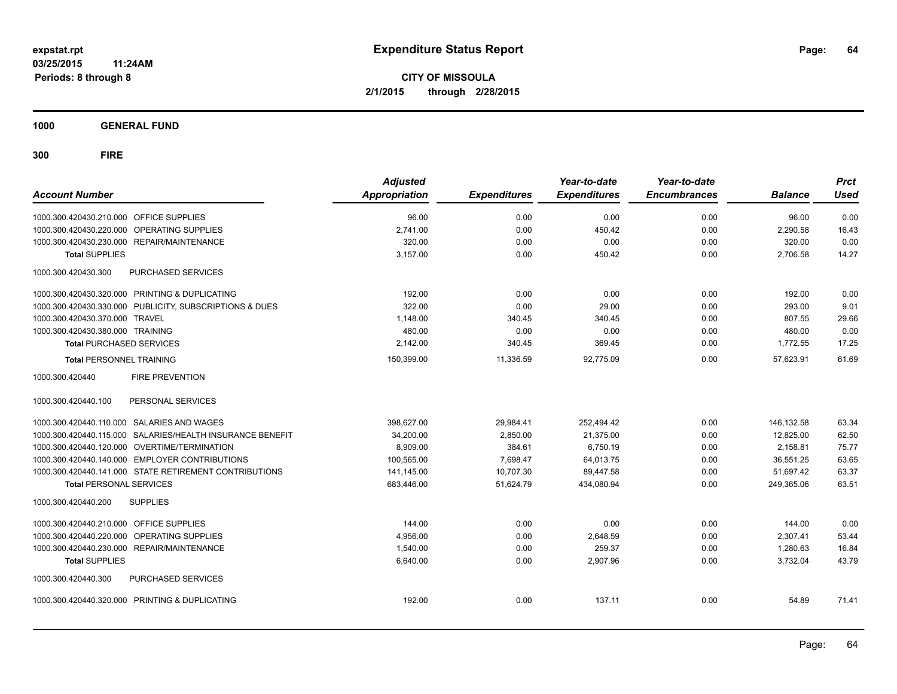**1000 GENERAL FUND**

| <b>Account Number</b>                                     | <b>Adjusted</b><br><b>Appropriation</b> | <b>Expenditures</b> | Year-to-date<br><b>Expenditures</b> | Year-to-date<br><b>Encumbrances</b> | <b>Balance</b> | <b>Prct</b><br><b>Used</b> |
|-----------------------------------------------------------|-----------------------------------------|---------------------|-------------------------------------|-------------------------------------|----------------|----------------------------|
| 1000.300.420430.210.000 OFFICE SUPPLIES                   | 96.00                                   | 0.00                | 0.00                                | 0.00                                | 96.00          | 0.00                       |
| 1000.300.420430.220.000 OPERATING SUPPLIES                | 2.741.00                                | 0.00                | 450.42                              | 0.00                                | 2.290.58       | 16.43                      |
| 1000.300.420430.230.000 REPAIR/MAINTENANCE                | 320.00                                  | 0.00                | 0.00                                | 0.00                                | 320.00         | 0.00                       |
| <b>Total SUPPLIES</b>                                     | 3.157.00                                | 0.00                | 450.42                              | 0.00                                | 2,706.58       | 14.27                      |
| 1000.300.420430.300<br><b>PURCHASED SERVICES</b>          |                                         |                     |                                     |                                     |                |                            |
| 1000.300.420430.320.000 PRINTING & DUPLICATING            | 192.00                                  | 0.00                | 0.00                                | 0.00                                | 192.00         | 0.00                       |
| 1000.300.420430.330.000 PUBLICITY, SUBSCRIPTIONS & DUES   | 322.00                                  | 0.00                | 29.00                               | 0.00                                | 293.00         | 9.01                       |
| 1000.300.420430.370.000 TRAVEL                            | 1,148.00                                | 340.45              | 340.45                              | 0.00                                | 807.55         | 29.66                      |
| 1000.300.420430.380.000 TRAINING                          | 480.00                                  | 0.00                | 0.00                                | 0.00                                | 480.00         | 0.00                       |
| <b>Total PURCHASED SERVICES</b>                           | 2,142.00                                | 340.45              | 369.45                              | 0.00                                | 1,772.55       | 17.25                      |
| <b>Total PERSONNEL TRAINING</b>                           | 150,399.00                              | 11,336.59           | 92,775.09                           | 0.00                                | 57,623.91      | 61.69                      |
| 1000.300.420440<br><b>FIRE PREVENTION</b>                 |                                         |                     |                                     |                                     |                |                            |
| PERSONAL SERVICES<br>1000.300.420440.100                  |                                         |                     |                                     |                                     |                |                            |
| 1000.300.420440.110.000 SALARIES AND WAGES                | 398,627.00                              | 29,984.41           | 252,494.42                          | 0.00                                | 146,132.58     | 63.34                      |
| 1000.300.420440.115.000 SALARIES/HEALTH INSURANCE BENEFIT | 34,200.00                               | 2,850.00            | 21,375.00                           | 0.00                                | 12,825.00      | 62.50                      |
| 1000.300.420440.120.000 OVERTIME/TERMINATION              | 8,909.00                                | 384.61              | 6,750.19                            | 0.00                                | 2,158.81       | 75.77                      |
| 1000.300.420440.140.000 EMPLOYER CONTRIBUTIONS            | 100,565.00                              | 7,698.47            | 64,013.75                           | 0.00                                | 36,551.25      | 63.65                      |
| 1000.300.420440.141.000 STATE RETIREMENT CONTRIBUTIONS    | 141,145.00                              | 10,707.30           | 89,447.58                           | 0.00                                | 51,697.42      | 63.37                      |
| <b>Total PERSONAL SERVICES</b>                            | 683,446.00                              | 51,624.79           | 434,080.94                          | 0.00                                | 249,365.06     | 63.51                      |
| 1000.300.420440.200<br><b>SUPPLIES</b>                    |                                         |                     |                                     |                                     |                |                            |
| 1000.300.420440.210.000 OFFICE SUPPLIES                   | 144.00                                  | 0.00                | 0.00                                | 0.00                                | 144.00         | 0.00                       |
| <b>OPERATING SUPPLIES</b><br>1000.300.420440.220.000      | 4,956.00                                | 0.00                | 2,648.59                            | 0.00                                | 2,307.41       | 53.44                      |
| 1000.300.420440.230.000<br><b>REPAIR/MAINTENANCE</b>      | 1.540.00                                | 0.00                | 259.37                              | 0.00                                | 1,280.63       | 16.84                      |
| <b>Total SUPPLIES</b>                                     | 6,640.00                                | 0.00                | 2,907.96                            | 0.00                                | 3,732.04       | 43.79                      |
| 1000.300.420440.300<br><b>PURCHASED SERVICES</b>          |                                         |                     |                                     |                                     |                |                            |
| 1000.300.420440.320.000 PRINTING & DUPLICATING            | 192.00                                  | 0.00                | 137.11                              | 0.00                                | 54.89          | 71.41                      |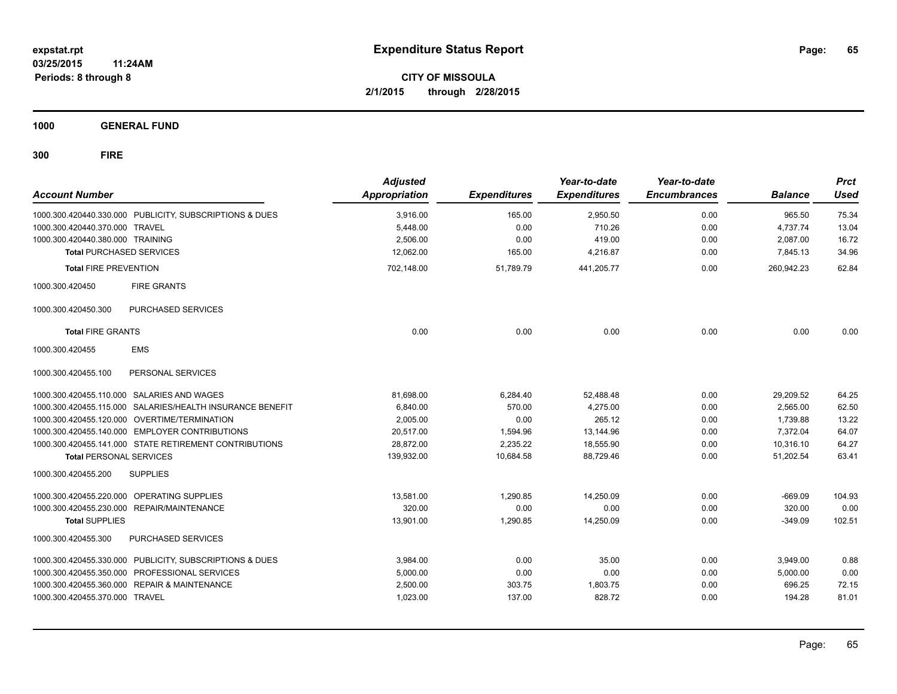**CITY OF MISSOULA 2/1/2015 through 2/28/2015**

**1000 GENERAL FUND**

| <b>Account Number</b>            |                                                           | <b>Adjusted</b><br>Appropriation | <b>Expenditures</b> | Year-to-date<br><b>Expenditures</b> | Year-to-date<br><b>Encumbrances</b> | <b>Balance</b> | <b>Prct</b><br><b>Used</b> |
|----------------------------------|-----------------------------------------------------------|----------------------------------|---------------------|-------------------------------------|-------------------------------------|----------------|----------------------------|
|                                  | 1000.300.420440.330.000 PUBLICITY, SUBSCRIPTIONS & DUES   | 3,916.00                         | 165.00              | 2,950.50                            | 0.00                                | 965.50         | 75.34                      |
| 1000.300.420440.370.000 TRAVEL   |                                                           | 5,448.00                         | 0.00                | 710.26                              | 0.00                                | 4,737.74       | 13.04                      |
| 1000.300.420440.380.000 TRAINING |                                                           | 2,506.00                         | 0.00                | 419.00                              | 0.00                                | 2,087.00       | 16.72                      |
| <b>Total PURCHASED SERVICES</b>  |                                                           | 12.062.00                        | 165.00              | 4,216.87                            | 0.00                                | 7,845.13       | 34.96                      |
| <b>Total FIRE PREVENTION</b>     |                                                           | 702,148.00                       | 51,789.79           | 441,205.77                          | 0.00                                | 260,942.23     | 62.84                      |
| 1000.300.420450                  | <b>FIRE GRANTS</b>                                        |                                  |                     |                                     |                                     |                |                            |
| 1000.300.420450.300              | PURCHASED SERVICES                                        |                                  |                     |                                     |                                     |                |                            |
| <b>Total FIRE GRANTS</b>         |                                                           | 0.00                             | 0.00                | 0.00                                | 0.00                                | 0.00           | 0.00                       |
| 1000.300.420455                  | <b>EMS</b>                                                |                                  |                     |                                     |                                     |                |                            |
| 1000.300.420455.100              | PERSONAL SERVICES                                         |                                  |                     |                                     |                                     |                |                            |
|                                  | 1000.300.420455.110.000 SALARIES AND WAGES                | 81,698.00                        | 6,284.40            | 52,488.48                           | 0.00                                | 29,209.52      | 64.25                      |
|                                  | 1000.300.420455.115.000 SALARIES/HEALTH INSURANCE BENEFIT | 6.840.00                         | 570.00              | 4.275.00                            | 0.00                                | 2,565.00       | 62.50                      |
|                                  | 1000.300.420455.120.000 OVERTIME/TERMINATION              | 2.005.00                         | 0.00                | 265.12                              | 0.00                                | 1,739.88       | 13.22                      |
|                                  | 1000.300.420455.140.000 EMPLOYER CONTRIBUTIONS            | 20.517.00                        | 1,594.96            | 13,144.96                           | 0.00                                | 7.372.04       | 64.07                      |
|                                  | 1000.300.420455.141.000 STATE RETIREMENT CONTRIBUTIONS    | 28,872.00                        | 2,235.22            | 18,555.90                           | 0.00                                | 10,316.10      | 64.27                      |
| <b>Total PERSONAL SERVICES</b>   |                                                           | 139,932.00                       | 10,684.58           | 88,729.46                           | 0.00                                | 51,202.54      | 63.41                      |
| 1000.300.420455.200              | <b>SUPPLIES</b>                                           |                                  |                     |                                     |                                     |                |                            |
|                                  | 1000.300.420455.220.000 OPERATING SUPPLIES                | 13.581.00                        | 1,290.85            | 14.250.09                           | 0.00                                | $-669.09$      | 104.93                     |
| 1000.300.420455.230.000          | REPAIR/MAINTENANCE                                        | 320.00                           | 0.00                | 0.00                                | 0.00                                | 320.00         | 0.00                       |
| <b>Total SUPPLIES</b>            |                                                           | 13,901.00                        | 1,290.85            | 14,250.09                           | 0.00                                | $-349.09$      | 102.51                     |
| 1000.300.420455.300              | PURCHASED SERVICES                                        |                                  |                     |                                     |                                     |                |                            |
| 1000.300.420455.330.000          | PUBLICITY, SUBSCRIPTIONS & DUES                           | 3,984.00                         | 0.00                | 35.00                               | 0.00                                | 3,949.00       | 0.88                       |
| 1000.300.420455.350.000          | PROFESSIONAL SERVICES                                     | 5,000.00                         | 0.00                | 0.00                                | 0.00                                | 5,000.00       | 0.00                       |
| 1000.300.420455.360.000          | <b>REPAIR &amp; MAINTENANCE</b>                           | 2,500.00                         | 303.75              | 1,803.75                            | 0.00                                | 696.25         | 72.15                      |
| 1000.300.420455.370.000 TRAVEL   |                                                           | 1,023.00                         | 137.00              | 828.72                              | 0.00                                | 194.28         | 81.01                      |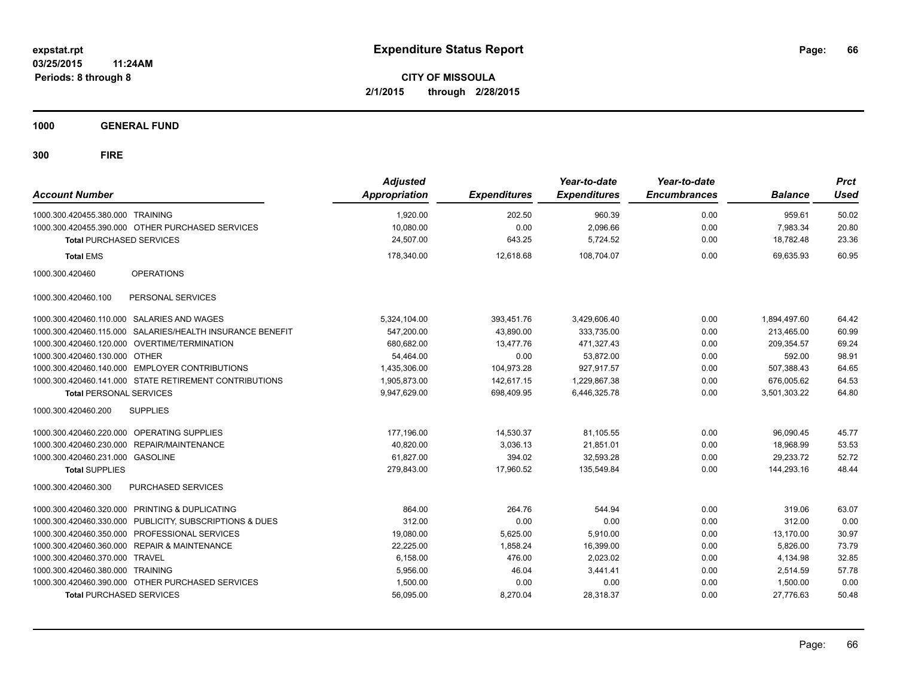**CITY OF MISSOULA 2/1/2015 through 2/28/2015**

**1000 GENERAL FUND**

| <b>Account Number</b>            |                                                           | <b>Adjusted</b><br>Appropriation | <b>Expenditures</b> | Year-to-date<br><b>Expenditures</b> | Year-to-date<br><b>Encumbrances</b> | <b>Balance</b> | <b>Prct</b><br><b>Used</b> |
|----------------------------------|-----------------------------------------------------------|----------------------------------|---------------------|-------------------------------------|-------------------------------------|----------------|----------------------------|
| 1000.300.420455.380.000 TRAINING |                                                           | 1,920.00                         | 202.50              | 960.39                              | 0.00                                | 959.61         | 50.02                      |
|                                  | 1000.300.420455.390.000 OTHER PURCHASED SERVICES          | 10,080.00                        | 0.00                | 2,096.66                            | 0.00                                | 7,983.34       | 20.80                      |
| <b>Total PURCHASED SERVICES</b>  |                                                           | 24,507.00                        | 643.25              | 5,724.52                            | 0.00                                | 18.782.48      | 23.36                      |
| <b>Total EMS</b>                 |                                                           | 178,340.00                       | 12,618.68           | 108,704.07                          | 0.00                                | 69,635.93      | 60.95                      |
| 1000.300.420460                  | <b>OPERATIONS</b>                                         |                                  |                     |                                     |                                     |                |                            |
| 1000.300.420460.100              | PERSONAL SERVICES                                         |                                  |                     |                                     |                                     |                |                            |
|                                  | 1000.300.420460.110.000 SALARIES AND WAGES                | 5,324,104.00                     | 393,451.76          | 3,429,606.40                        | 0.00                                | 1,894,497.60   | 64.42                      |
|                                  | 1000.300.420460.115.000 SALARIES/HEALTH INSURANCE BENEFIT | 547.200.00                       | 43.890.00           | 333.735.00                          | 0.00                                | 213.465.00     | 60.99                      |
|                                  | 1000.300.420460.120.000 OVERTIME/TERMINATION              | 680,682.00                       | 13.477.76           | 471.327.43                          | 0.00                                | 209.354.57     | 69.24                      |
| 1000.300.420460.130.000 OTHER    |                                                           | 54.464.00                        | 0.00                | 53,872.00                           | 0.00                                | 592.00         | 98.91                      |
|                                  | 1000.300.420460.140.000 EMPLOYER CONTRIBUTIONS            | 1,435,306.00                     | 104,973.28          | 927,917.57                          | 0.00                                | 507,388.43     | 64.65                      |
|                                  | 1000.300.420460.141.000 STATE RETIREMENT CONTRIBUTIONS    | 1,905,873.00                     | 142,617.15          | 1,229,867.38                        | 0.00                                | 676,005.62     | 64.53                      |
| <b>Total PERSONAL SERVICES</b>   |                                                           | 9,947,629.00                     | 698,409.95          | 6,446,325.78                        | 0.00                                | 3,501,303.22   | 64.80                      |
| 1000.300.420460.200              | <b>SUPPLIES</b>                                           |                                  |                     |                                     |                                     |                |                            |
|                                  | 1000.300.420460.220.000 OPERATING SUPPLIES                | 177,196.00                       | 14,530.37           | 81.105.55                           | 0.00                                | 96.090.45      | 45.77                      |
|                                  | 1000.300.420460.230.000 REPAIR/MAINTENANCE                | 40,820.00                        | 3,036.13            | 21,851.01                           | 0.00                                | 18,968.99      | 53.53                      |
| 1000.300.420460.231.000 GASOLINE |                                                           | 61,827.00                        | 394.02              | 32,593.28                           | 0.00                                | 29,233.72      | 52.72                      |
| <b>Total SUPPLIES</b>            |                                                           | 279,843.00                       | 17,960.52           | 135,549.84                          | 0.00                                | 144,293.16     | 48.44                      |
| 1000.300.420460.300              | PURCHASED SERVICES                                        |                                  |                     |                                     |                                     |                |                            |
|                                  | 1000.300.420460.320.000 PRINTING & DUPLICATING            | 864.00                           | 264.76              | 544.94                              | 0.00                                | 319.06         | 63.07                      |
|                                  | 1000.300.420460.330.000 PUBLICITY, SUBSCRIPTIONS & DUES   | 312.00                           | 0.00                | 0.00                                | 0.00                                | 312.00         | 0.00                       |
|                                  | 1000.300.420460.350.000 PROFESSIONAL SERVICES             | 19,080.00                        | 5,625.00            | 5,910.00                            | 0.00                                | 13,170.00      | 30.97                      |
|                                  | 1000.300.420460.360.000 REPAIR & MAINTENANCE              | 22,225.00                        | 1,858.24            | 16,399.00                           | 0.00                                | 5,826.00       | 73.79                      |
| 1000.300.420460.370.000 TRAVEL   |                                                           | 6,158.00                         | 476.00              | 2,023.02                            | 0.00                                | 4,134.98       | 32.85                      |
| 1000.300.420460.380.000 TRAINING |                                                           | 5,956.00                         | 46.04               | 3,441.41                            | 0.00                                | 2,514.59       | 57.78                      |
|                                  | 1000.300.420460.390.000 OTHER PURCHASED SERVICES          | 1,500.00                         | 0.00                | 0.00                                | 0.00                                | 1,500.00       | 0.00                       |
| <b>Total PURCHASED SERVICES</b>  |                                                           | 56,095.00                        | 8,270.04            | 28,318.37                           | 0.00                                | 27,776.63      | 50.48                      |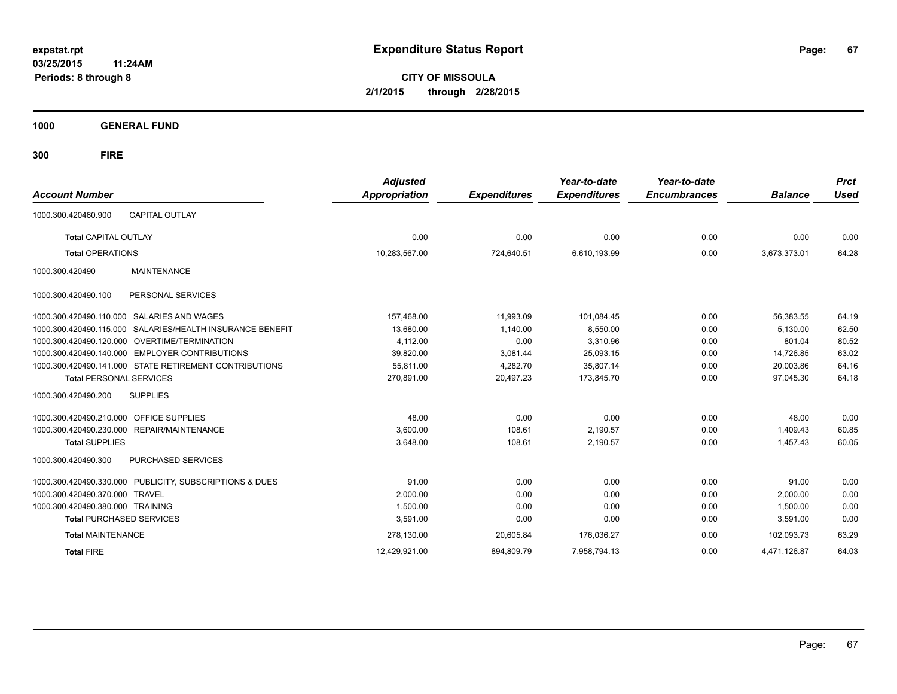**CITY OF MISSOULA 2/1/2015 through 2/28/2015**

**1000 GENERAL FUND**

| <b>Account Number</b>                                        | <b>Adjusted</b><br><b>Appropriation</b> | <b>Expenditures</b> | Year-to-date<br><b>Expenditures</b> | Year-to-date<br><b>Encumbrances</b> | <b>Balance</b> | <b>Prct</b><br><b>Used</b> |
|--------------------------------------------------------------|-----------------------------------------|---------------------|-------------------------------------|-------------------------------------|----------------|----------------------------|
| <b>CAPITAL OUTLAY</b><br>1000.300.420460.900                 |                                         |                     |                                     |                                     |                |                            |
| <b>Total CAPITAL OUTLAY</b>                                  | 0.00                                    | 0.00                | 0.00                                | 0.00                                | 0.00           | 0.00                       |
| <b>Total OPERATIONS</b>                                      | 10,283,567.00                           | 724,640.51          | 6,610,193.99                        | 0.00                                | 3,673,373.01   | 64.28                      |
| <b>MAINTENANCE</b><br>1000.300.420490                        |                                         |                     |                                     |                                     |                |                            |
| 1000.300.420490.100<br>PERSONAL SERVICES                     |                                         |                     |                                     |                                     |                |                            |
| SALARIES AND WAGES<br>1000.300.420490.110.000                | 157,468.00                              | 11,993.09           | 101,084.45                          | 0.00                                | 56,383.55      | 64.19                      |
| SALARIES/HEALTH INSURANCE BENEFIT<br>1000.300.420490.115.000 | 13,680.00                               | 1,140.00            | 8,550.00                            | 0.00                                | 5,130.00       | 62.50                      |
| 1000.300.420490.120.000<br>OVERTIME/TERMINATION              | 4,112.00                                | 0.00                | 3,310.96                            | 0.00                                | 801.04         | 80.52                      |
| <b>EMPLOYER CONTRIBUTIONS</b><br>1000.300.420490.140.000     | 39,820.00                               | 3,081.44            | 25,093.15                           | 0.00                                | 14,726.85      | 63.02                      |
| 1000.300.420490.141.000 STATE RETIREMENT CONTRIBUTIONS       | 55,811.00                               | 4,282.70            | 35,807.14                           | 0.00                                | 20,003.86      | 64.16                      |
| <b>Total PERSONAL SERVICES</b>                               | 270,891.00                              | 20,497.23           | 173,845.70                          | 0.00                                | 97,045.30      | 64.18                      |
| <b>SUPPLIES</b><br>1000.300.420490.200                       |                                         |                     |                                     |                                     |                |                            |
| <b>OFFICE SUPPLIES</b><br>1000.300.420490.210.000            | 48.00                                   | 0.00                | 0.00                                | 0.00                                | 48.00          | 0.00                       |
| 1000.300.420490.230.000<br>REPAIR/MAINTENANCE                | 3,600.00                                | 108.61              | 2,190.57                            | 0.00                                | 1,409.43       | 60.85                      |
| <b>Total SUPPLIES</b>                                        | 3,648.00                                | 108.61              | 2,190.57                            | 0.00                                | 1.457.43       | 60.05                      |
| 1000.300.420490.300<br>PURCHASED SERVICES                    |                                         |                     |                                     |                                     |                |                            |
| 1000.300.420490.330.000 PUBLICITY, SUBSCRIPTIONS & DUES      | 91.00                                   | 0.00                | 0.00                                | 0.00                                | 91.00          | 0.00                       |
| 1000.300.420490.370.000<br><b>TRAVEL</b>                     | 2,000.00                                | 0.00                | 0.00                                | 0.00                                | 2,000.00       | 0.00                       |
| 1000.300.420490.380.000 TRAINING                             | 1,500.00                                | 0.00                | 0.00                                | 0.00                                | 1,500.00       | 0.00                       |
| <b>Total PURCHASED SERVICES</b>                              | 3,591.00                                | 0.00                | 0.00                                | 0.00                                | 3,591.00       | 0.00                       |
| <b>Total MAINTENANCE</b>                                     | 278,130.00                              | 20,605.84           | 176,036.27                          | 0.00                                | 102.093.73     | 63.29                      |
| <b>Total FIRE</b>                                            | 12.429.921.00                           | 894.809.79          | 7.958.794.13                        | 0.00                                | 4.471.126.87   | 64.03                      |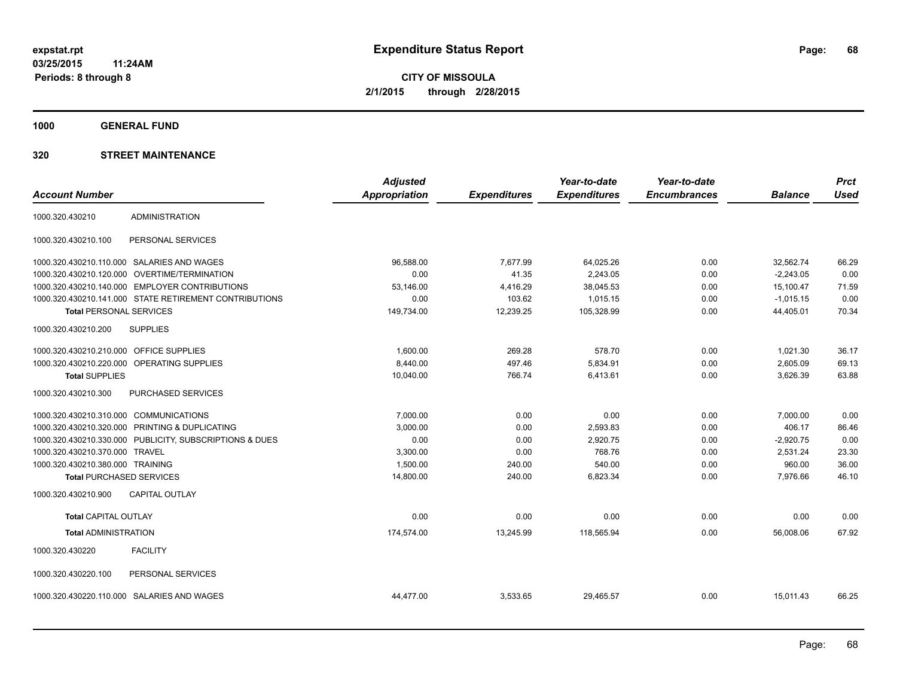**1000 GENERAL FUND**

|                                         |                                                         | <b>Adjusted</b>      |                     | Year-to-date        | Year-to-date        |                | <b>Prct</b> |
|-----------------------------------------|---------------------------------------------------------|----------------------|---------------------|---------------------|---------------------|----------------|-------------|
| <b>Account Number</b>                   |                                                         | <b>Appropriation</b> | <b>Expenditures</b> | <b>Expenditures</b> | <b>Encumbrances</b> | <b>Balance</b> | <b>Used</b> |
| 1000.320.430210                         | <b>ADMINISTRATION</b>                                   |                      |                     |                     |                     |                |             |
| 1000.320.430210.100                     | PERSONAL SERVICES                                       |                      |                     |                     |                     |                |             |
|                                         | 1000.320.430210.110.000 SALARIES AND WAGES              | 96.588.00            | 7,677.99            | 64,025.26           | 0.00                | 32.562.74      | 66.29       |
| 1000.320.430210.120.000                 | <b>OVERTIME/TERMINATION</b>                             | 0.00                 | 41.35               | 2,243.05            | 0.00                | $-2,243.05$    | 0.00        |
|                                         | 1000.320.430210.140.000 EMPLOYER CONTRIBUTIONS          | 53.146.00            | 4,416.29            | 38,045.53           | 0.00                | 15,100.47      | 71.59       |
|                                         | 1000.320.430210.141.000 STATE RETIREMENT CONTRIBUTIONS  | 0.00                 | 103.62              | 1,015.15            | 0.00                | $-1,015.15$    | 0.00        |
| <b>Total PERSONAL SERVICES</b>          |                                                         | 149,734.00           | 12,239.25           | 105,328.99          | 0.00                | 44,405.01      | 70.34       |
| 1000.320.430210.200                     | <b>SUPPLIES</b>                                         |                      |                     |                     |                     |                |             |
| 1000.320.430210.210.000 OFFICE SUPPLIES |                                                         | 1,600.00             | 269.28              | 578.70              | 0.00                | 1,021.30       | 36.17       |
|                                         | 1000.320.430210.220.000 OPERATING SUPPLIES              | 8,440.00             | 497.46              | 5,834.91            | 0.00                | 2,605.09       | 69.13       |
| <b>Total SUPPLIES</b>                   |                                                         | 10,040.00            | 766.74              | 6,413.61            | 0.00                | 3,626.39       | 63.88       |
| 1000.320.430210.300                     | PURCHASED SERVICES                                      |                      |                     |                     |                     |                |             |
| 1000.320.430210.310.000 COMMUNICATIONS  |                                                         | 7,000.00             | 0.00                | 0.00                | 0.00                | 7,000.00       | 0.00        |
| 1000.320.430210.320.000                 | PRINTING & DUPLICATING                                  | 3,000.00             | 0.00                | 2,593.83            | 0.00                | 406.17         | 86.46       |
|                                         | 1000.320.430210.330.000 PUBLICITY, SUBSCRIPTIONS & DUES | 0.00                 | 0.00                | 2,920.75            | 0.00                | $-2,920.75$    | 0.00        |
| 1000.320.430210.370.000                 | <b>TRAVEL</b>                                           | 3,300.00             | 0.00                | 768.76              | 0.00                | 2,531.24       | 23.30       |
| 1000.320.430210.380.000 TRAINING        |                                                         | 1,500.00             | 240.00              | 540.00              | 0.00                | 960.00         | 36.00       |
| <b>Total PURCHASED SERVICES</b>         |                                                         | 14,800.00            | 240.00              | 6,823.34            | 0.00                | 7,976.66       | 46.10       |
| 1000.320.430210.900                     | <b>CAPITAL OUTLAY</b>                                   |                      |                     |                     |                     |                |             |
| <b>Total CAPITAL OUTLAY</b>             |                                                         | 0.00                 | 0.00                | 0.00                | 0.00                | 0.00           | 0.00        |
| <b>Total ADMINISTRATION</b>             |                                                         | 174,574.00           | 13,245.99           | 118,565.94          | 0.00                | 56.008.06      | 67.92       |
| 1000.320.430220                         | <b>FACILITY</b>                                         |                      |                     |                     |                     |                |             |
| 1000.320.430220.100                     | PERSONAL SERVICES                                       |                      |                     |                     |                     |                |             |
|                                         | 1000.320.430220.110.000 SALARIES AND WAGES              | 44,477.00            | 3,533.65            | 29,465.57           | 0.00                | 15,011.43      | 66.25       |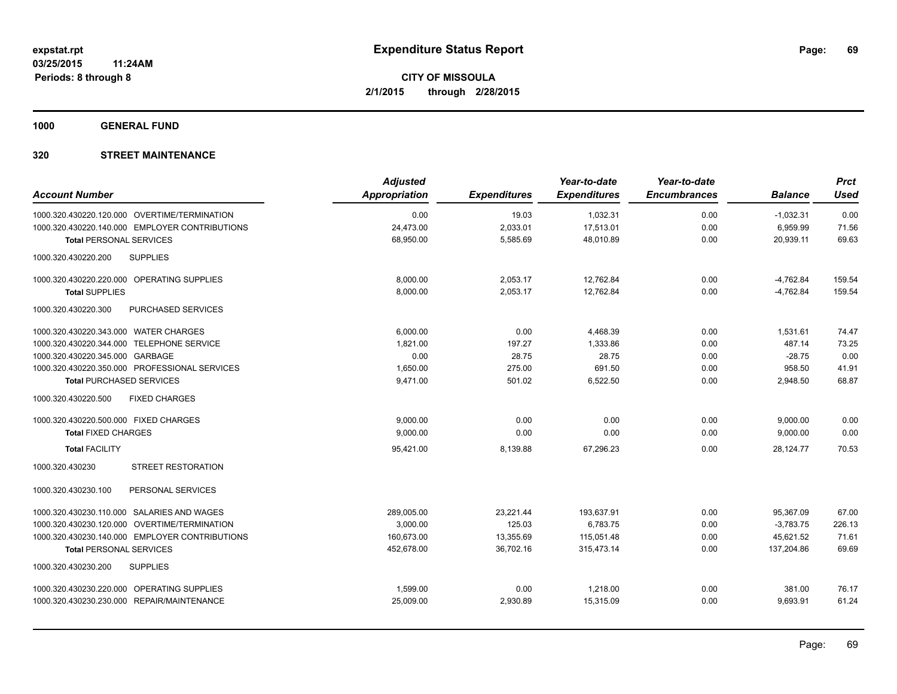**1000 GENERAL FUND**

| <b>Account Number</b>                          | <b>Adjusted</b><br>Appropriation | <b>Expenditures</b> | Year-to-date<br><b>Expenditures</b> | Year-to-date<br><b>Encumbrances</b> | <b>Balance</b> | <b>Prct</b><br><b>Used</b> |
|------------------------------------------------|----------------------------------|---------------------|-------------------------------------|-------------------------------------|----------------|----------------------------|
| 1000.320.430220.120.000 OVERTIME/TERMINATION   | 0.00                             | 19.03               | 1,032.31                            | 0.00                                | $-1,032.31$    | 0.00                       |
| 1000.320.430220.140.000 EMPLOYER CONTRIBUTIONS | 24,473.00                        | 2,033.01            | 17,513.01                           | 0.00                                | 6,959.99       | 71.56                      |
| <b>Total PERSONAL SERVICES</b>                 | 68,950.00                        | 5,585.69            | 48,010.89                           | 0.00                                | 20,939.11      | 69.63                      |
| 1000.320.430220.200<br><b>SUPPLIES</b>         |                                  |                     |                                     |                                     |                |                            |
| 1000.320.430220.220.000 OPERATING SUPPLIES     | 8,000.00                         | 2,053.17            | 12,762.84                           | 0.00                                | $-4,762.84$    | 159.54                     |
| <b>Total SUPPLIES</b>                          | 8,000.00                         | 2,053.17            | 12,762.84                           | 0.00                                | $-4,762.84$    | 159.54                     |
| 1000.320.430220.300<br>PURCHASED SERVICES      |                                  |                     |                                     |                                     |                |                            |
| 1000.320.430220.343.000 WATER CHARGES          | 6.000.00                         | 0.00                | 4.468.39                            | 0.00                                | 1.531.61       | 74.47                      |
| 1000.320.430220.344.000 TELEPHONE SERVICE      | 1,821.00                         | 197.27              | 1,333.86                            | 0.00                                | 487.14         | 73.25                      |
| 1000.320.430220.345.000 GARBAGE                | 0.00                             | 28.75               | 28.75                               | 0.00                                | $-28.75$       | 0.00                       |
| 1000.320.430220.350.000 PROFESSIONAL SERVICES  | 1,650.00                         | 275.00              | 691.50                              | 0.00                                | 958.50         | 41.91                      |
| <b>Total PURCHASED SERVICES</b>                | 9,471.00                         | 501.02              | 6,522.50                            | 0.00                                | 2,948.50       | 68.87                      |
| <b>FIXED CHARGES</b><br>1000.320.430220.500    |                                  |                     |                                     |                                     |                |                            |
| 1000.320.430220.500.000 FIXED CHARGES          | 9,000.00                         | 0.00                | 0.00                                | 0.00                                | 9,000.00       | 0.00                       |
| <b>Total FIXED CHARGES</b>                     | 9,000.00                         | 0.00                | 0.00                                | 0.00                                | 9,000.00       | 0.00                       |
| <b>Total FACILITY</b>                          | 95,421.00                        | 8,139.88            | 67.296.23                           | 0.00                                | 28.124.77      | 70.53                      |
| 1000.320.430230<br><b>STREET RESTORATION</b>   |                                  |                     |                                     |                                     |                |                            |
| 1000.320.430230.100<br>PERSONAL SERVICES       |                                  |                     |                                     |                                     |                |                            |
| 1000.320.430230.110.000 SALARIES AND WAGES     | 289,005.00                       | 23,221.44           | 193,637.91                          | 0.00                                | 95,367.09      | 67.00                      |
| 1000.320.430230.120.000 OVERTIME/TERMINATION   | 3,000.00                         | 125.03              | 6,783.75                            | 0.00                                | $-3,783.75$    | 226.13                     |
| 1000.320.430230.140.000 EMPLOYER CONTRIBUTIONS | 160,673.00                       | 13,355.69           | 115,051.48                          | 0.00                                | 45,621.52      | 71.61                      |
| <b>Total PERSONAL SERVICES</b>                 | 452,678.00                       | 36,702.16           | 315,473.14                          | 0.00                                | 137,204.86     | 69.69                      |
| 1000.320.430230.200<br><b>SUPPLIES</b>         |                                  |                     |                                     |                                     |                |                            |
| 1000.320.430230.220.000 OPERATING SUPPLIES     | 1,599.00                         | 0.00                | 1,218.00                            | 0.00                                | 381.00         | 76.17                      |
| 1000.320.430230.230.000 REPAIR/MAINTENANCE     | 25,009.00                        | 2,930.89            | 15,315.09                           | 0.00                                | 9,693.91       | 61.24                      |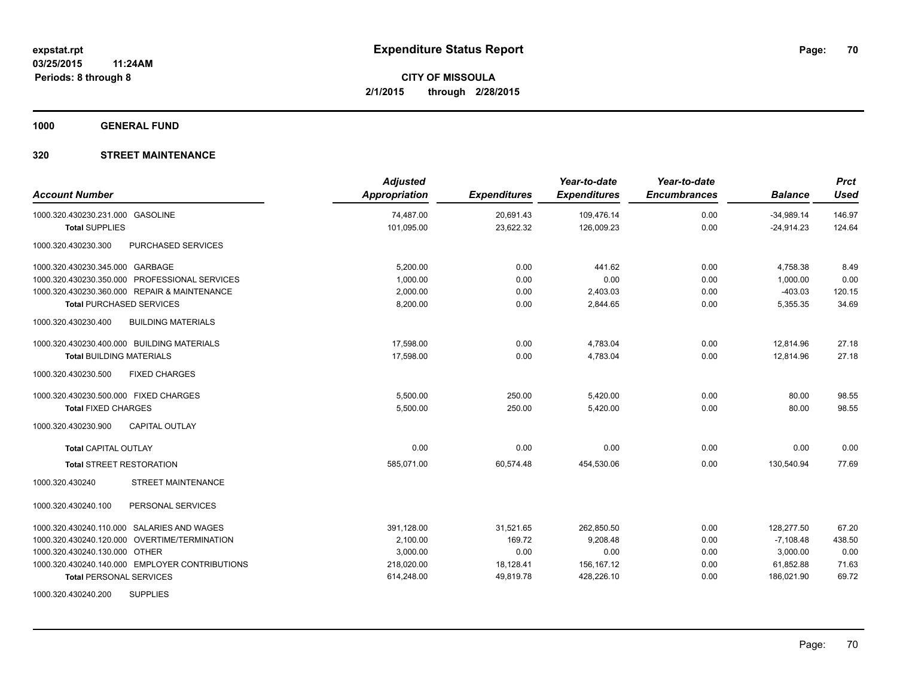**1000 GENERAL FUND**

| <b>Account Number</b>                            | <b>Adjusted</b><br><b>Appropriation</b> | <b>Expenditures</b> | Year-to-date<br><b>Expenditures</b> | Year-to-date<br><b>Encumbrances</b> | <b>Balance</b> | <b>Prct</b><br><b>Used</b> |
|--------------------------------------------------|-----------------------------------------|---------------------|-------------------------------------|-------------------------------------|----------------|----------------------------|
| 1000.320.430230.231.000 GASOLINE                 | 74,487.00                               | 20,691.43           | 109,476.14                          | 0.00                                | $-34,989.14$   | 146.97                     |
| <b>Total SUPPLIES</b>                            | 101,095.00                              | 23,622.32           | 126,009.23                          | 0.00                                | $-24,914.23$   | 124.64                     |
| PURCHASED SERVICES<br>1000.320.430230.300        |                                         |                     |                                     |                                     |                |                            |
| 1000.320.430230.345.000 GARBAGE                  | 5,200.00                                | 0.00                | 441.62                              | 0.00                                | 4,758.38       | 8.49                       |
| 1000.320.430230.350.000 PROFESSIONAL SERVICES    | 1,000.00                                | 0.00                | 0.00                                | 0.00                                | 1,000.00       | 0.00                       |
| 1000.320.430230.360.000 REPAIR & MAINTENANCE     | 2.000.00                                | 0.00                | 2,403.03                            | 0.00                                | $-403.03$      | 120.15                     |
| <b>Total PURCHASED SERVICES</b>                  | 8,200.00                                | 0.00                | 2,844.65                            | 0.00                                | 5,355.35       | 34.69                      |
| <b>BUILDING MATERIALS</b><br>1000.320.430230.400 |                                         |                     |                                     |                                     |                |                            |
| 1000.320.430230.400.000 BUILDING MATERIALS       | 17,598.00                               | 0.00                | 4,783.04                            | 0.00                                | 12,814.96      | 27.18                      |
| <b>Total BUILDING MATERIALS</b>                  | 17,598.00                               | 0.00                | 4,783.04                            | 0.00                                | 12.814.96      | 27.18                      |
| 1000.320.430230.500<br><b>FIXED CHARGES</b>      |                                         |                     |                                     |                                     |                |                            |
| 1000.320.430230.500.000 FIXED CHARGES            | 5,500.00                                | 250.00              | 5,420.00                            | 0.00                                | 80.00          | 98.55                      |
| <b>Total FIXED CHARGES</b>                       | 5,500.00                                | 250.00              | 5,420.00                            | 0.00                                | 80.00          | 98.55                      |
| 1000.320.430230.900<br><b>CAPITAL OUTLAY</b>     |                                         |                     |                                     |                                     |                |                            |
| <b>Total CAPITAL OUTLAY</b>                      | 0.00                                    | 0.00                | 0.00                                | 0.00                                | 0.00           | 0.00                       |
| <b>Total STREET RESTORATION</b>                  | 585,071.00                              | 60,574.48           | 454,530.06                          | 0.00                                | 130,540.94     | 77.69                      |
| <b>STREET MAINTENANCE</b><br>1000.320.430240     |                                         |                     |                                     |                                     |                |                            |
| PERSONAL SERVICES<br>1000.320.430240.100         |                                         |                     |                                     |                                     |                |                            |
| 1000.320.430240.110.000 SALARIES AND WAGES       | 391,128.00                              | 31,521.65           | 262,850.50                          | 0.00                                | 128,277.50     | 67.20                      |
| 1000.320.430240.120.000 OVERTIME/TERMINATION     | 2,100.00                                | 169.72              | 9,208.48                            | 0.00                                | $-7,108.48$    | 438.50                     |
| 1000.320.430240.130.000 OTHER                    | 3,000.00                                | 0.00                | 0.00                                | 0.00                                | 3,000.00       | 0.00                       |
| 1000.320.430240.140.000 EMPLOYER CONTRIBUTIONS   | 218,020.00                              | 18,128.41           | 156,167.12                          | 0.00                                | 61,852.88      | 71.63                      |
| <b>Total PERSONAL SERVICES</b>                   | 614,248.00                              | 49,819.78           | 428,226.10                          | 0.00                                | 186,021.90     | 69.72                      |
| 1000.320.430240.200<br><b>SUPPLIES</b>           |                                         |                     |                                     |                                     |                |                            |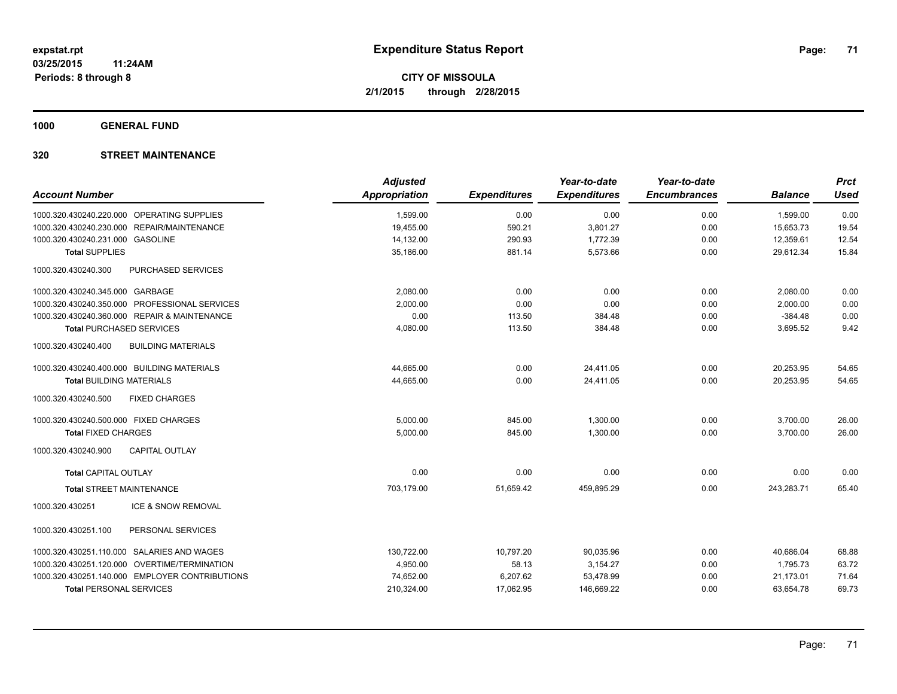**1000 GENERAL FUND**

| <b>Account Number</b>                                     | <b>Adjusted</b><br>Appropriation | <b>Expenditures</b> | Year-to-date<br><b>Expenditures</b> | Year-to-date<br><b>Encumbrances</b> | <b>Balance</b>         | <b>Prct</b><br><b>Used</b> |
|-----------------------------------------------------------|----------------------------------|---------------------|-------------------------------------|-------------------------------------|------------------------|----------------------------|
|                                                           |                                  |                     |                                     |                                     |                        |                            |
| 1000.320.430240.220.000 OPERATING SUPPLIES                | 1,599.00                         | 0.00                | 0.00                                | 0.00                                | 1,599.00               | 0.00                       |
| 1000.320.430240.230.000 REPAIR/MAINTENANCE                | 19,455.00                        | 590.21<br>290.93    | 3,801.27                            | 0.00                                | 15,653.73              | 19.54<br>12.54             |
| 1000.320.430240.231.000 GASOLINE<br><b>Total SUPPLIES</b> | 14,132.00<br>35,186.00           | 881.14              | 1,772.39<br>5,573.66                | 0.00<br>0.00                        | 12,359.61<br>29,612.34 | 15.84                      |
|                                                           |                                  |                     |                                     |                                     |                        |                            |
| 1000.320.430240.300<br>PURCHASED SERVICES                 |                                  |                     |                                     |                                     |                        |                            |
| 1000.320.430240.345.000 GARBAGE                           | 2,080.00                         | 0.00                | 0.00                                | 0.00                                | 2,080.00               | 0.00                       |
| 1000.320.430240.350.000 PROFESSIONAL SERVICES             | 2,000.00                         | 0.00                | 0.00                                | 0.00                                | 2,000.00               | 0.00                       |
| 1000.320.430240.360.000 REPAIR & MAINTENANCE              | 0.00                             | 113.50              | 384.48                              | 0.00                                | $-384.48$              | 0.00                       |
| <b>Total PURCHASED SERVICES</b>                           | 4,080.00                         | 113.50              | 384.48                              | 0.00                                | 3,695.52               | 9.42                       |
| 1000.320.430240.400<br><b>BUILDING MATERIALS</b>          |                                  |                     |                                     |                                     |                        |                            |
| 1000.320.430240.400.000 BUILDING MATERIALS                | 44,665.00                        | 0.00                | 24,411.05                           | 0.00                                | 20,253.95              | 54.65                      |
| <b>Total BUILDING MATERIALS</b>                           | 44,665.00                        | 0.00                | 24,411.05                           | 0.00                                | 20,253.95              | 54.65                      |
| 1000.320.430240.500<br><b>FIXED CHARGES</b>               |                                  |                     |                                     |                                     |                        |                            |
| 1000.320.430240.500.000 FIXED CHARGES                     | 5,000.00                         | 845.00              | 1,300.00                            | 0.00                                | 3,700.00               | 26.00                      |
| <b>Total FIXED CHARGES</b>                                | 5.000.00                         | 845.00              | 1.300.00                            | 0.00                                | 3.700.00               | 26.00                      |
| 1000.320.430240.900<br><b>CAPITAL OUTLAY</b>              |                                  |                     |                                     |                                     |                        |                            |
| <b>Total CAPITAL OUTLAY</b>                               | 0.00                             | 0.00                | 0.00                                | 0.00                                | 0.00                   | 0.00                       |
| <b>Total STREET MAINTENANCE</b>                           | 703,179.00                       | 51,659.42           | 459,895.29                          | 0.00                                | 243,283.71             | 65.40                      |
| 1000.320.430251<br>ICE & SNOW REMOVAL                     |                                  |                     |                                     |                                     |                        |                            |
| PERSONAL SERVICES<br>1000.320.430251.100                  |                                  |                     |                                     |                                     |                        |                            |
| 1000.320.430251.110.000 SALARIES AND WAGES                | 130,722.00                       | 10,797.20           | 90,035.96                           | 0.00                                | 40.686.04              | 68.88                      |
| 1000.320.430251.120.000 OVERTIME/TERMINATION              | 4,950.00                         | 58.13               | 3,154.27                            | 0.00                                | 1,795.73               | 63.72                      |
| 1000.320.430251.140.000 EMPLOYER CONTRIBUTIONS            | 74,652.00                        | 6,207.62            | 53,478.99                           | 0.00                                | 21,173.01              | 71.64                      |
| <b>Total PERSONAL SERVICES</b>                            | 210,324.00                       | 17,062.95           | 146,669.22                          | 0.00                                | 63,654.78              | 69.73                      |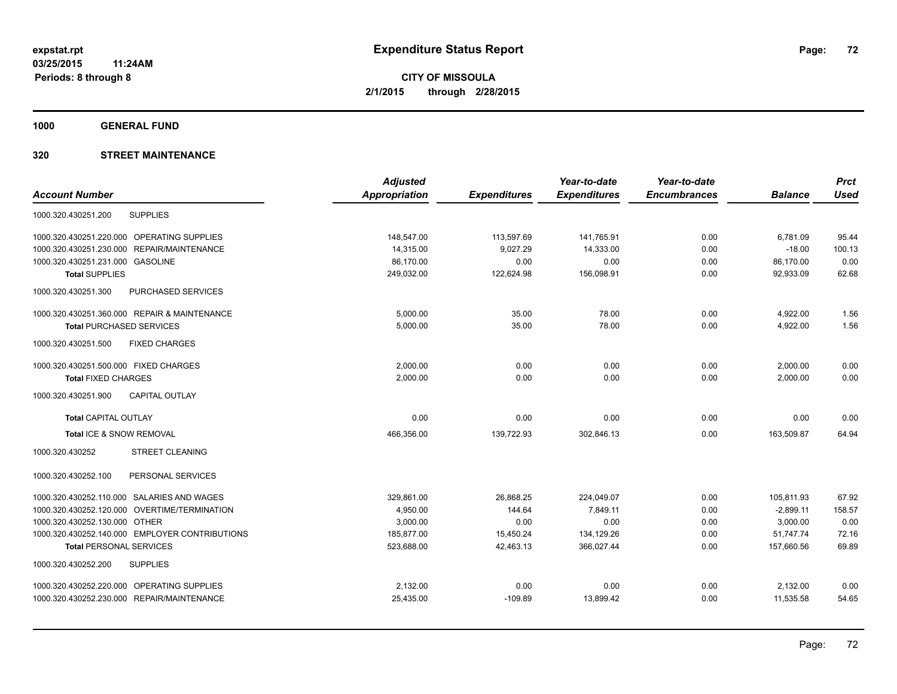**1000 GENERAL FUND**

|                                                | <b>Adjusted</b>      |                     | Year-to-date        | Year-to-date        |                | <b>Prct</b> |
|------------------------------------------------|----------------------|---------------------|---------------------|---------------------|----------------|-------------|
| <b>Account Number</b>                          | <b>Appropriation</b> | <b>Expenditures</b> | <b>Expenditures</b> | <b>Encumbrances</b> | <b>Balance</b> | <b>Used</b> |
| <b>SUPPLIES</b><br>1000.320.430251.200         |                      |                     |                     |                     |                |             |
| 1000.320.430251.220.000 OPERATING SUPPLIES     | 148,547.00           | 113,597.69          | 141,765.91          | 0.00                | 6,781.09       | 95.44       |
| REPAIR/MAINTENANCE<br>1000.320.430251.230.000  | 14,315.00            | 9,027.29            | 14,333.00           | 0.00                | $-18.00$       | 100.13      |
| 1000.320.430251.231.000<br><b>GASOLINE</b>     | 86,170.00            | 0.00                | 0.00                | 0.00                | 86,170.00      | 0.00        |
| <b>Total SUPPLIES</b>                          | 249,032.00           | 122,624.98          | 156,098.91          | 0.00                | 92,933.09      | 62.68       |
| 1000.320.430251.300<br>PURCHASED SERVICES      |                      |                     |                     |                     |                |             |
| 1000.320.430251.360.000 REPAIR & MAINTENANCE   | 5,000.00             | 35.00               | 78.00               | 0.00                | 4,922.00       | 1.56        |
| <b>Total PURCHASED SERVICES</b>                | 5,000.00             | 35.00               | 78.00               | 0.00                | 4,922.00       | 1.56        |
| 1000.320.430251.500<br><b>FIXED CHARGES</b>    |                      |                     |                     |                     |                |             |
| 1000.320.430251.500.000 FIXED CHARGES          | 2.000.00             | 0.00                | 0.00                | 0.00                | 2,000.00       | 0.00        |
| <b>Total FIXED CHARGES</b>                     | 2,000.00             | 0.00                | 0.00                | 0.00                | 2,000.00       | 0.00        |
| 1000.320.430251.900<br><b>CAPITAL OUTLAY</b>   |                      |                     |                     |                     |                |             |
| <b>Total CAPITAL OUTLAY</b>                    | 0.00                 | 0.00                | 0.00                | 0.00                | 0.00           | 0.00        |
| Total ICE & SNOW REMOVAL                       | 466,356.00           | 139,722.93          | 302.846.13          | 0.00                | 163.509.87     | 64.94       |
| 1000.320.430252<br><b>STREET CLEANING</b>      |                      |                     |                     |                     |                |             |
| 1000.320.430252.100<br>PERSONAL SERVICES       |                      |                     |                     |                     |                |             |
| 1000.320.430252.110.000 SALARIES AND WAGES     | 329.861.00           | 26,868.25           | 224.049.07          | 0.00                | 105.811.93     | 67.92       |
| 1000.320.430252.120.000 OVERTIME/TERMINATION   | 4,950.00             | 144.64              | 7.849.11            | 0.00                | $-2.899.11$    | 158.57      |
| 1000.320.430252.130.000 OTHER                  | 3,000.00             | 0.00                | 0.00                | 0.00                | 3,000.00       | 0.00        |
| 1000.320.430252.140.000 EMPLOYER CONTRIBUTIONS | 185,877.00           | 15,450.24           | 134,129.26          | 0.00                | 51,747.74      | 72.16       |
| <b>Total PERSONAL SERVICES</b>                 | 523,688.00           | 42,463.13           | 366,027.44          | 0.00                | 157,660.56     | 69.89       |
| <b>SUPPLIES</b><br>1000.320.430252.200         |                      |                     |                     |                     |                |             |
| 1000.320.430252.220.000 OPERATING SUPPLIES     | 2,132.00             | 0.00                | 0.00                | 0.00                | 2,132.00       | 0.00        |
| 1000.320.430252.230.000 REPAIR/MAINTENANCE     | 25,435.00            | $-109.89$           | 13,899.42           | 0.00                | 11,535.58      | 54.65       |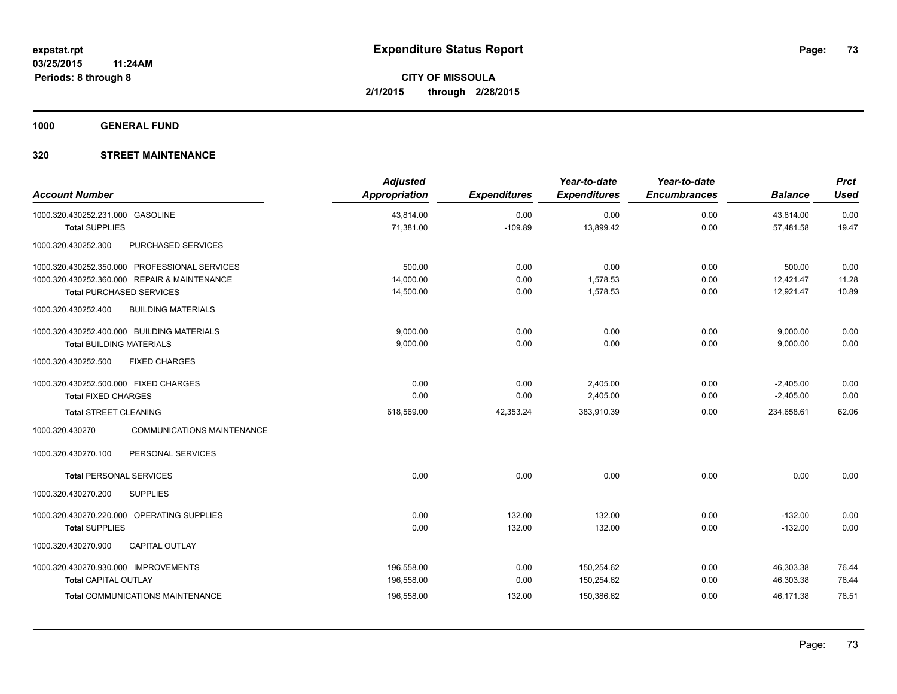**1000 GENERAL FUND**

### **320 STREET MAINTENANCE**

| <b>Account Number</b>                                                                                                            | <b>Adjusted</b><br>Appropriation | <b>Expenditures</b>  | Year-to-date<br><b>Expenditures</b> | Year-to-date<br><b>Encumbrances</b> | <b>Balance</b>                   | <b>Prct</b><br><b>Used</b> |
|----------------------------------------------------------------------------------------------------------------------------------|----------------------------------|----------------------|-------------------------------------|-------------------------------------|----------------------------------|----------------------------|
| 1000.320.430252.231.000 GASOLINE<br><b>Total SUPPLIES</b>                                                                        | 43,814.00<br>71,381.00           | 0.00<br>$-109.89$    | 0.00<br>13,899.42                   | 0.00<br>0.00                        | 43,814.00<br>57,481.58           | 0.00<br>19.47              |
| 1000.320.430252.300<br>PURCHASED SERVICES                                                                                        |                                  |                      |                                     |                                     |                                  |                            |
| 1000.320.430252.350.000 PROFESSIONAL SERVICES<br>1000.320.430252.360.000 REPAIR & MAINTENANCE<br><b>Total PURCHASED SERVICES</b> | 500.00<br>14,000.00<br>14,500.00 | 0.00<br>0.00<br>0.00 | 0.00<br>1,578.53<br>1,578.53        | 0.00<br>0.00<br>0.00                | 500.00<br>12,421.47<br>12,921.47 | 0.00<br>11.28<br>10.89     |
| <b>BUILDING MATERIALS</b><br>1000.320.430252.400                                                                                 |                                  |                      |                                     |                                     |                                  |                            |
| 1000.320.430252.400.000 BUILDING MATERIALS<br><b>Total BUILDING MATERIALS</b><br><b>FIXED CHARGES</b><br>1000.320.430252.500     | 9,000.00<br>9,000.00             | 0.00<br>0.00         | 0.00<br>0.00                        | 0.00<br>0.00                        | 9,000.00<br>9,000.00             | 0.00<br>0.00               |
| 1000.320.430252.500.000 FIXED CHARGES<br><b>Total FIXED CHARGES</b>                                                              | 0.00<br>0.00                     | 0.00<br>0.00         | 2,405.00<br>2,405.00                | 0.00<br>0.00                        | $-2,405.00$<br>$-2,405.00$       | 0.00<br>0.00               |
| <b>Total STREET CLEANING</b><br><b>COMMUNICATIONS MAINTENANCE</b><br>1000.320.430270                                             | 618,569.00                       | 42,353.24            | 383,910.39                          | 0.00                                | 234,658.61                       | 62.06                      |
| 1000.320.430270.100<br>PERSONAL SERVICES                                                                                         |                                  |                      |                                     |                                     |                                  |                            |
| <b>Total PERSONAL SERVICES</b>                                                                                                   | 0.00                             | 0.00                 | 0.00                                | 0.00                                | 0.00                             | 0.00                       |
| <b>SUPPLIES</b><br>1000.320.430270.200                                                                                           |                                  |                      |                                     |                                     |                                  |                            |
| 1000.320.430270.220.000 OPERATING SUPPLIES<br><b>Total SUPPLIES</b>                                                              | 0.00<br>0.00                     | 132.00<br>132.00     | 132.00<br>132.00                    | 0.00<br>0.00                        | $-132.00$<br>$-132.00$           | 0.00<br>0.00               |
| 1000.320.430270.900<br><b>CAPITAL OUTLAY</b>                                                                                     |                                  |                      |                                     |                                     |                                  |                            |
| 1000.320.430270.930.000 IMPROVEMENTS<br><b>Total CAPITAL OUTLAY</b>                                                              | 196,558.00<br>196,558.00         | 0.00<br>0.00         | 150,254.62<br>150,254.62            | 0.00<br>0.00                        | 46,303.38<br>46,303.38           | 76.44<br>76.44             |
| Total COMMUNICATIONS MAINTENANCE                                                                                                 | 196,558.00                       | 132.00               | 150,386.62                          | 0.00                                | 46,171.38                        | 76.51                      |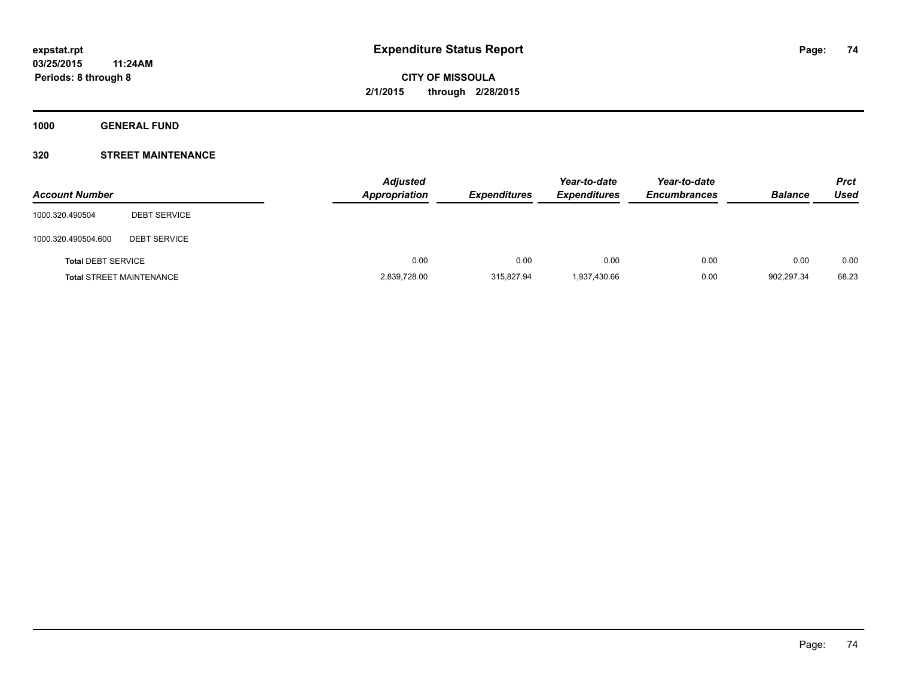**1000 GENERAL FUND**

### **320 STREET MAINTENANCE**

| <b>Account Number</b>     |                                 | <b>Adjusted</b><br><b>Appropriation</b> | <b>Expenditures</b> | Year-to-date<br><b>Expenditures</b> | Year-to-date<br><b>Encumbrances</b> | <b>Balance</b> | <b>Prct</b><br>Used |
|---------------------------|---------------------------------|-----------------------------------------|---------------------|-------------------------------------|-------------------------------------|----------------|---------------------|
| 1000.320.490504           | <b>DEBT SERVICE</b>             |                                         |                     |                                     |                                     |                |                     |
| 1000.320.490504.600       | <b>DEBT SERVICE</b>             |                                         |                     |                                     |                                     |                |                     |
| <b>Total DEBT SERVICE</b> |                                 | 0.00                                    | 0.00                | 0.00                                | 0.00                                | 0.00           | 0.00                |
|                           | <b>Total STREET MAINTENANCE</b> | 2,839,728.00                            | 315.827.94          | 1,937,430.66                        | 0.00                                | 902,297.34     | 68.23               |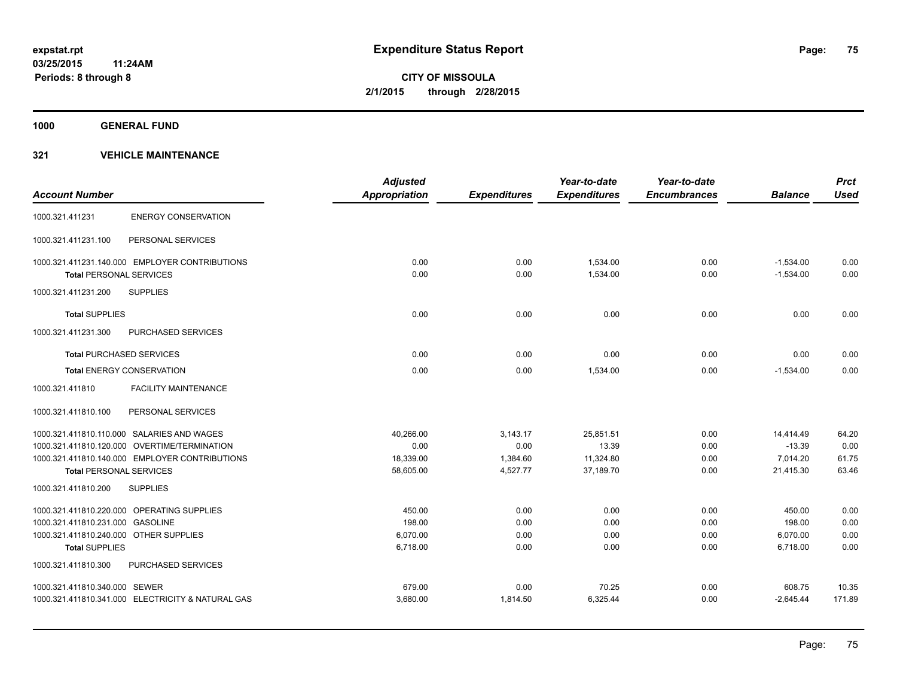**1000 GENERAL FUND**

|                                        |                                                   | <b>Adjusted</b>      |                     | Year-to-date        | Year-to-date        |                | <b>Prct</b> |
|----------------------------------------|---------------------------------------------------|----------------------|---------------------|---------------------|---------------------|----------------|-------------|
| <b>Account Number</b>                  |                                                   | <b>Appropriation</b> | <b>Expenditures</b> | <b>Expenditures</b> | <b>Encumbrances</b> | <b>Balance</b> | <b>Used</b> |
| 1000.321.411231                        | <b>ENERGY CONSERVATION</b>                        |                      |                     |                     |                     |                |             |
| 1000.321.411231.100                    | PERSONAL SERVICES                                 |                      |                     |                     |                     |                |             |
|                                        | 1000.321.411231.140.000 EMPLOYER CONTRIBUTIONS    | 0.00                 | 0.00                | 1,534.00            | 0.00                | $-1,534.00$    | 0.00        |
| <b>Total PERSONAL SERVICES</b>         |                                                   | 0.00                 | 0.00                | 1,534.00            | 0.00                | $-1,534.00$    | 0.00        |
| 1000.321.411231.200                    | <b>SUPPLIES</b>                                   |                      |                     |                     |                     |                |             |
| <b>Total SUPPLIES</b>                  |                                                   | 0.00                 | 0.00                | 0.00                | 0.00                | 0.00           | 0.00        |
| 1000.321.411231.300                    | PURCHASED SERVICES                                |                      |                     |                     |                     |                |             |
| <b>Total PURCHASED SERVICES</b>        |                                                   | 0.00                 | 0.00                | 0.00                | 0.00                | 0.00           | 0.00        |
|                                        | <b>Total ENERGY CONSERVATION</b>                  | 0.00                 | 0.00                | 1,534.00            | 0.00                | $-1,534.00$    | 0.00        |
| 1000.321.411810                        | <b>FACILITY MAINTENANCE</b>                       |                      |                     |                     |                     |                |             |
| 1000.321.411810.100                    | PERSONAL SERVICES                                 |                      |                     |                     |                     |                |             |
|                                        | 1000.321.411810.110.000 SALARIES AND WAGES        | 40.266.00            | 3,143.17            | 25,851.51           | 0.00                | 14,414.49      | 64.20       |
|                                        | 1000.321.411810.120.000 OVERTIME/TERMINATION      | 0.00                 | 0.00                | 13.39               | 0.00                | $-13.39$       | 0.00        |
|                                        | 1000.321.411810.140.000 EMPLOYER CONTRIBUTIONS    | 18,339.00            | 1,384.60            | 11,324.80           | 0.00                | 7,014.20       | 61.75       |
| <b>Total PERSONAL SERVICES</b>         |                                                   | 58,605.00            | 4,527.77            | 37,189.70           | 0.00                | 21,415.30      | 63.46       |
| 1000.321.411810.200                    | <b>SUPPLIES</b>                                   |                      |                     |                     |                     |                |             |
|                                        | 1000.321.411810.220.000 OPERATING SUPPLIES        | 450.00               | 0.00                | 0.00                | 0.00                | 450.00         | 0.00        |
| 1000.321.411810.231.000 GASOLINE       |                                                   | 198.00               | 0.00                | 0.00                | 0.00                | 198.00         | 0.00        |
| 1000.321.411810.240.000 OTHER SUPPLIES |                                                   | 6,070.00             | 0.00                | 0.00                | 0.00                | 6,070.00       | 0.00        |
| <b>Total SUPPLIES</b>                  |                                                   | 6,718.00             | 0.00                | 0.00                | 0.00                | 6,718.00       | 0.00        |
| 1000.321.411810.300                    | PURCHASED SERVICES                                |                      |                     |                     |                     |                |             |
| 1000.321.411810.340.000 SEWER          |                                                   | 679.00               | 0.00                | 70.25               | 0.00                | 608.75         | 10.35       |
|                                        | 1000.321.411810.341.000 ELECTRICITY & NATURAL GAS | 3,680.00             | 1,814.50            | 6,325.44            | 0.00                | $-2,645.44$    | 171.89      |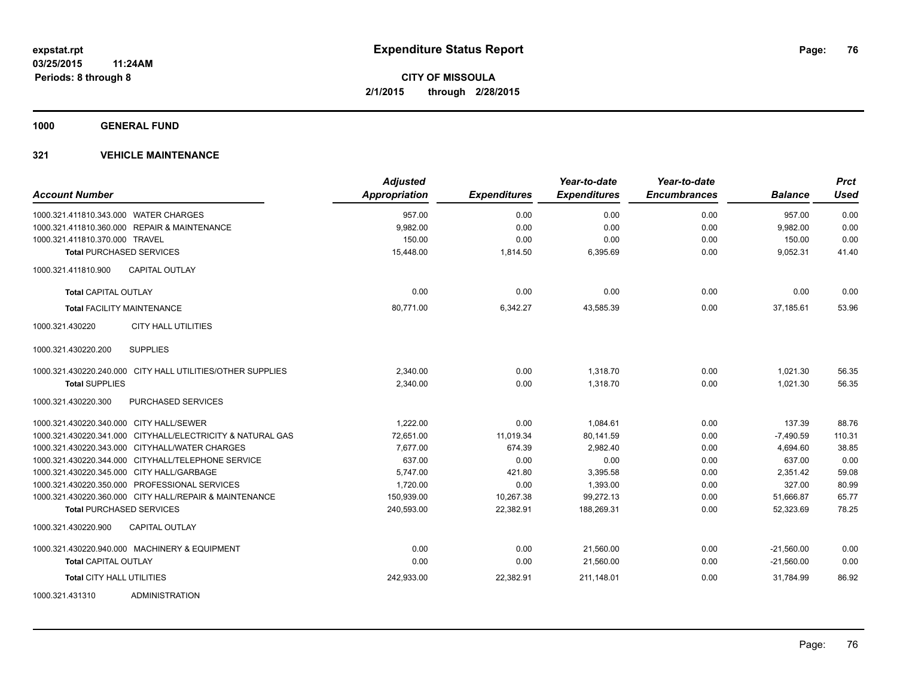**1000 GENERAL FUND**

| <b>Account Number</b>                                      | <b>Adjusted</b><br><b>Appropriation</b> | <b>Expenditures</b> | Year-to-date<br><b>Expenditures</b> | Year-to-date<br><b>Encumbrances</b> | <b>Balance</b> | <b>Prct</b><br><b>Used</b> |
|------------------------------------------------------------|-----------------------------------------|---------------------|-------------------------------------|-------------------------------------|----------------|----------------------------|
| 1000.321.411810.343.000 WATER CHARGES                      | 957.00                                  | 0.00                | 0.00                                | 0.00                                | 957.00         | 0.00                       |
| 1000.321.411810.360.000 REPAIR & MAINTENANCE               | 9,982.00                                | 0.00                | 0.00                                | 0.00                                | 9,982.00       | 0.00                       |
| 1000.321.411810.370.000 TRAVEL                             | 150.00                                  | 0.00                | 0.00                                | 0.00                                | 150.00         | 0.00                       |
| <b>Total PURCHASED SERVICES</b>                            | 15,448.00                               | 1,814.50            | 6,395.69                            | 0.00                                | 9,052.31       | 41.40                      |
| <b>CAPITAL OUTLAY</b><br>1000.321.411810.900               |                                         |                     |                                     |                                     |                |                            |
| <b>Total CAPITAL OUTLAY</b>                                | 0.00                                    | 0.00                | 0.00                                | 0.00                                | 0.00           | 0.00                       |
| <b>Total FACILITY MAINTENANCE</b>                          | 80,771.00                               | 6,342.27            | 43,585.39                           | 0.00                                | 37,185.61      | 53.96                      |
| <b>CITY HALL UTILITIES</b><br>1000.321.430220              |                                         |                     |                                     |                                     |                |                            |
| <b>SUPPLIES</b><br>1000.321.430220.200                     |                                         |                     |                                     |                                     |                |                            |
| 1000.321.430220.240.000 CITY HALL UTILITIES/OTHER SUPPLIES | 2,340.00                                | 0.00                | 1,318.70                            | 0.00                                | 1,021.30       | 56.35                      |
| <b>Total SUPPLIES</b>                                      | 2,340.00                                | 0.00                | 1,318.70                            | 0.00                                | 1,021.30       | 56.35                      |
| 1000.321.430220.300<br><b>PURCHASED SERVICES</b>           |                                         |                     |                                     |                                     |                |                            |
| 1000.321.430220.340.000 CITY HALL/SEWER                    | 1,222.00                                | 0.00                | 1,084.61                            | 0.00                                | 137.39         | 88.76                      |
| 1000.321.430220.341.000 CITYHALL/ELECTRICITY & NATURAL GAS | 72,651.00                               | 11,019.34           | 80,141.59                           | 0.00                                | $-7,490.59$    | 110.31                     |
| 1000.321.430220.343.000 CITYHALL/WATER CHARGES             | 7,677.00                                | 674.39              | 2,982.40                            | 0.00                                | 4,694.60       | 38.85                      |
| 1000.321.430220.344.000 CITYHALL/TELEPHONE SERVICE         | 637.00                                  | 0.00                | 0.00                                | 0.00                                | 637.00         | 0.00                       |
| 1000.321.430220.345.000 CITY HALL/GARBAGE                  | 5,747.00                                | 421.80              | 3,395.58                            | 0.00                                | 2,351.42       | 59.08                      |
| 1000.321.430220.350.000 PROFESSIONAL SERVICES              | 1,720.00                                | 0.00                | 1,393.00                            | 0.00                                | 327.00         | 80.99                      |
| 1000.321.430220.360.000 CITY HALL/REPAIR & MAINTENANCE     | 150,939.00                              | 10,267.38           | 99,272.13                           | 0.00                                | 51,666.87      | 65.77                      |
| <b>Total PURCHASED SERVICES</b>                            | 240,593.00                              | 22,382.91           | 188,269.31                          | 0.00                                | 52,323.69      | 78.25                      |
| 1000.321.430220.900<br><b>CAPITAL OUTLAY</b>               |                                         |                     |                                     |                                     |                |                            |
| 1000.321.430220.940.000 MACHINERY & EQUIPMENT              | 0.00                                    | 0.00                | 21,560.00                           | 0.00                                | $-21,560.00$   | 0.00                       |
| <b>Total CAPITAL OUTLAY</b>                                | 0.00                                    | 0.00                | 21,560.00                           | 0.00                                | $-21,560.00$   | 0.00                       |
| <b>Total CITY HALL UTILITIES</b>                           | 242,933.00                              | 22,382.91           | 211,148.01                          | 0.00                                | 31,784.99      | 86.92                      |
| 1000.321.431310<br><b>ADMINISTRATION</b>                   |                                         |                     |                                     |                                     |                |                            |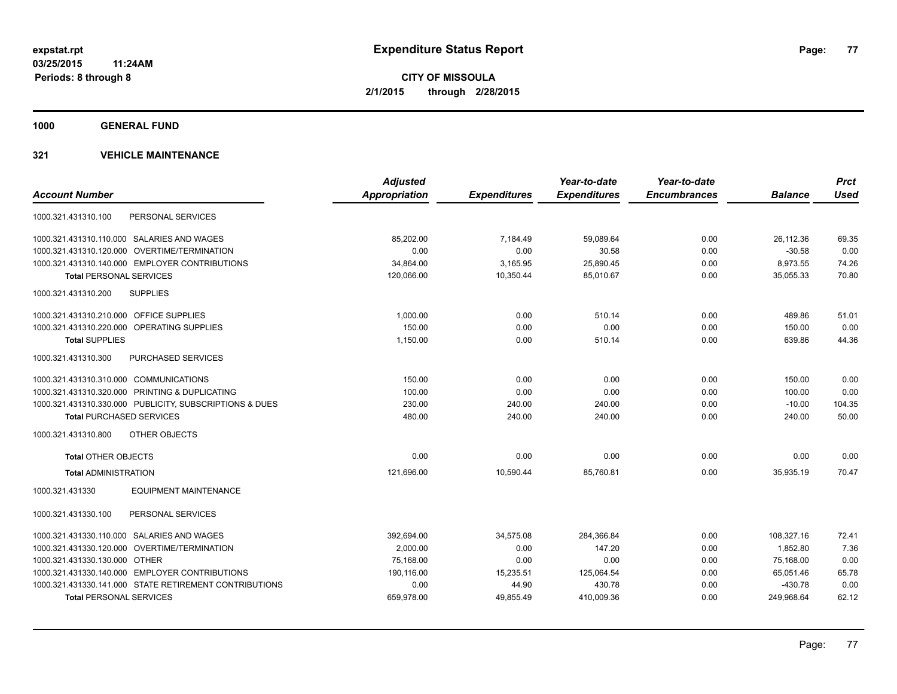**1000 GENERAL FUND**

|                                                         | <b>Adjusted</b> |                     | Year-to-date        | Year-to-date        |                | <b>Prct</b> |
|---------------------------------------------------------|-----------------|---------------------|---------------------|---------------------|----------------|-------------|
| <b>Account Number</b>                                   | Appropriation   | <b>Expenditures</b> | <b>Expenditures</b> | <b>Encumbrances</b> | <b>Balance</b> | <b>Used</b> |
| PERSONAL SERVICES<br>1000.321.431310.100                |                 |                     |                     |                     |                |             |
| 1000.321.431310.110.000 SALARIES AND WAGES              | 85,202.00       | 7,184.49            | 59,089.64           | 0.00                | 26,112.36      | 69.35       |
| 1000.321.431310.120.000 OVERTIME/TERMINATION            | 0.00            | 0.00                | 30.58               | 0.00                | $-30.58$       | 0.00        |
| 1000.321.431310.140.000 EMPLOYER CONTRIBUTIONS          | 34,864.00       | 3,165.95            | 25,890.45           | 0.00                | 8,973.55       | 74.26       |
| <b>Total PERSONAL SERVICES</b>                          | 120.066.00      | 10,350.44           | 85.010.67           | 0.00                | 35.055.33      | 70.80       |
| <b>SUPPLIES</b><br>1000.321.431310.200                  |                 |                     |                     |                     |                |             |
| 1000.321.431310.210.000 OFFICE SUPPLIES                 | 1,000.00        | 0.00                | 510.14              | 0.00                | 489.86         | 51.01       |
| 1000.321.431310.220.000 OPERATING SUPPLIES              | 150.00          | 0.00                | 0.00                | 0.00                | 150.00         | 0.00        |
| <b>Total SUPPLIES</b>                                   | 1,150.00        | 0.00                | 510.14              | 0.00                | 639.86         | 44.36       |
| PURCHASED SERVICES<br>1000.321.431310.300               |                 |                     |                     |                     |                |             |
| 1000.321.431310.310.000 COMMUNICATIONS                  | 150.00          | 0.00                | 0.00                | 0.00                | 150.00         | 0.00        |
| 1000.321.431310.320.000 PRINTING & DUPLICATING          | 100.00          | 0.00                | 0.00                | 0.00                | 100.00         | 0.00        |
| 1000.321.431310.330.000 PUBLICITY, SUBSCRIPTIONS & DUES | 230.00          | 240.00              | 240.00              | 0.00                | $-10.00$       | 104.35      |
| <b>Total PURCHASED SERVICES</b>                         | 480.00          | 240.00              | 240.00              | 0.00                | 240.00         | 50.00       |
| 1000.321.431310.800<br><b>OTHER OBJECTS</b>             |                 |                     |                     |                     |                |             |
| <b>Total OTHER OBJECTS</b>                              | 0.00            | 0.00                | 0.00                | 0.00                | 0.00           | 0.00        |
| <b>Total ADMINISTRATION</b>                             | 121,696.00      | 10,590.44           | 85,760.81           | 0.00                | 35,935.19      | 70.47       |
| 1000.321.431330<br><b>EQUIPMENT MAINTENANCE</b>         |                 |                     |                     |                     |                |             |
| PERSONAL SERVICES<br>1000.321.431330.100                |                 |                     |                     |                     |                |             |
| 1000.321.431330.110.000 SALARIES AND WAGES              | 392,694.00      | 34,575.08           | 284,366.84          | 0.00                | 108,327.16     | 72.41       |
| 1000.321.431330.120.000 OVERTIME/TERMINATION            | 2,000.00        | 0.00                | 147.20              | 0.00                | 1.852.80       | 7.36        |
| 1000.321.431330.130.000 OTHER                           | 75,168.00       | 0.00                | 0.00                | 0.00                | 75,168.00      | 0.00        |
| 1000.321.431330.140.000 EMPLOYER CONTRIBUTIONS          | 190,116.00      | 15,235.51           | 125,064.54          | 0.00                | 65,051.46      | 65.78       |
| 1000.321.431330.141.000 STATE RETIREMENT CONTRIBUTIONS  | 0.00            | 44.90               | 430.78              | 0.00                | $-430.78$      | 0.00        |
| <b>Total PERSONAL SERVICES</b>                          | 659,978.00      | 49,855.49           | 410,009.36          | 0.00                | 249,968.64     | 62.12       |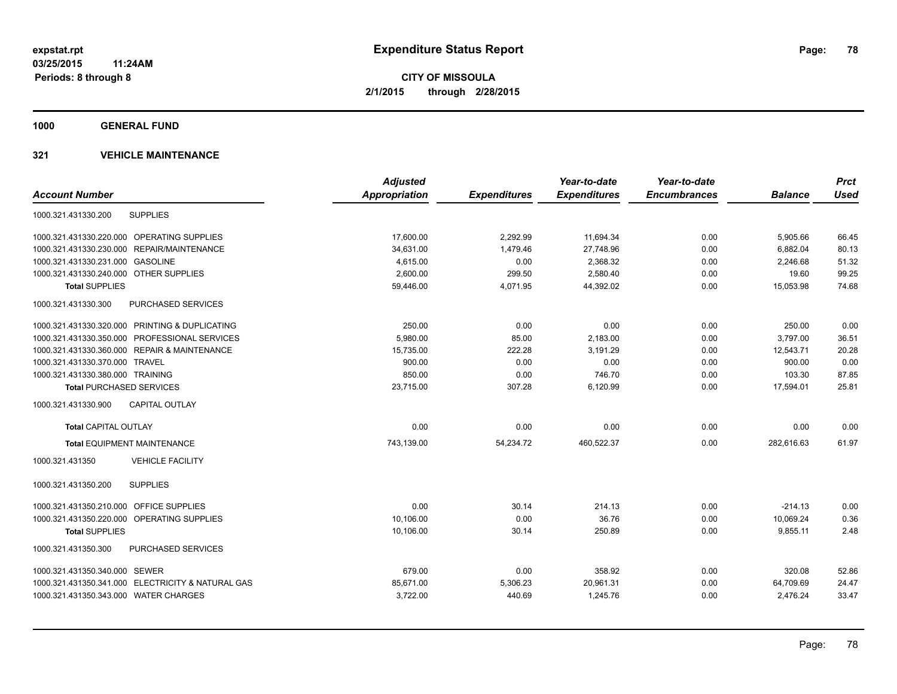**1000 GENERAL FUND**

|                                                   | <b>Adjusted</b>      |                     | Year-to-date        | Year-to-date        |                | <b>Prct</b> |
|---------------------------------------------------|----------------------|---------------------|---------------------|---------------------|----------------|-------------|
| <b>Account Number</b>                             | <b>Appropriation</b> | <b>Expenditures</b> | <b>Expenditures</b> | <b>Encumbrances</b> | <b>Balance</b> | <b>Used</b> |
| <b>SUPPLIES</b><br>1000.321.431330.200            |                      |                     |                     |                     |                |             |
| 1000.321.431330.220.000 OPERATING SUPPLIES        | 17,600.00            | 2,292.99            | 11,694.34           | 0.00                | 5,905.66       | 66.45       |
| REPAIR/MAINTENANCE<br>1000.321.431330.230.000     | 34,631.00            | 1,479.46            | 27,748.96           | 0.00                | 6,882.04       | 80.13       |
| 1000.321.431330.231.000 GASOLINE                  | 4,615.00             | 0.00                | 2,368.32            | 0.00                | 2,246.68       | 51.32       |
| 1000.321.431330.240.000 OTHER SUPPLIES            | 2,600.00             | 299.50              | 2,580.40            | 0.00                | 19.60          | 99.25       |
| <b>Total SUPPLIES</b>                             | 59,446.00            | 4,071.95            | 44,392.02           | 0.00                | 15,053.98      | 74.68       |
| <b>PURCHASED SERVICES</b><br>1000.321.431330.300  |                      |                     |                     |                     |                |             |
| 1000.321.431330.320.000 PRINTING & DUPLICATING    | 250.00               | 0.00                | 0.00                | 0.00                | 250.00         | 0.00        |
| 1000.321.431330.350.000 PROFESSIONAL SERVICES     | 5,980.00             | 85.00               | 2,183.00            | 0.00                | 3.797.00       | 36.51       |
| 1000.321.431330.360.000 REPAIR & MAINTENANCE      | 15,735.00            | 222.28              | 3,191.29            | 0.00                | 12,543.71      | 20.28       |
| 1000.321.431330.370.000 TRAVEL                    | 900.00               | 0.00                | 0.00                | 0.00                | 900.00         | 0.00        |
| 1000.321.431330.380.000 TRAINING                  | 850.00               | 0.00                | 746.70              | 0.00                | 103.30         | 87.85       |
| <b>Total PURCHASED SERVICES</b>                   | 23,715.00            | 307.28              | 6,120.99            | 0.00                | 17,594.01      | 25.81       |
| <b>CAPITAL OUTLAY</b><br>1000.321.431330.900      |                      |                     |                     |                     |                |             |
| <b>Total CAPITAL OUTLAY</b>                       | 0.00                 | 0.00                | 0.00                | 0.00                | 0.00           | 0.00        |
| <b>Total EQUIPMENT MAINTENANCE</b>                | 743,139.00           | 54,234.72           | 460,522.37          | 0.00                | 282,616.63     | 61.97       |
| <b>VEHICLE FACILITY</b><br>1000.321.431350        |                      |                     |                     |                     |                |             |
| 1000.321.431350.200<br><b>SUPPLIES</b>            |                      |                     |                     |                     |                |             |
| 1000.321.431350.210.000 OFFICE SUPPLIES           | 0.00                 | 30.14               | 214.13              | 0.00                | $-214.13$      | 0.00        |
| 1000.321.431350.220.000 OPERATING SUPPLIES        | 10,106.00            | 0.00                | 36.76               | 0.00                | 10,069.24      | 0.36        |
| <b>Total SUPPLIES</b>                             | 10,106.00            | 30.14               | 250.89              | 0.00                | 9,855.11       | 2.48        |
| <b>PURCHASED SERVICES</b><br>1000.321.431350.300  |                      |                     |                     |                     |                |             |
| 1000.321.431350.340.000 SEWER                     | 679.00               | 0.00                | 358.92              | 0.00                | 320.08         | 52.86       |
| 1000.321.431350.341.000 ELECTRICITY & NATURAL GAS | 85,671.00            | 5,306.23            | 20,961.31           | 0.00                | 64,709.69      | 24.47       |
| 1000.321.431350.343.000 WATER CHARGES             | 3,722.00             | 440.69              | 1,245.76            | 0.00                | 2,476.24       | 33.47       |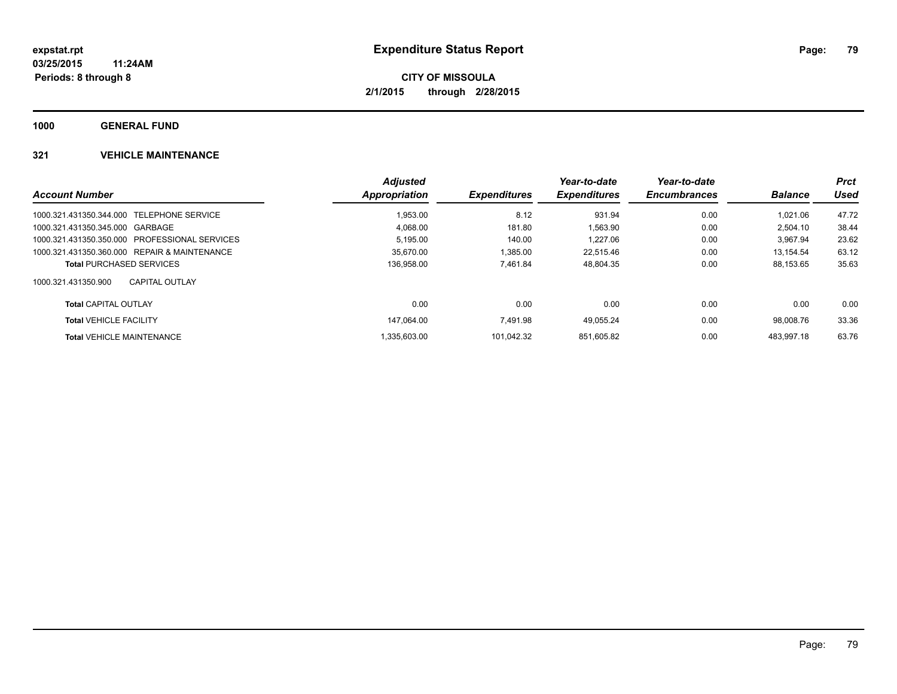**1000 GENERAL FUND**

|                                               | <b>Adjusted</b> |                            | Year-to-date        | Year-to-date        |                | <b>Prct</b> |
|-----------------------------------------------|-----------------|----------------------------|---------------------|---------------------|----------------|-------------|
| <b>Account Number</b>                         | Appropriation   | <i><b>Expenditures</b></i> | <b>Expenditures</b> | <b>Encumbrances</b> | <b>Balance</b> | Used        |
| 1000.321.431350.344.000 TELEPHONE SERVICE     | 1.953.00        | 8.12                       | 931.94              | 0.00                | 1.021.06       | 47.72       |
| 1000.321.431350.345.000 GARBAGE               | 4.068.00        | 181.80                     | 1.563.90            | 0.00                | 2.504.10       | 38.44       |
| 1000.321.431350.350.000 PROFESSIONAL SERVICES | 5,195.00        | 140.00                     | 1.227.06            | 0.00                | 3.967.94       | 23.62       |
| 1000.321.431350.360.000 REPAIR & MAINTENANCE  | 35.670.00       | 1.385.00                   | 22.515.46           | 0.00                | 13.154.54      | 63.12       |
| <b>Total PURCHASED SERVICES</b>               | 136.958.00      | 7.461.84                   | 48,804.35           | 0.00                | 88.153.65      | 35.63       |
| 1000.321.431350.900<br><b>CAPITAL OUTLAY</b>  |                 |                            |                     |                     |                |             |
| <b>Total CAPITAL OUTLAY</b>                   | 0.00            | 0.00                       | 0.00                | 0.00                | 0.00           | 0.00        |
| <b>Total VEHICLE FACILITY</b>                 | 147.064.00      | 7.491.98                   | 49.055.24           | 0.00                | 98.008.76      | 33.36       |
| <b>Total VEHICLE MAINTENANCE</b>              | .335.603.00     | 101.042.32                 | 851.605.82          | 0.00                | 483.997.18     | 63.76       |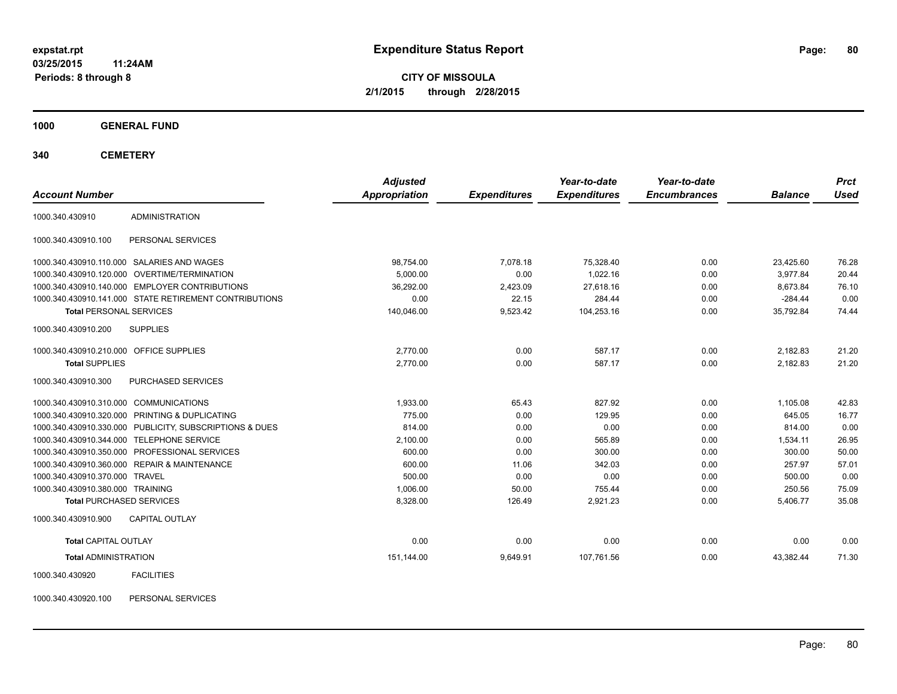**03/25/2015 11:24AM Periods: 8 through 8**

**CITY OF MISSOULA 2/1/2015 through 2/28/2015**

**1000 GENERAL FUND**

**340 CEMETERY**

| <b>Account Number</b>                   |                                                         | <b>Adjusted</b><br>Appropriation | <b>Expenditures</b> | Year-to-date<br><b>Expenditures</b> | Year-to-date<br><b>Encumbrances</b> | <b>Balance</b> | <b>Prct</b><br><b>Used</b> |
|-----------------------------------------|---------------------------------------------------------|----------------------------------|---------------------|-------------------------------------|-------------------------------------|----------------|----------------------------|
| 1000.340.430910                         | <b>ADMINISTRATION</b>                                   |                                  |                     |                                     |                                     |                |                            |
| 1000.340.430910.100                     | PERSONAL SERVICES                                       |                                  |                     |                                     |                                     |                |                            |
|                                         | 1000.340.430910.110.000 SALARIES AND WAGES              | 98,754.00                        | 7,078.18            | 75,328.40                           | 0.00                                | 23,425.60      | 76.28                      |
|                                         | 1000.340.430910.120.000 OVERTIME/TERMINATION            | 5,000.00                         | 0.00                | 1.022.16                            | 0.00                                | 3.977.84       | 20.44                      |
|                                         | 1000.340.430910.140.000 EMPLOYER CONTRIBUTIONS          | 36,292.00                        | 2,423.09            | 27,618.16                           | 0.00                                | 8,673.84       | 76.10                      |
|                                         | 1000.340.430910.141.000 STATE RETIREMENT CONTRIBUTIONS  | 0.00                             | 22.15               | 284.44                              | 0.00                                | $-284.44$      | 0.00                       |
| <b>Total PERSONAL SERVICES</b>          |                                                         | 140,046.00                       | 9,523.42            | 104,253.16                          | 0.00                                | 35,792.84      | 74.44                      |
| 1000.340.430910.200                     | <b>SUPPLIES</b>                                         |                                  |                     |                                     |                                     |                |                            |
| 1000.340.430910.210.000 OFFICE SUPPLIES |                                                         | 2,770.00                         | 0.00                | 587.17                              | 0.00                                | 2,182.83       | 21.20                      |
| <b>Total SUPPLIES</b>                   |                                                         | 2,770.00                         | 0.00                | 587.17                              | 0.00                                | 2,182.83       | 21.20                      |
| 1000.340.430910.300                     | PURCHASED SERVICES                                      |                                  |                     |                                     |                                     |                |                            |
| 1000.340.430910.310.000 COMMUNICATIONS  |                                                         | 1.933.00                         | 65.43               | 827.92                              | 0.00                                | 1,105.08       | 42.83                      |
|                                         | 1000.340.430910.320.000 PRINTING & DUPLICATING          | 775.00                           | 0.00                | 129.95                              | 0.00                                | 645.05         | 16.77                      |
|                                         | 1000.340.430910.330.000 PUBLICITY, SUBSCRIPTIONS & DUES | 814.00                           | 0.00                | 0.00                                | 0.00                                | 814.00         | 0.00                       |
|                                         | 1000.340.430910.344.000 TELEPHONE SERVICE               | 2,100.00                         | 0.00                | 565.89                              | 0.00                                | 1,534.11       | 26.95                      |
|                                         | 1000.340.430910.350.000 PROFESSIONAL SERVICES           | 600.00                           | 0.00                | 300.00                              | 0.00                                | 300.00         | 50.00                      |
|                                         | 1000.340.430910.360.000 REPAIR & MAINTENANCE            | 600.00                           | 11.06               | 342.03                              | 0.00                                | 257.97         | 57.01                      |
| 1000.340.430910.370.000 TRAVEL          |                                                         | 500.00                           | 0.00                | 0.00                                | 0.00                                | 500.00         | 0.00                       |
| 1000.340.430910.380.000 TRAINING        |                                                         | 1,006.00                         | 50.00               | 755.44                              | 0.00                                | 250.56         | 75.09                      |
| <b>Total PURCHASED SERVICES</b>         |                                                         | 8,328.00                         | 126.49              | 2,921.23                            | 0.00                                | 5,406.77       | 35.08                      |
| 1000.340.430910.900                     | <b>CAPITAL OUTLAY</b>                                   |                                  |                     |                                     |                                     |                |                            |
| <b>Total CAPITAL OUTLAY</b>             |                                                         | 0.00                             | 0.00                | 0.00                                | 0.00                                | 0.00           | 0.00                       |
| <b>Total ADMINISTRATION</b>             |                                                         | 151,144.00                       | 9,649.91            | 107,761.56                          | 0.00                                | 43,382.44      | 71.30                      |
| 1000.340.430920                         | <b>FACILITIES</b>                                       |                                  |                     |                                     |                                     |                |                            |

1000.340.430920.100 PERSONAL SERVICES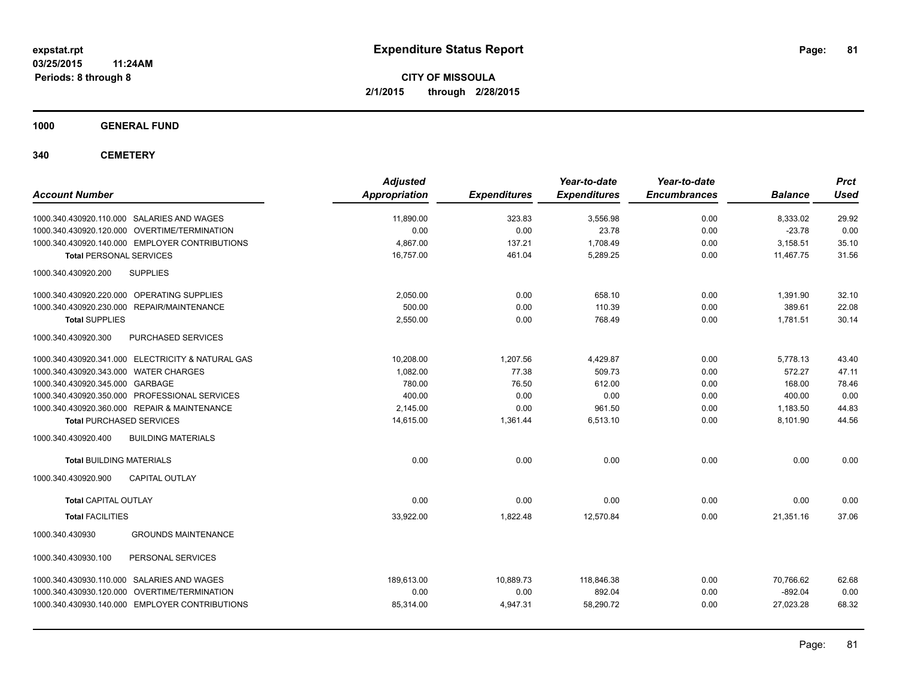**03/25/2015 11:24AM Periods: 8 through 8**

**CITY OF MISSOULA 2/1/2015 through 2/28/2015**

**1000 GENERAL FUND**

**340 CEMETERY**

| <b>Account Number</b>                                | <b>Adjusted</b><br><b>Appropriation</b> | <b>Expenditures</b> | Year-to-date<br><b>Expenditures</b> | Year-to-date<br><b>Encumbrances</b> | <b>Balance</b> | <b>Prct</b><br><b>Used</b> |
|------------------------------------------------------|-----------------------------------------|---------------------|-------------------------------------|-------------------------------------|----------------|----------------------------|
| 1000.340.430920.110.000 SALARIES AND WAGES           | 11,890.00                               | 323.83              | 3,556.98                            | 0.00                                | 8,333.02       | 29.92                      |
| 1000.340.430920.120.000 OVERTIME/TERMINATION         | 0.00                                    | 0.00                | 23.78                               | 0.00                                | $-23.78$       | 0.00                       |
| 1000.340.430920.140.000 EMPLOYER CONTRIBUTIONS       | 4.867.00                                | 137.21              | 1,708.49                            | 0.00                                | 3,158.51       | 35.10                      |
| <b>Total PERSONAL SERVICES</b>                       | 16,757.00                               | 461.04              | 5,289.25                            | 0.00                                | 11,467.75      | 31.56                      |
| 1000.340.430920.200<br><b>SUPPLIES</b>               |                                         |                     |                                     |                                     |                |                            |
| 1000.340.430920.220.000 OPERATING SUPPLIES           | 2,050.00                                | 0.00                | 658.10                              | 0.00                                | 1,391.90       | 32.10                      |
| 1000.340.430920.230.000<br><b>REPAIR/MAINTENANCE</b> | 500.00                                  | 0.00                | 110.39                              | 0.00                                | 389.61         | 22.08                      |
| <b>Total SUPPLIES</b>                                | 2,550.00                                | 0.00                | 768.49                              | 0.00                                | 1,781.51       | 30.14                      |
| 1000.340.430920.300<br>PURCHASED SERVICES            |                                         |                     |                                     |                                     |                |                            |
| 1000.340.430920.341.000 ELECTRICITY & NATURAL GAS    | 10,208.00                               | 1,207.56            | 4,429.87                            | 0.00                                | 5,778.13       | 43.40                      |
| 1000.340.430920.343.000 WATER CHARGES                | 1.082.00                                | 77.38               | 509.73                              | 0.00                                | 572.27         | 47.11                      |
| 1000.340.430920.345.000 GARBAGE                      | 780.00                                  | 76.50               | 612.00                              | 0.00                                | 168.00         | 78.46                      |
| 1000.340.430920.350.000 PROFESSIONAL SERVICES        | 400.00                                  | 0.00                | 0.00                                | 0.00                                | 400.00         | 0.00                       |
| 1000.340.430920.360.000 REPAIR & MAINTENANCE         | 2,145.00                                | 0.00                | 961.50                              | 0.00                                | 1,183.50       | 44.83                      |
| <b>Total PURCHASED SERVICES</b>                      | 14,615.00                               | 1,361.44            | 6,513.10                            | 0.00                                | 8,101.90       | 44.56                      |
| 1000.340.430920.400<br><b>BUILDING MATERIALS</b>     |                                         |                     |                                     |                                     |                |                            |
| <b>Total BUILDING MATERIALS</b>                      | 0.00                                    | 0.00                | 0.00                                | 0.00                                | 0.00           | 0.00                       |
| 1000.340.430920.900<br><b>CAPITAL OUTLAY</b>         |                                         |                     |                                     |                                     |                |                            |
| <b>Total CAPITAL OUTLAY</b>                          | 0.00                                    | 0.00                | 0.00                                | 0.00                                | 0.00           | 0.00                       |
| <b>Total FACILITIES</b>                              | 33,922.00                               | 1,822.48            | 12,570.84                           | 0.00                                | 21,351.16      | 37.06                      |
| 1000.340.430930<br><b>GROUNDS MAINTENANCE</b>        |                                         |                     |                                     |                                     |                |                            |
| 1000.340.430930.100<br>PERSONAL SERVICES             |                                         |                     |                                     |                                     |                |                            |
| 1000.340.430930.110.000 SALARIES AND WAGES           | 189.613.00                              | 10,889.73           | 118.846.38                          | 0.00                                | 70.766.62      | 62.68                      |
| 1000.340.430930.120.000 OVERTIME/TERMINATION         | 0.00                                    | 0.00                | 892.04                              | 0.00                                | $-892.04$      | 0.00                       |
| 1000.340.430930.140.000 EMPLOYER CONTRIBUTIONS       | 85,314.00                               | 4,947.31            | 58,290.72                           | 0.00                                | 27,023.28      | 68.32                      |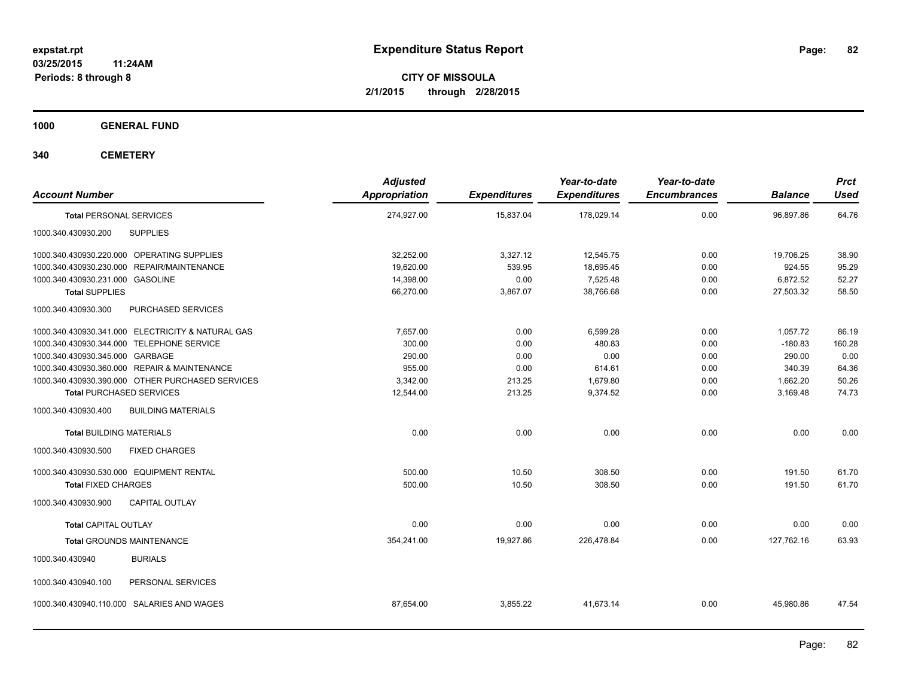**1000 GENERAL FUND**

**340 CEMETERY**

| <b>Account Number</b>                                | <b>Adjusted</b><br>Appropriation | <b>Expenditures</b> | Year-to-date<br><b>Expenditures</b> | Year-to-date<br><b>Encumbrances</b> | <b>Balance</b> | <b>Prct</b><br><b>Used</b> |
|------------------------------------------------------|----------------------------------|---------------------|-------------------------------------|-------------------------------------|----------------|----------------------------|
| <b>Total PERSONAL SERVICES</b>                       | 274,927.00                       | 15,837.04           | 178,029.14                          | 0.00                                | 96,897.86      | 64.76                      |
| <b>SUPPLIES</b><br>1000.340.430930.200               |                                  |                     |                                     |                                     |                |                            |
| 1000.340.430930.220.000 OPERATING SUPPLIES           | 32,252.00                        | 3,327.12            | 12,545.75                           | 0.00                                | 19,706.25      | 38.90                      |
| <b>REPAIR/MAINTENANCE</b><br>1000.340.430930.230.000 | 19,620.00                        | 539.95              | 18,695.45                           | 0.00                                | 924.55         | 95.29                      |
| 1000.340.430930.231.000 GASOLINE                     | 14,398.00                        | 0.00                | 7,525.48                            | 0.00                                | 6,872.52       | 52.27                      |
| <b>Total SUPPLIES</b>                                | 66,270.00                        | 3,867.07            | 38,766.68                           | 0.00                                | 27,503.32      | 58.50                      |
| 1000.340.430930.300<br>PURCHASED SERVICES            |                                  |                     |                                     |                                     |                |                            |
| 1000.340.430930.341.000 ELECTRICITY & NATURAL GAS    | 7,657.00                         | 0.00                | 6,599.28                            | 0.00                                | 1,057.72       | 86.19                      |
| 1000.340.430930.344.000 TELEPHONE SERVICE            | 300.00                           | 0.00                | 480.83                              | 0.00                                | $-180.83$      | 160.28                     |
| 1000.340.430930.345.000 GARBAGE                      | 290.00                           | 0.00                | 0.00                                | 0.00                                | 290.00         | 0.00                       |
| 1000.340.430930.360.000 REPAIR & MAINTENANCE         | 955.00                           | 0.00                | 614.61                              | 0.00                                | 340.39         | 64.36                      |
| 1000.340.430930.390.000 OTHER PURCHASED SERVICES     | 3,342.00                         | 213.25              | 1,679.80                            | 0.00                                | 1,662.20       | 50.26                      |
| <b>Total PURCHASED SERVICES</b>                      | 12,544.00                        | 213.25              | 9,374.52                            | 0.00                                | 3,169.48       | 74.73                      |
| 1000.340.430930.400<br><b>BUILDING MATERIALS</b>     |                                  |                     |                                     |                                     |                |                            |
| <b>Total BUILDING MATERIALS</b>                      | 0.00                             | 0.00                | 0.00                                | 0.00                                | 0.00           | 0.00                       |
| <b>FIXED CHARGES</b><br>1000.340.430930.500          |                                  |                     |                                     |                                     |                |                            |
| 1000.340.430930.530.000 EQUIPMENT RENTAL             | 500.00                           | 10.50               | 308.50                              | 0.00                                | 191.50         | 61.70                      |
| <b>Total FIXED CHARGES</b>                           | 500.00                           | 10.50               | 308.50                              | 0.00                                | 191.50         | 61.70                      |
| <b>CAPITAL OUTLAY</b><br>1000.340.430930.900         |                                  |                     |                                     |                                     |                |                            |
| <b>Total CAPITAL OUTLAY</b>                          | 0.00                             | 0.00                | 0.00                                | 0.00                                | 0.00           | 0.00                       |
| <b>Total GROUNDS MAINTENANCE</b>                     | 354,241.00                       | 19,927.86           | 226,478.84                          | 0.00                                | 127,762.16     | 63.93                      |
| <b>BURIALS</b><br>1000.340.430940                    |                                  |                     |                                     |                                     |                |                            |
| PERSONAL SERVICES<br>1000.340.430940.100             |                                  |                     |                                     |                                     |                |                            |
| 1000.340.430940.110.000 SALARIES AND WAGES           | 87,654.00                        | 3,855.22            | 41,673.14                           | 0.00                                | 45.980.86      | 47.54                      |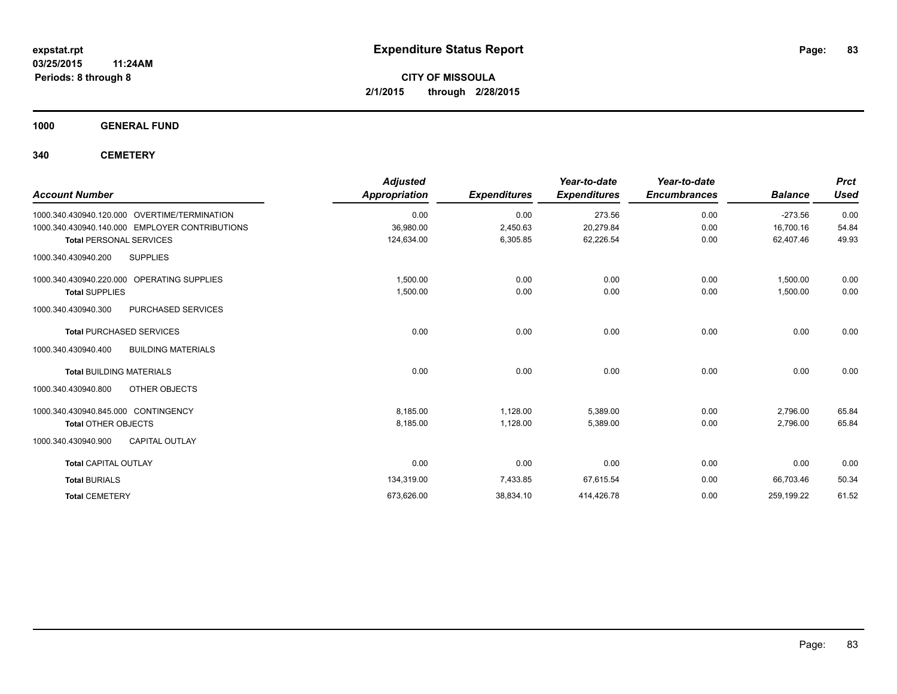**1000 GENERAL FUND**

**340 CEMETERY**

| <b>Account Number</b>                            | <b>Adjusted</b><br><b>Appropriation</b> | <b>Expenditures</b> | Year-to-date<br><b>Expenditures</b> | Year-to-date<br><b>Encumbrances</b> | <b>Balance</b> | <b>Prct</b><br><b>Used</b> |
|--------------------------------------------------|-----------------------------------------|---------------------|-------------------------------------|-------------------------------------|----------------|----------------------------|
| 1000.340.430940.120.000 OVERTIME/TERMINATION     | 0.00                                    | 0.00                | 273.56                              | 0.00                                | $-273.56$      | 0.00                       |
| 1000.340.430940.140.000 EMPLOYER CONTRIBUTIONS   | 36,980.00                               | 2,450.63            | 20,279.84                           | 0.00                                | 16,700.16      | 54.84                      |
| <b>Total PERSONAL SERVICES</b>                   | 124,634.00                              | 6,305.85            | 62,226.54                           | 0.00                                | 62,407.46      | 49.93                      |
| <b>SUPPLIES</b><br>1000.340.430940.200           |                                         |                     |                                     |                                     |                |                            |
| 1000.340.430940.220.000 OPERATING SUPPLIES       | 1,500.00                                | 0.00                | 0.00                                | 0.00                                | 1,500.00       | 0.00                       |
| <b>Total SUPPLIES</b>                            | 1,500.00                                | 0.00                | 0.00                                | 0.00                                | 1,500.00       | 0.00                       |
| 1000.340.430940.300<br>PURCHASED SERVICES        |                                         |                     |                                     |                                     |                |                            |
| <b>Total PURCHASED SERVICES</b>                  | 0.00                                    | 0.00                | 0.00                                | 0.00                                | 0.00           | 0.00                       |
| 1000.340.430940.400<br><b>BUILDING MATERIALS</b> |                                         |                     |                                     |                                     |                |                            |
| <b>Total BUILDING MATERIALS</b>                  | 0.00                                    | 0.00                | 0.00                                | 0.00                                | 0.00           | 0.00                       |
| 1000.340.430940.800<br>OTHER OBJECTS             |                                         |                     |                                     |                                     |                |                            |
| 1000.340.430940.845.000 CONTINGENCY              | 8,185.00                                | 1,128.00            | 5,389.00                            | 0.00                                | 2,796.00       | 65.84                      |
| <b>Total OTHER OBJECTS</b>                       | 8,185.00                                | 1,128.00            | 5,389.00                            | 0.00                                | 2,796.00       | 65.84                      |
| <b>CAPITAL OUTLAY</b><br>1000.340.430940.900     |                                         |                     |                                     |                                     |                |                            |
| <b>Total CAPITAL OUTLAY</b>                      | 0.00                                    | 0.00                | 0.00                                | 0.00                                | 0.00           | 0.00                       |
| <b>Total BURIALS</b>                             | 134,319.00                              | 7,433.85            | 67,615.54                           | 0.00                                | 66,703.46      | 50.34                      |
| <b>Total CEMETERY</b>                            | 673,626.00                              | 38,834.10           | 414,426.78                          | 0.00                                | 259,199.22     | 61.52                      |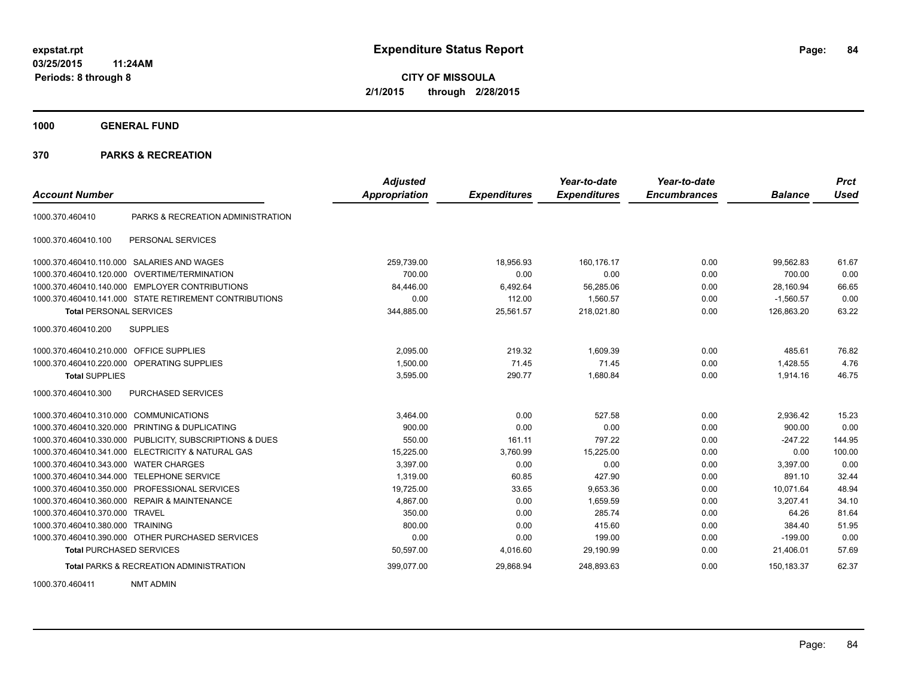**1000 GENERAL FUND**

### **370 PARKS & RECREATION**

|                                         |                                                         | <b>Adjusted</b>      |                     | Year-to-date        | Year-to-date        |                | <b>Prct</b> |
|-----------------------------------------|---------------------------------------------------------|----------------------|---------------------|---------------------|---------------------|----------------|-------------|
| <b>Account Number</b>                   |                                                         | <b>Appropriation</b> | <b>Expenditures</b> | <b>Expenditures</b> | <b>Encumbrances</b> | <b>Balance</b> | <b>Used</b> |
| 1000.370.460410                         | PARKS & RECREATION ADMINISTRATION                       |                      |                     |                     |                     |                |             |
| 1000.370.460410.100                     | PERSONAL SERVICES                                       |                      |                     |                     |                     |                |             |
|                                         | 1000.370.460410.110.000 SALARIES AND WAGES              | 259,739.00           | 18,956.93           | 160.176.17          | 0.00                | 99.562.83      | 61.67       |
|                                         | 1000.370.460410.120.000 OVERTIME/TERMINATION            | 700.00               | 0.00                | 0.00                | 0.00                | 700.00         | 0.00        |
| 1000.370.460410.140.000                 | <b>EMPLOYER CONTRIBUTIONS</b>                           | 84,446.00            | 6,492.64            | 56,285.06           | 0.00                | 28,160.94      | 66.65       |
|                                         | 1000.370.460410.141.000 STATE RETIREMENT CONTRIBUTIONS  | 0.00                 | 112.00              | 1,560.57            | 0.00                | $-1,560.57$    | 0.00        |
| <b>Total PERSONAL SERVICES</b>          |                                                         | 344,885.00           | 25,561.57           | 218,021.80          | 0.00                | 126,863.20     | 63.22       |
| 1000.370.460410.200                     | <b>SUPPLIES</b>                                         |                      |                     |                     |                     |                |             |
| 1000.370.460410.210.000 OFFICE SUPPLIES |                                                         | 2.095.00             | 219.32              | 1.609.39            | 0.00                | 485.61         | 76.82       |
|                                         | 1000.370.460410.220.000 OPERATING SUPPLIES              | 1.500.00             | 71.45               | 71.45               | 0.00                | 1,428.55       | 4.76        |
| <b>Total SUPPLIES</b>                   |                                                         | 3,595.00             | 290.77              | 1.680.84            | 0.00                | 1,914.16       | 46.75       |
| 1000.370.460410.300                     | PURCHASED SERVICES                                      |                      |                     |                     |                     |                |             |
| 1000.370.460410.310.000                 | <b>COMMUNICATIONS</b>                                   | 3.464.00             | 0.00                | 527.58              | 0.00                | 2.936.42       | 15.23       |
| 1000.370.460410.320.000                 | PRINTING & DUPLICATING                                  | 900.00               | 0.00                | 0.00                | 0.00                | 900.00         | 0.00        |
|                                         | 1000.370.460410.330.000 PUBLICITY, SUBSCRIPTIONS & DUES | 550.00               | 161.11              | 797.22              | 0.00                | $-247.22$      | 144.95      |
| 1000.370.460410.341.000                 | <b>ELECTRICITY &amp; NATURAL GAS</b>                    | 15,225.00            | 3,760.99            | 15,225.00           | 0.00                | 0.00           | 100.00      |
| 1000.370.460410.343.000                 | <b>WATER CHARGES</b>                                    | 3,397.00             | 0.00                | 0.00                | 0.00                | 3,397.00       | 0.00        |
| 1000.370.460410.344.000                 | <b>TELEPHONE SERVICE</b>                                | 1.319.00             | 60.85               | 427.90              | 0.00                | 891.10         | 32.44       |
| 1000.370.460410.350.000                 | PROFESSIONAL SERVICES                                   | 19,725.00            | 33.65               | 9,653.36            | 0.00                | 10,071.64      | 48.94       |
| 1000.370.460410.360.000                 | <b>REPAIR &amp; MAINTENANCE</b>                         | 4,867.00             | 0.00                | 1,659.59            | 0.00                | 3,207.41       | 34.10       |
| 1000.370.460410.370.000 TRAVEL          |                                                         | 350.00               | 0.00                | 285.74              | 0.00                | 64.26          | 81.64       |
| 1000.370.460410.380.000 TRAINING        |                                                         | 800.00               | 0.00                | 415.60              | 0.00                | 384.40         | 51.95       |
|                                         | 1000.370.460410.390.000 OTHER PURCHASED SERVICES        | 0.00                 | 0.00                | 199.00              | 0.00                | $-199.00$      | 0.00        |
| <b>Total PURCHASED SERVICES</b>         |                                                         | 50,597.00            | 4,016.60            | 29,190.99           | 0.00                | 21,406.01      | 57.69       |
|                                         | <b>Total PARKS &amp; RECREATION ADMINISTRATION</b>      | 399,077.00           | 29,868.94           | 248,893.63          | 0.00                | 150,183.37     | 62.37       |

1000.370.460411 NMT ADMIN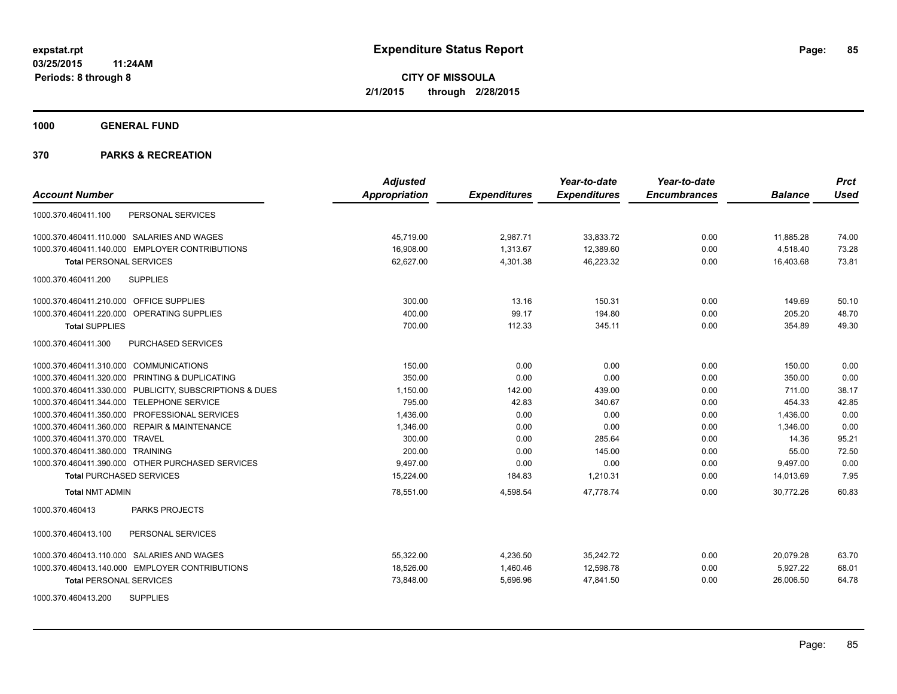**1000 GENERAL FUND**

|                                                         | <b>Adjusted</b> |                     | Year-to-date        | Year-to-date        |                | <b>Prct</b> |
|---------------------------------------------------------|-----------------|---------------------|---------------------|---------------------|----------------|-------------|
| <b>Account Number</b>                                   | Appropriation   | <b>Expenditures</b> | <b>Expenditures</b> | <b>Encumbrances</b> | <b>Balance</b> | Used        |
| 1000.370.460411.100<br>PERSONAL SERVICES                |                 |                     |                     |                     |                |             |
| 1000.370.460411.110.000 SALARIES AND WAGES              | 45,719.00       | 2,987.71            | 33,833.72           | 0.00                | 11,885.28      | 74.00       |
| 1000.370.460411.140.000 EMPLOYER CONTRIBUTIONS          | 16,908.00       | 1,313.67            | 12,389.60           | 0.00                | 4,518.40       | 73.28       |
| <b>Total PERSONAL SERVICES</b>                          | 62,627.00       | 4,301.38            | 46,223.32           | 0.00                | 16,403.68      | 73.81       |
| 1000.370.460411.200<br><b>SUPPLIES</b>                  |                 |                     |                     |                     |                |             |
| 1000.370.460411.210.000 OFFICE SUPPLIES                 | 300.00          | 13.16               | 150.31              | 0.00                | 149.69         | 50.10       |
| 1000.370.460411.220.000 OPERATING SUPPLIES              | 400.00          | 99.17               | 194.80              | 0.00                | 205.20         | 48.70       |
| <b>Total SUPPLIES</b>                                   | 700.00          | 112.33              | 345.11              | 0.00                | 354.89         | 49.30       |
| 1000.370.460411.300<br>PURCHASED SERVICES               |                 |                     |                     |                     |                |             |
| 1000.370.460411.310.000 COMMUNICATIONS                  | 150.00          | 0.00                | 0.00                | 0.00                | 150.00         | 0.00        |
| 1000.370.460411.320.000 PRINTING & DUPLICATING          | 350.00          | 0.00                | 0.00                | 0.00                | 350.00         | 0.00        |
| 1000.370.460411.330.000 PUBLICITY, SUBSCRIPTIONS & DUES | 1,150.00        | 142.00              | 439.00              | 0.00                | 711.00         | 38.17       |
| 1000.370.460411.344.000 TELEPHONE SERVICE               | 795.00          | 42.83               | 340.67              | 0.00                | 454.33         | 42.85       |
| 1000.370.460411.350.000 PROFESSIONAL SERVICES           | 1,436.00        | 0.00                | 0.00                | 0.00                | 1,436.00       | 0.00        |
| 1000.370.460411.360.000 REPAIR & MAINTENANCE            | 1,346.00        | 0.00                | 0.00                | 0.00                | 1,346.00       | 0.00        |
| 1000.370.460411.370.000 TRAVEL                          | 300.00          | 0.00                | 285.64              | 0.00                | 14.36          | 95.21       |
| 1000.370.460411.380.000 TRAINING                        | 200.00          | 0.00                | 145.00              | 0.00                | 55.00          | 72.50       |
| 1000.370.460411.390.000 OTHER PURCHASED SERVICES        | 9,497.00        | 0.00                | 0.00                | 0.00                | 9,497.00       | 0.00        |
| <b>Total PURCHASED SERVICES</b>                         | 15,224.00       | 184.83              | 1,210.31            | 0.00                | 14,013.69      | 7.95        |
| <b>Total NMT ADMIN</b>                                  | 78,551.00       | 4,598.54            | 47,778.74           | 0.00                | 30,772.26      | 60.83       |
| 1000.370.460413<br><b>PARKS PROJECTS</b>                |                 |                     |                     |                     |                |             |
| 1000.370.460413.100<br>PERSONAL SERVICES                |                 |                     |                     |                     |                |             |
| 1000.370.460413.110.000 SALARIES AND WAGES              | 55,322.00       | 4,236.50            | 35,242.72           | 0.00                | 20,079.28      | 63.70       |
| 1000.370.460413.140.000 EMPLOYER CONTRIBUTIONS          | 18,526.00       | 1,460.46            | 12,598.78           | 0.00                | 5,927.22       | 68.01       |
| <b>Total PERSONAL SERVICES</b>                          | 73,848.00       | 5,696.96            | 47,841.50           | 0.00                | 26,006.50      | 64.78       |
| <b>SUPPLIES</b><br>1000.370.460413.200                  |                 |                     |                     |                     |                |             |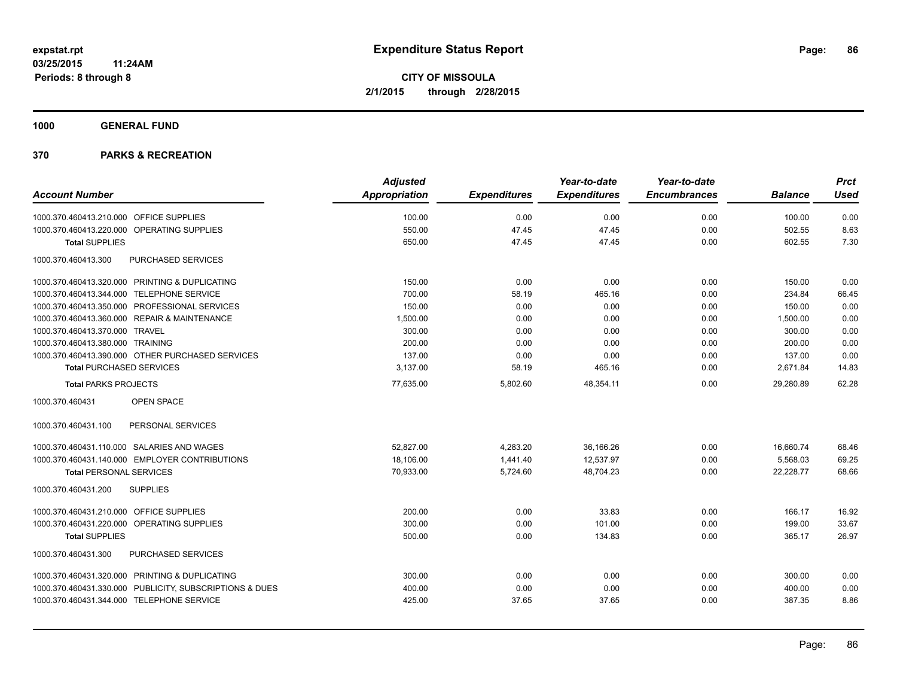**1000 GENERAL FUND**

|                                                         | <b>Adjusted</b>      |                     | Year-to-date        | Year-to-date        |                | <b>Prct</b> |
|---------------------------------------------------------|----------------------|---------------------|---------------------|---------------------|----------------|-------------|
| <b>Account Number</b>                                   | <b>Appropriation</b> | <b>Expenditures</b> | <b>Expenditures</b> | <b>Encumbrances</b> | <b>Balance</b> | <b>Used</b> |
| 1000.370.460413.210.000 OFFICE SUPPLIES                 | 100.00               | 0.00                | 0.00                | 0.00                | 100.00         | 0.00        |
| 1000.370.460413.220.000 OPERATING SUPPLIES              | 550.00               | 47.45               | 47.45               | 0.00                | 502.55         | 8.63        |
| <b>Total SUPPLIES</b>                                   | 650.00               | 47.45               | 47.45               | 0.00                | 602.55         | 7.30        |
| PURCHASED SERVICES<br>1000.370.460413.300               |                      |                     |                     |                     |                |             |
| 1000.370.460413.320.000 PRINTING & DUPLICATING          | 150.00               | 0.00                | 0.00                | 0.00                | 150.00         | 0.00        |
| 1000.370.460413.344.000 TELEPHONE SERVICE               | 700.00               | 58.19               | 465.16              | 0.00                | 234.84         | 66.45       |
| 1000.370.460413.350.000 PROFESSIONAL SERVICES           | 150.00               | 0.00                | 0.00                | 0.00                | 150.00         | 0.00        |
| 1000.370.460413.360.000 REPAIR & MAINTENANCE            | 1,500.00             | 0.00                | 0.00                | 0.00                | 1,500.00       | 0.00        |
| 1000.370.460413.370.000 TRAVEL                          | 300.00               | 0.00                | 0.00                | 0.00                | 300.00         | 0.00        |
| 1000.370.460413.380.000 TRAINING                        | 200.00               | 0.00                | 0.00                | 0.00                | 200.00         | 0.00        |
| 1000.370.460413.390.000 OTHER PURCHASED SERVICES        | 137.00               | 0.00                | 0.00                | 0.00                | 137.00         | 0.00        |
| <b>Total PURCHASED SERVICES</b>                         | 3,137.00             | 58.19               | 465.16              | 0.00                | 2,671.84       | 14.83       |
| <b>Total PARKS PROJECTS</b>                             | 77,635.00            | 5,802.60            | 48,354.11           | 0.00                | 29,280.89      | 62.28       |
| 1000.370.460431<br>OPEN SPACE                           |                      |                     |                     |                     |                |             |
| 1000.370.460431.100<br>PERSONAL SERVICES                |                      |                     |                     |                     |                |             |
| 1000.370.460431.110.000 SALARIES AND WAGES              | 52,827.00            | 4,283.20            | 36,166.26           | 0.00                | 16,660.74      | 68.46       |
| 1000.370.460431.140.000 EMPLOYER CONTRIBUTIONS          | 18,106.00            | 1,441.40            | 12,537.97           | 0.00                | 5,568.03       | 69.25       |
| <b>Total PERSONAL SERVICES</b>                          | 70,933.00            | 5,724.60            | 48,704.23           | 0.00                | 22,228.77      | 68.66       |
| <b>SUPPLIES</b><br>1000.370.460431.200                  |                      |                     |                     |                     |                |             |
| 1000.370.460431.210.000 OFFICE SUPPLIES                 | 200.00               | 0.00                | 33.83               | 0.00                | 166.17         | 16.92       |
| 1000.370.460431.220.000 OPERATING SUPPLIES              | 300.00               | 0.00                | 101.00              | 0.00                | 199.00         | 33.67       |
| <b>Total SUPPLIES</b>                                   | 500.00               | 0.00                | 134.83              | 0.00                | 365.17         | 26.97       |
| PURCHASED SERVICES<br>1000.370.460431.300               |                      |                     |                     |                     |                |             |
| 1000.370.460431.320.000 PRINTING & DUPLICATING          | 300.00               | 0.00                | 0.00                | 0.00                | 300.00         | 0.00        |
| 1000.370.460431.330.000 PUBLICITY, SUBSCRIPTIONS & DUES | 400.00               | 0.00                | 0.00                | 0.00                | 400.00         | 0.00        |
| 1000.370.460431.344.000 TELEPHONE SERVICE               | 425.00               | 37.65               | 37.65               | 0.00                | 387.35         | 8.86        |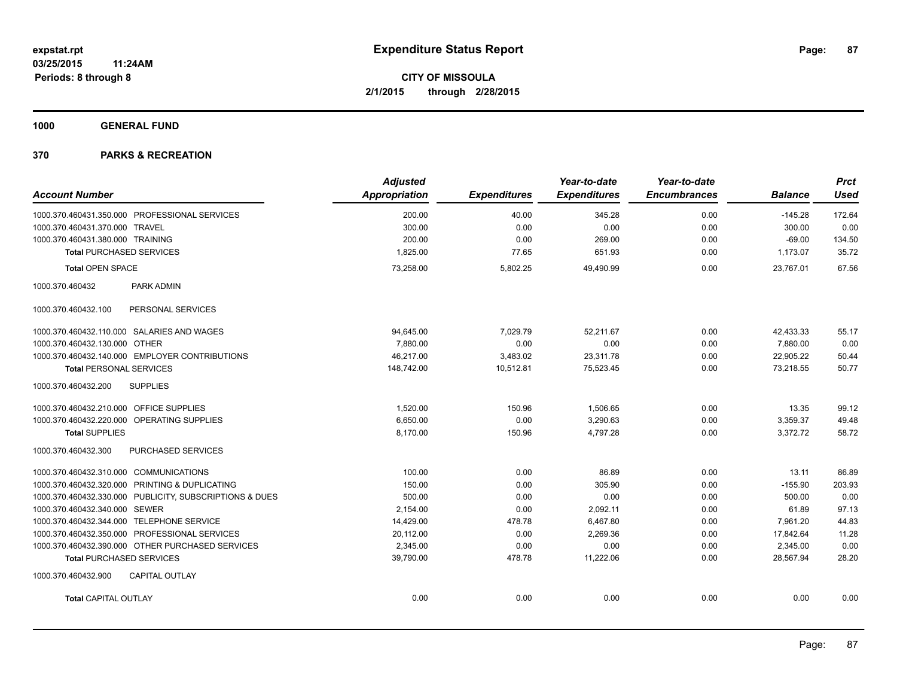**1000 GENERAL FUND**

| <b>Account Number</b>                                   | <b>Adjusted</b><br>Appropriation | <b>Expenditures</b> | Year-to-date<br><b>Expenditures</b> | Year-to-date<br><b>Encumbrances</b> | <b>Balance</b> | <b>Prct</b><br><b>Used</b> |
|---------------------------------------------------------|----------------------------------|---------------------|-------------------------------------|-------------------------------------|----------------|----------------------------|
|                                                         |                                  |                     |                                     |                                     |                |                            |
| 1000.370.460431.350.000 PROFESSIONAL SERVICES           | 200.00                           | 40.00               | 345.28                              | 0.00                                | $-145.28$      | 172.64                     |
| 1000.370.460431.370.000 TRAVEL                          | 300.00                           | 0.00                | 0.00                                | 0.00                                | 300.00         | 0.00                       |
| 1000.370.460431.380.000 TRAINING                        | 200.00                           | 0.00                | 269.00                              | 0.00                                | $-69.00$       | 134.50                     |
| <b>Total PURCHASED SERVICES</b>                         | 1,825.00                         | 77.65               | 651.93                              | 0.00                                | 1,173.07       | 35.72                      |
| <b>Total OPEN SPACE</b>                                 | 73,258.00                        | 5,802.25            | 49,490.99                           | 0.00                                | 23,767.01      | 67.56                      |
| 1000.370.460432<br>PARK ADMIN                           |                                  |                     |                                     |                                     |                |                            |
| 1000.370.460432.100<br>PERSONAL SERVICES                |                                  |                     |                                     |                                     |                |                            |
| 1000.370.460432.110.000 SALARIES AND WAGES              | 94,645.00                        | 7,029.79            | 52,211.67                           | 0.00                                | 42,433.33      | 55.17                      |
| 1000.370.460432.130.000 OTHER                           | 7,880.00                         | 0.00                | 0.00                                | 0.00                                | 7,880.00       | 0.00                       |
| 1000.370.460432.140.000 EMPLOYER CONTRIBUTIONS          | 46,217.00                        | 3,483.02            | 23,311.78                           | 0.00                                | 22,905.22      | 50.44                      |
| <b>Total PERSONAL SERVICES</b>                          | 148,742.00                       | 10,512.81           | 75,523.45                           | 0.00                                | 73,218.55      | 50.77                      |
| <b>SUPPLIES</b><br>1000.370.460432.200                  |                                  |                     |                                     |                                     |                |                            |
| 1000.370.460432.210.000 OFFICE SUPPLIES                 | 1,520.00                         | 150.96              | 1,506.65                            | 0.00                                | 13.35          | 99.12                      |
| 1000.370.460432.220.000 OPERATING SUPPLIES              | 6,650.00                         | 0.00                | 3,290.63                            | 0.00                                | 3,359.37       | 49.48                      |
| <b>Total SUPPLIES</b>                                   | 8,170.00                         | 150.96              | 4,797.28                            | 0.00                                | 3,372.72       | 58.72                      |
| <b>PURCHASED SERVICES</b><br>1000.370.460432.300        |                                  |                     |                                     |                                     |                |                            |
| 1000.370.460432.310.000 COMMUNICATIONS                  | 100.00                           | 0.00                | 86.89                               | 0.00                                | 13.11          | 86.89                      |
| 1000.370.460432.320.000 PRINTING & DUPLICATING          | 150.00                           | 0.00                | 305.90                              | 0.00                                | $-155.90$      | 203.93                     |
| 1000.370.460432.330.000 PUBLICITY, SUBSCRIPTIONS & DUES | 500.00                           | 0.00                | 0.00                                | 0.00                                | 500.00         | 0.00                       |
| 1000.370.460432.340.000 SEWER                           | 2,154.00                         | 0.00                | 2,092.11                            | 0.00                                | 61.89          | 97.13                      |
| 1000.370.460432.344.000 TELEPHONE SERVICE               | 14,429.00                        | 478.78              | 6,467.80                            | 0.00                                | 7,961.20       | 44.83                      |
| 1000.370.460432.350.000 PROFESSIONAL SERVICES           | 20,112.00                        | 0.00                | 2,269.36                            | 0.00                                | 17,842.64      | 11.28                      |
| 1000.370.460432.390.000 OTHER PURCHASED SERVICES        | 2,345.00                         | 0.00                | 0.00                                | 0.00                                | 2,345.00       | 0.00                       |
| <b>Total PURCHASED SERVICES</b>                         | 39,790.00                        | 478.78              | 11,222.06                           | 0.00                                | 28,567.94      | 28.20                      |
| 1000.370.460432.900<br><b>CAPITAL OUTLAY</b>            |                                  |                     |                                     |                                     |                |                            |
| <b>Total CAPITAL OUTLAY</b>                             | 0.00                             | 0.00                | 0.00                                | 0.00                                | 0.00           | 0.00                       |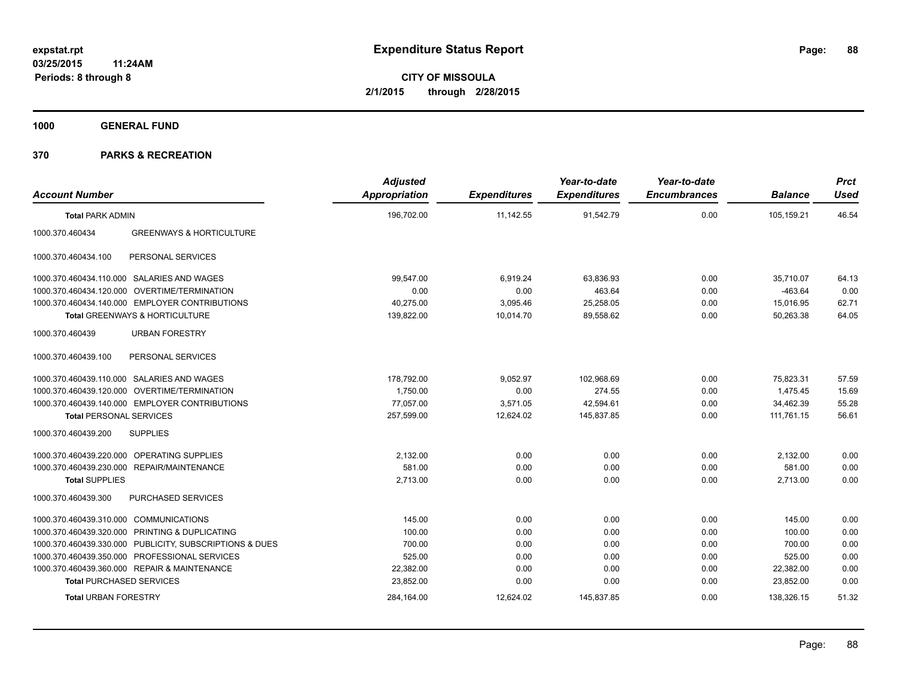**1000 GENERAL FUND**

| <b>Account Number</b>                  |                                                         | <b>Adjusted</b><br>Appropriation | <b>Expenditures</b> | Year-to-date<br><b>Expenditures</b> | Year-to-date<br><b>Encumbrances</b> | <b>Balance</b> | <b>Prct</b><br><b>Used</b> |
|----------------------------------------|---------------------------------------------------------|----------------------------------|---------------------|-------------------------------------|-------------------------------------|----------------|----------------------------|
| <b>Total PARK ADMIN</b>                |                                                         | 196,702.00                       | 11,142.55           | 91,542.79                           | 0.00                                | 105,159.21     | 46.54                      |
| 1000.370.460434                        | <b>GREENWAYS &amp; HORTICULTURE</b>                     |                                  |                     |                                     |                                     |                |                            |
| 1000.370.460434.100                    | PERSONAL SERVICES                                       |                                  |                     |                                     |                                     |                |                            |
|                                        | 1000.370.460434.110.000 SALARIES AND WAGES              | 99,547.00                        | 6,919.24            | 63.836.93                           | 0.00                                | 35.710.07      | 64.13                      |
|                                        | 1000.370.460434.120.000 OVERTIME/TERMINATION            | 0.00                             | 0.00                | 463.64                              | 0.00                                | $-463.64$      | 0.00                       |
|                                        | 1000.370.460434.140.000 EMPLOYER CONTRIBUTIONS          | 40,275.00                        | 3,095.46            | 25,258.05                           | 0.00                                | 15,016.95      | 62.71                      |
|                                        | Total GREENWAYS & HORTICULTURE                          | 139,822.00                       | 10,014.70           | 89,558.62                           | 0.00                                | 50,263.38      | 64.05                      |
| 1000.370.460439                        | <b>URBAN FORESTRY</b>                                   |                                  |                     |                                     |                                     |                |                            |
| 1000.370.460439.100                    | PERSONAL SERVICES                                       |                                  |                     |                                     |                                     |                |                            |
|                                        | 1000.370.460439.110.000 SALARIES AND WAGES              | 178.792.00                       | 9.052.97            | 102.968.69                          | 0.00                                | 75,823.31      | 57.59                      |
|                                        | 1000.370.460439.120.000 OVERTIME/TERMINATION            | 1,750.00                         | 0.00                | 274.55                              | 0.00                                | 1.475.45       | 15.69                      |
|                                        | 1000.370.460439.140.000 EMPLOYER CONTRIBUTIONS          | 77.057.00                        | 3,571.05            | 42,594.61                           | 0.00                                | 34.462.39      | 55.28                      |
| <b>Total PERSONAL SERVICES</b>         |                                                         | 257,599.00                       | 12,624.02           | 145,837.85                          | 0.00                                | 111,761.15     | 56.61                      |
| 1000.370.460439.200                    | <b>SUPPLIES</b>                                         |                                  |                     |                                     |                                     |                |                            |
|                                        | 1000.370.460439.220.000 OPERATING SUPPLIES              | 2.132.00                         | 0.00                | 0.00                                | 0.00                                | 2,132.00       | 0.00                       |
|                                        | 1000.370.460439.230.000 REPAIR/MAINTENANCE              | 581.00                           | 0.00                | 0.00                                | 0.00                                | 581.00         | 0.00                       |
| <b>Total SUPPLIES</b>                  |                                                         | 2,713.00                         | 0.00                | 0.00                                | 0.00                                | 2,713.00       | 0.00                       |
| 1000.370.460439.300                    | PURCHASED SERVICES                                      |                                  |                     |                                     |                                     |                |                            |
| 1000.370.460439.310.000 COMMUNICATIONS |                                                         | 145.00                           | 0.00                | 0.00                                | 0.00                                | 145.00         | 0.00                       |
|                                        | 1000.370.460439.320.000 PRINTING & DUPLICATING          | 100.00                           | 0.00                | 0.00                                | 0.00                                | 100.00         | 0.00                       |
|                                        | 1000.370.460439.330.000 PUBLICITY, SUBSCRIPTIONS & DUES | 700.00                           | 0.00                | 0.00                                | 0.00                                | 700.00         | 0.00                       |
|                                        | 1000.370.460439.350.000 PROFESSIONAL SERVICES           | 525.00                           | 0.00                | 0.00                                | 0.00                                | 525.00         | 0.00                       |
|                                        | 1000.370.460439.360.000 REPAIR & MAINTENANCE            | 22,382.00                        | 0.00                | 0.00                                | 0.00                                | 22,382.00      | 0.00                       |
| <b>Total PURCHASED SERVICES</b>        |                                                         | 23,852.00                        | 0.00                | 0.00                                | 0.00                                | 23,852.00      | 0.00                       |
| <b>Total URBAN FORESTRY</b>            |                                                         | 284,164.00                       | 12,624.02           | 145,837.85                          | 0.00                                | 138,326.15     | 51.32                      |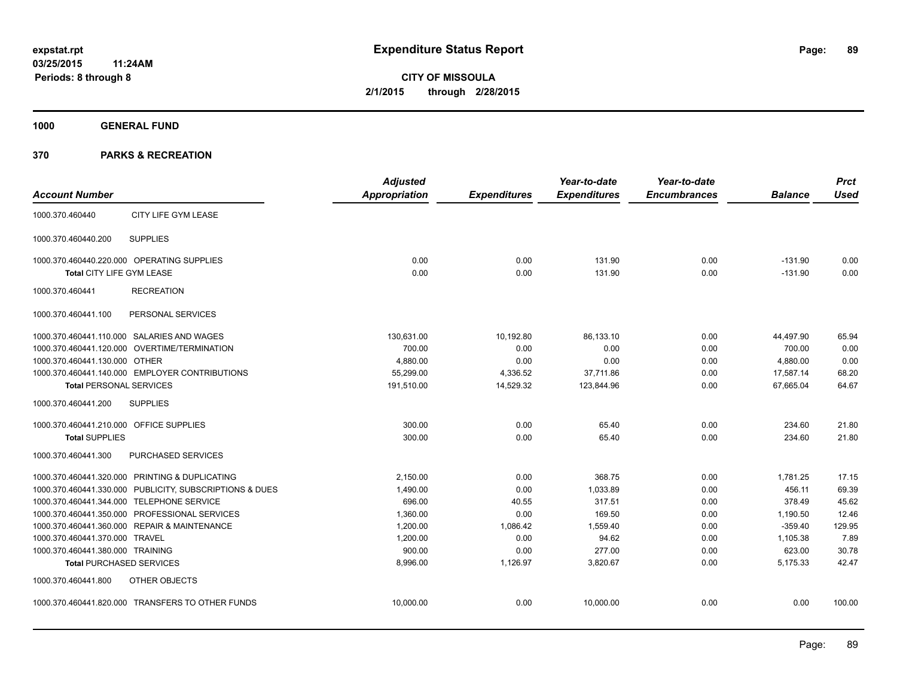**1000 GENERAL FUND**

|                                         |                                                         | <b>Adjusted</b>      |                     | Year-to-date        | Year-to-date        |                | <b>Prct</b> |
|-----------------------------------------|---------------------------------------------------------|----------------------|---------------------|---------------------|---------------------|----------------|-------------|
| <b>Account Number</b>                   |                                                         | <b>Appropriation</b> | <b>Expenditures</b> | <b>Expenditures</b> | <b>Encumbrances</b> | <b>Balance</b> | <b>Used</b> |
| 1000.370.460440                         | CITY LIFE GYM LEASE                                     |                      |                     |                     |                     |                |             |
| 1000.370.460440.200                     | <b>SUPPLIES</b>                                         |                      |                     |                     |                     |                |             |
|                                         | 1000.370.460440.220.000 OPERATING SUPPLIES              | 0.00                 | 0.00                | 131.90              | 0.00                | $-131.90$      | 0.00        |
| Total CITY LIFE GYM LEASE               |                                                         | 0.00                 | 0.00                | 131.90              | 0.00                | $-131.90$      | 0.00        |
| 1000.370.460441                         | <b>RECREATION</b>                                       |                      |                     |                     |                     |                |             |
| 1000.370.460441.100                     | PERSONAL SERVICES                                       |                      |                     |                     |                     |                |             |
|                                         | 1000.370.460441.110.000 SALARIES AND WAGES              | 130,631.00           | 10,192.80           | 86,133.10           | 0.00                | 44,497.90      | 65.94       |
|                                         | 1000.370.460441.120.000 OVERTIME/TERMINATION            | 700.00               | 0.00                | 0.00                | 0.00                | 700.00         | 0.00        |
| 1000.370.460441.130.000 OTHER           |                                                         | 4,880.00             | 0.00                | 0.00                | 0.00                | 4,880.00       | 0.00        |
|                                         | 1000.370.460441.140.000 EMPLOYER CONTRIBUTIONS          | 55,299.00            | 4,336.52            | 37,711.86           | 0.00                | 17,587.14      | 68.20       |
| <b>Total PERSONAL SERVICES</b>          |                                                         | 191,510.00           | 14,529.32           | 123,844.96          | 0.00                | 67.665.04      | 64.67       |
| 1000.370.460441.200                     | <b>SUPPLIES</b>                                         |                      |                     |                     |                     |                |             |
| 1000.370.460441.210.000 OFFICE SUPPLIES |                                                         | 300.00               | 0.00                | 65.40               | 0.00                | 234.60         | 21.80       |
| <b>Total SUPPLIES</b>                   |                                                         | 300.00               | 0.00                | 65.40               | 0.00                | 234.60         | 21.80       |
| 1000.370.460441.300                     | PURCHASED SERVICES                                      |                      |                     |                     |                     |                |             |
|                                         | 1000.370.460441.320.000 PRINTING & DUPLICATING          | 2.150.00             | 0.00                | 368.75              | 0.00                | 1,781.25       | 17.15       |
|                                         | 1000.370.460441.330.000 PUBLICITY, SUBSCRIPTIONS & DUES | 1,490.00             | 0.00                | 1,033.89            | 0.00                | 456.11         | 69.39       |
|                                         | 1000.370.460441.344.000 TELEPHONE SERVICE               | 696.00               | 40.55               | 317.51              | 0.00                | 378.49         | 45.62       |
|                                         | 1000.370.460441.350.000 PROFESSIONAL SERVICES           | 1,360.00             | 0.00                | 169.50              | 0.00                | 1,190.50       | 12.46       |
|                                         | 1000.370.460441.360.000 REPAIR & MAINTENANCE            | 1,200.00             | 1,086.42            | 1,559.40            | 0.00                | $-359.40$      | 129.95      |
| 1000.370.460441.370.000 TRAVEL          |                                                         | 1,200.00             | 0.00                | 94.62               | 0.00                | 1,105.38       | 7.89        |
| 1000.370.460441.380.000 TRAINING        |                                                         | 900.00               | 0.00                | 277.00              | 0.00                | 623.00         | 30.78       |
|                                         | <b>Total PURCHASED SERVICES</b>                         | 8,996.00             | 1,126.97            | 3,820.67            | 0.00                | 5,175.33       | 42.47       |
| 1000.370.460441.800                     | OTHER OBJECTS                                           |                      |                     |                     |                     |                |             |
|                                         | 1000.370.460441.820.000 TRANSFERS TO OTHER FUNDS        | 10,000.00            | 0.00                | 10,000.00           | 0.00                | 0.00           | 100.00      |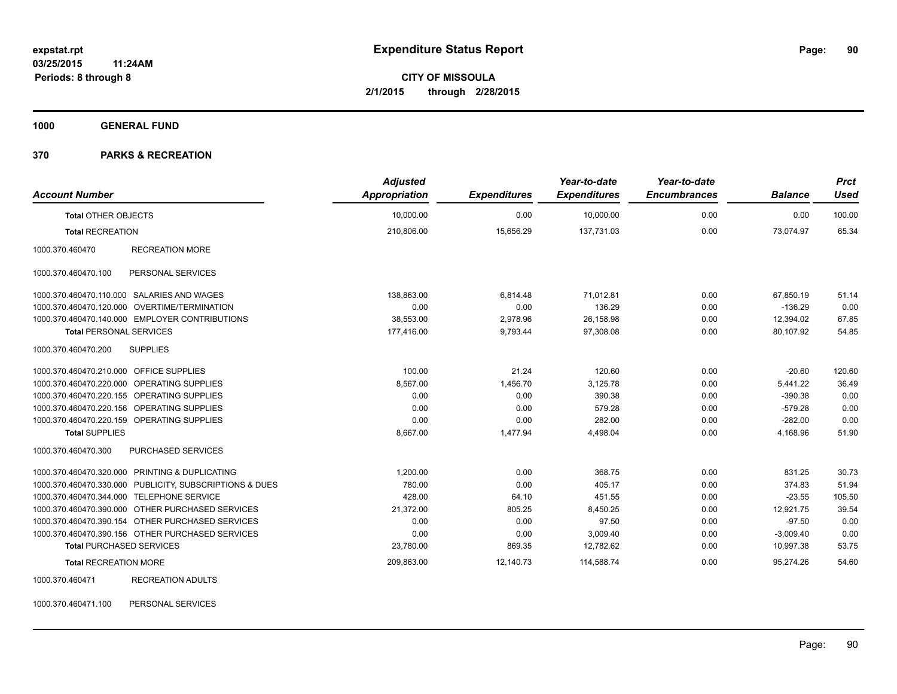**1000 GENERAL FUND**

#### **370 PARKS & RECREATION**

| <b>Account Number</b>                     |                                                         | <b>Adjusted</b><br>Appropriation | <b>Expenditures</b> | Year-to-date<br><b>Expenditures</b> | Year-to-date<br><b>Encumbrances</b> | <b>Balance</b> | <b>Prct</b><br><b>Used</b> |
|-------------------------------------------|---------------------------------------------------------|----------------------------------|---------------------|-------------------------------------|-------------------------------------|----------------|----------------------------|
| <b>Total OTHER OBJECTS</b>                |                                                         | 10,000.00                        | 0.00                | 10,000.00                           | 0.00                                | 0.00           | 100.00                     |
| <b>Total RECREATION</b>                   |                                                         | 210,806.00                       | 15,656.29           | 137.731.03                          | 0.00                                | 73,074.97      | 65.34                      |
| 1000.370.460470                           | <b>RECREATION MORE</b>                                  |                                  |                     |                                     |                                     |                |                            |
| 1000.370.460470.100                       | PERSONAL SERVICES                                       |                                  |                     |                                     |                                     |                |                            |
|                                           | 1000.370.460470.110.000 SALARIES AND WAGES              | 138,863.00                       | 6,814.48            | 71,012.81                           | 0.00                                | 67,850.19      | 51.14                      |
|                                           | 1000.370.460470.120.000 OVERTIME/TERMINATION            | 0.00                             | 0.00                | 136.29                              | 0.00                                | $-136.29$      | 0.00                       |
|                                           | 1000.370.460470.140.000 EMPLOYER CONTRIBUTIONS          | 38,553.00                        | 2,978.96            | 26,158.98                           | 0.00                                | 12,394.02      | 67.85                      |
| <b>Total PERSONAL SERVICES</b>            |                                                         | 177,416.00                       | 9,793.44            | 97,308.08                           | 0.00                                | 80,107.92      | 54.85                      |
| 1000.370.460470.200                       | <b>SUPPLIES</b>                                         |                                  |                     |                                     |                                     |                |                            |
| 1000.370.460470.210.000 OFFICE SUPPLIES   |                                                         | 100.00                           | 21.24               | 120.60                              | 0.00                                | $-20.60$       | 120.60                     |
|                                           | 1000.370.460470.220.000 OPERATING SUPPLIES              | 8,567.00                         | 1,456.70            | 3,125.78                            | 0.00                                | 5,441.22       | 36.49                      |
|                                           | 1000.370.460470.220.155 OPERATING SUPPLIES              | 0.00                             | 0.00                | 390.38                              | 0.00                                | $-390.38$      | 0.00                       |
|                                           | 1000.370.460470.220.156 OPERATING SUPPLIES              | 0.00                             | 0.00                | 579.28                              | 0.00                                | $-579.28$      | 0.00                       |
|                                           | 1000.370.460470.220.159 OPERATING SUPPLIES              | 0.00                             | 0.00                | 282.00                              | 0.00                                | $-282.00$      | 0.00                       |
| <b>Total SUPPLIES</b>                     |                                                         | 8,667.00                         | 1,477.94            | 4,498.04                            | 0.00                                | 4,168.96       | 51.90                      |
| 1000.370.460470.300                       | <b>PURCHASED SERVICES</b>                               |                                  |                     |                                     |                                     |                |                            |
|                                           | 1000.370.460470.320.000 PRINTING & DUPLICATING          | 1.200.00                         | 0.00                | 368.75                              | 0.00                                | 831.25         | 30.73                      |
|                                           | 1000.370.460470.330.000 PUBLICITY, SUBSCRIPTIONS & DUES | 780.00                           | 0.00                | 405.17                              | 0.00                                | 374.83         | 51.94                      |
| 1000.370.460470.344.000 TELEPHONE SERVICE |                                                         | 428.00                           | 64.10               | 451.55                              | 0.00                                | $-23.55$       | 105.50                     |
|                                           | 1000.370.460470.390.000 OTHER PURCHASED SERVICES        | 21,372.00                        | 805.25              | 8,450.25                            | 0.00                                | 12,921.75      | 39.54                      |
|                                           | 1000.370.460470.390.154 OTHER PURCHASED SERVICES        | 0.00                             | 0.00                | 97.50                               | 0.00                                | $-97.50$       | 0.00                       |
|                                           | 1000.370.460470.390.156 OTHER PURCHASED SERVICES        | 0.00                             | 0.00                | 3,009.40                            | 0.00                                | $-3,009.40$    | 0.00                       |
| <b>Total PURCHASED SERVICES</b>           |                                                         | 23,780.00                        | 869.35              | 12,782.62                           | 0.00                                | 10,997.38      | 53.75                      |
| <b>Total RECREATION MORE</b>              |                                                         | 209,863.00                       | 12,140.73           | 114,588.74                          | 0.00                                | 95,274.26      | 54.60                      |
| 1000.370.460471                           | <b>RECREATION ADULTS</b>                                |                                  |                     |                                     |                                     |                |                            |

1000.370.460471.100 PERSONAL SERVICES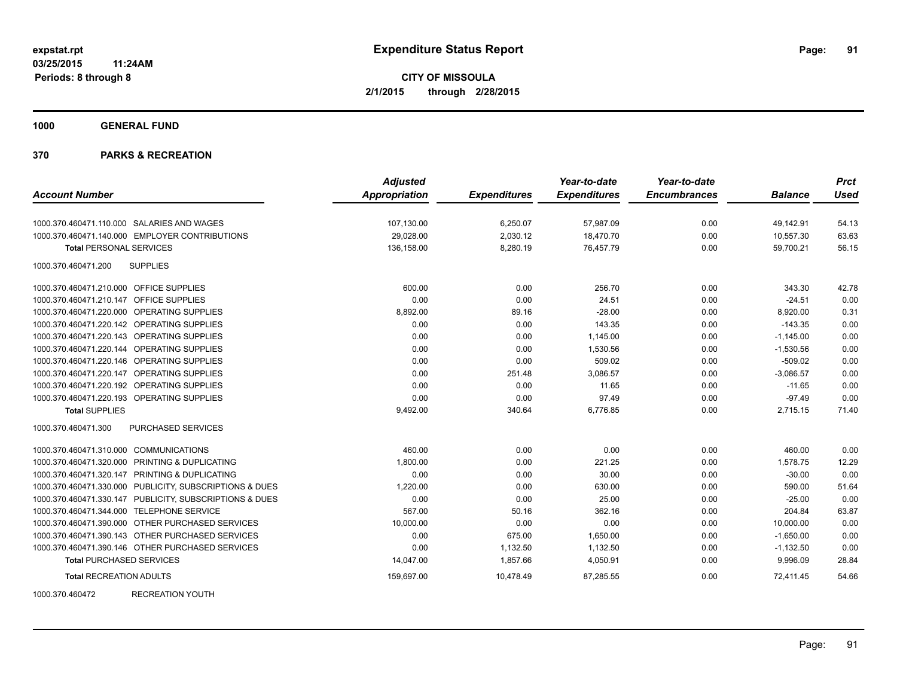**1000 GENERAL FUND**

### **370 PARKS & RECREATION**

|                                                         | <b>Adjusted</b> |                     | Year-to-date        | Year-to-date        |                | <b>Prct</b> |
|---------------------------------------------------------|-----------------|---------------------|---------------------|---------------------|----------------|-------------|
| <b>Account Number</b>                                   | Appropriation   | <b>Expenditures</b> | <b>Expenditures</b> | <b>Encumbrances</b> | <b>Balance</b> | <b>Used</b> |
| 1000.370.460471.110.000 SALARIES AND WAGES              | 107,130.00      | 6,250.07            | 57,987.09           | 0.00                | 49,142.91      | 54.13       |
| 1000.370.460471.140.000 EMPLOYER CONTRIBUTIONS          | 29,028.00       | 2,030.12            | 18,470.70           | 0.00                | 10,557.30      | 63.63       |
| <b>Total PERSONAL SERVICES</b>                          | 136,158.00      | 8,280.19            | 76,457.79           | 0.00                | 59,700.21      | 56.15       |
| <b>SUPPLIES</b><br>1000.370.460471.200                  |                 |                     |                     |                     |                |             |
| 1000.370.460471.210.000 OFFICE SUPPLIES                 | 600.00          | 0.00                | 256.70              | 0.00                | 343.30         | 42.78       |
| 1000.370.460471.210.147 OFFICE SUPPLIES                 | 0.00            | 0.00                | 24.51               | 0.00                | $-24.51$       | 0.00        |
| 1000.370.460471.220.000 OPERATING SUPPLIES              | 8,892.00        | 89.16               | $-28.00$            | 0.00                | 8,920.00       | 0.31        |
| 1000.370.460471.220.142 OPERATING SUPPLIES              | 0.00            | 0.00                | 143.35              | 0.00                | $-143.35$      | 0.00        |
| 1000.370.460471.220.143 OPERATING SUPPLIES              | 0.00            | 0.00                | 1,145.00            | 0.00                | $-1,145.00$    | 0.00        |
| 1000.370.460471.220.144 OPERATING SUPPLIES              | 0.00            | 0.00                | 1,530.56            | 0.00                | $-1,530.56$    | 0.00        |
| 1000.370.460471.220.146 OPERATING SUPPLIES              | 0.00            | 0.00                | 509.02              | 0.00                | $-509.02$      | 0.00        |
| 1000.370.460471.220.147 OPERATING SUPPLIES              | 0.00            | 251.48              | 3.086.57            | 0.00                | $-3.086.57$    | 0.00        |
| 1000.370.460471.220.192 OPERATING SUPPLIES              | 0.00            | 0.00                | 11.65               | 0.00                | $-11.65$       | 0.00        |
| 1000.370.460471.220.193 OPERATING SUPPLIES              | 0.00            | 0.00                | 97.49               | 0.00                | $-97.49$       | 0.00        |
| <b>Total SUPPLIES</b>                                   | 9,492.00        | 340.64              | 6,776.85            | 0.00                | 2,715.15       | 71.40       |
| 1000.370.460471.300<br><b>PURCHASED SERVICES</b>        |                 |                     |                     |                     |                |             |
| 1000.370.460471.310.000 COMMUNICATIONS                  | 460.00          | 0.00                | 0.00                | 0.00                | 460.00         | 0.00        |
| 1000.370.460471.320.000 PRINTING & DUPLICATING          | 1,800.00        | 0.00                | 221.25              | 0.00                | 1,578.75       | 12.29       |
| 1000.370.460471.320.147 PRINTING & DUPLICATING          | 0.00            | 0.00                | 30.00               | 0.00                | $-30.00$       | 0.00        |
| 1000.370.460471.330.000 PUBLICITY, SUBSCRIPTIONS & DUES | 1,220.00        | 0.00                | 630.00              | 0.00                | 590.00         | 51.64       |
| 1000.370.460471.330.147 PUBLICITY, SUBSCRIPTIONS & DUES | 0.00            | 0.00                | 25.00               | 0.00                | $-25.00$       | 0.00        |
| 1000.370.460471.344.000 TELEPHONE SERVICE               | 567.00          | 50.16               | 362.16              | 0.00                | 204.84         | 63.87       |
| 1000.370.460471.390.000 OTHER PURCHASED SERVICES        | 10,000.00       | 0.00                | 0.00                | 0.00                | 10,000.00      | 0.00        |
| 1000.370.460471.390.143 OTHER PURCHASED SERVICES        | 0.00            | 675.00              | 1,650.00            | 0.00                | $-1,650.00$    | 0.00        |
| 1000.370.460471.390.146 OTHER PURCHASED SERVICES        | 0.00            | 1,132.50            | 1,132.50            | 0.00                | $-1,132.50$    | 0.00        |
| <b>Total PURCHASED SERVICES</b>                         | 14,047.00       | 1,857.66            | 4,050.91            | 0.00                | 9,996.09       | 28.84       |
| <b>Total RECREATION ADULTS</b>                          | 159,697.00      | 10,478.49           | 87,285.55           | 0.00                | 72.411.45      | 54.66       |

1000.370.460472 RECREATION YOUTH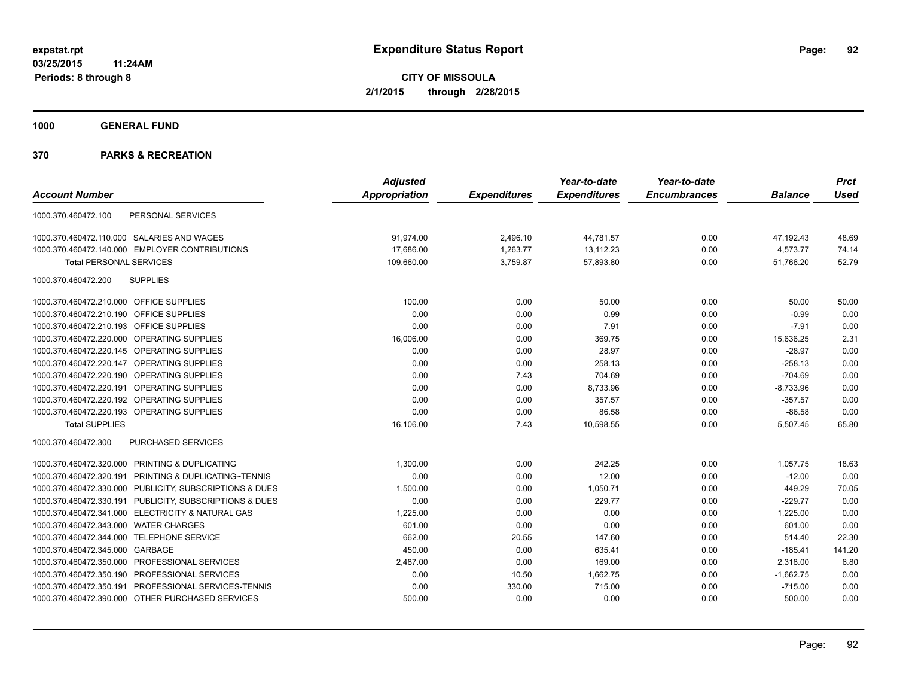**1000 GENERAL FUND**

|                                                         | <b>Adjusted</b> |                     | Year-to-date        | Year-to-date        |                | <b>Prct</b> |
|---------------------------------------------------------|-----------------|---------------------|---------------------|---------------------|----------------|-------------|
| <b>Account Number</b>                                   | Appropriation   | <b>Expenditures</b> | <b>Expenditures</b> | <b>Encumbrances</b> | <b>Balance</b> | <b>Used</b> |
| PERSONAL SERVICES<br>1000.370.460472.100                |                 |                     |                     |                     |                |             |
| 1000.370.460472.110.000 SALARIES AND WAGES              | 91,974.00       | 2,496.10            | 44,781.57           | 0.00                | 47,192.43      | 48.69       |
| 1000.370.460472.140.000 EMPLOYER CONTRIBUTIONS          | 17,686.00       | 1,263.77            | 13,112.23           | 0.00                | 4,573.77       | 74.14       |
| <b>Total PERSONAL SERVICES</b>                          | 109,660.00      | 3,759.87            | 57,893.80           | 0.00                | 51,766.20      | 52.79       |
| <b>SUPPLIES</b><br>1000.370.460472.200                  |                 |                     |                     |                     |                |             |
| 1000.370.460472.210.000 OFFICE SUPPLIES                 | 100.00          | 0.00                | 50.00               | 0.00                | 50.00          | 50.00       |
| 1000.370.460472.210.190 OFFICE SUPPLIES                 | 0.00            | 0.00                | 0.99                | 0.00                | $-0.99$        | 0.00        |
| 1000.370.460472.210.193 OFFICE SUPPLIES                 | 0.00            | 0.00                | 7.91                | 0.00                | $-7.91$        | 0.00        |
| 1000.370.460472.220.000 OPERATING SUPPLIES              | 16,006.00       | 0.00                | 369.75              | 0.00                | 15,636.25      | 2.31        |
| 1000.370.460472.220.145 OPERATING SUPPLIES              | 0.00            | 0.00                | 28.97               | 0.00                | $-28.97$       | 0.00        |
| 1000.370.460472.220.147 OPERATING SUPPLIES              | 0.00            | 0.00                | 258.13              | 0.00                | $-258.13$      | 0.00        |
| 1000.370.460472.220.190 OPERATING SUPPLIES              | 0.00            | 7.43                | 704.69              | 0.00                | $-704.69$      | 0.00        |
| 1000.370.460472.220.191 OPERATING SUPPLIES              | 0.00            | 0.00                | 8,733.96            | 0.00                | $-8,733.96$    | 0.00        |
| 1000.370.460472.220.192 OPERATING SUPPLIES              | 0.00            | 0.00                | 357.57              | 0.00                | $-357.57$      | 0.00        |
| 1000.370.460472.220.193 OPERATING SUPPLIES              | 0.00            | 0.00                | 86.58               | 0.00                | $-86.58$       | 0.00        |
| <b>Total SUPPLIES</b>                                   | 16,106.00       | 7.43                | 10,598.55           | 0.00                | 5,507.45       | 65.80       |
| 1000.370.460472.300<br><b>PURCHASED SERVICES</b>        |                 |                     |                     |                     |                |             |
| 1000.370.460472.320.000 PRINTING & DUPLICATING          | 1,300.00        | 0.00                | 242.25              | 0.00                | 1,057.75       | 18.63       |
| 1000.370.460472.320.191 PRINTING & DUPLICATING~TENNIS   | 0.00            | 0.00                | 12.00               | 0.00                | $-12.00$       | 0.00        |
| 1000.370.460472.330.000 PUBLICITY, SUBSCRIPTIONS & DUES | 1,500.00        | 0.00                | 1,050.71            | 0.00                | 449.29         | 70.05       |
| 1000.370.460472.330.191 PUBLICITY, SUBSCRIPTIONS & DUES | 0.00            | 0.00                | 229.77              | 0.00                | $-229.77$      | 0.00        |
| 1000.370.460472.341.000 ELECTRICITY & NATURAL GAS       | 1,225.00        | 0.00                | 0.00                | 0.00                | 1,225.00       | 0.00        |
| 1000.370.460472.343.000 WATER CHARGES                   | 601.00          | 0.00                | 0.00                | 0.00                | 601.00         | 0.00        |
| 1000.370.460472.344.000 TELEPHONE SERVICE               | 662.00          | 20.55               | 147.60              | 0.00                | 514.40         | 22.30       |
| 1000.370.460472.345.000 GARBAGE                         | 450.00          | 0.00                | 635.41              | 0.00                | $-185.41$      | 141.20      |
| 1000.370.460472.350.000 PROFESSIONAL SERVICES           | 2,487.00        | 0.00                | 169.00              | 0.00                | 2,318.00       | 6.80        |
| 1000.370.460472.350.190 PROFESSIONAL SERVICES           | 0.00            | 10.50               | 1,662.75            | 0.00                | $-1,662.75$    | 0.00        |
| 1000.370.460472.350.191 PROFESSIONAL SERVICES-TENNIS    | 0.00            | 330.00              | 715.00              | 0.00                | $-715.00$      | 0.00        |
| 1000.370.460472.390.000 OTHER PURCHASED SERVICES        | 500.00          | 0.00                | 0.00                | 0.00                | 500.00         | 0.00        |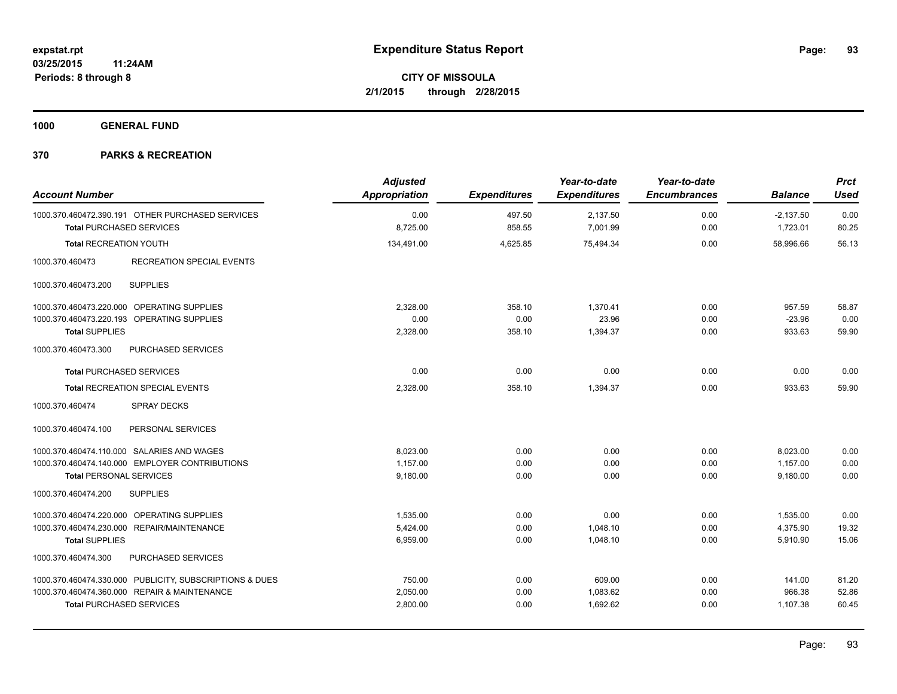**1000 GENERAL FUND**

| <b>Account Number</b>                                                               | <b>Adjusted</b><br>Appropriation | <b>Expenditures</b> | Year-to-date<br><b>Expenditures</b> | Year-to-date<br><b>Encumbrances</b> | <b>Balance</b>          | <b>Prct</b><br><b>Used</b> |
|-------------------------------------------------------------------------------------|----------------------------------|---------------------|-------------------------------------|-------------------------------------|-------------------------|----------------------------|
| 1000.370.460472.390.191 OTHER PURCHASED SERVICES<br><b>Total PURCHASED SERVICES</b> | 0.00<br>8,725.00                 | 497.50<br>858.55    | 2,137.50<br>7,001.99                | 0.00<br>0.00                        | $-2,137.50$<br>1,723.01 | 0.00<br>80.25              |
| <b>Total RECREATION YOUTH</b>                                                       | 134,491.00                       | 4,625.85            | 75,494.34                           | 0.00                                | 58.996.66               | 56.13                      |
| 1000.370.460473<br><b>RECREATION SPECIAL EVENTS</b>                                 |                                  |                     |                                     |                                     |                         |                            |
| <b>SUPPLIES</b><br>1000.370.460473.200                                              |                                  |                     |                                     |                                     |                         |                            |
| 1000.370.460473.220.000 OPERATING SUPPLIES                                          | 2,328.00                         | 358.10              | 1,370.41                            | 0.00                                | 957.59                  | 58.87                      |
| 1000.370.460473.220.193 OPERATING SUPPLIES                                          | 0.00                             | 0.00                | 23.96                               | 0.00                                | $-23.96$                | 0.00                       |
| <b>Total SUPPLIES</b>                                                               | 2,328.00                         | 358.10              | 1,394.37                            | 0.00                                | 933.63                  | 59.90                      |
| 1000.370.460473.300<br><b>PURCHASED SERVICES</b>                                    |                                  |                     |                                     |                                     |                         |                            |
| <b>Total PURCHASED SERVICES</b>                                                     | 0.00                             | 0.00                | 0.00                                | 0.00                                | 0.00                    | 0.00                       |
| <b>Total RECREATION SPECIAL EVENTS</b>                                              | 2,328.00                         | 358.10              | 1,394.37                            | 0.00                                | 933.63                  | 59.90                      |
| <b>SPRAY DECKS</b><br>1000.370.460474                                               |                                  |                     |                                     |                                     |                         |                            |
| 1000.370.460474.100<br>PERSONAL SERVICES                                            |                                  |                     |                                     |                                     |                         |                            |
| 1000.370.460474.110.000 SALARIES AND WAGES                                          | 8,023.00                         | 0.00                | 0.00                                | 0.00                                | 8,023.00                | 0.00                       |
| 1000.370.460474.140.000 EMPLOYER CONTRIBUTIONS                                      | 1,157.00                         | 0.00                | 0.00                                | 0.00                                | 1,157.00                | 0.00                       |
| <b>Total PERSONAL SERVICES</b>                                                      | 9.180.00                         | 0.00                | 0.00                                | 0.00                                | 9.180.00                | 0.00                       |
| 1000.370.460474.200<br><b>SUPPLIES</b>                                              |                                  |                     |                                     |                                     |                         |                            |
| 1000.370.460474.220.000 OPERATING SUPPLIES                                          | 1,535.00                         | 0.00                | 0.00                                | 0.00                                | 1,535.00                | 0.00                       |
| 1000.370.460474.230.000 REPAIR/MAINTENANCE                                          | 5,424.00                         | 0.00                | 1,048.10                            | 0.00                                | 4,375.90                | 19.32                      |
| <b>Total SUPPLIES</b>                                                               | 6,959.00                         | 0.00                | 1,048.10                            | 0.00                                | 5,910.90                | 15.06                      |
| 1000.370.460474.300<br>PURCHASED SERVICES                                           |                                  |                     |                                     |                                     |                         |                            |
| 1000.370.460474.330.000 PUBLICITY, SUBSCRIPTIONS & DUES                             | 750.00                           | 0.00                | 609.00                              | 0.00                                | 141.00                  | 81.20                      |
| 1000.370.460474.360.000 REPAIR & MAINTENANCE                                        | 2,050.00                         | 0.00                | 1,083.62                            | 0.00                                | 966.38                  | 52.86                      |
| <b>Total PURCHASED SERVICES</b>                                                     | 2,800.00                         | 0.00                | 1,692.62                            | 0.00                                | 1,107.38                | 60.45                      |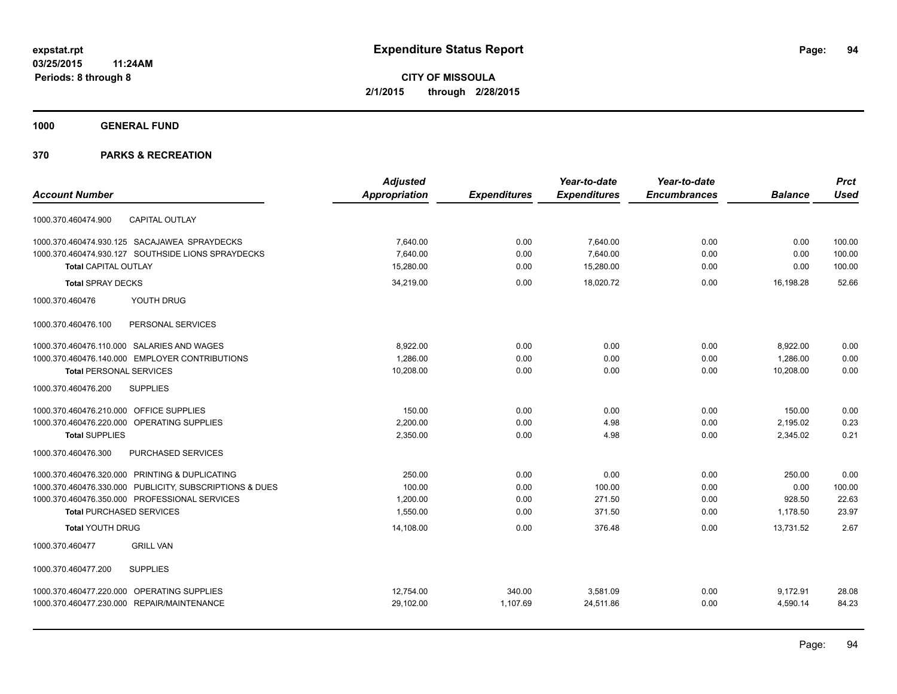**1000 GENERAL FUND**

|                                                         | <b>Adjusted</b>      |                     | Year-to-date        | Year-to-date        |                | <b>Prct</b> |
|---------------------------------------------------------|----------------------|---------------------|---------------------|---------------------|----------------|-------------|
| <b>Account Number</b>                                   | <b>Appropriation</b> | <b>Expenditures</b> | <b>Expenditures</b> | <b>Encumbrances</b> | <b>Balance</b> | <b>Used</b> |
| <b>CAPITAL OUTLAY</b><br>1000.370.460474.900            |                      |                     |                     |                     |                |             |
| 1000.370.460474.930.125 SACAJAWEA SPRAYDECKS            | 7,640.00             | 0.00                | 7,640.00            | 0.00                | 0.00           | 100.00      |
| 1000.370.460474.930.127 SOUTHSIDE LIONS SPRAYDECKS      | 7,640.00             | 0.00                | 7,640.00            | 0.00                | 0.00           | 100.00      |
| <b>Total CAPITAL OUTLAY</b>                             | 15.280.00            | 0.00                | 15,280.00           | 0.00                | 0.00           | 100.00      |
| <b>Total SPRAY DECKS</b>                                | 34,219.00            | 0.00                | 18,020.72           | 0.00                | 16.198.28      | 52.66       |
| 1000.370.460476<br>YOUTH DRUG                           |                      |                     |                     |                     |                |             |
| 1000.370.460476.100<br>PERSONAL SERVICES                |                      |                     |                     |                     |                |             |
| 1000.370.460476.110.000 SALARIES AND WAGES              | 8,922.00             | 0.00                | 0.00                | 0.00                | 8,922.00       | 0.00        |
| 1000.370.460476.140.000 EMPLOYER CONTRIBUTIONS          | 1,286.00             | 0.00                | 0.00                | 0.00                | 1,286.00       | 0.00        |
| <b>Total PERSONAL SERVICES</b>                          | 10,208.00            | 0.00                | 0.00                | 0.00                | 10,208.00      | 0.00        |
| 1000.370.460476.200<br><b>SUPPLIES</b>                  |                      |                     |                     |                     |                |             |
| OFFICE SUPPLIES<br>1000.370.460476.210.000              | 150.00               | 0.00                | 0.00                | 0.00                | 150.00         | 0.00        |
| 1000.370.460476.220.000<br>OPERATING SUPPLIES           | 2,200.00             | 0.00                | 4.98                | 0.00                | 2,195.02       | 0.23        |
| <b>Total SUPPLIES</b>                                   | 2,350.00             | 0.00                | 4.98                | 0.00                | 2,345.02       | 0.21        |
| PURCHASED SERVICES<br>1000.370.460476.300               |                      |                     |                     |                     |                |             |
| 1000.370.460476.320.000 PRINTING & DUPLICATING          | 250.00               | 0.00                | 0.00                | 0.00                | 250.00         | 0.00        |
| 1000.370.460476.330.000 PUBLICITY, SUBSCRIPTIONS & DUES | 100.00               | 0.00                | 100.00              | 0.00                | 0.00           | 100.00      |
| 1000.370.460476.350.000 PROFESSIONAL SERVICES           | 1,200.00             | 0.00                | 271.50              | 0.00                | 928.50         | 22.63       |
| <b>Total PURCHASED SERVICES</b>                         | 1,550.00             | 0.00                | 371.50              | 0.00                | 1,178.50       | 23.97       |
| <b>Total YOUTH DRUG</b>                                 | 14,108.00            | 0.00                | 376.48              | 0.00                | 13,731.52      | 2.67        |
| <b>GRILL VAN</b><br>1000.370.460477                     |                      |                     |                     |                     |                |             |
| <b>SUPPLIES</b><br>1000.370.460477.200                  |                      |                     |                     |                     |                |             |
| 1000.370.460477.220.000 OPERATING SUPPLIES              | 12,754.00            | 340.00              | 3,581.09            | 0.00                | 9,172.91       | 28.08       |
| 1000.370.460477.230.000 REPAIR/MAINTENANCE              | 29,102.00            | 1,107.69            | 24,511.86           | 0.00                | 4,590.14       | 84.23       |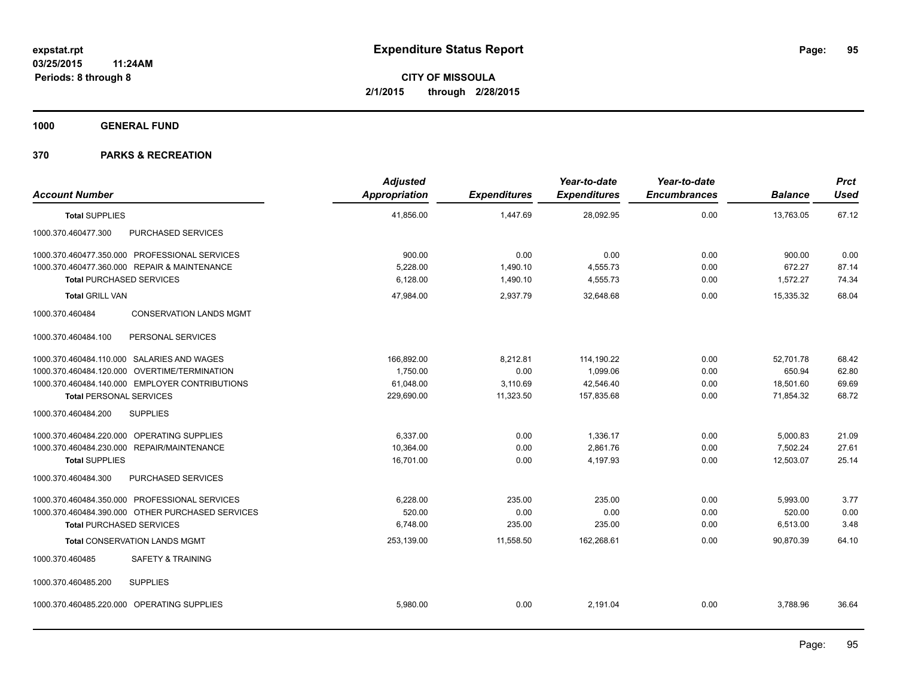**1000 GENERAL FUND**

| <b>Account Number</b>                             | <b>Adjusted</b><br>Appropriation | <b>Expenditures</b> | Year-to-date<br><b>Expenditures</b> | Year-to-date<br><b>Encumbrances</b> | <b>Balance</b> | Prct<br><b>Used</b> |
|---------------------------------------------------|----------------------------------|---------------------|-------------------------------------|-------------------------------------|----------------|---------------------|
| <b>Total SUPPLIES</b>                             | 41,856.00                        | 1,447.69            | 28,092.95                           | 0.00                                | 13,763.05      | 67.12               |
| PURCHASED SERVICES<br>1000.370.460477.300         |                                  |                     |                                     |                                     |                |                     |
| 1000.370.460477.350.000 PROFESSIONAL SERVICES     | 900.00                           | 0.00                | 0.00                                | 0.00                                | 900.00         | 0.00                |
| 1000.370.460477.360.000 REPAIR & MAINTENANCE      | 5.228.00                         | 1,490.10            | 4,555.73                            | 0.00                                | 672.27         | 87.14               |
| <b>Total PURCHASED SERVICES</b>                   | 6,128.00                         | 1,490.10            | 4,555.73                            | 0.00                                | 1,572.27       | 74.34               |
| <b>Total GRILL VAN</b>                            | 47,984.00                        | 2,937.79            | 32.648.68                           | 0.00                                | 15.335.32      | 68.04               |
| 1000.370.460484<br><b>CONSERVATION LANDS MGMT</b> |                                  |                     |                                     |                                     |                |                     |
| 1000.370.460484.100<br>PERSONAL SERVICES          |                                  |                     |                                     |                                     |                |                     |
| 1000.370.460484.110.000 SALARIES AND WAGES        | 166,892.00                       | 8,212.81            | 114,190.22                          | 0.00                                | 52,701.78      | 68.42               |
| 1000.370.460484.120.000 OVERTIME/TERMINATION      | 1,750.00                         | 0.00                | 1,099.06                            | 0.00                                | 650.94         | 62.80               |
| 1000.370.460484.140.000 EMPLOYER CONTRIBUTIONS    | 61,048.00                        | 3,110.69            | 42,546.40                           | 0.00                                | 18,501.60      | 69.69               |
| <b>Total PERSONAL SERVICES</b>                    | 229,690.00                       | 11,323.50           | 157,835.68                          | 0.00                                | 71,854.32      | 68.72               |
| 1000.370.460484.200<br><b>SUPPLIES</b>            |                                  |                     |                                     |                                     |                |                     |
| 1000.370.460484.220.000 OPERATING SUPPLIES        | 6.337.00                         | 0.00                | 1.336.17                            | 0.00                                | 5,000.83       | 21.09               |
| 1000.370.460484.230.000 REPAIR/MAINTENANCE        | 10,364.00                        | 0.00                | 2,861.76                            | 0.00                                | 7,502.24       | 27.61               |
| <b>Total SUPPLIES</b>                             | 16,701.00                        | 0.00                | 4,197.93                            | 0.00                                | 12,503.07      | 25.14               |
| 1000.370.460484.300<br>PURCHASED SERVICES         |                                  |                     |                                     |                                     |                |                     |
| 1000.370.460484.350.000 PROFESSIONAL SERVICES     | 6,228.00                         | 235.00              | 235.00                              | 0.00                                | 5,993.00       | 3.77                |
| 1000.370.460484.390.000 OTHER PURCHASED SERVICES  | 520.00                           | 0.00                | 0.00                                | 0.00                                | 520.00         | 0.00                |
| <b>Total PURCHASED SERVICES</b>                   | 6,748.00                         | 235.00              | 235.00                              | 0.00                                | 6,513.00       | 3.48                |
| <b>Total CONSERVATION LANDS MGMT</b>              | 253,139.00                       | 11,558.50           | 162,268.61                          | 0.00                                | 90,870.39      | 64.10               |
| 1000.370.460485<br><b>SAFETY &amp; TRAINING</b>   |                                  |                     |                                     |                                     |                |                     |
| 1000.370.460485.200<br><b>SUPPLIES</b>            |                                  |                     |                                     |                                     |                |                     |
| 1000.370.460485.220.000 OPERATING SUPPLIES        | 5,980.00                         | 0.00                | 2,191.04                            | 0.00                                | 3,788.96       | 36.64               |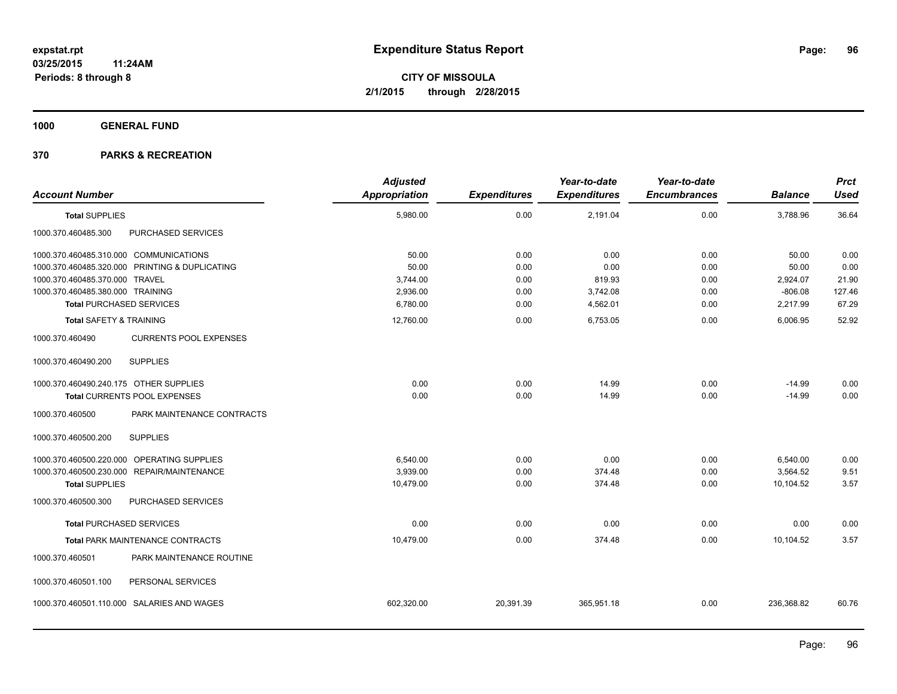**1000 GENERAL FUND**

| <b>Account Number</b>                  |                                                | <b>Adjusted</b><br><b>Appropriation</b> | <b>Expenditures</b> | Year-to-date<br><b>Expenditures</b> | Year-to-date<br><b>Encumbrances</b> | <b>Balance</b> | <b>Prct</b><br><b>Used</b> |
|----------------------------------------|------------------------------------------------|-----------------------------------------|---------------------|-------------------------------------|-------------------------------------|----------------|----------------------------|
| <b>Total SUPPLIES</b>                  |                                                | 5,980.00                                | 0.00                | 2,191.04                            | 0.00                                | 3,788.96       | 36.64                      |
| 1000.370.460485.300                    | PURCHASED SERVICES                             |                                         |                     |                                     |                                     |                |                            |
| 1000.370.460485.310.000 COMMUNICATIONS |                                                | 50.00                                   | 0.00                | 0.00                                | 0.00                                | 50.00          | 0.00                       |
|                                        | 1000.370.460485.320.000 PRINTING & DUPLICATING | 50.00                                   | 0.00                | 0.00                                | 0.00                                | 50.00          | 0.00                       |
| 1000.370.460485.370.000 TRAVEL         |                                                | 3,744.00                                | 0.00                | 819.93                              | 0.00                                | 2,924.07       | 21.90                      |
| 1000.370.460485.380.000 TRAINING       |                                                | 2,936.00                                | 0.00                | 3,742.08                            | 0.00                                | $-806.08$      | 127.46                     |
| <b>Total PURCHASED SERVICES</b>        |                                                | 6,780.00                                | 0.00                | 4,562.01                            | 0.00                                | 2,217.99       | 67.29                      |
| <b>Total SAFETY &amp; TRAINING</b>     |                                                | 12,760.00                               | 0.00                | 6,753.05                            | 0.00                                | 6,006.95       | 52.92                      |
| 1000.370.460490                        | <b>CURRENTS POOL EXPENSES</b>                  |                                         |                     |                                     |                                     |                |                            |
| 1000.370.460490.200                    | <b>SUPPLIES</b>                                |                                         |                     |                                     |                                     |                |                            |
| 1000.370.460490.240.175 OTHER SUPPLIES |                                                | 0.00                                    | 0.00                | 14.99                               | 0.00                                | $-14.99$       | 0.00                       |
|                                        | Total CURRENTS POOL EXPENSES                   | 0.00                                    | 0.00                | 14.99                               | 0.00                                | $-14.99$       | 0.00                       |
| 1000.370.460500                        | PARK MAINTENANCE CONTRACTS                     |                                         |                     |                                     |                                     |                |                            |
| 1000.370.460500.200                    | <b>SUPPLIES</b>                                |                                         |                     |                                     |                                     |                |                            |
|                                        | 1000.370.460500.220.000 OPERATING SUPPLIES     | 6,540.00                                | 0.00                | 0.00                                | 0.00                                | 6,540.00       | 0.00                       |
|                                        | 1000.370.460500.230.000 REPAIR/MAINTENANCE     | 3,939.00                                | 0.00                | 374.48                              | 0.00                                | 3,564.52       | 9.51                       |
| <b>Total SUPPLIES</b>                  |                                                | 10,479.00                               | 0.00                | 374.48                              | 0.00                                | 10,104.52      | 3.57                       |
| 1000.370.460500.300                    | PURCHASED SERVICES                             |                                         |                     |                                     |                                     |                |                            |
| <b>Total PURCHASED SERVICES</b>        |                                                | 0.00                                    | 0.00                | 0.00                                | 0.00                                | 0.00           | 0.00                       |
|                                        | <b>Total PARK MAINTENANCE CONTRACTS</b>        | 10,479.00                               | 0.00                | 374.48                              | 0.00                                | 10,104.52      | 3.57                       |
| 1000.370.460501                        | PARK MAINTENANCE ROUTINE                       |                                         |                     |                                     |                                     |                |                            |
| 1000.370.460501.100                    | PERSONAL SERVICES                              |                                         |                     |                                     |                                     |                |                            |
|                                        | 1000.370.460501.110.000 SALARIES AND WAGES     | 602,320.00                              | 20,391.39           | 365,951.18                          | 0.00                                | 236,368.82     | 60.76                      |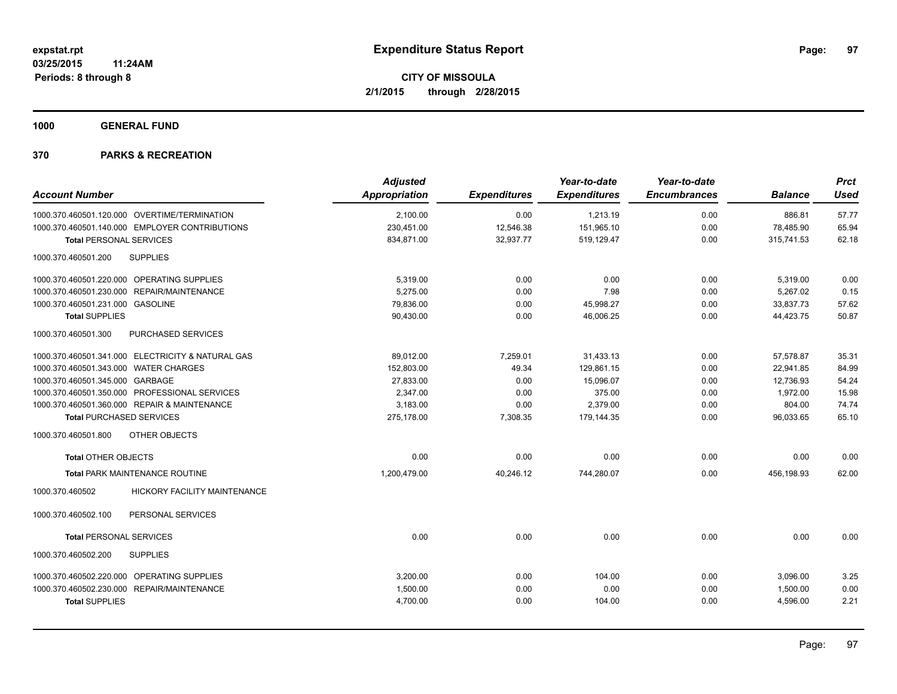**1000 GENERAL FUND**

| <b>Account Number</b>                             | <b>Adjusted</b><br>Appropriation | <b>Expenditures</b> | Year-to-date<br><b>Expenditures</b> | Year-to-date<br><b>Encumbrances</b> | <b>Balance</b> | <b>Prct</b><br><b>Used</b> |
|---------------------------------------------------|----------------------------------|---------------------|-------------------------------------|-------------------------------------|----------------|----------------------------|
| 1000.370.460501.120.000 OVERTIME/TERMINATION      | 2,100.00                         | 0.00                | 1,213.19                            | 0.00                                | 886.81         | 57.77                      |
| 1000.370.460501.140.000 EMPLOYER CONTRIBUTIONS    | 230,451.00                       | 12,546.38           | 151,965.10                          | 0.00                                | 78,485.90      | 65.94                      |
| <b>Total PERSONAL SERVICES</b>                    | 834,871.00                       | 32,937.77           | 519,129.47                          | 0.00                                | 315,741.53     | 62.18                      |
| 1000.370.460501.200<br><b>SUPPLIES</b>            |                                  |                     |                                     |                                     |                |                            |
| 1000.370.460501.220.000 OPERATING SUPPLIES        | 5,319.00                         | 0.00                | 0.00                                | 0.00                                | 5,319.00       | 0.00                       |
| 1000.370.460501.230.000 REPAIR/MAINTENANCE        | 5,275.00                         | 0.00                | 7.98                                | 0.00                                | 5,267.02       | 0.15                       |
| 1000.370.460501.231.000 GASOLINE                  | 79,836.00                        | 0.00                | 45,998.27                           | 0.00                                | 33,837.73      | 57.62                      |
| <b>Total SUPPLIES</b>                             | 90,430.00                        | 0.00                | 46,006.25                           | 0.00                                | 44,423.75      | 50.87                      |
| 1000.370.460501.300<br>PURCHASED SERVICES         |                                  |                     |                                     |                                     |                |                            |
| 1000.370.460501.341.000 ELECTRICITY & NATURAL GAS | 89,012.00                        | 7,259.01            | 31,433.13                           | 0.00                                | 57.578.87      | 35.31                      |
| 1000.370.460501.343.000 WATER CHARGES             | 152,803.00                       | 49.34               | 129,861.15                          | 0.00                                | 22,941.85      | 84.99                      |
| 1000.370.460501.345.000 GARBAGE                   | 27,833.00                        | 0.00                | 15,096.07                           | 0.00                                | 12,736.93      | 54.24                      |
| 1000.370.460501.350.000 PROFESSIONAL SERVICES     | 2,347.00                         | 0.00                | 375.00                              | 0.00                                | 1,972.00       | 15.98                      |
| 1000.370.460501.360.000 REPAIR & MAINTENANCE      | 3,183.00                         | 0.00                | 2,379.00                            | 0.00                                | 804.00         | 74.74                      |
| <b>Total PURCHASED SERVICES</b>                   | 275,178.00                       | 7,308.35            | 179,144.35                          | 0.00                                | 96,033.65      | 65.10                      |
| 1000.370.460501.800<br>OTHER OBJECTS              |                                  |                     |                                     |                                     |                |                            |
| <b>Total OTHER OBJECTS</b>                        | 0.00                             | 0.00                | 0.00                                | 0.00                                | 0.00           | 0.00                       |
| <b>Total PARK MAINTENANCE ROUTINE</b>             | 1.200.479.00                     | 40.246.12           | 744,280.07                          | 0.00                                | 456.198.93     | 62.00                      |
| 1000.370.460502<br>HICKORY FACILITY MAINTENANCE   |                                  |                     |                                     |                                     |                |                            |
| 1000.370.460502.100<br>PERSONAL SERVICES          |                                  |                     |                                     |                                     |                |                            |
| <b>Total PERSONAL SERVICES</b>                    | 0.00                             | 0.00                | 0.00                                | 0.00                                | 0.00           | 0.00                       |
| 1000.370.460502.200<br><b>SUPPLIES</b>            |                                  |                     |                                     |                                     |                |                            |
| 1000.370.460502.220.000 OPERATING SUPPLIES        | 3,200.00                         | 0.00                | 104.00                              | 0.00                                | 3,096.00       | 3.25                       |
| 1000.370.460502.230.000 REPAIR/MAINTENANCE        | 1,500.00                         | 0.00                | 0.00                                | 0.00                                | 1,500.00       | 0.00                       |
| <b>Total SUPPLIES</b>                             | 4,700.00                         | 0.00                | 104.00                              | 0.00                                | 4,596.00       | 2.21                       |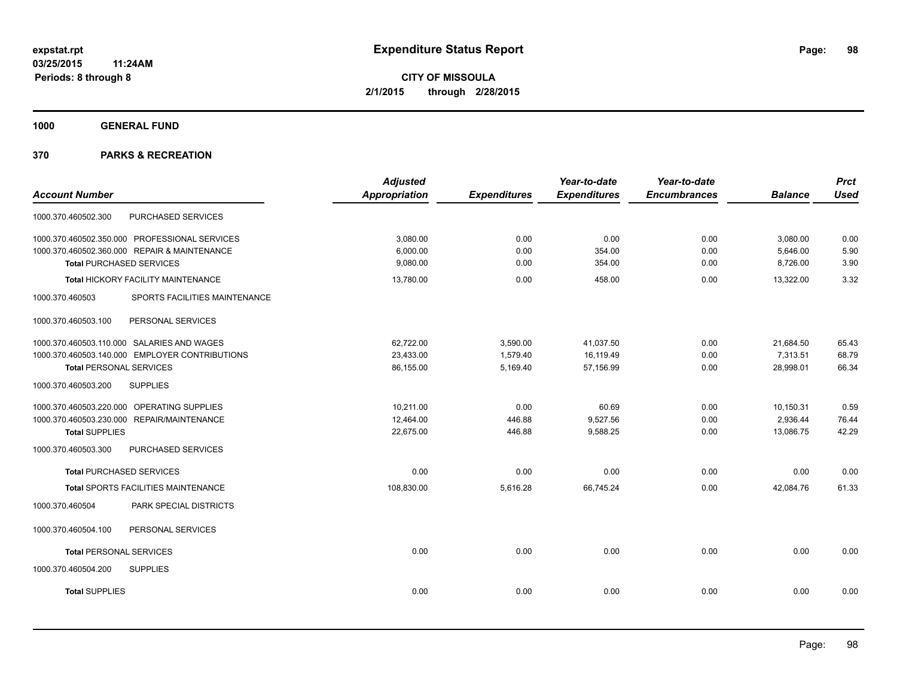**1000 GENERAL FUND**

|                                                  | <b>Adjusted</b>      |                     | Year-to-date        | Year-to-date        |                | <b>Prct</b> |
|--------------------------------------------------|----------------------|---------------------|---------------------|---------------------|----------------|-------------|
| <b>Account Number</b>                            | <b>Appropriation</b> | <b>Expenditures</b> | <b>Expenditures</b> | <b>Encumbrances</b> | <b>Balance</b> | <b>Used</b> |
| PURCHASED SERVICES<br>1000.370.460502.300        |                      |                     |                     |                     |                |             |
| 1000.370.460502.350.000 PROFESSIONAL SERVICES    | 3,080.00             | 0.00                | 0.00                | 0.00                | 3,080.00       | 0.00        |
| 1000.370.460502.360.000 REPAIR & MAINTENANCE     | 6,000.00             | 0.00                | 354.00              | 0.00                | 5,646.00       | 5.90        |
| <b>Total PURCHASED SERVICES</b>                  | 9,080.00             | 0.00                | 354.00              | 0.00                | 8,726.00       | 3.90        |
| Total HICKORY FACILITY MAINTENANCE               | 13,780.00            | 0.00                | 458.00              | 0.00                | 13,322.00      | 3.32        |
| 1000.370.460503<br>SPORTS FACILITIES MAINTENANCE |                      |                     |                     |                     |                |             |
| PERSONAL SERVICES<br>1000.370.460503.100         |                      |                     |                     |                     |                |             |
| 1000.370.460503.110.000 SALARIES AND WAGES       | 62,722.00            | 3,590.00            | 41,037.50           | 0.00                | 21,684.50      | 65.43       |
| 1000.370.460503.140.000 EMPLOYER CONTRIBUTIONS   | 23,433.00            | 1,579.40            | 16,119.49           | 0.00                | 7,313.51       | 68.79       |
| <b>Total PERSONAL SERVICES</b>                   | 86,155.00            | 5,169.40            | 57,156.99           | 0.00                | 28,998.01      | 66.34       |
| 1000.370.460503.200<br><b>SUPPLIES</b>           |                      |                     |                     |                     |                |             |
| 1000.370.460503.220.000 OPERATING SUPPLIES       | 10.211.00            | 0.00                | 60.69               | 0.00                | 10,150.31      | 0.59        |
| 1000.370.460503.230.000 REPAIR/MAINTENANCE       | 12,464.00            | 446.88              | 9,527.56            | 0.00                | 2,936.44       | 76.44       |
| <b>Total SUPPLIES</b>                            | 22,675.00            | 446.88              | 9,588.25            | 0.00                | 13,086.75      | 42.29       |
| 1000.370.460503.300<br>PURCHASED SERVICES        |                      |                     |                     |                     |                |             |
| <b>Total PURCHASED SERVICES</b>                  | 0.00                 | 0.00                | 0.00                | 0.00                | 0.00           | 0.00        |
| <b>Total SPORTS FACILITIES MAINTENANCE</b>       | 108,830.00           | 5,616.28            | 66,745.24           | 0.00                | 42,084.76      | 61.33       |
| 1000.370.460504<br>PARK SPECIAL DISTRICTS        |                      |                     |                     |                     |                |             |
| 1000.370.460504.100<br>PERSONAL SERVICES         |                      |                     |                     |                     |                |             |
| <b>Total PERSONAL SERVICES</b>                   | 0.00                 | 0.00                | 0.00                | 0.00                | 0.00           | 0.00        |
| 1000.370.460504.200<br><b>SUPPLIES</b>           |                      |                     |                     |                     |                |             |
| <b>Total SUPPLIES</b>                            | 0.00                 | 0.00                | 0.00                | 0.00                | 0.00           | 0.00        |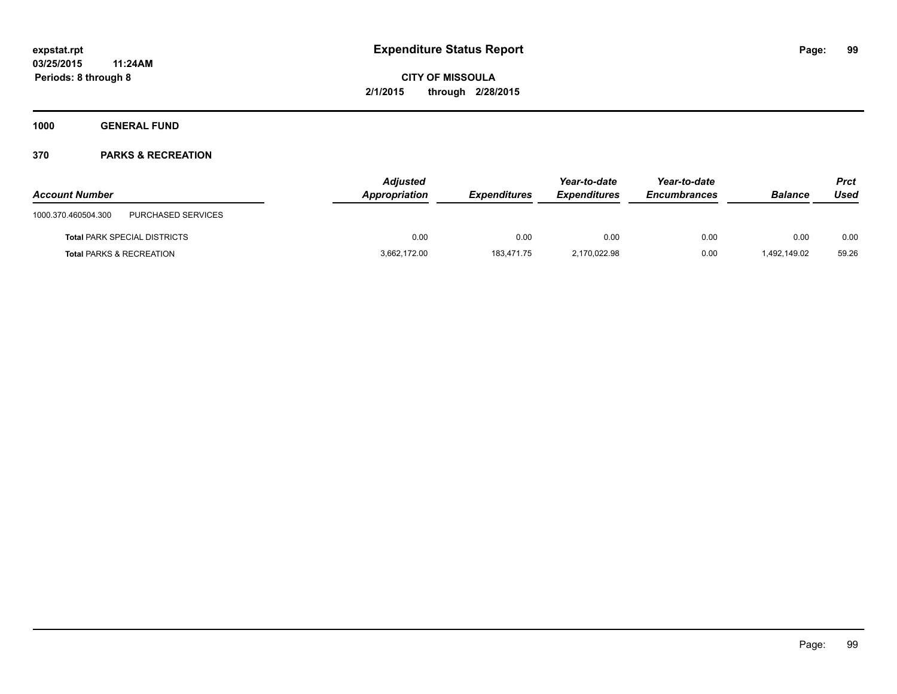**1000 GENERAL FUND**

| <b>Account Number</b>                     | <b>Adjusted</b><br>Appropriation | <b>Expenditures</b> | Year-to-date<br><b>Expenditures</b> | Year-to-date<br><b>Encumbrances</b> | <b>Balance</b> | Prct<br>Used |
|-------------------------------------------|----------------------------------|---------------------|-------------------------------------|-------------------------------------|----------------|--------------|
| PURCHASED SERVICES<br>1000.370.460504.300 |                                  |                     |                                     |                                     |                |              |
| <b>Total PARK SPECIAL DISTRICTS</b>       | 0.00                             | 0.00                | 0.00                                | 0.00                                | 0.00           | 0.00         |
| <b>Total PARKS &amp; RECREATION</b>       | 3,662,172.00                     | 183,471.75          | 2,170,022.98                        | 0.00                                | 492,149.02     | 59.26        |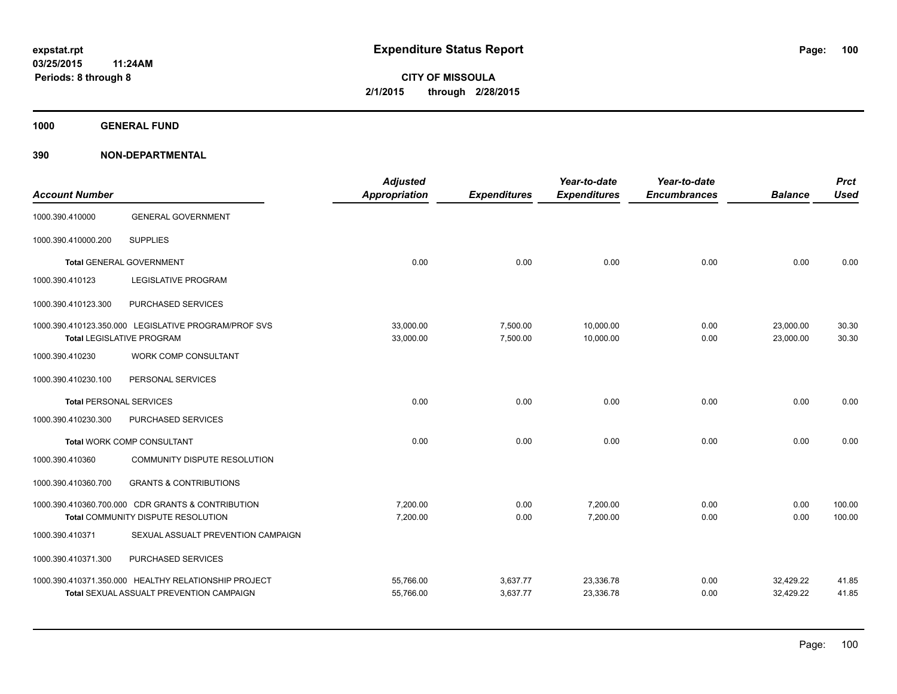**1000 GENERAL FUND**

| <b>Account Number</b>          |                                                                                          | <b>Adjusted</b><br><b>Appropriation</b> | <b>Expenditures</b>  | Year-to-date<br><b>Expenditures</b> | Year-to-date<br><b>Encumbrances</b> | <b>Balance</b>         | <b>Prct</b><br><b>Used</b> |
|--------------------------------|------------------------------------------------------------------------------------------|-----------------------------------------|----------------------|-------------------------------------|-------------------------------------|------------------------|----------------------------|
| 1000.390.410000                | <b>GENERAL GOVERNMENT</b>                                                                |                                         |                      |                                     |                                     |                        |                            |
| 1000.390.410000.200            | <b>SUPPLIES</b>                                                                          |                                         |                      |                                     |                                     |                        |                            |
|                                | <b>Total GENERAL GOVERNMENT</b>                                                          | 0.00                                    | 0.00                 | 0.00                                | 0.00                                | 0.00                   | 0.00                       |
| 1000.390.410123                | <b>LEGISLATIVE PROGRAM</b>                                                               |                                         |                      |                                     |                                     |                        |                            |
| 1000.390.410123.300            | PURCHASED SERVICES                                                                       |                                         |                      |                                     |                                     |                        |                            |
|                                | 1000.390.410123.350.000 LEGISLATIVE PROGRAM/PROF SVS<br><b>Total LEGISLATIVE PROGRAM</b> | 33,000.00<br>33,000.00                  | 7,500.00<br>7,500.00 | 10,000.00<br>10,000.00              | 0.00<br>0.00                        | 23,000.00<br>23,000.00 | 30.30<br>30.30             |
| 1000.390.410230                | <b>WORK COMP CONSULTANT</b>                                                              |                                         |                      |                                     |                                     |                        |                            |
| 1000.390.410230.100            | PERSONAL SERVICES                                                                        |                                         |                      |                                     |                                     |                        |                            |
| <b>Total PERSONAL SERVICES</b> |                                                                                          | 0.00                                    | 0.00                 | 0.00                                | 0.00                                | 0.00                   | 0.00                       |
| 1000.390.410230.300            | PURCHASED SERVICES                                                                       |                                         |                      |                                     |                                     |                        |                            |
|                                | <b>Total WORK COMP CONSULTANT</b>                                                        | 0.00                                    | 0.00                 | 0.00                                | 0.00                                | 0.00                   | 0.00                       |
| 1000.390.410360                | COMMUNITY DISPUTE RESOLUTION                                                             |                                         |                      |                                     |                                     |                        |                            |
| 1000.390.410360.700            | <b>GRANTS &amp; CONTRIBUTIONS</b>                                                        |                                         |                      |                                     |                                     |                        |                            |
|                                | 1000.390.410360.700.000 CDR GRANTS & CONTRIBUTION                                        | 7,200.00                                | 0.00                 | 7,200.00                            | 0.00                                | 0.00                   | 100.00                     |
|                                | Total COMMUNITY DISPUTE RESOLUTION                                                       | 7,200.00                                | 0.00                 | 7,200.00                            | 0.00                                | 0.00                   | 100.00                     |
| 1000.390.410371                | SEXUAL ASSUALT PREVENTION CAMPAIGN                                                       |                                         |                      |                                     |                                     |                        |                            |
| 1000.390.410371.300            | PURCHASED SERVICES                                                                       |                                         |                      |                                     |                                     |                        |                            |
|                                | 1000.390.410371.350.000 HEALTHY RELATIONSHIP PROJECT                                     | 55,766.00                               | 3,637.77             | 23,336.78                           | 0.00                                | 32,429.22              | 41.85                      |
|                                | <b>Total SEXUAL ASSUALT PREVENTION CAMPAIGN</b>                                          | 55,766.00                               | 3,637.77             | 23,336.78                           | 0.00                                | 32,429.22              | 41.85                      |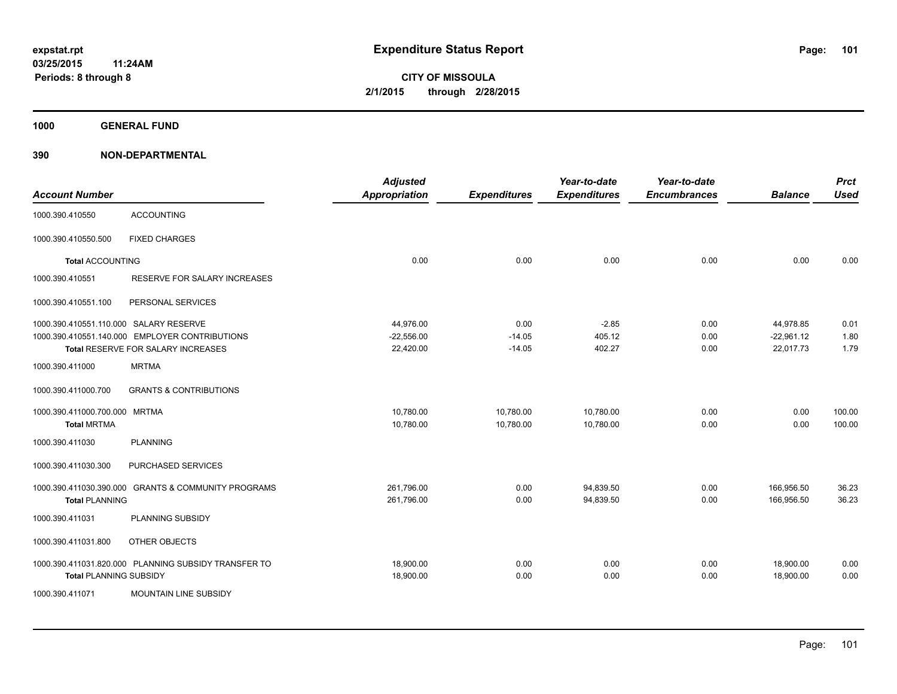**1000 GENERAL FUND**

| <b>Account Number</b>                               |                                                                                      | <b>Adjusted</b><br><b>Appropriation</b> | <b>Expenditures</b>          | Year-to-date<br><b>Expenditures</b> | Year-to-date<br><b>Encumbrances</b> | <b>Balance</b>                         | <b>Prct</b><br><b>Used</b> |
|-----------------------------------------------------|--------------------------------------------------------------------------------------|-----------------------------------------|------------------------------|-------------------------------------|-------------------------------------|----------------------------------------|----------------------------|
| 1000.390.410550                                     | <b>ACCOUNTING</b>                                                                    |                                         |                              |                                     |                                     |                                        |                            |
| 1000.390.410550.500                                 | <b>FIXED CHARGES</b>                                                                 |                                         |                              |                                     |                                     |                                        |                            |
| <b>Total ACCOUNTING</b>                             |                                                                                      | 0.00                                    | 0.00                         | 0.00                                | 0.00                                | 0.00                                   | 0.00                       |
| 1000.390.410551                                     | RESERVE FOR SALARY INCREASES                                                         |                                         |                              |                                     |                                     |                                        |                            |
| 1000.390.410551.100                                 | PERSONAL SERVICES                                                                    |                                         |                              |                                     |                                     |                                        |                            |
| 1000.390.410551.110.000 SALARY RESERVE              | 1000.390.410551.140.000 EMPLOYER CONTRIBUTIONS<br>Total RESERVE FOR SALARY INCREASES | 44,976.00<br>$-22,556.00$<br>22,420.00  | 0.00<br>$-14.05$<br>$-14.05$ | $-2.85$<br>405.12<br>402.27         | 0.00<br>0.00<br>0.00                | 44,978.85<br>$-22,961.12$<br>22,017.73 | 0.01<br>1.80<br>1.79       |
| 1000.390.411000                                     | <b>MRTMA</b>                                                                         |                                         |                              |                                     |                                     |                                        |                            |
| 1000.390.411000.700                                 | <b>GRANTS &amp; CONTRIBUTIONS</b>                                                    |                                         |                              |                                     |                                     |                                        |                            |
| 1000.390.411000.700.000 MRTMA<br><b>Total MRTMA</b> |                                                                                      | 10,780.00<br>10,780.00                  | 10,780.00<br>10,780.00       | 10,780.00<br>10,780.00              | 0.00<br>0.00                        | 0.00<br>0.00                           | 100.00<br>100.00           |
| 1000.390.411030                                     | <b>PLANNING</b>                                                                      |                                         |                              |                                     |                                     |                                        |                            |
| 1000.390.411030.300                                 | PURCHASED SERVICES                                                                   |                                         |                              |                                     |                                     |                                        |                            |
| <b>Total PLANNING</b>                               | 1000.390.411030.390.000 GRANTS & COMMUNITY PROGRAMS                                  | 261,796.00<br>261,796.00                | 0.00<br>0.00                 | 94,839.50<br>94,839.50              | 0.00<br>0.00                        | 166,956.50<br>166,956.50               | 36.23<br>36.23             |
| 1000.390.411031                                     | PLANNING SUBSIDY                                                                     |                                         |                              |                                     |                                     |                                        |                            |
| 1000.390.411031.800                                 | OTHER OBJECTS                                                                        |                                         |                              |                                     |                                     |                                        |                            |
| <b>Total PLANNING SUBSIDY</b>                       | 1000.390.411031.820.000 PLANNING SUBSIDY TRANSFER TO                                 | 18,900.00<br>18,900.00                  | 0.00<br>0.00                 | 0.00<br>0.00                        | 0.00<br>0.00                        | 18,900.00<br>18,900.00                 | 0.00<br>0.00               |
| 1000.390.411071                                     | <b>MOUNTAIN LINE SUBSIDY</b>                                                         |                                         |                              |                                     |                                     |                                        |                            |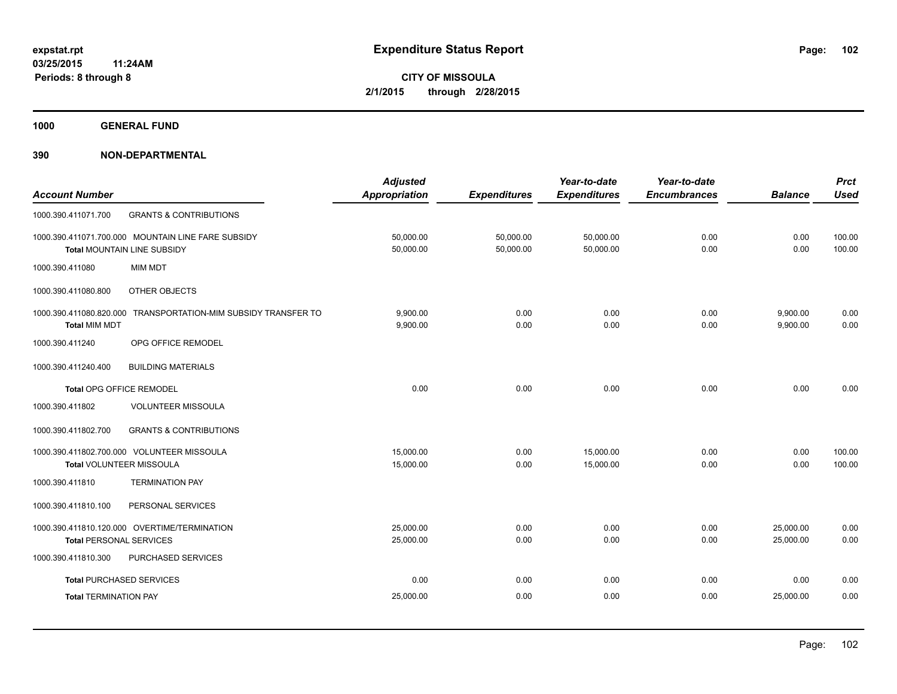**1000 GENERAL FUND**

|                                 |                                                                | <b>Adjusted</b>      |                     | Year-to-date        | Year-to-date        |                | <b>Prct</b> |
|---------------------------------|----------------------------------------------------------------|----------------------|---------------------|---------------------|---------------------|----------------|-------------|
| <b>Account Number</b>           |                                                                | <b>Appropriation</b> | <b>Expenditures</b> | <b>Expenditures</b> | <b>Encumbrances</b> | <b>Balance</b> | <b>Used</b> |
| 1000.390.411071.700             | <b>GRANTS &amp; CONTRIBUTIONS</b>                              |                      |                     |                     |                     |                |             |
|                                 | 1000.390.411071.700.000 MOUNTAIN LINE FARE SUBSIDY             | 50,000.00            | 50,000.00           | 50,000.00           | 0.00                | 0.00           | 100.00      |
|                                 | Total MOUNTAIN LINE SUBSIDY                                    | 50,000.00            | 50,000.00           | 50,000.00           | 0.00                | 0.00           | 100.00      |
| 1000.390.411080                 | <b>MIM MDT</b>                                                 |                      |                     |                     |                     |                |             |
| 1000.390.411080.800             | <b>OTHER OBJECTS</b>                                           |                      |                     |                     |                     |                |             |
|                                 | 1000.390.411080.820.000 TRANSPORTATION-MIM SUBSIDY TRANSFER TO | 9.900.00             | 0.00                | 0.00                | 0.00                | 9,900.00       | 0.00        |
| <b>Total MIM MDT</b>            |                                                                | 9,900.00             | 0.00                | 0.00                | 0.00                | 9,900.00       | 0.00        |
| 1000.390.411240                 | OPG OFFICE REMODEL                                             |                      |                     |                     |                     |                |             |
| 1000.390.411240.400             | <b>BUILDING MATERIALS</b>                                      |                      |                     |                     |                     |                |             |
| Total OPG OFFICE REMODEL        |                                                                | 0.00                 | 0.00                | 0.00                | 0.00                | 0.00           | 0.00        |
| 1000.390.411802                 | <b>VOLUNTEER MISSOULA</b>                                      |                      |                     |                     |                     |                |             |
| 1000.390.411802.700             | <b>GRANTS &amp; CONTRIBUTIONS</b>                              |                      |                     |                     |                     |                |             |
|                                 | 1000.390.411802.700.000 VOLUNTEER MISSOULA                     | 15,000.00            | 0.00                | 15,000.00           | 0.00                | 0.00           | 100.00      |
| Total VOLUNTEER MISSOULA        |                                                                | 15,000.00            | 0.00                | 15,000.00           | 0.00                | 0.00           | 100.00      |
| 1000.390.411810                 | <b>TERMINATION PAY</b>                                         |                      |                     |                     |                     |                |             |
| 1000.390.411810.100             | PERSONAL SERVICES                                              |                      |                     |                     |                     |                |             |
|                                 | 1000.390.411810.120.000 OVERTIME/TERMINATION                   | 25,000.00            | 0.00                | 0.00                | 0.00                | 25,000.00      | 0.00        |
| <b>Total PERSONAL SERVICES</b>  |                                                                | 25,000.00            | 0.00                | 0.00                | 0.00                | 25,000.00      | 0.00        |
| 1000.390.411810.300             | PURCHASED SERVICES                                             |                      |                     |                     |                     |                |             |
| <b>Total PURCHASED SERVICES</b> |                                                                | 0.00                 | 0.00                | 0.00                | 0.00                | 0.00           | 0.00        |
| <b>Total TERMINATION PAY</b>    |                                                                | 25,000.00            | 0.00                | 0.00                | 0.00                | 25,000.00      | 0.00        |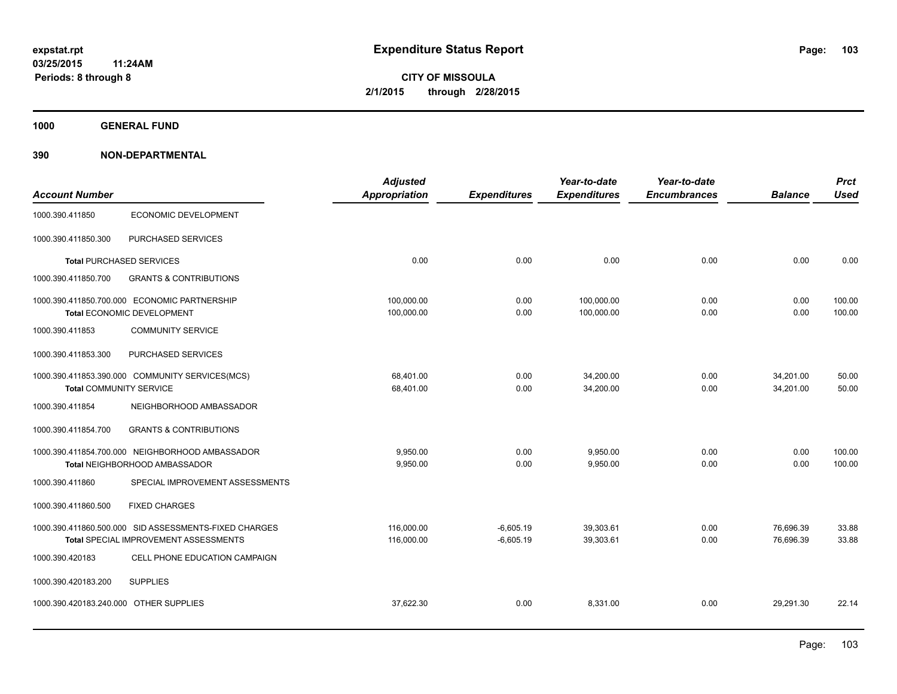**1000 GENERAL FUND**

|                                        |                                                       | <b>Adjusted</b>      |                     | Year-to-date        | Year-to-date        |                | <b>Prct</b> |
|----------------------------------------|-------------------------------------------------------|----------------------|---------------------|---------------------|---------------------|----------------|-------------|
| <b>Account Number</b>                  |                                                       | <b>Appropriation</b> | <b>Expenditures</b> | <b>Expenditures</b> | <b>Encumbrances</b> | <b>Balance</b> | <b>Used</b> |
| 1000.390.411850                        | <b>ECONOMIC DEVELOPMENT</b>                           |                      |                     |                     |                     |                |             |
| 1000.390.411850.300                    | PURCHASED SERVICES                                    |                      |                     |                     |                     |                |             |
|                                        | <b>Total PURCHASED SERVICES</b>                       | 0.00                 | 0.00                | 0.00                | 0.00                | 0.00           | 0.00        |
| 1000.390.411850.700                    | <b>GRANTS &amp; CONTRIBUTIONS</b>                     |                      |                     |                     |                     |                |             |
|                                        | 1000.390.411850.700.000 ECONOMIC PARTNERSHIP          | 100,000.00           | 0.00                | 100,000.00          | 0.00                | 0.00           | 100.00      |
|                                        | Total ECONOMIC DEVELOPMENT                            | 100,000.00           | 0.00                | 100,000.00          | 0.00                | 0.00           | 100.00      |
| 1000.390.411853                        | <b>COMMUNITY SERVICE</b>                              |                      |                     |                     |                     |                |             |
| 1000.390.411853.300                    | PURCHASED SERVICES                                    |                      |                     |                     |                     |                |             |
|                                        | 1000.390.411853.390.000 COMMUNITY SERVICES(MCS)       | 68,401.00            | 0.00                | 34,200.00           | 0.00                | 34,201.00      | 50.00       |
| <b>Total COMMUNITY SERVICE</b>         |                                                       | 68,401.00            | 0.00                | 34,200.00           | 0.00                | 34,201.00      | 50.00       |
| 1000.390.411854                        | NEIGHBORHOOD AMBASSADOR                               |                      |                     |                     |                     |                |             |
| 1000.390.411854.700                    | <b>GRANTS &amp; CONTRIBUTIONS</b>                     |                      |                     |                     |                     |                |             |
|                                        | 1000.390.411854.700.000 NEIGHBORHOOD AMBASSADOR       | 9.950.00             | 0.00                | 9,950.00            | 0.00                | 0.00           | 100.00      |
|                                        | Total NEIGHBORHOOD AMBASSADOR                         | 9,950.00             | 0.00                | 9,950.00            | 0.00                | 0.00           | 100.00      |
| 1000.390.411860                        | SPECIAL IMPROVEMENT ASSESSMENTS                       |                      |                     |                     |                     |                |             |
| 1000.390.411860.500                    | <b>FIXED CHARGES</b>                                  |                      |                     |                     |                     |                |             |
|                                        | 1000.390.411860.500.000 SID ASSESSMENTS-FIXED CHARGES | 116,000.00           | $-6,605.19$         | 39,303.61           | 0.00                | 76,696.39      | 33.88       |
|                                        | Total SPECIAL IMPROVEMENT ASSESSMENTS                 | 116,000.00           | $-6,605.19$         | 39,303.61           | 0.00                | 76,696.39      | 33.88       |
| 1000.390.420183                        | CELL PHONE EDUCATION CAMPAIGN                         |                      |                     |                     |                     |                |             |
| 1000.390.420183.200                    | <b>SUPPLIES</b>                                       |                      |                     |                     |                     |                |             |
| 1000.390.420183.240.000 OTHER SUPPLIES |                                                       | 37.622.30            | 0.00                | 8.331.00            | 0.00                | 29.291.30      | 22.14       |
|                                        |                                                       |                      |                     |                     |                     |                |             |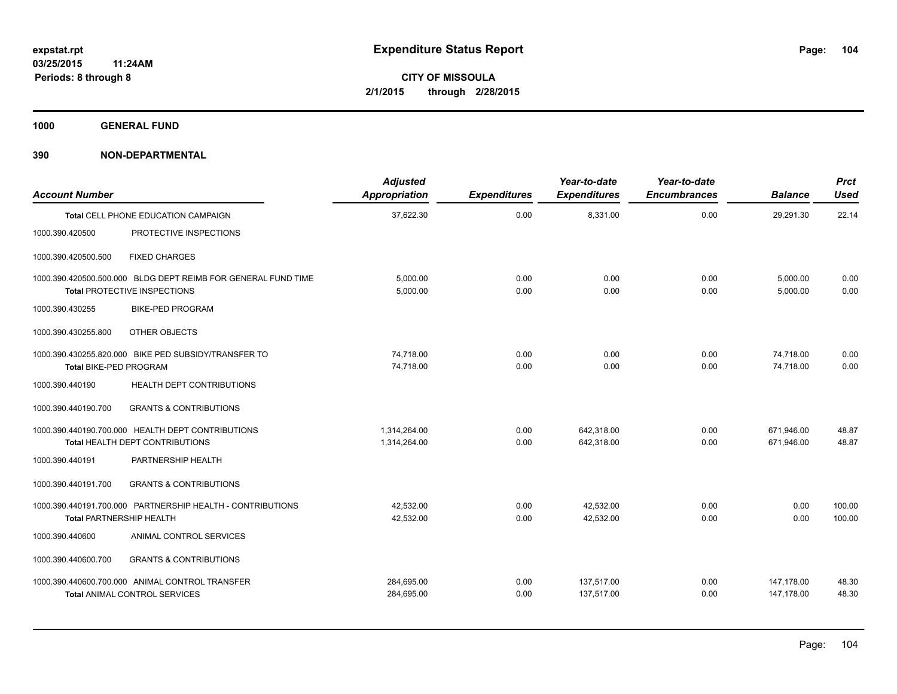**1000 GENERAL FUND**

| <b>Account Number</b>           |                                                                                                      | <b>Adjusted</b><br>Appropriation | <b>Expenditures</b> | Year-to-date<br><b>Expenditures</b> | Year-to-date<br><b>Encumbrances</b> | <b>Balance</b>           | Prct<br><b>Used</b> |
|---------------------------------|------------------------------------------------------------------------------------------------------|----------------------------------|---------------------|-------------------------------------|-------------------------------------|--------------------------|---------------------|
|                                 | <b>Total CELL PHONE EDUCATION CAMPAIGN</b>                                                           | 37,622.30                        | 0.00                | 8,331.00                            | 0.00                                | 29,291.30                | 22.14               |
| 1000.390.420500                 | PROTECTIVE INSPECTIONS                                                                               |                                  |                     |                                     |                                     |                          |                     |
| 1000.390.420500.500             | <b>FIXED CHARGES</b>                                                                                 |                                  |                     |                                     |                                     |                          |                     |
|                                 | 1000.390.420500.500.000 BLDG DEPT REIMB FOR GENERAL FUND TIME<br><b>Total PROTECTIVE INSPECTIONS</b> | 5.000.00<br>5,000.00             | 0.00<br>0.00        | 0.00<br>0.00                        | 0.00<br>0.00                        | 5,000.00<br>5.000.00     | 0.00<br>0.00        |
| 1000.390.430255                 | <b>BIKE-PED PROGRAM</b>                                                                              |                                  |                     |                                     |                                     |                          |                     |
| 1000.390.430255.800             | OTHER OBJECTS                                                                                        |                                  |                     |                                     |                                     |                          |                     |
| Total BIKE-PED PROGRAM          | 1000.390.430255.820.000 BIKE PED SUBSIDY/TRANSFER TO                                                 | 74.718.00<br>74,718.00           | 0.00<br>0.00        | 0.00<br>0.00                        | 0.00<br>0.00                        | 74.718.00<br>74.718.00   | 0.00<br>0.00        |
| 1000.390.440190                 | <b>HEALTH DEPT CONTRIBUTIONS</b>                                                                     |                                  |                     |                                     |                                     |                          |                     |
| 1000.390.440190.700             | <b>GRANTS &amp; CONTRIBUTIONS</b>                                                                    |                                  |                     |                                     |                                     |                          |                     |
|                                 | 1000.390.440190.700.000 HEALTH DEPT CONTRIBUTIONS<br><b>Total HEALTH DEPT CONTRIBUTIONS</b>          | 1.314.264.00<br>1,314,264.00     | 0.00<br>0.00        | 642.318.00<br>642,318.00            | 0.00<br>0.00                        | 671.946.00<br>671,946.00 | 48.87<br>48.87      |
| 1000.390.440191                 | PARTNERSHIP HEALTH                                                                                   |                                  |                     |                                     |                                     |                          |                     |
| 1000.390.440191.700             | <b>GRANTS &amp; CONTRIBUTIONS</b>                                                                    |                                  |                     |                                     |                                     |                          |                     |
| <b>Total PARTNERSHIP HEALTH</b> | 1000.390.440191.700.000 PARTNERSHIP HEALTH - CONTRIBUTIONS                                           | 42,532.00<br>42.532.00           | 0.00<br>0.00        | 42,532.00<br>42.532.00              | 0.00<br>0.00                        | 0.00<br>0.00             | 100.00<br>100.00    |
| 1000.390.440600                 | ANIMAL CONTROL SERVICES                                                                              |                                  |                     |                                     |                                     |                          |                     |
| 1000.390.440600.700             | <b>GRANTS &amp; CONTRIBUTIONS</b>                                                                    |                                  |                     |                                     |                                     |                          |                     |
|                                 | 1000.390.440600.700.000 ANIMAL CONTROL TRANSFER<br><b>Total ANIMAL CONTROL SERVICES</b>              | 284,695.00<br>284,695.00         | 0.00<br>0.00        | 137,517.00<br>137,517.00            | 0.00<br>0.00                        | 147,178.00<br>147.178.00 | 48.30<br>48.30      |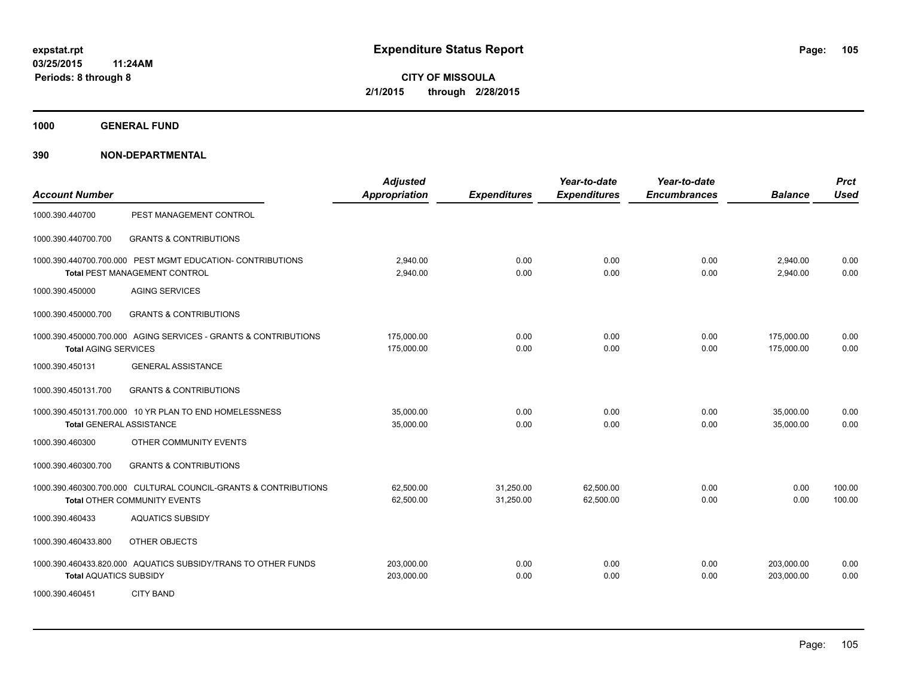**1000 GENERAL FUND**

| <b>Account Number</b>         |                                                                                                 | <b>Adjusted</b><br><b>Appropriation</b> | <b>Expenditures</b>    | Year-to-date<br><b>Expenditures</b> | Year-to-date<br><b>Encumbrances</b> | <b>Balance</b>           | <b>Prct</b><br><b>Used</b> |
|-------------------------------|-------------------------------------------------------------------------------------------------|-----------------------------------------|------------------------|-------------------------------------|-------------------------------------|--------------------------|----------------------------|
| 1000.390.440700               | PEST MANAGEMENT CONTROL                                                                         |                                         |                        |                                     |                                     |                          |                            |
| 1000.390.440700.700           | <b>GRANTS &amp; CONTRIBUTIONS</b>                                                               |                                         |                        |                                     |                                     |                          |                            |
|                               | 1000.390.440700.700.000 PEST MGMT EDUCATION- CONTRIBUTIONS<br>Total PEST MANAGEMENT CONTROL     | 2,940.00<br>2,940.00                    | 0.00<br>0.00           | 0.00<br>0.00                        | 0.00<br>0.00                        | 2,940.00<br>2,940.00     | 0.00<br>0.00               |
| 1000.390.450000               | <b>AGING SERVICES</b>                                                                           |                                         |                        |                                     |                                     |                          |                            |
| 1000.390.450000.700           | <b>GRANTS &amp; CONTRIBUTIONS</b>                                                               |                                         |                        |                                     |                                     |                          |                            |
| <b>Total AGING SERVICES</b>   | 1000.390.450000.700.000 AGING SERVICES - GRANTS & CONTRIBUTIONS                                 | 175,000.00<br>175,000.00                | 0.00<br>0.00           | 0.00<br>0.00                        | 0.00<br>0.00                        | 175,000.00<br>175.000.00 | 0.00<br>0.00               |
| 1000.390.450131               | <b>GENERAL ASSISTANCE</b>                                                                       |                                         |                        |                                     |                                     |                          |                            |
| 1000.390.450131.700           | <b>GRANTS &amp; CONTRIBUTIONS</b>                                                               |                                         |                        |                                     |                                     |                          |                            |
|                               | 1000.390.450131.700.000 10 YR PLAN TO END HOMELESSNESS<br><b>Total GENERAL ASSISTANCE</b>       | 35,000.00<br>35,000.00                  | 0.00<br>0.00           | 0.00<br>0.00                        | 0.00<br>0.00                        | 35,000.00<br>35.000.00   | 0.00<br>0.00               |
| 1000.390.460300               | OTHER COMMUNITY EVENTS                                                                          |                                         |                        |                                     |                                     |                          |                            |
| 1000.390.460300.700           | <b>GRANTS &amp; CONTRIBUTIONS</b>                                                               |                                         |                        |                                     |                                     |                          |                            |
|                               | 1000.390.460300.700.000 CULTURAL COUNCIL-GRANTS & CONTRIBUTIONS<br>Total OTHER COMMUNITY EVENTS | 62,500.00<br>62,500.00                  | 31,250.00<br>31,250.00 | 62,500.00<br>62,500.00              | 0.00<br>0.00                        | 0.00<br>0.00             | 100.00<br>100.00           |
| 1000.390.460433               | <b>AQUATICS SUBSIDY</b>                                                                         |                                         |                        |                                     |                                     |                          |                            |
| 1000.390.460433.800           | OTHER OBJECTS                                                                                   |                                         |                        |                                     |                                     |                          |                            |
| <b>Total AQUATICS SUBSIDY</b> | 1000.390.460433.820.000 AQUATICS SUBSIDY/TRANS TO OTHER FUNDS                                   | 203,000.00<br>203,000.00                | 0.00<br>0.00           | 0.00<br>0.00                        | 0.00<br>0.00                        | 203,000.00<br>203,000.00 | 0.00<br>0.00               |
| 1000.390.460451               | <b>CITY BAND</b>                                                                                |                                         |                        |                                     |                                     |                          |                            |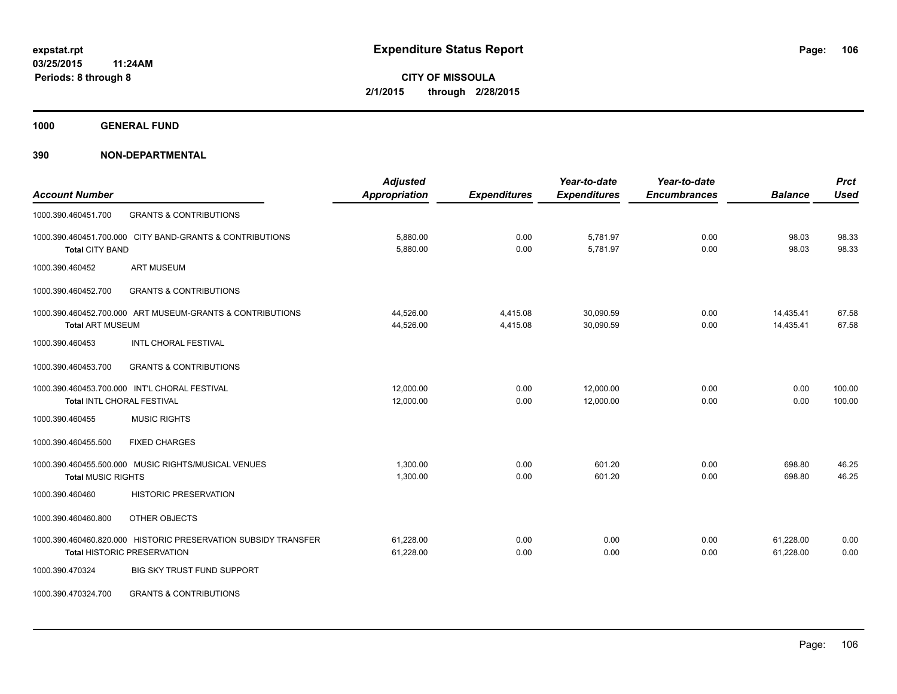**1000 GENERAL FUND**

|                                                                | <b>Adjusted</b>      |                     | Year-to-date        | Year-to-date        |                | <b>Prct</b> |
|----------------------------------------------------------------|----------------------|---------------------|---------------------|---------------------|----------------|-------------|
| <b>Account Number</b>                                          | <b>Appropriation</b> | <b>Expenditures</b> | <b>Expenditures</b> | <b>Encumbrances</b> | <b>Balance</b> | <b>Used</b> |
| <b>GRANTS &amp; CONTRIBUTIONS</b><br>1000.390.460451.700       |                      |                     |                     |                     |                |             |
| 1000.390.460451.700.000 CITY BAND-GRANTS & CONTRIBUTIONS       | 5,880.00             | 0.00                | 5,781.97            | 0.00                | 98.03          | 98.33       |
| <b>Total CITY BAND</b>                                         | 5,880.00             | 0.00                | 5,781.97            | 0.00                | 98.03          | 98.33       |
| <b>ART MUSEUM</b><br>1000.390.460452                           |                      |                     |                     |                     |                |             |
| <b>GRANTS &amp; CONTRIBUTIONS</b><br>1000.390.460452.700       |                      |                     |                     |                     |                |             |
| 1000.390.460452.700.000 ART MUSEUM-GRANTS & CONTRIBUTIONS      | 44,526.00            | 4,415.08            | 30,090.59           | 0.00                | 14,435.41      | 67.58       |
| <b>Total ART MUSEUM</b>                                        | 44,526.00            | 4,415.08            | 30,090.59           | 0.00                | 14,435.41      | 67.58       |
| INTL CHORAL FESTIVAL<br>1000.390.460453                        |                      |                     |                     |                     |                |             |
| <b>GRANTS &amp; CONTRIBUTIONS</b><br>1000.390.460453.700       |                      |                     |                     |                     |                |             |
| 1000.390.460453.700.000 INT'L CHORAL FESTIVAL                  | 12,000.00            | 0.00                | 12,000.00           | 0.00                | 0.00           | 100.00      |
| Total INTL CHORAL FESTIVAL                                     | 12,000.00            | 0.00                | 12,000.00           | 0.00                | 0.00           | 100.00      |
| <b>MUSIC RIGHTS</b><br>1000.390.460455                         |                      |                     |                     |                     |                |             |
| 1000.390.460455.500<br><b>FIXED CHARGES</b>                    |                      |                     |                     |                     |                |             |
| 1000.390.460455.500.000 MUSIC RIGHTS/MUSICAL VENUES            | 1,300.00             | 0.00                | 601.20              | 0.00                | 698.80         | 46.25       |
| <b>Total MUSIC RIGHTS</b>                                      | 1,300.00             | 0.00                | 601.20              | 0.00                | 698.80         | 46.25       |
| 1000.390.460460<br><b>HISTORIC PRESERVATION</b>                |                      |                     |                     |                     |                |             |
| 1000.390.460460.800<br>OTHER OBJECTS                           |                      |                     |                     |                     |                |             |
| 1000.390.460460.820.000 HISTORIC PRESERVATION SUBSIDY TRANSFER | 61,228.00            | 0.00                | 0.00                | 0.00                | 61,228.00      | 0.00        |
| <b>Total HISTORIC PRESERVATION</b>                             | 61,228.00            | 0.00                | 0.00                | 0.00                | 61,228.00      | 0.00        |
| <b>BIG SKY TRUST FUND SUPPORT</b><br>1000.390.470324           |                      |                     |                     |                     |                |             |
| <b>GRANTS &amp; CONTRIBUTIONS</b><br>1000.390.470324.700       |                      |                     |                     |                     |                |             |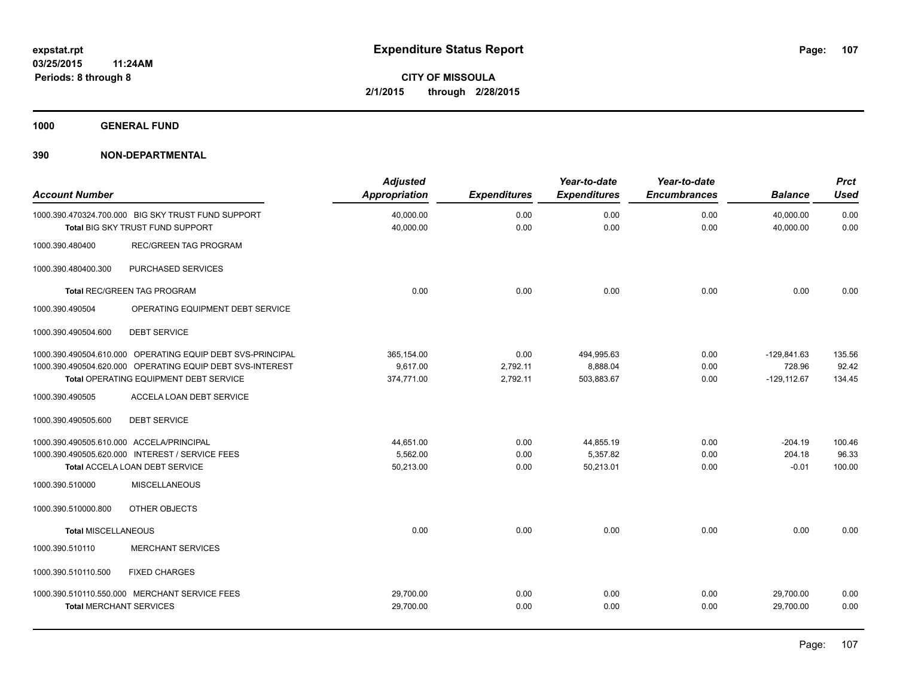**1000 GENERAL FUND**

| <b>Account Number</b>                                       |                                                                                                                                                                   | <b>Adjusted</b><br><b>Appropriation</b> | <b>Expenditures</b>          | Year-to-date<br><b>Expenditures</b>  | Year-to-date<br><b>Encumbrances</b> | <b>Balance</b>                            | <b>Prct</b><br><b>Used</b> |
|-------------------------------------------------------------|-------------------------------------------------------------------------------------------------------------------------------------------------------------------|-----------------------------------------|------------------------------|--------------------------------------|-------------------------------------|-------------------------------------------|----------------------------|
|                                                             | 1000.390.470324.700.000 BIG SKY TRUST FUND SUPPORT<br><b>Total BIG SKY TRUST FUND SUPPORT</b>                                                                     | 40,000.00<br>40,000.00                  | 0.00<br>0.00                 | 0.00<br>0.00                         | 0.00<br>0.00                        | 40,000.00<br>40,000.00                    | 0.00<br>0.00               |
| 1000.390.480400                                             | <b>REC/GREEN TAG PROGRAM</b>                                                                                                                                      |                                         |                              |                                      |                                     |                                           |                            |
| 1000.390.480400.300                                         | PURCHASED SERVICES                                                                                                                                                |                                         |                              |                                      |                                     |                                           |                            |
|                                                             | <b>Total REC/GREEN TAG PROGRAM</b>                                                                                                                                | 0.00                                    | 0.00                         | 0.00                                 | 0.00                                | 0.00                                      | 0.00                       |
| 1000.390.490504                                             | OPERATING EQUIPMENT DEBT SERVICE                                                                                                                                  |                                         |                              |                                      |                                     |                                           |                            |
| 1000.390.490504.600                                         | <b>DEBT SERVICE</b>                                                                                                                                               |                                         |                              |                                      |                                     |                                           |                            |
|                                                             | 1000.390.490504.610.000 OPERATING EQUIP DEBT SVS-PRINCIPAL<br>1000.390.490504.620.000 OPERATING EQUIP DEBT SVS-INTEREST<br>Total OPERATING EQUIPMENT DEBT SERVICE | 365,154.00<br>9,617.00<br>374,771.00    | 0.00<br>2,792.11<br>2,792.11 | 494,995.63<br>8,888.04<br>503,883.67 | 0.00<br>0.00<br>0.00                | $-129,841.63$<br>728.96<br>$-129, 112.67$ | 135.56<br>92.42<br>134.45  |
| 1000.390.490505                                             | ACCELA LOAN DEBT SERVICE                                                                                                                                          |                                         |                              |                                      |                                     |                                           |                            |
| 1000.390.490505.600                                         | <b>DEBT SERVICE</b>                                                                                                                                               |                                         |                              |                                      |                                     |                                           |                            |
| 1000.390.490505.610.000 ACCELA/PRINCIPAL<br>1000.390.510000 | 1000.390.490505.620.000 INTEREST / SERVICE FEES<br>Total ACCELA LOAN DEBT SERVICE<br><b>MISCELLANEOUS</b>                                                         | 44,651.00<br>5,562.00<br>50,213.00      | 0.00<br>0.00<br>0.00         | 44,855.19<br>5,357.82<br>50,213.01   | 0.00<br>0.00<br>0.00                | $-204.19$<br>204.18<br>$-0.01$            | 100.46<br>96.33<br>100.00  |
| 1000.390.510000.800                                         | OTHER OBJECTS                                                                                                                                                     |                                         |                              |                                      |                                     |                                           |                            |
| <b>Total MISCELLANEOUS</b>                                  |                                                                                                                                                                   | 0.00                                    | 0.00                         | 0.00                                 | 0.00                                | 0.00                                      | 0.00                       |
| 1000.390.510110                                             | <b>MERCHANT SERVICES</b>                                                                                                                                          |                                         |                              |                                      |                                     |                                           |                            |
| 1000.390.510110.500                                         | <b>FIXED CHARGES</b>                                                                                                                                              |                                         |                              |                                      |                                     |                                           |                            |
| <b>Total MERCHANT SERVICES</b>                              | 1000.390.510110.550.000 MERCHANT SERVICE FEES                                                                                                                     | 29,700.00<br>29,700.00                  | 0.00<br>0.00                 | 0.00<br>0.00                         | 0.00<br>0.00                        | 29,700.00<br>29,700.00                    | 0.00<br>0.00               |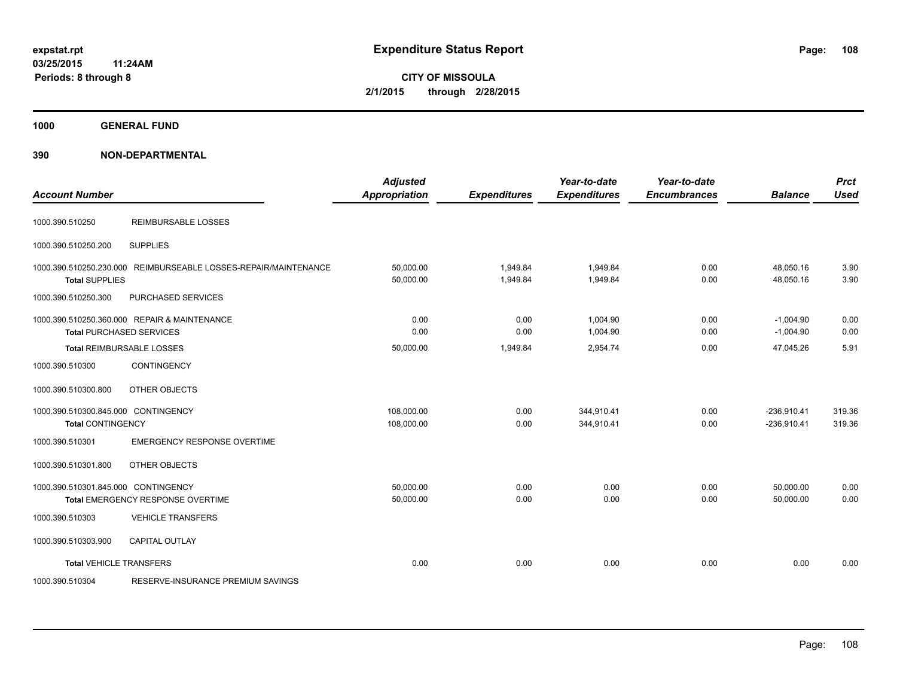**Periods: 8 through 8**

**CITY OF MISSOULA 2/1/2015 through 2/28/2015**

**1000 GENERAL FUND**

| <b>Account Number</b>                                           |                                                                                 | <b>Adjusted</b><br><b>Appropriation</b> | <b>Expenditures</b>  | Year-to-date<br><b>Expenditures</b> | Year-to-date<br><b>Encumbrances</b> | <b>Balance</b>                 | <b>Prct</b><br><b>Used</b> |
|-----------------------------------------------------------------|---------------------------------------------------------------------------------|-----------------------------------------|----------------------|-------------------------------------|-------------------------------------|--------------------------------|----------------------------|
| 1000.390.510250                                                 | <b>REIMBURSABLE LOSSES</b>                                                      |                                         |                      |                                     |                                     |                                |                            |
| 1000.390.510250.200                                             | <b>SUPPLIES</b>                                                                 |                                         |                      |                                     |                                     |                                |                            |
| 1000.390.510250.230.000<br><b>Total SUPPLIES</b>                | REIMBURSEABLE LOSSES-REPAIR/MAINTENANCE                                         | 50,000.00<br>50,000.00                  | 1,949.84<br>1,949.84 | 1,949.84<br>1,949.84                | 0.00<br>0.00                        | 48,050.16<br>48,050.16         | 3.90<br>3.90               |
| 1000.390.510250.300                                             | PURCHASED SERVICES                                                              |                                         |                      |                                     |                                     |                                |                            |
|                                                                 | 1000.390.510250.360.000 REPAIR & MAINTENANCE<br><b>Total PURCHASED SERVICES</b> | 0.00<br>0.00                            | 0.00<br>0.00         | 1,004.90<br>1,004.90                | 0.00<br>0.00                        | $-1,004.90$<br>$-1,004.90$     | 0.00<br>0.00               |
|                                                                 | Total REIMBURSABLE LOSSES                                                       | 50,000.00                               | 1,949.84             | 2,954.74                            | 0.00                                | 47,045.26                      | 5.91                       |
| 1000.390.510300                                                 | <b>CONTINGENCY</b>                                                              |                                         |                      |                                     |                                     |                                |                            |
| 1000.390.510300.800                                             | OTHER OBJECTS                                                                   |                                         |                      |                                     |                                     |                                |                            |
| 1000.390.510300.845.000 CONTINGENCY<br><b>Total CONTINGENCY</b> |                                                                                 | 108,000.00<br>108,000.00                | 0.00<br>0.00         | 344,910.41<br>344,910.41            | 0.00<br>0.00                        | $-236,910.41$<br>$-236,910.41$ | 319.36<br>319.36           |
| 1000.390.510301                                                 | <b>EMERGENCY RESPONSE OVERTIME</b>                                              |                                         |                      |                                     |                                     |                                |                            |
| 1000.390.510301.800                                             | OTHER OBJECTS                                                                   |                                         |                      |                                     |                                     |                                |                            |
| 1000.390.510301.845.000 CONTINGENCY                             | Total EMERGENCY RESPONSE OVERTIME                                               | 50,000.00<br>50,000.00                  | 0.00<br>0.00         | 0.00<br>0.00                        | 0.00<br>0.00                        | 50,000.00<br>50,000.00         | 0.00<br>0.00               |
| 1000.390.510303                                                 | <b>VEHICLE TRANSFERS</b>                                                        |                                         |                      |                                     |                                     |                                |                            |
| 1000.390.510303.900                                             | <b>CAPITAL OUTLAY</b>                                                           |                                         |                      |                                     |                                     |                                |                            |
| <b>Total VEHICLE TRANSFERS</b>                                  |                                                                                 | 0.00                                    | 0.00                 | 0.00                                | 0.00                                | 0.00                           | 0.00                       |
| 1000.390.510304                                                 | RESERVE-INSURANCE PREMIUM SAVINGS                                               |                                         |                      |                                     |                                     |                                |                            |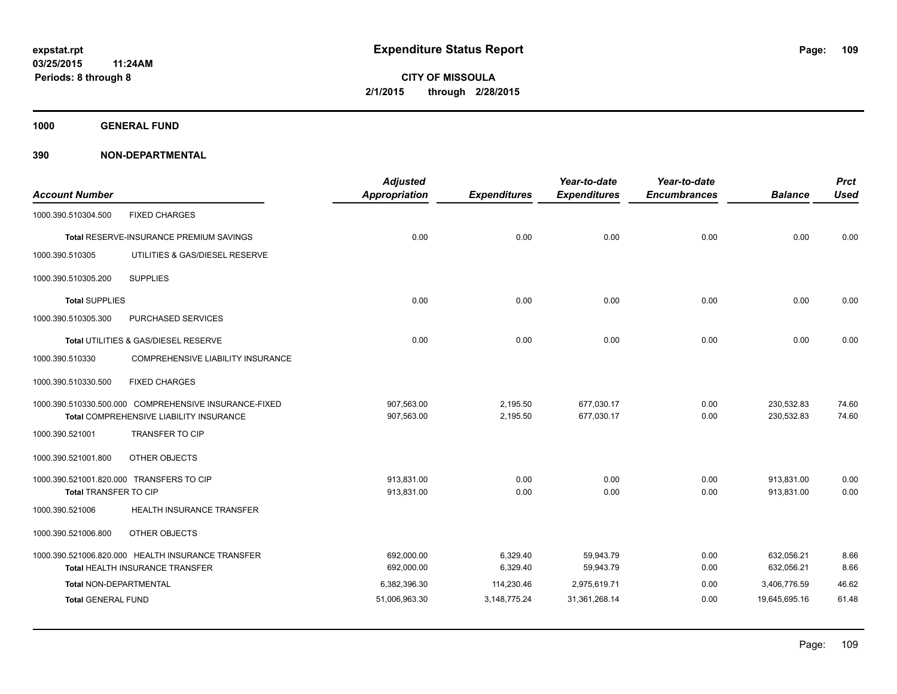**1000 GENERAL FUND**

| <b>Account Number</b>         |                                                       | <b>Adjusted</b><br>Appropriation | <b>Expenditures</b> | Year-to-date<br><b>Expenditures</b> | Year-to-date<br><b>Encumbrances</b> | <b>Balance</b> | <b>Prct</b><br><b>Used</b> |
|-------------------------------|-------------------------------------------------------|----------------------------------|---------------------|-------------------------------------|-------------------------------------|----------------|----------------------------|
| 1000.390.510304.500           | <b>FIXED CHARGES</b>                                  |                                  |                     |                                     |                                     |                |                            |
|                               | Total RESERVE-INSURANCE PREMIUM SAVINGS               | 0.00                             | 0.00                | 0.00                                | 0.00                                | 0.00           | 0.00                       |
| 1000.390.510305               | UTILITIES & GAS/DIESEL RESERVE                        |                                  |                     |                                     |                                     |                |                            |
| 1000.390.510305.200           | <b>SUPPLIES</b>                                       |                                  |                     |                                     |                                     |                |                            |
| <b>Total SUPPLIES</b>         |                                                       | 0.00                             | 0.00                | 0.00                                | 0.00                                | 0.00           | 0.00                       |
| 1000.390.510305.300           | <b>PURCHASED SERVICES</b>                             |                                  |                     |                                     |                                     |                |                            |
|                               | Total UTILITIES & GAS/DIESEL RESERVE                  | 0.00                             | 0.00                | 0.00                                | 0.00                                | 0.00           | 0.00                       |
| 1000.390.510330               | COMPREHENSIVE LIABILITY INSURANCE                     |                                  |                     |                                     |                                     |                |                            |
| 1000.390.510330.500           | <b>FIXED CHARGES</b>                                  |                                  |                     |                                     |                                     |                |                            |
|                               | 1000.390.510330.500.000 COMPREHENSIVE INSURANCE-FIXED | 907,563.00                       | 2,195.50            | 677,030.17                          | 0.00                                | 230,532.83     | 74.60                      |
|                               | Total COMPREHENSIVE LIABILITY INSURANCE               | 907,563.00                       | 2,195.50            | 677,030.17                          | 0.00                                | 230,532.83     | 74.60                      |
| 1000.390.521001               | <b>TRANSFER TO CIP</b>                                |                                  |                     |                                     |                                     |                |                            |
| 1000.390.521001.800           | OTHER OBJECTS                                         |                                  |                     |                                     |                                     |                |                            |
|                               | 1000.390.521001.820.000 TRANSFERS TO CIP              | 913,831.00                       | 0.00                | 0.00                                | 0.00                                | 913,831.00     | 0.00                       |
| Total TRANSFER TO CIP         |                                                       | 913,831.00                       | 0.00                | 0.00                                | 0.00                                | 913,831.00     | 0.00                       |
| 1000.390.521006               | <b>HEALTH INSURANCE TRANSFER</b>                      |                                  |                     |                                     |                                     |                |                            |
| 1000.390.521006.800           | OTHER OBJECTS                                         |                                  |                     |                                     |                                     |                |                            |
|                               | 1000.390.521006.820.000 HEALTH INSURANCE TRANSFER     | 692,000.00                       | 6,329.40            | 59,943.79                           | 0.00                                | 632,056.21     | 8.66                       |
|                               | <b>Total HEALTH INSURANCE TRANSFER</b>                | 692,000.00                       | 6,329.40            | 59,943.79                           | 0.00                                | 632,056.21     | 8.66                       |
| <b>Total NON-DEPARTMENTAL</b> |                                                       | 6,382,396.30                     | 114,230.46          | 2,975,619.71                        | 0.00                                | 3,406,776.59   | 46.62                      |
| <b>Total GENERAL FUND</b>     |                                                       | 51,006,963.30                    | 3,148,775.24        | 31,361,268.14                       | 0.00                                | 19,645,695.16  | 61.48                      |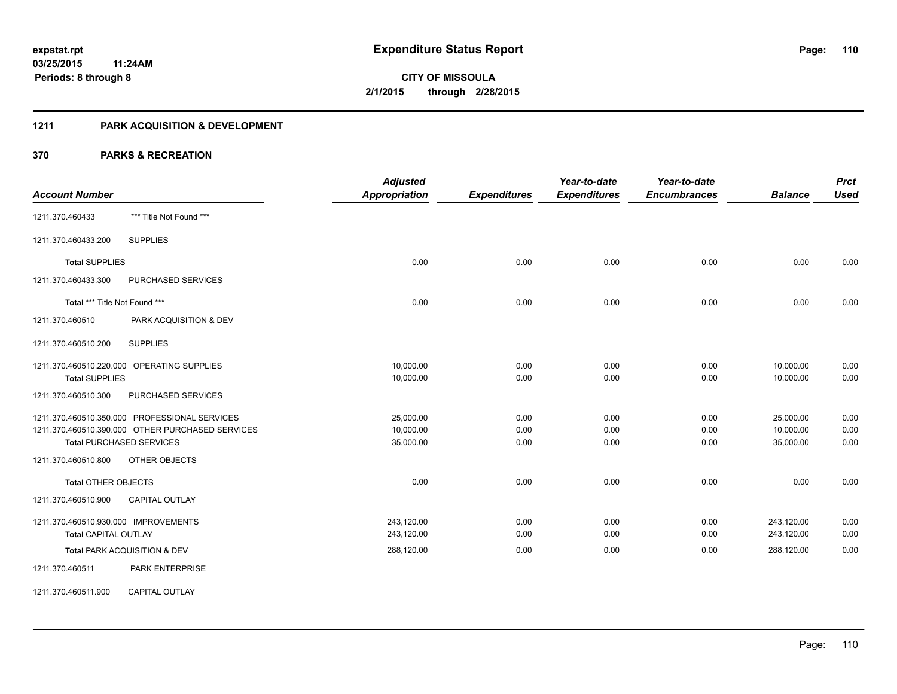#### **1211 PARK ACQUISITION & DEVELOPMENT**

|                                                  | <b>Adjusted</b>      |                     | Year-to-date        | Year-to-date        |                | <b>Prct</b> |
|--------------------------------------------------|----------------------|---------------------|---------------------|---------------------|----------------|-------------|
| <b>Account Number</b>                            | <b>Appropriation</b> | <b>Expenditures</b> | <b>Expenditures</b> | <b>Encumbrances</b> | <b>Balance</b> | <b>Used</b> |
| *** Title Not Found ***<br>1211.370.460433       |                      |                     |                     |                     |                |             |
| <b>SUPPLIES</b><br>1211.370.460433.200           |                      |                     |                     |                     |                |             |
| <b>Total SUPPLIES</b>                            | 0.00                 | 0.00                | 0.00                | 0.00                | 0.00           | 0.00        |
| 1211.370.460433.300<br>PURCHASED SERVICES        |                      |                     |                     |                     |                |             |
| Total *** Title Not Found ***                    | 0.00                 | 0.00                | 0.00                | 0.00                | 0.00           | 0.00        |
| 1211.370.460510<br>PARK ACQUISITION & DEV        |                      |                     |                     |                     |                |             |
| <b>SUPPLIES</b><br>1211.370.460510.200           |                      |                     |                     |                     |                |             |
| 1211.370.460510.220.000 OPERATING SUPPLIES       | 10,000.00            | 0.00                | 0.00                | 0.00                | 10,000.00      | 0.00        |
| <b>Total SUPPLIES</b>                            | 10,000.00            | 0.00                | 0.00                | 0.00                | 10,000.00      | 0.00        |
| PURCHASED SERVICES<br>1211.370.460510.300        |                      |                     |                     |                     |                |             |
| 1211.370.460510.350.000 PROFESSIONAL SERVICES    | 25,000.00            | 0.00                | 0.00                | 0.00                | 25,000.00      | 0.00        |
| 1211.370.460510.390.000 OTHER PURCHASED SERVICES | 10,000.00            | 0.00                | 0.00                | 0.00                | 10,000.00      | 0.00        |
| <b>Total PURCHASED SERVICES</b>                  | 35,000.00            | 0.00                | 0.00                | 0.00                | 35,000.00      | 0.00        |
| 1211.370.460510.800<br>OTHER OBJECTS             |                      |                     |                     |                     |                |             |
| <b>Total OTHER OBJECTS</b>                       | 0.00                 | 0.00                | 0.00                | 0.00                | 0.00           | 0.00        |
| <b>CAPITAL OUTLAY</b><br>1211.370.460510.900     |                      |                     |                     |                     |                |             |
| 1211.370.460510.930.000 IMPROVEMENTS             | 243,120.00           | 0.00                | 0.00                | 0.00                | 243,120.00     | 0.00        |
| Total CAPITAL OUTLAY                             | 243,120.00           | 0.00                | 0.00                | 0.00                | 243,120.00     | 0.00        |
| Total PARK ACQUISITION & DEV                     | 288,120.00           | 0.00                | 0.00                | 0.00                | 288,120.00     | 0.00        |
| PARK ENTERPRISE<br>1211.370.460511               |                      |                     |                     |                     |                |             |
| 1211.370.460511.900<br><b>CAPITAL OUTLAY</b>     |                      |                     |                     |                     |                |             |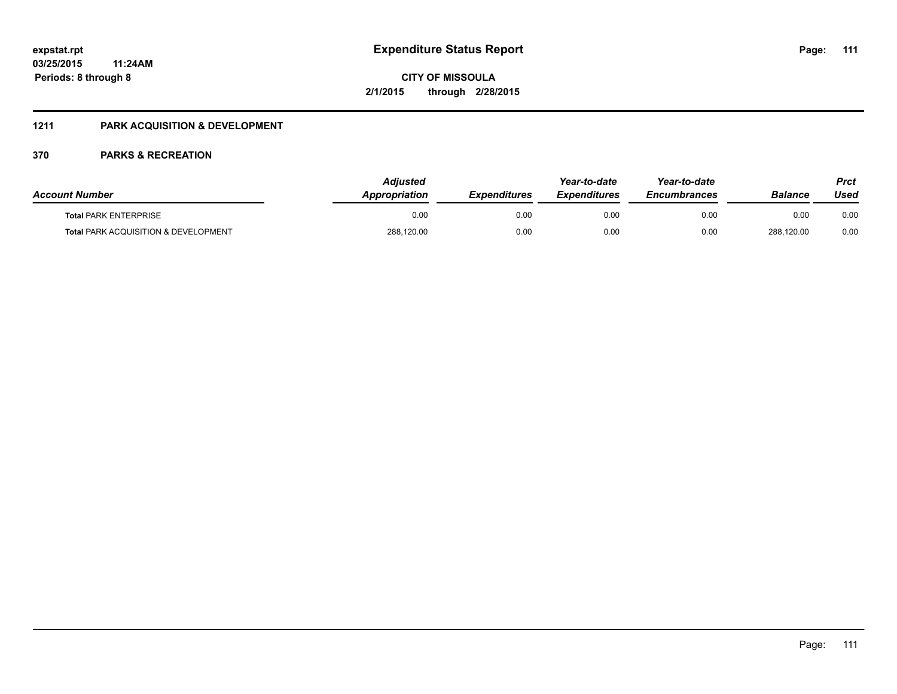### **1211 PARK ACQUISITION & DEVELOPMENT**

| <b>Account Number</b>                | <b>Adiusted</b><br><b>Appropriation</b> | <b>Expenditures</b> | Year-to-date<br><b>Expenditures</b> | Year-to-date<br><b>Encumbrances</b> | <b>Balance</b> | Prct<br>Used |
|--------------------------------------|-----------------------------------------|---------------------|-------------------------------------|-------------------------------------|----------------|--------------|
| <b>Total PARK ENTERPRISE</b>         | 0.00                                    | 0.00                | 0.00                                | 0.00                                | 0.00           | 0.00         |
| Total PARK ACQUISITION & DEVELOPMENT | 288,120.00                              | 0.00                | 0.00                                | 0.00                                | 288,120.00     | 0.00         |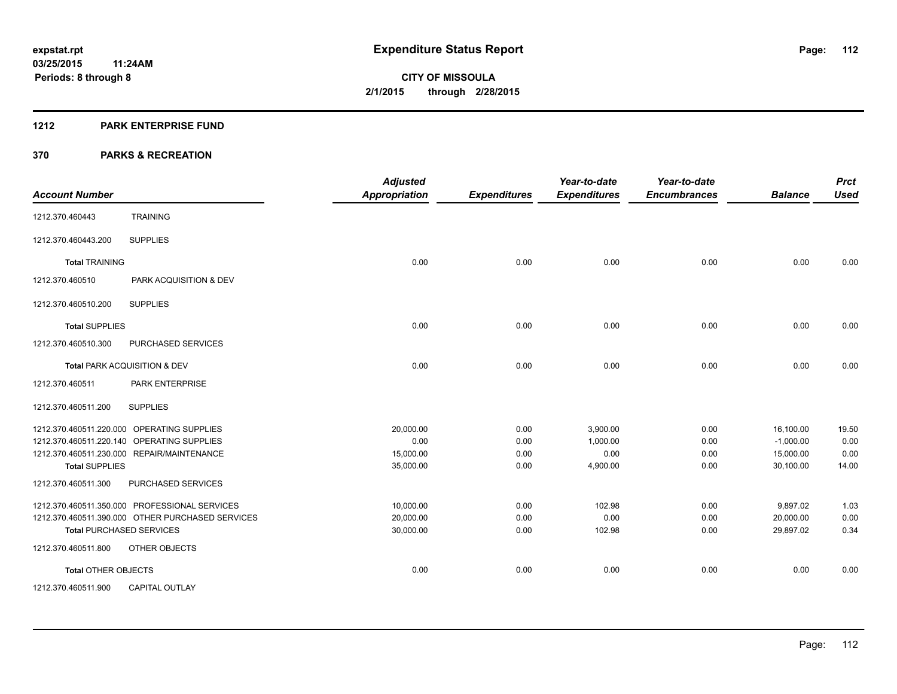#### **1212 PARK ENTERPRISE FUND**

| <b>Account Number</b>           |                                                  | <b>Adjusted</b><br><b>Appropriation</b> | <b>Expenditures</b> | Year-to-date<br><b>Expenditures</b> | Year-to-date<br><b>Encumbrances</b> | <b>Balance</b> | <b>Prct</b><br><b>Used</b> |
|---------------------------------|--------------------------------------------------|-----------------------------------------|---------------------|-------------------------------------|-------------------------------------|----------------|----------------------------|
| 1212.370.460443                 | <b>TRAINING</b>                                  |                                         |                     |                                     |                                     |                |                            |
| 1212.370.460443.200             | <b>SUPPLIES</b>                                  |                                         |                     |                                     |                                     |                |                            |
| <b>Total TRAINING</b>           |                                                  | 0.00                                    | 0.00                | 0.00                                | 0.00                                | 0.00           | 0.00                       |
| 1212.370.460510                 | PARK ACQUISITION & DEV                           |                                         |                     |                                     |                                     |                |                            |
| 1212.370.460510.200             | <b>SUPPLIES</b>                                  |                                         |                     |                                     |                                     |                |                            |
| <b>Total SUPPLIES</b>           |                                                  | 0.00                                    | 0.00                | 0.00                                | 0.00                                | 0.00           | 0.00                       |
| 1212.370.460510.300             | PURCHASED SERVICES                               |                                         |                     |                                     |                                     |                |                            |
|                                 | Total PARK ACQUISITION & DEV                     | 0.00                                    | 0.00                | 0.00                                | 0.00                                | 0.00           | 0.00                       |
| 1212.370.460511                 | PARK ENTERPRISE                                  |                                         |                     |                                     |                                     |                |                            |
| 1212.370.460511.200             | <b>SUPPLIES</b>                                  |                                         |                     |                                     |                                     |                |                            |
|                                 | 1212.370.460511.220.000 OPERATING SUPPLIES       | 20.000.00                               | 0.00                | 3.900.00                            | 0.00                                | 16,100.00      | 19.50                      |
|                                 | 1212.370.460511.220.140 OPERATING SUPPLIES       | 0.00                                    | 0.00                | 1.000.00                            | 0.00                                | $-1,000.00$    | 0.00                       |
|                                 | 1212.370.460511.230.000 REPAIR/MAINTENANCE       | 15,000.00                               | 0.00                | 0.00                                | 0.00                                | 15,000.00      | 0.00                       |
| <b>Total SUPPLIES</b>           |                                                  | 35,000.00                               | 0.00                | 4,900.00                            | 0.00                                | 30,100.00      | 14.00                      |
| 1212.370.460511.300             | PURCHASED SERVICES                               |                                         |                     |                                     |                                     |                |                            |
|                                 | 1212.370.460511.350.000 PROFESSIONAL SERVICES    | 10,000.00                               | 0.00                | 102.98                              | 0.00                                | 9,897.02       | 1.03                       |
|                                 | 1212.370.460511.390.000 OTHER PURCHASED SERVICES | 20,000.00                               | 0.00                | 0.00                                | 0.00                                | 20,000.00      | 0.00                       |
| <b>Total PURCHASED SERVICES</b> |                                                  | 30,000.00                               | 0.00                | 102.98                              | 0.00                                | 29.897.02      | 0.34                       |
| 1212.370.460511.800             | <b>OTHER OBJECTS</b>                             |                                         |                     |                                     |                                     |                |                            |
| <b>Total OTHER OBJECTS</b>      |                                                  | 0.00                                    | 0.00                | 0.00                                | 0.00                                | 0.00           | 0.00                       |
| 1212.370.460511.900             | <b>CAPITAL OUTLAY</b>                            |                                         |                     |                                     |                                     |                |                            |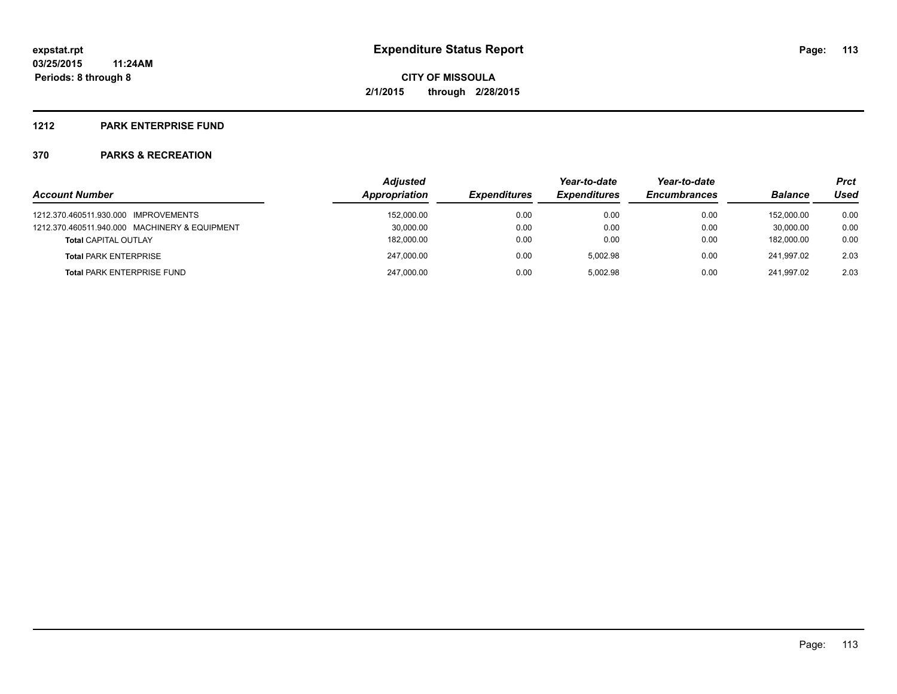#### **1212 PARK ENTERPRISE FUND**

| <b>Account Number</b>                         | <b>Adjusted</b><br>Appropriation | <b>Expenditures</b> | Year-to-date<br><b>Expenditures</b> | Year-to-date<br><b>Encumbrances</b> | <b>Balance</b> | <b>Prct</b><br>Used |
|-----------------------------------------------|----------------------------------|---------------------|-------------------------------------|-------------------------------------|----------------|---------------------|
|                                               |                                  |                     |                                     |                                     |                |                     |
| 1212.370.460511.930.000 IMPROVEMENTS          | 152,000.00                       | 0.00                | 0.00                                | 0.00                                | 152.000.00     | 0.00                |
| 1212.370.460511.940.000 MACHINERY & EQUIPMENT | 30,000.00                        | 0.00                | 0.00                                | 0.00                                | 30.000.00      | 0.00                |
| <b>Total CAPITAL OUTLAY</b>                   | 182,000.00                       | 0.00                | 0.00                                | 0.00                                | 182.000.00     | 0.00                |
| <b>Total PARK ENTERPRISE</b>                  | 247,000.00                       | 0.00                | 5.002.98                            | 0.00                                | 241.997.02     | 2.03                |
| <b>Total PARK ENTERPRISE FUND</b>             | 247,000.00                       | 0.00                | 5.002.98                            | 0.00                                | 241.997.02     | 2.03                |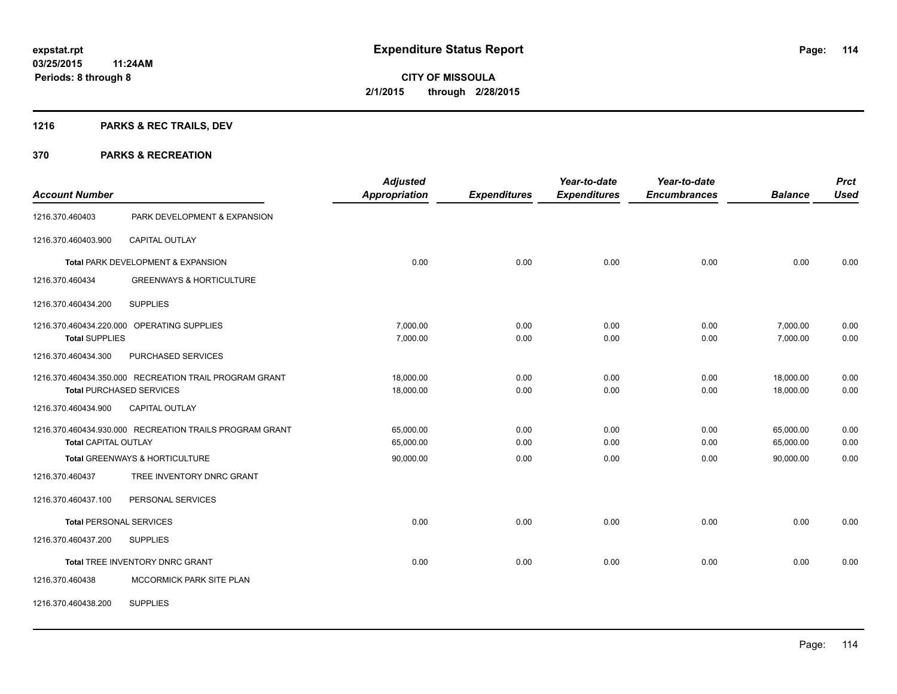## **1216 PARKS & REC TRAILS, DEV**

| <b>Account Number</b>       |                                                         | <b>Adjusted</b><br><b>Appropriation</b> | <b>Expenditures</b> | Year-to-date<br><b>Expenditures</b> | Year-to-date<br><b>Encumbrances</b> | <b>Balance</b> | <b>Prct</b><br><b>Used</b> |
|-----------------------------|---------------------------------------------------------|-----------------------------------------|---------------------|-------------------------------------|-------------------------------------|----------------|----------------------------|
| 1216.370.460403             | PARK DEVELOPMENT & EXPANSION                            |                                         |                     |                                     |                                     |                |                            |
| 1216.370.460403.900         | <b>CAPITAL OUTLAY</b>                                   |                                         |                     |                                     |                                     |                |                            |
|                             | Total PARK DEVELOPMENT & EXPANSION                      | 0.00                                    | 0.00                | 0.00                                | 0.00                                | 0.00           | 0.00                       |
| 1216.370.460434             | <b>GREENWAYS &amp; HORTICULTURE</b>                     |                                         |                     |                                     |                                     |                |                            |
| 1216.370.460434.200         | <b>SUPPLIES</b>                                         |                                         |                     |                                     |                                     |                |                            |
|                             | 1216.370.460434.220.000 OPERATING SUPPLIES              | 7,000.00                                | 0.00                | 0.00                                | 0.00                                | 7,000.00       | 0.00                       |
| <b>Total SUPPLIES</b>       |                                                         | 7,000.00                                | 0.00                | 0.00                                | 0.00                                | 7,000.00       | 0.00                       |
| 1216.370.460434.300         | PURCHASED SERVICES                                      |                                         |                     |                                     |                                     |                |                            |
|                             | 1216.370.460434.350.000 RECREATION TRAIL PROGRAM GRANT  | 18.000.00                               | 0.00                | 0.00                                | 0.00                                | 18,000.00      | 0.00                       |
|                             | <b>Total PURCHASED SERVICES</b>                         | 18,000.00                               | 0.00                | 0.00                                | 0.00                                | 18,000.00      | 0.00                       |
| 1216.370.460434.900         | CAPITAL OUTLAY                                          |                                         |                     |                                     |                                     |                |                            |
|                             | 1216.370.460434.930.000 RECREATION TRAILS PROGRAM GRANT | 65,000.00                               | 0.00                | 0.00                                | 0.00                                | 65,000.00      | 0.00                       |
| <b>Total CAPITAL OUTLAY</b> |                                                         | 65,000.00                               | 0.00                | 0.00                                | 0.00                                | 65,000.00      | 0.00                       |
|                             | Total GREENWAYS & HORTICULTURE                          | 90,000.00                               | 0.00                | 0.00                                | 0.00                                | 90.000.00      | 0.00                       |
| 1216.370.460437             | TREE INVENTORY DNRC GRANT                               |                                         |                     |                                     |                                     |                |                            |
| 1216.370.460437.100         | PERSONAL SERVICES                                       |                                         |                     |                                     |                                     |                |                            |
|                             | <b>Total PERSONAL SERVICES</b>                          | 0.00                                    | 0.00                | 0.00                                | 0.00                                | 0.00           | 0.00                       |
| 1216.370.460437.200         | <b>SUPPLIES</b>                                         |                                         |                     |                                     |                                     |                |                            |
|                             | Total TREE INVENTORY DNRC GRANT                         | 0.00                                    | 0.00                | 0.00                                | 0.00                                | 0.00           | 0.00                       |
| 1216.370.460438             | MCCORMICK PARK SITE PLAN                                |                                         |                     |                                     |                                     |                |                            |
| 1216.370.460438.200         | <b>SUPPLIES</b>                                         |                                         |                     |                                     |                                     |                |                            |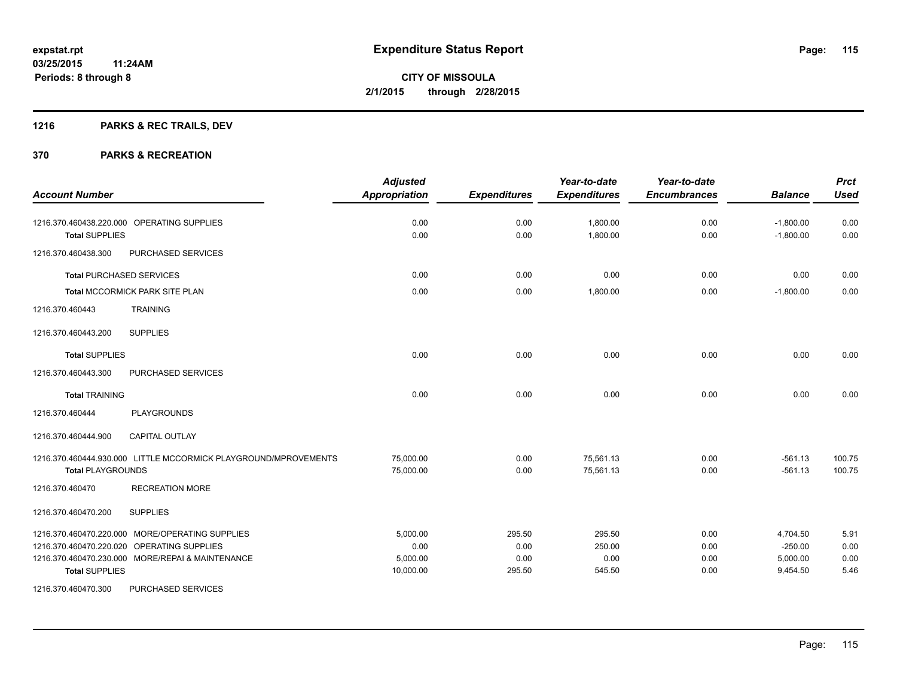## **1216 PARKS & REC TRAILS, DEV**

| <b>Account Number</b>                                                                                                                                                      | <b>Adjusted</b><br>Appropriation          | <b>Expenditures</b>              | Year-to-date<br><b>Expenditures</b> | Year-to-date<br><b>Encumbrances</b> | <b>Balance</b>                                | <b>Prct</b><br><b>Used</b>   |
|----------------------------------------------------------------------------------------------------------------------------------------------------------------------------|-------------------------------------------|----------------------------------|-------------------------------------|-------------------------------------|-----------------------------------------------|------------------------------|
| 1216.370.460438.220.000 OPERATING SUPPLIES<br><b>Total SUPPLIES</b>                                                                                                        | 0.00<br>0.00                              | 0.00<br>0.00                     | 1,800.00<br>1,800.00                | 0.00<br>0.00                        | $-1,800.00$<br>$-1,800.00$                    | 0.00<br>0.00                 |
| 1216.370.460438.300<br>PURCHASED SERVICES                                                                                                                                  |                                           |                                  |                                     |                                     |                                               |                              |
| <b>Total PURCHASED SERVICES</b>                                                                                                                                            | 0.00                                      | 0.00                             | 0.00                                | 0.00                                | 0.00                                          | 0.00                         |
| <b>Total MCCORMICK PARK SITE PLAN</b>                                                                                                                                      | 0.00                                      | 0.00                             | 1,800.00                            | 0.00                                | $-1,800.00$                                   | 0.00                         |
| <b>TRAINING</b><br>1216.370.460443                                                                                                                                         |                                           |                                  |                                     |                                     |                                               |                              |
| <b>SUPPLIES</b><br>1216.370.460443.200                                                                                                                                     |                                           |                                  |                                     |                                     |                                               |                              |
| <b>Total SUPPLIES</b>                                                                                                                                                      | 0.00                                      | 0.00                             | 0.00                                | 0.00                                | 0.00                                          | 0.00                         |
| 1216.370.460443.300<br>PURCHASED SERVICES                                                                                                                                  |                                           |                                  |                                     |                                     |                                               |                              |
| <b>Total TRAINING</b>                                                                                                                                                      | 0.00                                      | 0.00                             | 0.00                                | 0.00                                | 0.00                                          | 0.00                         |
| 1216.370.460444<br><b>PLAYGROUNDS</b>                                                                                                                                      |                                           |                                  |                                     |                                     |                                               |                              |
| 1216.370.460444.900<br><b>CAPITAL OUTLAY</b>                                                                                                                               |                                           |                                  |                                     |                                     |                                               |                              |
| 1216.370.460444.930.000 LITTLE MCCORMICK PLAYGROUND/MPROVEMENTS<br><b>Total PLAYGROUNDS</b>                                                                                | 75,000.00<br>75,000.00                    | 0.00<br>0.00                     | 75,561.13<br>75,561.13              | 0.00<br>0.00                        | $-561.13$<br>$-561.13$                        | 100.75<br>100.75             |
| <b>RECREATION MORE</b><br>1216.370.460470                                                                                                                                  |                                           |                                  |                                     |                                     |                                               |                              |
| <b>SUPPLIES</b><br>1216.370.460470.200                                                                                                                                     |                                           |                                  |                                     |                                     |                                               |                              |
| 1216.370.460470.220.000 MORE/OPERATING SUPPLIES<br>1216.370.460470.220.020 OPERATING SUPPLIES<br>1216.370.460470.230.000 MORE/REPAI & MAINTENANCE<br><b>Total SUPPLIES</b> | 5,000.00<br>0.00<br>5,000.00<br>10,000.00 | 295.50<br>0.00<br>0.00<br>295.50 | 295.50<br>250.00<br>0.00<br>545.50  | 0.00<br>0.00<br>0.00<br>0.00        | 4,704.50<br>$-250.00$<br>5,000.00<br>9,454.50 | 5.91<br>0.00<br>0.00<br>5.46 |
| 1216.370.460470.300<br>PURCHASED SERVICES                                                                                                                                  |                                           |                                  |                                     |                                     |                                               |                              |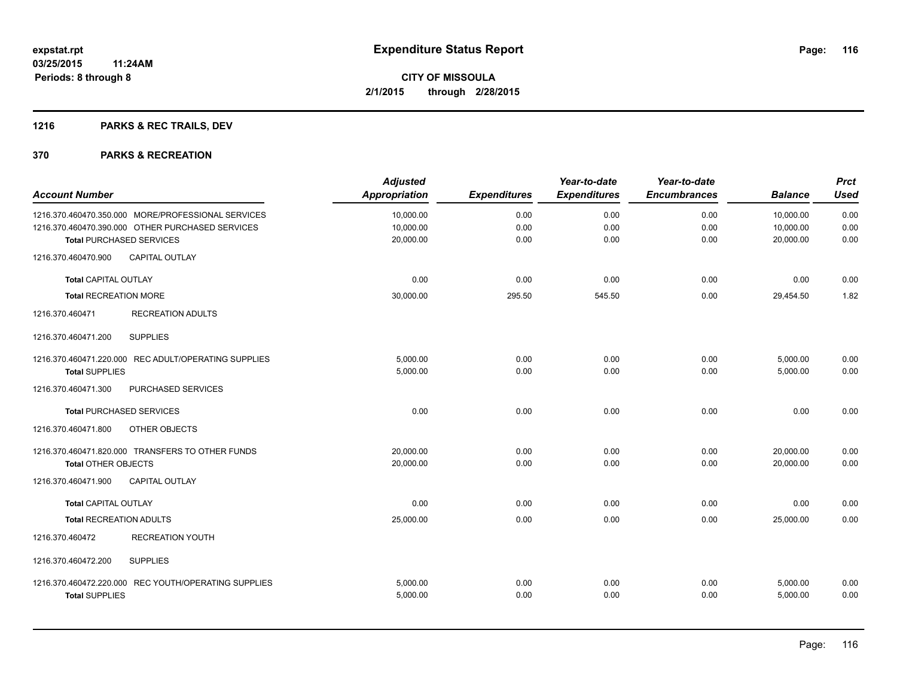## **1216 PARKS & REC TRAILS, DEV**

| <b>Account Number</b>          |                                                      | <b>Adjusted</b><br>Appropriation | <b>Expenditures</b> | Year-to-date<br><b>Expenditures</b> | Year-to-date<br><b>Encumbrances</b> | <b>Balance</b> | <b>Prct</b><br><b>Used</b> |
|--------------------------------|------------------------------------------------------|----------------------------------|---------------------|-------------------------------------|-------------------------------------|----------------|----------------------------|
|                                | 1216.370.460470.350.000 MORE/PROFESSIONAL SERVICES   | 10,000.00                        | 0.00                | 0.00                                | 0.00                                | 10,000.00      | 0.00                       |
|                                | 1216.370.460470.390.000 OTHER PURCHASED SERVICES     | 10,000.00                        | 0.00                | 0.00                                | 0.00                                | 10,000.00      | 0.00                       |
|                                | <b>Total PURCHASED SERVICES</b>                      | 20,000.00                        | 0.00                | 0.00                                | 0.00                                | 20,000.00      | 0.00                       |
| 1216.370.460470.900            | CAPITAL OUTLAY                                       |                                  |                     |                                     |                                     |                |                            |
| <b>Total CAPITAL OUTLAY</b>    |                                                      | 0.00                             | 0.00                | 0.00                                | 0.00                                | 0.00           | 0.00                       |
| <b>Total RECREATION MORE</b>   |                                                      | 30,000.00                        | 295.50              | 545.50                              | 0.00                                | 29,454.50      | 1.82                       |
| 1216.370.460471                | <b>RECREATION ADULTS</b>                             |                                  |                     |                                     |                                     |                |                            |
| 1216.370.460471.200            | <b>SUPPLIES</b>                                      |                                  |                     |                                     |                                     |                |                            |
|                                | 1216.370.460471.220.000 REC ADULT/OPERATING SUPPLIES | 5.000.00                         | 0.00                | 0.00                                | 0.00                                | 5,000.00       | 0.00                       |
| <b>Total SUPPLIES</b>          |                                                      | 5,000.00                         | 0.00                | 0.00                                | 0.00                                | 5,000.00       | 0.00                       |
| 1216.370.460471.300            | PURCHASED SERVICES                                   |                                  |                     |                                     |                                     |                |                            |
|                                | <b>Total PURCHASED SERVICES</b>                      | 0.00                             | 0.00                | 0.00                                | 0.00                                | 0.00           | 0.00                       |
| 1216.370.460471.800            | OTHER OBJECTS                                        |                                  |                     |                                     |                                     |                |                            |
|                                | 1216.370.460471.820.000 TRANSFERS TO OTHER FUNDS     | 20,000.00                        | 0.00                | 0.00                                | 0.00                                | 20,000.00      | 0.00                       |
| <b>Total OTHER OBJECTS</b>     |                                                      | 20,000.00                        | 0.00                | 0.00                                | 0.00                                | 20,000.00      | 0.00                       |
| 1216.370.460471.900            | <b>CAPITAL OUTLAY</b>                                |                                  |                     |                                     |                                     |                |                            |
| <b>Total CAPITAL OUTLAY</b>    |                                                      | 0.00                             | 0.00                | 0.00                                | 0.00                                | 0.00           | 0.00                       |
| <b>Total RECREATION ADULTS</b> |                                                      | 25,000.00                        | 0.00                | 0.00                                | 0.00                                | 25.000.00      | 0.00                       |
| 1216.370.460472                | <b>RECREATION YOUTH</b>                              |                                  |                     |                                     |                                     |                |                            |
| 1216.370.460472.200            | <b>SUPPLIES</b>                                      |                                  |                     |                                     |                                     |                |                            |
|                                | 1216.370.460472.220.000 REC YOUTH/OPERATING SUPPLIES | 5,000.00                         | 0.00                | 0.00                                | 0.00                                | 5,000.00       | 0.00                       |
| <b>Total SUPPLIES</b>          |                                                      | 5,000.00                         | 0.00                | 0.00                                | 0.00                                | 5,000.00       | 0.00                       |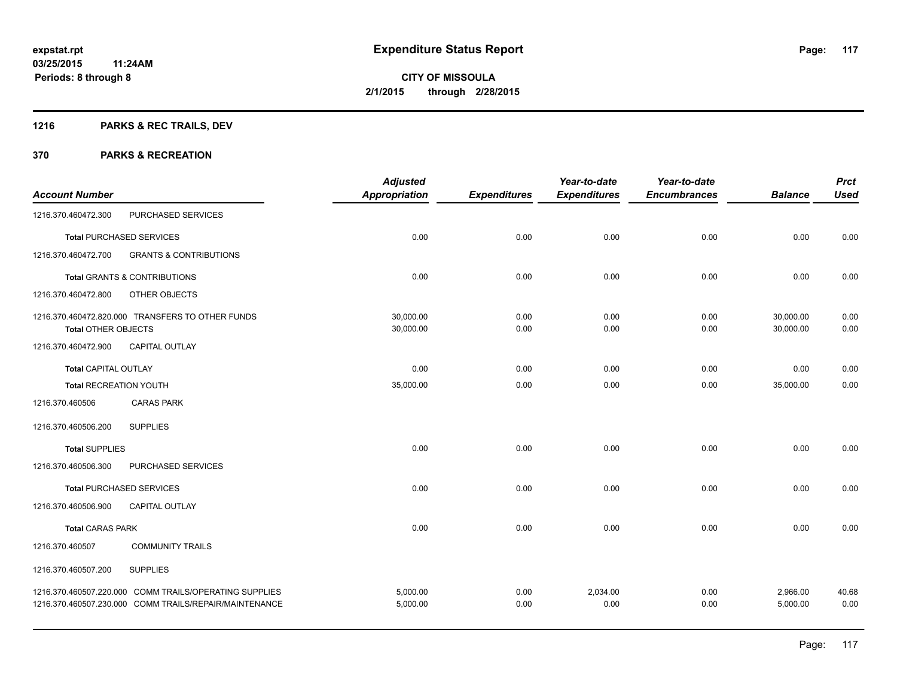## **1216 PARKS & REC TRAILS, DEV**

|                               |                                                                                                                  | <b>Adjusted</b>      |                     | Year-to-date        | Year-to-date        |                      | <b>Prct</b>   |
|-------------------------------|------------------------------------------------------------------------------------------------------------------|----------------------|---------------------|---------------------|---------------------|----------------------|---------------|
| <b>Account Number</b>         |                                                                                                                  | <b>Appropriation</b> | <b>Expenditures</b> | <b>Expenditures</b> | <b>Encumbrances</b> | <b>Balance</b>       | <b>Used</b>   |
| 1216.370.460472.300           | PURCHASED SERVICES                                                                                               |                      |                     |                     |                     |                      |               |
|                               | <b>Total PURCHASED SERVICES</b>                                                                                  | 0.00                 | 0.00                | 0.00                | 0.00                | 0.00                 | 0.00          |
| 1216.370.460472.700           | <b>GRANTS &amp; CONTRIBUTIONS</b>                                                                                |                      |                     |                     |                     |                      |               |
|                               | <b>Total GRANTS &amp; CONTRIBUTIONS</b>                                                                          | 0.00                 | 0.00                | 0.00                | 0.00                | 0.00                 | 0.00          |
| 1216.370.460472.800           | OTHER OBJECTS                                                                                                    |                      |                     |                     |                     |                      |               |
|                               | 1216.370.460472.820.000 TRANSFERS TO OTHER FUNDS                                                                 | 30,000.00            | 0.00                | 0.00                | 0.00                | 30,000.00            | 0.00          |
| <b>Total OTHER OBJECTS</b>    |                                                                                                                  | 30,000.00            | 0.00                | 0.00                | 0.00                | 30,000.00            | 0.00          |
| 1216.370.460472.900           | CAPITAL OUTLAY                                                                                                   |                      |                     |                     |                     |                      |               |
| <b>Total CAPITAL OUTLAY</b>   |                                                                                                                  | 0.00                 | 0.00                | 0.00                | 0.00                | 0.00                 | 0.00          |
| <b>Total RECREATION YOUTH</b> |                                                                                                                  | 35,000.00            | 0.00                | 0.00                | 0.00                | 35,000.00            | 0.00          |
| 1216.370.460506               | <b>CARAS PARK</b>                                                                                                |                      |                     |                     |                     |                      |               |
| 1216.370.460506.200           | <b>SUPPLIES</b>                                                                                                  |                      |                     |                     |                     |                      |               |
| <b>Total SUPPLIES</b>         |                                                                                                                  | 0.00                 | 0.00                | 0.00                | 0.00                | 0.00                 | 0.00          |
| 1216.370.460506.300           | PURCHASED SERVICES                                                                                               |                      |                     |                     |                     |                      |               |
|                               | <b>Total PURCHASED SERVICES</b>                                                                                  | 0.00                 | 0.00                | 0.00                | 0.00                | 0.00                 | 0.00          |
| 1216.370.460506.900           | <b>CAPITAL OUTLAY</b>                                                                                            |                      |                     |                     |                     |                      |               |
| <b>Total CARAS PARK</b>       |                                                                                                                  | 0.00                 | 0.00                | 0.00                | 0.00                | 0.00                 | 0.00          |
| 1216.370.460507               | <b>COMMUNITY TRAILS</b>                                                                                          |                      |                     |                     |                     |                      |               |
| 1216.370.460507.200           | <b>SUPPLIES</b>                                                                                                  |                      |                     |                     |                     |                      |               |
|                               | 1216.370.460507.220.000 COMM TRAILS/OPERATING SUPPLIES<br>1216.370.460507.230.000 COMM TRAILS/REPAIR/MAINTENANCE | 5,000.00<br>5,000.00 | 0.00<br>0.00        | 2,034.00<br>0.00    | 0.00<br>0.00        | 2,966.00<br>5,000.00 | 40.68<br>0.00 |
|                               |                                                                                                                  |                      |                     |                     |                     |                      |               |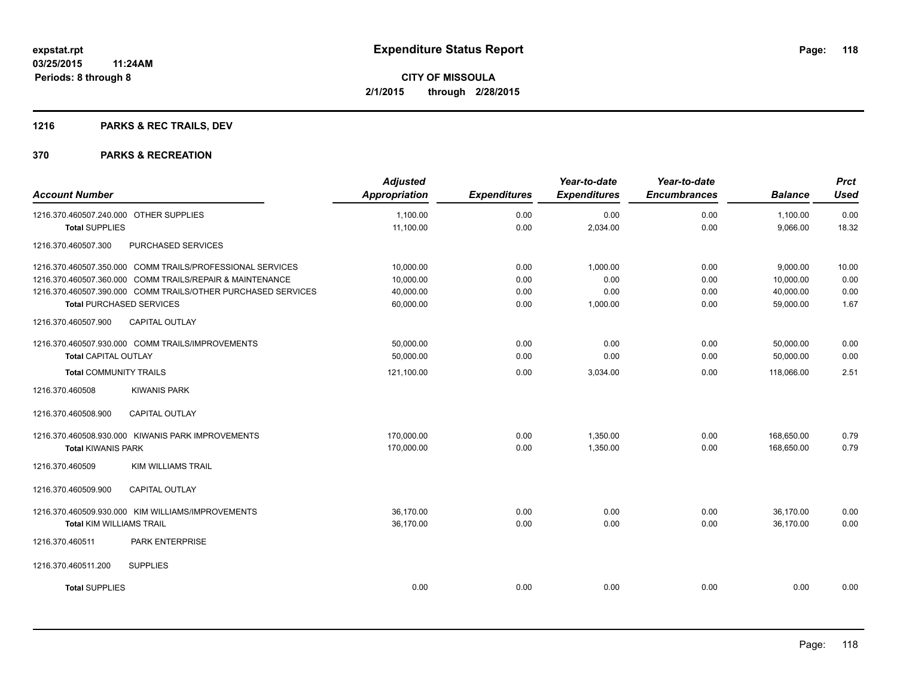## **1216 PARKS & REC TRAILS, DEV**

| <b>Account Number</b>                  |                                                              | <b>Adjusted</b><br><b>Appropriation</b> | <b>Expenditures</b> | Year-to-date<br><b>Expenditures</b> | Year-to-date<br><b>Encumbrances</b> | <b>Balance</b> | <b>Prct</b><br><b>Used</b> |
|----------------------------------------|--------------------------------------------------------------|-----------------------------------------|---------------------|-------------------------------------|-------------------------------------|----------------|----------------------------|
|                                        |                                                              |                                         |                     |                                     |                                     |                |                            |
| 1216.370.460507.240.000 OTHER SUPPLIES |                                                              | 1,100.00                                | 0.00                | 0.00                                | 0.00                                | 1,100.00       | 0.00                       |
| <b>Total SUPPLIES</b>                  |                                                              | 11,100.00                               | 0.00                | 2,034.00                            | 0.00                                | 9,066.00       | 18.32                      |
| 1216.370.460507.300                    | PURCHASED SERVICES                                           |                                         |                     |                                     |                                     |                |                            |
|                                        | 1216.370.460507.350.000 COMM TRAILS/PROFESSIONAL SERVICES    | 10,000.00                               | 0.00                | 1,000.00                            | 0.00                                | 9,000.00       | 10.00                      |
|                                        | 1216.370.460507.360.000 COMM TRAILS/REPAIR & MAINTENANCE     | 10,000.00                               | 0.00                | 0.00                                | 0.00                                | 10,000.00      | 0.00                       |
|                                        | 1216.370.460507.390.000 COMM TRAILS/OTHER PURCHASED SERVICES | 40.000.00                               | 0.00                | 0.00                                | 0.00                                | 40.000.00      | 0.00                       |
| <b>Total PURCHASED SERVICES</b>        |                                                              | 60,000.00                               | 0.00                | 1,000.00                            | 0.00                                | 59,000.00      | 1.67                       |
| 1216.370.460507.900                    | <b>CAPITAL OUTLAY</b>                                        |                                         |                     |                                     |                                     |                |                            |
|                                        | 1216.370.460507.930.000 COMM TRAILS/IMPROVEMENTS             | 50.000.00                               | 0.00                | 0.00                                | 0.00                                | 50,000.00      | 0.00                       |
| <b>Total CAPITAL OUTLAY</b>            |                                                              | 50,000.00                               | 0.00                | 0.00                                | 0.00                                | 50,000.00      | 0.00                       |
| <b>Total COMMUNITY TRAILS</b>          |                                                              | 121,100.00                              | 0.00                | 3,034.00                            | 0.00                                | 118,066.00     | 2.51                       |
| 1216.370.460508                        | <b>KIWANIS PARK</b>                                          |                                         |                     |                                     |                                     |                |                            |
| 1216.370.460508.900                    | CAPITAL OUTLAY                                               |                                         |                     |                                     |                                     |                |                            |
|                                        | 1216.370.460508.930.000 KIWANIS PARK IMPROVEMENTS            | 170,000.00                              | 0.00                | 1,350.00                            | 0.00                                | 168,650.00     | 0.79                       |
| <b>Total KIWANIS PARK</b>              |                                                              | 170,000.00                              | 0.00                | 1,350.00                            | 0.00                                | 168.650.00     | 0.79                       |
| 1216.370.460509                        | <b>KIM WILLIAMS TRAIL</b>                                    |                                         |                     |                                     |                                     |                |                            |
| 1216.370.460509.900                    | <b>CAPITAL OUTLAY</b>                                        |                                         |                     |                                     |                                     |                |                            |
|                                        | 1216.370.460509.930.000 KIM WILLIAMS/IMPROVEMENTS            | 36,170.00                               | 0.00                | 0.00                                | 0.00                                | 36,170.00      | 0.00                       |
| <b>Total KIM WILLIAMS TRAIL</b>        |                                                              | 36,170.00                               | 0.00                | 0.00                                | 0.00                                | 36,170.00      | 0.00                       |
| 1216.370.460511                        | PARK ENTERPRISE                                              |                                         |                     |                                     |                                     |                |                            |
| 1216.370.460511.200                    | <b>SUPPLIES</b>                                              |                                         |                     |                                     |                                     |                |                            |
| <b>Total SUPPLIES</b>                  |                                                              | 0.00                                    | 0.00                | 0.00                                | 0.00                                | 0.00           | 0.00                       |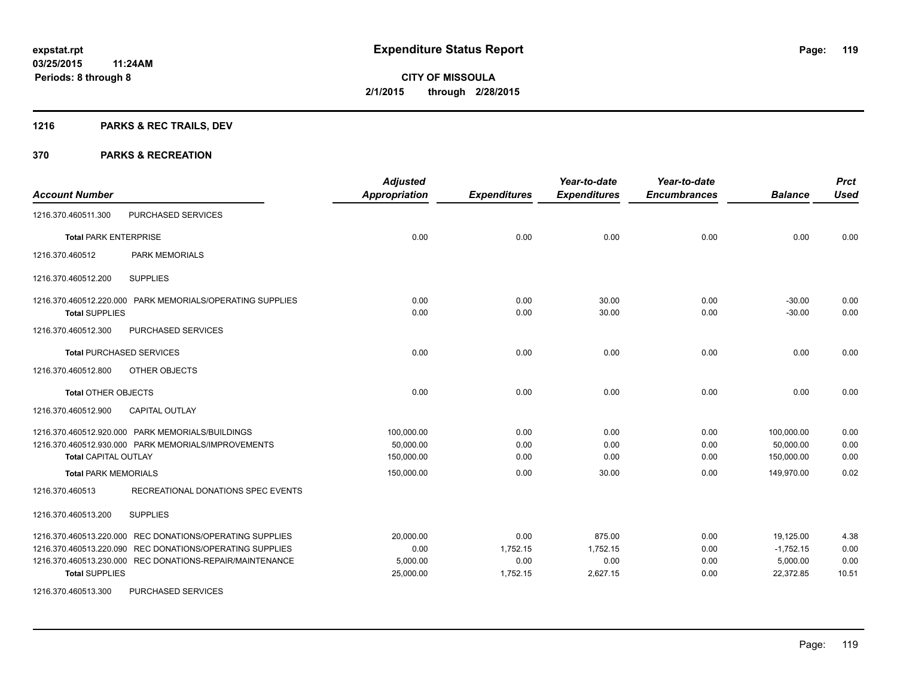## **1216 PARKS & REC TRAILS, DEV**

### **370 PARKS & RECREATION**

| <b>Account Number</b>                                                                                                                                                                                     | <b>Adjusted</b><br><b>Appropriation</b>    | <b>Expenditures</b>                  | Year-to-date<br><b>Expenditures</b>    | Year-to-date<br><b>Encumbrances</b> | <b>Balance</b>                                    | <b>Prct</b><br><b>Used</b>    |
|-----------------------------------------------------------------------------------------------------------------------------------------------------------------------------------------------------------|--------------------------------------------|--------------------------------------|----------------------------------------|-------------------------------------|---------------------------------------------------|-------------------------------|
| PURCHASED SERVICES<br>1216.370.460511.300                                                                                                                                                                 |                                            |                                      |                                        |                                     |                                                   |                               |
| <b>Total PARK ENTERPRISE</b>                                                                                                                                                                              | 0.00                                       | 0.00                                 | 0.00                                   | 0.00                                | 0.00                                              | 0.00                          |
| <b>PARK MEMORIALS</b><br>1216.370.460512                                                                                                                                                                  |                                            |                                      |                                        |                                     |                                                   |                               |
| <b>SUPPLIES</b><br>1216.370.460512.200                                                                                                                                                                    |                                            |                                      |                                        |                                     |                                                   |                               |
| 1216.370.460512.220.000 PARK MEMORIALS/OPERATING SUPPLIES<br><b>Total SUPPLIES</b>                                                                                                                        | 0.00<br>0.00                               | 0.00<br>0.00                         | 30.00<br>30.00                         | 0.00<br>0.00                        | $-30.00$<br>$-30.00$                              | 0.00<br>0.00                  |
| 1216.370.460512.300<br>PURCHASED SERVICES                                                                                                                                                                 |                                            |                                      |                                        |                                     |                                                   |                               |
| <b>Total PURCHASED SERVICES</b>                                                                                                                                                                           | 0.00                                       | 0.00                                 | 0.00                                   | 0.00                                | 0.00                                              | 0.00                          |
| OTHER OBJECTS<br>1216.370.460512.800                                                                                                                                                                      |                                            |                                      |                                        |                                     |                                                   |                               |
| <b>Total OTHER OBJECTS</b>                                                                                                                                                                                | 0.00                                       | 0.00                                 | 0.00                                   | 0.00                                | 0.00                                              | 0.00                          |
| 1216.370.460512.900<br>CAPITAL OUTLAY                                                                                                                                                                     |                                            |                                      |                                        |                                     |                                                   |                               |
| 1216.370.460512.920.000 PARK MEMORIALS/BUILDINGS<br>1216.370.460512.930.000 PARK MEMORIALS/IMPROVEMENTS<br><b>Total CAPITAL OUTLAY</b>                                                                    | 100,000.00<br>50,000.00<br>150,000.00      | 0.00<br>0.00<br>0.00                 | 0.00<br>0.00<br>0.00                   | 0.00<br>0.00<br>0.00                | 100.000.00<br>50,000.00<br>150,000.00             | 0.00<br>0.00<br>0.00          |
| <b>Total PARK MEMORIALS</b>                                                                                                                                                                               | 150,000.00                                 | 0.00                                 | 30.00                                  | 0.00                                | 149,970.00                                        | 0.02                          |
| RECREATIONAL DONATIONS SPEC EVENTS<br>1216.370.460513                                                                                                                                                     |                                            |                                      |                                        |                                     |                                                   |                               |
| 1216.370.460513.200<br><b>SUPPLIES</b>                                                                                                                                                                    |                                            |                                      |                                        |                                     |                                                   |                               |
| 1216.370.460513.220.000 REC DONATIONS/OPERATING SUPPLIES<br>1216.370.460513.220.090 REC DONATIONS/OPERATING SUPPLIES<br>1216.370.460513.230.000 REC DONATIONS-REPAIR/MAINTENANCE<br><b>Total SUPPLIES</b> | 20,000.00<br>0.00<br>5,000.00<br>25,000.00 | 0.00<br>1,752.15<br>0.00<br>1,752.15 | 875.00<br>1.752.15<br>0.00<br>2,627.15 | 0.00<br>0.00<br>0.00<br>0.00        | 19,125.00<br>$-1,752.15$<br>5,000.00<br>22,372.85 | 4.38<br>0.00<br>0.00<br>10.51 |
| 1216.370.460513.300<br>PURCHASED SERVICES                                                                                                                                                                 |                                            |                                      |                                        |                                     |                                                   |                               |

Page: 119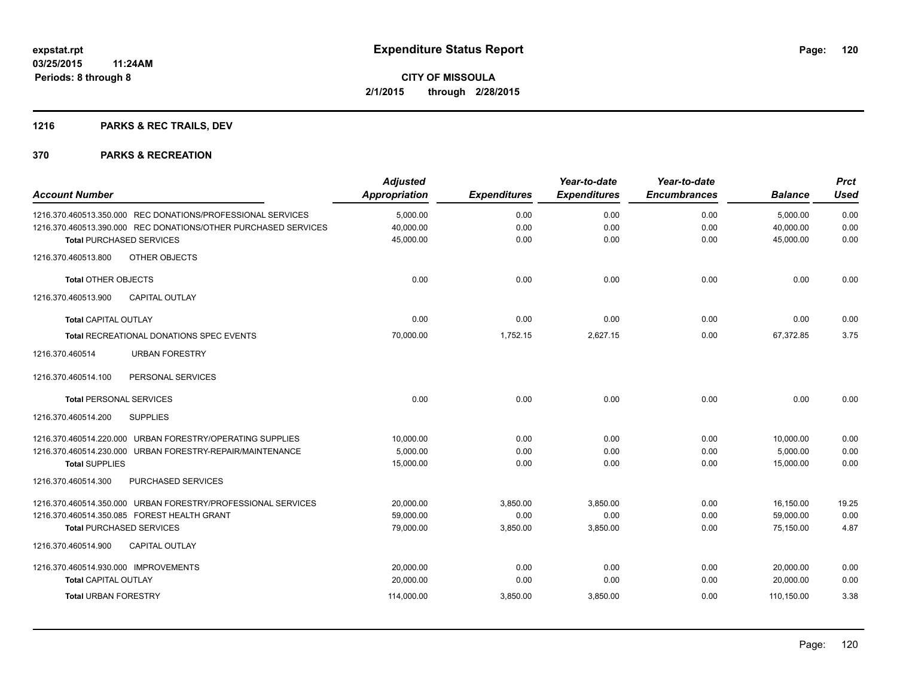## **1216 PARKS & REC TRAILS, DEV**

| <b>Account Number</b>                                          | <b>Adjusted</b><br><b>Appropriation</b> | <b>Expenditures</b> | Year-to-date<br><b>Expenditures</b> | Year-to-date<br><b>Encumbrances</b> | <b>Balance</b> | <b>Prct</b><br><b>Used</b> |
|----------------------------------------------------------------|-----------------------------------------|---------------------|-------------------------------------|-------------------------------------|----------------|----------------------------|
| 1216.370.460513.350.000 REC DONATIONS/PROFESSIONAL SERVICES    | 5,000.00                                | 0.00                | 0.00                                | 0.00                                | 5,000.00       | 0.00                       |
| 1216.370.460513.390.000 REC DONATIONS/OTHER PURCHASED SERVICES | 40,000.00                               | 0.00                | 0.00                                | 0.00                                | 40,000.00      | 0.00                       |
| <b>Total PURCHASED SERVICES</b>                                | 45,000.00                               | 0.00                | 0.00                                | 0.00                                | 45,000.00      | 0.00                       |
| 1216.370.460513.800<br>OTHER OBJECTS                           |                                         |                     |                                     |                                     |                |                            |
| <b>Total OTHER OBJECTS</b>                                     | 0.00                                    | 0.00                | 0.00                                | 0.00                                | 0.00           | 0.00                       |
| 1216.370.460513.900<br><b>CAPITAL OUTLAY</b>                   |                                         |                     |                                     |                                     |                |                            |
| Total CAPITAL OUTLAY                                           | 0.00                                    | 0.00                | 0.00                                | 0.00                                | 0.00           | 0.00                       |
| Total RECREATIONAL DONATIONS SPEC EVENTS                       | 70,000.00                               | 1,752.15            | 2,627.15                            | 0.00                                | 67,372.85      | 3.75                       |
| <b>URBAN FORESTRY</b><br>1216.370.460514                       |                                         |                     |                                     |                                     |                |                            |
| PERSONAL SERVICES<br>1216.370.460514.100                       |                                         |                     |                                     |                                     |                |                            |
| <b>Total PERSONAL SERVICES</b>                                 | 0.00                                    | 0.00                | 0.00                                | 0.00                                | 0.00           | 0.00                       |
| 1216.370.460514.200<br><b>SUPPLIES</b>                         |                                         |                     |                                     |                                     |                |                            |
| 1216.370.460514.220.000 URBAN FORESTRY/OPERATING SUPPLIES      | 10,000.00                               | 0.00                | 0.00                                | 0.00                                | 10,000.00      | 0.00                       |
| 1216.370.460514.230.000 URBAN FORESTRY-REPAIR/MAINTENANCE      | 5,000.00                                | 0.00                | 0.00                                | 0.00                                | 5,000.00       | 0.00                       |
| <b>Total SUPPLIES</b>                                          | 15,000.00                               | 0.00                | 0.00                                | 0.00                                | 15.000.00      | 0.00                       |
| 1216.370.460514.300<br>PURCHASED SERVICES                      |                                         |                     |                                     |                                     |                |                            |
| 1216.370.460514.350.000 URBAN FORESTRY/PROFESSIONAL SERVICES   | 20,000.00                               | 3,850.00            | 3,850.00                            | 0.00                                | 16,150.00      | 19.25                      |
| 1216.370.460514.350.085 FOREST HEALTH GRANT                    | 59,000.00                               | 0.00                | 0.00                                | 0.00                                | 59,000.00      | 0.00                       |
| <b>Total PURCHASED SERVICES</b>                                | 79,000.00                               | 3,850.00            | 3,850.00                            | 0.00                                | 75,150.00      | 4.87                       |
| <b>CAPITAL OUTLAY</b><br>1216.370.460514.900                   |                                         |                     |                                     |                                     |                |                            |
| 1216.370.460514.930.000 IMPROVEMENTS                           | 20,000.00                               | 0.00                | 0.00                                | 0.00                                | 20,000.00      | 0.00                       |
| <b>Total CAPITAL OUTLAY</b>                                    | 20,000.00                               | 0.00                | 0.00                                | 0.00                                | 20,000.00      | 0.00                       |
| <b>Total URBAN FORESTRY</b>                                    | 114,000.00                              | 3,850.00            | 3,850.00                            | 0.00                                | 110,150.00     | 3.38                       |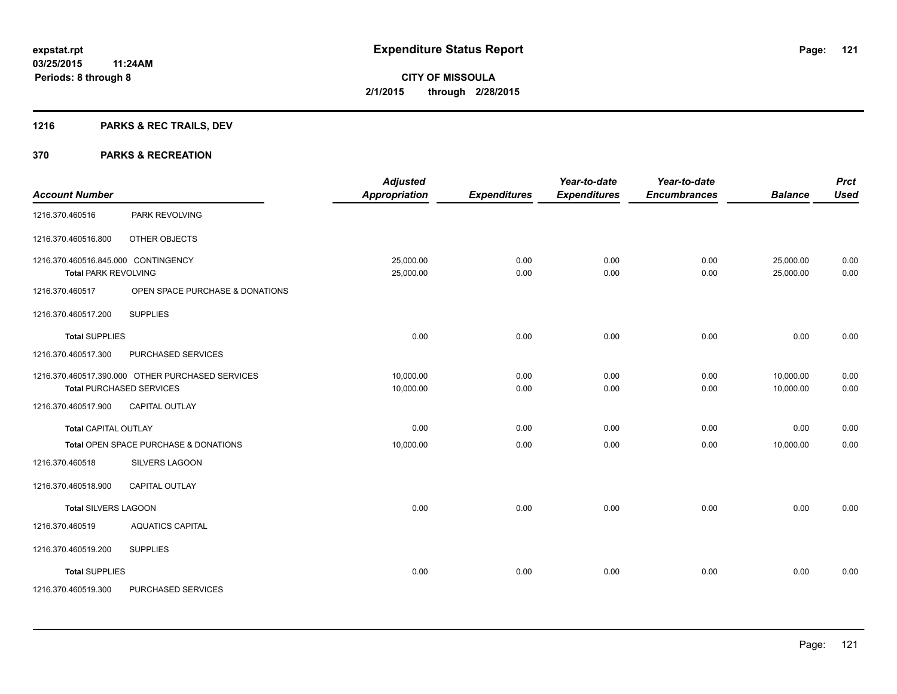## **1216 PARKS & REC TRAILS, DEV**

|                                     |                                                  | <b>Adjusted</b>      |                     | Year-to-date        | Year-to-date        |                | <b>Prct</b><br><b>Used</b> |
|-------------------------------------|--------------------------------------------------|----------------------|---------------------|---------------------|---------------------|----------------|----------------------------|
| <b>Account Number</b>               |                                                  | <b>Appropriation</b> | <b>Expenditures</b> | <b>Expenditures</b> | <b>Encumbrances</b> | <b>Balance</b> |                            |
| 1216.370.460516                     | PARK REVOLVING                                   |                      |                     |                     |                     |                |                            |
| 1216.370.460516.800                 | OTHER OBJECTS                                    |                      |                     |                     |                     |                |                            |
| 1216.370.460516.845.000 CONTINGENCY |                                                  | 25,000.00            | 0.00                | 0.00                | 0.00                | 25,000.00      | 0.00                       |
| <b>Total PARK REVOLVING</b>         |                                                  | 25,000.00            | 0.00                | 0.00                | 0.00                | 25,000.00      | 0.00                       |
| 1216.370.460517                     | OPEN SPACE PURCHASE & DONATIONS                  |                      |                     |                     |                     |                |                            |
| 1216.370.460517.200                 | <b>SUPPLIES</b>                                  |                      |                     |                     |                     |                |                            |
| <b>Total SUPPLIES</b>               |                                                  | 0.00                 | 0.00                | 0.00                | 0.00                | 0.00           | 0.00                       |
| 1216.370.460517.300                 | PURCHASED SERVICES                               |                      |                     |                     |                     |                |                            |
|                                     | 1216.370.460517.390.000 OTHER PURCHASED SERVICES | 10,000.00            | 0.00                | 0.00                | 0.00                | 10.000.00      | 0.00                       |
|                                     | <b>Total PURCHASED SERVICES</b>                  | 10,000.00            | 0.00                | 0.00                | 0.00                | 10,000.00      | 0.00                       |
| 1216.370.460517.900                 | <b>CAPITAL OUTLAY</b>                            |                      |                     |                     |                     |                |                            |
| <b>Total CAPITAL OUTLAY</b>         |                                                  | 0.00                 | 0.00                | 0.00                | 0.00                | 0.00           | 0.00                       |
|                                     | Total OPEN SPACE PURCHASE & DONATIONS            | 10,000.00            | 0.00                | 0.00                | 0.00                | 10,000.00      | 0.00                       |
| 1216.370.460518                     | SILVERS LAGOON                                   |                      |                     |                     |                     |                |                            |
| 1216.370.460518.900                 | <b>CAPITAL OUTLAY</b>                            |                      |                     |                     |                     |                |                            |
| <b>Total SILVERS LAGOON</b>         |                                                  | 0.00                 | 0.00                | 0.00                | 0.00                | 0.00           | 0.00                       |
| 1216.370.460519                     | <b>AQUATICS CAPITAL</b>                          |                      |                     |                     |                     |                |                            |
| 1216.370.460519.200                 | <b>SUPPLIES</b>                                  |                      |                     |                     |                     |                |                            |
| <b>Total SUPPLIES</b>               |                                                  | 0.00                 | 0.00                | 0.00                | 0.00                | 0.00           | 0.00                       |
| 1216.370.460519.300                 | PURCHASED SERVICES                               |                      |                     |                     |                     |                |                            |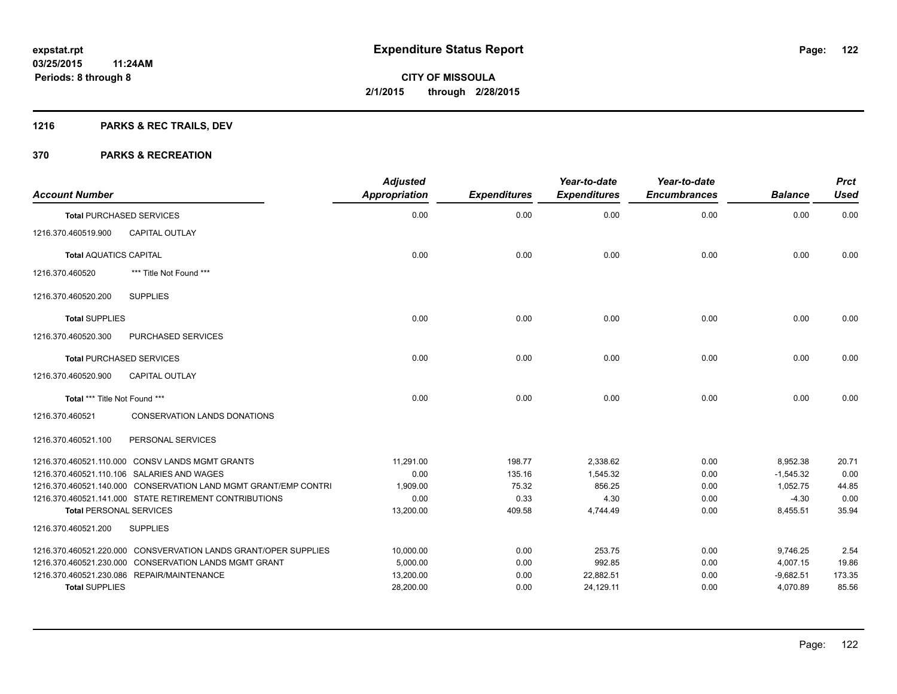## **1216 PARKS & REC TRAILS, DEV**

| <b>Account Number</b>          |                                                                 | <b>Adjusted</b><br><b>Appropriation</b> | <b>Expenditures</b> | Year-to-date<br><b>Expenditures</b> | Year-to-date<br><b>Encumbrances</b> | <b>Balance</b> | <b>Prct</b><br><b>Used</b> |
|--------------------------------|-----------------------------------------------------------------|-----------------------------------------|---------------------|-------------------------------------|-------------------------------------|----------------|----------------------------|
|                                | <b>Total PURCHASED SERVICES</b>                                 | 0.00                                    | 0.00                | 0.00                                | 0.00                                | 0.00           | 0.00                       |
| 1216.370.460519.900            | <b>CAPITAL OUTLAY</b>                                           |                                         |                     |                                     |                                     |                |                            |
| <b>Total AQUATICS CAPITAL</b>  |                                                                 | 0.00                                    | 0.00                | 0.00                                | 0.00                                | 0.00           | 0.00                       |
| 1216.370.460520                | *** Title Not Found ***                                         |                                         |                     |                                     |                                     |                |                            |
| 1216.370.460520.200            | <b>SUPPLIES</b>                                                 |                                         |                     |                                     |                                     |                |                            |
| <b>Total SUPPLIES</b>          |                                                                 | 0.00                                    | 0.00                | 0.00                                | 0.00                                | 0.00           | 0.00                       |
| 1216.370.460520.300            | PURCHASED SERVICES                                              |                                         |                     |                                     |                                     |                |                            |
|                                | <b>Total PURCHASED SERVICES</b>                                 | 0.00                                    | 0.00                | 0.00                                | 0.00                                | 0.00           | 0.00                       |
| 1216.370.460520.900            | <b>CAPITAL OUTLAY</b>                                           |                                         |                     |                                     |                                     |                |                            |
| Total *** Title Not Found ***  |                                                                 | 0.00                                    | 0.00                | 0.00                                | 0.00                                | 0.00           | 0.00                       |
| 1216.370.460521                | <b>CONSERVATION LANDS DONATIONS</b>                             |                                         |                     |                                     |                                     |                |                            |
| 1216.370.460521.100            | PERSONAL SERVICES                                               |                                         |                     |                                     |                                     |                |                            |
|                                | 1216.370.460521.110.000 CONSV LANDS MGMT GRANTS                 | 11,291.00                               | 198.77              | 2,338.62                            | 0.00                                | 8,952.38       | 20.71                      |
|                                | 1216.370.460521.110.106 SALARIES AND WAGES                      | 0.00                                    | 135.16              | 1,545.32                            | 0.00                                | $-1,545.32$    | 0.00                       |
|                                | 1216.370.460521.140.000 CONSERVATION LAND MGMT GRANT/EMP CONTRI | 1,909.00                                | 75.32               | 856.25                              | 0.00                                | 1,052.75       | 44.85                      |
|                                | 1216.370.460521.141.000 STATE RETIREMENT CONTRIBUTIONS          | 0.00                                    | 0.33                | 4.30                                | 0.00                                | $-4.30$        | 0.00                       |
| <b>Total PERSONAL SERVICES</b> |                                                                 | 13,200.00                               | 409.58              | 4,744.49                            | 0.00                                | 8,455.51       | 35.94                      |
| 1216.370.460521.200            | <b>SUPPLIES</b>                                                 |                                         |                     |                                     |                                     |                |                            |
|                                | 1216.370.460521.220.000 CONSVERVATION LANDS GRANT/OPER SUPPLIES | 10,000.00                               | 0.00                | 253.75                              | 0.00                                | 9,746.25       | 2.54                       |
|                                | 1216.370.460521.230.000 CONSERVATION LANDS MGMT GRANT           | 5,000.00                                | 0.00                | 992.85                              | 0.00                                | 4,007.15       | 19.86                      |
|                                | 1216.370.460521.230.086 REPAIR/MAINTENANCE                      | 13,200.00                               | 0.00                | 22,882.51                           | 0.00                                | $-9,682.51$    | 173.35                     |
| <b>Total SUPPLIES</b>          |                                                                 | 28,200.00                               | 0.00                | 24,129.11                           | 0.00                                | 4,070.89       | 85.56                      |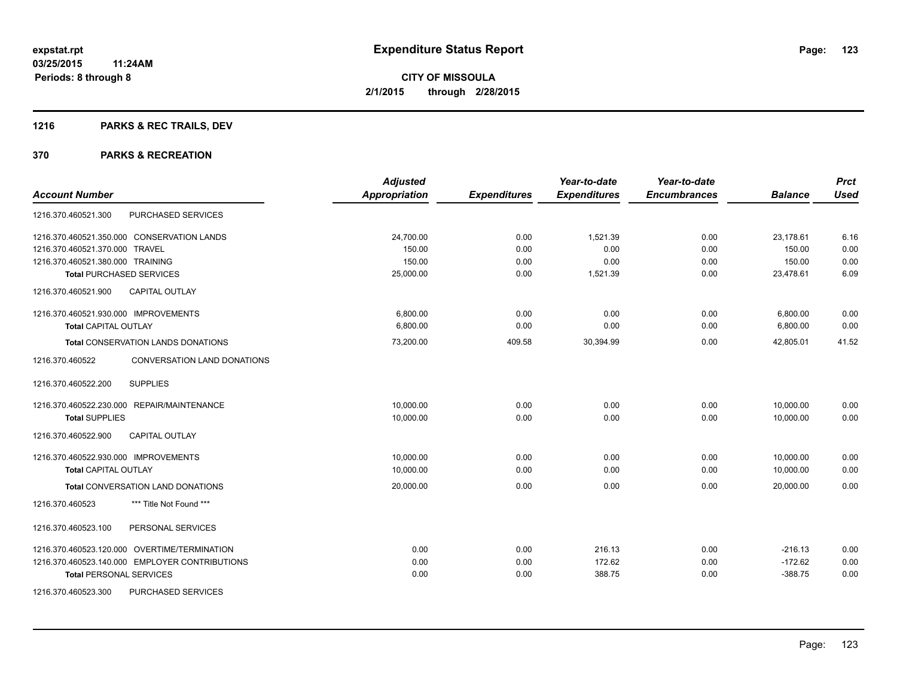## **1216 PARKS & REC TRAILS, DEV**

|                                                | <b>Adjusted</b>      |                     | Year-to-date        | Year-to-date        |                | <b>Prct</b> |
|------------------------------------------------|----------------------|---------------------|---------------------|---------------------|----------------|-------------|
| <b>Account Number</b>                          | <b>Appropriation</b> | <b>Expenditures</b> | <b>Expenditures</b> | <b>Encumbrances</b> | <b>Balance</b> | <b>Used</b> |
| PURCHASED SERVICES<br>1216.370.460521.300      |                      |                     |                     |                     |                |             |
| 1216.370.460521.350.000 CONSERVATION LANDS     | 24,700.00            | 0.00                | 1.521.39            | 0.00                | 23,178.61      | 6.16        |
| 1216.370.460521.370.000 TRAVEL                 | 150.00               | 0.00                | 0.00                | 0.00                | 150.00         | 0.00        |
| 1216.370.460521.380.000 TRAINING               | 150.00               | 0.00                | 0.00                | 0.00                | 150.00         | 0.00        |
| <b>Total PURCHASED SERVICES</b>                | 25,000.00            | 0.00                | 1,521.39            | 0.00                | 23,478.61      | 6.09        |
| <b>CAPITAL OUTLAY</b><br>1216.370.460521.900   |                      |                     |                     |                     |                |             |
| 1216.370.460521.930.000 IMPROVEMENTS           | 6.800.00             | 0.00                | 0.00                | 0.00                | 6,800.00       | 0.00        |
| <b>Total CAPITAL OUTLAY</b>                    | 6,800.00             | 0.00                | 0.00                | 0.00                | 6,800.00       | 0.00        |
| <b>Total CONSERVATION LANDS DONATIONS</b>      | 73,200.00            | 409.58              | 30,394.99           | 0.00                | 42,805.01      | 41.52       |
| 1216.370.460522<br>CONVERSATION LAND DONATIONS |                      |                     |                     |                     |                |             |
| <b>SUPPLIES</b><br>1216.370.460522.200         |                      |                     |                     |                     |                |             |
| 1216.370.460522.230.000 REPAIR/MAINTENANCE     | 10,000.00            | 0.00                | 0.00                | 0.00                | 10,000.00      | 0.00        |
| <b>Total SUPPLIES</b>                          | 10,000.00            | 0.00                | 0.00                | 0.00                | 10,000.00      | 0.00        |
| 1216.370.460522.900<br><b>CAPITAL OUTLAY</b>   |                      |                     |                     |                     |                |             |
| 1216.370.460522.930.000 IMPROVEMENTS           | 10,000.00            | 0.00                | 0.00                | 0.00                | 10,000.00      | 0.00        |
| <b>Total CAPITAL OUTLAY</b>                    | 10,000.00            | 0.00                | 0.00                | 0.00                | 10,000.00      | 0.00        |
| Total CONVERSATION LAND DONATIONS              | 20,000.00            | 0.00                | 0.00                | 0.00                | 20,000.00      | 0.00        |
| 1216.370.460523<br>*** Title Not Found ***     |                      |                     |                     |                     |                |             |
| PERSONAL SERVICES<br>1216.370.460523.100       |                      |                     |                     |                     |                |             |
| 1216.370.460523.120.000 OVERTIME/TERMINATION   | 0.00                 | 0.00                | 216.13              | 0.00                | $-216.13$      | 0.00        |
| 1216.370.460523.140.000 EMPLOYER CONTRIBUTIONS | 0.00                 | 0.00                | 172.62              | 0.00                | $-172.62$      | 0.00        |
| <b>Total PERSONAL SERVICES</b>                 | 0.00                 | 0.00                | 388.75              | 0.00                | $-388.75$      | 0.00        |
| PURCHASED SERVICES<br>1216.370.460523.300      |                      |                     |                     |                     |                |             |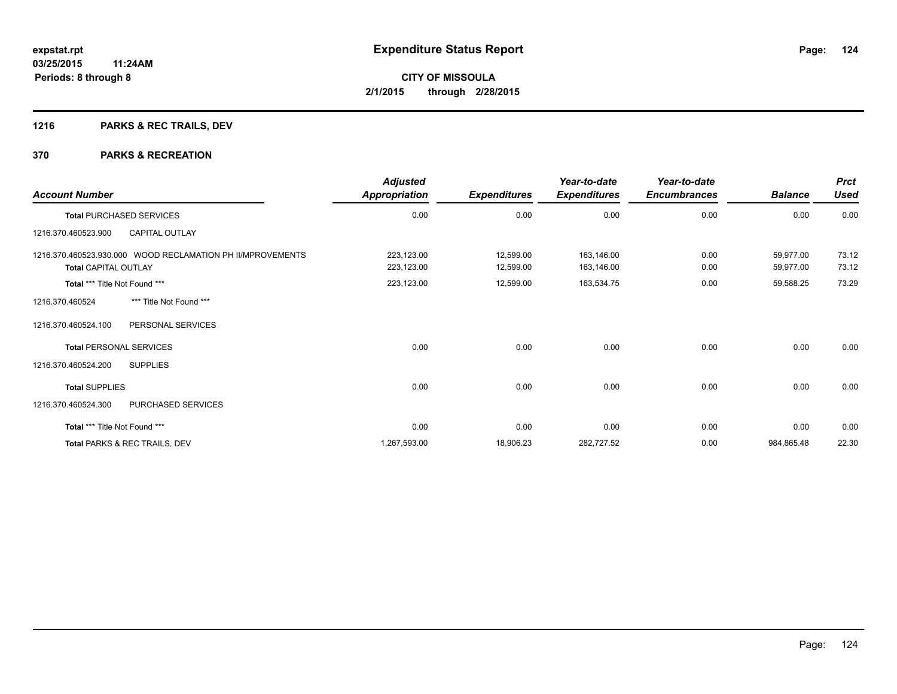## **1216 PARKS & REC TRAILS, DEV**

| <b>Account Number</b>                                      | <b>Adjusted</b><br>Appropriation | <b>Expenditures</b> | Year-to-date<br><b>Expenditures</b> | Year-to-date<br><b>Encumbrances</b> | <b>Balance</b> | <b>Prct</b><br><b>Used</b> |
|------------------------------------------------------------|----------------------------------|---------------------|-------------------------------------|-------------------------------------|----------------|----------------------------|
| <b>Total PURCHASED SERVICES</b>                            | 0.00                             | 0.00                | 0.00                                | 0.00                                | 0.00           | 0.00                       |
| 1216.370.460523.900<br><b>CAPITAL OUTLAY</b>               |                                  |                     |                                     |                                     |                |                            |
| 1216.370.460523.930.000 WOOD RECLAMATION PH II/MPROVEMENTS | 223,123.00                       | 12,599.00           | 163,146.00                          | 0.00                                | 59,977.00      | 73.12                      |
| <b>Total CAPITAL OUTLAY</b>                                | 223,123.00                       | 12,599.00           | 163,146.00                          | 0.00                                | 59,977.00      | 73.12                      |
| Total *** Title Not Found ***                              | 223,123.00                       | 12,599.00           | 163,534.75                          | 0.00                                | 59,588.25      | 73.29                      |
| 1216.370.460524<br>*** Title Not Found ***                 |                                  |                     |                                     |                                     |                |                            |
| PERSONAL SERVICES<br>1216.370.460524.100                   |                                  |                     |                                     |                                     |                |                            |
| <b>Total PERSONAL SERVICES</b>                             | 0.00                             | 0.00                | 0.00                                | 0.00                                | 0.00           | 0.00                       |
| 1216.370.460524.200<br><b>SUPPLIES</b>                     |                                  |                     |                                     |                                     |                |                            |
| <b>Total SUPPLIES</b>                                      | 0.00                             | 0.00                | 0.00                                | 0.00                                | 0.00           | 0.00                       |
| 1216.370.460524.300<br>PURCHASED SERVICES                  |                                  |                     |                                     |                                     |                |                            |
| Total *** Title Not Found ***                              | 0.00                             | 0.00                | 0.00                                | 0.00                                | 0.00           | 0.00                       |
| Total PARKS & REC TRAILS, DEV                              | 1,267,593.00                     | 18,906.23           | 282,727.52                          | 0.00                                | 984,865.48     | 22.30                      |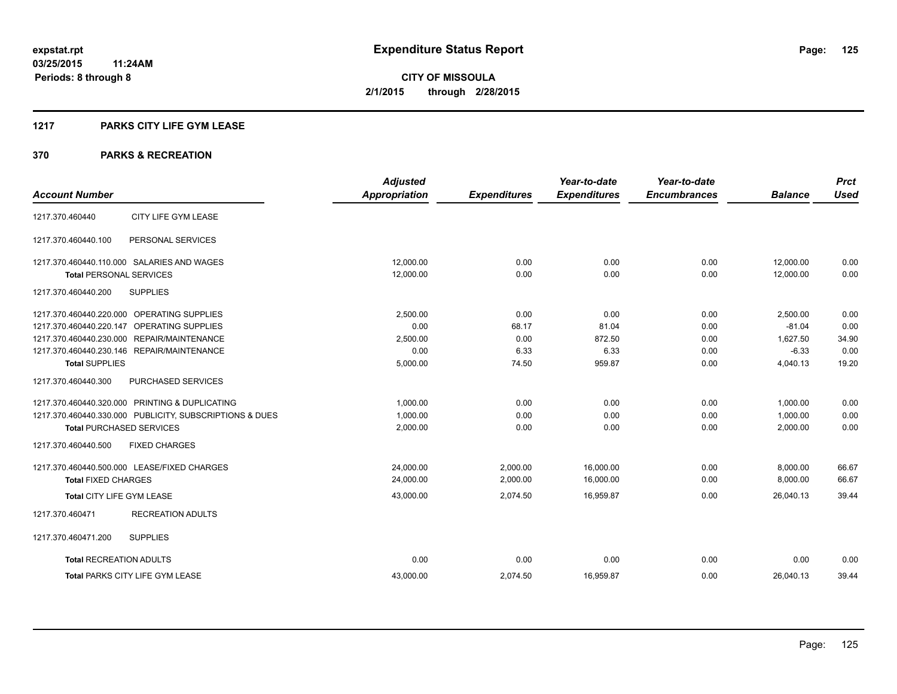### **1217 PARKS CITY LIFE GYM LEASE**

|                                                         | <b>Adjusted</b>      |                     | Year-to-date        | Year-to-date        |                | <b>Prct</b> |
|---------------------------------------------------------|----------------------|---------------------|---------------------|---------------------|----------------|-------------|
| <b>Account Number</b>                                   | <b>Appropriation</b> | <b>Expenditures</b> | <b>Expenditures</b> | <b>Encumbrances</b> | <b>Balance</b> | <b>Used</b> |
| CITY LIFE GYM LEASE<br>1217.370.460440                  |                      |                     |                     |                     |                |             |
| PERSONAL SERVICES<br>1217.370.460440.100                |                      |                     |                     |                     |                |             |
| 1217.370.460440.110.000 SALARIES AND WAGES              | 12,000.00            | 0.00                | 0.00                | 0.00                | 12,000.00      | 0.00        |
| <b>Total PERSONAL SERVICES</b>                          | 12,000.00            | 0.00                | 0.00                | 0.00                | 12,000.00      | 0.00        |
| 1217.370.460440.200<br><b>SUPPLIES</b>                  |                      |                     |                     |                     |                |             |
| 1217.370.460440.220.000 OPERATING SUPPLIES              | 2,500.00             | 0.00                | 0.00                | 0.00                | 2,500.00       | 0.00        |
| 1217.370.460440.220.147 OPERATING SUPPLIES              | 0.00                 | 68.17               | 81.04               | 0.00                | $-81.04$       | 0.00        |
| 1217.370.460440.230.000 REPAIR/MAINTENANCE              | 2,500.00             | 0.00                | 872.50              | 0.00                | 1,627.50       | 34.90       |
| 1217.370.460440.230.146 REPAIR/MAINTENANCE              | 0.00                 | 6.33                | 6.33                | 0.00                | $-6.33$        | 0.00        |
| <b>Total SUPPLIES</b>                                   | 5,000.00             | 74.50               | 959.87              | 0.00                | 4,040.13       | 19.20       |
| 1217.370.460440.300<br>PURCHASED SERVICES               |                      |                     |                     |                     |                |             |
| 1217.370.460440.320.000 PRINTING & DUPLICATING          | 1,000.00             | 0.00                | 0.00                | 0.00                | 1,000.00       | 0.00        |
| 1217.370.460440.330.000 PUBLICITY, SUBSCRIPTIONS & DUES | 1,000.00             | 0.00                | 0.00                | 0.00                | 1,000.00       | 0.00        |
| <b>Total PURCHASED SERVICES</b>                         | 2,000.00             | 0.00                | 0.00                | 0.00                | 2,000.00       | 0.00        |
| 1217.370.460440.500<br><b>FIXED CHARGES</b>             |                      |                     |                     |                     |                |             |
| 1217.370.460440.500.000 LEASE/FIXED CHARGES             | 24,000.00            | 2,000.00            | 16,000.00           | 0.00                | 8,000.00       | 66.67       |
| <b>Total FIXED CHARGES</b>                              | 24,000.00            | 2,000.00            | 16,000.00           | 0.00                | 8,000.00       | 66.67       |
| Total CITY LIFE GYM LEASE                               | 43,000.00            | 2,074.50            | 16,959.87           | 0.00                | 26.040.13      | 39.44       |
| <b>RECREATION ADULTS</b><br>1217.370.460471             |                      |                     |                     |                     |                |             |
| 1217.370.460471.200<br><b>SUPPLIES</b>                  |                      |                     |                     |                     |                |             |
| <b>Total RECREATION ADULTS</b>                          | 0.00                 | 0.00                | 0.00                | 0.00                | 0.00           | 0.00        |
| <b>Total PARKS CITY LIFE GYM LEASE</b>                  | 43,000.00            | 2,074.50            | 16,959.87           | 0.00                | 26,040.13      | 39.44       |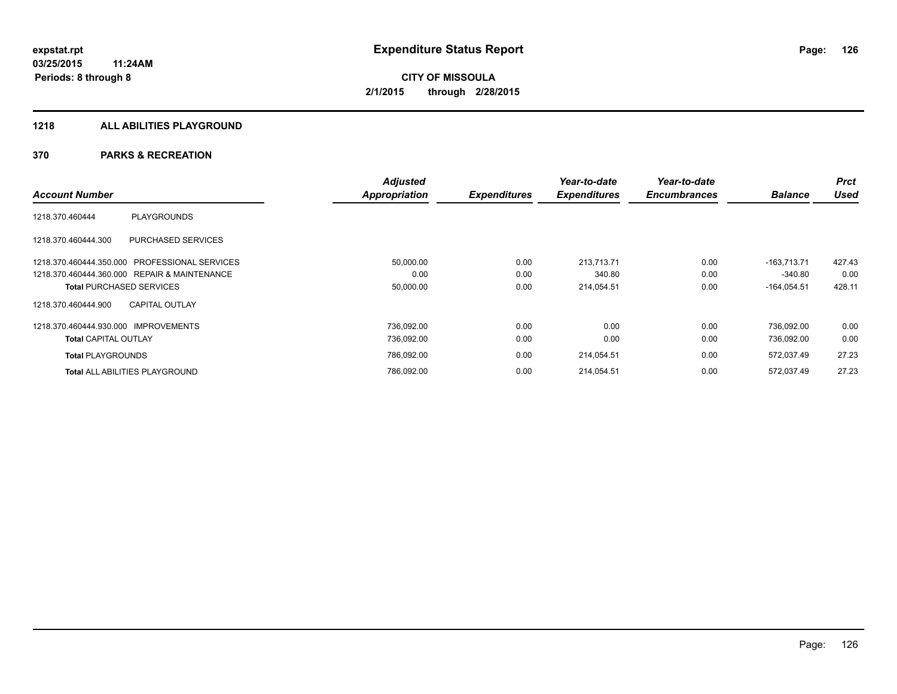#### **1218 ALL ABILITIES PLAYGROUND**

|                                                  | <b>Adjusted</b> |                     | Year-to-date        | Year-to-date        |                | <b>Prct</b> |
|--------------------------------------------------|-----------------|---------------------|---------------------|---------------------|----------------|-------------|
| <b>Account Number</b>                            | Appropriation   | <b>Expenditures</b> | <b>Expenditures</b> | <b>Encumbrances</b> | <b>Balance</b> | <b>Used</b> |
| <b>PLAYGROUNDS</b><br>1218.370.460444            |                 |                     |                     |                     |                |             |
| <b>PURCHASED SERVICES</b><br>1218.370.460444.300 |                 |                     |                     |                     |                |             |
| 1218.370.460444.350.000 PROFESSIONAL SERVICES    | 50,000.00       | 0.00                | 213,713.71          | 0.00                | $-163.713.71$  | 427.43      |
| 1218.370.460444.360.000 REPAIR & MAINTENANCE     | 0.00            | 0.00                | 340.80              | 0.00                | $-340.80$      | 0.00        |
| <b>Total PURCHASED SERVICES</b>                  | 50,000.00       | 0.00                | 214,054.51          | 0.00                | $-164,054.51$  | 428.11      |
| <b>CAPITAL OUTLAY</b><br>1218.370.460444.900     |                 |                     |                     |                     |                |             |
| 1218.370.460444.930.000 IMPROVEMENTS             | 736,092.00      | 0.00                | 0.00                | 0.00                | 736.092.00     | 0.00        |
| <b>Total CAPITAL OUTLAY</b>                      | 736,092.00      | 0.00                | 0.00                | 0.00                | 736,092.00     | 0.00        |
| <b>Total PLAYGROUNDS</b>                         | 786,092.00      | 0.00                | 214,054.51          | 0.00                | 572,037.49     | 27.23       |
| <b>Total ALL ABILITIES PLAYGROUND</b>            | 786,092.00      | 0.00                | 214,054.51          | 0.00                | 572.037.49     | 27.23       |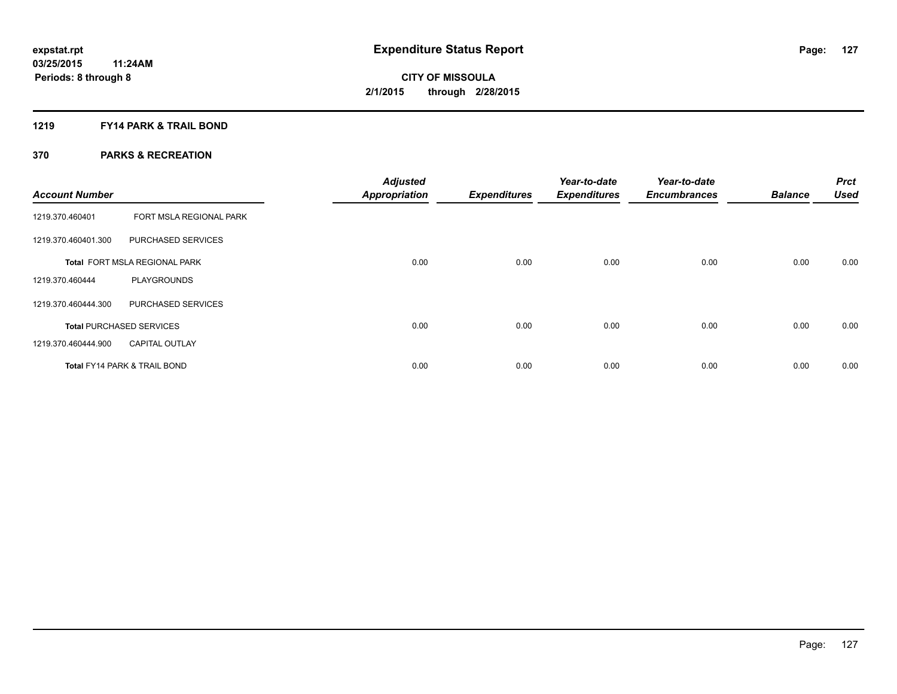### **1219 FY14 PARK & TRAIL BOND**

| <b>Account Number</b> |                                         | <b>Adjusted</b><br><b>Appropriation</b> | <b>Expenditures</b> | Year-to-date<br><b>Expenditures</b> | Year-to-date<br><b>Encumbrances</b> | <b>Balance</b> | <b>Prct</b><br><b>Used</b> |
|-----------------------|-----------------------------------------|-----------------------------------------|---------------------|-------------------------------------|-------------------------------------|----------------|----------------------------|
| 1219.370.460401       | FORT MSLA REGIONAL PARK                 |                                         |                     |                                     |                                     |                |                            |
| 1219.370.460401.300   | PURCHASED SERVICES                      |                                         |                     |                                     |                                     |                |                            |
|                       | Total FORT MSLA REGIONAL PARK           | 0.00                                    | 0.00                | 0.00                                | 0.00                                | 0.00           | 0.00                       |
| 1219.370.460444       | <b>PLAYGROUNDS</b>                      |                                         |                     |                                     |                                     |                |                            |
| 1219.370.460444.300   | PURCHASED SERVICES                      |                                         |                     |                                     |                                     |                |                            |
|                       | <b>Total PURCHASED SERVICES</b>         | 0.00                                    | 0.00                | 0.00                                | 0.00                                | 0.00           | 0.00                       |
| 1219.370.460444.900   | <b>CAPITAL OUTLAY</b>                   |                                         |                     |                                     |                                     |                |                            |
|                       | <b>Total FY14 PARK &amp; TRAIL BOND</b> | 0.00                                    | 0.00                | 0.00                                | 0.00                                | 0.00           | 0.00                       |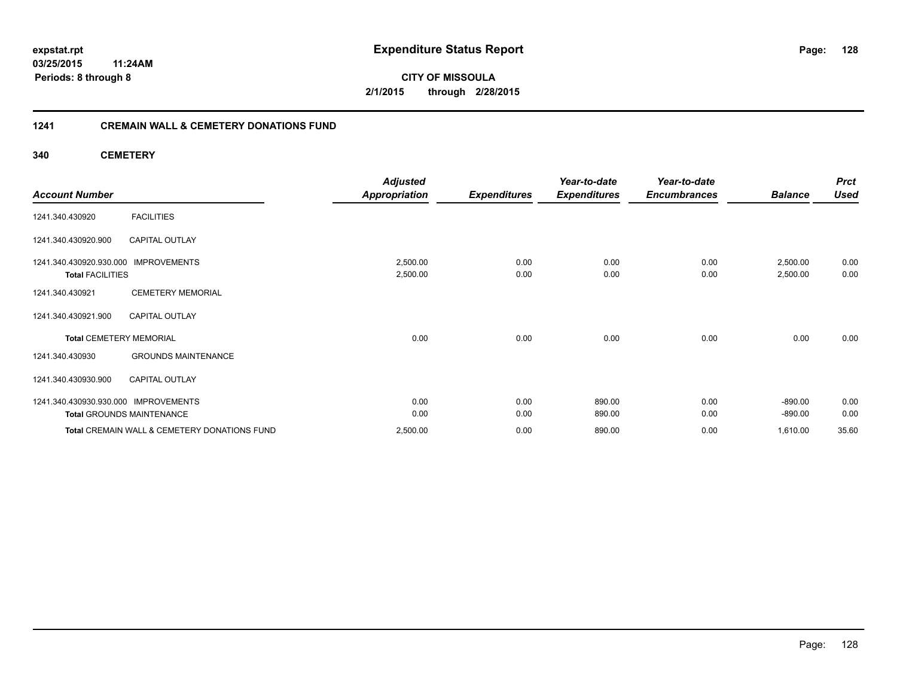### **03/25/2015 11:24AM Periods: 8 through 8**

**128**

**CITY OF MISSOULA 2/1/2015 through 2/28/2015**

### **1241 CREMAIN WALL & CEMETERY DONATIONS FUND**

**340 CEMETERY**

|                                                                 | <b>Adjusted</b>      |                     | Year-to-date        | Year-to-date        |                      | <b>Prct</b>  |
|-----------------------------------------------------------------|----------------------|---------------------|---------------------|---------------------|----------------------|--------------|
| <b>Account Number</b>                                           | <b>Appropriation</b> | <b>Expenditures</b> | <b>Expenditures</b> | <b>Encumbrances</b> | <b>Balance</b>       | <b>Used</b>  |
| <b>FACILITIES</b><br>1241.340.430920                            |                      |                     |                     |                     |                      |              |
| <b>CAPITAL OUTLAY</b><br>1241.340.430920.900                    |                      |                     |                     |                     |                      |              |
| 1241.340.430920.930.000 IMPROVEMENTS<br><b>Total FACILITIES</b> | 2,500.00<br>2,500.00 | 0.00<br>0.00        | 0.00<br>0.00        | 0.00<br>0.00        | 2,500.00<br>2,500.00 | 0.00<br>0.00 |
| <b>CEMETERY MEMORIAL</b><br>1241.340.430921                     |                      |                     |                     |                     |                      |              |
| 1241.340.430921.900<br><b>CAPITAL OUTLAY</b>                    |                      |                     |                     |                     |                      |              |
| <b>Total CEMETERY MEMORIAL</b>                                  | 0.00                 | 0.00                | 0.00                | 0.00                | 0.00                 | 0.00         |
| <b>GROUNDS MAINTENANCE</b><br>1241.340.430930                   |                      |                     |                     |                     |                      |              |
| 1241.340.430930.900<br><b>CAPITAL OUTLAY</b>                    |                      |                     |                     |                     |                      |              |
| 1241.340.430930.930.000 IMPROVEMENTS                            | 0.00                 | 0.00                | 890.00              | 0.00                | $-890.00$            | 0.00         |
| <b>Total GROUNDS MAINTENANCE</b>                                | 0.00                 | 0.00                | 890.00              | 0.00                | $-890.00$            | 0.00         |
| Total CREMAIN WALL & CEMETERY DONATIONS FUND                    | 2,500.00             | 0.00                | 890.00              | 0.00                | 1,610.00             | 35.60        |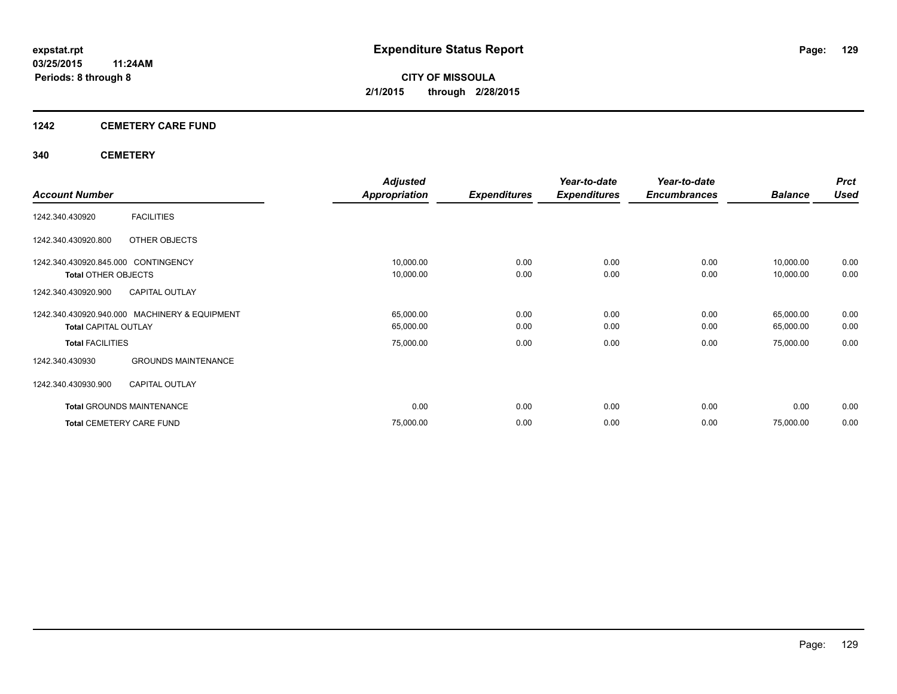# **1242 CEMETERY CARE FUND**

### **340 CEMETERY**

|                                               | <b>Adjusted</b> |                     | Year-to-date        | Year-to-date        |                | <b>Prct</b> |
|-----------------------------------------------|-----------------|---------------------|---------------------|---------------------|----------------|-------------|
| <b>Account Number</b>                         | Appropriation   | <b>Expenditures</b> | <b>Expenditures</b> | <b>Encumbrances</b> | <b>Balance</b> | <b>Used</b> |
| <b>FACILITIES</b><br>1242.340.430920          |                 |                     |                     |                     |                |             |
| 1242.340.430920.800<br>OTHER OBJECTS          |                 |                     |                     |                     |                |             |
| 1242.340.430920.845.000 CONTINGENCY           | 10,000.00       | 0.00                | 0.00                | 0.00                | 10,000.00      | 0.00        |
| <b>Total OTHER OBJECTS</b>                    | 10,000.00       | 0.00                | 0.00                | 0.00                | 10,000.00      | 0.00        |
| <b>CAPITAL OUTLAY</b><br>1242.340.430920.900  |                 |                     |                     |                     |                |             |
| 1242.340.430920.940.000 MACHINERY & EQUIPMENT | 65,000.00       | 0.00                | 0.00                | 0.00                | 65,000.00      | 0.00        |
| <b>Total CAPITAL OUTLAY</b>                   | 65,000.00       | 0.00                | 0.00                | 0.00                | 65,000.00      | 0.00        |
| <b>Total FACILITIES</b>                       | 75,000.00       | 0.00                | 0.00                | 0.00                | 75,000.00      | 0.00        |
| <b>GROUNDS MAINTENANCE</b><br>1242.340.430930 |                 |                     |                     |                     |                |             |
| 1242.340.430930.900<br><b>CAPITAL OUTLAY</b>  |                 |                     |                     |                     |                |             |
| <b>Total GROUNDS MAINTENANCE</b>              | 0.00            | 0.00                | 0.00                | 0.00                | 0.00           | 0.00        |
| <b>Total CEMETERY CARE FUND</b>               | 75,000.00       | 0.00                | 0.00                | 0.00                | 75,000.00      | 0.00        |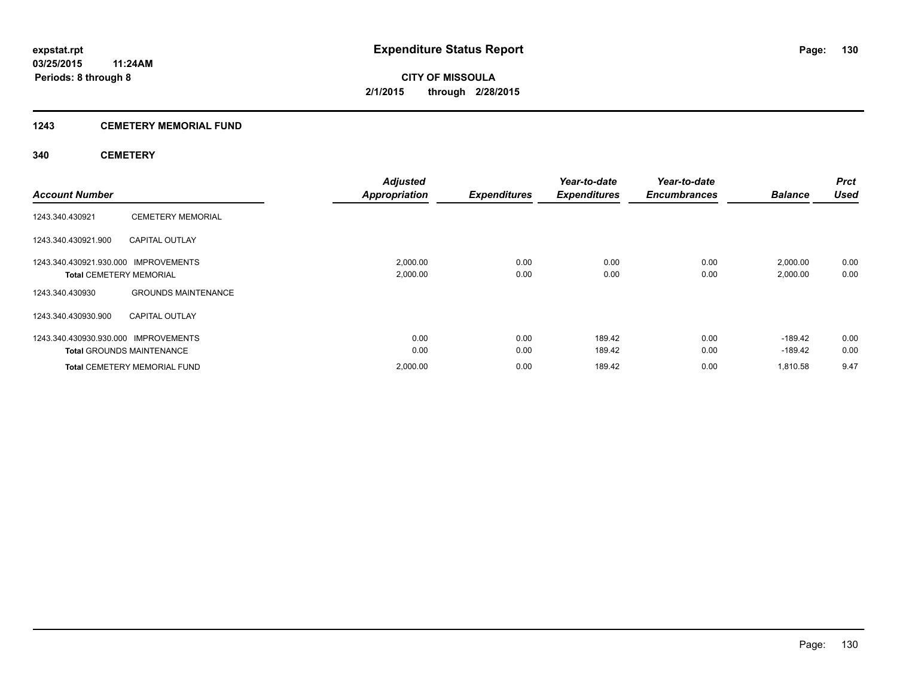### **1243 CEMETERY MEMORIAL FUND**

### **340 CEMETERY**

| <b>Account Number</b>                                                  |                                                                         | <b>Adjusted</b><br><b>Appropriation</b> | <b>Expenditures</b> | Year-to-date<br><b>Expenditures</b> | Year-to-date<br><b>Encumbrances</b> | <b>Balance</b>        | <b>Prct</b><br><b>Used</b> |
|------------------------------------------------------------------------|-------------------------------------------------------------------------|-----------------------------------------|---------------------|-------------------------------------|-------------------------------------|-----------------------|----------------------------|
| 1243.340.430921                                                        | <b>CEMETERY MEMORIAL</b>                                                |                                         |                     |                                     |                                     |                       |                            |
| 1243.340.430921.900                                                    | <b>CAPITAL OUTLAY</b>                                                   |                                         |                     |                                     |                                     |                       |                            |
| 1243.340.430921.930.000 IMPROVEMENTS<br><b>Total CEMETERY MEMORIAL</b> |                                                                         | 2,000.00<br>2,000.00                    | 0.00<br>0.00        | 0.00<br>0.00                        | 0.00<br>0.00                        | 2,000.00<br>2,000.00  | 0.00<br>0.00               |
| 1243.340.430930<br>1243.340.430930.900                                 | <b>GROUNDS MAINTENANCE</b><br><b>CAPITAL OUTLAY</b>                     |                                         |                     |                                     |                                     |                       |                            |
| 1243.340.430930.930.000 IMPROVEMENTS                                   |                                                                         | 0.00                                    | 0.00                | 189.42                              | 0.00                                | $-189.42$             | 0.00                       |
|                                                                        | <b>Total GROUNDS MAINTENANCE</b><br><b>Total CEMETERY MEMORIAL FUND</b> | 0.00<br>2,000.00                        | 0.00<br>0.00        | 189.42<br>189.42                    | 0.00<br>0.00                        | $-189.42$<br>1.810.58 | 0.00<br>9.47               |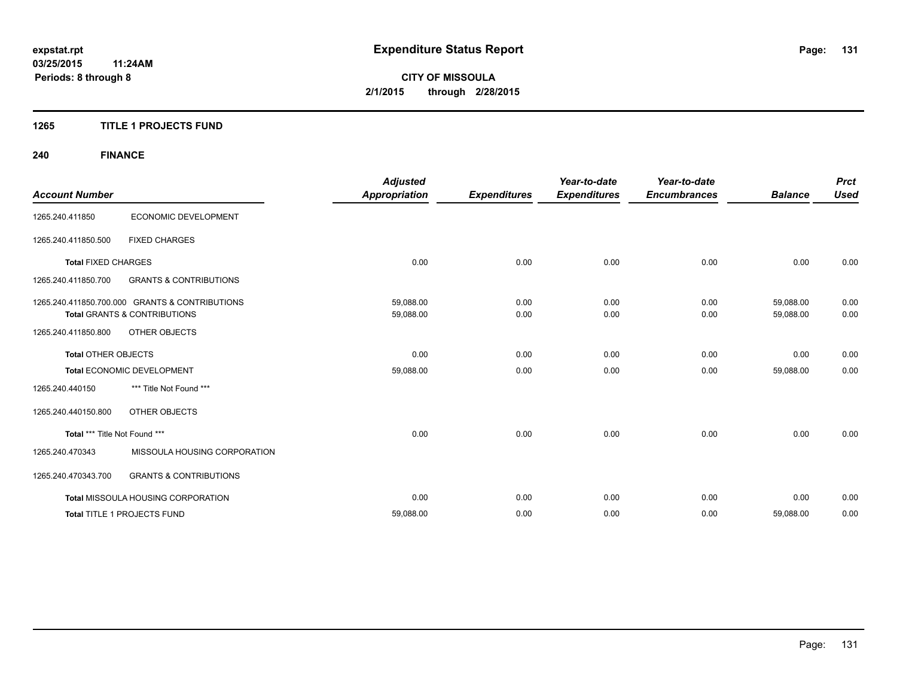### **1265 TITLE 1 PROJECTS FUND**

## **240 FINANCE**

| <b>Account Number</b>         |                                                | <b>Adjusted</b><br><b>Appropriation</b> | <b>Expenditures</b> | Year-to-date<br><b>Expenditures</b> | Year-to-date<br><b>Encumbrances</b> | <b>Balance</b> | <b>Prct</b><br><b>Used</b> |
|-------------------------------|------------------------------------------------|-----------------------------------------|---------------------|-------------------------------------|-------------------------------------|----------------|----------------------------|
|                               |                                                |                                         |                     |                                     |                                     |                |                            |
| 1265.240.411850               | ECONOMIC DEVELOPMENT                           |                                         |                     |                                     |                                     |                |                            |
| 1265.240.411850.500           | <b>FIXED CHARGES</b>                           |                                         |                     |                                     |                                     |                |                            |
| <b>Total FIXED CHARGES</b>    |                                                | 0.00                                    | 0.00                | 0.00                                | 0.00                                | 0.00           | 0.00                       |
| 1265.240.411850.700           | <b>GRANTS &amp; CONTRIBUTIONS</b>              |                                         |                     |                                     |                                     |                |                            |
|                               | 1265.240.411850.700.000 GRANTS & CONTRIBUTIONS | 59,088.00                               | 0.00                | 0.00                                | 0.00                                | 59,088.00      | 0.00                       |
|                               | <b>Total GRANTS &amp; CONTRIBUTIONS</b>        | 59,088.00                               | 0.00                | 0.00                                | 0.00                                | 59,088.00      | 0.00                       |
| 1265.240.411850.800           | OTHER OBJECTS                                  |                                         |                     |                                     |                                     |                |                            |
| <b>Total OTHER OBJECTS</b>    |                                                | 0.00                                    | 0.00                | 0.00                                | 0.00                                | 0.00           | 0.00                       |
|                               | Total ECONOMIC DEVELOPMENT                     | 59,088.00                               | 0.00                | 0.00                                | 0.00                                | 59,088.00      | 0.00                       |
| 1265.240.440150               | *** Title Not Found ***                        |                                         |                     |                                     |                                     |                |                            |
| 1265.240.440150.800           | OTHER OBJECTS                                  |                                         |                     |                                     |                                     |                |                            |
| Total *** Title Not Found *** |                                                | 0.00                                    | 0.00                | 0.00                                | 0.00                                | 0.00           | 0.00                       |
| 1265.240.470343               | MISSOULA HOUSING CORPORATION                   |                                         |                     |                                     |                                     |                |                            |
| 1265.240.470343.700           | <b>GRANTS &amp; CONTRIBUTIONS</b>              |                                         |                     |                                     |                                     |                |                            |
|                               | <b>Total MISSOULA HOUSING CORPORATION</b>      | 0.00                                    | 0.00                | 0.00                                | 0.00                                | 0.00           | 0.00                       |
|                               | Total TITLE 1 PROJECTS FUND                    | 59,088.00                               | 0.00                | 0.00                                | 0.00                                | 59,088.00      | 0.00                       |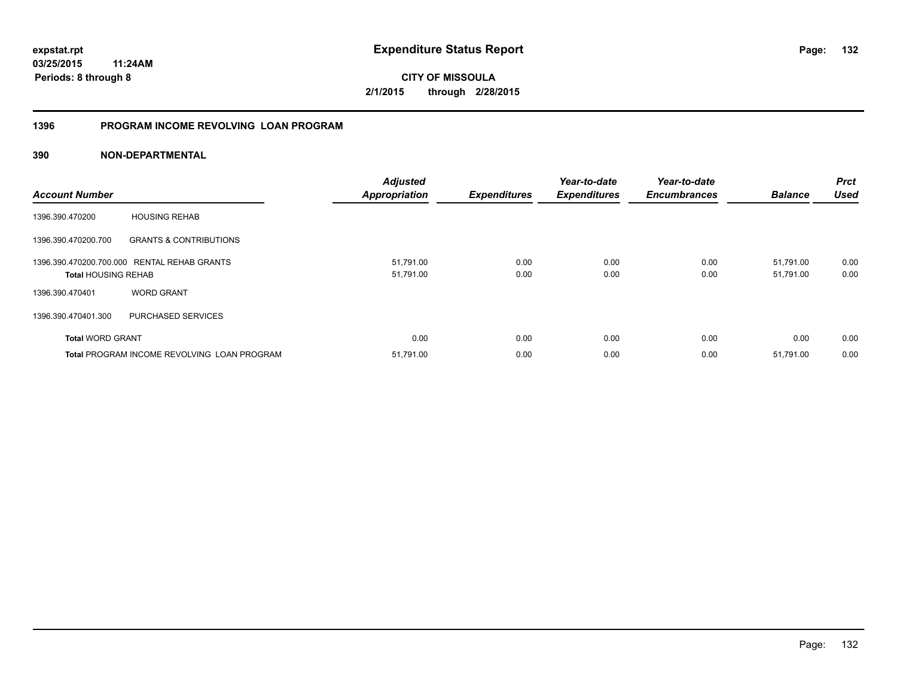**03/25/2015 11:24AM Periods: 8 through 8**

**CITY OF MISSOULA 2/1/2015 through 2/28/2015**

### **1396 PROGRAM INCOME REVOLVING LOAN PROGRAM**

| <b>Account Number</b>                              |                                             | <b>Adjusted</b><br><b>Appropriation</b> | <b>Expenditures</b> | Year-to-date<br><b>Expenditures</b> | Year-to-date<br><b>Encumbrances</b> | <b>Balance</b> | <b>Prct</b><br><b>Used</b> |
|----------------------------------------------------|---------------------------------------------|-----------------------------------------|---------------------|-------------------------------------|-------------------------------------|----------------|----------------------------|
| 1396.390.470200                                    | <b>HOUSING REHAB</b>                        |                                         |                     |                                     |                                     |                |                            |
| 1396.390.470200.700                                | <b>GRANTS &amp; CONTRIBUTIONS</b>           |                                         |                     |                                     |                                     |                |                            |
|                                                    | 1396.390.470200.700.000 RENTAL REHAB GRANTS | 51,791.00                               | 0.00                | 0.00                                | 0.00                                | 51,791.00      | 0.00                       |
| <b>Total HOUSING REHAB</b>                         |                                             | 51,791.00                               | 0.00                | 0.00                                | 0.00                                | 51,791.00      | 0.00                       |
| 1396.390.470401                                    | <b>WORD GRANT</b>                           |                                         |                     |                                     |                                     |                |                            |
| 1396.390.470401.300                                | PURCHASED SERVICES                          |                                         |                     |                                     |                                     |                |                            |
| <b>Total WORD GRANT</b>                            |                                             | 0.00                                    | 0.00                | 0.00                                | 0.00                                | 0.00           | 0.00                       |
| <b>Total PROGRAM INCOME REVOLVING LOAN PROGRAM</b> |                                             | 51,791.00                               | 0.00                | 0.00                                | 0.00                                | 51,791.00      | 0.00                       |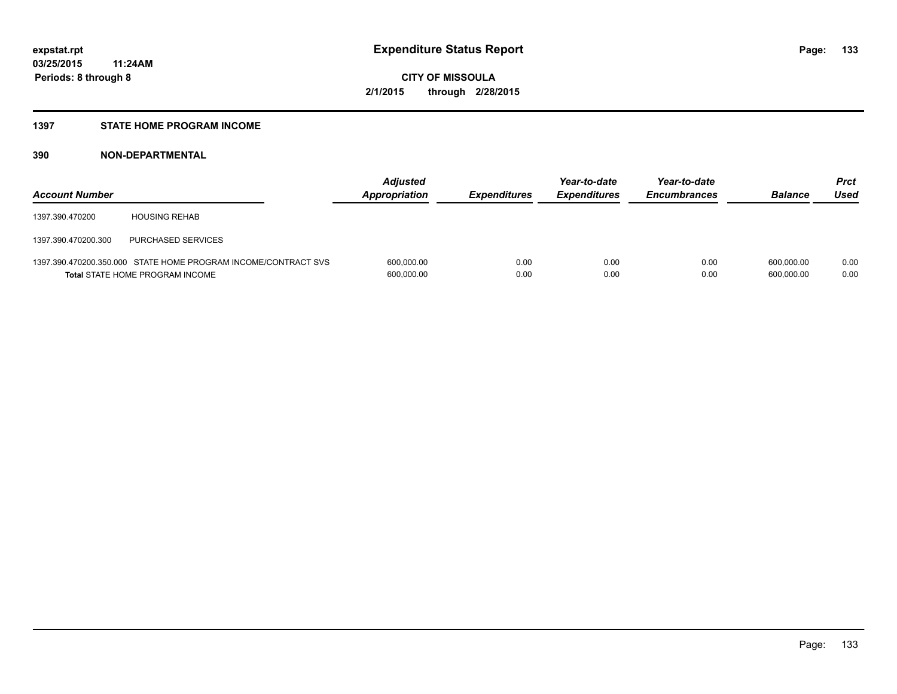#### **1397 STATE HOME PROGRAM INCOME**

| <b>Account Number</b> |                                                                                                          | <b>Adjusted</b><br>Appropriation | <b>Expenditures</b> | Year-to-date<br><b>Expenditures</b> | Year-to-date<br><b>Encumbrances</b> | <b>Balance</b>           | <b>Prct</b><br>Used |
|-----------------------|----------------------------------------------------------------------------------------------------------|----------------------------------|---------------------|-------------------------------------|-------------------------------------|--------------------------|---------------------|
| 1397.390.470200       | <b>HOUSING REHAB</b>                                                                                     |                                  |                     |                                     |                                     |                          |                     |
| 1397.390.470200.300   | PURCHASED SERVICES                                                                                       |                                  |                     |                                     |                                     |                          |                     |
|                       | 1397.390.470200.350.000 STATE HOME PROGRAM INCOME/CONTRACT SVS<br><b>Total STATE HOME PROGRAM INCOME</b> | 600,000.00<br>600,000.00         | 0.00<br>0.00        | 0.00<br>0.00                        | 0.00<br>0.00                        | 600.000.00<br>600.000.00 | 0.00<br>0.00        |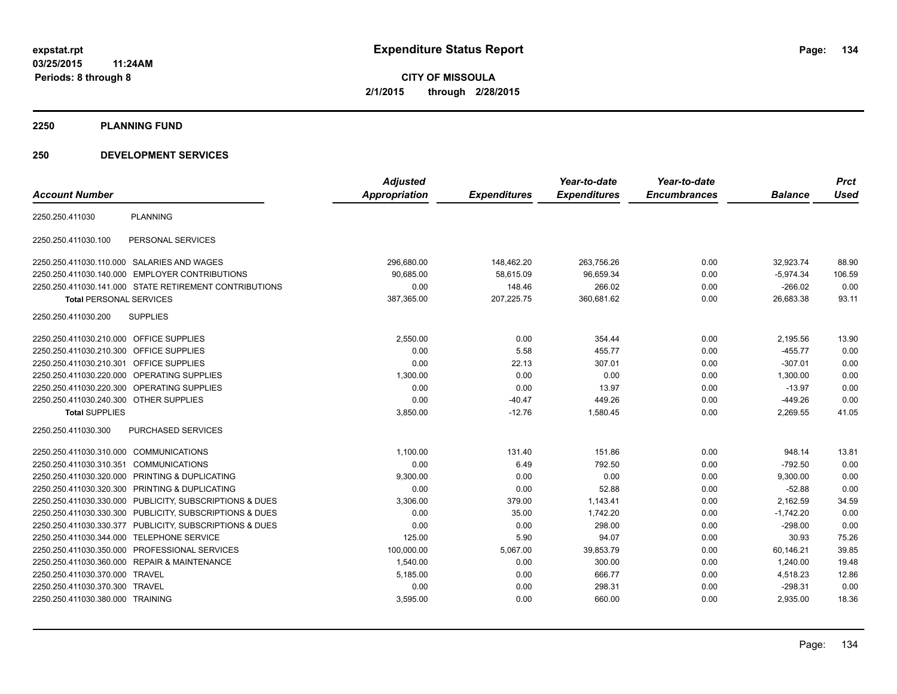**2250 PLANNING FUND**

### **250 DEVELOPMENT SERVICES**

|                                         |                                                        | <b>Adjusted</b> |                     | Year-to-date        | Year-to-date        |                | <b>Prct</b> |
|-----------------------------------------|--------------------------------------------------------|-----------------|---------------------|---------------------|---------------------|----------------|-------------|
| <b>Account Number</b>                   |                                                        | Appropriation   | <b>Expenditures</b> | <b>Expenditures</b> | <b>Encumbrances</b> | <b>Balance</b> | <b>Used</b> |
| 2250.250.411030                         | <b>PLANNING</b>                                        |                 |                     |                     |                     |                |             |
| 2250.250.411030.100                     | PERSONAL SERVICES                                      |                 |                     |                     |                     |                |             |
|                                         | 2250.250.411030.110.000 SALARIES AND WAGES             | 296,680.00      | 148,462.20          | 263,756.26          | 0.00                | 32,923.74      | 88.90       |
|                                         | 2250.250.411030.140.000 EMPLOYER CONTRIBUTIONS         | 90,685.00       | 58,615.09           | 96,659.34           | 0.00                | $-5,974.34$    | 106.59      |
|                                         | 2250.250.411030.141.000 STATE RETIREMENT CONTRIBUTIONS | 0.00            | 148.46              | 266.02              | 0.00                | $-266.02$      | 0.00        |
| <b>Total PERSONAL SERVICES</b>          |                                                        | 387,365.00      | 207,225.75          | 360,681.62          | 0.00                | 26,683.38      | 93.11       |
| 2250.250.411030.200                     | <b>SUPPLIES</b>                                        |                 |                     |                     |                     |                |             |
| 2250.250.411030.210.000 OFFICE SUPPLIES |                                                        | 2,550.00        | 0.00                | 354.44              | 0.00                | 2,195.56       | 13.90       |
| 2250.250.411030.210.300                 | <b>OFFICE SUPPLIES</b>                                 | 0.00            | 5.58                | 455.77              | 0.00                | $-455.77$      | 0.00        |
| 2250.250.411030.210.301                 | <b>OFFICE SUPPLIES</b>                                 | 0.00            | 22.13               | 307.01              | 0.00                | $-307.01$      | 0.00        |
| 2250.250.411030.220.000                 | <b>OPERATING SUPPLIES</b>                              | 1,300.00        | 0.00                | 0.00                | 0.00                | 1,300.00       | 0.00        |
|                                         | 2250.250.411030.220.300 OPERATING SUPPLIES             | 0.00            | 0.00                | 13.97               | 0.00                | $-13.97$       | 0.00        |
| 2250.250.411030.240.300 OTHER SUPPLIES  |                                                        | 0.00            | $-40.47$            | 449.26              | 0.00                | $-449.26$      | 0.00        |
| <b>Total SUPPLIES</b>                   |                                                        | 3,850.00        | $-12.76$            | 1,580.45            | 0.00                | 2,269.55       | 41.05       |
| 2250.250.411030.300                     | <b>PURCHASED SERVICES</b>                              |                 |                     |                     |                     |                |             |
| 2250.250.411030.310.000                 | <b>COMMUNICATIONS</b>                                  | 1,100.00        | 131.40              | 151.86              | 0.00                | 948.14         | 13.81       |
| 2250.250.411030.310.351                 | <b>COMMUNICATIONS</b>                                  | 0.00            | 6.49                | 792.50              | 0.00                | $-792.50$      | 0.00        |
|                                         | 2250.250.411030.320.000 PRINTING & DUPLICATING         | 9,300.00        | 0.00                | 0.00                | 0.00                | 9,300.00       | 0.00        |
| 2250.250.411030.320.300                 | PRINTING & DUPLICATING                                 | 0.00            | 0.00                | 52.88               | 0.00                | $-52.88$       | 0.00        |
| 2250.250.411030.330.000                 | PUBLICITY, SUBSCRIPTIONS & DUES                        | 3,306.00        | 379.00              | 1.143.41            | 0.00                | 2,162.59       | 34.59       |
| 2250.250.411030.330.300                 | PUBLICITY, SUBSCRIPTIONS & DUES                        | 0.00            | 35.00               | 1.742.20            | 0.00                | $-1.742.20$    | 0.00        |
| 2250.250.411030.330.377                 | PUBLICITY, SUBSCRIPTIONS & DUES                        | 0.00            | 0.00                | 298.00              | 0.00                | $-298.00$      | 0.00        |
| 2250.250.411030.344.000                 | <b>TELEPHONE SERVICE</b>                               | 125.00          | 5.90                | 94.07               | 0.00                | 30.93          | 75.26       |
|                                         | 2250.250.411030.350.000 PROFESSIONAL SERVICES          | 100,000.00      | 5,067.00            | 39,853.79           | 0.00                | 60,146.21      | 39.85       |
|                                         | 2250.250.411030.360.000 REPAIR & MAINTENANCE           | 1,540.00        | 0.00                | 300.00              | 0.00                | 1,240.00       | 19.48       |
| 2250.250.411030.370.000 TRAVEL          |                                                        | 5,185.00        | 0.00                | 666.77              | 0.00                | 4,518.23       | 12.86       |
| 2250.250.411030.370.300 TRAVEL          |                                                        | 0.00            | 0.00                | 298.31              | 0.00                | $-298.31$      | 0.00        |
| 2250.250.411030.380.000 TRAINING        |                                                        | 3,595.00        | 0.00                | 660.00              | 0.00                | 2,935.00       | 18.36       |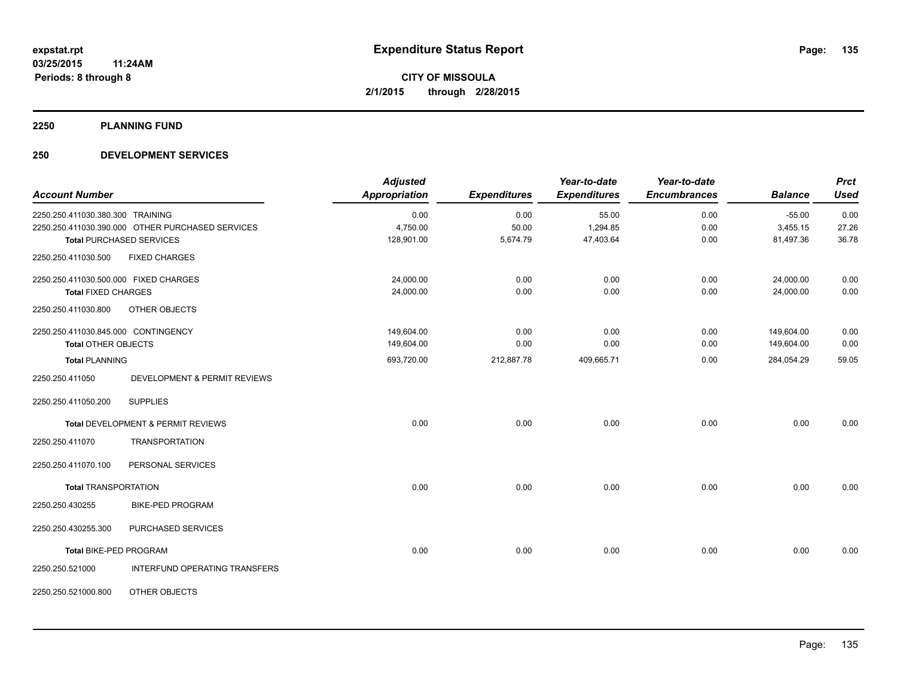**2250 PLANNING FUND**

### **250 DEVELOPMENT SERVICES**

| <b>Account Number</b>                 |                                                  | <b>Adjusted</b><br><b>Appropriation</b> | <b>Expenditures</b> | Year-to-date<br><b>Expenditures</b> | Year-to-date<br><b>Encumbrances</b> | <b>Balance</b> | <b>Prct</b><br><b>Used</b> |
|---------------------------------------|--------------------------------------------------|-----------------------------------------|---------------------|-------------------------------------|-------------------------------------|----------------|----------------------------|
| 2250.250.411030.380.300 TRAINING      |                                                  | 0.00                                    | 0.00                | 55.00                               | 0.00                                | $-55.00$       | 0.00                       |
|                                       | 2250.250.411030.390.000 OTHER PURCHASED SERVICES | 4,750.00                                | 50.00               | 1,294.85                            | 0.00                                | 3,455.15       | 27.26                      |
|                                       | <b>Total PURCHASED SERVICES</b>                  | 128,901.00                              | 5,674.79            | 47,403.64                           | 0.00                                | 81,497.36      | 36.78                      |
| 2250.250.411030.500                   | <b>FIXED CHARGES</b>                             |                                         |                     |                                     |                                     |                |                            |
| 2250.250.411030.500.000 FIXED CHARGES |                                                  | 24,000.00                               | 0.00                | 0.00                                | 0.00                                | 24,000.00      | 0.00                       |
| <b>Total FIXED CHARGES</b>            |                                                  | 24,000.00                               | 0.00                | 0.00                                | 0.00                                | 24,000.00      | 0.00                       |
| 2250.250.411030.800                   | OTHER OBJECTS                                    |                                         |                     |                                     |                                     |                |                            |
| 2250.250.411030.845.000 CONTINGENCY   |                                                  | 149,604.00                              | 0.00                | 0.00                                | 0.00                                | 149,604.00     | 0.00                       |
| <b>Total OTHER OBJECTS</b>            |                                                  | 149,604.00                              | 0.00                | 0.00                                | 0.00                                | 149,604.00     | 0.00                       |
| <b>Total PLANNING</b>                 |                                                  | 693,720.00                              | 212,887.78          | 409,665.71                          | 0.00                                | 284,054.29     | 59.05                      |
| 2250.250.411050                       | <b>DEVELOPMENT &amp; PERMIT REVIEWS</b>          |                                         |                     |                                     |                                     |                |                            |
| 2250.250.411050.200                   | <b>SUPPLIES</b>                                  |                                         |                     |                                     |                                     |                |                            |
|                                       | Total DEVELOPMENT & PERMIT REVIEWS               | 0.00                                    | 0.00                | 0.00                                | 0.00                                | 0.00           | 0.00                       |
| 2250.250.411070                       | <b>TRANSPORTATION</b>                            |                                         |                     |                                     |                                     |                |                            |
| 2250.250.411070.100                   | PERSONAL SERVICES                                |                                         |                     |                                     |                                     |                |                            |
| <b>Total TRANSPORTATION</b>           |                                                  | 0.00                                    | 0.00                | 0.00                                | 0.00                                | 0.00           | 0.00                       |
| 2250.250.430255                       | <b>BIKE-PED PROGRAM</b>                          |                                         |                     |                                     |                                     |                |                            |
| 2250.250.430255.300                   | PURCHASED SERVICES                               |                                         |                     |                                     |                                     |                |                            |
| Total BIKE-PED PROGRAM                |                                                  | 0.00                                    | 0.00                | 0.00                                | 0.00                                | 0.00           | 0.00                       |
| 2250.250.521000                       | INTERFUND OPERATING TRANSFERS                    |                                         |                     |                                     |                                     |                |                            |
| 2250.250.521000.800                   | OTHER OBJECTS                                    |                                         |                     |                                     |                                     |                |                            |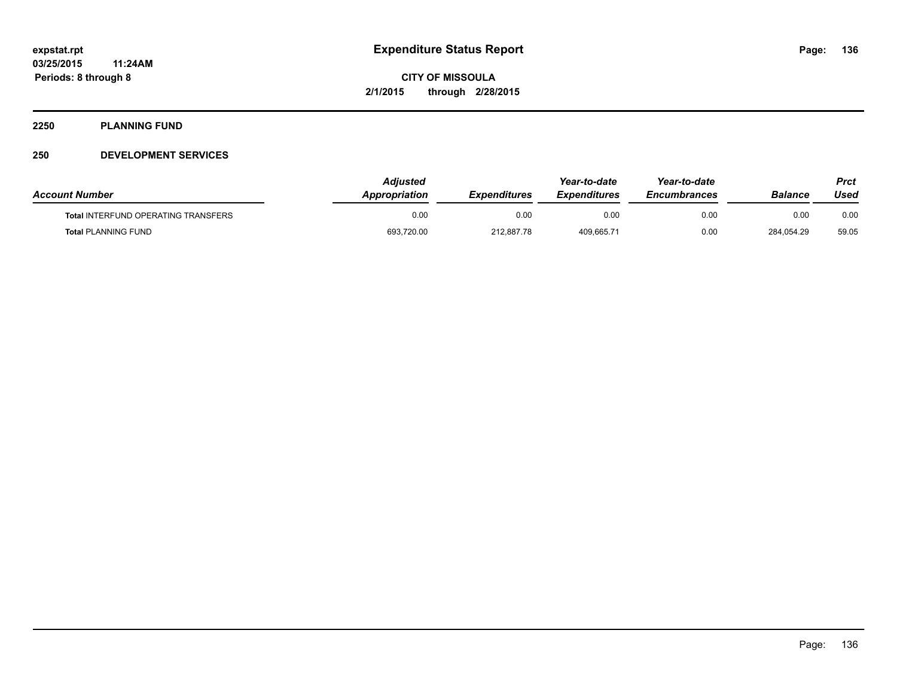#### **2250 PLANNING FUND**

### **250 DEVELOPMENT SERVICES**

| <b>Account Number</b>                      | Adiusted<br><b>Appropriation</b> | <b>Expenditures</b> | Year-to-date<br><b>Expenditures</b> | Year-to-date<br><b>Encumbrances</b> | Balance    | Prct<br>Used |
|--------------------------------------------|----------------------------------|---------------------|-------------------------------------|-------------------------------------|------------|--------------|
| <b>Total INTERFUND OPERATING TRANSFERS</b> | 0.00                             | 0.00                | 0.00                                | 0.00                                | 0.00       | 0.00         |
| <b>Total PLANNING FUND</b>                 | 693,720.00                       | 212.887.78          | 409.665.71                          | 0.00                                | 284.054.29 | 59.05        |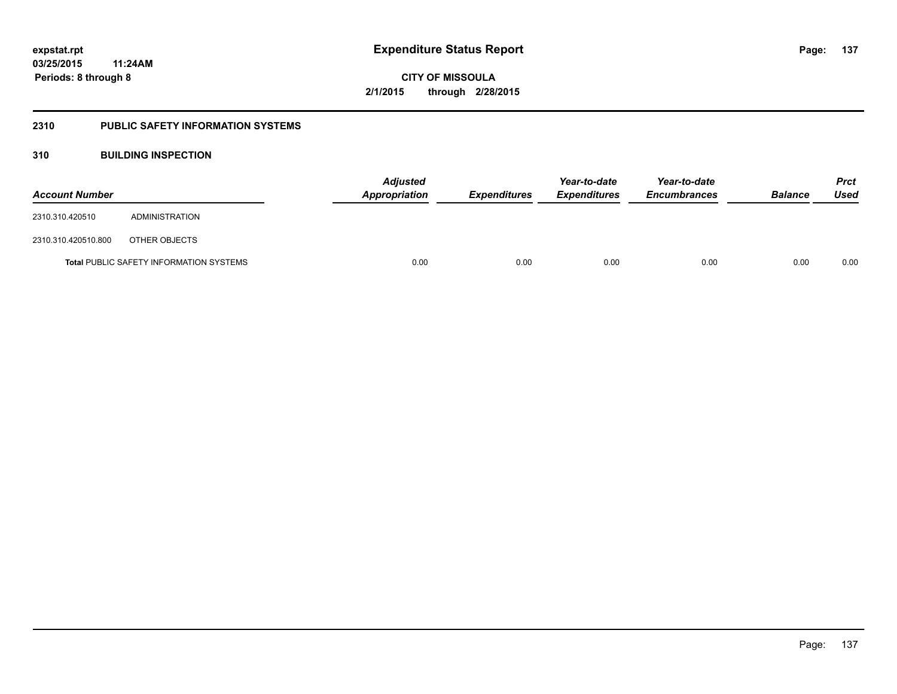#### **2310 PUBLIC SAFETY INFORMATION SYSTEMS**

### **310 BUILDING INSPECTION**

| <b>Account Number</b> |                                                | Appropriation | Adjusted<br><b>Expenditures</b> |      | Year-to-date<br><b>Expenditures</b> | Year-to-date<br><b>Encumbrances</b> | <b>Balance</b> | <b>Prct</b><br>Used |
|-----------------------|------------------------------------------------|---------------|---------------------------------|------|-------------------------------------|-------------------------------------|----------------|---------------------|
| 2310.310.420510       | ADMINISTRATION                                 |               |                                 |      |                                     |                                     |                |                     |
| 2310.310.420510.800   | OTHER OBJECTS                                  |               |                                 |      |                                     |                                     |                |                     |
|                       | <b>Total PUBLIC SAFETY INFORMATION SYSTEMS</b> |               | 0.00                            | 0.00 | 0.00                                | 0.00                                | 0.00           | 0.00                |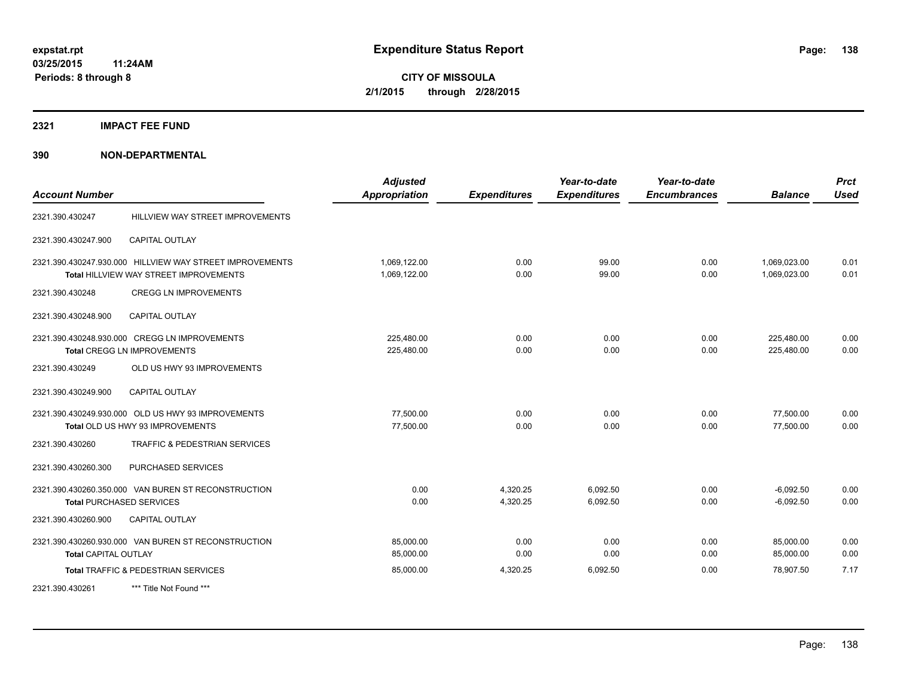#### **2321 IMPACT FEE FUND**

| <b>Account Number</b>       |                                                                                                           | <b>Adjusted</b><br><b>Appropriation</b> | <b>Expenditures</b>  | Year-to-date<br><b>Expenditures</b> | Year-to-date<br><b>Encumbrances</b> | <b>Balance</b>               | <b>Prct</b><br><b>Used</b> |
|-----------------------------|-----------------------------------------------------------------------------------------------------------|-----------------------------------------|----------------------|-------------------------------------|-------------------------------------|------------------------------|----------------------------|
| 2321.390.430247             | HILLVIEW WAY STREET IMPROVEMENTS                                                                          |                                         |                      |                                     |                                     |                              |                            |
| 2321.390.430247.900         | <b>CAPITAL OUTLAY</b>                                                                                     |                                         |                      |                                     |                                     |                              |                            |
|                             | 2321.390.430247.930.000 HILLVIEW WAY STREET IMPROVEMENTS<br><b>Total HILLVIEW WAY STREET IMPROVEMENTS</b> | 1,069,122.00<br>1,069,122.00            | 0.00<br>0.00         | 99.00<br>99.00                      | 0.00<br>0.00                        | 1,069,023.00<br>1.069.023.00 | 0.01<br>0.01               |
| 2321.390.430248             | <b>CREGG LN IMPROVEMENTS</b>                                                                              |                                         |                      |                                     |                                     |                              |                            |
| 2321.390.430248.900         | <b>CAPITAL OUTLAY</b>                                                                                     |                                         |                      |                                     |                                     |                              |                            |
|                             | 2321.390.430248.930.000 CREGG LN IMPROVEMENTS<br><b>Total CREGG LN IMPROVEMENTS</b>                       | 225,480.00<br>225,480.00                | 0.00<br>0.00         | 0.00<br>0.00                        | 0.00<br>0.00                        | 225,480.00<br>225,480.00     | 0.00<br>0.00               |
| 2321.390.430249             | OLD US HWY 93 IMPROVEMENTS                                                                                |                                         |                      |                                     |                                     |                              |                            |
| 2321.390.430249.900         | <b>CAPITAL OUTLAY</b>                                                                                     |                                         |                      |                                     |                                     |                              |                            |
|                             | 2321.390.430249.930.000 OLD US HWY 93 IMPROVEMENTS<br>Total OLD US HWY 93 IMPROVEMENTS                    | 77.500.00<br>77,500.00                  | 0.00<br>0.00         | 0.00<br>0.00                        | 0.00<br>0.00                        | 77,500.00<br>77,500.00       | 0.00<br>0.00               |
| 2321.390.430260             | TRAFFIC & PEDESTRIAN SERVICES                                                                             |                                         |                      |                                     |                                     |                              |                            |
| 2321.390.430260.300         | PURCHASED SERVICES                                                                                        |                                         |                      |                                     |                                     |                              |                            |
|                             | 2321.390.430260.350.000 VAN BUREN ST RECONSTRUCTION<br><b>Total PURCHASED SERVICES</b>                    | 0.00<br>0.00                            | 4,320.25<br>4,320.25 | 6,092.50<br>6,092.50                | 0.00<br>0.00                        | $-6.092.50$<br>$-6,092.50$   | 0.00<br>0.00               |
| 2321.390.430260.900         | <b>CAPITAL OUTLAY</b>                                                                                     |                                         |                      |                                     |                                     |                              |                            |
| <b>Total CAPITAL OUTLAY</b> | 2321.390.430260.930.000 VAN BUREN ST RECONSTRUCTION                                                       | 85,000.00<br>85,000.00                  | 0.00<br>0.00         | 0.00<br>0.00                        | 0.00<br>0.00                        | 85,000.00<br>85,000.00       | 0.00<br>0.00               |
|                             | Total TRAFFIC & PEDESTRIAN SERVICES                                                                       | 85,000.00                               | 4,320.25             | 6,092.50                            | 0.00                                | 78,907.50                    | 7.17                       |
| 2321.390.430261             | *** Title Not Found ***                                                                                   |                                         |                      |                                     |                                     |                              |                            |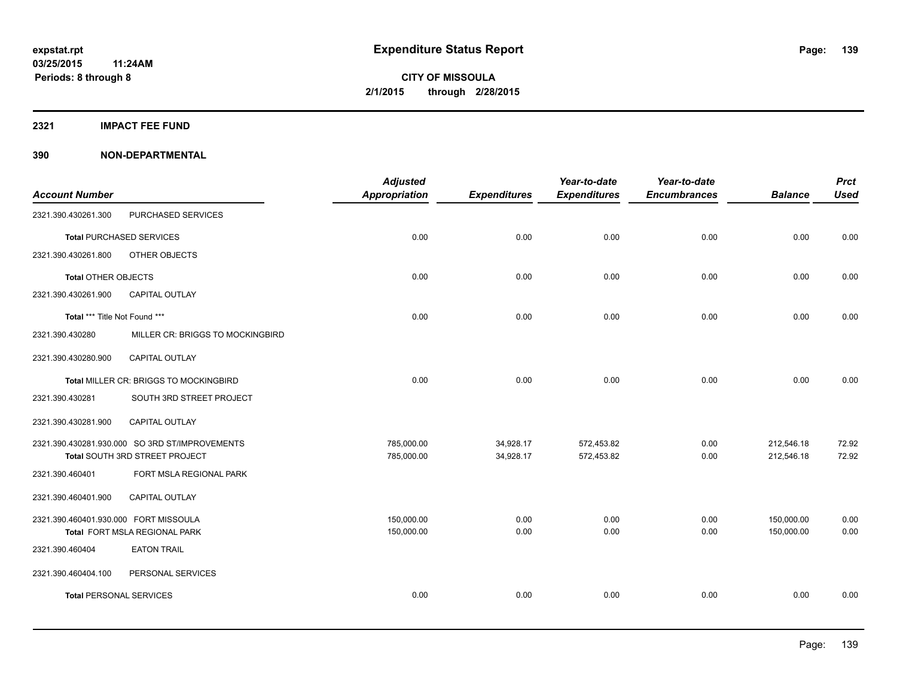**2321 IMPACT FEE FUND**

|                                       |                                                | <b>Adjusted</b>      |                     | Year-to-date        | Year-to-date        |                | <b>Prct</b> |
|---------------------------------------|------------------------------------------------|----------------------|---------------------|---------------------|---------------------|----------------|-------------|
| <b>Account Number</b>                 |                                                | <b>Appropriation</b> | <b>Expenditures</b> | <b>Expenditures</b> | <b>Encumbrances</b> | <b>Balance</b> | <b>Used</b> |
| 2321.390.430261.300                   | PURCHASED SERVICES                             |                      |                     |                     |                     |                |             |
|                                       | <b>Total PURCHASED SERVICES</b>                | 0.00                 | 0.00                | 0.00                | 0.00                | 0.00           | 0.00        |
| 2321.390.430261.800                   | OTHER OBJECTS                                  |                      |                     |                     |                     |                |             |
| <b>Total OTHER OBJECTS</b>            |                                                | 0.00                 | 0.00                | 0.00                | 0.00                | 0.00           | 0.00        |
| 2321.390.430261.900                   | <b>CAPITAL OUTLAY</b>                          |                      |                     |                     |                     |                |             |
| Total *** Title Not Found ***         |                                                | 0.00                 | 0.00                | 0.00                | 0.00                | 0.00           | 0.00        |
| 2321.390.430280                       | MILLER CR: BRIGGS TO MOCKINGBIRD               |                      |                     |                     |                     |                |             |
| 2321.390.430280.900                   | CAPITAL OUTLAY                                 |                      |                     |                     |                     |                |             |
|                                       | Total MILLER CR: BRIGGS TO MOCKINGBIRD         | 0.00                 | 0.00                | 0.00                | 0.00                | 0.00           | 0.00        |
| 2321.390.430281                       | SOUTH 3RD STREET PROJECT                       |                      |                     |                     |                     |                |             |
| 2321.390.430281.900                   | CAPITAL OUTLAY                                 |                      |                     |                     |                     |                |             |
|                                       | 2321.390.430281.930.000 SO 3RD ST/IMPROVEMENTS | 785,000.00           | 34,928.17           | 572,453.82          | 0.00                | 212,546.18     | 72.92       |
|                                       | Total SOUTH 3RD STREET PROJECT                 | 785,000.00           | 34,928.17           | 572,453.82          | 0.00                | 212,546.18     | 72.92       |
| 2321.390.460401                       | FORT MSLA REGIONAL PARK                        |                      |                     |                     |                     |                |             |
| 2321.390.460401.900                   | <b>CAPITAL OUTLAY</b>                          |                      |                     |                     |                     |                |             |
| 2321.390.460401.930.000 FORT MISSOULA |                                                | 150,000.00           | 0.00                | 0.00                | 0.00                | 150,000.00     | 0.00        |
|                                       | Total FORT MSLA REGIONAL PARK                  | 150,000.00           | 0.00                | 0.00                | 0.00                | 150,000.00     | 0.00        |
| 2321.390.460404                       | <b>EATON TRAIL</b>                             |                      |                     |                     |                     |                |             |
| 2321.390.460404.100                   | PERSONAL SERVICES                              |                      |                     |                     |                     |                |             |
| <b>Total PERSONAL SERVICES</b>        |                                                | 0.00                 | 0.00                | 0.00                | 0.00                | 0.00           | 0.00        |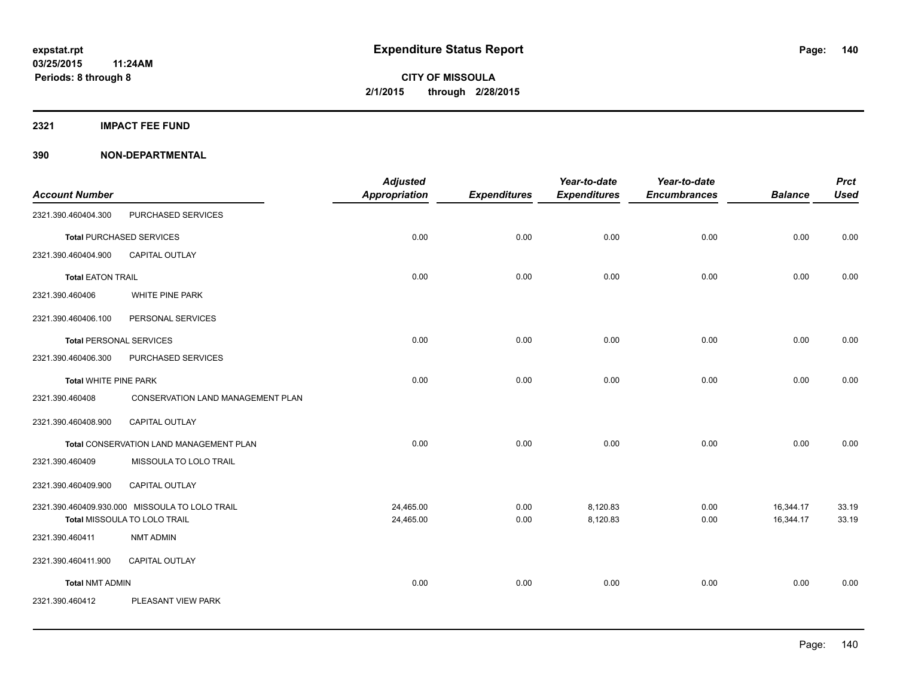**2321 IMPACT FEE FUND**

|                                |                                                                                | <b>Adjusted</b>        |                     | Year-to-date         | Year-to-date        |                        | <b>Prct</b>    |
|--------------------------------|--------------------------------------------------------------------------------|------------------------|---------------------|----------------------|---------------------|------------------------|----------------|
| <b>Account Number</b>          |                                                                                | <b>Appropriation</b>   | <b>Expenditures</b> | <b>Expenditures</b>  | <b>Encumbrances</b> | <b>Balance</b>         | <b>Used</b>    |
| 2321.390.460404.300            | PURCHASED SERVICES                                                             |                        |                     |                      |                     |                        |                |
|                                | <b>Total PURCHASED SERVICES</b>                                                | 0.00                   | 0.00                | 0.00                 | 0.00                | 0.00                   | 0.00           |
| 2321.390.460404.900            | CAPITAL OUTLAY                                                                 |                        |                     |                      |                     |                        |                |
| <b>Total EATON TRAIL</b>       |                                                                                | 0.00                   | 0.00                | 0.00                 | 0.00                | 0.00                   | 0.00           |
| 2321.390.460406                | WHITE PINE PARK                                                                |                        |                     |                      |                     |                        |                |
| 2321.390.460406.100            | PERSONAL SERVICES                                                              |                        |                     |                      |                     |                        |                |
| <b>Total PERSONAL SERVICES</b> |                                                                                | 0.00                   | 0.00                | 0.00                 | 0.00                | 0.00                   | 0.00           |
| 2321.390.460406.300            | PURCHASED SERVICES                                                             |                        |                     |                      |                     |                        |                |
| <b>Total WHITE PINE PARK</b>   |                                                                                | 0.00                   | 0.00                | 0.00                 | 0.00                | 0.00                   | 0.00           |
| 2321.390.460408                | <b>CONSERVATION LAND MANAGEMENT PLAN</b>                                       |                        |                     |                      |                     |                        |                |
| 2321.390.460408.900            | CAPITAL OUTLAY                                                                 |                        |                     |                      |                     |                        |                |
|                                | Total CONSERVATION LAND MANAGEMENT PLAN                                        | 0.00                   | 0.00                | 0.00                 | 0.00                | 0.00                   | 0.00           |
| 2321.390.460409                | MISSOULA TO LOLO TRAIL                                                         |                        |                     |                      |                     |                        |                |
| 2321.390.460409.900            | CAPITAL OUTLAY                                                                 |                        |                     |                      |                     |                        |                |
|                                | 2321.390.460409.930.000 MISSOULA TO LOLO TRAIL<br>Total MISSOULA TO LOLO TRAIL | 24,465.00<br>24,465.00 | 0.00<br>0.00        | 8,120.83<br>8,120.83 | 0.00<br>0.00        | 16,344.17<br>16,344.17 | 33.19<br>33.19 |
| 2321.390.460411                | <b>NMT ADMIN</b>                                                               |                        |                     |                      |                     |                        |                |
| 2321.390.460411.900            | CAPITAL OUTLAY                                                                 |                        |                     |                      |                     |                        |                |
| <b>Total NMT ADMIN</b>         |                                                                                | 0.00                   | 0.00                | 0.00                 | 0.00                | 0.00                   | 0.00           |
| 2321.390.460412                | PLEASANT VIEW PARK                                                             |                        |                     |                      |                     |                        |                |
|                                |                                                                                |                        |                     |                      |                     |                        |                |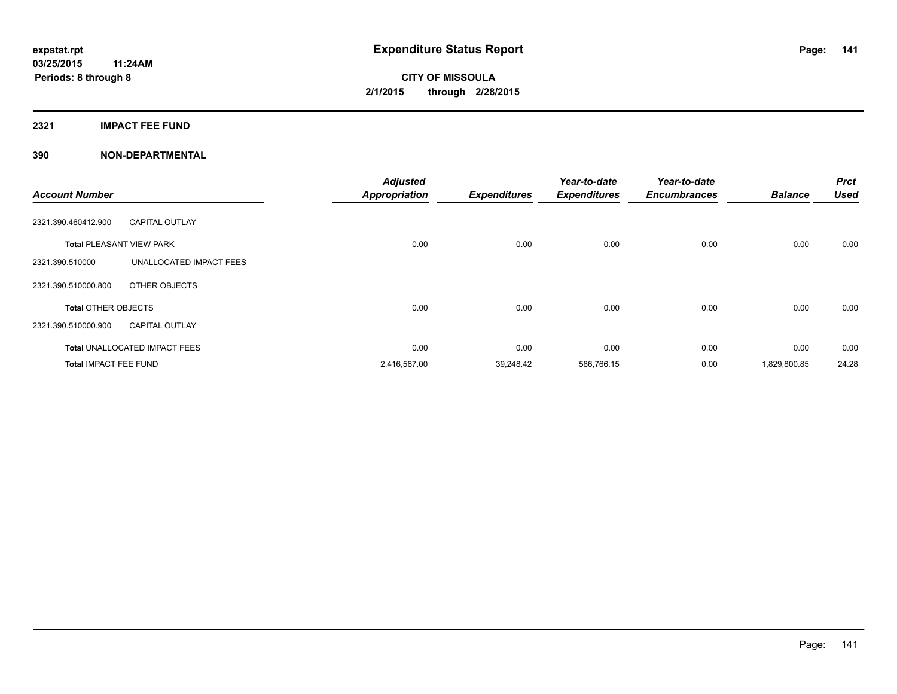#### **2321 IMPACT FEE FUND**

| <b>Account Number</b>           |                                      | <b>Adjusted</b><br><b>Appropriation</b> | <b>Expenditures</b> | Year-to-date<br><b>Expenditures</b> | Year-to-date<br><b>Encumbrances</b> | <b>Balance</b> | <b>Prct</b><br><b>Used</b> |
|---------------------------------|--------------------------------------|-----------------------------------------|---------------------|-------------------------------------|-------------------------------------|----------------|----------------------------|
| 2321.390.460412.900             | <b>CAPITAL OUTLAY</b>                |                                         |                     |                                     |                                     |                |                            |
| <b>Total PLEASANT VIEW PARK</b> |                                      | 0.00                                    | 0.00                | 0.00                                | 0.00                                | 0.00           | 0.00                       |
| 2321.390.510000                 | UNALLOCATED IMPACT FEES              |                                         |                     |                                     |                                     |                |                            |
| 2321.390.510000.800             | OTHER OBJECTS                        |                                         |                     |                                     |                                     |                |                            |
| <b>Total OTHER OBJECTS</b>      |                                      | 0.00                                    | 0.00                | 0.00                                | 0.00                                | 0.00           | 0.00                       |
| 2321.390.510000.900             | <b>CAPITAL OUTLAY</b>                |                                         |                     |                                     |                                     |                |                            |
|                                 | <b>Total UNALLOCATED IMPACT FEES</b> | 0.00                                    | 0.00                | 0.00                                | 0.00                                | 0.00           | 0.00                       |
| <b>Total IMPACT FEE FUND</b>    |                                      | 2,416,567.00                            | 39,248.42           | 586,766.15                          | 0.00                                | 1,829,800.85   | 24.28                      |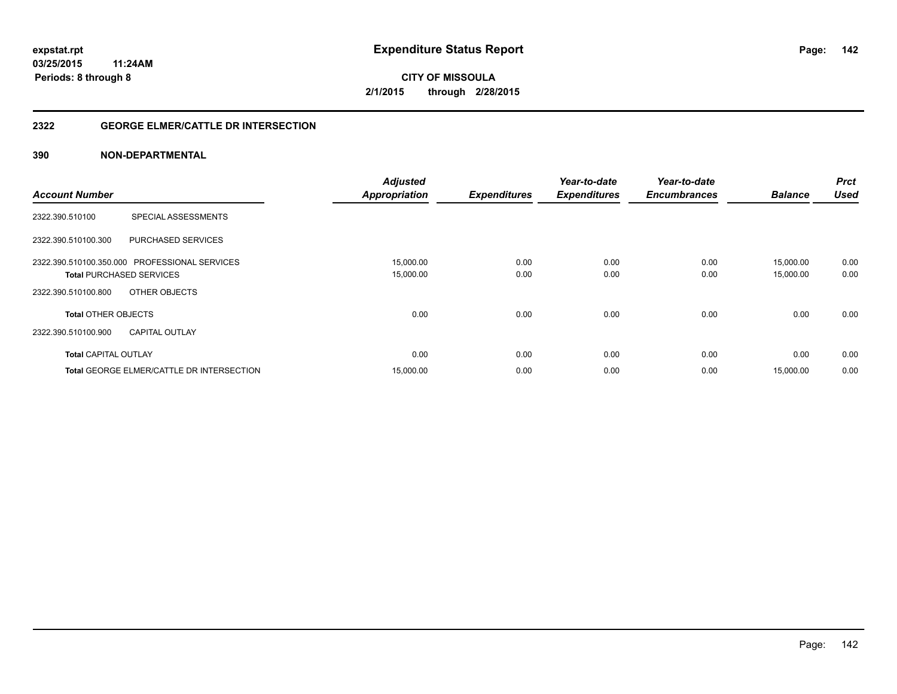### **2322 GEORGE ELMER/CATTLE DR INTERSECTION**

|                                                  | <b>Adjusted</b>      |                     | Year-to-date        | Year-to-date        |                | <b>Prct</b> |
|--------------------------------------------------|----------------------|---------------------|---------------------|---------------------|----------------|-------------|
| <b>Account Number</b>                            | <b>Appropriation</b> | <b>Expenditures</b> | <b>Expenditures</b> | <b>Encumbrances</b> | <b>Balance</b> | <b>Used</b> |
| SPECIAL ASSESSMENTS<br>2322.390.510100           |                      |                     |                     |                     |                |             |
| <b>PURCHASED SERVICES</b><br>2322.390.510100.300 |                      |                     |                     |                     |                |             |
| 2322.390.510100.350.000 PROFESSIONAL SERVICES    | 15,000.00            | 0.00                | 0.00                | 0.00                | 15.000.00      | 0.00        |
| <b>Total PURCHASED SERVICES</b>                  | 15,000.00            | 0.00                | 0.00                | 0.00                | 15,000.00      | 0.00        |
| OTHER OBJECTS<br>2322.390.510100.800             |                      |                     |                     |                     |                |             |
| <b>Total OTHER OBJECTS</b>                       | 0.00                 | 0.00                | 0.00                | 0.00                | 0.00           | 0.00        |
| 2322.390.510100.900<br><b>CAPITAL OUTLAY</b>     |                      |                     |                     |                     |                |             |
| <b>Total CAPITAL OUTLAY</b>                      | 0.00                 | 0.00                | 0.00                | 0.00                | 0.00           | 0.00        |
| <b>Total GEORGE ELMER/CATTLE DR INTERSECTION</b> | 15,000.00            | 0.00                | 0.00                | 0.00                | 15,000.00      | 0.00        |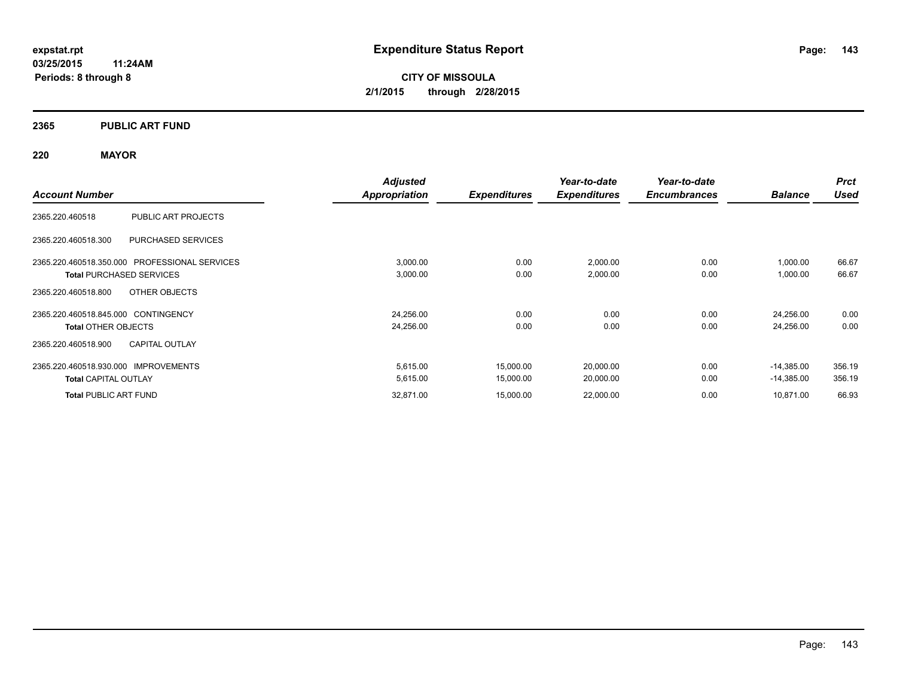### **2365 PUBLIC ART FUND**

### **220 MAYOR**

|                                                  | <b>Adjusted</b>      |                     | Year-to-date        | Year-to-date        |                | <b>Prct</b> |
|--------------------------------------------------|----------------------|---------------------|---------------------|---------------------|----------------|-------------|
| <b>Account Number</b>                            | <b>Appropriation</b> | <b>Expenditures</b> | <b>Expenditures</b> | <b>Encumbrances</b> | <b>Balance</b> | <b>Used</b> |
| PUBLIC ART PROJECTS<br>2365.220.460518           |                      |                     |                     |                     |                |             |
| 2365.220.460518.300<br><b>PURCHASED SERVICES</b> |                      |                     |                     |                     |                |             |
| 2365.220.460518.350.000 PROFESSIONAL SERVICES    | 3,000.00             | 0.00                | 2,000.00            | 0.00                | 1,000.00       | 66.67       |
| <b>Total PURCHASED SERVICES</b>                  | 3,000.00             | 0.00                | 2,000.00            | 0.00                | 1,000.00       | 66.67       |
| OTHER OBJECTS<br>2365.220.460518.800             |                      |                     |                     |                     |                |             |
| 2365.220.460518.845.000 CONTINGENCY              | 24,256.00            | 0.00                | 0.00                | 0.00                | 24,256.00      | 0.00        |
| <b>Total OTHER OBJECTS</b>                       | 24,256.00            | 0.00                | 0.00                | 0.00                | 24,256.00      | 0.00        |
| <b>CAPITAL OUTLAY</b><br>2365.220.460518.900     |                      |                     |                     |                     |                |             |
| 2365.220.460518.930.000 IMPROVEMENTS             | 5,615.00             | 15,000.00           | 20,000.00           | 0.00                | $-14,385.00$   | 356.19      |
| <b>Total CAPITAL OUTLAY</b>                      | 5,615.00             | 15,000.00           | 20,000.00           | 0.00                | $-14,385.00$   | 356.19      |
| <b>Total PUBLIC ART FUND</b>                     | 32,871.00            | 15,000.00           | 22,000.00           | 0.00                | 10,871.00      | 66.93       |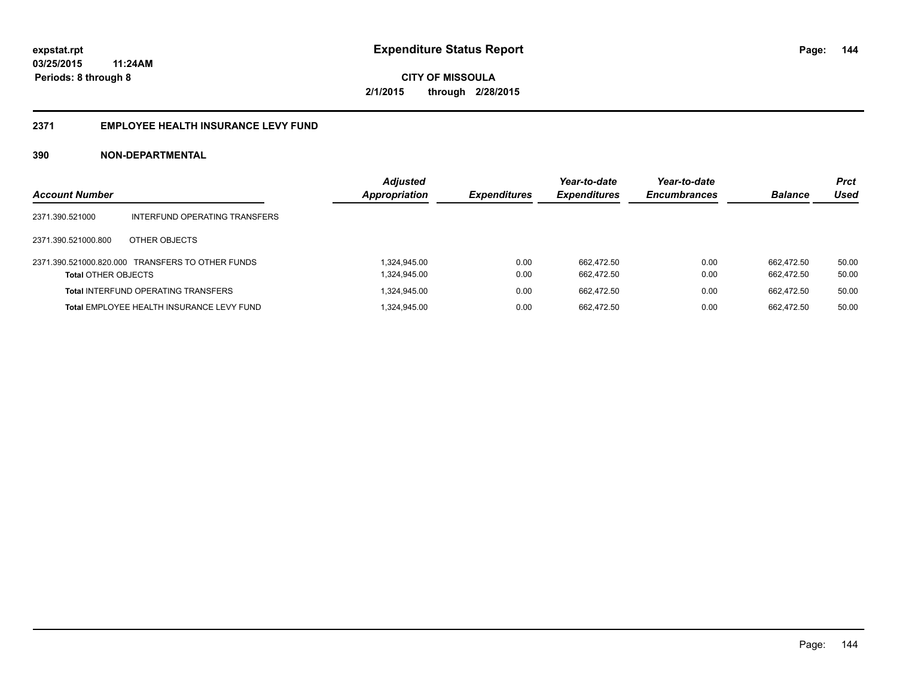#### **2371 EMPLOYEE HEALTH INSURANCE LEVY FUND**

| <b>Account Number</b>      |                                                  | <b>Adjusted</b><br>Appropriation | <b>Expenditures</b> | Year-to-date<br><b>Expenditures</b> | Year-to-date<br><b>Encumbrances</b> | <b>Balance</b>           | <b>Prct</b><br><b>Used</b> |
|----------------------------|--------------------------------------------------|----------------------------------|---------------------|-------------------------------------|-------------------------------------|--------------------------|----------------------------|
| 2371.390.521000            | INTERFUND OPERATING TRANSFERS                    |                                  |                     |                                     |                                     |                          |                            |
| 2371.390.521000.800        | OTHER OBJECTS                                    |                                  |                     |                                     |                                     |                          |                            |
| <b>Total OTHER OBJECTS</b> | 2371.390.521000.820.000 TRANSFERS TO OTHER FUNDS | 1.324.945.00<br>1,324,945.00     | 0.00<br>0.00        | 662.472.50<br>662.472.50            | 0.00<br>0.00                        | 662.472.50<br>662.472.50 | 50.00<br>50.00             |
|                            | <b>Total INTERFUND OPERATING TRANSFERS</b>       | 1,324,945.00                     | 0.00                | 662.472.50                          | 0.00                                | 662.472.50               | 50.00                      |
|                            | <b>Total EMPLOYEE HEALTH INSURANCE LEVY FUND</b> | 1.324.945.00                     | 0.00                | 662.472.50                          | 0.00                                | 662.472.50               | 50.00                      |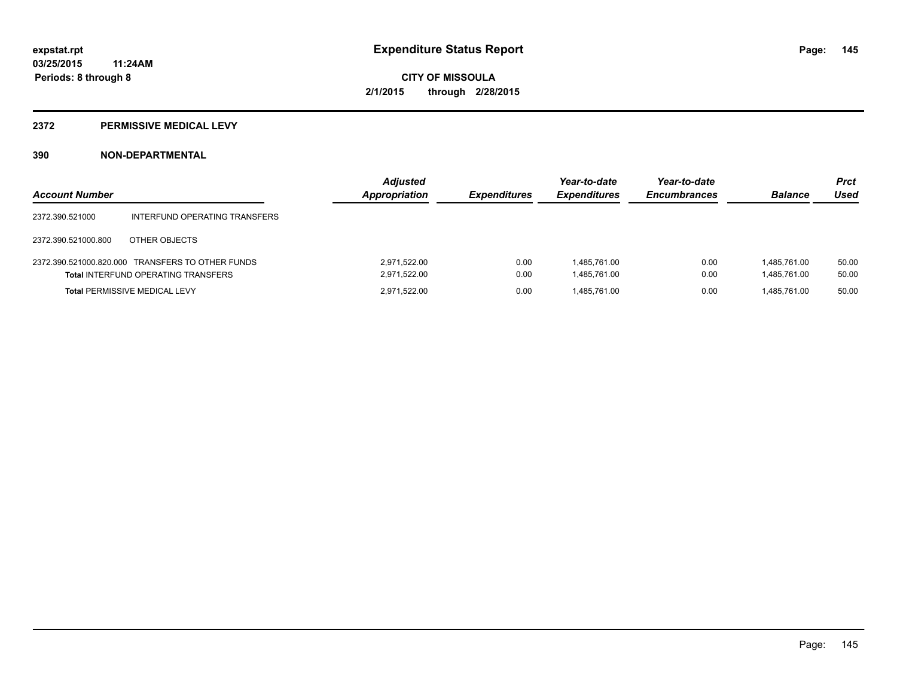## **2372 PERMISSIVE MEDICAL LEVY**

## **390 NON-DEPARTMENTAL**

| <b>Account Number</b> |                                                                                                | <b>Adjusted</b><br>Appropriation | <b>Expenditures</b> | Year-to-date<br><b>Expenditures</b> | Year-to-date<br><b>Encumbrances</b> | <b>Balance</b>               | <b>Prct</b><br>Used |
|-----------------------|------------------------------------------------------------------------------------------------|----------------------------------|---------------------|-------------------------------------|-------------------------------------|------------------------------|---------------------|
| 2372.390.521000       | INTERFUND OPERATING TRANSFERS                                                                  |                                  |                     |                                     |                                     |                              |                     |
| 2372.390.521000.800   | OTHER OBJECTS                                                                                  |                                  |                     |                                     |                                     |                              |                     |
|                       | 2372.390.521000.820.000 TRANSFERS TO OTHER FUNDS<br><b>Total INTERFUND OPERATING TRANSFERS</b> | 2.971.522.00<br>2,971,522.00     | 0.00<br>0.00        | 1.485.761.00<br>1,485,761.00        | 0.00<br>0.00                        | 1.485.761.00<br>1,485,761.00 | 50.00<br>50.00      |
|                       | <b>Total PERMISSIVE MEDICAL LEVY</b>                                                           | 2.971.522.00                     | 0.00                | 1.485.761.00                        | 0.00                                | 1.485.761.00                 | 50.00               |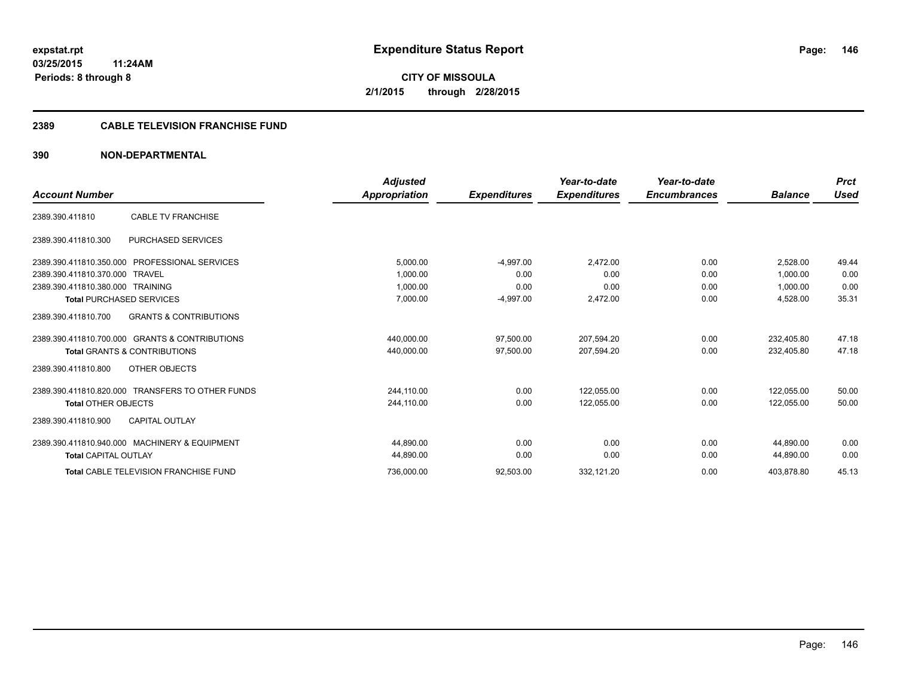## **2389 CABLE TELEVISION FRANCHISE FUND**

## **390 NON-DEPARTMENTAL**

|                                                          | <b>Adjusted</b> |                     | Year-to-date        | Year-to-date        |                | <b>Prct</b> |
|----------------------------------------------------------|-----------------|---------------------|---------------------|---------------------|----------------|-------------|
| <b>Account Number</b>                                    | Appropriation   | <b>Expenditures</b> | <b>Expenditures</b> | <b>Encumbrances</b> | <b>Balance</b> | <b>Used</b> |
| <b>CABLE TV FRANCHISE</b><br>2389.390.411810             |                 |                     |                     |                     |                |             |
| 2389.390.411810.300<br><b>PURCHASED SERVICES</b>         |                 |                     |                     |                     |                |             |
| 2389.390.411810.350.000<br>PROFESSIONAL SERVICES         | 5,000.00        | $-4,997.00$         | 2,472.00            | 0.00                | 2.528.00       | 49.44       |
| 2389.390.411810.370.000<br><b>TRAVEL</b>                 | 1.000.00        | 0.00                | 0.00                | 0.00                | 1.000.00       | 0.00        |
| 2389.390.411810.380.000 TRAINING                         | 1,000.00        | 0.00                | 0.00                | 0.00                | 1,000.00       | 0.00        |
| <b>Total PURCHASED SERVICES</b>                          | 7,000.00        | $-4,997.00$         | 2,472.00            | 0.00                | 4,528.00       | 35.31       |
| <b>GRANTS &amp; CONTRIBUTIONS</b><br>2389.390.411810.700 |                 |                     |                     |                     |                |             |
| 2389.390.411810.700.000 GRANTS & CONTRIBUTIONS           | 440,000.00      | 97,500.00           | 207,594.20          | 0.00                | 232.405.80     | 47.18       |
| <b>Total GRANTS &amp; CONTRIBUTIONS</b>                  | 440,000.00      | 97,500.00           | 207,594.20          | 0.00                | 232,405.80     | 47.18       |
| OTHER OBJECTS<br>2389.390.411810.800                     |                 |                     |                     |                     |                |             |
| 2389.390.411810.820.000 TRANSFERS TO OTHER FUNDS         | 244,110.00      | 0.00                | 122,055.00          | 0.00                | 122,055.00     | 50.00       |
| <b>Total OTHER OBJECTS</b>                               | 244.110.00      | 0.00                | 122,055.00          | 0.00                | 122.055.00     | 50.00       |
| <b>CAPITAL OUTLAY</b><br>2389.390.411810.900             |                 |                     |                     |                     |                |             |
| 2389.390.411810.940.000 MACHINERY & EQUIPMENT            | 44.890.00       | 0.00                | 0.00                | 0.00                | 44.890.00      | 0.00        |
| <b>Total CAPITAL OUTLAY</b>                              | 44,890.00       | 0.00                | 0.00                | 0.00                | 44,890.00      | 0.00        |
| <b>Total CABLE TELEVISION FRANCHISE FUND</b>             | 736,000.00      | 92,503.00           | 332,121.20          | 0.00                | 403,878.80     | 45.13       |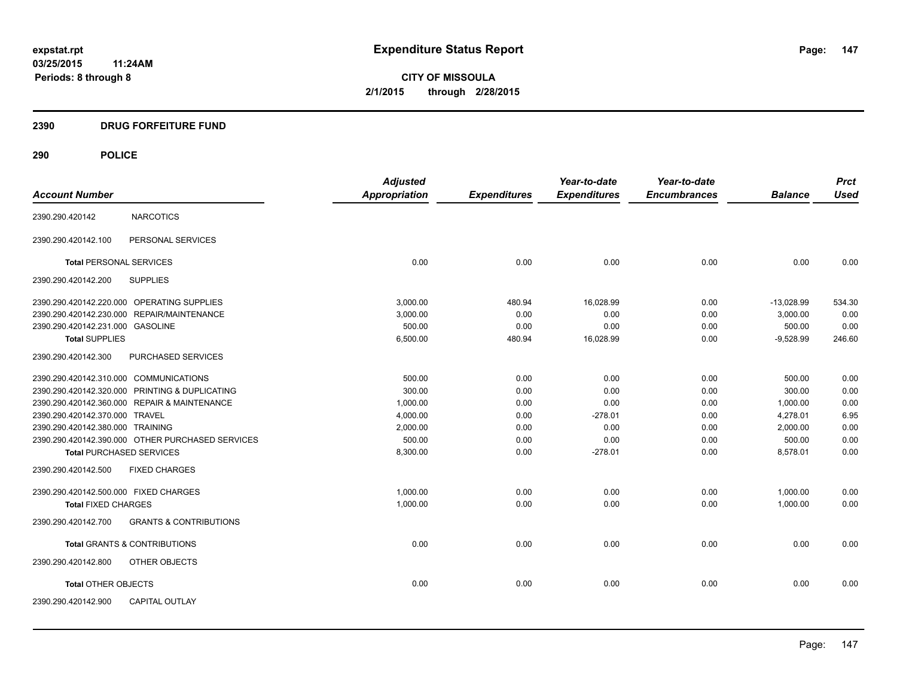## **2390 DRUG FORFEITURE FUND**

|                                              |                                                  | <b>Adjusted</b> |                     | Year-to-date        | Year-to-date        |                | <b>Prct</b> |
|----------------------------------------------|--------------------------------------------------|-----------------|---------------------|---------------------|---------------------|----------------|-------------|
| <b>Account Number</b>                        |                                                  | Appropriation   | <b>Expenditures</b> | <b>Expenditures</b> | <b>Encumbrances</b> | <b>Balance</b> | <b>Used</b> |
| 2390.290.420142                              | <b>NARCOTICS</b>                                 |                 |                     |                     |                     |                |             |
| 2390.290.420142.100                          | PERSONAL SERVICES                                |                 |                     |                     |                     |                |             |
| <b>Total PERSONAL SERVICES</b>               |                                                  | 0.00            | 0.00                | 0.00                | 0.00                | 0.00           | 0.00        |
| 2390.290.420142.200                          | <b>SUPPLIES</b>                                  |                 |                     |                     |                     |                |             |
| 2390.290.420142.220.000 OPERATING SUPPLIES   |                                                  | 3.000.00        | 480.94              | 16.028.99           | 0.00                | $-13,028.99$   | 534.30      |
| 2390.290.420142.230.000 REPAIR/MAINTENANCE   |                                                  | 3,000.00        | 0.00                | 0.00                | 0.00                | 3,000.00       | 0.00        |
| 2390.290.420142.231.000 GASOLINE             |                                                  | 500.00          | 0.00                | 0.00                | 0.00                | 500.00         | 0.00        |
| <b>Total SUPPLIES</b>                        |                                                  | 6,500.00        | 480.94              | 16,028.99           | 0.00                | $-9,528.99$    | 246.60      |
| 2390.290.420142.300                          | PURCHASED SERVICES                               |                 |                     |                     |                     |                |             |
| 2390.290.420142.310.000 COMMUNICATIONS       |                                                  | 500.00          | 0.00                | 0.00                | 0.00                | 500.00         | 0.00        |
|                                              | 2390.290.420142.320.000 PRINTING & DUPLICATING   | 300.00          | 0.00                | 0.00                | 0.00                | 300.00         | 0.00        |
| 2390.290.420142.360.000 REPAIR & MAINTENANCE |                                                  | 1,000.00        | 0.00                | 0.00                | 0.00                | 1,000.00       | 0.00        |
| 2390.290.420142.370.000 TRAVEL               |                                                  | 4,000.00        | 0.00                | $-278.01$           | 0.00                | 4,278.01       | 6.95        |
| 2390.290.420142.380.000 TRAINING             |                                                  | 2,000.00        | 0.00                | 0.00                | 0.00                | 2,000.00       | 0.00        |
|                                              | 2390.290.420142.390.000 OTHER PURCHASED SERVICES | 500.00          | 0.00                | 0.00                | 0.00                | 500.00         | 0.00        |
| <b>Total PURCHASED SERVICES</b>              |                                                  | 8,300.00        | 0.00                | $-278.01$           | 0.00                | 8,578.01       | 0.00        |
| 2390.290.420142.500                          | <b>FIXED CHARGES</b>                             |                 |                     |                     |                     |                |             |
| 2390.290.420142.500.000 FIXED CHARGES        |                                                  | 1,000.00        | 0.00                | 0.00                | 0.00                | 1,000.00       | 0.00        |
| <b>Total FIXED CHARGES</b>                   |                                                  | 1,000.00        | 0.00                | 0.00                | 0.00                | 1,000.00       | 0.00        |
| 2390.290.420142.700                          | <b>GRANTS &amp; CONTRIBUTIONS</b>                |                 |                     |                     |                     |                |             |
| <b>Total GRANTS &amp; CONTRIBUTIONS</b>      |                                                  | 0.00            | 0.00                | 0.00                | 0.00                | 0.00           | 0.00        |
| 2390.290.420142.800                          | OTHER OBJECTS                                    |                 |                     |                     |                     |                |             |
| <b>Total OTHER OBJECTS</b>                   |                                                  | 0.00            | 0.00                | 0.00                | 0.00                | 0.00           | 0.00        |
| 2390.290.420142.900                          | <b>CAPITAL OUTLAY</b>                            |                 |                     |                     |                     |                |             |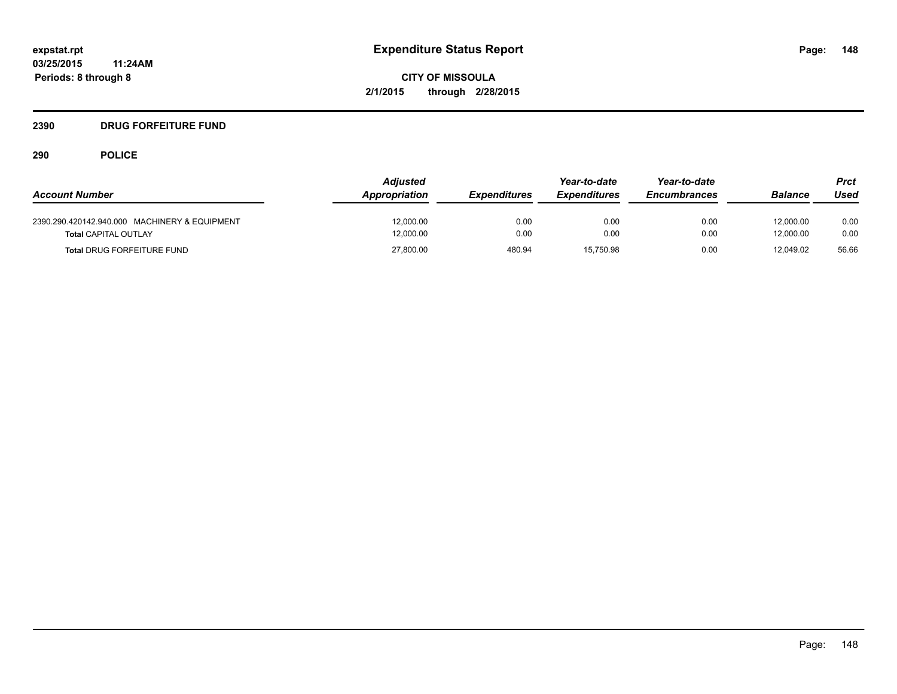## **2390 DRUG FORFEITURE FUND**

|                                               | <b>Adjusted</b> |                     | Year-to-date        | Year-to-date        |                | Prct  |
|-----------------------------------------------|-----------------|---------------------|---------------------|---------------------|----------------|-------|
| <b>Account Number</b>                         | Appropriation   | <b>Expenditures</b> | <b>Expenditures</b> | <b>Encumbrances</b> | <b>Balance</b> | Used  |
| 2390.290.420142.940.000 MACHINERY & EQUIPMENT | 12.000.00       | 0.00                | 0.00                | 0.00                | 12.000.00      | 0.00  |
| <b>Total CAPITAL OUTLAY</b>                   | 12,000.00       | 0.00                | 0.00                | 0.00                | 12.000.00      | 0.00  |
| <b>Total DRUG FORFEITURE FUND</b>             | 27,800.00       | 480.94              | 15.750.98           | 0.00                | 12.049.02      | 56.66 |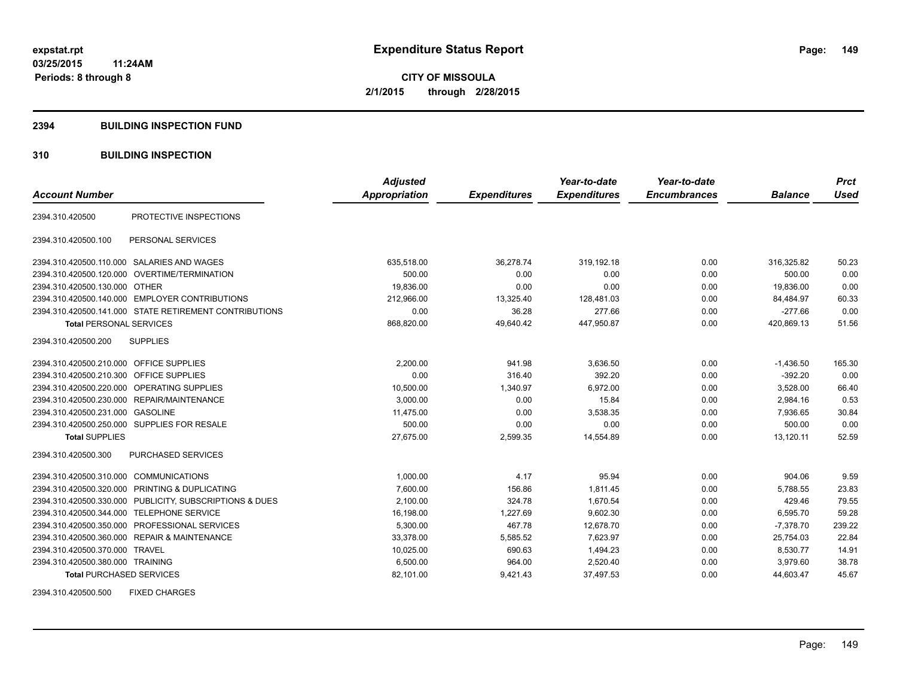### **2394 BUILDING INSPECTION FUND**

## **310 BUILDING INSPECTION**

|                                           |                                                         | <b>Adjusted</b>      |                     | Year-to-date        | Year-to-date        |                | <b>Prct</b> |
|-------------------------------------------|---------------------------------------------------------|----------------------|---------------------|---------------------|---------------------|----------------|-------------|
| <b>Account Number</b>                     |                                                         | <b>Appropriation</b> | <b>Expenditures</b> | <b>Expenditures</b> | <b>Encumbrances</b> | <b>Balance</b> | <b>Used</b> |
| 2394.310.420500                           | PROTECTIVE INSPECTIONS                                  |                      |                     |                     |                     |                |             |
| 2394.310.420500.100                       | PERSONAL SERVICES                                       |                      |                     |                     |                     |                |             |
|                                           | 2394.310.420500.110.000 SALARIES AND WAGES              | 635,518.00           | 36,278.74           | 319.192.18          | 0.00                | 316,325.82     | 50.23       |
|                                           | 2394.310.420500.120.000 OVERTIME/TERMINATION            | 500.00               | 0.00                | 0.00                | 0.00                | 500.00         | 0.00        |
| 2394.310.420500.130.000 OTHER             |                                                         | 19,836.00            | 0.00                | 0.00                | 0.00                | 19,836.00      | 0.00        |
|                                           | 2394.310.420500.140.000 EMPLOYER CONTRIBUTIONS          | 212,966.00           | 13,325.40           | 128,481.03          | 0.00                | 84,484.97      | 60.33       |
|                                           | 2394.310.420500.141.000 STATE RETIREMENT CONTRIBUTIONS  | 0.00                 | 36.28               | 277.66              | 0.00                | $-277.66$      | 0.00        |
| <b>Total PERSONAL SERVICES</b>            |                                                         | 868,820.00           | 49,640.42           | 447,950.87          | 0.00                | 420,869.13     | 51.56       |
| 2394.310.420500.200                       | <b>SUPPLIES</b>                                         |                      |                     |                     |                     |                |             |
| 2394.310.420500.210.000 OFFICE SUPPLIES   |                                                         | 2.200.00             | 941.98              | 3,636.50            | 0.00                | $-1,436.50$    | 165.30      |
| 2394.310.420500.210.300 OFFICE SUPPLIES   |                                                         | 0.00                 | 316.40              | 392.20              | 0.00                | $-392.20$      | 0.00        |
|                                           | 2394.310.420500.220.000 OPERATING SUPPLIES              | 10,500.00            | 1,340.97            | 6,972.00            | 0.00                | 3,528.00       | 66.40       |
|                                           | 2394.310.420500.230.000 REPAIR/MAINTENANCE              | 3,000.00             | 0.00                | 15.84               | 0.00                | 2,984.16       | 0.53        |
| 2394.310.420500.231.000                   | <b>GASOLINE</b>                                         | 11,475.00            | 0.00                | 3,538.35            | 0.00                | 7,936.65       | 30.84       |
|                                           | 2394.310.420500.250.000 SUPPLIES FOR RESALE             | 500.00               | 0.00                | 0.00                | 0.00                | 500.00         | 0.00        |
| <b>Total SUPPLIES</b>                     |                                                         | 27.675.00            | 2,599.35            | 14,554.89           | 0.00                | 13,120.11      | 52.59       |
| 2394.310.420500.300                       | PURCHASED SERVICES                                      |                      |                     |                     |                     |                |             |
| 2394.310.420500.310.000 COMMUNICATIONS    |                                                         | 1,000.00             | 4.17                | 95.94               | 0.00                | 904.06         | 9.59        |
|                                           | 2394.310.420500.320.000 PRINTING & DUPLICATING          | 7.600.00             | 156.86              | 1.811.45            | 0.00                | 5,788.55       | 23.83       |
|                                           | 2394.310.420500.330.000 PUBLICITY, SUBSCRIPTIONS & DUES | 2,100.00             | 324.78              | 1.670.54            | 0.00                | 429.46         | 79.55       |
| 2394.310.420500.344.000 TELEPHONE SERVICE |                                                         | 16,198.00            | 1,227.69            | 9,602.30            | 0.00                | 6,595.70       | 59.28       |
|                                           | 2394.310.420500.350.000 PROFESSIONAL SERVICES           | 5,300.00             | 467.78              | 12,678.70           | 0.00                | $-7,378.70$    | 239.22      |
|                                           | 2394.310.420500.360.000 REPAIR & MAINTENANCE            | 33,378.00            | 5,585.52            | 7,623.97            | 0.00                | 25,754.03      | 22.84       |
| 2394.310.420500.370.000 TRAVEL            |                                                         | 10,025.00            | 690.63              | 1,494.23            | 0.00                | 8,530.77       | 14.91       |
| 2394.310.420500.380.000 TRAINING          |                                                         | 6,500.00             | 964.00              | 2,520.40            | 0.00                | 3,979.60       | 38.78       |
| <b>Total PURCHASED SERVICES</b>           |                                                         | 82,101.00            | 9,421.43            | 37,497.53           | 0.00                | 44,603.47      | 45.67       |

2394.310.420500.500 FIXED CHARGES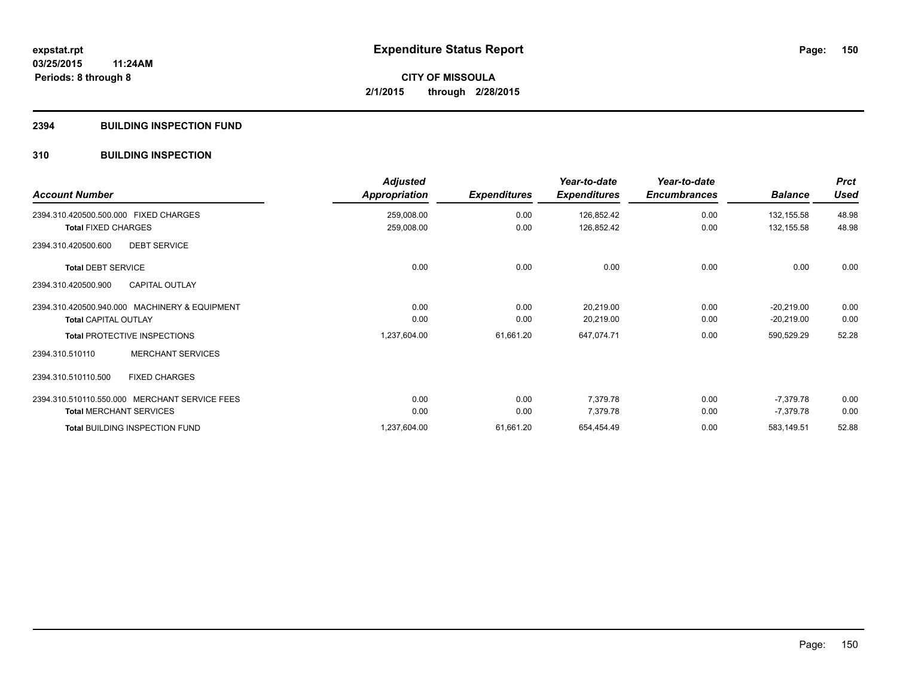## **2394 BUILDING INSPECTION FUND**

## **310 BUILDING INSPECTION**

| <b>Account Number</b>                         | <b>Adjusted</b><br>Appropriation | <b>Expenditures</b> | Year-to-date<br><b>Expenditures</b> | Year-to-date<br><b>Encumbrances</b> | <b>Balance</b> | <b>Prct</b><br><b>Used</b> |
|-----------------------------------------------|----------------------------------|---------------------|-------------------------------------|-------------------------------------|----------------|----------------------------|
| 2394.310.420500.500.000 FIXED CHARGES         | 259,008.00                       | 0.00                | 126,852.42                          | 0.00                                | 132,155.58     | 48.98                      |
| <b>Total FIXED CHARGES</b>                    | 259,008.00                       | 0.00                | 126,852.42                          | 0.00                                | 132,155.58     | 48.98                      |
| 2394.310.420500.600<br><b>DEBT SERVICE</b>    |                                  |                     |                                     |                                     |                |                            |
| <b>Total DEBT SERVICE</b>                     | 0.00                             | 0.00                | 0.00                                | 0.00                                | 0.00           | 0.00                       |
| <b>CAPITAL OUTLAY</b><br>2394.310.420500.900  |                                  |                     |                                     |                                     |                |                            |
| 2394.310.420500.940.000 MACHINERY & EQUIPMENT | 0.00                             | 0.00                | 20,219.00                           | 0.00                                | $-20,219.00$   | 0.00                       |
| <b>Total CAPITAL OUTLAY</b>                   | 0.00                             | 0.00                | 20,219.00                           | 0.00                                | $-20,219.00$   | 0.00                       |
| <b>Total PROTECTIVE INSPECTIONS</b>           | 1,237,604.00                     | 61,661.20           | 647,074.71                          | 0.00                                | 590,529.29     | 52.28                      |
| <b>MERCHANT SERVICES</b><br>2394.310.510110   |                                  |                     |                                     |                                     |                |                            |
| <b>FIXED CHARGES</b><br>2394.310.510110.500   |                                  |                     |                                     |                                     |                |                            |
| 2394.310.510110.550.000 MERCHANT SERVICE FEES | 0.00                             | 0.00                | 7,379.78                            | 0.00                                | -7,379.78      | 0.00                       |
| <b>Total MERCHANT SERVICES</b>                | 0.00                             | 0.00                | 7,379.78                            | 0.00                                | $-7,379.78$    | 0.00                       |
| <b>Total BUILDING INSPECTION FUND</b>         | 1,237,604.00                     | 61,661.20           | 654,454.49                          | 0.00                                | 583,149.51     | 52.88                      |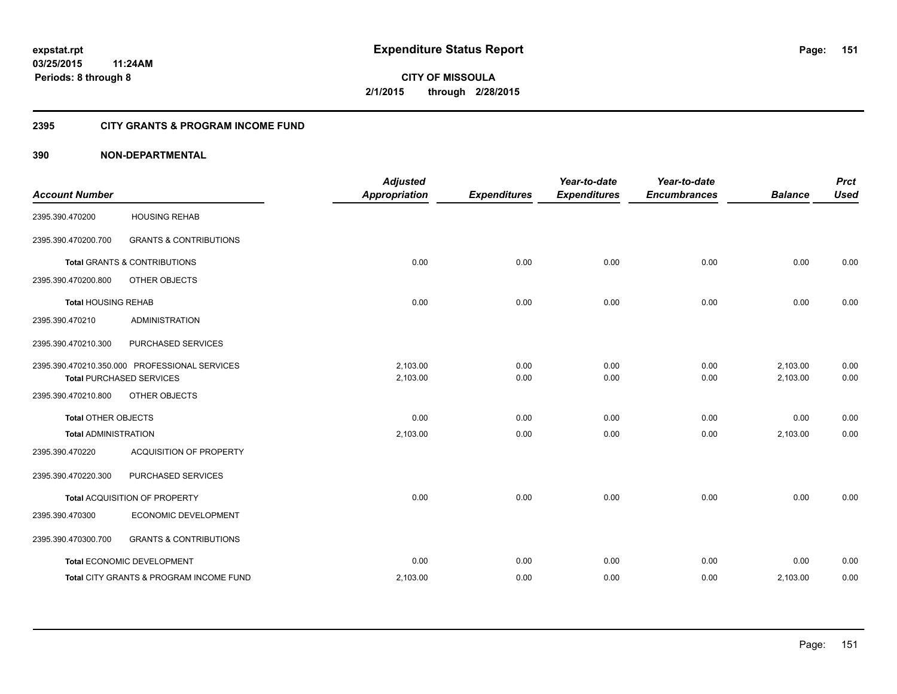## **2395 CITY GRANTS & PROGRAM INCOME FUND**

## **390 NON-DEPARTMENTAL**

| <b>Account Number</b>       |                                                                                  | <b>Adjusted</b><br><b>Appropriation</b> | <b>Expenditures</b> | Year-to-date<br><b>Expenditures</b> | Year-to-date<br><b>Encumbrances</b> | <b>Balance</b>       | <b>Prct</b><br><b>Used</b> |
|-----------------------------|----------------------------------------------------------------------------------|-----------------------------------------|---------------------|-------------------------------------|-------------------------------------|----------------------|----------------------------|
| 2395.390.470200             | <b>HOUSING REHAB</b>                                                             |                                         |                     |                                     |                                     |                      |                            |
| 2395.390.470200.700         | <b>GRANTS &amp; CONTRIBUTIONS</b>                                                |                                         |                     |                                     |                                     |                      |                            |
|                             | Total GRANTS & CONTRIBUTIONS                                                     | 0.00                                    | 0.00                | 0.00                                | 0.00                                | 0.00                 | 0.00                       |
| 2395.390.470200.800         | OTHER OBJECTS                                                                    |                                         |                     |                                     |                                     |                      |                            |
| <b>Total HOUSING REHAB</b>  |                                                                                  | 0.00                                    | 0.00                | 0.00                                | 0.00                                | 0.00                 | 0.00                       |
| 2395.390.470210             | <b>ADMINISTRATION</b>                                                            |                                         |                     |                                     |                                     |                      |                            |
| 2395.390.470210.300         | PURCHASED SERVICES                                                               |                                         |                     |                                     |                                     |                      |                            |
|                             | 2395.390.470210.350.000 PROFESSIONAL SERVICES<br><b>Total PURCHASED SERVICES</b> | 2.103.00<br>2,103.00                    | 0.00<br>0.00        | 0.00<br>0.00                        | 0.00<br>0.00                        | 2,103.00<br>2,103.00 | 0.00<br>0.00               |
| 2395.390.470210.800         | OTHER OBJECTS                                                                    |                                         |                     |                                     |                                     |                      |                            |
| <b>Total OTHER OBJECTS</b>  |                                                                                  | 0.00                                    | 0.00                | 0.00                                | 0.00                                | 0.00                 | 0.00                       |
| <b>Total ADMINISTRATION</b> |                                                                                  | 2,103.00                                | 0.00                | 0.00                                | 0.00                                | 2,103.00             | 0.00                       |
| 2395.390.470220             | ACQUISITION OF PROPERTY                                                          |                                         |                     |                                     |                                     |                      |                            |
| 2395.390.470220.300         | PURCHASED SERVICES                                                               |                                         |                     |                                     |                                     |                      |                            |
|                             | Total ACQUISITION OF PROPERTY                                                    | 0.00                                    | 0.00                | 0.00                                | 0.00                                | 0.00                 | 0.00                       |
| 2395.390.470300             | ECONOMIC DEVELOPMENT                                                             |                                         |                     |                                     |                                     |                      |                            |
| 2395.390.470300.700         | <b>GRANTS &amp; CONTRIBUTIONS</b>                                                |                                         |                     |                                     |                                     |                      |                            |
|                             | Total ECONOMIC DEVELOPMENT                                                       | 0.00                                    | 0.00                | 0.00                                | 0.00                                | 0.00                 | 0.00                       |
|                             | Total CITY GRANTS & PROGRAM INCOME FUND                                          | 2,103.00                                | 0.00                | 0.00                                | 0.00                                | 2,103.00             | 0.00                       |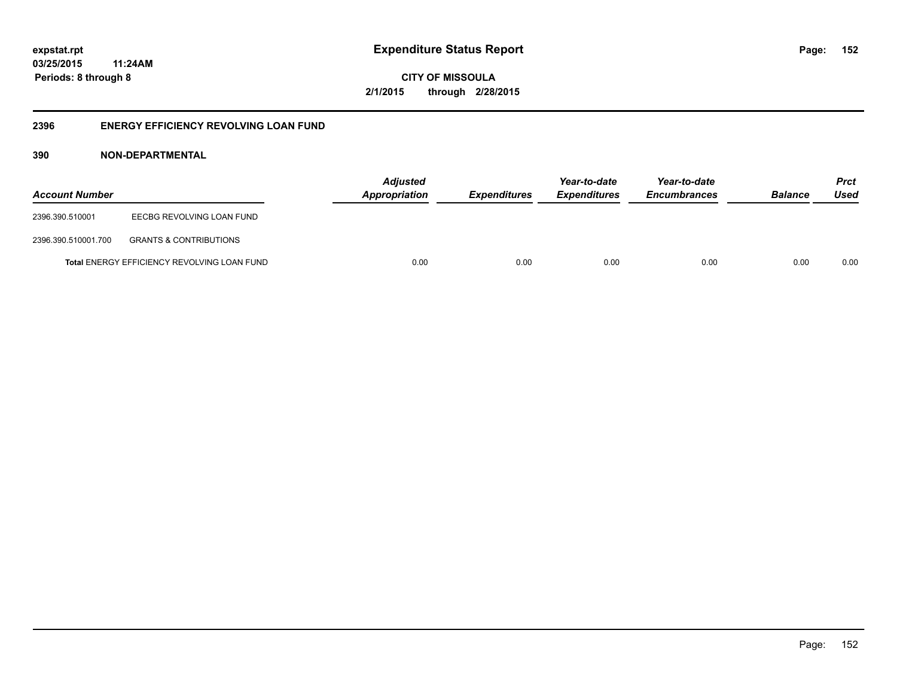**CITY OF MISSOULA 2/1/2015 through 2/28/2015**

## **2396 ENERGY EFFICIENCY REVOLVING LOAN FUND**

## **390 NON-DEPARTMENTAL**

| <b>Account Number</b> |                                                    | Adjusted<br><b>Appropriation</b> | <b>Expenditures</b> | Year-to-date<br><b>Expenditures</b> | Year-to-date<br><b>Encumbrances</b> | <b>Balance</b> | <b>Prct</b><br>Used |
|-----------------------|----------------------------------------------------|----------------------------------|---------------------|-------------------------------------|-------------------------------------|----------------|---------------------|
| 2396.390.510001       | EECBG REVOLVING LOAN FUND                          |                                  |                     |                                     |                                     |                |                     |
| 2396.390.510001.700   | <b>GRANTS &amp; CONTRIBUTIONS</b>                  |                                  |                     |                                     |                                     |                |                     |
|                       | <b>Total ENERGY EFFICIENCY REVOLVING LOAN FUND</b> | 0.00                             | 0.00                | 0.00                                | 0.00                                | 0.00           | 0.00                |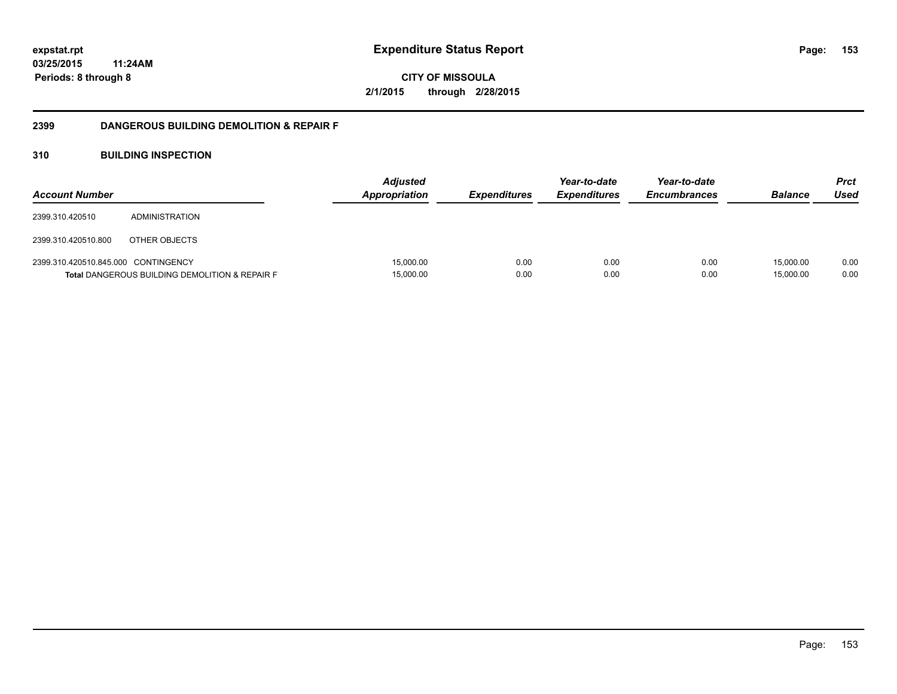**CITY OF MISSOULA 2/1/2015 through 2/28/2015**

## **2399 DANGEROUS BUILDING DEMOLITION & REPAIR F**

## **310 BUILDING INSPECTION**

| <b>Account Number</b>               |                                                           | <b>Adjusted</b><br><b>Appropriation</b> | <i><b>Expenditures</b></i> | Year-to-date<br><i><b>Expenditures</b></i> | Year-to-date<br><b>Encumbrances</b> | <b>Balance</b>         | <b>Prct</b><br>Used |
|-------------------------------------|-----------------------------------------------------------|-----------------------------------------|----------------------------|--------------------------------------------|-------------------------------------|------------------------|---------------------|
| 2399.310.420510                     | ADMINISTRATION                                            |                                         |                            |                                            |                                     |                        |                     |
| 2399.310.420510.800                 | OTHER OBJECTS                                             |                                         |                            |                                            |                                     |                        |                     |
| 2399.310.420510.845.000 CONTINGENCY | <b>Total DANGEROUS BUILDING DEMOLITION &amp; REPAIR F</b> | 15,000.00<br>15,000.00                  | 0.00<br>0.00               | 0.00<br>0.00                               | 0.00<br>0.00                        | 15.000.00<br>15,000.00 | 0.00<br>0.00        |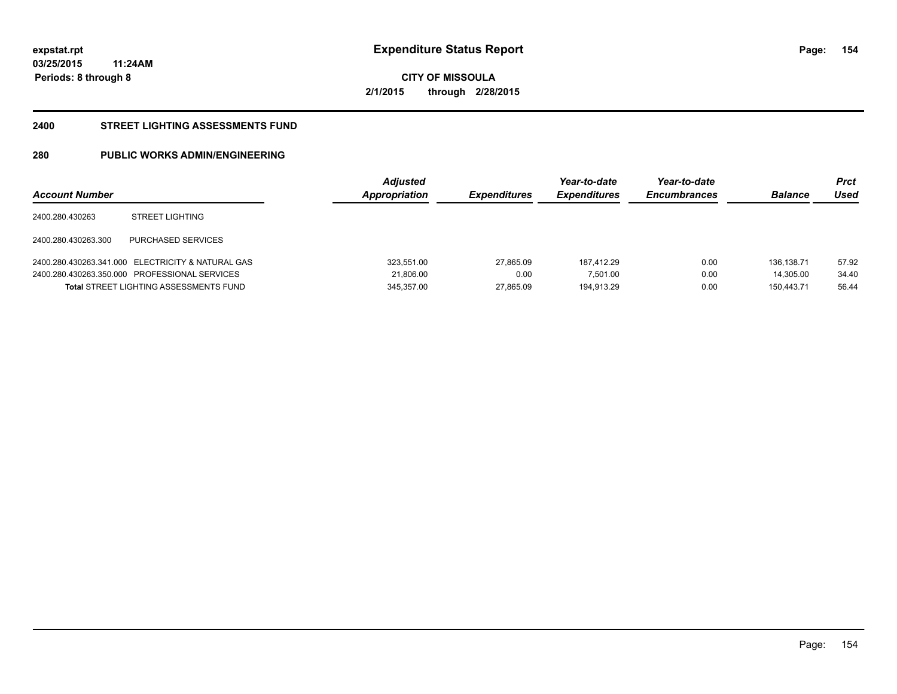**CITY OF MISSOULA 2/1/2015 through 2/28/2015**

## **2400 STREET LIGHTING ASSESSMENTS FUND**

## **280 PUBLIC WORKS ADMIN/ENGINEERING**

| <b>Account Number</b> |                                                   | <b>Adjusted</b><br>Appropriation | <b>Expenditures</b> | Year-to-date<br><b>Expenditures</b> | Year-to-date<br><b>Encumbrances</b> | <b>Balance</b> | Prct<br>Used |
|-----------------------|---------------------------------------------------|----------------------------------|---------------------|-------------------------------------|-------------------------------------|----------------|--------------|
| 2400.280.430263       | <b>STREET LIGHTING</b>                            |                                  |                     |                                     |                                     |                |              |
| 2400.280.430263.300   | PURCHASED SERVICES                                |                                  |                     |                                     |                                     |                |              |
|                       | 2400.280.430263.341.000 ELECTRICITY & NATURAL GAS | 323,551.00                       | 27.865.09           | 187.412.29                          | 0.00                                | 136.138.71     | 57.92        |
|                       | 2400.280.430263.350.000 PROFESSIONAL SERVICES     | 21,806.00                        | 0.00                | 7,501.00                            | 0.00                                | 14.305.00      | 34.40        |
|                       | <b>Total STREET LIGHTING ASSESSMENTS FUND</b>     | 345.357.00                       | 27.865.09           | 194.913.29                          | 0.00                                | 150.443.71     | 56.44        |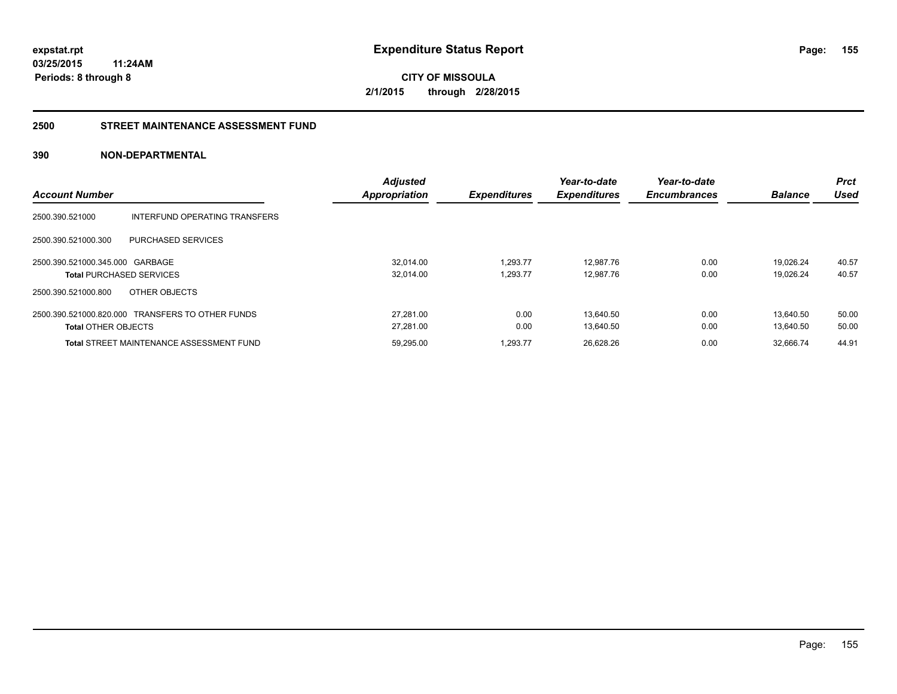**CITY OF MISSOULA 2/1/2015 through 2/28/2015**

## **2500 STREET MAINTENANCE ASSESSMENT FUND**

## **390 NON-DEPARTMENTAL**

|                                 |                                                  | <b>Adjusted</b> |                     | Year-to-date        | Year-to-date        |                | <b>Prct</b> |
|---------------------------------|--------------------------------------------------|-----------------|---------------------|---------------------|---------------------|----------------|-------------|
| <b>Account Number</b>           |                                                  | Appropriation   | <b>Expenditures</b> | <b>Expenditures</b> | <b>Encumbrances</b> | <b>Balance</b> | Used        |
| 2500.390.521000                 | INTERFUND OPERATING TRANSFERS                    |                 |                     |                     |                     |                |             |
| 2500.390.521000.300             | <b>PURCHASED SERVICES</b>                        |                 |                     |                     |                     |                |             |
| 2500.390.521000.345.000 GARBAGE |                                                  | 32.014.00       | 1.293.77            | 12.987.76           | 0.00                | 19.026.24      | 40.57       |
|                                 | <b>Total PURCHASED SERVICES</b>                  | 32,014.00       | 1,293.77            | 12,987.76           | 0.00                | 19.026.24      | 40.57       |
| 2500.390.521000.800             | OTHER OBJECTS                                    |                 |                     |                     |                     |                |             |
|                                 | 2500.390.521000.820.000 TRANSFERS TO OTHER FUNDS | 27.281.00       | 0.00                | 13.640.50           | 0.00                | 13.640.50      | 50.00       |
| <b>Total OTHER OBJECTS</b>      |                                                  | 27.281.00       | 0.00                | 13.640.50           | 0.00                | 13.640.50      | 50.00       |
|                                 | <b>Total STREET MAINTENANCE ASSESSMENT FUND</b>  | 59,295.00       | 1.293.77            | 26,628.26           | 0.00                | 32.666.74      | 44.91       |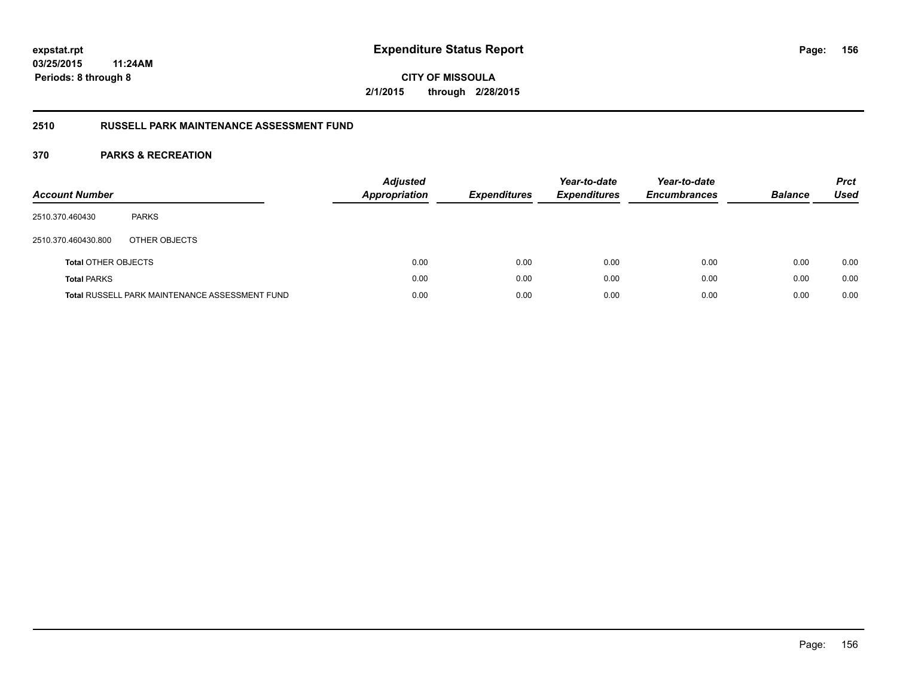**CITY OF MISSOULA 2/1/2015 through 2/28/2015**

## **2510 RUSSELL PARK MAINTENANCE ASSESSMENT FUND**

| <b>Account Number</b>      |                                                       | <b>Adjusted</b><br><b>Appropriation</b> | <b>Expenditures</b> | Year-to-date<br><b>Expenditures</b> | Year-to-date<br><b>Encumbrances</b> | <b>Balance</b> | <b>Prct</b><br>Used |
|----------------------------|-------------------------------------------------------|-----------------------------------------|---------------------|-------------------------------------|-------------------------------------|----------------|---------------------|
| 2510.370.460430            | <b>PARKS</b>                                          |                                         |                     |                                     |                                     |                |                     |
| 2510.370.460430.800        | OTHER OBJECTS                                         |                                         |                     |                                     |                                     |                |                     |
| <b>Total OTHER OBJECTS</b> |                                                       | 0.00                                    | 0.00                | 0.00                                | 0.00                                | 0.00           | 0.00                |
| <b>Total PARKS</b>         |                                                       | 0.00                                    | 0.00                | 0.00                                | 0.00                                | 0.00           | 0.00                |
|                            | <b>Total RUSSELL PARK MAINTENANCE ASSESSMENT FUND</b> | 0.00                                    | 0.00                | 0.00                                | 0.00                                | 0.00           | 0.00                |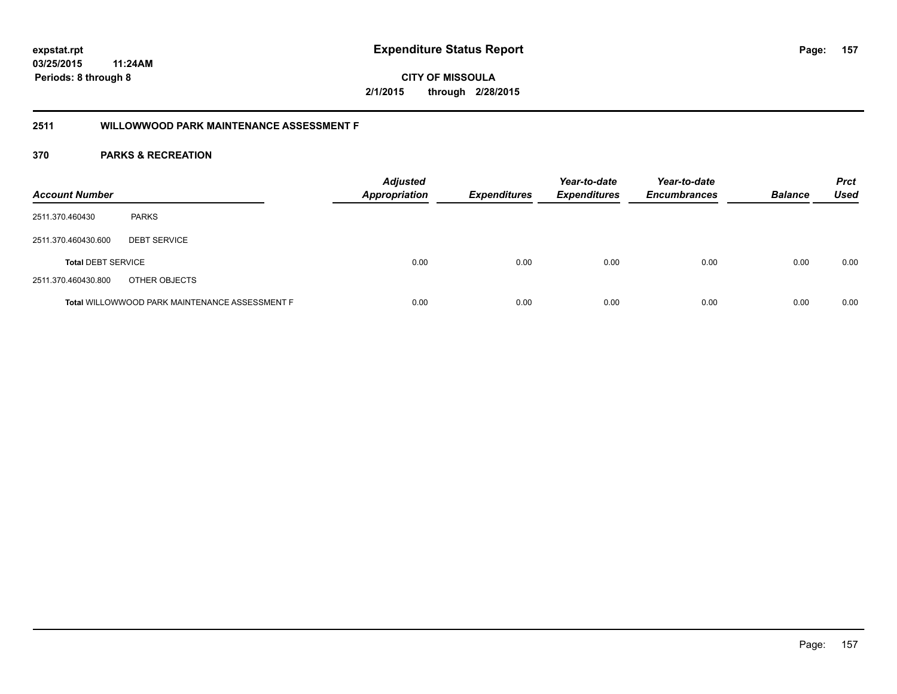**CITY OF MISSOULA 2/1/2015 through 2/28/2015**

## **2511 WILLOWWOOD PARK MAINTENANCE ASSESSMENT F**

| <b>Account Number</b>     |                                                       | <b>Adjusted</b><br><b>Appropriation</b> | <b>Expenditures</b> | Year-to-date<br><b>Expenditures</b> | Year-to-date<br><b>Encumbrances</b> | <b>Balance</b> | <b>Prct</b><br><b>Used</b> |
|---------------------------|-------------------------------------------------------|-----------------------------------------|---------------------|-------------------------------------|-------------------------------------|----------------|----------------------------|
| 2511.370.460430           | <b>PARKS</b>                                          |                                         |                     |                                     |                                     |                |                            |
| 2511.370.460430.600       | <b>DEBT SERVICE</b>                                   |                                         |                     |                                     |                                     |                |                            |
| <b>Total DEBT SERVICE</b> |                                                       | 0.00                                    | 0.00                | 0.00                                | 0.00                                | 0.00           | 0.00                       |
| 2511.370.460430.800       | OTHER OBJECTS                                         |                                         |                     |                                     |                                     |                |                            |
|                           | <b>Total WILLOWWOOD PARK MAINTENANCE ASSESSMENT F</b> | 0.00                                    | 0.00                | 0.00                                | 0.00                                | 0.00           | 0.00                       |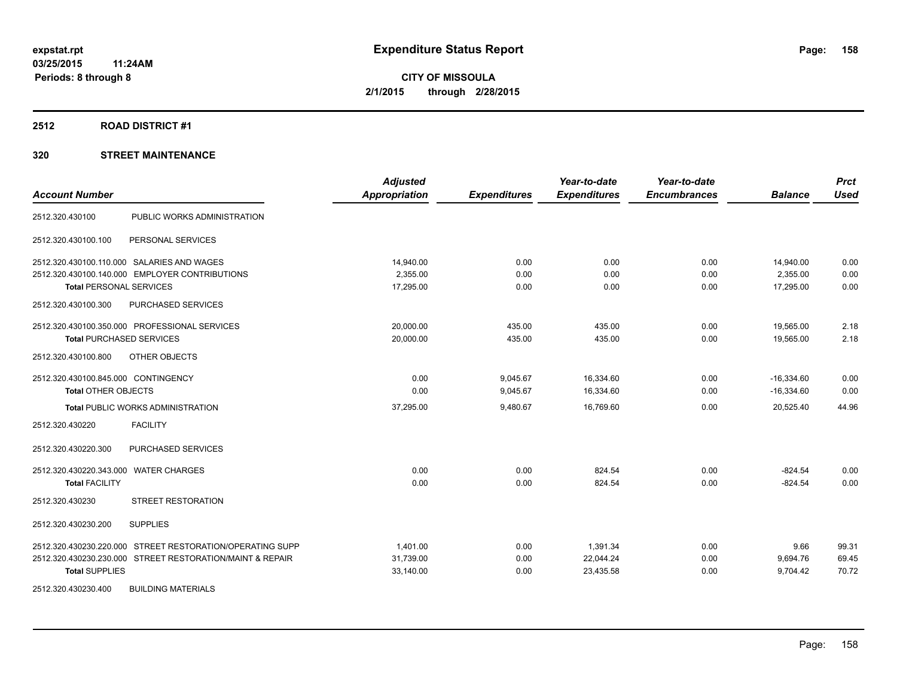## **2512 ROAD DISTRICT #1**

## **320 STREET MAINTENANCE**

| <b>Account Number</b>                                     | <b>Adjusted</b><br><b>Appropriation</b> | <b>Expenditures</b> | Year-to-date<br><b>Expenditures</b> | Year-to-date<br><b>Encumbrances</b> | <b>Balance</b> | <b>Prct</b><br><b>Used</b> |
|-----------------------------------------------------------|-----------------------------------------|---------------------|-------------------------------------|-------------------------------------|----------------|----------------------------|
| PUBLIC WORKS ADMINISTRATION<br>2512.320.430100            |                                         |                     |                                     |                                     |                |                            |
| 2512.320.430100.100<br>PERSONAL SERVICES                  |                                         |                     |                                     |                                     |                |                            |
| 2512.320.430100.110.000 SALARIES AND WAGES                | 14,940.00                               | 0.00                | 0.00                                | 0.00                                | 14,940.00      | 0.00                       |
| 2512.320.430100.140.000 EMPLOYER CONTRIBUTIONS            | 2,355.00                                | 0.00                | 0.00                                | 0.00                                | 2,355.00       | 0.00                       |
| <b>Total PERSONAL SERVICES</b>                            | 17,295.00                               | 0.00                | 0.00                                | 0.00                                | 17,295.00      | 0.00                       |
| PURCHASED SERVICES<br>2512.320.430100.300                 |                                         |                     |                                     |                                     |                |                            |
| 2512.320.430100.350.000 PROFESSIONAL SERVICES             | 20,000.00                               | 435.00              | 435.00                              | 0.00                                | 19,565.00      | 2.18                       |
| <b>Total PURCHASED SERVICES</b>                           | 20,000.00                               | 435.00              | 435.00                              | 0.00                                | 19.565.00      | 2.18                       |
| 2512.320.430100.800<br>OTHER OBJECTS                      |                                         |                     |                                     |                                     |                |                            |
| 2512.320.430100.845.000 CONTINGENCY                       | 0.00                                    | 9,045.67            | 16,334.60                           | 0.00                                | $-16,334.60$   | 0.00                       |
| <b>Total OTHER OBJECTS</b>                                | 0.00                                    | 9,045.67            | 16,334.60                           | 0.00                                | $-16,334.60$   | 0.00                       |
| <b>Total PUBLIC WORKS ADMINISTRATION</b>                  | 37,295.00                               | 9,480.67            | 16,769.60                           | 0.00                                | 20,525.40      | 44.96                      |
| 2512.320.430220<br><b>FACILITY</b>                        |                                         |                     |                                     |                                     |                |                            |
| PURCHASED SERVICES<br>2512.320.430220.300                 |                                         |                     |                                     |                                     |                |                            |
| 2512.320.430220.343.000 WATER CHARGES                     | 0.00                                    | 0.00                | 824.54                              | 0.00                                | $-824.54$      | 0.00                       |
| <b>Total FACILITY</b>                                     | 0.00                                    | 0.00                | 824.54                              | 0.00                                | $-824.54$      | 0.00                       |
| <b>STREET RESTORATION</b><br>2512.320.430230              |                                         |                     |                                     |                                     |                |                            |
| 2512.320.430230.200<br><b>SUPPLIES</b>                    |                                         |                     |                                     |                                     |                |                            |
| 2512.320.430230.220.000 STREET RESTORATION/OPERATING SUPP | 1,401.00                                | 0.00                | 1,391.34                            | 0.00                                | 9.66           | 99.31                      |
| 2512.320.430230.230.000 STREET RESTORATION/MAINT & REPAIR | 31,739.00                               | 0.00                | 22,044.24                           | 0.00                                | 9,694.76       | 69.45                      |
| <b>Total SUPPLIES</b>                                     | 33,140.00                               | 0.00                | 23,435.58                           | 0.00                                | 9,704.42       | 70.72                      |
| 2512.320.430230.400<br><b>BUILDING MATERIALS</b>          |                                         |                     |                                     |                                     |                |                            |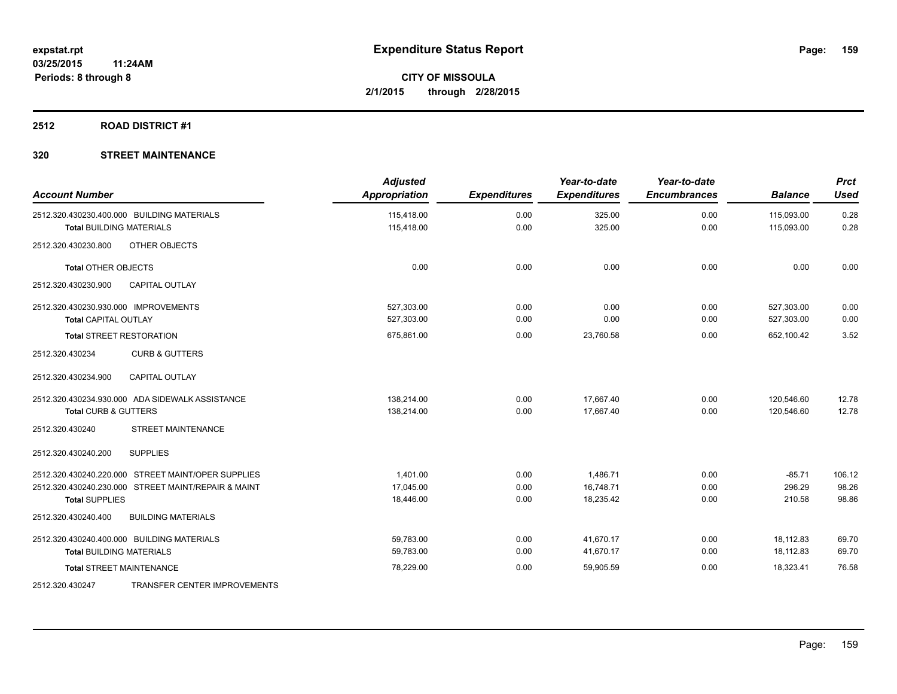## **2512 ROAD DISTRICT #1**

## **320 STREET MAINTENANCE**

| <b>Account Number</b>                      |                                                     | <b>Adjusted</b><br>Appropriation | <b>Expenditures</b> | Year-to-date<br><b>Expenditures</b> | Year-to-date<br><b>Encumbrances</b> | <b>Balance</b> | <b>Prct</b><br><b>Used</b> |
|--------------------------------------------|-----------------------------------------------------|----------------------------------|---------------------|-------------------------------------|-------------------------------------|----------------|----------------------------|
| 2512.320.430230.400.000 BUILDING MATERIALS |                                                     | 115,418.00                       | 0.00                | 325.00                              | 0.00                                | 115,093.00     | 0.28<br>0.28               |
| <b>Total BUILDING MATERIALS</b>            |                                                     | 115,418.00                       | 0.00                | 325.00                              | 0.00                                | 115,093.00     |                            |
| 2512.320.430230.800                        | OTHER OBJECTS                                       |                                  |                     |                                     |                                     |                |                            |
| <b>Total OTHER OBJECTS</b>                 |                                                     | 0.00                             | 0.00                | 0.00                                | 0.00                                | 0.00           | 0.00                       |
| 2512.320.430230.900                        | <b>CAPITAL OUTLAY</b>                               |                                  |                     |                                     |                                     |                |                            |
| 2512.320.430230.930.000 IMPROVEMENTS       |                                                     | 527,303.00                       | 0.00                | 0.00                                | 0.00                                | 527,303.00     | 0.00                       |
| <b>Total CAPITAL OUTLAY</b>                |                                                     | 527,303.00                       | 0.00                | 0.00                                | 0.00                                | 527,303.00     | 0.00                       |
| <b>Total STREET RESTORATION</b>            |                                                     | 675,861.00                       | 0.00                | 23,760.58                           | 0.00                                | 652,100.42     | 3.52                       |
| 2512.320.430234                            | <b>CURB &amp; GUTTERS</b>                           |                                  |                     |                                     |                                     |                |                            |
| 2512.320.430234.900                        | <b>CAPITAL OUTLAY</b>                               |                                  |                     |                                     |                                     |                |                            |
|                                            | 2512.320.430234.930.000 ADA SIDEWALK ASSISTANCE     | 138,214.00                       | 0.00                | 17,667.40                           | 0.00                                | 120,546.60     | 12.78                      |
| <b>Total CURB &amp; GUTTERS</b>            |                                                     | 138,214.00                       | 0.00                | 17.667.40                           | 0.00                                | 120,546.60     | 12.78                      |
| 2512.320.430240                            | <b>STREET MAINTENANCE</b>                           |                                  |                     |                                     |                                     |                |                            |
| 2512.320.430240.200                        | <b>SUPPLIES</b>                                     |                                  |                     |                                     |                                     |                |                            |
|                                            | 2512.320.430240.220.000 STREET MAINT/OPER SUPPLIES  | 1.401.00                         | 0.00                | 1,486.71                            | 0.00                                | $-85.71$       | 106.12                     |
|                                            | 2512.320.430240.230.000 STREET MAINT/REPAIR & MAINT | 17,045.00                        | 0.00                | 16,748.71                           | 0.00                                | 296.29         | 98.26                      |
| <b>Total SUPPLIES</b>                      |                                                     | 18,446.00                        | 0.00                | 18,235.42                           | 0.00                                | 210.58         | 98.86                      |
| 2512.320.430240.400                        | <b>BUILDING MATERIALS</b>                           |                                  |                     |                                     |                                     |                |                            |
| 2512.320.430240.400.000 BUILDING MATERIALS |                                                     | 59,783.00                        | 0.00                | 41,670.17                           | 0.00                                | 18,112.83      | 69.70                      |
| <b>Total BUILDING MATERIALS</b>            |                                                     | 59,783.00                        | 0.00                | 41,670.17                           | 0.00                                | 18,112.83      | 69.70                      |
| <b>Total STREET MAINTENANCE</b>            |                                                     | 78,229.00                        | 0.00                | 59,905.59                           | 0.00                                | 18,323.41      | 76.58                      |
| 2512.320.430247                            | TRANSFER CENTER IMPROVEMENTS                        |                                  |                     |                                     |                                     |                |                            |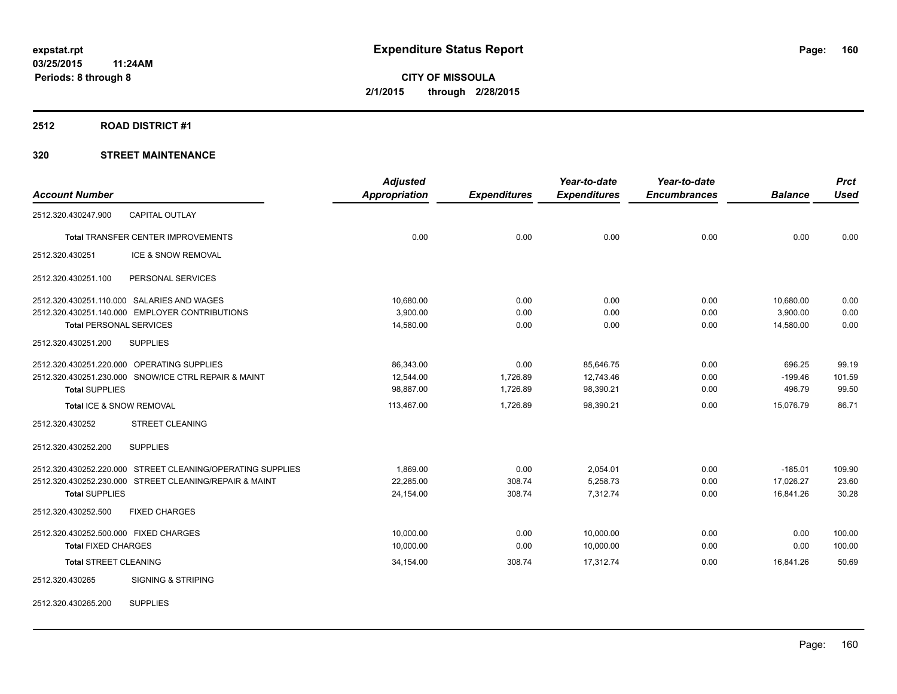## **2512 ROAD DISTRICT #1**

## **320 STREET MAINTENANCE**

|                                       |                                                            | <b>Adjusted</b>      |                     | Year-to-date        | Year-to-date        |                | <b>Prct</b> |
|---------------------------------------|------------------------------------------------------------|----------------------|---------------------|---------------------|---------------------|----------------|-------------|
| <b>Account Number</b>                 |                                                            | <b>Appropriation</b> | <b>Expenditures</b> | <b>Expenditures</b> | <b>Encumbrances</b> | <b>Balance</b> | <b>Used</b> |
| 2512.320.430247.900                   | <b>CAPITAL OUTLAY</b>                                      |                      |                     |                     |                     |                |             |
|                                       | <b>Total TRANSFER CENTER IMPROVEMENTS</b>                  | 0.00                 | 0.00                | 0.00                | 0.00                | 0.00           | 0.00        |
| 2512.320.430251                       | ICE & SNOW REMOVAL                                         |                      |                     |                     |                     |                |             |
| 2512.320.430251.100                   | PERSONAL SERVICES                                          |                      |                     |                     |                     |                |             |
|                                       | 2512.320.430251.110.000 SALARIES AND WAGES                 | 10,680.00            | 0.00                | 0.00                | 0.00                | 10,680.00      | 0.00        |
|                                       | 2512.320.430251.140.000 EMPLOYER CONTRIBUTIONS             | 3,900.00             | 0.00                | 0.00                | 0.00                | 3,900.00       | 0.00        |
| <b>Total PERSONAL SERVICES</b>        |                                                            | 14,580.00            | 0.00                | 0.00                | 0.00                | 14,580.00      | 0.00        |
| 2512.320.430251.200                   | <b>SUPPLIES</b>                                            |                      |                     |                     |                     |                |             |
|                                       | 2512.320.430251.220.000 OPERATING SUPPLIES                 | 86,343.00            | 0.00                | 85,646.75           | 0.00                | 696.25         | 99.19       |
|                                       | 2512.320.430251.230.000 SNOW/ICE CTRL REPAIR & MAINT       | 12.544.00            | 1,726.89            | 12.743.46           | 0.00                | $-199.46$      | 101.59      |
| <b>Total SUPPLIES</b>                 |                                                            | 98,887.00            | 1,726.89            | 98,390.21           | 0.00                | 496.79         | 99.50       |
| Total ICE & SNOW REMOVAL              |                                                            | 113,467.00           | 1,726.89            | 98,390.21           | 0.00                | 15,076.79      | 86.71       |
| 2512.320.430252                       | <b>STREET CLEANING</b>                                     |                      |                     |                     |                     |                |             |
| 2512.320.430252.200                   | <b>SUPPLIES</b>                                            |                      |                     |                     |                     |                |             |
|                                       | 2512.320.430252.220.000 STREET CLEANING/OPERATING SUPPLIES | 1.869.00             | 0.00                | 2,054.01            | 0.00                | $-185.01$      | 109.90      |
|                                       | 2512.320.430252.230.000 STREET CLEANING/REPAIR & MAINT     | 22.285.00            | 308.74              | 5,258.73            | 0.00                | 17,026.27      | 23.60       |
| <b>Total SUPPLIES</b>                 |                                                            | 24,154.00            | 308.74              | 7,312.74            | 0.00                | 16,841.26      | 30.28       |
| 2512.320.430252.500                   | <b>FIXED CHARGES</b>                                       |                      |                     |                     |                     |                |             |
| 2512.320.430252.500.000 FIXED CHARGES |                                                            | 10,000.00            | 0.00                | 10,000.00           | 0.00                | 0.00           | 100.00      |
| <b>Total FIXED CHARGES</b>            |                                                            | 10,000.00            | 0.00                | 10,000.00           | 0.00                | 0.00           | 100.00      |
| <b>Total STREET CLEANING</b>          |                                                            | 34,154.00            | 308.74              | 17,312.74           | 0.00                | 16,841.26      | 50.69       |
| 2512.320.430265                       | <b>SIGNING &amp; STRIPING</b>                              |                      |                     |                     |                     |                |             |
|                                       |                                                            |                      |                     |                     |                     |                |             |

2512.320.430265.200 SUPPLIES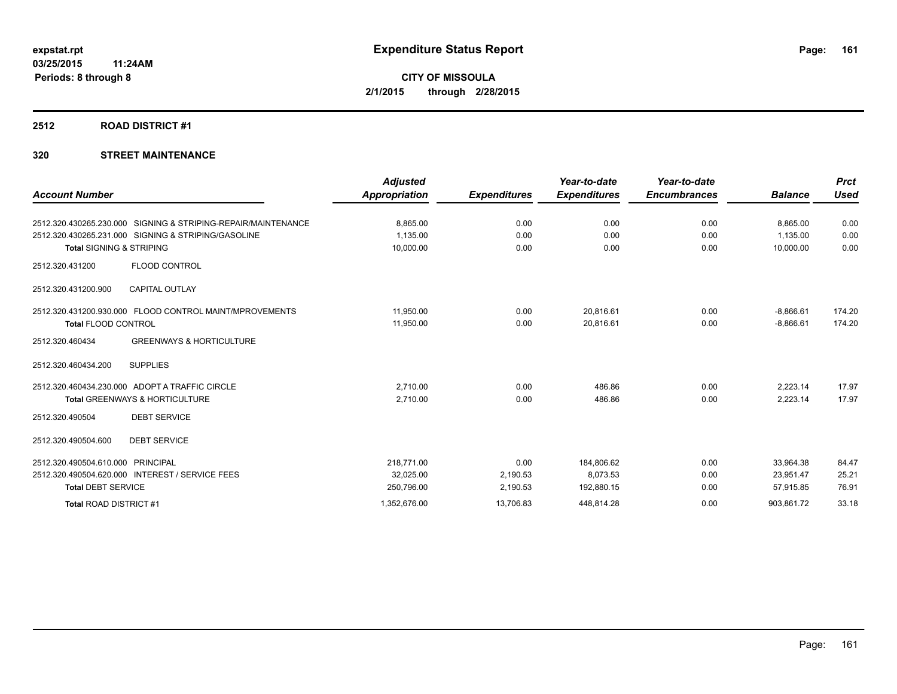## **2512 ROAD DISTRICT #1**

## **320 STREET MAINTENANCE**

| <b>Account Number</b>               |                                                               | <b>Adjusted</b><br><b>Appropriation</b> | <b>Expenditures</b> | Year-to-date<br><b>Expenditures</b> | Year-to-date<br><b>Encumbrances</b> | <b>Balance</b> | <b>Prct</b><br><b>Used</b> |
|-------------------------------------|---------------------------------------------------------------|-----------------------------------------|---------------------|-------------------------------------|-------------------------------------|----------------|----------------------------|
|                                     |                                                               |                                         |                     |                                     |                                     |                |                            |
|                                     | 2512.320.430265.230.000 SIGNING & STRIPING-REPAIR/MAINTENANCE | 8.865.00                                | 0.00                | 0.00                                | 0.00                                | 8.865.00       | 0.00                       |
|                                     | 2512.320.430265.231.000 SIGNING & STRIPING/GASOLINE           | 1.135.00                                | 0.00                | 0.00                                | 0.00                                | 1.135.00       | 0.00                       |
| <b>Total SIGNING &amp; STRIPING</b> |                                                               | 10,000.00                               | 0.00                | 0.00                                | 0.00                                | 10,000.00      | 0.00                       |
| 2512.320.431200                     | FLOOD CONTROL                                                 |                                         |                     |                                     |                                     |                |                            |
| 2512.320.431200.900                 | <b>CAPITAL OUTLAY</b>                                         |                                         |                     |                                     |                                     |                |                            |
|                                     | 2512.320.431200.930.000 FLOOD CONTROL MAINT/MPROVEMENTS       | 11,950.00                               | 0.00                | 20,816.61                           | 0.00                                | $-8,866.61$    | 174.20                     |
| <b>Total FLOOD CONTROL</b>          |                                                               | 11,950.00                               | 0.00                | 20,816.61                           | 0.00                                | $-8,866.61$    | 174.20                     |
| 2512.320.460434                     | <b>GREENWAYS &amp; HORTICULTURE</b>                           |                                         |                     |                                     |                                     |                |                            |
| 2512.320.460434.200                 | <b>SUPPLIES</b>                                               |                                         |                     |                                     |                                     |                |                            |
|                                     | 2512.320.460434.230.000 ADOPT A TRAFFIC CIRCLE                | 2.710.00                                | 0.00                | 486.86                              | 0.00                                | 2.223.14       | 17.97                      |
|                                     | <b>Total GREENWAYS &amp; HORTICULTURE</b>                     | 2,710.00                                | 0.00                | 486.86                              | 0.00                                | 2,223.14       | 17.97                      |
| 2512.320.490504                     | <b>DEBT SERVICE</b>                                           |                                         |                     |                                     |                                     |                |                            |
| 2512.320.490504.600                 | <b>DEBT SERVICE</b>                                           |                                         |                     |                                     |                                     |                |                            |
| 2512.320.490504.610.000             | <b>PRINCIPAL</b>                                              | 218,771.00                              | 0.00                | 184,806.62                          | 0.00                                | 33,964.38      | 84.47                      |
|                                     | 2512.320.490504.620.000 INTEREST / SERVICE FEES               | 32,025.00                               | 2,190.53            | 8,073.53                            | 0.00                                | 23,951.47      | 25.21                      |
| <b>Total DEBT SERVICE</b>           |                                                               | 250,796.00                              | 2,190.53            | 192,880.15                          | 0.00                                | 57,915.85      | 76.91                      |
| Total ROAD DISTRICT #1              |                                                               | 1,352,676.00                            | 13,706.83           | 448,814.28                          | 0.00                                | 903,861.72     | 33.18                      |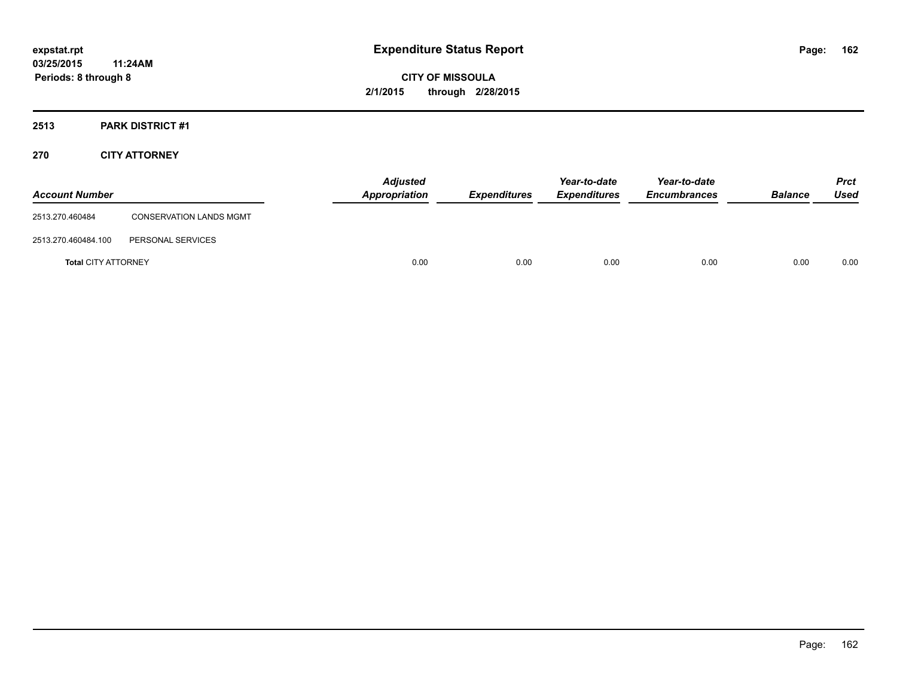## **2513 PARK DISTRICT #1**

## **270 CITY ATTORNEY**

| <b>Account Number</b>      |                                | <b>Adjusted</b><br><b>Appropriation</b> | <b>Expenditures</b> | Year-to-date<br><b>Expenditures</b> | Year-to-date<br><b>Encumbrances</b> | <b>Balance</b> | <b>Prct</b><br>Used |
|----------------------------|--------------------------------|-----------------------------------------|---------------------|-------------------------------------|-------------------------------------|----------------|---------------------|
| 2513.270.460484            | <b>CONSERVATION LANDS MGMT</b> |                                         |                     |                                     |                                     |                |                     |
| 2513.270.460484.100        | PERSONAL SERVICES              |                                         |                     |                                     |                                     |                |                     |
| <b>Total CITY ATTORNEY</b> |                                | 0.00                                    | 0.00                | 0.00                                | 0.00                                | 0.00           | 0.00                |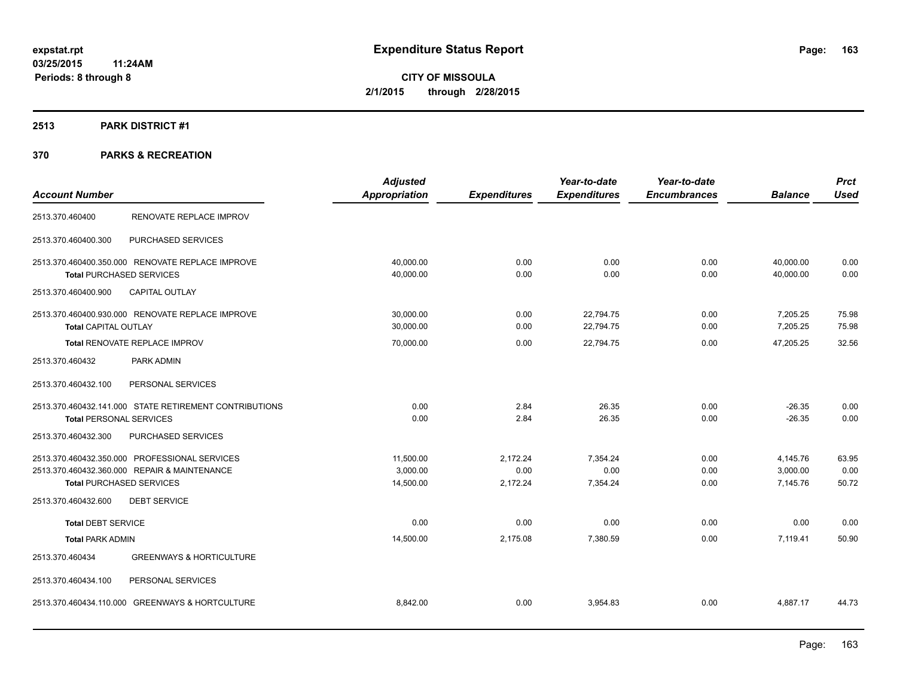## **2513 PARK DISTRICT #1**

|                                                        | <b>Adjusted</b> |                     | Year-to-date        | Year-to-date        |                | <b>Prct</b> |
|--------------------------------------------------------|-----------------|---------------------|---------------------|---------------------|----------------|-------------|
| <b>Account Number</b>                                  | Appropriation   | <b>Expenditures</b> | <b>Expenditures</b> | <b>Encumbrances</b> | <b>Balance</b> | <b>Used</b> |
| RENOVATE REPLACE IMPROV<br>2513.370.460400             |                 |                     |                     |                     |                |             |
| PURCHASED SERVICES<br>2513.370.460400.300              |                 |                     |                     |                     |                |             |
| 2513.370.460400.350.000 RENOVATE REPLACE IMPROVE       | 40,000.00       | 0.00                | 0.00                | 0.00                | 40,000.00      | 0.00        |
| <b>Total PURCHASED SERVICES</b>                        | 40,000.00       | 0.00                | 0.00                | 0.00                | 40,000.00      | 0.00        |
| <b>CAPITAL OUTLAY</b><br>2513.370.460400.900           |                 |                     |                     |                     |                |             |
| 2513.370.460400.930.000 RENOVATE REPLACE IMPROVE       | 30,000.00       | 0.00                | 22,794.75           | 0.00                | 7,205.25       | 75.98       |
| <b>Total CAPITAL OUTLAY</b>                            | 30,000.00       | 0.00                | 22,794.75           | 0.00                | 7,205.25       | 75.98       |
| <b>Total RENOVATE REPLACE IMPROV</b>                   | 70,000.00       | 0.00                | 22,794.75           | 0.00                | 47,205.25      | 32.56       |
| 2513.370.460432<br>PARK ADMIN                          |                 |                     |                     |                     |                |             |
| 2513.370.460432.100<br>PERSONAL SERVICES               |                 |                     |                     |                     |                |             |
| 2513.370.460432.141.000 STATE RETIREMENT CONTRIBUTIONS | 0.00            | 2.84                | 26.35               | 0.00                | $-26.35$       | 0.00        |
| <b>Total PERSONAL SERVICES</b>                         | 0.00            | 2.84                | 26.35               | 0.00                | $-26.35$       | 0.00        |
| PURCHASED SERVICES<br>2513.370.460432.300              |                 |                     |                     |                     |                |             |
| 2513.370.460432.350.000 PROFESSIONAL SERVICES          | 11,500.00       | 2,172.24            | 7,354.24            | 0.00                | 4,145.76       | 63.95       |
| 2513.370.460432.360.000 REPAIR & MAINTENANCE           | 3.000.00        | 0.00                | 0.00                | 0.00                | 3,000.00       | 0.00        |
| <b>Total PURCHASED SERVICES</b>                        | 14,500.00       | 2,172.24            | 7,354.24            | 0.00                | 7,145.76       | 50.72       |
| 2513.370.460432.600<br><b>DEBT SERVICE</b>             |                 |                     |                     |                     |                |             |
| <b>Total DEBT SERVICE</b>                              | 0.00            | 0.00                | 0.00                | 0.00                | 0.00           | 0.00        |
| <b>Total PARK ADMIN</b>                                | 14,500.00       | 2,175.08            | 7,380.59            | 0.00                | 7,119.41       | 50.90       |
| 2513.370.460434<br><b>GREENWAYS &amp; HORTICULTURE</b> |                 |                     |                     |                     |                |             |
| 2513.370.460434.100<br>PERSONAL SERVICES               |                 |                     |                     |                     |                |             |
| 2513.370.460434.110.000 GREENWAYS & HORTCULTURE        | 8,842.00        | 0.00                | 3,954.83            | 0.00                | 4,887.17       | 44.73       |
|                                                        |                 |                     |                     |                     |                |             |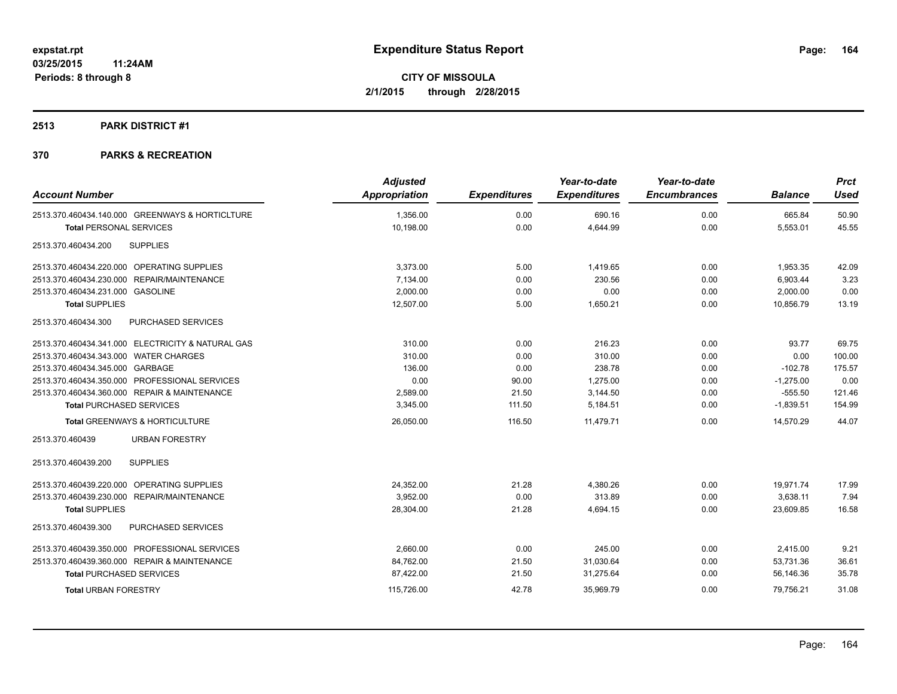## **2513 PARK DISTRICT #1**

|                                                   | <b>Adjusted</b> |                     | Year-to-date        | Year-to-date        |                | <b>Prct</b> |
|---------------------------------------------------|-----------------|---------------------|---------------------|---------------------|----------------|-------------|
| <b>Account Number</b>                             | Appropriation   | <b>Expenditures</b> | <b>Expenditures</b> | <b>Encumbrances</b> | <b>Balance</b> | <b>Used</b> |
| 2513.370.460434.140.000 GREENWAYS & HORTICLTURE   | 1,356.00        | 0.00                | 690.16              | 0.00                | 665.84         | 50.90       |
| <b>Total PERSONAL SERVICES</b>                    | 10,198.00       | 0.00                | 4,644.99            | 0.00                | 5,553.01       | 45.55       |
| <b>SUPPLIES</b><br>2513.370.460434.200            |                 |                     |                     |                     |                |             |
| 2513.370.460434.220.000 OPERATING SUPPLIES        | 3,373.00        | 5.00                | 1,419.65            | 0.00                | 1,953.35       | 42.09       |
| 2513.370.460434.230.000 REPAIR/MAINTENANCE        | 7,134.00        | 0.00                | 230.56              | 0.00                | 6,903.44       | 3.23        |
| 2513.370.460434.231.000 GASOLINE                  | 2,000.00        | 0.00                | 0.00                | 0.00                | 2,000.00       | 0.00        |
| <b>Total SUPPLIES</b>                             | 12,507.00       | 5.00                | 1,650.21            | 0.00                | 10,856.79      | 13.19       |
| 2513.370.460434.300<br>PURCHASED SERVICES         |                 |                     |                     |                     |                |             |
| 2513.370.460434.341.000 ELECTRICITY & NATURAL GAS | 310.00          | 0.00                | 216.23              | 0.00                | 93.77          | 69.75       |
| 2513.370.460434.343.000 WATER CHARGES             | 310.00          | 0.00                | 310.00              | 0.00                | 0.00           | 100.00      |
| 2513.370.460434.345.000 GARBAGE                   | 136.00          | 0.00                | 238.78              | 0.00                | $-102.78$      | 175.57      |
| 2513.370.460434.350.000 PROFESSIONAL SERVICES     | 0.00            | 90.00               | 1,275.00            | 0.00                | $-1,275.00$    | 0.00        |
| 2513.370.460434.360.000 REPAIR & MAINTENANCE      | 2,589.00        | 21.50               | 3,144.50            | 0.00                | $-555.50$      | 121.46      |
| <b>Total PURCHASED SERVICES</b>                   | 3,345.00        | 111.50              | 5,184.51            | 0.00                | $-1,839.51$    | 154.99      |
| <b>Total GREENWAYS &amp; HORTICULTURE</b>         | 26,050.00       | 116.50              | 11,479.71           | 0.00                | 14,570.29      | 44.07       |
| 2513.370.460439<br><b>URBAN FORESTRY</b>          |                 |                     |                     |                     |                |             |
| <b>SUPPLIES</b><br>2513.370.460439.200            |                 |                     |                     |                     |                |             |
| OPERATING SUPPLIES<br>2513.370.460439.220.000     | 24,352.00       | 21.28               | 4,380.26            | 0.00                | 19,971.74      | 17.99       |
| 2513.370.460439.230.000<br>REPAIR/MAINTENANCE     | 3,952.00        | 0.00                | 313.89              | 0.00                | 3,638.11       | 7.94        |
| <b>Total SUPPLIES</b>                             | 28,304.00       | 21.28               | 4,694.15            | 0.00                | 23,609.85      | 16.58       |
| 2513.370.460439.300<br>PURCHASED SERVICES         |                 |                     |                     |                     |                |             |
| 2513.370.460439.350.000 PROFESSIONAL SERVICES     | 2,660.00        | 0.00                | 245.00              | 0.00                | 2,415.00       | 9.21        |
| 2513.370.460439.360.000 REPAIR & MAINTENANCE      | 84,762.00       | 21.50               | 31,030.64           | 0.00                | 53,731.36      | 36.61       |
| <b>Total PURCHASED SERVICES</b>                   | 87,422.00       | 21.50               | 31,275.64           | 0.00                | 56,146.36      | 35.78       |
| <b>Total URBAN FORESTRY</b>                       | 115,726.00      | 42.78               | 35,969.79           | 0.00                | 79,756.21      | 31.08       |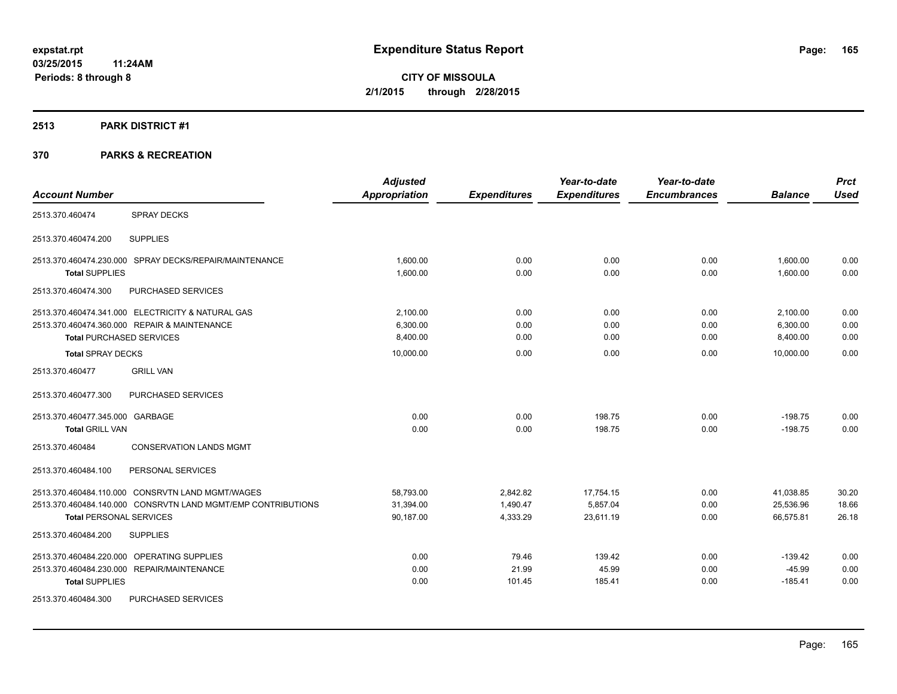## **2513 PARK DISTRICT #1**

|                                 |                                                              | <b>Adjusted</b>      |                     | Year-to-date        | Year-to-date        |                | <b>Prct</b> |
|---------------------------------|--------------------------------------------------------------|----------------------|---------------------|---------------------|---------------------|----------------|-------------|
| <b>Account Number</b>           |                                                              | <b>Appropriation</b> | <b>Expenditures</b> | <b>Expenditures</b> | <b>Encumbrances</b> | <b>Balance</b> | <b>Used</b> |
| 2513.370.460474                 | <b>SPRAY DECKS</b>                                           |                      |                     |                     |                     |                |             |
| 2513.370.460474.200             | <b>SUPPLIES</b>                                              |                      |                     |                     |                     |                |             |
|                                 | 2513.370.460474.230.000 SPRAY DECKS/REPAIR/MAINTENANCE       | 1.600.00             | 0.00                | 0.00                | 0.00                | 1,600.00       | 0.00        |
| <b>Total SUPPLIES</b>           |                                                              | 1,600.00             | 0.00                | 0.00                | 0.00                | 1,600.00       | 0.00        |
| 2513.370.460474.300             | PURCHASED SERVICES                                           |                      |                     |                     |                     |                |             |
|                                 | 2513.370.460474.341.000 ELECTRICITY & NATURAL GAS            | 2,100.00             | 0.00                | 0.00                | 0.00                | 2,100.00       | 0.00        |
|                                 | 2513.370.460474.360.000 REPAIR & MAINTENANCE                 | 6,300.00             | 0.00                | 0.00                | 0.00                | 6,300.00       | 0.00        |
| <b>Total PURCHASED SERVICES</b> |                                                              | 8,400.00             | 0.00                | 0.00                | 0.00                | 8,400.00       | 0.00        |
| <b>Total SPRAY DECKS</b>        |                                                              | 10,000.00            | 0.00                | 0.00                | 0.00                | 10.000.00      | 0.00        |
| 2513.370.460477                 | <b>GRILL VAN</b>                                             |                      |                     |                     |                     |                |             |
| 2513.370.460477.300             | PURCHASED SERVICES                                           |                      |                     |                     |                     |                |             |
| 2513.370.460477.345.000 GARBAGE |                                                              | 0.00                 | 0.00                | 198.75              | 0.00                | $-198.75$      | 0.00        |
| <b>Total GRILL VAN</b>          |                                                              | 0.00                 | 0.00                | 198.75              | 0.00                | $-198.75$      | 0.00        |
| 2513.370.460484                 | <b>CONSERVATION LANDS MGMT</b>                               |                      |                     |                     |                     |                |             |
| 2513.370.460484.100             | PERSONAL SERVICES                                            |                      |                     |                     |                     |                |             |
|                                 | 2513.370.460484.110.000 CONSRVTN LAND MGMT/WAGES             | 58,793.00            | 2,842.82            | 17,754.15           | 0.00                | 41,038.85      | 30.20       |
|                                 | 2513.370.460484.140.000 CONSRVTN LAND MGMT/EMP CONTRIBUTIONS | 31,394.00            | 1,490.47            | 5,857.04            | 0.00                | 25,536.96      | 18.66       |
| <b>Total PERSONAL SERVICES</b>  |                                                              | 90,187.00            | 4,333.29            | 23,611.19           | 0.00                | 66,575.81      | 26.18       |
| 2513.370.460484.200             | <b>SUPPLIES</b>                                              |                      |                     |                     |                     |                |             |
|                                 | 2513.370.460484.220.000 OPERATING SUPPLIES                   | 0.00                 | 79.46               | 139.42              | 0.00                | $-139.42$      | 0.00        |
|                                 | 2513.370.460484.230.000 REPAIR/MAINTENANCE                   | 0.00                 | 21.99               | 45.99               | 0.00                | $-45.99$       | 0.00        |
| <b>Total SUPPLIES</b>           |                                                              | 0.00                 | 101.45              | 185.41              | 0.00                | $-185.41$      | 0.00        |
| 2513.370.460484.300             | PURCHASED SERVICES                                           |                      |                     |                     |                     |                |             |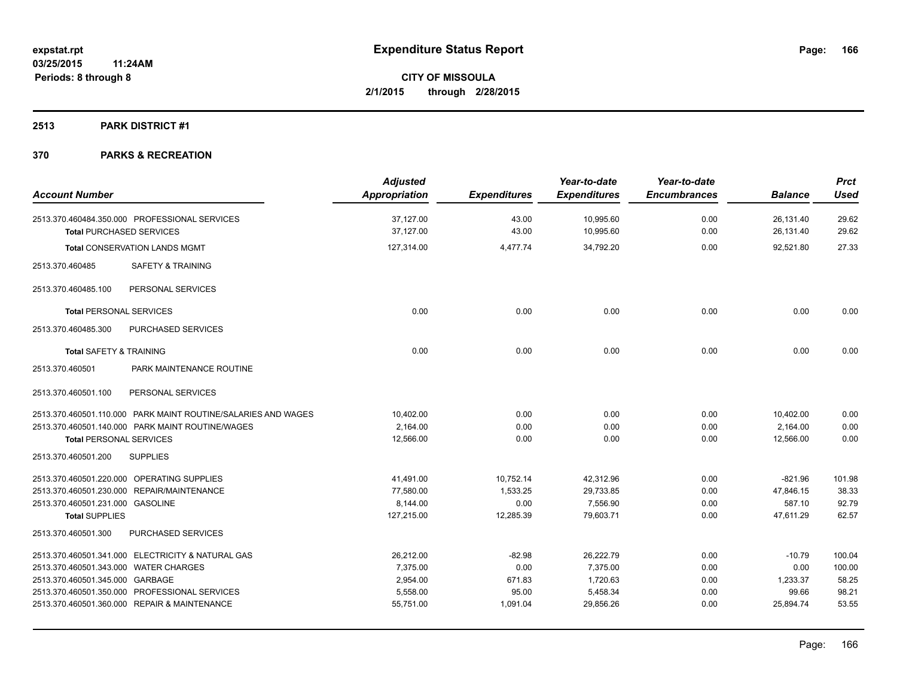## **2513 PARK DISTRICT #1**

| <b>Account Number</b>                                         | <b>Adjusted</b><br><b>Appropriation</b> | <b>Expenditures</b> | Year-to-date<br><b>Expenditures</b> | Year-to-date<br><b>Encumbrances</b> | <b>Balance</b> | <b>Prct</b><br><b>Used</b> |
|---------------------------------------------------------------|-----------------------------------------|---------------------|-------------------------------------|-------------------------------------|----------------|----------------------------|
|                                                               |                                         |                     |                                     |                                     |                |                            |
| 2513.370.460484.350.000 PROFESSIONAL SERVICES                 | 37,127.00                               | 43.00               | 10,995.60                           | 0.00                                | 26,131.40      | 29.62                      |
| <b>Total PURCHASED SERVICES</b>                               | 37,127.00                               | 43.00               | 10,995.60                           | 0.00                                | 26,131.40      | 29.62                      |
| <b>Total CONSERVATION LANDS MGMT</b>                          | 127,314.00                              | 4,477.74            | 34,792.20                           | 0.00                                | 92,521.80      | 27.33                      |
| <b>SAFETY &amp; TRAINING</b><br>2513.370.460485               |                                         |                     |                                     |                                     |                |                            |
| 2513.370.460485.100<br>PERSONAL SERVICES                      |                                         |                     |                                     |                                     |                |                            |
| <b>Total PERSONAL SERVICES</b>                                | 0.00                                    | 0.00                | 0.00                                | 0.00                                | 0.00           | 0.00                       |
| PURCHASED SERVICES<br>2513.370.460485.300                     |                                         |                     |                                     |                                     |                |                            |
| <b>Total SAFETY &amp; TRAINING</b>                            | 0.00                                    | 0.00                | 0.00                                | 0.00                                | 0.00           | 0.00                       |
| PARK MAINTENANCE ROUTINE<br>2513.370.460501                   |                                         |                     |                                     |                                     |                |                            |
| PERSONAL SERVICES<br>2513.370.460501.100                      |                                         |                     |                                     |                                     |                |                            |
| 2513.370.460501.110.000 PARK MAINT ROUTINE/SALARIES AND WAGES | 10,402.00                               | 0.00                | 0.00                                | 0.00                                | 10,402.00      | 0.00                       |
| 2513.370.460501.140.000 PARK MAINT ROUTINE/WAGES              | 2,164.00                                | 0.00                | 0.00                                | 0.00                                | 2,164.00       | 0.00                       |
| <b>Total PERSONAL SERVICES</b>                                | 12,566.00                               | 0.00                | 0.00                                | 0.00                                | 12,566.00      | 0.00                       |
| <b>SUPPLIES</b><br>2513.370.460501.200                        |                                         |                     |                                     |                                     |                |                            |
| 2513.370.460501.220.000 OPERATING SUPPLIES                    | 41,491.00                               | 10,752.14           | 42,312.96                           | 0.00                                | $-821.96$      | 101.98                     |
| 2513.370.460501.230.000 REPAIR/MAINTENANCE                    | 77.580.00                               | 1,533.25            | 29.733.85                           | 0.00                                | 47.846.15      | 38.33                      |
| 2513.370.460501.231.000 GASOLINE                              | 8,144.00                                | 0.00                | 7,556.90                            | 0.00                                | 587.10         | 92.79                      |
| <b>Total SUPPLIES</b>                                         | 127,215.00                              | 12,285.39           | 79,603.71                           | 0.00                                | 47,611.29      | 62.57                      |
| 2513.370.460501.300<br>PURCHASED SERVICES                     |                                         |                     |                                     |                                     |                |                            |
| 2513.370.460501.341.000 ELECTRICITY & NATURAL GAS             | 26,212.00                               | $-82.98$            | 26,222.79                           | 0.00                                | $-10.79$       | 100.04                     |
| 2513.370.460501.343.000 WATER CHARGES                         | 7,375.00                                | 0.00                | 7.375.00                            | 0.00                                | 0.00           | 100.00                     |
| 2513.370.460501.345.000 GARBAGE                               | 2,954.00                                | 671.83              | 1,720.63                            | 0.00                                | 1,233.37       | 58.25                      |
| 2513.370.460501.350.000 PROFESSIONAL SERVICES                 | 5,558.00                                | 95.00               | 5,458.34                            | 0.00                                | 99.66          | 98.21                      |
| 2513.370.460501.360.000 REPAIR & MAINTENANCE                  | 55,751.00                               | 1,091.04            | 29,856.26                           | 0.00                                | 25,894.74      | 53.55                      |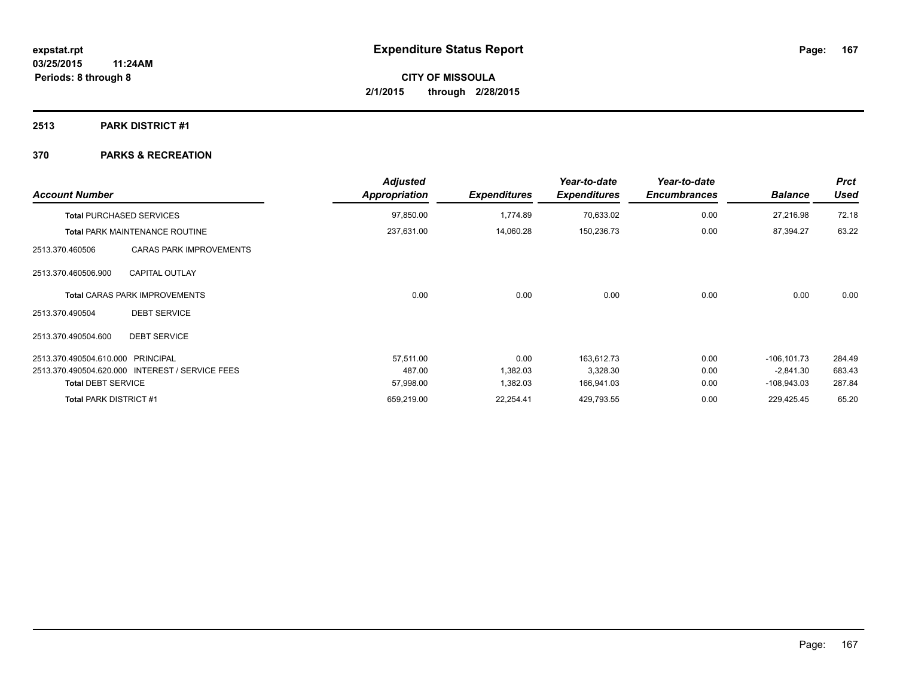## **2513 PARK DISTRICT #1**

| <b>Account Number</b>             |                                                 | <b>Adjusted</b><br>Appropriation | <b>Expenditures</b> | Year-to-date<br><b>Expenditures</b> | Year-to-date<br><b>Encumbrances</b> | <b>Balance</b> | <b>Prct</b><br>Used |
|-----------------------------------|-------------------------------------------------|----------------------------------|---------------------|-------------------------------------|-------------------------------------|----------------|---------------------|
|                                   | <b>Total PURCHASED SERVICES</b>                 | 97,850.00                        | 1.774.89            | 70,633.02                           | 0.00                                | 27,216.98      | 72.18               |
|                                   | <b>Total PARK MAINTENANCE ROUTINE</b>           | 237,631.00                       | 14,060.28           | 150,236.73                          | 0.00                                | 87,394.27      | 63.22               |
| 2513.370.460506                   | <b>CARAS PARK IMPROVEMENTS</b>                  |                                  |                     |                                     |                                     |                |                     |
| 2513.370.460506.900               | <b>CAPITAL OUTLAY</b>                           |                                  |                     |                                     |                                     |                |                     |
|                                   | <b>Total CARAS PARK IMPROVEMENTS</b>            | 0.00                             | 0.00                | 0.00                                | 0.00                                | 0.00           | 0.00                |
| 2513.370.490504                   | <b>DEBT SERVICE</b>                             |                                  |                     |                                     |                                     |                |                     |
| 2513.370.490504.600               | <b>DEBT SERVICE</b>                             |                                  |                     |                                     |                                     |                |                     |
| 2513.370.490504.610.000 PRINCIPAL |                                                 | 57,511.00                        | 0.00                | 163,612.73                          | 0.00                                | $-106, 101.73$ | 284.49              |
|                                   | 2513.370.490504.620.000 INTEREST / SERVICE FEES | 487.00                           | 1,382.03            | 3,328.30                            | 0.00                                | $-2,841.30$    | 683.43              |
| <b>Total DEBT SERVICE</b>         |                                                 | 57,998.00                        | 1,382.03            | 166,941.03                          | 0.00                                | $-108,943.03$  | 287.84              |
| <b>Total PARK DISTRICT #1</b>     |                                                 | 659,219.00                       | 22,254.41           | 429,793.55                          | 0.00                                | 229,425.45     | 65.20               |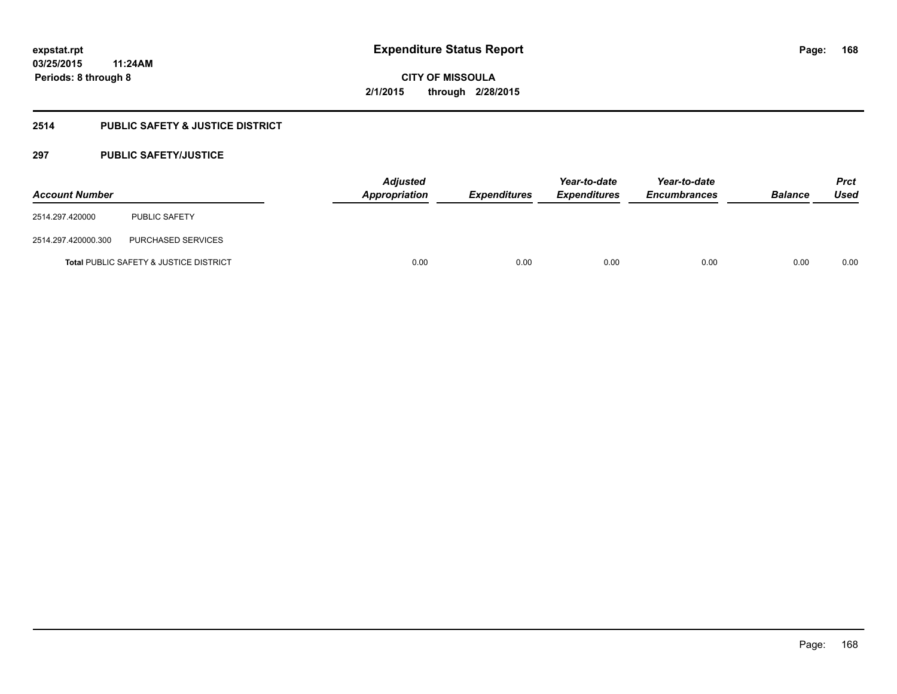## **2514 PUBLIC SAFETY & JUSTICE DISTRICT**

## **297 PUBLIC SAFETY/JUSTICE**

| <b>Account Number</b> |                                                   | <b>Adjusted</b><br>Appropriation | <b>Expenditures</b> | Year-to-date<br><b>Expenditures</b> | Year-to-date<br><b>Encumbrances</b> | <b>Balance</b> | <b>Prct</b><br><b>Used</b> |
|-----------------------|---------------------------------------------------|----------------------------------|---------------------|-------------------------------------|-------------------------------------|----------------|----------------------------|
| 2514.297.420000       | <b>PUBLIC SAFETY</b>                              |                                  |                     |                                     |                                     |                |                            |
| 2514.297.420000.300   | PURCHASED SERVICES                                |                                  |                     |                                     |                                     |                |                            |
|                       | <b>Total PUBLIC SAFETY &amp; JUSTICE DISTRICT</b> | 0.00                             | 0.00                | 0.00                                | 0.00                                | 0.00           | 0.00                       |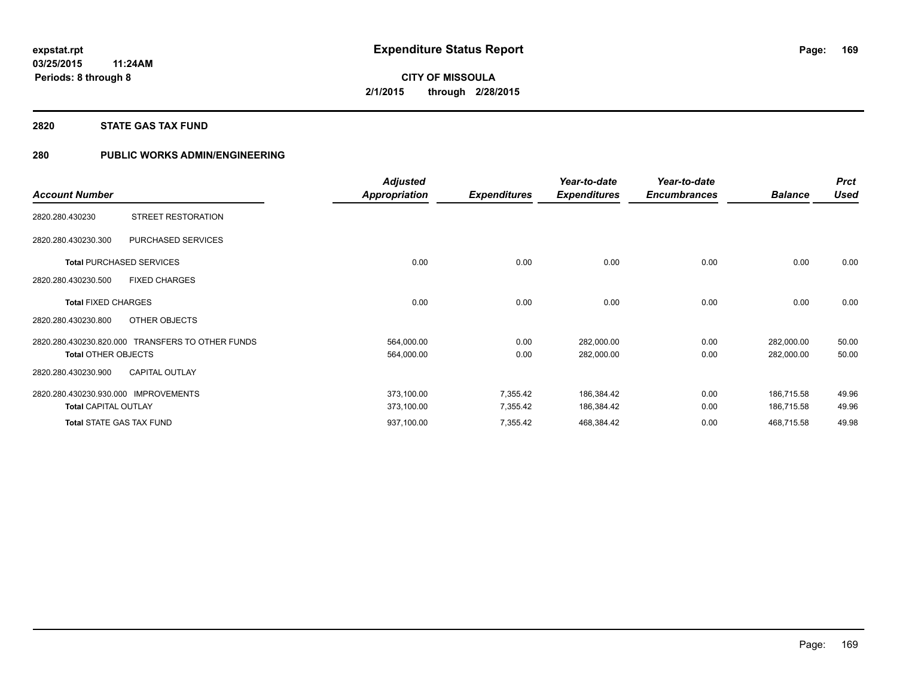## **2820 STATE GAS TAX FUND**

## **280 PUBLIC WORKS ADMIN/ENGINEERING**

|                                                  | <b>Adjusted</b>      |                     | Year-to-date        | Year-to-date        |                | <b>Prct</b> |
|--------------------------------------------------|----------------------|---------------------|---------------------|---------------------|----------------|-------------|
| <b>Account Number</b>                            | <b>Appropriation</b> | <b>Expenditures</b> | <b>Expenditures</b> | <b>Encumbrances</b> | <b>Balance</b> | <b>Used</b> |
| STREET RESTORATION<br>2820.280.430230            |                      |                     |                     |                     |                |             |
| PURCHASED SERVICES<br>2820.280.430230.300        |                      |                     |                     |                     |                |             |
| <b>Total PURCHASED SERVICES</b>                  | 0.00                 | 0.00                | 0.00                | 0.00                | 0.00           | 0.00        |
| <b>FIXED CHARGES</b><br>2820.280.430230.500      |                      |                     |                     |                     |                |             |
| <b>Total FIXED CHARGES</b>                       | 0.00                 | 0.00                | 0.00                | 0.00                | 0.00           | 0.00        |
| OTHER OBJECTS<br>2820.280.430230.800             |                      |                     |                     |                     |                |             |
| 2820.280.430230.820.000 TRANSFERS TO OTHER FUNDS | 564,000.00           | 0.00                | 282,000.00          | 0.00                | 282,000.00     | 50.00       |
| <b>Total OTHER OBJECTS</b>                       | 564,000.00           | 0.00                | 282,000.00          | 0.00                | 282,000.00     | 50.00       |
| <b>CAPITAL OUTLAY</b><br>2820.280.430230.900     |                      |                     |                     |                     |                |             |
| <b>IMPROVEMENTS</b><br>2820.280.430230.930.000   | 373,100.00           | 7,355.42            | 186,384.42          | 0.00                | 186,715.58     | 49.96       |
| <b>Total CAPITAL OUTLAY</b>                      | 373,100.00           | 7,355.42            | 186,384.42          | 0.00                | 186,715.58     | 49.96       |
| <b>Total STATE GAS TAX FUND</b>                  | 937,100.00           | 7,355.42            | 468,384.42          | 0.00                | 468,715.58     | 49.98       |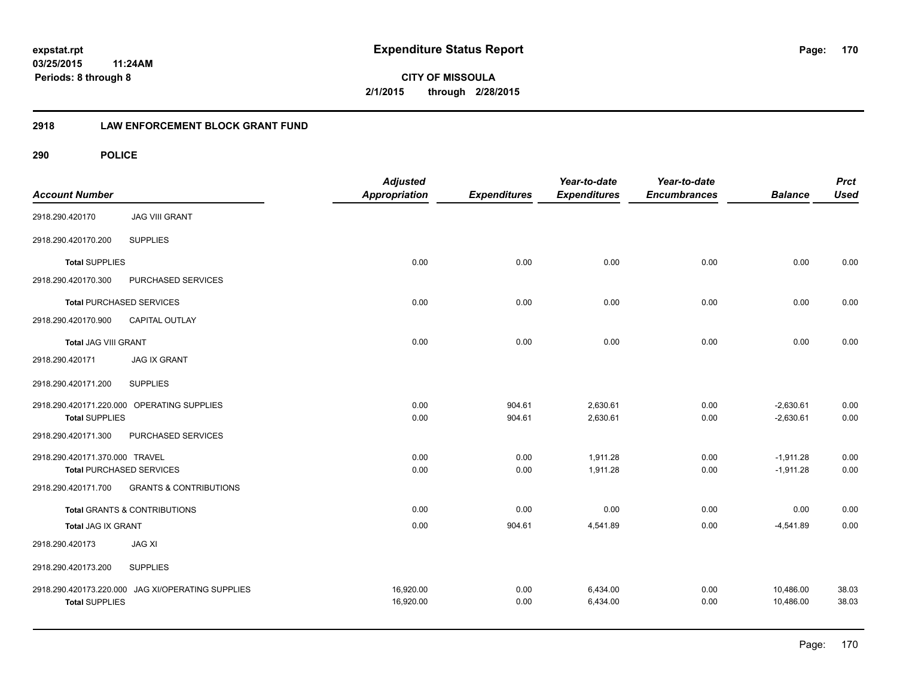**CITY OF MISSOULA 2/1/2015 through 2/28/2015**

## **2918 LAW ENFORCEMENT BLOCK GRANT FUND**

| <b>Account Number</b>          |                                            | <b>Adjusted</b><br><b>Appropriation</b> | <b>Expenditures</b> | Year-to-date<br><b>Expenditures</b> | Year-to-date<br><b>Encumbrances</b> | <b>Balance</b> | <b>Prct</b><br><b>Used</b> |
|--------------------------------|--------------------------------------------|-----------------------------------------|---------------------|-------------------------------------|-------------------------------------|----------------|----------------------------|
| 2918.290.420170                | <b>JAG VIII GRANT</b>                      |                                         |                     |                                     |                                     |                |                            |
| 2918.290.420170.200            | <b>SUPPLIES</b>                            |                                         |                     |                                     |                                     |                |                            |
| <b>Total SUPPLIES</b>          |                                            | 0.00                                    | 0.00                | 0.00                                | 0.00                                | 0.00           | 0.00                       |
| 2918.290.420170.300            | PURCHASED SERVICES                         |                                         |                     |                                     |                                     |                |                            |
|                                | <b>Total PURCHASED SERVICES</b>            | 0.00                                    | 0.00                | 0.00                                | 0.00                                | 0.00           | 0.00                       |
| 2918.290.420170.900            | CAPITAL OUTLAY                             |                                         |                     |                                     |                                     |                |                            |
| <b>Total JAG VIII GRANT</b>    |                                            | 0.00                                    | 0.00                | 0.00                                | 0.00                                | 0.00           | 0.00                       |
| 2918.290.420171                | <b>JAG IX GRANT</b>                        |                                         |                     |                                     |                                     |                |                            |
| 2918.290.420171.200            | <b>SUPPLIES</b>                            |                                         |                     |                                     |                                     |                |                            |
|                                | 2918.290.420171.220.000 OPERATING SUPPLIES | 0.00                                    | 904.61              | 2,630.61                            | 0.00                                | $-2,630.61$    | 0.00                       |
| <b>Total SUPPLIES</b>          |                                            | 0.00                                    | 904.61              | 2,630.61                            | 0.00                                | $-2,630.61$    | 0.00                       |
| 2918.290.420171.300            | PURCHASED SERVICES                         |                                         |                     |                                     |                                     |                |                            |
| 2918.290.420171.370.000 TRAVEL |                                            | 0.00                                    | 0.00                | 1,911.28                            | 0.00                                | $-1,911.28$    | 0.00                       |
|                                | <b>Total PURCHASED SERVICES</b>            | 0.00                                    | 0.00                | 1,911.28                            | 0.00                                | $-1,911.28$    | 0.00                       |
| 2918.290.420171.700            | <b>GRANTS &amp; CONTRIBUTIONS</b>          |                                         |                     |                                     |                                     |                |                            |
|                                | Total GRANTS & CONTRIBUTIONS               | 0.00                                    | 0.00                | 0.00                                | 0.00                                | 0.00           | 0.00                       |
| <b>Total JAG IX GRANT</b>      |                                            | 0.00                                    | 904.61              | 4,541.89                            | 0.00                                | $-4,541.89$    | 0.00                       |
| 2918.290.420173                | <b>JAG XI</b>                              |                                         |                     |                                     |                                     |                |                            |
| 2918.290.420173.200            | <b>SUPPLIES</b>                            |                                         |                     |                                     |                                     |                |                            |
| 2918.290.420173.220.000        | JAG XI/OPERATING SUPPLIES                  | 16,920.00                               | 0.00                | 6,434.00                            | 0.00                                | 10,486.00      | 38.03                      |
| <b>Total SUPPLIES</b>          |                                            | 16,920.00                               | 0.00                | 6,434.00                            | 0.00                                | 10.486.00      | 38.03                      |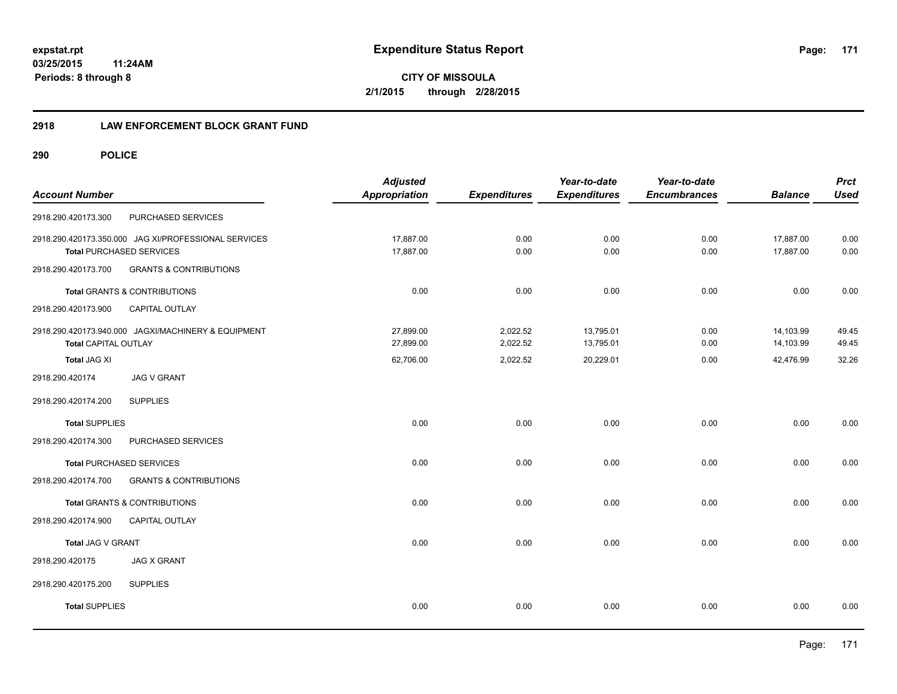**CITY OF MISSOULA 2/1/2015 through 2/28/2015**

## **2918 LAW ENFORCEMENT BLOCK GRANT FUND**

| <b>Account Number</b> |                                                                                         | <b>Adjusted</b><br><b>Appropriation</b> | <b>Expenditures</b>  | Year-to-date<br><b>Expenditures</b> | Year-to-date<br><b>Encumbrances</b> | <b>Balance</b>         | <b>Prct</b><br><b>Used</b> |
|-----------------------|-----------------------------------------------------------------------------------------|-----------------------------------------|----------------------|-------------------------------------|-------------------------------------|------------------------|----------------------------|
| 2918.290.420173.300   | PURCHASED SERVICES                                                                      |                                         |                      |                                     |                                     |                        |                            |
|                       | 2918.290.420173.350.000 JAG XI/PROFESSIONAL SERVICES<br><b>Total PURCHASED SERVICES</b> | 17,887.00<br>17,887.00                  | 0.00<br>0.00         | 0.00<br>0.00                        | 0.00<br>0.00                        | 17,887.00<br>17,887.00 | 0.00<br>0.00               |
| 2918.290.420173.700   | <b>GRANTS &amp; CONTRIBUTIONS</b>                                                       |                                         |                      |                                     |                                     |                        |                            |
|                       | Total GRANTS & CONTRIBUTIONS                                                            | 0.00                                    | 0.00                 | 0.00                                | 0.00                                | 0.00                   | 0.00                       |
| 2918.290.420173.900   | CAPITAL OUTLAY                                                                          |                                         |                      |                                     |                                     |                        |                            |
| Total CAPITAL OUTLAY  | 2918.290.420173.940.000 JAGXI/MACHINERY & EQUIPMENT                                     | 27,899.00<br>27,899.00                  | 2,022.52<br>2,022.52 | 13,795.01<br>13,795.01              | 0.00<br>0.00                        | 14,103.99<br>14,103.99 | 49.45<br>49.45             |
| <b>Total JAG XI</b>   |                                                                                         | 62,706.00                               | 2,022.52             | 20,229.01                           | 0.00                                | 42,476.99              | 32.26                      |
| 2918.290.420174       | <b>JAG V GRANT</b>                                                                      |                                         |                      |                                     |                                     |                        |                            |
| 2918.290.420174.200   | <b>SUPPLIES</b>                                                                         |                                         |                      |                                     |                                     |                        |                            |
| <b>Total SUPPLIES</b> |                                                                                         | 0.00                                    | 0.00                 | 0.00                                | 0.00                                | 0.00                   | 0.00                       |
| 2918.290.420174.300   | PURCHASED SERVICES                                                                      |                                         |                      |                                     |                                     |                        |                            |
|                       | <b>Total PURCHASED SERVICES</b>                                                         | 0.00                                    | 0.00                 | 0.00                                | 0.00                                | 0.00                   | 0.00                       |
| 2918.290.420174.700   | <b>GRANTS &amp; CONTRIBUTIONS</b>                                                       |                                         |                      |                                     |                                     |                        |                            |
|                       | <b>Total GRANTS &amp; CONTRIBUTIONS</b>                                                 | 0.00                                    | 0.00                 | 0.00                                | 0.00                                | 0.00                   | 0.00                       |
| 2918.290.420174.900   | CAPITAL OUTLAY                                                                          |                                         |                      |                                     |                                     |                        |                            |
| Total JAG V GRANT     |                                                                                         | 0.00                                    | 0.00                 | 0.00                                | 0.00                                | 0.00                   | 0.00                       |
| 2918.290.420175       | <b>JAG X GRANT</b>                                                                      |                                         |                      |                                     |                                     |                        |                            |
| 2918.290.420175.200   | <b>SUPPLIES</b>                                                                         |                                         |                      |                                     |                                     |                        |                            |
| <b>Total SUPPLIES</b> |                                                                                         | 0.00                                    | 0.00                 | 0.00                                | 0.00                                | 0.00                   | 0.00                       |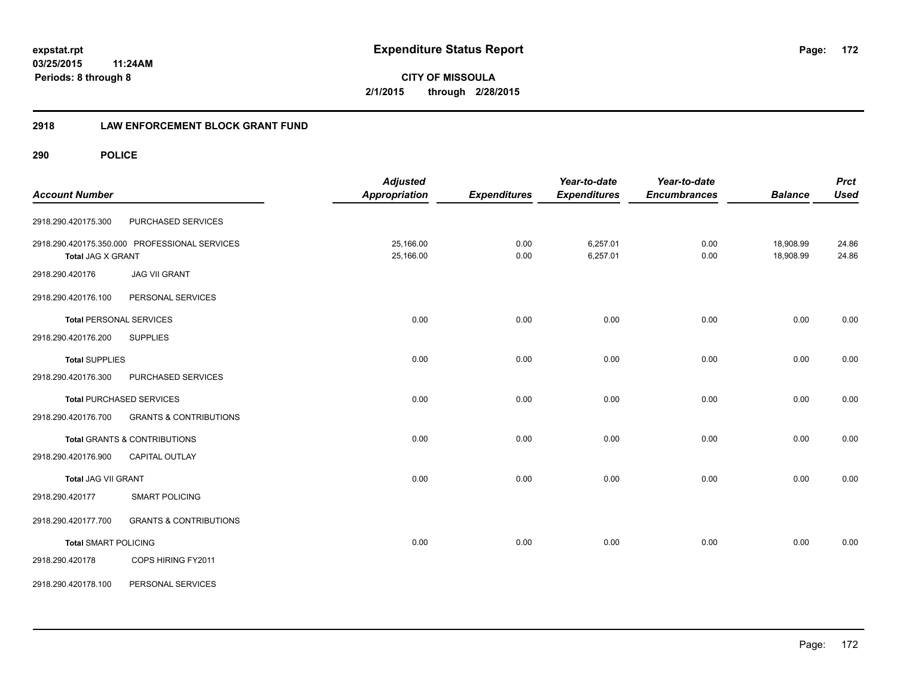**CITY OF MISSOULA 2/1/2015 through 2/28/2015**

## **2918 LAW ENFORCEMENT BLOCK GRANT FUND**

| <b>Account Number</b>          |                                               | <b>Adjusted</b><br><b>Appropriation</b> | <b>Expenditures</b> | Year-to-date<br><b>Expenditures</b> | Year-to-date<br><b>Encumbrances</b> | <b>Balance</b>         | <b>Prct</b><br><b>Used</b> |
|--------------------------------|-----------------------------------------------|-----------------------------------------|---------------------|-------------------------------------|-------------------------------------|------------------------|----------------------------|
| 2918.290.420175.300            | PURCHASED SERVICES                            |                                         |                     |                                     |                                     |                        |                            |
| Total JAG X GRANT              | 2918.290.420175.350.000 PROFESSIONAL SERVICES | 25,166.00<br>25,166.00                  | 0.00<br>0.00        | 6,257.01<br>6,257.01                | 0.00<br>0.00                        | 18,908.99<br>18,908.99 | 24.86<br>24.86             |
| 2918.290.420176                | <b>JAG VII GRANT</b>                          |                                         |                     |                                     |                                     |                        |                            |
| 2918.290.420176.100            | PERSONAL SERVICES                             |                                         |                     |                                     |                                     |                        |                            |
| <b>Total PERSONAL SERVICES</b> |                                               | 0.00                                    | 0.00                | 0.00                                | 0.00                                | 0.00                   | 0.00                       |
| 2918.290.420176.200            | <b>SUPPLIES</b>                               |                                         |                     |                                     |                                     |                        |                            |
| <b>Total SUPPLIES</b>          |                                               | 0.00                                    | 0.00                | 0.00                                | 0.00                                | 0.00                   | 0.00                       |
| 2918.290.420176.300            | PURCHASED SERVICES                            |                                         |                     |                                     |                                     |                        |                            |
|                                | <b>Total PURCHASED SERVICES</b>               | 0.00                                    | 0.00                | 0.00                                | 0.00                                | 0.00                   | 0.00                       |
| 2918.290.420176.700            | <b>GRANTS &amp; CONTRIBUTIONS</b>             |                                         |                     |                                     |                                     |                        |                            |
|                                | <b>Total GRANTS &amp; CONTRIBUTIONS</b>       | 0.00                                    | 0.00                | 0.00                                | 0.00                                | 0.00                   | 0.00                       |
| 2918.290.420176.900            | <b>CAPITAL OUTLAY</b>                         |                                         |                     |                                     |                                     |                        |                            |
| Total JAG VII GRANT            |                                               | 0.00                                    | 0.00                | 0.00                                | 0.00                                | 0.00                   | 0.00                       |
| 2918.290.420177                | <b>SMART POLICING</b>                         |                                         |                     |                                     |                                     |                        |                            |
| 2918.290.420177.700            | <b>GRANTS &amp; CONTRIBUTIONS</b>             |                                         |                     |                                     |                                     |                        |                            |
| <b>Total SMART POLICING</b>    |                                               | 0.00                                    | 0.00                | 0.00                                | 0.00                                | 0.00                   | 0.00                       |
| 2918.290.420178                | COPS HIRING FY2011                            |                                         |                     |                                     |                                     |                        |                            |
| 2918.290.420178.100            | PERSONAL SERVICES                             |                                         |                     |                                     |                                     |                        |                            |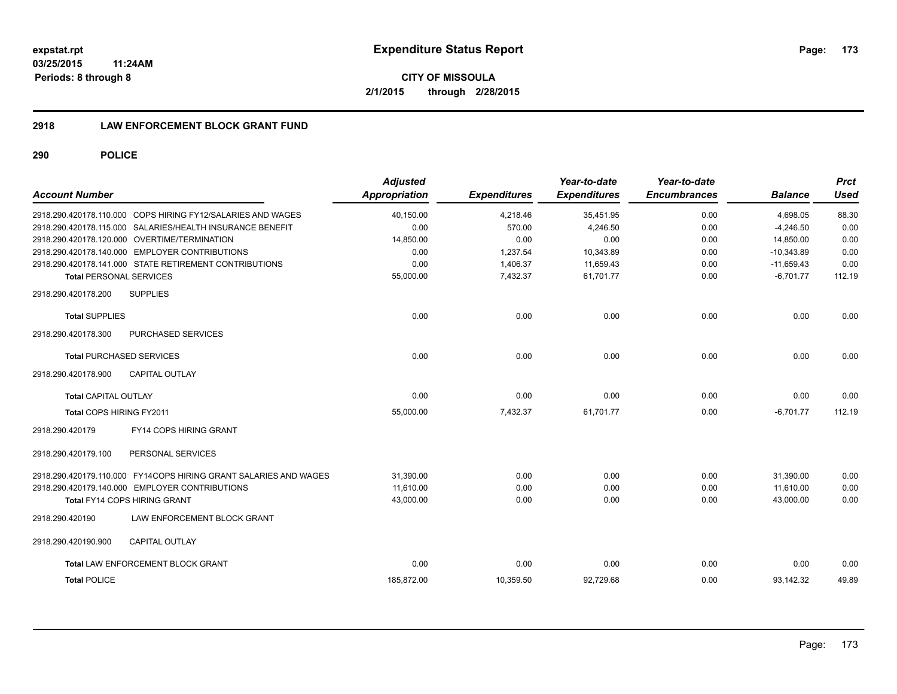**CITY OF MISSOULA 2/1/2015 through 2/28/2015**

## **2918 LAW ENFORCEMENT BLOCK GRANT FUND**

| <b>Account Number</b>           |                                                                  | <b>Adjusted</b><br>Appropriation | <b>Expenditures</b> | Year-to-date<br><b>Expenditures</b> | Year-to-date<br><b>Encumbrances</b> | <b>Balance</b> | <b>Prct</b><br><b>Used</b> |
|---------------------------------|------------------------------------------------------------------|----------------------------------|---------------------|-------------------------------------|-------------------------------------|----------------|----------------------------|
|                                 | 2918.290.420178.110.000 COPS HIRING FY12/SALARIES AND WAGES      | 40,150.00                        | 4,218.46            | 35,451.95                           | 0.00                                | 4,698.05       | 88.30                      |
|                                 | 2918.290.420178.115.000 SALARIES/HEALTH INSURANCE BENEFIT        | 0.00                             | 570.00              | 4.246.50                            | 0.00                                | $-4.246.50$    | 0.00                       |
|                                 | 2918.290.420178.120.000 OVERTIME/TERMINATION                     | 14,850.00                        | 0.00                | 0.00                                | 0.00                                | 14,850.00      | 0.00                       |
|                                 | 2918.290.420178.140.000 EMPLOYER CONTRIBUTIONS                   | 0.00                             | 1,237.54            | 10,343.89                           | 0.00                                | $-10,343.89$   | 0.00                       |
|                                 | 2918.290.420178.141.000 STATE RETIREMENT CONTRIBUTIONS           | 0.00                             | 1,406.37            | 11,659.43                           | 0.00                                | $-11,659.43$   | 0.00                       |
| <b>Total PERSONAL SERVICES</b>  |                                                                  | 55,000.00                        | 7,432.37            | 61,701.77                           | 0.00                                | $-6,701.77$    | 112.19                     |
| 2918.290.420178.200             | <b>SUPPLIES</b>                                                  |                                  |                     |                                     |                                     |                |                            |
| <b>Total SUPPLIES</b>           |                                                                  | 0.00                             | 0.00                | 0.00                                | 0.00                                | 0.00           | 0.00                       |
| 2918.290.420178.300             | PURCHASED SERVICES                                               |                                  |                     |                                     |                                     |                |                            |
| <b>Total PURCHASED SERVICES</b> |                                                                  | 0.00                             | 0.00                | 0.00                                | 0.00                                | 0.00           | 0.00                       |
| 2918.290.420178.900             | <b>CAPITAL OUTLAY</b>                                            |                                  |                     |                                     |                                     |                |                            |
| <b>Total CAPITAL OUTLAY</b>     |                                                                  | 0.00                             | 0.00                | 0.00                                | 0.00                                | 0.00           | 0.00                       |
| Total COPS HIRING FY2011        |                                                                  | 55,000.00                        | 7,432.37            | 61,701.77                           | 0.00                                | $-6,701.77$    | 112.19                     |
| 2918.290.420179                 | FY14 COPS HIRING GRANT                                           |                                  |                     |                                     |                                     |                |                            |
| 2918.290.420179.100             | PERSONAL SERVICES                                                |                                  |                     |                                     |                                     |                |                            |
|                                 | 2918.290.420179.110.000 FY14COPS HIRING GRANT SALARIES AND WAGES | 31.390.00                        | 0.00                | 0.00                                | 0.00                                | 31.390.00      | 0.00                       |
|                                 | 2918.290.420179.140.000 EMPLOYER CONTRIBUTIONS                   | 11.610.00                        | 0.00                | 0.00                                | 0.00                                | 11,610.00      | 0.00                       |
|                                 | Total FY14 COPS HIRING GRANT                                     | 43,000.00                        | 0.00                | 0.00                                | 0.00                                | 43.000.00      | 0.00                       |
| 2918.290.420190                 | LAW ENFORCEMENT BLOCK GRANT                                      |                                  |                     |                                     |                                     |                |                            |
| 2918.290.420190.900             | <b>CAPITAL OUTLAY</b>                                            |                                  |                     |                                     |                                     |                |                            |
|                                 | <b>Total LAW ENFORCEMENT BLOCK GRANT</b>                         | 0.00                             | 0.00                | 0.00                                | 0.00                                | 0.00           | 0.00                       |
| <b>Total POLICE</b>             |                                                                  | 185,872.00                       | 10,359.50           | 92,729.68                           | 0.00                                | 93,142.32      | 49.89                      |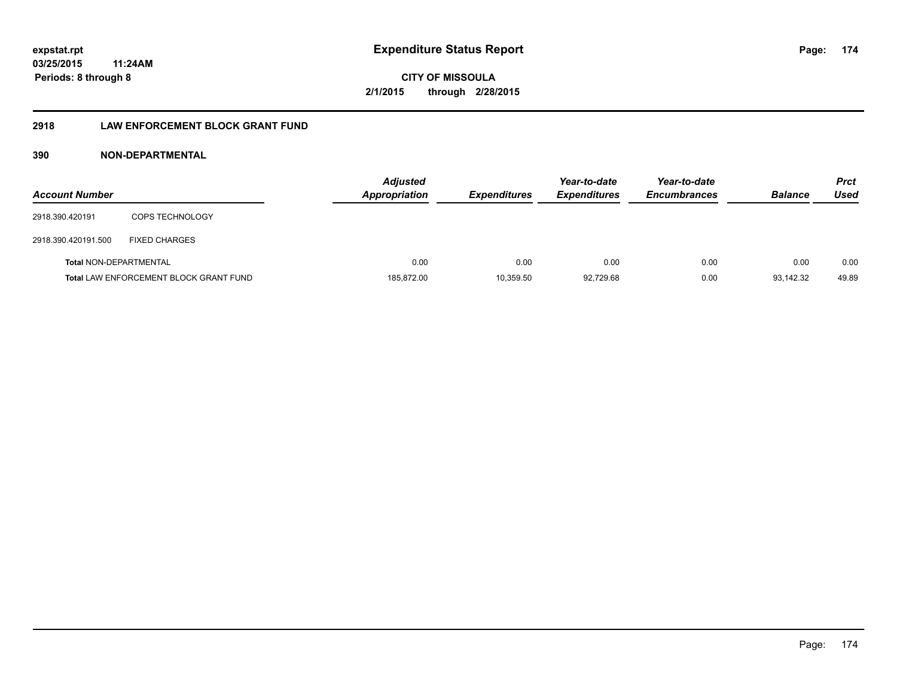**CITY OF MISSOULA 2/1/2015 through 2/28/2015**

## **2918 LAW ENFORCEMENT BLOCK GRANT FUND**

## **390 NON-DEPARTMENTAL**

| <b>Account Number</b>         |                                               | <b>Adjusted</b><br>Appropriation | <b>Expenditures</b> | Year-to-date<br><b>Expenditures</b> | Year-to-date<br><b>Encumbrances</b> | <b>Balance</b> | <b>Prct</b><br>Used |
|-------------------------------|-----------------------------------------------|----------------------------------|---------------------|-------------------------------------|-------------------------------------|----------------|---------------------|
| 2918.390.420191               | <b>COPS TECHNOLOGY</b>                        |                                  |                     |                                     |                                     |                |                     |
| 2918.390.420191.500           | <b>FIXED CHARGES</b>                          |                                  |                     |                                     |                                     |                |                     |
| <b>Total NON-DEPARTMENTAL</b> |                                               | 0.00                             | 0.00                | 0.00                                | 0.00                                | 0.00           | 0.00                |
|                               | <b>Total LAW ENFORCEMENT BLOCK GRANT FUND</b> | 185.872.00                       | 10,359.50           | 92.729.68                           | 0.00                                | 93.142.32      | 49.89               |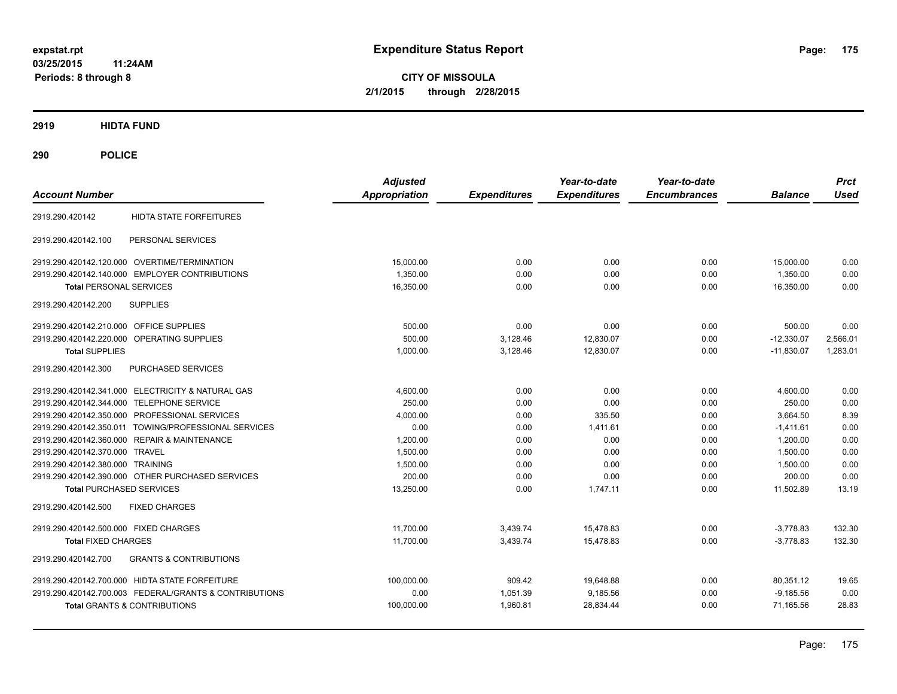**CITY OF MISSOULA 2/1/2015 through 2/28/2015**

**2919 HIDTA FUND**

| <b>Account Number</b>                                    | <b>Adjusted</b><br><b>Appropriation</b> | <b>Expenditures</b> | Year-to-date<br><b>Expenditures</b> | Year-to-date<br><b>Encumbrances</b> | <b>Balance</b> | <b>Prct</b><br><b>Used</b> |
|----------------------------------------------------------|-----------------------------------------|---------------------|-------------------------------------|-------------------------------------|----------------|----------------------------|
| <b>HIDTA STATE FORFEITURES</b><br>2919.290.420142        |                                         |                     |                                     |                                     |                |                            |
| PERSONAL SERVICES<br>2919.290.420142.100                 |                                         |                     |                                     |                                     |                |                            |
| 2919.290.420142.120.000 OVERTIME/TERMINATION             | 15,000.00                               | 0.00                | 0.00                                | 0.00                                | 15,000.00      | 0.00                       |
| 2919.290.420142.140.000 EMPLOYER CONTRIBUTIONS           | 1,350.00                                | 0.00                | 0.00                                | 0.00                                | 1,350.00       | 0.00                       |
| <b>Total PERSONAL SERVICES</b>                           | 16,350.00                               | 0.00                | 0.00                                | 0.00                                | 16,350.00      | 0.00                       |
| <b>SUPPLIES</b><br>2919.290.420142.200                   |                                         |                     |                                     |                                     |                |                            |
| 2919.290.420142.210.000 OFFICE SUPPLIES                  | 500.00                                  | 0.00                | 0.00                                | 0.00                                | 500.00         | 0.00                       |
| 2919.290.420142.220.000 OPERATING SUPPLIES               | 500.00                                  | 3,128.46            | 12,830.07                           | 0.00                                | $-12,330.07$   | 2,566.01                   |
| <b>Total SUPPLIES</b>                                    | 1,000.00                                | 3,128.46            | 12,830.07                           | 0.00                                | $-11,830.07$   | 1,283.01                   |
| 2919.290.420142.300<br>PURCHASED SERVICES                |                                         |                     |                                     |                                     |                |                            |
| 2919.290.420142.341.000 ELECTRICITY & NATURAL GAS        | 4.600.00                                | 0.00                | 0.00                                | 0.00                                | 4,600.00       | 0.00                       |
| 2919.290.420142.344.000 TELEPHONE SERVICE                | 250.00                                  | 0.00                | 0.00                                | 0.00                                | 250.00         | 0.00                       |
| 2919.290.420142.350.000 PROFESSIONAL SERVICES            | 4,000.00                                | 0.00                | 335.50                              | 0.00                                | 3.664.50       | 8.39                       |
| 2919.290.420142.350.011 TOWING/PROFESSIONAL SERVICES     | 0.00                                    | 0.00                | 1.411.61                            | 0.00                                | $-1.411.61$    | 0.00                       |
| 2919.290.420142.360.000 REPAIR & MAINTENANCE             | 1.200.00                                | 0.00                | 0.00                                | 0.00                                | 1.200.00       | 0.00                       |
| 2919.290.420142.370.000 TRAVEL                           | 1,500.00                                | 0.00                | 0.00                                | 0.00                                | 1.500.00       | 0.00                       |
| 2919.290.420142.380.000 TRAINING                         | 1,500.00                                | 0.00                | 0.00                                | 0.00                                | 1,500.00       | 0.00                       |
| 2919.290.420142.390.000 OTHER PURCHASED SERVICES         | 200.00                                  | 0.00                | 0.00                                | 0.00                                | 200.00         | 0.00                       |
| <b>Total PURCHASED SERVICES</b>                          | 13,250.00                               | 0.00                | 1,747.11                            | 0.00                                | 11,502.89      | 13.19                      |
| 2919.290.420142.500<br><b>FIXED CHARGES</b>              |                                         |                     |                                     |                                     |                |                            |
| 2919.290.420142.500.000 FIXED CHARGES                    | 11,700.00                               | 3,439.74            | 15.478.83                           | 0.00                                | $-3,778.83$    | 132.30                     |
| <b>Total FIXED CHARGES</b>                               | 11,700.00                               | 3,439.74            | 15.478.83                           | 0.00                                | $-3.778.83$    | 132.30                     |
| <b>GRANTS &amp; CONTRIBUTIONS</b><br>2919.290.420142.700 |                                         |                     |                                     |                                     |                |                            |
| 2919.290.420142.700.000 HIDTA STATE FORFEITURE           | 100,000.00                              | 909.42              | 19,648.88                           | 0.00                                | 80,351.12      | 19.65                      |
| 2919.290.420142.700.003 FEDERAL/GRANTS & CONTRIBUTIONS   | 0.00                                    | 1,051.39            | 9,185.56                            | 0.00                                | $-9,185.56$    | 0.00                       |
| <b>Total GRANTS &amp; CONTRIBUTIONS</b>                  | 100,000.00                              | 1,960.81            | 28,834.44                           | 0.00                                | 71,165.56      | 28.83                      |
|                                                          |                                         |                     |                                     |                                     |                |                            |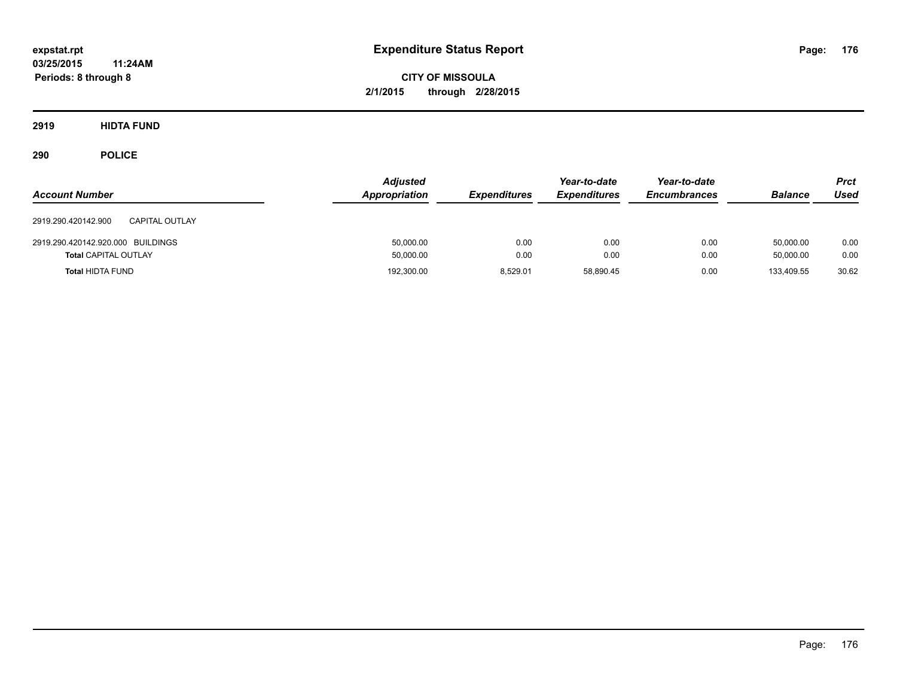**CITY OF MISSOULA 2/1/2015 through 2/28/2015**

**2919 HIDTA FUND**

| <b>Account Number</b>                                            | <b>Adjusted</b><br><b>Appropriation</b> | <b>Expenditures</b> | Year-to-date<br><b>Expenditures</b> | Year-to-date<br><b>Encumbrances</b> | <b>Balance</b>         | <b>Prct</b><br><b>Used</b> |
|------------------------------------------------------------------|-----------------------------------------|---------------------|-------------------------------------|-------------------------------------|------------------------|----------------------------|
| 2919.290.420142.900<br><b>CAPITAL OUTLAY</b>                     |                                         |                     |                                     |                                     |                        |                            |
| 2919.290.420142.920.000 BUILDINGS<br><b>Total CAPITAL OUTLAY</b> | 50,000.00<br>50,000.00                  | 0.00<br>0.00        | 0.00<br>0.00                        | 0.00<br>0.00                        | 50.000.00<br>50.000.00 | 0.00<br>0.00               |
| <b>Total HIDTA FUND</b>                                          | 192,300.00                              | 8.529.01            | 58.890.45                           | 0.00                                | 133.409.55             | 30.62                      |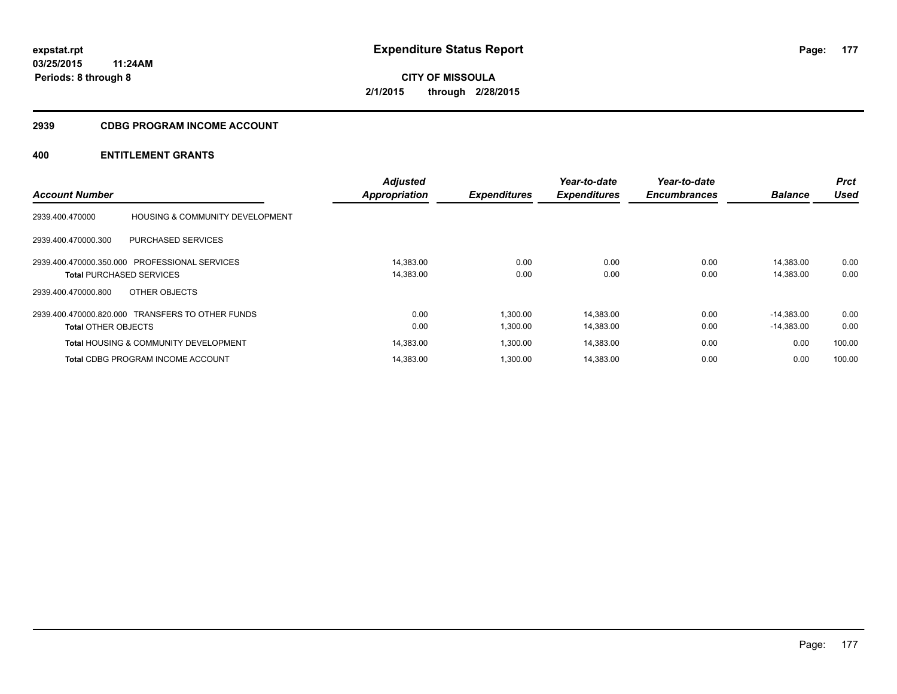## **2939 CDBG PROGRAM INCOME ACCOUNT**

|                                 |                                                  | <b>Adjusted</b>      |                     | Year-to-date        | Year-to-date        |                | <b>Prct</b> |
|---------------------------------|--------------------------------------------------|----------------------|---------------------|---------------------|---------------------|----------------|-------------|
| <b>Account Number</b>           |                                                  | <b>Appropriation</b> | <b>Expenditures</b> | <b>Expenditures</b> | <b>Encumbrances</b> | <b>Balance</b> | <b>Used</b> |
| 2939.400.470000                 | <b>HOUSING &amp; COMMUNITY DEVELOPMENT</b>       |                      |                     |                     |                     |                |             |
| 2939.400.470000.300             | <b>PURCHASED SERVICES</b>                        |                      |                     |                     |                     |                |             |
|                                 | 2939.400.470000.350.000 PROFESSIONAL SERVICES    | 14,383.00            | 0.00                | 0.00                | 0.00                | 14.383.00      | 0.00        |
| <b>Total PURCHASED SERVICES</b> |                                                  | 14,383.00            | 0.00                | 0.00                | 0.00                | 14,383.00      | 0.00        |
| 2939.400.470000.800             | OTHER OBJECTS                                    |                      |                     |                     |                     |                |             |
|                                 | 2939.400.470000.820.000 TRANSFERS TO OTHER FUNDS | 0.00                 | 1.300.00            | 14,383.00           | 0.00                | $-14.383.00$   | 0.00        |
| <b>Total OTHER OBJECTS</b>      |                                                  | 0.00                 | 1,300.00            | 14,383.00           | 0.00                | $-14,383.00$   | 0.00        |
|                                 | <b>Total HOUSING &amp; COMMUNITY DEVELOPMENT</b> | 14,383.00            | 1,300.00            | 14,383.00           | 0.00                | 0.00           | 100.00      |
|                                 | <b>Total CDBG PROGRAM INCOME ACCOUNT</b>         | 14.383.00            | 1.300.00            | 14.383.00           | 0.00                | 0.00           | 100.00      |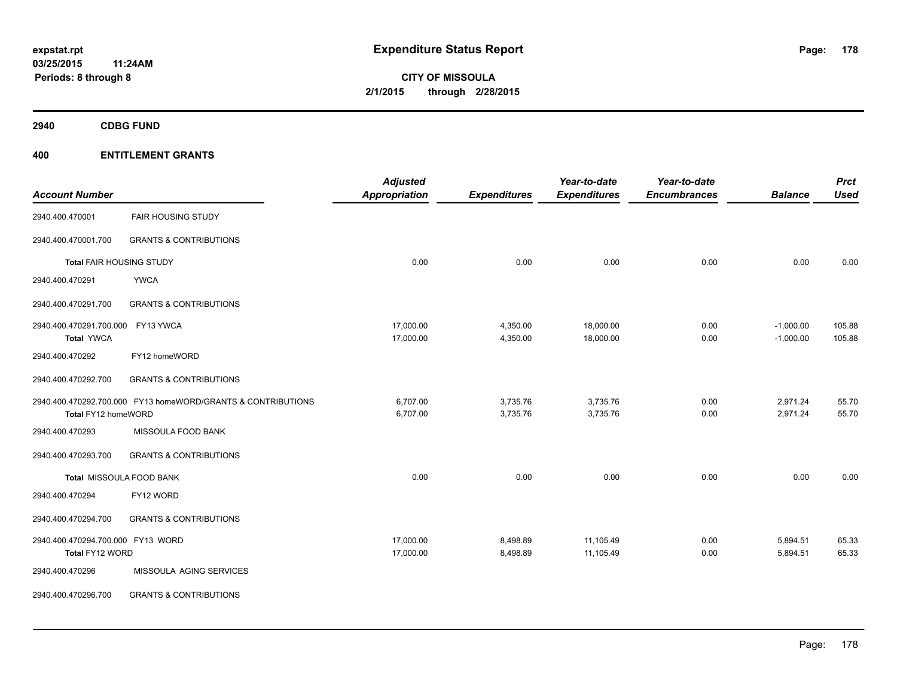**2940 CDBG FUND**

|                                   |                                                              | <b>Adjusted</b>      |                     | Year-to-date        | Year-to-date        |                | <b>Prct</b> |
|-----------------------------------|--------------------------------------------------------------|----------------------|---------------------|---------------------|---------------------|----------------|-------------|
| <b>Account Number</b>             |                                                              | <b>Appropriation</b> | <b>Expenditures</b> | <b>Expenditures</b> | <b>Encumbrances</b> | <b>Balance</b> | <b>Used</b> |
| 2940.400.470001                   | <b>FAIR HOUSING STUDY</b>                                    |                      |                     |                     |                     |                |             |
| 2940.400.470001.700               | <b>GRANTS &amp; CONTRIBUTIONS</b>                            |                      |                     |                     |                     |                |             |
| Total FAIR HOUSING STUDY          |                                                              | 0.00                 | 0.00                | 0.00                | 0.00                | 0.00           | 0.00        |
| 2940.400.470291                   | <b>YWCA</b>                                                  |                      |                     |                     |                     |                |             |
| 2940.400.470291.700               | <b>GRANTS &amp; CONTRIBUTIONS</b>                            |                      |                     |                     |                     |                |             |
| 2940.400.470291.700.000           | FY13 YWCA                                                    | 17,000.00            | 4,350.00            | 18,000.00           | 0.00                | $-1,000.00$    | 105.88      |
| <b>Total YWCA</b>                 |                                                              | 17,000.00            | 4,350.00            | 18,000.00           | 0.00                | $-1,000.00$    | 105.88      |
| 2940.400.470292                   | FY12 homeWORD                                                |                      |                     |                     |                     |                |             |
| 2940.400.470292.700               | <b>GRANTS &amp; CONTRIBUTIONS</b>                            |                      |                     |                     |                     |                |             |
|                                   | 2940.400.470292.700.000 FY13 homeWORD/GRANTS & CONTRIBUTIONS | 6,707.00             | 3,735.76            | 3,735.76            | 0.00                | 2,971.24       | 55.70       |
| Total FY12 homeWORD               |                                                              | 6,707.00             | 3,735.76            | 3,735.76            | 0.00                | 2,971.24       | 55.70       |
| 2940.400.470293                   | MISSOULA FOOD BANK                                           |                      |                     |                     |                     |                |             |
| 2940.400.470293.700               | <b>GRANTS &amp; CONTRIBUTIONS</b>                            |                      |                     |                     |                     |                |             |
|                                   | Total MISSOULA FOOD BANK                                     | 0.00                 | 0.00                | 0.00                | 0.00                | 0.00           | 0.00        |
| 2940.400.470294                   | FY12 WORD                                                    |                      |                     |                     |                     |                |             |
| 2940.400.470294.700               | <b>GRANTS &amp; CONTRIBUTIONS</b>                            |                      |                     |                     |                     |                |             |
| 2940.400.470294.700.000 FY13 WORD |                                                              | 17,000.00            | 8,498.89            | 11,105.49           | 0.00                | 5,894.51       | 65.33       |
| Total FY12 WORD                   |                                                              | 17,000.00            | 8,498.89            | 11,105.49           | 0.00                | 5,894.51       | 65.33       |
| 2940.400.470296                   | MISSOULA AGING SERVICES                                      |                      |                     |                     |                     |                |             |
| 2940.400.470296.700               | <b>GRANTS &amp; CONTRIBUTIONS</b>                            |                      |                     |                     |                     |                |             |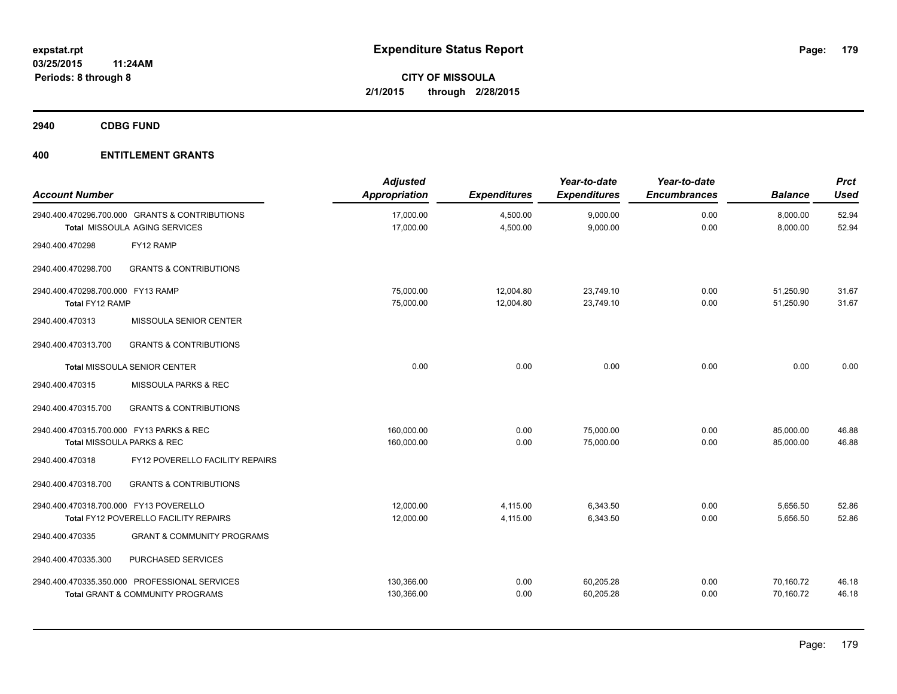**2940 CDBG FUND**

| <b>Account Number</b>                                |                                                                                              | <b>Adjusted</b><br><b>Appropriation</b> | <b>Expenditures</b>    | Year-to-date<br><b>Expenditures</b> | Year-to-date<br><b>Encumbrances</b> | <b>Balance</b>         | <b>Prct</b><br><b>Used</b> |
|------------------------------------------------------|----------------------------------------------------------------------------------------------|-----------------------------------------|------------------------|-------------------------------------|-------------------------------------|------------------------|----------------------------|
|                                                      | 2940.400.470296.700.000 GRANTS & CONTRIBUTIONS<br>Total MISSOULA AGING SERVICES              | 17,000.00<br>17,000.00                  | 4,500.00<br>4,500.00   | 9,000.00<br>9,000.00                | 0.00<br>0.00                        | 8,000.00<br>8,000.00   | 52.94<br>52.94             |
| 2940.400.470298                                      | FY12 RAMP                                                                                    |                                         |                        |                                     |                                     |                        |                            |
| 2940.400.470298.700                                  | <b>GRANTS &amp; CONTRIBUTIONS</b>                                                            |                                         |                        |                                     |                                     |                        |                            |
| 2940.400.470298.700.000 FY13 RAMP<br>Total FY12 RAMP |                                                                                              | 75,000.00<br>75,000.00                  | 12,004.80<br>12,004.80 | 23,749.10<br>23,749.10              | 0.00<br>0.00                        | 51,250.90<br>51,250.90 | 31.67<br>31.67             |
| 2940.400.470313                                      | MISSOULA SENIOR CENTER                                                                       |                                         |                        |                                     |                                     |                        |                            |
| 2940.400.470313.700                                  | <b>GRANTS &amp; CONTRIBUTIONS</b>                                                            |                                         |                        |                                     |                                     |                        |                            |
|                                                      | Total MISSOULA SENIOR CENTER                                                                 | 0.00                                    | 0.00                   | 0.00                                | 0.00                                | 0.00                   | 0.00                       |
| 2940.400.470315                                      | MISSOULA PARKS & REC                                                                         |                                         |                        |                                     |                                     |                        |                            |
| 2940.400.470315.700                                  | <b>GRANTS &amp; CONTRIBUTIONS</b>                                                            |                                         |                        |                                     |                                     |                        |                            |
| 2940.400.470315.700.000 FY13 PARKS & REC             | Total MISSOULA PARKS & REC                                                                   | 160,000.00<br>160,000.00                | 0.00<br>0.00           | 75,000.00<br>75,000.00              | 0.00<br>0.00                        | 85,000.00<br>85,000.00 | 46.88<br>46.88             |
| 2940.400.470318                                      | FY12 POVERELLO FACILITY REPAIRS                                                              |                                         |                        |                                     |                                     |                        |                            |
| 2940.400.470318.700                                  | <b>GRANTS &amp; CONTRIBUTIONS</b>                                                            |                                         |                        |                                     |                                     |                        |                            |
| 2940.400.470318.700.000 FY13 POVERELLO               | Total FY12 POVERELLO FACILITY REPAIRS                                                        | 12,000.00<br>12,000.00                  | 4,115.00<br>4,115.00   | 6.343.50<br>6,343.50                | 0.00<br>0.00                        | 5,656.50<br>5,656.50   | 52.86<br>52.86             |
| 2940.400.470335                                      | <b>GRANT &amp; COMMUNITY PROGRAMS</b>                                                        |                                         |                        |                                     |                                     |                        |                            |
| 2940.400.470335.300                                  | PURCHASED SERVICES                                                                           |                                         |                        |                                     |                                     |                        |                            |
|                                                      | 2940.400.470335.350.000 PROFESSIONAL SERVICES<br><b>Total GRANT &amp; COMMUNITY PROGRAMS</b> | 130,366.00<br>130,366.00                | 0.00<br>0.00           | 60,205.28<br>60,205.28              | 0.00<br>0.00                        | 70,160.72<br>70,160.72 | 46.18<br>46.18             |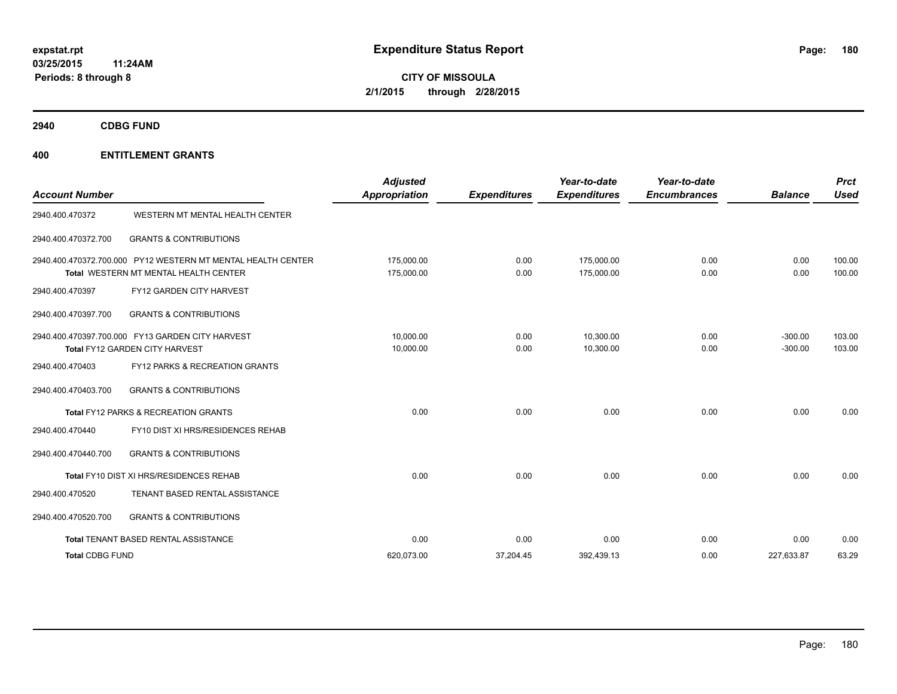**2940 CDBG FUND**

| <b>Account Number</b>  |                                                                                                       | <b>Adjusted</b><br>Appropriation | <b>Expenditures</b> | Year-to-date<br><b>Expenditures</b> | Year-to-date<br><b>Encumbrances</b> | <b>Balance</b>         | <b>Prct</b><br><b>Used</b> |
|------------------------|-------------------------------------------------------------------------------------------------------|----------------------------------|---------------------|-------------------------------------|-------------------------------------|------------------------|----------------------------|
| 2940.400.470372        | WESTERN MT MENTAL HEALTH CENTER                                                                       |                                  |                     |                                     |                                     |                        |                            |
| 2940.400.470372.700    | <b>GRANTS &amp; CONTRIBUTIONS</b>                                                                     |                                  |                     |                                     |                                     |                        |                            |
|                        | 2940.400.470372.700.000 PY12 WESTERN MT MENTAL HEALTH CENTER<br>Total WESTERN MT MENTAL HEALTH CENTER | 175.000.00<br>175,000.00         | 0.00<br>0.00        | 175.000.00<br>175,000.00            | 0.00<br>0.00                        | 0.00<br>0.00           | 100.00<br>100.00           |
| 2940.400.470397        | FY12 GARDEN CITY HARVEST                                                                              |                                  |                     |                                     |                                     |                        |                            |
| 2940.400.470397.700    | <b>GRANTS &amp; CONTRIBUTIONS</b>                                                                     |                                  |                     |                                     |                                     |                        |                            |
|                        | 2940.400.470397.700.000 FY13 GARDEN CITY HARVEST<br>Total FY12 GARDEN CITY HARVEST                    | 10.000.00<br>10,000.00           | 0.00<br>0.00        | 10.300.00<br>10,300.00              | 0.00<br>0.00                        | $-300.00$<br>$-300.00$ | 103.00<br>103.00           |
| 2940.400.470403        | FY12 PARKS & RECREATION GRANTS                                                                        |                                  |                     |                                     |                                     |                        |                            |
| 2940.400.470403.700    | <b>GRANTS &amp; CONTRIBUTIONS</b>                                                                     |                                  |                     |                                     |                                     |                        |                            |
|                        | Total FY12 PARKS & RECREATION GRANTS                                                                  | 0.00                             | 0.00                | 0.00                                | 0.00                                | 0.00                   | 0.00                       |
| 2940.400.470440        | FY10 DIST XI HRS/RESIDENCES REHAB                                                                     |                                  |                     |                                     |                                     |                        |                            |
| 2940.400.470440.700    | <b>GRANTS &amp; CONTRIBUTIONS</b>                                                                     |                                  |                     |                                     |                                     |                        |                            |
|                        | Total FY10 DIST XI HRS/RESIDENCES REHAB                                                               | 0.00                             | 0.00                | 0.00                                | 0.00                                | 0.00                   | 0.00                       |
| 2940.400.470520        | TENANT BASED RENTAL ASSISTANCE                                                                        |                                  |                     |                                     |                                     |                        |                            |
| 2940.400.470520.700    | <b>GRANTS &amp; CONTRIBUTIONS</b>                                                                     |                                  |                     |                                     |                                     |                        |                            |
|                        | Total TENANT BASED RENTAL ASSISTANCE                                                                  | 0.00                             | 0.00                | 0.00                                | 0.00                                | 0.00                   | 0.00                       |
| <b>Total CDBG FUND</b> |                                                                                                       | 620,073.00                       | 37,204.45           | 392,439.13                          | 0.00                                | 227,633.87             | 63.29                      |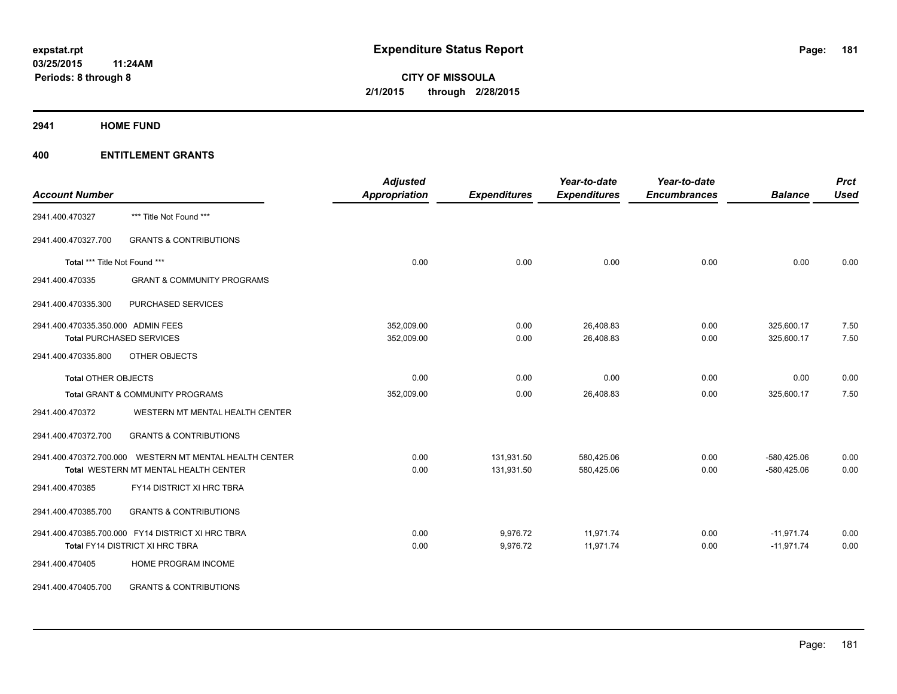**2941 HOME FUND**

| <b>Account Number</b>              |                                                         | <b>Adjusted</b><br><b>Appropriation</b> | <b>Expenditures</b> | Year-to-date<br><b>Expenditures</b> | Year-to-date<br><b>Encumbrances</b> | <b>Balance</b> | <b>Prct</b><br><b>Used</b> |
|------------------------------------|---------------------------------------------------------|-----------------------------------------|---------------------|-------------------------------------|-------------------------------------|----------------|----------------------------|
| 2941.400.470327                    | *** Title Not Found ***                                 |                                         |                     |                                     |                                     |                |                            |
| 2941.400.470327.700                | <b>GRANTS &amp; CONTRIBUTIONS</b>                       |                                         |                     |                                     |                                     |                |                            |
| Total *** Title Not Found ***      |                                                         | 0.00                                    | 0.00                | 0.00                                | 0.00                                | 0.00           | 0.00                       |
| 2941.400.470335                    | <b>GRANT &amp; COMMUNITY PROGRAMS</b>                   |                                         |                     |                                     |                                     |                |                            |
| 2941.400.470335.300                | PURCHASED SERVICES                                      |                                         |                     |                                     |                                     |                |                            |
| 2941.400.470335.350.000 ADMIN FEES |                                                         | 352,009.00                              | 0.00                | 26,408.83                           | 0.00                                | 325,600.17     | 7.50                       |
|                                    | <b>Total PURCHASED SERVICES</b>                         | 352,009.00                              | 0.00                | 26,408.83                           | 0.00                                | 325,600.17     | 7.50                       |
| 2941.400.470335.800                | OTHER OBJECTS                                           |                                         |                     |                                     |                                     |                |                            |
| <b>Total OTHER OBJECTS</b>         |                                                         | 0.00                                    | 0.00                | 0.00                                | 0.00                                | 0.00           | 0.00                       |
|                                    | Total GRANT & COMMUNITY PROGRAMS                        | 352,009.00                              | 0.00                | 26,408.83                           | 0.00                                | 325,600.17     | 7.50                       |
| 2941.400.470372                    | WESTERN MT MENTAL HEALTH CENTER                         |                                         |                     |                                     |                                     |                |                            |
| 2941.400.470372.700                | <b>GRANTS &amp; CONTRIBUTIONS</b>                       |                                         |                     |                                     |                                     |                |                            |
|                                    | 2941.400.470372.700.000 WESTERN MT MENTAL HEALTH CENTER | 0.00                                    | 131,931.50          | 580,425.06                          | 0.00                                | $-580,425.06$  | 0.00                       |
|                                    | Total WESTERN MT MENTAL HEALTH CENTER                   | 0.00                                    | 131,931.50          | 580,425.06                          | 0.00                                | $-580,425.06$  | 0.00                       |
| 2941.400.470385                    | FY14 DISTRICT XI HRC TBRA                               |                                         |                     |                                     |                                     |                |                            |
| 2941.400.470385.700                | <b>GRANTS &amp; CONTRIBUTIONS</b>                       |                                         |                     |                                     |                                     |                |                            |
|                                    | 2941.400.470385.700.000 FY14 DISTRICT XI HRC TBRA       | 0.00                                    | 9,976.72            | 11,971.74                           | 0.00                                | $-11,971.74$   | 0.00                       |
|                                    | Total FY14 DISTRICT XI HRC TBRA                         | 0.00                                    | 9,976.72            | 11,971.74                           | 0.00                                | $-11,971.74$   | 0.00                       |
| 2941.400.470405                    | HOME PROGRAM INCOME                                     |                                         |                     |                                     |                                     |                |                            |
| 2941.400.470405.700                | <b>GRANTS &amp; CONTRIBUTIONS</b>                       |                                         |                     |                                     |                                     |                |                            |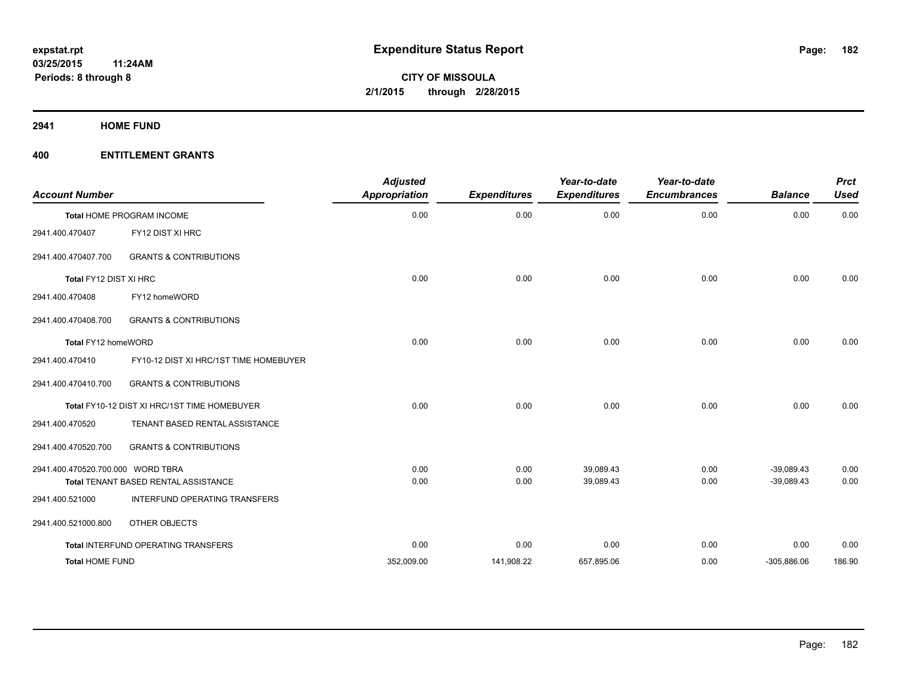**2941 HOME FUND**

| <b>Account Number</b>             |                                              | <b>Adjusted</b><br><b>Appropriation</b> | <b>Expenditures</b> | Year-to-date<br><b>Expenditures</b> | Year-to-date<br><b>Encumbrances</b> | <b>Balance</b> | <b>Prct</b><br><b>Used</b> |
|-----------------------------------|----------------------------------------------|-----------------------------------------|---------------------|-------------------------------------|-------------------------------------|----------------|----------------------------|
|                                   | <b>Total HOME PROGRAM INCOME</b>             | 0.00                                    | 0.00                | 0.00                                | 0.00                                | 0.00           | 0.00                       |
| 2941.400.470407                   | FY12 DIST XI HRC                             |                                         |                     |                                     |                                     |                |                            |
| 2941.400.470407.700               | <b>GRANTS &amp; CONTRIBUTIONS</b>            |                                         |                     |                                     |                                     |                |                            |
| Total FY12 DIST XI HRC            |                                              | 0.00                                    | 0.00                | 0.00                                | 0.00                                | 0.00           | 0.00                       |
| 2941.400.470408                   | FY12 homeWORD                                |                                         |                     |                                     |                                     |                |                            |
| 2941.400.470408.700               | <b>GRANTS &amp; CONTRIBUTIONS</b>            |                                         |                     |                                     |                                     |                |                            |
| Total FY12 homeWORD               |                                              | 0.00                                    | 0.00                | 0.00                                | 0.00                                | 0.00           | 0.00                       |
| 2941.400.470410                   | FY10-12 DIST XI HRC/1ST TIME HOMEBUYER       |                                         |                     |                                     |                                     |                |                            |
| 2941.400.470410.700               | <b>GRANTS &amp; CONTRIBUTIONS</b>            |                                         |                     |                                     |                                     |                |                            |
|                                   | Total FY10-12 DIST XI HRC/1ST TIME HOMEBUYER | 0.00                                    | 0.00                | 0.00                                | 0.00                                | 0.00           | 0.00                       |
| 2941.400.470520                   | TENANT BASED RENTAL ASSISTANCE               |                                         |                     |                                     |                                     |                |                            |
| 2941.400.470520.700               | <b>GRANTS &amp; CONTRIBUTIONS</b>            |                                         |                     |                                     |                                     |                |                            |
| 2941.400.470520.700.000 WORD TBRA |                                              | 0.00                                    | 0.00                | 39,089.43                           | 0.00                                | $-39,089.43$   | 0.00                       |
|                                   | Total TENANT BASED RENTAL ASSISTANCE         | 0.00                                    | 0.00                | 39,089.43                           | 0.00                                | $-39,089.43$   | 0.00                       |
| 2941.400.521000                   | INTERFUND OPERATING TRANSFERS                |                                         |                     |                                     |                                     |                |                            |
| 2941.400.521000.800               | OTHER OBJECTS                                |                                         |                     |                                     |                                     |                |                            |
|                                   | Total INTERFUND OPERATING TRANSFERS          | 0.00                                    | 0.00                | 0.00                                | 0.00                                | 0.00           | 0.00                       |
| <b>Total HOME FUND</b>            |                                              | 352,009.00                              | 141,908.22          | 657,895.06                          | 0.00                                | $-305,886.06$  | 186.90                     |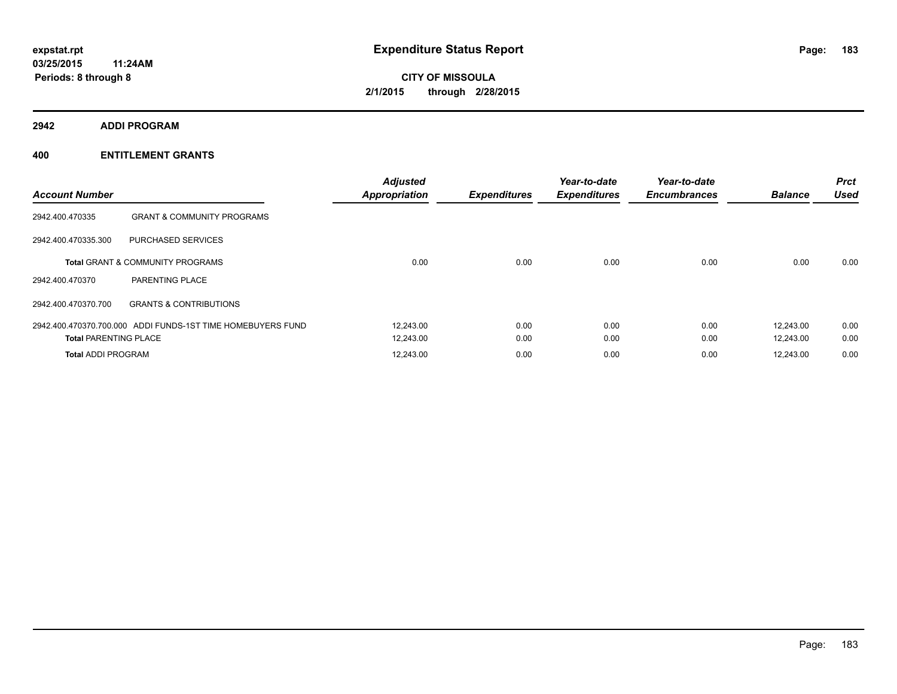**2942 ADDI PROGRAM**

| <b>Account Number</b>        |                                                             | <b>Adjusted</b><br><b>Appropriation</b> | <b>Expenditures</b> | Year-to-date<br><b>Expenditures</b> | Year-to-date<br><b>Encumbrances</b> | <b>Balance</b> | <b>Prct</b><br><b>Used</b> |
|------------------------------|-------------------------------------------------------------|-----------------------------------------|---------------------|-------------------------------------|-------------------------------------|----------------|----------------------------|
| 2942.400.470335              | <b>GRANT &amp; COMMUNITY PROGRAMS</b>                       |                                         |                     |                                     |                                     |                |                            |
| 2942.400.470335.300          | PURCHASED SERVICES                                          |                                         |                     |                                     |                                     |                |                            |
|                              | <b>Total GRANT &amp; COMMUNITY PROGRAMS</b>                 | 0.00                                    | 0.00                | 0.00                                | 0.00                                | 0.00           | 0.00                       |
| 2942.400.470370              | <b>PARENTING PLACE</b>                                      |                                         |                     |                                     |                                     |                |                            |
| 2942.400.470370.700          | <b>GRANTS &amp; CONTRIBUTIONS</b>                           |                                         |                     |                                     |                                     |                |                            |
|                              | 2942.400.470370.700.000 ADDI FUNDS-1ST TIME HOMEBUYERS FUND | 12,243.00                               | 0.00                | 0.00                                | 0.00                                | 12.243.00      | 0.00                       |
| <b>Total PARENTING PLACE</b> |                                                             | 12,243.00                               | 0.00                | 0.00                                | 0.00                                | 12.243.00      | 0.00                       |
| <b>Total ADDI PROGRAM</b>    |                                                             | 12,243.00                               | 0.00                | 0.00                                | 0.00                                | 12,243.00      | 0.00                       |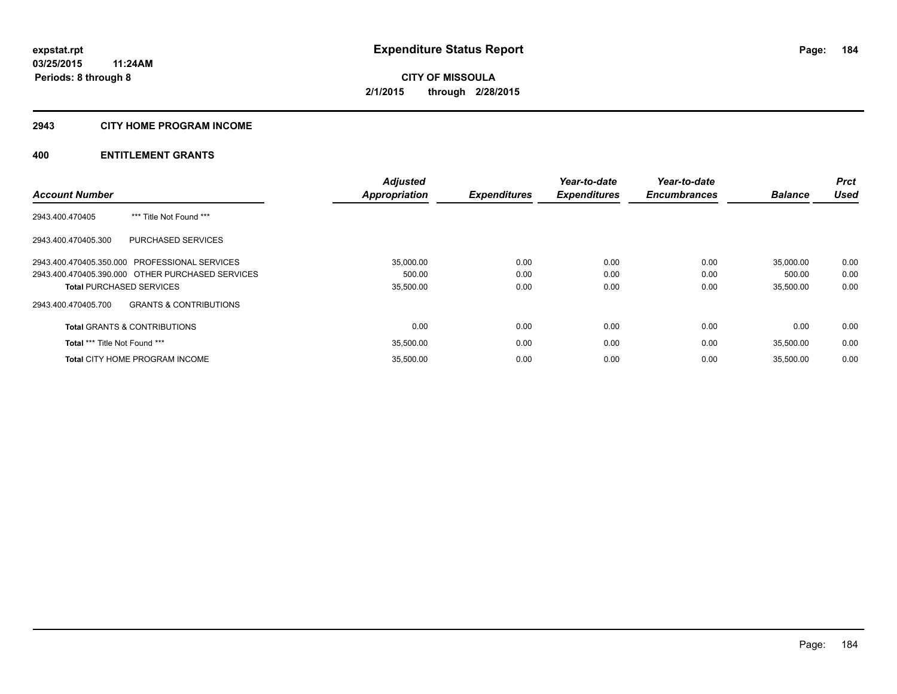### **2943 CITY HOME PROGRAM INCOME**

|                                                  |                                   | <b>Adjusted</b>      |                     | Year-to-date        | Year-to-date        |                | Prct        |
|--------------------------------------------------|-----------------------------------|----------------------|---------------------|---------------------|---------------------|----------------|-------------|
| <b>Account Number</b>                            |                                   | <b>Appropriation</b> | <b>Expenditures</b> | <b>Expenditures</b> | <b>Encumbrances</b> | <b>Balance</b> | <b>Used</b> |
| 2943.400.470405                                  | *** Title Not Found ***           |                      |                     |                     |                     |                |             |
| 2943.400.470405.300                              | PURCHASED SERVICES                |                      |                     |                     |                     |                |             |
| 2943.400.470405.350.000 PROFESSIONAL SERVICES    |                                   | 35,000.00            | 0.00                | 0.00                | 0.00                | 35,000.00      | 0.00        |
| 2943.400.470405.390.000 OTHER PURCHASED SERVICES |                                   | 500.00               | 0.00                | 0.00                | 0.00                | 500.00         | 0.00        |
| <b>Total PURCHASED SERVICES</b>                  |                                   | 35,500.00            | 0.00                | 0.00                | 0.00                | 35,500.00      | 0.00        |
| 2943.400.470405.700                              | <b>GRANTS &amp; CONTRIBUTIONS</b> |                      |                     |                     |                     |                |             |
| <b>Total GRANTS &amp; CONTRIBUTIONS</b>          |                                   | 0.00                 | 0.00                | 0.00                | 0.00                | 0.00           | 0.00        |
| <b>Total *** Title Not Found ***</b>             |                                   | 35,500.00            | 0.00                | 0.00                | 0.00                | 35,500.00      | 0.00        |
| <b>Total CITY HOME PROGRAM INCOME</b>            |                                   | 35,500.00            | 0.00                | 0.00                | 0.00                | 35.500.00      | 0.00        |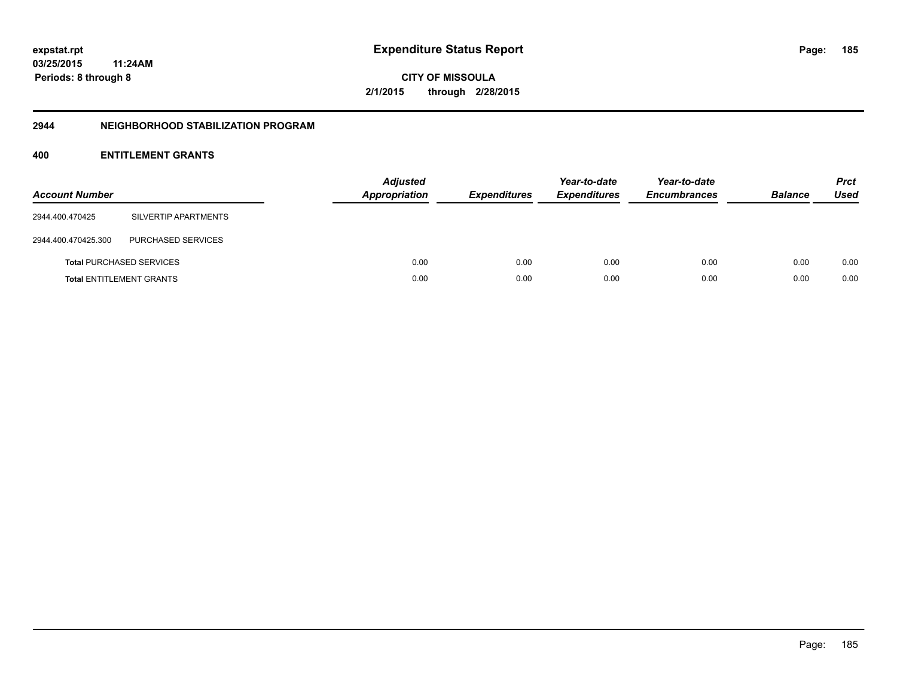**03/25/2015 11:24AM Periods: 8 through 8**

**CITY OF MISSOULA 2/1/2015 through 2/28/2015**

#### **2944 NEIGHBORHOOD STABILIZATION PROGRAM**

| <b>Account Number</b> |                                 | <b>Adjusted</b><br>Appropriation | <b>Expenditures</b> | Year-to-date<br><b>Expenditures</b> | Year-to-date<br><b>Encumbrances</b> | <b>Balance</b> | <b>Prct</b><br><b>Used</b> |
|-----------------------|---------------------------------|----------------------------------|---------------------|-------------------------------------|-------------------------------------|----------------|----------------------------|
| 2944.400.470425       | SILVERTIP APARTMENTS            |                                  |                     |                                     |                                     |                |                            |
| 2944.400.470425.300   | PURCHASED SERVICES              |                                  |                     |                                     |                                     |                |                            |
|                       | <b>Total PURCHASED SERVICES</b> | 0.00                             | 0.00                | 0.00                                | 0.00                                | 0.00           | 0.00                       |
|                       | <b>Total ENTITLEMENT GRANTS</b> | 0.00                             | 0.00                | 0.00                                | 0.00                                | 0.00           | 0.00                       |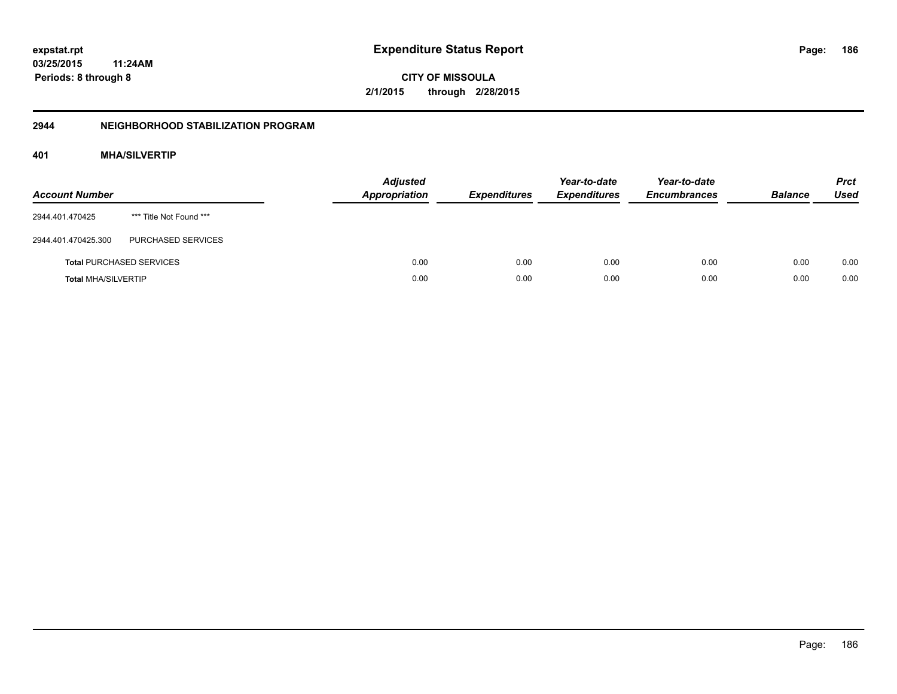**03/25/2015 11:24AM Periods: 8 through 8**

**CITY OF MISSOULA 2/1/2015 through 2/28/2015**

## **2944 NEIGHBORHOOD STABILIZATION PROGRAM**

## **401 MHA/SILVERTIP**

| <b>Account Number</b>      |                                 | <b>Adjusted</b><br><b>Appropriation</b> | <b>Expenditures</b> | Year-to-date<br><b>Expenditures</b> | Year-to-date<br><b>Encumbrances</b> | <b>Balance</b> | <b>Prct</b><br><b>Used</b> |
|----------------------------|---------------------------------|-----------------------------------------|---------------------|-------------------------------------|-------------------------------------|----------------|----------------------------|
| 2944.401.470425            | *** Title Not Found ***         |                                         |                     |                                     |                                     |                |                            |
| 2944.401.470425.300        | PURCHASED SERVICES              |                                         |                     |                                     |                                     |                |                            |
|                            | <b>Total PURCHASED SERVICES</b> | 0.00                                    | 0.00                | 0.00                                | 0.00                                | 0.00           | 0.00                       |
| <b>Total MHA/SILVERTIP</b> |                                 | 0.00                                    | 0.00                | 0.00                                | 0.00                                | 0.00           | 0.00                       |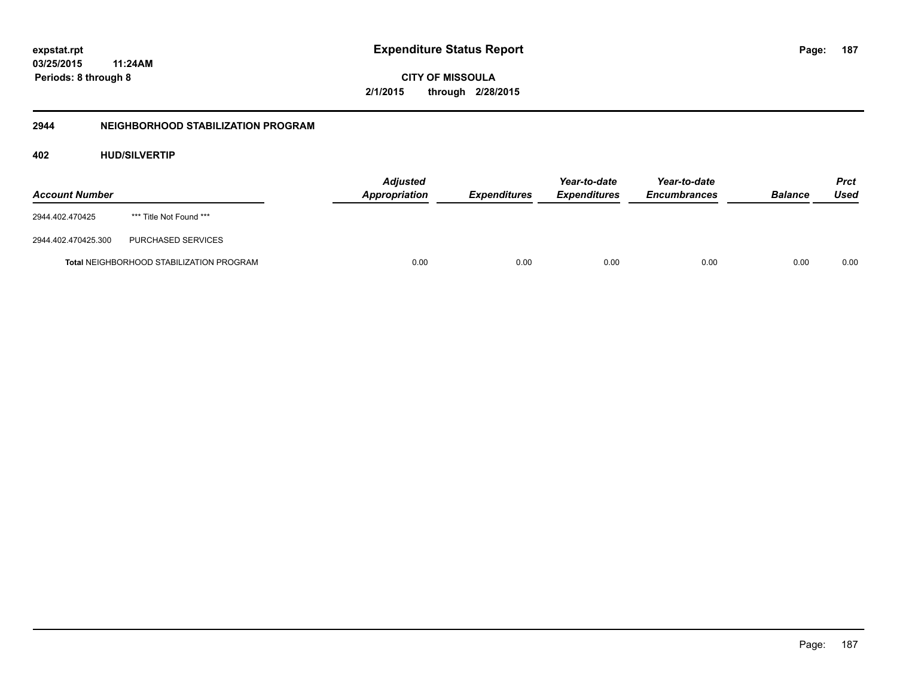**03/25/2015 11:24AM Periods: 8 through 8**

**CITY OF MISSOULA 2/1/2015 through 2/28/2015**

## **2944 NEIGHBORHOOD STABILIZATION PROGRAM**

## **402 HUD/SILVERTIP**

| <b>Account Number</b> |                                                 | <b>Adjusted</b><br>Appropriation | <b>Expenditures</b> | Year-to-date<br><b>Expenditures</b> | Year-to-date<br><b>Encumbrances</b> | <b>Balance</b> | Prct<br>Used |
|-----------------------|-------------------------------------------------|----------------------------------|---------------------|-------------------------------------|-------------------------------------|----------------|--------------|
| 2944.402.470425       | *** Title Not Found ***                         |                                  |                     |                                     |                                     |                |              |
| 2944.402.470425.300   | PURCHASED SERVICES                              |                                  |                     |                                     |                                     |                |              |
|                       | <b>Total NEIGHBORHOOD STABILIZATION PROGRAM</b> | 0.00                             | 0.00                | 0.00                                | 0.00                                | 0.00           | 0.00         |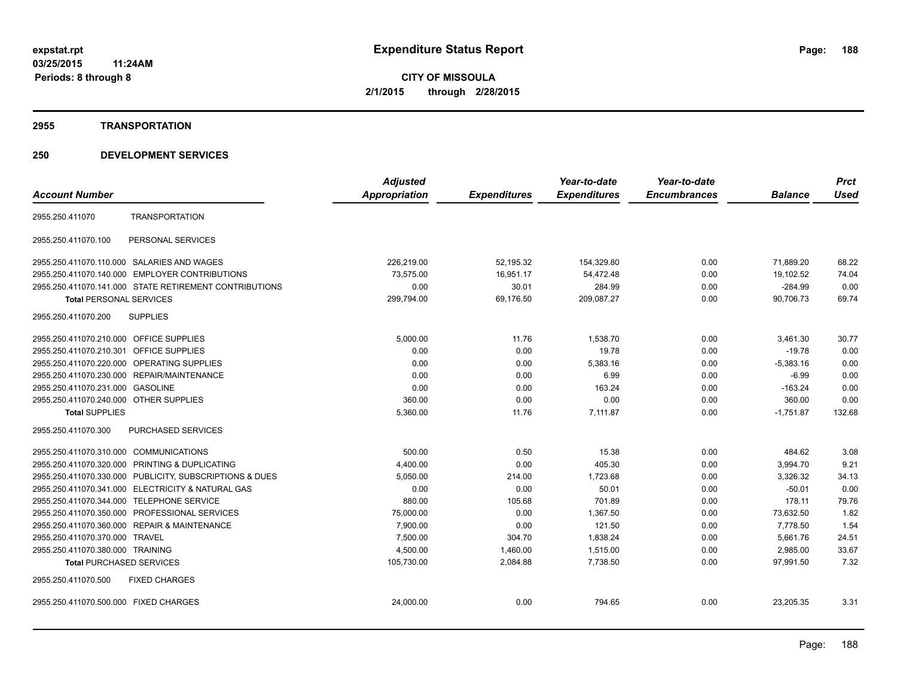#### **2955 TRANSPORTATION**

|                                                            | <b>Adjusted</b>      |                     | Year-to-date        | Year-to-date        |                | <b>Prct</b> |
|------------------------------------------------------------|----------------------|---------------------|---------------------|---------------------|----------------|-------------|
| <b>Account Number</b>                                      | <b>Appropriation</b> | <b>Expenditures</b> | <b>Expenditures</b> | <b>Encumbrances</b> | <b>Balance</b> | <b>Used</b> |
| <b>TRANSPORTATION</b><br>2955.250.411070                   |                      |                     |                     |                     |                |             |
| PERSONAL SERVICES<br>2955.250.411070.100                   |                      |                     |                     |                     |                |             |
| SALARIES AND WAGES<br>2955.250.411070.110.000              | 226,219.00           | 52,195.32           | 154,329.80          | 0.00                | 71,889.20      | 68.22       |
| <b>EMPLOYER CONTRIBUTIONS</b><br>2955.250.411070.140.000   | 73,575.00            | 16,951.17           | 54,472.48           | 0.00                | 19,102.52      | 74.04       |
| 2955.250.411070.141.000 STATE RETIREMENT CONTRIBUTIONS     | 0.00                 | 30.01               | 284.99              | 0.00                | $-284.99$      | 0.00        |
| <b>Total PERSONAL SERVICES</b>                             | 299,794.00           | 69,176.50           | 209,087.27          | 0.00                | 90,706.73      | 69.74       |
| 2955.250.411070.200<br><b>SUPPLIES</b>                     |                      |                     |                     |                     |                |             |
| 2955.250.411070.210.000 OFFICE SUPPLIES                    | 5,000.00             | 11.76               | 1,538.70            | 0.00                | 3,461.30       | 30.77       |
| <b>OFFICE SUPPLIES</b><br>2955.250.411070.210.301          | 0.00                 | 0.00                | 19.78               | 0.00                | $-19.78$       | 0.00        |
| 2955.250.411070.220.000<br>OPERATING SUPPLIES              | 0.00                 | 0.00                | 5,383.16            | 0.00                | $-5,383.16$    | 0.00        |
| REPAIR/MAINTENANCE<br>2955.250.411070.230.000              | 0.00                 | 0.00                | 6.99                | 0.00                | $-6.99$        | 0.00        |
| 2955.250.411070.231.000<br><b>GASOLINE</b>                 | 0.00                 | 0.00                | 163.24              | 0.00                | $-163.24$      | 0.00        |
| 2955.250.411070.240.000 OTHER SUPPLIES                     | 360.00               | 0.00                | 0.00                | 0.00                | 360.00         | 0.00        |
| <b>Total SUPPLIES</b>                                      | 5,360.00             | 11.76               | 7,111.87            | 0.00                | $-1,751.87$    | 132.68      |
| 2955.250.411070.300<br><b>PURCHASED SERVICES</b>           |                      |                     |                     |                     |                |             |
| 2955.250.411070.310.000 COMMUNICATIONS                     | 500.00               | 0.50                | 15.38               | 0.00                | 484.62         | 3.08        |
| 2955.250.411070.320.000 PRINTING & DUPLICATING             | 4,400.00             | 0.00                | 405.30              | 0.00                | 3,994.70       | 9.21        |
| 2955.250.411070.330.000 PUBLICITY, SUBSCRIPTIONS & DUES    | 5,050.00             | 214.00              | 1,723.68            | 0.00                | 3,326.32       | 34.13       |
| 2955.250.411070.341.000 ELECTRICITY & NATURAL GAS          | 0.00                 | 0.00                | 50.01               | 0.00                | $-50.01$       | 0.00        |
| 2955.250.411070.344.000 TELEPHONE SERVICE                  | 880.00               | 105.68              | 701.89              | 0.00                | 178.11         | 79.76       |
| PROFESSIONAL SERVICES<br>2955.250.411070.350.000           | 75,000.00            | 0.00                | 1.367.50            | 0.00                | 73,632.50      | 1.82        |
| <b>REPAIR &amp; MAINTENANCE</b><br>2955.250.411070.360.000 | 7,900.00             | 0.00                | 121.50              | 0.00                | 7,778.50       | 1.54        |
| 2955.250.411070.370.000<br><b>TRAVEL</b>                   | 7,500.00             | 304.70              | 1,838.24            | 0.00                | 5,661.76       | 24.51       |
| 2955.250.411070.380.000 TRAINING                           | 4,500.00             | 1,460.00            | 1,515.00            | 0.00                | 2,985.00       | 33.67       |
| <b>Total PURCHASED SERVICES</b>                            | 105,730.00           | 2,084.88            | 7,738.50            | 0.00                | 97,991.50      | 7.32        |
| 2955.250.411070.500<br><b>FIXED CHARGES</b>                |                      |                     |                     |                     |                |             |
| 2955.250.411070.500.000 FIXED CHARGES                      | 24,000.00            | 0.00                | 794.65              | 0.00                | 23,205.35      | 3.31        |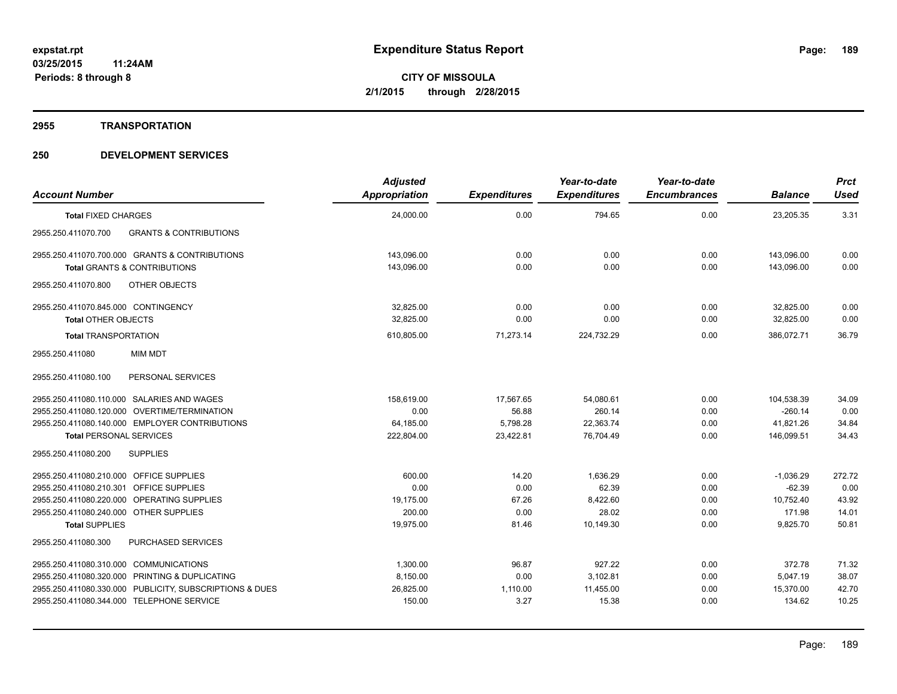#### **2955 TRANSPORTATION**

| <b>Account Number</b>                                                                                     | <b>Adjusted</b><br>Appropriation | <b>Expenditures</b> | Year-to-date<br><b>Expenditures</b> | Year-to-date<br><b>Encumbrances</b> | <b>Balance</b>        | <b>Prct</b><br><b>Used</b> |
|-----------------------------------------------------------------------------------------------------------|----------------------------------|---------------------|-------------------------------------|-------------------------------------|-----------------------|----------------------------|
| <b>Total FIXED CHARGES</b>                                                                                | 24,000.00                        | 0.00                | 794.65                              | 0.00                                | 23,205.35             | 3.31                       |
| <b>GRANTS &amp; CONTRIBUTIONS</b><br>2955.250.411070.700                                                  |                                  |                     |                                     |                                     |                       |                            |
| 2955.250.411070.700.000 GRANTS & CONTRIBUTIONS                                                            | 143.096.00                       | 0.00                | 0.00                                | 0.00                                | 143.096.00            | 0.00                       |
| <b>Total GRANTS &amp; CONTRIBUTIONS</b>                                                                   | 143.096.00                       | 0.00                | 0.00                                | 0.00                                | 143.096.00            | 0.00                       |
| 2955.250.411070.800<br>OTHER OBJECTS                                                                      |                                  |                     |                                     |                                     |                       |                            |
| 2955.250.411070.845.000 CONTINGENCY                                                                       | 32,825.00                        | 0.00                | 0.00                                | 0.00                                | 32,825.00             | 0.00                       |
| <b>Total OTHER OBJECTS</b>                                                                                | 32.825.00                        | 0.00                | 0.00                                | 0.00                                | 32,825.00             | 0.00                       |
| <b>Total TRANSPORTATION</b>                                                                               | 610,805.00                       | 71,273.14           | 224,732.29                          | 0.00                                | 386,072.71            | 36.79                      |
| <b>MIM MDT</b><br>2955.250.411080                                                                         |                                  |                     |                                     |                                     |                       |                            |
| 2955.250.411080.100<br>PERSONAL SERVICES                                                                  |                                  |                     |                                     |                                     |                       |                            |
| 2955.250.411080.110.000 SALARIES AND WAGES                                                                | 158,619.00                       | 17,567.65           | 54,080.61                           | 0.00                                | 104,538.39            | 34.09                      |
| 2955.250.411080.120.000 OVERTIME/TERMINATION                                                              | 0.00                             | 56.88               | 260.14                              | 0.00                                | $-260.14$             | 0.00                       |
| 2955.250.411080.140.000 EMPLOYER CONTRIBUTIONS                                                            | 64,185.00                        | 5,798.28            | 22,363.74                           | 0.00                                | 41,821.26             | 34.84                      |
| <b>Total PERSONAL SERVICES</b>                                                                            | 222,804.00                       | 23,422.81           | 76.704.49                           | 0.00                                | 146.099.51            | 34.43                      |
| <b>SUPPLIES</b><br>2955.250.411080.200                                                                    |                                  |                     |                                     |                                     |                       |                            |
| 2955.250.411080.210.000 OFFICE SUPPLIES                                                                   | 600.00                           | 14.20               | 1,636.29                            | 0.00                                | $-1,036.29$           | 272.72                     |
| 2955.250.411080.210.301 OFFICE SUPPLIES                                                                   | 0.00                             | 0.00                | 62.39                               | 0.00                                | $-62.39$              | 0.00                       |
| 2955.250.411080.220.000 OPERATING SUPPLIES                                                                | 19.175.00                        | 67.26               | 8,422.60                            | 0.00                                | 10.752.40             | 43.92                      |
| 2955.250.411080.240.000 OTHER SUPPLIES<br><b>Total SUPPLIES</b>                                           | 200.00<br>19,975.00              | 0.00<br>81.46       | 28.02<br>10,149.30                  | 0.00<br>0.00                        | 171.98<br>9,825.70    | 14.01<br>50.81             |
| <b>PURCHASED SERVICES</b><br>2955.250.411080.300                                                          |                                  |                     |                                     |                                     |                       |                            |
|                                                                                                           |                                  |                     |                                     |                                     |                       |                            |
| 2955.250.411080.310.000 COMMUNICATIONS                                                                    | 1,300.00                         | 96.87               | 927.22                              | 0.00                                | 372.78                | 71.32                      |
| 2955.250.411080.320.000 PRINTING & DUPLICATING<br>2955.250.411080.330.000 PUBLICITY, SUBSCRIPTIONS & DUES | 8,150.00<br>26,825.00            | 0.00<br>1,110.00    | 3,102.81<br>11,455.00               | 0.00<br>0.00                        | 5,047.19<br>15,370.00 | 38.07<br>42.70             |
| 2955.250.411080.344.000 TELEPHONE SERVICE                                                                 | 150.00                           | 3.27                | 15.38                               | 0.00                                | 134.62                | 10.25                      |
|                                                                                                           |                                  |                     |                                     |                                     |                       |                            |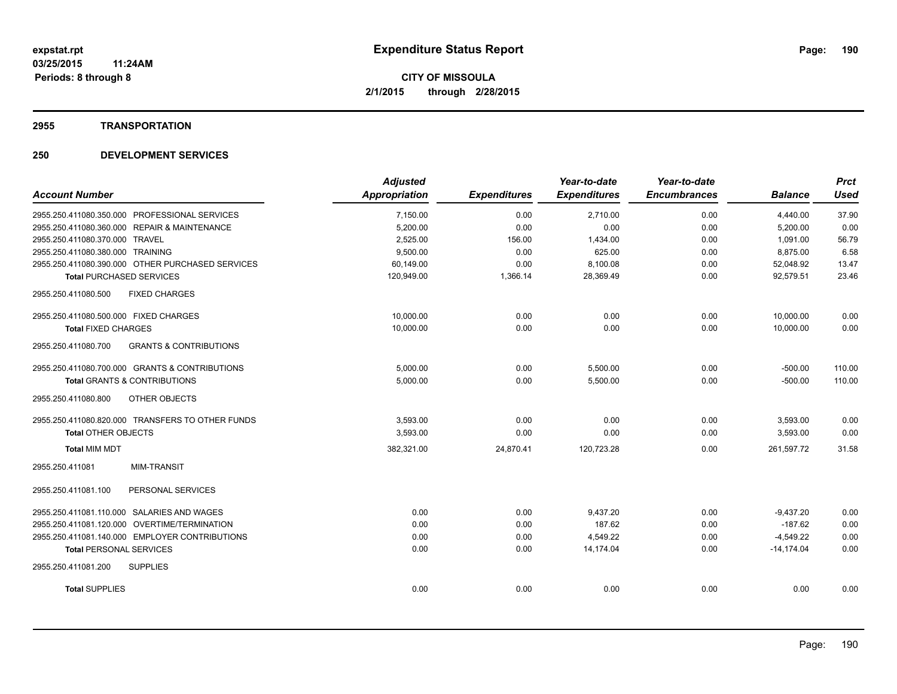### **2955 TRANSPORTATION**

|                                                          | <b>Adjusted</b> |                     | Year-to-date        | Year-to-date        |                | <b>Prct</b> |
|----------------------------------------------------------|-----------------|---------------------|---------------------|---------------------|----------------|-------------|
| <b>Account Number</b>                                    | Appropriation   | <b>Expenditures</b> | <b>Expenditures</b> | <b>Encumbrances</b> | <b>Balance</b> | <b>Used</b> |
| 2955.250.411080.350.000 PROFESSIONAL SERVICES            | 7,150.00        | 0.00                | 2,710.00            | 0.00                | 4,440.00       | 37.90       |
| 2955.250.411080.360.000 REPAIR & MAINTENANCE             | 5,200.00        | 0.00                | 0.00                | 0.00                | 5,200.00       | 0.00        |
| 2955.250.411080.370.000 TRAVEL                           | 2,525.00        | 156.00              | 1,434.00            | 0.00                | 1,091.00       | 56.79       |
| 2955.250.411080.380.000 TRAINING                         | 9,500.00        | 0.00                | 625.00              | 0.00                | 8,875.00       | 6.58        |
| 2955.250.411080.390.000 OTHER PURCHASED SERVICES         | 60,149.00       | 0.00                | 8,100.08            | 0.00                | 52,048.92      | 13.47       |
| <b>Total PURCHASED SERVICES</b>                          | 120,949.00      | 1,366.14            | 28,369.49           | 0.00                | 92.579.51      | 23.46       |
| 2955.250.411080.500<br><b>FIXED CHARGES</b>              |                 |                     |                     |                     |                |             |
| 2955.250.411080.500.000 FIXED CHARGES                    | 10,000.00       | 0.00                | 0.00                | 0.00                | 10,000.00      | 0.00        |
| <b>Total FIXED CHARGES</b>                               | 10,000.00       | 0.00                | 0.00                | 0.00                | 10,000.00      | 0.00        |
| <b>GRANTS &amp; CONTRIBUTIONS</b><br>2955.250.411080.700 |                 |                     |                     |                     |                |             |
| 2955.250.411080.700.000 GRANTS & CONTRIBUTIONS           | 5.000.00        | 0.00                | 5,500.00            | 0.00                | $-500.00$      | 110.00      |
| <b>Total GRANTS &amp; CONTRIBUTIONS</b>                  | 5,000.00        | 0.00                | 5,500.00            | 0.00                | $-500.00$      | 110.00      |
| 2955.250.411080.800<br>OTHER OBJECTS                     |                 |                     |                     |                     |                |             |
| 2955.250.411080.820.000 TRANSFERS TO OTHER FUNDS         | 3,593.00        | 0.00                | 0.00                | 0.00                | 3,593.00       | 0.00        |
| <b>Total OTHER OBJECTS</b>                               | 3,593.00        | 0.00                | 0.00                | 0.00                | 3,593.00       | 0.00        |
| <b>Total MIM MDT</b>                                     | 382,321.00      | 24,870.41           | 120,723.28          | 0.00                | 261,597.72     | 31.58       |
| <b>MIM-TRANSIT</b><br>2955.250.411081                    |                 |                     |                     |                     |                |             |
| 2955.250.411081.100<br>PERSONAL SERVICES                 |                 |                     |                     |                     |                |             |
| 2955.250.411081.110.000 SALARIES AND WAGES               | 0.00            | 0.00                | 9.437.20            | 0.00                | $-9,437.20$    | 0.00        |
| 2955.250.411081.120.000 OVERTIME/TERMINATION             | 0.00            | 0.00                | 187.62              | 0.00                | $-187.62$      | 0.00        |
| 2955.250.411081.140.000 EMPLOYER CONTRIBUTIONS           | 0.00            | 0.00                | 4,549.22            | 0.00                | $-4,549.22$    | 0.00        |
| <b>Total PERSONAL SERVICES</b>                           | 0.00            | 0.00                | 14.174.04           | 0.00                | $-14.174.04$   | 0.00        |
| 2955.250.411081.200<br><b>SUPPLIES</b>                   |                 |                     |                     |                     |                |             |
| <b>Total SUPPLIES</b>                                    | 0.00            | 0.00                | 0.00                | 0.00                | 0.00           | 0.00        |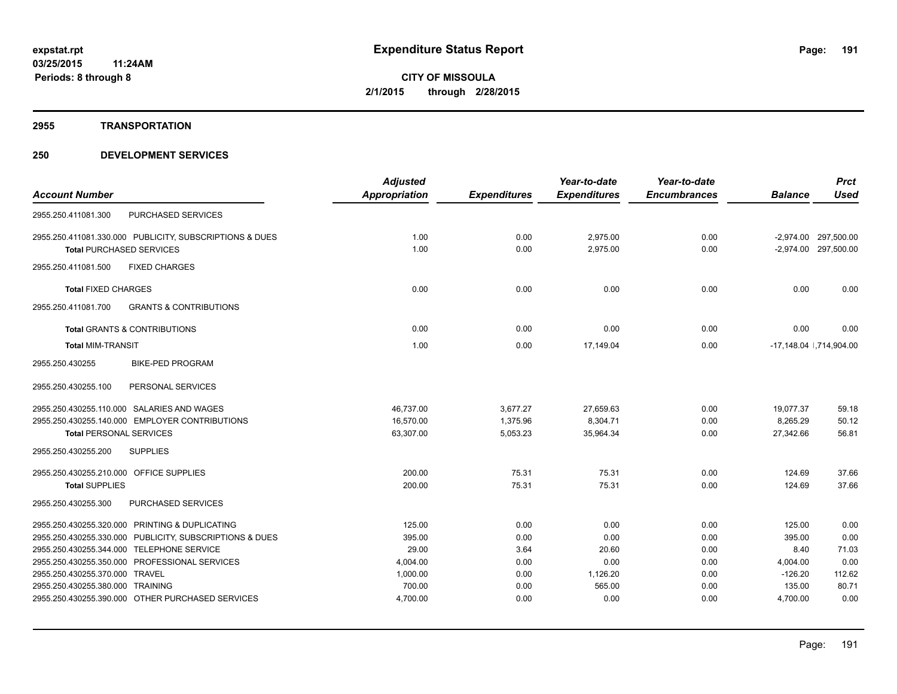#### **2955 TRANSPORTATION**

|                                                          | <b>Adjusted</b> |                     | Year-to-date        | Year-to-date        |                | <b>Prct</b>              |
|----------------------------------------------------------|-----------------|---------------------|---------------------|---------------------|----------------|--------------------------|
| <b>Account Number</b>                                    | Appropriation   | <b>Expenditures</b> | <b>Expenditures</b> | <b>Encumbrances</b> | <b>Balance</b> | <b>Used</b>              |
| PURCHASED SERVICES<br>2955.250.411081.300                |                 |                     |                     |                     |                |                          |
| 2955.250.411081.330.000 PUBLICITY, SUBSCRIPTIONS & DUES  | 1.00            | 0.00                | 2,975.00            | 0.00                |                | -2,974.00 297,500.00     |
| <b>Total PURCHASED SERVICES</b>                          | 1.00            | 0.00                | 2.975.00            | 0.00                |                | -2,974.00 297,500.00     |
| 2955.250.411081.500<br><b>FIXED CHARGES</b>              |                 |                     |                     |                     |                |                          |
| <b>Total FIXED CHARGES</b>                               | 0.00            | 0.00                | 0.00                | 0.00                | 0.00           | 0.00                     |
| <b>GRANTS &amp; CONTRIBUTIONS</b><br>2955.250.411081.700 |                 |                     |                     |                     |                |                          |
| <b>Total GRANTS &amp; CONTRIBUTIONS</b>                  | 0.00            | 0.00                | 0.00                | 0.00                | 0.00           | 0.00                     |
| <b>Total MIM-TRANSIT</b>                                 | 1.00            | 0.00                | 17.149.04           | 0.00                |                | -17,148.04   ,714,904.00 |
| 2955.250.430255<br><b>BIKE-PED PROGRAM</b>               |                 |                     |                     |                     |                |                          |
| 2955.250.430255.100<br>PERSONAL SERVICES                 |                 |                     |                     |                     |                |                          |
| 2955.250.430255.110.000 SALARIES AND WAGES               | 46.737.00       | 3,677.27            | 27,659.63           | 0.00                | 19.077.37      | 59.18                    |
| 2955.250.430255.140.000 EMPLOYER CONTRIBUTIONS           | 16,570.00       | 1,375.96            | 8,304.71            | 0.00                | 8,265.29       | 50.12                    |
| <b>Total PERSONAL SERVICES</b>                           | 63,307.00       | 5,053.23            | 35,964.34           | 0.00                | 27,342.66      | 56.81                    |
| 2955.250.430255.200<br><b>SUPPLIES</b>                   |                 |                     |                     |                     |                |                          |
| 2955.250.430255.210.000 OFFICE SUPPLIES                  | 200.00          | 75.31               | 75.31               | 0.00                | 124.69         | 37.66                    |
| <b>Total SUPPLIES</b>                                    | 200.00          | 75.31               | 75.31               | 0.00                | 124.69         | 37.66                    |
| 2955.250.430255.300<br>PURCHASED SERVICES                |                 |                     |                     |                     |                |                          |
| 2955.250.430255.320.000 PRINTING & DUPLICATING           | 125.00          | 0.00                | 0.00                | 0.00                | 125.00         | 0.00                     |
| 2955.250.430255.330.000 PUBLICITY, SUBSCRIPTIONS & DUES  | 395.00          | 0.00                | 0.00                | 0.00                | 395.00         | 0.00                     |
| 2955.250.430255.344.000 TELEPHONE SERVICE                | 29.00           | 3.64                | 20.60               | 0.00                | 8.40           | 71.03                    |
| 2955.250.430255.350.000 PROFESSIONAL SERVICES            | 4,004.00        | 0.00                | 0.00                | 0.00                | 4,004.00       | 0.00                     |
| 2955.250.430255.370.000 TRAVEL                           | 1,000.00        | 0.00                | 1,126.20            | 0.00                | $-126.20$      | 112.62                   |
| 2955.250.430255.380.000 TRAINING                         | 700.00          | 0.00                | 565.00              | 0.00                | 135.00         | 80.71                    |
| 2955.250.430255.390.000 OTHER PURCHASED SERVICES         | 4,700.00        | 0.00                | 0.00                | 0.00                | 4,700.00       | 0.00                     |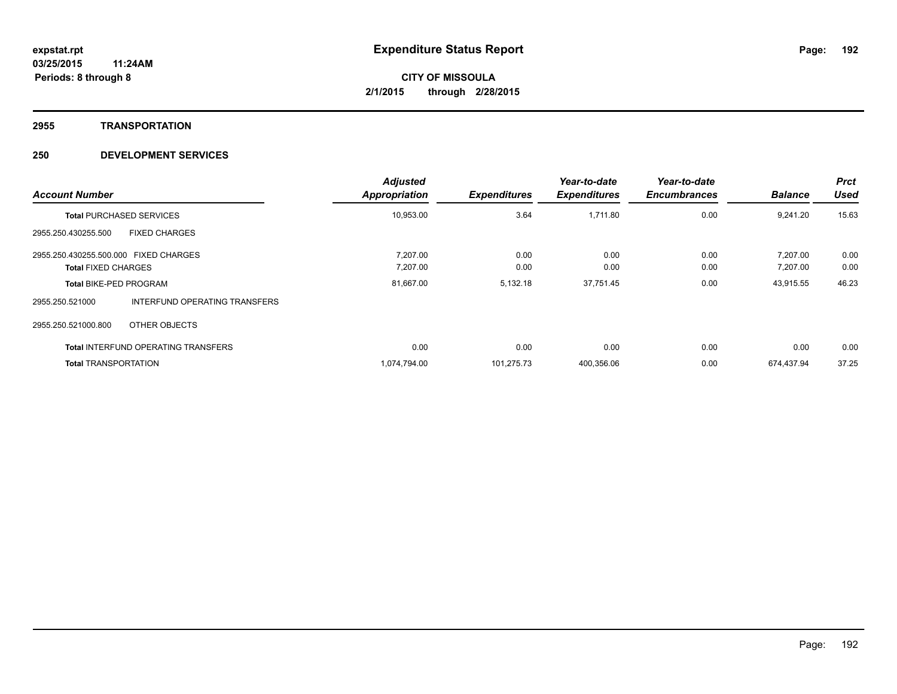#### **2955 TRANSPORTATION**

| <b>Account Number</b>                                               |                                            | <b>Adjusted</b><br>Appropriation | <b>Expenditures</b> | Year-to-date<br><b>Expenditures</b> | Year-to-date<br><b>Encumbrances</b> | <b>Balance</b>       | <b>Prct</b><br><b>Used</b> |
|---------------------------------------------------------------------|--------------------------------------------|----------------------------------|---------------------|-------------------------------------|-------------------------------------|----------------------|----------------------------|
|                                                                     | <b>Total PURCHASED SERVICES</b>            | 10,953.00                        | 3.64                | 1,711.80                            | 0.00                                | 9,241.20             | 15.63                      |
| 2955.250.430255.500                                                 | <b>FIXED CHARGES</b>                       |                                  |                     |                                     |                                     |                      |                            |
| 2955.250.430255.500.000 FIXED CHARGES<br><b>Total FIXED CHARGES</b> |                                            | 7.207.00<br>7,207.00             | 0.00<br>0.00        | 0.00<br>0.00                        | 0.00<br>0.00                        | 7.207.00<br>7,207.00 | 0.00<br>0.00               |
| <b>Total BIKE-PED PROGRAM</b>                                       |                                            | 81,667.00                        | 5,132.18            | 37,751.45                           | 0.00                                | 43,915.55            | 46.23                      |
| 2955.250.521000                                                     | <b>INTERFUND OPERATING TRANSFERS</b>       |                                  |                     |                                     |                                     |                      |                            |
| 2955.250.521000.800                                                 | OTHER OBJECTS                              |                                  |                     |                                     |                                     |                      |                            |
|                                                                     | <b>Total INTERFUND OPERATING TRANSFERS</b> | 0.00                             | 0.00                | 0.00                                | 0.00                                | 0.00                 | 0.00                       |
| <b>Total TRANSPORTATION</b>                                         |                                            | 1,074,794.00                     | 101,275.73          | 400,356.06                          | 0.00                                | 674,437.94           | 37.25                      |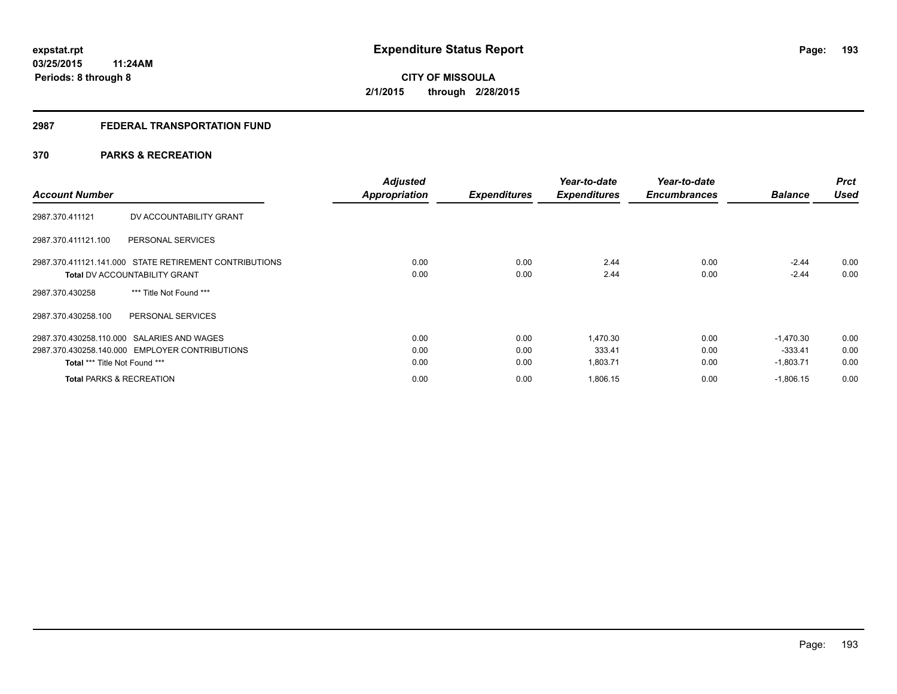## **2987 FEDERAL TRANSPORTATION FUND**

## **370 PARKS & RECREATION**

| <b>Account Number</b>                                  | <b>Adjusted</b><br><b>Appropriation</b> | <b>Expenditures</b> | Year-to-date<br><b>Expenditures</b> | Year-to-date<br><b>Encumbrances</b> | <b>Balance</b> | <b>Prct</b><br><b>Used</b> |
|--------------------------------------------------------|-----------------------------------------|---------------------|-------------------------------------|-------------------------------------|----------------|----------------------------|
| DV ACCOUNTABILITY GRANT<br>2987.370.411121             |                                         |                     |                                     |                                     |                |                            |
| 2987.370.411121.100<br>PERSONAL SERVICES               |                                         |                     |                                     |                                     |                |                            |
| 2987.370.411121.141.000 STATE RETIREMENT CONTRIBUTIONS | 0.00                                    | 0.00                | 2.44                                | 0.00                                | $-2.44$        | 0.00                       |
| <b>Total DV ACCOUNTABILITY GRANT</b>                   | 0.00                                    | 0.00                | 2.44                                | 0.00                                | $-2.44$        | 0.00                       |
| *** Title Not Found ***<br>2987.370.430258             |                                         |                     |                                     |                                     |                |                            |
| PERSONAL SERVICES<br>2987.370.430258.100               |                                         |                     |                                     |                                     |                |                            |
| 2987.370.430258.110.000 SALARIES AND WAGES             | 0.00                                    | 0.00                | 1.470.30                            | 0.00                                | $-1.470.30$    | 0.00                       |
| 2987.370.430258.140.000 EMPLOYER CONTRIBUTIONS         | 0.00                                    | 0.00                | 333.41                              | 0.00                                | $-333.41$      | 0.00                       |
| Total *** Title Not Found ***                          | 0.00                                    | 0.00                | 1,803.71                            | 0.00                                | $-1,803.71$    | 0.00                       |
| <b>Total PARKS &amp; RECREATION</b>                    | 0.00                                    | 0.00                | 1,806.15                            | 0.00                                | $-1,806.15$    | 0.00                       |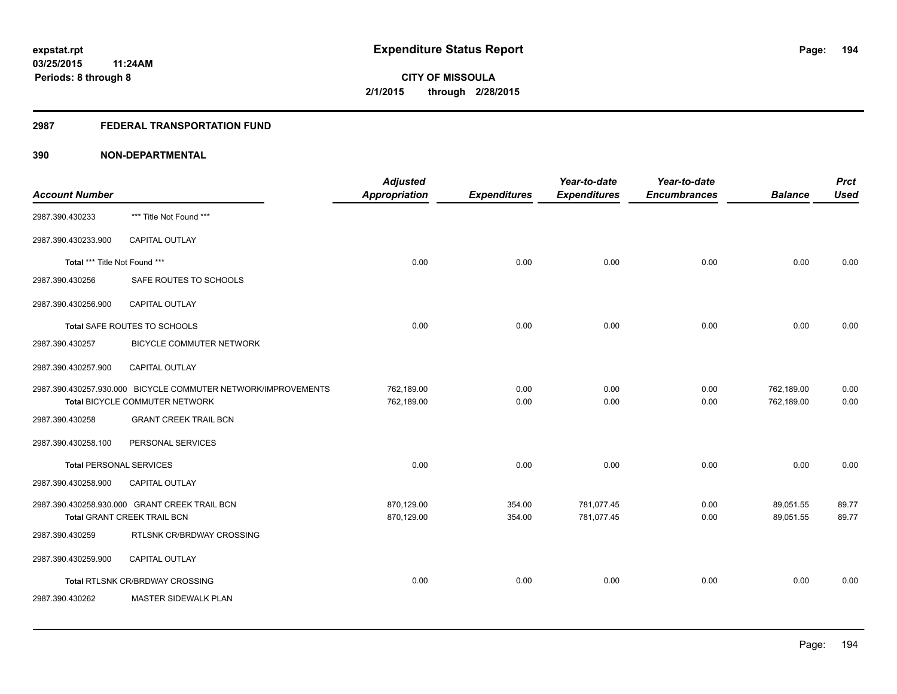## **2987 FEDERAL TRANSPORTATION FUND**

| <b>Account Number</b>          |                                                                                                 | <b>Adjusted</b><br>Appropriation | <b>Expenditures</b> | Year-to-date<br><b>Expenditures</b> | Year-to-date<br><b>Encumbrances</b> | <b>Balance</b>           | <b>Prct</b><br><b>Used</b> |
|--------------------------------|-------------------------------------------------------------------------------------------------|----------------------------------|---------------------|-------------------------------------|-------------------------------------|--------------------------|----------------------------|
| 2987.390.430233                | *** Title Not Found ***                                                                         |                                  |                     |                                     |                                     |                          |                            |
| 2987.390.430233.900            | CAPITAL OUTLAY                                                                                  |                                  |                     |                                     |                                     |                          |                            |
| Total *** Title Not Found ***  |                                                                                                 | 0.00                             | 0.00                | 0.00                                | 0.00                                | 0.00                     | 0.00                       |
| 2987.390.430256                | SAFE ROUTES TO SCHOOLS                                                                          |                                  |                     |                                     |                                     |                          |                            |
| 2987.390.430256.900            | <b>CAPITAL OUTLAY</b>                                                                           |                                  |                     |                                     |                                     |                          |                            |
|                                | Total SAFE ROUTES TO SCHOOLS                                                                    | 0.00                             | 0.00                | 0.00                                | 0.00                                | 0.00                     | 0.00                       |
| 2987.390.430257                | <b>BICYCLE COMMUTER NETWORK</b>                                                                 |                                  |                     |                                     |                                     |                          |                            |
| 2987.390.430257.900            | <b>CAPITAL OUTLAY</b>                                                                           |                                  |                     |                                     |                                     |                          |                            |
|                                | 2987.390.430257.930.000 BICYCLE COMMUTER NETWORK/IMPROVEMENTS<br>Total BICYCLE COMMUTER NETWORK | 762,189.00<br>762,189.00         | 0.00<br>0.00        | 0.00<br>0.00                        | 0.00<br>0.00                        | 762,189.00<br>762,189.00 | 0.00<br>0.00               |
| 2987.390.430258                | <b>GRANT CREEK TRAIL BCN</b>                                                                    |                                  |                     |                                     |                                     |                          |                            |
| 2987.390.430258.100            | PERSONAL SERVICES                                                                               |                                  |                     |                                     |                                     |                          |                            |
| <b>Total PERSONAL SERVICES</b> |                                                                                                 | 0.00                             | 0.00                | 0.00                                | 0.00                                | 0.00                     | 0.00                       |
| 2987.390.430258.900            | CAPITAL OUTLAY                                                                                  |                                  |                     |                                     |                                     |                          |                            |
|                                | 2987.390.430258.930.000 GRANT CREEK TRAIL BCN<br><b>Total GRANT CREEK TRAIL BCN</b>             | 870,129.00<br>870,129.00         | 354.00<br>354.00    | 781,077.45<br>781,077.45            | 0.00<br>0.00                        | 89,051.55<br>89,051.55   | 89.77<br>89.77             |
| 2987.390.430259                | RTLSNK CR/BRDWAY CROSSING                                                                       |                                  |                     |                                     |                                     |                          |                            |
| 2987.390.430259.900            | <b>CAPITAL OUTLAY</b>                                                                           |                                  |                     |                                     |                                     |                          |                            |
|                                | Total RTLSNK CR/BRDWAY CROSSING                                                                 | 0.00                             | 0.00                | 0.00                                | 0.00                                | 0.00                     | 0.00                       |
| 2987.390.430262                | MASTER SIDEWALK PLAN                                                                            |                                  |                     |                                     |                                     |                          |                            |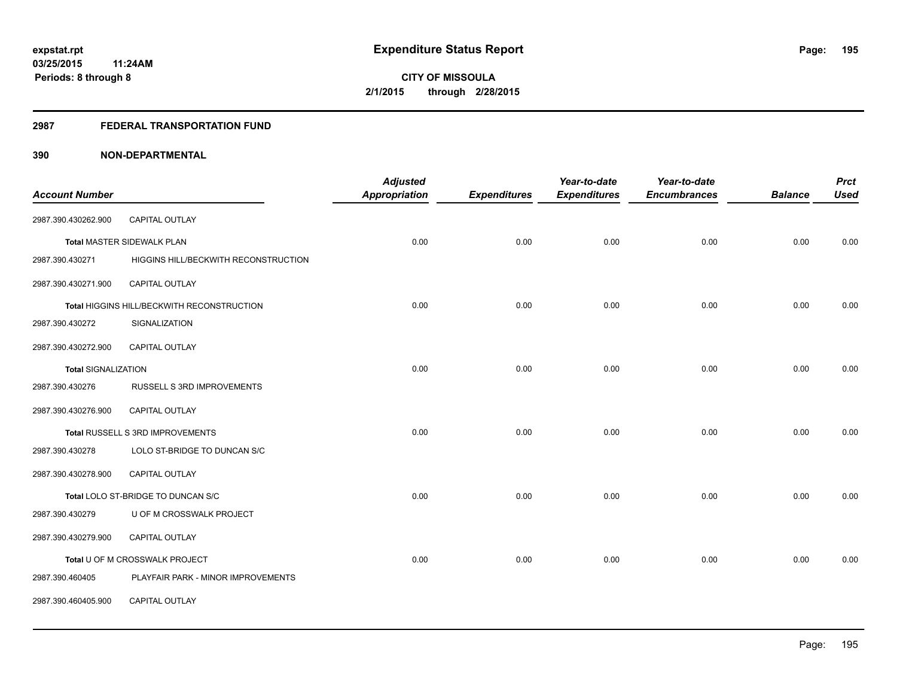### **2987 FEDERAL TRANSPORTATION FUND**

| <b>Account Number</b>      |                                            | <b>Adjusted</b><br><b>Appropriation</b> | <b>Expenditures</b> | Year-to-date<br><b>Expenditures</b> | Year-to-date<br><b>Encumbrances</b> | <b>Balance</b> | <b>Prct</b><br><b>Used</b> |
|----------------------------|--------------------------------------------|-----------------------------------------|---------------------|-------------------------------------|-------------------------------------|----------------|----------------------------|
|                            |                                            |                                         |                     |                                     |                                     |                |                            |
| 2987.390.430262.900        | CAPITAL OUTLAY                             |                                         |                     |                                     |                                     |                |                            |
|                            | <b>Total MASTER SIDEWALK PLAN</b>          | 0.00                                    | 0.00                | 0.00                                | 0.00                                | 0.00           | 0.00                       |
| 2987.390.430271            | HIGGINS HILL/BECKWITH RECONSTRUCTION       |                                         |                     |                                     |                                     |                |                            |
| 2987.390.430271.900        | <b>CAPITAL OUTLAY</b>                      |                                         |                     |                                     |                                     |                |                            |
|                            | Total HIGGINS HILL/BECKWITH RECONSTRUCTION | 0.00                                    | 0.00                | 0.00                                | 0.00                                | 0.00           | 0.00                       |
| 2987.390.430272            | SIGNALIZATION                              |                                         |                     |                                     |                                     |                |                            |
| 2987.390.430272.900        | <b>CAPITAL OUTLAY</b>                      |                                         |                     |                                     |                                     |                |                            |
| <b>Total SIGNALIZATION</b> |                                            | 0.00                                    | 0.00                | 0.00                                | 0.00                                | 0.00           | 0.00                       |
| 2987.390.430276            | RUSSELL S 3RD IMPROVEMENTS                 |                                         |                     |                                     |                                     |                |                            |
| 2987.390.430276.900        | <b>CAPITAL OUTLAY</b>                      |                                         |                     |                                     |                                     |                |                            |
|                            | Total RUSSELL S 3RD IMPROVEMENTS           | 0.00                                    | 0.00                | 0.00                                | 0.00                                | 0.00           | 0.00                       |
| 2987.390.430278            | LOLO ST-BRIDGE TO DUNCAN S/C               |                                         |                     |                                     |                                     |                |                            |
| 2987.390.430278.900        | CAPITAL OUTLAY                             |                                         |                     |                                     |                                     |                |                            |
|                            | Total LOLO ST-BRIDGE TO DUNCAN S/C         | 0.00                                    | 0.00                | 0.00                                | 0.00                                | 0.00           | 0.00                       |
| 2987.390.430279            | U OF M CROSSWALK PROJECT                   |                                         |                     |                                     |                                     |                |                            |
| 2987.390.430279.900        | CAPITAL OUTLAY                             |                                         |                     |                                     |                                     |                |                            |
|                            | Total U OF M CROSSWALK PROJECT             | 0.00                                    | 0.00                | 0.00                                | 0.00                                | 0.00           | 0.00                       |
| 2987.390.460405            | PLAYFAIR PARK - MINOR IMPROVEMENTS         |                                         |                     |                                     |                                     |                |                            |
| 2987.390.460405.900        | CAPITAL OUTLAY                             |                                         |                     |                                     |                                     |                |                            |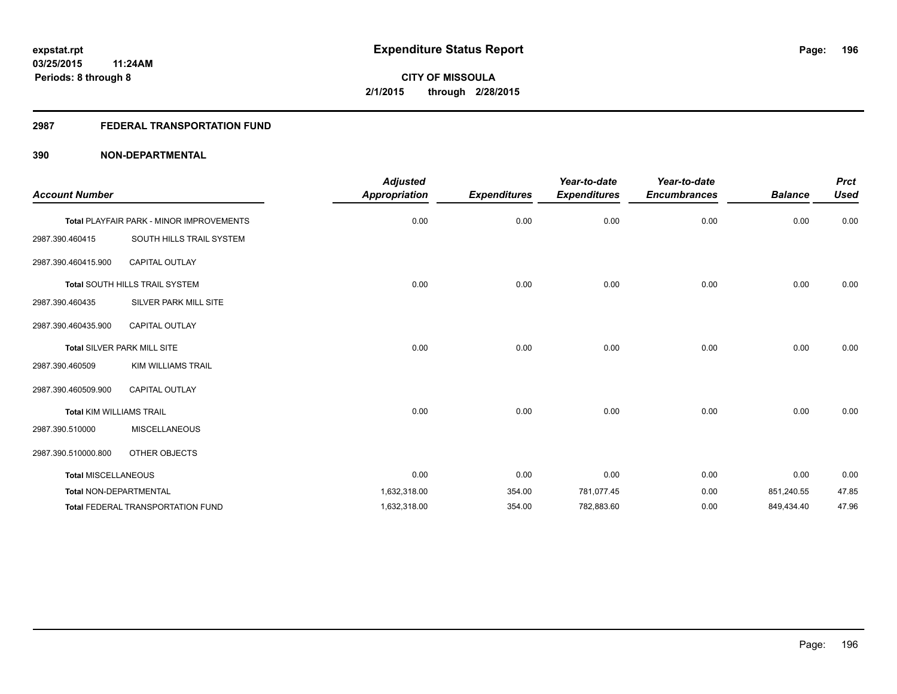## **2987 FEDERAL TRANSPORTATION FUND**

| <b>Account Number</b>           |                                          | <b>Adjusted</b><br><b>Appropriation</b> | <b>Expenditures</b> | Year-to-date<br><b>Expenditures</b> | Year-to-date<br><b>Encumbrances</b> | <b>Balance</b> | <b>Prct</b><br><b>Used</b> |
|---------------------------------|------------------------------------------|-----------------------------------------|---------------------|-------------------------------------|-------------------------------------|----------------|----------------------------|
|                                 | Total PLAYFAIR PARK - MINOR IMPROVEMENTS | 0.00                                    | 0.00                | 0.00                                | 0.00                                | 0.00           | 0.00                       |
| 2987.390.460415                 | SOUTH HILLS TRAIL SYSTEM                 |                                         |                     |                                     |                                     |                |                            |
| 2987.390.460415.900             | <b>CAPITAL OUTLAY</b>                    |                                         |                     |                                     |                                     |                |                            |
|                                 | Total SOUTH HILLS TRAIL SYSTEM           | 0.00                                    | 0.00                | 0.00                                | 0.00                                | 0.00           | 0.00                       |
| 2987.390.460435                 | SILVER PARK MILL SITE                    |                                         |                     |                                     |                                     |                |                            |
| 2987.390.460435.900             | <b>CAPITAL OUTLAY</b>                    |                                         |                     |                                     |                                     |                |                            |
|                                 | Total SILVER PARK MILL SITE              | 0.00                                    | 0.00                | 0.00                                | 0.00                                | 0.00           | 0.00                       |
| 2987.390.460509                 | <b>KIM WILLIAMS TRAIL</b>                |                                         |                     |                                     |                                     |                |                            |
| 2987.390.460509.900             | <b>CAPITAL OUTLAY</b>                    |                                         |                     |                                     |                                     |                |                            |
| <b>Total KIM WILLIAMS TRAIL</b> |                                          | 0.00                                    | 0.00                | 0.00                                | 0.00                                | 0.00           | 0.00                       |
| 2987.390.510000                 | <b>MISCELLANEOUS</b>                     |                                         |                     |                                     |                                     |                |                            |
| 2987.390.510000.800             | OTHER OBJECTS                            |                                         |                     |                                     |                                     |                |                            |
| <b>Total MISCELLANEOUS</b>      |                                          | 0.00                                    | 0.00                | 0.00                                | 0.00                                | 0.00           | 0.00                       |
| <b>Total NON-DEPARTMENTAL</b>   |                                          | 1,632,318.00                            | 354.00              | 781,077.45                          | 0.00                                | 851,240.55     | 47.85                      |
|                                 | <b>Total FEDERAL TRANSPORTATION FUND</b> | 1,632,318.00                            | 354.00              | 782,883.60                          | 0.00                                | 849,434.40     | 47.96                      |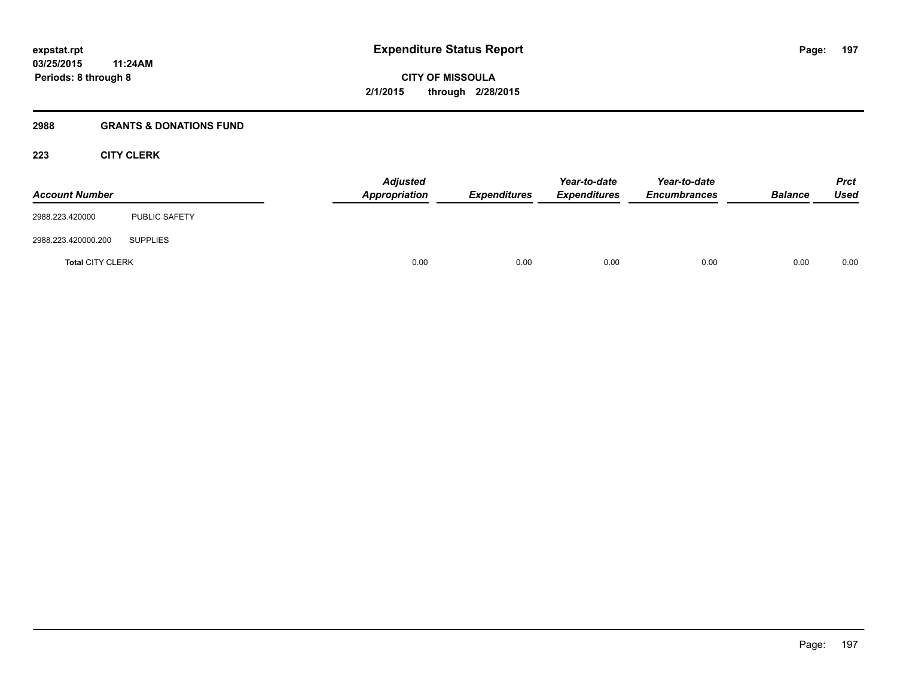## **2988 GRANTS & DONATIONS FUND**

## **223 CITY CLERK**

| <b>Account Number</b>   |                      | <b>Adjusted</b><br>Appropriation | <b>Expenditures</b> | Year-to-date<br><b>Expenditures</b> | Year-to-date<br><b>Encumbrances</b> | <b>Balance</b> | <b>Prct</b><br><b>Used</b> |
|-------------------------|----------------------|----------------------------------|---------------------|-------------------------------------|-------------------------------------|----------------|----------------------------|
| 2988.223.420000         | <b>PUBLIC SAFETY</b> |                                  |                     |                                     |                                     |                |                            |
| 2988.223.420000.200     | <b>SUPPLIES</b>      |                                  |                     |                                     |                                     |                |                            |
| <b>Total CITY CLERK</b> |                      | 0.00                             | 0.00                | 0.00                                | 0.00                                | 0.00           | 0.00                       |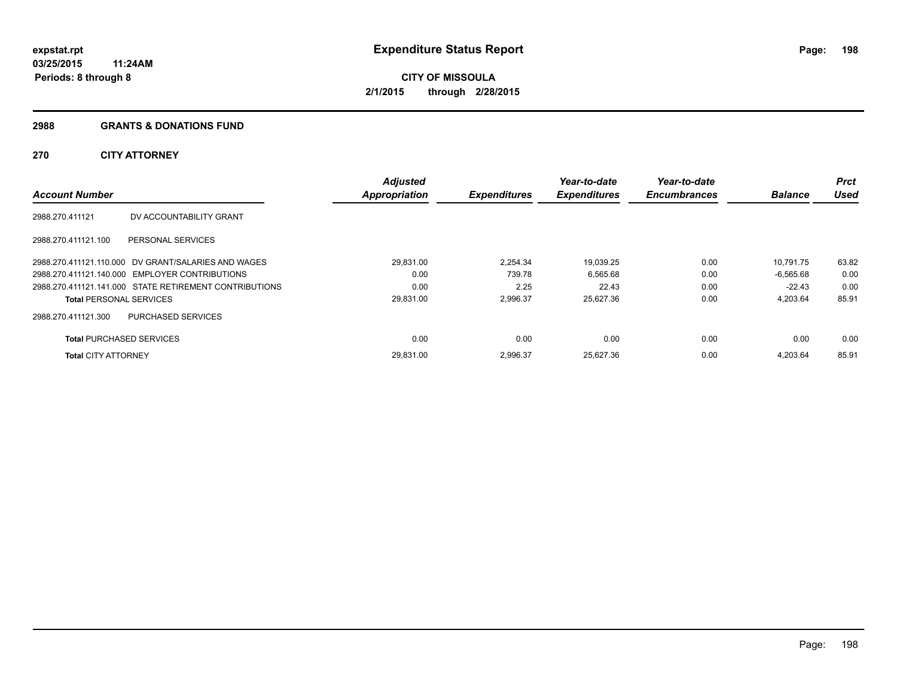#### **2988 GRANTS & DONATIONS FUND**

## **270 CITY ATTORNEY**

| <b>Account Number</b>           |                                                        | <b>Adjusted</b><br><b>Appropriation</b> | <b>Expenditures</b> | Year-to-date<br><b>Expenditures</b> | Year-to-date<br><b>Encumbrances</b> | <b>Balance</b> | Prct<br><b>Used</b> |
|---------------------------------|--------------------------------------------------------|-----------------------------------------|---------------------|-------------------------------------|-------------------------------------|----------------|---------------------|
|                                 |                                                        |                                         |                     |                                     |                                     |                |                     |
| 2988.270.411121                 | DV ACCOUNTABILITY GRANT                                |                                         |                     |                                     |                                     |                |                     |
| 2988.270.411121.100             | PERSONAL SERVICES                                      |                                         |                     |                                     |                                     |                |                     |
|                                 | 2988.270.411121.110.000 DV GRANT/SALARIES AND WAGES    | 29,831.00                               | 2,254.34            | 19,039.25                           | 0.00                                | 10,791.75      | 63.82               |
|                                 | 2988.270.411121.140.000 EMPLOYER CONTRIBUTIONS         | 0.00                                    | 739.78              | 6,565.68                            | 0.00                                | $-6.565.68$    | 0.00                |
|                                 | 2988.270.411121.141.000 STATE RETIREMENT CONTRIBUTIONS | 0.00                                    | 2.25                | 22.43                               | 0.00                                | $-22.43$       | 0.00                |
| <b>Total PERSONAL SERVICES</b>  |                                                        | 29,831.00                               | 2,996.37            | 25,627.36                           | 0.00                                | 4,203.64       | 85.91               |
| 2988.270.411121.300             | PURCHASED SERVICES                                     |                                         |                     |                                     |                                     |                |                     |
| <b>Total PURCHASED SERVICES</b> |                                                        | 0.00                                    | 0.00                | 0.00                                | 0.00                                | 0.00           | 0.00                |
| <b>Total CITY ATTORNEY</b>      |                                                        | 29.831.00                               | 2.996.37            | 25,627.36                           | 0.00                                | 4.203.64       | 85.91               |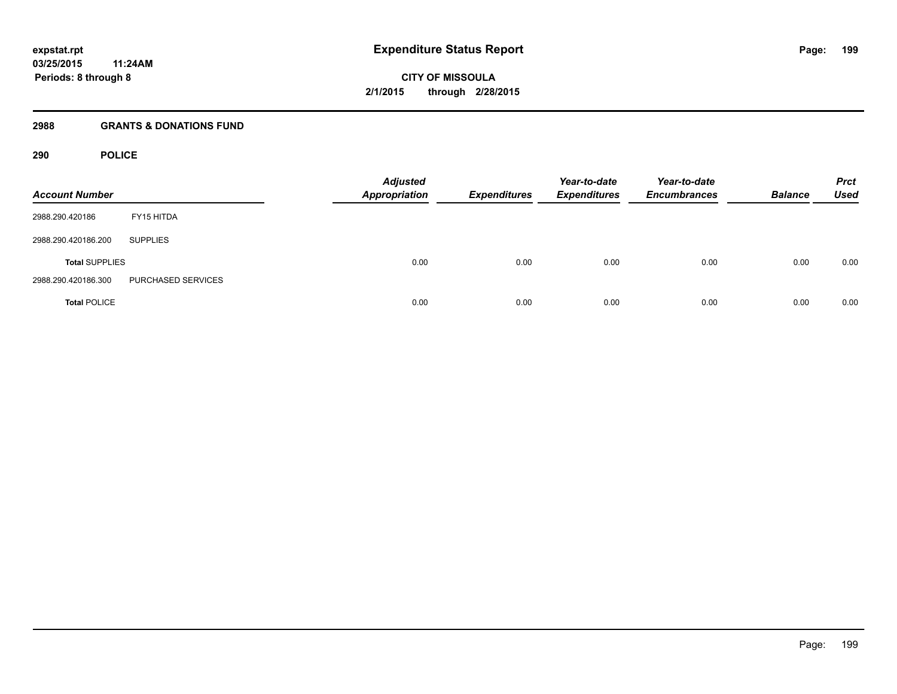### **2988 GRANTS & DONATIONS FUND**

## **290 POLICE**

| <b>Account Number</b> |                    | <b>Adjusted</b><br><b>Appropriation</b> | <b>Expenditures</b> | Year-to-date<br><b>Expenditures</b> | Year-to-date<br><b>Encumbrances</b> | <b>Balance</b> | <b>Prct</b><br><b>Used</b> |
|-----------------------|--------------------|-----------------------------------------|---------------------|-------------------------------------|-------------------------------------|----------------|----------------------------|
| 2988.290.420186       | FY15 HITDA         |                                         |                     |                                     |                                     |                |                            |
| 2988.290.420186.200   | <b>SUPPLIES</b>    |                                         |                     |                                     |                                     |                |                            |
| <b>Total SUPPLIES</b> |                    | 0.00                                    | 0.00                | 0.00                                | 0.00                                | 0.00           | 0.00                       |
| 2988.290.420186.300   | PURCHASED SERVICES |                                         |                     |                                     |                                     |                |                            |
| <b>Total POLICE</b>   |                    | 0.00                                    | 0.00                | 0.00                                | 0.00                                | 0.00           | 0.00                       |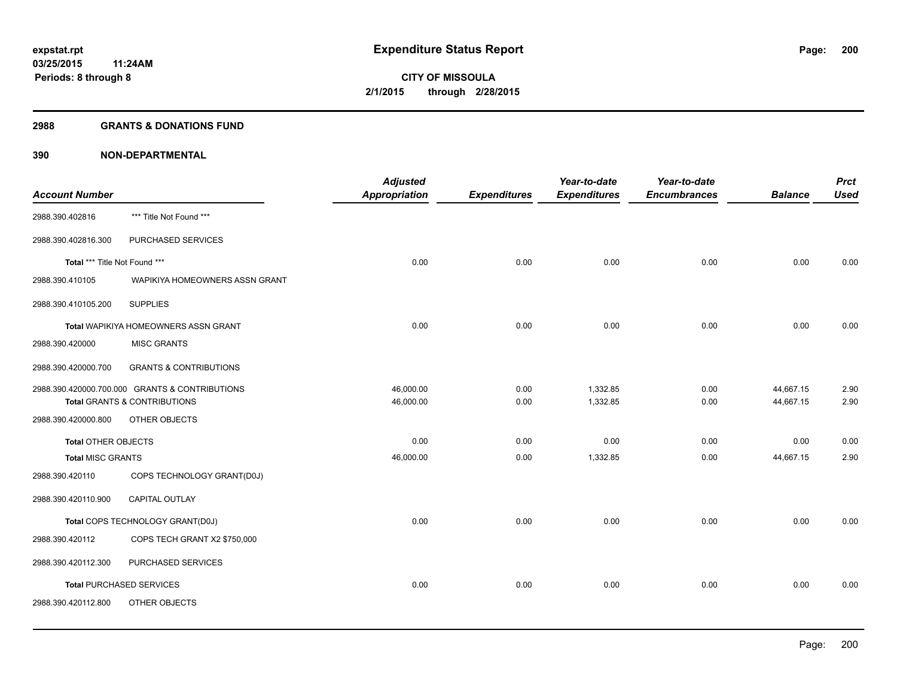#### **2988 GRANTS & DONATIONS FUND**

|                               |                                                | <b>Adjusted</b> |                     | Year-to-date        | Year-to-date        |                | <b>Prct</b> |
|-------------------------------|------------------------------------------------|-----------------|---------------------|---------------------|---------------------|----------------|-------------|
| <b>Account Number</b>         |                                                | Appropriation   | <b>Expenditures</b> | <b>Expenditures</b> | <b>Encumbrances</b> | <b>Balance</b> | <b>Used</b> |
| 2988.390.402816               | *** Title Not Found ***                        |                 |                     |                     |                     |                |             |
| 2988.390.402816.300           | PURCHASED SERVICES                             |                 |                     |                     |                     |                |             |
| Total *** Title Not Found *** |                                                | 0.00            | 0.00                | 0.00                | 0.00                | 0.00           | 0.00        |
| 2988.390.410105               | WAPIKIYA HOMEOWNERS ASSN GRANT                 |                 |                     |                     |                     |                |             |
| 2988.390.410105.200           | <b>SUPPLIES</b>                                |                 |                     |                     |                     |                |             |
|                               | Total WAPIKIYA HOMEOWNERS ASSN GRANT           | 0.00            | 0.00                | 0.00                | 0.00                | 0.00           | 0.00        |
| 2988.390.420000               | <b>MISC GRANTS</b>                             |                 |                     |                     |                     |                |             |
| 2988.390.420000.700           | <b>GRANTS &amp; CONTRIBUTIONS</b>              |                 |                     |                     |                     |                |             |
|                               | 2988.390.420000.700.000 GRANTS & CONTRIBUTIONS | 46,000.00       | 0.00                | 1,332.85            | 0.00                | 44,667.15      | 2.90        |
|                               | Total GRANTS & CONTRIBUTIONS                   | 46,000.00       | 0.00                | 1,332.85            | 0.00                | 44,667.15      | 2.90        |
| 2988.390.420000.800           | OTHER OBJECTS                                  |                 |                     |                     |                     |                |             |
| <b>Total OTHER OBJECTS</b>    |                                                | 0.00            | 0.00                | 0.00                | 0.00                | 0.00           | 0.00        |
| <b>Total MISC GRANTS</b>      |                                                | 46,000.00       | 0.00                | 1,332.85            | 0.00                | 44,667.15      | 2.90        |
| 2988.390.420110               | COPS TECHNOLOGY GRANT(D0J)                     |                 |                     |                     |                     |                |             |
| 2988.390.420110.900           | <b>CAPITAL OUTLAY</b>                          |                 |                     |                     |                     |                |             |
|                               | Total COPS TECHNOLOGY GRANT(D0J)               | 0.00            | 0.00                | 0.00                | 0.00                | 0.00           | 0.00        |
| 2988.390.420112               | COPS TECH GRANT X2 \$750,000                   |                 |                     |                     |                     |                |             |
| 2988.390.420112.300           | PURCHASED SERVICES                             |                 |                     |                     |                     |                |             |
|                               | <b>Total PURCHASED SERVICES</b>                | 0.00            | 0.00                | 0.00                | 0.00                | 0.00           | 0.00        |
| 2988.390.420112.800           | OTHER OBJECTS                                  |                 |                     |                     |                     |                |             |
|                               |                                                |                 |                     |                     |                     |                |             |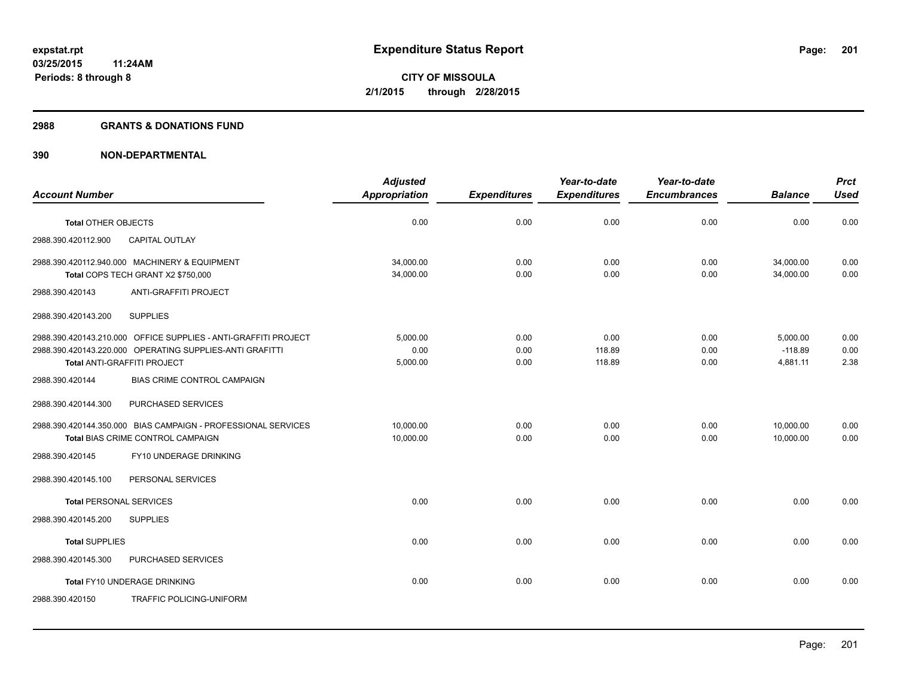#### **2988 GRANTS & DONATIONS FUND**

|                                |                                                                                                                                                            | <b>Adjusted</b>              |                      | Year-to-date             | Year-to-date         |                                   | <b>Prct</b>          |
|--------------------------------|------------------------------------------------------------------------------------------------------------------------------------------------------------|------------------------------|----------------------|--------------------------|----------------------|-----------------------------------|----------------------|
| <b>Account Number</b>          |                                                                                                                                                            | <b>Appropriation</b>         | <b>Expenditures</b>  | <b>Expenditures</b>      | <b>Encumbrances</b>  | <b>Balance</b>                    | <b>Used</b>          |
| <b>Total OTHER OBJECTS</b>     |                                                                                                                                                            | 0.00                         | 0.00                 | 0.00                     | 0.00                 | 0.00                              | 0.00                 |
| 2988.390.420112.900            | <b>CAPITAL OUTLAY</b>                                                                                                                                      |                              |                      |                          |                      |                                   |                      |
|                                | 2988.390.420112.940.000 MACHINERY & EQUIPMENT<br>Total COPS TECH GRANT X2 \$750,000                                                                        | 34,000.00<br>34,000.00       | 0.00<br>0.00         | 0.00<br>0.00             | 0.00<br>0.00         | 34,000.00<br>34,000.00            | 0.00<br>0.00         |
| 2988.390.420143                | <b>ANTI-GRAFFITI PROJECT</b>                                                                                                                               |                              |                      |                          |                      |                                   |                      |
| 2988.390.420143.200            | <b>SUPPLIES</b>                                                                                                                                            |                              |                      |                          |                      |                                   |                      |
|                                | 2988.390.420143.210.000 OFFICE SUPPLIES - ANTI-GRAFFITI PROJECT<br>2988.390.420143.220.000 OPERATING SUPPLIES-ANTI GRAFITTI<br>Total ANTI-GRAFFITI PROJECT | 5.000.00<br>0.00<br>5,000.00 | 0.00<br>0.00<br>0.00 | 0.00<br>118.89<br>118.89 | 0.00<br>0.00<br>0.00 | 5,000.00<br>$-118.89$<br>4,881.11 | 0.00<br>0.00<br>2.38 |
| 2988.390.420144                | BIAS CRIME CONTROL CAMPAIGN                                                                                                                                |                              |                      |                          |                      |                                   |                      |
| 2988.390.420144.300            | PURCHASED SERVICES                                                                                                                                         |                              |                      |                          |                      |                                   |                      |
|                                | 2988.390.420144.350.000 BIAS CAMPAIGN - PROFESSIONAL SERVICES<br>Total BIAS CRIME CONTROL CAMPAIGN                                                         | 10,000.00<br>10,000.00       | 0.00<br>0.00         | 0.00<br>0.00             | 0.00<br>0.00         | 10,000.00<br>10,000.00            | 0.00<br>0.00         |
| 2988.390.420145                | FY10 UNDERAGE DRINKING                                                                                                                                     |                              |                      |                          |                      |                                   |                      |
| 2988.390.420145.100            | PERSONAL SERVICES                                                                                                                                          |                              |                      |                          |                      |                                   |                      |
| <b>Total PERSONAL SERVICES</b> |                                                                                                                                                            | 0.00                         | 0.00                 | 0.00                     | 0.00                 | 0.00                              | 0.00                 |
| 2988.390.420145.200            | <b>SUPPLIES</b>                                                                                                                                            |                              |                      |                          |                      |                                   |                      |
| <b>Total SUPPLIES</b>          |                                                                                                                                                            | 0.00                         | 0.00                 | 0.00                     | 0.00                 | 0.00                              | 0.00                 |
| 2988.390.420145.300            | PURCHASED SERVICES                                                                                                                                         |                              |                      |                          |                      |                                   |                      |
|                                | Total FY10 UNDERAGE DRINKING                                                                                                                               | 0.00                         | 0.00                 | 0.00                     | 0.00                 | 0.00                              | 0.00                 |
| 2988.390.420150                | TRAFFIC POLICING-UNIFORM                                                                                                                                   |                              |                      |                          |                      |                                   |                      |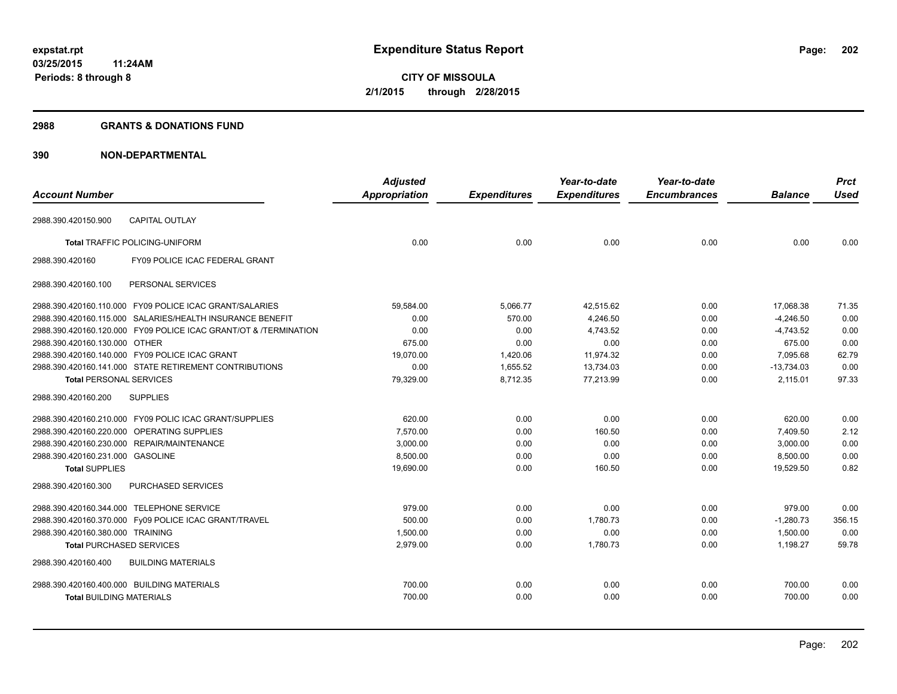### **2988 GRANTS & DONATIONS FUND**

|                                            |                                                                  | <b>Adjusted</b>      |                     | Year-to-date        | Year-to-date        |                | <b>Prct</b> |
|--------------------------------------------|------------------------------------------------------------------|----------------------|---------------------|---------------------|---------------------|----------------|-------------|
| <b>Account Number</b>                      |                                                                  | <b>Appropriation</b> | <b>Expenditures</b> | <b>Expenditures</b> | <b>Encumbrances</b> | <b>Balance</b> | <b>Used</b> |
| 2988.390.420150.900                        | <b>CAPITAL OUTLAY</b>                                            |                      |                     |                     |                     |                |             |
|                                            | <b>Total TRAFFIC POLICING-UNIFORM</b>                            | 0.00                 | 0.00                | 0.00                | 0.00                | 0.00           | 0.00        |
| 2988.390.420160                            | FY09 POLICE ICAC FEDERAL GRANT                                   |                      |                     |                     |                     |                |             |
| 2988.390.420160.100                        | PERSONAL SERVICES                                                |                      |                     |                     |                     |                |             |
|                                            | 2988.390.420160.110.000 FY09 POLICE ICAC GRANT/SALARIES          | 59,584.00            | 5,066.77            | 42,515.62           | 0.00                | 17,068.38      | 71.35       |
|                                            | 2988.390.420160.115.000 SALARIES/HEALTH INSURANCE BENEFIT        | 0.00                 | 570.00              | 4,246.50            | 0.00                | $-4,246.50$    | 0.00        |
|                                            | 2988.390.420160.120.000 FY09 POLICE ICAC GRANT/OT & /TERMINATION | 0.00                 | 0.00                | 4,743.52            | 0.00                | $-4,743.52$    | 0.00        |
| 2988.390.420160.130.000 OTHER              |                                                                  | 675.00               | 0.00                | 0.00                | 0.00                | 675.00         | 0.00        |
|                                            | 2988.390.420160.140.000 FY09 POLICE ICAC GRANT                   | 19,070.00            | 1,420.06            | 11,974.32           | 0.00                | 7,095.68       | 62.79       |
|                                            | 2988.390.420160.141.000 STATE RETIREMENT CONTRIBUTIONS           | 0.00                 | 1,655.52            | 13,734.03           | 0.00                | $-13,734.03$   | 0.00        |
| <b>Total PERSONAL SERVICES</b>             |                                                                  | 79,329.00            | 8,712.35            | 77,213.99           | 0.00                | 2,115.01       | 97.33       |
| 2988.390.420160.200                        | <b>SUPPLIES</b>                                                  |                      |                     |                     |                     |                |             |
|                                            | 2988.390.420160.210.000 FY09 POLIC ICAC GRANT/SUPPLIES           | 620.00               | 0.00                | 0.00                | 0.00                | 620.00         | 0.00        |
|                                            | 2988.390.420160.220.000 OPERATING SUPPLIES                       | 7,570.00             | 0.00                | 160.50              | 0.00                | 7,409.50       | 2.12        |
|                                            | 2988.390.420160.230.000 REPAIR/MAINTENANCE                       | 3,000.00             | 0.00                | 0.00                | 0.00                | 3,000.00       | 0.00        |
| 2988.390.420160.231.000 GASOLINE           |                                                                  | 8,500.00             | 0.00                | 0.00                | 0.00                | 8,500.00       | 0.00        |
| <b>Total SUPPLIES</b>                      |                                                                  | 19,690.00            | 0.00                | 160.50              | 0.00                | 19,529.50      | 0.82        |
| 2988.390.420160.300                        | <b>PURCHASED SERVICES</b>                                        |                      |                     |                     |                     |                |             |
| 2988.390.420160.344.000 TELEPHONE SERVICE  |                                                                  | 979.00               | 0.00                | 0.00                | 0.00                | 979.00         | 0.00        |
|                                            | 2988.390.420160.370.000 Fy09 POLICE ICAC GRANT/TRAVEL            | 500.00               | 0.00                | 1,780.73            | 0.00                | $-1,280.73$    | 356.15      |
| 2988.390.420160.380.000 TRAINING           |                                                                  | 1,500.00             | 0.00                | 0.00                | 0.00                | 1,500.00       | 0.00        |
| <b>Total PURCHASED SERVICES</b>            |                                                                  | 2,979.00             | 0.00                | 1,780.73            | 0.00                | 1,198.27       | 59.78       |
| 2988.390.420160.400                        | <b>BUILDING MATERIALS</b>                                        |                      |                     |                     |                     |                |             |
| 2988.390.420160.400.000 BUILDING MATERIALS |                                                                  | 700.00               | 0.00                | 0.00                | 0.00                | 700.00         | 0.00        |
| <b>Total BUILDING MATERIALS</b>            |                                                                  | 700.00               | 0.00                | 0.00                | 0.00                | 700.00         | 0.00        |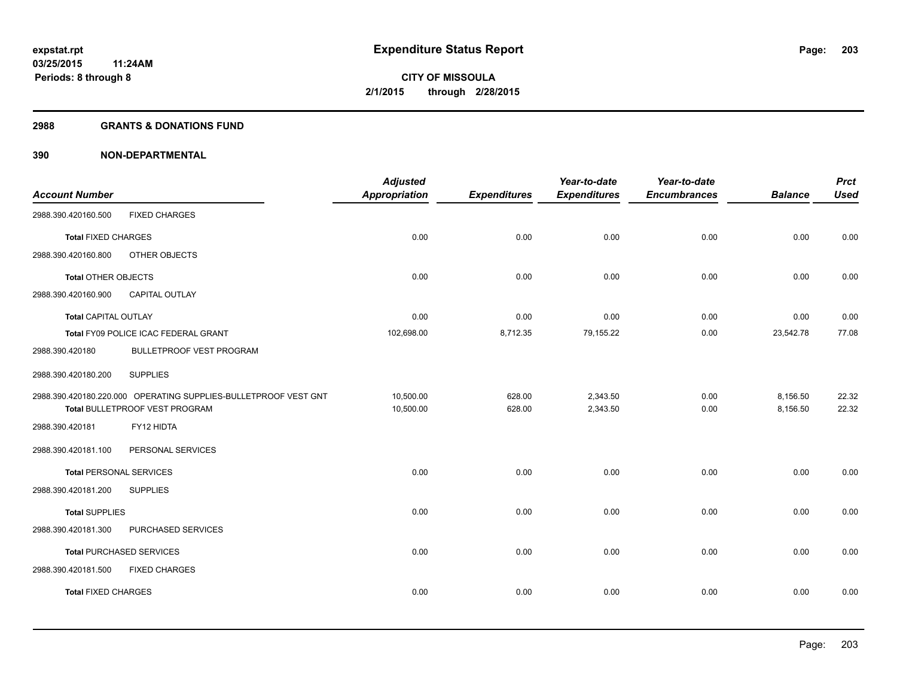#### **2988 GRANTS & DONATIONS FUND**

| <b>Account Number</b>          |                                                                 | <b>Adjusted</b><br><b>Appropriation</b> | <b>Expenditures</b> | Year-to-date<br><b>Expenditures</b> | Year-to-date<br><b>Encumbrances</b> | <b>Balance</b> | <b>Prct</b><br><b>Used</b> |
|--------------------------------|-----------------------------------------------------------------|-----------------------------------------|---------------------|-------------------------------------|-------------------------------------|----------------|----------------------------|
| 2988.390.420160.500            | <b>FIXED CHARGES</b>                                            |                                         |                     |                                     |                                     |                |                            |
| <b>Total FIXED CHARGES</b>     |                                                                 | 0.00                                    | 0.00                | 0.00                                | 0.00                                | 0.00           | 0.00                       |
| 2988.390.420160.800            | OTHER OBJECTS                                                   |                                         |                     |                                     |                                     |                |                            |
| <b>Total OTHER OBJECTS</b>     |                                                                 | 0.00                                    | 0.00                | 0.00                                | 0.00                                | 0.00           | 0.00                       |
| 2988.390.420160.900            | CAPITAL OUTLAY                                                  |                                         |                     |                                     |                                     |                |                            |
| <b>Total CAPITAL OUTLAY</b>    |                                                                 | 0.00                                    | 0.00                | 0.00                                | 0.00                                | 0.00           | 0.00                       |
|                                | Total FY09 POLICE ICAC FEDERAL GRANT                            | 102,698.00                              | 8,712.35            | 79,155.22                           | 0.00                                | 23,542.78      | 77.08                      |
| 2988.390.420180                | BULLETPROOF VEST PROGRAM                                        |                                         |                     |                                     |                                     |                |                            |
| 2988.390.420180.200            | <b>SUPPLIES</b>                                                 |                                         |                     |                                     |                                     |                |                            |
|                                | 2988.390.420180.220.000 OPERATING SUPPLIES-BULLETPROOF VEST GNT | 10,500.00                               | 628.00              | 2,343.50                            | 0.00                                | 8,156.50       | 22.32                      |
|                                | Total BULLETPROOF VEST PROGRAM                                  | 10,500.00                               | 628.00              | 2,343.50                            | 0.00                                | 8,156.50       | 22.32                      |
| 2988.390.420181                | FY12 HIDTA                                                      |                                         |                     |                                     |                                     |                |                            |
| 2988.390.420181.100            | PERSONAL SERVICES                                               |                                         |                     |                                     |                                     |                |                            |
| <b>Total PERSONAL SERVICES</b> |                                                                 | 0.00                                    | 0.00                | 0.00                                | 0.00                                | 0.00           | 0.00                       |
| 2988.390.420181.200            | <b>SUPPLIES</b>                                                 |                                         |                     |                                     |                                     |                |                            |
| <b>Total SUPPLIES</b>          |                                                                 | 0.00                                    | 0.00                | 0.00                                | 0.00                                | 0.00           | 0.00                       |
| 2988.390.420181.300            | PURCHASED SERVICES                                              |                                         |                     |                                     |                                     |                |                            |
|                                | <b>Total PURCHASED SERVICES</b>                                 | 0.00                                    | 0.00                | 0.00                                | 0.00                                | 0.00           | 0.00                       |
| 2988.390.420181.500            | <b>FIXED CHARGES</b>                                            |                                         |                     |                                     |                                     |                |                            |
| <b>Total FIXED CHARGES</b>     |                                                                 | 0.00                                    | 0.00                | 0.00                                | 0.00                                | 0.00           | 0.00                       |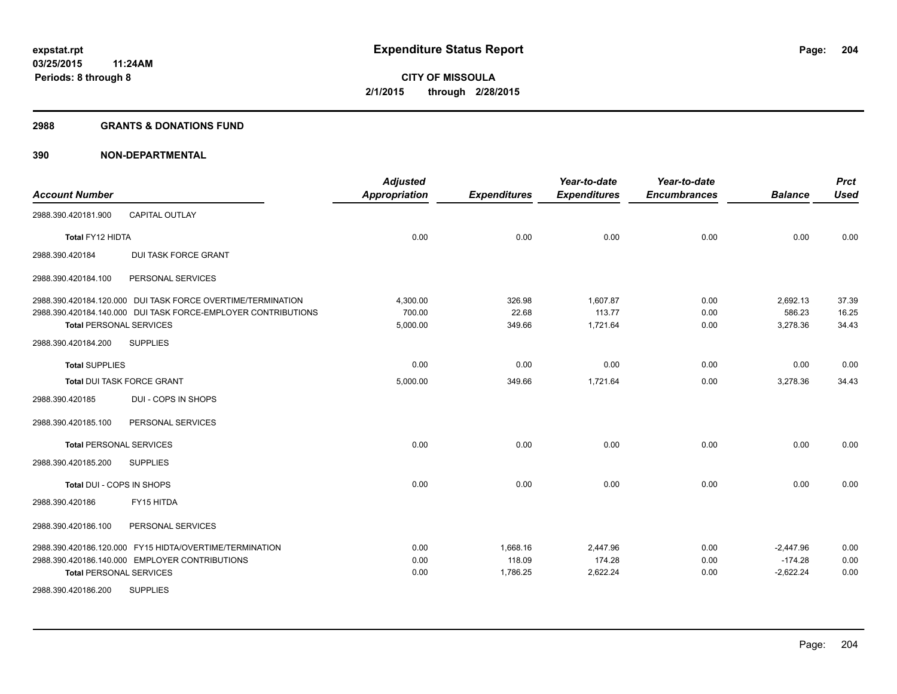#### **2988 GRANTS & DONATIONS FUND**

| <b>Account Number</b>             |                                                               | <b>Adjusted</b><br><b>Appropriation</b> | <b>Expenditures</b> | Year-to-date<br><b>Expenditures</b> | Year-to-date<br><b>Encumbrances</b> | <b>Balance</b> | <b>Prct</b><br><b>Used</b> |
|-----------------------------------|---------------------------------------------------------------|-----------------------------------------|---------------------|-------------------------------------|-------------------------------------|----------------|----------------------------|
| 2988.390.420181.900               | <b>CAPITAL OUTLAY</b>                                         |                                         |                     |                                     |                                     |                |                            |
| Total FY12 HIDTA                  |                                                               | 0.00                                    | 0.00                | 0.00                                | 0.00                                | 0.00           | 0.00                       |
| 2988.390.420184                   | <b>DUI TASK FORCE GRANT</b>                                   |                                         |                     |                                     |                                     |                |                            |
| 2988.390.420184.100               | PERSONAL SERVICES                                             |                                         |                     |                                     |                                     |                |                            |
|                                   | 2988.390.420184.120.000 DUI TASK FORCE OVERTIME/TERMINATION   | 4,300.00                                | 326.98              | 1,607.87                            | 0.00                                | 2,692.13       | 37.39                      |
|                                   | 2988.390.420184.140.000 DUI TASK FORCE-EMPLOYER CONTRIBUTIONS | 700.00                                  | 22.68               | 113.77                              | 0.00                                | 586.23         | 16.25                      |
| <b>Total PERSONAL SERVICES</b>    |                                                               | 5,000.00                                | 349.66              | 1,721.64                            | 0.00                                | 3,278.36       | 34.43                      |
| 2988.390.420184.200               | <b>SUPPLIES</b>                                               |                                         |                     |                                     |                                     |                |                            |
| <b>Total SUPPLIES</b>             |                                                               | 0.00                                    | 0.00                | 0.00                                | 0.00                                | 0.00           | 0.00                       |
| <b>Total DUI TASK FORCE GRANT</b> |                                                               | 5,000.00                                | 349.66              | 1,721.64                            | 0.00                                | 3,278.36       | 34.43                      |
| 2988.390.420185                   | DUI - COPS IN SHOPS                                           |                                         |                     |                                     |                                     |                |                            |
| 2988.390.420185.100               | PERSONAL SERVICES                                             |                                         |                     |                                     |                                     |                |                            |
| <b>Total PERSONAL SERVICES</b>    |                                                               | 0.00                                    | 0.00                | 0.00                                | 0.00                                | 0.00           | 0.00                       |
| 2988.390.420185.200               | <b>SUPPLIES</b>                                               |                                         |                     |                                     |                                     |                |                            |
| Total DUI - COPS IN SHOPS         |                                                               | 0.00                                    | 0.00                | 0.00                                | 0.00                                | 0.00           | 0.00                       |
| 2988.390.420186                   | FY15 HITDA                                                    |                                         |                     |                                     |                                     |                |                            |
| 2988.390.420186.100               | PERSONAL SERVICES                                             |                                         |                     |                                     |                                     |                |                            |
|                                   | 2988.390.420186.120.000 FY15 HIDTA/OVERTIME/TERMINATION       | 0.00                                    | 1,668.16            | 2,447.96                            | 0.00                                | $-2,447.96$    | 0.00                       |
|                                   | 2988.390.420186.140.000 EMPLOYER CONTRIBUTIONS                | 0.00                                    | 118.09              | 174.28                              | 0.00                                | $-174.28$      | 0.00                       |
| <b>Total PERSONAL SERVICES</b>    |                                                               | 0.00                                    | 1,786.25            | 2,622.24                            | 0.00                                | $-2,622.24$    | 0.00                       |
| 2988.390.420186.200               | <b>SUPPLIES</b>                                               |                                         |                     |                                     |                                     |                |                            |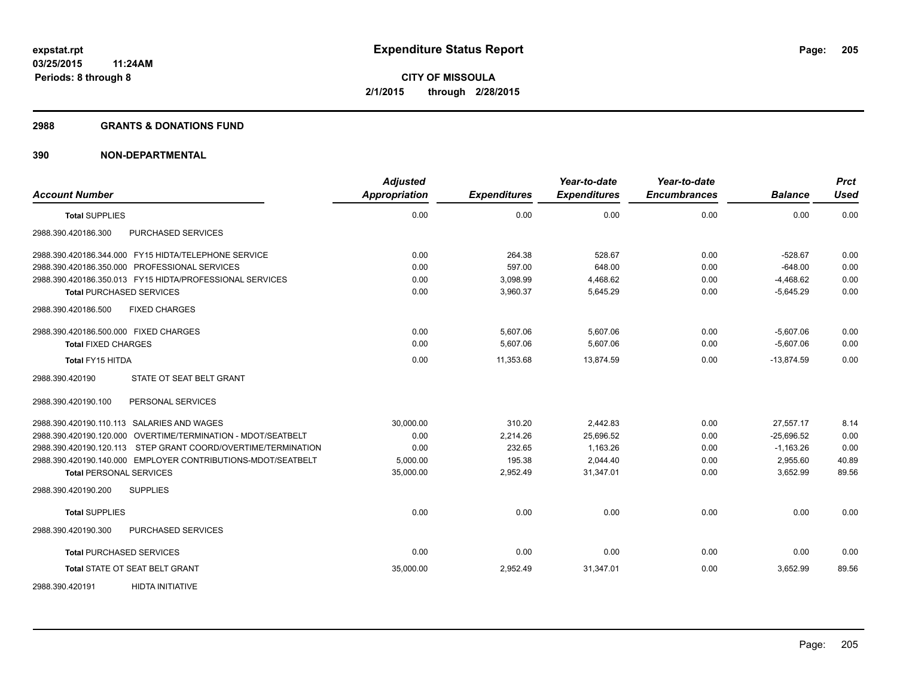#### **2988 GRANTS & DONATIONS FUND**

| <b>Account Number</b>                                          | <b>Adjusted</b><br>Appropriation | <b>Expenditures</b> | Year-to-date<br><b>Expenditures</b> | Year-to-date<br><b>Encumbrances</b> | <b>Balance</b> | <b>Prct</b><br><b>Used</b> |
|----------------------------------------------------------------|----------------------------------|---------------------|-------------------------------------|-------------------------------------|----------------|----------------------------|
| <b>Total SUPPLIES</b>                                          | 0.00                             | 0.00                | 0.00                                | 0.00                                | 0.00           | 0.00                       |
| 2988.390.420186.300<br>PURCHASED SERVICES                      |                                  |                     |                                     |                                     |                |                            |
| 2988.390.420186.344.000 FY15 HIDTA/TELEPHONE SERVICE           | 0.00                             | 264.38              | 528.67                              | 0.00                                | $-528.67$      | 0.00                       |
| 2988.390.420186.350.000 PROFESSIONAL SERVICES                  | 0.00                             | 597.00              | 648.00                              | 0.00                                | $-648.00$      | 0.00                       |
| 2988.390.420186.350.013    FY15    HIDTA/PROFESSIONAL SERVICES | 0.00                             | 3,098.99            | 4,468.62                            | 0.00                                | $-4,468.62$    | 0.00                       |
| <b>Total PURCHASED SERVICES</b>                                | 0.00                             | 3,960.37            | 5,645.29                            | 0.00                                | $-5,645.29$    | 0.00                       |
| <b>FIXED CHARGES</b><br>2988.390.420186.500                    |                                  |                     |                                     |                                     |                |                            |
| 2988.390.420186.500.000 FIXED CHARGES                          | 0.00                             | 5,607.06            | 5,607.06                            | 0.00                                | $-5,607.06$    | 0.00                       |
| <b>Total FIXED CHARGES</b>                                     | 0.00                             | 5,607.06            | 5,607.06                            | 0.00                                | $-5,607.06$    | 0.00                       |
| <b>Total FY15 HITDA</b>                                        | 0.00                             | 11,353.68           | 13,874.59                           | 0.00                                | $-13,874.59$   | 0.00                       |
| STATE OT SEAT BELT GRANT<br>2988.390.420190                    |                                  |                     |                                     |                                     |                |                            |
| PERSONAL SERVICES<br>2988.390.420190.100                       |                                  |                     |                                     |                                     |                |                            |
| 2988.390.420190.110.113 SALARIES AND WAGES                     | 30.000.00                        | 310.20              | 2.442.83                            | 0.00                                | 27,557.17      | 8.14                       |
| 2988.390.420190.120.000 OVERTIME/TERMINATION - MDOT/SEATBELT   | 0.00                             | 2,214.26            | 25,696.52                           | 0.00                                | $-25,696.52$   | 0.00                       |
| 2988.390.420190.120.113 STEP GRANT COORD/OVERTIME/TERMINATION  | 0.00                             | 232.65              | 1,163.26                            | 0.00                                | $-1,163.26$    | 0.00                       |
| 2988.390.420190.140.000 EMPLOYER CONTRIBUTIONS-MDOT/SEATBELT   | 5,000.00                         | 195.38              | 2,044.40                            | 0.00                                | 2,955.60       | 40.89                      |
| <b>Total PERSONAL SERVICES</b>                                 | 35,000.00                        | 2,952.49            | 31,347.01                           | 0.00                                | 3,652.99       | 89.56                      |
| 2988.390.420190.200<br><b>SUPPLIES</b>                         |                                  |                     |                                     |                                     |                |                            |
| <b>Total SUPPLIES</b>                                          | 0.00                             | 0.00                | 0.00                                | 0.00                                | 0.00           | 0.00                       |
| 2988.390.420190.300<br>PURCHASED SERVICES                      |                                  |                     |                                     |                                     |                |                            |
| <b>Total PURCHASED SERVICES</b>                                | 0.00                             | 0.00                | 0.00                                | 0.00                                | 0.00           | 0.00                       |
| Total STATE OT SEAT BELT GRANT                                 | 35,000.00                        | 2,952.49            | 31,347.01                           | 0.00                                | 3,652.99       | 89.56                      |
| <b>HIDTA INITIATIVE</b><br>2988.390.420191                     |                                  |                     |                                     |                                     |                |                            |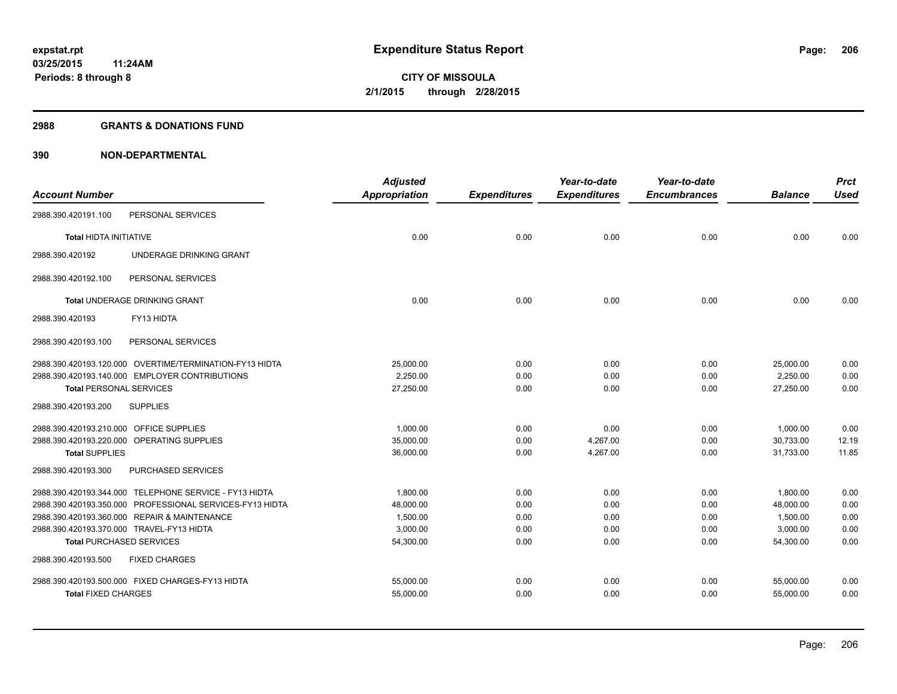#### **2988 GRANTS & DONATIONS FUND**

|                                           |                                                          | <b>Adjusted</b>      |                     | Year-to-date        | Year-to-date        |                | <b>Prct</b> |
|-------------------------------------------|----------------------------------------------------------|----------------------|---------------------|---------------------|---------------------|----------------|-------------|
| <b>Account Number</b>                     |                                                          | <b>Appropriation</b> | <b>Expenditures</b> | <b>Expenditures</b> | <b>Encumbrances</b> | <b>Balance</b> | <b>Used</b> |
| 2988.390.420191.100                       | PERSONAL SERVICES                                        |                      |                     |                     |                     |                |             |
| <b>Total HIDTA INITIATIVE</b>             |                                                          | 0.00                 | 0.00                | 0.00                | 0.00                | 0.00           | 0.00        |
| 2988.390.420192                           | UNDERAGE DRINKING GRANT                                  |                      |                     |                     |                     |                |             |
| 2988.390.420192.100                       | PERSONAL SERVICES                                        |                      |                     |                     |                     |                |             |
|                                           | <b>Total UNDERAGE DRINKING GRANT</b>                     | 0.00                 | 0.00                | 0.00                | 0.00                | 0.00           | 0.00        |
| 2988.390.420193                           | FY13 HIDTA                                               |                      |                     |                     |                     |                |             |
| 2988.390.420193.100                       | PERSONAL SERVICES                                        |                      |                     |                     |                     |                |             |
|                                           | 2988.390.420193.120.000 OVERTIME/TERMINATION-FY13 HIDTA  | 25,000.00            | 0.00                | 0.00                | 0.00                | 25,000.00      | 0.00        |
|                                           | 2988.390.420193.140.000 EMPLOYER CONTRIBUTIONS           | 2.250.00             | 0.00                | 0.00                | 0.00                | 2,250.00       | 0.00        |
| <b>Total PERSONAL SERVICES</b>            |                                                          | 27,250.00            | 0.00                | 0.00                | 0.00                | 27,250.00      | 0.00        |
| 2988.390.420193.200                       | <b>SUPPLIES</b>                                          |                      |                     |                     |                     |                |             |
| 2988.390.420193.210.000                   | <b>OFFICE SUPPLIES</b>                                   | 1,000.00             | 0.00                | 0.00                | 0.00                | 1,000.00       | 0.00        |
|                                           | 2988.390.420193.220.000 OPERATING SUPPLIES               | 35,000.00            | 0.00                | 4,267.00            | 0.00                | 30,733.00      | 12.19       |
| <b>Total SUPPLIES</b>                     |                                                          | 36,000.00            | 0.00                | 4,267.00            | 0.00                | 31.733.00      | 11.85       |
| 2988.390.420193.300                       | <b>PURCHASED SERVICES</b>                                |                      |                     |                     |                     |                |             |
|                                           | 2988.390.420193.344.000 TELEPHONE SERVICE - FY13 HIDTA   | 1,800.00             | 0.00                | 0.00                | 0.00                | 1,800.00       | 0.00        |
|                                           | 2988.390.420193.350.000 PROFESSIONAL SERVICES-FY13 HIDTA | 48,000.00            | 0.00                | 0.00                | 0.00                | 48,000.00      | 0.00        |
|                                           | 2988.390.420193.360.000 REPAIR & MAINTENANCE             | 1,500.00             | 0.00                | 0.00                | 0.00                | 1,500.00       | 0.00        |
| 2988.390.420193.370.000 TRAVEL-FY13 HIDTA |                                                          | 3,000.00             | 0.00                | 0.00                | 0.00                | 3,000.00       | 0.00        |
| <b>Total PURCHASED SERVICES</b>           |                                                          | 54,300.00            | 0.00                | 0.00                | 0.00                | 54,300.00      | 0.00        |
| 2988.390.420193.500                       | <b>FIXED CHARGES</b>                                     |                      |                     |                     |                     |                |             |
|                                           | 2988.390.420193.500.000 FIXED CHARGES-FY13 HIDTA         | 55,000.00            | 0.00                | 0.00                | 0.00                | 55,000.00      | 0.00        |
| <b>Total FIXED CHARGES</b>                |                                                          | 55,000.00            | 0.00                | 0.00                | 0.00                | 55,000.00      | 0.00        |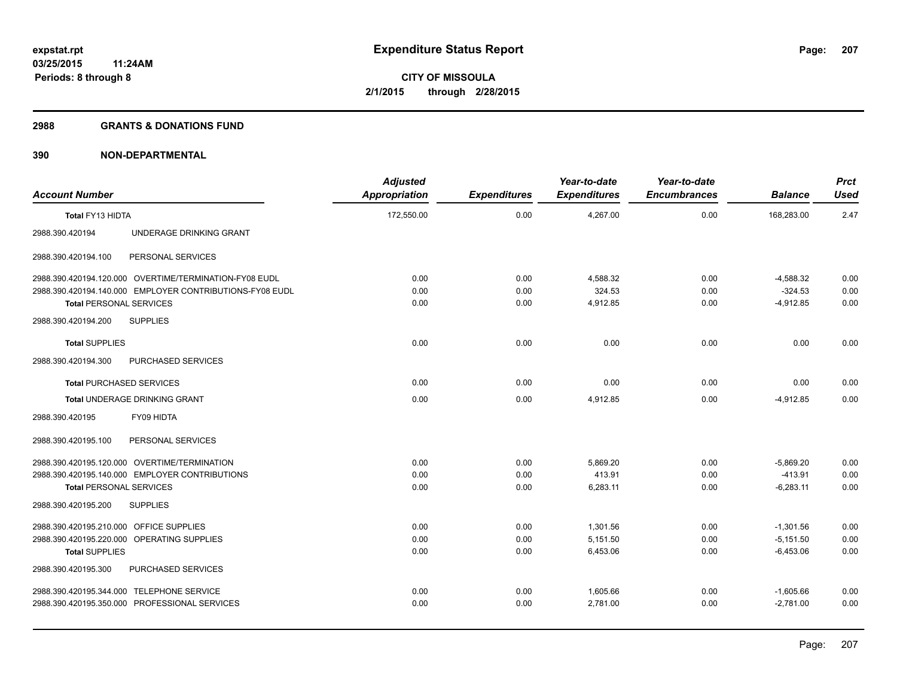#### **2988 GRANTS & DONATIONS FUND**

| <b>Account Number</b>                   |                                                          | <b>Adjusted</b><br>Appropriation | <b>Expenditures</b> | Year-to-date<br><b>Expenditures</b> | Year-to-date<br><b>Encumbrances</b> | <b>Balance</b> | <b>Prct</b><br>Used |
|-----------------------------------------|----------------------------------------------------------|----------------------------------|---------------------|-------------------------------------|-------------------------------------|----------------|---------------------|
| Total FY13 HIDTA                        |                                                          | 172,550.00                       | 0.00                | 4,267.00                            | 0.00                                | 168,283.00     | 2.47                |
| 2988.390.420194                         | UNDERAGE DRINKING GRANT                                  |                                  |                     |                                     |                                     |                |                     |
| 2988.390.420194.100                     | PERSONAL SERVICES                                        |                                  |                     |                                     |                                     |                |                     |
|                                         | 2988.390.420194.120.000 OVERTIME/TERMINATION-FY08 EUDL   | 0.00                             | 0.00                | 4,588.32                            | 0.00                                | $-4,588.32$    | 0.00                |
|                                         | 2988.390.420194.140.000 EMPLOYER CONTRIBUTIONS-FY08 EUDL | 0.00                             | 0.00                | 324.53                              | 0.00                                | $-324.53$      | 0.00                |
| <b>Total PERSONAL SERVICES</b>          |                                                          | 0.00                             | 0.00                | 4,912.85                            | 0.00                                | $-4,912.85$    | 0.00                |
| 2988.390.420194.200                     | <b>SUPPLIES</b>                                          |                                  |                     |                                     |                                     |                |                     |
| <b>Total SUPPLIES</b>                   |                                                          | 0.00                             | 0.00                | 0.00                                | 0.00                                | 0.00           | 0.00                |
| 2988.390.420194.300                     | PURCHASED SERVICES                                       |                                  |                     |                                     |                                     |                |                     |
| <b>Total PURCHASED SERVICES</b>         |                                                          | 0.00                             | 0.00                | 0.00                                | 0.00                                | 0.00           | 0.00                |
|                                         | <b>Total UNDERAGE DRINKING GRANT</b>                     | 0.00                             | 0.00                | 4,912.85                            | 0.00                                | $-4.912.85$    | 0.00                |
| 2988.390.420195                         | FY09 HIDTA                                               |                                  |                     |                                     |                                     |                |                     |
| 2988.390.420195.100                     | PERSONAL SERVICES                                        |                                  |                     |                                     |                                     |                |                     |
|                                         | 2988.390.420195.120.000 OVERTIME/TERMINATION             | 0.00                             | 0.00                | 5,869.20                            | 0.00                                | $-5,869.20$    | 0.00                |
|                                         | 2988.390.420195.140.000 EMPLOYER CONTRIBUTIONS           | 0.00                             | 0.00                | 413.91                              | 0.00                                | $-413.91$      | 0.00                |
| <b>Total PERSONAL SERVICES</b>          |                                                          | 0.00                             | 0.00                | 6,283.11                            | 0.00                                | $-6,283.11$    | 0.00                |
| 2988.390.420195.200                     | <b>SUPPLIES</b>                                          |                                  |                     |                                     |                                     |                |                     |
| 2988.390.420195.210.000 OFFICE SUPPLIES |                                                          | 0.00                             | 0.00                | 1,301.56                            | 0.00                                | $-1,301.56$    | 0.00                |
|                                         | 2988.390.420195.220.000 OPERATING SUPPLIES               | 0.00                             | 0.00                | 5,151.50                            | 0.00                                | $-5,151.50$    | 0.00                |
| <b>Total SUPPLIES</b>                   |                                                          | 0.00                             | 0.00                | 6,453.06                            | 0.00                                | $-6,453.06$    | 0.00                |
| 2988.390.420195.300                     | PURCHASED SERVICES                                       |                                  |                     |                                     |                                     |                |                     |
|                                         | 2988.390.420195.344.000 TELEPHONE SERVICE                | 0.00                             | 0.00                | 1,605.66                            | 0.00                                | $-1,605.66$    | 0.00                |
|                                         | 2988.390.420195.350.000 PROFESSIONAL SERVICES            | 0.00                             | 0.00                | 2,781.00                            | 0.00                                | $-2,781.00$    | 0.00                |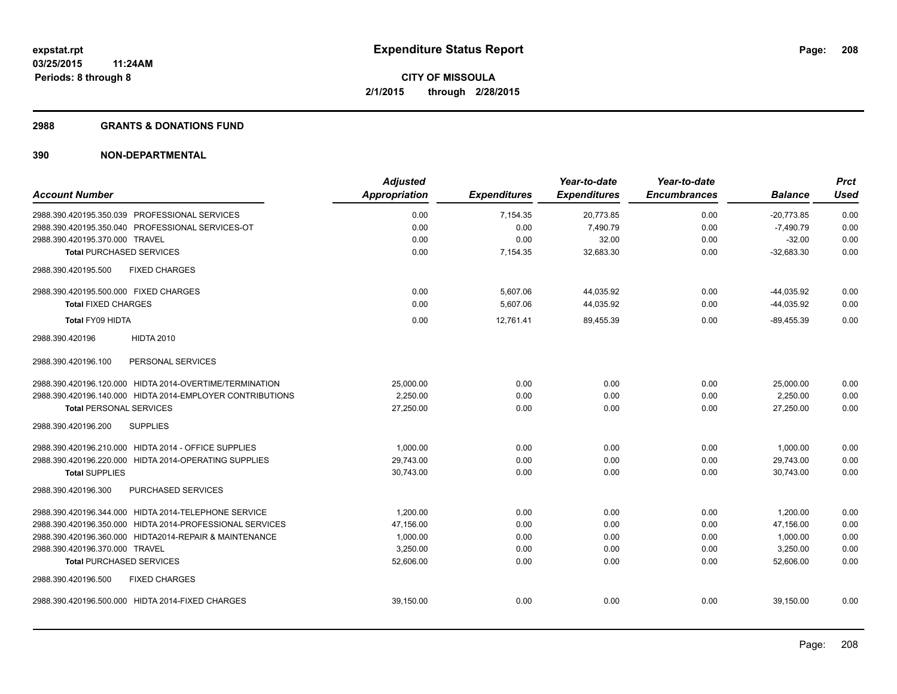#### **2988 GRANTS & DONATIONS FUND**

|                                                           | <b>Adjusted</b> |                     | Year-to-date        | Year-to-date        |                | <b>Prct</b> |
|-----------------------------------------------------------|-----------------|---------------------|---------------------|---------------------|----------------|-------------|
| <b>Account Number</b>                                     | Appropriation   | <b>Expenditures</b> | <b>Expenditures</b> | <b>Encumbrances</b> | <b>Balance</b> | <b>Used</b> |
| 2988.390.420195.350.039 PROFESSIONAL SERVICES             | 0.00            | 7,154.35            | 20,773.85           | 0.00                | $-20,773.85$   | 0.00        |
| 2988.390.420195.350.040 PROFESSIONAL SERVICES-OT          | 0.00            | 0.00                | 7.490.79            | 0.00                | $-7,490.79$    | 0.00        |
| 2988.390.420195.370.000 TRAVEL                            | 0.00            | 0.00                | 32.00               | 0.00                | $-32.00$       | 0.00        |
| <b>Total PURCHASED SERVICES</b>                           | 0.00            | 7,154.35            | 32,683.30           | 0.00                | $-32,683.30$   | 0.00        |
| <b>FIXED CHARGES</b><br>2988.390.420195.500               |                 |                     |                     |                     |                |             |
| 2988.390.420195.500.000 FIXED CHARGES                     | 0.00            | 5,607.06            | 44,035.92           | 0.00                | $-44,035.92$   | 0.00        |
| <b>Total FIXED CHARGES</b>                                | 0.00            | 5,607.06            | 44,035.92           | 0.00                | $-44,035.92$   | 0.00        |
| Total FY09 HIDTA                                          | 0.00            | 12,761.41           | 89,455.39           | 0.00                | $-89,455.39$   | 0.00        |
| <b>HIDTA 2010</b><br>2988.390.420196                      |                 |                     |                     |                     |                |             |
| 2988.390.420196.100<br>PERSONAL SERVICES                  |                 |                     |                     |                     |                |             |
| 2988.390.420196.120.000 HIDTA 2014-OVERTIME/TERMINATION   | 25,000.00       | 0.00                | 0.00                | 0.00                | 25,000.00      | 0.00        |
| 2988.390.420196.140.000 HIDTA 2014-EMPLOYER CONTRIBUTIONS | 2.250.00        | 0.00                | 0.00                | 0.00                | 2,250.00       | 0.00        |
| <b>Total PERSONAL SERVICES</b>                            | 27,250.00       | 0.00                | 0.00                | 0.00                | 27,250.00      | 0.00        |
| 2988.390.420196.200<br><b>SUPPLIES</b>                    |                 |                     |                     |                     |                |             |
| 2988.390.420196.210.000 HIDTA 2014 - OFFICE SUPPLIES      | 1,000.00        | 0.00                | 0.00                | 0.00                | 1,000.00       | 0.00        |
| 2988.390.420196.220.000 HIDTA 2014-OPERATING SUPPLIES     | 29,743.00       | 0.00                | 0.00                | 0.00                | 29,743.00      | 0.00        |
| <b>Total SUPPLIES</b>                                     | 30,743.00       | 0.00                | 0.00                | 0.00                | 30,743.00      | 0.00        |
| PURCHASED SERVICES<br>2988.390.420196.300                 |                 |                     |                     |                     |                |             |
| 2988.390.420196.344.000 HIDTA 2014-TELEPHONE SERVICE      | 1.200.00        | 0.00                | 0.00                | 0.00                | 1,200.00       | 0.00        |
| 2988.390.420196.350.000 HIDTA 2014-PROFESSIONAL SERVICES  | 47,156.00       | 0.00                | 0.00                | 0.00                | 47,156.00      | 0.00        |
| 2988.390.420196.360.000 HIDTA2014-REPAIR & MAINTENANCE    | 1,000.00        | 0.00                | 0.00                | 0.00                | 1,000.00       | 0.00        |
| 2988.390.420196.370.000 TRAVEL                            | 3,250.00        | 0.00                | 0.00                | 0.00                | 3,250.00       | 0.00        |
| <b>Total PURCHASED SERVICES</b>                           | 52,606.00       | 0.00                | 0.00                | 0.00                | 52.606.00      | 0.00        |
| 2988.390.420196.500<br><b>FIXED CHARGES</b>               |                 |                     |                     |                     |                |             |
| 2988.390.420196.500.000 HIDTA 2014-FIXED CHARGES          | 39,150.00       | 0.00                | 0.00                | 0.00                | 39,150.00      | 0.00        |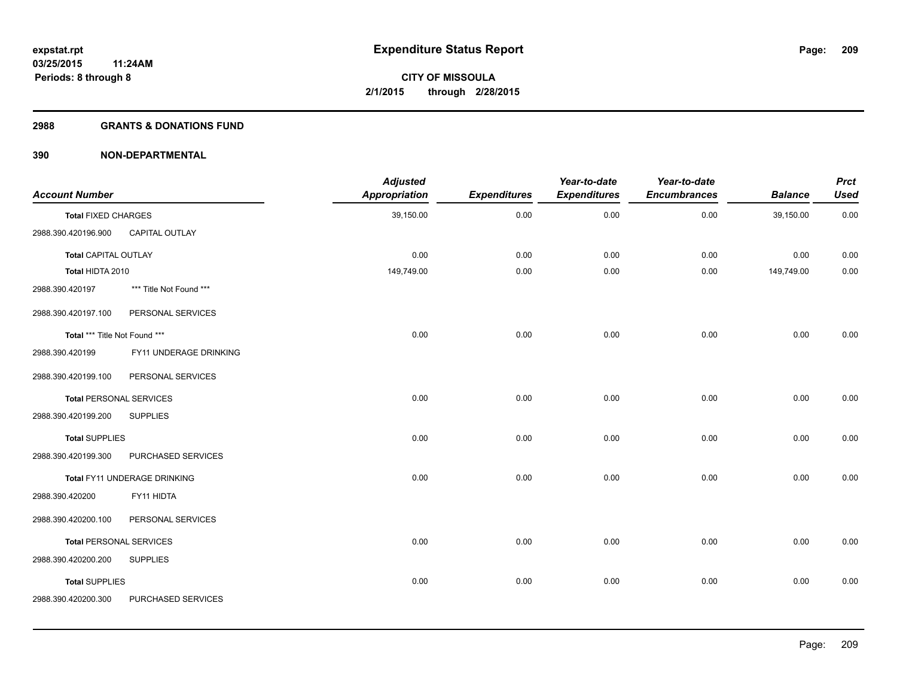#### **2988 GRANTS & DONATIONS FUND**

| <b>Account Number</b>          |                              | <b>Adjusted</b><br><b>Appropriation</b> | <b>Expenditures</b> | Year-to-date<br><b>Expenditures</b> | Year-to-date<br><b>Encumbrances</b> | <b>Balance</b> | <b>Prct</b><br><b>Used</b> |
|--------------------------------|------------------------------|-----------------------------------------|---------------------|-------------------------------------|-------------------------------------|----------------|----------------------------|
| <b>Total FIXED CHARGES</b>     |                              | 39,150.00                               | 0.00                | 0.00                                | 0.00                                | 39,150.00      | 0.00                       |
| 2988.390.420196.900            | CAPITAL OUTLAY               |                                         |                     |                                     |                                     |                |                            |
| <b>Total CAPITAL OUTLAY</b>    |                              | 0.00                                    | 0.00                | 0.00                                | 0.00                                | 0.00           | 0.00                       |
| Total HIDTA 2010               |                              | 149,749.00                              | 0.00                | 0.00                                | 0.00                                | 149,749.00     | 0.00                       |
| 2988.390.420197                | *** Title Not Found ***      |                                         |                     |                                     |                                     |                |                            |
| 2988.390.420197.100            | PERSONAL SERVICES            |                                         |                     |                                     |                                     |                |                            |
| Total *** Title Not Found ***  |                              | 0.00                                    | 0.00                | 0.00                                | 0.00                                | 0.00           | 0.00                       |
| 2988.390.420199                | FY11 UNDERAGE DRINKING       |                                         |                     |                                     |                                     |                |                            |
| 2988.390.420199.100            | PERSONAL SERVICES            |                                         |                     |                                     |                                     |                |                            |
| <b>Total PERSONAL SERVICES</b> |                              | 0.00                                    | 0.00                | 0.00                                | 0.00                                | 0.00           | 0.00                       |
| 2988.390.420199.200            | <b>SUPPLIES</b>              |                                         |                     |                                     |                                     |                |                            |
| <b>Total SUPPLIES</b>          |                              | 0.00                                    | 0.00                | 0.00                                | 0.00                                | 0.00           | 0.00                       |
| 2988.390.420199.300            | PURCHASED SERVICES           |                                         |                     |                                     |                                     |                |                            |
|                                | Total FY11 UNDERAGE DRINKING | 0.00                                    | 0.00                | 0.00                                | 0.00                                | 0.00           | 0.00                       |
| 2988.390.420200                | FY11 HIDTA                   |                                         |                     |                                     |                                     |                |                            |
| 2988.390.420200.100            | PERSONAL SERVICES            |                                         |                     |                                     |                                     |                |                            |
| <b>Total PERSONAL SERVICES</b> |                              | 0.00                                    | 0.00                | 0.00                                | 0.00                                | 0.00           | 0.00                       |
| 2988.390.420200.200            | <b>SUPPLIES</b>              |                                         |                     |                                     |                                     |                |                            |
| <b>Total SUPPLIES</b>          |                              | 0.00                                    | 0.00                | 0.00                                | 0.00                                | 0.00           | 0.00                       |
| 2988.390.420200.300            | PURCHASED SERVICES           |                                         |                     |                                     |                                     |                |                            |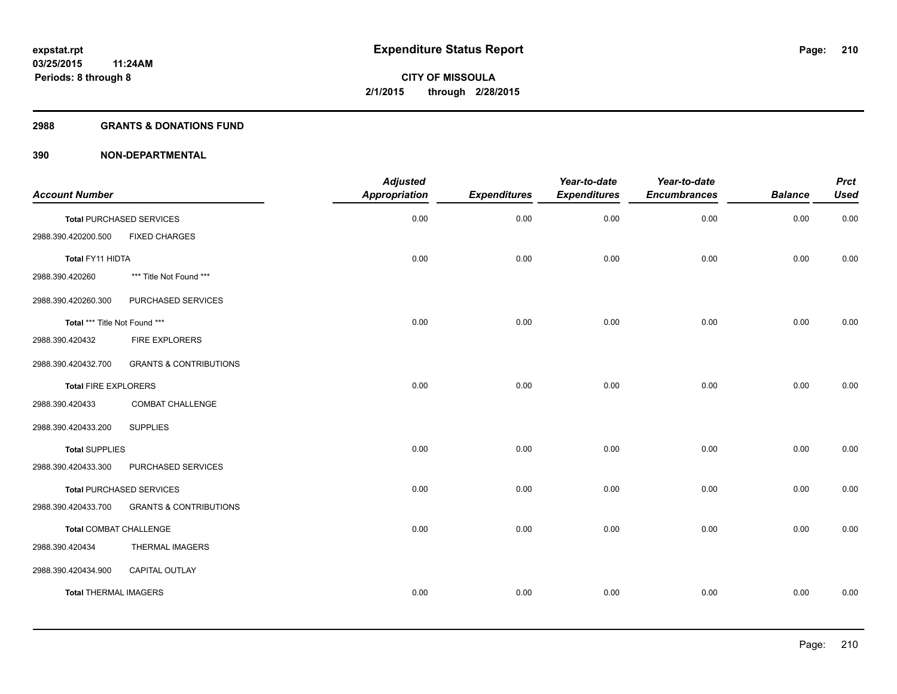### **2988 GRANTS & DONATIONS FUND**

| <b>Account Number</b>         |                                   | <b>Adjusted</b><br><b>Appropriation</b> | <b>Expenditures</b> | Year-to-date<br><b>Expenditures</b> | Year-to-date<br><b>Encumbrances</b> | <b>Balance</b> | <b>Prct</b><br><b>Used</b> |
|-------------------------------|-----------------------------------|-----------------------------------------|---------------------|-------------------------------------|-------------------------------------|----------------|----------------------------|
|                               | <b>Total PURCHASED SERVICES</b>   | 0.00                                    | 0.00                | 0.00                                | 0.00                                | 0.00           | 0.00                       |
| 2988.390.420200.500           | <b>FIXED CHARGES</b>              |                                         |                     |                                     |                                     |                |                            |
| Total FY11 HIDTA              |                                   | 0.00                                    | 0.00                | 0.00                                | 0.00                                | 0.00           | 0.00                       |
| 2988.390.420260               | *** Title Not Found ***           |                                         |                     |                                     |                                     |                |                            |
| 2988.390.420260.300           | PURCHASED SERVICES                |                                         |                     |                                     |                                     |                |                            |
| Total *** Title Not Found *** |                                   | 0.00                                    | 0.00                | 0.00                                | 0.00                                | 0.00           | 0.00                       |
| 2988.390.420432               | <b>FIRE EXPLORERS</b>             |                                         |                     |                                     |                                     |                |                            |
| 2988.390.420432.700           | <b>GRANTS &amp; CONTRIBUTIONS</b> |                                         |                     |                                     |                                     |                |                            |
| <b>Total FIRE EXPLORERS</b>   |                                   | 0.00                                    | 0.00                | 0.00                                | 0.00                                | 0.00           | 0.00                       |
| 2988.390.420433               | COMBAT CHALLENGE                  |                                         |                     |                                     |                                     |                |                            |
| 2988.390.420433.200           | <b>SUPPLIES</b>                   |                                         |                     |                                     |                                     |                |                            |
| <b>Total SUPPLIES</b>         |                                   | 0.00                                    | 0.00                | 0.00                                | 0.00                                | 0.00           | 0.00                       |
| 2988.390.420433.300           | PURCHASED SERVICES                |                                         |                     |                                     |                                     |                |                            |
|                               | <b>Total PURCHASED SERVICES</b>   | 0.00                                    | 0.00                | 0.00                                | 0.00                                | 0.00           | 0.00                       |
| 2988.390.420433.700           | <b>GRANTS &amp; CONTRIBUTIONS</b> |                                         |                     |                                     |                                     |                |                            |
| <b>Total COMBAT CHALLENGE</b> |                                   | 0.00                                    | 0.00                | 0.00                                | 0.00                                | 0.00           | 0.00                       |
| 2988.390.420434               | THERMAL IMAGERS                   |                                         |                     |                                     |                                     |                |                            |
| 2988.390.420434.900           | <b>CAPITAL OUTLAY</b>             |                                         |                     |                                     |                                     |                |                            |
| <b>Total THERMAL IMAGERS</b>  |                                   | 0.00                                    | 0.00                | 0.00                                | 0.00                                | 0.00           | 0.00                       |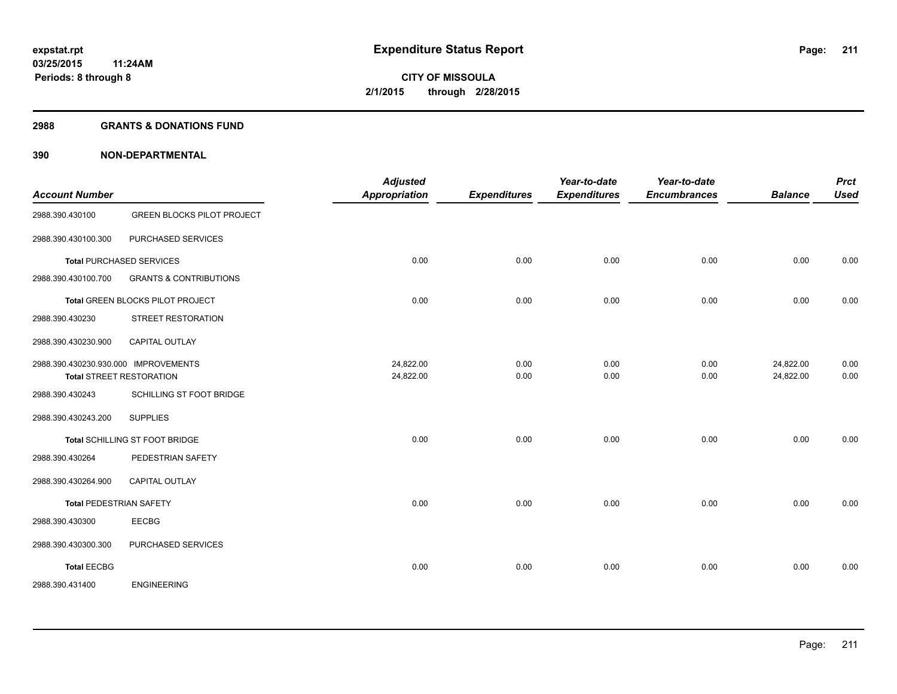#### **2988 GRANTS & DONATIONS FUND**

| <b>Account Number</b>                |                                   | <b>Adjusted</b><br><b>Appropriation</b> | <b>Expenditures</b> | Year-to-date<br><b>Expenditures</b> | Year-to-date<br><b>Encumbrances</b> | <b>Balance</b> | <b>Prct</b><br><b>Used</b> |
|--------------------------------------|-----------------------------------|-----------------------------------------|---------------------|-------------------------------------|-------------------------------------|----------------|----------------------------|
| 2988.390.430100                      | <b>GREEN BLOCKS PILOT PROJECT</b> |                                         |                     |                                     |                                     |                |                            |
| 2988.390.430100.300                  | PURCHASED SERVICES                |                                         |                     |                                     |                                     |                |                            |
|                                      | <b>Total PURCHASED SERVICES</b>   | 0.00                                    | 0.00                | 0.00                                | 0.00                                | 0.00           | 0.00                       |
| 2988.390.430100.700                  | <b>GRANTS &amp; CONTRIBUTIONS</b> |                                         |                     |                                     |                                     |                |                            |
|                                      | Total GREEN BLOCKS PILOT PROJECT  | 0.00                                    | 0.00                | 0.00                                | 0.00                                | 0.00           | 0.00                       |
| 2988.390.430230                      | STREET RESTORATION                |                                         |                     |                                     |                                     |                |                            |
| 2988.390.430230.900                  | CAPITAL OUTLAY                    |                                         |                     |                                     |                                     |                |                            |
| 2988.390.430230.930.000 IMPROVEMENTS |                                   | 24,822.00                               | 0.00                | 0.00                                | 0.00                                | 24,822.00      | 0.00                       |
|                                      | <b>Total STREET RESTORATION</b>   | 24,822.00                               | 0.00                | 0.00                                | 0.00                                | 24,822.00      | 0.00                       |
| 2988.390.430243                      | SCHILLING ST FOOT BRIDGE          |                                         |                     |                                     |                                     |                |                            |
| 2988.390.430243.200                  | <b>SUPPLIES</b>                   |                                         |                     |                                     |                                     |                |                            |
|                                      | Total SCHILLING ST FOOT BRIDGE    | 0.00                                    | 0.00                | 0.00                                | 0.00                                | 0.00           | 0.00                       |
| 2988.390.430264                      | PEDESTRIAN SAFETY                 |                                         |                     |                                     |                                     |                |                            |
| 2988.390.430264.900                  | <b>CAPITAL OUTLAY</b>             |                                         |                     |                                     |                                     |                |                            |
| <b>Total PEDESTRIAN SAFETY</b>       |                                   | 0.00                                    | 0.00                | 0.00                                | 0.00                                | 0.00           | 0.00                       |
| 2988.390.430300                      | <b>EECBG</b>                      |                                         |                     |                                     |                                     |                |                            |
| 2988.390.430300.300                  | PURCHASED SERVICES                |                                         |                     |                                     |                                     |                |                            |
| <b>Total EECBG</b>                   |                                   | 0.00                                    | 0.00                | 0.00                                | 0.00                                | 0.00           | 0.00                       |
| 2988.390.431400                      | <b>ENGINEERING</b>                |                                         |                     |                                     |                                     |                |                            |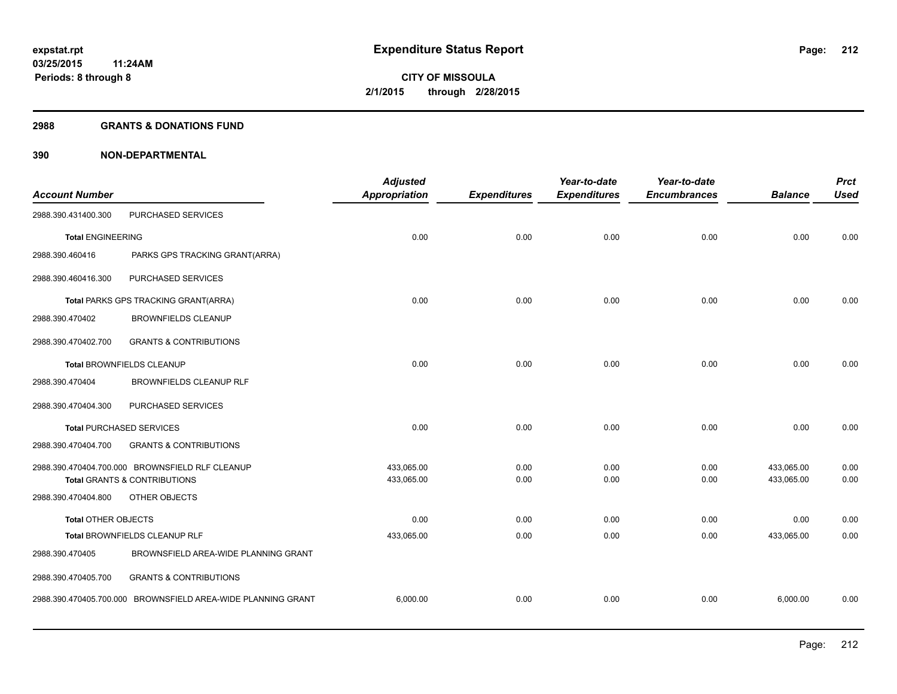#### **2988 GRANTS & DONATIONS FUND**

| <b>Account Number</b>           |                                                              | <b>Adjusted</b><br><b>Appropriation</b> | <b>Expenditures</b> | Year-to-date<br><b>Expenditures</b> | Year-to-date<br><b>Encumbrances</b> | <b>Balance</b> | <b>Prct</b><br><b>Used</b> |
|---------------------------------|--------------------------------------------------------------|-----------------------------------------|---------------------|-------------------------------------|-------------------------------------|----------------|----------------------------|
| 2988.390.431400.300             | PURCHASED SERVICES                                           |                                         |                     |                                     |                                     |                |                            |
| <b>Total ENGINEERING</b>        |                                                              | 0.00                                    | 0.00                | 0.00                                | 0.00                                | 0.00           | 0.00                       |
| 2988.390.460416                 | PARKS GPS TRACKING GRANT(ARRA)                               |                                         |                     |                                     |                                     |                |                            |
| 2988.390.460416.300             | PURCHASED SERVICES                                           |                                         |                     |                                     |                                     |                |                            |
|                                 | Total PARKS GPS TRACKING GRANT(ARRA)                         | 0.00                                    | 0.00                | 0.00                                | 0.00                                | 0.00           | 0.00                       |
| 2988.390.470402                 | <b>BROWNFIELDS CLEANUP</b>                                   |                                         |                     |                                     |                                     |                |                            |
| 2988.390.470402.700             | <b>GRANTS &amp; CONTRIBUTIONS</b>                            |                                         |                     |                                     |                                     |                |                            |
|                                 | Total BROWNFIELDS CLEANUP                                    | 0.00                                    | 0.00                | 0.00                                | 0.00                                | 0.00           | 0.00                       |
| 2988.390.470404                 | BROWNFIELDS CLEANUP RLF                                      |                                         |                     |                                     |                                     |                |                            |
| 2988.390.470404.300             | PURCHASED SERVICES                                           |                                         |                     |                                     |                                     |                |                            |
| <b>Total PURCHASED SERVICES</b> |                                                              | 0.00                                    | 0.00                | 0.00                                | 0.00                                | 0.00           | 0.00                       |
| 2988.390.470404.700             | <b>GRANTS &amp; CONTRIBUTIONS</b>                            |                                         |                     |                                     |                                     |                |                            |
|                                 | 2988.390.470404.700.000 BROWNSFIELD RLF CLEANUP              | 433,065.00                              | 0.00                | 0.00                                | 0.00                                | 433,065.00     | 0.00                       |
|                                 | <b>Total GRANTS &amp; CONTRIBUTIONS</b>                      | 433,065.00                              | 0.00                | 0.00                                | 0.00                                | 433,065.00     | 0.00                       |
| 2988.390.470404.800             | OTHER OBJECTS                                                |                                         |                     |                                     |                                     |                |                            |
| Total OTHER OBJECTS             |                                                              | 0.00                                    | 0.00                | 0.00                                | 0.00                                | 0.00           | 0.00                       |
|                                 | Total BROWNFIELDS CLEANUP RLF                                | 433,065.00                              | 0.00                | 0.00                                | 0.00                                | 433,065.00     | 0.00                       |
| 2988.390.470405                 | BROWNSFIELD AREA-WIDE PLANNING GRANT                         |                                         |                     |                                     |                                     |                |                            |
| 2988.390.470405.700             | <b>GRANTS &amp; CONTRIBUTIONS</b>                            |                                         |                     |                                     |                                     |                |                            |
|                                 | 2988.390.470405.700.000 BROWNSFIELD AREA-WIDE PLANNING GRANT | 6,000.00                                | 0.00                | 0.00                                | 0.00                                | 6,000.00       | 0.00                       |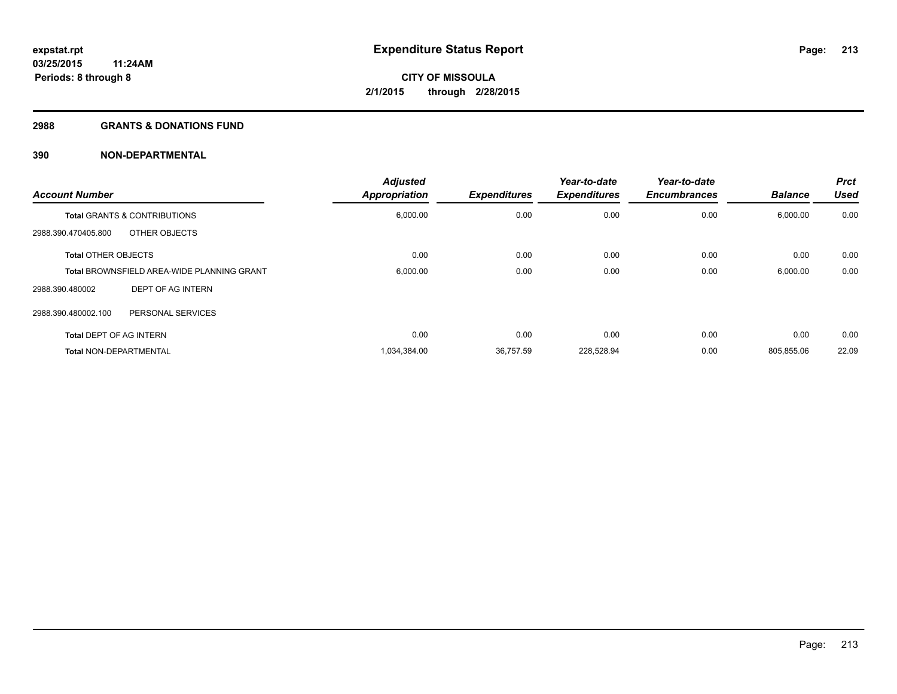#### **2988 GRANTS & DONATIONS FUND**

| <b>Account Number</b>          |                                                   | <b>Adjusted</b><br><b>Appropriation</b> | <b>Expenditures</b> | Year-to-date<br><b>Expenditures</b> | Year-to-date<br><b>Encumbrances</b> | <b>Balance</b> | <b>Prct</b><br><b>Used</b> |
|--------------------------------|---------------------------------------------------|-----------------------------------------|---------------------|-------------------------------------|-------------------------------------|----------------|----------------------------|
|                                | <b>Total GRANTS &amp; CONTRIBUTIONS</b>           | 6,000.00                                | 0.00                | 0.00                                | 0.00                                | 6,000.00       | 0.00                       |
| 2988.390.470405.800            | OTHER OBJECTS                                     |                                         |                     |                                     |                                     |                |                            |
| <b>Total OTHER OBJECTS</b>     |                                                   | 0.00                                    | 0.00                | 0.00                                | 0.00                                | 0.00           | 0.00                       |
|                                | <b>Total BROWNSFIELD AREA-WIDE PLANNING GRANT</b> | 6,000.00                                | 0.00                | 0.00                                | 0.00                                | 6,000.00       | 0.00                       |
| 2988.390.480002                | DEPT OF AG INTERN                                 |                                         |                     |                                     |                                     |                |                            |
| 2988.390.480002.100            | PERSONAL SERVICES                                 |                                         |                     |                                     |                                     |                |                            |
| <b>Total DEPT OF AG INTERN</b> |                                                   | 0.00                                    | 0.00                | 0.00                                | 0.00                                | 0.00           | 0.00                       |
| <b>Total NON-DEPARTMENTAL</b>  |                                                   | 1,034,384.00                            | 36,757.59           | 228,528.94                          | 0.00                                | 805,855.06     | 22.09                      |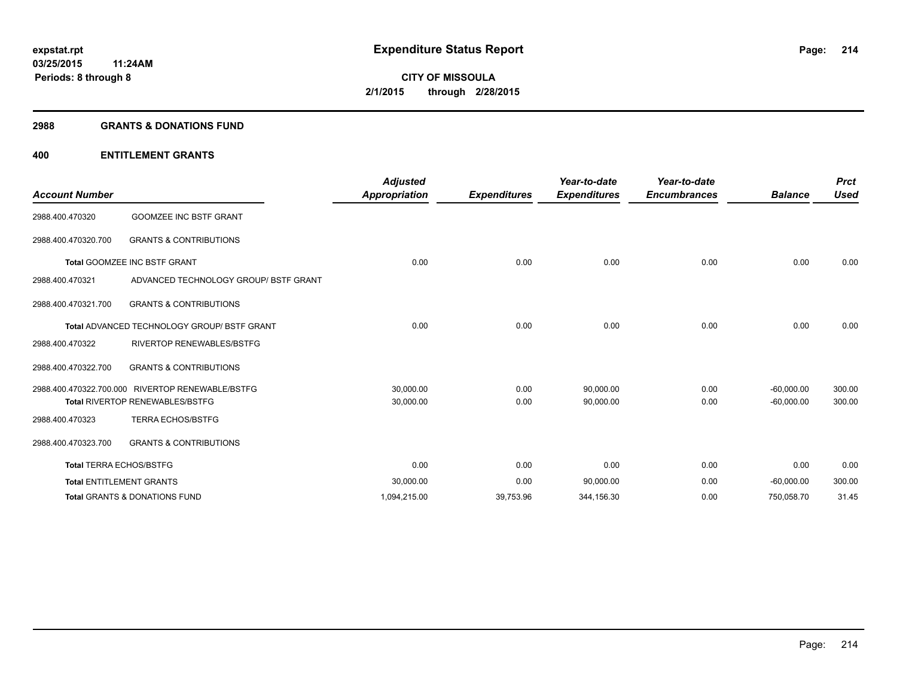#### **2988 GRANTS & DONATIONS FUND**

| <b>Account Number</b>          |                                                    | <b>Adjusted</b><br>Appropriation | <b>Expenditures</b> | Year-to-date<br><b>Expenditures</b> | Year-to-date<br><b>Encumbrances</b> | <b>Balance</b> | <b>Prct</b><br><b>Used</b> |
|--------------------------------|----------------------------------------------------|----------------------------------|---------------------|-------------------------------------|-------------------------------------|----------------|----------------------------|
| 2988.400.470320                | <b>GOOMZEE INC BSTF GRANT</b>                      |                                  |                     |                                     |                                     |                |                            |
| 2988.400.470320.700            | <b>GRANTS &amp; CONTRIBUTIONS</b>                  |                                  |                     |                                     |                                     |                |                            |
|                                | <b>Total GOOMZEE INC BSTF GRANT</b>                | 0.00                             | 0.00                | 0.00                                | 0.00                                | 0.00           | 0.00                       |
| 2988.400.470321                | ADVANCED TECHNOLOGY GROUP/ BSTF GRANT              |                                  |                     |                                     |                                     |                |                            |
| 2988.400.470321.700            | <b>GRANTS &amp; CONTRIBUTIONS</b>                  |                                  |                     |                                     |                                     |                |                            |
|                                | <b>Total ADVANCED TECHNOLOGY GROUP/ BSTF GRANT</b> | 0.00                             | 0.00                | 0.00                                | 0.00                                | 0.00           | 0.00                       |
| 2988.400.470322                | <b>RIVERTOP RENEWABLES/BSTFG</b>                   |                                  |                     |                                     |                                     |                |                            |
| 2988.400.470322.700            | <b>GRANTS &amp; CONTRIBUTIONS</b>                  |                                  |                     |                                     |                                     |                |                            |
|                                | 2988.400.470322.700.000 RIVERTOP RENEWABLE/BSTFG   | 30,000.00                        | 0.00                | 90,000.00                           | 0.00                                | $-60,000.00$   | 300.00                     |
|                                | <b>Total RIVERTOP RENEWABLES/BSTFG</b>             | 30,000.00                        | 0.00                | 90,000.00                           | 0.00                                | $-60,000.00$   | 300.00                     |
| 2988.400.470323                | <b>TERRA ECHOS/BSTFG</b>                           |                                  |                     |                                     |                                     |                |                            |
| 2988.400.470323.700            | <b>GRANTS &amp; CONTRIBUTIONS</b>                  |                                  |                     |                                     |                                     |                |                            |
| <b>Total TERRA ECHOS/BSTFG</b> |                                                    | 0.00                             | 0.00                | 0.00                                | 0.00                                | 0.00           | 0.00                       |
|                                | <b>Total ENTITLEMENT GRANTS</b>                    | 30,000.00                        | 0.00                | 90,000.00                           | 0.00                                | $-60,000.00$   | 300.00                     |
|                                | <b>Total GRANTS &amp; DONATIONS FUND</b>           | 1,094,215.00                     | 39,753.96           | 344,156.30                          | 0.00                                | 750,058.70     | 31.45                      |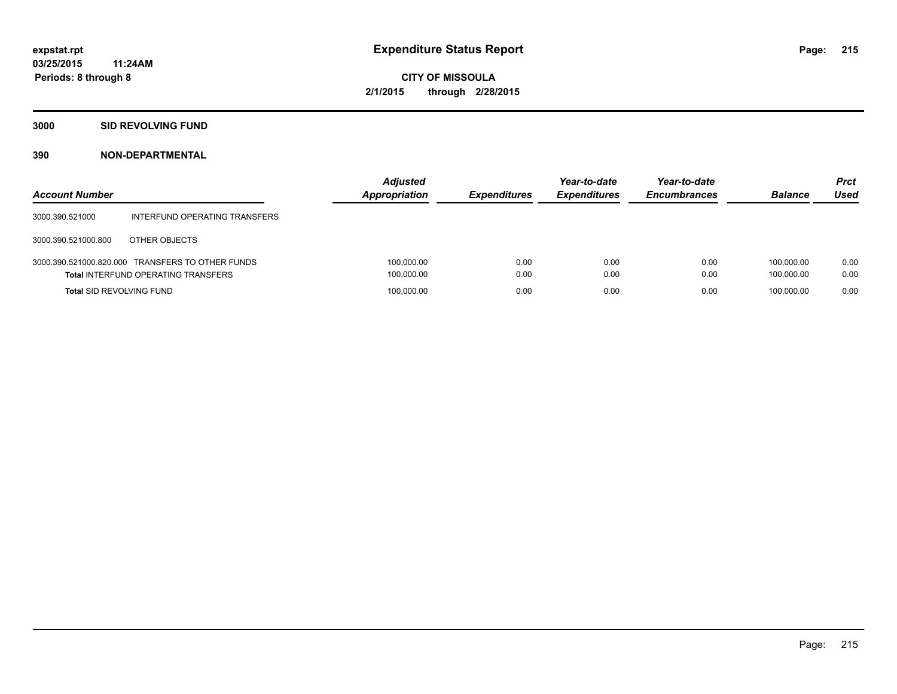**3000 SID REVOLVING FUND**

| <b>Account Number</b>           |                                                                                                | <b>Adjusted</b><br><b>Appropriation</b> | <b>Expenditures</b> | Year-to-date<br><b>Expenditures</b> | Year-to-date<br><b>Encumbrances</b> | <b>Balance</b>           | <b>Prct</b><br><b>Used</b> |
|---------------------------------|------------------------------------------------------------------------------------------------|-----------------------------------------|---------------------|-------------------------------------|-------------------------------------|--------------------------|----------------------------|
| 3000.390.521000                 | INTERFUND OPERATING TRANSFERS                                                                  |                                         |                     |                                     |                                     |                          |                            |
| 3000.390.521000.800             | OTHER OBJECTS                                                                                  |                                         |                     |                                     |                                     |                          |                            |
|                                 | 3000.390.521000.820.000 TRANSFERS TO OTHER FUNDS<br><b>Total INTERFUND OPERATING TRANSFERS</b> | 100,000.00<br>100,000.00                | 0.00<br>0.00        | 0.00<br>0.00                        | 0.00<br>0.00                        | 100.000.00<br>100.000.00 | 0.00<br>0.00               |
| <b>Total SID REVOLVING FUND</b> |                                                                                                | 100,000.00                              | 0.00                | 0.00                                | 0.00                                | 100.000.00               | 0.00                       |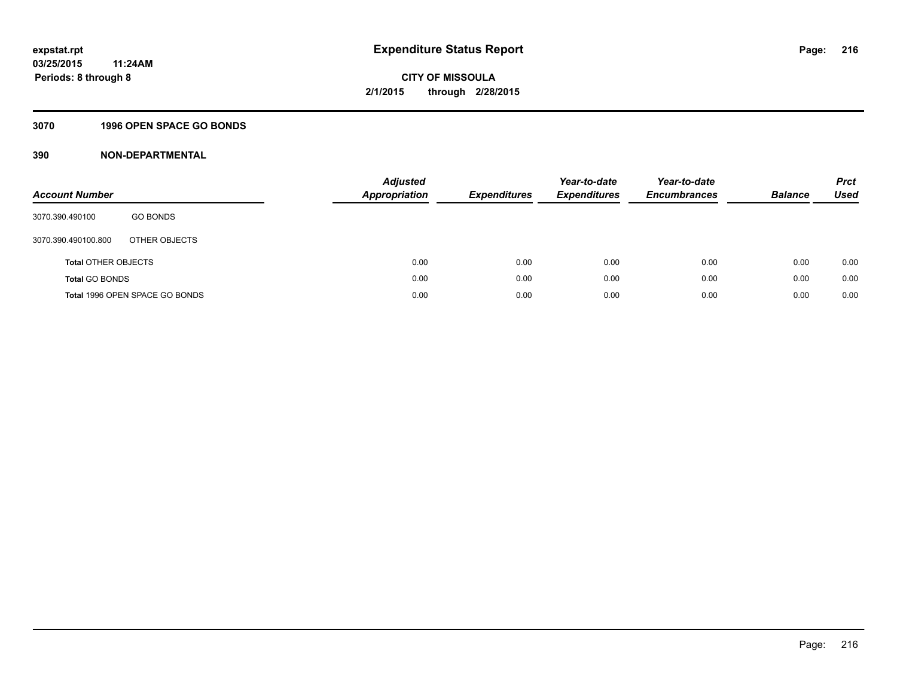## **3070 1996 OPEN SPACE GO BONDS**

| <b>Account Number</b>      |                                | Adjusted<br><b>Appropriation</b> | <b>Expenditures</b> | Year-to-date<br><b>Expenditures</b> | Year-to-date<br><b>Encumbrances</b> | <b>Balance</b> | <b>Prct</b><br>Used |
|----------------------------|--------------------------------|----------------------------------|---------------------|-------------------------------------|-------------------------------------|----------------|---------------------|
| 3070.390.490100            | <b>GO BONDS</b>                |                                  |                     |                                     |                                     |                |                     |
| 3070.390.490100.800        | OTHER OBJECTS                  |                                  |                     |                                     |                                     |                |                     |
| <b>Total OTHER OBJECTS</b> |                                | 0.00                             | 0.00                | 0.00                                | 0.00                                | 0.00           | 0.00                |
| <b>Total GO BONDS</b>      |                                | 0.00                             | 0.00                | 0.00                                | 0.00                                | 0.00           | 0.00                |
|                            | Total 1996 OPEN SPACE GO BONDS | 0.00                             | 0.00                | 0.00                                | 0.00                                | 0.00           | 0.00                |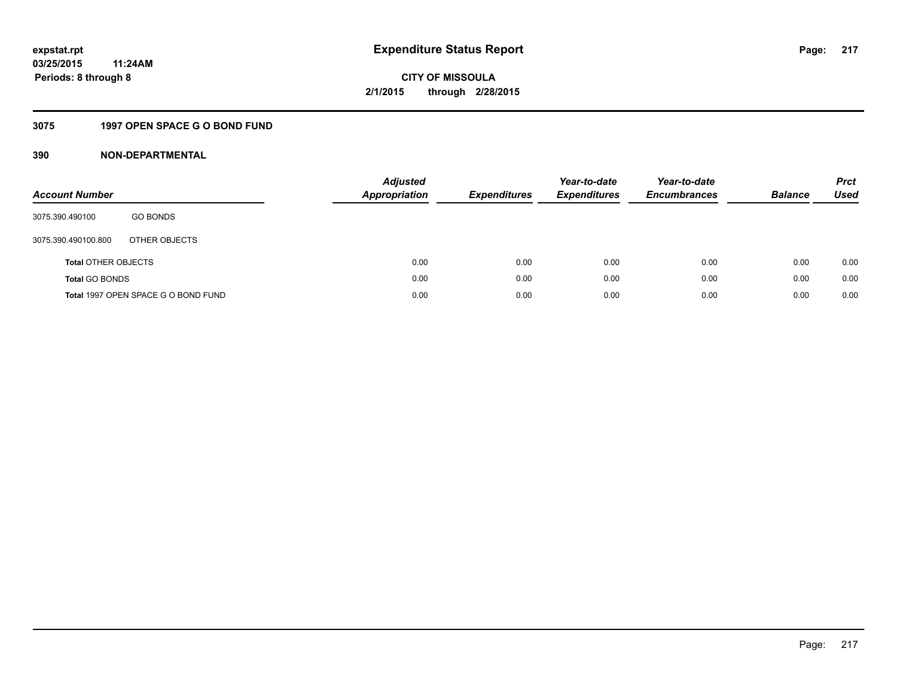### **3075 1997 OPEN SPACE G O BOND FUND**

| <b>Account Number</b>      |                                     | <b>Adjusted</b><br>Appropriation | <b>Expenditures</b> | Year-to-date<br><b>Expenditures</b> | Year-to-date<br><b>Encumbrances</b> | <b>Balance</b> | <b>Prct</b><br>Used |
|----------------------------|-------------------------------------|----------------------------------|---------------------|-------------------------------------|-------------------------------------|----------------|---------------------|
| 3075.390.490100            | <b>GO BONDS</b>                     |                                  |                     |                                     |                                     |                |                     |
| 3075.390.490100.800        | OTHER OBJECTS                       |                                  |                     |                                     |                                     |                |                     |
| <b>Total OTHER OBJECTS</b> |                                     | 0.00                             | 0.00                | 0.00                                | 0.00                                | 0.00           | 0.00                |
| <b>Total GO BONDS</b>      |                                     | 0.00                             | 0.00                | 0.00                                | 0.00                                | 0.00           | 0.00                |
|                            | Total 1997 OPEN SPACE G O BOND FUND | 0.00                             | 0.00                | 0.00                                | 0.00                                | 0.00           | 0.00                |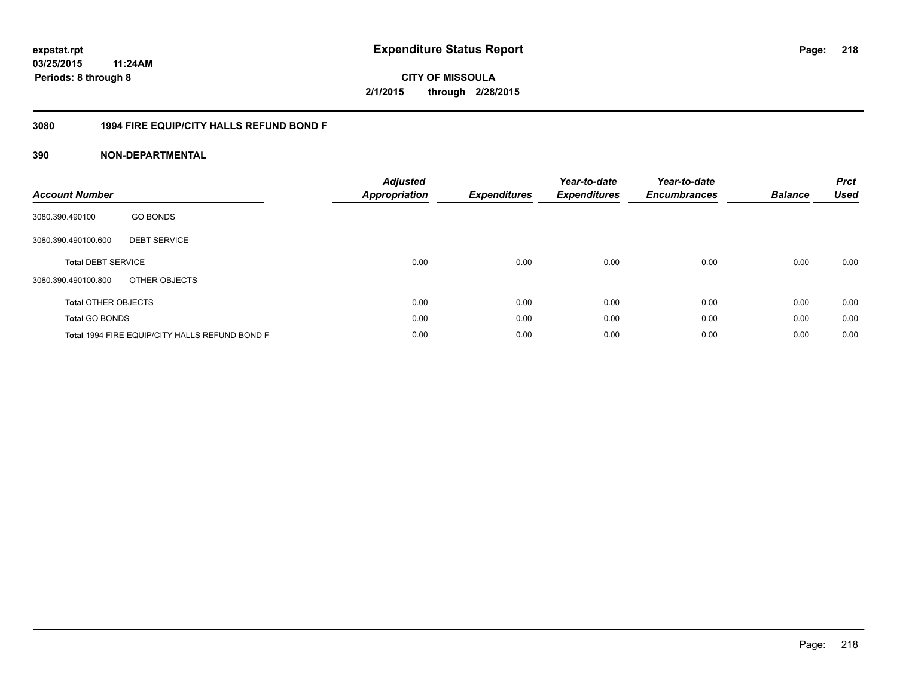### **03/25/2015 11:24AM Periods: 8 through 8**

**CITY OF MISSOULA 2/1/2015 through 2/28/2015**

### **3080 1994 FIRE EQUIP/CITY HALLS REFUND BOND F**

| <b>Account Number</b>      |                                                | <b>Adjusted</b><br>Appropriation | <b>Expenditures</b> | Year-to-date<br><b>Expenditures</b> | Year-to-date<br><b>Encumbrances</b> | <b>Balance</b> | <b>Prct</b><br><b>Used</b> |
|----------------------------|------------------------------------------------|----------------------------------|---------------------|-------------------------------------|-------------------------------------|----------------|----------------------------|
| 3080.390.490100            | <b>GO BONDS</b>                                |                                  |                     |                                     |                                     |                |                            |
| 3080.390.490100.600        | <b>DEBT SERVICE</b>                            |                                  |                     |                                     |                                     |                |                            |
| <b>Total DEBT SERVICE</b>  |                                                | 0.00                             | 0.00                | 0.00                                | 0.00                                | 0.00           | 0.00                       |
| 3080.390.490100.800        | OTHER OBJECTS                                  |                                  |                     |                                     |                                     |                |                            |
| <b>Total OTHER OBJECTS</b> |                                                | 0.00                             | 0.00                | 0.00                                | 0.00                                | 0.00           | 0.00                       |
| <b>Total GO BONDS</b>      |                                                | 0.00                             | 0.00                | 0.00                                | 0.00                                | 0.00           | 0.00                       |
|                            | Total 1994 FIRE EQUIP/CITY HALLS REFUND BOND F | 0.00                             | 0.00                | 0.00                                | 0.00                                | 0.00           | 0.00                       |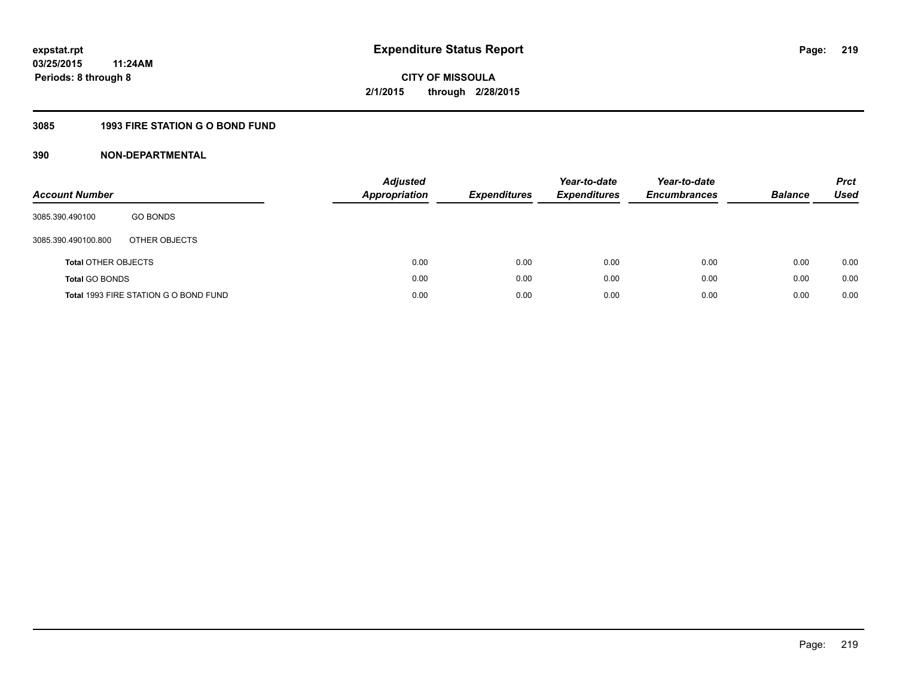### **3085 1993 FIRE STATION G O BOND FUND**

| <b>Account Number</b>      |                                       | <b>Adjusted</b><br>Appropriation | <b>Expenditures</b> | Year-to-date<br><b>Expenditures</b> | Year-to-date<br><b>Encumbrances</b> | <b>Balance</b> | <b>Prct</b><br>Used |
|----------------------------|---------------------------------------|----------------------------------|---------------------|-------------------------------------|-------------------------------------|----------------|---------------------|
| 3085.390.490100            | <b>GO BONDS</b>                       |                                  |                     |                                     |                                     |                |                     |
| 3085.390.490100.800        | OTHER OBJECTS                         |                                  |                     |                                     |                                     |                |                     |
| <b>Total OTHER OBJECTS</b> |                                       | 0.00                             | 0.00                | 0.00                                | 0.00                                | 0.00           | 0.00                |
| <b>Total GO BONDS</b>      |                                       | 0.00                             | 0.00                | 0.00                                | 0.00                                | 0.00           | 0.00                |
|                            | Total 1993 FIRE STATION G O BOND FUND | 0.00                             | 0.00                | 0.00                                | 0.00                                | 0.00           | 0.00                |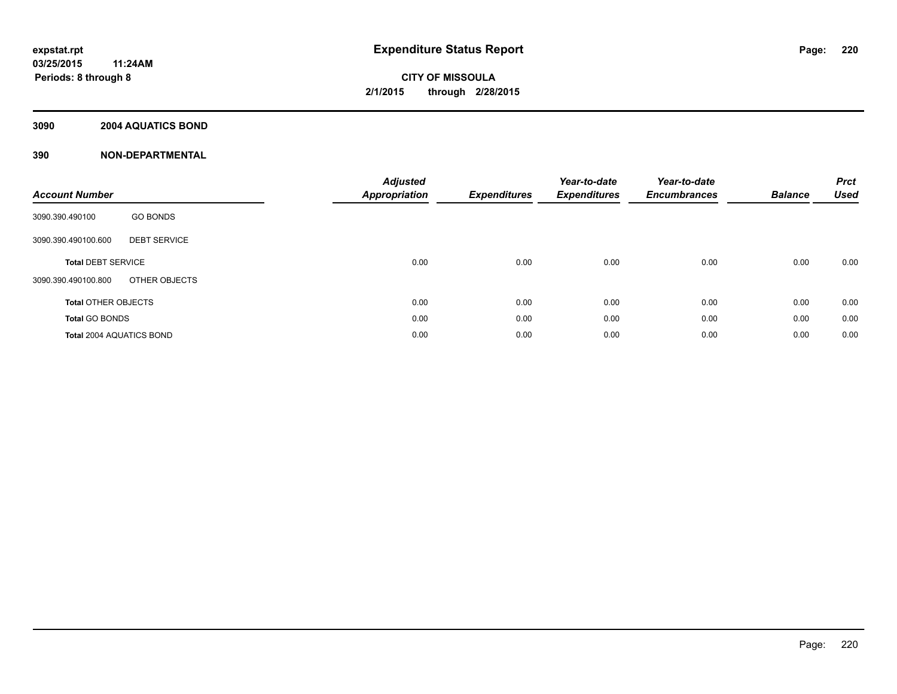### **3090 2004 AQUATICS BOND**

| <b>Account Number</b>           |                     | <b>Adjusted</b><br><b>Appropriation</b> | <b>Expenditures</b> | Year-to-date<br><b>Expenditures</b> | Year-to-date<br><b>Encumbrances</b> | <b>Balance</b> | <b>Prct</b><br><b>Used</b> |
|---------------------------------|---------------------|-----------------------------------------|---------------------|-------------------------------------|-------------------------------------|----------------|----------------------------|
| 3090.390.490100                 | <b>GO BONDS</b>     |                                         |                     |                                     |                                     |                |                            |
| 3090.390.490100.600             | <b>DEBT SERVICE</b> |                                         |                     |                                     |                                     |                |                            |
| <b>Total DEBT SERVICE</b>       |                     | 0.00                                    | 0.00                | 0.00                                | 0.00                                | 0.00           | 0.00                       |
| 3090.390.490100.800             | OTHER OBJECTS       |                                         |                     |                                     |                                     |                |                            |
| <b>Total OTHER OBJECTS</b>      |                     | 0.00                                    | 0.00                | 0.00                                | 0.00                                | 0.00           | 0.00                       |
| <b>Total GO BONDS</b>           |                     | 0.00                                    | 0.00                | 0.00                                | 0.00                                | 0.00           | 0.00                       |
| <b>Total 2004 AQUATICS BOND</b> |                     | 0.00                                    | 0.00                | 0.00                                | 0.00                                | 0.00           | 0.00                       |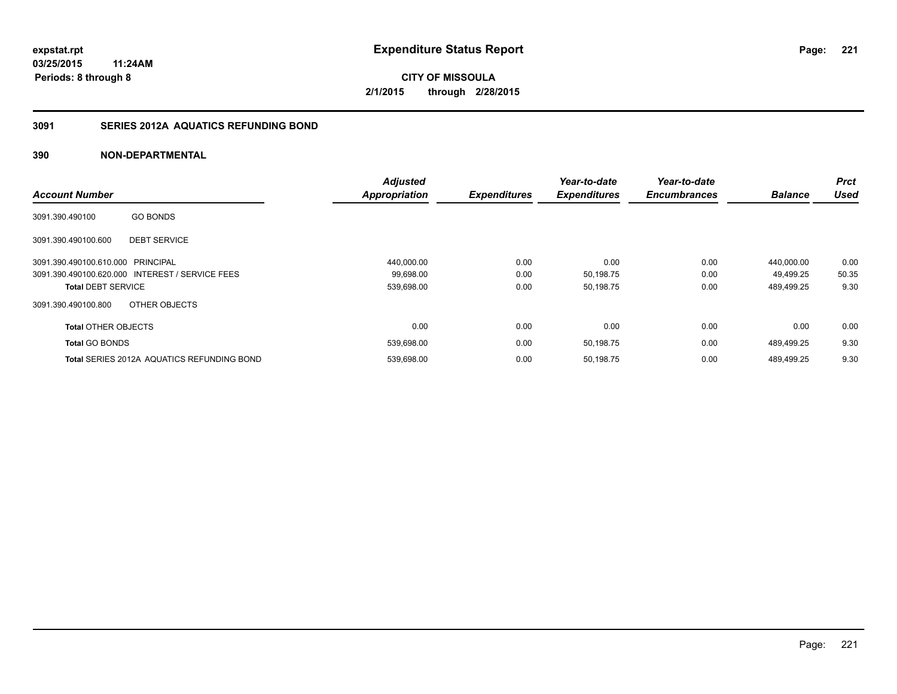### **3091 SERIES 2012A AQUATICS REFUNDING BOND**

|                                   |                                                   | <b>Adjusted</b>      |                     | Year-to-date        | Year-to-date        |                | <b>Prct</b> |
|-----------------------------------|---------------------------------------------------|----------------------|---------------------|---------------------|---------------------|----------------|-------------|
| <b>Account Number</b>             |                                                   | <b>Appropriation</b> | <b>Expenditures</b> | <b>Expenditures</b> | <b>Encumbrances</b> | <b>Balance</b> | <b>Used</b> |
| 3091.390.490100                   | <b>GO BONDS</b>                                   |                      |                     |                     |                     |                |             |
| 3091.390.490100.600               | <b>DEBT SERVICE</b>                               |                      |                     |                     |                     |                |             |
| 3091.390.490100.610.000 PRINCIPAL |                                                   | 440,000.00           | 0.00                | 0.00                | 0.00                | 440.000.00     | 0.00        |
|                                   | 3091.390.490100.620.000 INTEREST / SERVICE FEES   | 99,698.00            | 0.00                | 50,198.75           | 0.00                | 49,499.25      | 50.35       |
| <b>Total DEBT SERVICE</b>         |                                                   | 539,698.00           | 0.00                | 50,198.75           | 0.00                | 489,499.25     | 9.30        |
| 3091.390.490100.800               | OTHER OBJECTS                                     |                      |                     |                     |                     |                |             |
| <b>Total OTHER OBJECTS</b>        |                                                   | 0.00                 | 0.00                | 0.00                | 0.00                | 0.00           | 0.00        |
| <b>Total GO BONDS</b>             |                                                   | 539,698.00           | 0.00                | 50,198.75           | 0.00                | 489.499.25     | 9.30        |
|                                   | <b>Total SERIES 2012A AQUATICS REFUNDING BOND</b> | 539,698.00           | 0.00                | 50,198.75           | 0.00                | 489.499.25     | 9.30        |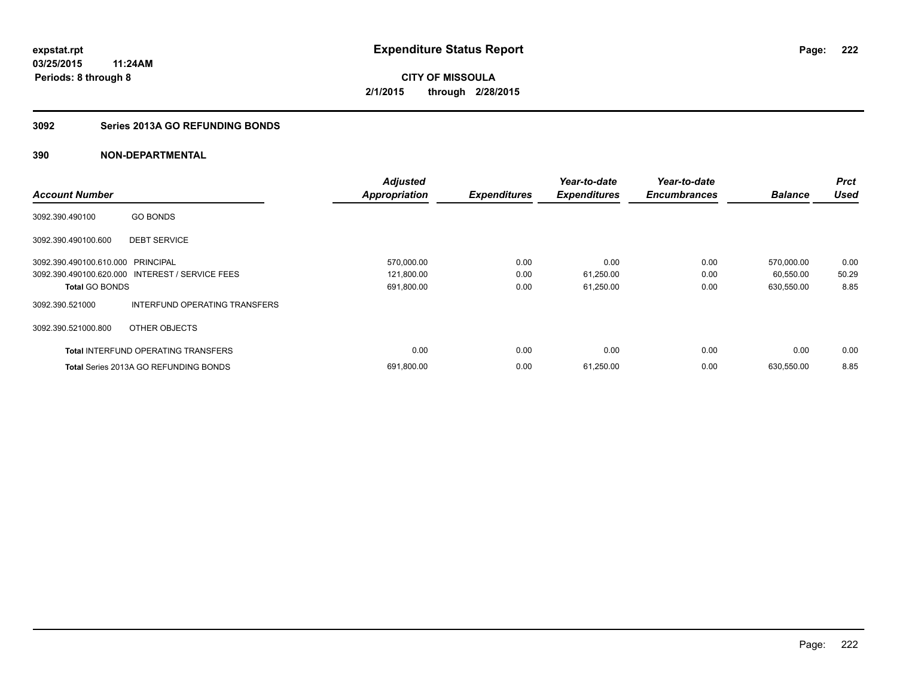### **3092 Series 2013A GO REFUNDING BONDS**

|                                   |                                                 | <b>Adjusted</b>      |                     | Year-to-date        | Year-to-date        |                | <b>Prct</b> |
|-----------------------------------|-------------------------------------------------|----------------------|---------------------|---------------------|---------------------|----------------|-------------|
| <b>Account Number</b>             |                                                 | <b>Appropriation</b> | <b>Expenditures</b> | <b>Expenditures</b> | <b>Encumbrances</b> | <b>Balance</b> | <b>Used</b> |
| 3092.390.490100                   | <b>GO BONDS</b>                                 |                      |                     |                     |                     |                |             |
| 3092.390.490100.600               | <b>DEBT SERVICE</b>                             |                      |                     |                     |                     |                |             |
| 3092.390.490100.610.000 PRINCIPAL |                                                 | 570,000.00           | 0.00                | 0.00                | 0.00                | 570,000.00     | 0.00        |
|                                   | 3092.390.490100.620.000 INTEREST / SERVICE FEES | 121,800.00           | 0.00                | 61,250.00           | 0.00                | 60,550.00      | 50.29       |
| <b>Total GO BONDS</b>             |                                                 | 691,800.00           | 0.00                | 61,250.00           | 0.00                | 630,550.00     | 8.85        |
| 3092.390.521000                   | INTERFUND OPERATING TRANSFERS                   |                      |                     |                     |                     |                |             |
| 3092.390.521000.800               | OTHER OBJECTS                                   |                      |                     |                     |                     |                |             |
|                                   | <b>Total INTERFUND OPERATING TRANSFERS</b>      | 0.00                 | 0.00                | 0.00                | 0.00                | 0.00           | 0.00        |
|                                   | <b>Total Series 2013A GO REFUNDING BONDS</b>    | 691,800.00           | 0.00                | 61,250.00           | 0.00                | 630,550.00     | 8.85        |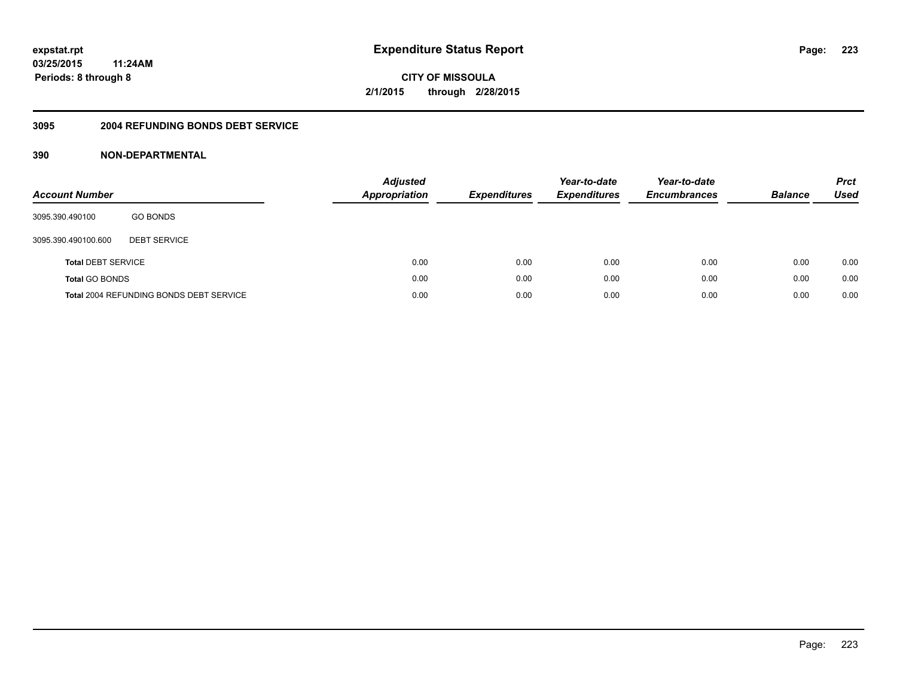### **03/25/2015 11:24AM Periods: 8 through 8**

**CITY OF MISSOULA 2/1/2015 through 2/28/2015**

#### **3095 2004 REFUNDING BONDS DEBT SERVICE**

| <b>Account Number</b>     |                                         | Adjusted<br><b>Appropriation</b> | <b>Expenditures</b> | Year-to-date<br><b>Expenditures</b> | Year-to-date<br><b>Encumbrances</b> | <b>Balance</b> | <b>Prct</b><br>Used |
|---------------------------|-----------------------------------------|----------------------------------|---------------------|-------------------------------------|-------------------------------------|----------------|---------------------|
| 3095.390.490100           | <b>GO BONDS</b>                         |                                  |                     |                                     |                                     |                |                     |
| 3095.390.490100.600       | <b>DEBT SERVICE</b>                     |                                  |                     |                                     |                                     |                |                     |
| <b>Total DEBT SERVICE</b> |                                         | 0.00                             | 0.00                | 0.00                                | 0.00                                | 0.00           | 0.00                |
| <b>Total GO BONDS</b>     |                                         | 0.00                             | 0.00                | 0.00                                | 0.00                                | 0.00           | 0.00                |
|                           | Total 2004 REFUNDING BONDS DEBT SERVICE | 0.00                             | 0.00                | 0.00                                | 0.00                                | 0.00           | 0.00                |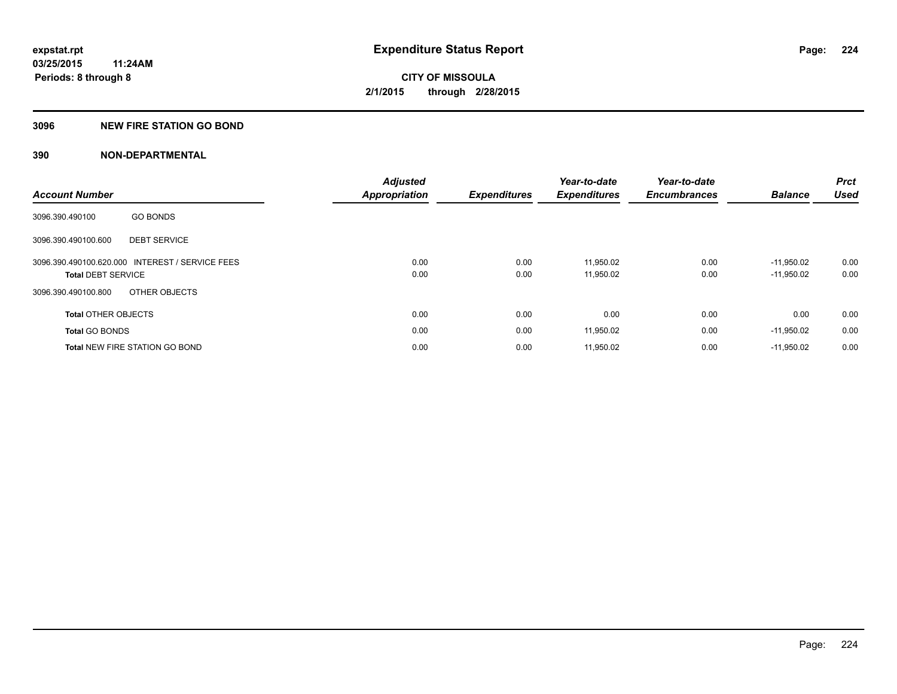### **3096 NEW FIRE STATION GO BOND**

|                                                 | <b>Adjusted</b>      |                     | Year-to-date        | Year-to-date        |                | <b>Prct</b> |
|-------------------------------------------------|----------------------|---------------------|---------------------|---------------------|----------------|-------------|
| <b>Account Number</b>                           | <b>Appropriation</b> | <b>Expenditures</b> | <b>Expenditures</b> | <b>Encumbrances</b> | <b>Balance</b> | <b>Used</b> |
| <b>GO BONDS</b><br>3096.390.490100              |                      |                     |                     |                     |                |             |
| <b>DEBT SERVICE</b><br>3096.390.490100.600      |                      |                     |                     |                     |                |             |
| 3096.390.490100.620.000 INTEREST / SERVICE FEES | 0.00                 | 0.00                | 11,950.02           | 0.00                | $-11.950.02$   | 0.00        |
| <b>Total DEBT SERVICE</b>                       | 0.00                 | 0.00                | 11,950.02           | 0.00                | $-11,950.02$   | 0.00        |
| OTHER OBJECTS<br>3096.390.490100.800            |                      |                     |                     |                     |                |             |
| <b>Total OTHER OBJECTS</b>                      | 0.00                 | 0.00                | 0.00                | 0.00                | 0.00           | 0.00        |
| <b>Total GO BONDS</b>                           | 0.00                 | 0.00                | 11,950.02           | 0.00                | $-11,950.02$   | 0.00        |
| <b>Total NEW FIRE STATION GO BOND</b>           | 0.00                 | 0.00                | 11,950.02           | 0.00                | $-11.950.02$   | 0.00        |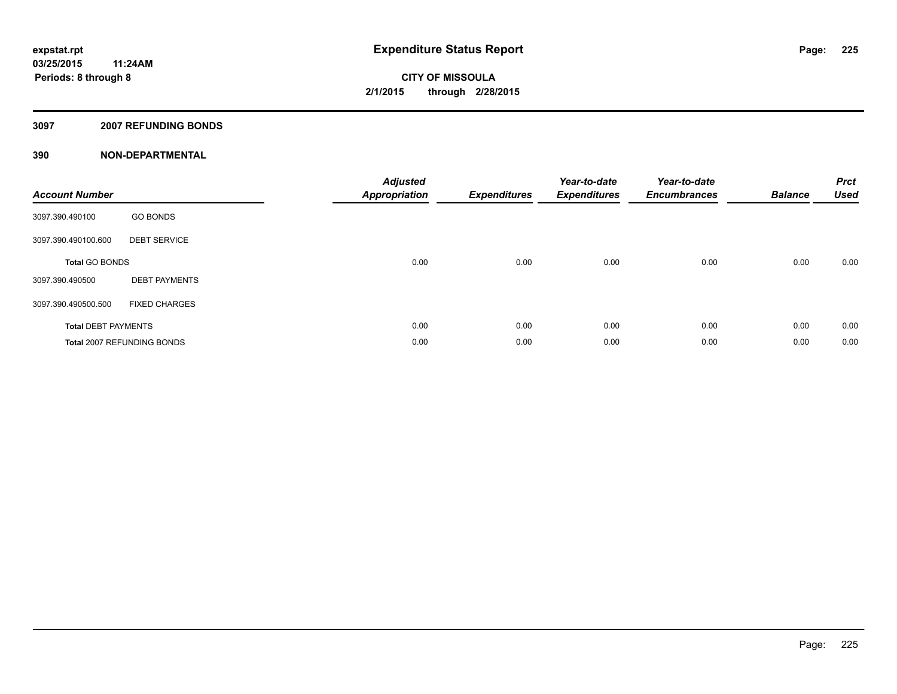#### **3097 2007 REFUNDING BONDS**

| <b>Account Number</b>      |                            | <b>Adjusted</b><br><b>Appropriation</b> | <b>Expenditures</b> | Year-to-date<br><b>Expenditures</b> | Year-to-date<br><b>Encumbrances</b> | <b>Balance</b> | <b>Prct</b><br><b>Used</b> |
|----------------------------|----------------------------|-----------------------------------------|---------------------|-------------------------------------|-------------------------------------|----------------|----------------------------|
| 3097.390.490100            | <b>GO BONDS</b>            |                                         |                     |                                     |                                     |                |                            |
| 3097.390.490100.600        | <b>DEBT SERVICE</b>        |                                         |                     |                                     |                                     |                |                            |
| <b>Total GO BONDS</b>      |                            | 0.00                                    | 0.00                | 0.00                                | 0.00                                | 0.00           | 0.00                       |
| 3097.390.490500            | <b>DEBT PAYMENTS</b>       |                                         |                     |                                     |                                     |                |                            |
| 3097.390.490500.500        | <b>FIXED CHARGES</b>       |                                         |                     |                                     |                                     |                |                            |
| <b>Total DEBT PAYMENTS</b> |                            | 0.00                                    | 0.00                | 0.00                                | 0.00                                | 0.00           | 0.00                       |
|                            | Total 2007 REFUNDING BONDS | 0.00                                    | 0.00                | 0.00                                | 0.00                                | 0.00           | 0.00                       |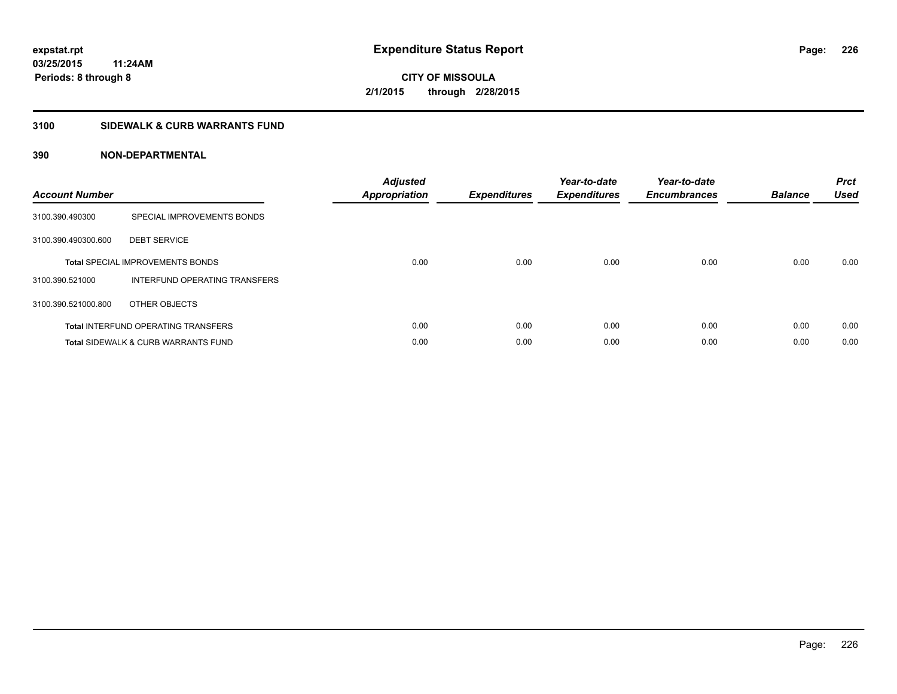### **3100 SIDEWALK & CURB WARRANTS FUND**

| <b>Account Number</b> |                                                | <b>Adjusted</b><br><b>Appropriation</b> | <b>Expenditures</b> | Year-to-date<br><b>Expenditures</b> | Year-to-date<br><b>Encumbrances</b> | <b>Balance</b> | <b>Prct</b><br><b>Used</b> |
|-----------------------|------------------------------------------------|-----------------------------------------|---------------------|-------------------------------------|-------------------------------------|----------------|----------------------------|
| 3100.390.490300       | SPECIAL IMPROVEMENTS BONDS                     |                                         |                     |                                     |                                     |                |                            |
| 3100.390.490300.600   | <b>DEBT SERVICE</b>                            |                                         |                     |                                     |                                     |                |                            |
|                       | <b>Total SPECIAL IMPROVEMENTS BONDS</b>        | 0.00                                    | 0.00                | 0.00                                | 0.00                                | 0.00           | 0.00                       |
| 3100.390.521000       | INTERFUND OPERATING TRANSFERS                  |                                         |                     |                                     |                                     |                |                            |
| 3100.390.521000.800   | OTHER OBJECTS                                  |                                         |                     |                                     |                                     |                |                            |
|                       | <b>Total INTERFUND OPERATING TRANSFERS</b>     | 0.00                                    | 0.00                | 0.00                                | 0.00                                | 0.00           | 0.00                       |
|                       | <b>Total SIDEWALK &amp; CURB WARRANTS FUND</b> | 0.00                                    | 0.00                | 0.00                                | 0.00                                | 0.00           | 0.00                       |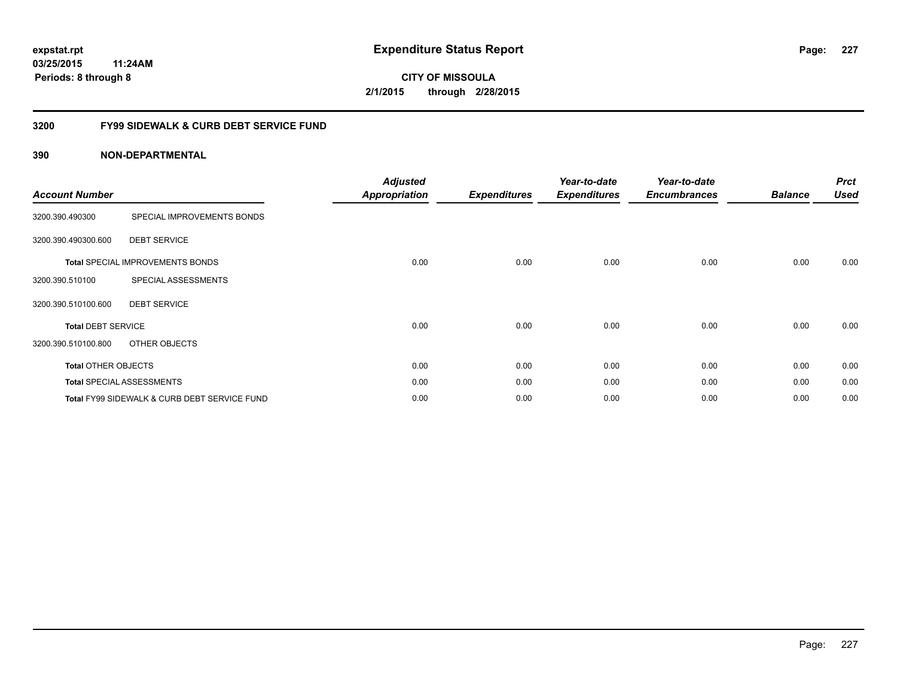### **03/25/2015 11:24AM Periods: 8 through 8**

**CITY OF MISSOULA 2/1/2015 through 2/28/2015**

### **3200 FY99 SIDEWALK & CURB DEBT SERVICE FUND**

| <b>Account Number</b>      |                                              | <b>Adjusted</b><br><b>Appropriation</b> | <b>Expenditures</b> | Year-to-date<br><b>Expenditures</b> | Year-to-date<br><b>Encumbrances</b> | <b>Balance</b> | <b>Prct</b><br><b>Used</b> |
|----------------------------|----------------------------------------------|-----------------------------------------|---------------------|-------------------------------------|-------------------------------------|----------------|----------------------------|
| 3200.390.490300            | SPECIAL IMPROVEMENTS BONDS                   |                                         |                     |                                     |                                     |                |                            |
| 3200.390.490300.600        | <b>DEBT SERVICE</b>                          |                                         |                     |                                     |                                     |                |                            |
|                            | <b>Total SPECIAL IMPROVEMENTS BONDS</b>      | 0.00                                    | 0.00                | 0.00                                | 0.00                                | 0.00           | 0.00                       |
| 3200.390.510100            | SPECIAL ASSESSMENTS                          |                                         |                     |                                     |                                     |                |                            |
| 3200.390.510100.600        | <b>DEBT SERVICE</b>                          |                                         |                     |                                     |                                     |                |                            |
| <b>Total DEBT SERVICE</b>  |                                              | 0.00                                    | 0.00                | 0.00                                | 0.00                                | 0.00           | 0.00                       |
| 3200.390.510100.800        | OTHER OBJECTS                                |                                         |                     |                                     |                                     |                |                            |
| <b>Total OTHER OBJECTS</b> |                                              | 0.00                                    | 0.00                | 0.00                                | 0.00                                | 0.00           | 0.00                       |
|                            | <b>Total SPECIAL ASSESSMENTS</b>             | 0.00                                    | 0.00                | 0.00                                | 0.00                                | 0.00           | 0.00                       |
|                            | Total FY99 SIDEWALK & CURB DEBT SERVICE FUND | 0.00                                    | 0.00                | 0.00                                | 0.00                                | 0.00           | 0.00                       |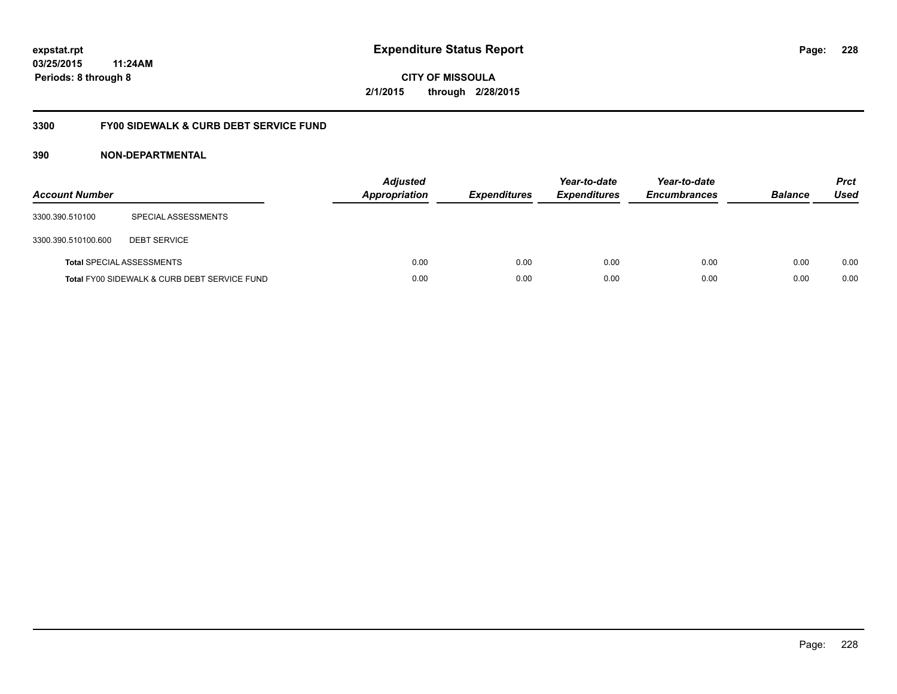### **03/25/2015 11:24AM Periods: 8 through 8**

**CITY OF MISSOULA 2/1/2015 through 2/28/2015**

### **3300 FY00 SIDEWALK & CURB DEBT SERVICE FUND**

| <b>Account Number</b> |                                              | <b>Adjusted</b><br><b>Appropriation</b> | <b>Expenditures</b> | Year-to-date<br><b>Expenditures</b> | Year-to-date<br><b>Encumbrances</b> | <b>Balance</b> | <b>Prct</b><br>Used |
|-----------------------|----------------------------------------------|-----------------------------------------|---------------------|-------------------------------------|-------------------------------------|----------------|---------------------|
| 3300.390.510100       | SPECIAL ASSESSMENTS                          |                                         |                     |                                     |                                     |                |                     |
| 3300.390.510100.600   | <b>DEBT SERVICE</b>                          |                                         |                     |                                     |                                     |                |                     |
|                       | <b>Total SPECIAL ASSESSMENTS</b>             | 0.00                                    | 0.00                | 0.00                                | 0.00                                | 0.00           | 0.00                |
|                       | Total FY00 SIDEWALK & CURB DEBT SERVICE FUND | 0.00                                    | 0.00                | 0.00                                | 0.00                                | 0.00           | 0.00                |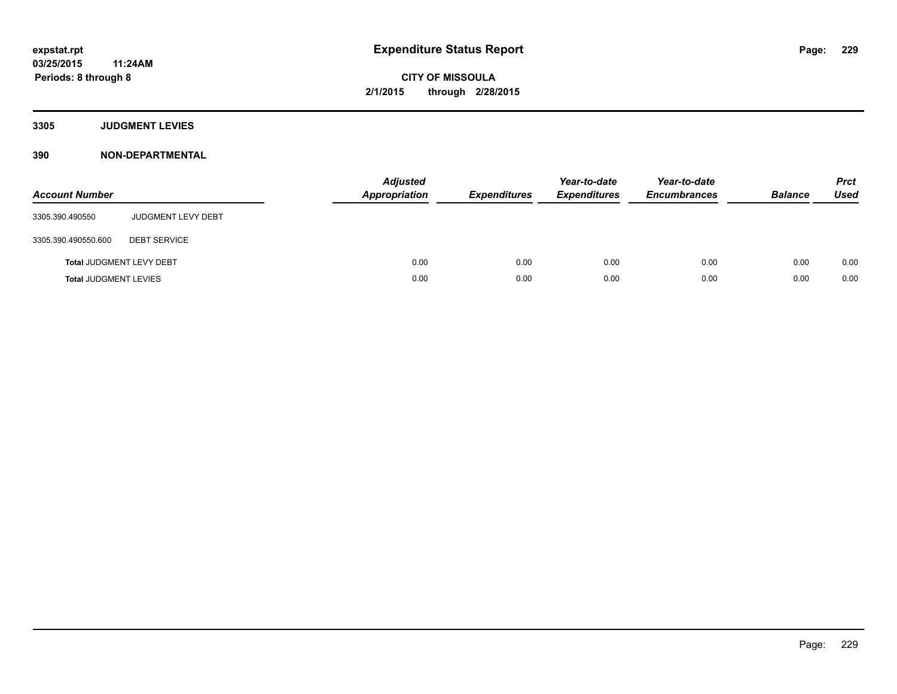**3305 JUDGMENT LEVIES**

| <b>Account Number</b>           |                           | <b>Adjusted</b><br>Appropriation | <b>Expenditures</b> | Year-to-date<br><b>Expenditures</b> | Year-to-date<br><b>Encumbrances</b> | <b>Balance</b> | <b>Prct</b><br><b>Used</b> |
|---------------------------------|---------------------------|----------------------------------|---------------------|-------------------------------------|-------------------------------------|----------------|----------------------------|
| 3305.390.490550                 | <b>JUDGMENT LEVY DEBT</b> |                                  |                     |                                     |                                     |                |                            |
| 3305.390.490550.600             | <b>DEBT SERVICE</b>       |                                  |                     |                                     |                                     |                |                            |
| <b>Total JUDGMENT LEVY DEBT</b> |                           | 0.00                             | 0.00                | 0.00                                | 0.00                                | 0.00           | 0.00                       |
| <b>Total JUDGMENT LEVIES</b>    |                           | 0.00                             | 0.00                | 0.00                                | 0.00                                | 0.00           | 0.00                       |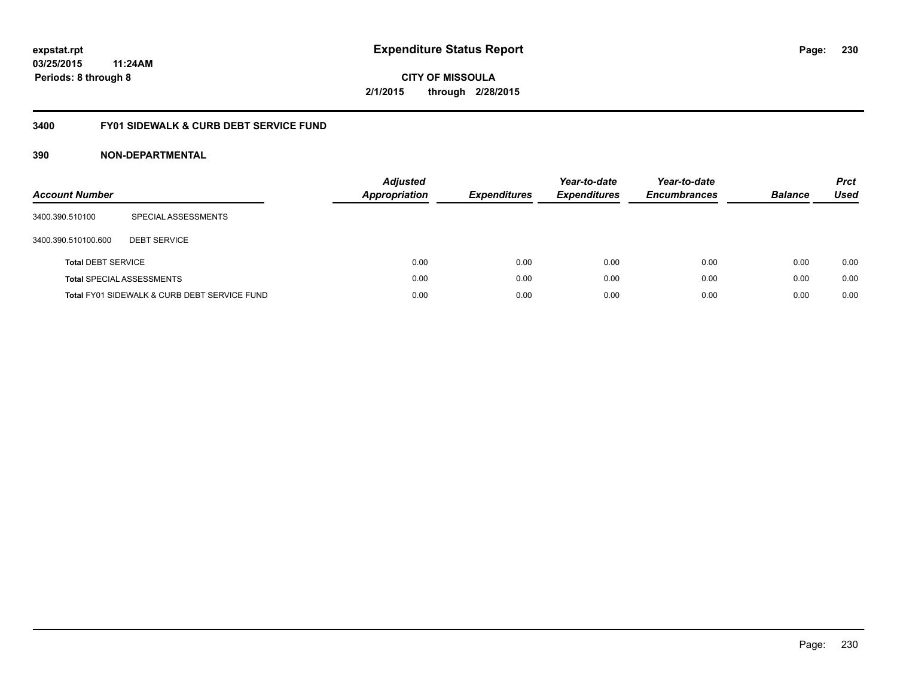### **03/25/2015 11:24AM Periods: 8 through 8**

**CITY OF MISSOULA 2/1/2015 through 2/28/2015**

### **3400 FY01 SIDEWALK & CURB DEBT SERVICE FUND**

| <b>Account Number</b>     |                                              | <b>Adjusted</b><br>Appropriation | <b>Expenditures</b> | Year-to-date<br><b>Expenditures</b> | Year-to-date<br><b>Encumbrances</b> | <b>Balance</b> | <b>Prct</b><br>Used |
|---------------------------|----------------------------------------------|----------------------------------|---------------------|-------------------------------------|-------------------------------------|----------------|---------------------|
| 3400.390.510100           | SPECIAL ASSESSMENTS                          |                                  |                     |                                     |                                     |                |                     |
| 3400.390.510100.600       | <b>DEBT SERVICE</b>                          |                                  |                     |                                     |                                     |                |                     |
| <b>Total DEBT SERVICE</b> |                                              | 0.00                             | 0.00                | 0.00                                | 0.00                                | 0.00           | 0.00                |
|                           | <b>Total SPECIAL ASSESSMENTS</b>             | 0.00                             | 0.00                | 0.00                                | 0.00                                | 0.00           | 0.00                |
|                           | Total FY01 SIDEWALK & CURB DEBT SERVICE FUND | 0.00                             | 0.00                | 0.00                                | 0.00                                | 0.00           | 0.00                |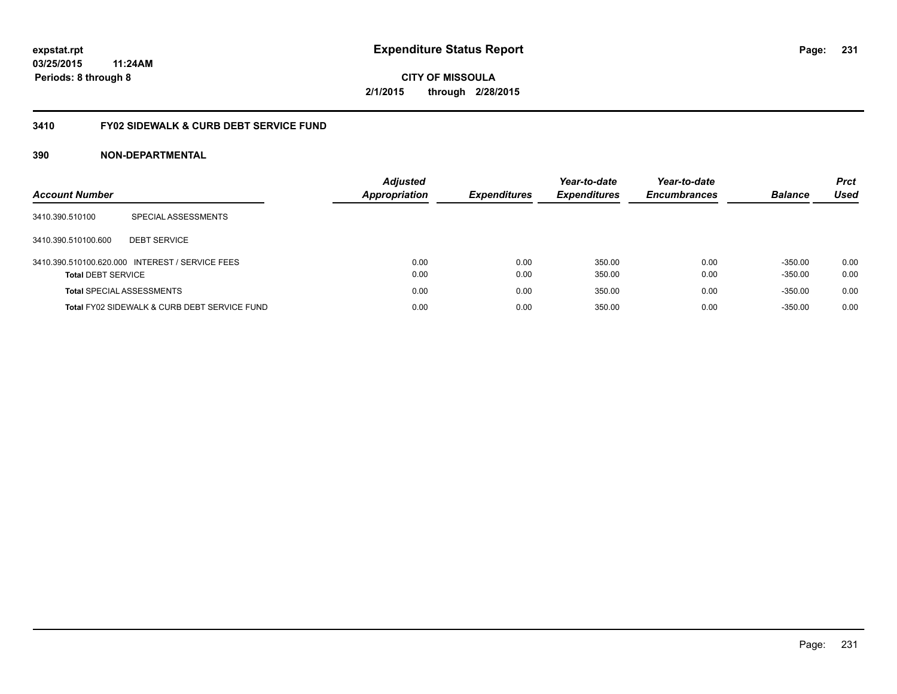### **03/25/2015 11:24AM Periods: 8 through 8**

**CITY OF MISSOULA 2/1/2015 through 2/28/2015**

### **3410 FY02 SIDEWALK & CURB DEBT SERVICE FUND**

| <b>Account Number</b>            |                                                 | <b>Adjusted</b><br><b>Appropriation</b> | <b>Expenditures</b> | Year-to-date<br><b>Expenditures</b> | Year-to-date<br><b>Encumbrances</b> | <b>Balance</b> | <b>Prct</b><br>Used |
|----------------------------------|-------------------------------------------------|-----------------------------------------|---------------------|-------------------------------------|-------------------------------------|----------------|---------------------|
| 3410.390.510100                  | SPECIAL ASSESSMENTS                             |                                         |                     |                                     |                                     |                |                     |
| 3410.390.510100.600              | <b>DEBT SERVICE</b>                             |                                         |                     |                                     |                                     |                |                     |
|                                  | 3410.390.510100.620.000 INTEREST / SERVICE FEES | 0.00                                    | 0.00                | 350.00                              | 0.00                                | $-350.00$      | 0.00                |
| <b>Total DEBT SERVICE</b>        |                                                 | 0.00                                    | 0.00                | 350.00                              | 0.00                                | $-350.00$      | 0.00                |
| <b>Total SPECIAL ASSESSMENTS</b> |                                                 | 0.00                                    | 0.00                | 350.00                              | 0.00                                | $-350.00$      | 0.00                |
|                                  | Total FY02 SIDEWALK & CURB DEBT SERVICE FUND    | 0.00                                    | 0.00                | 350.00                              | 0.00                                | $-350.00$      | 0.00                |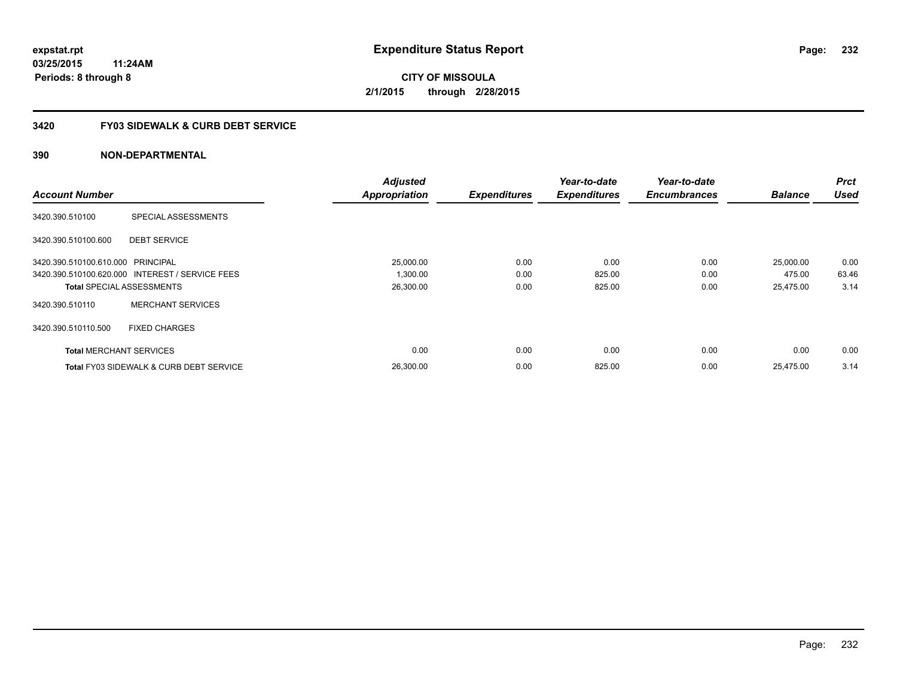### **3420 FY03 SIDEWALK & CURB DEBT SERVICE**

|                                   |                                                    | <b>Adjusted</b>      |                     | Year-to-date        | Year-to-date        |                | <b>Prct</b> |
|-----------------------------------|----------------------------------------------------|----------------------|---------------------|---------------------|---------------------|----------------|-------------|
| <b>Account Number</b>             |                                                    | <b>Appropriation</b> | <b>Expenditures</b> | <b>Expenditures</b> | <b>Encumbrances</b> | <b>Balance</b> | <b>Used</b> |
| 3420.390.510100                   | SPECIAL ASSESSMENTS                                |                      |                     |                     |                     |                |             |
| 3420.390.510100.600               | <b>DEBT SERVICE</b>                                |                      |                     |                     |                     |                |             |
| 3420.390.510100.610.000 PRINCIPAL |                                                    | 25,000.00            | 0.00                | 0.00                | 0.00                | 25,000.00      | 0.00        |
|                                   | 3420.390.510100.620.000 INTEREST / SERVICE FEES    | 1,300.00             | 0.00                | 825.00              | 0.00                | 475.00         | 63.46       |
|                                   | <b>Total SPECIAL ASSESSMENTS</b>                   | 26,300.00            | 0.00                | 825.00              | 0.00                | 25,475.00      | 3.14        |
| 3420.390.510110                   | <b>MERCHANT SERVICES</b>                           |                      |                     |                     |                     |                |             |
| 3420.390.510110.500               | <b>FIXED CHARGES</b>                               |                      |                     |                     |                     |                |             |
| <b>Total MERCHANT SERVICES</b>    |                                                    | 0.00                 | 0.00                | 0.00                | 0.00                | 0.00           | 0.00        |
|                                   | <b>Total FY03 SIDEWALK &amp; CURB DEBT SERVICE</b> | 26.300.00            | 0.00                | 825.00              | 0.00                | 25.475.00      | 3.14        |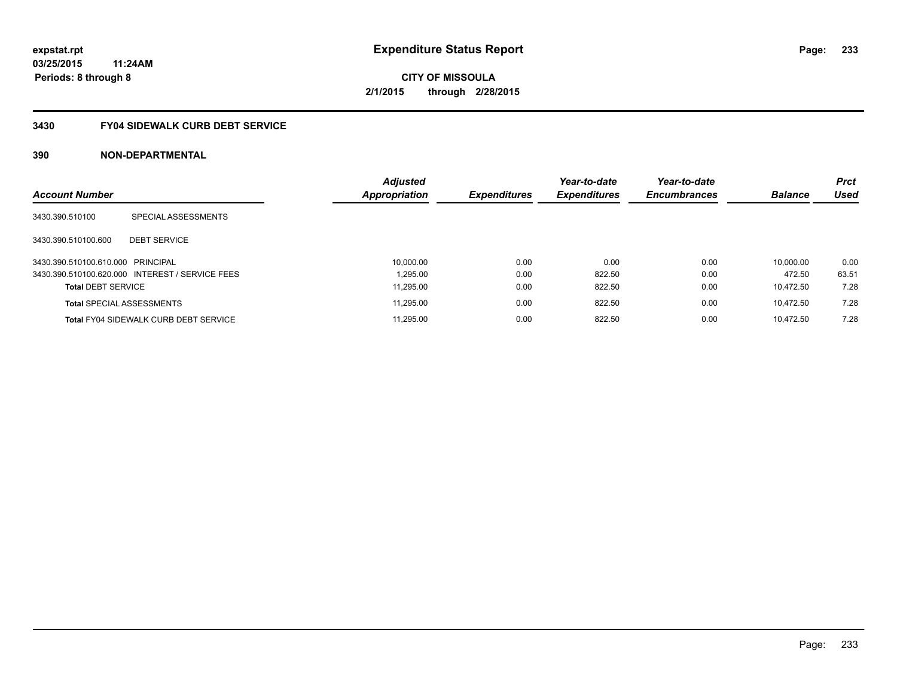### **3430 FY04 SIDEWALK CURB DEBT SERVICE**

| <b>Account Number</b>             |                                                 | <b>Adjusted</b><br>Appropriation | <b>Expenditures</b> | Year-to-date<br><b>Expenditures</b> | Year-to-date<br><b>Encumbrances</b> | <b>Balance</b> | <b>Prct</b><br><b>Used</b> |
|-----------------------------------|-------------------------------------------------|----------------------------------|---------------------|-------------------------------------|-------------------------------------|----------------|----------------------------|
|                                   |                                                 |                                  |                     |                                     |                                     |                |                            |
| 3430.390.510100                   | SPECIAL ASSESSMENTS                             |                                  |                     |                                     |                                     |                |                            |
| 3430.390.510100.600               | <b>DEBT SERVICE</b>                             |                                  |                     |                                     |                                     |                |                            |
| 3430.390.510100.610.000 PRINCIPAL |                                                 | 10,000.00                        | 0.00                | 0.00                                | 0.00                                | 10.000.00      | 0.00                       |
|                                   | 3430.390.510100.620.000 INTEREST / SERVICE FEES | 1.295.00                         | 0.00                | 822.50                              | 0.00                                | 472.50         | 63.51                      |
| <b>Total DEBT SERVICE</b>         |                                                 | 11.295.00                        | 0.00                | 822.50                              | 0.00                                | 10.472.50      | 7.28                       |
|                                   | <b>Total SPECIAL ASSESSMENTS</b>                | 11,295.00                        | 0.00                | 822.50                              | 0.00                                | 10.472.50      | 7.28                       |
|                                   | <b>Total FY04 SIDEWALK CURB DEBT SERVICE</b>    | 11.295.00                        | 0.00                | 822.50                              | 0.00                                | 10.472.50      | 7.28                       |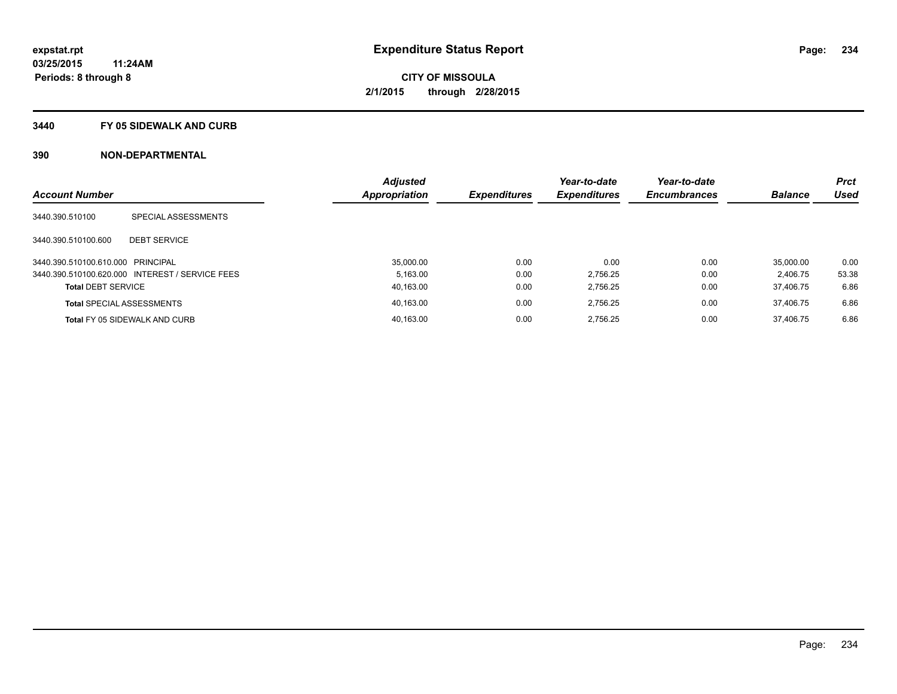#### **3440 FY 05 SIDEWALK AND CURB**

|                                   |                                                 | <b>Adjusted</b> |                     | Year-to-date        | Year-to-date        |                | <b>Prct</b> |
|-----------------------------------|-------------------------------------------------|-----------------|---------------------|---------------------|---------------------|----------------|-------------|
| <b>Account Number</b>             |                                                 | Appropriation   | <b>Expenditures</b> | <b>Expenditures</b> | <b>Encumbrances</b> | <b>Balance</b> | <b>Used</b> |
| 3440.390.510100                   | SPECIAL ASSESSMENTS                             |                 |                     |                     |                     |                |             |
| 3440.390.510100.600               | <b>DEBT SERVICE</b>                             |                 |                     |                     |                     |                |             |
| 3440.390.510100.610.000 PRINCIPAL |                                                 | 35.000.00       | 0.00                | 0.00                | 0.00                | 35.000.00      | 0.00        |
|                                   | 3440.390.510100.620.000 INTEREST / SERVICE FEES | 5.163.00        | 0.00                | 2.756.25            | 0.00                | 2.406.75       | 53.38       |
| <b>Total DEBT SERVICE</b>         |                                                 | 40,163.00       | 0.00                | 2.756.25            | 0.00                | 37.406.75      | 6.86        |
|                                   | <b>Total SPECIAL ASSESSMENTS</b>                | 40.163.00       | 0.00                | 2.756.25            | 0.00                | 37.406.75      | 6.86        |
|                                   | Total FY 05 SIDEWALK AND CURB                   | 40.163.00       | 0.00                | 2.756.25            | 0.00                | 37.406.75      | 6.86        |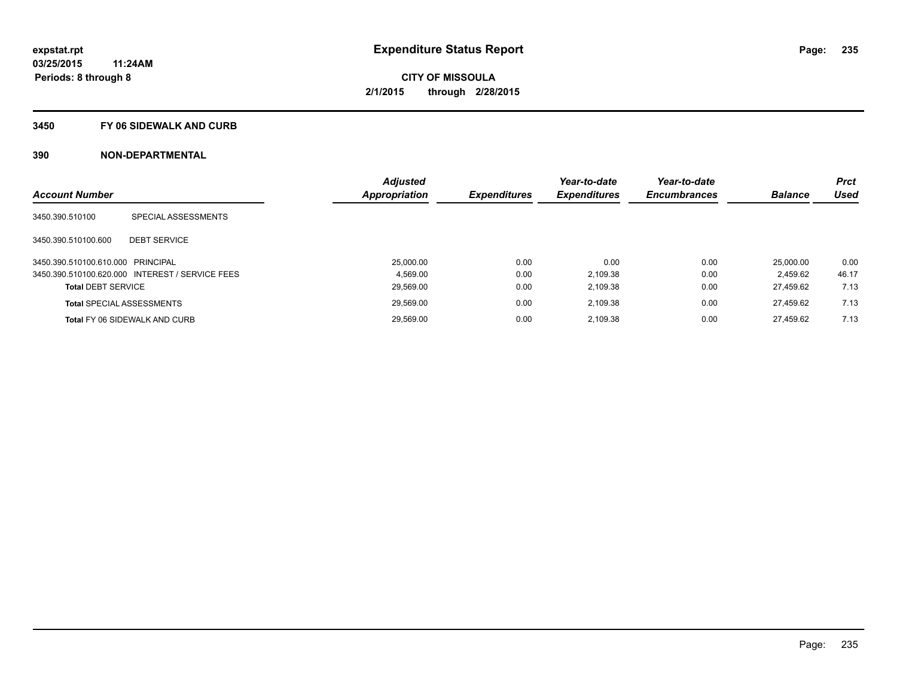#### **3450 FY 06 SIDEWALK AND CURB**

|                                   |                                                 | <b>Adjusted</b> |                     | Year-to-date        | Year-to-date        |                | <b>Prct</b> |
|-----------------------------------|-------------------------------------------------|-----------------|---------------------|---------------------|---------------------|----------------|-------------|
| <b>Account Number</b>             |                                                 | Appropriation   | <b>Expenditures</b> | <b>Expenditures</b> | <b>Encumbrances</b> | <b>Balance</b> | <b>Used</b> |
| 3450.390.510100                   | SPECIAL ASSESSMENTS                             |                 |                     |                     |                     |                |             |
| 3450.390.510100.600               | <b>DEBT SERVICE</b>                             |                 |                     |                     |                     |                |             |
| 3450.390.510100.610.000 PRINCIPAL |                                                 | 25.000.00       | 0.00                | 0.00                | 0.00                | 25.000.00      | 0.00        |
|                                   | 3450.390.510100.620.000 INTEREST / SERVICE FEES | 4.569.00        | 0.00                | 2.109.38            | 0.00                | 2.459.62       | 46.17       |
| <b>Total DEBT SERVICE</b>         |                                                 | 29,569.00       | 0.00                | 2,109.38            | 0.00                | 27.459.62      | 7.13        |
|                                   | <b>Total SPECIAL ASSESSMENTS</b>                | 29,569.00       | 0.00                | 2.109.38            | 0.00                | 27.459.62      | 7.13        |
|                                   | Total FY 06 SIDEWALK AND CURB                   | 29.569.00       | 0.00                | 2,109.38            | 0.00                | 27.459.62      | 7.13        |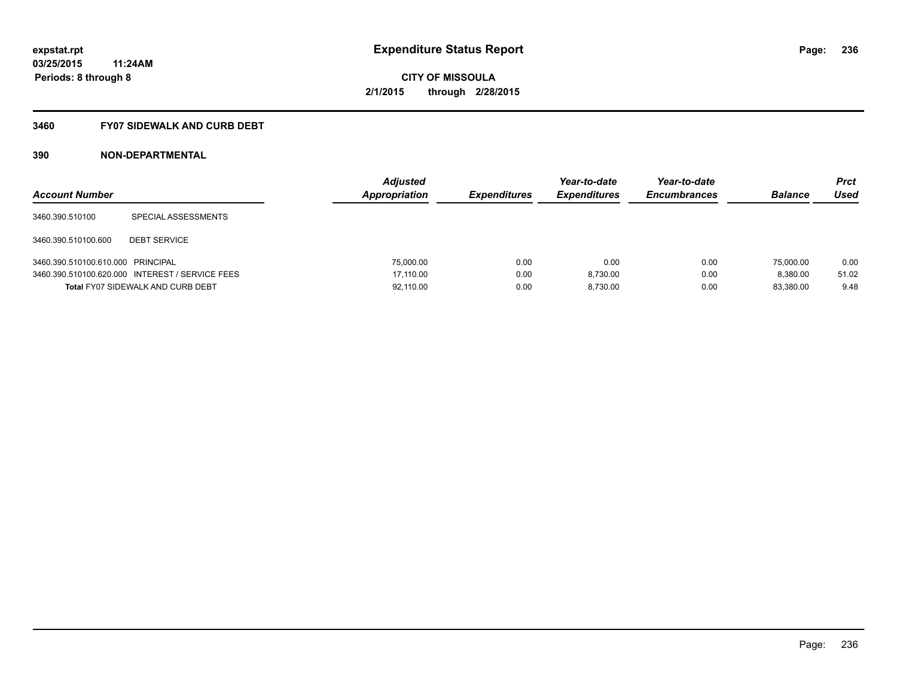### **3460 FY07 SIDEWALK AND CURB DEBT**

| <b>Account Number</b>             |                                                 | <b>Adjusted</b><br>Appropriation | <b>Expenditures</b> | Year-to-date<br><b>Expenditures</b> | Year-to-date<br><b>Encumbrances</b> | <b>Balance</b> | Prct<br>Used |
|-----------------------------------|-------------------------------------------------|----------------------------------|---------------------|-------------------------------------|-------------------------------------|----------------|--------------|
| 3460.390.510100                   | SPECIAL ASSESSMENTS                             |                                  |                     |                                     |                                     |                |              |
| 3460.390.510100.600               | <b>DEBT SERVICE</b>                             |                                  |                     |                                     |                                     |                |              |
| 3460.390.510100.610.000 PRINCIPAL |                                                 | 75,000.00                        | 0.00                | 0.00                                | 0.00                                | 75,000.00      | 0.00         |
|                                   | 3460.390.510100.620.000 INTEREST / SERVICE FEES | 17.110.00                        | 0.00                | 8.730.00                            | 0.00                                | 8.380.00       | 51.02        |
|                                   | <b>Total FY07 SIDEWALK AND CURB DEBT</b>        | 92,110.00                        | 0.00                | 8.730.00                            | 0.00                                | 83.380.00      | 9.48         |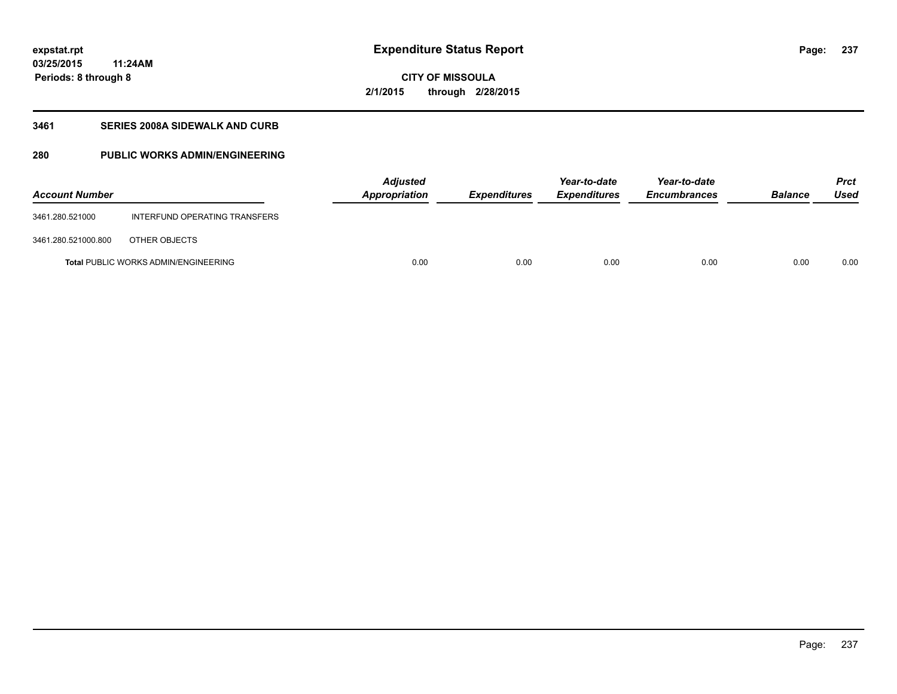**03/25/2015 11:24AM Periods: 8 through 8**

## **CITY OF MISSOULA 2/1/2015 through 2/28/2015**

### **3461 SERIES 2008A SIDEWALK AND CURB**

### **280 PUBLIC WORKS ADMIN/ENGINEERING**

| <b>Account Number</b> |                                             | <b>Adjusted</b><br>Appropriation | <b>Expenditures</b> | Year-to-date<br><b>Expenditures</b> | Year-to-date<br><b>Encumbrances</b> | <b>Balance</b> | <b>Prct</b><br><b>Used</b> |
|-----------------------|---------------------------------------------|----------------------------------|---------------------|-------------------------------------|-------------------------------------|----------------|----------------------------|
| 3461.280.521000       | INTERFUND OPERATING TRANSFERS               |                                  |                     |                                     |                                     |                |                            |
| 3461.280.521000.800   | OTHER OBJECTS                               |                                  |                     |                                     |                                     |                |                            |
|                       | <b>Total PUBLIC WORKS ADMIN/ENGINEERING</b> | 0.00                             | 0.00                | 0.00                                | 0.00                                | 0.00           | 0.00                       |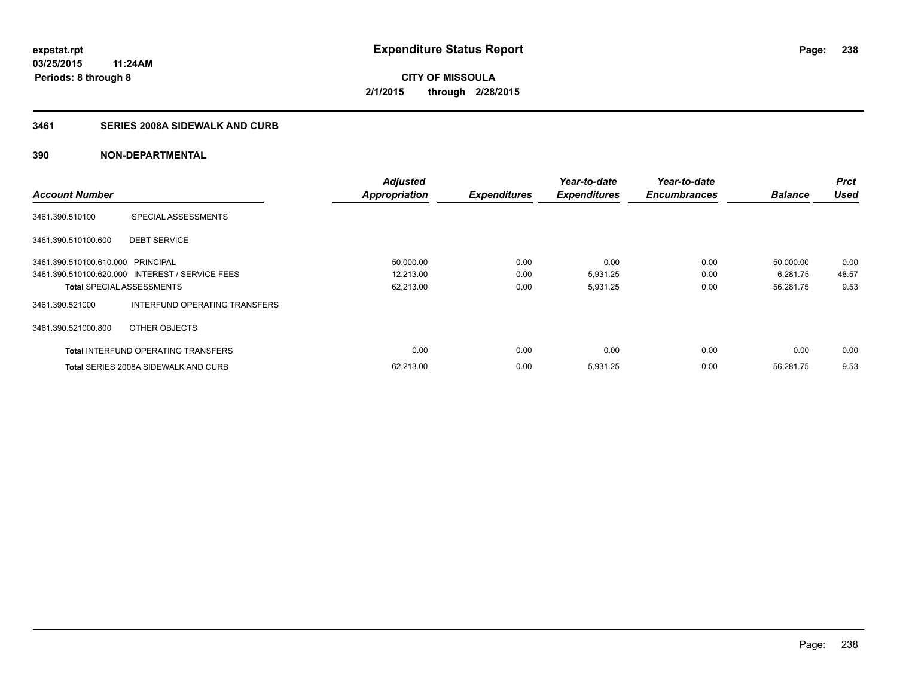### **3461 SERIES 2008A SIDEWALK AND CURB**

|                                   |                                                 | <b>Adjusted</b>      |                     | Year-to-date        | Year-to-date        |                | <b>Prct</b> |
|-----------------------------------|-------------------------------------------------|----------------------|---------------------|---------------------|---------------------|----------------|-------------|
| <b>Account Number</b>             |                                                 | <b>Appropriation</b> | <b>Expenditures</b> | <b>Expenditures</b> | <b>Encumbrances</b> | <b>Balance</b> | <b>Used</b> |
| 3461.390.510100                   | SPECIAL ASSESSMENTS                             |                      |                     |                     |                     |                |             |
| 3461.390.510100.600               | <b>DEBT SERVICE</b>                             |                      |                     |                     |                     |                |             |
| 3461.390.510100.610.000 PRINCIPAL |                                                 | 50,000.00            | 0.00                | 0.00                | 0.00                | 50,000.00      | 0.00        |
|                                   | 3461.390.510100.620.000 INTEREST / SERVICE FEES | 12,213.00            | 0.00                | 5,931.25            | 0.00                | 6,281.75       | 48.57       |
| <b>Total SPECIAL ASSESSMENTS</b>  |                                                 | 62,213.00            | 0.00                | 5,931.25            | 0.00                | 56,281.75      | 9.53        |
| 3461.390.521000                   | INTERFUND OPERATING TRANSFERS                   |                      |                     |                     |                     |                |             |
| 3461.390.521000.800               | OTHER OBJECTS                                   |                      |                     |                     |                     |                |             |
|                                   | <b>Total INTERFUND OPERATING TRANSFERS</b>      | 0.00                 | 0.00                | 0.00                | 0.00                | 0.00           | 0.00        |
|                                   | <b>Total SERIES 2008A SIDEWALK AND CURB</b>     | 62,213.00            | 0.00                | 5,931.25            | 0.00                | 56.281.75      | 9.53        |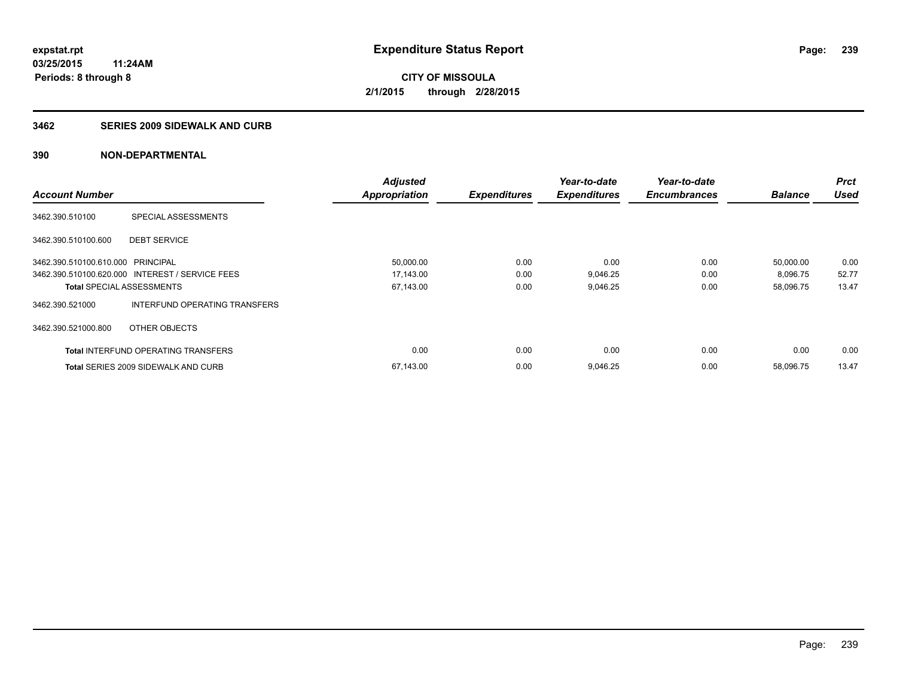#### **3462 SERIES 2009 SIDEWALK AND CURB**

|                                   |                                                 | <b>Adjusted</b>      |                     | Year-to-date        | Year-to-date        |                | <b>Prct</b> |
|-----------------------------------|-------------------------------------------------|----------------------|---------------------|---------------------|---------------------|----------------|-------------|
| <b>Account Number</b>             |                                                 | <b>Appropriation</b> | <b>Expenditures</b> | <b>Expenditures</b> | <b>Encumbrances</b> | <b>Balance</b> | <b>Used</b> |
| 3462.390.510100                   | SPECIAL ASSESSMENTS                             |                      |                     |                     |                     |                |             |
| 3462.390.510100.600               | <b>DEBT SERVICE</b>                             |                      |                     |                     |                     |                |             |
| 3462.390.510100.610.000 PRINCIPAL |                                                 | 50,000.00            | 0.00                | 0.00                | 0.00                | 50,000.00      | 0.00        |
|                                   | 3462.390.510100.620.000 INTEREST / SERVICE FEES | 17,143.00            | 0.00                | 9,046.25            | 0.00                | 8,096.75       | 52.77       |
| <b>Total SPECIAL ASSESSMENTS</b>  |                                                 | 67,143.00            | 0.00                | 9,046.25            | 0.00                | 58,096.75      | 13.47       |
| 3462.390.521000                   | INTERFUND OPERATING TRANSFERS                   |                      |                     |                     |                     |                |             |
| 3462.390.521000.800               | OTHER OBJECTS                                   |                      |                     |                     |                     |                |             |
|                                   | <b>Total INTERFUND OPERATING TRANSFERS</b>      | 0.00                 | 0.00                | 0.00                | 0.00                | 0.00           | 0.00        |
|                                   | <b>Total SERIES 2009 SIDEWALK AND CURB</b>      | 67,143.00            | 0.00                | 9,046.25            | 0.00                | 58.096.75      | 13.47       |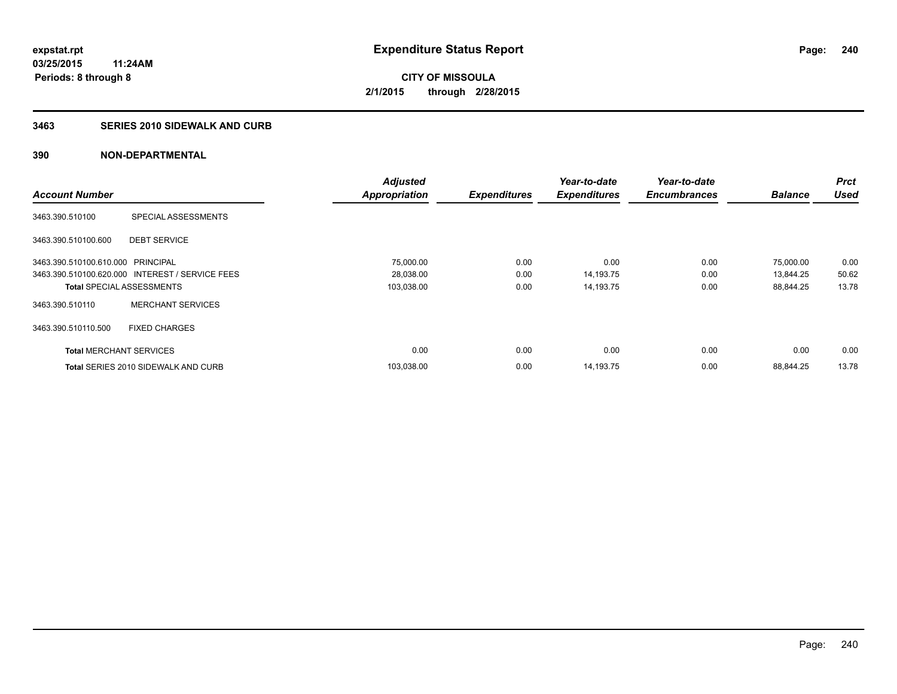#### **3463 SERIES 2010 SIDEWALK AND CURB**

|                                   |                                                 | <b>Adjusted</b> |                     | Year-to-date        | Year-to-date        |                | <b>Prct</b> |
|-----------------------------------|-------------------------------------------------|-----------------|---------------------|---------------------|---------------------|----------------|-------------|
| <b>Account Number</b>             |                                                 | Appropriation   | <b>Expenditures</b> | <b>Expenditures</b> | <b>Encumbrances</b> | <b>Balance</b> | <b>Used</b> |
| 3463.390.510100                   | SPECIAL ASSESSMENTS                             |                 |                     |                     |                     |                |             |
| 3463.390.510100.600               | <b>DEBT SERVICE</b>                             |                 |                     |                     |                     |                |             |
| 3463.390.510100.610.000 PRINCIPAL |                                                 | 75,000.00       | 0.00                | 0.00                | 0.00                | 75,000.00      | 0.00        |
|                                   | 3463.390.510100.620.000 INTEREST / SERVICE FEES | 28,038.00       | 0.00                | 14,193.75           | 0.00                | 13,844.25      | 50.62       |
| <b>Total SPECIAL ASSESSMENTS</b>  |                                                 | 103,038.00      | 0.00                | 14,193.75           | 0.00                | 88,844.25      | 13.78       |
| 3463.390.510110                   | <b>MERCHANT SERVICES</b>                        |                 |                     |                     |                     |                |             |
| 3463.390.510110.500               | <b>FIXED CHARGES</b>                            |                 |                     |                     |                     |                |             |
| <b>Total MERCHANT SERVICES</b>    |                                                 | 0.00            | 0.00                | 0.00                | 0.00                | 0.00           | 0.00        |
|                                   | Total SERIES 2010 SIDEWALK AND CURB             | 103,038.00      | 0.00                | 14,193.75           | 0.00                | 88.844.25      | 13.78       |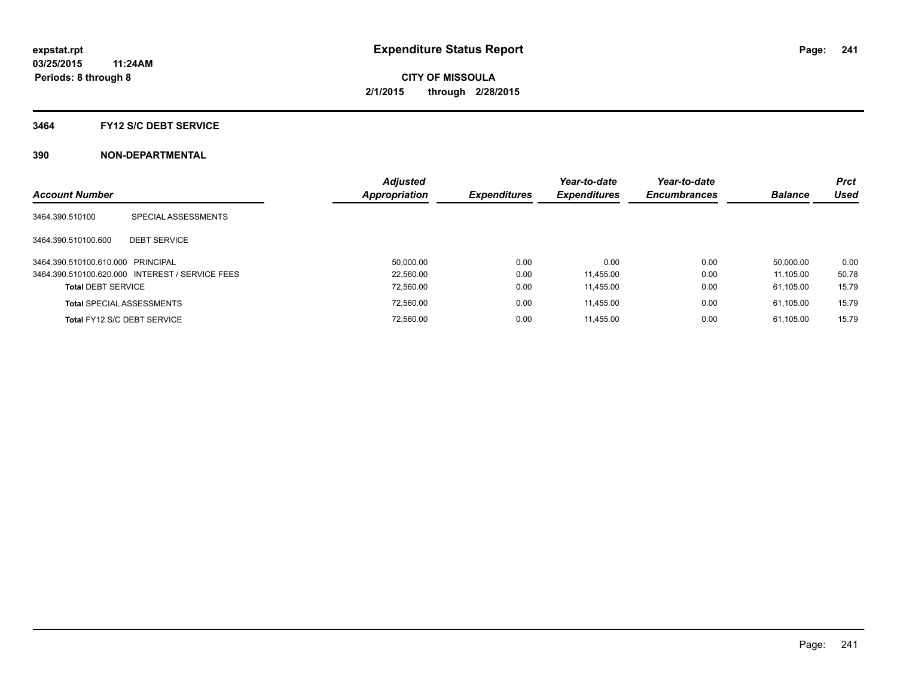#### **3464 FY12 S/C DEBT SERVICE**

| <b>Account Number</b>             |                                                 | <b>Adjusted</b><br><b>Appropriation</b> | <b>Expenditures</b> | Year-to-date<br><b>Expenditures</b> | Year-to-date<br><b>Encumbrances</b> | <b>Balance</b> | <b>Prct</b><br>Used |
|-----------------------------------|-------------------------------------------------|-----------------------------------------|---------------------|-------------------------------------|-------------------------------------|----------------|---------------------|
| 3464.390.510100                   | SPECIAL ASSESSMENTS                             |                                         |                     |                                     |                                     |                |                     |
| 3464.390.510100.600               | <b>DEBT SERVICE</b>                             |                                         |                     |                                     |                                     |                |                     |
| 3464.390.510100.610.000 PRINCIPAL |                                                 | 50.000.00                               | 0.00                | 0.00                                | 0.00                                | 50.000.00      | 0.00                |
|                                   | 3464.390.510100.620.000 INTEREST / SERVICE FEES | 22.560.00                               | 0.00                | 11.455.00                           | 0.00                                | 11.105.00      | 50.78               |
| <b>Total DEBT SERVICE</b>         |                                                 | 72,560.00                               | 0.00                | 11,455.00                           | 0.00                                | 61.105.00      | 15.79               |
|                                   | <b>Total SPECIAL ASSESSMENTS</b>                | 72,560.00                               | 0.00                | 11.455.00                           | 0.00                                | 61.105.00      | 15.79               |
|                                   | Total FY12 S/C DEBT SERVICE                     | 72.560.00                               | 0.00                | 11.455.00                           | 0.00                                | 61.105.00      | 15.79               |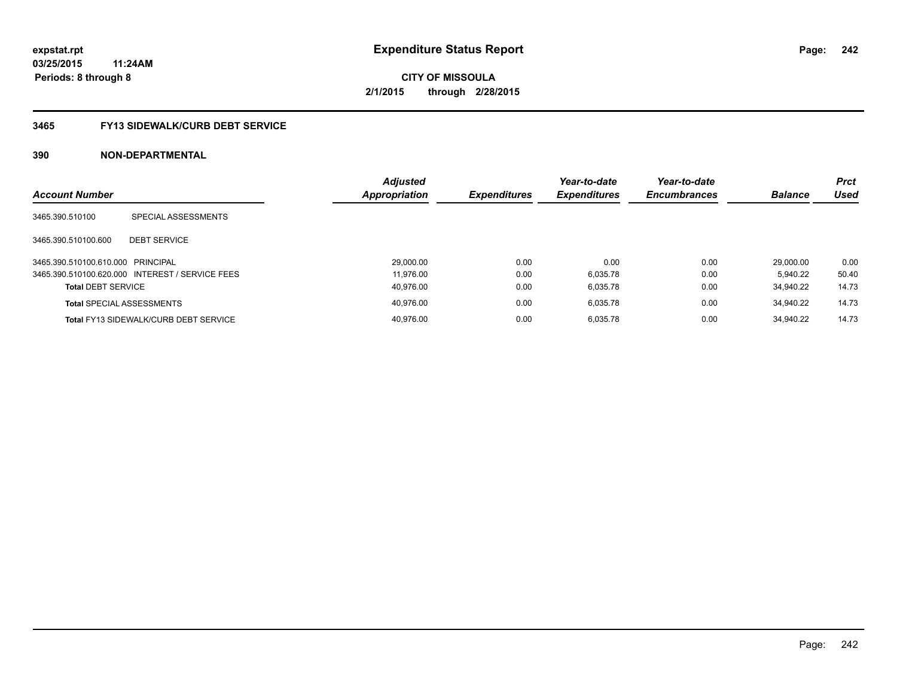### **3465 FY13 SIDEWALK/CURB DEBT SERVICE**

| <b>Account Number</b>             |                                                 | <b>Adjusted</b><br>Appropriation | <b>Expenditures</b> | Year-to-date<br><b>Expenditures</b> | Year-to-date<br><b>Encumbrances</b> | <b>Balance</b> | <b>Prct</b><br><b>Used</b> |
|-----------------------------------|-------------------------------------------------|----------------------------------|---------------------|-------------------------------------|-------------------------------------|----------------|----------------------------|
|                                   |                                                 |                                  |                     |                                     |                                     |                |                            |
| 3465.390.510100                   | SPECIAL ASSESSMENTS                             |                                  |                     |                                     |                                     |                |                            |
| 3465.390.510100.600               | <b>DEBT SERVICE</b>                             |                                  |                     |                                     |                                     |                |                            |
| 3465.390.510100.610.000 PRINCIPAL |                                                 | 29,000.00                        | 0.00                | 0.00                                | 0.00                                | 29.000.00      | 0.00                       |
|                                   | 3465.390.510100.620.000 INTEREST / SERVICE FEES | 11.976.00                        | 0.00                | 6.035.78                            | 0.00                                | 5.940.22       | 50.40                      |
| <b>Total DEBT SERVICE</b>         |                                                 | 40.976.00                        | 0.00                | 6.035.78                            | 0.00                                | 34.940.22      | 14.73                      |
|                                   | <b>Total SPECIAL ASSESSMENTS</b>                | 40.976.00                        | 0.00                | 6.035.78                            | 0.00                                | 34.940.22      | 14.73                      |
|                                   | <b>Total FY13 SIDEWALK/CURB DEBT SERVICE</b>    | 40.976.00                        | 0.00                | 6.035.78                            | 0.00                                | 34.940.22      | 14.73                      |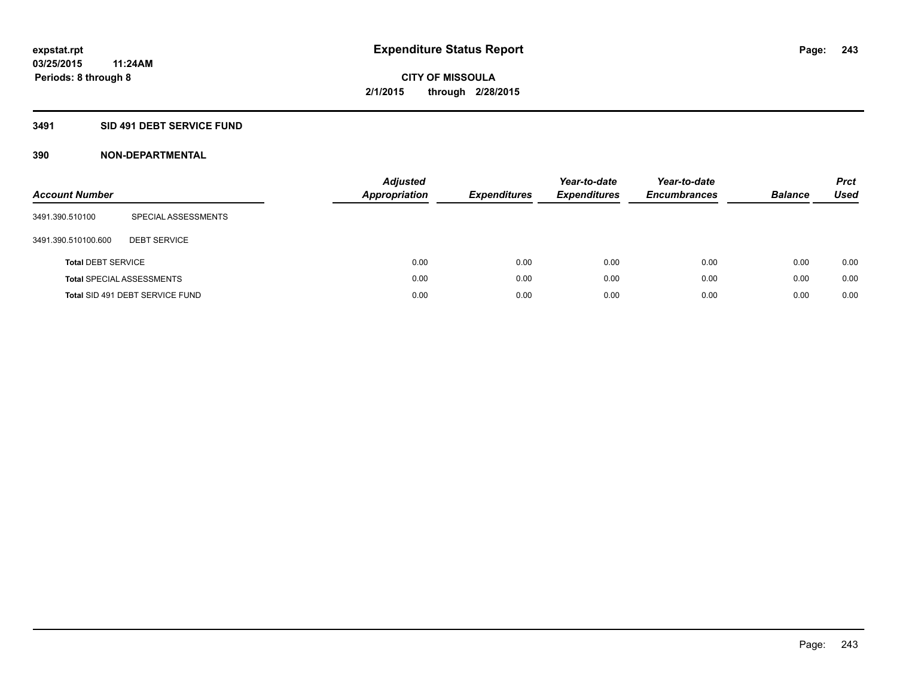### **3491 SID 491 DEBT SERVICE FUND**

| <b>Account Number</b>     |                                  | <b>Adjusted</b><br><b>Appropriation</b> | <b>Expenditures</b> | Year-to-date<br><b>Expenditures</b> | Year-to-date<br><b>Encumbrances</b> | <b>Balance</b> | <b>Prct</b><br>Used |
|---------------------------|----------------------------------|-----------------------------------------|---------------------|-------------------------------------|-------------------------------------|----------------|---------------------|
| 3491.390.510100           | SPECIAL ASSESSMENTS              |                                         |                     |                                     |                                     |                |                     |
| 3491.390.510100.600       | <b>DEBT SERVICE</b>              |                                         |                     |                                     |                                     |                |                     |
| <b>Total DEBT SERVICE</b> |                                  | 0.00                                    | 0.00                | 0.00                                | 0.00                                | 0.00           | 0.00                |
|                           | <b>Total SPECIAL ASSESSMENTS</b> | 0.00                                    | 0.00                | 0.00                                | 0.00                                | 0.00           | 0.00                |
|                           | Total SID 491 DEBT SERVICE FUND  | 0.00                                    | 0.00                | 0.00                                | 0.00                                | 0.00           | 0.00                |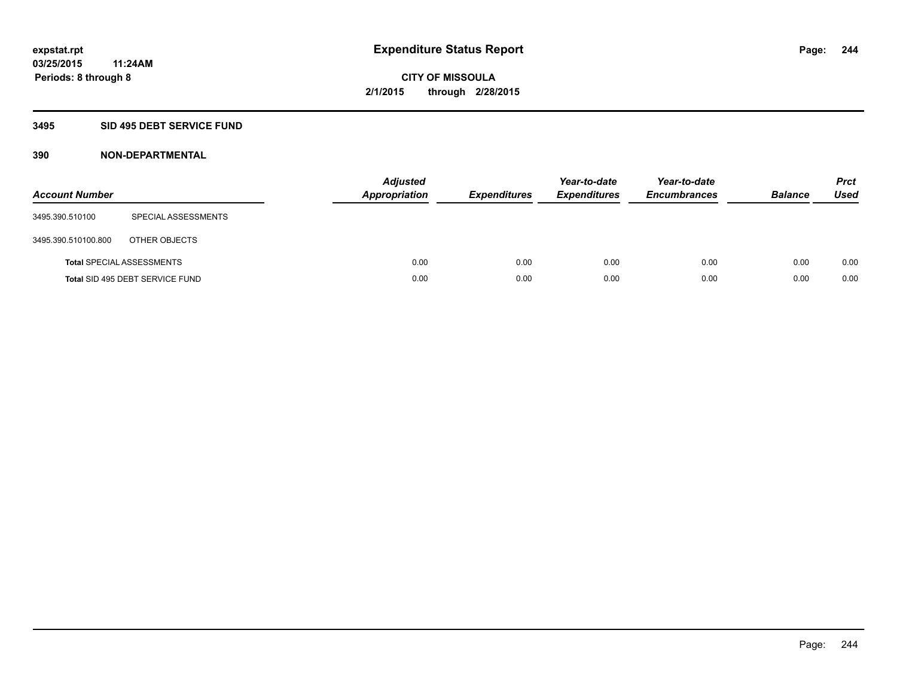### **3495 SID 495 DEBT SERVICE FUND**

| <b>Account Number</b> |                                  | <b>Adjusted</b><br><b>Appropriation</b> | <b>Expenditures</b> | Year-to-date<br><b>Expenditures</b> | Year-to-date<br><b>Encumbrances</b> | <b>Balance</b> | <b>Prct</b><br><b>Used</b> |
|-----------------------|----------------------------------|-----------------------------------------|---------------------|-------------------------------------|-------------------------------------|----------------|----------------------------|
| 3495.390.510100       | SPECIAL ASSESSMENTS              |                                         |                     |                                     |                                     |                |                            |
| 3495.390.510100.800   | OTHER OBJECTS                    |                                         |                     |                                     |                                     |                |                            |
|                       | <b>Total SPECIAL ASSESSMENTS</b> | 0.00                                    | 0.00                | 0.00                                | 0.00                                | 0.00           | 0.00                       |
|                       | Total SID 495 DEBT SERVICE FUND  | 0.00                                    | 0.00                | 0.00                                | 0.00                                | 0.00           | 0.00                       |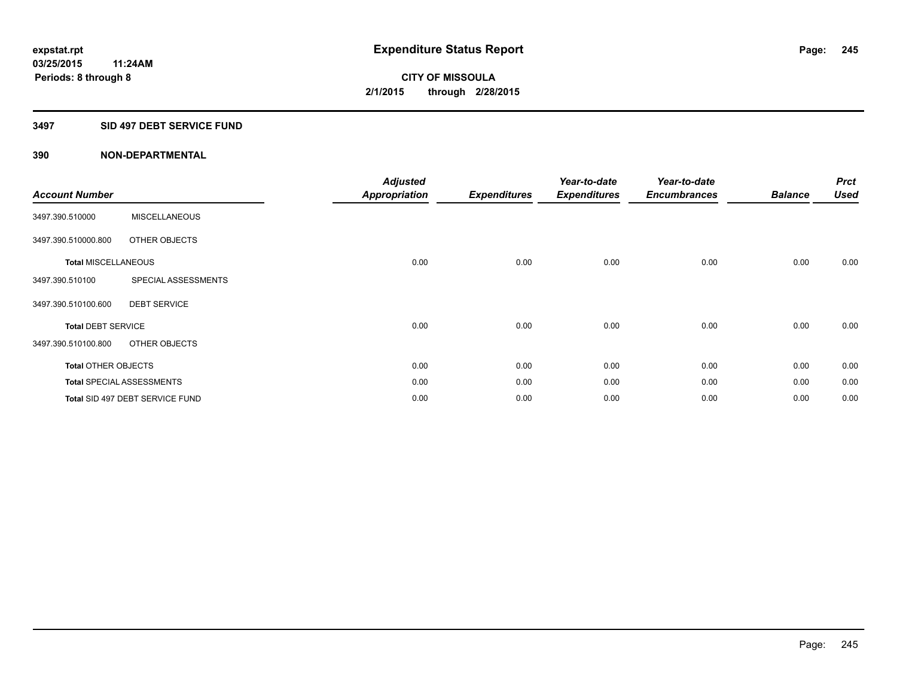#### **3497 SID 497 DEBT SERVICE FUND**

| <b>Account Number</b>      |                                  | <b>Adjusted</b><br><b>Appropriation</b> | <b>Expenditures</b> | Year-to-date<br><b>Expenditures</b> | Year-to-date<br><b>Encumbrances</b> | <b>Balance</b> | <b>Prct</b><br><b>Used</b> |
|----------------------------|----------------------------------|-----------------------------------------|---------------------|-------------------------------------|-------------------------------------|----------------|----------------------------|
| 3497.390.510000            | <b>MISCELLANEOUS</b>             |                                         |                     |                                     |                                     |                |                            |
| 3497.390.510000.800        | OTHER OBJECTS                    |                                         |                     |                                     |                                     |                |                            |
| <b>Total MISCELLANEOUS</b> |                                  | 0.00                                    | 0.00                | 0.00                                | 0.00                                | 0.00           | 0.00                       |
| 3497.390.510100            | SPECIAL ASSESSMENTS              |                                         |                     |                                     |                                     |                |                            |
| 3497.390.510100.600        | <b>DEBT SERVICE</b>              |                                         |                     |                                     |                                     |                |                            |
| <b>Total DEBT SERVICE</b>  |                                  | 0.00                                    | 0.00                | 0.00                                | 0.00                                | 0.00           | 0.00                       |
| 3497.390.510100.800        | OTHER OBJECTS                    |                                         |                     |                                     |                                     |                |                            |
| <b>Total OTHER OBJECTS</b> |                                  | 0.00                                    | 0.00                | 0.00                                | 0.00                                | 0.00           | 0.00                       |
|                            | <b>Total SPECIAL ASSESSMENTS</b> | 0.00                                    | 0.00                | 0.00                                | 0.00                                | 0.00           | 0.00                       |
|                            | Total SID 497 DEBT SERVICE FUND  | 0.00                                    | 0.00                | 0.00                                | 0.00                                | 0.00           | 0.00                       |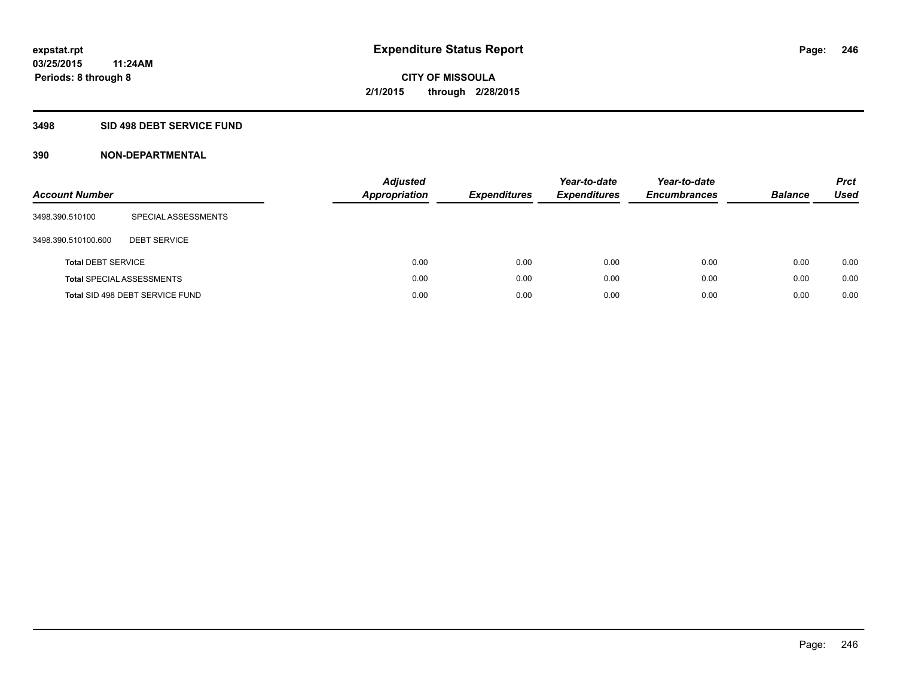### **3498 SID 498 DEBT SERVICE FUND**

| <b>Account Number</b>     |                                  | <b>Adjusted</b><br><b>Appropriation</b> | <b>Expenditures</b> | Year-to-date<br><b>Expenditures</b> | Year-to-date<br><b>Encumbrances</b> | <b>Balance</b> | <b>Prct</b><br>Used |
|---------------------------|----------------------------------|-----------------------------------------|---------------------|-------------------------------------|-------------------------------------|----------------|---------------------|
| 3498.390.510100           | SPECIAL ASSESSMENTS              |                                         |                     |                                     |                                     |                |                     |
| 3498.390.510100.600       | <b>DEBT SERVICE</b>              |                                         |                     |                                     |                                     |                |                     |
| <b>Total DEBT SERVICE</b> |                                  | 0.00                                    | 0.00                | 0.00                                | 0.00                                | 0.00           | 0.00                |
|                           | <b>Total SPECIAL ASSESSMENTS</b> | 0.00                                    | 0.00                | 0.00                                | 0.00                                | 0.00           | 0.00                |
|                           | Total SID 498 DEBT SERVICE FUND  | 0.00                                    | 0.00                | 0.00                                | 0.00                                | 0.00           | 0.00                |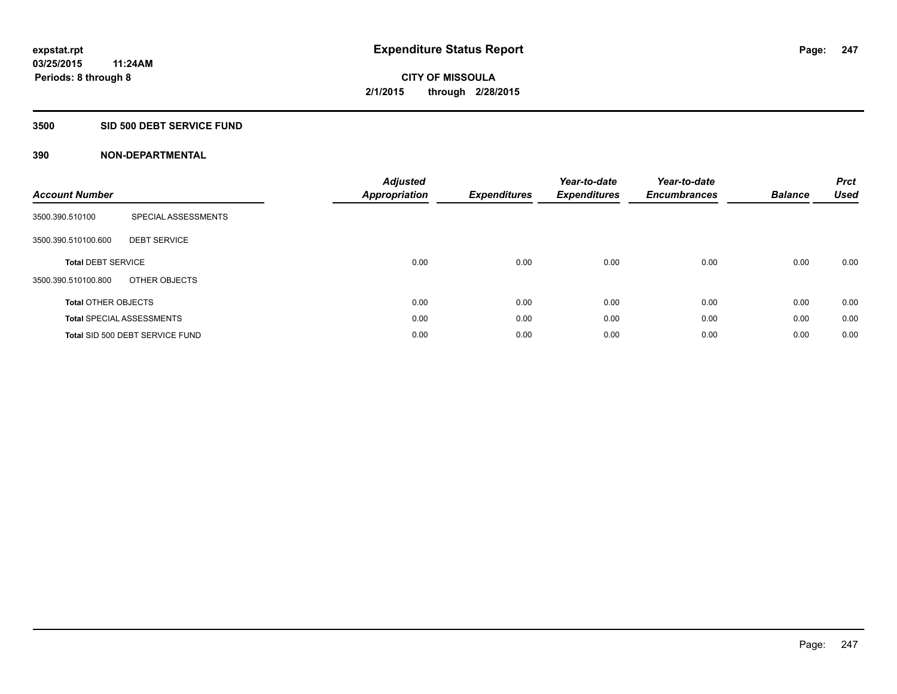#### **3500 SID 500 DEBT SERVICE FUND**

| <b>Account Number</b>      |                                  | <b>Adjusted</b><br>Appropriation | <b>Expenditures</b> | Year-to-date<br><b>Expenditures</b> | Year-to-date<br><b>Encumbrances</b> | <b>Balance</b> | <b>Prct</b><br><b>Used</b> |
|----------------------------|----------------------------------|----------------------------------|---------------------|-------------------------------------|-------------------------------------|----------------|----------------------------|
| 3500.390.510100            | SPECIAL ASSESSMENTS              |                                  |                     |                                     |                                     |                |                            |
| 3500.390.510100.600        | <b>DEBT SERVICE</b>              |                                  |                     |                                     |                                     |                |                            |
| <b>Total DEBT SERVICE</b>  |                                  | 0.00                             | 0.00                | 0.00                                | 0.00                                | 0.00           | 0.00                       |
| 3500.390.510100.800        | OTHER OBJECTS                    |                                  |                     |                                     |                                     |                |                            |
| <b>Total OTHER OBJECTS</b> |                                  | 0.00                             | 0.00                | 0.00                                | 0.00                                | 0.00           | 0.00                       |
|                            | <b>Total SPECIAL ASSESSMENTS</b> | 0.00                             | 0.00                | 0.00                                | 0.00                                | 0.00           | 0.00                       |
|                            | Total SID 500 DEBT SERVICE FUND  | 0.00                             | 0.00                | 0.00                                | 0.00                                | 0.00           | 0.00                       |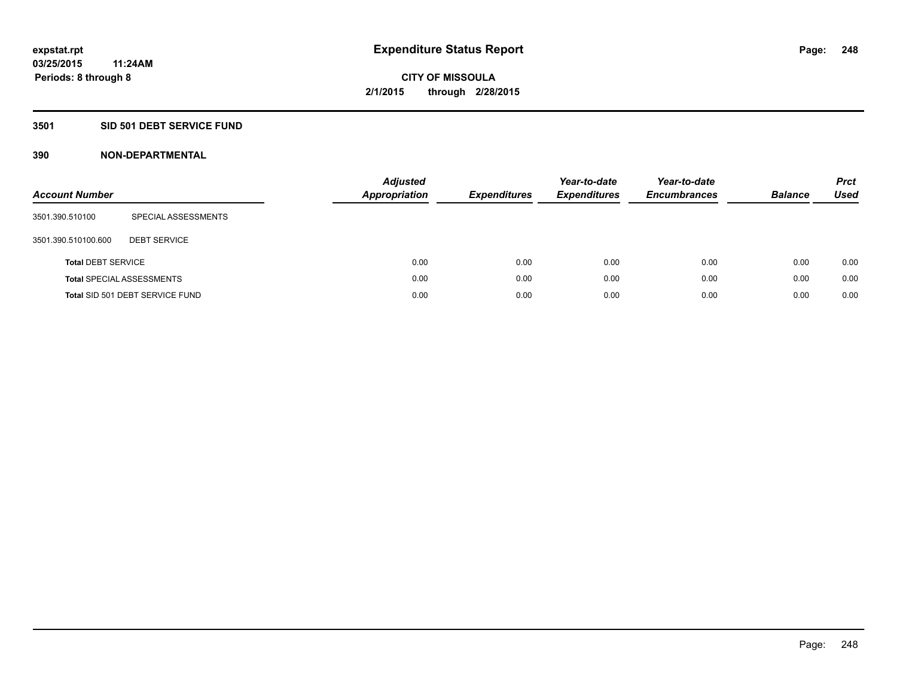#### **3501 SID 501 DEBT SERVICE FUND**

| <b>Account Number</b>     |                                  | <b>Adjusted</b><br><b>Appropriation</b> | <b>Expenditures</b> | Year-to-date<br><b>Expenditures</b> | Year-to-date<br><b>Encumbrances</b> | <b>Balance</b> | <b>Prct</b><br>Used |
|---------------------------|----------------------------------|-----------------------------------------|---------------------|-------------------------------------|-------------------------------------|----------------|---------------------|
| 3501.390.510100           | SPECIAL ASSESSMENTS              |                                         |                     |                                     |                                     |                |                     |
| 3501.390.510100.600       | <b>DEBT SERVICE</b>              |                                         |                     |                                     |                                     |                |                     |
| <b>Total DEBT SERVICE</b> |                                  | 0.00                                    | 0.00                | 0.00                                | 0.00                                | 0.00           | 0.00                |
|                           | <b>Total SPECIAL ASSESSMENTS</b> | 0.00                                    | 0.00                | 0.00                                | 0.00                                | 0.00           | 0.00                |
|                           | Total SID 501 DEBT SERVICE FUND  | 0.00                                    | 0.00                | 0.00                                | 0.00                                | 0.00           | 0.00                |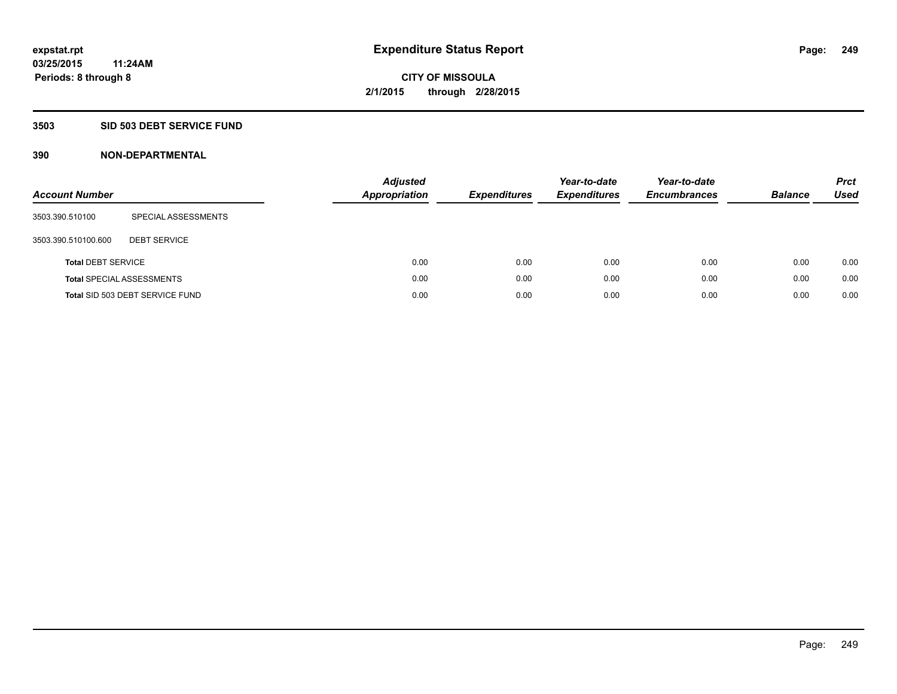### **3503 SID 503 DEBT SERVICE FUND**

| <b>Account Number</b>     |                                  | <b>Adjusted</b><br><b>Appropriation</b> | <b>Expenditures</b> | Year-to-date<br><b>Expenditures</b> | Year-to-date<br><b>Encumbrances</b> | <b>Balance</b> | <b>Prct</b><br>Used |
|---------------------------|----------------------------------|-----------------------------------------|---------------------|-------------------------------------|-------------------------------------|----------------|---------------------|
| 3503.390.510100           | SPECIAL ASSESSMENTS              |                                         |                     |                                     |                                     |                |                     |
| 3503.390.510100.600       | <b>DEBT SERVICE</b>              |                                         |                     |                                     |                                     |                |                     |
| <b>Total DEBT SERVICE</b> |                                  | 0.00                                    | 0.00                | 0.00                                | 0.00                                | 0.00           | 0.00                |
|                           | <b>Total SPECIAL ASSESSMENTS</b> | 0.00                                    | 0.00                | 0.00                                | 0.00                                | 0.00           | 0.00                |
|                           | Total SID 503 DEBT SERVICE FUND  | 0.00                                    | 0.00                | 0.00                                | 0.00                                | 0.00           | 0.00                |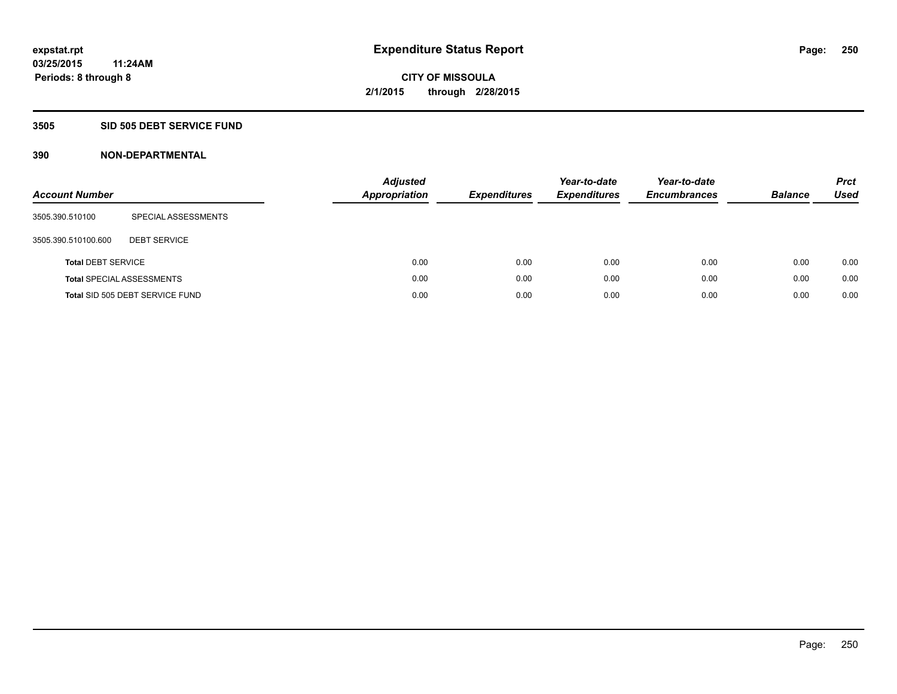#### **3505 SID 505 DEBT SERVICE FUND**

| <b>Account Number</b>     |                                  | Adjusted<br><b>Appropriation</b> | <b>Expenditures</b> | Year-to-date<br><b>Expenditures</b> | Year-to-date<br><b>Encumbrances</b> | <b>Balance</b> | <b>Prct</b><br>Used |
|---------------------------|----------------------------------|----------------------------------|---------------------|-------------------------------------|-------------------------------------|----------------|---------------------|
| 3505.390.510100           | SPECIAL ASSESSMENTS              |                                  |                     |                                     |                                     |                |                     |
| 3505.390.510100.600       | <b>DEBT SERVICE</b>              |                                  |                     |                                     |                                     |                |                     |
| <b>Total DEBT SERVICE</b> |                                  |                                  | 0.00<br>0.00        | 0.00                                | 0.00                                | 0.00           | 0.00                |
|                           | <b>Total SPECIAL ASSESSMENTS</b> |                                  | 0.00<br>0.00        | 0.00                                | 0.00                                | 0.00           | 0.00                |
|                           | Total SID 505 DEBT SERVICE FUND  |                                  | 0.00<br>0.00        | 0.00                                | 0.00                                | 0.00           | 0.00                |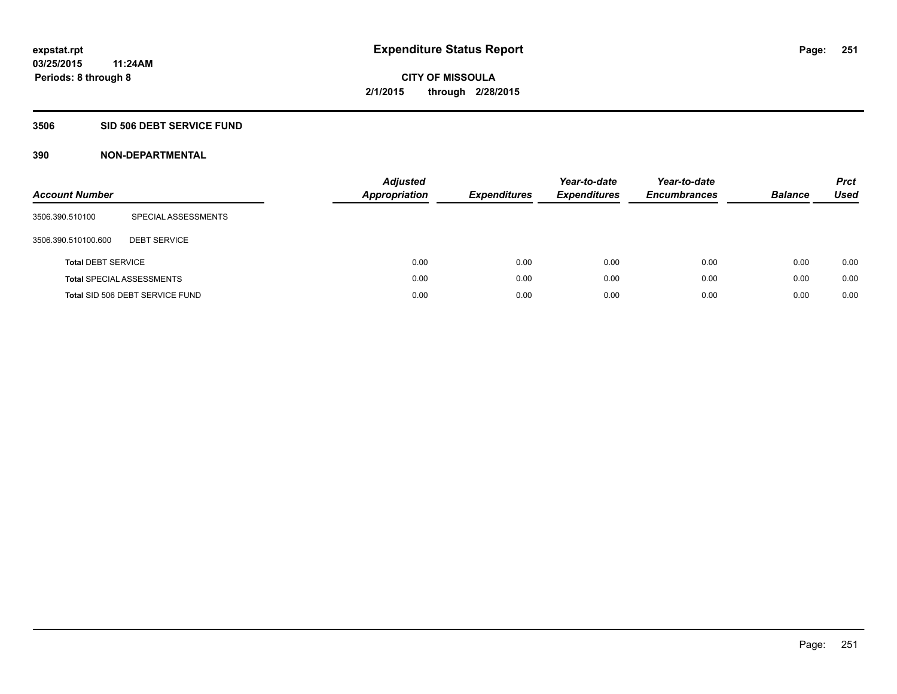### **3506 SID 506 DEBT SERVICE FUND**

| <b>Account Number</b>     |                                  | <b>Adjusted</b><br><b>Appropriation</b> | <b>Expenditures</b> | Year-to-date<br><b>Expenditures</b> | Year-to-date<br><b>Encumbrances</b> | <b>Balance</b> | <b>Prct</b><br><b>Used</b> |
|---------------------------|----------------------------------|-----------------------------------------|---------------------|-------------------------------------|-------------------------------------|----------------|----------------------------|
| 3506.390.510100           | SPECIAL ASSESSMENTS              |                                         |                     |                                     |                                     |                |                            |
| 3506.390.510100.600       | <b>DEBT SERVICE</b>              |                                         |                     |                                     |                                     |                |                            |
| <b>Total DEBT SERVICE</b> |                                  | 0.00                                    | 0.00                | 0.00                                | 0.00                                | 0.00           | 0.00                       |
|                           | <b>Total SPECIAL ASSESSMENTS</b> | 0.00                                    | 0.00                | 0.00                                | 0.00                                | 0.00           | 0.00                       |
|                           | Total SID 506 DEBT SERVICE FUND  | 0.00                                    | 0.00                | 0.00                                | 0.00                                | 0.00           | 0.00                       |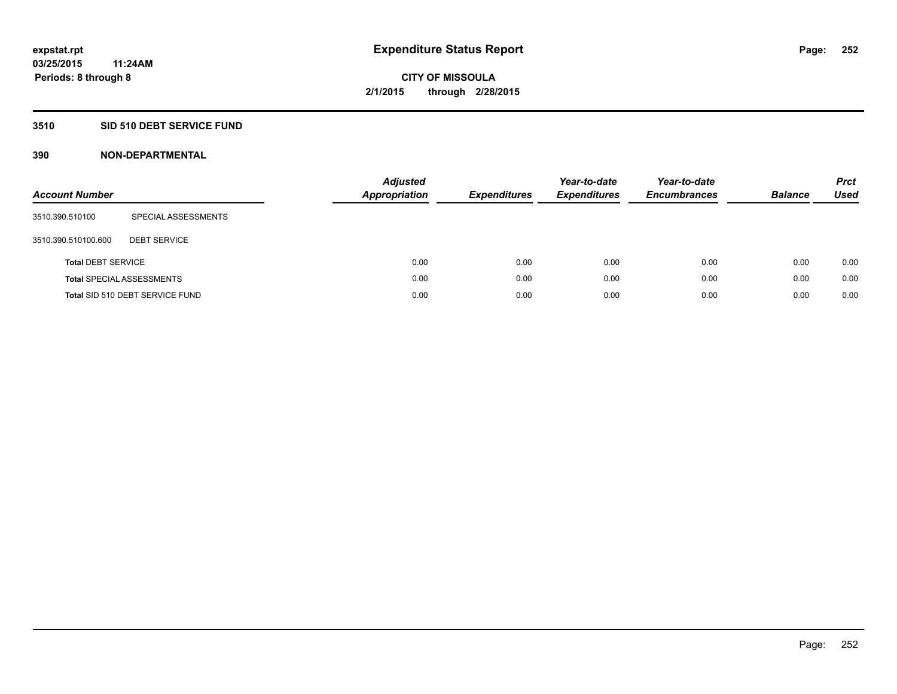### **3510 SID 510 DEBT SERVICE FUND**

| <b>Account Number</b>     |                                  | <b>Adjusted</b><br><b>Appropriation</b> | <b>Expenditures</b> | Year-to-date<br><b>Expenditures</b> | Year-to-date<br><b>Encumbrances</b> | <b>Balance</b> | <b>Prct</b><br>Used |
|---------------------------|----------------------------------|-----------------------------------------|---------------------|-------------------------------------|-------------------------------------|----------------|---------------------|
| 3510.390.510100           | SPECIAL ASSESSMENTS              |                                         |                     |                                     |                                     |                |                     |
| 3510.390.510100.600       | <b>DEBT SERVICE</b>              |                                         |                     |                                     |                                     |                |                     |
| <b>Total DEBT SERVICE</b> |                                  | 0.00                                    | 0.00                | 0.00                                | 0.00                                | 0.00           | 0.00                |
|                           | <b>Total SPECIAL ASSESSMENTS</b> | 0.00                                    | 0.00                | 0.00                                | 0.00                                | 0.00           | 0.00                |
|                           | Total SID 510 DEBT SERVICE FUND  | 0.00                                    | 0.00                | 0.00                                | 0.00                                | 0.00           | 0.00                |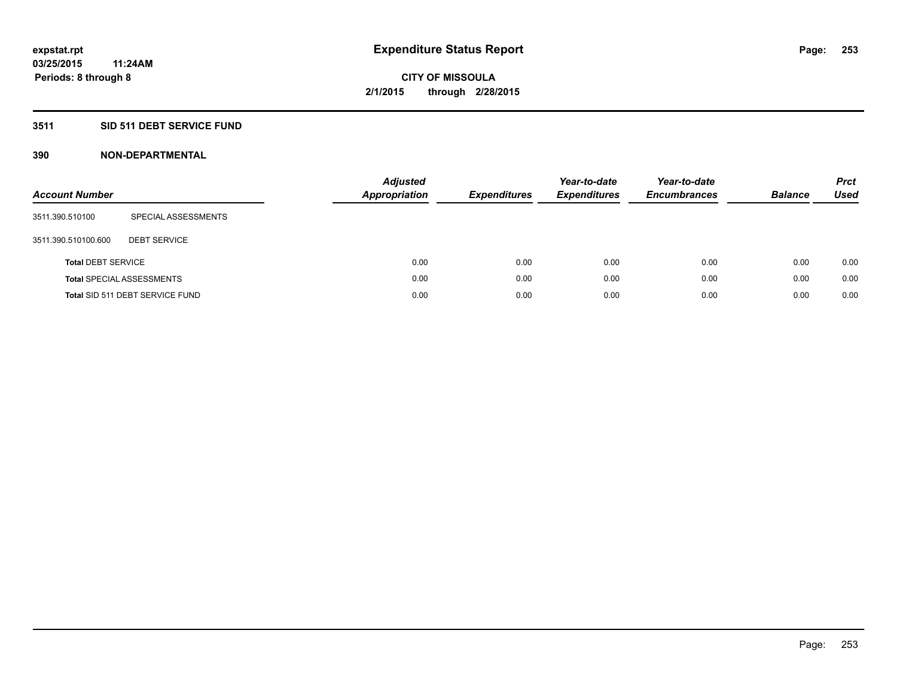### **3511 SID 511 DEBT SERVICE FUND**

| <b>Account Number</b>     |                                  | <b>Adjusted</b><br><b>Appropriation</b> | <b>Expenditures</b> | Year-to-date<br><b>Expenditures</b> | Year-to-date<br><b>Encumbrances</b> | <b>Balance</b> | <b>Prct</b><br>Used |
|---------------------------|----------------------------------|-----------------------------------------|---------------------|-------------------------------------|-------------------------------------|----------------|---------------------|
| 3511.390.510100           | SPECIAL ASSESSMENTS              |                                         |                     |                                     |                                     |                |                     |
| 3511.390.510100.600       | <b>DEBT SERVICE</b>              |                                         |                     |                                     |                                     |                |                     |
| <b>Total DEBT SERVICE</b> |                                  | 0.00                                    | 0.00                | 0.00                                | 0.00                                | 0.00           | 0.00                |
|                           | <b>Total SPECIAL ASSESSMENTS</b> | 0.00                                    | 0.00                | 0.00                                | 0.00                                | 0.00           | 0.00                |
|                           | Total SID 511 DEBT SERVICE FUND  | 0.00                                    | 0.00                | 0.00                                | 0.00                                | 0.00           | 0.00                |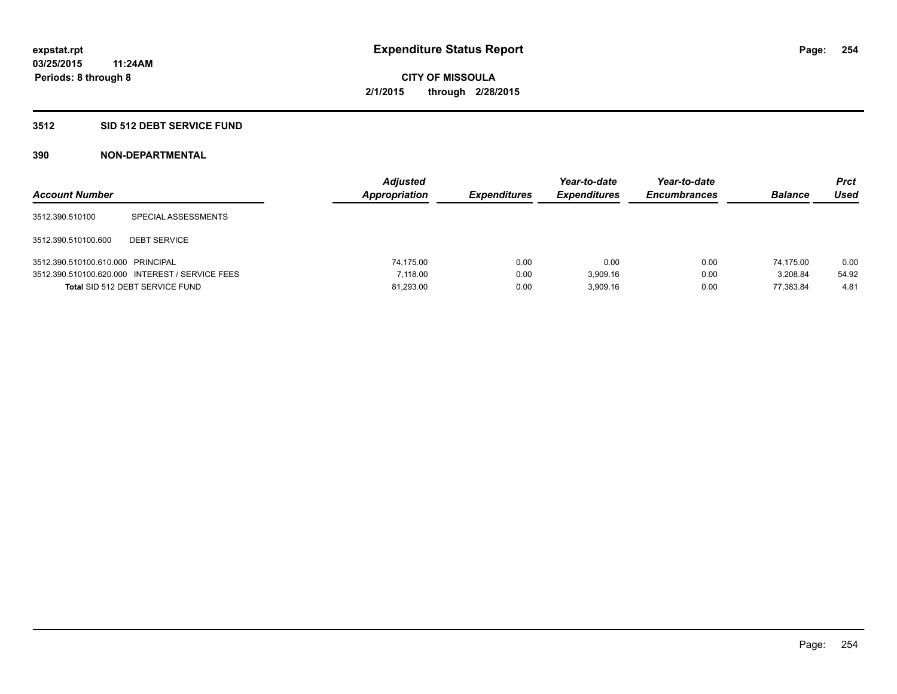### **3512 SID 512 DEBT SERVICE FUND**

| <b>Account Number</b>             |                                                 | <b>Adjusted</b><br>Appropriation | <b>Expenditures</b> | Year-to-date<br><b>Expenditures</b> | Year-to-date<br><b>Encumbrances</b> | <b>Balance</b> | Prct<br><b>Used</b> |
|-----------------------------------|-------------------------------------------------|----------------------------------|---------------------|-------------------------------------|-------------------------------------|----------------|---------------------|
| 3512.390.510100                   | SPECIAL ASSESSMENTS                             |                                  |                     |                                     |                                     |                |                     |
| 3512.390.510100.600               | <b>DEBT SERVICE</b>                             |                                  |                     |                                     |                                     |                |                     |
| 3512.390.510100.610.000 PRINCIPAL |                                                 | 74.175.00                        | 0.00                | 0.00                                | 0.00                                | 74.175.00      | 0.00                |
|                                   | 3512.390.510100.620.000 INTEREST / SERVICE FEES | 7.118.00                         | 0.00                | 3.909.16                            | 0.00                                | 3.208.84       | 54.92               |
|                                   | Total SID 512 DEBT SERVICE FUND                 | 81,293.00                        | 0.00                | 3.909.16                            | 0.00                                | 77.383.84      | 4.81                |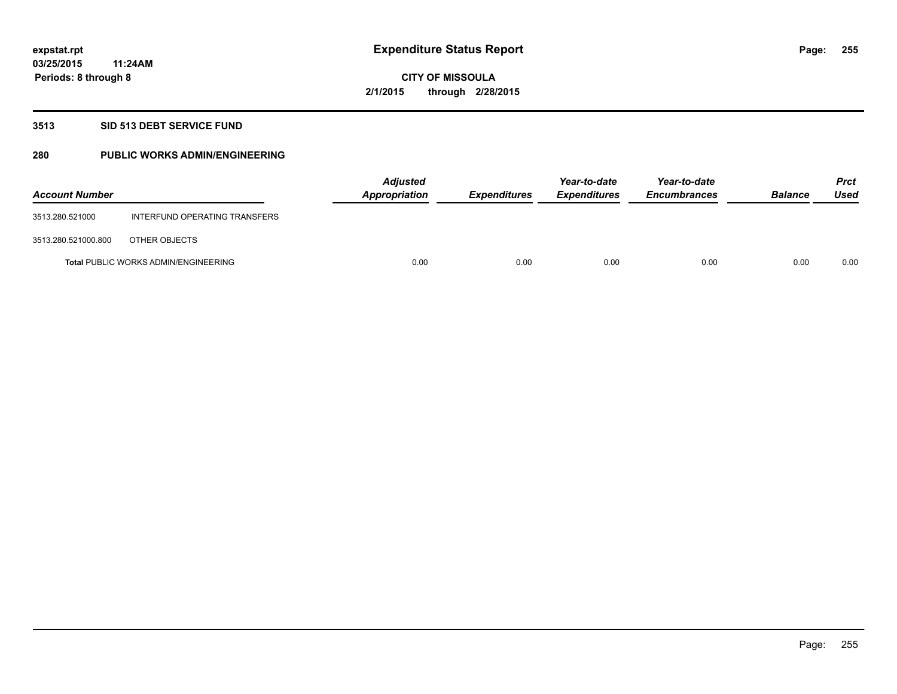### **3513 SID 513 DEBT SERVICE FUND**

### **280 PUBLIC WORKS ADMIN/ENGINEERING**

| <b>Account Number</b> |                                             | <b>Adjusted</b><br>Appropriation | <b>Expenditures</b> | Year-to-date<br><b>Expenditures</b> | Year-to-date<br><b>Encumbrances</b> | <b>Balance</b> | <b>Prct</b><br>Used |
|-----------------------|---------------------------------------------|----------------------------------|---------------------|-------------------------------------|-------------------------------------|----------------|---------------------|
| 3513.280.521000       | INTERFUND OPERATING TRANSFERS               |                                  |                     |                                     |                                     |                |                     |
| 3513.280.521000.800   | OTHER OBJECTS                               |                                  |                     |                                     |                                     |                |                     |
|                       | <b>Total PUBLIC WORKS ADMIN/ENGINEERING</b> | 0.00                             | 0.00                | 0.00                                | 0.00                                | 0.00           | 0.00                |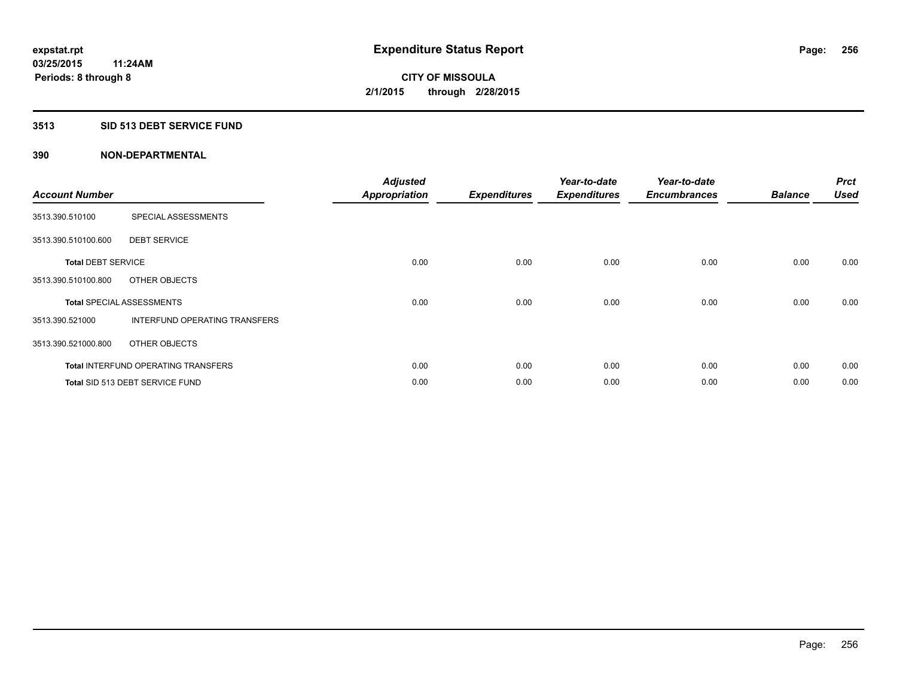### **3513 SID 513 DEBT SERVICE FUND**

| <b>Account Number</b>     |                                            | <b>Adjusted</b><br><b>Appropriation</b> | <b>Expenditures</b> | Year-to-date<br><b>Expenditures</b> | Year-to-date<br><b>Encumbrances</b> | <b>Balance</b> | <b>Prct</b><br><b>Used</b> |
|---------------------------|--------------------------------------------|-----------------------------------------|---------------------|-------------------------------------|-------------------------------------|----------------|----------------------------|
| 3513.390.510100           | SPECIAL ASSESSMENTS                        |                                         |                     |                                     |                                     |                |                            |
| 3513.390.510100.600       | <b>DEBT SERVICE</b>                        |                                         |                     |                                     |                                     |                |                            |
| <b>Total DEBT SERVICE</b> |                                            | 0.00                                    | 0.00                | 0.00                                | 0.00                                | 0.00           | 0.00                       |
| 3513.390.510100.800       | OTHER OBJECTS                              |                                         |                     |                                     |                                     |                |                            |
|                           | <b>Total SPECIAL ASSESSMENTS</b>           | 0.00                                    | 0.00                | 0.00                                | 0.00                                | 0.00           | 0.00                       |
| 3513.390.521000           | INTERFUND OPERATING TRANSFERS              |                                         |                     |                                     |                                     |                |                            |
| 3513.390.521000.800       | OTHER OBJECTS                              |                                         |                     |                                     |                                     |                |                            |
|                           | <b>Total INTERFUND OPERATING TRANSFERS</b> | 0.00                                    | 0.00                | 0.00                                | 0.00                                | 0.00           | 0.00                       |
|                           | Total SID 513 DEBT SERVICE FUND            | 0.00                                    | 0.00                | 0.00                                | 0.00                                | 0.00           | 0.00                       |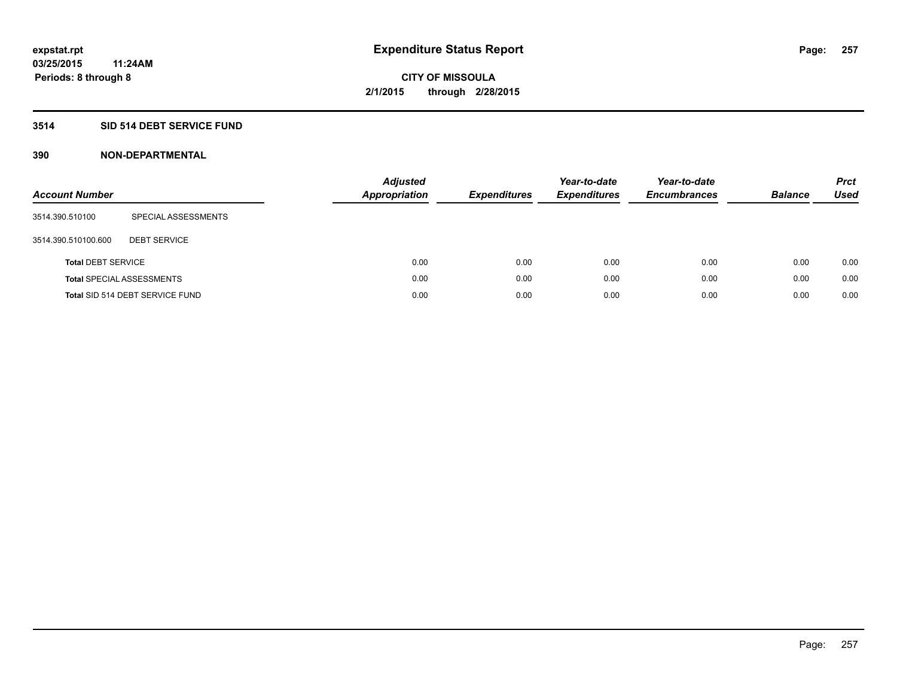### **3514 SID 514 DEBT SERVICE FUND**

| <b>Account Number</b>     |                                  | <b>Adjusted</b><br><b>Appropriation</b> | <b>Expenditures</b> | Year-to-date<br><b>Expenditures</b> | Year-to-date<br><b>Encumbrances</b> | <b>Balance</b> | <b>Prct</b><br>Used |
|---------------------------|----------------------------------|-----------------------------------------|---------------------|-------------------------------------|-------------------------------------|----------------|---------------------|
| 3514.390.510100           | SPECIAL ASSESSMENTS              |                                         |                     |                                     |                                     |                |                     |
| 3514.390.510100.600       | <b>DEBT SERVICE</b>              |                                         |                     |                                     |                                     |                |                     |
| <b>Total DEBT SERVICE</b> |                                  |                                         | 0.00<br>0.00        | 0.00                                | 0.00                                | 0.00           | 0.00                |
|                           | <b>Total SPECIAL ASSESSMENTS</b> |                                         | 0.00<br>0.00        | 0.00                                | 0.00                                | 0.00           | 0.00                |
|                           | Total SID 514 DEBT SERVICE FUND  |                                         | 0.00<br>0.00        | 0.00                                | 0.00                                | 0.00           | 0.00                |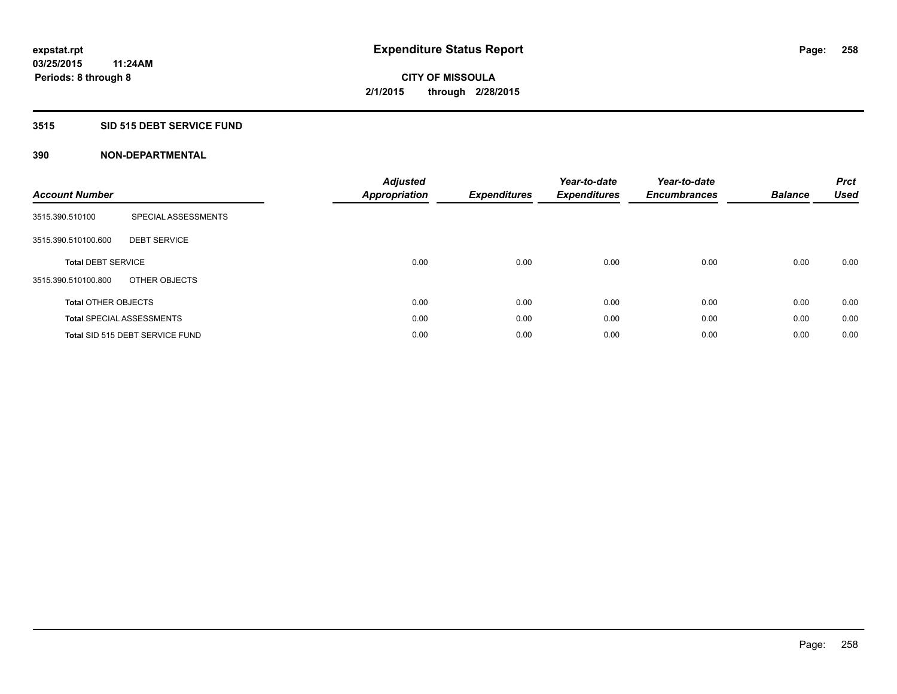### **3515 SID 515 DEBT SERVICE FUND**

| <b>Account Number</b>      |                                  | <b>Adjusted</b><br><b>Appropriation</b> | <b>Expenditures</b> | Year-to-date<br><b>Expenditures</b> | Year-to-date<br><b>Encumbrances</b> | <b>Balance</b> | <b>Prct</b><br><b>Used</b> |
|----------------------------|----------------------------------|-----------------------------------------|---------------------|-------------------------------------|-------------------------------------|----------------|----------------------------|
| 3515.390.510100            | SPECIAL ASSESSMENTS              |                                         |                     |                                     |                                     |                |                            |
| 3515.390.510100.600        | <b>DEBT SERVICE</b>              |                                         |                     |                                     |                                     |                |                            |
| <b>Total DEBT SERVICE</b>  |                                  | 0.00                                    | 0.00                | 0.00                                | 0.00                                | 0.00           | 0.00                       |
| 3515.390.510100.800        | OTHER OBJECTS                    |                                         |                     |                                     |                                     |                |                            |
| <b>Total OTHER OBJECTS</b> |                                  | 0.00                                    | 0.00                | 0.00                                | 0.00                                | 0.00           | 0.00                       |
|                            | <b>Total SPECIAL ASSESSMENTS</b> | 0.00                                    | 0.00                | 0.00                                | 0.00                                | 0.00           | 0.00                       |
|                            | Total SID 515 DEBT SERVICE FUND  | 0.00                                    | 0.00                | 0.00                                | 0.00                                | 0.00           | 0.00                       |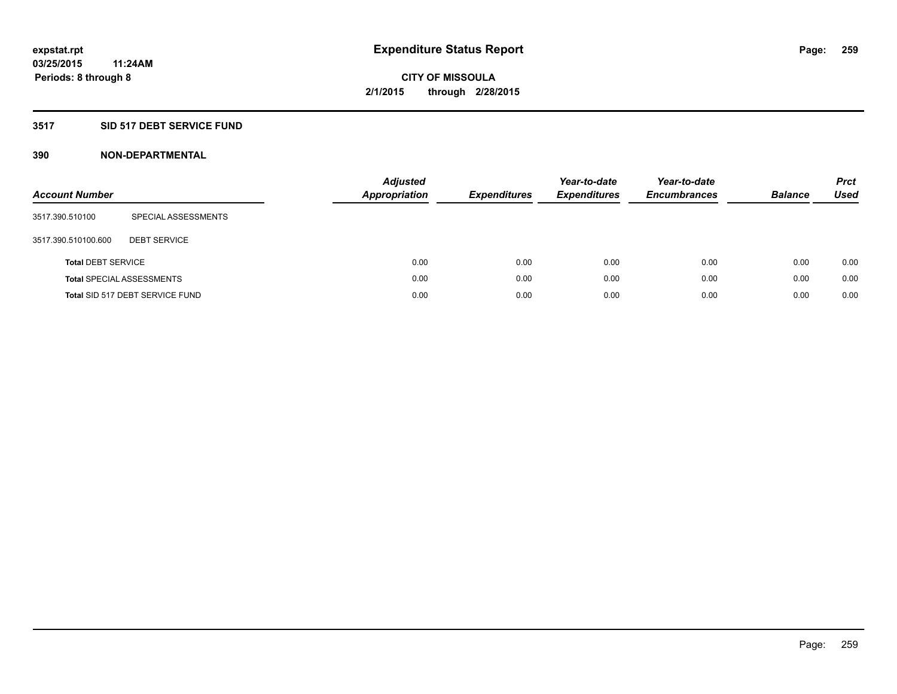### **3517 SID 517 DEBT SERVICE FUND**

| <b>Account Number</b>     |                                  | <b>Adjusted</b><br><b>Appropriation</b> | <b>Expenditures</b> | Year-to-date<br><b>Expenditures</b> | Year-to-date<br><b>Encumbrances</b> | <b>Balance</b> | <b>Prct</b><br>Used |
|---------------------------|----------------------------------|-----------------------------------------|---------------------|-------------------------------------|-------------------------------------|----------------|---------------------|
| 3517.390.510100           | SPECIAL ASSESSMENTS              |                                         |                     |                                     |                                     |                |                     |
| 3517.390.510100.600       | <b>DEBT SERVICE</b>              |                                         |                     |                                     |                                     |                |                     |
| <b>Total DEBT SERVICE</b> |                                  | 0.00                                    | 0.00                | 0.00                                | 0.00                                | 0.00           | 0.00                |
|                           | <b>Total SPECIAL ASSESSMENTS</b> | 0.00                                    | 0.00                | 0.00                                | 0.00                                | 0.00           | 0.00                |
|                           | Total SID 517 DEBT SERVICE FUND  | 0.00                                    | 0.00                | 0.00                                | 0.00                                | 0.00           | 0.00                |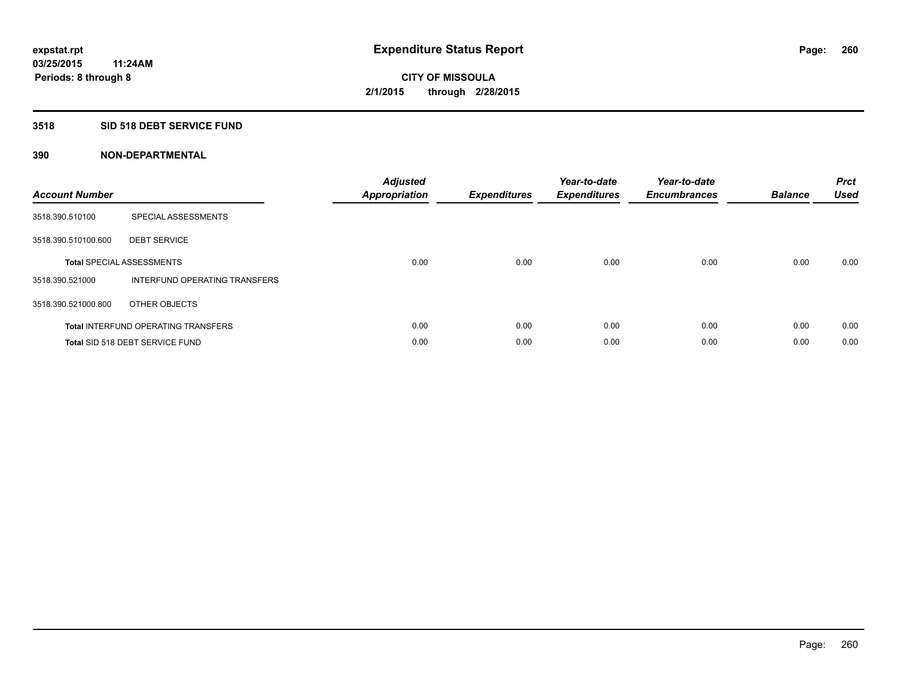#### **3518 SID 518 DEBT SERVICE FUND**

| <b>Account Number</b> |                                            | <b>Adjusted</b><br>Appropriation | <b>Expenditures</b> | Year-to-date<br><b>Expenditures</b> | Year-to-date<br><b>Encumbrances</b> | <b>Balance</b> | <b>Prct</b><br><b>Used</b> |
|-----------------------|--------------------------------------------|----------------------------------|---------------------|-------------------------------------|-------------------------------------|----------------|----------------------------|
| 3518.390.510100       | SPECIAL ASSESSMENTS                        |                                  |                     |                                     |                                     |                |                            |
| 3518.390.510100.600   | <b>DEBT SERVICE</b>                        |                                  |                     |                                     |                                     |                |                            |
|                       | <b>Total SPECIAL ASSESSMENTS</b>           | 0.00                             | 0.00                | 0.00                                | 0.00                                | 0.00           | 0.00                       |
| 3518.390.521000       | INTERFUND OPERATING TRANSFERS              |                                  |                     |                                     |                                     |                |                            |
| 3518.390.521000.800   | OTHER OBJECTS                              |                                  |                     |                                     |                                     |                |                            |
|                       | <b>Total INTERFUND OPERATING TRANSFERS</b> | 0.00                             | 0.00                | 0.00                                | 0.00                                | 0.00           | 0.00                       |
|                       | Total SID 518 DEBT SERVICE FUND            | 0.00                             | 0.00                | 0.00                                | 0.00                                | 0.00           | 0.00                       |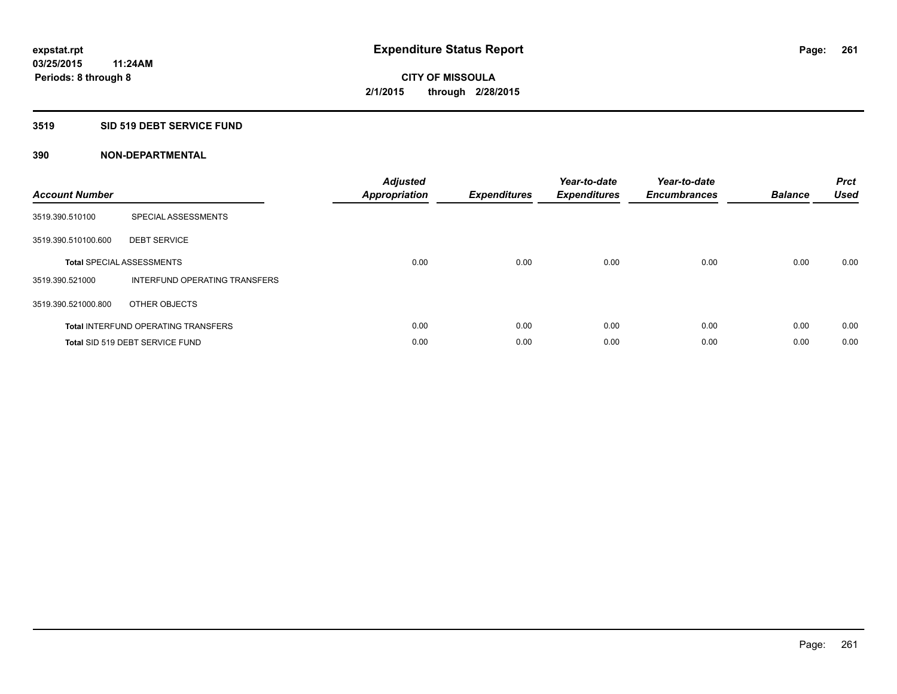### **3519 SID 519 DEBT SERVICE FUND**

| <b>Account Number</b> |                                            | <b>Adjusted</b><br>Appropriation | <b>Expenditures</b> | Year-to-date<br><b>Expenditures</b> | Year-to-date<br><b>Encumbrances</b> | <b>Balance</b> | <b>Prct</b><br><b>Used</b> |
|-----------------------|--------------------------------------------|----------------------------------|---------------------|-------------------------------------|-------------------------------------|----------------|----------------------------|
| 3519.390.510100       | SPECIAL ASSESSMENTS                        |                                  |                     |                                     |                                     |                |                            |
| 3519.390.510100.600   | <b>DEBT SERVICE</b>                        |                                  |                     |                                     |                                     |                |                            |
|                       | <b>Total SPECIAL ASSESSMENTS</b>           | 0.00                             | 0.00                | 0.00                                | 0.00                                | 0.00           | 0.00                       |
| 3519.390.521000       | INTERFUND OPERATING TRANSFERS              |                                  |                     |                                     |                                     |                |                            |
| 3519.390.521000.800   | OTHER OBJECTS                              |                                  |                     |                                     |                                     |                |                            |
|                       | <b>Total INTERFUND OPERATING TRANSFERS</b> | 0.00                             | 0.00                | 0.00                                | 0.00                                | 0.00           | 0.00                       |
|                       | Total SID 519 DEBT SERVICE FUND            | 0.00                             | 0.00                | 0.00                                | 0.00                                | 0.00           | 0.00                       |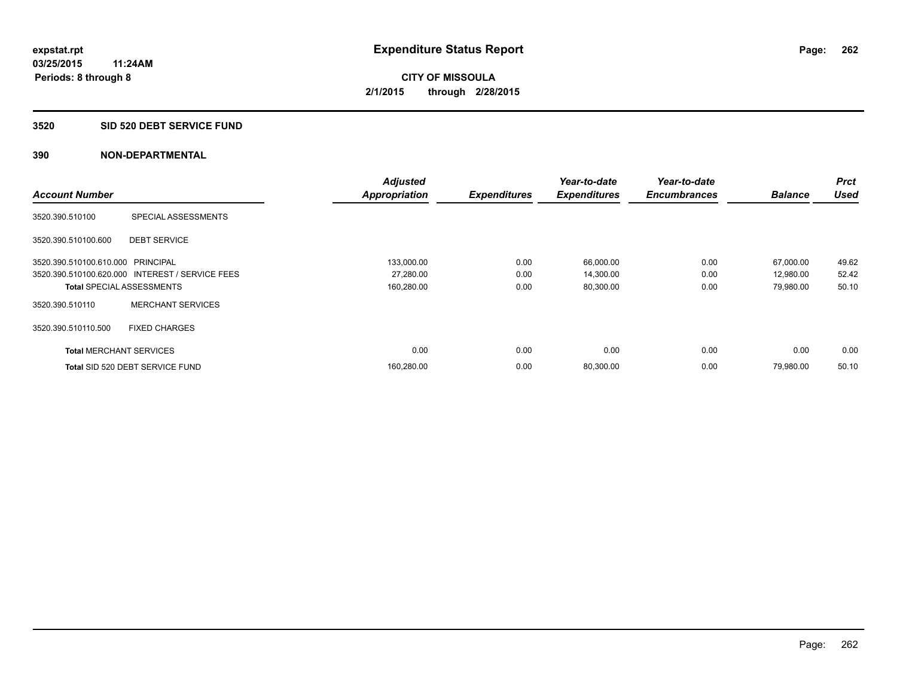#### **3520 SID 520 DEBT SERVICE FUND**

|                                   |                                                 | <b>Adjusted</b>      |                     | Year-to-date        | Year-to-date        |                | Prct        |
|-----------------------------------|-------------------------------------------------|----------------------|---------------------|---------------------|---------------------|----------------|-------------|
| <b>Account Number</b>             |                                                 | <b>Appropriation</b> | <b>Expenditures</b> | <b>Expenditures</b> | <b>Encumbrances</b> | <b>Balance</b> | <b>Used</b> |
| 3520.390.510100                   | SPECIAL ASSESSMENTS                             |                      |                     |                     |                     |                |             |
| 3520.390.510100.600               | <b>DEBT SERVICE</b>                             |                      |                     |                     |                     |                |             |
| 3520.390.510100.610.000 PRINCIPAL |                                                 | 133,000.00           | 0.00                | 66,000.00           | 0.00                | 67,000.00      | 49.62       |
|                                   | 3520.390.510100.620.000 INTEREST / SERVICE FEES | 27,280.00            | 0.00                | 14,300.00           | 0.00                | 12,980.00      | 52.42       |
| <b>Total SPECIAL ASSESSMENTS</b>  |                                                 | 160,280.00           | 0.00                | 80,300.00           | 0.00                | 79,980.00      | 50.10       |
| 3520.390.510110                   | <b>MERCHANT SERVICES</b>                        |                      |                     |                     |                     |                |             |
| 3520.390.510110.500               | <b>FIXED CHARGES</b>                            |                      |                     |                     |                     |                |             |
| <b>Total MERCHANT SERVICES</b>    |                                                 | 0.00                 | 0.00                | 0.00                | 0.00                | 0.00           | 0.00        |
|                                   | Total SID 520 DEBT SERVICE FUND                 | 160,280.00           | 0.00                | 80,300.00           | 0.00                | 79,980.00      | 50.10       |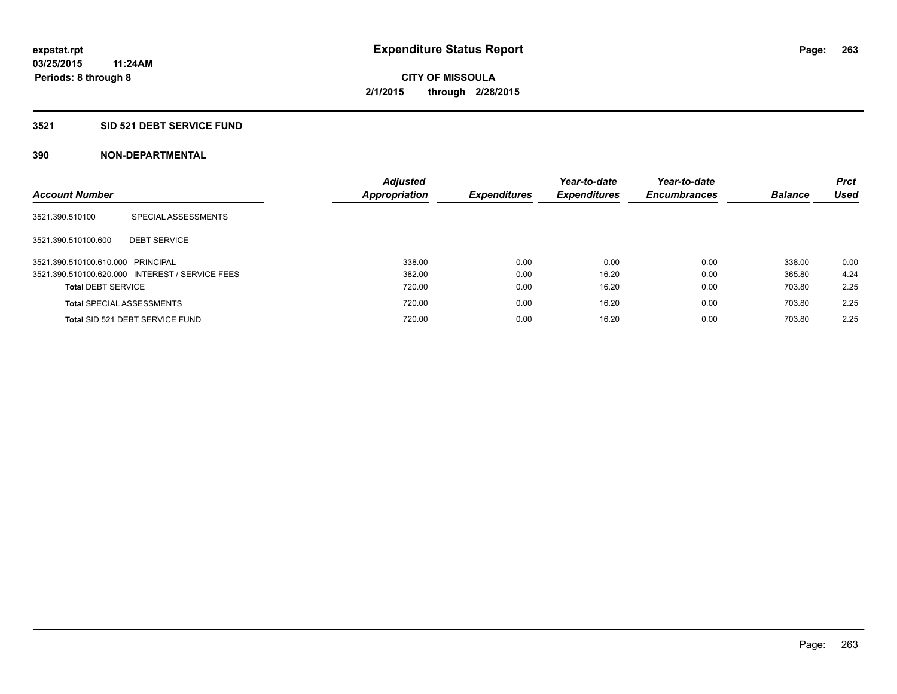### **3521 SID 521 DEBT SERVICE FUND**

| <b>Account Number</b>             |                                                 | <b>Adjusted</b><br><b>Appropriation</b> | <b>Expenditures</b> | Year-to-date<br><b>Expenditures</b> | Year-to-date<br><b>Encumbrances</b> | <b>Balance</b> | <b>Prct</b><br><b>Used</b> |
|-----------------------------------|-------------------------------------------------|-----------------------------------------|---------------------|-------------------------------------|-------------------------------------|----------------|----------------------------|
| 3521.390.510100                   | SPECIAL ASSESSMENTS                             |                                         |                     |                                     |                                     |                |                            |
| 3521.390.510100.600               | <b>DEBT SERVICE</b>                             |                                         |                     |                                     |                                     |                |                            |
| 3521.390.510100.610.000 PRINCIPAL |                                                 | 338.00                                  | 0.00                | 0.00                                | 0.00                                | 338.00         | 0.00                       |
|                                   | 3521.390.510100.620.000 INTEREST / SERVICE FEES | 382.00                                  | 0.00                | 16.20                               | 0.00                                | 365.80         | 4.24                       |
| <b>Total DEBT SERVICE</b>         |                                                 | 720.00                                  | 0.00                | 16.20                               | 0.00                                | 703.80         | 2.25                       |
|                                   | <b>Total SPECIAL ASSESSMENTS</b>                | 720.00                                  | 0.00                | 16.20                               | 0.00                                | 703.80         | 2.25                       |
|                                   | Total SID 521 DEBT SERVICE FUND                 | 720.00                                  | 0.00                | 16.20                               | 0.00                                | 703.80         | 2.25                       |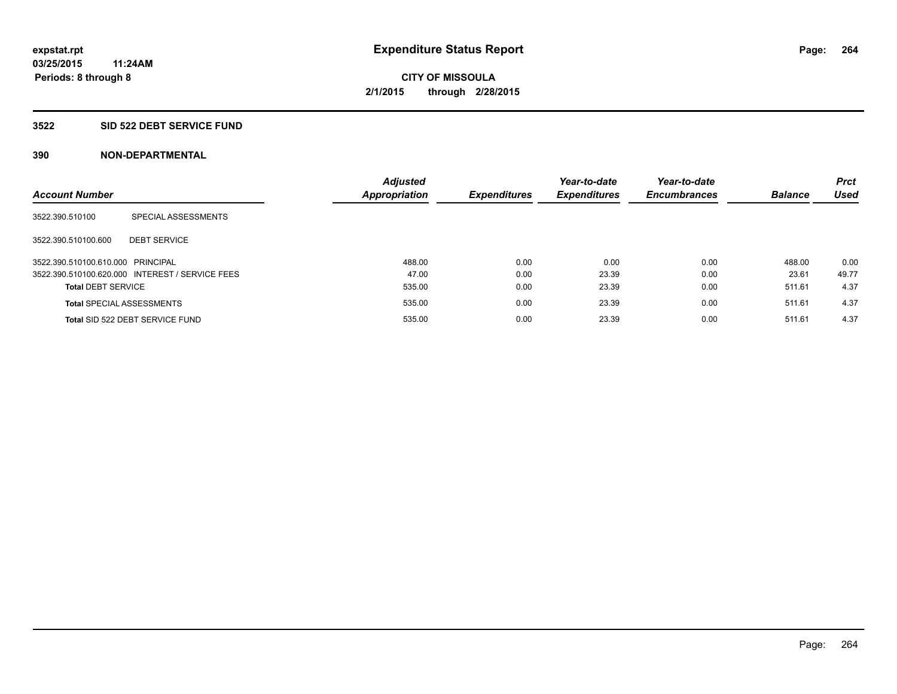#### **3522 SID 522 DEBT SERVICE FUND**

| <b>Account Number</b>             |                                                 | <b>Adjusted</b><br><b>Appropriation</b> | <b>Expenditures</b> | Year-to-date<br><b>Expenditures</b> | Year-to-date<br><b>Encumbrances</b> | <b>Balance</b> | <b>Prct</b><br><b>Used</b> |
|-----------------------------------|-------------------------------------------------|-----------------------------------------|---------------------|-------------------------------------|-------------------------------------|----------------|----------------------------|
| 3522.390.510100                   | SPECIAL ASSESSMENTS                             |                                         |                     |                                     |                                     |                |                            |
| 3522.390.510100.600               | <b>DEBT SERVICE</b>                             |                                         |                     |                                     |                                     |                |                            |
| 3522.390.510100.610.000 PRINCIPAL |                                                 | 488.00                                  | 0.00                | 0.00                                | 0.00                                | 488.00         | 0.00                       |
|                                   | 3522.390.510100.620.000 INTEREST / SERVICE FEES | 47.00                                   | 0.00                | 23.39                               | 0.00                                | 23.61          | 49.77                      |
| <b>Total DEBT SERVICE</b>         |                                                 | 535.00                                  | 0.00                | 23.39                               | 0.00                                | 511.61         | 4.37                       |
|                                   | <b>Total SPECIAL ASSESSMENTS</b>                | 535.00                                  | 0.00                | 23.39                               | 0.00                                | 511.61         | 4.37                       |
|                                   | Total SID 522 DEBT SERVICE FUND                 | 535.00                                  | 0.00                | 23.39                               | 0.00                                | 511.61         | 4.37                       |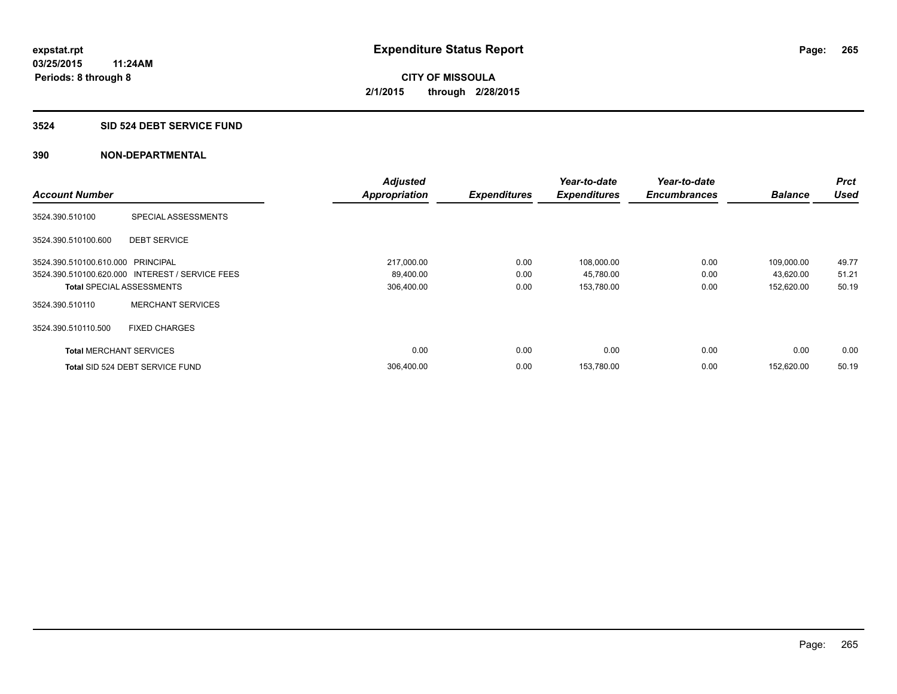### **3524 SID 524 DEBT SERVICE FUND**

|                                   |                                                 | <b>Adjusted</b>      |                     | Year-to-date        | Year-to-date        |                | <b>Prct</b> |
|-----------------------------------|-------------------------------------------------|----------------------|---------------------|---------------------|---------------------|----------------|-------------|
| <b>Account Number</b>             |                                                 | <b>Appropriation</b> | <b>Expenditures</b> | <b>Expenditures</b> | <b>Encumbrances</b> | <b>Balance</b> | <b>Used</b> |
| 3524.390.510100                   | SPECIAL ASSESSMENTS                             |                      |                     |                     |                     |                |             |
| 3524.390.510100.600               | <b>DEBT SERVICE</b>                             |                      |                     |                     |                     |                |             |
| 3524.390.510100.610.000 PRINCIPAL |                                                 | 217,000.00           | 0.00                | 108,000.00          | 0.00                | 109,000.00     | 49.77       |
|                                   | 3524.390.510100.620.000 INTEREST / SERVICE FEES | 89,400.00            | 0.00                | 45,780.00           | 0.00                | 43,620.00      | 51.21       |
| <b>Total SPECIAL ASSESSMENTS</b>  |                                                 | 306,400.00           | 0.00                | 153,780.00          | 0.00                | 152,620.00     | 50.19       |
| 3524.390.510110                   | <b>MERCHANT SERVICES</b>                        |                      |                     |                     |                     |                |             |
| 3524.390.510110.500               | <b>FIXED CHARGES</b>                            |                      |                     |                     |                     |                |             |
| <b>Total MERCHANT SERVICES</b>    |                                                 | 0.00                 | 0.00                | 0.00                | 0.00                | 0.00           | 0.00        |
|                                   | Total SID 524 DEBT SERVICE FUND                 | 306,400.00           | 0.00                | 153,780.00          | 0.00                | 152.620.00     | 50.19       |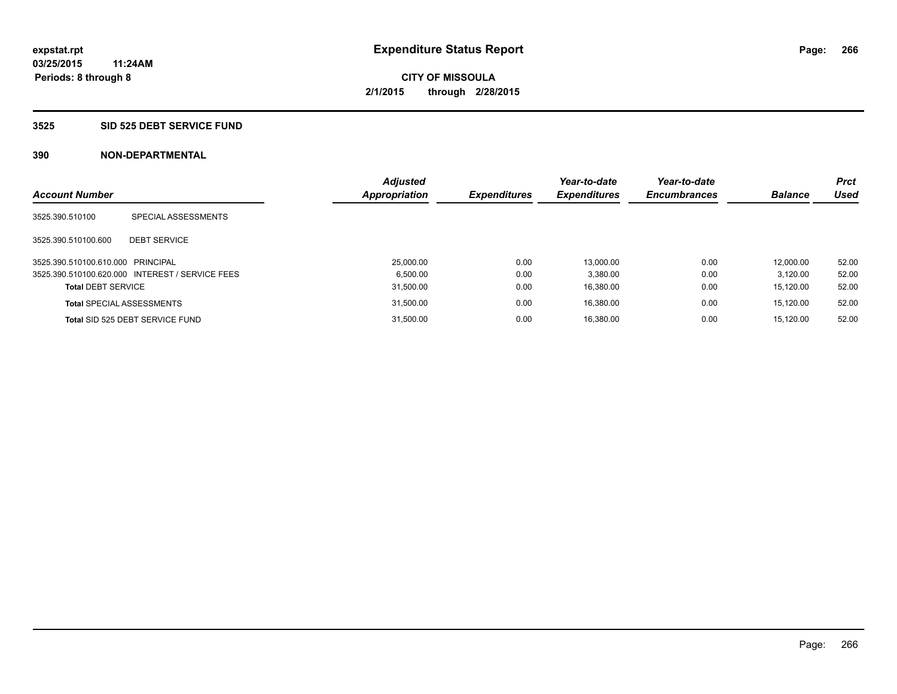#### **3525 SID 525 DEBT SERVICE FUND**

| <b>Account Number</b>             |                                                 | <b>Adjusted</b><br><b>Appropriation</b> | <b>Expenditures</b> | Year-to-date<br><b>Expenditures</b> | Year-to-date<br><b>Encumbrances</b> | <b>Balance</b> | <b>Prct</b><br><b>Used</b> |
|-----------------------------------|-------------------------------------------------|-----------------------------------------|---------------------|-------------------------------------|-------------------------------------|----------------|----------------------------|
|                                   |                                                 |                                         |                     |                                     |                                     |                |                            |
| 3525.390.510100                   | SPECIAL ASSESSMENTS                             |                                         |                     |                                     |                                     |                |                            |
| 3525.390.510100.600               | <b>DEBT SERVICE</b>                             |                                         |                     |                                     |                                     |                |                            |
| 3525.390.510100.610.000 PRINCIPAL |                                                 | 25,000.00                               | 0.00                | 13.000.00                           | 0.00                                | 12.000.00      | 52.00                      |
|                                   | 3525.390.510100.620.000 INTEREST / SERVICE FEES | 6.500.00                                | 0.00                | 3.380.00                            | 0.00                                | 3.120.00       | 52.00                      |
| <b>Total DEBT SERVICE</b>         |                                                 | 31.500.00                               | 0.00                | 16.380.00                           | 0.00                                | 15.120.00      | 52.00                      |
|                                   | <b>Total SPECIAL ASSESSMENTS</b>                | 31,500.00                               | 0.00                | 16.380.00                           | 0.00                                | 15.120.00      | 52.00                      |
|                                   | Total SID 525 DEBT SERVICE FUND                 | 31.500.00                               | 0.00                | 16.380.00                           | 0.00                                | 15.120.00      | 52.00                      |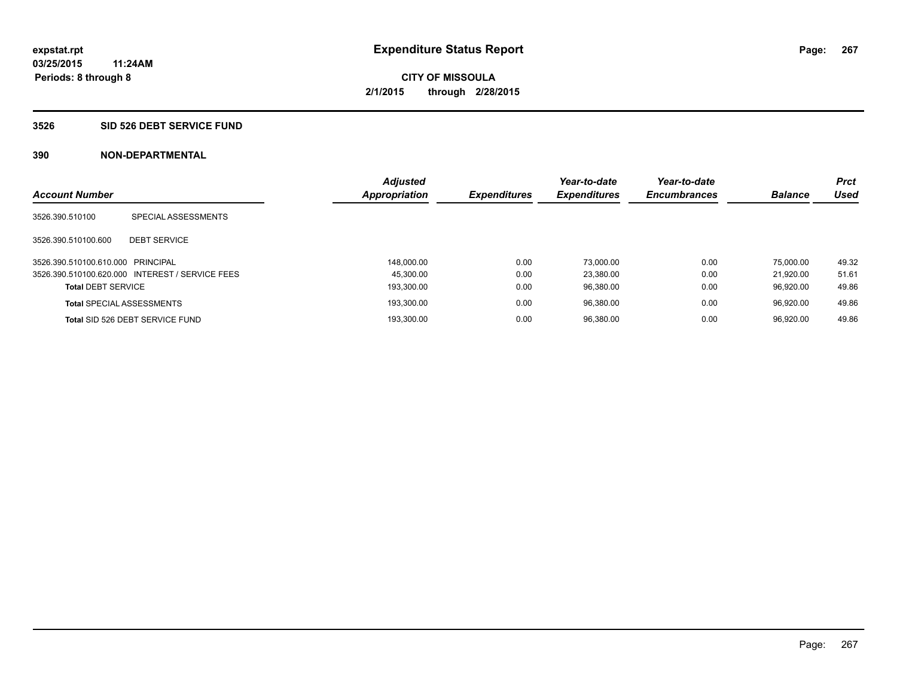#### **3526 SID 526 DEBT SERVICE FUND**

| <b>Account Number</b>             |                                                 | <b>Adjusted</b><br><b>Appropriation</b> | <b>Expenditures</b> | Year-to-date<br><b>Expenditures</b> | Year-to-date<br><b>Encumbrances</b> | <b>Balance</b> | <b>Prct</b><br>Used |
|-----------------------------------|-------------------------------------------------|-----------------------------------------|---------------------|-------------------------------------|-------------------------------------|----------------|---------------------|
| 3526.390.510100                   | SPECIAL ASSESSMENTS                             |                                         |                     |                                     |                                     |                |                     |
| 3526.390.510100.600               | <b>DEBT SERVICE</b>                             |                                         |                     |                                     |                                     |                |                     |
| 3526.390.510100.610.000 PRINCIPAL |                                                 | 148.000.00                              | 0.00                | 73.000.00                           | 0.00                                | 75.000.00      | 49.32               |
|                                   | 3526.390.510100.620.000 INTEREST / SERVICE FEES | 45.300.00                               | 0.00                | 23.380.00                           | 0.00                                | 21.920.00      | 51.61               |
| <b>Total DEBT SERVICE</b>         |                                                 | 193.300.00                              | 0.00                | 96.380.00                           | 0.00                                | 96.920.00      | 49.86               |
|                                   | <b>Total SPECIAL ASSESSMENTS</b>                | 193.300.00                              | 0.00                | 96.380.00                           | 0.00                                | 96.920.00      | 49.86               |
|                                   | Total SID 526 DEBT SERVICE FUND                 | 193.300.00                              | 0.00                | 96.380.00                           | 0.00                                | 96.920.00      | 49.86               |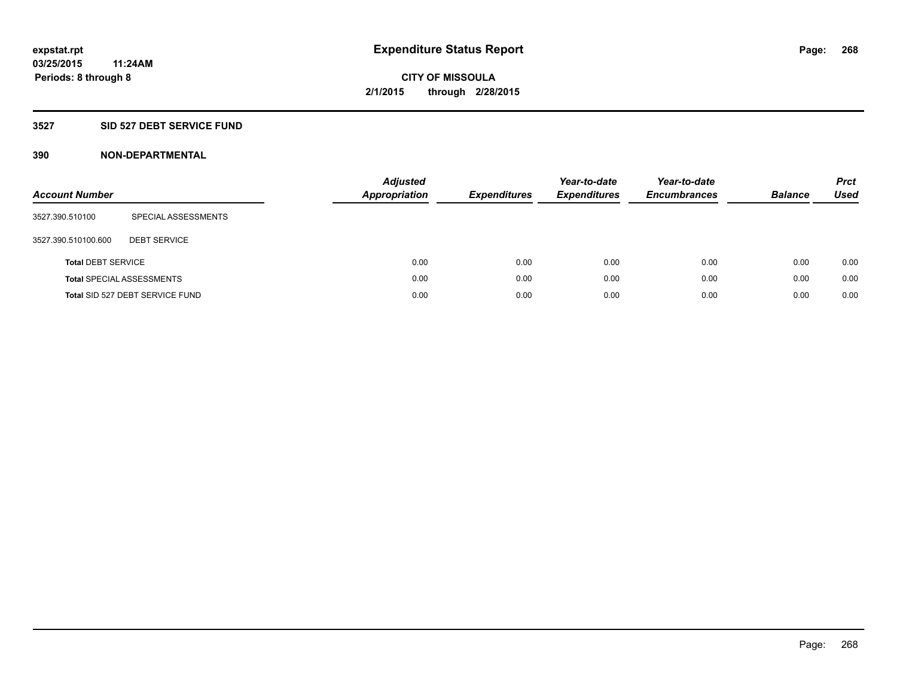### **3527 SID 527 DEBT SERVICE FUND**

| <b>Account Number</b>     |                                  | <b>Adjusted</b><br><b>Appropriation</b> | <b>Expenditures</b> | Year-to-date<br><b>Expenditures</b> | Year-to-date<br><b>Encumbrances</b> | <b>Balance</b> | <b>Prct</b><br>Used |
|---------------------------|----------------------------------|-----------------------------------------|---------------------|-------------------------------------|-------------------------------------|----------------|---------------------|
| 3527.390.510100           | SPECIAL ASSESSMENTS              |                                         |                     |                                     |                                     |                |                     |
| 3527.390.510100.600       | <b>DEBT SERVICE</b>              |                                         |                     |                                     |                                     |                |                     |
| <b>Total DEBT SERVICE</b> |                                  | 0.00                                    | 0.00                | 0.00                                | 0.00                                | 0.00           | 0.00                |
|                           | <b>Total SPECIAL ASSESSMENTS</b> | 0.00                                    | 0.00                | 0.00                                | 0.00                                | 0.00           | 0.00                |
|                           | Total SID 527 DEBT SERVICE FUND  | 0.00                                    | 0.00                | 0.00                                | 0.00                                | 0.00           | 0.00                |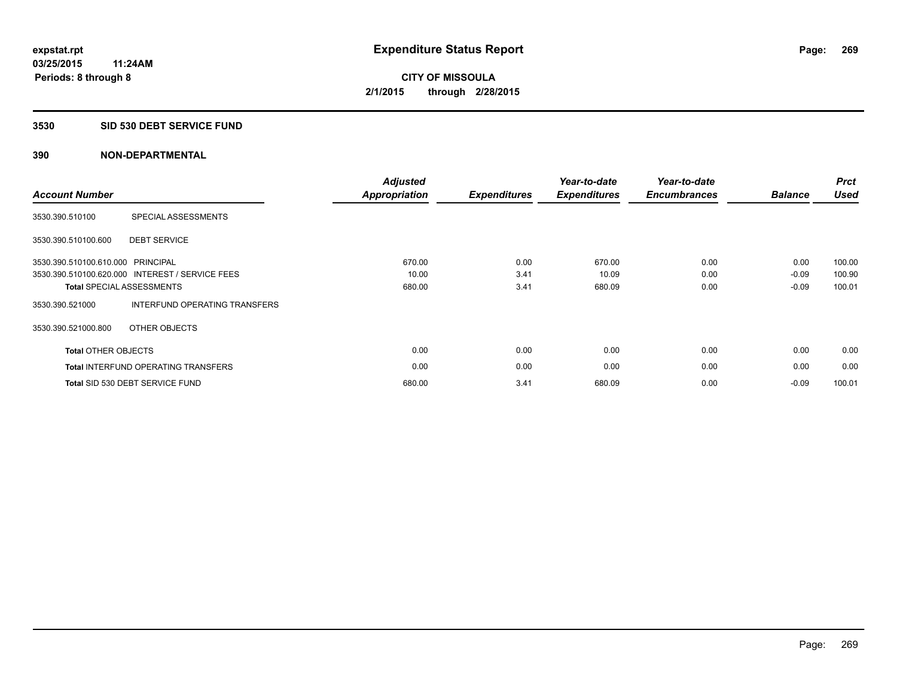#### **3530 SID 530 DEBT SERVICE FUND**

| <b>Account Number</b>             |                                                 | <b>Adjusted</b><br>Appropriation | <b>Expenditures</b> | Year-to-date<br><b>Expenditures</b> | Year-to-date<br><b>Encumbrances</b> | <b>Balance</b> | <b>Prct</b><br><b>Used</b> |
|-----------------------------------|-------------------------------------------------|----------------------------------|---------------------|-------------------------------------|-------------------------------------|----------------|----------------------------|
| 3530.390.510100                   | SPECIAL ASSESSMENTS                             |                                  |                     |                                     |                                     |                |                            |
| 3530.390.510100.600               | <b>DEBT SERVICE</b>                             |                                  |                     |                                     |                                     |                |                            |
| 3530.390.510100.610.000 PRINCIPAL |                                                 | 670.00                           | 0.00                | 670.00                              | 0.00                                | 0.00           | 100.00                     |
|                                   | 3530.390.510100.620.000 INTEREST / SERVICE FEES | 10.00                            | 3.41                | 10.09                               | 0.00                                | $-0.09$        | 100.90                     |
|                                   | <b>Total SPECIAL ASSESSMENTS</b>                | 680.00                           | 3.41                | 680.09                              | 0.00                                | $-0.09$        | 100.01                     |
| 3530.390.521000                   | INTERFUND OPERATING TRANSFERS                   |                                  |                     |                                     |                                     |                |                            |
| 3530.390.521000.800               | OTHER OBJECTS                                   |                                  |                     |                                     |                                     |                |                            |
| <b>Total OTHER OBJECTS</b>        |                                                 | 0.00                             | 0.00                | 0.00                                | 0.00                                | 0.00           | 0.00                       |
|                                   | <b>Total INTERFUND OPERATING TRANSFERS</b>      | 0.00                             | 0.00                | 0.00                                | 0.00                                | 0.00           | 0.00                       |
|                                   | Total SID 530 DEBT SERVICE FUND                 | 680.00                           | 3.41                | 680.09                              | 0.00                                | $-0.09$        | 100.01                     |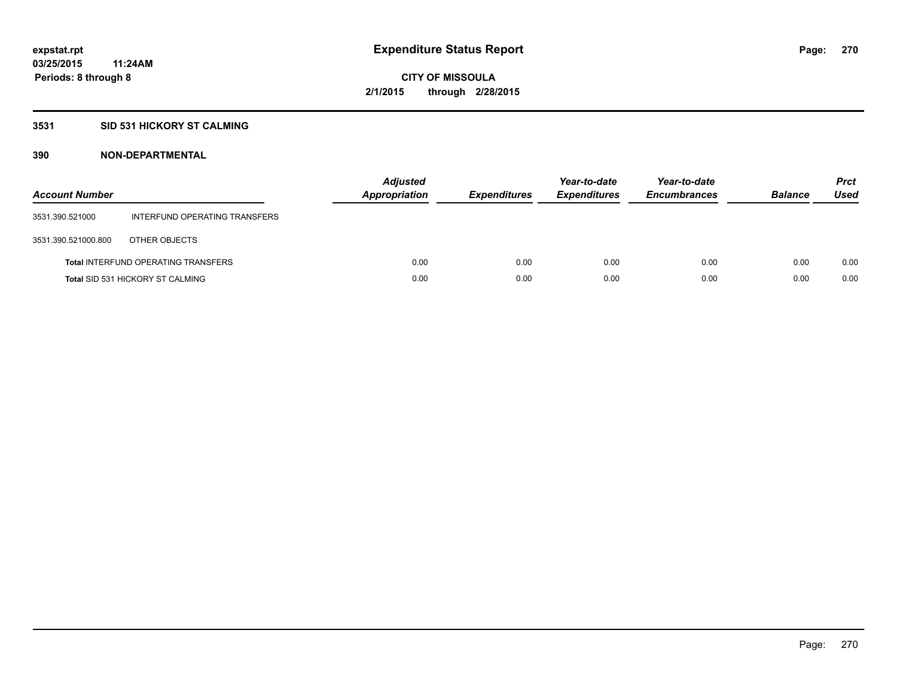### **3531 SID 531 HICKORY ST CALMING**

| <b>Account Number</b> |                                            | <b>Adjusted</b><br><b>Appropriation</b> | <b>Expenditures</b> | Year-to-date<br><b>Expenditures</b> | Year-to-date<br><b>Encumbrances</b> | <b>Balance</b> | <b>Prct</b><br>Used |
|-----------------------|--------------------------------------------|-----------------------------------------|---------------------|-------------------------------------|-------------------------------------|----------------|---------------------|
| 3531.390.521000       | INTERFUND OPERATING TRANSFERS              |                                         |                     |                                     |                                     |                |                     |
| 3531.390.521000.800   | OTHER OBJECTS                              |                                         |                     |                                     |                                     |                |                     |
|                       | <b>Total INTERFUND OPERATING TRANSFERS</b> | 0.00                                    | 0.00                | 0.00                                | 0.00                                | 0.00           | 0.00                |
|                       | <b>Total SID 531 HICKORY ST CALMING</b>    | 0.00                                    | 0.00                | 0.00                                | 0.00                                | 0.00           | 0.00                |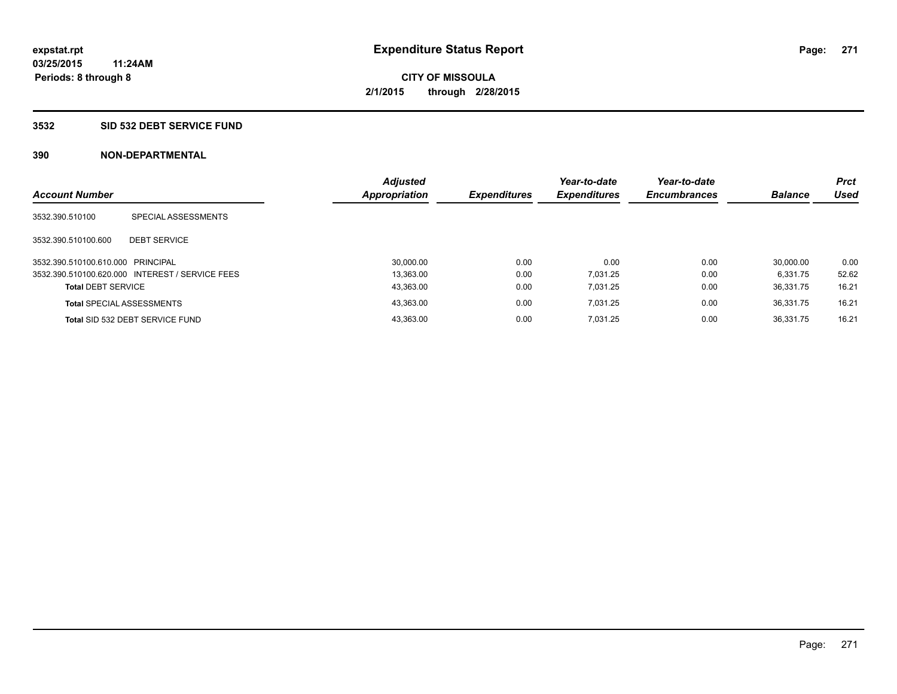#### **3532 SID 532 DEBT SERVICE FUND**

| <b>Account Number</b>             |                                                 | <b>Adjusted</b><br><b>Appropriation</b> | <b>Expenditures</b> | Year-to-date<br><b>Expenditures</b> | Year-to-date<br><b>Encumbrances</b> | <b>Balance</b> | <b>Prct</b><br>Used |
|-----------------------------------|-------------------------------------------------|-----------------------------------------|---------------------|-------------------------------------|-------------------------------------|----------------|---------------------|
| 3532.390.510100                   | SPECIAL ASSESSMENTS                             |                                         |                     |                                     |                                     |                |                     |
| 3532.390.510100.600               | <b>DEBT SERVICE</b>                             |                                         |                     |                                     |                                     |                |                     |
| 3532.390.510100.610.000 PRINCIPAL |                                                 | 30.000.00                               | 0.00                | 0.00                                | 0.00                                | 30.000.00      | 0.00                |
|                                   | 3532.390.510100.620.000 INTEREST / SERVICE FEES | 13.363.00                               | 0.00                | 7.031.25                            | 0.00                                | 6.331.75       | 52.62               |
| <b>Total DEBT SERVICE</b>         |                                                 | 43,363.00                               | 0.00                | 7.031.25                            | 0.00                                | 36.331.75      | 16.21               |
|                                   | <b>Total SPECIAL ASSESSMENTS</b>                | 43,363.00                               | 0.00                | 7.031.25                            | 0.00                                | 36.331.75      | 16.21               |
|                                   | Total SID 532 DEBT SERVICE FUND                 | 43.363.00                               | 0.00                | 7.031.25                            | 0.00                                | 36.331.75      | 16.21               |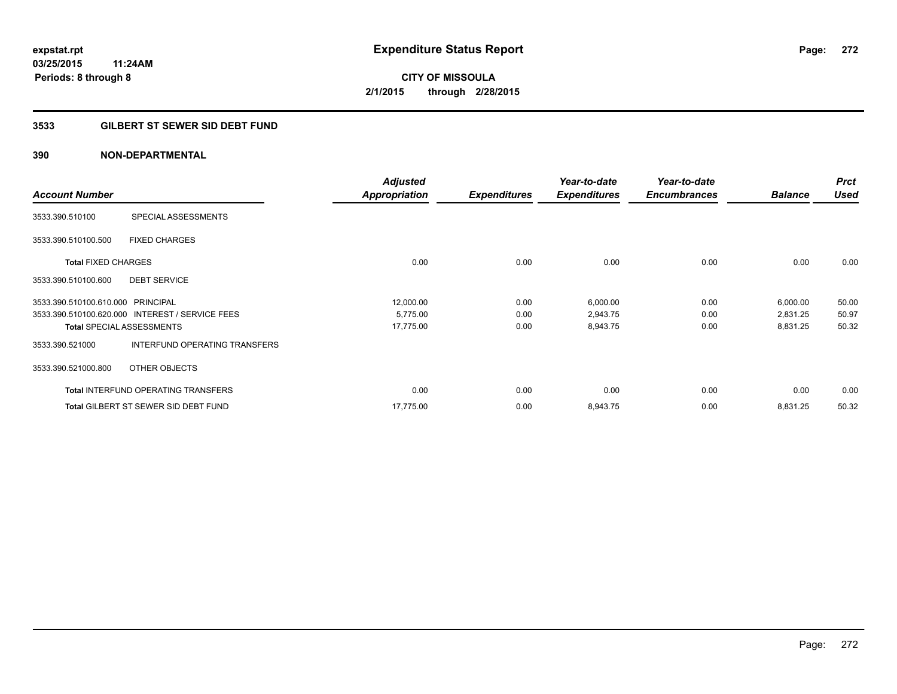### **3533 GILBERT ST SEWER SID DEBT FUND**

|                                                  | <b>Adjusted</b>      |                     | Year-to-date        | Year-to-date        |                | <b>Prct</b> |
|--------------------------------------------------|----------------------|---------------------|---------------------|---------------------|----------------|-------------|
| <b>Account Number</b>                            | <b>Appropriation</b> | <b>Expenditures</b> | <b>Expenditures</b> | <b>Encumbrances</b> | <b>Balance</b> | <b>Used</b> |
| SPECIAL ASSESSMENTS<br>3533.390.510100           |                      |                     |                     |                     |                |             |
| <b>FIXED CHARGES</b><br>3533.390.510100.500      |                      |                     |                     |                     |                |             |
| <b>Total FIXED CHARGES</b>                       | 0.00                 | 0.00                | 0.00                | 0.00                | 0.00           | 0.00        |
| <b>DEBT SERVICE</b><br>3533.390.510100.600       |                      |                     |                     |                     |                |             |
| 3533.390.510100.610.000 PRINCIPAL                | 12,000.00            | 0.00                | 6,000.00            | 0.00                | 6,000.00       | 50.00       |
| 3533.390.510100.620.000 INTEREST / SERVICE FEES  | 5,775.00             | 0.00                | 2,943.75            | 0.00                | 2,831.25       | 50.97       |
| <b>Total SPECIAL ASSESSMENTS</b>                 | 17,775.00            | 0.00                | 8,943.75            | 0.00                | 8,831.25       | 50.32       |
| INTERFUND OPERATING TRANSFERS<br>3533.390.521000 |                      |                     |                     |                     |                |             |
| OTHER OBJECTS<br>3533.390.521000.800             |                      |                     |                     |                     |                |             |
| <b>Total INTERFUND OPERATING TRANSFERS</b>       | 0.00                 | 0.00                | 0.00                | 0.00                | 0.00           | 0.00        |
| Total GILBERT ST SEWER SID DEBT FUND             | 17,775.00            | 0.00                | 8,943.75            | 0.00                | 8,831.25       | 50.32       |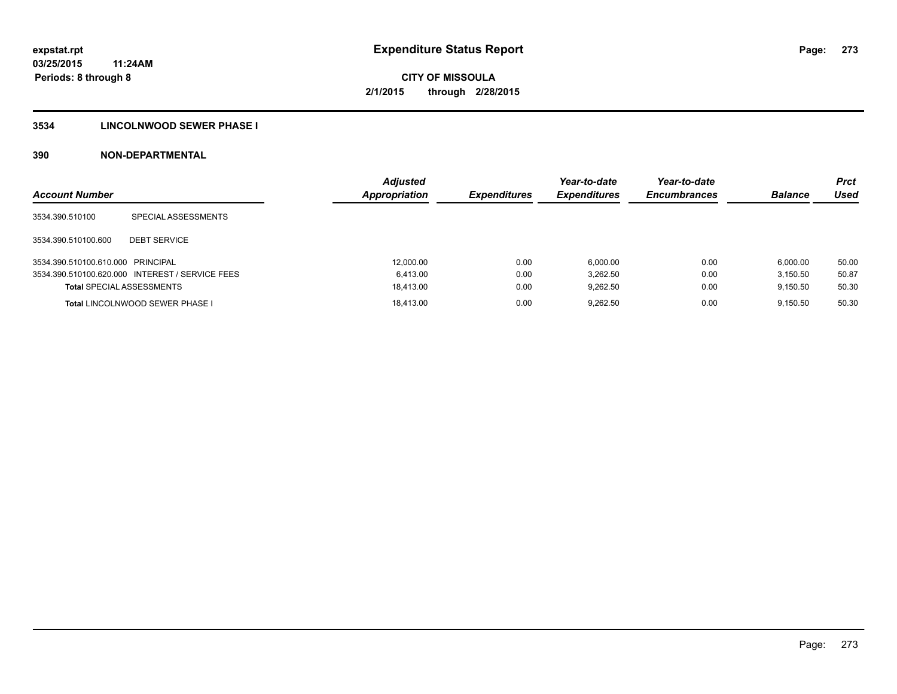### **3534 LINCOLNWOOD SEWER PHASE I**

| <b>Account Number</b>             |                                                 | <b>Adjusted</b><br><b>Appropriation</b> | <b>Expenditures</b> | Year-to-date<br><b>Expenditures</b> | Year-to-date<br><b>Encumbrances</b> | <b>Balance</b> | <b>Prct</b><br>Used |
|-----------------------------------|-------------------------------------------------|-----------------------------------------|---------------------|-------------------------------------|-------------------------------------|----------------|---------------------|
| 3534.390.510100                   | SPECIAL ASSESSMENTS                             |                                         |                     |                                     |                                     |                |                     |
| 3534.390.510100.600               | <b>DEBT SERVICE</b>                             |                                         |                     |                                     |                                     |                |                     |
| 3534.390.510100.610.000 PRINCIPAL |                                                 | 12,000.00                               | 0.00                | 6.000.00                            | 0.00                                | 6.000.00       | 50.00               |
|                                   | 3534.390.510100.620.000 INTEREST / SERVICE FEES | 6.413.00                                | 0.00                | 3.262.50                            | 0.00                                | 3.150.50       | 50.87               |
| <b>Total SPECIAL ASSESSMENTS</b>  |                                                 | 18,413.00                               | 0.00                | 9.262.50                            | 0.00                                | 9.150.50       | 50.30               |
|                                   | <b>Total LINCOLNWOOD SEWER PHASE I</b>          | 18.413.00                               | 0.00                | 9.262.50                            | 0.00                                | 9.150.50       | 50.30               |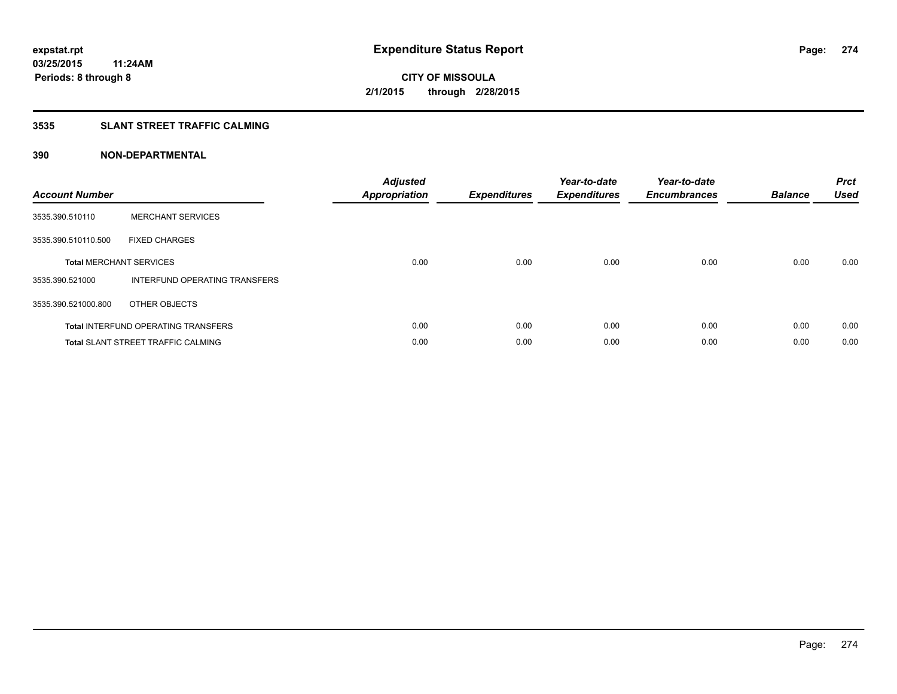### **3535 SLANT STREET TRAFFIC CALMING**

| <b>Account Number</b> |                                            | <b>Adjusted</b><br><b>Appropriation</b> | <b>Expenditures</b> | Year-to-date<br><b>Expenditures</b> | Year-to-date<br><b>Encumbrances</b> | <b>Balance</b> | <b>Prct</b><br>Used |
|-----------------------|--------------------------------------------|-----------------------------------------|---------------------|-------------------------------------|-------------------------------------|----------------|---------------------|
| 3535.390.510110       | <b>MERCHANT SERVICES</b>                   |                                         |                     |                                     |                                     |                |                     |
| 3535.390.510110.500   | <b>FIXED CHARGES</b>                       |                                         |                     |                                     |                                     |                |                     |
|                       | <b>Total MERCHANT SERVICES</b>             | 0.00                                    | 0.00                | 0.00                                | 0.00                                | 0.00           | 0.00                |
| 3535.390.521000       | INTERFUND OPERATING TRANSFERS              |                                         |                     |                                     |                                     |                |                     |
| 3535.390.521000.800   | OTHER OBJECTS                              |                                         |                     |                                     |                                     |                |                     |
|                       | <b>Total INTERFUND OPERATING TRANSFERS</b> | 0.00                                    | 0.00                | 0.00                                | 0.00                                | 0.00           | 0.00                |
|                       | <b>Total SLANT STREET TRAFFIC CALMING</b>  | 0.00                                    | 0.00                | 0.00                                | 0.00                                | 0.00           | 0.00                |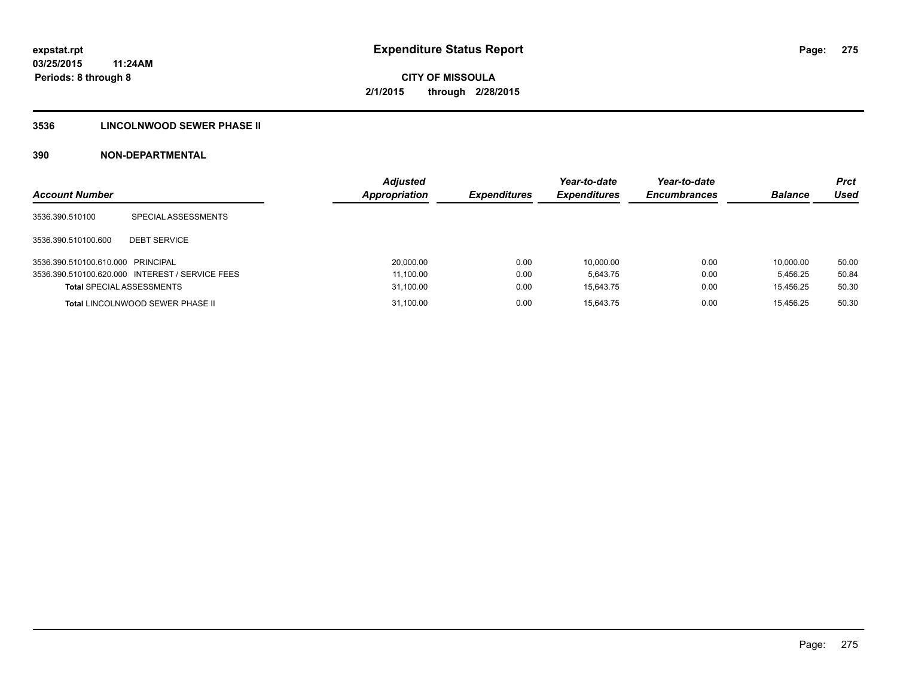### **3536 LINCOLNWOOD SEWER PHASE II**

| <b>Account Number</b>             |                                                 | <b>Adjusted</b><br><b>Appropriation</b> | <b>Expenditures</b> | Year-to-date<br><b>Expenditures</b> | Year-to-date<br><b>Encumbrances</b> | <b>Balance</b> | <b>Prct</b><br>Used |
|-----------------------------------|-------------------------------------------------|-----------------------------------------|---------------------|-------------------------------------|-------------------------------------|----------------|---------------------|
| 3536.390.510100                   | SPECIAL ASSESSMENTS                             |                                         |                     |                                     |                                     |                |                     |
| 3536.390.510100.600               | <b>DEBT SERVICE</b>                             |                                         |                     |                                     |                                     |                |                     |
| 3536.390.510100.610.000 PRINCIPAL |                                                 | 20,000.00                               | 0.00                | 10.000.00                           | 0.00                                | 10.000.00      | 50.00               |
|                                   | 3536.390.510100.620.000 INTEREST / SERVICE FEES | 11,100.00                               | 0.00                | 5.643.75                            | 0.00                                | 5.456.25       | 50.84               |
| <b>Total SPECIAL ASSESSMENTS</b>  |                                                 | 31,100.00                               | 0.00                | 15.643.75                           | 0.00                                | 15.456.25      | 50.30               |
|                                   | <b>Total LINCOLNWOOD SEWER PHASE II</b>         | 31,100.00                               | 0.00                | 15.643.75                           | 0.00                                | 15.456.25      | 50.30               |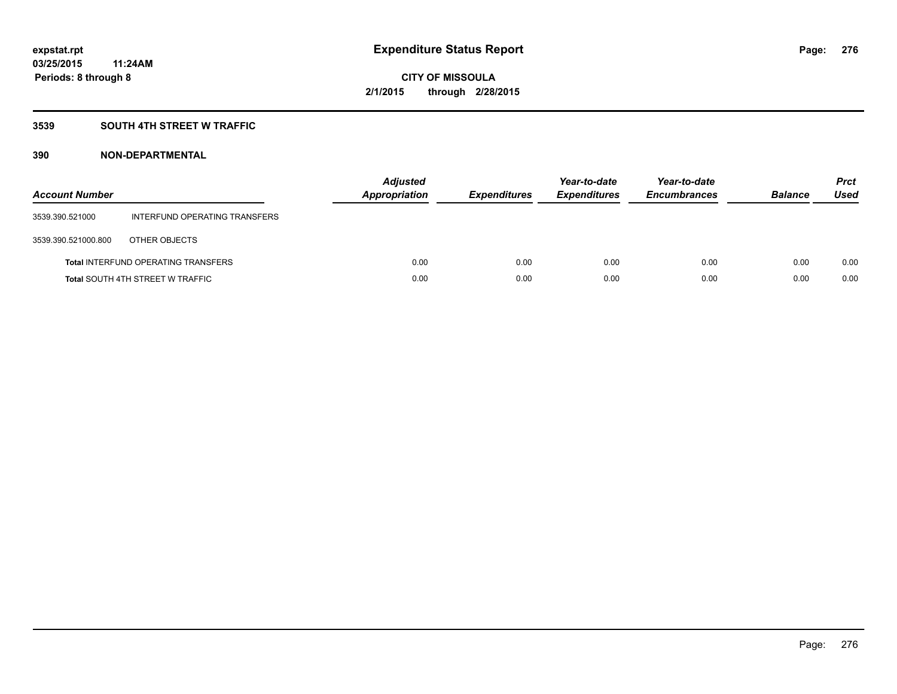### **3539 SOUTH 4TH STREET W TRAFFIC**

| <b>Account Number</b> |                                            | <b>Adjusted</b><br>Appropriation | <b>Expenditures</b> | Year-to-date<br><b>Expenditures</b> | Year-to-date<br><b>Encumbrances</b> | <b>Balance</b> | <b>Prct</b><br>Used |
|-----------------------|--------------------------------------------|----------------------------------|---------------------|-------------------------------------|-------------------------------------|----------------|---------------------|
| 3539.390.521000       | INTERFUND OPERATING TRANSFERS              |                                  |                     |                                     |                                     |                |                     |
| 3539.390.521000.800   | OTHER OBJECTS                              |                                  |                     |                                     |                                     |                |                     |
|                       | <b>Total INTERFUND OPERATING TRANSFERS</b> | 0.00                             | 0.00                | 0.00                                | 0.00                                | 0.00           | 0.00                |
|                       | <b>Total SOUTH 4TH STREET W TRAFFIC</b>    | 0.00                             | 0.00                | 0.00                                | 0.00                                | 0.00           | 0.00                |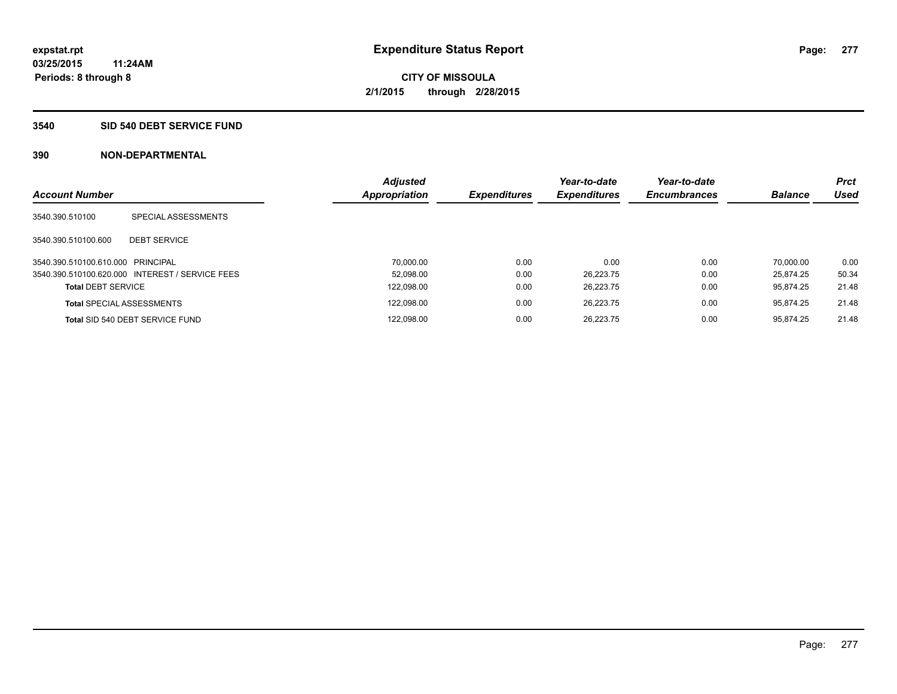#### **3540 SID 540 DEBT SERVICE FUND**

| <b>Account Number</b>             |                                                 | <b>Adjusted</b><br><b>Appropriation</b> | <b>Expenditures</b> | Year-to-date<br><b>Expenditures</b> | Year-to-date<br><b>Encumbrances</b> | <b>Balance</b> | <b>Prct</b><br>Used |
|-----------------------------------|-------------------------------------------------|-----------------------------------------|---------------------|-------------------------------------|-------------------------------------|----------------|---------------------|
| 3540.390.510100                   | SPECIAL ASSESSMENTS                             |                                         |                     |                                     |                                     |                |                     |
| 3540.390.510100.600               | <b>DEBT SERVICE</b>                             |                                         |                     |                                     |                                     |                |                     |
| 3540.390.510100.610.000 PRINCIPAL |                                                 | 70.000.00                               | 0.00                | 0.00                                | 0.00                                | 70.000.00      | 0.00                |
|                                   | 3540.390.510100.620.000 INTEREST / SERVICE FEES | 52.098.00                               | 0.00                | 26.223.75                           | 0.00                                | 25.874.25      | 50.34               |
| <b>Total DEBT SERVICE</b>         |                                                 | 122,098.00                              | 0.00                | 26.223.75                           | 0.00                                | 95.874.25      | 21.48               |
|                                   | <b>Total SPECIAL ASSESSMENTS</b>                | 122.098.00                              | 0.00                | 26.223.75                           | 0.00                                | 95.874.25      | 21.48               |
|                                   | Total SID 540 DEBT SERVICE FUND                 | 122,098.00                              | 0.00                | 26.223.75                           | 0.00                                | 95.874.25      | 21.48               |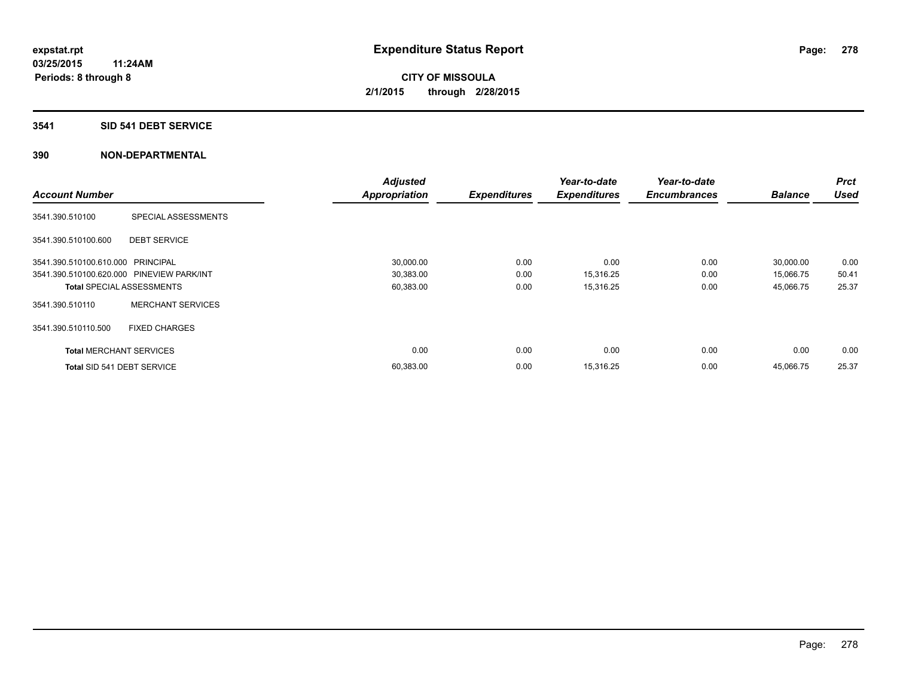#### **3541 SID 541 DEBT SERVICE**

|                                           |                                  | <b>Adjusted</b>      |                     | Year-to-date        | Year-to-date        |                | <b>Prct</b> |
|-------------------------------------------|----------------------------------|----------------------|---------------------|---------------------|---------------------|----------------|-------------|
| <b>Account Number</b>                     |                                  | <b>Appropriation</b> | <b>Expenditures</b> | <b>Expenditures</b> | <b>Encumbrances</b> | <b>Balance</b> | <b>Used</b> |
| 3541.390.510100                           | SPECIAL ASSESSMENTS              |                      |                     |                     |                     |                |             |
| 3541.390.510100.600                       | <b>DEBT SERVICE</b>              |                      |                     |                     |                     |                |             |
| 3541.390.510100.610.000 PRINCIPAL         |                                  | 30,000.00            | 0.00                | 0.00                | 0.00                | 30,000.00      | 0.00        |
| 3541.390.510100.620.000 PINEVIEW PARK/INT |                                  | 30,383.00            | 0.00                | 15,316.25           | 0.00                | 15,066.75      | 50.41       |
|                                           | <b>Total SPECIAL ASSESSMENTS</b> | 60,383.00            | 0.00                | 15,316.25           | 0.00                | 45,066.75      | 25.37       |
| 3541.390.510110                           | <b>MERCHANT SERVICES</b>         |                      |                     |                     |                     |                |             |
| 3541.390.510110.500                       | <b>FIXED CHARGES</b>             |                      |                     |                     |                     |                |             |
| <b>Total MERCHANT SERVICES</b>            |                                  | 0.00                 | 0.00                | 0.00                | 0.00                | 0.00           | 0.00        |
| Total SID 541 DEBT SERVICE                |                                  | 60,383.00            | 0.00                | 15,316.25           | 0.00                | 45,066.75      | 25.37       |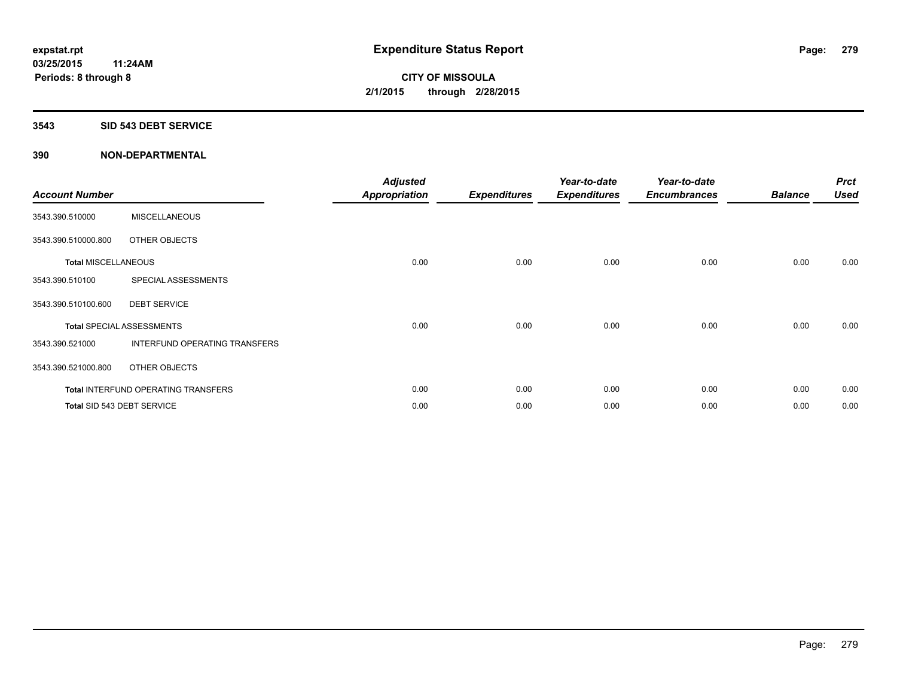#### **3543 SID 543 DEBT SERVICE**

| <b>Account Number</b>      |                                            | <b>Adjusted</b><br><b>Appropriation</b> | <b>Expenditures</b> | Year-to-date<br><b>Expenditures</b> | Year-to-date<br><b>Encumbrances</b> | <b>Balance</b> | <b>Prct</b><br><b>Used</b> |
|----------------------------|--------------------------------------------|-----------------------------------------|---------------------|-------------------------------------|-------------------------------------|----------------|----------------------------|
| 3543.390.510000            | <b>MISCELLANEOUS</b>                       |                                         |                     |                                     |                                     |                |                            |
| 3543.390.510000.800        | OTHER OBJECTS                              |                                         |                     |                                     |                                     |                |                            |
| <b>Total MISCELLANEOUS</b> |                                            | 0.00                                    | 0.00                | 0.00                                | 0.00                                | 0.00           | 0.00                       |
| 3543.390.510100            | SPECIAL ASSESSMENTS                        |                                         |                     |                                     |                                     |                |                            |
| 3543.390.510100.600        | <b>DEBT SERVICE</b>                        |                                         |                     |                                     |                                     |                |                            |
|                            | <b>Total SPECIAL ASSESSMENTS</b>           | 0.00                                    | 0.00                | 0.00                                | 0.00                                | 0.00           | 0.00                       |
| 3543.390.521000            | INTERFUND OPERATING TRANSFERS              |                                         |                     |                                     |                                     |                |                            |
| 3543.390.521000.800        | OTHER OBJECTS                              |                                         |                     |                                     |                                     |                |                            |
|                            | <b>Total INTERFUND OPERATING TRANSFERS</b> | 0.00                                    | 0.00                | 0.00                                | 0.00                                | 0.00           | 0.00                       |
|                            | Total SID 543 DEBT SERVICE                 | 0.00                                    | 0.00                | 0.00                                | 0.00                                | 0.00           | 0.00                       |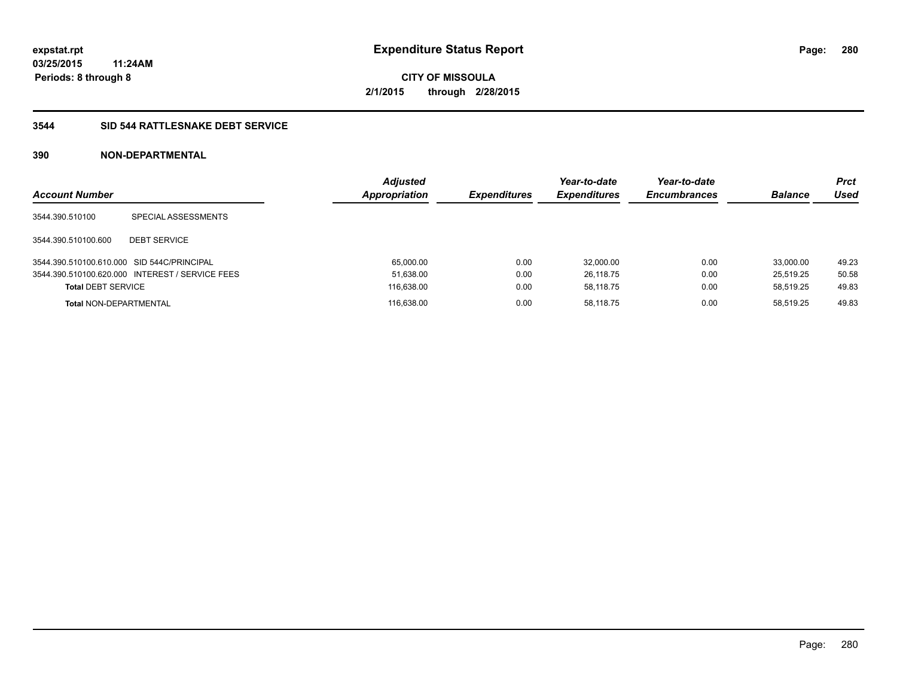### **3544 SID 544 RATTLESNAKE DEBT SERVICE**

| <b>Account Number</b>                      |                                                 | <b>Adjusted</b><br><b>Appropriation</b> | <b>Expenditures</b> | Year-to-date<br><b>Expenditures</b> | Year-to-date<br><b>Encumbrances</b> | <b>Balance</b> | <b>Prct</b><br>Used |
|--------------------------------------------|-------------------------------------------------|-----------------------------------------|---------------------|-------------------------------------|-------------------------------------|----------------|---------------------|
| 3544.390.510100                            | SPECIAL ASSESSMENTS                             |                                         |                     |                                     |                                     |                |                     |
| 3544.390.510100.600                        | <b>DEBT SERVICE</b>                             |                                         |                     |                                     |                                     |                |                     |
| 3544.390.510100.610.000 SID 544C/PRINCIPAL |                                                 | 65.000.00                               | 0.00                | 32,000.00                           | 0.00                                | 33.000.00      | 49.23               |
|                                            | 3544.390.510100.620.000 INTEREST / SERVICE FEES | 51,638.00                               | 0.00                | 26,118.75                           | 0.00                                | 25.519.25      | 50.58               |
| <b>Total DEBT SERVICE</b>                  |                                                 | 116,638.00                              | 0.00                | 58.118.75                           | 0.00                                | 58.519.25      | 49.83               |
| <b>Total NON-DEPARTMENTAL</b>              |                                                 | 116.638.00                              | 0.00                | 58.118.75                           | 0.00                                | 58.519.25      | 49.83               |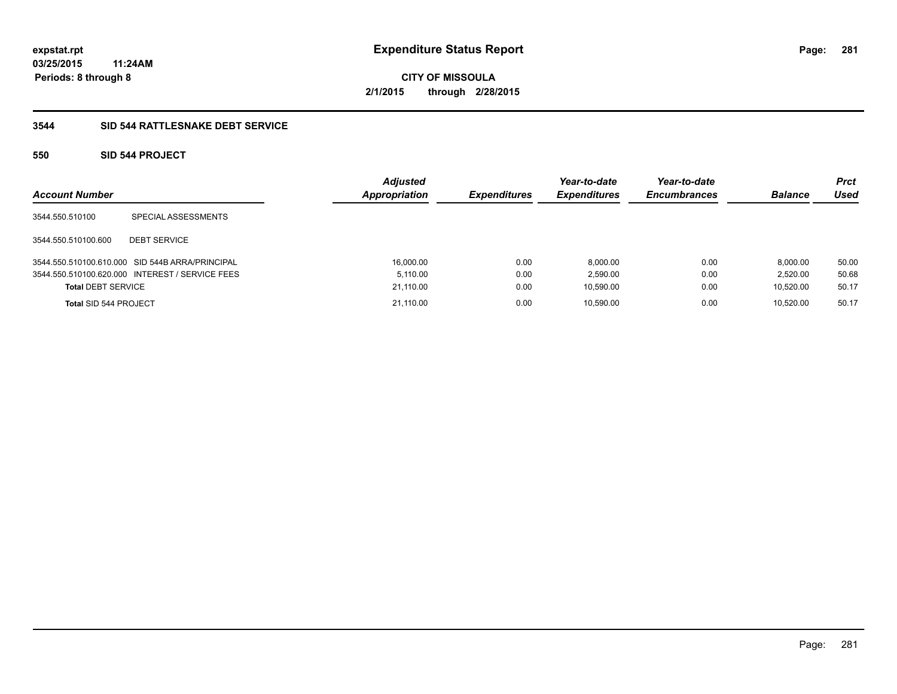**Periods: 8 through 8**

**CITY OF MISSOULA 2/1/2015 through 2/28/2015**

### **3544 SID 544 RATTLESNAKE DEBT SERVICE**

### **550 SID 544 PROJECT**

| <b>Account Number</b>     |                                                 | <b>Adjusted</b><br><b>Appropriation</b> | <b>Expenditures</b> | Year-to-date<br><b>Expenditures</b> | Year-to-date<br><b>Encumbrances</b> | <b>Balance</b> | <b>Prct</b><br>Used |
|---------------------------|-------------------------------------------------|-----------------------------------------|---------------------|-------------------------------------|-------------------------------------|----------------|---------------------|
| 3544.550.510100           | SPECIAL ASSESSMENTS                             |                                         |                     |                                     |                                     |                |                     |
| 3544.550.510100.600       | <b>DEBT SERVICE</b>                             |                                         |                     |                                     |                                     |                |                     |
|                           | 3544.550.510100.610.000 SID 544B ARRA/PRINCIPAL | 16,000.00                               | 0.00                | 8.000.00                            | 0.00                                | 8.000.00       | 50.00               |
|                           | 3544.550.510100.620.000 INTEREST / SERVICE FEES | 5.110.00                                | 0.00                | 2.590.00                            | 0.00                                | 2.520.00       | 50.68               |
| <b>Total DEBT SERVICE</b> |                                                 | 21,110.00                               | 0.00                | 10.590.00                           | 0.00                                | 10.520.00      | 50.17               |
| Total SID 544 PROJECT     |                                                 | 21.110.00                               | 0.00                | 10.590.00                           | 0.00                                | 10.520.00      | 50.17               |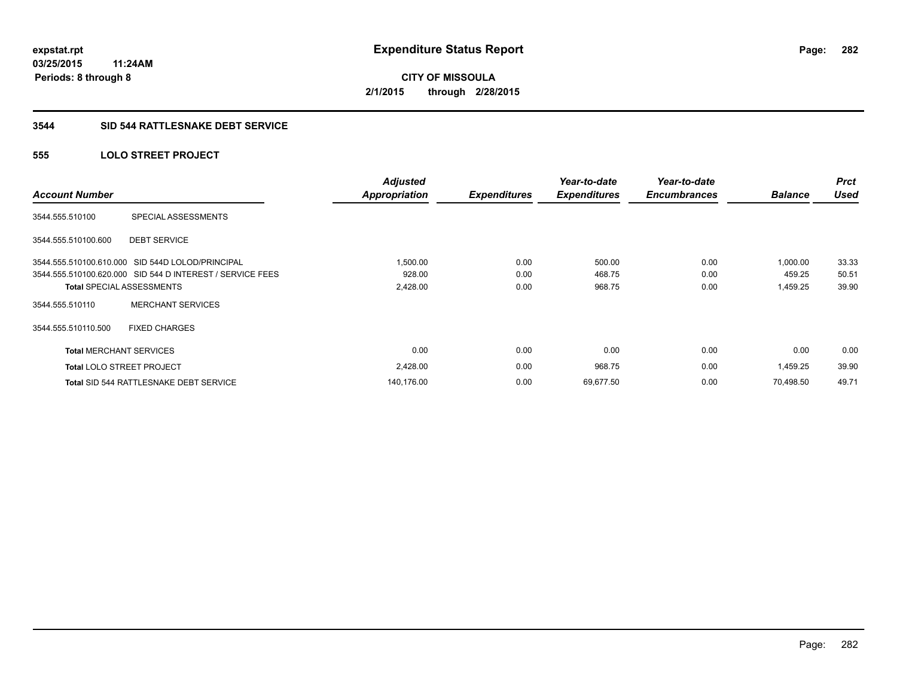#### **3544 SID 544 RATTLESNAKE DEBT SERVICE**

### **555 LOLO STREET PROJECT**

| <b>Account Number</b>            |                                                           | <b>Adjusted</b><br><b>Appropriation</b> | <b>Expenditures</b> | Year-to-date<br><b>Expenditures</b> | Year-to-date<br><b>Encumbrances</b> | <b>Balance</b> | <b>Prct</b><br><b>Used</b> |
|----------------------------------|-----------------------------------------------------------|-----------------------------------------|---------------------|-------------------------------------|-------------------------------------|----------------|----------------------------|
| 3544.555.510100                  | SPECIAL ASSESSMENTS                                       |                                         |                     |                                     |                                     |                |                            |
| 3544.555.510100.600              | <b>DEBT SERVICE</b>                                       |                                         |                     |                                     |                                     |                |                            |
|                                  | 3544.555.510100.610.000 SID 544D LOLOD/PRINCIPAL          | 1,500.00                                | 0.00                | 500.00                              | 0.00                                | 1,000.00       | 33.33                      |
|                                  | 3544.555.510100.620.000 SID 544 D INTEREST / SERVICE FEES | 928.00                                  | 0.00                | 468.75                              | 0.00                                | 459.25         | 50.51                      |
|                                  | <b>Total SPECIAL ASSESSMENTS</b>                          | 2,428.00                                | 0.00                | 968.75                              | 0.00                                | 1,459.25       | 39.90                      |
| 3544.555.510110                  | <b>MERCHANT SERVICES</b>                                  |                                         |                     |                                     |                                     |                |                            |
| 3544.555.510110.500              | <b>FIXED CHARGES</b>                                      |                                         |                     |                                     |                                     |                |                            |
| <b>Total MERCHANT SERVICES</b>   |                                                           | 0.00                                    | 0.00                | 0.00                                | 0.00                                | 0.00           | 0.00                       |
| <b>Total LOLO STREET PROJECT</b> |                                                           | 2,428.00                                | 0.00                | 968.75                              | 0.00                                | 1,459.25       | 39.90                      |
|                                  | <b>Total SID 544 RATTLESNAKE DEBT SERVICE</b>             | 140,176.00                              | 0.00                | 69,677.50                           | 0.00                                | 70.498.50      | 49.71                      |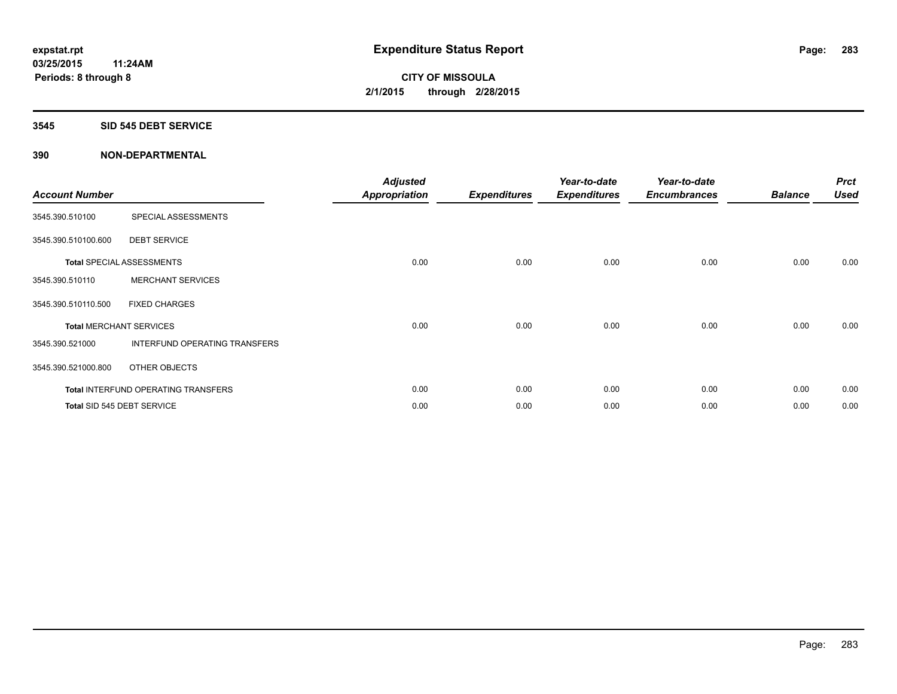#### **3545 SID 545 DEBT SERVICE**

| <b>Account Number</b> |                                      | <b>Adjusted</b><br><b>Appropriation</b> | <b>Expenditures</b> | Year-to-date<br><b>Expenditures</b> | Year-to-date<br><b>Encumbrances</b> | <b>Balance</b> | <b>Prct</b><br><b>Used</b> |
|-----------------------|--------------------------------------|-----------------------------------------|---------------------|-------------------------------------|-------------------------------------|----------------|----------------------------|
| 3545.390.510100       | SPECIAL ASSESSMENTS                  |                                         |                     |                                     |                                     |                |                            |
| 3545.390.510100.600   | <b>DEBT SERVICE</b>                  |                                         |                     |                                     |                                     |                |                            |
|                       | <b>Total SPECIAL ASSESSMENTS</b>     | 0.00                                    | 0.00                | 0.00                                | 0.00                                | 0.00           | 0.00                       |
| 3545.390.510110       | <b>MERCHANT SERVICES</b>             |                                         |                     |                                     |                                     |                |                            |
| 3545.390.510110.500   | <b>FIXED CHARGES</b>                 |                                         |                     |                                     |                                     |                |                            |
|                       | <b>Total MERCHANT SERVICES</b>       | 0.00                                    | 0.00                | 0.00                                | 0.00                                | 0.00           | 0.00                       |
| 3545.390.521000       | <b>INTERFUND OPERATING TRANSFERS</b> |                                         |                     |                                     |                                     |                |                            |
| 3545.390.521000.800   | OTHER OBJECTS                        |                                         |                     |                                     |                                     |                |                            |
|                       | Total INTERFUND OPERATING TRANSFERS  | 0.00                                    | 0.00                | 0.00                                | 0.00                                | 0.00           | 0.00                       |
|                       | Total SID 545 DEBT SERVICE           | 0.00                                    | 0.00                | 0.00                                | 0.00                                | 0.00           | 0.00                       |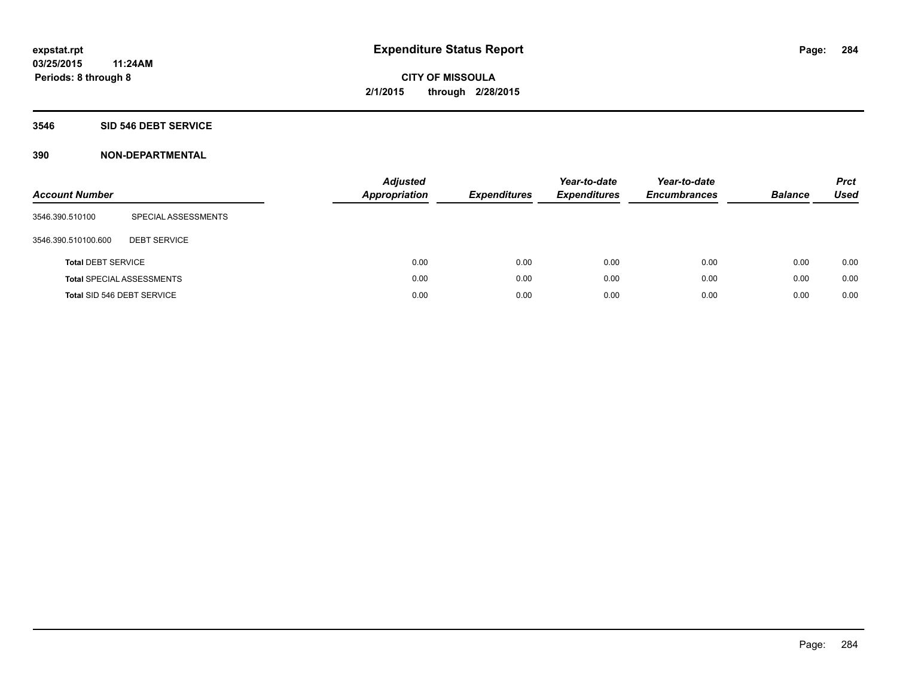### **3546 SID 546 DEBT SERVICE**

| <b>Account Number</b>     |                                  | <b>Adjusted</b><br><b>Appropriation</b> | <b>Expenditures</b> | Year-to-date<br><b>Expenditures</b> | Year-to-date<br><b>Encumbrances</b> | <b>Balance</b> | <b>Prct</b><br>Used |
|---------------------------|----------------------------------|-----------------------------------------|---------------------|-------------------------------------|-------------------------------------|----------------|---------------------|
| 3546.390.510100           | SPECIAL ASSESSMENTS              |                                         |                     |                                     |                                     |                |                     |
| 3546.390.510100.600       | <b>DEBT SERVICE</b>              |                                         |                     |                                     |                                     |                |                     |
| <b>Total DEBT SERVICE</b> |                                  | 0.00                                    | 0.00                | 0.00                                | 0.00                                | 0.00           | 0.00                |
|                           | <b>Total SPECIAL ASSESSMENTS</b> | 0.00                                    | 0.00                | 0.00                                | 0.00                                | 0.00           | 0.00                |
|                           | Total SID 546 DEBT SERVICE       | 0.00                                    | 0.00                | 0.00                                | 0.00                                | 0.00           | 0.00                |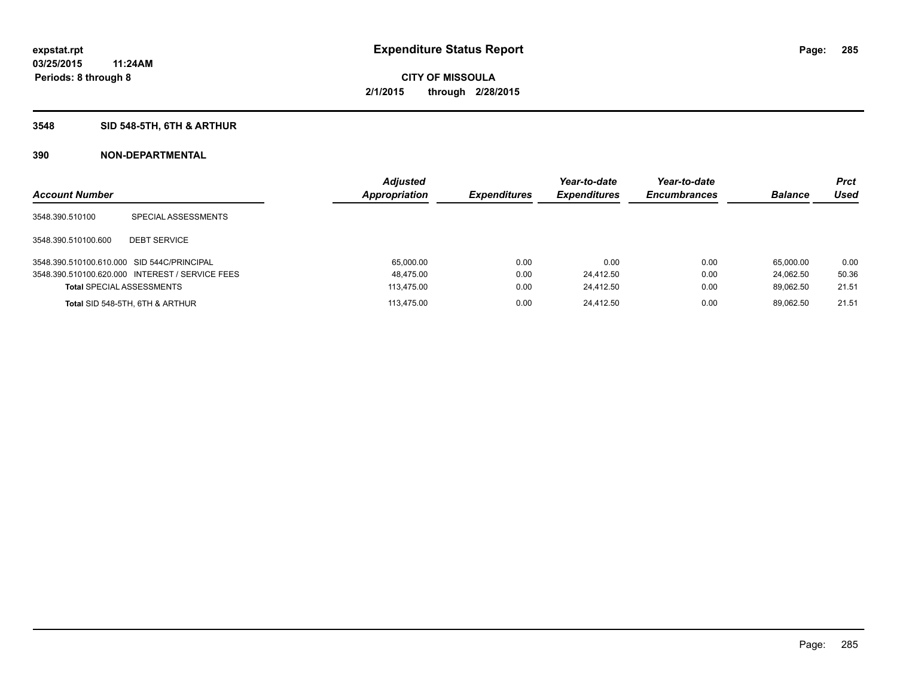### **3548 SID 548-5TH, 6TH & ARTHUR**

| <b>Account Number</b>                      |                                                 | <b>Adjusted</b><br>Appropriation | <b>Expenditures</b> | Year-to-date<br><b>Expenditures</b> | Year-to-date<br><b>Encumbrances</b> | <b>Balance</b> | <b>Prct</b><br>Used |
|--------------------------------------------|-------------------------------------------------|----------------------------------|---------------------|-------------------------------------|-------------------------------------|----------------|---------------------|
| 3548.390.510100                            | SPECIAL ASSESSMENTS                             |                                  |                     |                                     |                                     |                |                     |
| 3548.390.510100.600                        | <b>DEBT SERVICE</b>                             |                                  |                     |                                     |                                     |                |                     |
| 3548.390.510100.610.000 SID 544C/PRINCIPAL |                                                 | 65,000.00                        | 0.00                | 0.00                                | 0.00                                | 65.000.00      | 0.00                |
|                                            | 3548.390.510100.620.000 INTEREST / SERVICE FEES | 48,475.00                        | 0.00                | 24,412.50                           | 0.00                                | 24.062.50      | 50.36               |
| <b>Total SPECIAL ASSESSMENTS</b>           |                                                 | 113.475.00                       | 0.00                | 24,412.50                           | 0.00                                | 89.062.50      | 21.51               |
|                                            | Total SID 548-5TH, 6TH & ARTHUR                 | 113.475.00                       | 0.00                | 24.412.50                           | 0.00                                | 89.062.50      | 21.51               |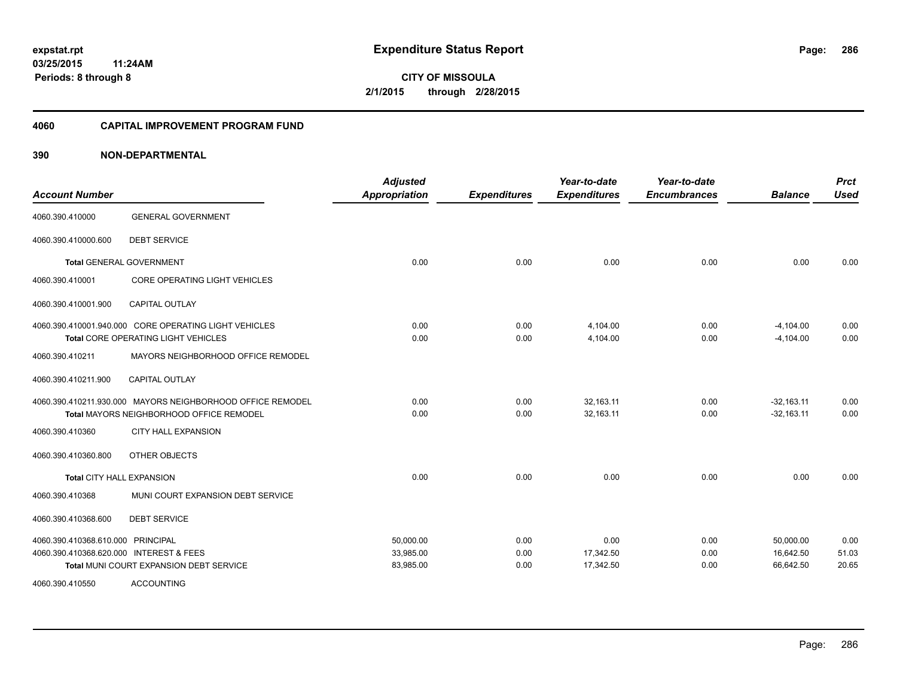#### **4060 CAPITAL IMPROVEMENT PROGRAM FUND**

| <b>Account Number</b>                   |                                                            | <b>Adjusted</b><br><b>Appropriation</b> | <b>Expenditures</b> | Year-to-date<br><b>Expenditures</b> | Year-to-date<br><b>Encumbrances</b> | <b>Balance</b> | <b>Prct</b><br><b>Used</b> |
|-----------------------------------------|------------------------------------------------------------|-----------------------------------------|---------------------|-------------------------------------|-------------------------------------|----------------|----------------------------|
| 4060.390.410000                         | <b>GENERAL GOVERNMENT</b>                                  |                                         |                     |                                     |                                     |                |                            |
| 4060.390.410000.600                     | <b>DEBT SERVICE</b>                                        |                                         |                     |                                     |                                     |                |                            |
|                                         | <b>Total GENERAL GOVERNMENT</b>                            | 0.00                                    | 0.00                | 0.00                                | 0.00                                | 0.00           | 0.00                       |
| 4060.390.410001                         | <b>CORE OPERATING LIGHT VEHICLES</b>                       |                                         |                     |                                     |                                     |                |                            |
| 4060.390.410001.900                     | <b>CAPITAL OUTLAY</b>                                      |                                         |                     |                                     |                                     |                |                            |
|                                         | 4060.390.410001.940.000 CORE OPERATING LIGHT VEHICLES      | 0.00                                    | 0.00                | 4,104.00                            | 0.00                                | $-4,104.00$    | 0.00                       |
|                                         | Total CORE OPERATING LIGHT VEHICLES                        | 0.00                                    | 0.00                | 4,104.00                            | 0.00                                | $-4,104.00$    | 0.00                       |
| 4060.390.410211                         | MAYORS NEIGHBORHOOD OFFICE REMODEL                         |                                         |                     |                                     |                                     |                |                            |
| 4060.390.410211.900                     | <b>CAPITAL OUTLAY</b>                                      |                                         |                     |                                     |                                     |                |                            |
|                                         | 4060.390.410211.930.000 MAYORS NEIGHBORHOOD OFFICE REMODEL | 0.00                                    | 0.00                | 32.163.11                           | 0.00                                | $-32.163.11$   | 0.00                       |
|                                         | <b>Total MAYORS NEIGHBORHOOD OFFICE REMODEL</b>            | 0.00                                    | 0.00                | 32,163.11                           | 0.00                                | $-32,163.11$   | 0.00                       |
| 4060.390.410360                         | <b>CITY HALL EXPANSION</b>                                 |                                         |                     |                                     |                                     |                |                            |
| 4060.390.410360.800                     | OTHER OBJECTS                                              |                                         |                     |                                     |                                     |                |                            |
| <b>Total CITY HALL EXPANSION</b>        |                                                            | 0.00                                    | 0.00                | 0.00                                | 0.00                                | 0.00           | 0.00                       |
| 4060.390.410368                         | MUNI COURT EXPANSION DEBT SERVICE                          |                                         |                     |                                     |                                     |                |                            |
| 4060.390.410368.600                     | <b>DEBT SERVICE</b>                                        |                                         |                     |                                     |                                     |                |                            |
| 4060.390.410368.610.000 PRINCIPAL       |                                                            | 50,000.00                               | 0.00                | 0.00                                | 0.00                                | 50,000.00      | 0.00                       |
| 4060.390.410368.620.000 INTEREST & FEES |                                                            | 33,985.00                               | 0.00                | 17,342.50                           | 0.00                                | 16,642.50      | 51.03                      |
|                                         | Total MUNI COURT EXPANSION DEBT SERVICE                    | 83,985.00                               | 0.00                | 17,342.50                           | 0.00                                | 66,642.50      | 20.65                      |
| 4060.390.410550                         | <b>ACCOUNTING</b>                                          |                                         |                     |                                     |                                     |                |                            |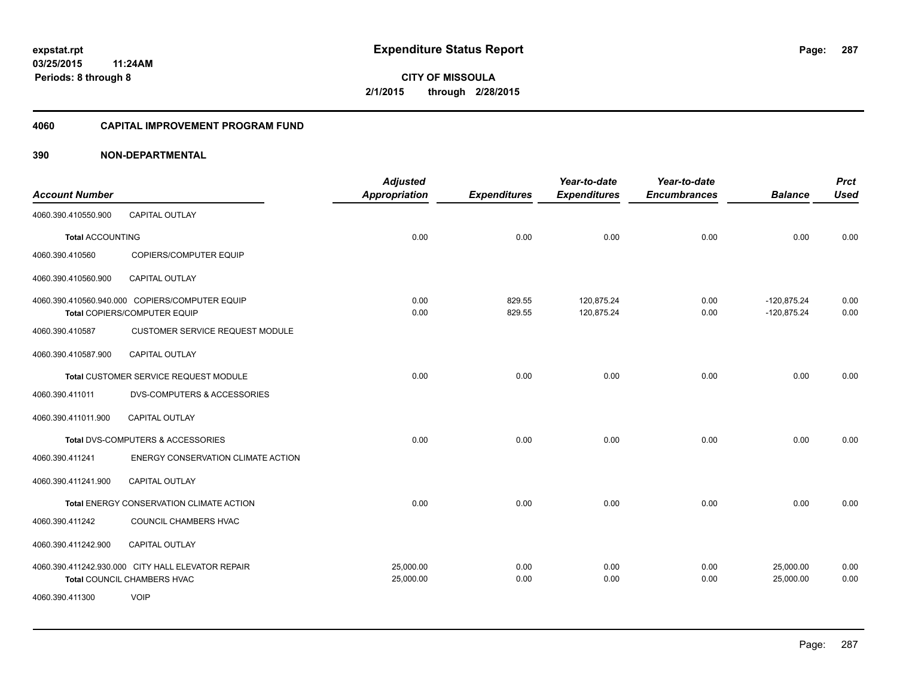#### **4060 CAPITAL IMPROVEMENT PROGRAM FUND**

|                         |                                                   | <b>Adjusted</b>      |                     | Year-to-date        | Year-to-date        |                | <b>Prct</b> |
|-------------------------|---------------------------------------------------|----------------------|---------------------|---------------------|---------------------|----------------|-------------|
| <b>Account Number</b>   |                                                   | <b>Appropriation</b> | <b>Expenditures</b> | <b>Expenditures</b> | <b>Encumbrances</b> | <b>Balance</b> | <b>Used</b> |
| 4060.390.410550.900     | <b>CAPITAL OUTLAY</b>                             |                      |                     |                     |                     |                |             |
| <b>Total ACCOUNTING</b> |                                                   | 0.00                 | 0.00                | 0.00                | 0.00                | 0.00           | 0.00        |
| 4060.390.410560         | COPIERS/COMPUTER EQUIP                            |                      |                     |                     |                     |                |             |
| 4060.390.410560.900     | <b>CAPITAL OUTLAY</b>                             |                      |                     |                     |                     |                |             |
|                         | 4060.390.410560.940.000 COPIERS/COMPUTER EQUIP    | 0.00                 | 829.55              | 120,875.24          | 0.00                | $-120,875.24$  | 0.00        |
|                         | Total COPIERS/COMPUTER EQUIP                      | 0.00                 | 829.55              | 120,875.24          | 0.00                | $-120,875.24$  | 0.00        |
| 4060.390.410587         | <b>CUSTOMER SERVICE REQUEST MODULE</b>            |                      |                     |                     |                     |                |             |
| 4060.390.410587.900     | CAPITAL OUTLAY                                    |                      |                     |                     |                     |                |             |
|                         | Total CUSTOMER SERVICE REQUEST MODULE             | 0.00                 | 0.00                | 0.00                | 0.00                | 0.00           | 0.00        |
| 4060.390.411011         | <b>DVS-COMPUTERS &amp; ACCESSORIES</b>            |                      |                     |                     |                     |                |             |
| 4060.390.411011.900     | <b>CAPITAL OUTLAY</b>                             |                      |                     |                     |                     |                |             |
|                         | Total DVS-COMPUTERS & ACCESSORIES                 | 0.00                 | 0.00                | 0.00                | 0.00                | 0.00           | 0.00        |
| 4060.390.411241         | ENERGY CONSERVATION CLIMATE ACTION                |                      |                     |                     |                     |                |             |
| 4060.390.411241.900     | <b>CAPITAL OUTLAY</b>                             |                      |                     |                     |                     |                |             |
|                         | Total ENERGY CONSERVATION CLIMATE ACTION          | 0.00                 | 0.00                | 0.00                | 0.00                | 0.00           | 0.00        |
| 4060.390.411242         | COUNCIL CHAMBERS HVAC                             |                      |                     |                     |                     |                |             |
| 4060.390.411242.900     | CAPITAL OUTLAY                                    |                      |                     |                     |                     |                |             |
|                         | 4060.390.411242.930.000 CITY HALL ELEVATOR REPAIR | 25,000.00            | 0.00                | 0.00                | 0.00                | 25,000.00      | 0.00        |
|                         | Total COUNCIL CHAMBERS HVAC                       | 25,000.00            | 0.00                | 0.00                | 0.00                | 25,000.00      | 0.00        |
| 4060.390.411300         | <b>VOIP</b>                                       |                      |                     |                     |                     |                |             |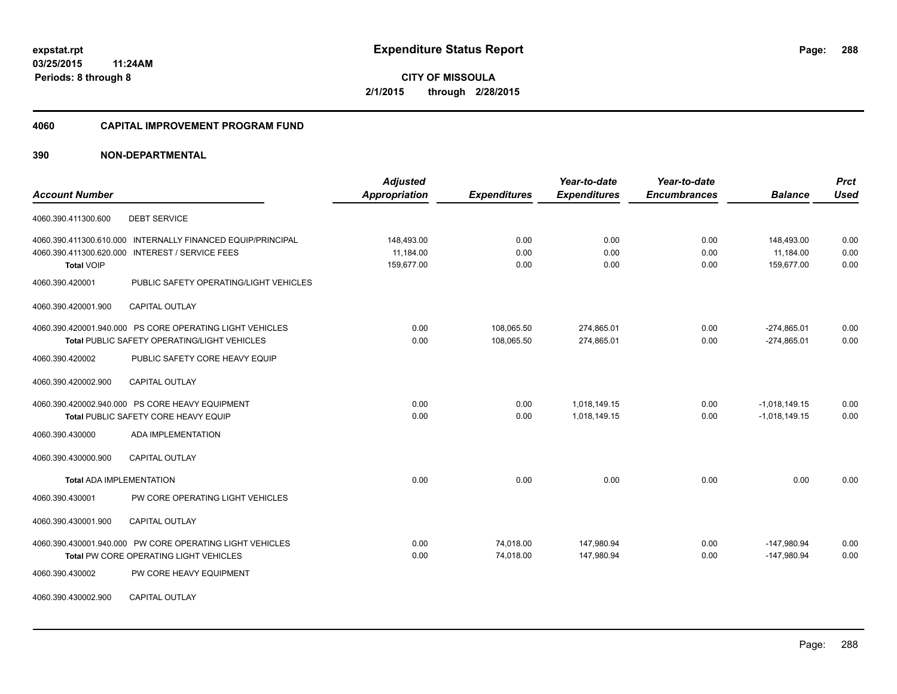#### **4060 CAPITAL IMPROVEMENT PROGRAM FUND**

|                                                                                                          | <b>Adjusted</b>         |                        | Year-to-date             | Year-to-date        |                                | <b>Prct</b>  |
|----------------------------------------------------------------------------------------------------------|-------------------------|------------------------|--------------------------|---------------------|--------------------------------|--------------|
| <b>Account Number</b>                                                                                    | Appropriation           | <b>Expenditures</b>    | <b>Expenditures</b>      | <b>Encumbrances</b> | <b>Balance</b>                 | <b>Used</b>  |
| <b>DEBT SERVICE</b><br>4060.390.411300.600                                                               |                         |                        |                          |                     |                                |              |
| 4060.390.411300.610.000 INTERNALLY FINANCED EQUIP/PRINCIPAL                                              | 148,493.00              | 0.00                   | 0.00                     | 0.00                | 148,493.00                     | 0.00         |
| 4060.390.411300.620.000 INTEREST / SERVICE FEES<br><b>Total VOIP</b>                                     | 11.184.00<br>159.677.00 | 0.00<br>0.00           | 0.00<br>0.00             | 0.00<br>0.00        | 11.184.00<br>159.677.00        | 0.00<br>0.00 |
| 4060.390.420001<br>PUBLIC SAFETY OPERATING/LIGHT VEHICLES                                                |                         |                        |                          |                     |                                |              |
| 4060.390.420001.900<br><b>CAPITAL OUTLAY</b>                                                             |                         |                        |                          |                     |                                |              |
| 4060.390.420001.940.000 PS CORE OPERATING LIGHT VEHICLES                                                 | 0.00                    | 108,065.50             | 274,865.01               | 0.00                | $-274,865.01$                  | 0.00<br>0.00 |
| <b>Total PUBLIC SAFETY OPERATING/LIGHT VEHICLES</b><br>PUBLIC SAFETY CORE HEAVY EQUIP<br>4060.390.420002 | 0.00                    | 108,065.50             | 274,865.01               | 0.00                | $-274,865.01$                  |              |
| 4060.390.420002.900<br><b>CAPITAL OUTLAY</b>                                                             |                         |                        |                          |                     |                                |              |
| 4060.390.420002.940.000 PS CORE HEAVY EQUIPMENT                                                          | 0.00                    | 0.00                   | 1,018,149.15             | 0.00                | $-1,018,149.15$                | 0.00         |
| Total PUBLIC SAFETY CORE HEAVY EQUIP                                                                     | 0.00                    | 0.00                   | 1,018,149.15             | 0.00                | $-1,018,149.15$                | 0.00         |
| ADA IMPLEMENTATION<br>4060.390.430000                                                                    |                         |                        |                          |                     |                                |              |
| <b>CAPITAL OUTLAY</b><br>4060.390.430000.900                                                             |                         |                        |                          |                     |                                |              |
| <b>Total ADA IMPLEMENTATION</b>                                                                          | 0.00                    | 0.00                   | 0.00                     | 0.00                | 0.00                           | 0.00         |
| PW CORE OPERATING LIGHT VEHICLES<br>4060.390.430001                                                      |                         |                        |                          |                     |                                |              |
| 4060.390.430001.900<br><b>CAPITAL OUTLAY</b>                                                             |                         |                        |                          |                     |                                |              |
| 4060.390.430001.940.000 PW CORE OPERATING LIGHT VEHICLES<br>Total PW CORE OPERATING LIGHT VEHICLES       | 0.00<br>0.00            | 74,018.00<br>74,018.00 | 147,980.94<br>147,980.94 | 0.00<br>0.00        | $-147,980.94$<br>$-147,980.94$ | 0.00<br>0.00 |
| 4060.390.430002<br>PW CORE HEAVY EQUIPMENT                                                               |                         |                        |                          |                     |                                |              |
| 4060.390.430002.900<br><b>CAPITAL OUTLAY</b>                                                             |                         |                        |                          |                     |                                |              |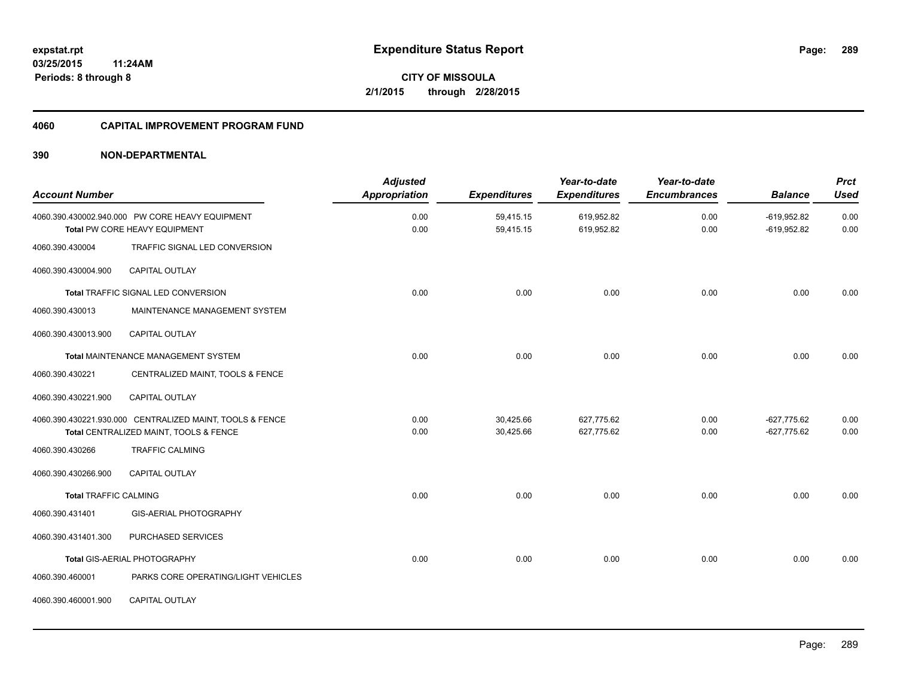#### **4060 CAPITAL IMPROVEMENT PROGRAM FUND**

| <b>Account Number</b>        |                                                                                                    | <b>Adjusted</b><br><b>Appropriation</b> | <b>Expenditures</b>    | Year-to-date<br><b>Expenditures</b> | Year-to-date<br><b>Encumbrances</b> | <b>Balance</b>                 | <b>Prct</b><br><b>Used</b> |
|------------------------------|----------------------------------------------------------------------------------------------------|-----------------------------------------|------------------------|-------------------------------------|-------------------------------------|--------------------------------|----------------------------|
|                              | 4060.390.430002.940.000 PW CORE HEAVY EQUIPMENT<br>Total PW CORE HEAVY EQUIPMENT                   | 0.00<br>0.00                            | 59,415.15<br>59,415.15 | 619,952.82<br>619,952.82            | 0.00<br>0.00                        | $-619,952.82$<br>$-619,952.82$ | 0.00<br>0.00               |
| 4060.390.430004              | TRAFFIC SIGNAL LED CONVERSION                                                                      |                                         |                        |                                     |                                     |                                |                            |
| 4060.390.430004.900          | <b>CAPITAL OUTLAY</b>                                                                              |                                         |                        |                                     |                                     |                                |                            |
|                              | Total TRAFFIC SIGNAL LED CONVERSION                                                                | 0.00                                    | 0.00                   | 0.00                                | 0.00                                | 0.00                           | 0.00                       |
| 4060.390.430013              | MAINTENANCE MANAGEMENT SYSTEM                                                                      |                                         |                        |                                     |                                     |                                |                            |
| 4060.390.430013.900          | <b>CAPITAL OUTLAY</b>                                                                              |                                         |                        |                                     |                                     |                                |                            |
|                              | Total MAINTENANCE MANAGEMENT SYSTEM                                                                | 0.00                                    | 0.00                   | 0.00                                | 0.00                                | 0.00                           | 0.00                       |
| 4060.390.430221              | CENTRALIZED MAINT, TOOLS & FENCE                                                                   |                                         |                        |                                     |                                     |                                |                            |
| 4060.390.430221.900          | <b>CAPITAL OUTLAY</b>                                                                              |                                         |                        |                                     |                                     |                                |                            |
|                              | 4060.390.430221.930.000 CENTRALIZED MAINT, TOOLS & FENCE<br>Total CENTRALIZED MAINT, TOOLS & FENCE | 0.00<br>0.00                            | 30,425.66<br>30,425.66 | 627,775.62<br>627,775.62            | 0.00<br>0.00                        | $-627,775.62$<br>$-627,775.62$ | 0.00<br>0.00               |
| 4060.390.430266              | <b>TRAFFIC CALMING</b>                                                                             |                                         |                        |                                     |                                     |                                |                            |
| 4060.390.430266.900          | <b>CAPITAL OUTLAY</b>                                                                              |                                         |                        |                                     |                                     |                                |                            |
| <b>Total TRAFFIC CALMING</b> |                                                                                                    | 0.00                                    | 0.00                   | 0.00                                | 0.00                                | 0.00                           | 0.00                       |
| 4060.390.431401              | GIS-AERIAL PHOTOGRAPHY                                                                             |                                         |                        |                                     |                                     |                                |                            |
| 4060.390.431401.300          | PURCHASED SERVICES                                                                                 |                                         |                        |                                     |                                     |                                |                            |
|                              | Total GIS-AERIAL PHOTOGRAPHY                                                                       | 0.00                                    | 0.00                   | 0.00                                | 0.00                                | 0.00                           | 0.00                       |
| 4060.390.460001              | PARKS CORE OPERATING/LIGHT VEHICLES                                                                |                                         |                        |                                     |                                     |                                |                            |
| 4060.390.460001.900          | <b>CAPITAL OUTLAY</b>                                                                              |                                         |                        |                                     |                                     |                                |                            |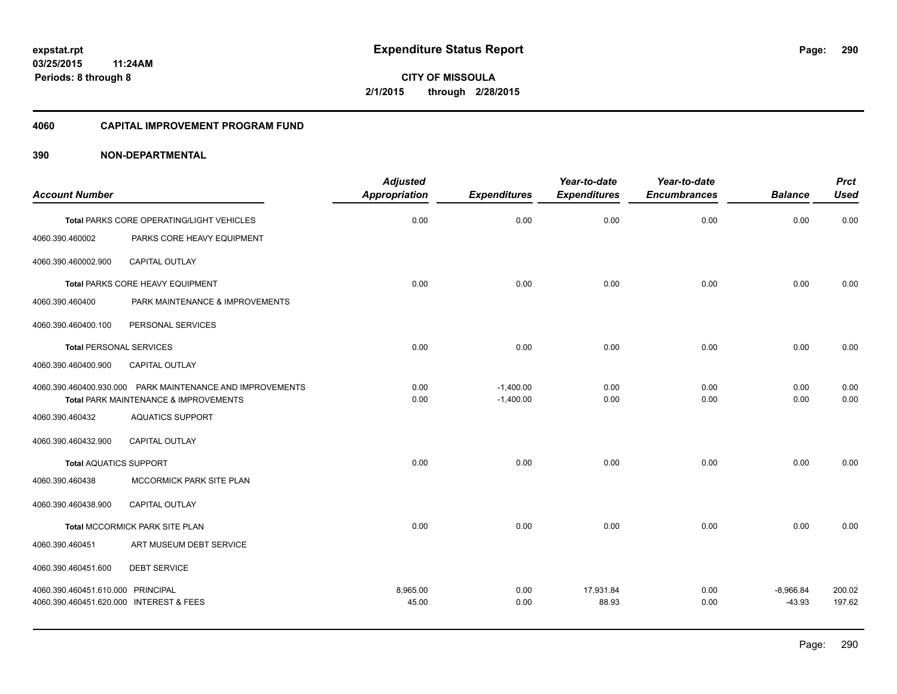**CITY OF MISSOULA 2/1/2015 through 2/28/2015**

#### **4060 CAPITAL IMPROVEMENT PROGRAM FUND**

| <b>Account Number</b>                   |                                                           | <b>Adjusted</b><br><b>Appropriation</b> | <b>Expenditures</b> | Year-to-date<br><b>Expenditures</b> | Year-to-date<br><b>Encumbrances</b> | <b>Balance</b> | <b>Prct</b><br><b>Used</b> |
|-----------------------------------------|-----------------------------------------------------------|-----------------------------------------|---------------------|-------------------------------------|-------------------------------------|----------------|----------------------------|
|                                         |                                                           |                                         |                     |                                     |                                     |                |                            |
|                                         | Total PARKS CORE OPERATING/LIGHT VEHICLES                 | 0.00                                    | 0.00                | 0.00                                | 0.00                                | 0.00           | 0.00                       |
| 4060.390.460002                         | PARKS CORE HEAVY EQUIPMENT                                |                                         |                     |                                     |                                     |                |                            |
| 4060.390.460002.900                     | <b>CAPITAL OUTLAY</b>                                     |                                         |                     |                                     |                                     |                |                            |
|                                         | Total PARKS CORE HEAVY EQUIPMENT                          | 0.00                                    | 0.00                | 0.00                                | 0.00                                | 0.00           | 0.00                       |
| 4060.390.460400                         | PARK MAINTENANCE & IMPROVEMENTS                           |                                         |                     |                                     |                                     |                |                            |
| 4060.390.460400.100                     | PERSONAL SERVICES                                         |                                         |                     |                                     |                                     |                |                            |
| <b>Total PERSONAL SERVICES</b>          |                                                           | 0.00                                    | 0.00                | 0.00                                | 0.00                                | 0.00           | 0.00                       |
| 4060.390.460400.900                     | <b>CAPITAL OUTLAY</b>                                     |                                         |                     |                                     |                                     |                |                            |
|                                         | 4060.390.460400.930.000 PARK MAINTENANCE AND IMPROVEMENTS | 0.00                                    | $-1,400.00$         | 0.00                                | 0.00                                | 0.00           | 0.00                       |
|                                         | Total PARK MAINTENANCE & IMPROVEMENTS                     | 0.00                                    | $-1,400.00$         | 0.00                                | 0.00                                | 0.00           | 0.00                       |
| 4060.390.460432                         | <b>AQUATICS SUPPORT</b>                                   |                                         |                     |                                     |                                     |                |                            |
| 4060.390.460432.900                     | <b>CAPITAL OUTLAY</b>                                     |                                         |                     |                                     |                                     |                |                            |
| <b>Total AQUATICS SUPPORT</b>           |                                                           | 0.00                                    | 0.00                | 0.00                                | 0.00                                | 0.00           | 0.00                       |
| 4060.390.460438                         | MCCORMICK PARK SITE PLAN                                  |                                         |                     |                                     |                                     |                |                            |
| 4060.390.460438.900                     | <b>CAPITAL OUTLAY</b>                                     |                                         |                     |                                     |                                     |                |                            |
|                                         | Total MCCORMICK PARK SITE PLAN                            | 0.00                                    | 0.00                | 0.00                                | 0.00                                | 0.00           | 0.00                       |
| 4060.390.460451                         | ART MUSEUM DEBT SERVICE                                   |                                         |                     |                                     |                                     |                |                            |
| 4060.390.460451.600                     | <b>DEBT SERVICE</b>                                       |                                         |                     |                                     |                                     |                |                            |
| 4060.390.460451.610.000 PRINCIPAL       |                                                           | 8,965.00                                | 0.00                | 17,931.84                           | 0.00                                | $-8,966.84$    | 200.02                     |
| 4060.390.460451.620.000 INTEREST & FEES |                                                           | 45.00                                   | 0.00                | 88.93                               | 0.00                                | $-43.93$       | 197.62                     |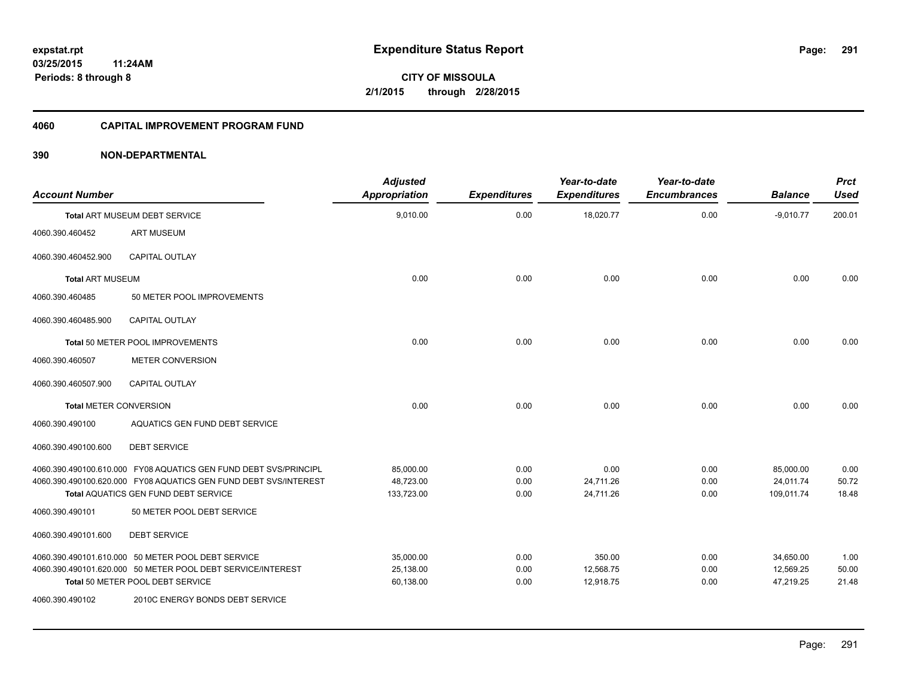#### **4060 CAPITAL IMPROVEMENT PROGRAM FUND**

| <b>Account Number</b>         |                                                                  | <b>Adjusted</b><br><b>Appropriation</b> | <b>Expenditures</b> | Year-to-date<br><b>Expenditures</b> | Year-to-date<br><b>Encumbrances</b> | <b>Balance</b> | <b>Prct</b><br><b>Used</b> |
|-------------------------------|------------------------------------------------------------------|-----------------------------------------|---------------------|-------------------------------------|-------------------------------------|----------------|----------------------------|
|                               | <b>Total ART MUSEUM DEBT SERVICE</b>                             | 9,010.00                                | 0.00                | 18,020.77                           | 0.00                                | $-9,010.77$    | 200.01                     |
| 4060.390.460452               | <b>ART MUSEUM</b>                                                |                                         |                     |                                     |                                     |                |                            |
| 4060.390.460452.900           | <b>CAPITAL OUTLAY</b>                                            |                                         |                     |                                     |                                     |                |                            |
| <b>Total ART MUSEUM</b>       |                                                                  | 0.00                                    | 0.00                | 0.00                                | 0.00                                | 0.00           | 0.00                       |
| 4060.390.460485               | 50 METER POOL IMPROVEMENTS                                       |                                         |                     |                                     |                                     |                |                            |
| 4060.390.460485.900           | <b>CAPITAL OUTLAY</b>                                            |                                         |                     |                                     |                                     |                |                            |
|                               | Total 50 METER POOL IMPROVEMENTS                                 | 0.00                                    | 0.00                | 0.00                                | 0.00                                | 0.00           | 0.00                       |
| 4060.390.460507               | <b>METER CONVERSION</b>                                          |                                         |                     |                                     |                                     |                |                            |
| 4060.390.460507.900           | <b>CAPITAL OUTLAY</b>                                            |                                         |                     |                                     |                                     |                |                            |
| <b>Total METER CONVERSION</b> |                                                                  | 0.00                                    | 0.00                | 0.00                                | 0.00                                | 0.00           | 0.00                       |
| 4060.390.490100               | AQUATICS GEN FUND DEBT SERVICE                                   |                                         |                     |                                     |                                     |                |                            |
| 4060.390.490100.600           | <b>DEBT SERVICE</b>                                              |                                         |                     |                                     |                                     |                |                            |
|                               | 4060.390.490100.610.000 FY08 AQUATICS GEN FUND DEBT SVS/PRINCIPL | 85,000.00                               | 0.00                | 0.00                                | 0.00                                | 85,000.00      | 0.00                       |
|                               | 4060.390.490100.620.000 FY08 AQUATICS GEN FUND DEBT SVS/INTEREST | 48,723.00                               | 0.00                | 24,711.26                           | 0.00                                | 24,011.74      | 50.72                      |
|                               | <b>Total AQUATICS GEN FUND DEBT SERVICE</b>                      | 133,723.00                              | 0.00                | 24,711.26                           | 0.00                                | 109,011.74     | 18.48                      |
| 4060.390.490101               | 50 METER POOL DEBT SERVICE                                       |                                         |                     |                                     |                                     |                |                            |
| 4060.390.490101.600           | <b>DEBT SERVICE</b>                                              |                                         |                     |                                     |                                     |                |                            |
|                               | 4060.390.490101.610.000 50 METER POOL DEBT SERVICE               | 35,000.00                               | 0.00                | 350.00                              | 0.00                                | 34,650.00      | 1.00                       |
|                               | 4060.390.490101.620.000 50 METER POOL DEBT SERVICE/INTEREST      | 25,138.00                               | 0.00                | 12,568.75                           | 0.00                                | 12,569.25      | 50.00                      |
|                               | Total 50 METER POOL DEBT SERVICE                                 | 60,138.00                               | 0.00                | 12,918.75                           | 0.00                                | 47,219.25      | 21.48                      |
| 4060.390.490102               | 2010C ENERGY BONDS DEBT SERVICE                                  |                                         |                     |                                     |                                     |                |                            |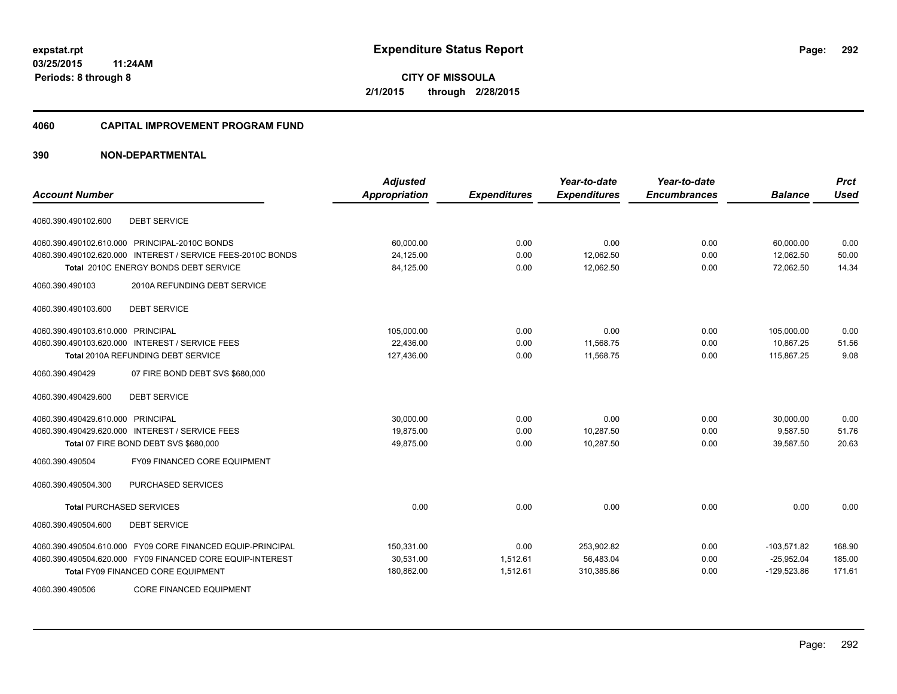**Periods: 8 through 8**

**CITY OF MISSOULA 2/1/2015 through 2/28/2015**

#### **4060 CAPITAL IMPROVEMENT PROGRAM FUND**

| <b>Account Number</b>                                       | <b>Adjusted</b><br><b>Appropriation</b> | <b>Expenditures</b> | Year-to-date<br><b>Expenditures</b> | Year-to-date<br><b>Encumbrances</b> | <b>Balance</b> | <b>Prct</b><br><b>Used</b> |
|-------------------------------------------------------------|-----------------------------------------|---------------------|-------------------------------------|-------------------------------------|----------------|----------------------------|
|                                                             |                                         |                     |                                     |                                     |                |                            |
| <b>DEBT SERVICE</b><br>4060.390.490102.600                  |                                         |                     |                                     |                                     |                |                            |
| 4060.390.490102.610.000 PRINCIPAL-2010C BONDS               | 60,000.00                               | 0.00                | 0.00                                | 0.00                                | 60,000.00      | 0.00                       |
| 4060.390.490102.620.000 INTEREST / SERVICE FEES-2010C BONDS | 24,125.00                               | 0.00                | 12,062.50                           | 0.00                                | 12,062.50      | 50.00                      |
| Total 2010C ENERGY BONDS DEBT SERVICE                       | 84,125.00                               | 0.00                | 12,062.50                           | 0.00                                | 72,062.50      | 14.34                      |
| 4060.390.490103<br>2010A REFUNDING DEBT SERVICE             |                                         |                     |                                     |                                     |                |                            |
| 4060.390.490103.600<br><b>DEBT SERVICE</b>                  |                                         |                     |                                     |                                     |                |                            |
| 4060.390.490103.610.000 PRINCIPAL                           | 105,000.00                              | 0.00                | 0.00                                | 0.00                                | 105,000.00     | 0.00                       |
| 4060.390.490103.620.000 INTEREST / SERVICE FEES             | 22,436.00                               | 0.00                | 11,568.75                           | 0.00                                | 10,867.25      | 51.56                      |
| <b>Total 2010A REFUNDING DEBT SERVICE</b>                   | 127,436.00                              | 0.00                | 11,568.75                           | 0.00                                | 115,867.25     | 9.08                       |
| 4060.390.490429<br>07 FIRE BOND DEBT SVS \$680,000          |                                         |                     |                                     |                                     |                |                            |
| 4060.390.490429.600<br><b>DEBT SERVICE</b>                  |                                         |                     |                                     |                                     |                |                            |
| 4060.390.490429.610.000 PRINCIPAL                           | 30.000.00                               | 0.00                | 0.00                                | 0.00                                | 30.000.00      | 0.00                       |
| 4060.390.490429.620.000 INTEREST / SERVICE FEES             | 19,875.00                               | 0.00                | 10,287.50                           | 0.00                                | 9,587.50       | 51.76                      |
| Total 07 FIRE BOND DEBT SVS \$680,000                       | 49,875.00                               | 0.00                | 10,287.50                           | 0.00                                | 39,587.50      | 20.63                      |
| FY09 FINANCED CORE EQUIPMENT<br>4060.390.490504             |                                         |                     |                                     |                                     |                |                            |
| PURCHASED SERVICES<br>4060.390.490504.300                   |                                         |                     |                                     |                                     |                |                            |
| <b>Total PURCHASED SERVICES</b>                             | 0.00                                    | 0.00                | 0.00                                | 0.00                                | 0.00           | 0.00                       |
| 4060.390.490504.600<br><b>DEBT SERVICE</b>                  |                                         |                     |                                     |                                     |                |                            |
| 4060.390.490504.610.000 FY09 CORE FINANCED EQUIP-PRINCIPAL  | 150,331.00                              | 0.00                | 253,902.82                          | 0.00                                | $-103,571.82$  | 168.90                     |
| 4060.390.490504.620.000 FY09 FINANCED CORE EQUIP-INTEREST   | 30,531.00                               | 1,512.61            | 56,483.04                           | 0.00                                | $-25,952.04$   | 185.00                     |
| <b>Total FY09 FINANCED CORE EQUIPMENT</b>                   | 180,862.00                              | 1,512.61            | 310,385.86                          | 0.00                                | $-129,523.86$  | 171.61                     |
| <b>CORE FINANCED EQUIPMENT</b><br>4060.390.490506           |                                         |                     |                                     |                                     |                |                            |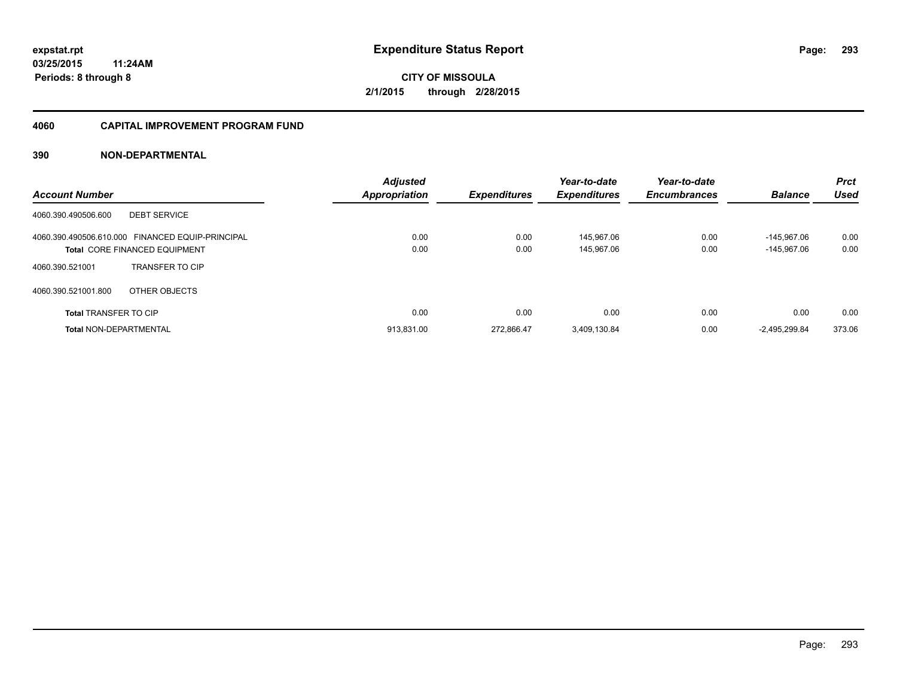#### **4060 CAPITAL IMPROVEMENT PROGRAM FUND**

| <b>Account Number</b>                                                             | <b>Adjusted</b><br><b>Appropriation</b> | <b>Expenditures</b> | Year-to-date<br><b>Expenditures</b> | Year-to-date<br><b>Encumbrances</b> | <b>Balance</b>                 | <b>Prct</b><br><b>Used</b> |
|-----------------------------------------------------------------------------------|-----------------------------------------|---------------------|-------------------------------------|-------------------------------------|--------------------------------|----------------------------|
| <b>DEBT SERVICE</b><br>4060.390.490506.600                                        |                                         |                     |                                     |                                     |                                |                            |
| 4060.390.490506.610.000 FINANCED EQUIP-PRINCIPAL<br>Total CORE FINANCED EQUIPMENT | 0.00<br>0.00                            | 0.00<br>0.00        | 145.967.06<br>145,967.06            | 0.00<br>0.00                        | $-145.967.06$<br>$-145,967.06$ | 0.00<br>0.00               |
| <b>TRANSFER TO CIP</b><br>4060.390.521001                                         |                                         |                     |                                     |                                     |                                |                            |
| OTHER OBJECTS<br>4060.390.521001.800                                              |                                         |                     |                                     |                                     |                                |                            |
| <b>Total TRANSFER TO CIP</b>                                                      | 0.00                                    | 0.00                | 0.00                                | 0.00                                | 0.00                           | 0.00                       |
| <b>Total NON-DEPARTMENTAL</b>                                                     | 913.831.00                              | 272.866.47          | 3.409.130.84                        | 0.00                                | -2.495.299.84                  | 373.06                     |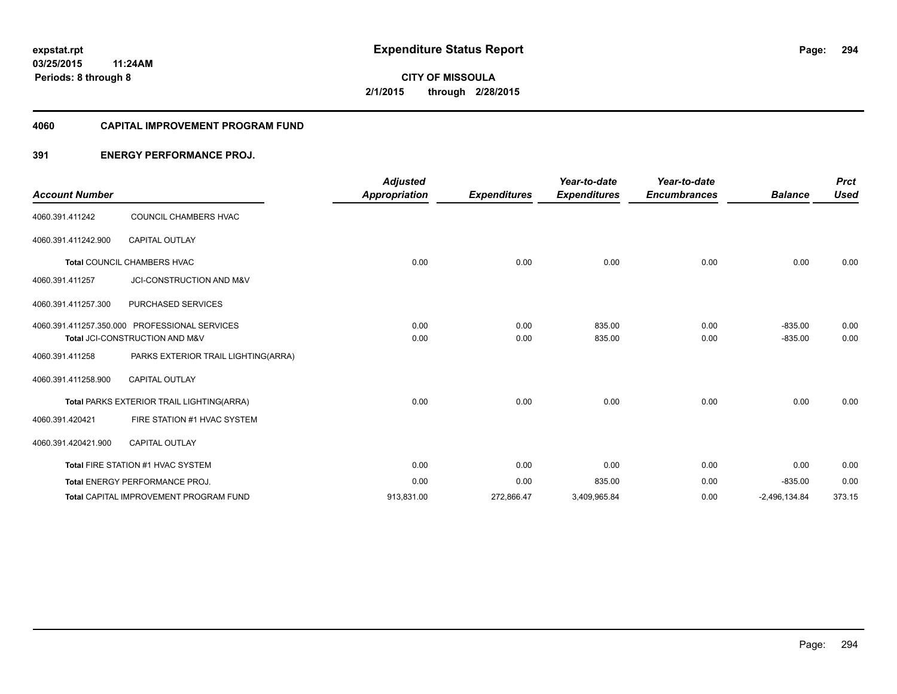#### **4060 CAPITAL IMPROVEMENT PROGRAM FUND**

## **391 ENERGY PERFORMANCE PROJ.**

| <b>Account Number</b> |                                               | <b>Adjusted</b><br><b>Appropriation</b> | <b>Expenditures</b> | Year-to-date<br><b>Expenditures</b> | Year-to-date<br><b>Encumbrances</b> | <b>Balance</b>  | <b>Prct</b><br><b>Used</b> |
|-----------------------|-----------------------------------------------|-----------------------------------------|---------------------|-------------------------------------|-------------------------------------|-----------------|----------------------------|
|                       |                                               |                                         |                     |                                     |                                     |                 |                            |
| 4060.391.411242       | COUNCIL CHAMBERS HVAC                         |                                         |                     |                                     |                                     |                 |                            |
| 4060.391.411242.900   | <b>CAPITAL OUTLAY</b>                         |                                         |                     |                                     |                                     |                 |                            |
|                       | Total COUNCIL CHAMBERS HVAC                   | 0.00                                    | 0.00                | 0.00                                | 0.00                                | 0.00            | 0.00                       |
| 4060.391.411257       | JCI-CONSTRUCTION AND M&V                      |                                         |                     |                                     |                                     |                 |                            |
| 4060.391.411257.300   | PURCHASED SERVICES                            |                                         |                     |                                     |                                     |                 |                            |
|                       | 4060.391.411257.350.000 PROFESSIONAL SERVICES | 0.00                                    | 0.00                | 835.00                              | 0.00                                | $-835.00$       | 0.00                       |
|                       | Total JCI-CONSTRUCTION AND M&V                | 0.00                                    | 0.00                | 835.00                              | 0.00                                | $-835.00$       | 0.00                       |
| 4060.391.411258       | PARKS EXTERIOR TRAIL LIGHTING(ARRA)           |                                         |                     |                                     |                                     |                 |                            |
| 4060.391.411258.900   | <b>CAPITAL OUTLAY</b>                         |                                         |                     |                                     |                                     |                 |                            |
|                       | Total PARKS EXTERIOR TRAIL LIGHTING(ARRA)     | 0.00                                    | 0.00                | 0.00                                | 0.00                                | 0.00            | 0.00                       |
| 4060.391.420421       | FIRE STATION #1 HVAC SYSTEM                   |                                         |                     |                                     |                                     |                 |                            |
| 4060.391.420421.900   | <b>CAPITAL OUTLAY</b>                         |                                         |                     |                                     |                                     |                 |                            |
|                       | Total FIRE STATION #1 HVAC SYSTEM             | 0.00                                    | 0.00                | 0.00                                | 0.00                                | 0.00            | 0.00                       |
|                       | <b>Total ENERGY PERFORMANCE PROJ.</b>         | 0.00                                    | 0.00                | 835.00                              | 0.00                                | $-835.00$       | 0.00                       |
|                       | Total CAPITAL IMPROVEMENT PROGRAM FUND        | 913,831.00                              | 272,866.47          | 3,409,965.84                        | 0.00                                | $-2,496,134.84$ | 373.15                     |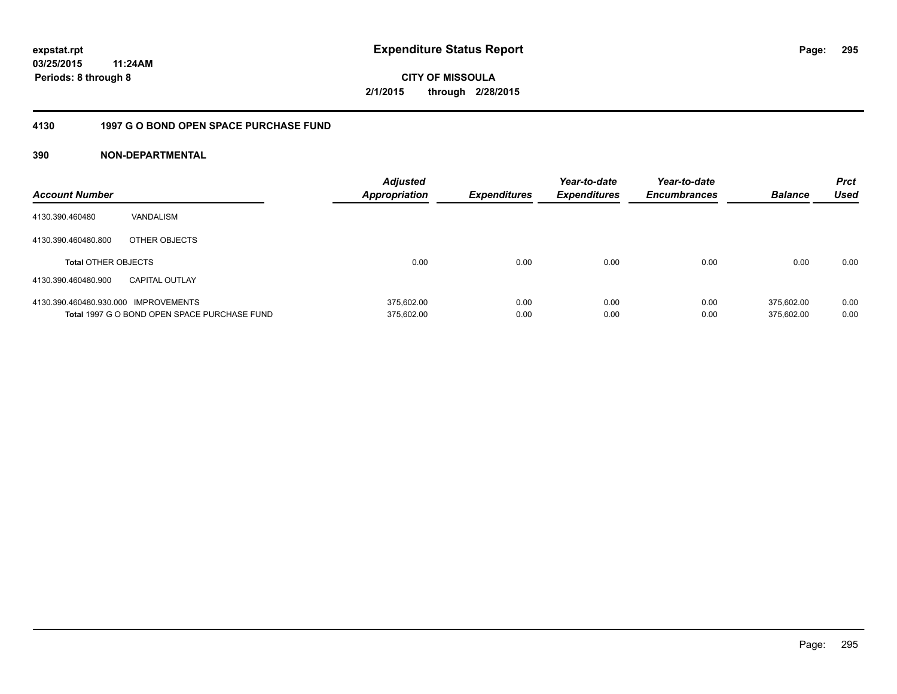**CITY OF MISSOULA 2/1/2015 through 2/28/2015**

#### **4130 1997 G O BOND OPEN SPACE PURCHASE FUND**

| <b>Account Number</b>                |                                              | <b>Adjusted</b><br><b>Appropriation</b> | <b>Expenditures</b> | Year-to-date<br><b>Expenditures</b> | Year-to-date<br><b>Encumbrances</b> | <b>Balance</b> | <b>Prct</b><br>Used |
|--------------------------------------|----------------------------------------------|-----------------------------------------|---------------------|-------------------------------------|-------------------------------------|----------------|---------------------|
| 4130.390.460480                      | VANDALISM                                    |                                         |                     |                                     |                                     |                |                     |
| 4130.390.460480.800                  | OTHER OBJECTS                                |                                         |                     |                                     |                                     |                |                     |
| <b>Total OTHER OBJECTS</b>           |                                              | 0.00                                    | 0.00                | 0.00                                | 0.00                                | 0.00           | 0.00                |
| 4130.390.460480.900                  | <b>CAPITAL OUTLAY</b>                        |                                         |                     |                                     |                                     |                |                     |
| 4130.390.460480.930.000 IMPROVEMENTS |                                              | 375.602.00                              | 0.00                | 0.00                                | 0.00                                | 375.602.00     | 0.00                |
|                                      | Total 1997 G O BOND OPEN SPACE PURCHASE FUND | 375,602.00                              | 0.00                | 0.00                                | 0.00                                | 375.602.00     | 0.00                |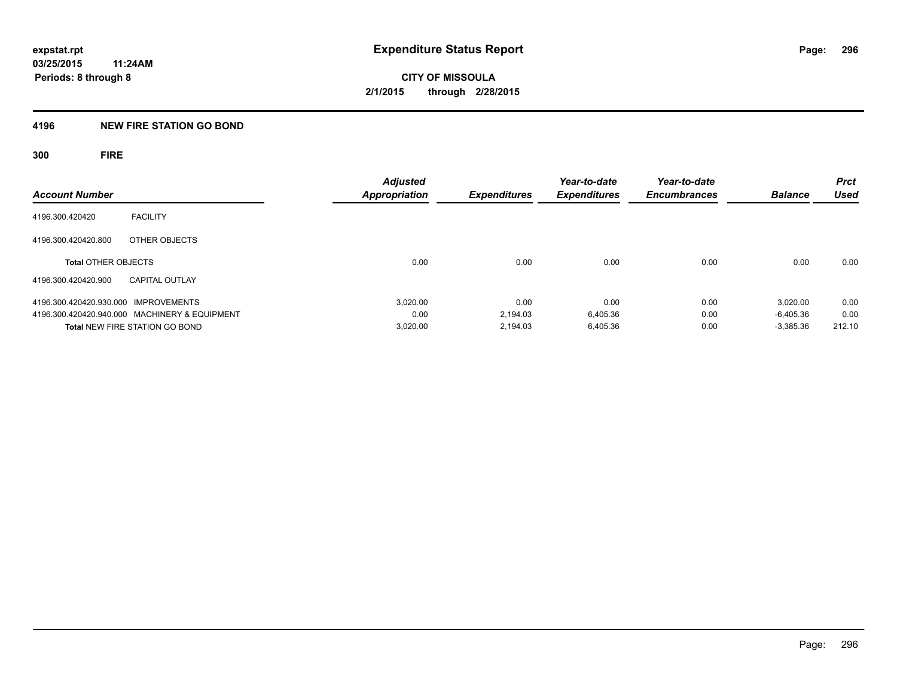#### **4196 NEW FIRE STATION GO BOND**

**300 FIRE**

| <b>Account Number</b>                         | <b>Adjusted</b><br><b>Appropriation</b> | Expenditures | Year-to-date<br><b>Expenditures</b> | Year-to-date<br><b>Encumbrances</b> | <b>Balance</b> | <b>Prct</b><br>Used |
|-----------------------------------------------|-----------------------------------------|--------------|-------------------------------------|-------------------------------------|----------------|---------------------|
|                                               |                                         |              |                                     |                                     |                |                     |
| <b>FACILITY</b><br>4196.300.420420            |                                         |              |                                     |                                     |                |                     |
| 4196.300.420420.800<br>OTHER OBJECTS          |                                         |              |                                     |                                     |                |                     |
| <b>Total OTHER OBJECTS</b>                    | 0.00                                    | 0.00         | 0.00                                | 0.00                                | 0.00           | 0.00                |
| 4196.300.420420.900<br><b>CAPITAL OUTLAY</b>  |                                         |              |                                     |                                     |                |                     |
| 4196.300.420420.930.000 IMPROVEMENTS          | 3.020.00                                | 0.00         | 0.00                                | 0.00                                | 3.020.00       | 0.00                |
| 4196.300.420420.940.000 MACHINERY & EQUIPMENT | 0.00                                    | 2.194.03     | 6,405.36                            | 0.00                                | $-6.405.36$    | 0.00                |
| <b>Total NEW FIRE STATION GO BOND</b>         | 3,020.00                                | 2.194.03     | 6.405.36                            | 0.00                                | $-3,385.36$    | 212.10              |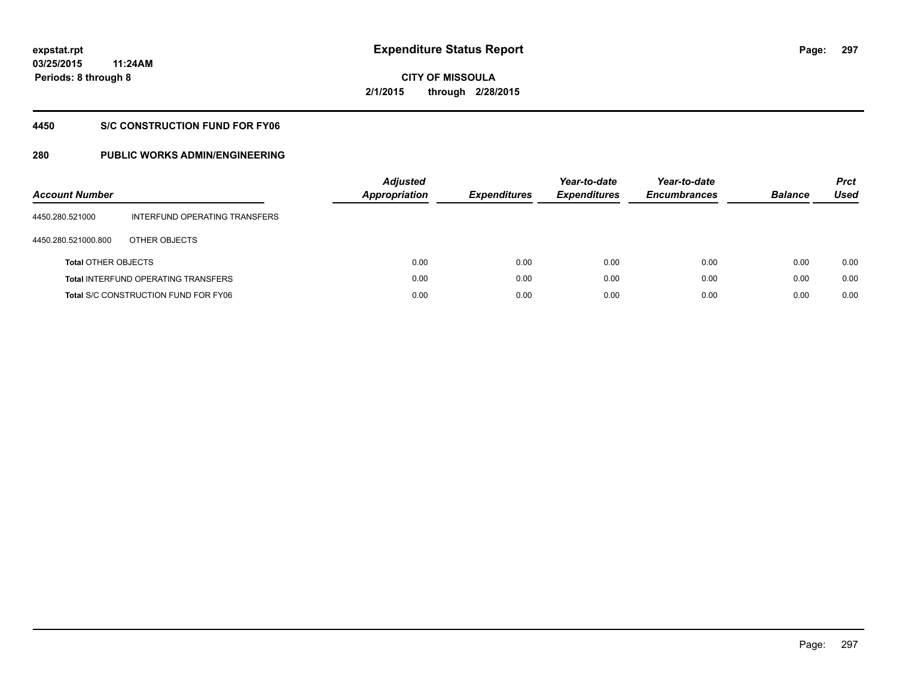**297**

**03/25/2015 11:24AM Periods: 8 through 8**

**CITY OF MISSOULA 2/1/2015 through 2/28/2015**

#### **4450 S/C CONSTRUCTION FUND FOR FY06**

| <b>Account Number</b>      |                                             | <b>Adjusted</b><br>Appropriation | <b>Expenditures</b> | Year-to-date<br><b>Expenditures</b> | Year-to-date<br><b>Encumbrances</b> | <b>Balance</b> | <b>Prct</b><br>Used |
|----------------------------|---------------------------------------------|----------------------------------|---------------------|-------------------------------------|-------------------------------------|----------------|---------------------|
| 4450.280.521000            | INTERFUND OPERATING TRANSFERS               |                                  |                     |                                     |                                     |                |                     |
| 4450.280.521000.800        | OTHER OBJECTS                               |                                  |                     |                                     |                                     |                |                     |
| <b>Total OTHER OBJECTS</b> |                                             | 0.00                             | 0.00                | 0.00                                | 0.00                                | 0.00           | 0.00                |
|                            | <b>Total INTERFUND OPERATING TRANSFERS</b>  | 0.00                             | 0.00                | 0.00                                | 0.00                                | 0.00           | 0.00                |
|                            | <b>Total S/C CONSTRUCTION FUND FOR FY06</b> | 0.00                             | 0.00                | 0.00                                | 0.00                                | 0.00           | 0.00                |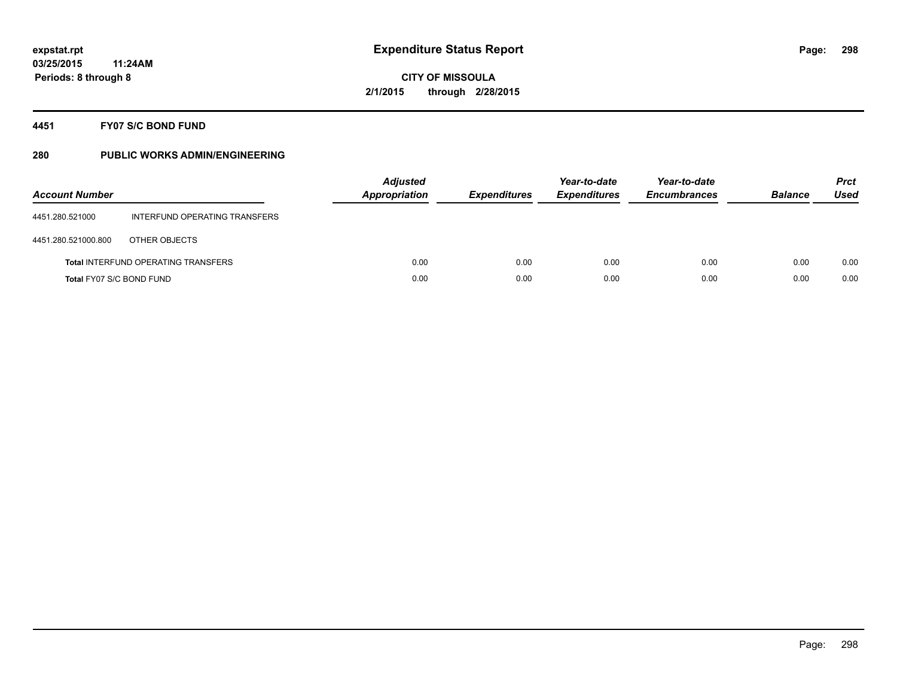## **4451 FY07 S/C BOND FUND**

| <b>Account Number</b>    |                                            | <b>Adjusted</b><br><b>Appropriation</b> | <b>Expenditures</b> | Year-to-date<br><b>Expenditures</b> | Year-to-date<br><b>Encumbrances</b> | <b>Balance</b> | <b>Prct</b><br>Used |
|--------------------------|--------------------------------------------|-----------------------------------------|---------------------|-------------------------------------|-------------------------------------|----------------|---------------------|
| 4451.280.521000          | INTERFUND OPERATING TRANSFERS              |                                         |                     |                                     |                                     |                |                     |
| 4451.280.521000.800      | OTHER OBJECTS                              |                                         |                     |                                     |                                     |                |                     |
|                          | <b>Total INTERFUND OPERATING TRANSFERS</b> | 0.00                                    | 0.00                | 0.00                                | 0.00                                | 0.00           | 0.00                |
| Total FY07 S/C BOND FUND |                                            | 0.00                                    | 0.00                | 0.00                                | 0.00                                | 0.00           | 0.00                |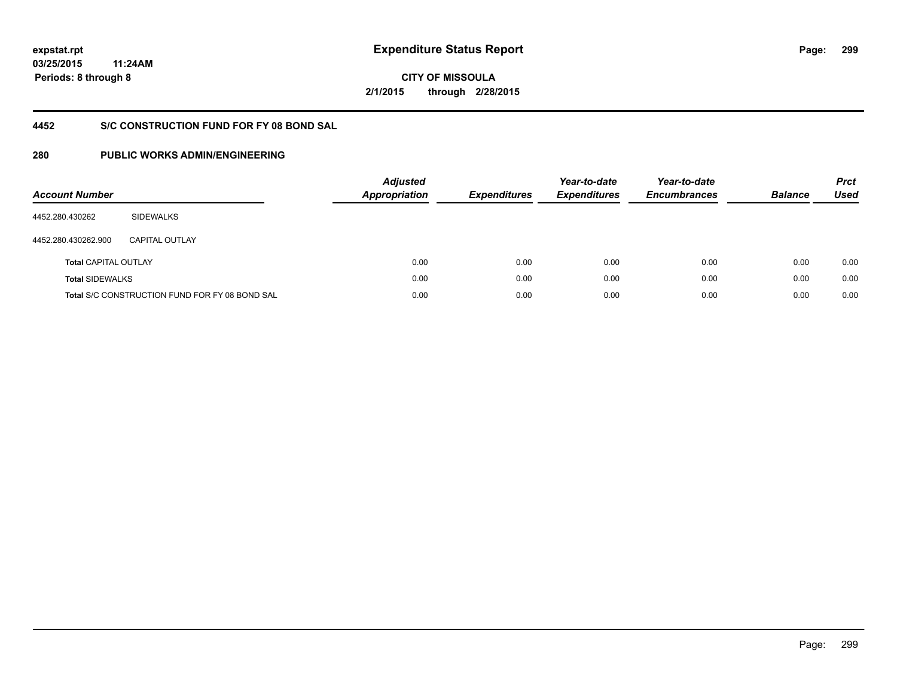**299**

**03/25/2015 11:24AM Periods: 8 through 8**

**CITY OF MISSOULA 2/1/2015 through 2/28/2015**

## **4452 S/C CONSTRUCTION FUND FOR FY 08 BOND SAL**

| <b>Account Number</b>       |                                                       | <b>Adjusted</b><br><b>Appropriation</b> | <b>Expenditures</b> | Year-to-date<br><b>Expenditures</b> | Year-to-date<br><b>Encumbrances</b> | <b>Balance</b> | <b>Prct</b><br><b>Used</b> |
|-----------------------------|-------------------------------------------------------|-----------------------------------------|---------------------|-------------------------------------|-------------------------------------|----------------|----------------------------|
| 4452.280.430262             | <b>SIDEWALKS</b>                                      |                                         |                     |                                     |                                     |                |                            |
| 4452.280.430262.900         | CAPITAL OUTLAY                                        |                                         |                     |                                     |                                     |                |                            |
| <b>Total CAPITAL OUTLAY</b> |                                                       | 0.00                                    | 0.00                | 0.00                                | 0.00                                | 0.00           | 0.00                       |
| <b>Total SIDEWALKS</b>      |                                                       | 0.00                                    | 0.00                | 0.00                                | 0.00                                | 0.00           | 0.00                       |
|                             | <b>Total S/C CONSTRUCTION FUND FOR FY 08 BOND SAL</b> | 0.00                                    | 0.00                | 0.00                                | 0.00                                | 0.00           | 0.00                       |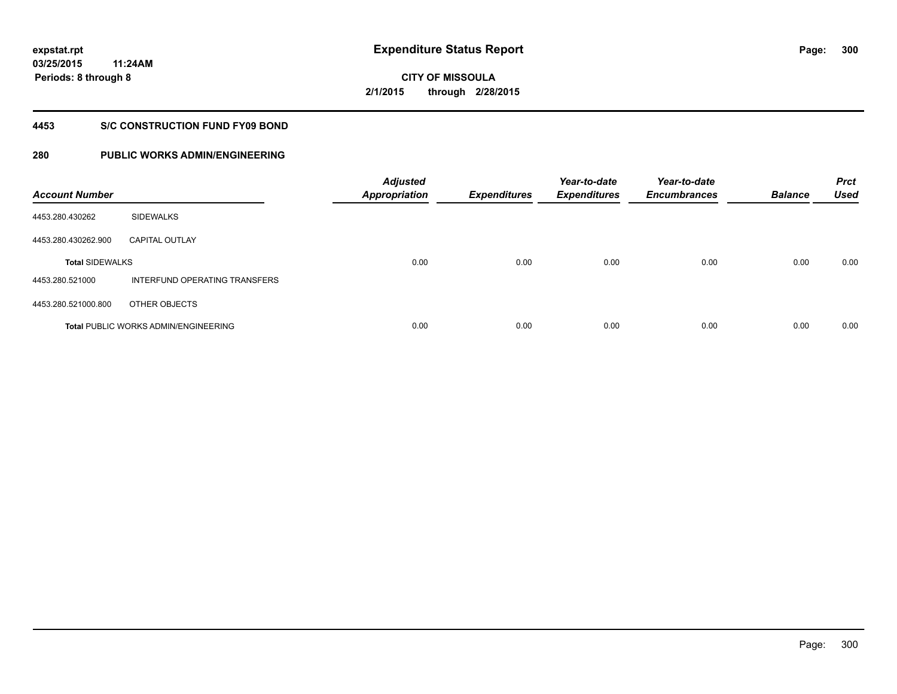**300**

**03/25/2015 11:24AM Periods: 8 through 8**

# **CITY OF MISSOULA 2/1/2015 through 2/28/2015**

#### **4453 S/C CONSTRUCTION FUND FY09 BOND**

| <b>Account Number</b>  |                                             | <b>Adjusted</b><br>Appropriation | <b>Expenditures</b> | Year-to-date<br><b>Expenditures</b> | Year-to-date<br><b>Encumbrances</b> | <b>Balance</b> | <b>Prct</b><br><b>Used</b> |
|------------------------|---------------------------------------------|----------------------------------|---------------------|-------------------------------------|-------------------------------------|----------------|----------------------------|
| 4453.280.430262        | <b>SIDEWALKS</b>                            |                                  |                     |                                     |                                     |                |                            |
| 4453.280.430262.900    | <b>CAPITAL OUTLAY</b>                       |                                  |                     |                                     |                                     |                |                            |
| <b>Total SIDEWALKS</b> |                                             | 0.00                             | 0.00                | 0.00                                | 0.00                                | 0.00           | 0.00                       |
| 4453.280.521000        | INTERFUND OPERATING TRANSFERS               |                                  |                     |                                     |                                     |                |                            |
| 4453.280.521000.800    | OTHER OBJECTS                               |                                  |                     |                                     |                                     |                |                            |
|                        | <b>Total PUBLIC WORKS ADMIN/ENGINEERING</b> | 0.00                             | 0.00                | 0.00                                | 0.00                                | 0.00           | 0.00                       |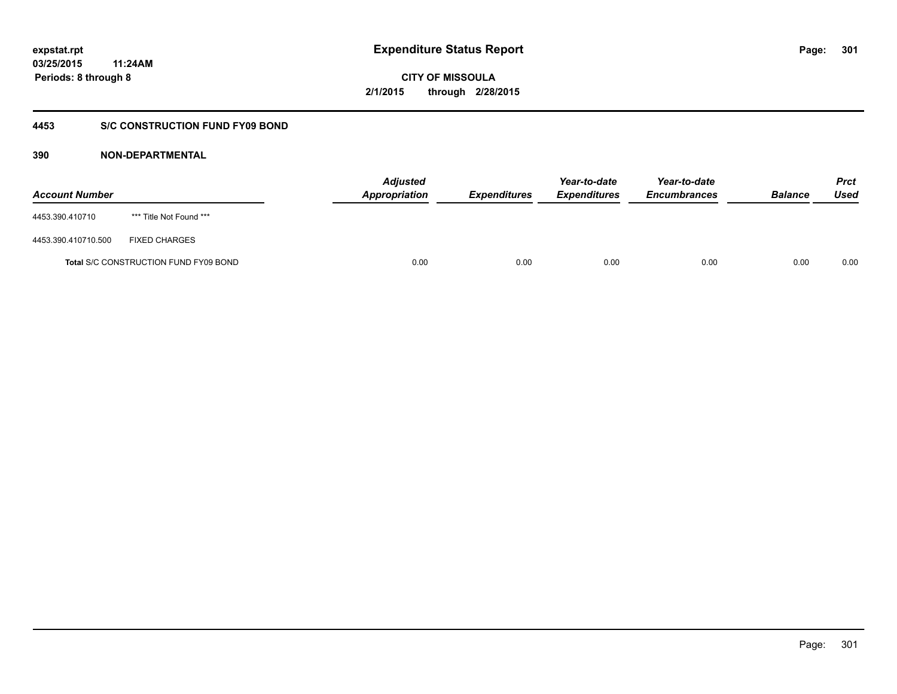**CITY OF MISSOULA 2/1/2015 through 2/28/2015**

#### **4453 S/C CONSTRUCTION FUND FY09 BOND**

| <b>Account Number</b> |                                              | <b>Adjusted</b><br><b>Appropriation</b> | <b>Expenditures</b> | Year-to-date<br><b>Expenditures</b> | Year-to-date<br><b>Encumbrances</b> | <b>Balance</b> | <b>Prct</b><br>Used |
|-----------------------|----------------------------------------------|-----------------------------------------|---------------------|-------------------------------------|-------------------------------------|----------------|---------------------|
| 4453.390.410710       | *** Title Not Found ***                      |                                         |                     |                                     |                                     |                |                     |
| 4453.390.410710.500   | <b>FIXED CHARGES</b>                         |                                         |                     |                                     |                                     |                |                     |
|                       | <b>Total S/C CONSTRUCTION FUND FY09 BOND</b> | 0.00                                    | 0.00                | 0.00                                | 0.00                                | 0.00           | 0.00                |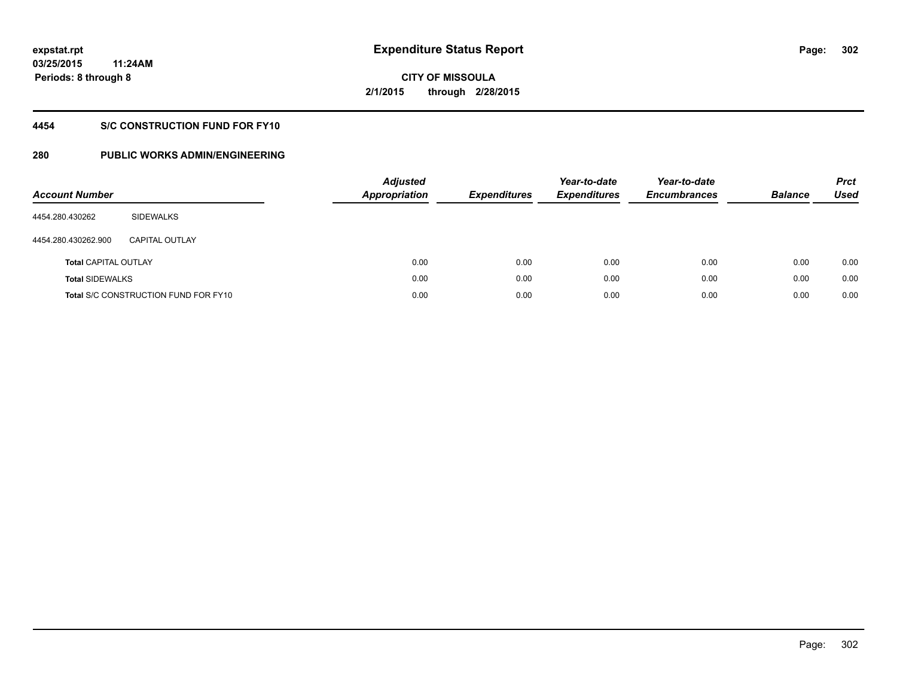# **CITY OF MISSOULA 2/1/2015 through 2/28/2015**

## **4454 S/C CONSTRUCTION FUND FOR FY10**

| <b>Account Number</b>       |                                             | <b>Adjusted</b><br><b>Appropriation</b> | <b>Expenditures</b> | Year-to-date<br><b>Expenditures</b> | Year-to-date<br><b>Encumbrances</b> | <b>Balance</b> | <b>Prct</b><br>Used |
|-----------------------------|---------------------------------------------|-----------------------------------------|---------------------|-------------------------------------|-------------------------------------|----------------|---------------------|
| 4454.280.430262             | SIDEWALKS                                   |                                         |                     |                                     |                                     |                |                     |
| 4454.280.430262.900         | <b>CAPITAL OUTLAY</b>                       |                                         |                     |                                     |                                     |                |                     |
| <b>Total CAPITAL OUTLAY</b> |                                             | 0.00                                    | 0.00                | 0.00                                | 0.00                                | 0.00           | 0.00                |
| <b>Total SIDEWALKS</b>      |                                             | 0.00                                    | 0.00                | 0.00                                | 0.00                                | 0.00           | 0.00                |
|                             | <b>Total S/C CONSTRUCTION FUND FOR FY10</b> | 0.00                                    | 0.00                | 0.00                                | 0.00                                | 0.00           | 0.00                |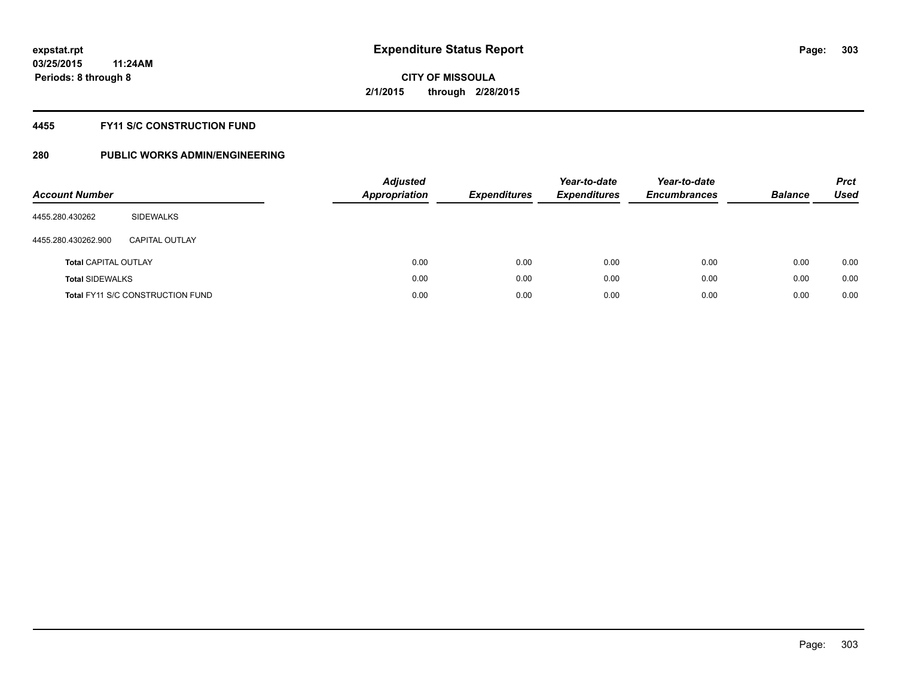#### **4455 FY11 S/C CONSTRUCTION FUND**

| <b>Account Number</b>       |                                         | <b>Adjusted</b><br><b>Appropriation</b> | <b>Expenditures</b> | Year-to-date<br><b>Expenditures</b> | Year-to-date<br><b>Encumbrances</b> | <b>Balance</b> | <b>Prct</b><br>Used |
|-----------------------------|-----------------------------------------|-----------------------------------------|---------------------|-------------------------------------|-------------------------------------|----------------|---------------------|
| 4455.280.430262             | SIDEWALKS                               |                                         |                     |                                     |                                     |                |                     |
| 4455.280.430262.900         | CAPITAL OUTLAY                          |                                         |                     |                                     |                                     |                |                     |
| <b>Total CAPITAL OUTLAY</b> |                                         | 0.00                                    | 0.00                | 0.00                                | 0.00                                | 0.00           | 0.00                |
| <b>Total SIDEWALKS</b>      |                                         | 0.00                                    | 0.00                | 0.00                                | 0.00                                | 0.00           | 0.00                |
|                             | <b>Total FY11 S/C CONSTRUCTION FUND</b> | 0.00                                    | 0.00                | 0.00                                | 0.00                                | 0.00           | 0.00                |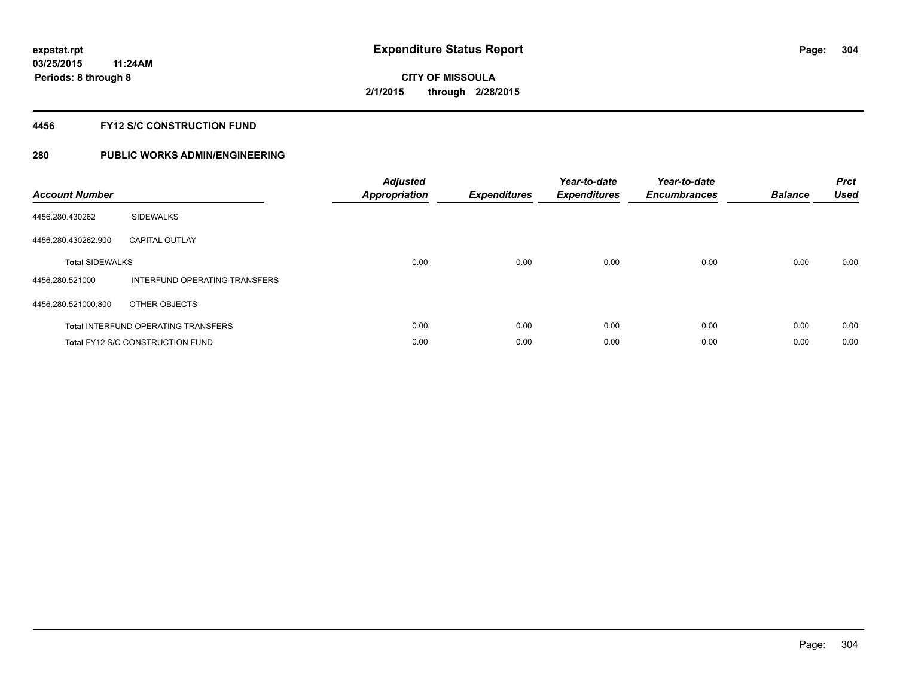#### **4456 FY12 S/C CONSTRUCTION FUND**

| <b>Account Number</b>  |                                            | <b>Adjusted</b><br><b>Appropriation</b> | <b>Expenditures</b> | Year-to-date<br><b>Expenditures</b> | Year-to-date<br><b>Encumbrances</b> | <b>Balance</b> | <b>Prct</b><br><b>Used</b> |
|------------------------|--------------------------------------------|-----------------------------------------|---------------------|-------------------------------------|-------------------------------------|----------------|----------------------------|
| 4456.280.430262        | <b>SIDEWALKS</b>                           |                                         |                     |                                     |                                     |                |                            |
| 4456.280.430262.900    | <b>CAPITAL OUTLAY</b>                      |                                         |                     |                                     |                                     |                |                            |
| <b>Total SIDEWALKS</b> |                                            | 0.00                                    | 0.00                | 0.00                                | 0.00                                | 0.00           | 0.00                       |
| 4456.280.521000        | INTERFUND OPERATING TRANSFERS              |                                         |                     |                                     |                                     |                |                            |
| 4456.280.521000.800    | OTHER OBJECTS                              |                                         |                     |                                     |                                     |                |                            |
|                        | <b>Total INTERFUND OPERATING TRANSFERS</b> | 0.00                                    | 0.00                | 0.00                                | 0.00                                | 0.00           | 0.00                       |
|                        | Total FY12 S/C CONSTRUCTION FUND           | 0.00                                    | 0.00                | 0.00                                | 0.00                                | 0.00           | 0.00                       |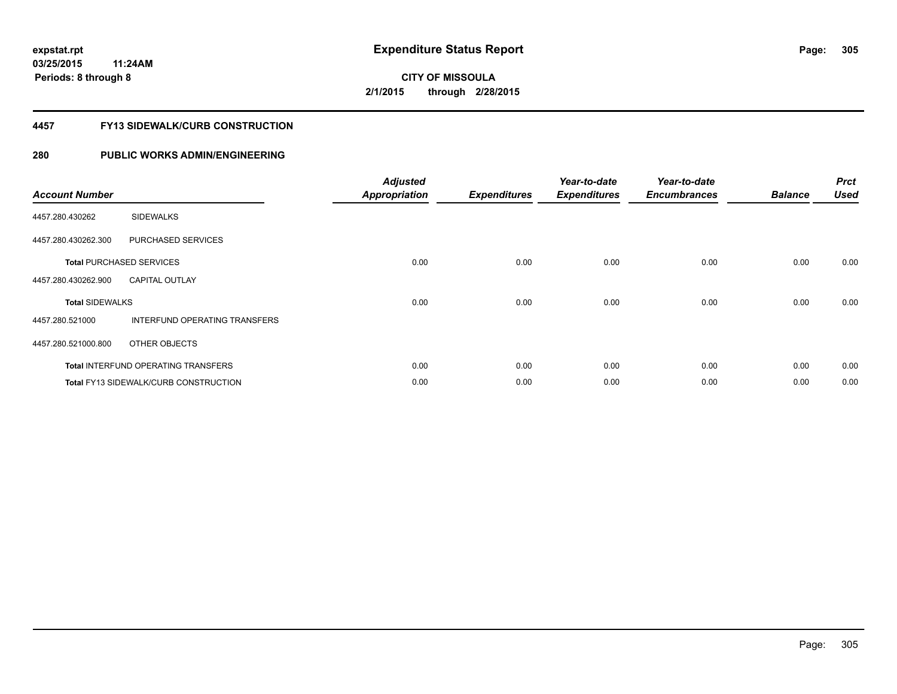# **CITY OF MISSOULA 2/1/2015 through 2/28/2015**

#### **4457 FY13 SIDEWALK/CURB CONSTRUCTION**

| <b>Account Number</b>  |                                              | <b>Adjusted</b><br><b>Appropriation</b> | <b>Expenditures</b> | Year-to-date<br><b>Expenditures</b> | Year-to-date<br><b>Encumbrances</b> | <b>Balance</b> | <b>Prct</b><br><b>Used</b> |
|------------------------|----------------------------------------------|-----------------------------------------|---------------------|-------------------------------------|-------------------------------------|----------------|----------------------------|
| 4457.280.430262        | <b>SIDEWALKS</b>                             |                                         |                     |                                     |                                     |                |                            |
| 4457.280.430262.300    | PURCHASED SERVICES                           |                                         |                     |                                     |                                     |                |                            |
|                        | <b>Total PURCHASED SERVICES</b>              | 0.00                                    | 0.00                | 0.00                                | 0.00                                | 0.00           | 0.00                       |
| 4457.280.430262.900    | <b>CAPITAL OUTLAY</b>                        |                                         |                     |                                     |                                     |                |                            |
| <b>Total SIDEWALKS</b> |                                              | 0.00                                    | 0.00                | 0.00                                | 0.00                                | 0.00           | 0.00                       |
| 4457.280.521000        | INTERFUND OPERATING TRANSFERS                |                                         |                     |                                     |                                     |                |                            |
| 4457.280.521000.800    | OTHER OBJECTS                                |                                         |                     |                                     |                                     |                |                            |
|                        | <b>Total INTERFUND OPERATING TRANSFERS</b>   | 0.00                                    | 0.00                | 0.00                                | 0.00                                | 0.00           | 0.00                       |
|                        | <b>Total FY13 SIDEWALK/CURB CONSTRUCTION</b> | 0.00                                    | 0.00                | 0.00                                | 0.00                                | 0.00           | 0.00                       |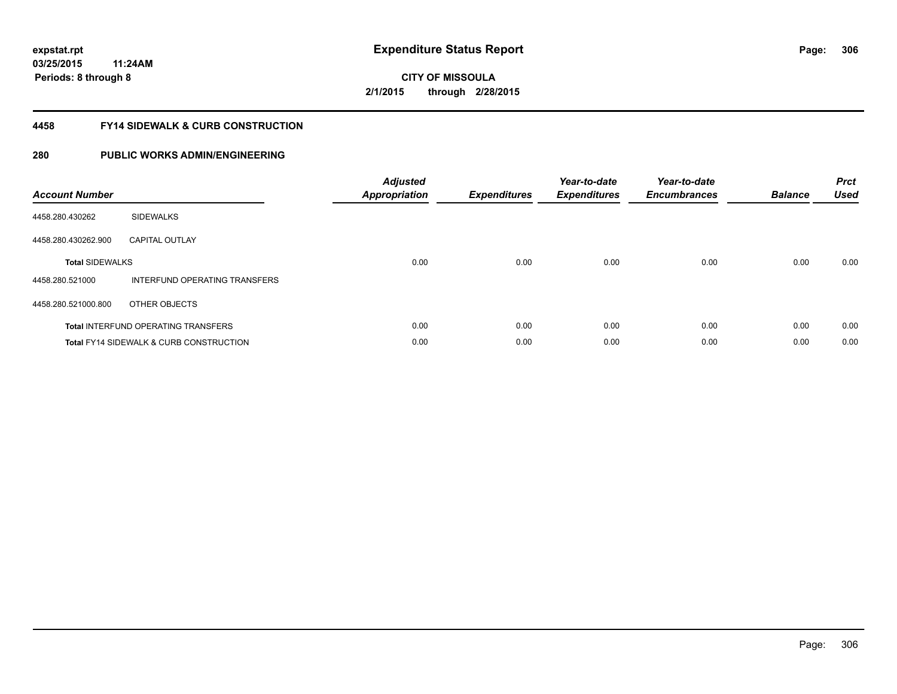**306**

**03/25/2015 11:24AM Periods: 8 through 8**

# **CITY OF MISSOULA 2/1/2015 through 2/28/2015**

#### **4458 FY14 SIDEWALK & CURB CONSTRUCTION**

| <b>Account Number</b>  |                                                    | <b>Adjusted</b><br><b>Appropriation</b> | <b>Expenditures</b> | Year-to-date<br><b>Expenditures</b> | Year-to-date<br><b>Encumbrances</b> | <b>Balance</b> | <b>Prct</b><br><b>Used</b> |
|------------------------|----------------------------------------------------|-----------------------------------------|---------------------|-------------------------------------|-------------------------------------|----------------|----------------------------|
| 4458.280.430262        | <b>SIDEWALKS</b>                                   |                                         |                     |                                     |                                     |                |                            |
| 4458.280.430262.900    | <b>CAPITAL OUTLAY</b>                              |                                         |                     |                                     |                                     |                |                            |
| <b>Total SIDEWALKS</b> |                                                    | 0.00                                    | 0.00                | 0.00                                | 0.00                                | 0.00           | 0.00                       |
| 4458.280.521000        | INTERFUND OPERATING TRANSFERS                      |                                         |                     |                                     |                                     |                |                            |
| 4458.280.521000.800    | OTHER OBJECTS                                      |                                         |                     |                                     |                                     |                |                            |
|                        | <b>Total INTERFUND OPERATING TRANSFERS</b>         | 0.00                                    | 0.00                | 0.00                                | 0.00                                | 0.00           | 0.00                       |
|                        | <b>Total FY14 SIDEWALK &amp; CURB CONSTRUCTION</b> | 0.00                                    | 0.00                | 0.00                                | 0.00                                | 0.00           | 0.00                       |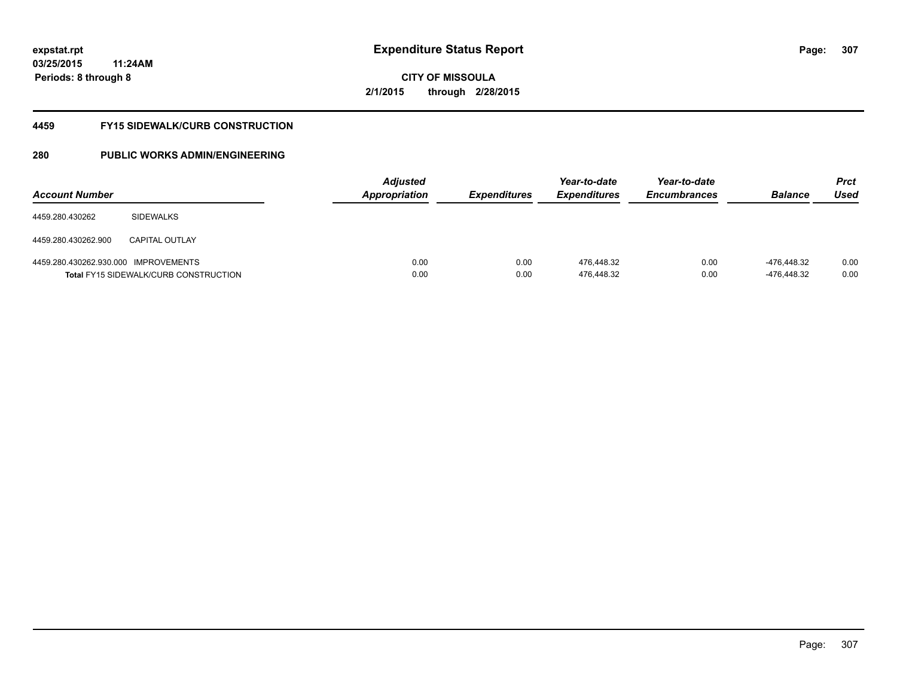# **CITY OF MISSOULA 2/1/2015 through 2/28/2015**

#### **4459 FY15 SIDEWALK/CURB CONSTRUCTION**

| <b>Account Number</b>                |                                              | <b>Adjusted</b><br><b>Appropriation</b> | <b>Expenditures</b> | Year-to-date<br><i><b>Expenditures</b></i> | Year-to-date<br><b>Encumbrances</b> | <b>Balance</b>             | <b>Prct</b><br>Used |
|--------------------------------------|----------------------------------------------|-----------------------------------------|---------------------|--------------------------------------------|-------------------------------------|----------------------------|---------------------|
| 4459.280.430262                      | <b>SIDEWALKS</b>                             |                                         |                     |                                            |                                     |                            |                     |
| 4459.280.430262.900                  | <b>CAPITAL OUTLAY</b>                        |                                         |                     |                                            |                                     |                            |                     |
| 4459.280.430262.930.000 IMPROVEMENTS | <b>Total FY15 SIDEWALK/CURB CONSTRUCTION</b> | 0.00<br>0.00                            | 0.00<br>0.00        | 476.448.32<br>476,448.32                   | 0.00<br>0.00                        | -476.448.32<br>-476,448.32 | 0.00<br>0.00        |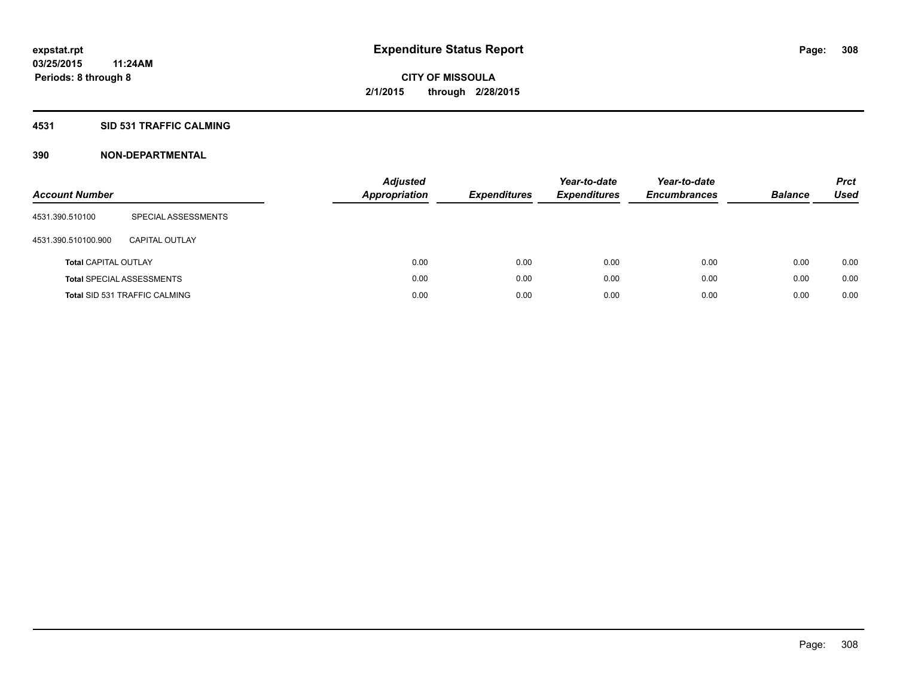#### **4531 SID 531 TRAFFIC CALMING**

| <b>Account Number</b>       |                                      | <b>Adjusted</b><br><b>Appropriation</b> | <b>Expenditures</b> | Year-to-date<br><b>Expenditures</b> | Year-to-date<br><b>Encumbrances</b> | <b>Balance</b> | <b>Prct</b><br>Used |
|-----------------------------|--------------------------------------|-----------------------------------------|---------------------|-------------------------------------|-------------------------------------|----------------|---------------------|
| 4531.390.510100             | SPECIAL ASSESSMENTS                  |                                         |                     |                                     |                                     |                |                     |
| 4531.390.510100.900         | CAPITAL OUTLAY                       |                                         |                     |                                     |                                     |                |                     |
| <b>Total CAPITAL OUTLAY</b> |                                      | 0.00                                    | 0.00                | 0.00                                | 0.00                                | 0.00           | 0.00                |
|                             | <b>Total SPECIAL ASSESSMENTS</b>     | 0.00                                    | 0.00                | 0.00                                | 0.00                                | 0.00           | 0.00                |
|                             | <b>Total SID 531 TRAFFIC CALMING</b> | 0.00                                    | 0.00                | 0.00                                | 0.00                                | 0.00           | 0.00                |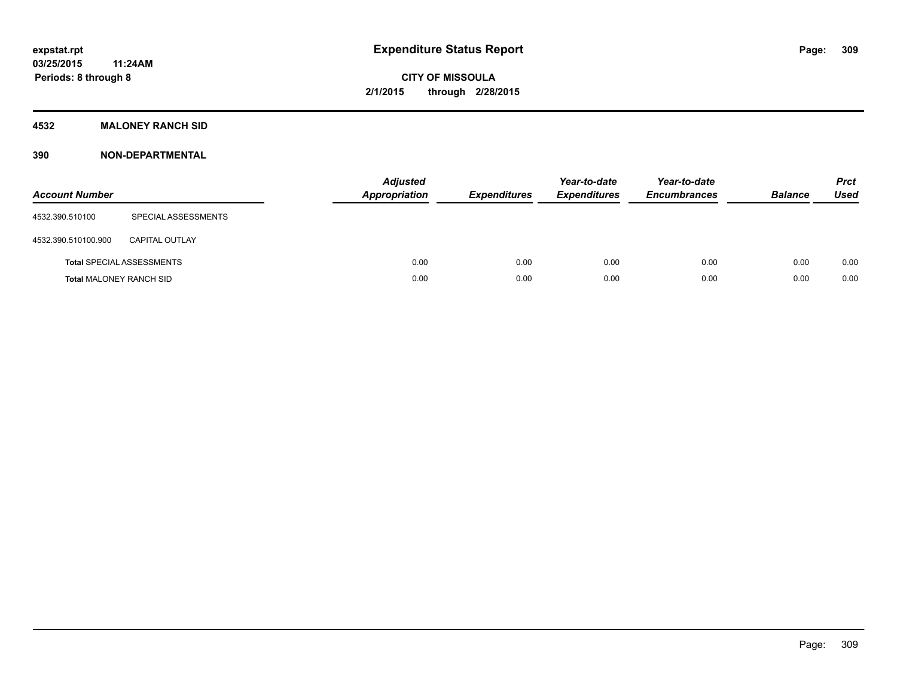#### **4532 MALONEY RANCH SID**

| <b>Account Number</b>          |                                  | <b>Adjusted</b><br>Appropriation | <b>Expenditures</b> | Year-to-date<br><b>Expenditures</b> | Year-to-date<br><b>Encumbrances</b> | <b>Balance</b> | <b>Prct</b><br><b>Used</b> |
|--------------------------------|----------------------------------|----------------------------------|---------------------|-------------------------------------|-------------------------------------|----------------|----------------------------|
| 4532.390.510100                | SPECIAL ASSESSMENTS              |                                  |                     |                                     |                                     |                |                            |
| 4532.390.510100.900            | <b>CAPITAL OUTLAY</b>            |                                  |                     |                                     |                                     |                |                            |
|                                | <b>Total SPECIAL ASSESSMENTS</b> | 0.00                             | 0.00                | 0.00                                | 0.00                                | 0.00           | 0.00                       |
| <b>Total MALONEY RANCH SID</b> |                                  | 0.00                             | 0.00                | 0.00                                | 0.00                                | 0.00           | 0.00                       |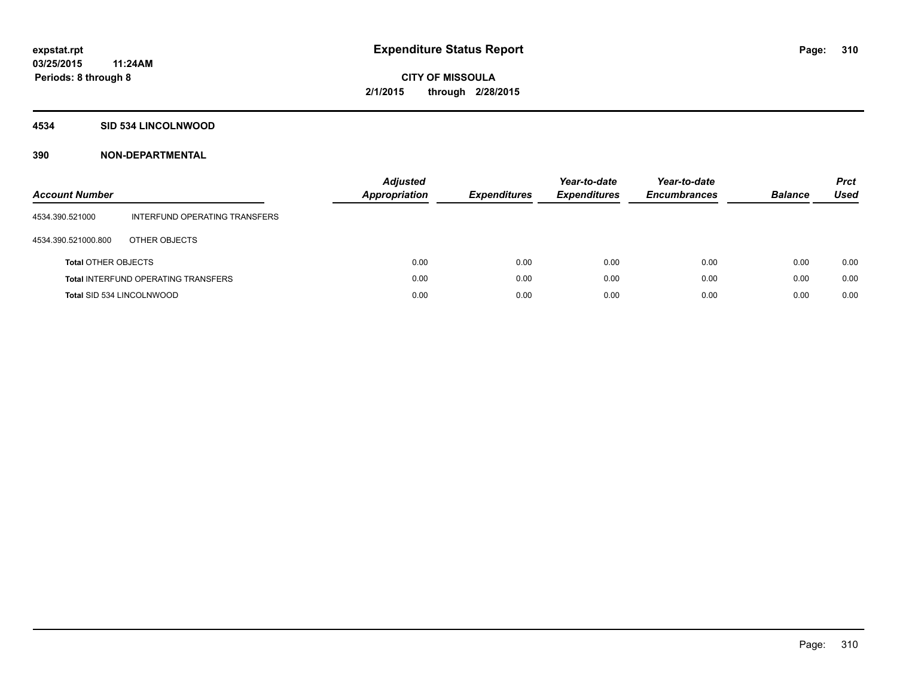#### **4534 SID 534 LINCOLNWOOD**

| <b>Account Number</b>      |                                            | Adjusted<br>Appropriation | <b>Expenditures</b> | Year-to-date<br><b>Expenditures</b> | Year-to-date<br><b>Encumbrances</b> | <b>Balance</b> | <b>Prct</b><br>Used |
|----------------------------|--------------------------------------------|---------------------------|---------------------|-------------------------------------|-------------------------------------|----------------|---------------------|
| 4534.390.521000            | INTERFUND OPERATING TRANSFERS              |                           |                     |                                     |                                     |                |                     |
| 4534.390.521000.800        | OTHER OBJECTS                              |                           |                     |                                     |                                     |                |                     |
| <b>Total OTHER OBJECTS</b> |                                            | 0.00                      | 0.00                | 0.00                                | 0.00                                | 0.00           | 0.00                |
|                            | <b>Total INTERFUND OPERATING TRANSFERS</b> | 0.00                      | 0.00                | 0.00                                | 0.00                                | 0.00           | 0.00                |
| Total SID 534 LINCOLNWOOD  |                                            | 0.00                      | 0.00                | 0.00                                | 0.00                                | 0.00           | 0.00                |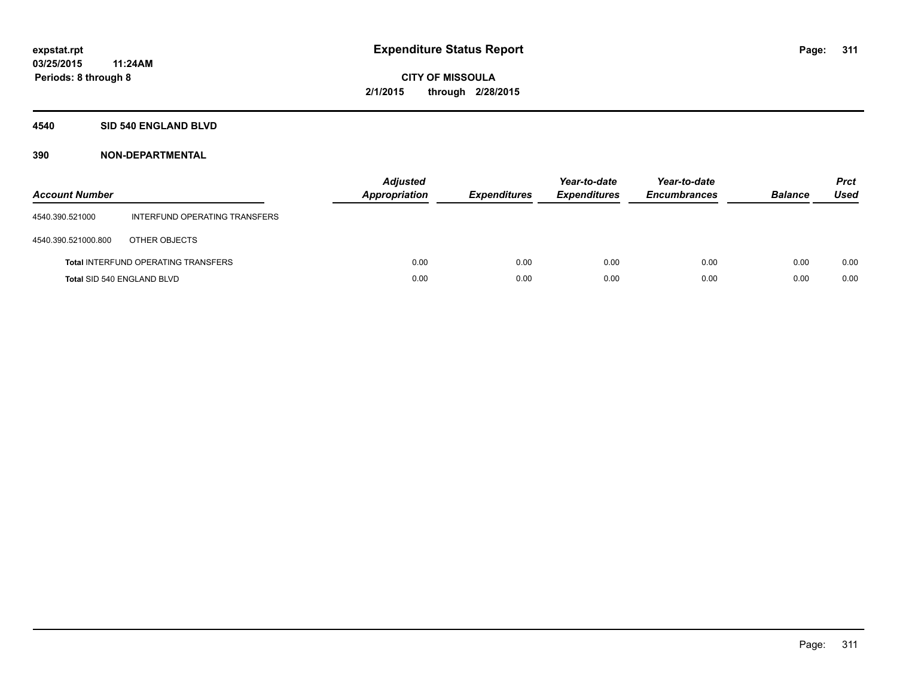#### **4540 SID 540 ENGLAND BLVD**

| <b>Account Number</b>      |                                            | <b>Adjusted</b><br>Appropriation | <b>Expenditures</b> | Year-to-date<br><b>Expenditures</b> | Year-to-date<br><b>Encumbrances</b> | <b>Balance</b> | <b>Prct</b><br>Used |
|----------------------------|--------------------------------------------|----------------------------------|---------------------|-------------------------------------|-------------------------------------|----------------|---------------------|
| 4540.390.521000            | INTERFUND OPERATING TRANSFERS              |                                  |                     |                                     |                                     |                |                     |
| 4540.390.521000.800        | OTHER OBJECTS                              |                                  |                     |                                     |                                     |                |                     |
|                            | <b>Total INTERFUND OPERATING TRANSFERS</b> | 0.00                             | 0.00                | 0.00                                | 0.00                                | 0.00           | 0.00                |
| Total SID 540 ENGLAND BLVD |                                            | 0.00                             | 0.00                | 0.00                                | 0.00                                | 0.00           | 0.00                |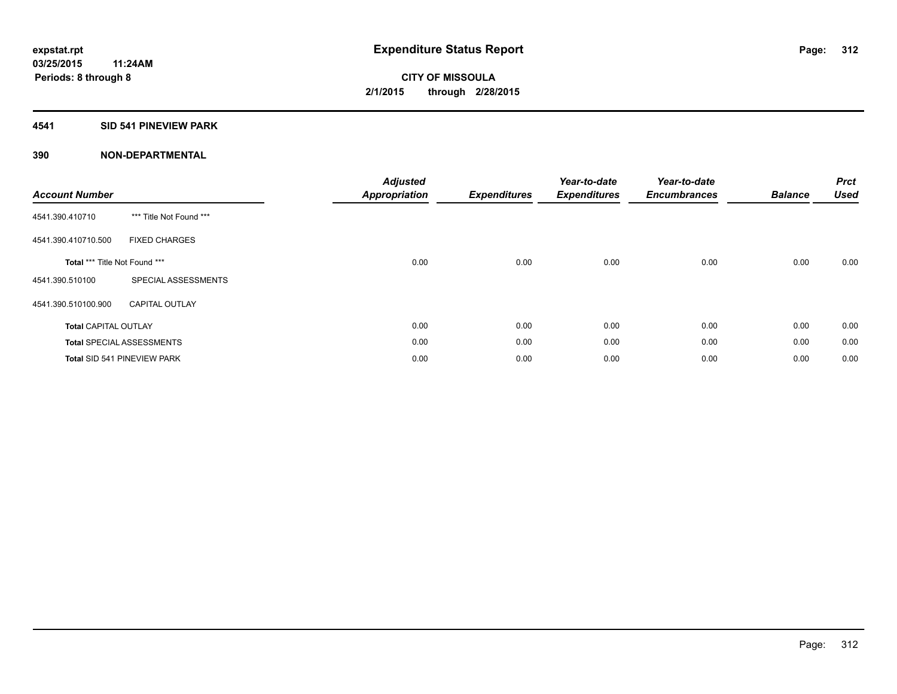## **4541 SID 541 PINEVIEW PARK**

| <b>Account Number</b>         |                                  | <b>Adjusted</b><br><b>Appropriation</b> | <b>Expenditures</b> | Year-to-date<br><b>Expenditures</b> | Year-to-date<br><b>Encumbrances</b> | <b>Balance</b> | <b>Prct</b><br><b>Used</b> |
|-------------------------------|----------------------------------|-----------------------------------------|---------------------|-------------------------------------|-------------------------------------|----------------|----------------------------|
| 4541.390.410710               | *** Title Not Found ***          |                                         |                     |                                     |                                     |                |                            |
| 4541.390.410710.500           | <b>FIXED CHARGES</b>             |                                         |                     |                                     |                                     |                |                            |
| Total *** Title Not Found *** |                                  | 0.00                                    | 0.00                | 0.00                                | 0.00                                | 0.00           | 0.00                       |
| 4541.390.510100               | SPECIAL ASSESSMENTS              |                                         |                     |                                     |                                     |                |                            |
| 4541.390.510100.900           | <b>CAPITAL OUTLAY</b>            |                                         |                     |                                     |                                     |                |                            |
| <b>Total CAPITAL OUTLAY</b>   |                                  | 0.00                                    | 0.00                | 0.00                                | 0.00                                | 0.00           | 0.00                       |
|                               | <b>Total SPECIAL ASSESSMENTS</b> | 0.00                                    | 0.00                | 0.00                                | 0.00                                | 0.00           | 0.00                       |
|                               | Total SID 541 PINEVIEW PARK      | 0.00                                    | 0.00                | 0.00                                | 0.00                                | 0.00           | 0.00                       |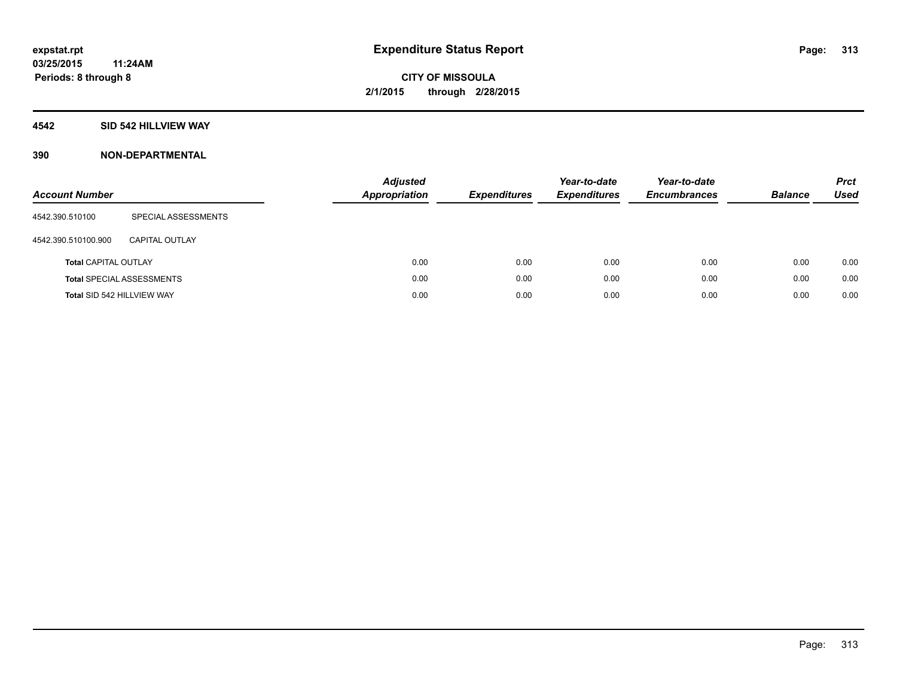#### **4542 SID 542 HILLVIEW WAY**

| <b>Account Number</b>       |                                  | <b>Adjusted</b><br><b>Appropriation</b> | <b>Expenditures</b> | Year-to-date<br><b>Expenditures</b> | Year-to-date<br><b>Encumbrances</b> | <b>Balance</b> | <b>Prct</b><br><b>Used</b> |
|-----------------------------|----------------------------------|-----------------------------------------|---------------------|-------------------------------------|-------------------------------------|----------------|----------------------------|
| 4542.390.510100             | SPECIAL ASSESSMENTS              |                                         |                     |                                     |                                     |                |                            |
| 4542.390.510100.900         | CAPITAL OUTLAY                   |                                         |                     |                                     |                                     |                |                            |
| <b>Total CAPITAL OUTLAY</b> |                                  | 0.00                                    | 0.00                | 0.00                                | 0.00                                | 0.00           | 0.00                       |
|                             | <b>Total SPECIAL ASSESSMENTS</b> | 0.00                                    | 0.00                | 0.00                                | 0.00                                | 0.00           | 0.00                       |
| Total SID 542 HILLVIEW WAY  |                                  | 0.00                                    | 0.00                | 0.00                                | 0.00                                | 0.00           | 0.00                       |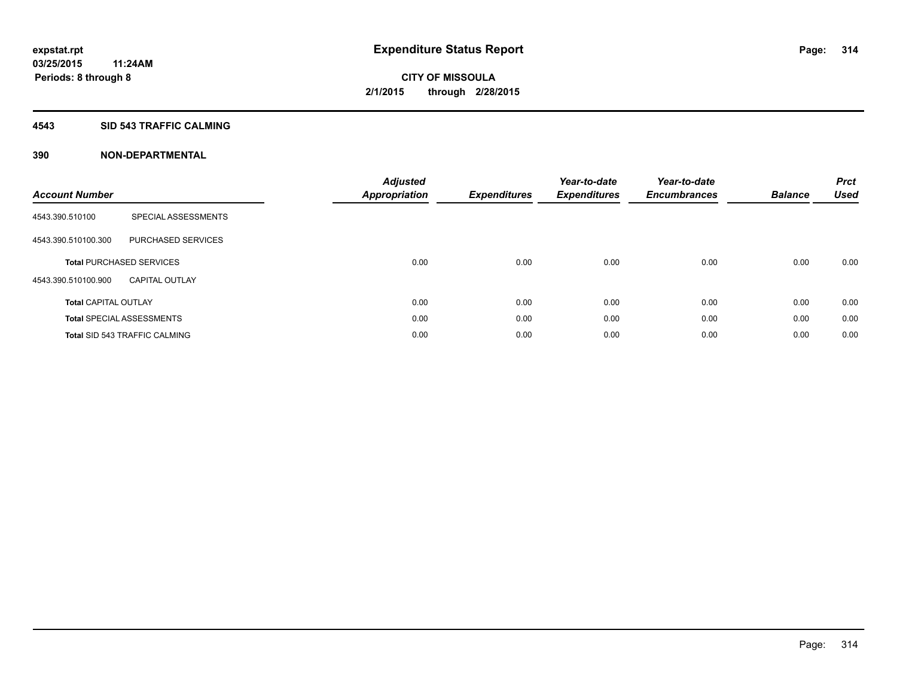#### **4543 SID 543 TRAFFIC CALMING**

| <b>Account Number</b>       |                                      | <b>Adjusted</b><br><b>Appropriation</b> | <b>Expenditures</b> | Year-to-date<br><b>Expenditures</b> | Year-to-date<br><b>Encumbrances</b> | <b>Balance</b> | <b>Prct</b><br><b>Used</b> |
|-----------------------------|--------------------------------------|-----------------------------------------|---------------------|-------------------------------------|-------------------------------------|----------------|----------------------------|
| 4543.390.510100             | SPECIAL ASSESSMENTS                  |                                         |                     |                                     |                                     |                |                            |
| 4543.390.510100.300         | PURCHASED SERVICES                   |                                         |                     |                                     |                                     |                |                            |
|                             | <b>Total PURCHASED SERVICES</b>      | 0.00                                    | 0.00                | 0.00                                | 0.00                                | 0.00           | 0.00                       |
| 4543.390.510100.900         | <b>CAPITAL OUTLAY</b>                |                                         |                     |                                     |                                     |                |                            |
| <b>Total CAPITAL OUTLAY</b> |                                      | 0.00                                    | 0.00                | 0.00                                | 0.00                                | 0.00           | 0.00                       |
|                             | <b>Total SPECIAL ASSESSMENTS</b>     | 0.00                                    | 0.00                | 0.00                                | 0.00                                | 0.00           | 0.00                       |
|                             | <b>Total SID 543 TRAFFIC CALMING</b> | 0.00                                    | 0.00                | 0.00                                | 0.00                                | 0.00           | 0.00                       |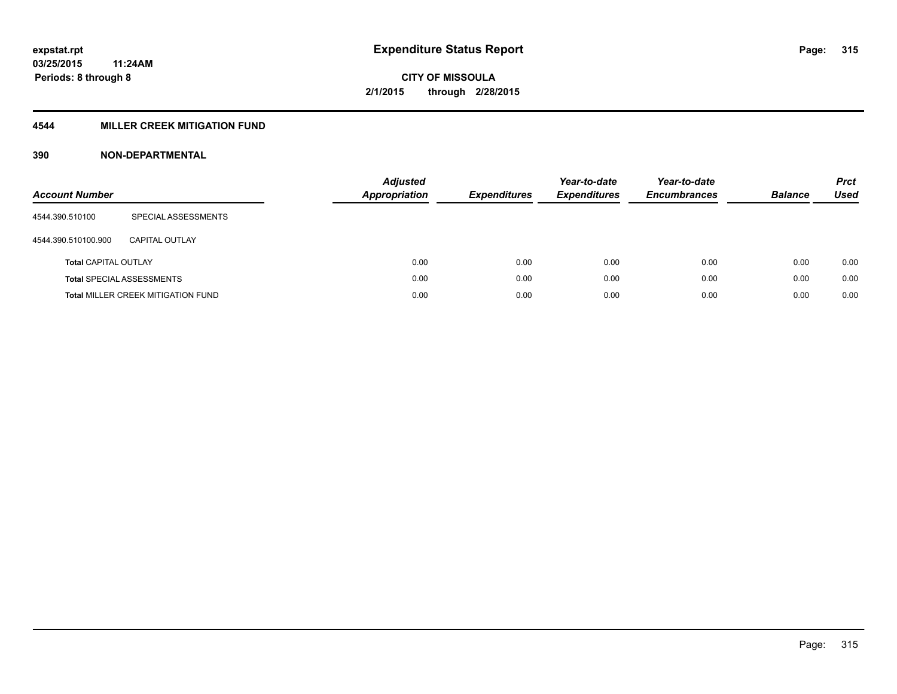## **4544 MILLER CREEK MITIGATION FUND**

| <b>Account Number</b>       |                                           | <b>Adjusted</b><br><b>Appropriation</b> | <b>Expenditures</b> | Year-to-date<br><b>Expenditures</b> | Year-to-date<br><b>Encumbrances</b> | <b>Balance</b> | <b>Prct</b><br>Used |
|-----------------------------|-------------------------------------------|-----------------------------------------|---------------------|-------------------------------------|-------------------------------------|----------------|---------------------|
| 4544.390.510100             | SPECIAL ASSESSMENTS                       |                                         |                     |                                     |                                     |                |                     |
| 4544.390.510100.900         | CAPITAL OUTLAY                            |                                         |                     |                                     |                                     |                |                     |
| <b>Total CAPITAL OUTLAY</b> |                                           | 0.00                                    | 0.00                | 0.00                                | 0.00                                | 0.00           | 0.00                |
|                             | <b>Total SPECIAL ASSESSMENTS</b>          | 0.00                                    | 0.00                | 0.00                                | 0.00                                | 0.00           | 0.00                |
|                             | <b>Total MILLER CREEK MITIGATION FUND</b> | 0.00                                    | 0.00                | 0.00                                | 0.00                                | 0.00           | 0.00                |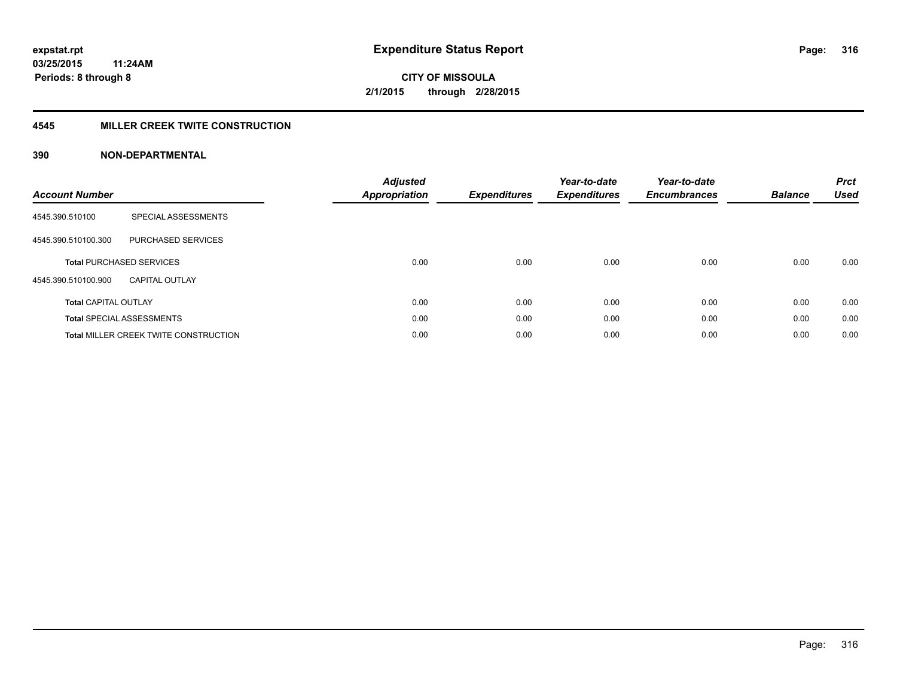#### **4545 MILLER CREEK TWITE CONSTRUCTION**

| <b>Account Number</b>       |                                              | <b>Adjusted</b><br>Appropriation | <b>Expenditures</b> | Year-to-date<br><b>Expenditures</b> | Year-to-date<br><b>Encumbrances</b> | <b>Balance</b> | <b>Prct</b><br><b>Used</b> |
|-----------------------------|----------------------------------------------|----------------------------------|---------------------|-------------------------------------|-------------------------------------|----------------|----------------------------|
| 4545.390.510100             | SPECIAL ASSESSMENTS                          |                                  |                     |                                     |                                     |                |                            |
| 4545.390.510100.300         | <b>PURCHASED SERVICES</b>                    |                                  |                     |                                     |                                     |                |                            |
|                             | <b>Total PURCHASED SERVICES</b>              | 0.00                             | 0.00                | 0.00                                | 0.00                                | 0.00           | 0.00                       |
| 4545.390.510100.900         | <b>CAPITAL OUTLAY</b>                        |                                  |                     |                                     |                                     |                |                            |
| <b>Total CAPITAL OUTLAY</b> |                                              | 0.00                             | 0.00                | 0.00                                | 0.00                                | 0.00           | 0.00                       |
|                             | <b>Total SPECIAL ASSESSMENTS</b>             | 0.00                             | 0.00                | 0.00                                | 0.00                                | 0.00           | 0.00                       |
|                             | <b>Total MILLER CREEK TWITE CONSTRUCTION</b> | 0.00                             | 0.00                | 0.00                                | 0.00                                | 0.00           | 0.00                       |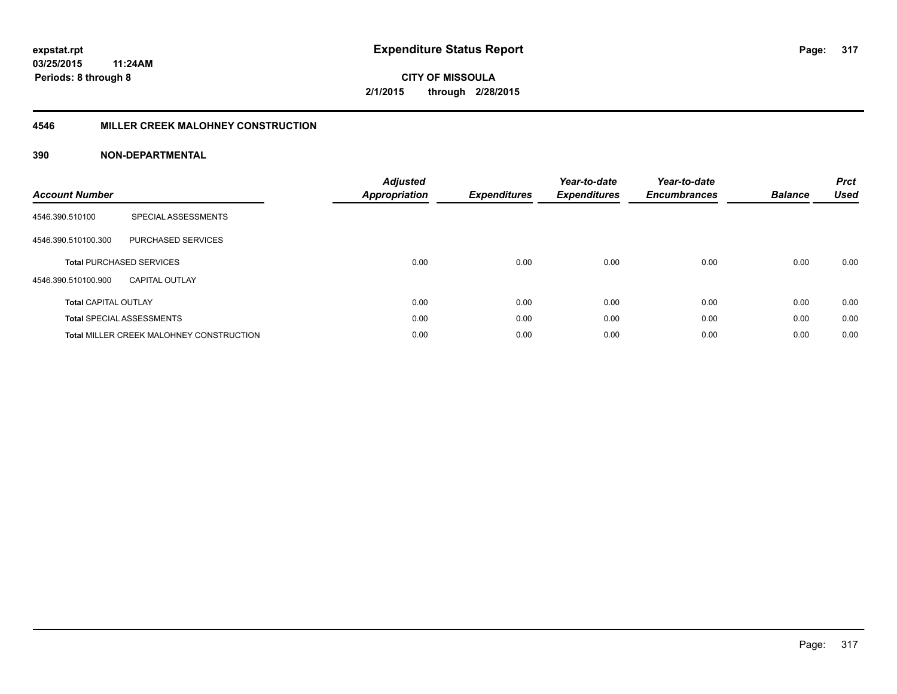#### **4546 MILLER CREEK MALOHNEY CONSTRUCTION**

| <b>Account Number</b>       |                                                 | <b>Adjusted</b><br><b>Appropriation</b> | <b>Expenditures</b> | Year-to-date<br><b>Expenditures</b> | Year-to-date<br><b>Encumbrances</b> | <b>Balance</b> | <b>Prct</b><br><b>Used</b> |
|-----------------------------|-------------------------------------------------|-----------------------------------------|---------------------|-------------------------------------|-------------------------------------|----------------|----------------------------|
| 4546.390.510100             | SPECIAL ASSESSMENTS                             |                                         |                     |                                     |                                     |                |                            |
| 4546.390.510100.300         | PURCHASED SERVICES                              |                                         |                     |                                     |                                     |                |                            |
|                             | <b>Total PURCHASED SERVICES</b>                 | 0.00                                    | 0.00                | 0.00                                | 0.00                                | 0.00           | 0.00                       |
| 4546.390.510100.900         | CAPITAL OUTLAY                                  |                                         |                     |                                     |                                     |                |                            |
| <b>Total CAPITAL OUTLAY</b> |                                                 | 0.00                                    | 0.00                | 0.00                                | 0.00                                | 0.00           | 0.00                       |
|                             | <b>Total SPECIAL ASSESSMENTS</b>                | 0.00                                    | 0.00                | 0.00                                | 0.00                                | 0.00           | 0.00                       |
|                             | <b>Total MILLER CREEK MALOHNEY CONSTRUCTION</b> | 0.00                                    | 0.00                | 0.00                                | 0.00                                | 0.00           | 0.00                       |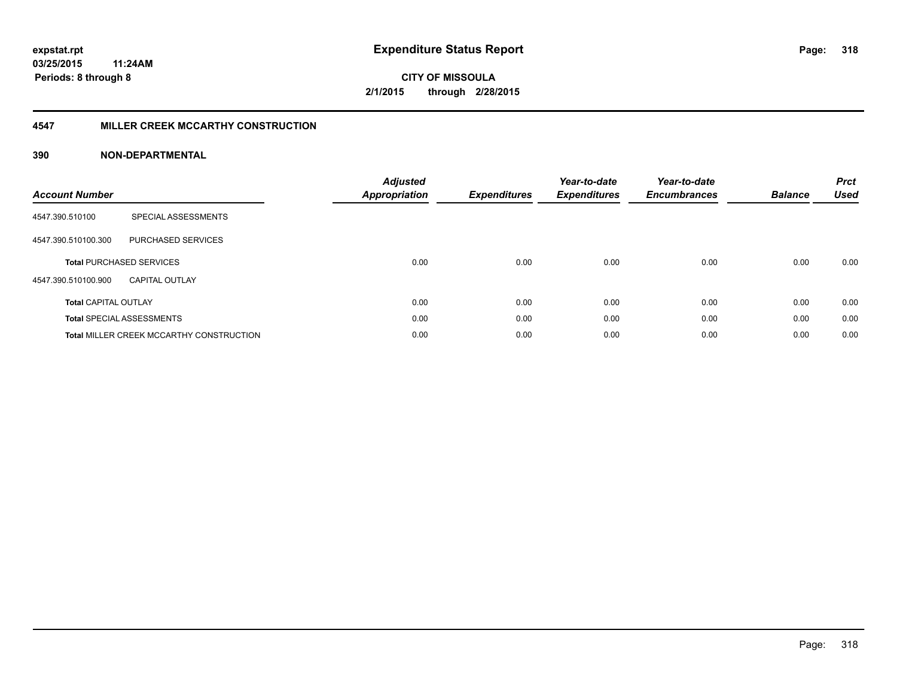#### **4547 MILLER CREEK MCCARTHY CONSTRUCTION**

| <b>Account Number</b>       |                                                 | <b>Adjusted</b><br><b>Appropriation</b> | <b>Expenditures</b> | Year-to-date<br><b>Expenditures</b> | Year-to-date<br><b>Encumbrances</b> | <b>Balance</b> | <b>Prct</b><br><b>Used</b> |
|-----------------------------|-------------------------------------------------|-----------------------------------------|---------------------|-------------------------------------|-------------------------------------|----------------|----------------------------|
| 4547.390.510100             | SPECIAL ASSESSMENTS                             |                                         |                     |                                     |                                     |                |                            |
| 4547.390.510100.300         | <b>PURCHASED SERVICES</b>                       |                                         |                     |                                     |                                     |                |                            |
|                             | <b>Total PURCHASED SERVICES</b>                 | 0.00                                    | 0.00                | 0.00                                | 0.00                                | 0.00           | 0.00                       |
| 4547.390.510100.900         | <b>CAPITAL OUTLAY</b>                           |                                         |                     |                                     |                                     |                |                            |
| <b>Total CAPITAL OUTLAY</b> |                                                 | 0.00                                    | 0.00                | 0.00                                | 0.00                                | 0.00           | 0.00                       |
|                             | <b>Total SPECIAL ASSESSMENTS</b>                | 0.00                                    | 0.00                | 0.00                                | 0.00                                | 0.00           | 0.00                       |
|                             | <b>Total MILLER CREEK MCCARTHY CONSTRUCTION</b> | 0.00                                    | 0.00                | 0.00                                | 0.00                                | 0.00           | 0.00                       |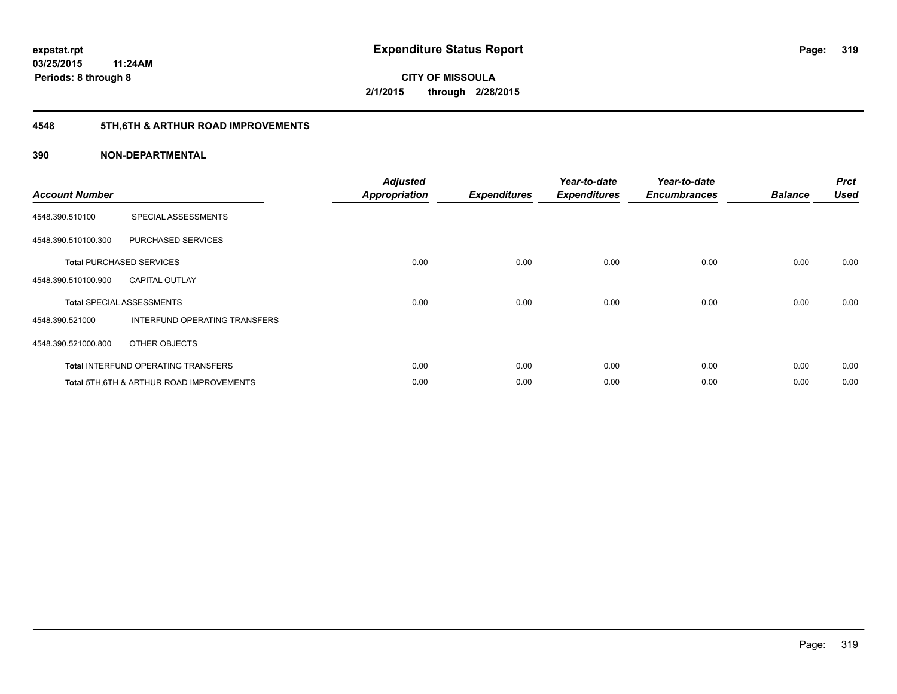# **4548 5TH,6TH & ARTHUR ROAD IMPROVEMENTS**

| <b>Account Number</b> |                                                     | <b>Adjusted</b><br><b>Appropriation</b> | <b>Expenditures</b> | Year-to-date<br><b>Expenditures</b> | Year-to-date<br><b>Encumbrances</b> | <b>Balance</b> | <b>Prct</b><br><b>Used</b> |
|-----------------------|-----------------------------------------------------|-----------------------------------------|---------------------|-------------------------------------|-------------------------------------|----------------|----------------------------|
| 4548.390.510100       | SPECIAL ASSESSMENTS                                 |                                         |                     |                                     |                                     |                |                            |
| 4548.390.510100.300   | PURCHASED SERVICES                                  |                                         |                     |                                     |                                     |                |                            |
|                       | <b>Total PURCHASED SERVICES</b>                     | 0.00                                    | 0.00                | 0.00                                | 0.00                                | 0.00           | 0.00                       |
| 4548.390.510100.900   | <b>CAPITAL OUTLAY</b>                               |                                         |                     |                                     |                                     |                |                            |
|                       | <b>Total SPECIAL ASSESSMENTS</b>                    | 0.00                                    | 0.00                | 0.00                                | 0.00                                | 0.00           | 0.00                       |
| 4548.390.521000       | <b>INTERFUND OPERATING TRANSFERS</b>                |                                         |                     |                                     |                                     |                |                            |
| 4548.390.521000.800   | OTHER OBJECTS                                       |                                         |                     |                                     |                                     |                |                            |
|                       | <b>Total INTERFUND OPERATING TRANSFERS</b>          | 0.00                                    | 0.00                | 0.00                                | 0.00                                | 0.00           | 0.00                       |
|                       | <b>Total 5TH.6TH &amp; ARTHUR ROAD IMPROVEMENTS</b> | 0.00                                    | 0.00                | 0.00                                | 0.00                                | 0.00           | 0.00                       |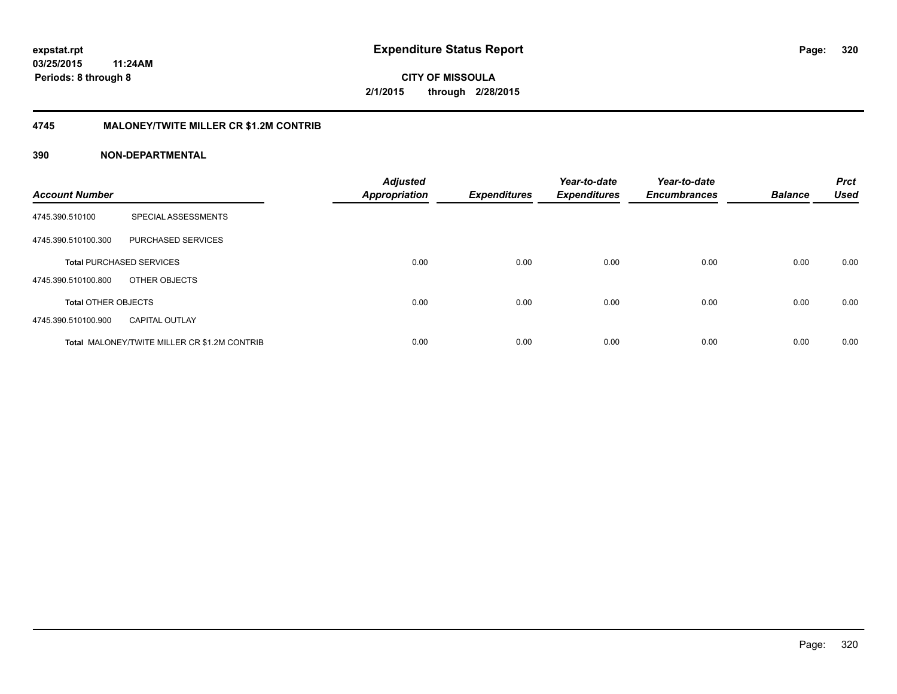**CITY OF MISSOULA 2/1/2015 through 2/28/2015**

#### **4745 MALONEY/TWITE MILLER CR \$1.2M CONTRIB**

| <b>Account Number</b>      |                                                     | <b>Adjusted</b><br><b>Appropriation</b> | <b>Expenditures</b> | Year-to-date<br><b>Expenditures</b> | Year-to-date<br><b>Encumbrances</b> | <b>Balance</b> | <b>Prct</b><br><b>Used</b> |
|----------------------------|-----------------------------------------------------|-----------------------------------------|---------------------|-------------------------------------|-------------------------------------|----------------|----------------------------|
| 4745.390.510100            | SPECIAL ASSESSMENTS                                 |                                         |                     |                                     |                                     |                |                            |
| 4745.390.510100.300        | PURCHASED SERVICES                                  |                                         |                     |                                     |                                     |                |                            |
|                            | <b>Total PURCHASED SERVICES</b>                     | 0.00                                    | 0.00                | 0.00                                | 0.00                                | 0.00           | 0.00                       |
| 4745.390.510100.800        | OTHER OBJECTS                                       |                                         |                     |                                     |                                     |                |                            |
| <b>Total OTHER OBJECTS</b> |                                                     | 0.00                                    | 0.00                | 0.00                                | 0.00                                | 0.00           | 0.00                       |
| 4745.390.510100.900        | <b>CAPITAL OUTLAY</b>                               |                                         |                     |                                     |                                     |                |                            |
|                            | <b>Total MALONEY/TWITE MILLER CR \$1.2M CONTRIB</b> | 0.00                                    | 0.00                | 0.00                                | 0.00                                | 0.00           | 0.00                       |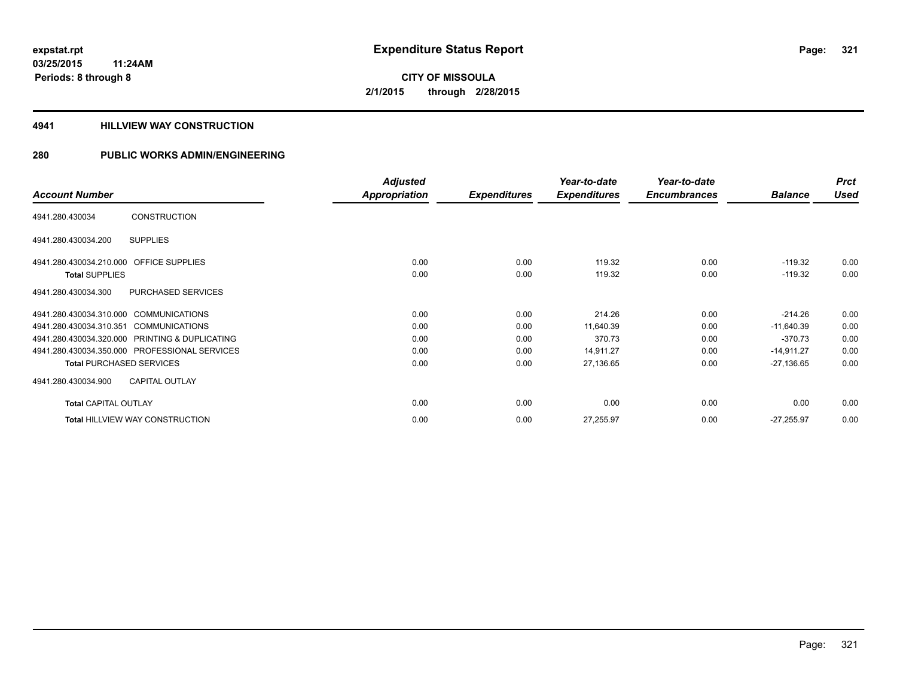#### **4941 HILLVIEW WAY CONSTRUCTION**

|                                                  | <b>Adjusted</b>      |                     | Year-to-date        | Year-to-date        |                | <b>Prct</b> |
|--------------------------------------------------|----------------------|---------------------|---------------------|---------------------|----------------|-------------|
| <b>Account Number</b>                            | <b>Appropriation</b> | <b>Expenditures</b> | <b>Expenditures</b> | <b>Encumbrances</b> | <b>Balance</b> | <b>Used</b> |
| <b>CONSTRUCTION</b><br>4941.280.430034           |                      |                     |                     |                     |                |             |
| <b>SUPPLIES</b><br>4941.280.430034.200           |                      |                     |                     |                     |                |             |
| 4941.280.430034.210.000 OFFICE SUPPLIES          | 0.00                 | 0.00                | 119.32              | 0.00                | $-119.32$      | 0.00        |
| <b>Total SUPPLIES</b>                            | 0.00                 | 0.00                | 119.32              | 0.00                | $-119.32$      | 0.00        |
| PURCHASED SERVICES<br>4941.280.430034.300        |                      |                     |                     |                     |                |             |
| 4941.280.430034.310.000 COMMUNICATIONS           | 0.00                 | 0.00                | 214.26              | 0.00                | $-214.26$      | 0.00        |
| 4941.280.430034.310.351<br><b>COMMUNICATIONS</b> | 0.00                 | 0.00                | 11,640.39           | 0.00                | $-11,640.39$   | 0.00        |
| 4941.280.430034.320.000 PRINTING & DUPLICATING   | 0.00                 | 0.00                | 370.73              | 0.00                | $-370.73$      | 0.00        |
| 4941.280.430034.350.000 PROFESSIONAL SERVICES    | 0.00                 | 0.00                | 14,911.27           | 0.00                | $-14,911.27$   | 0.00        |
| <b>Total PURCHASED SERVICES</b>                  | 0.00                 | 0.00                | 27,136.65           | 0.00                | $-27,136.65$   | 0.00        |
| <b>CAPITAL OUTLAY</b><br>4941.280.430034.900     |                      |                     |                     |                     |                |             |
| <b>Total CAPITAL OUTLAY</b>                      | 0.00                 | 0.00                | 0.00                | 0.00                | 0.00           | 0.00        |
| <b>Total HILLVIEW WAY CONSTRUCTION</b>           | 0.00                 | 0.00                | 27,255.97           | 0.00                | $-27,255.97$   | 0.00        |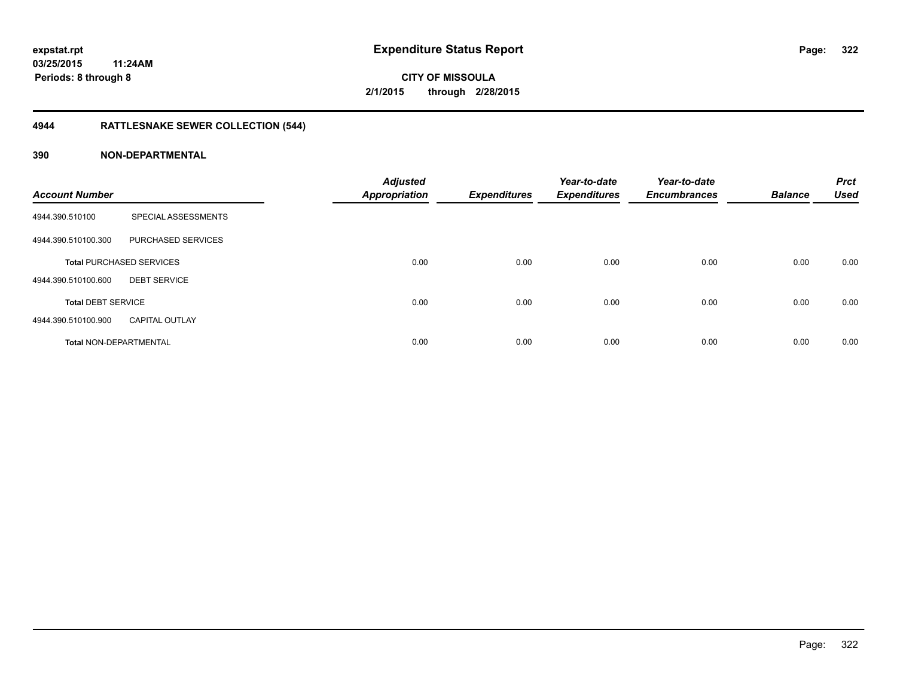# **4944 RATTLESNAKE SEWER COLLECTION (544)**

| <b>Account Number</b>         |                                 | <b>Adjusted</b><br><b>Appropriation</b> | <b>Expenditures</b> | Year-to-date<br><b>Expenditures</b> | Year-to-date<br><b>Encumbrances</b> | <b>Balance</b> | <b>Prct</b><br><b>Used</b> |
|-------------------------------|---------------------------------|-----------------------------------------|---------------------|-------------------------------------|-------------------------------------|----------------|----------------------------|
| 4944.390.510100               | SPECIAL ASSESSMENTS             |                                         |                     |                                     |                                     |                |                            |
| 4944.390.510100.300           | PURCHASED SERVICES              |                                         |                     |                                     |                                     |                |                            |
|                               | <b>Total PURCHASED SERVICES</b> | 0.00                                    | 0.00                | 0.00                                | 0.00                                | 0.00           | 0.00                       |
| 4944.390.510100.600           | <b>DEBT SERVICE</b>             |                                         |                     |                                     |                                     |                |                            |
| <b>Total DEBT SERVICE</b>     |                                 | 0.00                                    | 0.00                | 0.00                                | 0.00                                | 0.00           | 0.00                       |
| 4944.390.510100.900           | <b>CAPITAL OUTLAY</b>           |                                         |                     |                                     |                                     |                |                            |
| <b>Total NON-DEPARTMENTAL</b> |                                 | 0.00                                    | 0.00                | 0.00                                | 0.00                                | 0.00           | 0.00                       |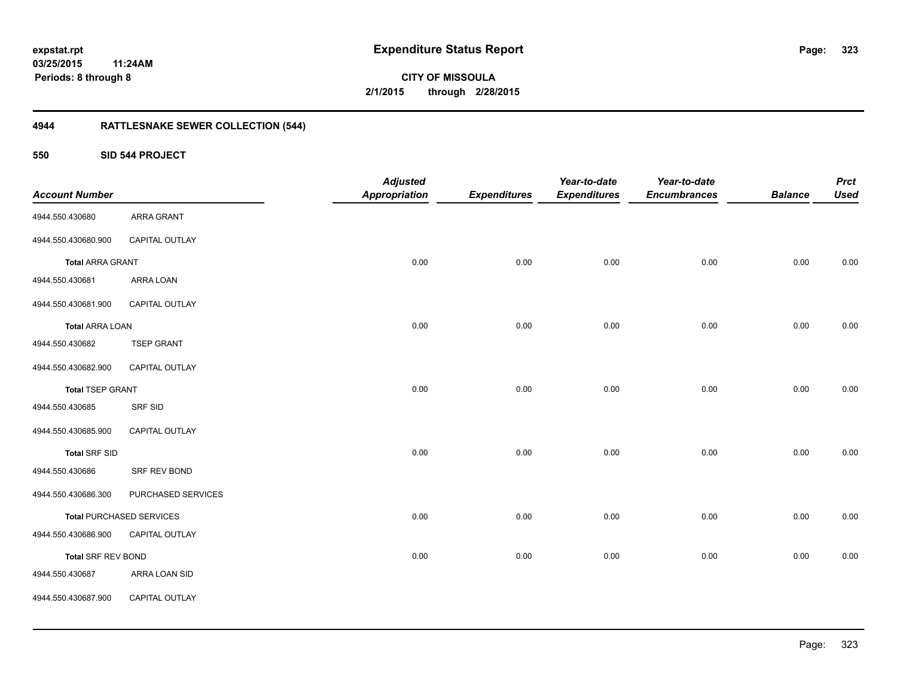**323**

**CITY OF MISSOULA 2/1/2015 through 2/28/2015**

# **4944 RATTLESNAKE SEWER COLLECTION (544)**

**550 SID 544 PROJECT**

| <b>Account Number</b>     |                                 | <b>Adjusted</b><br><b>Appropriation</b> | <b>Expenditures</b> | Year-to-date<br><b>Expenditures</b> | Year-to-date<br><b>Encumbrances</b> | <b>Balance</b> | <b>Prct</b><br><b>Used</b> |
|---------------------------|---------------------------------|-----------------------------------------|---------------------|-------------------------------------|-------------------------------------|----------------|----------------------------|
| 4944.550.430680           | ARRA GRANT                      |                                         |                     |                                     |                                     |                |                            |
|                           |                                 |                                         |                     |                                     |                                     |                |                            |
| 4944.550.430680.900       | <b>CAPITAL OUTLAY</b>           |                                         |                     |                                     |                                     |                |                            |
| <b>Total ARRA GRANT</b>   |                                 | 0.00                                    | 0.00                | 0.00                                | 0.00                                | 0.00           | 0.00                       |
| 4944.550.430681           | ARRA LOAN                       |                                         |                     |                                     |                                     |                |                            |
| 4944.550.430681.900       | CAPITAL OUTLAY                  |                                         |                     |                                     |                                     |                |                            |
| <b>Total ARRA LOAN</b>    |                                 | 0.00                                    | 0.00                | 0.00                                | 0.00                                | 0.00           | 0.00                       |
| 4944.550.430682           | <b>TSEP GRANT</b>               |                                         |                     |                                     |                                     |                |                            |
| 4944.550.430682.900       | CAPITAL OUTLAY                  |                                         |                     |                                     |                                     |                |                            |
| <b>Total TSEP GRANT</b>   |                                 | 0.00                                    | 0.00                | 0.00                                | 0.00                                | 0.00           | 0.00                       |
| 4944.550.430685           | <b>SRF SID</b>                  |                                         |                     |                                     |                                     |                |                            |
| 4944.550.430685.900       | CAPITAL OUTLAY                  |                                         |                     |                                     |                                     |                |                            |
| <b>Total SRF SID</b>      |                                 | 0.00                                    | 0.00                | 0.00                                | 0.00                                | 0.00           | 0.00                       |
| 4944.550.430686           | SRF REV BOND                    |                                         |                     |                                     |                                     |                |                            |
| 4944.550.430686.300       | PURCHASED SERVICES              |                                         |                     |                                     |                                     |                |                            |
|                           | <b>Total PURCHASED SERVICES</b> | 0.00                                    | 0.00                | 0.00                                | 0.00                                | 0.00           | 0.00                       |
| 4944.550.430686.900       | CAPITAL OUTLAY                  |                                         |                     |                                     |                                     |                |                            |
| <b>Total SRF REV BOND</b> |                                 | 0.00                                    | 0.00                | 0.00                                | 0.00                                | 0.00           | 0.00                       |
| 4944.550.430687           | ARRA LOAN SID                   |                                         |                     |                                     |                                     |                |                            |
| 4944.550.430687.900       | CAPITAL OUTLAY                  |                                         |                     |                                     |                                     |                |                            |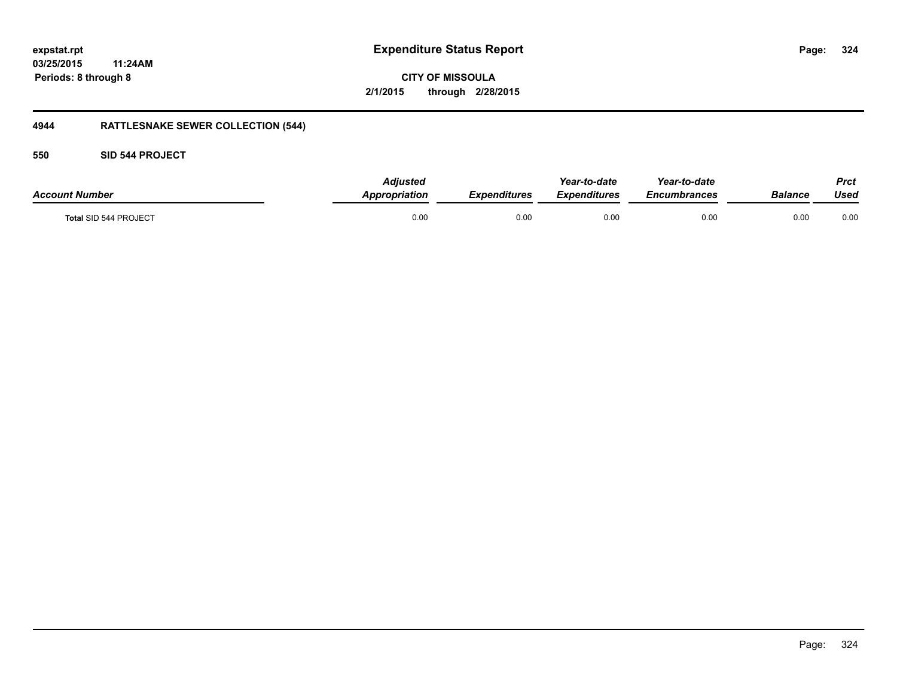**CITY OF MISSOULA 2/1/2015 through 2/28/2015**

# **4944 RATTLESNAKE SEWER COLLECTION (544)**

## **550 SID 544 PROJECT**

| <b>Account Number</b> | <b>Adjusted</b><br>Appropriation | <b>Expenditures</b> | Year-to-date<br>Expenditures | Year-to-date<br>Encumbrances | Balance | <b>Prct</b><br>Used |
|-----------------------|----------------------------------|---------------------|------------------------------|------------------------------|---------|---------------------|
| Total SID 544 PROJECT | 0.00                             | 0.00                | 0.00                         | 0.00                         | 0.00    | 0.00                |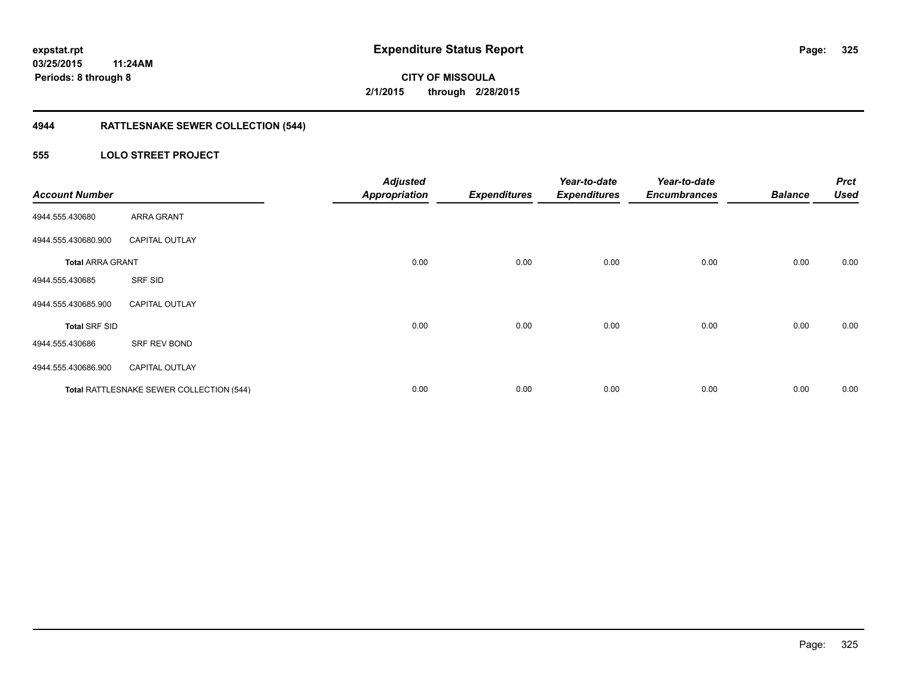### **4944 RATTLESNAKE SEWER COLLECTION (544)**

### **555 LOLO STREET PROJECT**

| <b>Account Number</b>   |                                          | <b>Adjusted</b><br><b>Appropriation</b> | <b>Expenditures</b> | Year-to-date<br><b>Expenditures</b> | Year-to-date<br><b>Encumbrances</b> | <b>Balance</b> | <b>Prct</b><br><b>Used</b> |
|-------------------------|------------------------------------------|-----------------------------------------|---------------------|-------------------------------------|-------------------------------------|----------------|----------------------------|
| 4944.555.430680         | <b>ARRA GRANT</b>                        |                                         |                     |                                     |                                     |                |                            |
| 4944.555.430680.900     | <b>CAPITAL OUTLAY</b>                    |                                         |                     |                                     |                                     |                |                            |
| <b>Total ARRA GRANT</b> |                                          | 0.00                                    | 0.00                | 0.00                                | 0.00                                | 0.00           | 0.00                       |
| 4944.555.430685         | SRF SID                                  |                                         |                     |                                     |                                     |                |                            |
| 4944.555.430685.900     | <b>CAPITAL OUTLAY</b>                    |                                         |                     |                                     |                                     |                |                            |
| <b>Total SRF SID</b>    |                                          | 0.00                                    | 0.00                | 0.00                                | 0.00                                | 0.00           | 0.00                       |
| 4944.555.430686         | SRF REV BOND                             |                                         |                     |                                     |                                     |                |                            |
| 4944.555.430686.900     | <b>CAPITAL OUTLAY</b>                    |                                         |                     |                                     |                                     |                |                            |
|                         | Total RATTLESNAKE SEWER COLLECTION (544) | 0.00                                    | 0.00                | 0.00                                | 0.00                                | 0.00           | 0.00                       |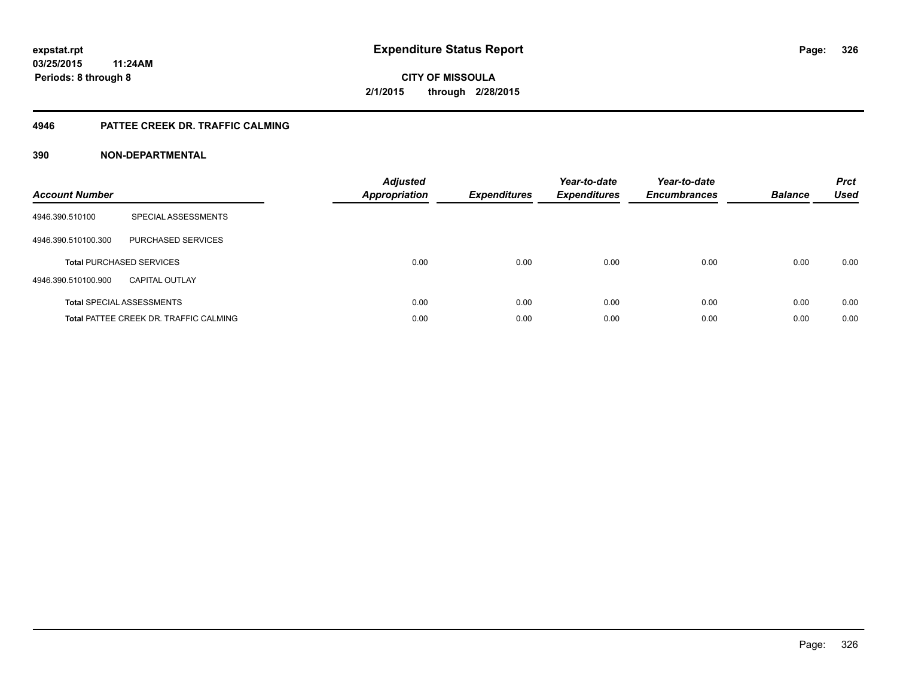#### **4946 PATTEE CREEK DR. TRAFFIC CALMING**

#### **390 NON-DEPARTMENTAL**

| <b>Account Number</b> |                                               | <b>Adjusted</b><br>Appropriation | <b>Expenditures</b> | Year-to-date<br><b>Expenditures</b> | Year-to-date<br><b>Encumbrances</b> | <b>Balance</b> | <b>Prct</b><br><b>Used</b> |
|-----------------------|-----------------------------------------------|----------------------------------|---------------------|-------------------------------------|-------------------------------------|----------------|----------------------------|
| 4946.390.510100       | SPECIAL ASSESSMENTS                           |                                  |                     |                                     |                                     |                |                            |
| 4946.390.510100.300   | PURCHASED SERVICES                            |                                  |                     |                                     |                                     |                |                            |
|                       | <b>Total PURCHASED SERVICES</b>               | 0.00                             | 0.00                | 0.00                                | 0.00                                | 0.00           | 0.00                       |
| 4946.390.510100.900   | CAPITAL OUTLAY                                |                                  |                     |                                     |                                     |                |                            |
|                       | <b>Total SPECIAL ASSESSMENTS</b>              | 0.00                             | 0.00                | 0.00                                | 0.00                                | 0.00           | 0.00                       |
|                       | <b>Total PATTEE CREEK DR. TRAFFIC CALMING</b> | 0.00                             | 0.00                | 0.00                                | 0.00                                | 0.00           | 0.00                       |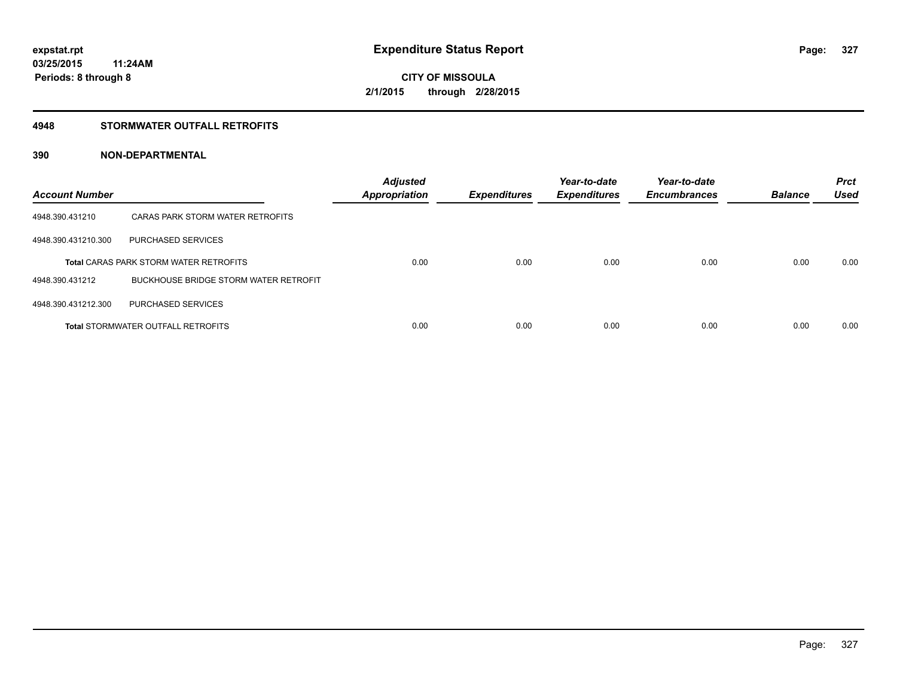#### **4948 STORMWATER OUTFALL RETROFITS**

#### **390 NON-DEPARTMENTAL**

| <b>Account Number</b> |                                               | <b>Adjusted</b><br><b>Appropriation</b> | <b>Expenditures</b> | Year-to-date<br><b>Expenditures</b> | Year-to-date<br><b>Encumbrances</b> | <b>Balance</b> | <b>Prct</b><br><b>Used</b> |
|-----------------------|-----------------------------------------------|-----------------------------------------|---------------------|-------------------------------------|-------------------------------------|----------------|----------------------------|
| 4948.390.431210       | CARAS PARK STORM WATER RETROFITS              |                                         |                     |                                     |                                     |                |                            |
| 4948.390.431210.300   | PURCHASED SERVICES                            |                                         |                     |                                     |                                     |                |                            |
|                       | <b>Total CARAS PARK STORM WATER RETROFITS</b> | 0.00                                    | 0.00                | 0.00                                | 0.00                                | 0.00           | 0.00                       |
| 4948.390.431212       | <b>BUCKHOUSE BRIDGE STORM WATER RETROFIT</b>  |                                         |                     |                                     |                                     |                |                            |
| 4948.390.431212.300   | PURCHASED SERVICES                            |                                         |                     |                                     |                                     |                |                            |
|                       | <b>Total STORMWATER OUTFALL RETROFITS</b>     | 0.00                                    | 0.00                | 0.00                                | 0.00                                | 0.00           | 0.00                       |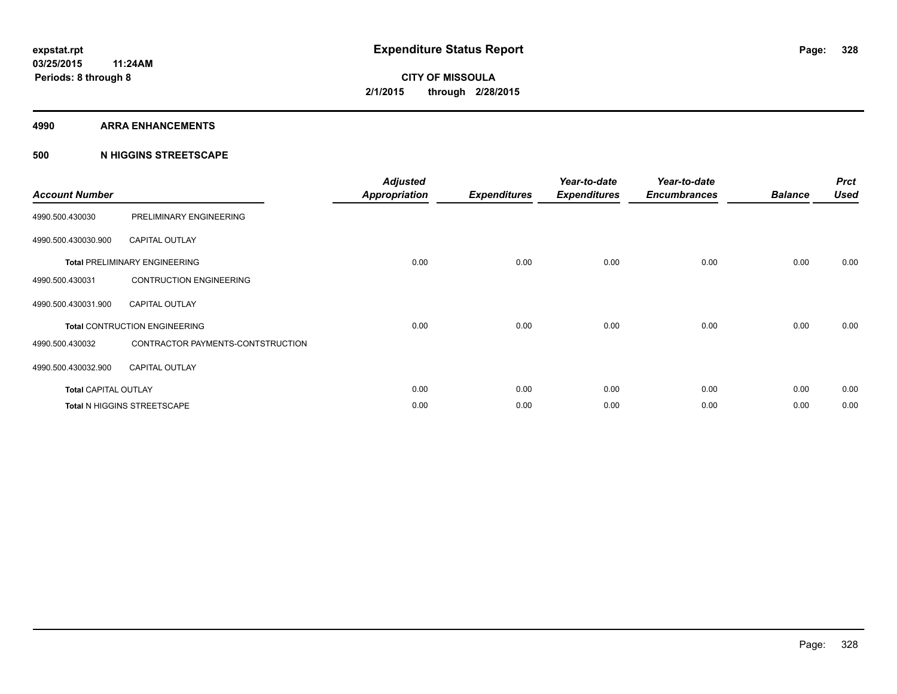#### **4990 ARRA ENHANCEMENTS**

#### **500 N HIGGINS STREETSCAPE**

| <b>Account Number</b>       |                                      | <b>Adjusted</b><br><b>Appropriation</b> | <b>Expenditures</b> | Year-to-date<br><b>Expenditures</b> | Year-to-date<br><b>Encumbrances</b> | <b>Balance</b> | <b>Prct</b><br><b>Used</b> |
|-----------------------------|--------------------------------------|-----------------------------------------|---------------------|-------------------------------------|-------------------------------------|----------------|----------------------------|
| 4990.500.430030             | PRELIMINARY ENGINEERING              |                                         |                     |                                     |                                     |                |                            |
| 4990.500.430030.900         | <b>CAPITAL OUTLAY</b>                |                                         |                     |                                     |                                     |                |                            |
|                             | <b>Total PRELIMINARY ENGINEERING</b> | 0.00                                    | 0.00                | 0.00                                | 0.00                                | 0.00           | 0.00                       |
| 4990.500.430031             | <b>CONTRUCTION ENGINEERING</b>       |                                         |                     |                                     |                                     |                |                            |
| 4990.500.430031.900         | <b>CAPITAL OUTLAY</b>                |                                         |                     |                                     |                                     |                |                            |
|                             | <b>Total CONTRUCTION ENGINEERING</b> | 0.00                                    | 0.00                | 0.00                                | 0.00                                | 0.00           | 0.00                       |
| 4990.500.430032             | CONTRACTOR PAYMENTS-CONTSTRUCTION    |                                         |                     |                                     |                                     |                |                            |
| 4990.500.430032.900         | <b>CAPITAL OUTLAY</b>                |                                         |                     |                                     |                                     |                |                            |
| <b>Total CAPITAL OUTLAY</b> |                                      | 0.00                                    | 0.00                | 0.00                                | 0.00                                | 0.00           | 0.00                       |
|                             | Total N HIGGINS STREETSCAPE          | 0.00                                    | 0.00                | 0.00                                | 0.00                                | 0.00           | 0.00                       |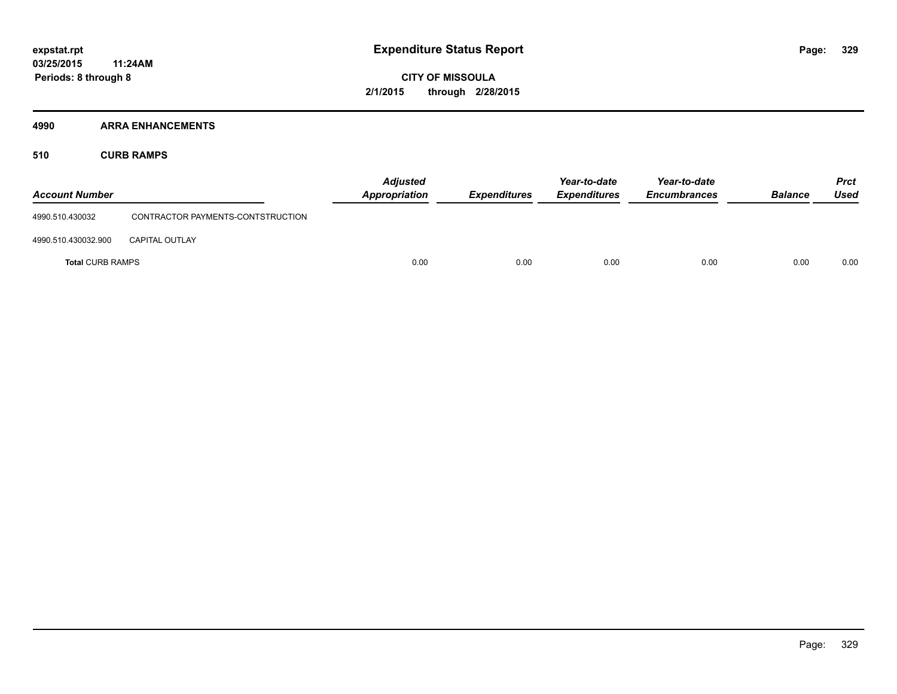#### **4990 ARRA ENHANCEMENTS**

**510 CURB RAMPS**

| <b>Account Number</b>   |                                   | <b>Adjusted</b><br>Appropriation | <b>Expenditures</b> | Year-to-date<br><b>Expenditures</b> | Year-to-date<br><b>Encumbrances</b> | <b>Balance</b> | <b>Prct</b><br>Used |
|-------------------------|-----------------------------------|----------------------------------|---------------------|-------------------------------------|-------------------------------------|----------------|---------------------|
| 4990.510.430032         | CONTRACTOR PAYMENTS-CONTSTRUCTION |                                  |                     |                                     |                                     |                |                     |
| 4990.510.430032.900     | <b>CAPITAL OUTLAY</b>             |                                  |                     |                                     |                                     |                |                     |
| <b>Total CURB RAMPS</b> |                                   | 0.00                             | 0.00                | 0.00                                | 0.00                                | 0.00           | 0.00                |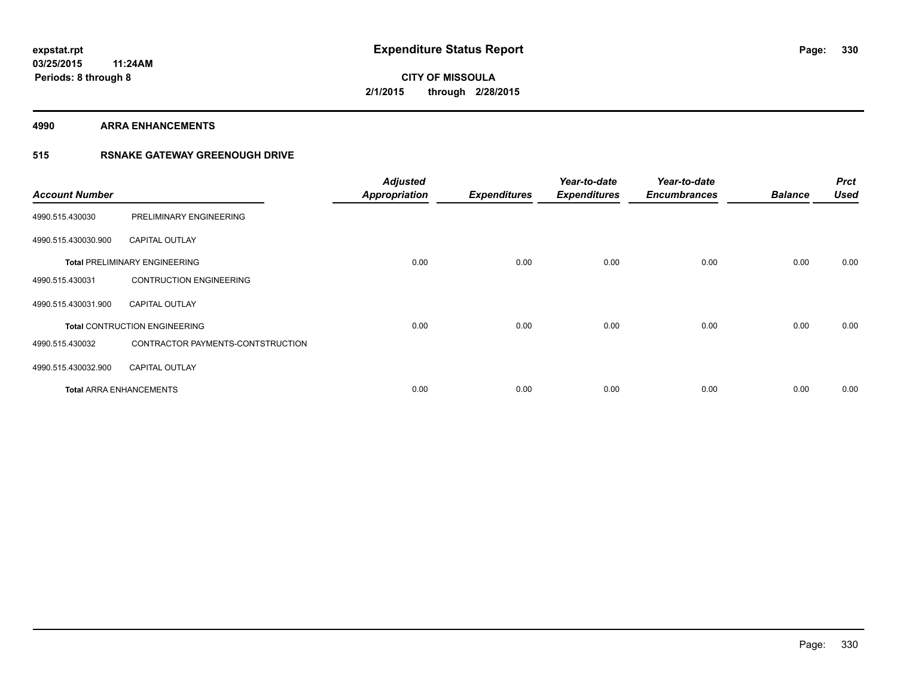**4990 ARRA ENHANCEMENTS**

### **515 RSNAKE GATEWAY GREENOUGH DRIVE**

| <b>Account Number</b> |                                      | <b>Adjusted</b><br><b>Appropriation</b> | <b>Expenditures</b> | Year-to-date<br><b>Expenditures</b> | Year-to-date<br><b>Encumbrances</b> | <b>Balance</b> | <b>Prct</b><br>Used |
|-----------------------|--------------------------------------|-----------------------------------------|---------------------|-------------------------------------|-------------------------------------|----------------|---------------------|
| 4990.515.430030       | PRELIMINARY ENGINEERING              |                                         |                     |                                     |                                     |                |                     |
| 4990.515.430030.900   | <b>CAPITAL OUTLAY</b>                |                                         |                     |                                     |                                     |                |                     |
|                       | <b>Total PRELIMINARY ENGINEERING</b> | 0.00                                    | 0.00                | 0.00                                | 0.00                                | 0.00           | 0.00                |
| 4990.515.430031       | <b>CONTRUCTION ENGINEERING</b>       |                                         |                     |                                     |                                     |                |                     |
| 4990.515.430031.900   | <b>CAPITAL OUTLAY</b>                |                                         |                     |                                     |                                     |                |                     |
|                       | <b>Total CONTRUCTION ENGINEERING</b> | 0.00                                    | 0.00                | 0.00                                | 0.00                                | 0.00           | 0.00                |
| 4990.515.430032       | CONTRACTOR PAYMENTS-CONTSTRUCTION    |                                         |                     |                                     |                                     |                |                     |
| 4990.515.430032.900   | <b>CAPITAL OUTLAY</b>                |                                         |                     |                                     |                                     |                |                     |
|                       | <b>Total ARRA ENHANCEMENTS</b>       | 0.00                                    | 0.00                | 0.00                                | 0.00                                | 0.00           | 0.00                |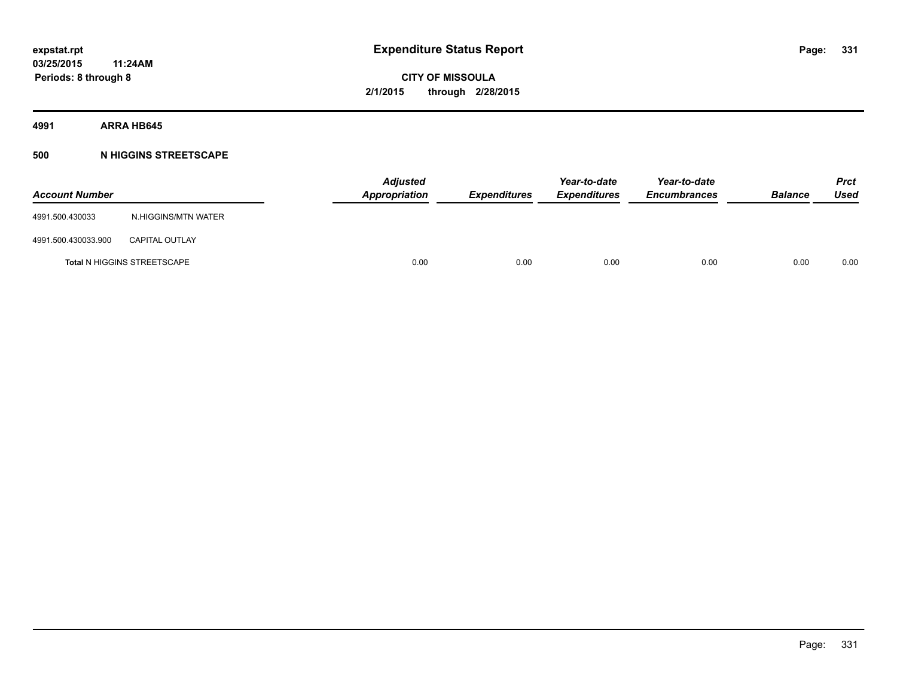**4991 ARRA HB645**

#### **500 N HIGGINS STREETSCAPE**

| <b>Account Number</b> |                                    | <b>Adjusted</b><br>Appropriation | <b>Expenditures</b> | Year-to-date<br><b>Expenditures</b> | Year-to-date<br><b>Encumbrances</b> | <b>Balance</b> | <b>Prct</b><br>Used |
|-----------------------|------------------------------------|----------------------------------|---------------------|-------------------------------------|-------------------------------------|----------------|---------------------|
| 4991.500.430033       | N.HIGGINS/MTN WATER                |                                  |                     |                                     |                                     |                |                     |
| 4991.500.430033.900   | <b>CAPITAL OUTLAY</b>              |                                  |                     |                                     |                                     |                |                     |
|                       | <b>Total N HIGGINS STREETSCAPE</b> | 0.00                             | 0.00                | 0.00                                | 0.00                                | 0.00           | 0.00                |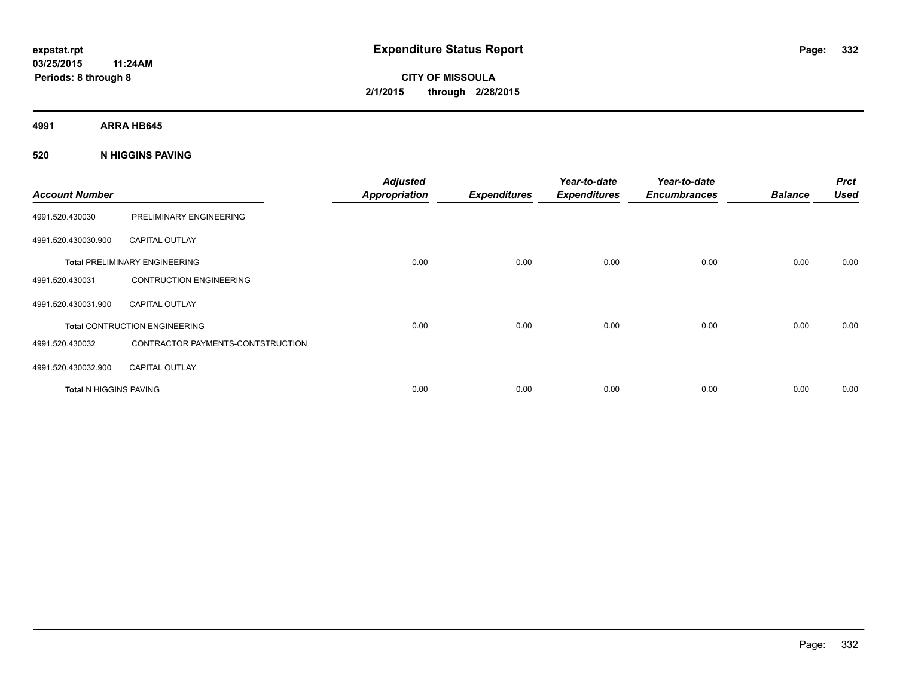**4991 ARRA HB645**

**520 N HIGGINS PAVING**

| <b>Account Number</b>         |                                      | <b>Adjusted</b><br><b>Appropriation</b> | <b>Expenditures</b> | Year-to-date<br><b>Expenditures</b> | Year-to-date<br><b>Encumbrances</b> | <b>Balance</b> | <b>Prct</b><br><b>Used</b> |
|-------------------------------|--------------------------------------|-----------------------------------------|---------------------|-------------------------------------|-------------------------------------|----------------|----------------------------|
| 4991.520.430030               | PRELIMINARY ENGINEERING              |                                         |                     |                                     |                                     |                |                            |
| 4991.520.430030.900           | <b>CAPITAL OUTLAY</b>                |                                         |                     |                                     |                                     |                |                            |
|                               | <b>Total PRELIMINARY ENGINEERING</b> | 0.00                                    | 0.00                | 0.00                                | 0.00                                | 0.00           | 0.00                       |
| 4991.520.430031               | <b>CONTRUCTION ENGINEERING</b>       |                                         |                     |                                     |                                     |                |                            |
| 4991.520.430031.900           | <b>CAPITAL OUTLAY</b>                |                                         |                     |                                     |                                     |                |                            |
|                               | <b>Total CONTRUCTION ENGINEERING</b> | 0.00                                    | 0.00                | 0.00                                | 0.00                                | 0.00           | 0.00                       |
| 4991.520.430032               | CONTRACTOR PAYMENTS-CONTSTRUCTION    |                                         |                     |                                     |                                     |                |                            |
| 4991.520.430032.900           | <b>CAPITAL OUTLAY</b>                |                                         |                     |                                     |                                     |                |                            |
| <b>Total N HIGGINS PAVING</b> |                                      | 0.00                                    | 0.00                | 0.00                                | 0.00                                | 0.00           | 0.00                       |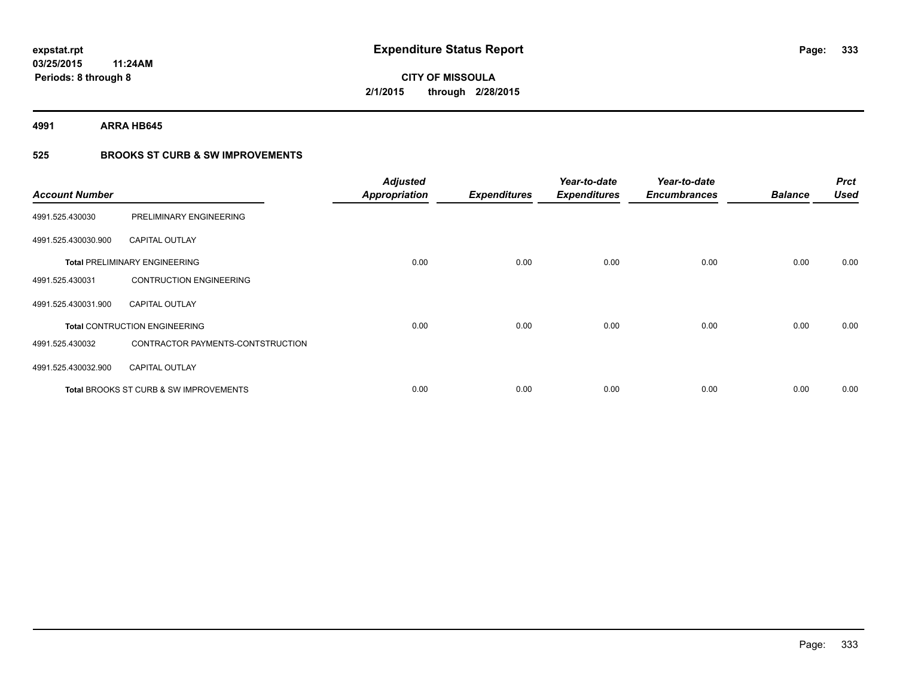**4991 ARRA HB645**

### **525 BROOKS ST CURB & SW IMPROVEMENTS**

| <b>Account Number</b> |                                                   | <b>Adjusted</b><br><b>Appropriation</b> | <b>Expenditures</b> | Year-to-date<br><b>Expenditures</b> | Year-to-date<br><b>Encumbrances</b> | <b>Balance</b> | <b>Prct</b><br><b>Used</b> |
|-----------------------|---------------------------------------------------|-----------------------------------------|---------------------|-------------------------------------|-------------------------------------|----------------|----------------------------|
| 4991.525.430030       | PRELIMINARY ENGINEERING                           |                                         |                     |                                     |                                     |                |                            |
| 4991.525.430030.900   | <b>CAPITAL OUTLAY</b>                             |                                         |                     |                                     |                                     |                |                            |
|                       | <b>Total PRELIMINARY ENGINEERING</b>              | 0.00                                    | 0.00                | 0.00                                | 0.00                                | 0.00           | 0.00                       |
| 4991.525.430031       | <b>CONTRUCTION ENGINEERING</b>                    |                                         |                     |                                     |                                     |                |                            |
| 4991.525.430031.900   | <b>CAPITAL OUTLAY</b>                             |                                         |                     |                                     |                                     |                |                            |
|                       | <b>Total CONTRUCTION ENGINEERING</b>              | 0.00                                    | 0.00                | 0.00                                | 0.00                                | 0.00           | 0.00                       |
| 4991.525.430032       | CONTRACTOR PAYMENTS-CONTSTRUCTION                 |                                         |                     |                                     |                                     |                |                            |
| 4991.525.430032.900   | <b>CAPITAL OUTLAY</b>                             |                                         |                     |                                     |                                     |                |                            |
|                       | <b>Total BROOKS ST CURB &amp; SW IMPROVEMENTS</b> | 0.00                                    | 0.00                | 0.00                                | 0.00                                | 0.00           | 0.00                       |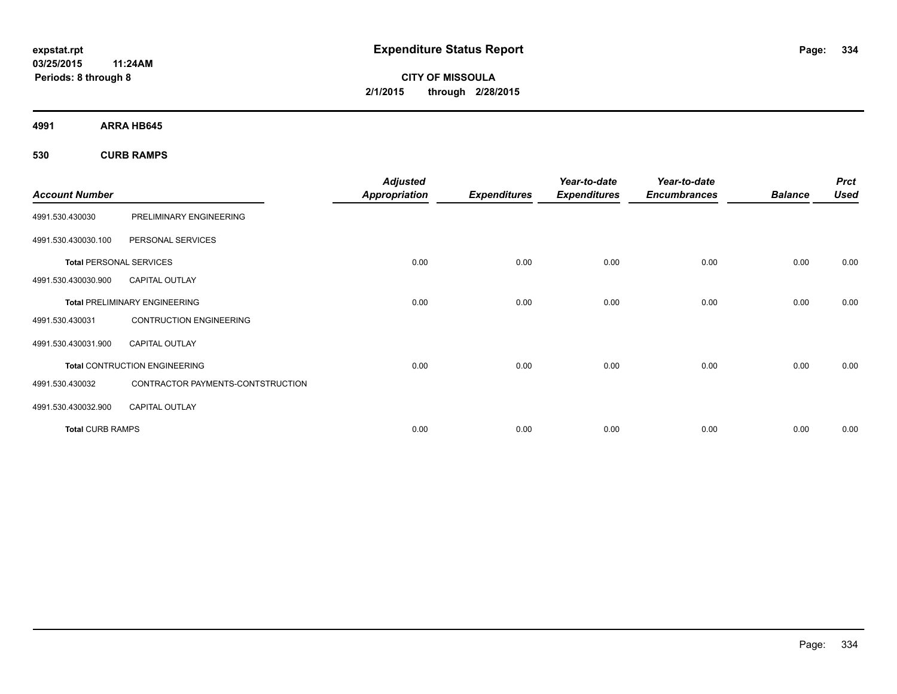**CITY OF MISSOULA 2/1/2015 through 2/28/2015**

**4991 ARRA HB645**

**530 CURB RAMPS**

| <b>Account Number</b>          |                                      | <b>Adjusted</b><br><b>Appropriation</b> | <b>Expenditures</b> | Year-to-date<br><b>Expenditures</b> | Year-to-date<br><b>Encumbrances</b> | <b>Balance</b> | <b>Prct</b><br><b>Used</b> |
|--------------------------------|--------------------------------------|-----------------------------------------|---------------------|-------------------------------------|-------------------------------------|----------------|----------------------------|
|                                |                                      |                                         |                     |                                     |                                     |                |                            |
| 4991.530.430030                | PRELIMINARY ENGINEERING              |                                         |                     |                                     |                                     |                |                            |
| 4991.530.430030.100            | PERSONAL SERVICES                    |                                         |                     |                                     |                                     |                |                            |
| <b>Total PERSONAL SERVICES</b> |                                      | 0.00                                    | 0.00                | 0.00                                | 0.00                                | 0.00           | 0.00                       |
| 4991.530.430030.900            | <b>CAPITAL OUTLAY</b>                |                                         |                     |                                     |                                     |                |                            |
|                                | <b>Total PRELIMINARY ENGINEERING</b> | 0.00                                    | 0.00                | 0.00                                | 0.00                                | 0.00           | 0.00                       |
| 4991.530.430031                | <b>CONTRUCTION ENGINEERING</b>       |                                         |                     |                                     |                                     |                |                            |
| 4991.530.430031.900            | <b>CAPITAL OUTLAY</b>                |                                         |                     |                                     |                                     |                |                            |
|                                | <b>Total CONTRUCTION ENGINEERING</b> | 0.00                                    | 0.00                | 0.00                                | 0.00                                | 0.00           | 0.00                       |
| 4991.530.430032                | CONTRACTOR PAYMENTS-CONTSTRUCTION    |                                         |                     |                                     |                                     |                |                            |
| 4991.530.430032.900            | <b>CAPITAL OUTLAY</b>                |                                         |                     |                                     |                                     |                |                            |
| <b>Total CURB RAMPS</b>        |                                      | 0.00                                    | 0.00                | 0.00                                | 0.00                                | 0.00           | 0.00                       |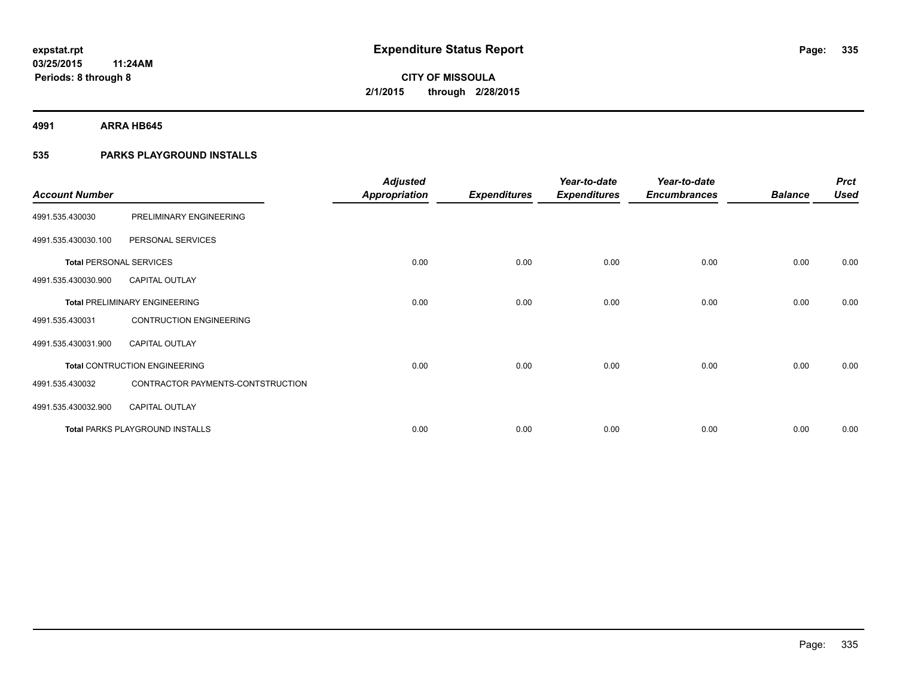**4991 ARRA HB645**

### **535 PARKS PLAYGROUND INSTALLS**

| <b>Account Number</b>          |                                        | <b>Adjusted</b><br><b>Appropriation</b> | <b>Expenditures</b> | Year-to-date<br><b>Expenditures</b> | Year-to-date<br><b>Encumbrances</b> | <b>Balance</b> | <b>Prct</b><br><b>Used</b> |
|--------------------------------|----------------------------------------|-----------------------------------------|---------------------|-------------------------------------|-------------------------------------|----------------|----------------------------|
| 4991.535.430030                | PRELIMINARY ENGINEERING                |                                         |                     |                                     |                                     |                |                            |
| 4991.535.430030.100            | PERSONAL SERVICES                      |                                         |                     |                                     |                                     |                |                            |
| <b>Total PERSONAL SERVICES</b> |                                        | 0.00                                    | 0.00                | 0.00                                | 0.00                                | 0.00           | 0.00                       |
| 4991.535.430030.900            | <b>CAPITAL OUTLAY</b>                  |                                         |                     |                                     |                                     |                |                            |
|                                | <b>Total PRELIMINARY ENGINEERING</b>   | 0.00                                    | 0.00                | 0.00                                | 0.00                                | 0.00           | 0.00                       |
| 4991.535.430031                | <b>CONTRUCTION ENGINEERING</b>         |                                         |                     |                                     |                                     |                |                            |
| 4991.535.430031.900            | <b>CAPITAL OUTLAY</b>                  |                                         |                     |                                     |                                     |                |                            |
|                                | <b>Total CONTRUCTION ENGINEERING</b>   | 0.00                                    | 0.00                | 0.00                                | 0.00                                | 0.00           | 0.00                       |
| 4991.535.430032                | CONTRACTOR PAYMENTS-CONTSTRUCTION      |                                         |                     |                                     |                                     |                |                            |
| 4991.535.430032.900            | <b>CAPITAL OUTLAY</b>                  |                                         |                     |                                     |                                     |                |                            |
|                                | <b>Total PARKS PLAYGROUND INSTALLS</b> | 0.00                                    | 0.00                | 0.00                                | 0.00                                | 0.00           | 0.00                       |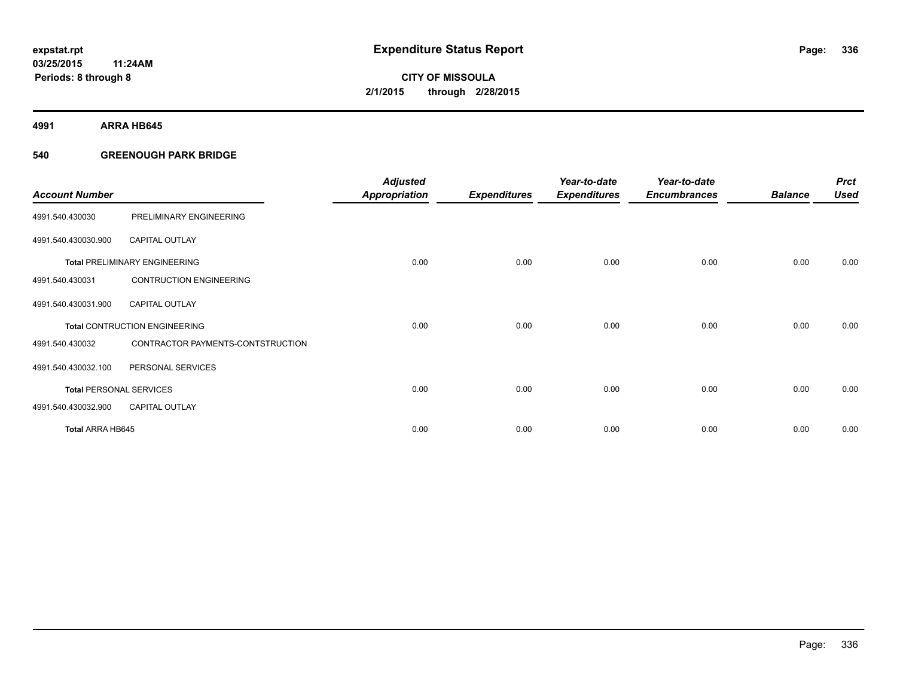**4991 ARRA HB645**

#### **540 GREENOUGH PARK BRIDGE**

| <b>Account Number</b>   |                                      | <b>Adjusted</b><br><b>Appropriation</b> | <b>Expenditures</b> | Year-to-date<br><b>Expenditures</b> | Year-to-date<br><b>Encumbrances</b> | <b>Balance</b> | <b>Prct</b><br><b>Used</b> |
|-------------------------|--------------------------------------|-----------------------------------------|---------------------|-------------------------------------|-------------------------------------|----------------|----------------------------|
| 4991.540.430030         | PRELIMINARY ENGINEERING              |                                         |                     |                                     |                                     |                |                            |
| 4991.540.430030.900     | <b>CAPITAL OUTLAY</b>                |                                         |                     |                                     |                                     |                |                            |
|                         | <b>Total PRELIMINARY ENGINEERING</b> | 0.00                                    | 0.00                | 0.00                                | 0.00                                | 0.00           | 0.00                       |
| 4991.540.430031         | <b>CONTRUCTION ENGINEERING</b>       |                                         |                     |                                     |                                     |                |                            |
| 4991.540.430031.900     | CAPITAL OUTLAY                       |                                         |                     |                                     |                                     |                |                            |
|                         | <b>Total CONTRUCTION ENGINEERING</b> | 0.00                                    | 0.00                | 0.00                                | 0.00                                | 0.00           | 0.00                       |
| 4991.540.430032         | CONTRACTOR PAYMENTS-CONTSTRUCTION    |                                         |                     |                                     |                                     |                |                            |
| 4991.540.430032.100     | PERSONAL SERVICES                    |                                         |                     |                                     |                                     |                |                            |
|                         | <b>Total PERSONAL SERVICES</b>       | 0.00                                    | 0.00                | 0.00                                | 0.00                                | 0.00           | 0.00                       |
| 4991.540.430032.900     | <b>CAPITAL OUTLAY</b>                |                                         |                     |                                     |                                     |                |                            |
| <b>Total ARRA HB645</b> |                                      | 0.00                                    | 0.00                | 0.00                                | 0.00                                | 0.00           | 0.00                       |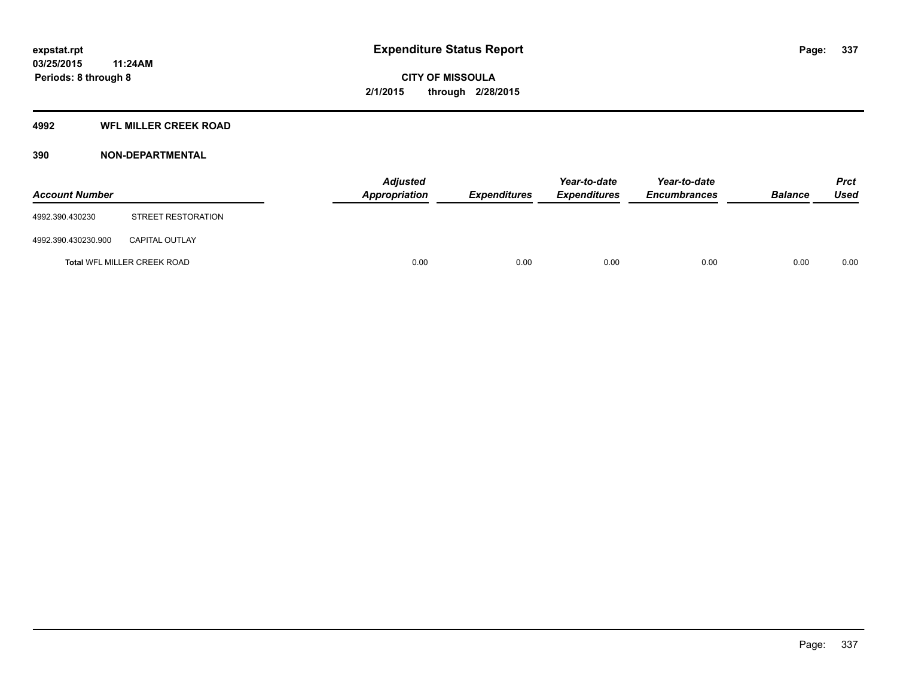#### **4992 WFL MILLER CREEK ROAD**

#### **390 NON-DEPARTMENTAL**

| <b>Account Number</b> |                                    | <b>Adjusted</b><br>Appropriation | <i><b>Expenditures</b></i> | Year-to-date<br><b>Expenditures</b> | Year-to-date<br><b>Encumbrances</b> | <b>Balance</b> | <b>Prct</b><br>Used |
|-----------------------|------------------------------------|----------------------------------|----------------------------|-------------------------------------|-------------------------------------|----------------|---------------------|
| 4992.390.430230       | STREET RESTORATION                 |                                  |                            |                                     |                                     |                |                     |
| 4992.390.430230.900   | <b>CAPITAL OUTLAY</b>              |                                  |                            |                                     |                                     |                |                     |
|                       | <b>Total WFL MILLER CREEK ROAD</b> | 0.00                             | 0.00                       | 0.00                                | 0.00                                | 0.00           | 0.00                |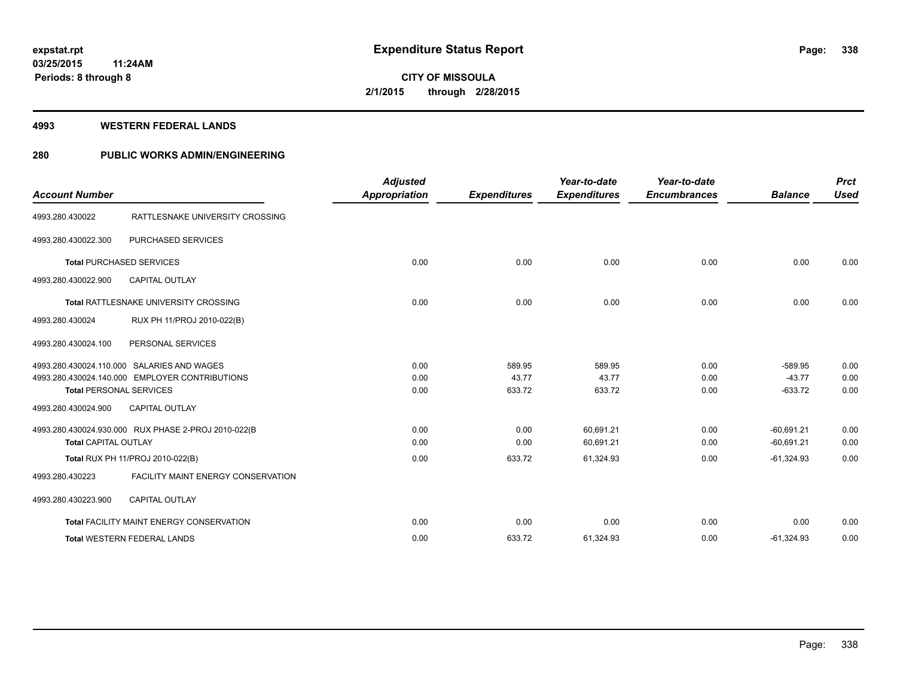#### **4993 WESTERN FEDERAL LANDS**

#### **280 PUBLIC WORKS ADMIN/ENGINEERING**

| <b>Account Number</b>       |                                                                                                                                | <b>Adjusted</b><br><b>Appropriation</b> | <b>Expenditures</b>       | Year-to-date<br><b>Expenditures</b> | Year-to-date<br><b>Encumbrances</b> | <b>Balance</b>                     | <b>Prct</b><br><b>Used</b> |
|-----------------------------|--------------------------------------------------------------------------------------------------------------------------------|-----------------------------------------|---------------------------|-------------------------------------|-------------------------------------|------------------------------------|----------------------------|
| 4993.280.430022             | RATTLESNAKE UNIVERSITY CROSSING                                                                                                |                                         |                           |                                     |                                     |                                    |                            |
| 4993.280.430022.300         | PURCHASED SERVICES                                                                                                             |                                         |                           |                                     |                                     |                                    |                            |
|                             | <b>Total PURCHASED SERVICES</b>                                                                                                | 0.00                                    | 0.00                      | 0.00                                | 0.00                                | 0.00                               | 0.00                       |
| 4993.280.430022.900         | <b>CAPITAL OUTLAY</b>                                                                                                          |                                         |                           |                                     |                                     |                                    |                            |
|                             | <b>Total RATTLESNAKE UNIVERSITY CROSSING</b>                                                                                   | 0.00                                    | 0.00                      | 0.00                                | 0.00                                | 0.00                               | 0.00                       |
| 4993.280.430024             | RUX PH 11/PROJ 2010-022(B)                                                                                                     |                                         |                           |                                     |                                     |                                    |                            |
| 4993.280.430024.100         | PERSONAL SERVICES                                                                                                              |                                         |                           |                                     |                                     |                                    |                            |
|                             | 4993.280.430024.110.000 SALARIES AND WAGES<br>4993.280.430024.140.000 EMPLOYER CONTRIBUTIONS<br><b>Total PERSONAL SERVICES</b> | 0.00<br>0.00<br>0.00                    | 589.95<br>43.77<br>633.72 | 589.95<br>43.77<br>633.72           | 0.00<br>0.00<br>0.00                | $-589.95$<br>$-43.77$<br>$-633.72$ | 0.00<br>0.00<br>0.00       |
| 4993.280.430024.900         | <b>CAPITAL OUTLAY</b>                                                                                                          |                                         |                           |                                     |                                     |                                    |                            |
| <b>Total CAPITAL OUTLAY</b> | 4993.280.430024.930.000 RUX PHASE 2-PROJ 2010-022(B                                                                            | 0.00<br>0.00                            | 0.00<br>0.00              | 60,691.21<br>60,691.21              | 0.00<br>0.00                        | $-60,691.21$<br>$-60,691.21$       | 0.00<br>0.00               |
|                             | Total RUX PH 11/PROJ 2010-022(B)                                                                                               | 0.00                                    | 633.72                    | 61,324.93                           | 0.00                                | $-61,324.93$                       | 0.00                       |
| 4993.280.430223             | FACILITY MAINT ENERGY CONSERVATION                                                                                             |                                         |                           |                                     |                                     |                                    |                            |
| 4993.280.430223.900         | <b>CAPITAL OUTLAY</b>                                                                                                          |                                         |                           |                                     |                                     |                                    |                            |
|                             | <b>Total FACILITY MAINT ENERGY CONSERVATION</b>                                                                                | 0.00                                    | 0.00                      | 0.00                                | 0.00                                | 0.00                               | 0.00                       |
|                             | <b>Total WESTERN FEDERAL LANDS</b>                                                                                             | 0.00                                    | 633.72                    | 61,324.93                           | 0.00                                | $-61,324.93$                       | 0.00                       |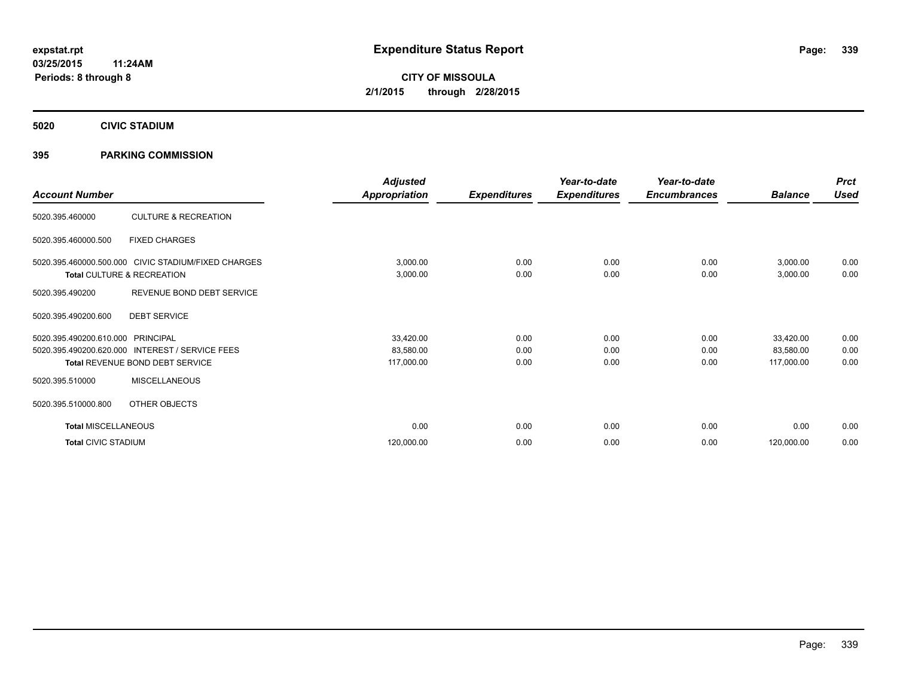**5020 CIVIC STADIUM**

#### **395 PARKING COMMISSION**

| <b>Account Number</b>      |                                                     | <b>Adjusted</b><br><b>Appropriation</b> | <b>Expenditures</b> | Year-to-date<br><b>Expenditures</b> | Year-to-date<br><b>Encumbrances</b> | <b>Balance</b> | <b>Prct</b><br><b>Used</b> |
|----------------------------|-----------------------------------------------------|-----------------------------------------|---------------------|-------------------------------------|-------------------------------------|----------------|----------------------------|
|                            |                                                     |                                         |                     |                                     |                                     |                |                            |
| 5020.395.460000            | <b>CULTURE &amp; RECREATION</b>                     |                                         |                     |                                     |                                     |                |                            |
| 5020.395.460000.500        | <b>FIXED CHARGES</b>                                |                                         |                     |                                     |                                     |                |                            |
|                            | 5020.395.460000.500.000 CIVIC STADIUM/FIXED CHARGES | 3,000.00                                | 0.00                | 0.00                                | 0.00                                | 3,000.00       | 0.00                       |
|                            | Total CULTURE & RECREATION                          | 3,000.00                                | 0.00                | 0.00                                | 0.00                                | 3,000.00       | 0.00                       |
| 5020.395.490200            | REVENUE BOND DEBT SERVICE                           |                                         |                     |                                     |                                     |                |                            |
| 5020.395.490200.600        | <b>DEBT SERVICE</b>                                 |                                         |                     |                                     |                                     |                |                            |
| 5020.395.490200.610.000    | PRINCIPAL                                           | 33,420.00                               | 0.00                | 0.00                                | 0.00                                | 33,420.00      | 0.00                       |
| 5020.395.490200.620.000    | <b>INTEREST / SERVICE FEES</b>                      | 83,580.00                               | 0.00                | 0.00                                | 0.00                                | 83,580.00      | 0.00                       |
|                            | Total REVENUE BOND DEBT SERVICE                     | 117,000.00                              | 0.00                | 0.00                                | 0.00                                | 117,000.00     | 0.00                       |
| 5020.395.510000            | <b>MISCELLANEOUS</b>                                |                                         |                     |                                     |                                     |                |                            |
| 5020.395.510000.800        | OTHER OBJECTS                                       |                                         |                     |                                     |                                     |                |                            |
| <b>Total MISCELLANEOUS</b> |                                                     | 0.00                                    | 0.00                | 0.00                                | 0.00                                | 0.00           | 0.00                       |
| <b>Total CIVIC STADIUM</b> |                                                     | 120,000.00                              | 0.00                | 0.00                                | 0.00                                | 120,000.00     | 0.00                       |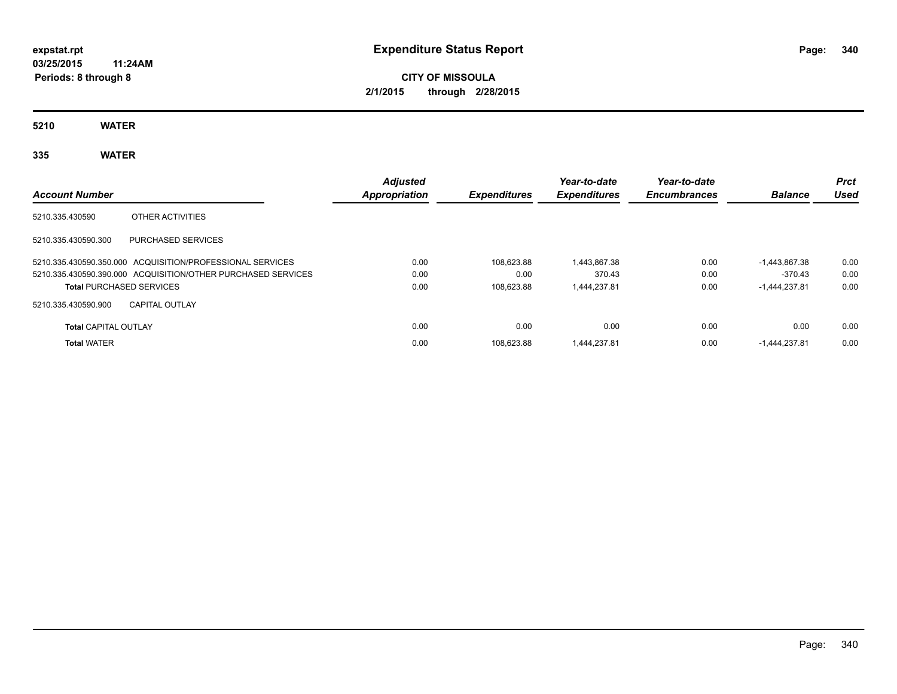### **CITY OF MISSOULA 2/1/2015 through 2/28/2015**

**5210 WATER**

**335 WATER**

| <b>Account Number</b>       |                                                              | <b>Adjusted</b><br>Appropriation | <b>Expenditures</b> | Year-to-date<br><b>Expenditures</b> | Year-to-date<br><b>Encumbrances</b> | <b>Balance</b>  | <b>Prct</b><br><b>Used</b> |
|-----------------------------|--------------------------------------------------------------|----------------------------------|---------------------|-------------------------------------|-------------------------------------|-----------------|----------------------------|
| 5210.335.430590             | OTHER ACTIVITIES                                             |                                  |                     |                                     |                                     |                 |                            |
| 5210.335.430590.300         | PURCHASED SERVICES                                           |                                  |                     |                                     |                                     |                 |                            |
|                             | 5210.335.430590.350.000 ACQUISITION/PROFESSIONAL SERVICES    | 0.00                             | 108.623.88          | 1.443.867.38                        | 0.00                                | $-1.443.867.38$ | 0.00                       |
|                             | 5210.335.430590.390.000 ACQUISITION/OTHER PURCHASED SERVICES | 0.00                             | 0.00                | 370.43                              | 0.00                                | $-370.43$       | 0.00                       |
|                             | <b>Total PURCHASED SERVICES</b>                              | 0.00                             | 108.623.88          | 1.444.237.81                        | 0.00                                | $-1.444.237.81$ | 0.00                       |
| 5210.335.430590.900         | <b>CAPITAL OUTLAY</b>                                        |                                  |                     |                                     |                                     |                 |                            |
| <b>Total CAPITAL OUTLAY</b> |                                                              | 0.00                             | 0.00                | 0.00                                | 0.00                                | 0.00            | 0.00                       |
| <b>Total WATER</b>          |                                                              | 0.00                             | 108.623.88          | 1.444.237.81                        | 0.00                                | -1,444,237.81   | 0.00                       |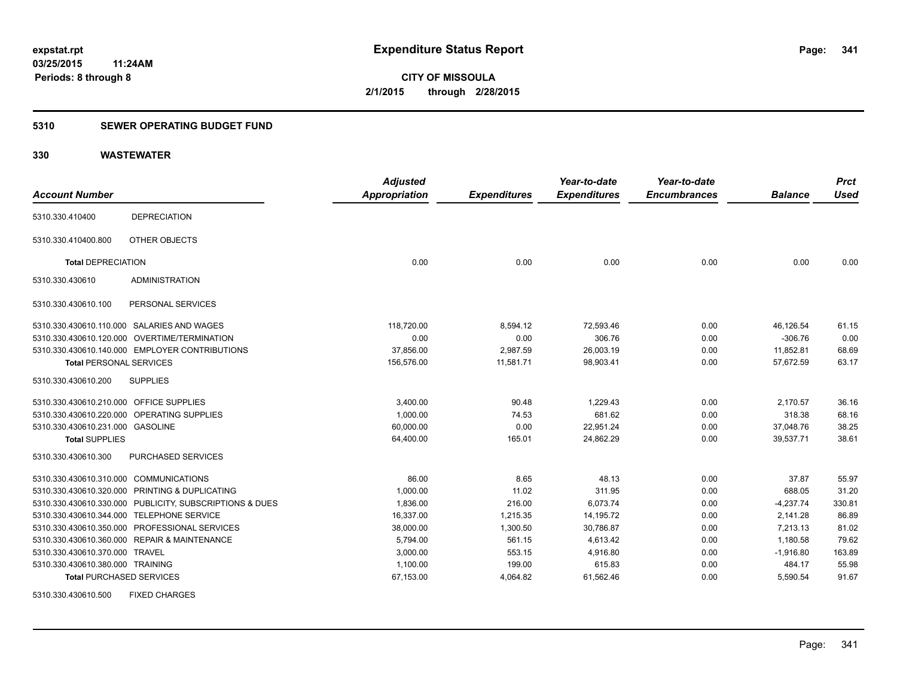#### **5310 SEWER OPERATING BUDGET FUND**

#### **330 WASTEWATER**

| <b>Account Number</b>                   |                                                         | <b>Adjusted</b>      |                     | Year-to-date        | Year-to-date<br><b>Encumbrances</b> | <b>Balance</b> | <b>Prct</b><br><b>Used</b> |
|-----------------------------------------|---------------------------------------------------------|----------------------|---------------------|---------------------|-------------------------------------|----------------|----------------------------|
|                                         |                                                         | <b>Appropriation</b> | <b>Expenditures</b> | <b>Expenditures</b> |                                     |                |                            |
| 5310.330.410400                         | <b>DEPRECIATION</b>                                     |                      |                     |                     |                                     |                |                            |
| 5310.330.410400.800                     | OTHER OBJECTS                                           |                      |                     |                     |                                     |                |                            |
| <b>Total DEPRECIATION</b>               |                                                         | 0.00                 | 0.00                | 0.00                | 0.00                                | 0.00           | 0.00                       |
| 5310.330.430610                         | <b>ADMINISTRATION</b>                                   |                      |                     |                     |                                     |                |                            |
| 5310.330.430610.100                     | PERSONAL SERVICES                                       |                      |                     |                     |                                     |                |                            |
|                                         | 5310.330.430610.110.000 SALARIES AND WAGES              | 118,720.00           | 8,594.12            | 72,593.46           | 0.00                                | 46,126.54      | 61.15                      |
|                                         | 5310.330.430610.120.000 OVERTIME/TERMINATION            | 0.00                 | 0.00                | 306.76              | 0.00                                | $-306.76$      | 0.00                       |
|                                         | 5310.330.430610.140.000 EMPLOYER CONTRIBUTIONS          | 37,856.00            | 2,987.59            | 26,003.19           | 0.00                                | 11,852.81      | 68.69                      |
| <b>Total PERSONAL SERVICES</b>          |                                                         | 156,576.00           | 11,581.71           | 98,903.41           | 0.00                                | 57,672.59      | 63.17                      |
| 5310.330.430610.200                     | <b>SUPPLIES</b>                                         |                      |                     |                     |                                     |                |                            |
| 5310.330.430610.210.000 OFFICE SUPPLIES |                                                         | 3,400.00             | 90.48               | 1,229.43            | 0.00                                | 2,170.57       | 36.16                      |
| 5310.330.430610.220.000                 | OPERATING SUPPLIES                                      | 1,000.00             | 74.53               | 681.62              | 0.00                                | 318.38         | 68.16                      |
| 5310.330.430610.231.000 GASOLINE        |                                                         | 60,000.00            | 0.00                | 22,951.24           | 0.00                                | 37,048.76      | 38.25                      |
| <b>Total SUPPLIES</b>                   |                                                         | 64,400.00            | 165.01              | 24,862.29           | 0.00                                | 39,537.71      | 38.61                      |
| 5310.330.430610.300                     | PURCHASED SERVICES                                      |                      |                     |                     |                                     |                |                            |
| 5310.330.430610.310.000                 | <b>COMMUNICATIONS</b>                                   | 86.00                | 8.65                | 48.13               | 0.00                                | 37.87          | 55.97                      |
|                                         | 5310.330.430610.320.000 PRINTING & DUPLICATING          | 1,000.00             | 11.02               | 311.95              | 0.00                                | 688.05         | 31.20                      |
|                                         | 5310.330.430610.330.000 PUBLICITY, SUBSCRIPTIONS & DUES | 1,836.00             | 216.00              | 6,073.74            | 0.00                                | $-4,237.74$    | 330.81                     |
|                                         | 5310.330.430610.344.000 TELEPHONE SERVICE               | 16,337.00            | 1,215.35            | 14,195.72           | 0.00                                | 2,141.28       | 86.89                      |
|                                         | 5310.330.430610.350.000 PROFESSIONAL SERVICES           | 38.000.00            | 1,300.50            | 30,786.87           | 0.00                                | 7.213.13       | 81.02                      |
|                                         | 5310.330.430610.360.000 REPAIR & MAINTENANCE            | 5,794.00             | 561.15              | 4,613.42            | 0.00                                | 1,180.58       | 79.62                      |
| 5310.330.430610.370.000 TRAVEL          |                                                         | 3,000.00             | 553.15              | 4,916.80            | 0.00                                | $-1,916.80$    | 163.89                     |
| 5310.330.430610.380.000 TRAINING        |                                                         | 1,100.00             | 199.00              | 615.83              | 0.00                                | 484.17         | 55.98                      |
| <b>Total PURCHASED SERVICES</b>         |                                                         | 67,153.00            | 4,064.82            | 61,562.46           | 0.00                                | 5,590.54       | 91.67                      |

5310.330.430610.500 FIXED CHARGES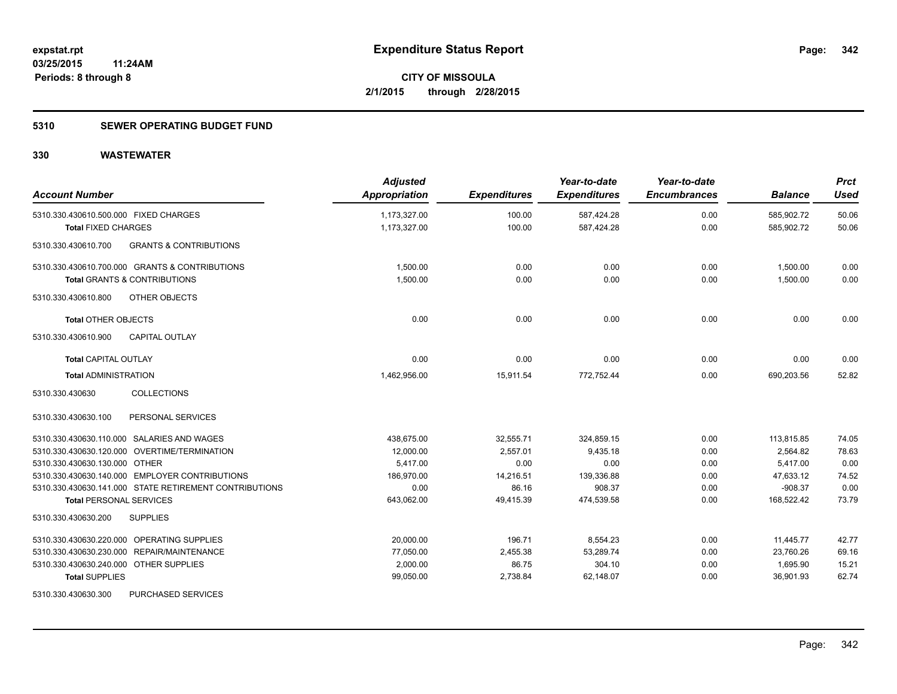#### **5310 SEWER OPERATING BUDGET FUND**

| <b>Account Number</b>                                    | <b>Adjusted</b><br>Appropriation | <b>Expenditures</b> | Year-to-date<br><b>Expenditures</b> | Year-to-date<br><b>Encumbrances</b> | <b>Balance</b> | <b>Prct</b><br><b>Used</b> |
|----------------------------------------------------------|----------------------------------|---------------------|-------------------------------------|-------------------------------------|----------------|----------------------------|
| 5310.330.430610.500.000 FIXED CHARGES                    | 1,173,327.00                     | 100.00              | 587,424.28                          | 0.00                                | 585,902.72     | 50.06                      |
| <b>Total FIXED CHARGES</b>                               | 1,173,327.00                     | 100.00              | 587,424.28                          | 0.00                                | 585,902.72     | 50.06                      |
| <b>GRANTS &amp; CONTRIBUTIONS</b><br>5310.330.430610.700 |                                  |                     |                                     |                                     |                |                            |
| 5310.330.430610.700.000 GRANTS & CONTRIBUTIONS           | 1,500.00                         | 0.00                | 0.00                                | 0.00                                | 1,500.00       | 0.00                       |
| <b>Total GRANTS &amp; CONTRIBUTIONS</b>                  | 1,500.00                         | 0.00                | 0.00                                | 0.00                                | 1,500.00       | 0.00                       |
| 5310.330.430610.800<br>OTHER OBJECTS                     |                                  |                     |                                     |                                     |                |                            |
| <b>Total OTHER OBJECTS</b>                               | 0.00                             | 0.00                | 0.00                                | 0.00                                | 0.00           | 0.00                       |
| 5310.330.430610.900<br><b>CAPITAL OUTLAY</b>             |                                  |                     |                                     |                                     |                |                            |
| <b>Total CAPITAL OUTLAY</b>                              | 0.00                             | 0.00                | 0.00                                | 0.00                                | 0.00           | 0.00                       |
| <b>Total ADMINISTRATION</b>                              | 1,462,956.00                     | 15,911.54           | 772.752.44                          | 0.00                                | 690,203.56     | 52.82                      |
| <b>COLLECTIONS</b><br>5310.330.430630                    |                                  |                     |                                     |                                     |                |                            |
| 5310.330.430630.100<br>PERSONAL SERVICES                 |                                  |                     |                                     |                                     |                |                            |
| 5310.330.430630.110.000 SALARIES AND WAGES               | 438,675.00                       | 32,555.71           | 324,859.15                          | 0.00                                | 113,815.85     | 74.05                      |
| 5310.330.430630.120.000 OVERTIME/TERMINATION             | 12,000.00                        | 2,557.01            | 9,435.18                            | 0.00                                | 2,564.82       | 78.63                      |
| 5310.330.430630.130.000 OTHER                            | 5,417.00                         | 0.00                | 0.00                                | 0.00                                | 5,417.00       | 0.00                       |
| 5310.330.430630.140.000 EMPLOYER CONTRIBUTIONS           | 186,970.00                       | 14,216.51           | 139,336.88                          | 0.00                                | 47,633.12      | 74.52                      |
| 5310.330.430630.141.000 STATE RETIREMENT CONTRIBUTIONS   | 0.00                             | 86.16               | 908.37                              | 0.00                                | $-908.37$      | 0.00                       |
| <b>Total PERSONAL SERVICES</b>                           | 643,062.00                       | 49,415.39           | 474,539.58                          | 0.00                                | 168,522.42     | 73.79                      |
| 5310.330.430630.200<br><b>SUPPLIES</b>                   |                                  |                     |                                     |                                     |                |                            |
| 5310.330.430630.220.000 OPERATING SUPPLIES               | 20.000.00                        | 196.71              | 8,554.23                            | 0.00                                | 11,445.77      | 42.77                      |
| 5310.330.430630.230.000 REPAIR/MAINTENANCE               | 77,050.00                        | 2,455.38            | 53,289.74                           | 0.00                                | 23,760.26      | 69.16                      |
| 5310.330.430630.240.000 OTHER SUPPLIES                   | 2,000.00                         | 86.75               | 304.10                              | 0.00                                | 1,695.90       | 15.21                      |
| <b>Total SUPPLIES</b>                                    | 99,050.00                        | 2,738.84            | 62,148.07                           | 0.00                                | 36,901.93      | 62.74                      |
| 5310.330.430630.300<br>PURCHASED SERVICES                |                                  |                     |                                     |                                     |                |                            |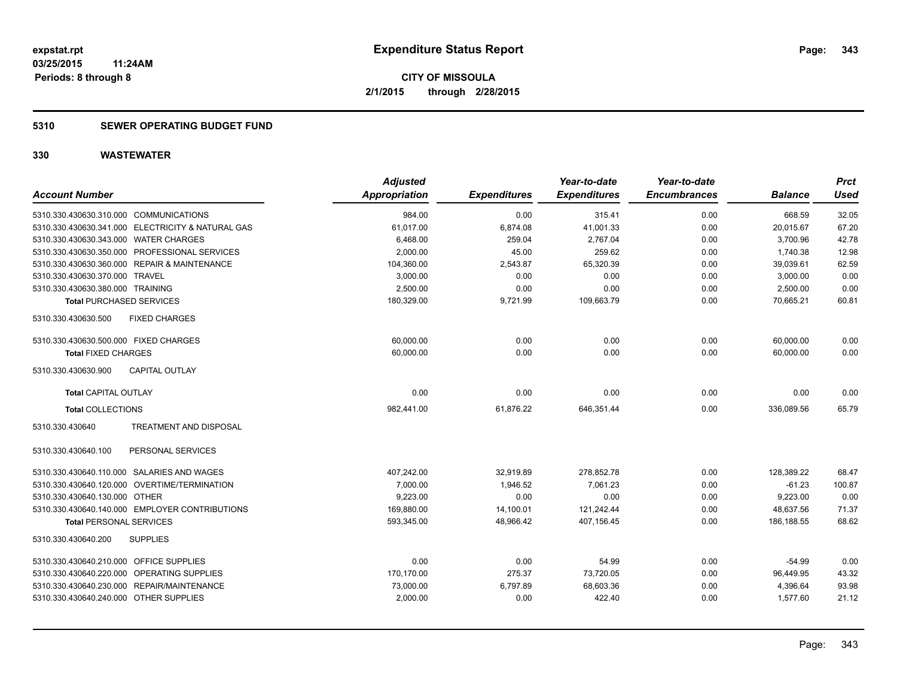#### **5310 SEWER OPERATING BUDGET FUND**

| <b>Account Number</b>                             | <b>Adjusted</b><br><b>Appropriation</b> | <b>Expenditures</b> | Year-to-date<br><b>Expenditures</b> | Year-to-date<br><b>Encumbrances</b> | <b>Balance</b> | <b>Prct</b><br><b>Used</b> |
|---------------------------------------------------|-----------------------------------------|---------------------|-------------------------------------|-------------------------------------|----------------|----------------------------|
| 5310.330.430630.310.000 COMMUNICATIONS            | 984.00                                  | 0.00                | 315.41                              | 0.00                                | 668.59         | 32.05                      |
| 5310.330.430630.341.000 ELECTRICITY & NATURAL GAS | 61,017.00                               | 6,874.08            | 41,001.33                           | 0.00                                | 20,015.67      | 67.20                      |
| 5310.330.430630.343.000 WATER CHARGES             | 6,468.00                                | 259.04              | 2,767.04                            | 0.00                                | 3,700.96       | 42.78                      |
| 5310.330.430630.350.000 PROFESSIONAL SERVICES     | 2,000.00                                | 45.00               | 259.62                              | 0.00                                | 1,740.38       | 12.98                      |
| 5310.330.430630.360.000 REPAIR & MAINTENANCE      | 104,360.00                              | 2,543.87            | 65.320.39                           | 0.00                                | 39,039.61      | 62.59                      |
| 5310.330.430630.370.000 TRAVEL                    | 3,000.00                                | 0.00                | 0.00                                | 0.00                                | 3,000.00       | 0.00                       |
| 5310.330.430630.380.000 TRAINING                  | 2,500.00                                | 0.00                | 0.00                                | 0.00                                | 2,500.00       | 0.00                       |
| <b>Total PURCHASED SERVICES</b>                   | 180,329.00                              | 9,721.99            | 109,663.79                          | 0.00                                | 70,665.21      | 60.81                      |
| <b>FIXED CHARGES</b><br>5310.330.430630.500       |                                         |                     |                                     |                                     |                |                            |
| 5310.330.430630.500.000 FIXED CHARGES             | 60,000.00                               | 0.00                | 0.00                                | 0.00                                | 60,000.00      | 0.00                       |
| <b>Total FIXED CHARGES</b>                        | 60,000.00                               | 0.00                | 0.00                                | 0.00                                | 60,000.00      | 0.00                       |
| 5310.330.430630.900<br><b>CAPITAL OUTLAY</b>      |                                         |                     |                                     |                                     |                |                            |
| <b>Total CAPITAL OUTLAY</b>                       | 0.00                                    | 0.00                | 0.00                                | 0.00                                | 0.00           | 0.00                       |
| <b>Total COLLECTIONS</b>                          | 982,441.00                              | 61,876.22           | 646,351.44                          | 0.00                                | 336,089.56     | 65.79                      |
| TREATMENT AND DISPOSAL<br>5310.330.430640         |                                         |                     |                                     |                                     |                |                            |
| PERSONAL SERVICES<br>5310.330.430640.100          |                                         |                     |                                     |                                     |                |                            |
| 5310.330.430640.110.000 SALARIES AND WAGES        | 407,242.00                              | 32,919.89           | 278,852.78                          | 0.00                                | 128,389.22     | 68.47                      |
| 5310.330.430640.120.000 OVERTIME/TERMINATION      | 7,000.00                                | 1,946.52            | 7.061.23                            | 0.00                                | $-61.23$       | 100.87                     |
| 5310.330.430640.130.000 OTHER                     | 9,223.00                                | 0.00                | 0.00                                | 0.00                                | 9,223.00       | 0.00                       |
| 5310.330.430640.140.000 EMPLOYER CONTRIBUTIONS    | 169,880.00                              | 14,100.01           | 121,242.44                          | 0.00                                | 48,637.56      | 71.37                      |
| <b>Total PERSONAL SERVICES</b>                    | 593,345.00                              | 48,966.42           | 407,156.45                          | 0.00                                | 186,188.55     | 68.62                      |
| 5310.330.430640.200<br><b>SUPPLIES</b>            |                                         |                     |                                     |                                     |                |                            |
| 5310.330.430640.210.000 OFFICE SUPPLIES           | 0.00                                    | 0.00                | 54.99                               | 0.00                                | $-54.99$       | 0.00                       |
| 5310.330.430640.220.000 OPERATING SUPPLIES        | 170,170.00                              | 275.37              | 73,720.05                           | 0.00                                | 96,449.95      | 43.32                      |
| 5310.330.430640.230.000 REPAIR/MAINTENANCE        | 73,000.00                               | 6,797.89            | 68,603.36                           | 0.00                                | 4,396.64       | 93.98                      |
| 5310.330.430640.240.000 OTHER SUPPLIES            | 2,000.00                                | 0.00                | 422.40                              | 0.00                                | 1,577.60       | 21.12                      |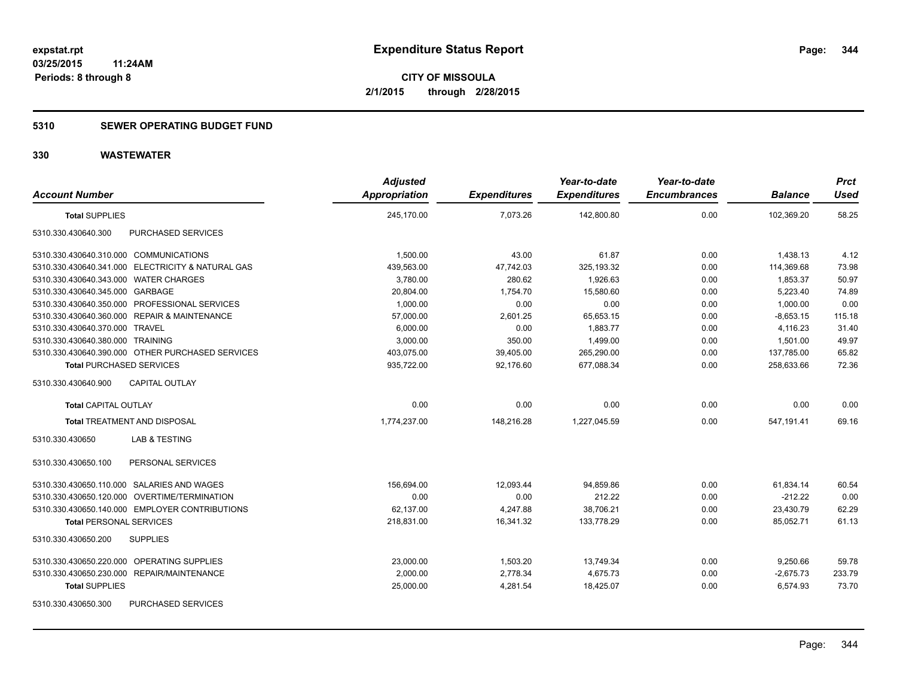#### **5310 SEWER OPERATING BUDGET FUND**

| <b>Account Number</b>                             | <b>Adjusted</b><br><b>Appropriation</b> | <b>Expenditures</b> | Year-to-date<br><b>Expenditures</b> | Year-to-date<br><b>Encumbrances</b> | <b>Balance</b> | <b>Prct</b><br><b>Used</b> |
|---------------------------------------------------|-----------------------------------------|---------------------|-------------------------------------|-------------------------------------|----------------|----------------------------|
| <b>Total SUPPLIES</b>                             | 245,170.00                              | 7,073.26            | 142,800.80                          | 0.00                                | 102,369.20     | 58.25                      |
| PURCHASED SERVICES<br>5310.330.430640.300         |                                         |                     |                                     |                                     |                |                            |
| 5310.330.430640.310.000 COMMUNICATIONS            | 1,500.00                                | 43.00               | 61.87                               | 0.00                                | 1,438.13       | 4.12                       |
| 5310.330.430640.341.000 ELECTRICITY & NATURAL GAS | 439,563.00                              | 47,742.03           | 325, 193.32                         | 0.00                                | 114,369.68     | 73.98                      |
| 5310.330.430640.343.000 WATER CHARGES             | 3,780.00                                | 280.62              | 1,926.63                            | 0.00                                | 1,853.37       | 50.97                      |
| 5310.330.430640.345.000 GARBAGE                   | 20,804.00                               | 1,754.70            | 15,580.60                           | 0.00                                | 5,223.40       | 74.89                      |
| 5310.330.430640.350.000 PROFESSIONAL SERVICES     | 1,000.00                                | 0.00                | 0.00                                | 0.00                                | 1,000.00       | 0.00                       |
| 5310.330.430640.360.000 REPAIR & MAINTENANCE      | 57,000.00                               | 2,601.25            | 65,653.15                           | 0.00                                | $-8,653.15$    | 115.18                     |
| 5310.330.430640.370.000 TRAVEL                    | 6,000.00                                | 0.00                | 1,883.77                            | 0.00                                | 4,116.23       | 31.40                      |
| 5310.330.430640.380.000 TRAINING                  | 3,000.00                                | 350.00              | 1,499.00                            | 0.00                                | 1,501.00       | 49.97                      |
| 5310.330.430640.390.000 OTHER PURCHASED SERVICES  | 403,075.00                              | 39,405.00           | 265,290.00                          | 0.00                                | 137,785.00     | 65.82                      |
| <b>Total PURCHASED SERVICES</b>                   | 935,722.00                              | 92,176.60           | 677,088.34                          | 0.00                                | 258,633.66     | 72.36                      |
| CAPITAL OUTLAY<br>5310.330.430640.900             |                                         |                     |                                     |                                     |                |                            |
| <b>Total CAPITAL OUTLAY</b>                       | 0.00                                    | 0.00                | 0.00                                | 0.00                                | 0.00           | 0.00                       |
| <b>Total TREATMENT AND DISPOSAL</b>               | 1,774,237.00                            | 148,216.28          | 1.227.045.59                        | 0.00                                | 547,191.41     | 69.16                      |
| 5310.330.430650<br>LAB & TESTING                  |                                         |                     |                                     |                                     |                |                            |
| 5310.330.430650.100<br>PERSONAL SERVICES          |                                         |                     |                                     |                                     |                |                            |
| 5310.330.430650.110.000 SALARIES AND WAGES        | 156,694.00                              | 12,093.44           | 94,859.86                           | 0.00                                | 61,834.14      | 60.54                      |
| 5310.330.430650.120.000 OVERTIME/TERMINATION      | 0.00                                    | 0.00                | 212.22                              | 0.00                                | $-212.22$      | 0.00                       |
| 5310.330.430650.140.000 EMPLOYER CONTRIBUTIONS    | 62,137.00                               | 4,247.88            | 38,706.21                           | 0.00                                | 23,430.79      | 62.29                      |
| <b>Total PERSONAL SERVICES</b>                    | 218,831.00                              | 16,341.32           | 133.778.29                          | 0.00                                | 85.052.71      | 61.13                      |
| 5310.330.430650.200<br><b>SUPPLIES</b>            |                                         |                     |                                     |                                     |                |                            |
| 5310.330.430650.220.000 OPERATING SUPPLIES        | 23,000.00                               | 1,503.20            | 13,749.34                           | 0.00                                | 9,250.66       | 59.78                      |
| 5310.330.430650.230.000 REPAIR/MAINTENANCE        | 2,000.00                                | 2,778.34            | 4,675.73                            | 0.00                                | $-2,675.73$    | 233.79                     |
| <b>Total SUPPLIES</b>                             | 25,000.00                               | 4,281.54            | 18,425.07                           | 0.00                                | 6,574.93       | 73.70                      |
| <b>PURCHASED SERVICES</b><br>5310.330.430650.300  |                                         |                     |                                     |                                     |                |                            |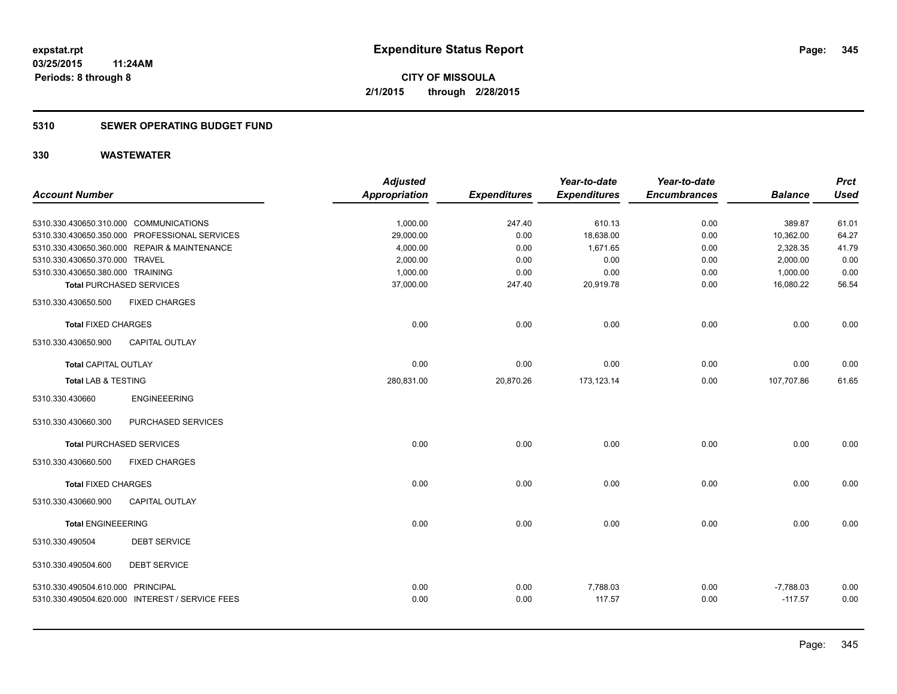#### **5310 SEWER OPERATING BUDGET FUND**

|                                        |                                                 | <b>Adjusted</b>      |                     | Year-to-date        | Year-to-date        |                | <b>Prct</b> |
|----------------------------------------|-------------------------------------------------|----------------------|---------------------|---------------------|---------------------|----------------|-------------|
| <b>Account Number</b>                  |                                                 | <b>Appropriation</b> | <b>Expenditures</b> | <b>Expenditures</b> | <b>Encumbrances</b> | <b>Balance</b> | <b>Used</b> |
|                                        |                                                 |                      |                     |                     |                     |                |             |
| 5310.330.430650.310.000 COMMUNICATIONS |                                                 | 1,000.00             | 247.40              | 610.13              | 0.00                | 389.87         | 61.01       |
|                                        | 5310.330.430650.350.000 PROFESSIONAL SERVICES   | 29,000.00            | 0.00                | 18,638.00           | 0.00                | 10,362.00      | 64.27       |
|                                        | 5310.330.430650.360.000 REPAIR & MAINTENANCE    | 4,000.00             | 0.00                | 1,671.65            | 0.00                | 2,328.35       | 41.79       |
| 5310.330.430650.370.000 TRAVEL         |                                                 | 2,000.00             | 0.00                | 0.00                | 0.00                | 2,000.00       | 0.00        |
| 5310.330.430650.380.000 TRAINING       |                                                 | 1,000.00             | 0.00                | 0.00                | 0.00                | 1,000.00       | 0.00        |
|                                        | <b>Total PURCHASED SERVICES</b>                 | 37,000.00            | 247.40              | 20,919.78           | 0.00                | 16,080.22      | 56.54       |
| 5310.330.430650.500                    | <b>FIXED CHARGES</b>                            |                      |                     |                     |                     |                |             |
| <b>Total FIXED CHARGES</b>             |                                                 | 0.00                 | 0.00                | 0.00                | 0.00                | 0.00           | 0.00        |
| 5310.330.430650.900                    | <b>CAPITAL OUTLAY</b>                           |                      |                     |                     |                     |                |             |
| <b>Total CAPITAL OUTLAY</b>            |                                                 | 0.00                 | 0.00                | 0.00                | 0.00                | 0.00           | 0.00        |
| <b>Total LAB &amp; TESTING</b>         |                                                 | 280,831.00           | 20,870.26           | 173,123.14          | 0.00                | 107,707.86     | 61.65       |
| 5310.330.430660                        | <b>ENGINEEERING</b>                             |                      |                     |                     |                     |                |             |
| 5310.330.430660.300                    | PURCHASED SERVICES                              |                      |                     |                     |                     |                |             |
|                                        | <b>Total PURCHASED SERVICES</b>                 | 0.00                 | 0.00                | 0.00                | 0.00                | 0.00           | 0.00        |
| 5310.330.430660.500                    | <b>FIXED CHARGES</b>                            |                      |                     |                     |                     |                |             |
| <b>Total FIXED CHARGES</b>             |                                                 | 0.00                 | 0.00                | 0.00                | 0.00                | 0.00           | 0.00        |
| 5310.330.430660.900                    | <b>CAPITAL OUTLAY</b>                           |                      |                     |                     |                     |                |             |
| <b>Total ENGINEEERING</b>              |                                                 | 0.00                 | 0.00                | 0.00                | 0.00                | 0.00           | 0.00        |
| 5310.330.490504                        | <b>DEBT SERVICE</b>                             |                      |                     |                     |                     |                |             |
| 5310.330.490504.600                    | <b>DEBT SERVICE</b>                             |                      |                     |                     |                     |                |             |
| 5310.330.490504.610.000 PRINCIPAL      |                                                 | 0.00                 | 0.00                | 7,788.03            | 0.00                | $-7,788.03$    | 0.00        |
|                                        | 5310.330.490504.620.000 INTEREST / SERVICE FEES | 0.00                 | 0.00                | 117.57              | 0.00                | $-117.57$      | 0.00        |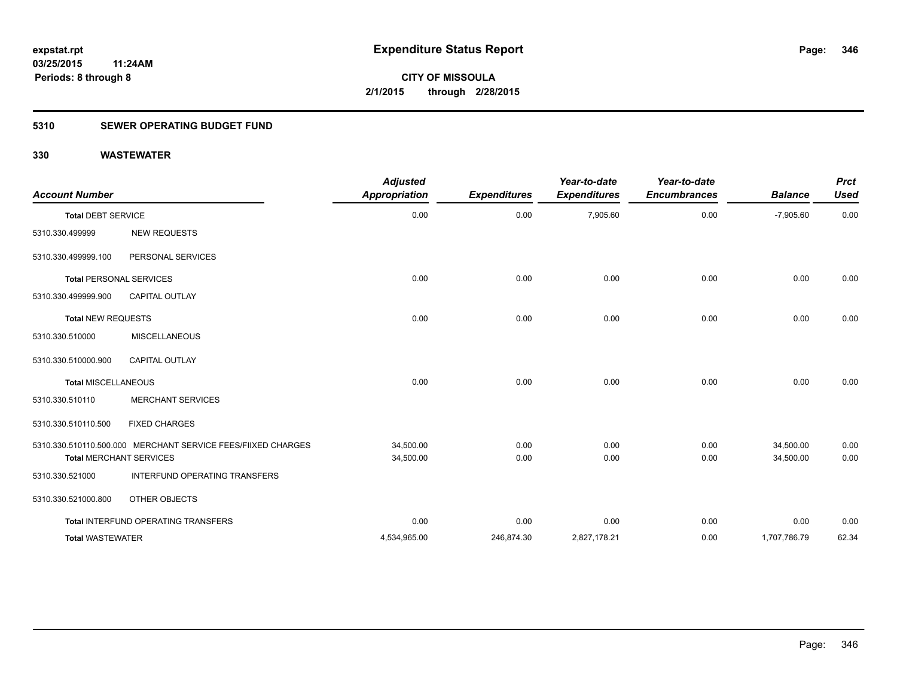### **5310 SEWER OPERATING BUDGET FUND**

| <b>Account Number</b>      |                                                                                                | <b>Adjusted</b><br><b>Appropriation</b> | <b>Expenditures</b> | Year-to-date<br><b>Expenditures</b> | Year-to-date<br><b>Encumbrances</b> | <b>Balance</b>         | <b>Prct</b><br><b>Used</b> |
|----------------------------|------------------------------------------------------------------------------------------------|-----------------------------------------|---------------------|-------------------------------------|-------------------------------------|------------------------|----------------------------|
| <b>Total DEBT SERVICE</b>  |                                                                                                | 0.00                                    | 0.00                | 7,905.60                            | 0.00                                | $-7,905.60$            | 0.00                       |
| 5310.330.499999            | <b>NEW REQUESTS</b>                                                                            |                                         |                     |                                     |                                     |                        |                            |
| 5310.330.499999.100        | PERSONAL SERVICES                                                                              |                                         |                     |                                     |                                     |                        |                            |
|                            | <b>Total PERSONAL SERVICES</b>                                                                 | 0.00                                    | 0.00                | 0.00                                | 0.00                                | 0.00                   | 0.00                       |
| 5310.330.499999.900        | <b>CAPITAL OUTLAY</b>                                                                          |                                         |                     |                                     |                                     |                        |                            |
| <b>Total NEW REQUESTS</b>  |                                                                                                | 0.00                                    | 0.00                | 0.00                                | 0.00                                | 0.00                   | 0.00                       |
| 5310.330.510000            | <b>MISCELLANEOUS</b>                                                                           |                                         |                     |                                     |                                     |                        |                            |
| 5310.330.510000.900        | CAPITAL OUTLAY                                                                                 |                                         |                     |                                     |                                     |                        |                            |
| <b>Total MISCELLANEOUS</b> |                                                                                                | 0.00                                    | 0.00                | 0.00                                | 0.00                                | 0.00                   | 0.00                       |
| 5310.330.510110            | <b>MERCHANT SERVICES</b>                                                                       |                                         |                     |                                     |                                     |                        |                            |
| 5310.330.510110.500        | <b>FIXED CHARGES</b>                                                                           |                                         |                     |                                     |                                     |                        |                            |
|                            | 5310.330.510110.500.000 MERCHANT SERVICE FEES/FIIXED CHARGES<br><b>Total MERCHANT SERVICES</b> | 34,500.00<br>34,500.00                  | 0.00<br>0.00        | 0.00<br>0.00                        | 0.00<br>0.00                        | 34,500.00<br>34,500.00 | 0.00<br>0.00               |
| 5310.330.521000            | INTERFUND OPERATING TRANSFERS                                                                  |                                         |                     |                                     |                                     |                        |                            |
| 5310.330.521000.800        | OTHER OBJECTS                                                                                  |                                         |                     |                                     |                                     |                        |                            |
|                            | Total INTERFUND OPERATING TRANSFERS                                                            | 0.00                                    | 0.00                | 0.00                                | 0.00                                | 0.00                   | 0.00                       |
| <b>Total WASTEWATER</b>    |                                                                                                | 4,534,965.00                            | 246,874.30          | 2,827,178.21                        | 0.00                                | 1,707,786.79           | 62.34                      |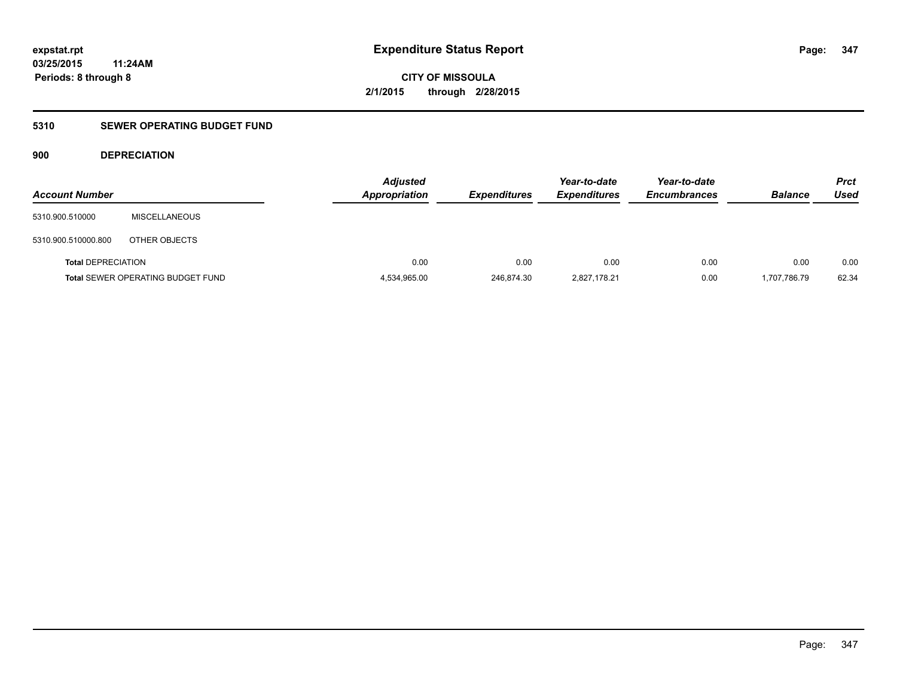**CITY OF MISSOULA 2/1/2015 through 2/28/2015**

### **5310 SEWER OPERATING BUDGET FUND**

#### **900 DEPRECIATION**

| <b>Account Number</b>     |                                          | <b>Adjusted</b><br><b>Appropriation</b> | <b>Expenditures</b> | Year-to-date<br><b>Expenditures</b> | Year-to-date<br><b>Encumbrances</b> | <b>Balance</b> | <b>Prct</b><br><b>Used</b> |
|---------------------------|------------------------------------------|-----------------------------------------|---------------------|-------------------------------------|-------------------------------------|----------------|----------------------------|
| 5310.900.510000           | <b>MISCELLANEOUS</b>                     |                                         |                     |                                     |                                     |                |                            |
| 5310.900.510000.800       | OTHER OBJECTS                            |                                         |                     |                                     |                                     |                |                            |
| <b>Total DEPRECIATION</b> |                                          | 0.00                                    | 0.00                | 0.00                                | 0.00                                | 0.00           | 0.00                       |
|                           | <b>Total SEWER OPERATING BUDGET FUND</b> | 4,534,965.00                            | 246,874.30          | 2,827,178.21                        | 0.00                                | 1,707,786.79   | 62.34                      |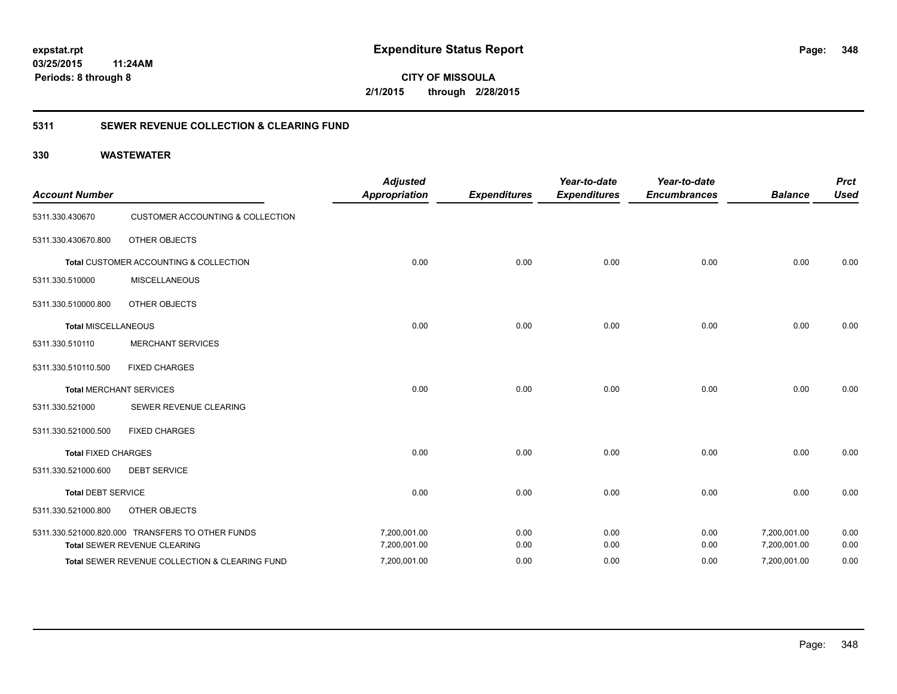**348**

**CITY OF MISSOULA 2/1/2015 through 2/28/2015**

#### **5311 SEWER REVENUE COLLECTION & CLEARING FUND**

| <b>Account Number</b>      |                                                  | <b>Adjusted</b><br><b>Appropriation</b> | <b>Expenditures</b> | Year-to-date<br><b>Expenditures</b> | Year-to-date<br><b>Encumbrances</b> | <b>Balance</b> | <b>Prct</b><br><b>Used</b> |
|----------------------------|--------------------------------------------------|-----------------------------------------|---------------------|-------------------------------------|-------------------------------------|----------------|----------------------------|
| 5311.330.430670            | <b>CUSTOMER ACCOUNTING &amp; COLLECTION</b>      |                                         |                     |                                     |                                     |                |                            |
| 5311.330.430670.800        | <b>OTHER OBJECTS</b>                             |                                         |                     |                                     |                                     |                |                            |
|                            | Total CUSTOMER ACCOUNTING & COLLECTION           | 0.00                                    | 0.00                | 0.00                                | 0.00                                | 0.00           | 0.00                       |
| 5311.330.510000            | <b>MISCELLANEOUS</b>                             |                                         |                     |                                     |                                     |                |                            |
| 5311.330.510000.800        | <b>OTHER OBJECTS</b>                             |                                         |                     |                                     |                                     |                |                            |
| <b>Total MISCELLANEOUS</b> |                                                  | 0.00                                    | 0.00                | 0.00                                | 0.00                                | 0.00           | 0.00                       |
| 5311.330.510110            | <b>MERCHANT SERVICES</b>                         |                                         |                     |                                     |                                     |                |                            |
| 5311.330.510110.500        | <b>FIXED CHARGES</b>                             |                                         |                     |                                     |                                     |                |                            |
|                            | <b>Total MERCHANT SERVICES</b>                   | 0.00                                    | 0.00                | 0.00                                | 0.00                                | 0.00           | 0.00                       |
| 5311.330.521000            | SEWER REVENUE CLEARING                           |                                         |                     |                                     |                                     |                |                            |
| 5311.330.521000.500        | <b>FIXED CHARGES</b>                             |                                         |                     |                                     |                                     |                |                            |
| <b>Total FIXED CHARGES</b> |                                                  | 0.00                                    | 0.00                | 0.00                                | 0.00                                | 0.00           | 0.00                       |
| 5311.330.521000.600        | <b>DEBT SERVICE</b>                              |                                         |                     |                                     |                                     |                |                            |
| <b>Total DEBT SERVICE</b>  |                                                  | 0.00                                    | 0.00                | 0.00                                | 0.00                                | 0.00           | 0.00                       |
| 5311.330.521000.800        | <b>OTHER OBJECTS</b>                             |                                         |                     |                                     |                                     |                |                            |
|                            | 5311.330.521000.820.000 TRANSFERS TO OTHER FUNDS | 7,200,001.00                            | 0.00                | 0.00                                | 0.00                                | 7,200,001.00   | 0.00                       |
|                            | Total SEWER REVENUE CLEARING                     | 7,200,001.00                            | 0.00                | 0.00                                | 0.00                                | 7,200,001.00   | 0.00                       |
|                            | Total SEWER REVENUE COLLECTION & CLEARING FUND   | 7,200,001.00                            | 0.00                | 0.00                                | 0.00                                | 7,200,001.00   | 0.00                       |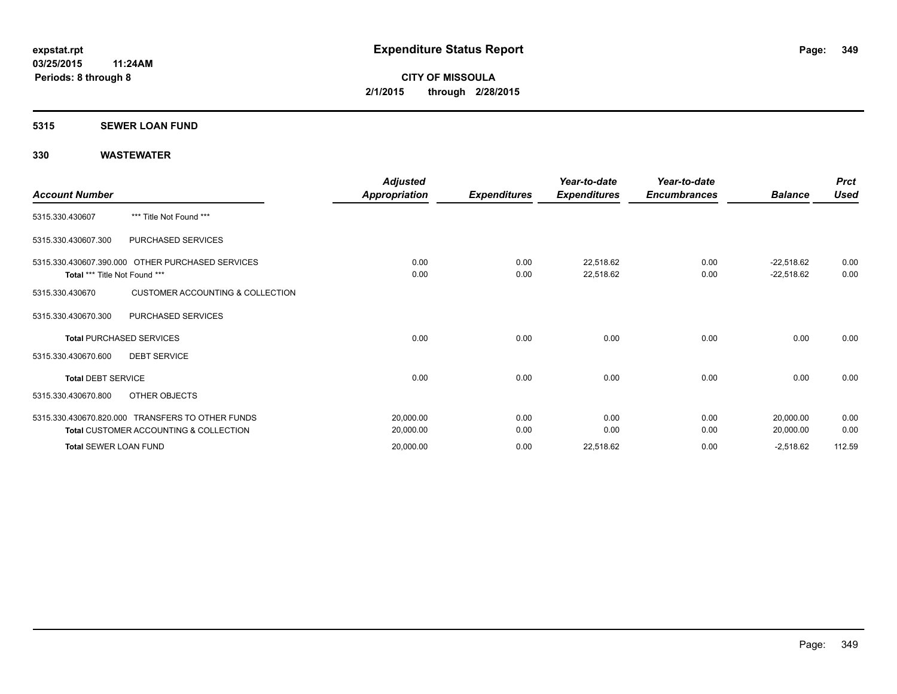### **5315 SEWER LOAN FUND**

| <b>Account Number</b>           |                                                                                                       | <b>Adjusted</b><br><b>Appropriation</b> | <b>Expenditures</b> | Year-to-date<br><b>Expenditures</b> | Year-to-date<br><b>Encumbrances</b> | <b>Balance</b>               | <b>Prct</b><br><b>Used</b> |
|---------------------------------|-------------------------------------------------------------------------------------------------------|-----------------------------------------|---------------------|-------------------------------------|-------------------------------------|------------------------------|----------------------------|
| 5315.330.430607                 | *** Title Not Found ***                                                                               |                                         |                     |                                     |                                     |                              |                            |
| 5315.330.430607.300             | PURCHASED SERVICES                                                                                    |                                         |                     |                                     |                                     |                              |                            |
| Total *** Title Not Found ***   | 5315.330.430607.390.000 OTHER PURCHASED SERVICES                                                      | 0.00<br>0.00                            | 0.00<br>0.00        | 22,518.62<br>22,518.62              | 0.00<br>0.00                        | $-22,518.62$<br>$-22,518.62$ | 0.00<br>0.00               |
| 5315.330.430670                 | <b>CUSTOMER ACCOUNTING &amp; COLLECTION</b>                                                           |                                         |                     |                                     |                                     |                              |                            |
| 5315.330.430670.300             | PURCHASED SERVICES                                                                                    |                                         |                     |                                     |                                     |                              |                            |
| <b>Total PURCHASED SERVICES</b> |                                                                                                       | 0.00                                    | 0.00                | 0.00                                | 0.00                                | 0.00                         | 0.00                       |
| 5315.330.430670.600             | <b>DEBT SERVICE</b>                                                                                   |                                         |                     |                                     |                                     |                              |                            |
| <b>Total DEBT SERVICE</b>       |                                                                                                       | 0.00                                    | 0.00                | 0.00                                | 0.00                                | 0.00                         | 0.00                       |
| 5315.330.430670.800             | OTHER OBJECTS                                                                                         |                                         |                     |                                     |                                     |                              |                            |
|                                 | 5315.330.430670.820.000 TRANSFERS TO OTHER FUNDS<br><b>Total CUSTOMER ACCOUNTING &amp; COLLECTION</b> | 20,000.00<br>20,000.00                  | 0.00<br>0.00        | 0.00<br>0.00                        | 0.00<br>0.00                        | 20,000.00<br>20,000.00       | 0.00<br>0.00               |
| <b>Total SEWER LOAN FUND</b>    |                                                                                                       | 20,000.00                               | 0.00                | 22,518.62                           | 0.00                                | $-2,518.62$                  | 112.59                     |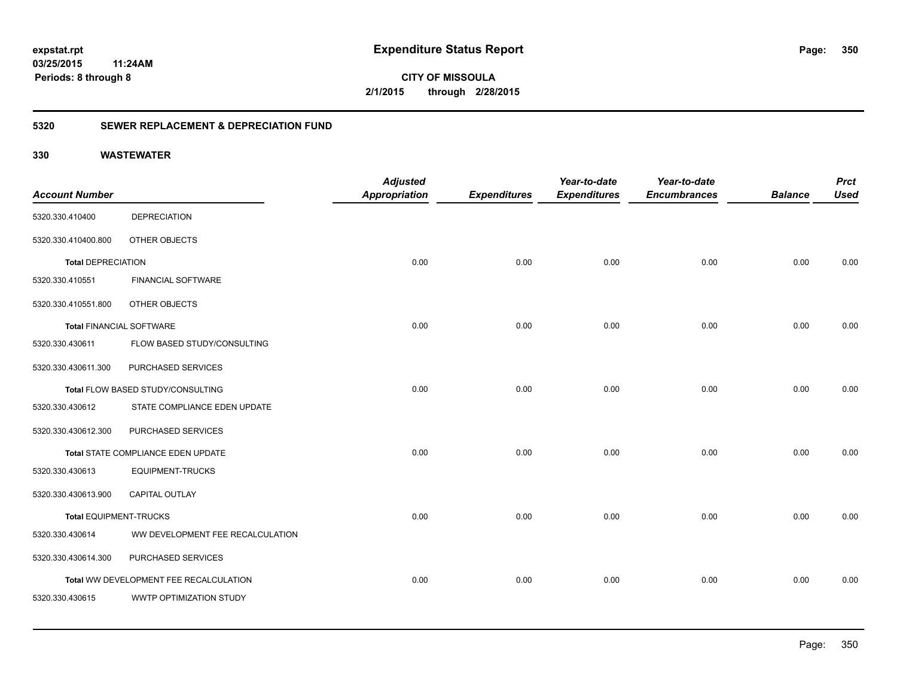**350**

**03/25/2015 11:24AM Periods: 8 through 8**

**CITY OF MISSOULA 2/1/2015 through 2/28/2015**

#### **5320 SEWER REPLACEMENT & DEPRECIATION FUND**

| <b>Account Number</b>           |                                        | <b>Adjusted</b><br><b>Appropriation</b> | <b>Expenditures</b> | Year-to-date<br><b>Expenditures</b> | Year-to-date<br><b>Encumbrances</b> | <b>Balance</b> | <b>Prct</b><br><b>Used</b> |
|---------------------------------|----------------------------------------|-----------------------------------------|---------------------|-------------------------------------|-------------------------------------|----------------|----------------------------|
| 5320.330.410400                 | <b>DEPRECIATION</b>                    |                                         |                     |                                     |                                     |                |                            |
| 5320.330.410400.800             | OTHER OBJECTS                          |                                         |                     |                                     |                                     |                |                            |
| <b>Total DEPRECIATION</b>       |                                        | 0.00                                    | 0.00                | 0.00                                | 0.00                                | 0.00           | 0.00                       |
| 5320.330.410551                 | <b>FINANCIAL SOFTWARE</b>              |                                         |                     |                                     |                                     |                |                            |
| 5320.330.410551.800             | OTHER OBJECTS                          |                                         |                     |                                     |                                     |                |                            |
| <b>Total FINANCIAL SOFTWARE</b> |                                        | 0.00                                    | 0.00                | 0.00                                | 0.00                                | 0.00           | 0.00                       |
| 5320.330.430611                 | FLOW BASED STUDY/CONSULTING            |                                         |                     |                                     |                                     |                |                            |
| 5320.330.430611.300             | PURCHASED SERVICES                     |                                         |                     |                                     |                                     |                |                            |
|                                 | Total FLOW BASED STUDY/CONSULTING      | 0.00                                    | 0.00                | 0.00                                | 0.00                                | 0.00           | 0.00                       |
| 5320.330.430612                 | STATE COMPLIANCE EDEN UPDATE           |                                         |                     |                                     |                                     |                |                            |
| 5320.330.430612.300             | PURCHASED SERVICES                     |                                         |                     |                                     |                                     |                |                            |
|                                 | Total STATE COMPLIANCE EDEN UPDATE     | 0.00                                    | 0.00                | 0.00                                | 0.00                                | 0.00           | 0.00                       |
| 5320.330.430613                 | <b>EQUIPMENT-TRUCKS</b>                |                                         |                     |                                     |                                     |                |                            |
| 5320.330.430613.900             | CAPITAL OUTLAY                         |                                         |                     |                                     |                                     |                |                            |
| <b>Total EQUIPMENT-TRUCKS</b>   |                                        | 0.00                                    | 0.00                | 0.00                                | 0.00                                | 0.00           | 0.00                       |
| 5320.330.430614                 | WW DEVELOPMENT FEE RECALCULATION       |                                         |                     |                                     |                                     |                |                            |
| 5320.330.430614.300             | PURCHASED SERVICES                     |                                         |                     |                                     |                                     |                |                            |
|                                 | Total WW DEVELOPMENT FEE RECALCULATION | 0.00                                    | 0.00                | 0.00                                | 0.00                                | 0.00           | 0.00                       |
| 5320.330.430615                 | WWTP OPTIMIZATION STUDY                |                                         |                     |                                     |                                     |                |                            |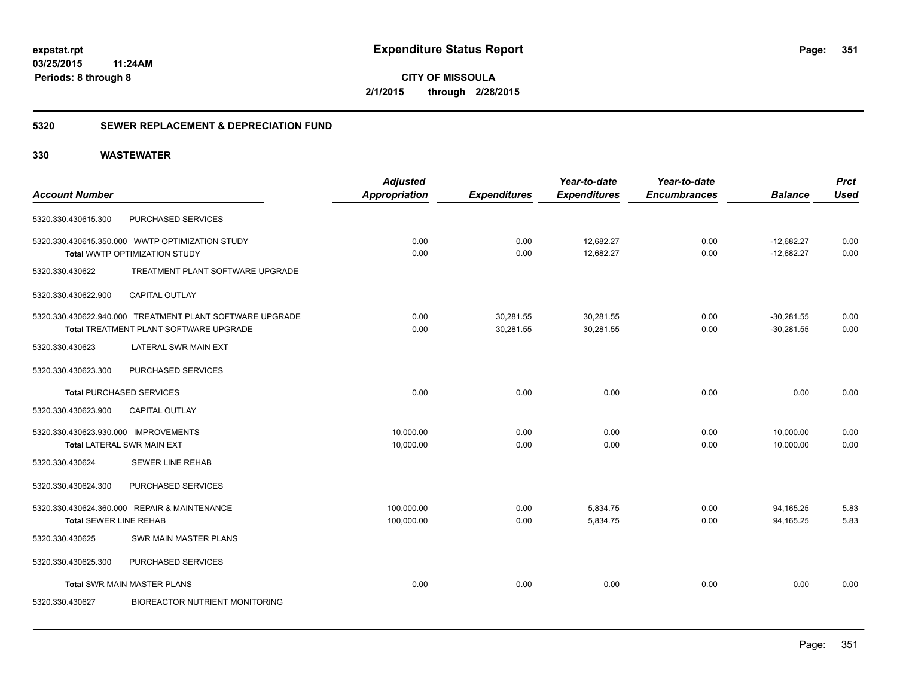**CITY OF MISSOULA 2/1/2015 through 2/28/2015**

#### **5320 SEWER REPLACEMENT & DEPRECIATION FUND**

|                                       | <b>Adjusted</b>                                                                                                                                                                                                                                                                                                                                                                                                               |                                      | Year-to-date        | Year-to-date           |                | <b>Prct</b>                  |
|---------------------------------------|-------------------------------------------------------------------------------------------------------------------------------------------------------------------------------------------------------------------------------------------------------------------------------------------------------------------------------------------------------------------------------------------------------------------------------|--------------------------------------|---------------------|------------------------|----------------|------------------------------|
|                                       |                                                                                                                                                                                                                                                                                                                                                                                                                               | <b>Expenditures</b>                  | <b>Expenditures</b> | <b>Encumbrances</b>    | <b>Balance</b> | <b>Used</b>                  |
| PURCHASED SERVICES                    |                                                                                                                                                                                                                                                                                                                                                                                                                               |                                      |                     |                        |                |                              |
|                                       | 0.00                                                                                                                                                                                                                                                                                                                                                                                                                          | 0.00                                 | 12,682.27           | 0.00                   | $-12,682.27$   | 0.00                         |
|                                       |                                                                                                                                                                                                                                                                                                                                                                                                                               |                                      |                     |                        |                | 0.00                         |
| TREATMENT PLANT SOFTWARE UPGRADE      |                                                                                                                                                                                                                                                                                                                                                                                                                               |                                      |                     |                        |                |                              |
| CAPITAL OUTLAY                        |                                                                                                                                                                                                                                                                                                                                                                                                                               |                                      |                     |                        |                |                              |
|                                       | 0.00                                                                                                                                                                                                                                                                                                                                                                                                                          | 30,281.55                            | 30,281.55           | 0.00                   | $-30,281.55$   | 0.00                         |
|                                       |                                                                                                                                                                                                                                                                                                                                                                                                                               |                                      |                     |                        |                | 0.00                         |
| LATERAL SWR MAIN EXT                  |                                                                                                                                                                                                                                                                                                                                                                                                                               |                                      |                     |                        |                |                              |
| PURCHASED SERVICES                    |                                                                                                                                                                                                                                                                                                                                                                                                                               |                                      |                     |                        |                |                              |
|                                       | 0.00                                                                                                                                                                                                                                                                                                                                                                                                                          | 0.00                                 | 0.00                | 0.00                   | 0.00           | 0.00                         |
| <b>CAPITAL OUTLAY</b>                 |                                                                                                                                                                                                                                                                                                                                                                                                                               |                                      |                     |                        |                |                              |
|                                       | 10,000.00                                                                                                                                                                                                                                                                                                                                                                                                                     | 0.00                                 | 0.00                | 0.00                   | 10,000.00      | 0.00                         |
|                                       | 10,000.00                                                                                                                                                                                                                                                                                                                                                                                                                     | 0.00                                 | 0.00                | 0.00                   | 10,000.00      | 0.00                         |
| <b>SEWER LINE REHAB</b>               |                                                                                                                                                                                                                                                                                                                                                                                                                               |                                      |                     |                        |                |                              |
| PURCHASED SERVICES                    |                                                                                                                                                                                                                                                                                                                                                                                                                               |                                      |                     |                        |                |                              |
|                                       | 100,000.00                                                                                                                                                                                                                                                                                                                                                                                                                    | 0.00                                 | 5,834.75            | 0.00                   | 94,165.25      | 5.83                         |
|                                       | 100,000.00                                                                                                                                                                                                                                                                                                                                                                                                                    | 0.00                                 | 5,834.75            | 0.00                   | 94.165.25      | 5.83                         |
| <b>SWR MAIN MASTER PLANS</b>          |                                                                                                                                                                                                                                                                                                                                                                                                                               |                                      |                     |                        |                |                              |
| PURCHASED SERVICES                    |                                                                                                                                                                                                                                                                                                                                                                                                                               |                                      |                     |                        |                |                              |
|                                       | 0.00                                                                                                                                                                                                                                                                                                                                                                                                                          | 0.00                                 | 0.00                | 0.00                   | 0.00           | 0.00                         |
| <b>BIOREACTOR NUTRIENT MONITORING</b> |                                                                                                                                                                                                                                                                                                                                                                                                                               |                                      |                     |                        |                |                              |
|                                       | 5320.330.430615.350.000 WWTP OPTIMIZATION STUDY<br>Total WWTP OPTIMIZATION STUDY<br>5320.330.430622.940.000 TREATMENT PLANT SOFTWARE UPGRADE<br>Total TREATMENT PLANT SOFTWARE UPGRADE<br><b>Total PURCHASED SERVICES</b><br>5320.330.430623.930.000 IMPROVEMENTS<br><b>Total LATERAL SWR MAIN EXT</b><br>5320.330.430624.360.000 REPAIR & MAINTENANCE<br><b>Total SEWER LINE REHAB</b><br><b>Total SWR MAIN MASTER PLANS</b> | <b>Appropriation</b><br>0.00<br>0.00 | 0.00<br>30,281.55   | 12,682.27<br>30,281.55 | 0.00<br>0.00   | $-12,682.27$<br>$-30,281.55$ |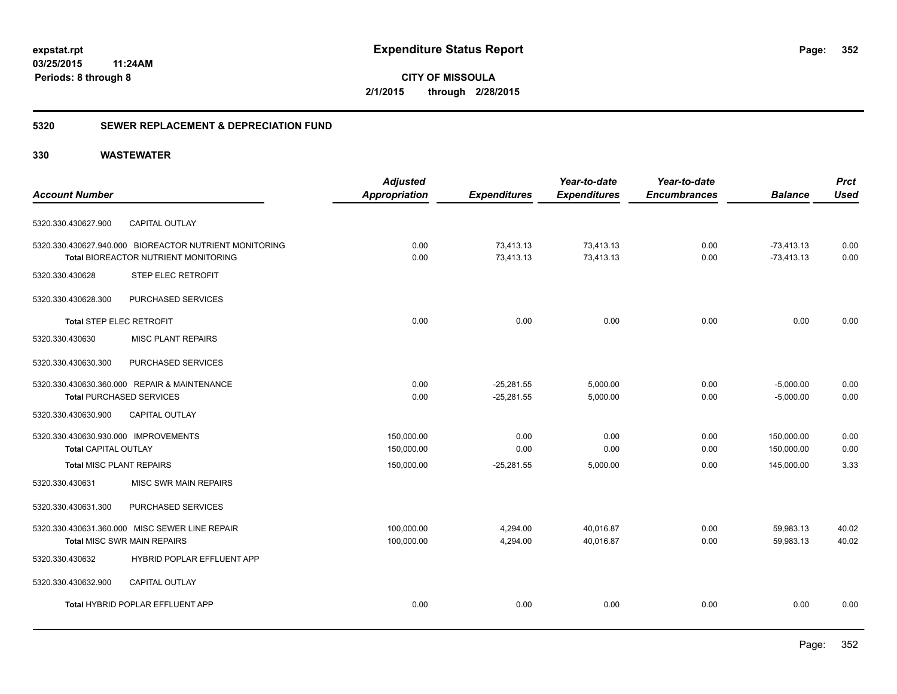**CITY OF MISSOULA 2/1/2015 through 2/28/2015**

#### **5320 SEWER REPLACEMENT & DEPRECIATION FUND**

|                                                        | <b>Adjusted</b>      |                     | Year-to-date        | Year-to-date        |                | <b>Prct</b> |
|--------------------------------------------------------|----------------------|---------------------|---------------------|---------------------|----------------|-------------|
| <b>Account Number</b>                                  | <b>Appropriation</b> | <b>Expenditures</b> | <b>Expenditures</b> | <b>Encumbrances</b> | <b>Balance</b> | <b>Used</b> |
| 5320.330.430627.900<br>CAPITAL OUTLAY                  |                      |                     |                     |                     |                |             |
| 5320.330.430627.940.000 BIOREACTOR NUTRIENT MONITORING | 0.00                 | 73,413.13           | 73,413.13           | 0.00                | $-73,413.13$   | 0.00        |
| Total BIOREACTOR NUTRIENT MONITORING                   | 0.00                 | 73,413.13           | 73,413.13           | 0.00                | $-73,413.13$   | 0.00        |
| 5320.330.430628<br><b>STEP ELEC RETROFIT</b>           |                      |                     |                     |                     |                |             |
| PURCHASED SERVICES<br>5320.330.430628.300              |                      |                     |                     |                     |                |             |
| <b>Total STEP ELEC RETROFIT</b>                        | 0.00                 | 0.00                | 0.00                | 0.00                | 0.00           | 0.00        |
| <b>MISC PLANT REPAIRS</b><br>5320.330.430630           |                      |                     |                     |                     |                |             |
| PURCHASED SERVICES<br>5320.330.430630.300              |                      |                     |                     |                     |                |             |
| 5320.330.430630.360.000 REPAIR & MAINTENANCE           | 0.00                 | $-25.281.55$        | 5,000.00            | 0.00                | $-5,000.00$    | 0.00        |
| <b>Total PURCHASED SERVICES</b>                        | 0.00                 | $-25,281.55$        | 5,000.00            | 0.00                | $-5,000.00$    | 0.00        |
| 5320.330.430630.900<br><b>CAPITAL OUTLAY</b>           |                      |                     |                     |                     |                |             |
| 5320.330.430630.930.000 IMPROVEMENTS                   | 150,000.00           | 0.00                | 0.00                | 0.00                | 150,000.00     | 0.00        |
| <b>Total CAPITAL OUTLAY</b>                            | 150,000.00           | 0.00                | 0.00                | 0.00                | 150,000.00     | 0.00        |
| <b>Total MISC PLANT REPAIRS</b>                        | 150,000.00           | $-25,281.55$        | 5,000.00            | 0.00                | 145,000.00     | 3.33        |
| 5320.330.430631<br><b>MISC SWR MAIN REPAIRS</b>        |                      |                     |                     |                     |                |             |
| PURCHASED SERVICES<br>5320.330.430631.300              |                      |                     |                     |                     |                |             |
| 5320.330.430631.360.000 MISC SEWER LINE REPAIR         | 100,000.00           | 4,294.00            | 40,016.87           | 0.00                | 59,983.13      | 40.02       |
| <b>Total MISC SWR MAIN REPAIRS</b>                     | 100,000.00           | 4,294.00            | 40,016.87           | 0.00                | 59,983.13      | 40.02       |
| HYBRID POPLAR EFFLUENT APP<br>5320.330.430632          |                      |                     |                     |                     |                |             |
| 5320.330.430632.900<br>CAPITAL OUTLAY                  |                      |                     |                     |                     |                |             |
| Total HYBRID POPLAR EFFLUENT APP                       | 0.00                 | 0.00                | 0.00                | 0.00                | 0.00           | 0.00        |
|                                                        |                      |                     |                     |                     |                |             |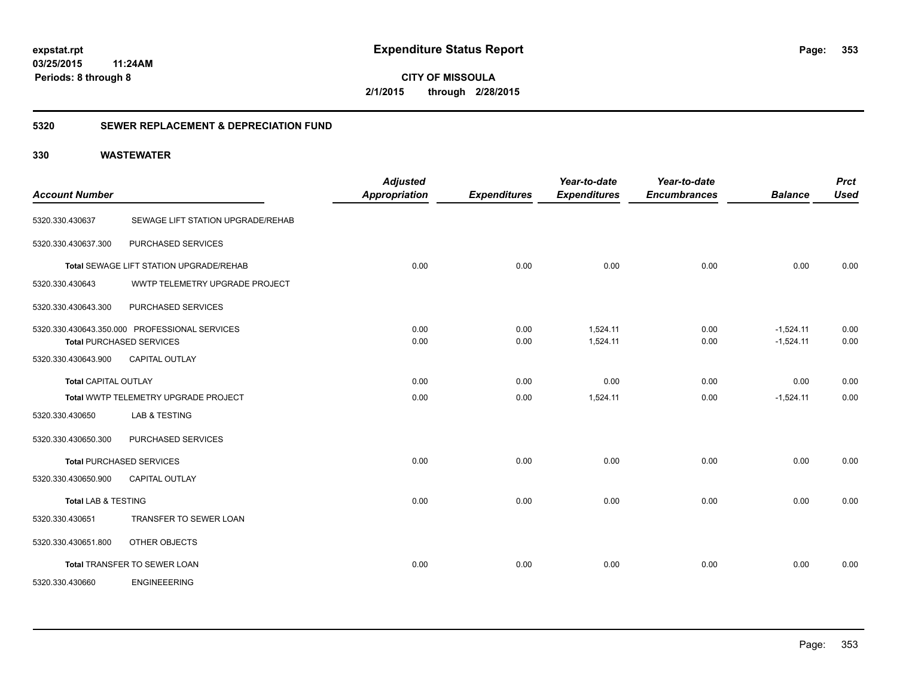**CITY OF MISSOULA 2/1/2015 through 2/28/2015**

#### **5320 SEWER REPLACEMENT & DEPRECIATION FUND**

| <b>Account Number</b>          |                                               | <b>Adjusted</b><br><b>Appropriation</b> | <b>Expenditures</b> | Year-to-date<br><b>Expenditures</b> | Year-to-date<br><b>Encumbrances</b> | <b>Balance</b> | <b>Prct</b><br><b>Used</b> |
|--------------------------------|-----------------------------------------------|-----------------------------------------|---------------------|-------------------------------------|-------------------------------------|----------------|----------------------------|
| 5320.330.430637                | SEWAGE LIFT STATION UPGRADE/REHAB             |                                         |                     |                                     |                                     |                |                            |
| 5320.330.430637.300            | PURCHASED SERVICES                            |                                         |                     |                                     |                                     |                |                            |
|                                | Total SEWAGE LIFT STATION UPGRADE/REHAB       | 0.00                                    | 0.00                | 0.00                                | 0.00                                | 0.00           | 0.00                       |
| 5320.330.430643                | WWTP TELEMETRY UPGRADE PROJECT                |                                         |                     |                                     |                                     |                |                            |
| 5320.330.430643.300            | PURCHASED SERVICES                            |                                         |                     |                                     |                                     |                |                            |
|                                | 5320.330.430643.350.000 PROFESSIONAL SERVICES | 0.00                                    | 0.00                | 1,524.11                            | 0.00                                | $-1.524.11$    | 0.00                       |
|                                | <b>Total PURCHASED SERVICES</b>               | 0.00                                    | 0.00                | 1,524.11                            | 0.00                                | $-1,524.11$    | 0.00                       |
| 5320.330.430643.900            | <b>CAPITAL OUTLAY</b>                         |                                         |                     |                                     |                                     |                |                            |
| <b>Total CAPITAL OUTLAY</b>    |                                               | 0.00                                    | 0.00                | 0.00                                | 0.00                                | 0.00           | 0.00                       |
|                                | Total WWTP TELEMETRY UPGRADE PROJECT          | 0.00                                    | 0.00                | 1,524.11                            | 0.00                                | $-1,524.11$    | 0.00                       |
| 5320.330.430650                | <b>LAB &amp; TESTING</b>                      |                                         |                     |                                     |                                     |                |                            |
| 5320.330.430650.300            | PURCHASED SERVICES                            |                                         |                     |                                     |                                     |                |                            |
|                                | <b>Total PURCHASED SERVICES</b>               | 0.00                                    | 0.00                | 0.00                                | 0.00                                | 0.00           | 0.00                       |
| 5320.330.430650.900            | <b>CAPITAL OUTLAY</b>                         |                                         |                     |                                     |                                     |                |                            |
| <b>Total LAB &amp; TESTING</b> |                                               | 0.00                                    | 0.00                | 0.00                                | 0.00                                | 0.00           | 0.00                       |
| 5320.330.430651                | TRANSFER TO SEWER LOAN                        |                                         |                     |                                     |                                     |                |                            |
| 5320.330.430651.800            | OTHER OBJECTS                                 |                                         |                     |                                     |                                     |                |                            |
|                                | Total TRANSFER TO SEWER LOAN                  | 0.00                                    | 0.00                | 0.00                                | 0.00                                | 0.00           | 0.00                       |
| 5320.330.430660                | <b>ENGINEEERING</b>                           |                                         |                     |                                     |                                     |                |                            |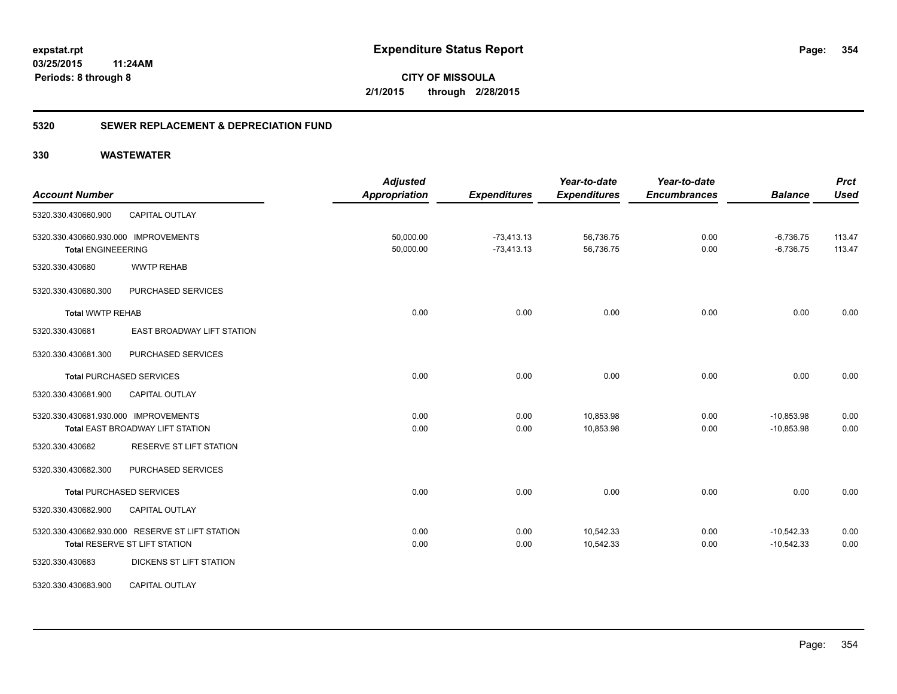**354**

**CITY OF MISSOULA 2/1/2015 through 2/28/2015**

#### **5320 SEWER REPLACEMENT & DEPRECIATION FUND**

| <b>Account Number</b>                                                            |                            | <b>Adjusted</b><br><b>Appropriation</b> | <b>Expenditures</b>          | Year-to-date<br><b>Expenditures</b> | Year-to-date<br><b>Encumbrances</b> | <b>Balance</b>               | <b>Prct</b><br><b>Used</b> |
|----------------------------------------------------------------------------------|----------------------------|-----------------------------------------|------------------------------|-------------------------------------|-------------------------------------|------------------------------|----------------------------|
| CAPITAL OUTLAY<br>5320.330.430660.900                                            |                            |                                         |                              |                                     |                                     |                              |                            |
| 5320.330.430660.930.000 IMPROVEMENTS<br><b>Total ENGINEEERING</b>                |                            | 50,000.00<br>50,000.00                  | $-73,413.13$<br>$-73,413.13$ | 56,736.75<br>56,736.75              | 0.00<br>0.00                        | $-6,736.75$<br>$-6,736.75$   | 113.47<br>113.47           |
| <b>WWTP REHAB</b><br>5320.330.430680                                             |                            |                                         |                              |                                     |                                     |                              |                            |
| 5320.330.430680.300<br>PURCHASED SERVICES                                        |                            |                                         |                              |                                     |                                     |                              |                            |
| <b>Total WWTP REHAB</b>                                                          |                            | 0.00                                    | 0.00                         | 0.00                                | 0.00                                | 0.00                         | 0.00                       |
| 5320.330.430681                                                                  | EAST BROADWAY LIFT STATION |                                         |                              |                                     |                                     |                              |                            |
| 5320.330.430681.300<br>PURCHASED SERVICES                                        |                            |                                         |                              |                                     |                                     |                              |                            |
| <b>Total PURCHASED SERVICES</b>                                                  |                            | 0.00                                    | 0.00                         | 0.00                                | 0.00                                | 0.00                         | 0.00                       |
| 5320.330.430681.900<br><b>CAPITAL OUTLAY</b>                                     |                            |                                         |                              |                                     |                                     |                              |                            |
| 5320.330.430681.930.000 IMPROVEMENTS<br>Total EAST BROADWAY LIFT STATION         |                            | 0.00<br>0.00                            | 0.00<br>0.00                 | 10,853.98<br>10,853.98              | 0.00<br>0.00                        | $-10,853.98$<br>$-10,853.98$ | 0.00<br>0.00               |
| 5320.330.430682                                                                  | RESERVE ST LIFT STATION    |                                         |                              |                                     |                                     |                              |                            |
| PURCHASED SERVICES<br>5320.330.430682.300                                        |                            |                                         |                              |                                     |                                     |                              |                            |
| <b>Total PURCHASED SERVICES</b>                                                  |                            | 0.00                                    | 0.00                         | 0.00                                | 0.00                                | 0.00                         | 0.00                       |
| 5320.330.430682.900<br>CAPITAL OUTLAY                                            |                            |                                         |                              |                                     |                                     |                              |                            |
| 5320.330.430682.930.000 RESERVE ST LIFT STATION<br>Total RESERVE ST LIFT STATION |                            | 0.00<br>0.00                            | 0.00<br>0.00                 | 10,542.33<br>10,542.33              | 0.00<br>0.00                        | $-10,542.33$<br>$-10,542.33$ | 0.00<br>0.00               |
| 5320.330.430683                                                                  | DICKENS ST LIFT STATION    |                                         |                              |                                     |                                     |                              |                            |
| <b>CAPITAL OUTLAY</b><br>5320.330.430683.900                                     |                            |                                         |                              |                                     |                                     |                              |                            |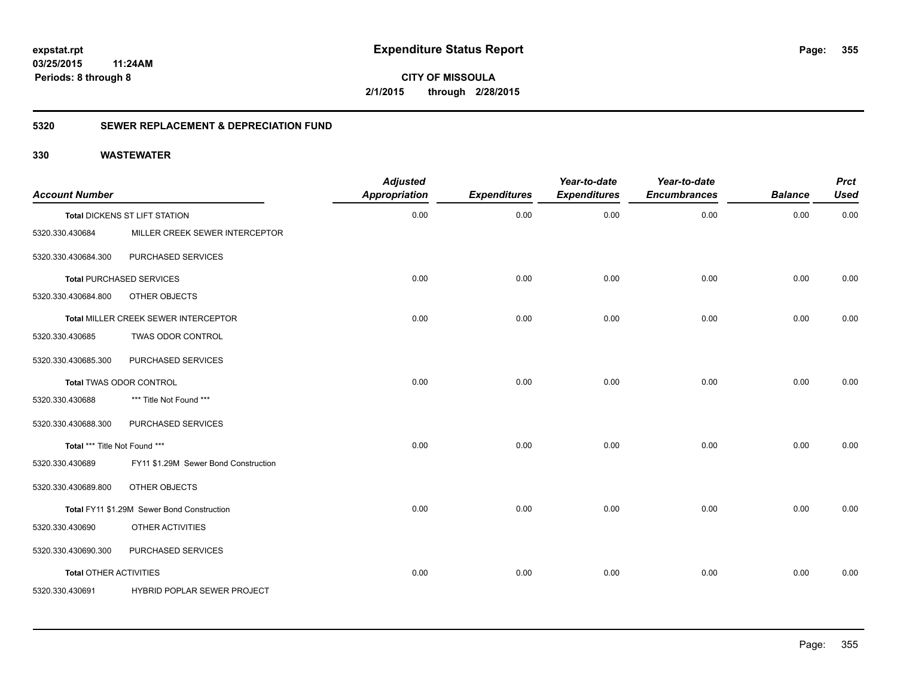# **03/25/2015**

**355**

**11:24AM Periods: 8 through 8**

**CITY OF MISSOULA 2/1/2015 through 2/28/2015**

#### **5320 SEWER REPLACEMENT & DEPRECIATION FUND**

| <b>Account Number</b>         |                                            | <b>Adjusted</b><br><b>Appropriation</b> | <b>Expenditures</b> | Year-to-date<br><b>Expenditures</b> | Year-to-date<br><b>Encumbrances</b> | <b>Balance</b> | <b>Prct</b><br><b>Used</b> |
|-------------------------------|--------------------------------------------|-----------------------------------------|---------------------|-------------------------------------|-------------------------------------|----------------|----------------------------|
|                               | Total DICKENS ST LIFT STATION              | 0.00                                    | 0.00                | 0.00                                | 0.00                                | 0.00           | 0.00                       |
| 5320.330.430684               | MILLER CREEK SEWER INTERCEPTOR             |                                         |                     |                                     |                                     |                |                            |
| 5320.330.430684.300           | PURCHASED SERVICES                         |                                         |                     |                                     |                                     |                |                            |
|                               | <b>Total PURCHASED SERVICES</b>            | 0.00                                    | 0.00                | 0.00                                | 0.00                                | 0.00           | 0.00                       |
| 5320.330.430684.800           | OTHER OBJECTS                              |                                         |                     |                                     |                                     |                |                            |
|                               | Total MILLER CREEK SEWER INTERCEPTOR       | 0.00                                    | 0.00                | 0.00                                | 0.00                                | 0.00           | 0.00                       |
| 5320.330.430685               | TWAS ODOR CONTROL                          |                                         |                     |                                     |                                     |                |                            |
| 5320.330.430685.300           | PURCHASED SERVICES                         |                                         |                     |                                     |                                     |                |                            |
|                               | <b>Total TWAS ODOR CONTROL</b>             | 0.00                                    | 0.00                | 0.00                                | 0.00                                | 0.00           | 0.00                       |
| 5320.330.430688               | *** Title Not Found ***                    |                                         |                     |                                     |                                     |                |                            |
| 5320.330.430688.300           | PURCHASED SERVICES                         |                                         |                     |                                     |                                     |                |                            |
| Total *** Title Not Found *** |                                            | 0.00                                    | 0.00                | 0.00                                | 0.00                                | 0.00           | 0.00                       |
| 5320.330.430689               | FY11 \$1.29M Sewer Bond Construction       |                                         |                     |                                     |                                     |                |                            |
| 5320.330.430689.800           | OTHER OBJECTS                              |                                         |                     |                                     |                                     |                |                            |
|                               | Total FY11 \$1.29M Sewer Bond Construction | 0.00                                    | 0.00                | 0.00                                | 0.00                                | 0.00           | 0.00                       |
| 5320.330.430690               | OTHER ACTIVITIES                           |                                         |                     |                                     |                                     |                |                            |
| 5320.330.430690.300           | PURCHASED SERVICES                         |                                         |                     |                                     |                                     |                |                            |
| <b>Total OTHER ACTIVITIES</b> |                                            | 0.00                                    | 0.00                | 0.00                                | 0.00                                | 0.00           | 0.00                       |
| 5320.330.430691               | HYBRID POPLAR SEWER PROJECT                |                                         |                     |                                     |                                     |                |                            |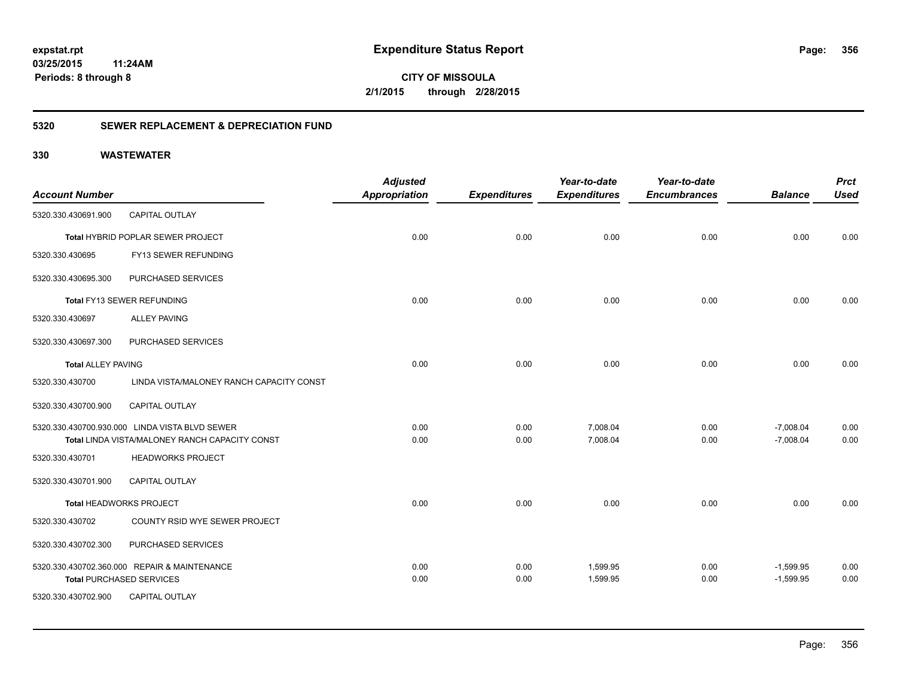## **03/25/2015**

**356**

**11:24AM Periods: 8 through 8**

**CITY OF MISSOULA 2/1/2015 through 2/28/2015**

#### **5320 SEWER REPLACEMENT & DEPRECIATION FUND**

|                           |                                                | <b>Adjusted</b>      |                     | Year-to-date        | Year-to-date        |                | <b>Prct</b> |
|---------------------------|------------------------------------------------|----------------------|---------------------|---------------------|---------------------|----------------|-------------|
| <b>Account Number</b>     |                                                | <b>Appropriation</b> | <b>Expenditures</b> | <b>Expenditures</b> | <b>Encumbrances</b> | <b>Balance</b> | <b>Used</b> |
| 5320.330.430691.900       | <b>CAPITAL OUTLAY</b>                          |                      |                     |                     |                     |                |             |
|                           | Total HYBRID POPLAR SEWER PROJECT              | 0.00                 | 0.00                | 0.00                | 0.00                | 0.00           | 0.00        |
| 5320.330.430695           | FY13 SEWER REFUNDING                           |                      |                     |                     |                     |                |             |
| 5320.330.430695.300       | PURCHASED SERVICES                             |                      |                     |                     |                     |                |             |
|                           | Total FY13 SEWER REFUNDING                     | 0.00                 | 0.00                | 0.00                | 0.00                | 0.00           | 0.00        |
| 5320.330.430697           | <b>ALLEY PAVING</b>                            |                      |                     |                     |                     |                |             |
| 5320.330.430697.300       | PURCHASED SERVICES                             |                      |                     |                     |                     |                |             |
| <b>Total ALLEY PAVING</b> |                                                | 0.00                 | 0.00                | 0.00                | 0.00                | 0.00           | 0.00        |
| 5320.330.430700           | LINDA VISTA/MALONEY RANCH CAPACITY CONST       |                      |                     |                     |                     |                |             |
| 5320.330.430700.900       | CAPITAL OUTLAY                                 |                      |                     |                     |                     |                |             |
|                           | 5320.330.430700.930.000 LINDA VISTA BLVD SEWER | 0.00                 | 0.00                | 7,008.04            | 0.00                | $-7,008.04$    | 0.00        |
|                           | Total LINDA VISTA/MALONEY RANCH CAPACITY CONST | 0.00                 | 0.00                | 7,008.04            | 0.00                | $-7,008.04$    | 0.00        |
| 5320.330.430701           | <b>HEADWORKS PROJECT</b>                       |                      |                     |                     |                     |                |             |
| 5320.330.430701.900       | <b>CAPITAL OUTLAY</b>                          |                      |                     |                     |                     |                |             |
|                           | <b>Total HEADWORKS PROJECT</b>                 | 0.00                 | 0.00                | 0.00                | 0.00                | 0.00           | 0.00        |
| 5320.330.430702           | COUNTY RSID WYE SEWER PROJECT                  |                      |                     |                     |                     |                |             |
| 5320.330.430702.300       | PURCHASED SERVICES                             |                      |                     |                     |                     |                |             |
|                           | 5320.330.430702.360.000 REPAIR & MAINTENANCE   | 0.00                 | 0.00                | 1,599.95            | 0.00                | $-1,599.95$    | 0.00        |
|                           | <b>Total PURCHASED SERVICES</b>                | 0.00                 | 0.00                | 1,599.95            | 0.00                | $-1,599.95$    | 0.00        |
| 5320.330.430702.900       | <b>CAPITAL OUTLAY</b>                          |                      |                     |                     |                     |                |             |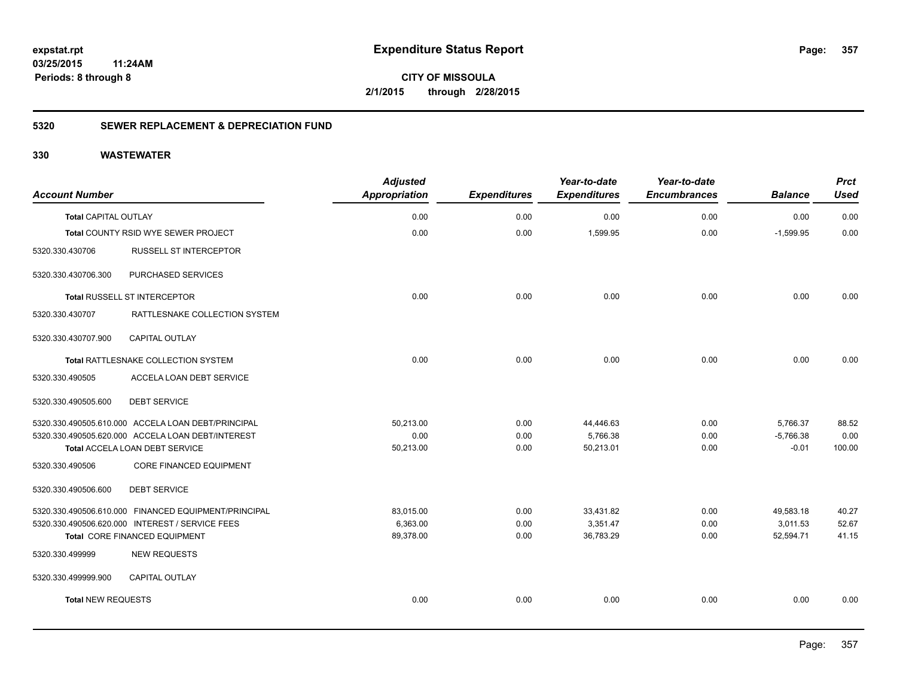**357**

**CITY OF MISSOULA 2/1/2015 through 2/28/2015**

#### **5320 SEWER REPLACEMENT & DEPRECIATION FUND**

| <b>Account Number</b>       |                                                      | <b>Adjusted</b><br>Appropriation | <b>Expenditures</b> | Year-to-date<br><b>Expenditures</b> | Year-to-date<br><b>Encumbrances</b> | <b>Balance</b> | <b>Prct</b><br><b>Used</b> |
|-----------------------------|------------------------------------------------------|----------------------------------|---------------------|-------------------------------------|-------------------------------------|----------------|----------------------------|
| <b>Total CAPITAL OUTLAY</b> |                                                      | 0.00                             | 0.00                | 0.00                                | 0.00                                | 0.00           | 0.00                       |
|                             | Total COUNTY RSID WYE SEWER PROJECT                  | 0.00                             | 0.00                | 1,599.95                            | 0.00                                | $-1.599.95$    | 0.00                       |
| 5320.330.430706             | RUSSELL ST INTERCEPTOR                               |                                  |                     |                                     |                                     |                |                            |
| 5320.330.430706.300         | PURCHASED SERVICES                                   |                                  |                     |                                     |                                     |                |                            |
|                             | Total RUSSELL ST INTERCEPTOR                         | 0.00                             | 0.00                | 0.00                                | 0.00                                | 0.00           | 0.00                       |
| 5320.330.430707             | RATTLESNAKE COLLECTION SYSTEM                        |                                  |                     |                                     |                                     |                |                            |
| 5320.330.430707.900         | <b>CAPITAL OUTLAY</b>                                |                                  |                     |                                     |                                     |                |                            |
|                             | Total RATTLESNAKE COLLECTION SYSTEM                  | 0.00                             | 0.00                | 0.00                                | 0.00                                | 0.00           | 0.00                       |
| 5320.330.490505             | ACCELA LOAN DEBT SERVICE                             |                                  |                     |                                     |                                     |                |                            |
| 5320.330.490505.600         | <b>DEBT SERVICE</b>                                  |                                  |                     |                                     |                                     |                |                            |
|                             | 5320.330.490505.610.000 ACCELA LOAN DEBT/PRINCIPAL   | 50,213.00                        | 0.00                | 44,446.63                           | 0.00                                | 5,766.37       | 88.52                      |
|                             | 5320.330.490505.620.000 ACCELA LOAN DEBT/INTEREST    | 0.00                             | 0.00                | 5,766.38                            | 0.00                                | $-5,766.38$    | 0.00                       |
|                             | Total ACCELA LOAN DEBT SERVICE                       | 50,213.00                        | 0.00                | 50,213.01                           | 0.00                                | $-0.01$        | 100.00                     |
| 5320.330.490506             | <b>CORE FINANCED EQUIPMENT</b>                       |                                  |                     |                                     |                                     |                |                            |
| 5320.330.490506.600         | <b>DEBT SERVICE</b>                                  |                                  |                     |                                     |                                     |                |                            |
|                             | 5320.330.490506.610.000 FINANCED EQUIPMENT/PRINCIPAL | 83,015.00                        | 0.00                | 33,431.82                           | 0.00                                | 49,583.18      | 40.27                      |
|                             | 5320.330.490506.620.000 INTEREST / SERVICE FEES      | 6,363.00                         | 0.00                | 3,351.47                            | 0.00                                | 3,011.53       | 52.67                      |
|                             | Total CORE FINANCED EQUIPMENT                        | 89,378.00                        | 0.00                | 36,783.29                           | 0.00                                | 52,594.71      | 41.15                      |
| 5320.330.499999             | <b>NEW REQUESTS</b>                                  |                                  |                     |                                     |                                     |                |                            |
| 5320.330.499999.900         | CAPITAL OUTLAY                                       |                                  |                     |                                     |                                     |                |                            |
| <b>Total NEW REQUESTS</b>   |                                                      | 0.00                             | 0.00                | 0.00                                | 0.00                                | 0.00           | 0.00                       |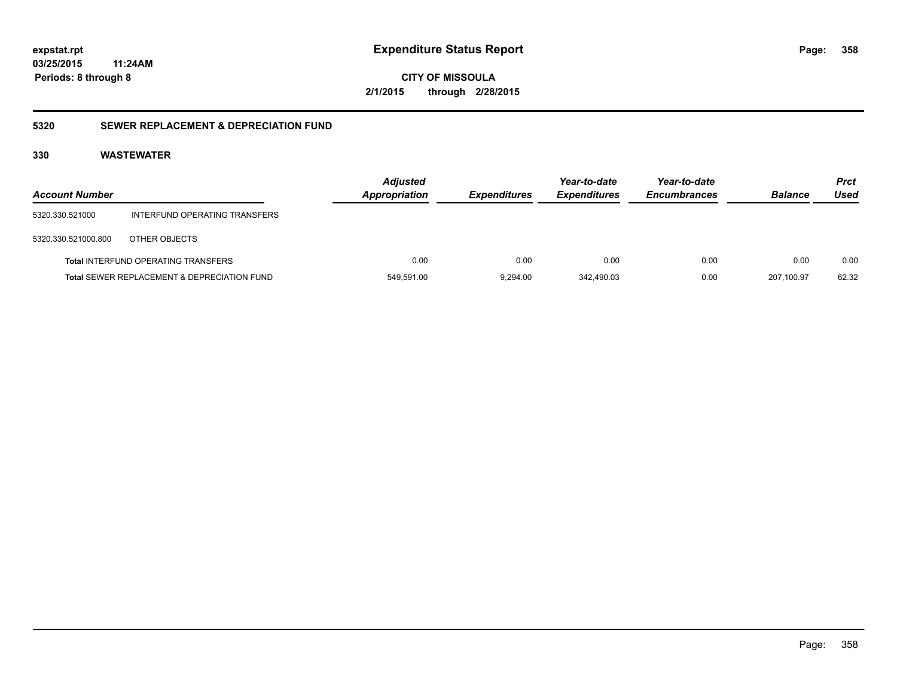**03/25/2015 11:24AM**

**Periods: 8 through 8**

**CITY OF MISSOULA 2/1/2015 through 2/28/2015**

#### **5320 SEWER REPLACEMENT & DEPRECIATION FUND**

| <b>Account Number</b> |                                             | <b>Adjusted</b><br><b>Appropriation</b> | <b>Expenditures</b> | Year-to-date<br><b>Expenditures</b> | Year-to-date<br><b>Encumbrances</b> | <b>Balance</b> | <b>Prct</b><br>Used |
|-----------------------|---------------------------------------------|-----------------------------------------|---------------------|-------------------------------------|-------------------------------------|----------------|---------------------|
| 5320.330.521000       | INTERFUND OPERATING TRANSFERS               |                                         |                     |                                     |                                     |                |                     |
| 5320.330.521000.800   | OTHER OBJECTS                               |                                         |                     |                                     |                                     |                |                     |
|                       | <b>Total INTERFUND OPERATING TRANSFERS</b>  | 0.00                                    | 0.00                | 0.00                                | 0.00                                | 0.00           | 0.00                |
|                       | Total SEWER REPLACEMENT & DEPRECIATION FUND | 549,591.00                              | 9.294.00            | 342.490.03                          | 0.00                                | 207.100.97     | 62.32               |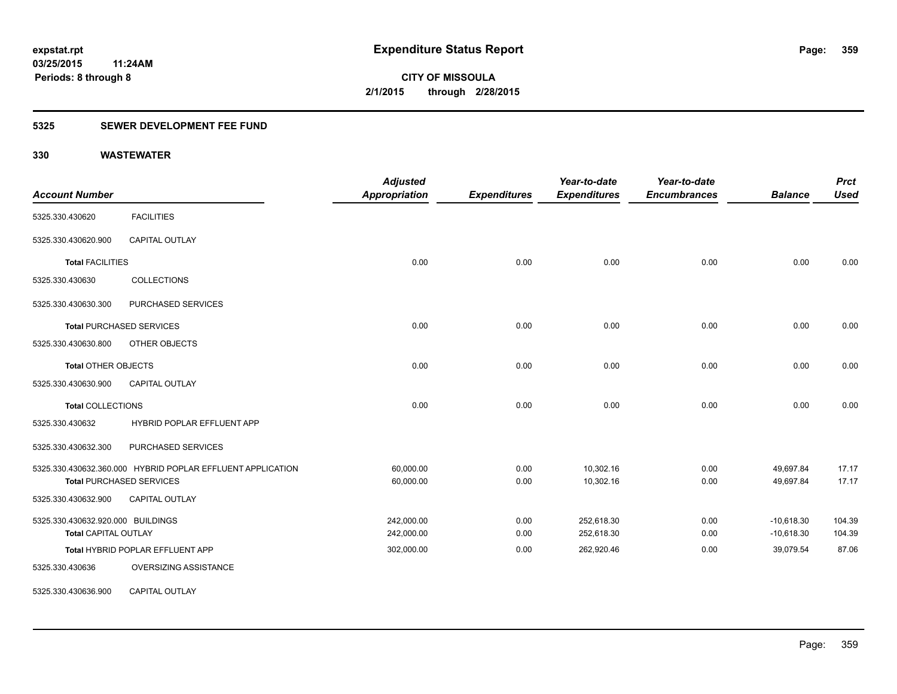#### **5325 SEWER DEVELOPMENT FEE FUND**

| <b>Account Number</b>             |                                                            | <b>Adjusted</b><br><b>Appropriation</b> | <b>Expenditures</b> | Year-to-date<br><b>Expenditures</b> | Year-to-date<br><b>Encumbrances</b> | <b>Balance</b> | <b>Prct</b><br><b>Used</b> |
|-----------------------------------|------------------------------------------------------------|-----------------------------------------|---------------------|-------------------------------------|-------------------------------------|----------------|----------------------------|
| 5325.330.430620                   | <b>FACILITIES</b>                                          |                                         |                     |                                     |                                     |                |                            |
| 5325.330.430620.900               | <b>CAPITAL OUTLAY</b>                                      |                                         |                     |                                     |                                     |                |                            |
| <b>Total FACILITIES</b>           |                                                            | 0.00                                    | 0.00                | 0.00                                | 0.00                                | 0.00           | 0.00                       |
| 5325.330.430630                   | <b>COLLECTIONS</b>                                         |                                         |                     |                                     |                                     |                |                            |
| 5325.330.430630.300               | PURCHASED SERVICES                                         |                                         |                     |                                     |                                     |                |                            |
|                                   | <b>Total PURCHASED SERVICES</b>                            | 0.00                                    | 0.00                | 0.00                                | 0.00                                | 0.00           | 0.00                       |
| 5325.330.430630.800               | OTHER OBJECTS                                              |                                         |                     |                                     |                                     |                |                            |
| <b>Total OTHER OBJECTS</b>        |                                                            | 0.00                                    | 0.00                | 0.00                                | 0.00                                | 0.00           | 0.00                       |
| 5325.330.430630.900               | <b>CAPITAL OUTLAY</b>                                      |                                         |                     |                                     |                                     |                |                            |
| <b>Total COLLECTIONS</b>          |                                                            | 0.00                                    | 0.00                | 0.00                                | 0.00                                | 0.00           | 0.00                       |
| 5325.330.430632                   | HYBRID POPLAR EFFLUENT APP                                 |                                         |                     |                                     |                                     |                |                            |
| 5325.330.430632.300               | PURCHASED SERVICES                                         |                                         |                     |                                     |                                     |                |                            |
|                                   | 5325.330.430632.360.000 HYBRID POPLAR EFFLUENT APPLICATION | 60,000.00                               | 0.00                | 10,302.16                           | 0.00                                | 49,697.84      | 17.17                      |
|                                   | <b>Total PURCHASED SERVICES</b>                            | 60,000.00                               | 0.00                | 10,302.16                           | 0.00                                | 49,697.84      | 17.17                      |
| 5325.330.430632.900               | CAPITAL OUTLAY                                             |                                         |                     |                                     |                                     |                |                            |
| 5325.330.430632.920.000 BUILDINGS |                                                            | 242.000.00                              | 0.00                | 252,618.30                          | 0.00                                | $-10,618.30$   | 104.39                     |
| <b>Total CAPITAL OUTLAY</b>       |                                                            | 242,000.00                              | 0.00                | 252,618.30                          | 0.00                                | $-10,618.30$   | 104.39                     |
|                                   | Total HYBRID POPLAR EFFLUENT APP                           | 302,000.00                              | 0.00                | 262,920.46                          | 0.00                                | 39,079.54      | 87.06                      |
| 5325.330.430636                   | OVERSIZING ASSISTANCE                                      |                                         |                     |                                     |                                     |                |                            |
| 5325.330.430636.900               | <b>CAPITAL OUTLAY</b>                                      |                                         |                     |                                     |                                     |                |                            |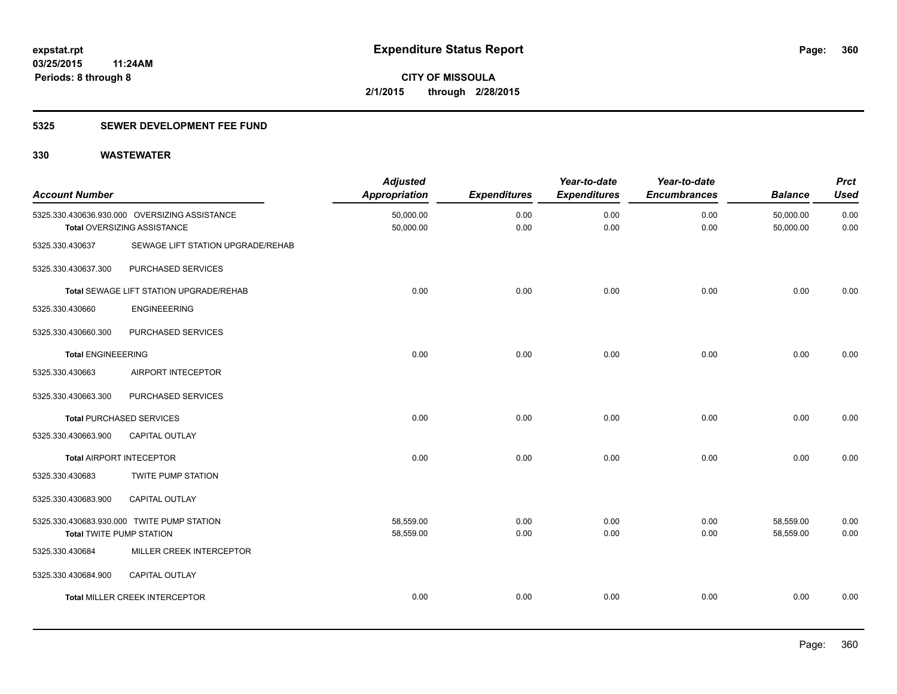#### **5325 SEWER DEVELOPMENT FEE FUND**

| <b>Account Number</b>           |                                                                              | <b>Adjusted</b><br><b>Appropriation</b> | <b>Expenditures</b> | Year-to-date<br><b>Expenditures</b> | Year-to-date<br><b>Encumbrances</b> | <b>Balance</b>         | <b>Prct</b><br><b>Used</b> |
|---------------------------------|------------------------------------------------------------------------------|-----------------------------------------|---------------------|-------------------------------------|-------------------------------------|------------------------|----------------------------|
|                                 | 5325.330.430636.930.000 OVERSIZING ASSISTANCE<br>Total OVERSIZING ASSISTANCE | 50,000.00<br>50,000.00                  | 0.00<br>0.00        | 0.00<br>0.00                        | 0.00<br>0.00                        | 50,000.00<br>50,000.00 | 0.00<br>0.00               |
| 5325.330.430637                 | SEWAGE LIFT STATION UPGRADE/REHAB                                            |                                         |                     |                                     |                                     |                        |                            |
| 5325.330.430637.300             | PURCHASED SERVICES                                                           |                                         |                     |                                     |                                     |                        |                            |
|                                 | Total SEWAGE LIFT STATION UPGRADE/REHAB                                      | 0.00                                    | 0.00                | 0.00                                | 0.00                                | 0.00                   | 0.00                       |
| 5325.330.430660                 | <b>ENGINEEERING</b>                                                          |                                         |                     |                                     |                                     |                        |                            |
| 5325.330.430660.300             | PURCHASED SERVICES                                                           |                                         |                     |                                     |                                     |                        |                            |
| <b>Total ENGINEEERING</b>       |                                                                              | 0.00                                    | 0.00                | 0.00                                | 0.00                                | 0.00                   | 0.00                       |
| 5325.330.430663                 | AIRPORT INTECEPTOR                                                           |                                         |                     |                                     |                                     |                        |                            |
| 5325.330.430663.300             | PURCHASED SERVICES                                                           |                                         |                     |                                     |                                     |                        |                            |
|                                 | <b>Total PURCHASED SERVICES</b>                                              | 0.00                                    | 0.00                | 0.00                                | 0.00                                | 0.00                   | 0.00                       |
| 5325.330.430663.900             | <b>CAPITAL OUTLAY</b>                                                        |                                         |                     |                                     |                                     |                        |                            |
|                                 | <b>Total AIRPORT INTECEPTOR</b>                                              | 0.00                                    | 0.00                | 0.00                                | 0.00                                | 0.00                   | 0.00                       |
| 5325.330.430683                 | TWITE PUMP STATION                                                           |                                         |                     |                                     |                                     |                        |                            |
| 5325.330.430683.900             | <b>CAPITAL OUTLAY</b>                                                        |                                         |                     |                                     |                                     |                        |                            |
| <b>Total TWITE PUMP STATION</b> | 5325.330.430683.930.000 TWITE PUMP STATION                                   | 58,559.00<br>58,559.00                  | 0.00<br>0.00        | 0.00<br>0.00                        | 0.00<br>0.00                        | 58,559.00<br>58,559.00 | 0.00<br>0.00               |
| 5325.330.430684                 | MILLER CREEK INTERCEPTOR                                                     |                                         |                     |                                     |                                     |                        |                            |
| 5325.330.430684.900             | CAPITAL OUTLAY                                                               |                                         |                     |                                     |                                     |                        |                            |
|                                 | Total MILLER CREEK INTERCEPTOR                                               | 0.00                                    | 0.00                | 0.00                                | 0.00                                | 0.00                   | 0.00                       |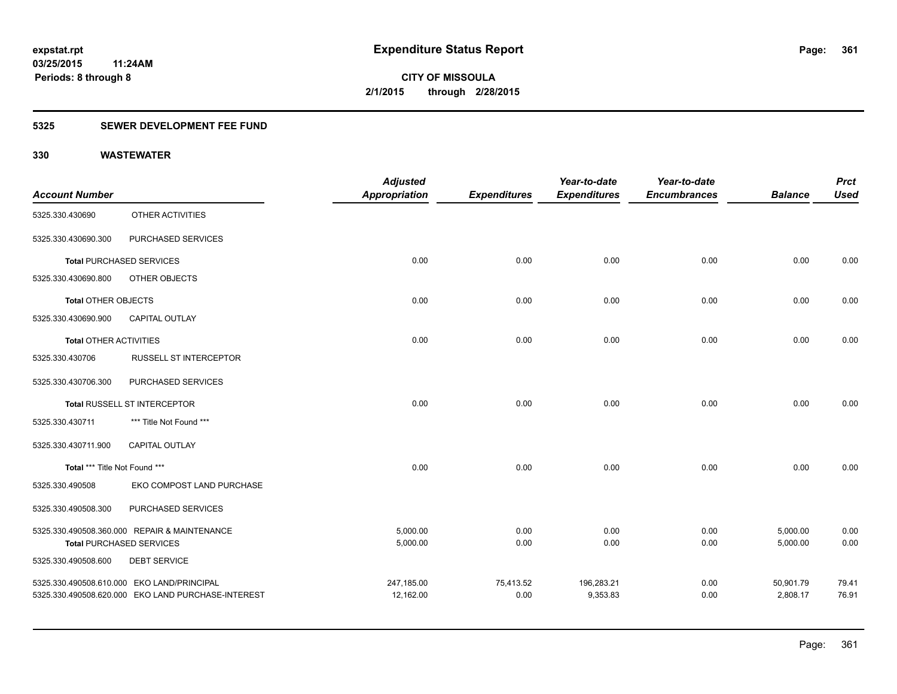#### **5325 SEWER DEVELOPMENT FEE FUND**

|                               |                                                    | <b>Adjusted</b>      |                     | Year-to-date        | Year-to-date        |                | <b>Prct</b> |
|-------------------------------|----------------------------------------------------|----------------------|---------------------|---------------------|---------------------|----------------|-------------|
| <b>Account Number</b>         |                                                    | <b>Appropriation</b> | <b>Expenditures</b> | <b>Expenditures</b> | <b>Encumbrances</b> | <b>Balance</b> | <b>Used</b> |
| 5325.330.430690               | OTHER ACTIVITIES                                   |                      |                     |                     |                     |                |             |
| 5325.330.430690.300           | PURCHASED SERVICES                                 |                      |                     |                     |                     |                |             |
|                               | <b>Total PURCHASED SERVICES</b>                    | 0.00                 | 0.00                | 0.00                | 0.00                | 0.00           | 0.00        |
| 5325.330.430690.800           | OTHER OBJECTS                                      |                      |                     |                     |                     |                |             |
| <b>Total OTHER OBJECTS</b>    |                                                    | 0.00                 | 0.00                | 0.00                | 0.00                | 0.00           | 0.00        |
| 5325.330.430690.900           | <b>CAPITAL OUTLAY</b>                              |                      |                     |                     |                     |                |             |
| <b>Total OTHER ACTIVITIES</b> |                                                    | 0.00                 | 0.00                | 0.00                | 0.00                | 0.00           | 0.00        |
| 5325.330.430706               | <b>RUSSELL ST INTERCEPTOR</b>                      |                      |                     |                     |                     |                |             |
| 5325.330.430706.300           | PURCHASED SERVICES                                 |                      |                     |                     |                     |                |             |
|                               | Total RUSSELL ST INTERCEPTOR                       | 0.00                 | 0.00                | 0.00                | 0.00                | 0.00           | 0.00        |
| 5325.330.430711               | *** Title Not Found ***                            |                      |                     |                     |                     |                |             |
| 5325.330.430711.900           | CAPITAL OUTLAY                                     |                      |                     |                     |                     |                |             |
| Total *** Title Not Found *** |                                                    | 0.00                 | 0.00                | 0.00                | 0.00                | 0.00           | 0.00        |
| 5325.330.490508               | EKO COMPOST LAND PURCHASE                          |                      |                     |                     |                     |                |             |
| 5325.330.490508.300           | PURCHASED SERVICES                                 |                      |                     |                     |                     |                |             |
|                               | 5325.330.490508.360.000 REPAIR & MAINTENANCE       | 5,000.00             | 0.00                | 0.00                | 0.00                | 5,000.00       | 0.00        |
|                               | <b>Total PURCHASED SERVICES</b>                    | 5,000.00             | 0.00                | 0.00                | 0.00                | 5,000.00       | 0.00        |
| 5325.330.490508.600           | <b>DEBT SERVICE</b>                                |                      |                     |                     |                     |                |             |
|                               | 5325.330.490508.610.000 EKO LAND/PRINCIPAL         | 247,185.00           | 75,413.52           | 196,283.21          | 0.00                | 50,901.79      | 79.41       |
|                               | 5325.330.490508.620.000 EKO LAND PURCHASE-INTEREST | 12,162.00            | 0.00                | 9,353.83            | 0.00                | 2,808.17       | 76.91       |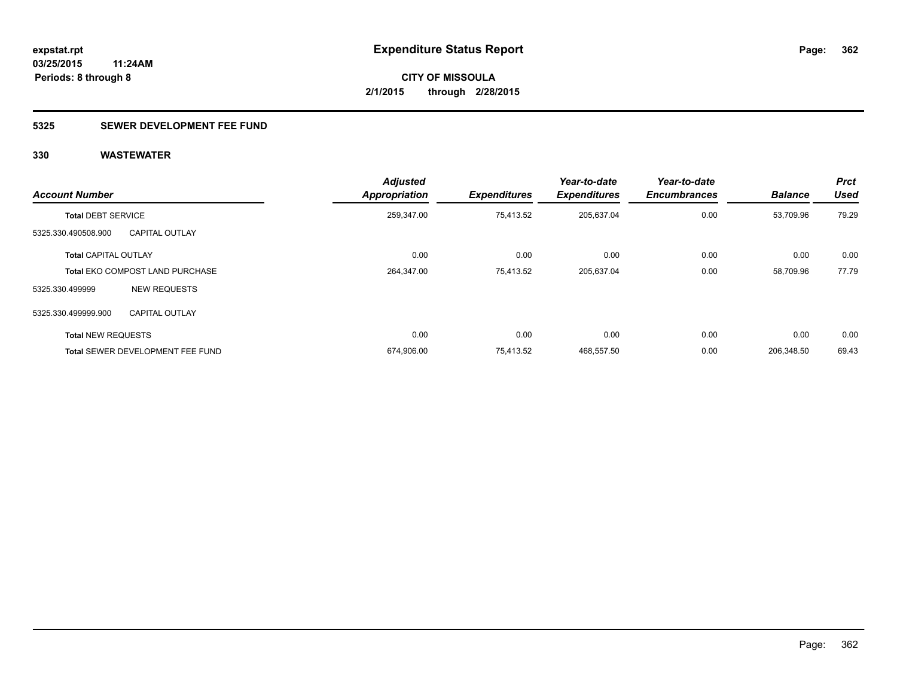### **5325 SEWER DEVELOPMENT FEE FUND**

| <b>Account Number</b>       |                                         | <b>Adjusted</b><br><b>Appropriation</b> | <b>Expenditures</b> | Year-to-date<br><b>Expenditures</b> | Year-to-date<br><b>Encumbrances</b> | <b>Balance</b> | <b>Prct</b><br><b>Used</b> |
|-----------------------------|-----------------------------------------|-----------------------------------------|---------------------|-------------------------------------|-------------------------------------|----------------|----------------------------|
| <b>Total DEBT SERVICE</b>   |                                         | 259,347.00                              | 75,413.52           | 205,637.04                          | 0.00                                | 53.709.96      | 79.29                      |
| 5325.330.490508.900         | <b>CAPITAL OUTLAY</b>                   |                                         |                     |                                     |                                     |                |                            |
| <b>Total CAPITAL OUTLAY</b> |                                         | 0.00                                    | 0.00                | 0.00                                | 0.00                                | 0.00           | 0.00                       |
|                             | <b>Total EKO COMPOST LAND PURCHASE</b>  | 264,347.00                              | 75,413.52           | 205,637.04                          | 0.00                                | 58,709.96      | 77.79                      |
| 5325.330.499999             | <b>NEW REQUESTS</b>                     |                                         |                     |                                     |                                     |                |                            |
| 5325.330.499999.900         | <b>CAPITAL OUTLAY</b>                   |                                         |                     |                                     |                                     |                |                            |
| <b>Total NEW REQUESTS</b>   |                                         | 0.00                                    | 0.00                | 0.00                                | 0.00                                | 0.00           | 0.00                       |
|                             | <b>Total SEWER DEVELOPMENT FEE FUND</b> | 674,906.00                              | 75.413.52           | 468.557.50                          | 0.00                                | 206.348.50     | 69.43                      |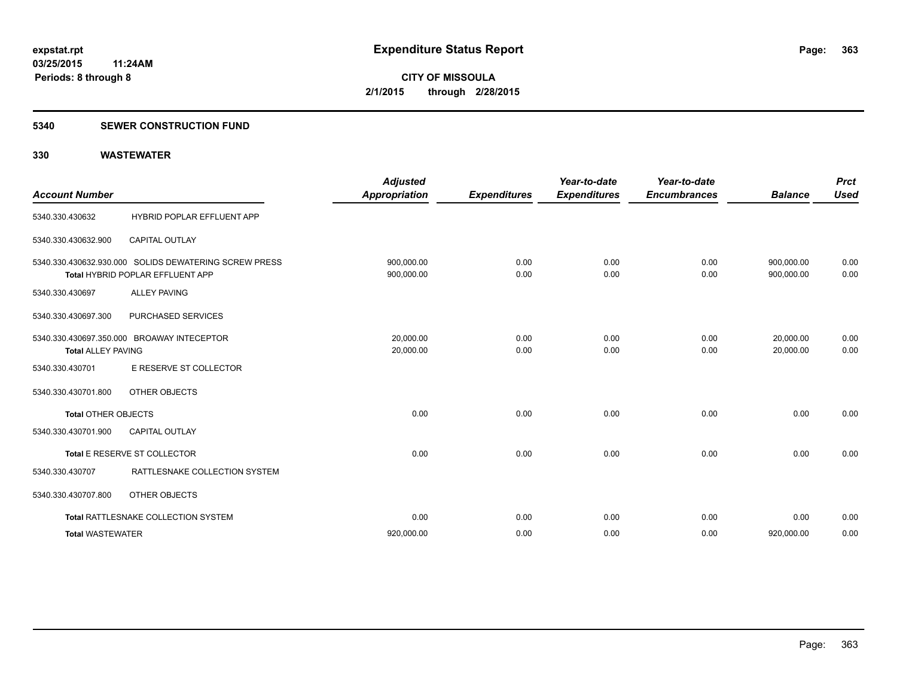#### **5340 SEWER CONSTRUCTION FUND**

| <b>Account Number</b>      |                                                                                           | <b>Adjusted</b><br><b>Appropriation</b> | <b>Expenditures</b> | Year-to-date<br><b>Expenditures</b> | Year-to-date<br><b>Encumbrances</b> | <b>Balance</b>           | <b>Prct</b><br><b>Used</b> |
|----------------------------|-------------------------------------------------------------------------------------------|-----------------------------------------|---------------------|-------------------------------------|-------------------------------------|--------------------------|----------------------------|
| 5340.330.430632            | HYBRID POPLAR EFFLUENT APP                                                                |                                         |                     |                                     |                                     |                          |                            |
| 5340.330.430632.900        | <b>CAPITAL OUTLAY</b>                                                                     |                                         |                     |                                     |                                     |                          |                            |
|                            | 5340.330.430632.930.000 SOLIDS DEWATERING SCREW PRESS<br>Total HYBRID POPLAR EFFLUENT APP | 900.000.00<br>900,000.00                | 0.00<br>0.00        | 0.00<br>0.00                        | 0.00<br>0.00                        | 900.000.00<br>900,000.00 | 0.00<br>0.00               |
| 5340.330.430697            | <b>ALLEY PAVING</b>                                                                       |                                         |                     |                                     |                                     |                          |                            |
| 5340.330.430697.300        | PURCHASED SERVICES                                                                        |                                         |                     |                                     |                                     |                          |                            |
| <b>Total ALLEY PAVING</b>  | 5340.330.430697.350.000 BROAWAY INTECEPTOR                                                | 20.000.00<br>20,000.00                  | 0.00<br>0.00        | 0.00<br>0.00                        | 0.00<br>0.00                        | 20,000.00<br>20.000.00   | 0.00<br>0.00               |
| 5340.330.430701            | E RESERVE ST COLLECTOR                                                                    |                                         |                     |                                     |                                     |                          |                            |
| 5340.330.430701.800        | OTHER OBJECTS                                                                             |                                         |                     |                                     |                                     |                          |                            |
| <b>Total OTHER OBJECTS</b> |                                                                                           | 0.00                                    | 0.00                | 0.00                                | 0.00                                | 0.00                     | 0.00                       |
| 5340.330.430701.900        | <b>CAPITAL OUTLAY</b>                                                                     |                                         |                     |                                     |                                     |                          |                            |
|                            | Total E RESERVE ST COLLECTOR                                                              | 0.00                                    | 0.00                | 0.00                                | 0.00                                | 0.00                     | 0.00                       |
| 5340.330.430707            | RATTLESNAKE COLLECTION SYSTEM                                                             |                                         |                     |                                     |                                     |                          |                            |
| 5340.330.430707.800        | OTHER OBJECTS                                                                             |                                         |                     |                                     |                                     |                          |                            |
|                            | Total RATTLESNAKE COLLECTION SYSTEM                                                       | 0.00                                    | 0.00                | 0.00                                | 0.00                                | 0.00                     | 0.00                       |
| <b>Total WASTEWATER</b>    |                                                                                           | 920,000.00                              | 0.00                | 0.00                                | 0.00                                | 920,000.00               | 0.00                       |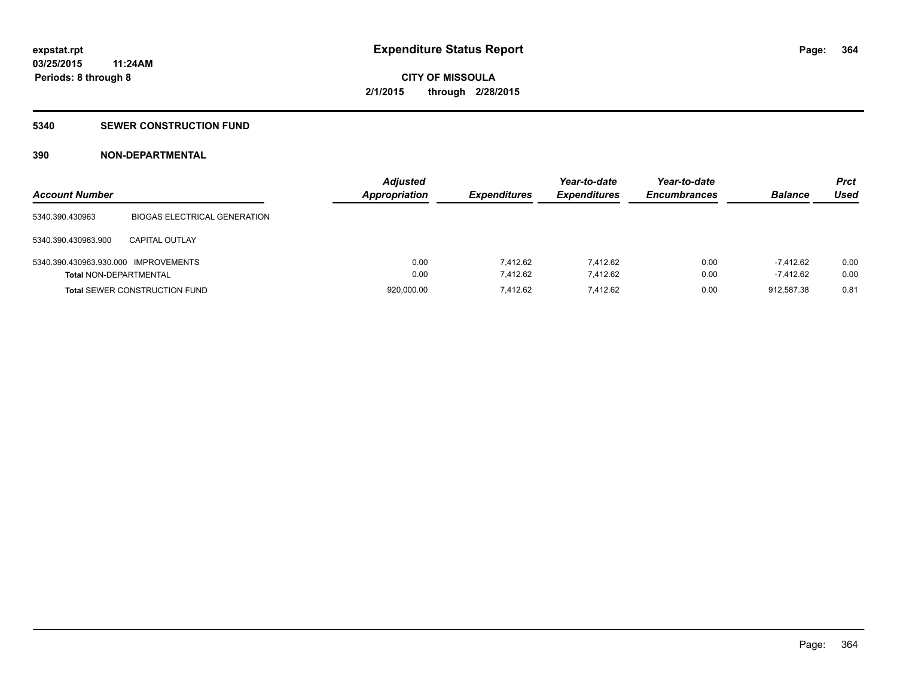#### **5340 SEWER CONSTRUCTION FUND**

### **390 NON-DEPARTMENTAL**

| <b>Account Number</b>                |                                      | <b>Adjusted</b><br><b>Appropriation</b> | <b>Expenditures</b> | Year-to-date<br><b>Expenditures</b> | Year-to-date<br><b>Encumbrances</b> | <b>Balance</b> | Prct<br>Used |
|--------------------------------------|--------------------------------------|-----------------------------------------|---------------------|-------------------------------------|-------------------------------------|----------------|--------------|
| 5340.390.430963                      | <b>BIOGAS ELECTRICAL GENERATION</b>  |                                         |                     |                                     |                                     |                |              |
| 5340.390.430963.900                  | CAPITAL OUTLAY                       |                                         |                     |                                     |                                     |                |              |
| 5340.390.430963.930.000 IMPROVEMENTS |                                      | 0.00                                    | 7.412.62            | 7.412.62                            | 0.00                                | -7.412.62      | 0.00         |
| <b>Total NON-DEPARTMENTAL</b>        |                                      | 0.00                                    | 7.412.62            | 7.412.62                            | 0.00                                | $-7.412.62$    | 0.00         |
|                                      | <b>Total SEWER CONSTRUCTION FUND</b> | 920,000.00                              | 7.412.62            | 7.412.62                            | 0.00                                | 912.587.38     | 0.81         |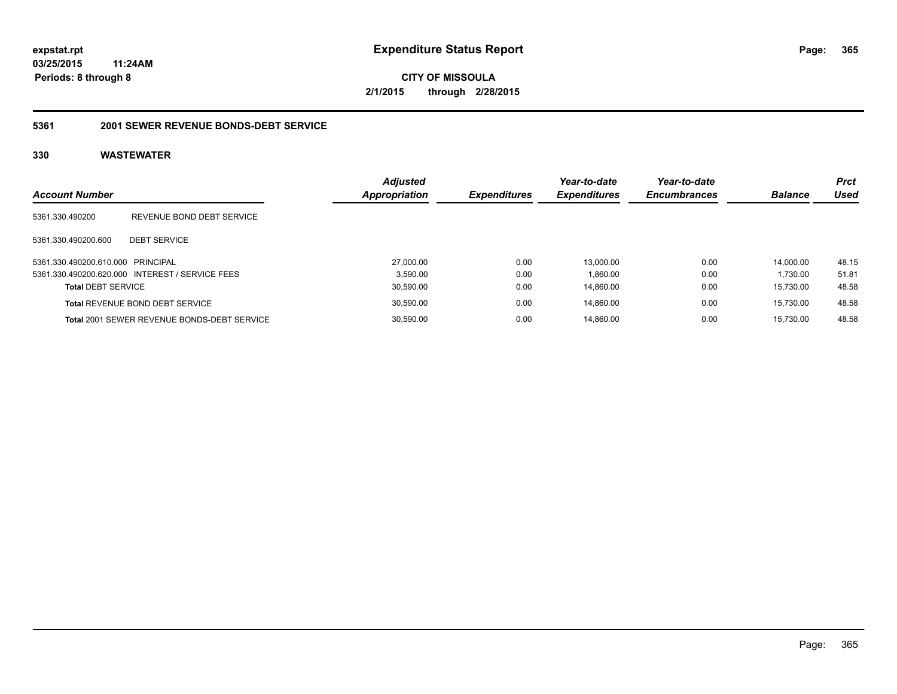**CITY OF MISSOULA 2/1/2015 through 2/28/2015**

#### **5361 2001 SEWER REVENUE BONDS-DEBT SERVICE**

| <b>Account Number</b>             |                                                 | <b>Adjusted</b><br><b>Appropriation</b> | <b>Expenditures</b> | Year-to-date<br><b>Expenditures</b> | Year-to-date<br><b>Encumbrances</b> | <b>Balance</b> | <b>Prct</b><br>Used |
|-----------------------------------|-------------------------------------------------|-----------------------------------------|---------------------|-------------------------------------|-------------------------------------|----------------|---------------------|
| 5361.330.490200                   | REVENUE BOND DEBT SERVICE                       |                                         |                     |                                     |                                     |                |                     |
| 5361.330.490200.600               | <b>DEBT SERVICE</b>                             |                                         |                     |                                     |                                     |                |                     |
| 5361.330.490200.610.000 PRINCIPAL |                                                 | 27,000.00                               | 0.00                | 13.000.00                           | 0.00                                | 14.000.00      | 48.15               |
|                                   | 5361.330.490200.620.000 INTEREST / SERVICE FEES |                                         | 3.590.00<br>0.00    | 1,860.00                            | 0.00                                | 1.730.00       | 51.81               |
| <b>Total DEBT SERVICE</b>         |                                                 | 30,590.00                               | 0.00                | 14,860.00                           | 0.00                                | 15.730.00      | 48.58               |
|                                   | <b>Total REVENUE BOND DEBT SERVICE</b>          | 30,590.00                               | 0.00                | 14.860.00                           | 0.00                                | 15.730.00      | 48.58               |
|                                   | Total 2001 SEWER REVENUE BONDS-DEBT SERVICE     | 30,590.00                               | 0.00                | 14.860.00                           | 0.00                                | 15.730.00      | 48.58               |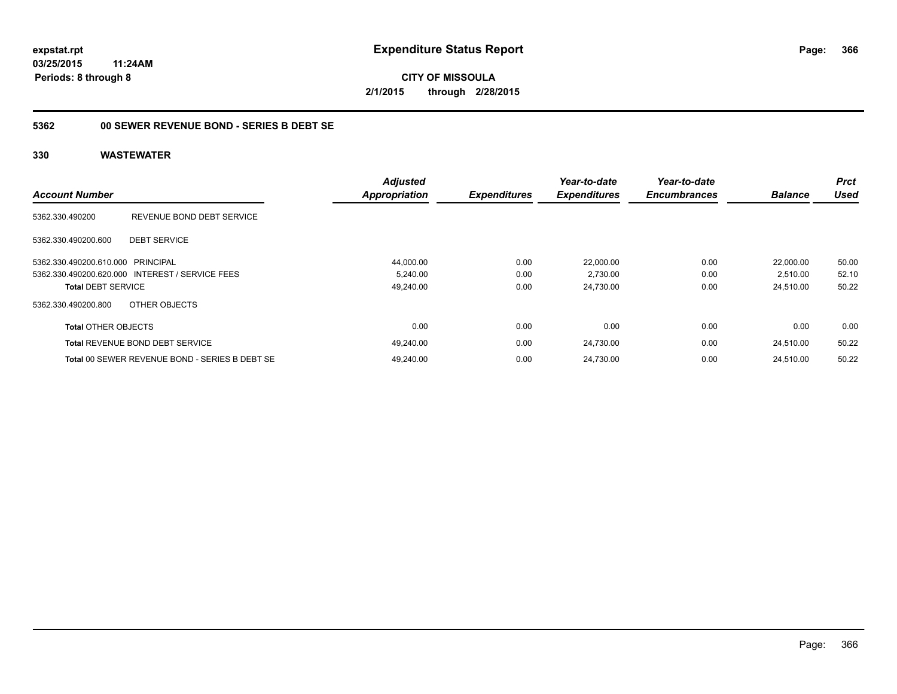**CITY OF MISSOULA 2/1/2015 through 2/28/2015**

#### **5362 00 SEWER REVENUE BOND - SERIES B DEBT SE**

| <b>Account Number</b>             |                                                 | <b>Adjusted</b><br><b>Appropriation</b> | <b>Expenditures</b> | Year-to-date<br><b>Expenditures</b> | Year-to-date<br><b>Encumbrances</b> | <b>Balance</b> | <b>Prct</b><br><b>Used</b> |
|-----------------------------------|-------------------------------------------------|-----------------------------------------|---------------------|-------------------------------------|-------------------------------------|----------------|----------------------------|
|                                   |                                                 |                                         |                     |                                     |                                     |                |                            |
| 5362.330.490200                   | REVENUE BOND DEBT SERVICE                       |                                         |                     |                                     |                                     |                |                            |
| 5362.330.490200.600               | <b>DEBT SERVICE</b>                             |                                         |                     |                                     |                                     |                |                            |
| 5362.330.490200.610.000 PRINCIPAL |                                                 | 44,000.00                               | 0.00                | 22,000.00                           | 0.00                                | 22.000.00      | 50.00                      |
|                                   | 5362.330.490200.620.000 INTEREST / SERVICE FEES | 5,240.00                                | 0.00                | 2,730.00                            | 0.00                                | 2,510.00       | 52.10                      |
| <b>Total DEBT SERVICE</b>         |                                                 | 49,240.00                               | 0.00                | 24,730.00                           | 0.00                                | 24,510.00      | 50.22                      |
| 5362.330.490200.800               | OTHER OBJECTS                                   |                                         |                     |                                     |                                     |                |                            |
| <b>Total OTHER OBJECTS</b>        |                                                 | 0.00                                    | 0.00                | 0.00                                | 0.00                                | 0.00           | 0.00                       |
|                                   | <b>Total REVENUE BOND DEBT SERVICE</b>          | 49,240.00                               | 0.00                | 24,730.00                           | 0.00                                | 24.510.00      | 50.22                      |
|                                   | Total 00 SEWER REVENUE BOND - SERIES B DEBT SE  | 49.240.00                               | 0.00                | 24.730.00                           | 0.00                                | 24.510.00      | 50.22                      |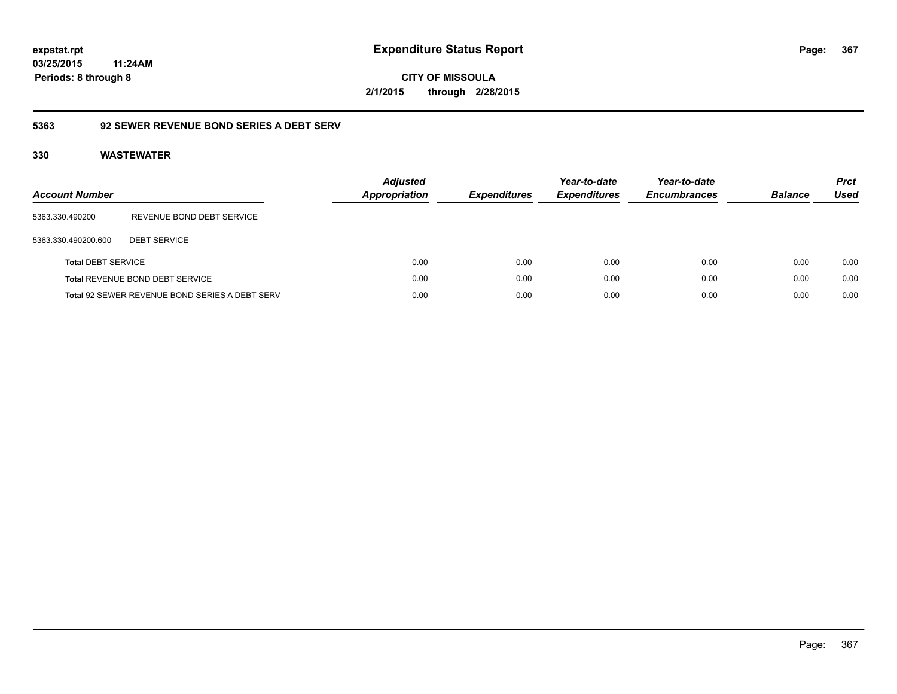**CITY OF MISSOULA 2/1/2015 through 2/28/2015**

### **5363 92 SEWER REVENUE BOND SERIES A DEBT SERV**

| Account Number            |                                                | <b>Adjusted</b><br><b>Appropriation</b> | <b>Expenditures</b> | Year-to-date<br><b>Expenditures</b> | Year-to-date<br><b>Encumbrances</b> | <b>Balance</b> | <b>Prct</b><br>Used |
|---------------------------|------------------------------------------------|-----------------------------------------|---------------------|-------------------------------------|-------------------------------------|----------------|---------------------|
| 5363.330.490200           | REVENUE BOND DEBT SERVICE                      |                                         |                     |                                     |                                     |                |                     |
| 5363.330.490200.600       | <b>DEBT SERVICE</b>                            |                                         |                     |                                     |                                     |                |                     |
| <b>Total DEBT SERVICE</b> |                                                | 0.00                                    | 0.00                | 0.00                                | 0.00                                | 0.00           | 0.00                |
|                           | Total REVENUE BOND DEBT SERVICE                | 0.00                                    | 0.00                | 0.00                                | 0.00                                | 0.00           | 0.00                |
|                           | Total 92 SEWER REVENUE BOND SERIES A DEBT SERV | 0.00                                    | 0.00                | 0.00                                | 0.00                                | 0.00           | 0.00                |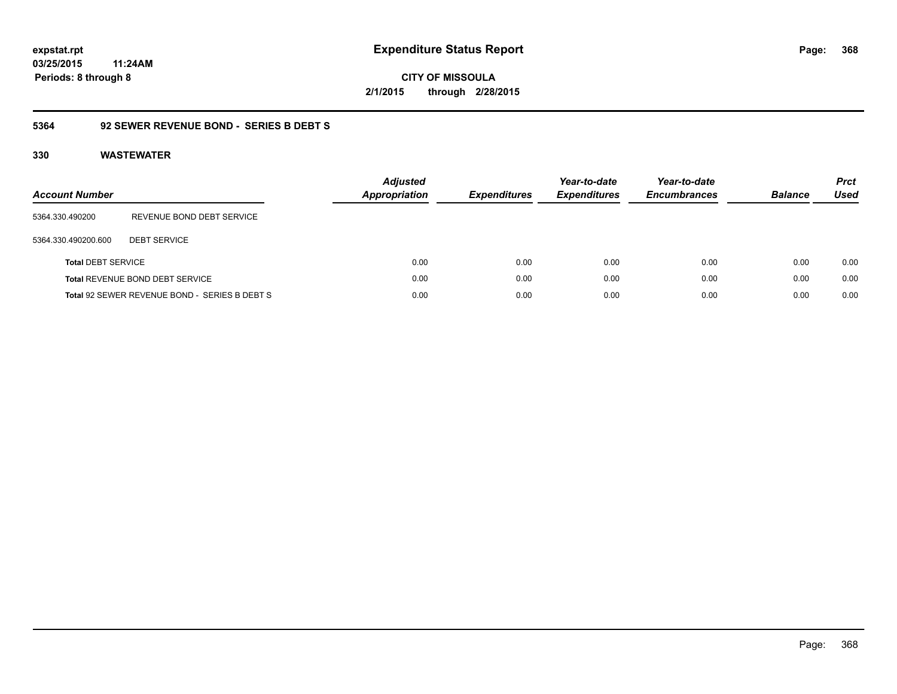**368**

**03/25/2015 11:24AM Periods: 8 through 8**

**CITY OF MISSOULA 2/1/2015 through 2/28/2015**

#### **5364 92 SEWER REVENUE BOND - SERIES B DEBT S**

| <b>Account Number</b>     |                                               | <b>Adjusted</b><br><b>Appropriation</b> | <b>Expenditures</b> | Year-to-date<br><b>Expenditures</b> | Year-to-date<br><b>Encumbrances</b> | <b>Balance</b> | <b>Prct</b><br><b>Used</b> |
|---------------------------|-----------------------------------------------|-----------------------------------------|---------------------|-------------------------------------|-------------------------------------|----------------|----------------------------|
| 5364.330.490200           | REVENUE BOND DEBT SERVICE                     |                                         |                     |                                     |                                     |                |                            |
| 5364.330.490200.600       | <b>DEBT SERVICE</b>                           |                                         |                     |                                     |                                     |                |                            |
| <b>Total DEBT SERVICE</b> |                                               | 0.00                                    | 0.00                | 0.00                                | 0.00                                | 0.00           | 0.00                       |
|                           | Total REVENUE BOND DEBT SERVICE               | 0.00                                    | 0.00                | 0.00                                | 0.00                                | 0.00           | 0.00                       |
|                           | Total 92 SEWER REVENUE BOND - SERIES B DEBT S | 0.00                                    | 0.00                | 0.00                                | 0.00                                | 0.00           | 0.00                       |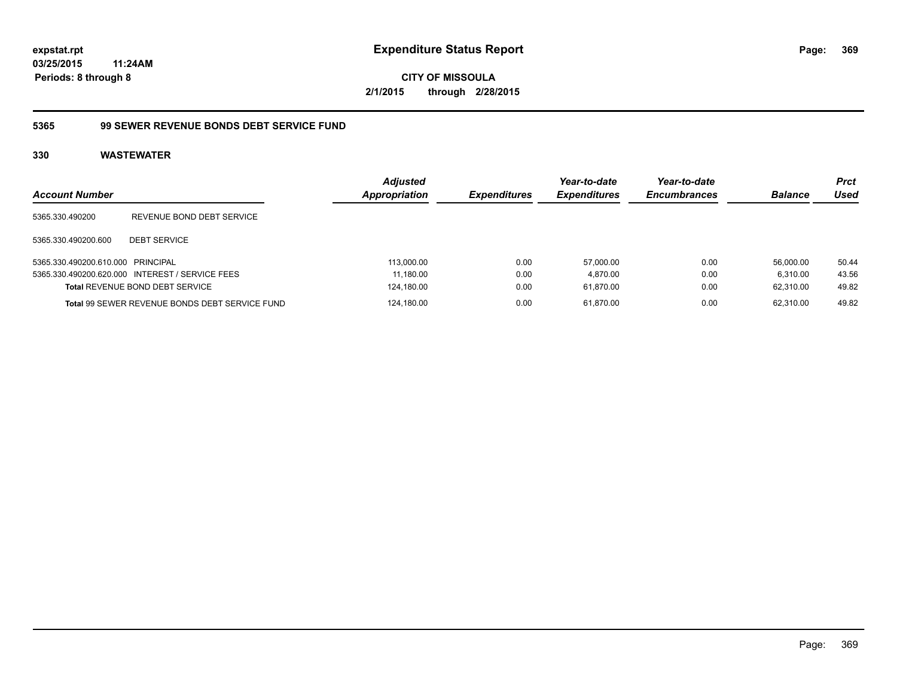**CITY OF MISSOULA 2/1/2015 through 2/28/2015**

#### **5365 99 SEWER REVENUE BONDS DEBT SERVICE FUND**

| <b>Account Number</b>             |                                                 | <b>Adjusted</b><br><b>Appropriation</b> | <i><b>Expenditures</b></i> | Year-to-date<br><b>Expenditures</b> | Year-to-date<br><b>Encumbrances</b> | <b>Balance</b> | <b>Prct</b><br>Used |
|-----------------------------------|-------------------------------------------------|-----------------------------------------|----------------------------|-------------------------------------|-------------------------------------|----------------|---------------------|
| 5365.330.490200                   | REVENUE BOND DEBT SERVICE                       |                                         |                            |                                     |                                     |                |                     |
| 5365.330.490200.600               | <b>DEBT SERVICE</b>                             |                                         |                            |                                     |                                     |                |                     |
| 5365.330.490200.610.000 PRINCIPAL |                                                 | 113,000.00                              | 0.00                       | 57.000.00                           | 0.00                                | 56.000.00      | 50.44               |
|                                   | 5365.330.490200.620.000 INTEREST / SERVICE FEES | 11,180.00                               | 0.00                       | 4,870.00                            | 0.00                                | 6.310.00       | 43.56               |
|                                   | <b>Total REVENUE BOND DEBT SERVICE</b>          | 124,180.00                              | 0.00                       | 61,870.00                           | 0.00                                | 62.310.00      | 49.82               |
|                                   | Total 99 SEWER REVENUE BONDS DEBT SERVICE FUND  | 124,180.00                              | 0.00                       | 61.870.00                           | 0.00                                | 62.310.00      | 49.82               |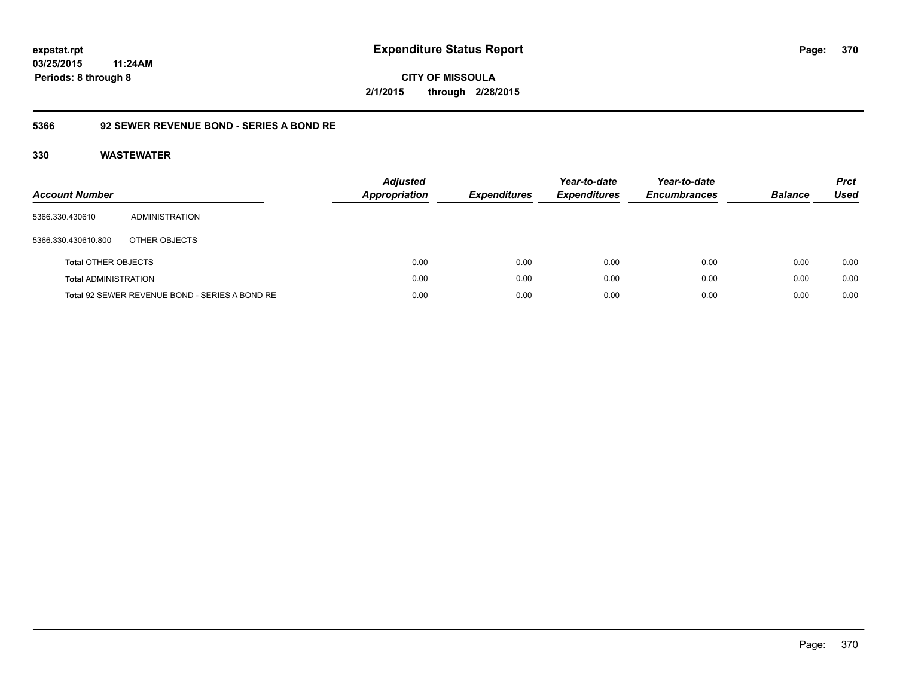**CITY OF MISSOULA 2/1/2015 through 2/28/2015**

### **5366 92 SEWER REVENUE BOND - SERIES A BOND RE**

| Account Number              |                                                | <b>Adjusted</b><br><b>Appropriation</b> | <b>Expenditures</b> | Year-to-date<br><b>Expenditures</b> | Year-to-date<br><b>Encumbrances</b> | <b>Balance</b> | <b>Prct</b><br>Used |
|-----------------------------|------------------------------------------------|-----------------------------------------|---------------------|-------------------------------------|-------------------------------------|----------------|---------------------|
| 5366.330.430610             | ADMINISTRATION                                 |                                         |                     |                                     |                                     |                |                     |
| 5366.330.430610.800         | OTHER OBJECTS                                  |                                         |                     |                                     |                                     |                |                     |
| <b>Total OTHER OBJECTS</b>  |                                                | 0.00                                    | 0.00                | 0.00                                | 0.00                                | 0.00           | 0.00                |
| <b>Total ADMINISTRATION</b> |                                                | 0.00                                    | 0.00                | 0.00                                | 0.00                                | 0.00           | 0.00                |
|                             | Total 92 SEWER REVENUE BOND - SERIES A BOND RE | 0.00                                    | 0.00                | 0.00                                | 0.00                                | 0.00           | 0.00                |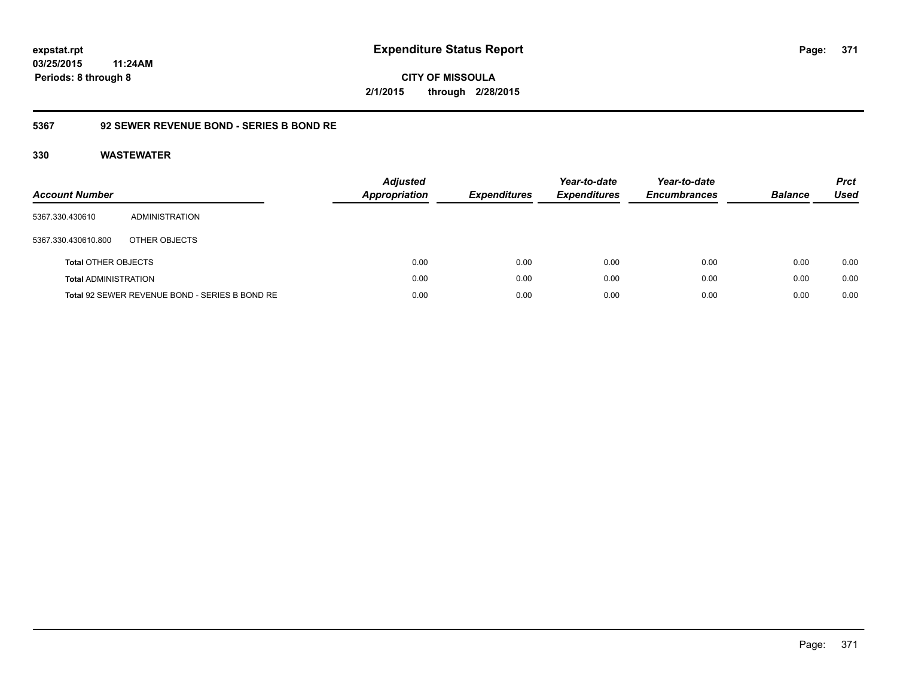**371**

**03/25/2015 11:24AM Periods: 8 through 8**

**CITY OF MISSOULA 2/1/2015 through 2/28/2015**

### **5367 92 SEWER REVENUE BOND - SERIES B BOND RE**

| Account Number              |                                                | <b>Adjusted</b><br><b>Appropriation</b> | <b>Expenditures</b> | Year-to-date<br><b>Expenditures</b> | Year-to-date<br><b>Encumbrances</b> | <b>Balance</b> | <b>Prct</b><br><b>Used</b> |
|-----------------------------|------------------------------------------------|-----------------------------------------|---------------------|-------------------------------------|-------------------------------------|----------------|----------------------------|
| 5367.330.430610             | ADMINISTRATION                                 |                                         |                     |                                     |                                     |                |                            |
| 5367.330.430610.800         | OTHER OBJECTS                                  |                                         |                     |                                     |                                     |                |                            |
| <b>Total OTHER OBJECTS</b>  |                                                | 0.00                                    | 0.00                | 0.00                                | 0.00                                | 0.00           | 0.00                       |
| <b>Total ADMINISTRATION</b> |                                                | 0.00                                    | 0.00                | 0.00                                | 0.00                                | 0.00           | 0.00                       |
|                             | Total 92 SEWER REVENUE BOND - SERIES B BOND RE | 0.00                                    | 0.00                | 0.00                                | 0.00                                | 0.00           | 0.00                       |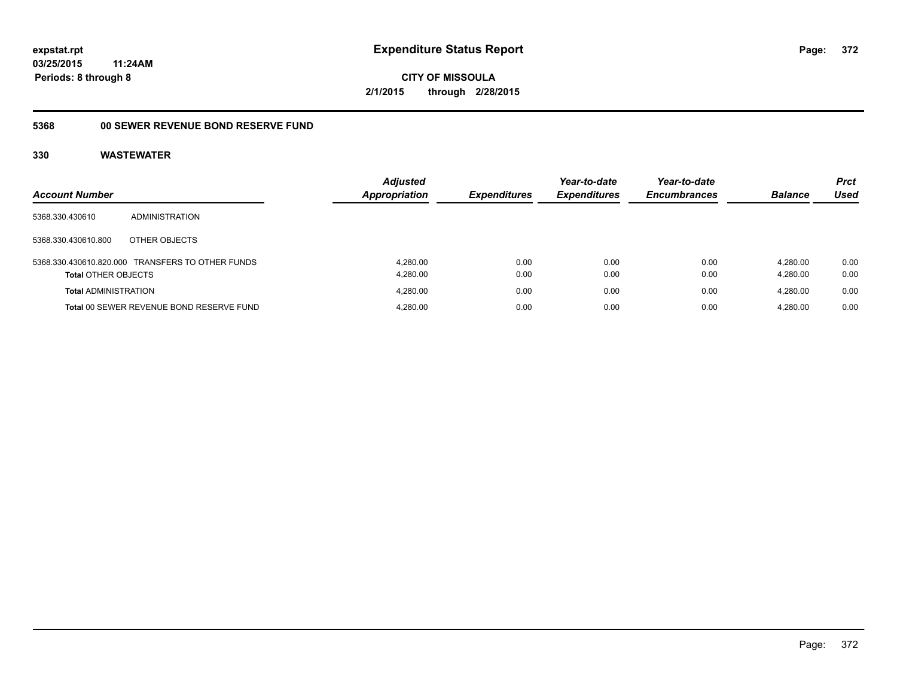**372**

**03/25/2015 11:24AM Periods: 8 through 8**

**CITY OF MISSOULA 2/1/2015 through 2/28/2015**

## **5368 00 SEWER REVENUE BOND RESERVE FUND**

| <b>Account Number</b>       |                                                  | <b>Adjusted</b><br><b>Appropriation</b> | <b>Expenditures</b> | Year-to-date<br><b>Expenditures</b> | Year-to-date<br><b>Encumbrances</b> | <b>Balance</b>       | <b>Prct</b><br>Used |
|-----------------------------|--------------------------------------------------|-----------------------------------------|---------------------|-------------------------------------|-------------------------------------|----------------------|---------------------|
| 5368.330.430610             | ADMINISTRATION                                   |                                         |                     |                                     |                                     |                      |                     |
| 5368.330.430610.800         | OTHER OBJECTS                                    |                                         |                     |                                     |                                     |                      |                     |
| <b>Total OTHER OBJECTS</b>  | 5368.330.430610.820.000 TRANSFERS TO OTHER FUNDS | 4.280.00<br>4,280.00                    | 0.00<br>0.00        | 0.00<br>0.00                        | 0.00<br>0.00                        | 4.280.00<br>4.280.00 | 0.00<br>0.00        |
| <b>Total ADMINISTRATION</b> |                                                  | 4.280.00                                | 0.00                | 0.00                                | 0.00                                | 4.280.00             | 0.00                |
|                             | Total 00 SEWER REVENUE BOND RESERVE FUND         | 4.280.00                                | 0.00                | 0.00                                | 0.00                                | 4.280.00             | 0.00                |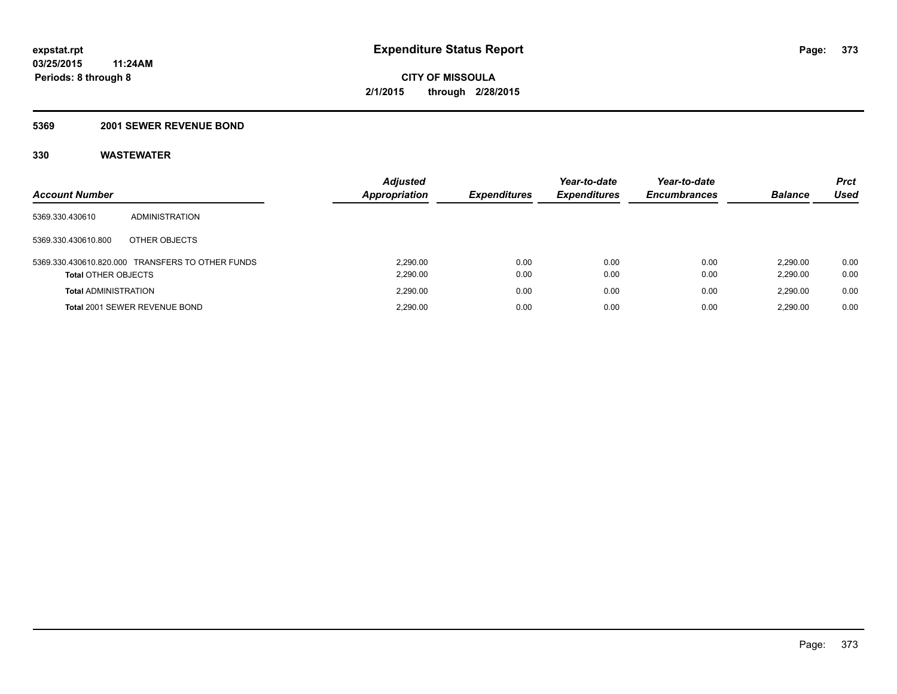#### **5369 2001 SEWER REVENUE BOND**

| <b>Account Number</b>       |                                                  | <b>Adjusted</b><br>Appropriation | <b>Expenditures</b> | Year-to-date<br><b>Expenditures</b> | Year-to-date<br><b>Encumbrances</b> | <b>Balance</b>       | <b>Prct</b><br>Used |
|-----------------------------|--------------------------------------------------|----------------------------------|---------------------|-------------------------------------|-------------------------------------|----------------------|---------------------|
| 5369.330.430610             | ADMINISTRATION                                   |                                  |                     |                                     |                                     |                      |                     |
| 5369.330.430610.800         | OTHER OBJECTS                                    |                                  |                     |                                     |                                     |                      |                     |
| <b>Total OTHER OBJECTS</b>  | 5369.330.430610.820.000 TRANSFERS TO OTHER FUNDS | 2.290.00<br>2,290.00             | 0.00<br>0.00        | 0.00<br>0.00                        | 0.00<br>0.00                        | 2.290.00<br>2,290.00 | 0.00<br>0.00        |
| <b>Total ADMINISTRATION</b> |                                                  | 2.290.00                         | 0.00                | 0.00                                | 0.00                                | 2.290.00             | 0.00                |
|                             | Total 2001 SEWER REVENUE BOND                    | 2.290.00                         | 0.00                | 0.00                                | 0.00                                | 2.290.00             | 0.00                |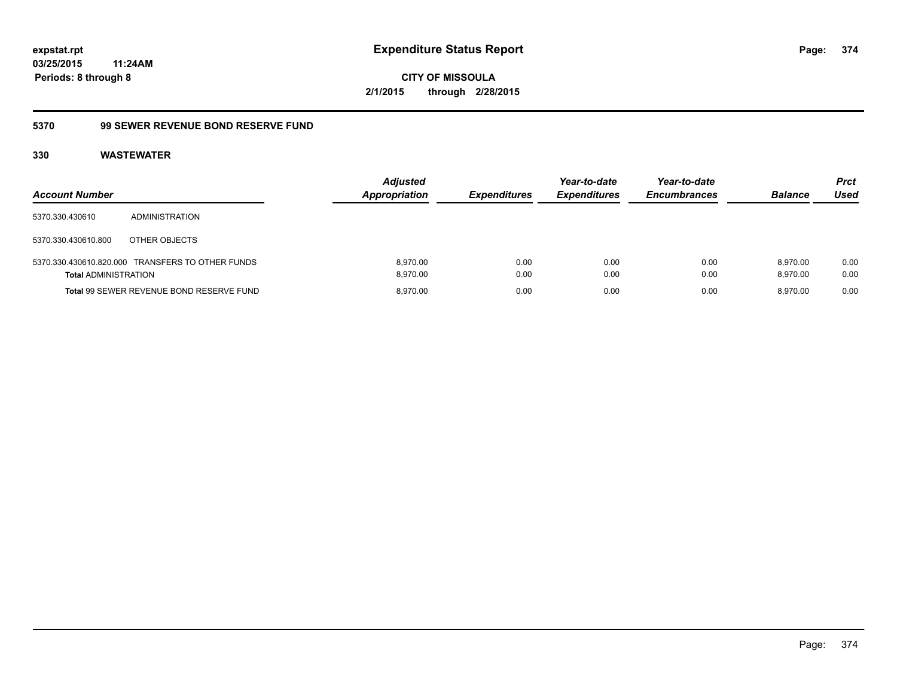**CITY OF MISSOULA 2/1/2015 through 2/28/2015**

#### **5370 99 SEWER REVENUE BOND RESERVE FUND**

| <b>Account Number</b>       |                                                  | <b>Adjusted</b><br>Appropriation | <b>Expenditures</b> | Year-to-date<br><b>Expenditures</b> | Year-to-date<br><b>Encumbrances</b> | <b>Balance</b>       | <b>Prct</b><br>Used |
|-----------------------------|--------------------------------------------------|----------------------------------|---------------------|-------------------------------------|-------------------------------------|----------------------|---------------------|
| 5370.330.430610             | ADMINISTRATION                                   |                                  |                     |                                     |                                     |                      |                     |
| 5370.330.430610.800         | OTHER OBJECTS                                    |                                  |                     |                                     |                                     |                      |                     |
| <b>Total ADMINISTRATION</b> | 5370.330.430610.820.000 TRANSFERS TO OTHER FUNDS | 8.970.00<br>8.970.00             | 0.00<br>0.00        | 0.00<br>0.00                        | 0.00<br>0.00                        | 8.970.00<br>8.970.00 | 0.00<br>0.00        |
|                             | Total 99 SEWER REVENUE BOND RESERVE FUND         | 8.970.00                         | 0.00                | 0.00                                | 0.00                                | 8.970.00             | 0.00                |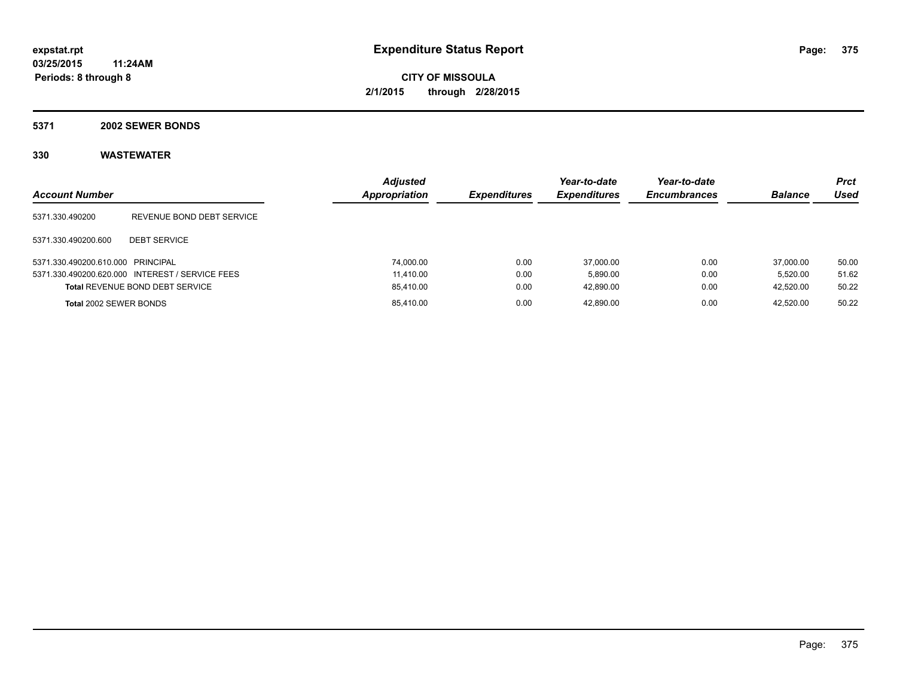#### **5371 2002 SEWER BONDS**

| <b>Account Number</b>             |                                                 | <b>Adjusted</b><br>Appropriation | <b>Expenditures</b> | Year-to-date<br><b>Expenditures</b> | Year-to-date<br><b>Encumbrances</b> | <b>Balance</b> | Prct<br><b>Used</b> |
|-----------------------------------|-------------------------------------------------|----------------------------------|---------------------|-------------------------------------|-------------------------------------|----------------|---------------------|
| 5371.330.490200                   | REVENUE BOND DEBT SERVICE                       |                                  |                     |                                     |                                     |                |                     |
| 5371.330.490200.600               | <b>DEBT SERVICE</b>                             |                                  |                     |                                     |                                     |                |                     |
| 5371.330.490200.610.000 PRINCIPAL |                                                 | 74.000.00                        | 0.00                | 37.000.00                           | 0.00                                | 37,000.00      | 50.00               |
|                                   | 5371.330.490200.620.000 INTEREST / SERVICE FEES | 11.410.00                        | 0.00                | 5.890.00                            | 0.00                                | 5.520.00       | 51.62               |
|                                   | <b>Total REVENUE BOND DEBT SERVICE</b>          | 85,410.00                        | 0.00                | 42.890.00                           | 0.00                                | 42,520.00      | 50.22               |
| Total 2002 SEWER BONDS            |                                                 | 85,410.00                        | 0.00                | 42.890.00                           | 0.00                                | 42.520.00      | 50.22               |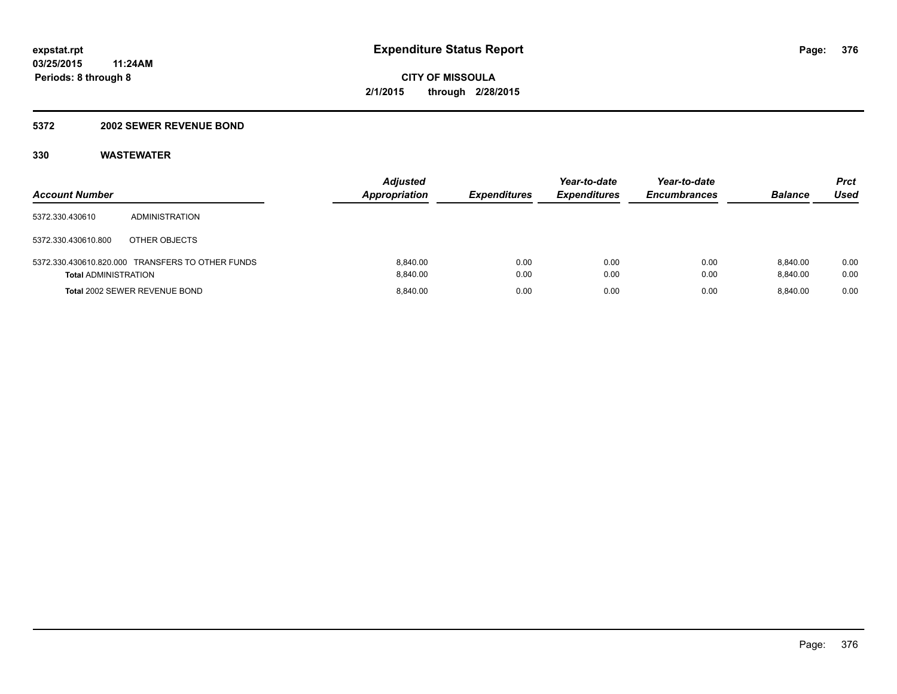#### **5372 2002 SEWER REVENUE BOND**

| <b>Account Number</b>       |                                                  | <b>Adjusted</b><br><b>Appropriation</b> | <b>Expenditures</b> | Year-to-date<br><b>Expenditures</b> | Year-to-date<br><b>Encumbrances</b> | <b>Balance</b>       | Prct<br>Used |
|-----------------------------|--------------------------------------------------|-----------------------------------------|---------------------|-------------------------------------|-------------------------------------|----------------------|--------------|
| 5372.330.430610             | ADMINISTRATION                                   |                                         |                     |                                     |                                     |                      |              |
| 5372.330.430610.800         | OTHER OBJECTS                                    |                                         |                     |                                     |                                     |                      |              |
| <b>Total ADMINISTRATION</b> | 5372.330.430610.820.000 TRANSFERS TO OTHER FUNDS | 8.840.00<br>8.840.00                    | 0.00<br>0.00        | 0.00<br>0.00                        | 0.00<br>0.00                        | 8.840.00<br>8.840.00 | 0.00<br>0.00 |
|                             | Total 2002 SEWER REVENUE BOND                    | 8.840.00                                | 0.00                | 0.00                                | 0.00                                | 8.840.00             | 0.00         |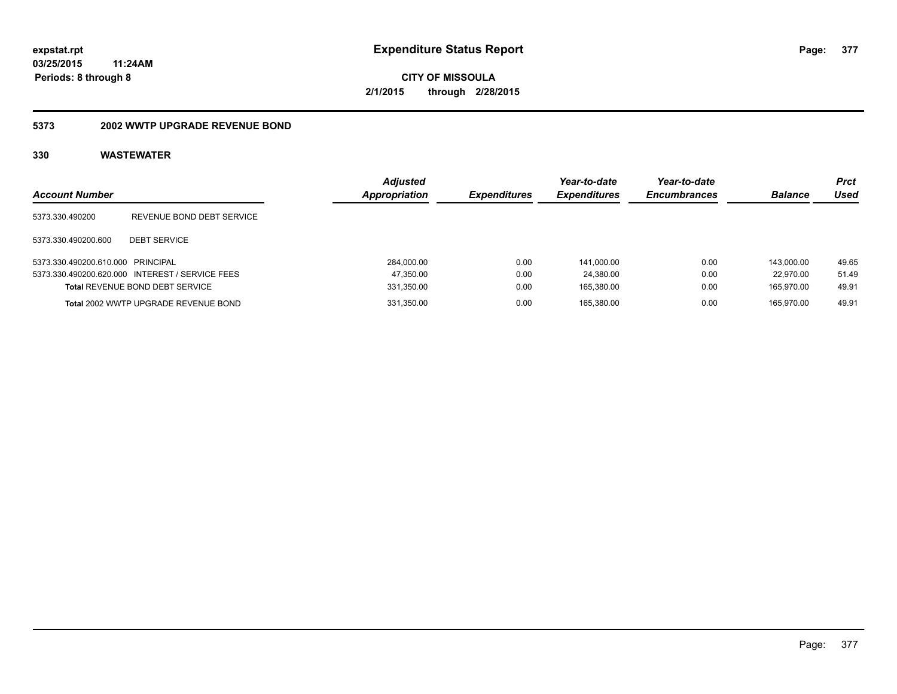**CITY OF MISSOULA 2/1/2015 through 2/28/2015**

#### **5373 2002 WWTP UPGRADE REVENUE BOND**

| <b>Account Number</b>             |                                                 | <b>Adjusted</b><br><b>Appropriation</b> | <b>Expenditures</b> | Year-to-date<br><b>Expenditures</b> | Year-to-date<br><b>Encumbrances</b> | <b>Balance</b> | Prct<br>Used |
|-----------------------------------|-------------------------------------------------|-----------------------------------------|---------------------|-------------------------------------|-------------------------------------|----------------|--------------|
| 5373.330.490200                   | REVENUE BOND DEBT SERVICE                       |                                         |                     |                                     |                                     |                |              |
| 5373.330.490200.600               | <b>DEBT SERVICE</b>                             |                                         |                     |                                     |                                     |                |              |
| 5373.330.490200.610.000 PRINCIPAL |                                                 | 284,000.00                              | 0.00                | 141.000.00                          | 0.00                                | 143.000.00     | 49.65        |
|                                   | 5373.330.490200.620.000 INTEREST / SERVICE FEES | 47,350.00                               | 0.00                | 24.380.00                           | 0.00                                | 22.970.00      | 51.49        |
|                                   | Total REVENUE BOND DEBT SERVICE                 | 331,350.00                              | 0.00                | 165.380.00                          | 0.00                                | 165.970.00     | 49.91        |
|                                   | Total 2002 WWTP UPGRADE REVENUE BOND            | 331,350.00                              | 0.00                | 165.380.00                          | 0.00                                | 165.970.00     | 49.91        |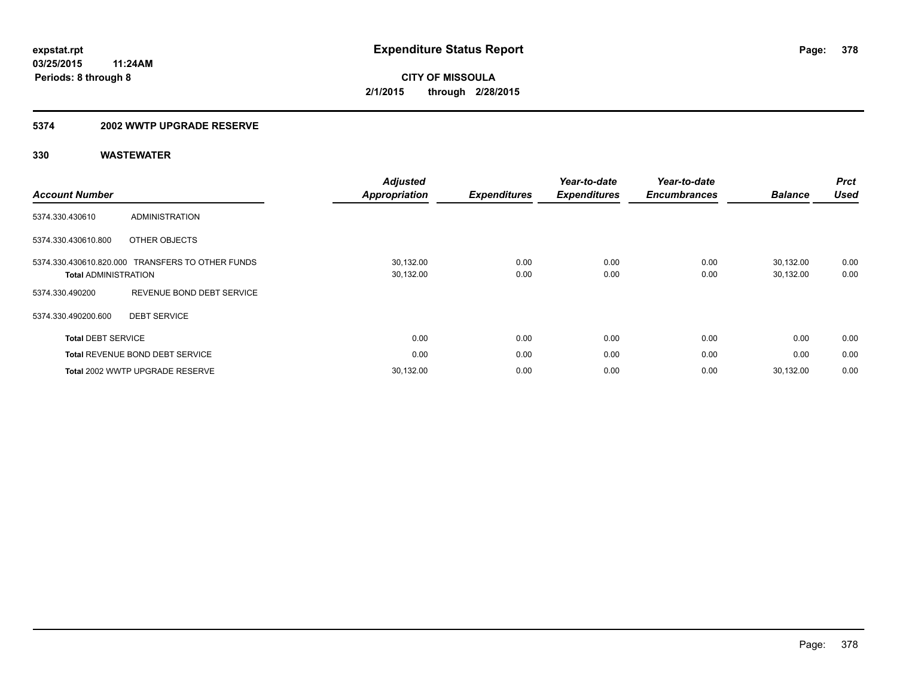#### **5374 2002 WWTP UPGRADE RESERVE**

| <b>Account Number</b>       |                                                  | <b>Adjusted</b><br>Appropriation | <b>Expenditures</b> | Year-to-date<br><b>Expenditures</b> | Year-to-date<br><b>Encumbrances</b> | <b>Balance</b>         | <b>Prct</b><br><b>Used</b> |
|-----------------------------|--------------------------------------------------|----------------------------------|---------------------|-------------------------------------|-------------------------------------|------------------------|----------------------------|
| 5374.330.430610             | <b>ADMINISTRATION</b>                            |                                  |                     |                                     |                                     |                        |                            |
| 5374.330.430610.800         | OTHER OBJECTS                                    |                                  |                     |                                     |                                     |                        |                            |
| <b>Total ADMINISTRATION</b> | 5374.330.430610.820.000 TRANSFERS TO OTHER FUNDS | 30,132.00<br>30,132.00           | 0.00<br>0.00        | 0.00<br>0.00                        | 0.00<br>0.00                        | 30,132.00<br>30,132.00 | 0.00<br>0.00               |
| 5374.330.490200             | REVENUE BOND DEBT SERVICE                        |                                  |                     |                                     |                                     |                        |                            |
| 5374.330.490200.600         | <b>DEBT SERVICE</b>                              |                                  |                     |                                     |                                     |                        |                            |
| <b>Total DEBT SERVICE</b>   |                                                  | 0.00                             | 0.00                | 0.00                                | 0.00                                | 0.00                   | 0.00                       |
|                             | <b>Total REVENUE BOND DEBT SERVICE</b>           | 0.00                             | 0.00                | 0.00                                | 0.00                                | 0.00                   | 0.00                       |
|                             | Total 2002 WWTP UPGRADE RESERVE                  | 30,132.00                        | 0.00                | 0.00                                | 0.00                                | 30,132.00              | 0.00                       |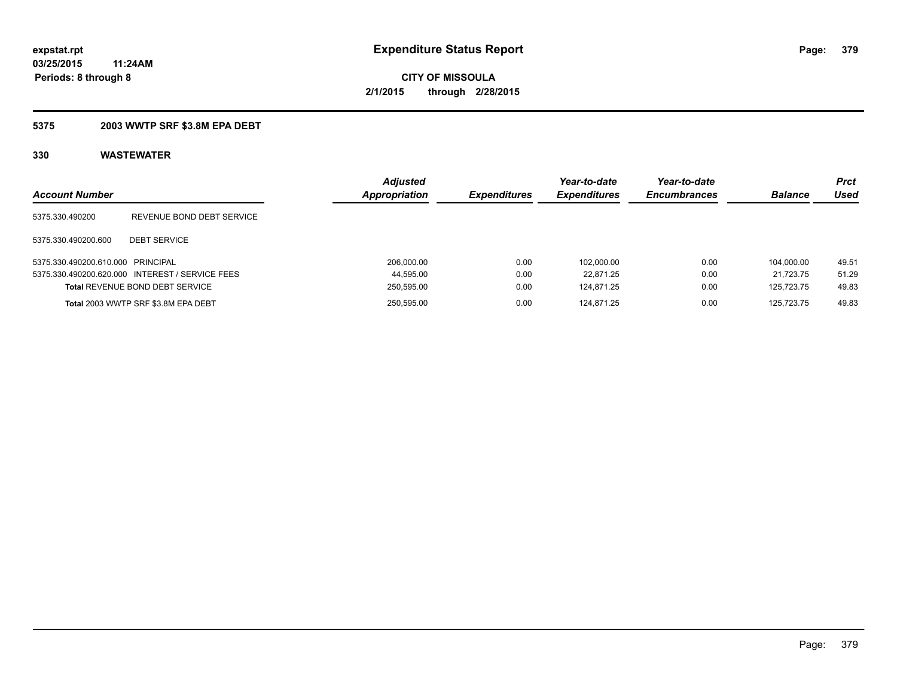### **5375 2003 WWTP SRF \$3.8M EPA DEBT**

| <b>Account Number</b>             |                                                 | <b>Adjusted</b><br>Appropriation | <b>Expenditures</b> | Year-to-date<br><b>Expenditures</b> | Year-to-date<br><b>Encumbrances</b> | <b>Balance</b> | <b>Prct</b><br>Used |
|-----------------------------------|-------------------------------------------------|----------------------------------|---------------------|-------------------------------------|-------------------------------------|----------------|---------------------|
| 5375.330.490200                   | REVENUE BOND DEBT SERVICE                       |                                  |                     |                                     |                                     |                |                     |
| 5375.330.490200.600               | <b>DEBT SERVICE</b>                             |                                  |                     |                                     |                                     |                |                     |
| 5375.330.490200.610.000 PRINCIPAL |                                                 | 206.000.00                       | 0.00                | 102.000.00                          | 0.00                                | 104.000.00     | 49.51               |
|                                   | 5375.330.490200.620.000 INTEREST / SERVICE FEES | 44,595.00                        | 0.00                | 22.871.25                           | 0.00                                | 21.723.75      | 51.29               |
|                                   | <b>Total REVENUE BOND DEBT SERVICE</b>          | 250,595.00                       | 0.00                | 124.871.25                          | 0.00                                | 125.723.75     | 49.83               |
|                                   | Total 2003 WWTP SRF \$3.8M EPA DEBT             | 250,595.00                       | 0.00                | 124.871.25                          | 0.00                                | 125.723.75     | 49.83               |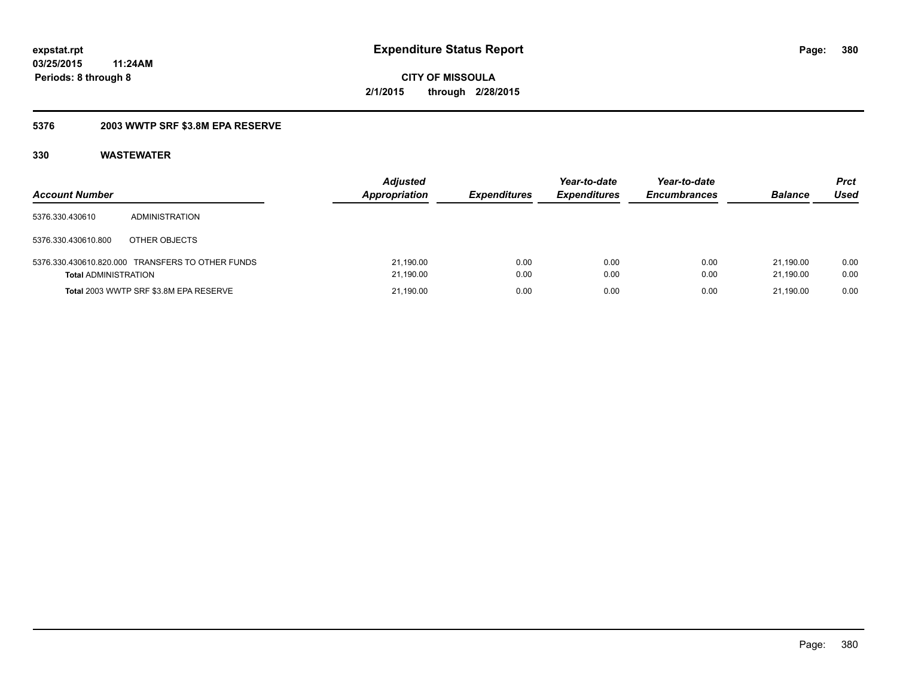### **5376 2003 WWTP SRF \$3.8M EPA RESERVE**

| <b>Account Number</b>       |                                                  | <b>Adjusted</b><br><b>Appropriation</b> | <b>Expenditures</b> | Year-to-date<br><b>Expenditures</b> | Year-to-date<br><b>Encumbrances</b> | <b>Balance</b>         | Prct<br>Used |
|-----------------------------|--------------------------------------------------|-----------------------------------------|---------------------|-------------------------------------|-------------------------------------|------------------------|--------------|
| 5376.330.430610             | ADMINISTRATION                                   |                                         |                     |                                     |                                     |                        |              |
| 5376.330.430610.800         | OTHER OBJECTS                                    |                                         |                     |                                     |                                     |                        |              |
| <b>Total ADMINISTRATION</b> | 5376.330.430610.820.000 TRANSFERS TO OTHER FUNDS | 21,190.00<br>21,190.00                  | 0.00<br>0.00        | 0.00<br>0.00                        | 0.00<br>0.00                        | 21.190.00<br>21.190.00 | 0.00<br>0.00 |
|                             | Total 2003 WWTP SRF \$3.8M EPA RESERVE           | 21,190.00                               | 0.00                | 0.00                                | 0.00                                | 21.190.00              | 0.00         |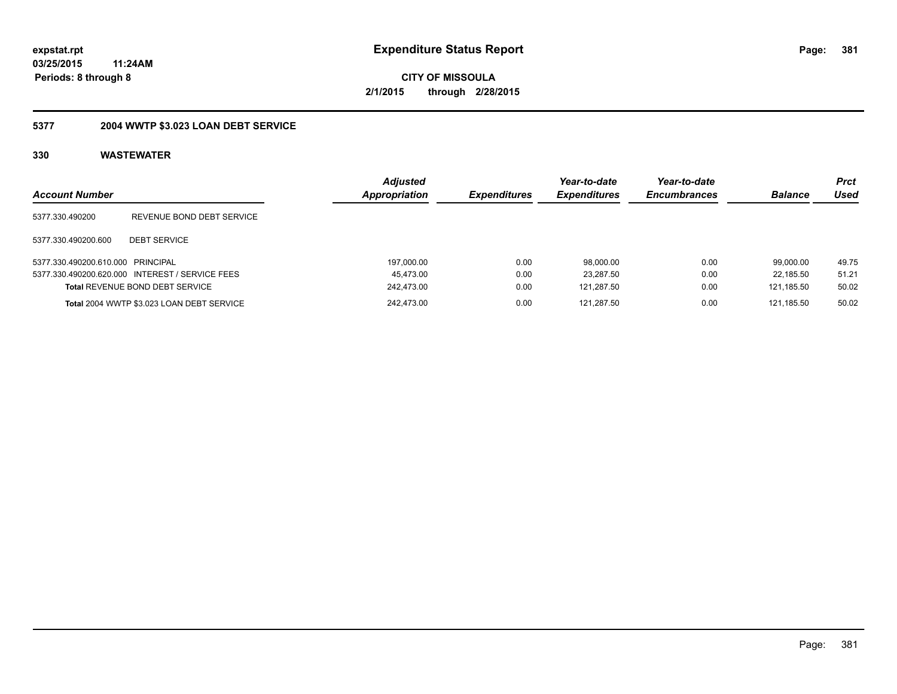**381**

**03/25/2015 11:24AM Periods: 8 through 8**

**CITY OF MISSOULA 2/1/2015 through 2/28/2015**

## **5377 2004 WWTP \$3.023 LOAN DEBT SERVICE**

| <b>Account Number</b>             |                                                 | <b>Adiusted</b><br><b>Appropriation</b> | <b>Expenditures</b> | Year-to-date<br><b>Expenditures</b> | Year-to-date<br><b>Encumbrances</b> | <b>Balance</b> | Prct<br>Used |
|-----------------------------------|-------------------------------------------------|-----------------------------------------|---------------------|-------------------------------------|-------------------------------------|----------------|--------------|
| 5377.330.490200                   | REVENUE BOND DEBT SERVICE                       |                                         |                     |                                     |                                     |                |              |
| 5377.330.490200.600               | <b>DEBT SERVICE</b>                             |                                         |                     |                                     |                                     |                |              |
| 5377.330.490200.610.000 PRINCIPAL |                                                 | 197,000.00                              | 0.00                | 98.000.00                           | 0.00                                | 99.000.00      | 49.75        |
|                                   | 5377.330.490200.620.000 INTEREST / SERVICE FEES | 45.473.00                               | 0.00                | 23.287.50                           | 0.00                                | 22.185.50      | 51.21        |
|                                   | <b>Total REVENUE BOND DEBT SERVICE</b>          | 242.473.00                              | 0.00                | 121.287.50                          | 0.00                                | 121.185.50     | 50.02        |
|                                   | Total 2004 WWTP \$3.023 LOAN DEBT SERVICE       | 242.473.00                              | 0.00                | 121.287.50                          | 0.00                                | 121.185.50     | 50.02        |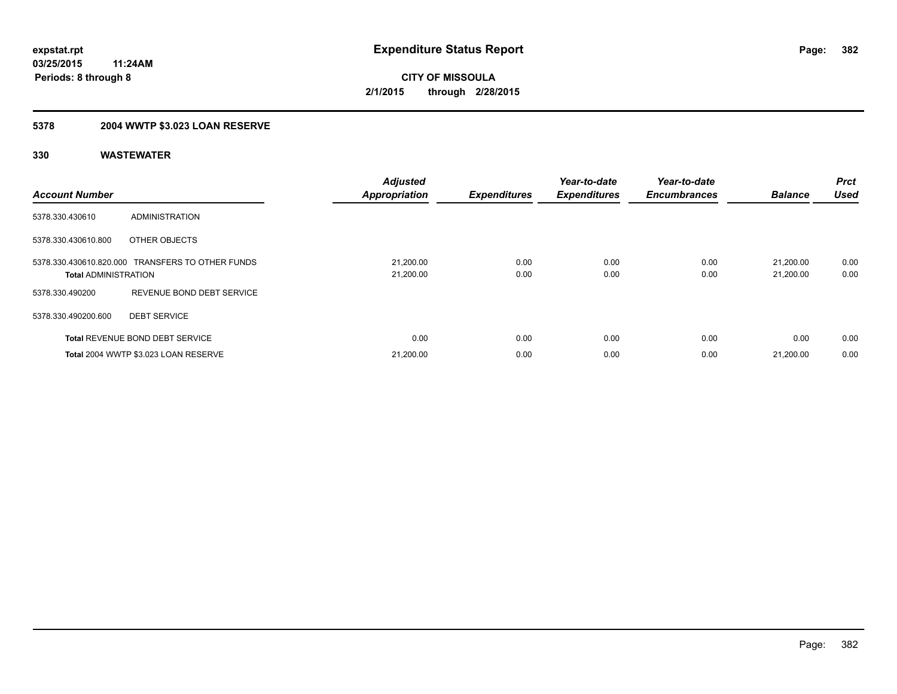## **5378 2004 WWTP \$3.023 LOAN RESERVE**

| <b>Account Number</b>       |                                                  | <b>Adjusted</b><br><b>Appropriation</b> | <b>Expenditures</b> | Year-to-date<br><b>Expenditures</b> | Year-to-date<br><b>Encumbrances</b> | <b>Balance</b>         | Prct<br><b>Used</b> |
|-----------------------------|--------------------------------------------------|-----------------------------------------|---------------------|-------------------------------------|-------------------------------------|------------------------|---------------------|
| 5378.330.430610             | ADMINISTRATION                                   |                                         |                     |                                     |                                     |                        |                     |
| 5378.330.430610.800         | OTHER OBJECTS                                    |                                         |                     |                                     |                                     |                        |                     |
| <b>Total ADMINISTRATION</b> | 5378.330.430610.820.000 TRANSFERS TO OTHER FUNDS | 21,200.00<br>21,200.00                  | 0.00<br>0.00        | 0.00<br>0.00                        | 0.00<br>0.00                        | 21.200.00<br>21,200.00 | 0.00<br>0.00        |
| 5378.330.490200             | REVENUE BOND DEBT SERVICE                        |                                         |                     |                                     |                                     |                        |                     |
| 5378.330.490200.600         | <b>DEBT SERVICE</b>                              |                                         |                     |                                     |                                     |                        |                     |
|                             | <b>Total REVENUE BOND DEBT SERVICE</b>           | 0.00                                    | 0.00                | 0.00                                | 0.00                                | 0.00                   | 0.00                |
|                             | Total 2004 WWTP \$3.023 LOAN RESERVE             | 21,200.00                               | 0.00                | 0.00                                | 0.00                                | 21.200.00              | 0.00                |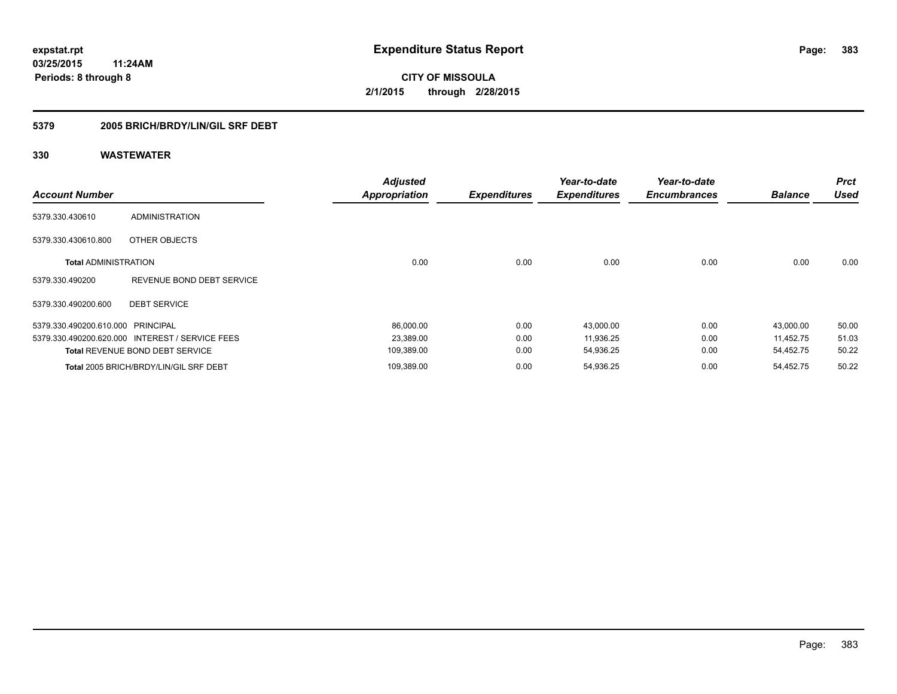### **5379 2005 BRICH/BRDY/LIN/GIL SRF DEBT**

| <b>Account Number</b>             |                                                 | <b>Adjusted</b><br><b>Appropriation</b> | <b>Expenditures</b> | Year-to-date<br><b>Expenditures</b> | Year-to-date<br><b>Encumbrances</b> | <b>Balance</b> | <b>Prct</b><br><b>Used</b> |
|-----------------------------------|-------------------------------------------------|-----------------------------------------|---------------------|-------------------------------------|-------------------------------------|----------------|----------------------------|
| 5379.330.430610                   | ADMINISTRATION                                  |                                         |                     |                                     |                                     |                |                            |
| 5379.330.430610.800               | OTHER OBJECTS                                   |                                         |                     |                                     |                                     |                |                            |
| <b>Total ADMINISTRATION</b>       |                                                 | 0.00                                    | 0.00                | 0.00                                | 0.00                                | 0.00           | 0.00                       |
| 5379.330.490200                   | REVENUE BOND DEBT SERVICE                       |                                         |                     |                                     |                                     |                |                            |
| 5379.330.490200.600               | <b>DEBT SERVICE</b>                             |                                         |                     |                                     |                                     |                |                            |
| 5379.330.490200.610.000 PRINCIPAL |                                                 | 86,000.00                               | 0.00                | 43,000.00                           | 0.00                                | 43,000.00      | 50.00                      |
|                                   | 5379.330.490200.620.000 INTEREST / SERVICE FEES | 23,389.00                               | 0.00                | 11,936.25                           | 0.00                                | 11.452.75      | 51.03                      |
|                                   | <b>Total REVENUE BOND DEBT SERVICE</b>          | 109,389.00                              | 0.00                | 54,936.25                           | 0.00                                | 54,452.75      | 50.22                      |
|                                   | Total 2005 BRICH/BRDY/LIN/GIL SRF DEBT          | 109,389.00                              | 0.00                | 54,936.25                           | 0.00                                | 54,452.75      | 50.22                      |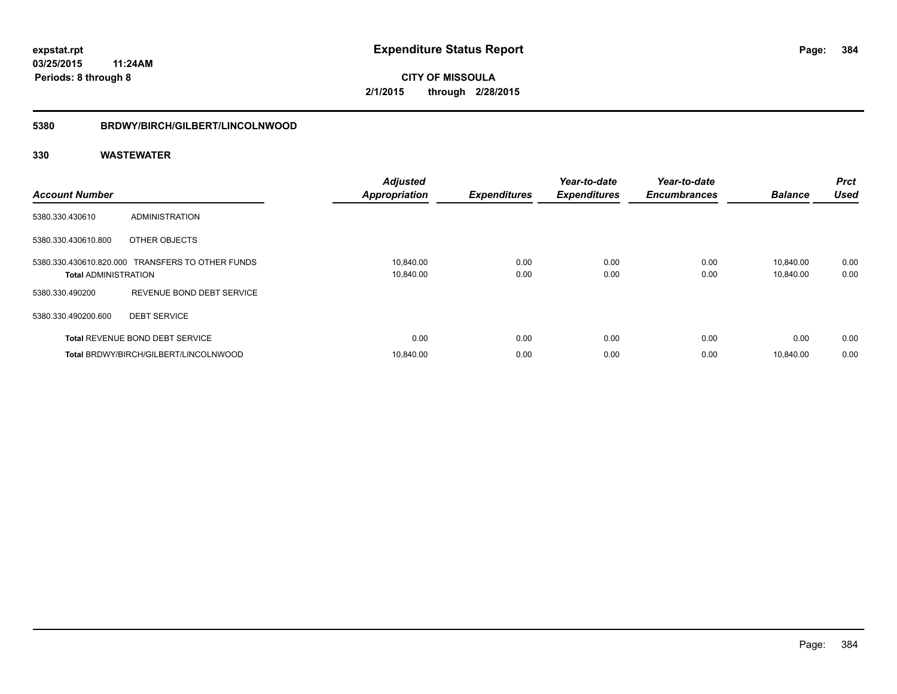#### **5380 BRDWY/BIRCH/GILBERT/LINCOLNWOOD**

| <b>Account Number</b>       |                                                  | <b>Adjusted</b><br><b>Appropriation</b> | <b>Expenditures</b> | Year-to-date<br><b>Expenditures</b> | Year-to-date<br><b>Encumbrances</b> | <b>Balance</b>         | <b>Prct</b><br><b>Used</b> |
|-----------------------------|--------------------------------------------------|-----------------------------------------|---------------------|-------------------------------------|-------------------------------------|------------------------|----------------------------|
| 5380.330.430610             | <b>ADMINISTRATION</b>                            |                                         |                     |                                     |                                     |                        |                            |
| 5380.330.430610.800         | OTHER OBJECTS                                    |                                         |                     |                                     |                                     |                        |                            |
| <b>Total ADMINISTRATION</b> | 5380.330.430610.820.000 TRANSFERS TO OTHER FUNDS | 10,840.00<br>10,840.00                  | 0.00<br>0.00        | 0.00<br>0.00                        | 0.00<br>0.00                        | 10.840.00<br>10,840.00 | 0.00<br>0.00               |
| 5380.330.490200             | REVENUE BOND DEBT SERVICE                        |                                         |                     |                                     |                                     |                        |                            |
| 5380.330.490200.600         | <b>DEBT SERVICE</b>                              |                                         |                     |                                     |                                     |                        |                            |
|                             | <b>Total REVENUE BOND DEBT SERVICE</b>           | 0.00                                    | 0.00                | 0.00                                | 0.00                                | 0.00                   | 0.00                       |
|                             | Total BRDWY/BIRCH/GILBERT/LINCOLNWOOD            | 10.840.00                               | 0.00                | 0.00                                | 0.00                                | 10.840.00              | 0.00                       |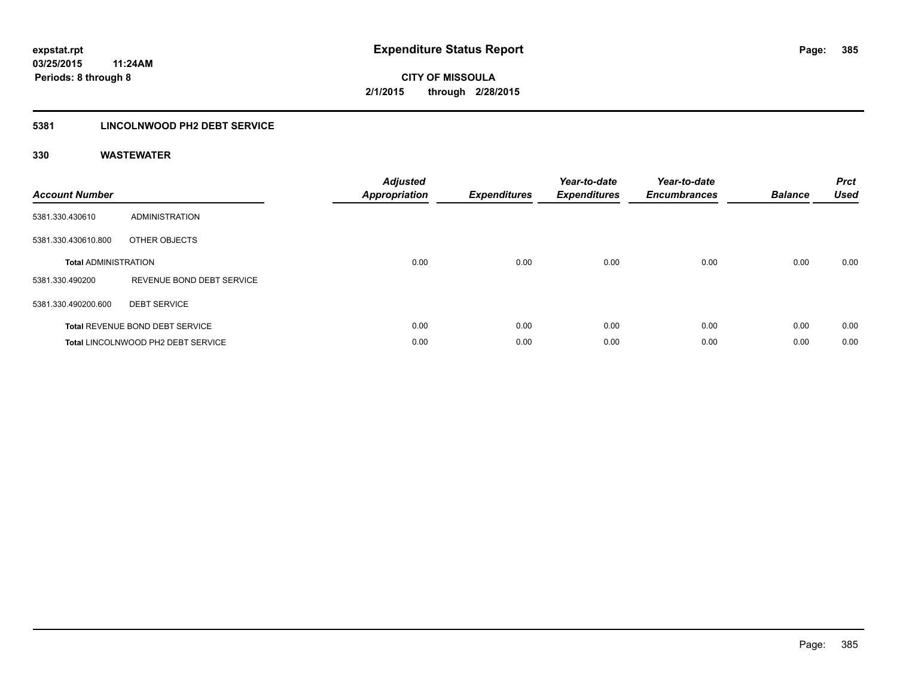### **5381 LINCOLNWOOD PH2 DEBT SERVICE**

| <b>Account Number</b>       |                                        | <b>Adjusted</b><br><b>Appropriation</b> | <b>Expenditures</b> | Year-to-date<br><b>Expenditures</b> | Year-to-date<br><b>Encumbrances</b> | <b>Balance</b> | <b>Prct</b><br><b>Used</b> |
|-----------------------------|----------------------------------------|-----------------------------------------|---------------------|-------------------------------------|-------------------------------------|----------------|----------------------------|
| 5381.330.430610             | ADMINISTRATION                         |                                         |                     |                                     |                                     |                |                            |
| 5381.330.430610.800         | OTHER OBJECTS                          |                                         |                     |                                     |                                     |                |                            |
| <b>Total ADMINISTRATION</b> |                                        | 0.00                                    | 0.00                | 0.00                                | 0.00                                | 0.00           | 0.00                       |
| 5381.330.490200             | REVENUE BOND DEBT SERVICE              |                                         |                     |                                     |                                     |                |                            |
| 5381.330.490200.600         | <b>DEBT SERVICE</b>                    |                                         |                     |                                     |                                     |                |                            |
|                             | <b>Total REVENUE BOND DEBT SERVICE</b> | 0.00                                    | 0.00                | 0.00                                | 0.00                                | 0.00           | 0.00                       |
|                             | Total LINCOLNWOOD PH2 DEBT SERVICE     | 0.00                                    | 0.00                | 0.00                                | 0.00                                | 0.00           | 0.00                       |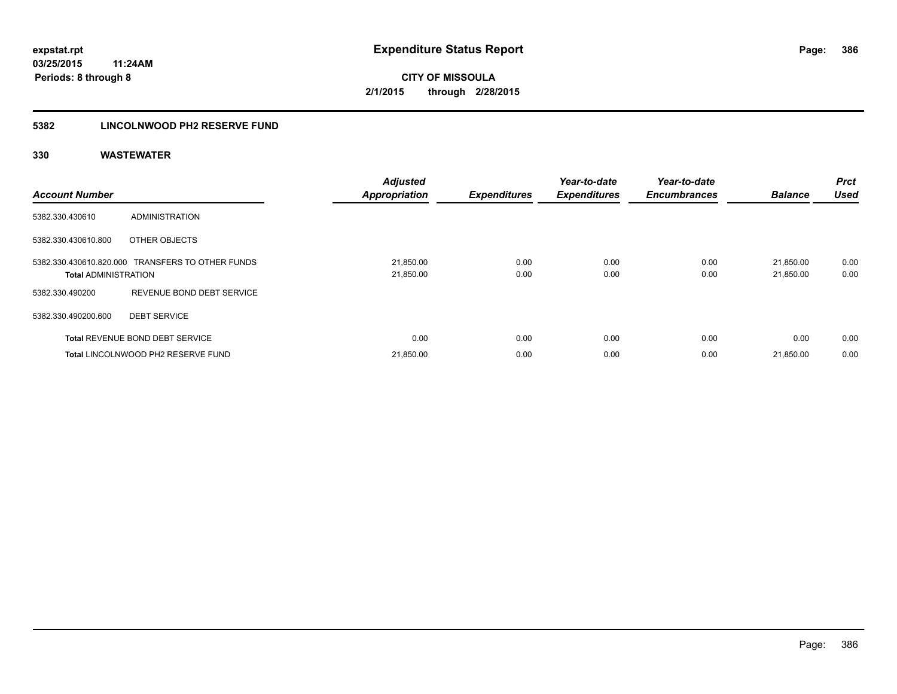### **5382 LINCOLNWOOD PH2 RESERVE FUND**

| <b>Account Number</b>       |                                                  | <b>Adjusted</b><br><b>Appropriation</b> | <b>Expenditures</b> | Year-to-date<br><b>Expenditures</b> | Year-to-date<br><b>Encumbrances</b> | <b>Balance</b>         | Prct<br><b>Used</b> |
|-----------------------------|--------------------------------------------------|-----------------------------------------|---------------------|-------------------------------------|-------------------------------------|------------------------|---------------------|
| 5382.330.430610             | <b>ADMINISTRATION</b>                            |                                         |                     |                                     |                                     |                        |                     |
| 5382.330.430610.800         | OTHER OBJECTS                                    |                                         |                     |                                     |                                     |                        |                     |
| <b>Total ADMINISTRATION</b> | 5382.330.430610.820.000 TRANSFERS TO OTHER FUNDS | 21,850.00<br>21,850.00                  | 0.00<br>0.00        | 0.00<br>0.00                        | 0.00<br>0.00                        | 21,850.00<br>21,850.00 | 0.00<br>0.00        |
| 5382.330.490200             | REVENUE BOND DEBT SERVICE                        |                                         |                     |                                     |                                     |                        |                     |
| 5382.330.490200.600         | <b>DEBT SERVICE</b>                              |                                         |                     |                                     |                                     |                        |                     |
|                             | <b>Total REVENUE BOND DEBT SERVICE</b>           | 0.00                                    | 0.00                | 0.00                                | 0.00                                | 0.00                   | 0.00                |
|                             | Total LINCOLNWOOD PH2 RESERVE FUND               | 21,850.00                               | 0.00                | 0.00                                | 0.00                                | 21,850.00              | 0.00                |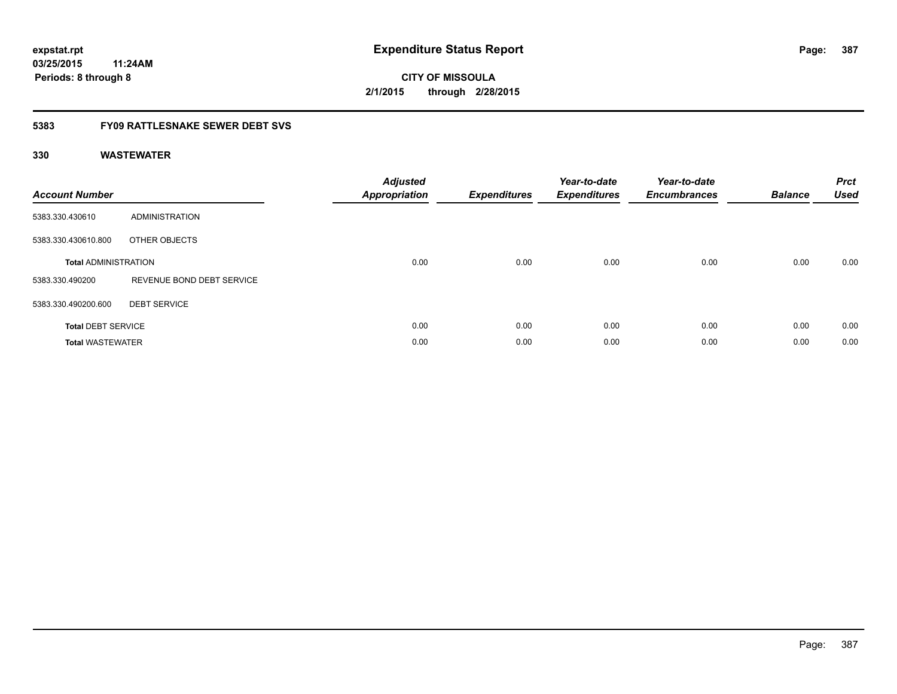# **CITY OF MISSOULA 2/1/2015 through 2/28/2015**

### **5383 FY09 RATTLESNAKE SEWER DEBT SVS**

| <b>Account Number</b>       |                           | <b>Adjusted</b><br>Appropriation | <b>Expenditures</b> | Year-to-date<br><b>Expenditures</b> | Year-to-date<br><b>Encumbrances</b> | <b>Balance</b> | <b>Prct</b><br><b>Used</b> |
|-----------------------------|---------------------------|----------------------------------|---------------------|-------------------------------------|-------------------------------------|----------------|----------------------------|
| 5383.330.430610             | ADMINISTRATION            |                                  |                     |                                     |                                     |                |                            |
| 5383.330.430610.800         | OTHER OBJECTS             |                                  |                     |                                     |                                     |                |                            |
| <b>Total ADMINISTRATION</b> |                           | 0.00                             | 0.00                | 0.00                                | 0.00                                | 0.00           | 0.00                       |
| 5383.330.490200             | REVENUE BOND DEBT SERVICE |                                  |                     |                                     |                                     |                |                            |
| 5383.330.490200.600         | <b>DEBT SERVICE</b>       |                                  |                     |                                     |                                     |                |                            |
| <b>Total DEBT SERVICE</b>   |                           | 0.00                             | 0.00                | 0.00                                | 0.00                                | 0.00           | 0.00                       |
| <b>Total WASTEWATER</b>     |                           | 0.00                             | 0.00                | 0.00                                | 0.00                                | 0.00           | 0.00                       |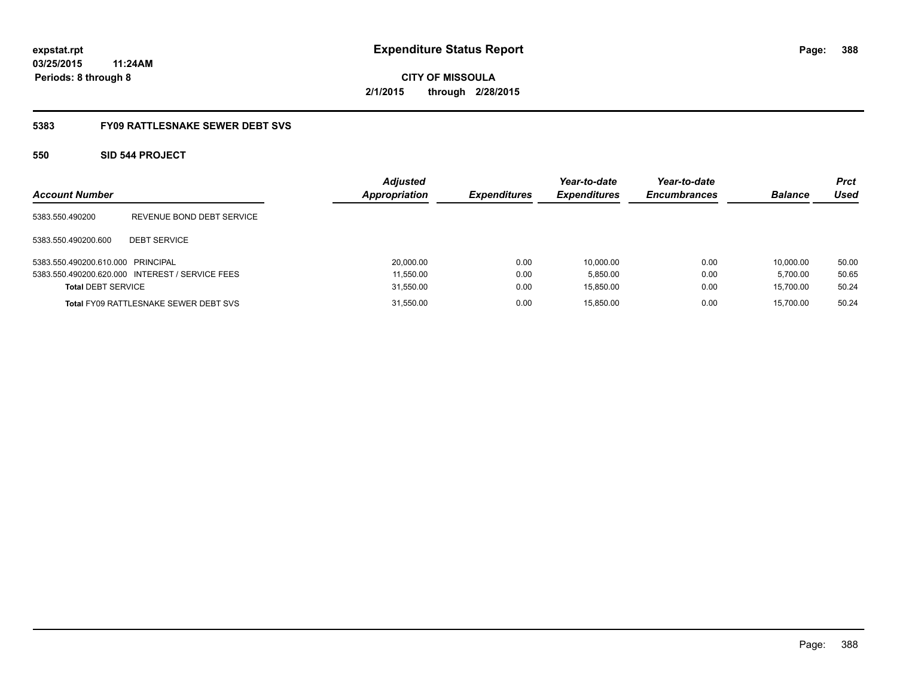# **CITY OF MISSOULA 2/1/2015 through 2/28/2015**

#### **5383 FY09 RATTLESNAKE SEWER DEBT SVS**

### **550 SID 544 PROJECT**

| <b>Account Number</b>             |                                                 | <b>Adjusted</b><br><b>Appropriation</b> | <b>Expenditures</b> | Year-to-date<br><b>Expenditures</b> | Year-to-date<br><b>Encumbrances</b> | <b>Balance</b> | <b>Prct</b><br>Used |
|-----------------------------------|-------------------------------------------------|-----------------------------------------|---------------------|-------------------------------------|-------------------------------------|----------------|---------------------|
| 5383.550.490200                   | REVENUE BOND DEBT SERVICE                       |                                         |                     |                                     |                                     |                |                     |
| 5383.550.490200.600               | <b>DEBT SERVICE</b>                             |                                         |                     |                                     |                                     |                |                     |
| 5383.550.490200.610.000 PRINCIPAL |                                                 | 20,000.00                               | 0.00                | 10.000.00                           | 0.00                                | 10.000.00      | 50.00               |
|                                   | 5383.550.490200.620.000 INTEREST / SERVICE FEES | 11,550.00                               | 0.00                | 5,850.00                            | 0.00                                | 5.700.00       | 50.65               |
| <b>Total DEBT SERVICE</b>         |                                                 | 31,550.00                               | 0.00                | 15,850.00                           | 0.00                                | 15.700.00      | 50.24               |
|                                   | <b>Total FY09 RATTLESNAKE SEWER DEBT SVS</b>    | 31,550.00                               | 0.00                | 15.850.00                           | 0.00                                | 15.700.00      | 50.24               |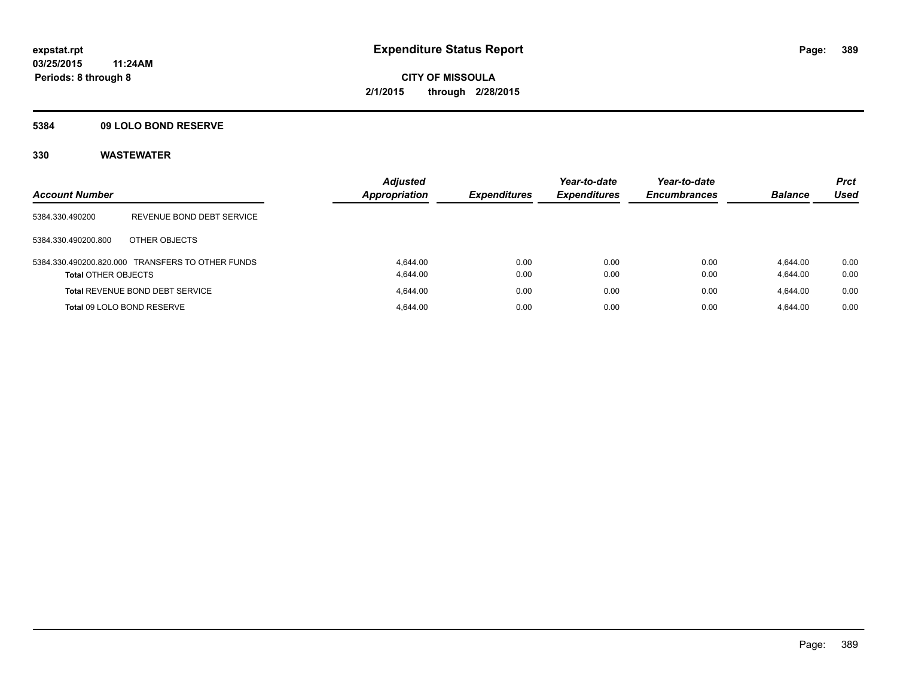#### **5384 09 LOLO BOND RESERVE**

| <b>Account Number</b>      |                                                  | <b>Adjusted</b><br><b>Appropriation</b> | <b>Expenditures</b> | Year-to-date<br><b>Expenditures</b> | Year-to-date<br><b>Encumbrances</b> | <b>Balance</b>       | <b>Prct</b><br><b>Used</b> |
|----------------------------|--------------------------------------------------|-----------------------------------------|---------------------|-------------------------------------|-------------------------------------|----------------------|----------------------------|
| 5384.330.490200            | REVENUE BOND DEBT SERVICE                        |                                         |                     |                                     |                                     |                      |                            |
| 5384.330.490200.800        | OTHER OBJECTS                                    |                                         |                     |                                     |                                     |                      |                            |
| <b>Total OTHER OBJECTS</b> | 5384.330.490200.820.000 TRANSFERS TO OTHER FUNDS | 4.644.00<br>4.644.00                    | 0.00<br>0.00        | 0.00<br>0.00                        | 0.00<br>0.00                        | 4.644.00<br>4,644.00 | 0.00<br>0.00               |
|                            | <b>Total REVENUE BOND DEBT SERVICE</b>           | 4.644.00                                | 0.00                | 0.00                                | 0.00                                | 4.644.00             | 0.00                       |
|                            | Total 09 LOLO BOND RESERVE                       | 4.644.00                                | 0.00                | 0.00                                | 0.00                                | 4.644.00             | 0.00                       |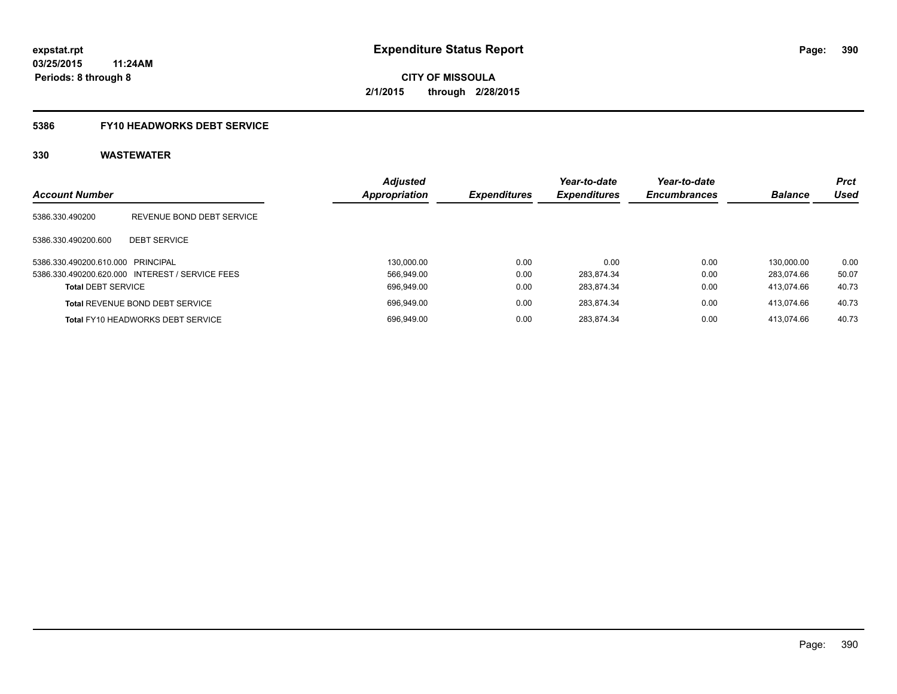#### **5386 FY10 HEADWORKS DEBT SERVICE**

| <b>Account Number</b>             |                                                 | <b>Adjusted</b><br><b>Appropriation</b> | <b>Expenditures</b> | Year-to-date<br><b>Expenditures</b> | Year-to-date<br><b>Encumbrances</b> | <b>Balance</b> | <b>Prct</b><br><b>Used</b> |
|-----------------------------------|-------------------------------------------------|-----------------------------------------|---------------------|-------------------------------------|-------------------------------------|----------------|----------------------------|
| 5386.330.490200                   | REVENUE BOND DEBT SERVICE                       |                                         |                     |                                     |                                     |                |                            |
| 5386.330.490200.600               | <b>DEBT SERVICE</b>                             |                                         |                     |                                     |                                     |                |                            |
| 5386.330.490200.610.000 PRINCIPAL |                                                 | 130.000.00                              | 0.00                | 0.00                                | 0.00                                | 130.000.00     | 0.00                       |
|                                   | 5386.330.490200.620.000 INTEREST / SERVICE FEES | 566.949.00                              | 0.00                | 283.874.34                          | 0.00                                | 283.074.66     | 50.07                      |
| <b>Total DEBT SERVICE</b>         |                                                 | 696.949.00                              | 0.00                | 283.874.34                          | 0.00                                | 413.074.66     | 40.73                      |
|                                   | <b>Total REVENUE BOND DEBT SERVICE</b>          | 696.949.00                              | 0.00                | 283.874.34                          | 0.00                                | 413.074.66     | 40.73                      |
|                                   | <b>Total FY10 HEADWORKS DEBT SERVICE</b>        | 696.949.00                              | 0.00                | 283.874.34                          | 0.00                                | 413.074.66     | 40.73                      |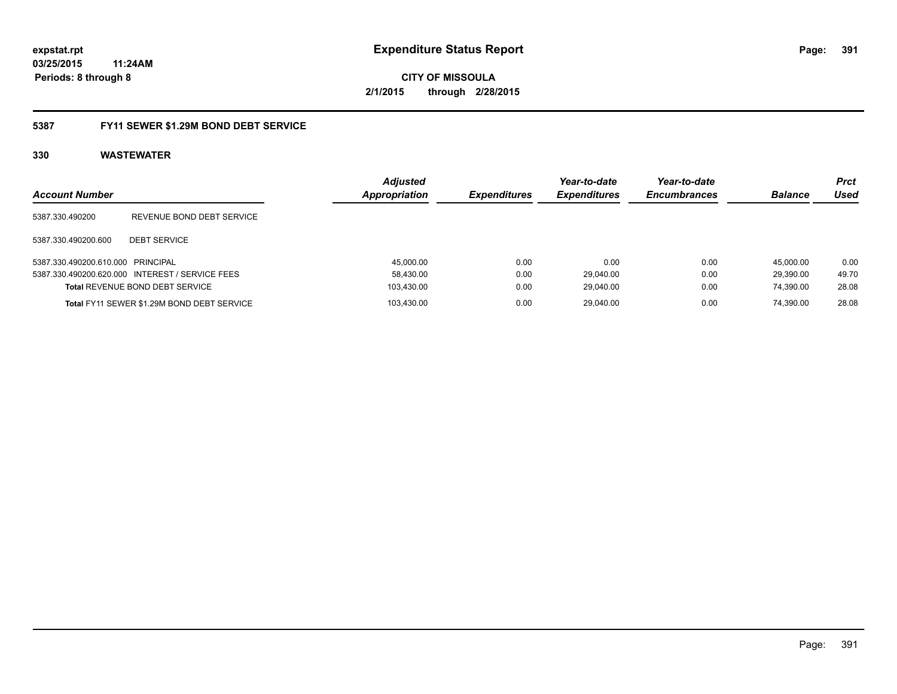**CITY OF MISSOULA 2/1/2015 through 2/28/2015**

#### **5387 FY11 SEWER \$1.29M BOND DEBT SERVICE**

|                                   |                                                 | <b>Adjusted</b> |                            | Year-to-date        | Year-to-date        |                | <b>Prct</b> |
|-----------------------------------|-------------------------------------------------|-----------------|----------------------------|---------------------|---------------------|----------------|-------------|
| <b>Account Number</b>             |                                                 | Appropriation   | <i><b>Expenditures</b></i> | <b>Expenditures</b> | <b>Encumbrances</b> | <b>Balance</b> | Used        |
| 5387.330.490200                   | REVENUE BOND DEBT SERVICE                       |                 |                            |                     |                     |                |             |
| 5387.330.490200.600               | <b>DEBT SERVICE</b>                             |                 |                            |                     |                     |                |             |
| 5387.330.490200.610.000 PRINCIPAL |                                                 | 45,000.00       | 0.00                       | 0.00                | 0.00                | 45.000.00      | 0.00        |
|                                   | 5387.330.490200.620.000 INTEREST / SERVICE FEES | 58,430.00       | 0.00                       | 29.040.00           | 0.00                | 29.390.00      | 49.70       |
|                                   | <b>Total REVENUE BOND DEBT SERVICE</b>          | 103,430.00      | 0.00                       | 29,040.00           | 0.00                | 74,390.00      | 28.08       |
|                                   | Total FY11 SEWER \$1.29M BOND DEBT SERVICE      | 103.430.00      | 0.00                       | 29.040.00           | 0.00                | 74.390.00      | 28.08       |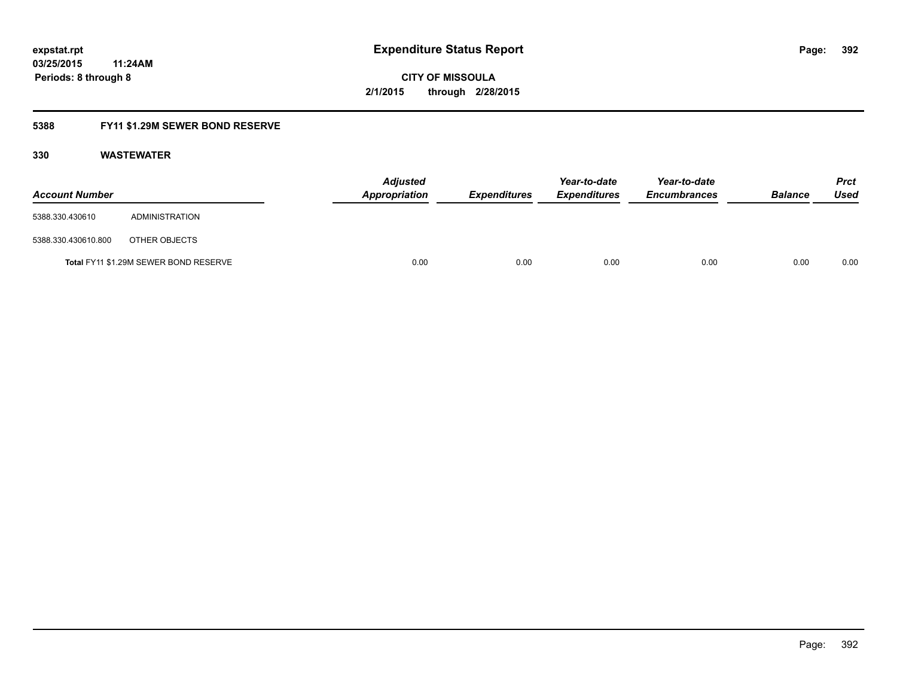### **5388 FY11 \$1.29M SEWER BOND RESERVE**

| <b>Account Number</b> |                                       | <b>Adjusted</b><br>Appropriation | <b>Expenditures</b> | Year-to-date<br><b>Expenditures</b> | Year-to-date<br><b>Encumbrances</b> | <b>Balance</b> | <b>Prct</b><br>Used |
|-----------------------|---------------------------------------|----------------------------------|---------------------|-------------------------------------|-------------------------------------|----------------|---------------------|
| 5388.330.430610       | ADMINISTRATION                        |                                  |                     |                                     |                                     |                |                     |
| 5388.330.430610.800   | OTHER OBJECTS                         |                                  |                     |                                     |                                     |                |                     |
|                       | Total FY11 \$1.29M SEWER BOND RESERVE | 0.00                             | 0.00                | 0.00                                | 0.00                                | 0.00           | 0.00                |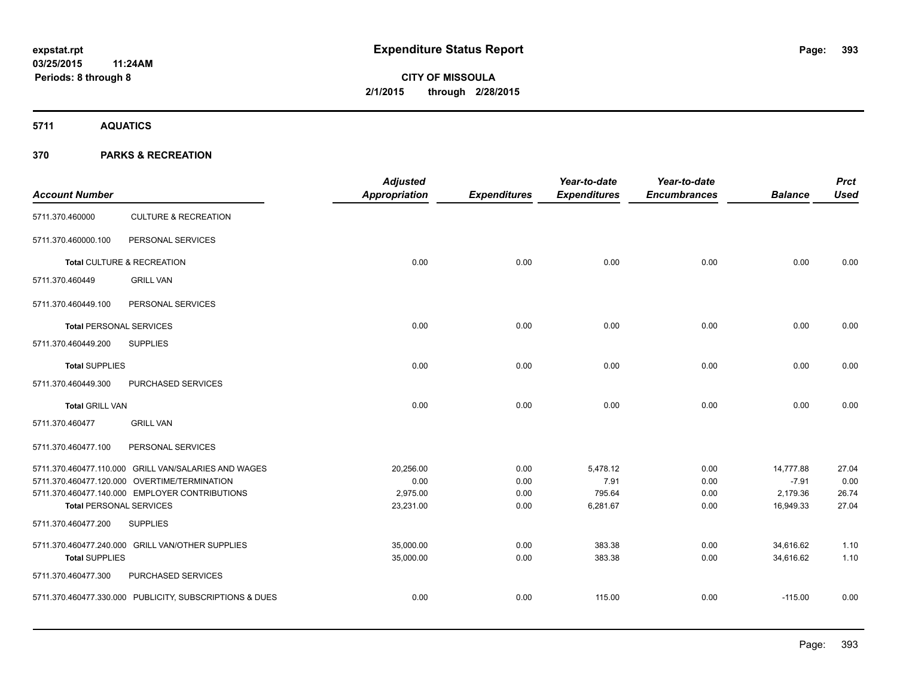**5711 AQUATICS**

#### **370 PARKS & RECREATION**

| <b>Account Number</b>          |                                                         | <b>Adjusted</b><br>Appropriation | <b>Expenditures</b> | Year-to-date<br><b>Expenditures</b> | Year-to-date<br><b>Encumbrances</b> | <b>Balance</b> | <b>Prct</b><br><b>Used</b> |
|--------------------------------|---------------------------------------------------------|----------------------------------|---------------------|-------------------------------------|-------------------------------------|----------------|----------------------------|
| 5711.370.460000                | <b>CULTURE &amp; RECREATION</b>                         |                                  |                     |                                     |                                     |                |                            |
| 5711.370.460000.100            | PERSONAL SERVICES                                       |                                  |                     |                                     |                                     |                |                            |
|                                | Total CULTURE & RECREATION                              | 0.00                             | 0.00                | 0.00                                | 0.00                                | 0.00           | 0.00                       |
| 5711.370.460449                | <b>GRILL VAN</b>                                        |                                  |                     |                                     |                                     |                |                            |
| 5711.370.460449.100            | PERSONAL SERVICES                                       |                                  |                     |                                     |                                     |                |                            |
| <b>Total PERSONAL SERVICES</b> |                                                         | 0.00                             | 0.00                | 0.00                                | 0.00                                | 0.00           | 0.00                       |
| 5711.370.460449.200            | <b>SUPPLIES</b>                                         |                                  |                     |                                     |                                     |                |                            |
| <b>Total SUPPLIES</b>          |                                                         | 0.00                             | 0.00                | 0.00                                | 0.00                                | 0.00           | 0.00                       |
| 5711.370.460449.300            | PURCHASED SERVICES                                      |                                  |                     |                                     |                                     |                |                            |
| <b>Total GRILL VAN</b>         |                                                         | 0.00                             | 0.00                | 0.00                                | 0.00                                | 0.00           | 0.00                       |
| 5711.370.460477                | <b>GRILL VAN</b>                                        |                                  |                     |                                     |                                     |                |                            |
| 5711.370.460477.100            | PERSONAL SERVICES                                       |                                  |                     |                                     |                                     |                |                            |
|                                | 5711.370.460477.110.000 GRILL VAN/SALARIES AND WAGES    | 20,256.00                        | 0.00                | 5,478.12                            | 0.00                                | 14,777.88      | 27.04                      |
|                                | 5711.370.460477.120.000 OVERTIME/TERMINATION            | 0.00                             | 0.00                | 7.91                                | 0.00                                | $-7.91$        | 0.00                       |
|                                | 5711.370.460477.140.000 EMPLOYER CONTRIBUTIONS          | 2,975.00                         | 0.00                | 795.64                              | 0.00                                | 2,179.36       | 26.74                      |
| <b>Total PERSONAL SERVICES</b> |                                                         | 23,231.00                        | 0.00                | 6,281.67                            | 0.00                                | 16,949.33      | 27.04                      |
| 5711.370.460477.200            | <b>SUPPLIES</b>                                         |                                  |                     |                                     |                                     |                |                            |
|                                | 5711.370.460477.240.000 GRILL VAN/OTHER SUPPLIES        | 35,000.00                        | 0.00                | 383.38                              | 0.00                                | 34,616.62      | 1.10                       |
| <b>Total SUPPLIES</b>          |                                                         | 35,000.00                        | 0.00                | 383.38                              | 0.00                                | 34,616.62      | 1.10                       |
| 5711.370.460477.300            | PURCHASED SERVICES                                      |                                  |                     |                                     |                                     |                |                            |
|                                | 5711.370.460477.330.000 PUBLICITY, SUBSCRIPTIONS & DUES | 0.00                             | 0.00                | 115.00                              | 0.00                                | $-115.00$      | 0.00                       |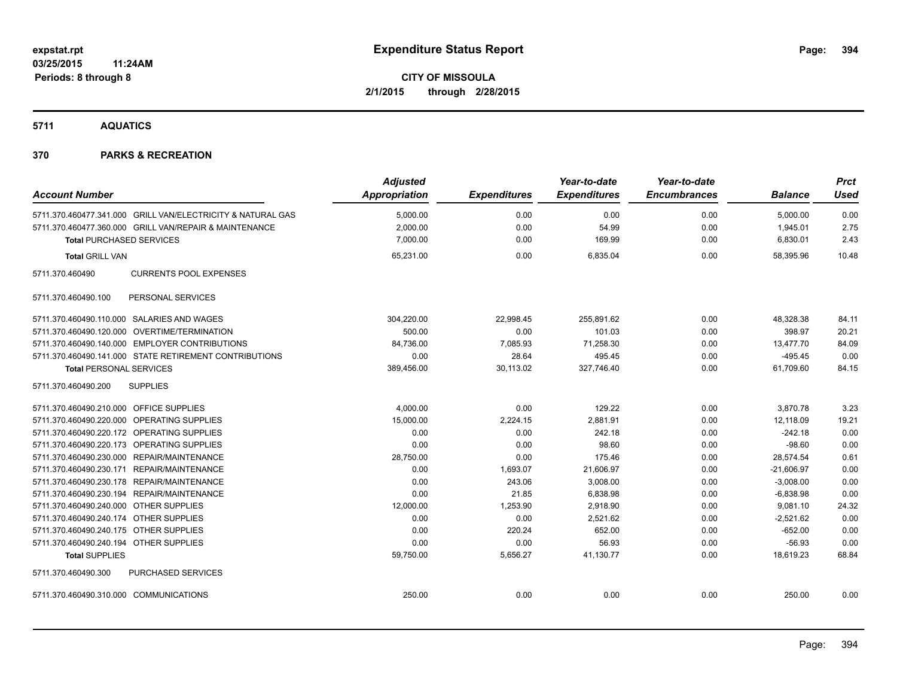**5711 AQUATICS**

#### **370 PARKS & RECREATION**

|                                                             | <b>Adjusted</b>      |                     | Year-to-date        | Year-to-date        |                | <b>Prct</b> |
|-------------------------------------------------------------|----------------------|---------------------|---------------------|---------------------|----------------|-------------|
| <b>Account Number</b>                                       | <b>Appropriation</b> | <b>Expenditures</b> | <b>Expenditures</b> | <b>Encumbrances</b> | <b>Balance</b> | <b>Used</b> |
| 5711.370.460477.341.000 GRILL VAN/ELECTRICITY & NATURAL GAS | 5,000.00             | 0.00                | 0.00                | 0.00                | 5,000.00       | 0.00        |
| 5711.370.460477.360.000 GRILL VAN/REPAIR & MAINTENANCE      | 2,000.00             | 0.00                | 54.99               | 0.00                | 1,945.01       | 2.75        |
| <b>Total PURCHASED SERVICES</b>                             | 7,000.00             | 0.00                | 169.99              | 0.00                | 6,830.01       | 2.43        |
| <b>Total GRILL VAN</b>                                      | 65,231.00            | 0.00                | 6,835.04            | 0.00                | 58.395.96      | 10.48       |
| <b>CURRENTS POOL EXPENSES</b><br>5711.370.460490            |                      |                     |                     |                     |                |             |
| PERSONAL SERVICES<br>5711.370.460490.100                    |                      |                     |                     |                     |                |             |
| 5711.370.460490.110.000 SALARIES AND WAGES                  | 304,220.00           | 22,998.45           | 255.891.62          | 0.00                | 48.328.38      | 84.11       |
| 5711.370.460490.120.000 OVERTIME/TERMINATION                | 500.00               | 0.00                | 101.03              | 0.00                | 398.97         | 20.21       |
| 5711.370.460490.140.000 EMPLOYER CONTRIBUTIONS              | 84,736.00            | 7,085.93            | 71,258.30           | 0.00                | 13,477.70      | 84.09       |
| 5711.370.460490.141.000 STATE RETIREMENT CONTRIBUTIONS      | 0.00                 | 28.64               | 495.45              | 0.00                | $-495.45$      | 0.00        |
| <b>Total PERSONAL SERVICES</b>                              | 389,456.00           | 30,113.02           | 327,746.40          | 0.00                | 61,709.60      | 84.15       |
| <b>SUPPLIES</b><br>5711.370.460490.200                      |                      |                     |                     |                     |                |             |
| 5711.370.460490.210.000 OFFICE SUPPLIES                     | 4,000.00             | 0.00                | 129.22              | 0.00                | 3,870.78       | 3.23        |
| 5711.370.460490.220.000 OPERATING SUPPLIES                  | 15,000.00            | 2,224.15            | 2,881.91            | 0.00                | 12,118.09      | 19.21       |
| 5711.370.460490.220.172 OPERATING SUPPLIES                  | 0.00                 | 0.00                | 242.18              | 0.00                | $-242.18$      | 0.00        |
| 5711.370.460490.220.173 OPERATING SUPPLIES                  | 0.00                 | 0.00                | 98.60               | 0.00                | $-98.60$       | 0.00        |
| 5711.370.460490.230.000 REPAIR/MAINTENANCE                  | 28,750.00            | 0.00                | 175.46              | 0.00                | 28,574.54      | 0.61        |
| 5711.370.460490.230.171 REPAIR/MAINTENANCE                  | 0.00                 | 1,693.07            | 21,606.97           | 0.00                | $-21,606.97$   | 0.00        |
| 5711.370.460490.230.178 REPAIR/MAINTENANCE                  | 0.00                 | 243.06              | 3,008.00            | 0.00                | $-3,008.00$    | 0.00        |
| 5711.370.460490.230.194 REPAIR/MAINTENANCE                  | 0.00                 | 21.85               | 6,838.98            | 0.00                | $-6,838.98$    | 0.00        |
| 5711.370.460490.240.000 OTHER SUPPLIES                      | 12,000.00            | 1,253.90            | 2,918.90            | 0.00                | 9,081.10       | 24.32       |
| 5711.370.460490.240.174 OTHER SUPPLIES                      | 0.00                 | 0.00                | 2,521.62            | 0.00                | $-2,521.62$    | 0.00        |
| 5711.370.460490.240.175 OTHER SUPPLIES                      | 0.00                 | 220.24              | 652.00              | 0.00                | $-652.00$      | 0.00        |
| 5711.370.460490.240.194 OTHER SUPPLIES                      | 0.00                 | 0.00                | 56.93               | 0.00                | $-56.93$       | 0.00        |
| <b>Total SUPPLIES</b>                                       | 59,750.00            | 5,656.27            | 41,130.77           | 0.00                | 18,619.23      | 68.84       |
| PURCHASED SERVICES<br>5711.370.460490.300                   |                      |                     |                     |                     |                |             |
| 5711.370.460490.310.000 COMMUNICATIONS                      | 250.00               | 0.00                | 0.00                | 0.00                | 250.00         | 0.00        |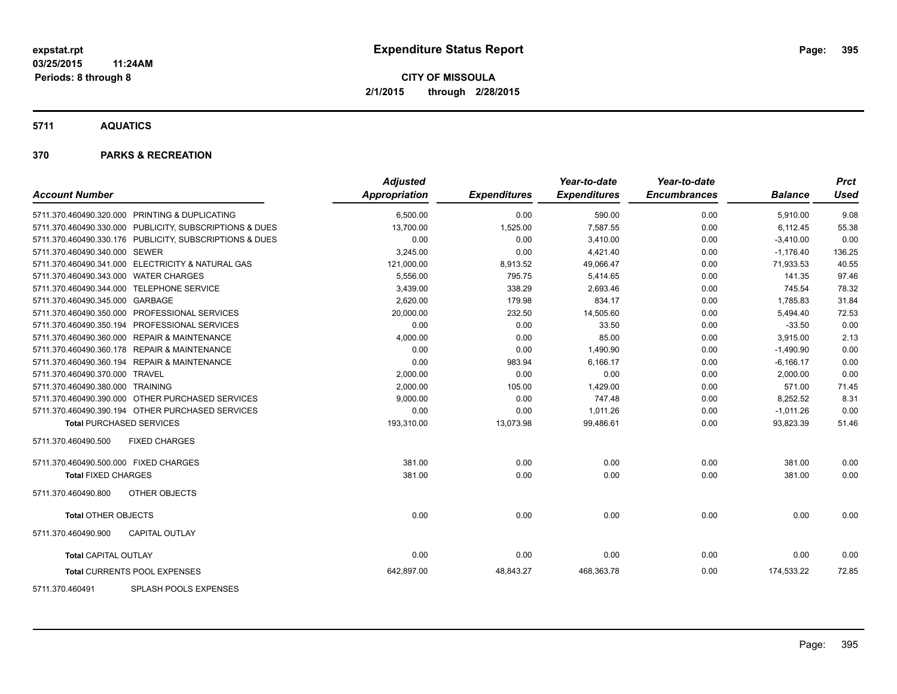**5711 AQUATICS**

#### **370 PARKS & RECREATION**

| <b>Account Number</b>                                   | <b>Adjusted</b><br>Appropriation | <b>Expenditures</b> | Year-to-date<br><b>Expenditures</b> | Year-to-date<br><b>Encumbrances</b> | <b>Balance</b> | <b>Prct</b><br><b>Used</b> |
|---------------------------------------------------------|----------------------------------|---------------------|-------------------------------------|-------------------------------------|----------------|----------------------------|
|                                                         |                                  |                     |                                     |                                     |                |                            |
| 5711.370.460490.320.000 PRINTING & DUPLICATING          | 6,500.00                         | 0.00                | 590.00                              | 0.00                                | 5,910.00       | 9.08                       |
| 5711.370.460490.330.000 PUBLICITY, SUBSCRIPTIONS & DUES | 13,700.00                        | 1,525.00            | 7,587.55                            | 0.00                                | 6,112.45       | 55.38                      |
| 5711.370.460490.330.176 PUBLICITY, SUBSCRIPTIONS & DUES | 0.00                             | 0.00                | 3,410.00                            | 0.00                                | $-3,410.00$    | 0.00                       |
| 5711.370.460490.340.000 SEWER                           | 3,245.00                         | 0.00                | 4,421.40                            | 0.00                                | $-1,176.40$    | 136.25                     |
| 5711.370.460490.341.000 ELECTRICITY & NATURAL GAS       | 121,000.00                       | 8,913.52            | 49,066.47                           | 0.00                                | 71,933.53      | 40.55                      |
| 5711.370.460490.343.000 WATER CHARGES                   | 5,556.00                         | 795.75              | 5,414.65                            | 0.00                                | 141.35         | 97.46                      |
| 5711.370.460490.344.000 TELEPHONE SERVICE               | 3,439.00                         | 338.29              | 2,693.46                            | 0.00                                | 745.54         | 78.32                      |
| 5711.370.460490.345.000 GARBAGE                         | 2,620.00                         | 179.98              | 834.17                              | 0.00                                | 1,785.83       | 31.84                      |
| 5711.370.460490.350.000 PROFESSIONAL SERVICES           | 20,000.00                        | 232.50              | 14,505.60                           | 0.00                                | 5,494.40       | 72.53                      |
| 5711.370.460490.350.194 PROFESSIONAL SERVICES           | 0.00                             | 0.00                | 33.50                               | 0.00                                | $-33.50$       | 0.00                       |
| 5711.370.460490.360.000 REPAIR & MAINTENANCE            | 4,000.00                         | 0.00                | 85.00                               | 0.00                                | 3,915.00       | 2.13                       |
| 5711.370.460490.360.178 REPAIR & MAINTENANCE            | 0.00                             | 0.00                | 1,490.90                            | 0.00                                | $-1,490.90$    | 0.00                       |
| 5711.370.460490.360.194 REPAIR & MAINTENANCE            | 0.00                             | 983.94              | 6,166.17                            | 0.00                                | $-6,166.17$    | 0.00                       |
| 5711.370.460490.370.000 TRAVEL                          | 2,000.00                         | 0.00                | 0.00                                | 0.00                                | 2,000.00       | 0.00                       |
| 5711.370.460490.380.000 TRAINING                        | 2,000.00                         | 105.00              | 1,429.00                            | 0.00                                | 571.00         | 71.45                      |
| 5711.370.460490.390.000 OTHER PURCHASED SERVICES        | 9,000.00                         | 0.00                | 747.48                              | 0.00                                | 8,252.52       | 8.31                       |
| 5711.370.460490.390.194 OTHER PURCHASED SERVICES        | 0.00                             | 0.00                | 1,011.26                            | 0.00                                | $-1,011.26$    | 0.00                       |
| <b>Total PURCHASED SERVICES</b>                         | 193,310.00                       | 13,073.98           | 99,486.61                           | 0.00                                | 93,823.39      | 51.46                      |
| <b>FIXED CHARGES</b><br>5711.370.460490.500             |                                  |                     |                                     |                                     |                |                            |
| 5711.370.460490.500.000 FIXED CHARGES                   | 381.00                           | 0.00                | 0.00                                | 0.00                                | 381.00         | 0.00                       |
| <b>Total FIXED CHARGES</b>                              | 381.00                           | 0.00                | 0.00                                | 0.00                                | 381.00         | 0.00                       |
| OTHER OBJECTS<br>5711.370.460490.800                    |                                  |                     |                                     |                                     |                |                            |
| <b>Total OTHER OBJECTS</b>                              | 0.00                             | 0.00                | 0.00                                | 0.00                                | 0.00           | 0.00                       |
| <b>CAPITAL OUTLAY</b><br>5711.370.460490.900            |                                  |                     |                                     |                                     |                |                            |
| <b>Total CAPITAL OUTLAY</b>                             | 0.00                             | 0.00                | 0.00                                | 0.00                                | 0.00           | 0.00                       |
| Total CURRENTS POOL EXPENSES                            | 642,897.00                       | 48,843.27           | 468,363.78                          | 0.00                                | 174,533.22     | 72.85                      |
| $-0.011$ $-0.011$ $-0.011$ $-0.011$                     |                                  |                     |                                     |                                     |                |                            |

5711.370.460491 SPLASH POOLS EXPENSES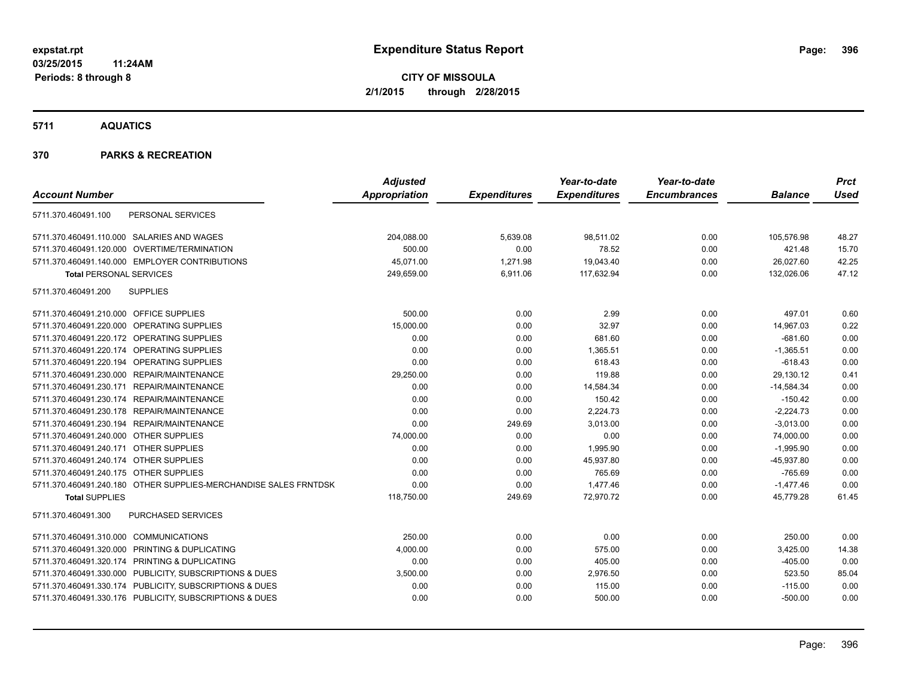**5711 AQUATICS**

#### **370 PARKS & RECREATION**

|                                                                  | <b>Adjusted</b>      |                     | Year-to-date        | Year-to-date        |                | <b>Prct</b> |
|------------------------------------------------------------------|----------------------|---------------------|---------------------|---------------------|----------------|-------------|
| <b>Account Number</b>                                            | <b>Appropriation</b> | <b>Expenditures</b> | <b>Expenditures</b> | <b>Encumbrances</b> | <b>Balance</b> | <b>Used</b> |
| 5711.370.460491.100<br>PERSONAL SERVICES                         |                      |                     |                     |                     |                |             |
| 5711.370.460491.110.000 SALARIES AND WAGES                       | 204,088.00           | 5,639.08            | 98,511.02           | 0.00                | 105,576.98     | 48.27       |
| 5711.370.460491.120.000 OVERTIME/TERMINATION                     | 500.00               | 0.00                | 78.52               | 0.00                | 421.48         | 15.70       |
| 5711.370.460491.140.000 EMPLOYER CONTRIBUTIONS                   | 45,071.00            | 1,271.98            | 19,043.40           | 0.00                | 26,027.60      | 42.25       |
| <b>Total PERSONAL SERVICES</b>                                   | 249,659.00           | 6,911.06            | 117,632.94          | 0.00                | 132,026.06     | 47.12       |
| <b>SUPPLIES</b><br>5711.370.460491.200                           |                      |                     |                     |                     |                |             |
| 5711.370.460491.210.000 OFFICE SUPPLIES                          | 500.00               | 0.00                | 2.99                | 0.00                | 497.01         | 0.60        |
| 5711.370.460491.220.000 OPERATING SUPPLIES                       | 15,000.00            | 0.00                | 32.97               | 0.00                | 14,967.03      | 0.22        |
| 5711.370.460491.220.172 OPERATING SUPPLIES                       | 0.00                 | 0.00                | 681.60              | 0.00                | $-681.60$      | 0.00        |
| 5711.370.460491.220.174 OPERATING SUPPLIES                       | 0.00                 | 0.00                | 1,365.51            | 0.00                | $-1,365.51$    | 0.00        |
| 5711.370.460491.220.194 OPERATING SUPPLIES                       | 0.00                 | 0.00                | 618.43              | 0.00                | $-618.43$      | 0.00        |
| 5711.370.460491.230.000 REPAIR/MAINTENANCE                       | 29,250.00            | 0.00                | 119.88              | 0.00                | 29,130.12      | 0.41        |
| 5711.370.460491.230.171 REPAIR/MAINTENANCE                       | 0.00                 | 0.00                | 14,584.34           | 0.00                | $-14,584.34$   | 0.00        |
| 5711.370.460491.230.174 REPAIR/MAINTENANCE                       | 0.00                 | 0.00                | 150.42              | 0.00                | $-150.42$      | 0.00        |
| 5711.370.460491.230.178 REPAIR/MAINTENANCE                       | 0.00                 | 0.00                | 2,224.73            | 0.00                | $-2,224.73$    | 0.00        |
| 5711.370.460491.230.194 REPAIR/MAINTENANCE                       | 0.00                 | 249.69              | 3,013.00            | 0.00                | $-3,013.00$    | 0.00        |
| 5711.370.460491.240.000 OTHER SUPPLIES                           | 74,000.00            | 0.00                | 0.00                | 0.00                | 74,000.00      | 0.00        |
| 5711.370.460491.240.171 OTHER SUPPLIES                           | 0.00                 | 0.00                | 1,995.90            | 0.00                | $-1,995.90$    | 0.00        |
| 5711.370.460491.240.174 OTHER SUPPLIES                           | 0.00                 | 0.00                | 45,937.80           | 0.00                | $-45,937.80$   | 0.00        |
| 5711.370.460491.240.175 OTHER SUPPLIES                           | 0.00                 | 0.00                | 765.69              | 0.00                | $-765.69$      | 0.00        |
| 5711.370.460491.240.180 OTHER SUPPLIES-MERCHANDISE SALES FRNTDSK | 0.00                 | 0.00                | 1,477.46            | 0.00                | $-1,477.46$    | 0.00        |
| <b>Total SUPPLIES</b>                                            | 118,750.00           | 249.69              | 72,970.72           | 0.00                | 45,779.28      | 61.45       |
| PURCHASED SERVICES<br>5711.370.460491.300                        |                      |                     |                     |                     |                |             |
| 5711.370.460491.310.000 COMMUNICATIONS                           | 250.00               | 0.00                | 0.00                | 0.00                | 250.00         | 0.00        |
| 5711.370.460491.320.000 PRINTING & DUPLICATING                   | 4,000.00             | 0.00                | 575.00              | 0.00                | 3,425.00       | 14.38       |
| 5711.370.460491.320.174 PRINTING & DUPLICATING                   | 0.00                 | 0.00                | 405.00              | 0.00                | $-405.00$      | 0.00        |
| 5711.370.460491.330.000 PUBLICITY, SUBSCRIPTIONS & DUES          | 3,500.00             | 0.00                | 2,976.50            | 0.00                | 523.50         | 85.04       |
| 5711.370.460491.330.174 PUBLICITY, SUBSCRIPTIONS & DUES          | 0.00                 | 0.00                | 115.00              | 0.00                | $-115.00$      | 0.00        |
| 5711.370.460491.330.176 PUBLICITY, SUBSCRIPTIONS & DUES          | 0.00                 | 0.00                | 500.00              | 0.00                | $-500.00$      | 0.00        |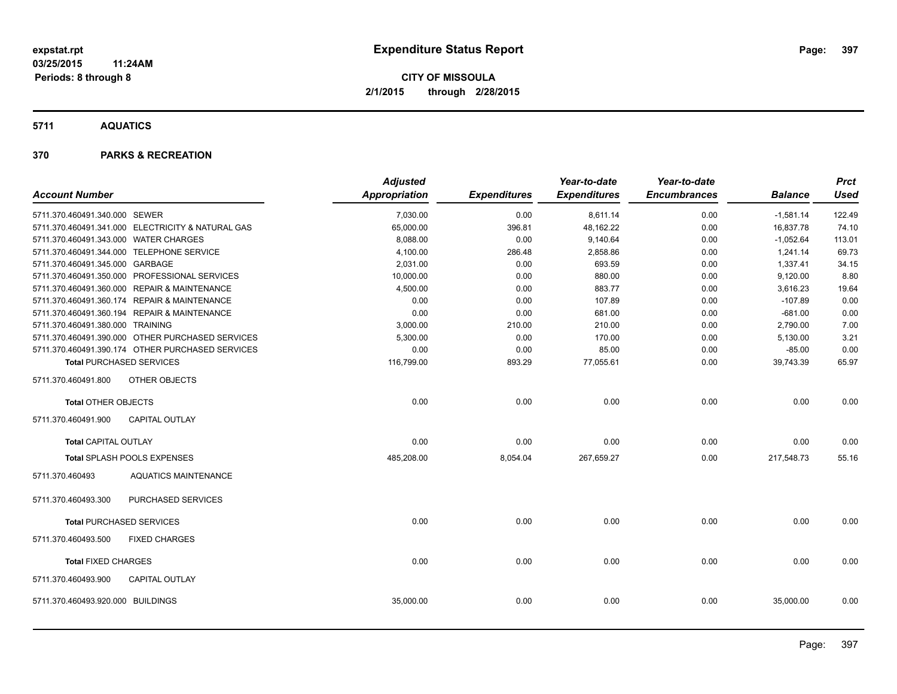**5711 AQUATICS**

### **370 PARKS & RECREATION**

|                                       |                                                   | <b>Adjusted</b>      |                     | Year-to-date        | Year-to-date        |                | <b>Prct</b> |
|---------------------------------------|---------------------------------------------------|----------------------|---------------------|---------------------|---------------------|----------------|-------------|
| <b>Account Number</b>                 |                                                   | <b>Appropriation</b> | <b>Expenditures</b> | <b>Expenditures</b> | <b>Encumbrances</b> | <b>Balance</b> | <b>Used</b> |
| 5711.370.460491.340.000 SEWER         |                                                   | 7,030.00             | 0.00                | 8,611.14            | 0.00                | $-1,581.14$    | 122.49      |
|                                       | 5711.370.460491.341.000 ELECTRICITY & NATURAL GAS | 65,000.00            | 396.81              | 48,162.22           | 0.00                | 16,837.78      | 74.10       |
| 5711.370.460491.343.000 WATER CHARGES |                                                   | 8,088.00             | 0.00                | 9,140.64            | 0.00                | $-1,052.64$    | 113.01      |
|                                       | 5711.370.460491.344.000 TELEPHONE SERVICE         | 4,100.00             | 286.48              | 2,858.86            | 0.00                | 1,241.14       | 69.73       |
| 5711.370.460491.345.000 GARBAGE       |                                                   | 2,031.00             | 0.00                | 693.59              | 0.00                | 1,337.41       | 34.15       |
|                                       | 5711.370.460491.350.000 PROFESSIONAL SERVICES     | 10,000.00            | 0.00                | 880.00              | 0.00                | 9,120.00       | 8.80        |
|                                       | 5711.370.460491.360.000 REPAIR & MAINTENANCE      | 4,500.00             | 0.00                | 883.77              | 0.00                | 3,616.23       | 19.64       |
|                                       | 5711.370.460491.360.174 REPAIR & MAINTENANCE      | 0.00                 | 0.00                | 107.89              | 0.00                | $-107.89$      | 0.00        |
|                                       | 5711.370.460491.360.194 REPAIR & MAINTENANCE      | 0.00                 | 0.00                | 681.00              | 0.00                | $-681.00$      | 0.00        |
| 5711.370.460491.380.000 TRAINING      |                                                   | 3,000.00             | 210.00              | 210.00              | 0.00                | 2,790.00       | 7.00        |
|                                       | 5711.370.460491.390.000 OTHER PURCHASED SERVICES  | 5,300.00             | 0.00                | 170.00              | 0.00                | 5,130.00       | 3.21        |
|                                       | 5711.370.460491.390.174 OTHER PURCHASED SERVICES  | 0.00                 | 0.00                | 85.00               | 0.00                | $-85.00$       | 0.00        |
|                                       | <b>Total PURCHASED SERVICES</b>                   | 116,799.00           | 893.29              | 77,055.61           | 0.00                | 39,743.39      | 65.97       |
| 5711.370.460491.800                   | <b>OTHER OBJECTS</b>                              |                      |                     |                     |                     |                |             |
| <b>Total OTHER OBJECTS</b>            |                                                   | 0.00                 | 0.00                | 0.00                | 0.00                | 0.00           | 0.00        |
| 5711.370.460491.900                   | <b>CAPITAL OUTLAY</b>                             |                      |                     |                     |                     |                |             |
| <b>Total CAPITAL OUTLAY</b>           |                                                   | 0.00                 | 0.00                | 0.00                | 0.00                | 0.00           | 0.00        |
|                                       | Total SPLASH POOLS EXPENSES                       | 485,208.00           | 8,054.04            | 267,659.27          | 0.00                | 217,548.73     | 55.16       |
| 5711.370.460493                       | <b>AQUATICS MAINTENANCE</b>                       |                      |                     |                     |                     |                |             |
| 5711.370.460493.300                   | PURCHASED SERVICES                                |                      |                     |                     |                     |                |             |
|                                       | <b>Total PURCHASED SERVICES</b>                   | 0.00                 | 0.00                | 0.00                | 0.00                | 0.00           | 0.00        |
| 5711.370.460493.500                   | <b>FIXED CHARGES</b>                              |                      |                     |                     |                     |                |             |
| <b>Total FIXED CHARGES</b>            |                                                   | 0.00                 | 0.00                | 0.00                | 0.00                | 0.00           | 0.00        |
| 5711.370.460493.900                   | <b>CAPITAL OUTLAY</b>                             |                      |                     |                     |                     |                |             |
| 5711.370.460493.920.000 BUILDINGS     |                                                   | 35,000.00            | 0.00                | 0.00                | 0.00                | 35,000.00      | 0.00        |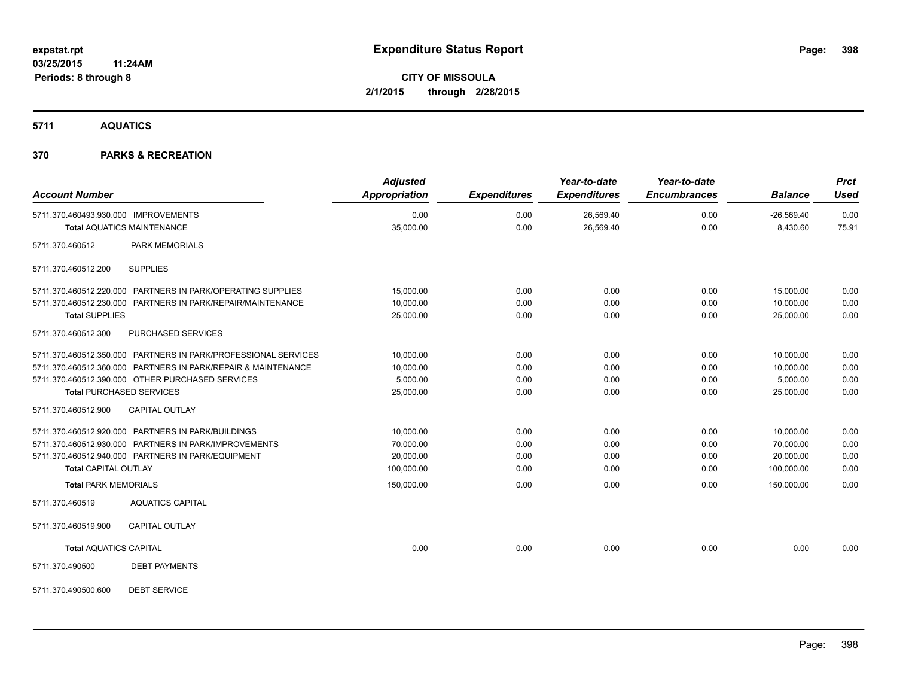**5711 AQUATICS**

### **370 PARKS & RECREATION**

| <b>Account Number</b>                                                     | <b>Adjusted</b><br><b>Appropriation</b> | <b>Expenditures</b> | Year-to-date<br><b>Expenditures</b> | Year-to-date<br><b>Encumbrances</b> | <b>Balance</b>           | <b>Prct</b><br><b>Used</b> |
|---------------------------------------------------------------------------|-----------------------------------------|---------------------|-------------------------------------|-------------------------------------|--------------------------|----------------------------|
| 5711.370.460493.930.000 IMPROVEMENTS<br><b>Total AQUATICS MAINTENANCE</b> | 0.00<br>35,000.00                       | 0.00<br>0.00        | 26,569.40<br>26,569.40              | 0.00<br>0.00                        | $-26,569.40$<br>8,430.60 | 0.00<br>75.91              |
|                                                                           |                                         |                     |                                     |                                     |                          |                            |
| <b>PARK MEMORIALS</b><br>5711.370.460512                                  |                                         |                     |                                     |                                     |                          |                            |
| <b>SUPPLIES</b><br>5711.370.460512.200                                    |                                         |                     |                                     |                                     |                          |                            |
| 5711.370.460512.220.000 PARTNERS IN PARK/OPERATING SUPPLIES               | 15,000.00                               | 0.00                | 0.00                                | 0.00                                | 15,000.00                | 0.00                       |
| 5711.370.460512.230.000 PARTNERS IN PARK/REPAIR/MAINTENANCE               | 10,000.00                               | 0.00                | 0.00                                | 0.00                                | 10.000.00                | 0.00                       |
| <b>Total SUPPLIES</b>                                                     | 25,000.00                               | 0.00                | 0.00                                | 0.00                                | 25,000.00                | 0.00                       |
| 5711.370.460512.300<br>PURCHASED SERVICES                                 |                                         |                     |                                     |                                     |                          |                            |
| 5711.370.460512.350.000 PARTNERS IN PARK/PROFESSIONAL SERVICES            | 10,000.00                               | 0.00                | 0.00                                | 0.00                                | 10,000.00                | 0.00                       |
| 5711.370.460512.360.000 PARTNERS IN PARK/REPAIR & MAINTENANCE             | 10,000.00                               | 0.00                | 0.00                                | 0.00                                | 10,000.00                | 0.00                       |
| 5711.370.460512.390.000 OTHER PURCHASED SERVICES                          | 5.000.00                                | 0.00                | 0.00                                | 0.00                                | 5,000.00                 | 0.00                       |
| <b>Total PURCHASED SERVICES</b>                                           | 25,000.00                               | 0.00                | 0.00                                | 0.00                                | 25,000.00                | 0.00                       |
| 5711.370.460512.900<br><b>CAPITAL OUTLAY</b>                              |                                         |                     |                                     |                                     |                          |                            |
| 5711.370.460512.920.000 PARTNERS IN PARK/BUILDINGS                        | 10,000.00                               | 0.00                | 0.00                                | 0.00                                | 10,000.00                | 0.00                       |
| 5711.370.460512.930.000 PARTNERS IN PARK/IMPROVEMENTS                     | 70,000.00                               | 0.00                | 0.00                                | 0.00                                | 70,000.00                | 0.00                       |
| 5711.370.460512.940.000 PARTNERS IN PARK/EQUIPMENT                        | 20,000.00                               | 0.00                | 0.00                                | 0.00                                | 20,000.00                | 0.00                       |
| <b>Total CAPITAL OUTLAY</b>                                               | 100,000.00                              | 0.00                | 0.00                                | 0.00                                | 100,000.00               | 0.00                       |
| <b>Total PARK MEMORIALS</b>                                               | 150,000.00                              | 0.00                | 0.00                                | 0.00                                | 150,000.00               | 0.00                       |
| 5711.370.460519<br><b>AQUATICS CAPITAL</b>                                |                                         |                     |                                     |                                     |                          |                            |
| 5711.370.460519.900<br><b>CAPITAL OUTLAY</b>                              |                                         |                     |                                     |                                     |                          |                            |
| <b>Total AQUATICS CAPITAL</b>                                             | 0.00                                    | 0.00                | 0.00                                | 0.00                                | 0.00                     | 0.00                       |
| 5711.370.490500<br><b>DEBT PAYMENTS</b>                                   |                                         |                     |                                     |                                     |                          |                            |
| <b>DEBT SERVICE</b><br>5711.370.490500.600                                |                                         |                     |                                     |                                     |                          |                            |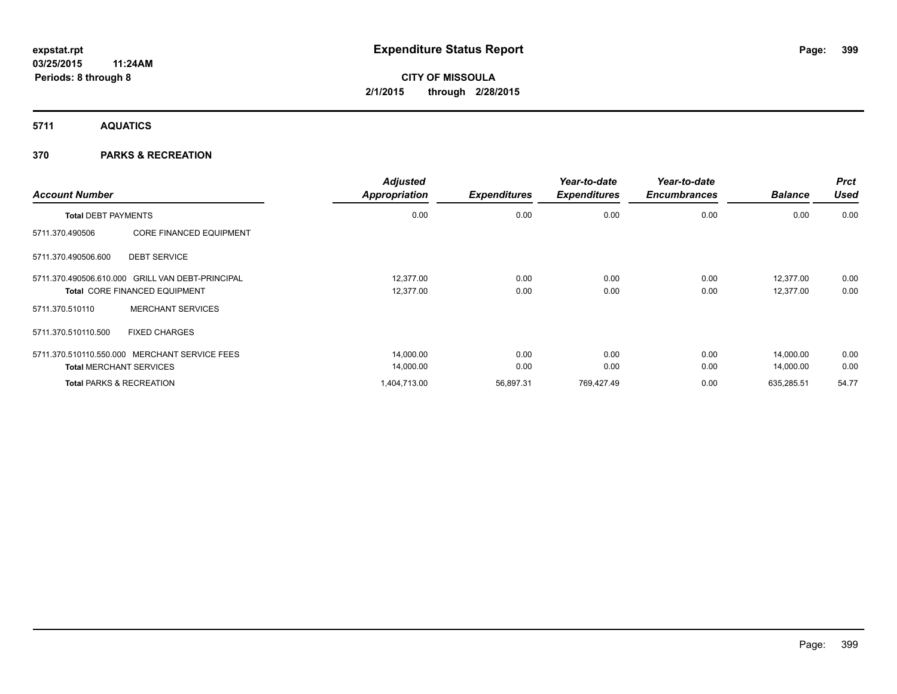**5711 AQUATICS**

### **370 PARKS & RECREATION**

| <b>Account Number</b>      |                                                                                          | <b>Adjusted</b><br><b>Appropriation</b> | <b>Expenditures</b> | Year-to-date<br><b>Expenditures</b> | Year-to-date<br><b>Encumbrances</b> | <b>Balance</b>         | <b>Prct</b><br>Used |
|----------------------------|------------------------------------------------------------------------------------------|-----------------------------------------|---------------------|-------------------------------------|-------------------------------------|------------------------|---------------------|
| <b>Total DEBT PAYMENTS</b> |                                                                                          | 0.00                                    | 0.00                | 0.00                                | 0.00                                | 0.00                   | 0.00                |
| 5711.370.490506            | <b>CORE FINANCED EQUIPMENT</b>                                                           |                                         |                     |                                     |                                     |                        |                     |
| 5711.370.490506.600        | <b>DEBT SERVICE</b>                                                                      |                                         |                     |                                     |                                     |                        |                     |
|                            | 5711.370.490506.610.000 GRILL VAN DEBT-PRINCIPAL<br><b>Total CORE FINANCED EQUIPMENT</b> | 12.377.00<br>12,377.00                  | 0.00<br>0.00        | 0.00<br>0.00                        | 0.00<br>0.00                        | 12,377.00<br>12,377.00 | 0.00<br>0.00        |
| 5711.370.510110            | <b>MERCHANT SERVICES</b>                                                                 |                                         |                     |                                     |                                     |                        |                     |
| 5711.370.510110.500        | <b>FIXED CHARGES</b>                                                                     |                                         |                     |                                     |                                     |                        |                     |
|                            | 5711.370.510110.550.000 MERCHANT SERVICE FEES                                            | 14,000.00                               | 0.00                | 0.00                                | 0.00                                | 14,000.00              | 0.00                |
|                            | <b>Total MERCHANT SERVICES</b>                                                           | 14,000.00                               | 0.00                | 0.00                                | 0.00                                | 14,000.00              | 0.00                |
|                            | <b>Total PARKS &amp; RECREATION</b>                                                      | 1,404,713.00                            | 56,897.31           | 769,427.49                          | 0.00                                | 635,285.51             | 54.77               |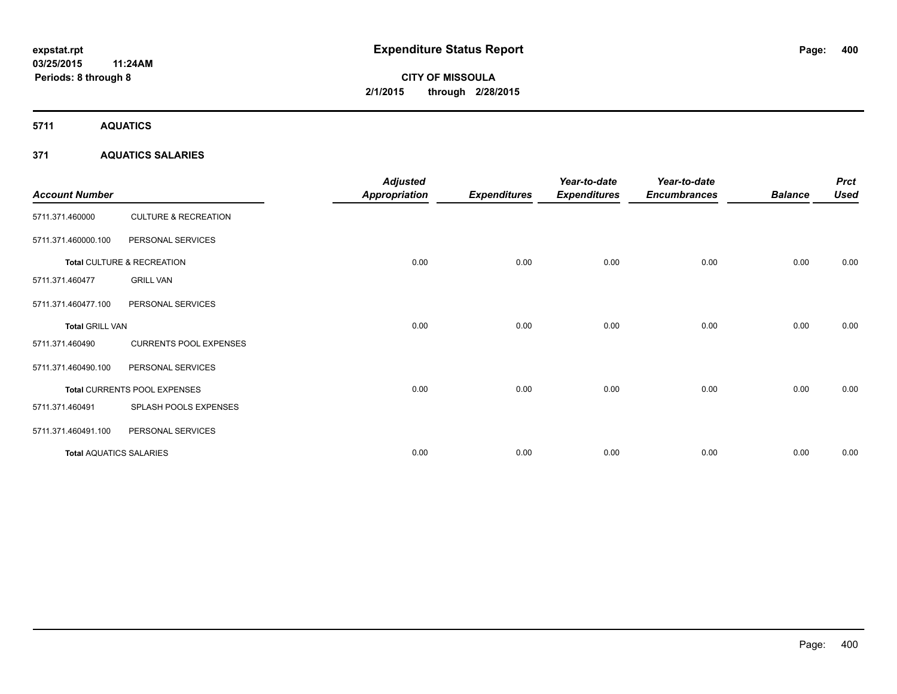**5711 AQUATICS**

### **371 AQUATICS SALARIES**

| <b>Account Number</b>          |                                 | <b>Adjusted</b><br><b>Appropriation</b> | <b>Expenditures</b> | Year-to-date<br><b>Expenditures</b> | Year-to-date<br><b>Encumbrances</b> | <b>Balance</b> | <b>Prct</b><br><b>Used</b> |
|--------------------------------|---------------------------------|-----------------------------------------|---------------------|-------------------------------------|-------------------------------------|----------------|----------------------------|
| 5711.371.460000                | <b>CULTURE &amp; RECREATION</b> |                                         |                     |                                     |                                     |                |                            |
| 5711.371.460000.100            | PERSONAL SERVICES               |                                         |                     |                                     |                                     |                |                            |
|                                | Total CULTURE & RECREATION      | 0.00                                    | 0.00                | 0.00                                | 0.00                                | 0.00           | 0.00                       |
| 5711.371.460477                | <b>GRILL VAN</b>                |                                         |                     |                                     |                                     |                |                            |
| 5711.371.460477.100            | PERSONAL SERVICES               |                                         |                     |                                     |                                     |                |                            |
| <b>Total GRILL VAN</b>         |                                 | 0.00                                    | 0.00                | 0.00                                | 0.00                                | 0.00           | 0.00                       |
| 5711.371.460490                | <b>CURRENTS POOL EXPENSES</b>   |                                         |                     |                                     |                                     |                |                            |
| 5711.371.460490.100            | PERSONAL SERVICES               |                                         |                     |                                     |                                     |                |                            |
|                                | Total CURRENTS POOL EXPENSES    | 0.00                                    | 0.00                | 0.00                                | 0.00                                | 0.00           | 0.00                       |
| 5711.371.460491                | SPLASH POOLS EXPENSES           |                                         |                     |                                     |                                     |                |                            |
| 5711.371.460491.100            | PERSONAL SERVICES               |                                         |                     |                                     |                                     |                |                            |
| <b>Total AQUATICS SALARIES</b> |                                 | 0.00                                    | 0.00                | 0.00                                | 0.00                                | 0.00           | 0.00                       |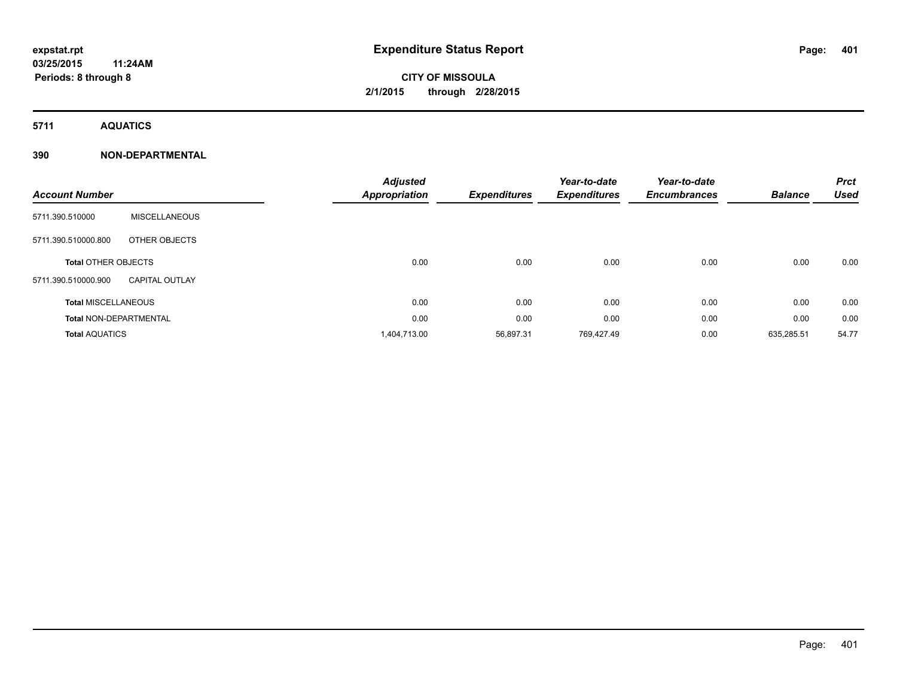**5711 AQUATICS**

| <b>Account Number</b>         |                       | <b>Adjusted</b><br><b>Appropriation</b> | <b>Expenditures</b> | Year-to-date<br><b>Expenditures</b> | Year-to-date<br><b>Encumbrances</b> | <b>Balance</b> | <b>Prct</b><br><b>Used</b> |
|-------------------------------|-----------------------|-----------------------------------------|---------------------|-------------------------------------|-------------------------------------|----------------|----------------------------|
| 5711.390.510000               | <b>MISCELLANEOUS</b>  |                                         |                     |                                     |                                     |                |                            |
| 5711.390.510000.800           | OTHER OBJECTS         |                                         |                     |                                     |                                     |                |                            |
| <b>Total OTHER OBJECTS</b>    |                       | 0.00                                    | 0.00                | 0.00                                | 0.00                                | 0.00           | 0.00                       |
| 5711.390.510000.900           | <b>CAPITAL OUTLAY</b> |                                         |                     |                                     |                                     |                |                            |
| <b>Total MISCELLANEOUS</b>    |                       | 0.00                                    | 0.00                | 0.00                                | 0.00                                | 0.00           | 0.00                       |
| <b>Total NON-DEPARTMENTAL</b> |                       | 0.00                                    | 0.00                | 0.00                                | 0.00                                | 0.00           | 0.00                       |
| <b>Total AQUATICS</b>         |                       | 1,404,713.00                            | 56,897.31           | 769,427.49                          | 0.00                                | 635,285.51     | 54.77                      |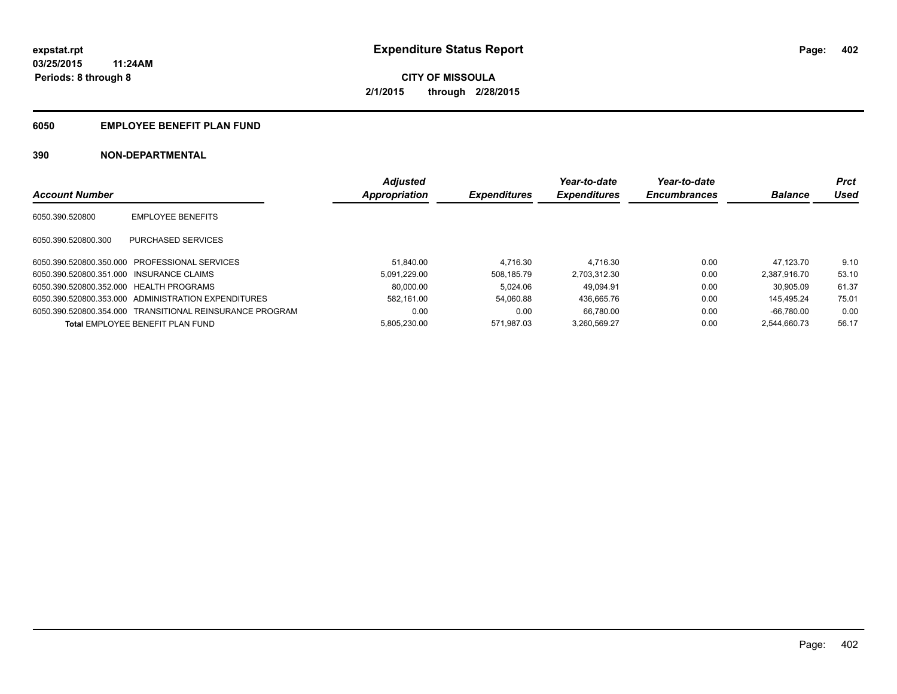### **6050 EMPLOYEE BENEFIT PLAN FUND**

|                                          |                                                          | <b>Adjusted</b> |                     | Year-to-date        | Year-to-date        |                | <b>Prct</b> |
|------------------------------------------|----------------------------------------------------------|-----------------|---------------------|---------------------|---------------------|----------------|-------------|
| <b>Account Number</b>                    |                                                          | Appropriation   | <b>Expenditures</b> | <b>Expenditures</b> | <b>Encumbrances</b> | <b>Balance</b> | Used        |
| 6050.390.520800                          | <b>EMPLOYEE BENEFITS</b>                                 |                 |                     |                     |                     |                |             |
| 6050.390.520800.300                      | PURCHASED SERVICES                                       |                 |                     |                     |                     |                |             |
|                                          | 6050.390.520800.350.000 PROFESSIONAL SERVICES            | 51.840.00       | 4.716.30            | 4.716.30            | 0.00                | 47.123.70      | 9.10        |
| 6050.390.520800.351.000 INSURANCE CLAIMS |                                                          | 5.091.229.00    | 508.185.79          | 2.703.312.30        | 0.00                | 2.387.916.70   | 53.10       |
| 6050.390.520800.352.000 HEALTH PROGRAMS  |                                                          | 80.000.00       | 5.024.06            | 49.094.91           | 0.00                | 30.905.09      | 61.37       |
|                                          | 6050.390.520800.353.000 ADMINISTRATION EXPENDITURES      | 582.161.00      | 54.060.88           | 436.665.76          | 0.00                | 145.495.24     | 75.01       |
|                                          | 6050.390.520800.354.000 TRANSITIONAL REINSURANCE PROGRAM | 0.00            | 0.00                | 66.780.00           | 0.00                | $-66.780.00$   | 0.00        |
|                                          | <b>Total EMPLOYEE BENEFIT PLAN FUND</b>                  | 5.805.230.00    | 571.987.03          | 3.260.569.27        | 0.00                | 2.544.660.73   | 56.17       |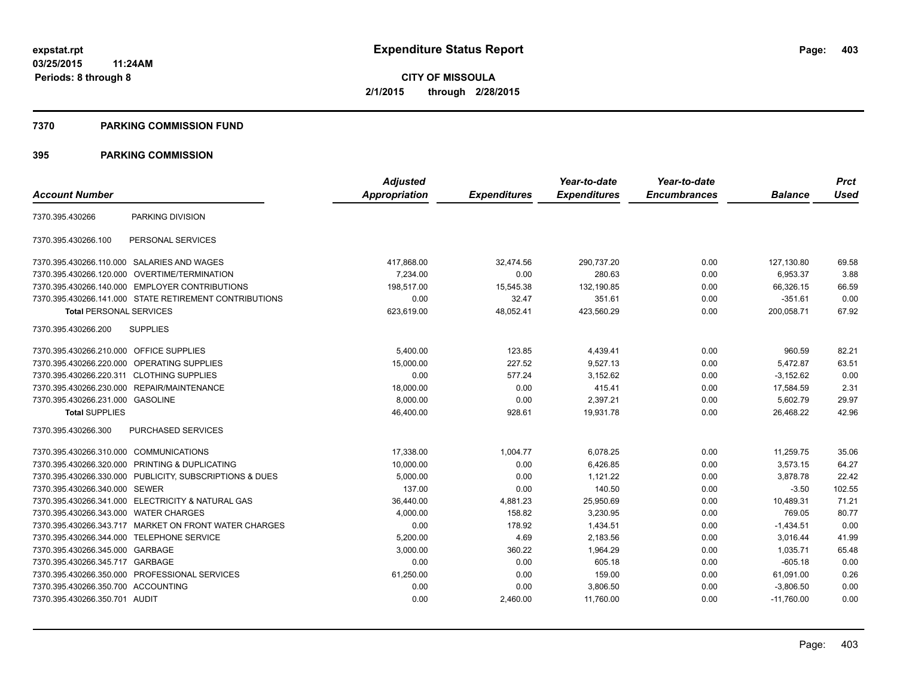#### **7370 PARKING COMMISSION FUND**

|                                           |                                                         | <b>Adjusted</b> |                     | Year-to-date        | Year-to-date        |                | <b>Prct</b> |
|-------------------------------------------|---------------------------------------------------------|-----------------|---------------------|---------------------|---------------------|----------------|-------------|
| <b>Account Number</b>                     |                                                         | Appropriation   | <b>Expenditures</b> | <b>Expenditures</b> | <b>Encumbrances</b> | <b>Balance</b> | <b>Used</b> |
| 7370.395.430266                           | PARKING DIVISION                                        |                 |                     |                     |                     |                |             |
| 7370.395.430266.100                       | PERSONAL SERVICES                                       |                 |                     |                     |                     |                |             |
|                                           | 7370.395.430266.110.000 SALARIES AND WAGES              | 417,868.00      | 32,474.56           | 290,737.20          | 0.00                | 127,130.80     | 69.58       |
| 7370.395.430266.120.000                   | OVERTIME/TERMINATION                                    | 7,234.00        | 0.00                | 280.63              | 0.00                | 6,953.37       | 3.88        |
|                                           | 7370.395.430266.140.000 EMPLOYER CONTRIBUTIONS          | 198,517.00      | 15,545.38           | 132,190.85          | 0.00                | 66,326.15      | 66.59       |
|                                           | 7370.395.430266.141.000 STATE RETIREMENT CONTRIBUTIONS  | 0.00            | 32.47               | 351.61              | 0.00                | $-351.61$      | 0.00        |
| <b>Total PERSONAL SERVICES</b>            |                                                         | 623,619.00      | 48,052.41           | 423,560.29          | 0.00                | 200,058.71     | 67.92       |
| 7370.395.430266.200                       | <b>SUPPLIES</b>                                         |                 |                     |                     |                     |                |             |
| 7370.395.430266.210.000 OFFICE SUPPLIES   |                                                         | 5,400.00        | 123.85              | 4,439.41            | 0.00                | 960.59         | 82.21       |
| 7370.395.430266.220.000                   | <b>OPERATING SUPPLIES</b>                               | 15.000.00       | 227.52              | 9.527.13            | 0.00                | 5,472.87       | 63.51       |
| 7370.395.430266.220.311 CLOTHING SUPPLIES |                                                         | 0.00            | 577.24              | 3,152.62            | 0.00                | $-3,152.62$    | 0.00        |
| 7370.395.430266.230.000                   | REPAIR/MAINTENANCE                                      | 18,000.00       | 0.00                | 415.41              | 0.00                | 17,584.59      | 2.31        |
| 7370.395.430266.231.000 GASOLINE          |                                                         | 8,000.00        | 0.00                | 2,397.21            | 0.00                | 5,602.79       | 29.97       |
| <b>Total SUPPLIES</b>                     |                                                         | 46,400.00       | 928.61              | 19,931.78           | 0.00                | 26,468.22      | 42.96       |
| 7370.395.430266.300                       | PURCHASED SERVICES                                      |                 |                     |                     |                     |                |             |
| 7370.395.430266.310.000 COMMUNICATIONS    |                                                         | 17,338.00       | 1,004.77            | 6,078.25            | 0.00                | 11,259.75      | 35.06       |
| 7370.395.430266.320.000                   | PRINTING & DUPLICATING                                  | 10,000.00       | 0.00                | 6,426.85            | 0.00                | 3,573.15       | 64.27       |
|                                           | 7370.395.430266.330.000 PUBLICITY, SUBSCRIPTIONS & DUES | 5,000.00        | 0.00                | 1,121.22            | 0.00                | 3,878.78       | 22.42       |
| 7370.395.430266.340.000 SEWER             |                                                         | 137.00          | 0.00                | 140.50              | 0.00                | $-3.50$        | 102.55      |
|                                           | 7370.395.430266.341.000 ELECTRICITY & NATURAL GAS       | 36,440.00       | 4,881.23            | 25,950.69           | 0.00                | 10,489.31      | 71.21       |
| 7370.395.430266.343.000                   | <b>WATER CHARGES</b>                                    | 4,000.00        | 158.82              | 3,230.95            | 0.00                | 769.05         | 80.77       |
|                                           | 7370.395.430266.343.717 MARKET ON FRONT WATER CHARGES   | 0.00            | 178.92              | 1,434.51            | 0.00                | $-1,434.51$    | 0.00        |
| 7370.395.430266.344.000                   | <b>TELEPHONE SERVICE</b>                                | 5,200.00        | 4.69                | 2,183.56            | 0.00                | 3,016.44       | 41.99       |
| 7370.395.430266.345.000 GARBAGE           |                                                         | 3,000.00        | 360.22              | 1,964.29            | 0.00                | 1,035.71       | 65.48       |
| 7370.395.430266.345.717                   | GARBAGE                                                 | 0.00            | 0.00                | 605.18              | 0.00                | $-605.18$      | 0.00        |
|                                           | 7370.395.430266.350.000 PROFESSIONAL SERVICES           | 61,250.00       | 0.00                | 159.00              | 0.00                | 61,091.00      | 0.26        |
| 7370.395.430266.350.700 ACCOUNTING        |                                                         | 0.00            | 0.00                | 3,806.50            | 0.00                | $-3,806.50$    | 0.00        |
| 7370.395.430266.350.701 AUDIT             |                                                         | 0.00            | 2,460.00            | 11,760.00           | 0.00                | $-11.760.00$   | 0.00        |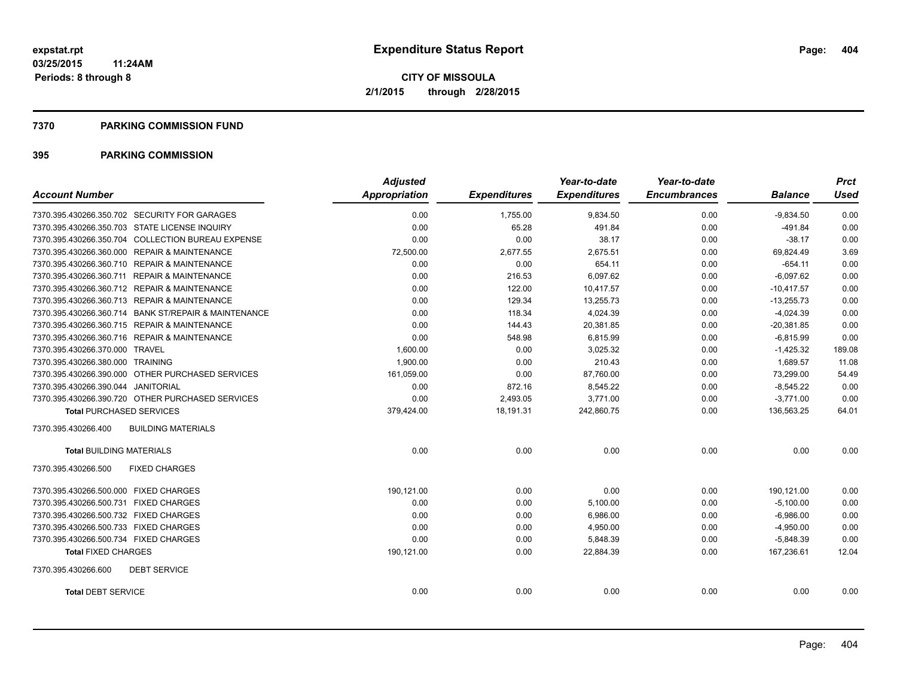#### **7370 PARKING COMMISSION FUND**

| <b>Account Number</b>                                | <b>Adjusted</b><br><b>Appropriation</b> | <b>Expenditures</b> | Year-to-date<br><b>Expenditures</b> | Year-to-date<br><b>Encumbrances</b> | <b>Balance</b> | <b>Prct</b><br>Used |
|------------------------------------------------------|-----------------------------------------|---------------------|-------------------------------------|-------------------------------------|----------------|---------------------|
|                                                      |                                         |                     |                                     |                                     |                |                     |
| 7370.395.430266.350.702 SECURITY FOR GARAGES         | 0.00                                    | 1,755.00            | 9,834.50                            | 0.00                                | $-9,834.50$    | 0.00                |
| 7370.395.430266.350.703 STATE LICENSE INQUIRY        | 0.00                                    | 65.28               | 491.84                              | 0.00                                | $-491.84$      | 0.00                |
| 7370.395.430266.350.704 COLLECTION BUREAU EXPENSE    | 0.00                                    | 0.00                | 38.17                               | 0.00                                | $-38.17$       | 0.00                |
| 7370.395.430266.360.000 REPAIR & MAINTENANCE         | 72,500.00                               | 2,677.55            | 2.675.51                            | 0.00                                | 69.824.49      | 3.69                |
| 7370.395.430266.360.710 REPAIR & MAINTENANCE         | 0.00                                    | 0.00                | 654.11                              | 0.00                                | $-654.11$      | 0.00                |
| 7370.395.430266.360.711 REPAIR & MAINTENANCE         | 0.00                                    | 216.53              | 6,097.62                            | 0.00                                | $-6,097.62$    | 0.00                |
| 7370.395.430266.360.712 REPAIR & MAINTENANCE         | 0.00                                    | 122.00              | 10,417.57                           | 0.00                                | $-10,417.57$   | 0.00                |
| 7370.395.430266.360.713 REPAIR & MAINTENANCE         | 0.00                                    | 129.34              | 13,255.73                           | 0.00                                | $-13,255.73$   | 0.00                |
| 7370.395.430266.360.714 BANK ST/REPAIR & MAINTENANCE | 0.00                                    | 118.34              | 4,024.39                            | 0.00                                | $-4,024.39$    | 0.00                |
| 7370.395.430266.360.715 REPAIR & MAINTENANCE         | 0.00                                    | 144.43              | 20,381.85                           | 0.00                                | $-20,381.85$   | 0.00                |
| 7370.395.430266.360.716 REPAIR & MAINTENANCE         | 0.00                                    | 548.98              | 6,815.99                            | 0.00                                | $-6,815.99$    | 0.00                |
| 7370.395.430266.370.000 TRAVEL                       | 1,600.00                                | 0.00                | 3,025.32                            | 0.00                                | $-1,425.32$    | 189.08              |
| 7370.395.430266.380.000 TRAINING                     | 1,900.00                                | 0.00                | 210.43                              | 0.00                                | 1.689.57       | 11.08               |
| 7370.395.430266.390.000 OTHER PURCHASED SERVICES     | 161,059.00                              | 0.00                | 87,760.00                           | 0.00                                | 73,299.00      | 54.49               |
| 7370.395.430266.390.044 JANITORIAL                   | 0.00                                    | 872.16              | 8,545.22                            | 0.00                                | $-8,545.22$    | 0.00                |
| 7370.395.430266.390.720 OTHER PURCHASED SERVICES     | 0.00                                    | 2,493.05            | 3,771.00                            | 0.00                                | $-3,771.00$    | 0.00                |
| <b>Total PURCHASED SERVICES</b>                      | 379,424.00                              | 18,191.31           | 242,860.75                          | 0.00                                | 136,563.25     | 64.01               |
| 7370.395.430266.400<br><b>BUILDING MATERIALS</b>     |                                         |                     |                                     |                                     |                |                     |
| <b>Total BUILDING MATERIALS</b>                      | 0.00                                    | 0.00                | 0.00                                | 0.00                                | 0.00           | 0.00                |
| 7370.395.430266.500<br><b>FIXED CHARGES</b>          |                                         |                     |                                     |                                     |                |                     |
| 7370.395.430266.500.000 FIXED CHARGES                | 190.121.00                              | 0.00                | 0.00                                | 0.00                                | 190,121.00     | 0.00                |
| 7370.395.430266.500.731 FIXED CHARGES                | 0.00                                    | 0.00                | 5,100.00                            | 0.00                                | $-5,100.00$    | 0.00                |
| 7370.395.430266.500.732 FIXED CHARGES                | 0.00                                    | 0.00                | 6,986.00                            | 0.00                                | $-6,986.00$    | 0.00                |
| 7370.395.430266.500.733 FIXED CHARGES                | 0.00                                    | 0.00                | 4,950.00                            | 0.00                                | $-4,950.00$    | 0.00                |
| 7370.395.430266.500.734 FIXED CHARGES                | 0.00                                    | 0.00                | 5.848.39                            | 0.00                                | $-5,848.39$    | 0.00                |
| <b>Total FIXED CHARGES</b>                           | 190,121.00                              | 0.00                | 22,884.39                           | 0.00                                | 167,236.61     | 12.04               |
| 7370.395.430266.600<br><b>DEBT SERVICE</b>           |                                         |                     |                                     |                                     |                |                     |
| <b>Total DEBT SERVICE</b>                            | 0.00                                    | 0.00                | 0.00                                | 0.00                                | 0.00           | 0.00                |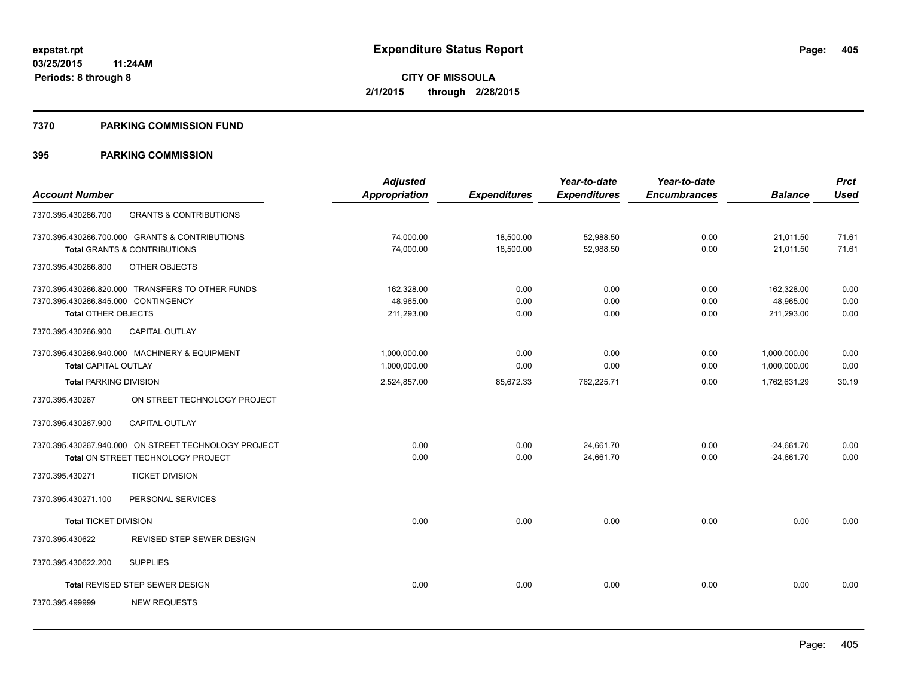#### **7370 PARKING COMMISSION FUND**

|                                     |                                                      | <b>Adjusted</b> |                     | Year-to-date        | Year-to-date        |                | <b>Prct</b> |
|-------------------------------------|------------------------------------------------------|-----------------|---------------------|---------------------|---------------------|----------------|-------------|
| <b>Account Number</b>               |                                                      | Appropriation   | <b>Expenditures</b> | <b>Expenditures</b> | <b>Encumbrances</b> | <b>Balance</b> | <b>Used</b> |
| 7370.395.430266.700                 | <b>GRANTS &amp; CONTRIBUTIONS</b>                    |                 |                     |                     |                     |                |             |
|                                     | 7370.395.430266.700.000 GRANTS & CONTRIBUTIONS       | 74,000.00       | 18,500.00           | 52,988.50           | 0.00                | 21,011.50      | 71.61       |
|                                     | Total GRANTS & CONTRIBUTIONS                         | 74,000.00       | 18,500.00           | 52.988.50           | 0.00                | 21.011.50      | 71.61       |
| 7370.395.430266.800                 | OTHER OBJECTS                                        |                 |                     |                     |                     |                |             |
|                                     | 7370.395.430266.820.000 TRANSFERS TO OTHER FUNDS     | 162,328.00      | 0.00                | 0.00                | 0.00                | 162,328.00     | 0.00        |
| 7370.395.430266.845.000 CONTINGENCY |                                                      | 48,965.00       | 0.00                | 0.00                | 0.00                | 48,965.00      | 0.00        |
| <b>Total OTHER OBJECTS</b>          |                                                      | 211.293.00      | 0.00                | 0.00                | 0.00                | 211.293.00     | 0.00        |
| 7370.395.430266.900                 | CAPITAL OUTLAY                                       |                 |                     |                     |                     |                |             |
|                                     | 7370.395.430266.940.000 MACHINERY & EQUIPMENT        | 1,000,000.00    | 0.00                | 0.00                | 0.00                | 1,000,000.00   | 0.00        |
| <b>Total CAPITAL OUTLAY</b>         |                                                      | 1,000,000.00    | 0.00                | 0.00                | 0.00                | 1,000,000.00   | 0.00        |
| <b>Total PARKING DIVISION</b>       |                                                      | 2,524,857.00    | 85,672.33           | 762,225.71          | 0.00                | 1,762,631.29   | 30.19       |
| 7370.395.430267                     | ON STREET TECHNOLOGY PROJECT                         |                 |                     |                     |                     |                |             |
| 7370.395.430267.900                 | <b>CAPITAL OUTLAY</b>                                |                 |                     |                     |                     |                |             |
|                                     | 7370.395.430267.940.000 ON STREET TECHNOLOGY PROJECT | 0.00            | 0.00                | 24,661.70           | 0.00                | $-24,661.70$   | 0.00        |
|                                     | Total ON STREET TECHNOLOGY PROJECT                   | 0.00            | 0.00                | 24,661.70           | 0.00                | $-24,661.70$   | 0.00        |
| 7370.395.430271                     | <b>TICKET DIVISION</b>                               |                 |                     |                     |                     |                |             |
| 7370.395.430271.100                 | PERSONAL SERVICES                                    |                 |                     |                     |                     |                |             |
| <b>Total TICKET DIVISION</b>        |                                                      | 0.00            | 0.00                | 0.00                | 0.00                | 0.00           | 0.00        |
| 7370.395.430622                     | REVISED STEP SEWER DESIGN                            |                 |                     |                     |                     |                |             |
| 7370.395.430622.200                 | <b>SUPPLIES</b>                                      |                 |                     |                     |                     |                |             |
|                                     | Total REVISED STEP SEWER DESIGN                      | 0.00            | 0.00                | 0.00                | 0.00                | 0.00           | 0.00        |
| 7370.395.499999                     | <b>NEW REQUESTS</b>                                  |                 |                     |                     |                     |                |             |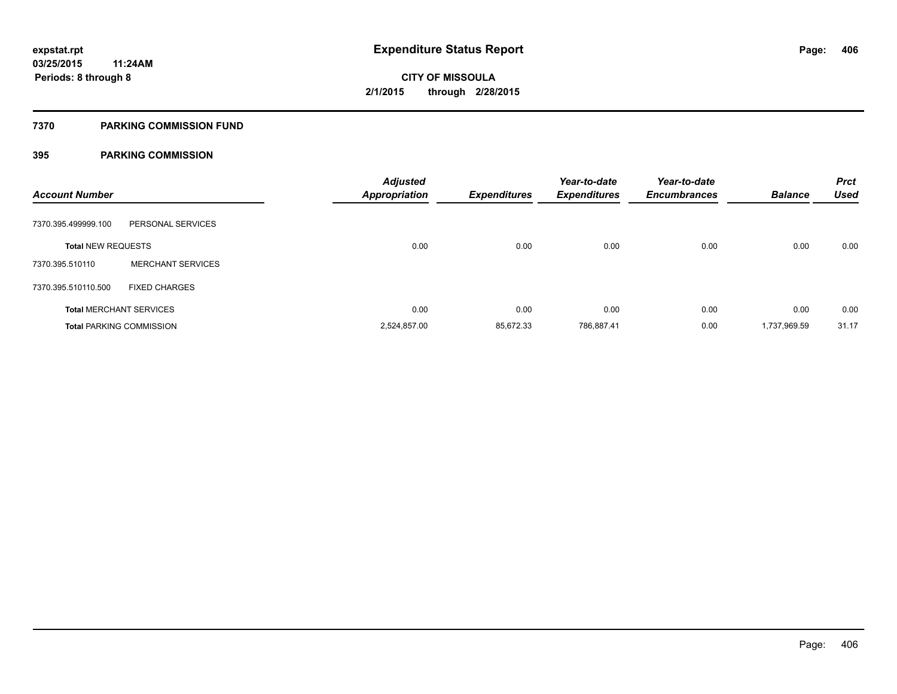#### **7370 PARKING COMMISSION FUND**

| <b>Account Number</b>     |                                 | <b>Adjusted</b><br><b>Appropriation</b> | <b>Expenditures</b> | Year-to-date<br><b>Expenditures</b> | Year-to-date<br><b>Encumbrances</b> | <b>Balance</b> | <b>Prct</b><br><b>Used</b> |
|---------------------------|---------------------------------|-----------------------------------------|---------------------|-------------------------------------|-------------------------------------|----------------|----------------------------|
| 7370.395.499999.100       | PERSONAL SERVICES               |                                         |                     |                                     |                                     |                |                            |
| <b>Total NEW REQUESTS</b> |                                 | 0.00                                    | 0.00                | 0.00                                | 0.00                                | 0.00           | 0.00                       |
| 7370.395.510110           | <b>MERCHANT SERVICES</b>        |                                         |                     |                                     |                                     |                |                            |
| 7370.395.510110.500       | <b>FIXED CHARGES</b>            |                                         |                     |                                     |                                     |                |                            |
|                           | <b>Total MERCHANT SERVICES</b>  | 0.00                                    | 0.00                | 0.00                                | 0.00                                | 0.00           | 0.00                       |
|                           | <b>Total PARKING COMMISSION</b> | 2,524,857.00                            | 85,672.33           | 786,887.41                          | 0.00                                | 1,737,969.59   | 31.17                      |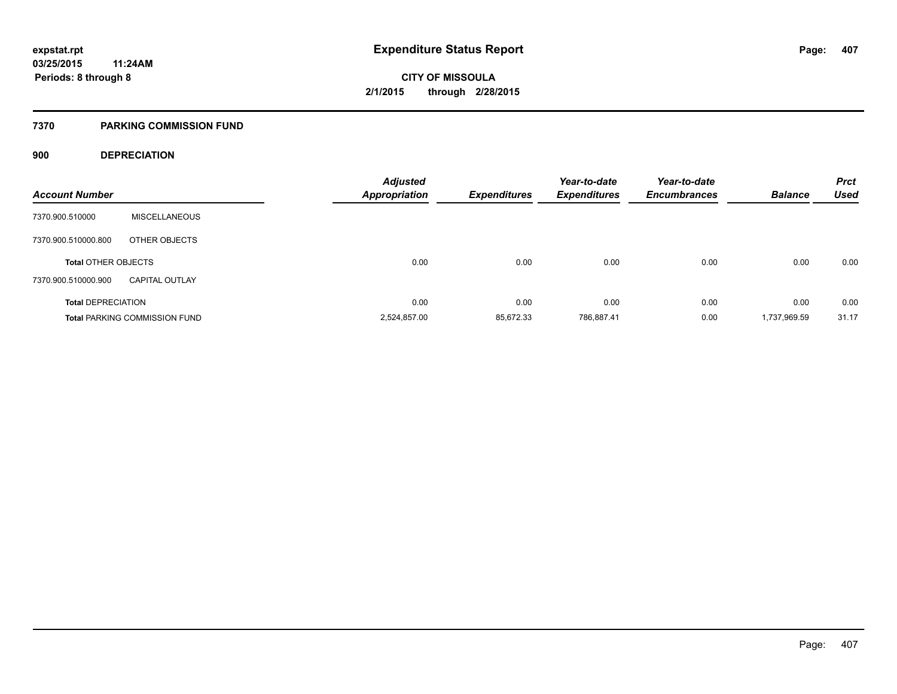#### **7370 PARKING COMMISSION FUND**

### **900 DEPRECIATION**

| <b>Account Number</b>      |                                      | <b>Adjusted</b><br><b>Appropriation</b> | Expenditures | Year-to-date<br><b>Expenditures</b> | Year-to-date<br><b>Encumbrances</b> | <b>Balance</b> | <b>Prct</b><br><b>Used</b> |
|----------------------------|--------------------------------------|-----------------------------------------|--------------|-------------------------------------|-------------------------------------|----------------|----------------------------|
|                            |                                      |                                         |              |                                     |                                     |                |                            |
| 7370.900.510000            | <b>MISCELLANEOUS</b>                 |                                         |              |                                     |                                     |                |                            |
| 7370.900.510000.800        | OTHER OBJECTS                        |                                         |              |                                     |                                     |                |                            |
| <b>Total OTHER OBJECTS</b> |                                      | 0.00                                    | 0.00         | 0.00                                | 0.00                                | 0.00           | 0.00                       |
| 7370.900.510000.900        | <b>CAPITAL OUTLAY</b>                |                                         |              |                                     |                                     |                |                            |
| <b>Total DEPRECIATION</b>  |                                      | 0.00                                    | 0.00         | 0.00                                | 0.00                                | 0.00           | 0.00                       |
|                            | <b>Total PARKING COMMISSION FUND</b> | 2.524.857.00                            | 85.672.33    | 786.887.41                          | 0.00                                | 1.737.969.59   | 31.17                      |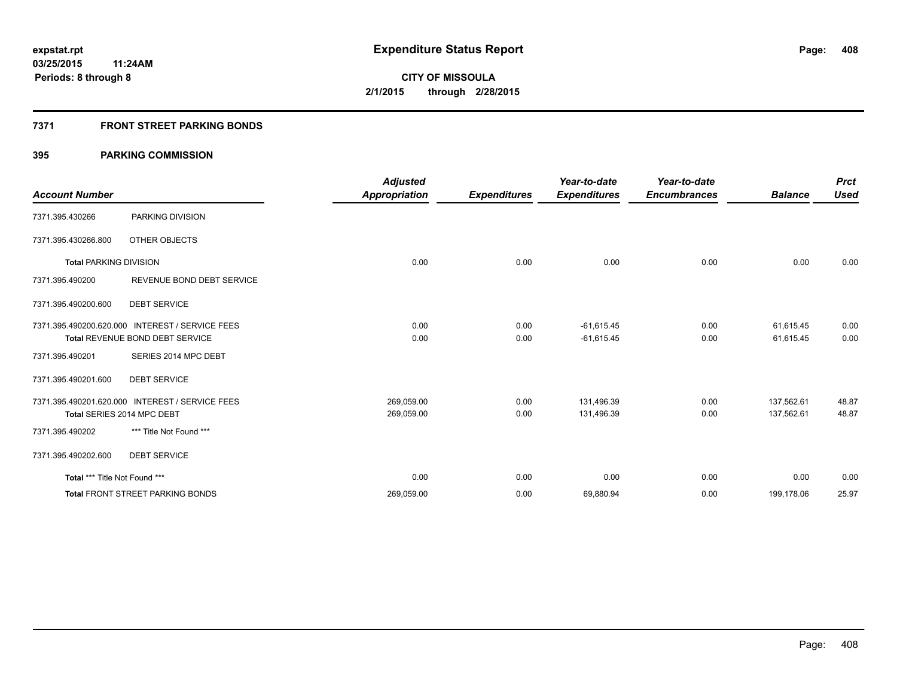### **7371 FRONT STREET PARKING BONDS**

|                               |                                                 | <b>Adjusted</b>      |                     | Year-to-date        | Year-to-date        |                | <b>Prct</b> |
|-------------------------------|-------------------------------------------------|----------------------|---------------------|---------------------|---------------------|----------------|-------------|
| <b>Account Number</b>         |                                                 | <b>Appropriation</b> | <b>Expenditures</b> | <b>Expenditures</b> | <b>Encumbrances</b> | <b>Balance</b> | <b>Used</b> |
| 7371.395.430266               | PARKING DIVISION                                |                      |                     |                     |                     |                |             |
| 7371.395.430266.800           | OTHER OBJECTS                                   |                      |                     |                     |                     |                |             |
| <b>Total PARKING DIVISION</b> |                                                 | 0.00                 | 0.00                | 0.00                | 0.00                | 0.00           | 0.00        |
| 7371.395.490200               | REVENUE BOND DEBT SERVICE                       |                      |                     |                     |                     |                |             |
| 7371.395.490200.600           | <b>DEBT SERVICE</b>                             |                      |                     |                     |                     |                |             |
|                               | 7371.395.490200.620.000 INTEREST / SERVICE FEES | 0.00                 | 0.00                | $-61,615.45$        | 0.00                | 61,615.45      | 0.00        |
|                               | Total REVENUE BOND DEBT SERVICE                 | 0.00                 | 0.00                | $-61,615.45$        | 0.00                | 61,615.45      | 0.00        |
| 7371.395.490201               | SERIES 2014 MPC DEBT                            |                      |                     |                     |                     |                |             |
| 7371.395.490201.600           | <b>DEBT SERVICE</b>                             |                      |                     |                     |                     |                |             |
|                               | 7371.395.490201.620.000 INTEREST / SERVICE FEES | 269,059.00           | 0.00                | 131,496.39          | 0.00                | 137,562.61     | 48.87       |
|                               | Total SERIES 2014 MPC DEBT                      | 269,059.00           | 0.00                | 131,496.39          | 0.00                | 137,562.61     | 48.87       |
| 7371.395.490202               | *** Title Not Found ***                         |                      |                     |                     |                     |                |             |
| 7371.395.490202.600           | <b>DEBT SERVICE</b>                             |                      |                     |                     |                     |                |             |
| Total *** Title Not Found *** |                                                 | 0.00                 | 0.00                | 0.00                | 0.00                | 0.00           | 0.00        |
|                               | <b>Total FRONT STREET PARKING BONDS</b>         | 269,059.00           | 0.00                | 69,880.94           | 0.00                | 199,178.06     | 25.97       |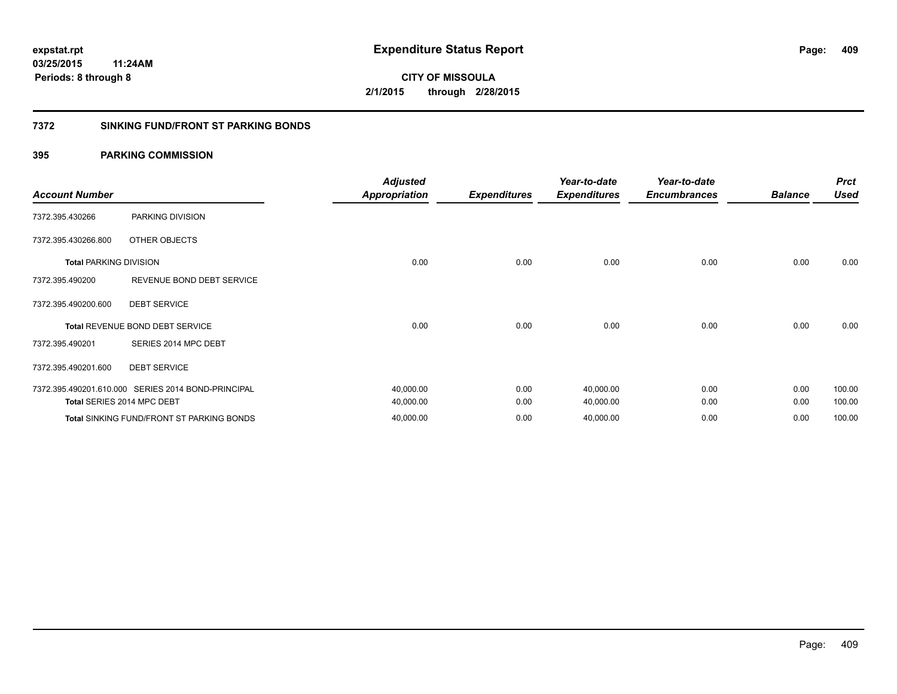#### **7372 SINKING FUND/FRONT ST PARKING BONDS**

| <b>Account Number</b>         |                                                    | <b>Adjusted</b><br><b>Appropriation</b> | <b>Expenditures</b> | Year-to-date<br><b>Expenditures</b> | Year-to-date<br><b>Encumbrances</b> | <b>Balance</b> | <b>Prct</b><br><b>Used</b> |
|-------------------------------|----------------------------------------------------|-----------------------------------------|---------------------|-------------------------------------|-------------------------------------|----------------|----------------------------|
| 7372.395.430266               | PARKING DIVISION                                   |                                         |                     |                                     |                                     |                |                            |
| 7372.395.430266.800           | OTHER OBJECTS                                      |                                         |                     |                                     |                                     |                |                            |
| <b>Total PARKING DIVISION</b> |                                                    | 0.00                                    | 0.00                | 0.00                                | 0.00                                | 0.00           | 0.00                       |
| 7372.395.490200               | REVENUE BOND DEBT SERVICE                          |                                         |                     |                                     |                                     |                |                            |
| 7372.395.490200.600           | <b>DEBT SERVICE</b>                                |                                         |                     |                                     |                                     |                |                            |
|                               | <b>Total REVENUE BOND DEBT SERVICE</b>             | 0.00                                    | 0.00                | 0.00                                | 0.00                                | 0.00           | 0.00                       |
| 7372.395.490201               | SERIES 2014 MPC DEBT                               |                                         |                     |                                     |                                     |                |                            |
| 7372.395.490201.600           | <b>DEBT SERVICE</b>                                |                                         |                     |                                     |                                     |                |                            |
|                               | 7372.395.490201.610.000 SERIES 2014 BOND-PRINCIPAL | 40,000.00                               | 0.00                | 40,000.00                           | 0.00                                | 0.00           | 100.00                     |
|                               | Total SERIES 2014 MPC DEBT                         | 40,000.00                               | 0.00                | 40,000.00                           | 0.00                                | 0.00           | 100.00                     |
|                               | Total SINKING FUND/FRONT ST PARKING BONDS          | 40,000.00                               | 0.00                | 40,000.00                           | 0.00                                | 0.00           | 100.00                     |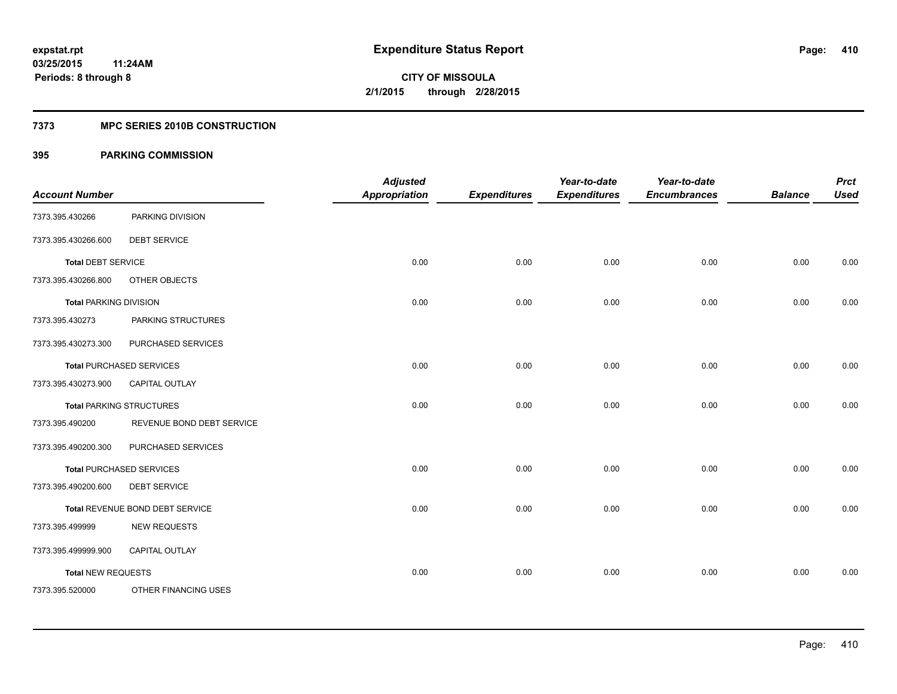#### **7373 MPC SERIES 2010B CONSTRUCTION**

| <b>Account Number</b>         |                                 | <b>Adjusted</b><br><b>Appropriation</b> | <b>Expenditures</b> | Year-to-date<br><b>Expenditures</b> | Year-to-date<br><b>Encumbrances</b> | <b>Balance</b> | <b>Prct</b><br><b>Used</b> |
|-------------------------------|---------------------------------|-----------------------------------------|---------------------|-------------------------------------|-------------------------------------|----------------|----------------------------|
| 7373.395.430266               | PARKING DIVISION                |                                         |                     |                                     |                                     |                |                            |
| 7373.395.430266.600           | <b>DEBT SERVICE</b>             |                                         |                     |                                     |                                     |                |                            |
| <b>Total DEBT SERVICE</b>     |                                 | 0.00                                    | 0.00                | 0.00                                | 0.00                                | 0.00           | 0.00                       |
| 7373.395.430266.800           | OTHER OBJECTS                   |                                         |                     |                                     |                                     |                |                            |
| <b>Total PARKING DIVISION</b> |                                 | 0.00                                    | 0.00                | 0.00                                | 0.00                                | 0.00           | 0.00                       |
| 7373.395.430273               | PARKING STRUCTURES              |                                         |                     |                                     |                                     |                |                            |
| 7373.395.430273.300           | PURCHASED SERVICES              |                                         |                     |                                     |                                     |                |                            |
|                               | <b>Total PURCHASED SERVICES</b> | 0.00                                    | 0.00                | 0.00                                | 0.00                                | 0.00           | 0.00                       |
| 7373.395.430273.900           | <b>CAPITAL OUTLAY</b>           |                                         |                     |                                     |                                     |                |                            |
|                               | <b>Total PARKING STRUCTURES</b> | 0.00                                    | 0.00                | 0.00                                | 0.00                                | 0.00           | 0.00                       |
| 7373.395.490200               | REVENUE BOND DEBT SERVICE       |                                         |                     |                                     |                                     |                |                            |
| 7373.395.490200.300           | PURCHASED SERVICES              |                                         |                     |                                     |                                     |                |                            |
|                               | <b>Total PURCHASED SERVICES</b> | 0.00                                    | 0.00                | 0.00                                | 0.00                                | 0.00           | 0.00                       |
| 7373.395.490200.600           | <b>DEBT SERVICE</b>             |                                         |                     |                                     |                                     |                |                            |
|                               | Total REVENUE BOND DEBT SERVICE | 0.00                                    | 0.00                | 0.00                                | 0.00                                | 0.00           | 0.00                       |
| 7373.395.499999               | <b>NEW REQUESTS</b>             |                                         |                     |                                     |                                     |                |                            |
| 7373.395.499999.900           | CAPITAL OUTLAY                  |                                         |                     |                                     |                                     |                |                            |
| <b>Total NEW REQUESTS</b>     |                                 | 0.00                                    | 0.00                | 0.00                                | 0.00                                | 0.00           | 0.00                       |
| 7373.395.520000               | OTHER FINANCING USES            |                                         |                     |                                     |                                     |                |                            |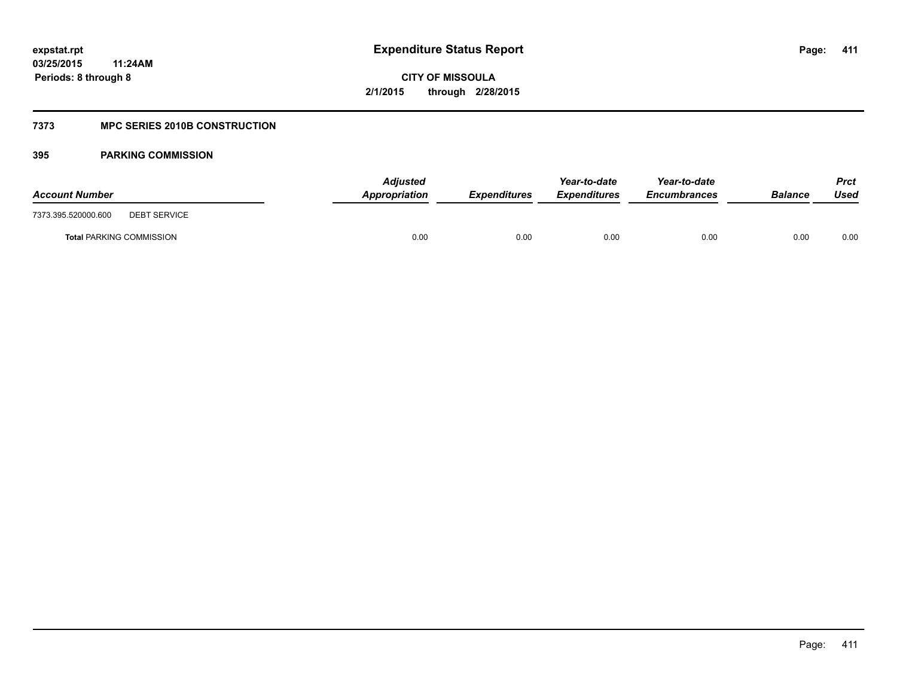### **7373 MPC SERIES 2010B CONSTRUCTION**

| <b>Account Number</b>                      | <b>Adjusted</b><br>Appropriation | <b>Expenditures</b> | Year-to-date<br><b>Expenditures</b> | Year-to-date<br><b>Encumbrances</b> | <b>Balance</b> | Prct<br>Used |
|--------------------------------------------|----------------------------------|---------------------|-------------------------------------|-------------------------------------|----------------|--------------|
| 7373.395.520000.600<br><b>DEBT SERVICE</b> |                                  |                     |                                     |                                     |                |              |
| <b>Total PARKING COMMISSION</b>            | 0.00                             | 0.00                | 0.00                                | 0.00                                | 0.00           | 0.00         |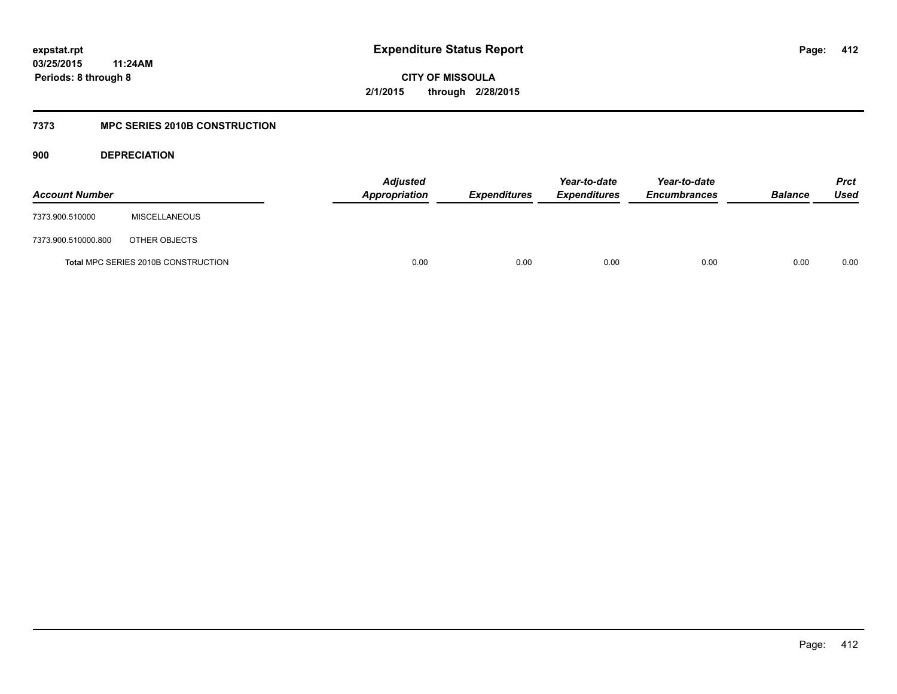## **03/25/2015 11:24AM Periods: 8 through 8**

**CITY OF MISSOULA 2/1/2015 through 2/28/2015**

### **7373 MPC SERIES 2010B CONSTRUCTION**

**900 DEPRECIATION**

| <b>Account Number</b> |                                     | <b>Adjusted</b><br>Appropriation | <b>Expenditures</b> | Year-to-date<br><b>Expenditures</b> | Year-to-date<br><b>Encumbrances</b> | <b>Balance</b> | <b>Prct</b><br>Used |
|-----------------------|-------------------------------------|----------------------------------|---------------------|-------------------------------------|-------------------------------------|----------------|---------------------|
| 7373.900.510000       | <b>MISCELLANEOUS</b>                |                                  |                     |                                     |                                     |                |                     |
| 7373.900.510000.800   | OTHER OBJECTS                       |                                  |                     |                                     |                                     |                |                     |
|                       | Total MPC SERIES 2010B CONSTRUCTION |                                  | 0.00<br>0.00        | 0.00                                | 0.00                                | 0.00           | 0.00                |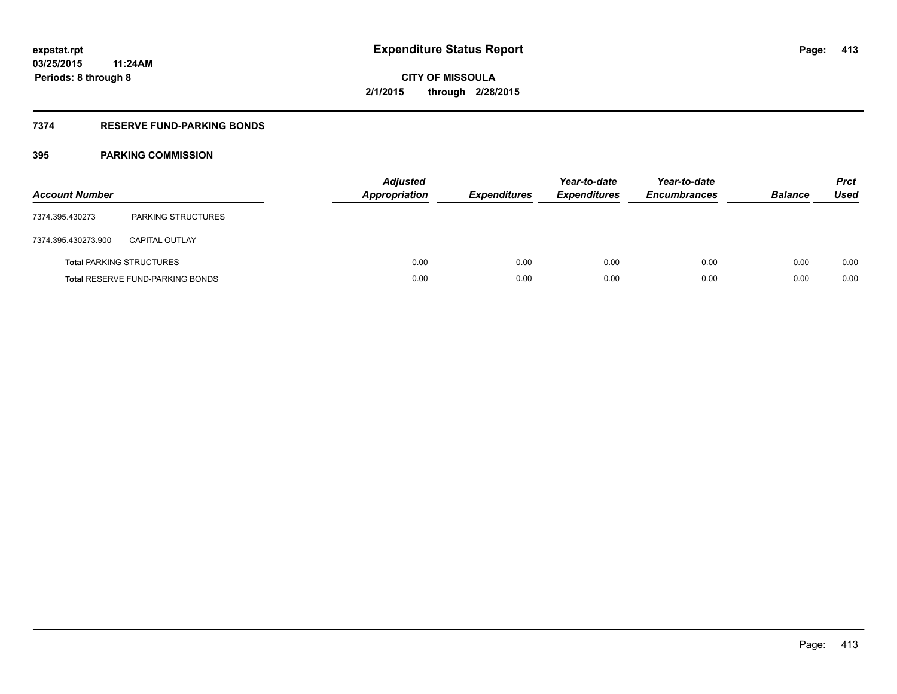### **7374 RESERVE FUND-PARKING BONDS**

| <b>Account Number</b> |                                         | <b>Adjusted</b><br>Appropriation | <b>Expenditures</b> | Year-to-date<br><b>Expenditures</b> | Year-to-date<br><b>Encumbrances</b> | <b>Balance</b> | <b>Prct</b><br><b>Used</b> |
|-----------------------|-----------------------------------------|----------------------------------|---------------------|-------------------------------------|-------------------------------------|----------------|----------------------------|
| 7374.395.430273       | <b>PARKING STRUCTURES</b>               |                                  |                     |                                     |                                     |                |                            |
| 7374.395.430273.900   | <b>CAPITAL OUTLAY</b>                   |                                  |                     |                                     |                                     |                |                            |
|                       | <b>Total PARKING STRUCTURES</b>         | 0.00                             | 0.00                | 0.00                                | 0.00                                | 0.00           | 0.00                       |
|                       | <b>Total RESERVE FUND-PARKING BONDS</b> | 0.00                             | 0.00                | 0.00                                | 0.00                                | 0.00           | 0.00                       |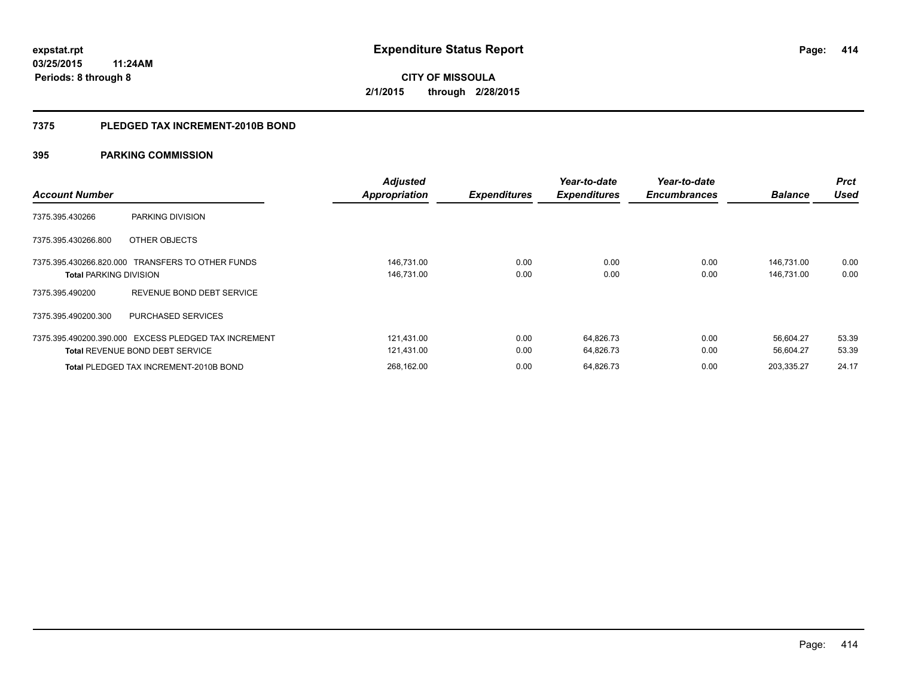#### **7375 PLEDGED TAX INCREMENT-2010B BOND**

| <b>Account Number</b>         |                                                                                                | <b>Adjusted</b><br><b>Appropriation</b> | <b>Expenditures</b> | Year-to-date<br><b>Expenditures</b> | Year-to-date<br><b>Encumbrances</b> | <b>Balance</b>           | <b>Prct</b><br><b>Used</b> |
|-------------------------------|------------------------------------------------------------------------------------------------|-----------------------------------------|---------------------|-------------------------------------|-------------------------------------|--------------------------|----------------------------|
| 7375.395.430266               | PARKING DIVISION                                                                               |                                         |                     |                                     |                                     |                          |                            |
| 7375.395.430266.800           | OTHER OBJECTS                                                                                  |                                         |                     |                                     |                                     |                          |                            |
| <b>Total PARKING DIVISION</b> | 7375.395.430266.820.000 TRANSFERS TO OTHER FUNDS                                               | 146,731.00<br>146,731.00                | 0.00<br>0.00        | 0.00<br>0.00                        | 0.00<br>0.00                        | 146.731.00<br>146,731.00 | 0.00<br>0.00               |
| 7375.395.490200               | REVENUE BOND DEBT SERVICE                                                                      |                                         |                     |                                     |                                     |                          |                            |
| 7375.395.490200.300           | <b>PURCHASED SERVICES</b>                                                                      |                                         |                     |                                     |                                     |                          |                            |
|                               | 7375.395.490200.390.000 EXCESS PLEDGED TAX INCREMENT<br><b>Total REVENUE BOND DEBT SERVICE</b> | 121.431.00<br>121,431.00                | 0.00<br>0.00        | 64.826.73<br>64,826.73              | 0.00<br>0.00                        | 56.604.27<br>56.604.27   | 53.39<br>53.39             |
|                               | <b>Total PLEDGED TAX INCREMENT-2010B BOND</b>                                                  | 268.162.00                              | 0.00                | 64.826.73                           | 0.00                                | 203.335.27               | 24.17                      |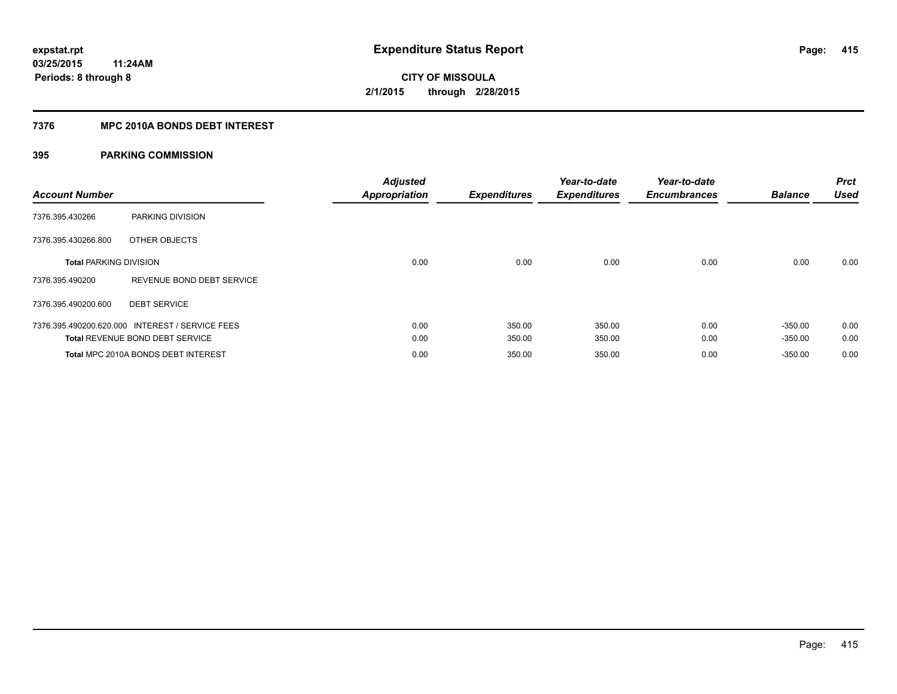### **7376 MPC 2010A BONDS DEBT INTEREST**

| <b>Account Number</b>         |                                                 | <b>Adjusted</b><br><b>Appropriation</b> | <b>Expenditures</b> | Year-to-date<br><b>Expenditures</b> | Year-to-date<br><b>Encumbrances</b> | <b>Balance</b> | <b>Prct</b><br><b>Used</b> |
|-------------------------------|-------------------------------------------------|-----------------------------------------|---------------------|-------------------------------------|-------------------------------------|----------------|----------------------------|
| 7376.395.430266               | PARKING DIVISION                                |                                         |                     |                                     |                                     |                |                            |
| 7376.395.430266.800           | OTHER OBJECTS                                   |                                         |                     |                                     |                                     |                |                            |
| <b>Total PARKING DIVISION</b> |                                                 | 0.00                                    | 0.00                | 0.00                                | 0.00                                | 0.00           | 0.00                       |
| 7376.395.490200               | REVENUE BOND DEBT SERVICE                       |                                         |                     |                                     |                                     |                |                            |
| 7376.395.490200.600           | <b>DEBT SERVICE</b>                             |                                         |                     |                                     |                                     |                |                            |
|                               | 7376.395.490200.620.000 INTEREST / SERVICE FEES | 0.00                                    | 350.00              | 350.00                              | 0.00                                | $-350.00$      | 0.00                       |
|                               | <b>Total REVENUE BOND DEBT SERVICE</b>          | 0.00                                    | 350.00              | 350.00                              | 0.00                                | $-350.00$      | 0.00                       |
|                               | Total MPC 2010A BONDS DEBT INTEREST             | 0.00                                    | 350.00              | 350.00                              | 0.00                                | $-350.00$      | 0.00                       |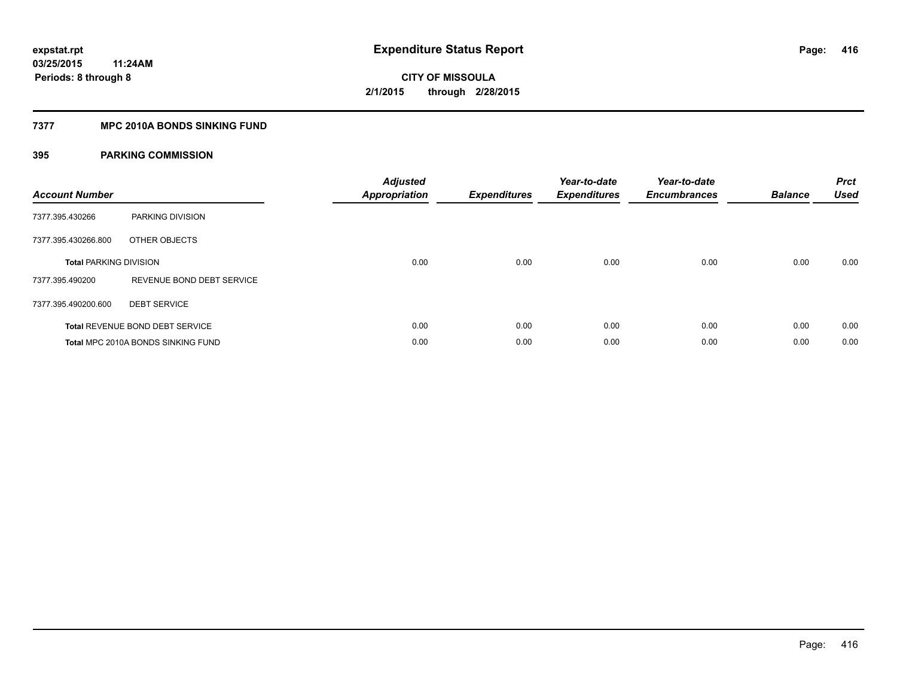### **7377 MPC 2010A BONDS SINKING FUND**

| <b>Account Number</b>         |                                        | <b>Adjusted</b><br><b>Appropriation</b> | <b>Expenditures</b> | Year-to-date<br><b>Expenditures</b> | Year-to-date<br><b>Encumbrances</b> | <b>Balance</b> | <b>Prct</b><br><b>Used</b> |
|-------------------------------|----------------------------------------|-----------------------------------------|---------------------|-------------------------------------|-------------------------------------|----------------|----------------------------|
| 7377.395.430266               | PARKING DIVISION                       |                                         |                     |                                     |                                     |                |                            |
| 7377.395.430266.800           | OTHER OBJECTS                          |                                         |                     |                                     |                                     |                |                            |
| <b>Total PARKING DIVISION</b> |                                        | 0.00                                    | 0.00                | 0.00                                | 0.00                                | 0.00           | 0.00                       |
| 7377.395.490200               | REVENUE BOND DEBT SERVICE              |                                         |                     |                                     |                                     |                |                            |
| 7377.395.490200.600           | <b>DEBT SERVICE</b>                    |                                         |                     |                                     |                                     |                |                            |
|                               | <b>Total REVENUE BOND DEBT SERVICE</b> | 0.00                                    | 0.00                | 0.00                                | 0.00                                | 0.00           | 0.00                       |
|                               | Total MPC 2010A BONDS SINKING FUND     | 0.00                                    | 0.00                | 0.00                                | 0.00                                | 0.00           | 0.00                       |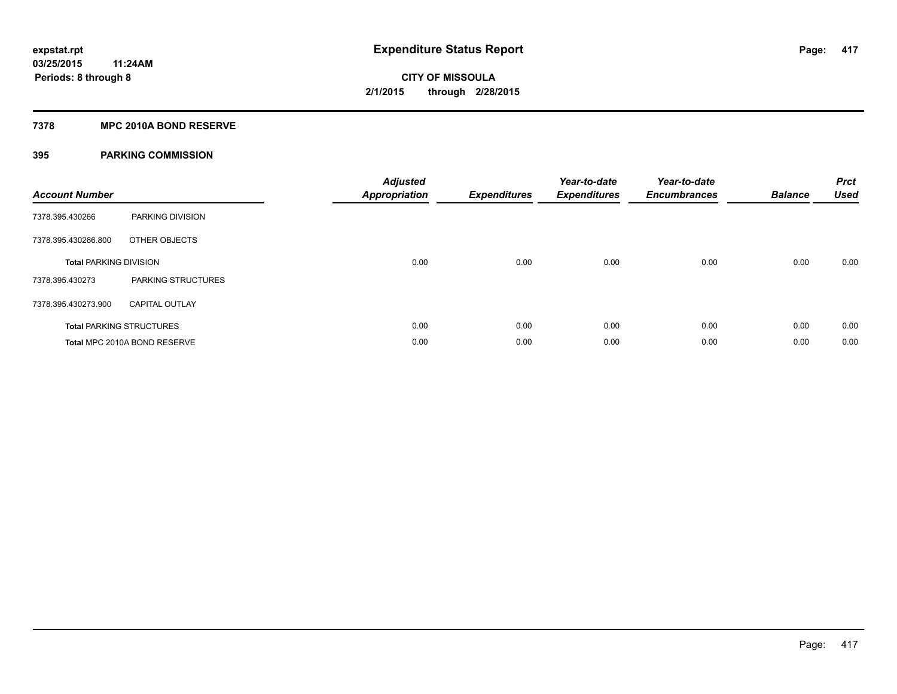#### **7378 MPC 2010A BOND RESERVE**

| <b>Account Number</b>         |                                 | <b>Adjusted</b><br>Appropriation | <b>Expenditures</b> | Year-to-date<br><b>Expenditures</b> | Year-to-date<br><b>Encumbrances</b> | <b>Balance</b> | <b>Prct</b><br><b>Used</b> |
|-------------------------------|---------------------------------|----------------------------------|---------------------|-------------------------------------|-------------------------------------|----------------|----------------------------|
| 7378.395.430266               | PARKING DIVISION                |                                  |                     |                                     |                                     |                |                            |
| 7378.395.430266.800           | OTHER OBJECTS                   |                                  |                     |                                     |                                     |                |                            |
| <b>Total PARKING DIVISION</b> |                                 | 0.00                             | 0.00                | 0.00                                | 0.00                                | 0.00           | 0.00                       |
| 7378.395.430273               | PARKING STRUCTURES              |                                  |                     |                                     |                                     |                |                            |
| 7378.395.430273.900           | <b>CAPITAL OUTLAY</b>           |                                  |                     |                                     |                                     |                |                            |
|                               | <b>Total PARKING STRUCTURES</b> | 0.00                             | 0.00                | 0.00                                | 0.00                                | 0.00           | 0.00                       |
|                               | Total MPC 2010A BOND RESERVE    | 0.00                             | 0.00                | 0.00                                | 0.00                                | 0.00           | 0.00                       |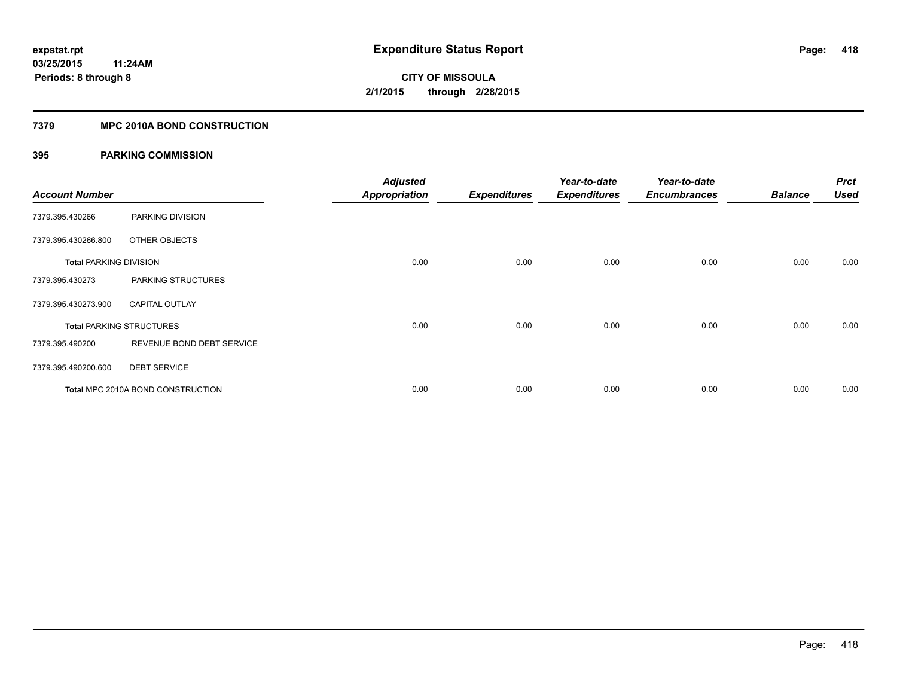### **7379 MPC 2010A BOND CONSTRUCTION**

| <b>Account Number</b>         |                                          | <b>Adjusted</b><br><b>Appropriation</b> | <b>Expenditures</b> | Year-to-date<br><b>Expenditures</b> | Year-to-date<br><b>Encumbrances</b> | <b>Balance</b> | <b>Prct</b><br><b>Used</b> |
|-------------------------------|------------------------------------------|-----------------------------------------|---------------------|-------------------------------------|-------------------------------------|----------------|----------------------------|
| 7379.395.430266               | PARKING DIVISION                         |                                         |                     |                                     |                                     |                |                            |
| 7379.395.430266.800           | OTHER OBJECTS                            |                                         |                     |                                     |                                     |                |                            |
| <b>Total PARKING DIVISION</b> |                                          | 0.00                                    | 0.00                | 0.00                                | 0.00                                | 0.00           | 0.00                       |
| 7379.395.430273               | PARKING STRUCTURES                       |                                         |                     |                                     |                                     |                |                            |
| 7379.395.430273.900           | <b>CAPITAL OUTLAY</b>                    |                                         |                     |                                     |                                     |                |                            |
|                               | <b>Total PARKING STRUCTURES</b>          | 0.00                                    | 0.00                | 0.00                                | 0.00                                | 0.00           | 0.00                       |
| 7379.395.490200               | REVENUE BOND DEBT SERVICE                |                                         |                     |                                     |                                     |                |                            |
| 7379.395.490200.600           | <b>DEBT SERVICE</b>                      |                                         |                     |                                     |                                     |                |                            |
|                               | <b>Total MPC 2010A BOND CONSTRUCTION</b> | 0.00                                    | 0.00                | 0.00                                | 0.00                                | 0.00           | 0.00                       |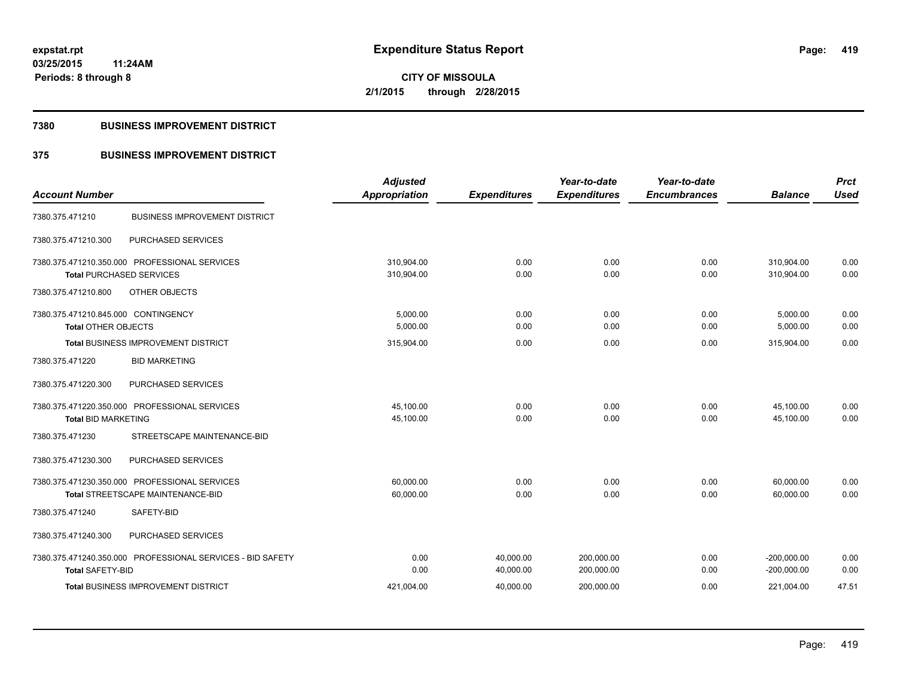**Periods: 8 through 8**

**CITY OF MISSOULA 2/1/2015 through 2/28/2015**

#### **7380 BUSINESS IMPROVEMENT DISTRICT**

**11:24AM**

## **375 BUSINESS IMPROVEMENT DISTRICT**

| <b>Account Number</b>                                      | <b>Adjusted</b><br>Appropriation | <b>Expenditures</b> | Year-to-date<br><b>Expenditures</b> | Year-to-date<br><b>Encumbrances</b> | <b>Balance</b> | <b>Prct</b><br><b>Used</b> |
|------------------------------------------------------------|----------------------------------|---------------------|-------------------------------------|-------------------------------------|----------------|----------------------------|
|                                                            |                                  |                     |                                     |                                     |                |                            |
| <b>BUSINESS IMPROVEMENT DISTRICT</b><br>7380.375.471210    |                                  |                     |                                     |                                     |                |                            |
| PURCHASED SERVICES<br>7380.375.471210.300                  |                                  |                     |                                     |                                     |                |                            |
| 7380.375.471210.350.000 PROFESSIONAL SERVICES              | 310.904.00                       | 0.00                | 0.00                                | 0.00                                | 310,904.00     | 0.00                       |
| <b>Total PURCHASED SERVICES</b>                            | 310,904.00                       | 0.00                | 0.00                                | 0.00                                | 310.904.00     | 0.00                       |
| 7380.375.471210.800<br>OTHER OBJECTS                       |                                  |                     |                                     |                                     |                |                            |
| 7380.375.471210.845.000 CONTINGENCY                        | 5,000.00                         | 0.00                | 0.00                                | 0.00                                | 5,000.00       | 0.00                       |
| <b>Total OTHER OBJECTS</b>                                 | 5,000.00                         | 0.00                | 0.00                                | 0.00                                | 5,000.00       | 0.00                       |
| <b>Total BUSINESS IMPROVEMENT DISTRICT</b>                 | 315,904.00                       | 0.00                | 0.00                                | 0.00                                | 315,904.00     | 0.00                       |
| <b>BID MARKETING</b><br>7380.375.471220                    |                                  |                     |                                     |                                     |                |                            |
| 7380.375.471220.300<br>PURCHASED SERVICES                  |                                  |                     |                                     |                                     |                |                            |
| 7380.375.471220.350.000 PROFESSIONAL SERVICES              | 45,100.00                        | 0.00                | 0.00                                | 0.00                                | 45,100.00      | 0.00                       |
| <b>Total BID MARKETING</b>                                 | 45,100.00                        | 0.00                | 0.00                                | 0.00                                | 45,100.00      | 0.00                       |
| 7380.375.471230<br>STREETSCAPE MAINTENANCE-BID             |                                  |                     |                                     |                                     |                |                            |
| PURCHASED SERVICES<br>7380.375.471230.300                  |                                  |                     |                                     |                                     |                |                            |
| 7380.375.471230.350.000 PROFESSIONAL SERVICES              | 60.000.00                        | 0.00                | 0.00                                | 0.00                                | 60,000.00      | 0.00                       |
| Total STREETSCAPE MAINTENANCE-BID                          | 60,000.00                        | 0.00                | 0.00                                | 0.00                                | 60,000.00      | 0.00                       |
| SAFETY-BID<br>7380.375.471240                              |                                  |                     |                                     |                                     |                |                            |
| 7380.375.471240.300<br>PURCHASED SERVICES                  |                                  |                     |                                     |                                     |                |                            |
| 7380.375.471240.350.000 PROFESSIONAL SERVICES - BID SAFETY | 0.00                             | 40,000.00           | 200,000.00                          | 0.00                                | $-200,000.00$  | 0.00                       |
| <b>Total SAFETY-BID</b>                                    | 0.00                             | 40,000.00           | 200,000.00                          | 0.00                                | $-200,000.00$  | 0.00                       |
| <b>Total BUSINESS IMPROVEMENT DISTRICT</b>                 | 421,004.00                       | 40,000.00           | 200,000.00                          | 0.00                                | 221,004.00     | 47.51                      |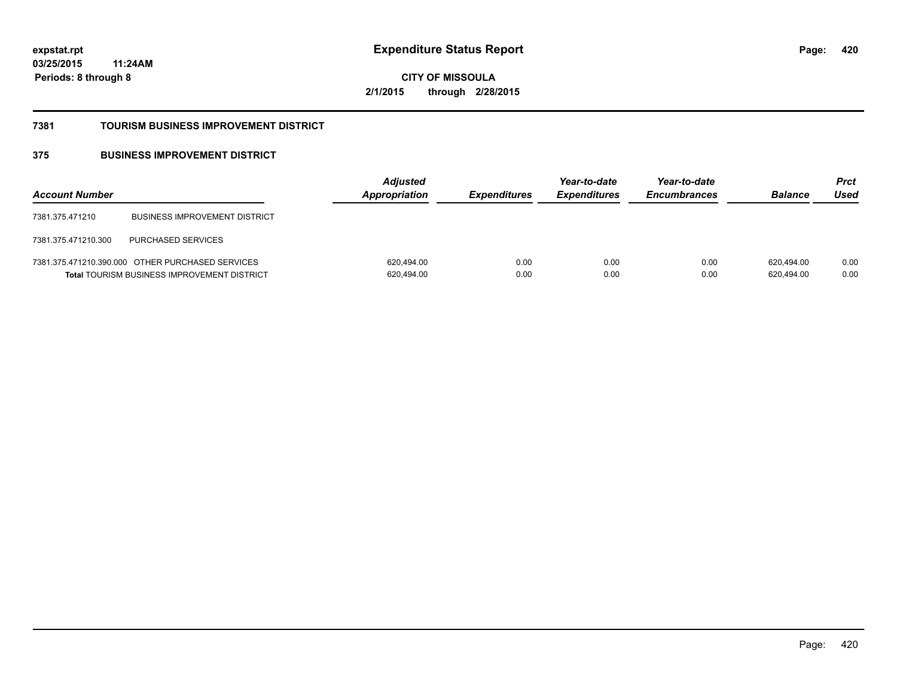**03/25/2015 11:24AM Periods: 8 through 8**

**420**

**CITY OF MISSOULA 2/1/2015 through 2/28/2015**

#### **7381 TOURISM BUSINESS IMPROVEMENT DISTRICT**

### **375 BUSINESS IMPROVEMENT DISTRICT**

| <b>Account Number</b> |                                                                                                        | <b>Adjusted</b><br><b>Appropriation</b> | <i><b>Expenditures</b></i> | Year-to-date<br><b>Expenditures</b> | Year-to-date<br><b>Encumbrances</b> | <b>Balance</b>           | <b>Prct</b><br>Used |
|-----------------------|--------------------------------------------------------------------------------------------------------|-----------------------------------------|----------------------------|-------------------------------------|-------------------------------------|--------------------------|---------------------|
| 7381.375.471210       | <b>BUSINESS IMPROVEMENT DISTRICT</b>                                                                   |                                         |                            |                                     |                                     |                          |                     |
| 7381.375.471210.300   | <b>PURCHASED SERVICES</b>                                                                              |                                         |                            |                                     |                                     |                          |                     |
|                       | 7381.375.471210.390.000 OTHER PURCHASED SERVICES<br><b>Total TOURISM BUSINESS IMPROVEMENT DISTRICT</b> | 620,494.00<br>620,494.00                | 0.00<br>0.00               | 0.00<br>0.00                        | 0.00<br>0.00                        | 620.494.00<br>620,494.00 | 0.00<br>0.00        |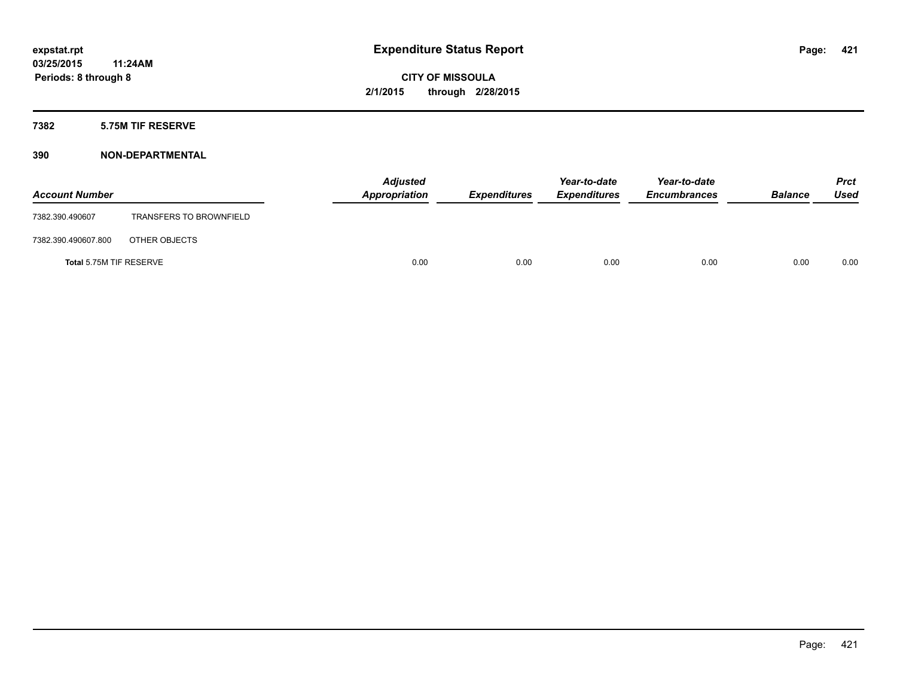### **7382 5.75M TIF RESERVE**

| <b>Account Number</b>   |                                | <b>Adjusted</b><br>Appropriation | <b>Expenditures</b> | Year-to-date<br><b>Expenditures</b> | Year-to-date<br><b>Encumbrances</b> | <b>Balance</b> | Prct<br><b>Used</b> |
|-------------------------|--------------------------------|----------------------------------|---------------------|-------------------------------------|-------------------------------------|----------------|---------------------|
| 7382.390.490607         | <b>TRANSFERS TO BROWNFIELD</b> |                                  |                     |                                     |                                     |                |                     |
| 7382.390.490607.800     | OTHER OBJECTS                  |                                  |                     |                                     |                                     |                |                     |
| Total 5.75M TIF RESERVE |                                | 0.00                             | 0.00                | 0.00                                | 0.00                                | 0.00           | 0.00                |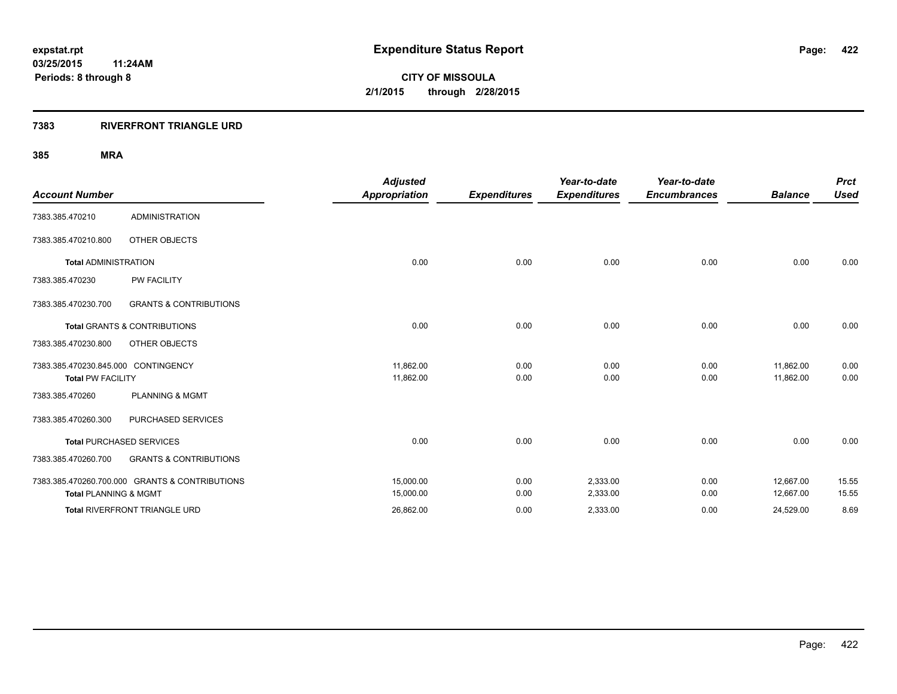#### **7383 RIVERFRONT TRIANGLE URD**

|                                     |                                                | <b>Adjusted</b>      |                     | Year-to-date        | Year-to-date        |                | <b>Prct</b> |
|-------------------------------------|------------------------------------------------|----------------------|---------------------|---------------------|---------------------|----------------|-------------|
| <b>Account Number</b>               |                                                | <b>Appropriation</b> | <b>Expenditures</b> | <b>Expenditures</b> | <b>Encumbrances</b> | <b>Balance</b> | <b>Used</b> |
| 7383.385.470210                     | <b>ADMINISTRATION</b>                          |                      |                     |                     |                     |                |             |
| 7383.385.470210.800                 | OTHER OBJECTS                                  |                      |                     |                     |                     |                |             |
| <b>Total ADMINISTRATION</b>         |                                                | 0.00                 | 0.00                | 0.00                | 0.00                | 0.00           | 0.00        |
| 7383.385.470230                     | <b>PW FACILITY</b>                             |                      |                     |                     |                     |                |             |
| 7383.385.470230.700                 | <b>GRANTS &amp; CONTRIBUTIONS</b>              |                      |                     |                     |                     |                |             |
|                                     | <b>Total GRANTS &amp; CONTRIBUTIONS</b>        | 0.00                 | 0.00                | 0.00                | 0.00                | 0.00           | 0.00        |
| 7383.385.470230.800                 | OTHER OBJECTS                                  |                      |                     |                     |                     |                |             |
| 7383.385.470230.845.000 CONTINGENCY |                                                | 11,862.00            | 0.00                | 0.00                | 0.00                | 11,862.00      | 0.00        |
| <b>Total PW FACILITY</b>            |                                                | 11,862.00            | 0.00                | 0.00                | 0.00                | 11,862.00      | 0.00        |
| 7383.385.470260                     | <b>PLANNING &amp; MGMT</b>                     |                      |                     |                     |                     |                |             |
| 7383.385.470260.300                 | PURCHASED SERVICES                             |                      |                     |                     |                     |                |             |
|                                     | <b>Total PURCHASED SERVICES</b>                | 0.00                 | 0.00                | 0.00                | 0.00                | 0.00           | 0.00        |
| 7383.385.470260.700                 | <b>GRANTS &amp; CONTRIBUTIONS</b>              |                      |                     |                     |                     |                |             |
|                                     | 7383.385.470260.700.000 GRANTS & CONTRIBUTIONS | 15,000.00            | 0.00                | 2,333.00            | 0.00                | 12,667.00      | 15.55       |
| <b>Total PLANNING &amp; MGMT</b>    |                                                | 15,000.00            | 0.00                | 2,333.00            | 0.00                | 12,667.00      | 15.55       |
|                                     | Total RIVERFRONT TRIANGLE URD                  | 26,862.00            | 0.00                | 2,333.00            | 0.00                | 24,529.00      | 8.69        |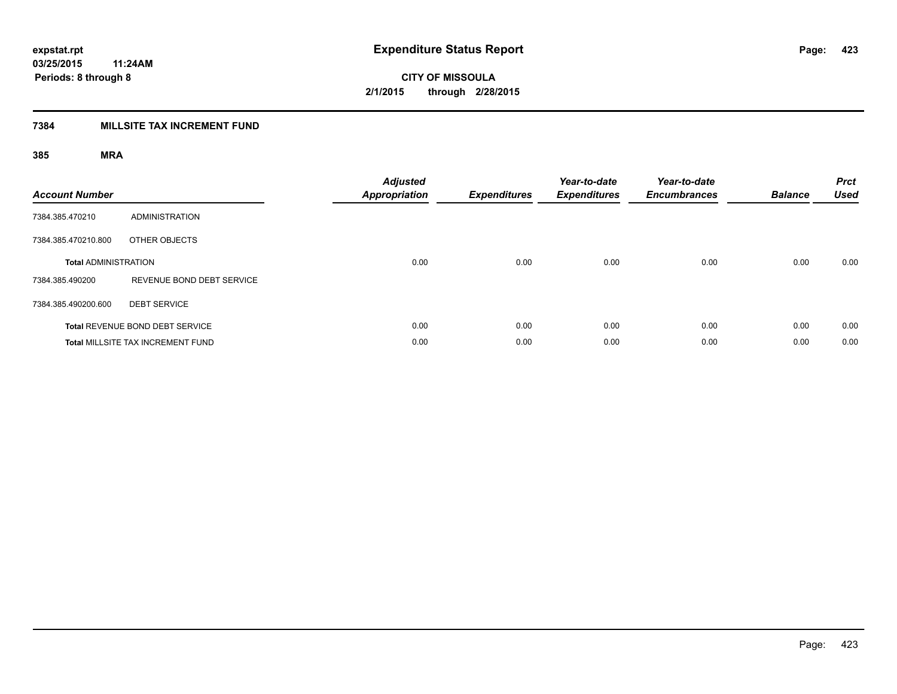### **7384 MILLSITE TAX INCREMENT FUND**

| <b>Account Number</b>       |                                          | <b>Adjusted</b><br><b>Appropriation</b> | <b>Expenditures</b> | Year-to-date<br><b>Expenditures</b> | Year-to-date<br><b>Encumbrances</b> | <b>Balance</b> | <b>Prct</b><br><b>Used</b> |
|-----------------------------|------------------------------------------|-----------------------------------------|---------------------|-------------------------------------|-------------------------------------|----------------|----------------------------|
| 7384.385.470210             | <b>ADMINISTRATION</b>                    |                                         |                     |                                     |                                     |                |                            |
| 7384.385.470210.800         | OTHER OBJECTS                            |                                         |                     |                                     |                                     |                |                            |
| <b>Total ADMINISTRATION</b> |                                          | 0.00                                    | 0.00                | 0.00                                | 0.00                                | 0.00           | 0.00                       |
| 7384.385.490200             | REVENUE BOND DEBT SERVICE                |                                         |                     |                                     |                                     |                |                            |
| 7384.385.490200.600         | <b>DEBT SERVICE</b>                      |                                         |                     |                                     |                                     |                |                            |
|                             | Total REVENUE BOND DEBT SERVICE          | 0.00                                    | 0.00                | 0.00                                | 0.00                                | 0.00           | 0.00                       |
|                             | <b>Total MILLSITE TAX INCREMENT FUND</b> | 0.00                                    | 0.00                | 0.00                                | 0.00                                | 0.00           | 0.00                       |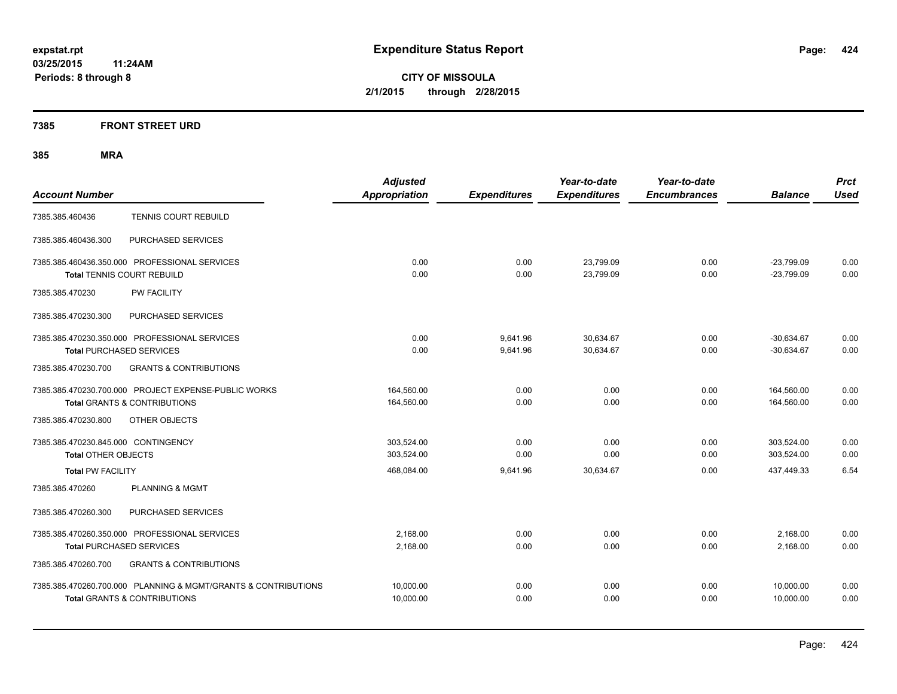### **7385 FRONT STREET URD**

| <b>Account Number</b>                                                                                     | <b>Adjusted</b><br><b>Appropriation</b> | <b>Expenditures</b>  | Year-to-date<br><b>Expenditures</b> | Year-to-date<br><b>Encumbrances</b> | <b>Balance</b>               | <b>Prct</b><br><b>Used</b> |
|-----------------------------------------------------------------------------------------------------------|-----------------------------------------|----------------------|-------------------------------------|-------------------------------------|------------------------------|----------------------------|
| <b>TENNIS COURT REBUILD</b><br>7385.385.460436                                                            |                                         |                      |                                     |                                     |                              |                            |
| PURCHASED SERVICES<br>7385.385.460436.300                                                                 |                                         |                      |                                     |                                     |                              |                            |
| 7385.385.460436.350.000 PROFESSIONAL SERVICES<br><b>Total TENNIS COURT REBUILD</b>                        | 0.00<br>0.00                            | 0.00<br>0.00         | 23,799.09<br>23,799.09              | 0.00<br>0.00                        | $-23,799.09$<br>$-23,799.09$ | 0.00<br>0.00               |
| <b>PW FACILITY</b><br>7385.385.470230                                                                     |                                         |                      |                                     |                                     |                              |                            |
| 7385.385.470230.300<br>PURCHASED SERVICES                                                                 |                                         |                      |                                     |                                     |                              |                            |
| 7385.385.470230.350.000 PROFESSIONAL SERVICES<br><b>Total PURCHASED SERVICES</b>                          | 0.00<br>0.00                            | 9,641.96<br>9,641.96 | 30.634.67<br>30,634.67              | 0.00<br>0.00                        | $-30,634.67$<br>$-30.634.67$ | 0.00<br>0.00               |
| 7385.385.470230.700<br><b>GRANTS &amp; CONTRIBUTIONS</b>                                                  |                                         |                      |                                     |                                     |                              |                            |
| 7385.385.470230.700.000 PROJECT EXPENSE-PUBLIC WORKS<br><b>Total GRANTS &amp; CONTRIBUTIONS</b>           | 164,560.00<br>164,560.00                | 0.00<br>0.00         | 0.00<br>0.00                        | 0.00<br>0.00                        | 164,560.00<br>164,560.00     | 0.00<br>0.00               |
| OTHER OBJECTS<br>7385.385.470230.800                                                                      |                                         |                      |                                     |                                     |                              |                            |
| 7385.385.470230.845.000 CONTINGENCY<br>Total OTHER OBJECTS                                                | 303.524.00<br>303,524.00                | 0.00<br>0.00         | 0.00<br>0.00                        | 0.00<br>0.00                        | 303.524.00<br>303,524.00     | 0.00<br>0.00               |
| <b>Total PW FACILITY</b>                                                                                  | 468,084.00                              | 9,641.96             | 30,634.67                           | 0.00                                | 437,449.33                   | 6.54                       |
| 7385.385.470260<br><b>PLANNING &amp; MGMT</b>                                                             |                                         |                      |                                     |                                     |                              |                            |
| PURCHASED SERVICES<br>7385.385.470260.300                                                                 |                                         |                      |                                     |                                     |                              |                            |
| 7385.385.470260.350.000 PROFESSIONAL SERVICES<br><b>Total PURCHASED SERVICES</b>                          | 2,168.00<br>2,168.00                    | 0.00<br>0.00         | 0.00<br>0.00                        | 0.00<br>0.00                        | 2,168.00<br>2,168.00         | 0.00<br>0.00               |
| 7385.385.470260.700<br><b>GRANTS &amp; CONTRIBUTIONS</b>                                                  |                                         |                      |                                     |                                     |                              |                            |
| 7385.385.470260.700.000 PLANNING & MGMT/GRANTS & CONTRIBUTIONS<br><b>Total GRANTS &amp; CONTRIBUTIONS</b> | 10,000.00<br>10.000.00                  | 0.00<br>0.00         | 0.00<br>0.00                        | 0.00<br>0.00                        | 10,000.00<br>10.000.00       | 0.00<br>0.00               |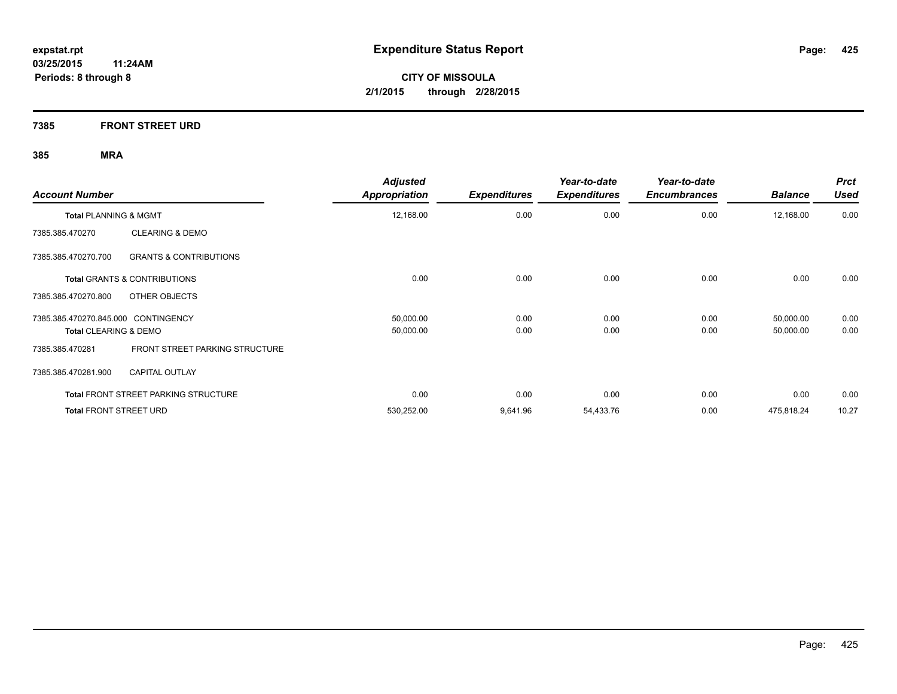**7385 FRONT STREET URD**

| <b>Account Number</b>                                    | <b>Adjusted</b><br><b>Appropriation</b> | <b>Expenditures</b> | Year-to-date<br><b>Expenditures</b> | Year-to-date<br><b>Encumbrances</b> | <b>Balance</b> | <b>Prct</b><br><b>Used</b> |
|----------------------------------------------------------|-----------------------------------------|---------------------|-------------------------------------|-------------------------------------|----------------|----------------------------|
| Total PLANNING & MGMT                                    | 12,168.00                               | 0.00                | 0.00                                | 0.00                                | 12,168.00      | 0.00                       |
| <b>CLEARING &amp; DEMO</b><br>7385.385.470270            |                                         |                     |                                     |                                     |                |                            |
| 7385.385.470270.700<br><b>GRANTS &amp; CONTRIBUTIONS</b> |                                         |                     |                                     |                                     |                |                            |
| <b>Total GRANTS &amp; CONTRIBUTIONS</b>                  | 0.00                                    | 0.00                | 0.00                                | 0.00                                | 0.00           | 0.00                       |
| OTHER OBJECTS<br>7385.385.470270.800                     |                                         |                     |                                     |                                     |                |                            |
| 7385.385.470270.845.000 CONTINGENCY                      | 50,000.00                               | 0.00                | 0.00                                | 0.00                                | 50,000.00      | 0.00                       |
| <b>Total CLEARING &amp; DEMO</b>                         | 50,000.00                               | 0.00                | 0.00                                | 0.00                                | 50,000.00      | 0.00                       |
| FRONT STREET PARKING STRUCTURE<br>7385.385.470281        |                                         |                     |                                     |                                     |                |                            |
| <b>CAPITAL OUTLAY</b><br>7385.385.470281.900             |                                         |                     |                                     |                                     |                |                            |
| <b>Total FRONT STREET PARKING STRUCTURE</b>              | 0.00                                    | 0.00                | 0.00                                | 0.00                                | 0.00           | 0.00                       |
| <b>Total FRONT STREET URD</b>                            | 530,252.00                              | 9,641.96            | 54,433.76                           | 0.00                                | 475,818.24     | 10.27                      |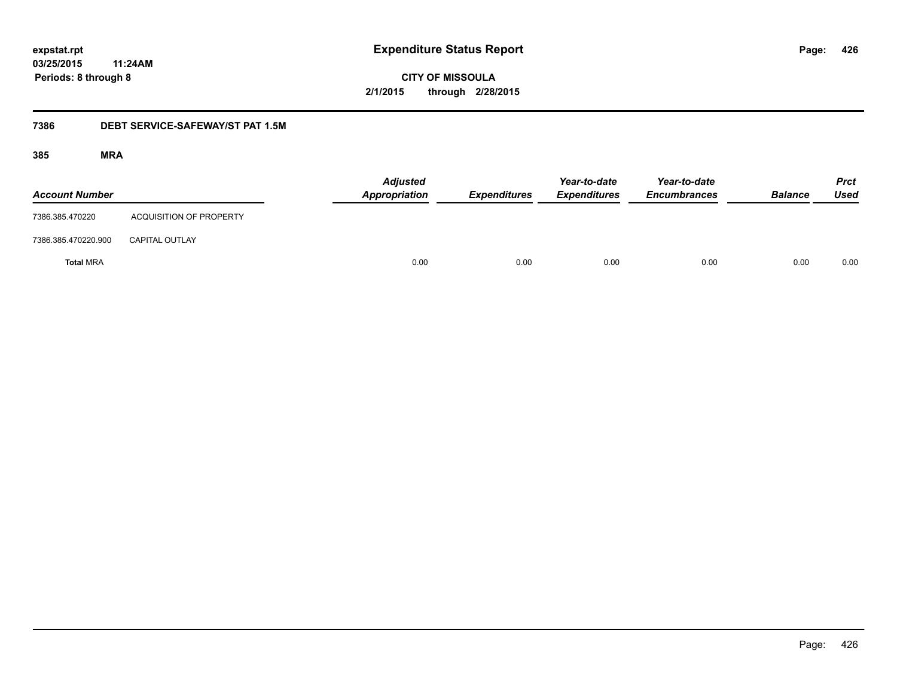**03/25/2015 11:24AM**

**Periods: 8 through 8**

**426**

**CITY OF MISSOULA 2/1/2015 through 2/28/2015**

#### **7386 DEBT SERVICE-SAFEWAY/ST PAT 1.5M**

| <b>Account Number</b> |                                | <b>Adjusted</b><br>Appropriation | <b>Expenditures</b> | Year-to-date<br><b>Expenditures</b> | Year-to-date<br><b>Encumbrances</b> | <b>Balance</b> | <b>Prct</b><br><b>Used</b> |
|-----------------------|--------------------------------|----------------------------------|---------------------|-------------------------------------|-------------------------------------|----------------|----------------------------|
| 7386.385.470220       | <b>ACQUISITION OF PROPERTY</b> |                                  |                     |                                     |                                     |                |                            |
| 7386.385.470220.900   | <b>CAPITAL OUTLAY</b>          |                                  |                     |                                     |                                     |                |                            |
| <b>Total MRA</b>      |                                | 0.00                             | 0.00                | 0.00                                | 0.00                                | 0.00           | 0.00                       |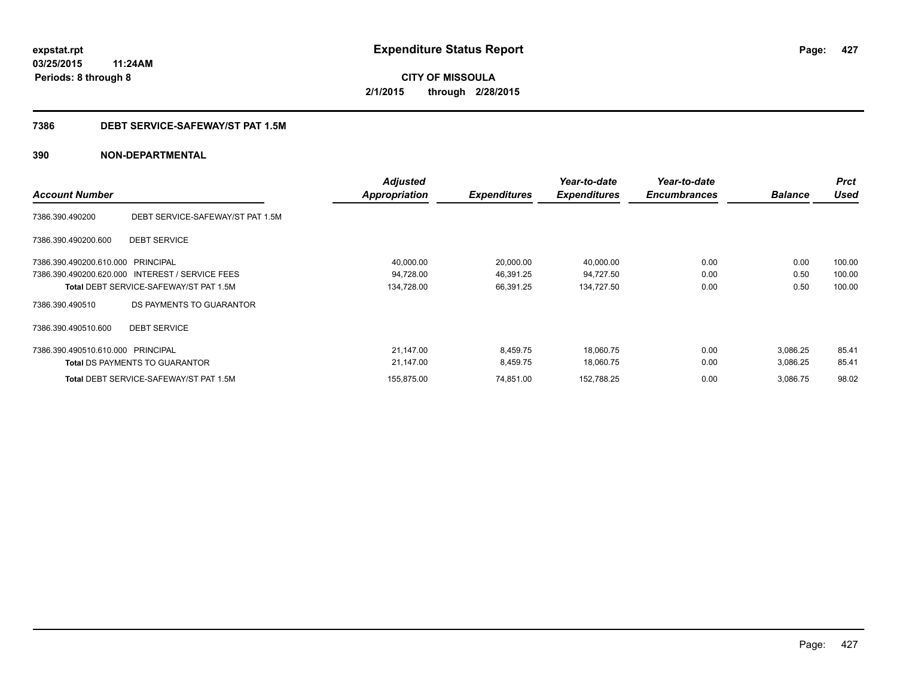### **03/25/2015 11:24AM Periods: 8 through 8**

**CITY OF MISSOULA 2/1/2015 through 2/28/2015**

#### **7386 DEBT SERVICE-SAFEWAY/ST PAT 1.5M**

| <b>Account Number</b>             |                                                 | <b>Adjusted</b><br>Appropriation | <b>Expenditures</b> | Year-to-date<br><b>Expenditures</b> | Year-to-date<br><b>Encumbrances</b> | <b>Balance</b> | <b>Prct</b><br><b>Used</b> |
|-----------------------------------|-------------------------------------------------|----------------------------------|---------------------|-------------------------------------|-------------------------------------|----------------|----------------------------|
| 7386.390.490200                   | DEBT SERVICE-SAFEWAY/ST PAT 1.5M                |                                  |                     |                                     |                                     |                |                            |
| 7386.390.490200.600               | <b>DEBT SERVICE</b>                             |                                  |                     |                                     |                                     |                |                            |
| 7386.390.490200.610.000 PRINCIPAL |                                                 | 40,000.00                        | 20,000.00           | 40,000.00                           | 0.00                                | 0.00           | 100.00                     |
|                                   | 7386.390.490200.620.000 INTEREST / SERVICE FEES | 94,728.00                        | 46,391.25           | 94,727.50                           | 0.00                                | 0.50           | 100.00                     |
|                                   | <b>Total DEBT SERVICE-SAFEWAY/ST PAT 1.5M</b>   | 134,728.00                       | 66,391.25           | 134,727.50                          | 0.00                                | 0.50           | 100.00                     |
| 7386.390.490510                   | DS PAYMENTS TO GUARANTOR                        |                                  |                     |                                     |                                     |                |                            |
| 7386.390.490510.600               | <b>DEBT SERVICE</b>                             |                                  |                     |                                     |                                     |                |                            |
| 7386.390.490510.610.000 PRINCIPAL |                                                 | 21,147.00                        | 8,459.75            | 18,060.75                           | 0.00                                | 3,086.25       | 85.41                      |
|                                   | <b>Total DS PAYMENTS TO GUARANTOR</b>           | 21,147.00                        | 8,459.75            | 18,060.75                           | 0.00                                | 3,086.25       | 85.41                      |
|                                   | <b>Total DEBT SERVICE-SAFEWAY/ST PAT 1.5M</b>   | 155,875.00                       | 74,851.00           | 152,788.25                          | 0.00                                | 3,086.75       | 98.02                      |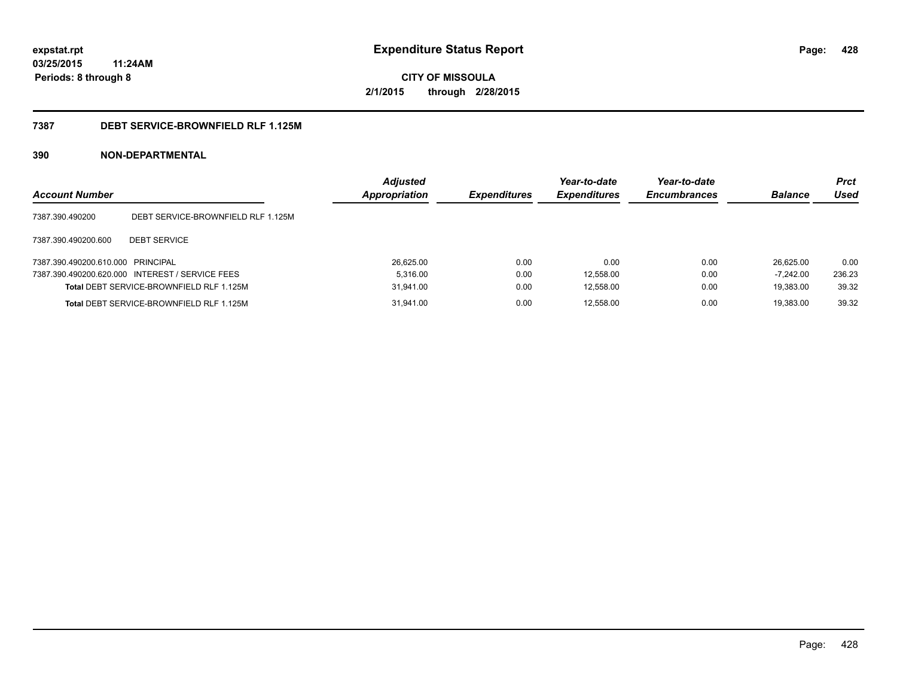### **03/25/2015 11:24AM Periods: 8 through 8**

**CITY OF MISSOULA 2/1/2015 through 2/28/2015**

#### **7387 DEBT SERVICE-BROWNFIELD RLF 1.125M**

| <b>Account Number</b>             |                                                 | <b>Adjusted</b><br><b>Appropriation</b> | <b>Expenditures</b> | Year-to-date<br><b>Expenditures</b> | Year-to-date<br><b>Encumbrances</b> | <b>Balance</b> | <b>Prct</b><br>Used |
|-----------------------------------|-------------------------------------------------|-----------------------------------------|---------------------|-------------------------------------|-------------------------------------|----------------|---------------------|
| 7387.390.490200                   | DEBT SERVICE-BROWNFIELD RLF 1.125M              |                                         |                     |                                     |                                     |                |                     |
| 7387.390.490200.600               | <b>DEBT SERVICE</b>                             |                                         |                     |                                     |                                     |                |                     |
| 7387.390.490200.610.000 PRINCIPAL |                                                 | 26,625.00                               | 0.00                | 0.00                                | 0.00                                | 26.625.00      | 0.00                |
|                                   | 7387.390.490200.620.000 INTEREST / SERVICE FEES | 5.316.00                                | 0.00                | 12,558.00                           | 0.00                                | $-7.242.00$    | 236.23              |
|                                   | Total DEBT SERVICE-BROWNFIELD RLF 1.125M        | 31,941.00                               | 0.00                | 12,558.00                           | 0.00                                | 19.383.00      | 39.32               |
|                                   | Total DEBT SERVICE-BROWNFIELD RLF 1.125M        | 31.941.00                               | 0.00                | 12.558.00                           | 0.00                                | 19.383.00      | 39.32               |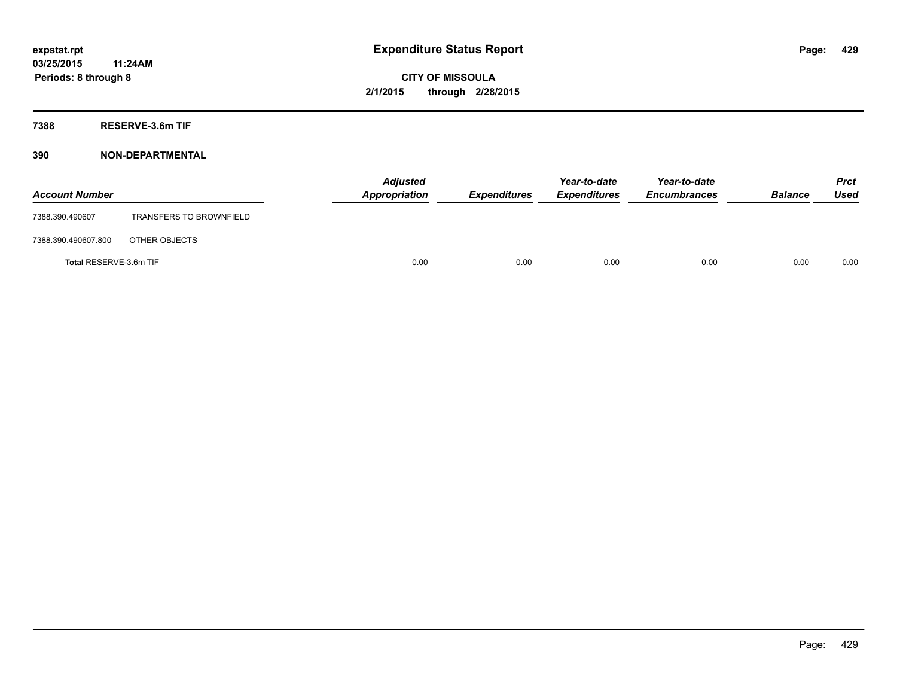**7388 RESERVE-3.6m TIF**

| <b>Account Number</b>  |                                | Appropriation | <b>Adjusted</b> | <b>Expenditures</b> | Year-to-date<br><b>Expenditures</b> | Year-to-date<br><b>Encumbrances</b> | <b>Balance</b> | <b>Prct</b><br><b>Used</b> |
|------------------------|--------------------------------|---------------|-----------------|---------------------|-------------------------------------|-------------------------------------|----------------|----------------------------|
| 7388.390.490607        | <b>TRANSFERS TO BROWNFIELD</b> |               |                 |                     |                                     |                                     |                |                            |
| 7388.390.490607.800    | OTHER OBJECTS                  |               |                 |                     |                                     |                                     |                |                            |
| Total RESERVE-3.6m TIF |                                |               | 0.00            | 0.00                | 0.00                                | 0.00                                | 0.00           | 0.00                       |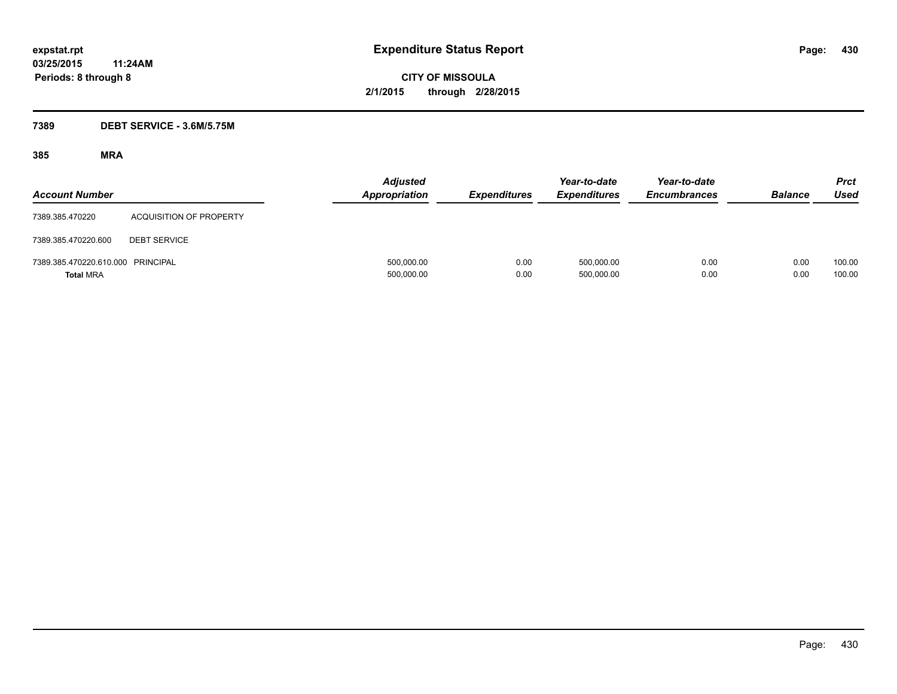### **7389 DEBT SERVICE - 3.6M/5.75M**

| <b>Account Number</b>                                 |                         | <b>Adjusted</b><br><b>Appropriation</b> | <b>Expenditures</b> | Year-to-date<br><b>Expenditures</b> | Year-to-date<br><b>Encumbrances</b> | <b>Balance</b> | <b>Prct</b><br>Used |
|-------------------------------------------------------|-------------------------|-----------------------------------------|---------------------|-------------------------------------|-------------------------------------|----------------|---------------------|
| 7389.385.470220                                       | ACQUISITION OF PROPERTY |                                         |                     |                                     |                                     |                |                     |
| 7389.385.470220.600                                   | <b>DEBT SERVICE</b>     |                                         |                     |                                     |                                     |                |                     |
| 7389.385.470220.610.000 PRINCIPAL<br><b>Total MRA</b> |                         | 500,000.00<br>500,000.00                | 0.00<br>0.00        | 500,000.00<br>500,000.00            | 0.00<br>0.00                        | 0.00<br>0.00   | 100.00<br>100.00    |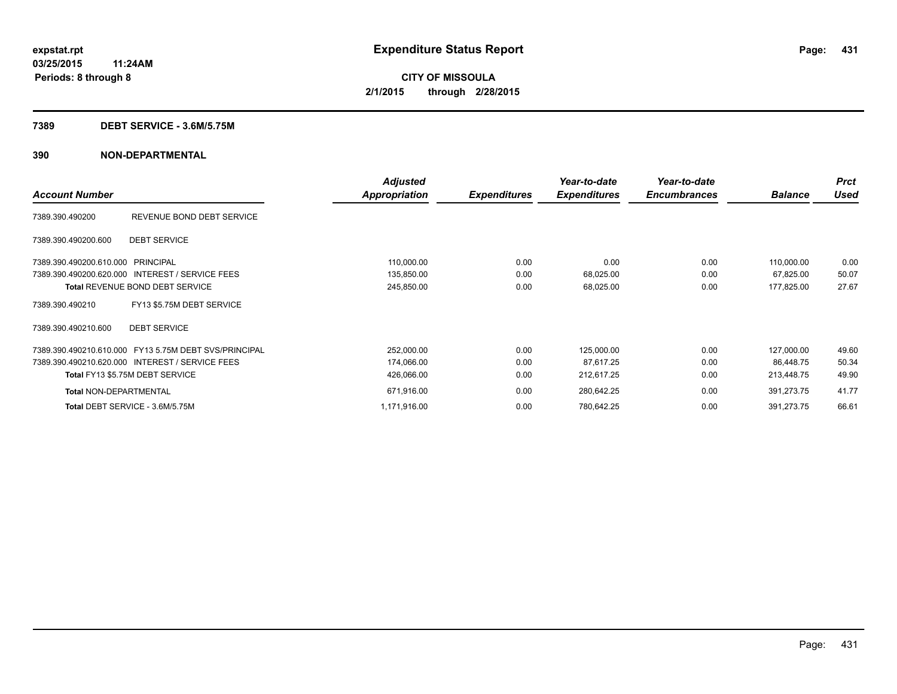#### **7389 DEBT SERVICE - 3.6M/5.75M**

|                                                       | <b>Adjusted</b> |                     | Year-to-date        | Year-to-date        |                | <b>Prct</b> |
|-------------------------------------------------------|-----------------|---------------------|---------------------|---------------------|----------------|-------------|
| <b>Account Number</b>                                 | Appropriation   | <b>Expenditures</b> | <b>Expenditures</b> | <b>Encumbrances</b> | <b>Balance</b> | Used        |
| REVENUE BOND DEBT SERVICE<br>7389.390.490200          |                 |                     |                     |                     |                |             |
| <b>DEBT SERVICE</b><br>7389.390.490200.600            |                 |                     |                     |                     |                |             |
| 7389.390.490200.610.000 PRINCIPAL                     | 110,000.00      | 0.00                | 0.00                | 0.00                | 110,000.00     | 0.00        |
| 7389.390.490200.620.000 INTEREST / SERVICE FEES       | 135,850.00      | 0.00                | 68,025.00           | 0.00                | 67,825.00      | 50.07       |
| <b>Total REVENUE BOND DEBT SERVICE</b>                | 245,850.00      | 0.00                | 68,025.00           | 0.00                | 177,825.00     | 27.67       |
| FY13 \$5.75M DEBT SERVICE<br>7389.390.490210          |                 |                     |                     |                     |                |             |
| <b>DEBT SERVICE</b><br>7389.390.490210.600            |                 |                     |                     |                     |                |             |
| 7389.390.490210.610.000 FY13 5.75M DEBT SVS/PRINCIPAL | 252,000.00      | 0.00                | 125,000.00          | 0.00                | 127,000.00     | 49.60       |
| 7389.390.490210.620.000 INTEREST / SERVICE FEES       | 174,066.00      | 0.00                | 87,617.25           | 0.00                | 86.448.75      | 50.34       |
| Total FY13 \$5.75M DEBT SERVICE                       | 426,066.00      | 0.00                | 212,617.25          | 0.00                | 213,448.75     | 49.90       |
| <b>Total NON-DEPARTMENTAL</b>                         | 671,916.00      | 0.00                | 280,642.25          | 0.00                | 391,273.75     | 41.77       |
| Total DEBT SERVICE - 3.6M/5.75M                       | 1,171,916.00    | 0.00                | 780,642.25          | 0.00                | 391,273.75     | 66.61       |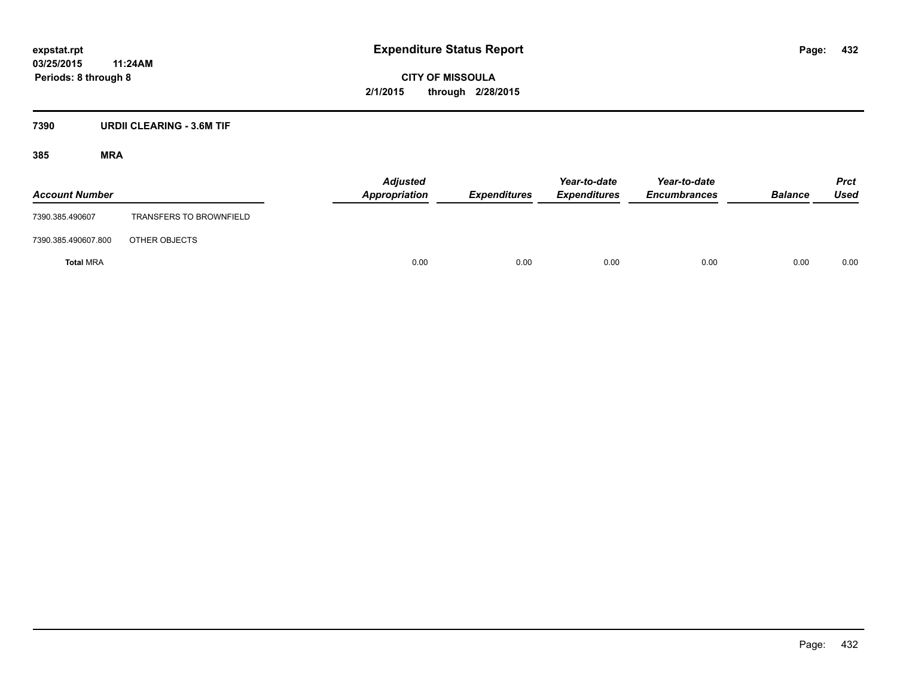**03/25/2015 11:24AM Periods: 8 through 8**

**CITY OF MISSOULA 2/1/2015 through 2/28/2015**

### **7390 URDII CLEARING - 3.6M TIF**

| <b>Account Number</b> |                         | <b>Adjusted</b><br>Appropriation | Expenditures | Year-to-date<br><b>Expenditures</b> | Year-to-date<br><b>Encumbrances</b> | <b>Balance</b> | <b>Prct</b><br>Used |
|-----------------------|-------------------------|----------------------------------|--------------|-------------------------------------|-------------------------------------|----------------|---------------------|
| 7390.385.490607       | TRANSFERS TO BROWNFIELD |                                  |              |                                     |                                     |                |                     |
| 7390.385.490607.800   | OTHER OBJECTS           |                                  |              |                                     |                                     |                |                     |
| <b>Total MRA</b>      |                         | 0.00                             | 0.00         | 0.00                                | 0.00                                | 0.00           | 0.00                |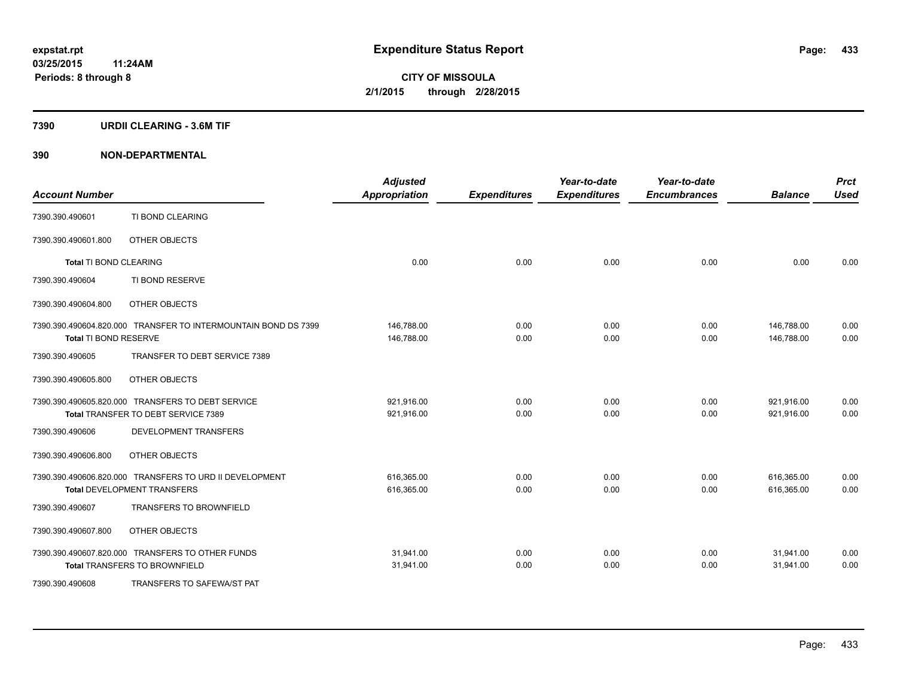#### **7390 URDII CLEARING - 3.6M TIF**

| <b>Account Number</b>         |                                                                | <b>Adjusted</b><br><b>Appropriation</b> | <b>Expenditures</b> | Year-to-date<br><b>Expenditures</b> | Year-to-date<br><b>Encumbrances</b> | <b>Balance</b> | <b>Prct</b><br><b>Used</b> |
|-------------------------------|----------------------------------------------------------------|-----------------------------------------|---------------------|-------------------------------------|-------------------------------------|----------------|----------------------------|
| 7390.390.490601               | TI BOND CLEARING                                               |                                         |                     |                                     |                                     |                |                            |
| 7390.390.490601.800           | OTHER OBJECTS                                                  |                                         |                     |                                     |                                     |                |                            |
| <b>Total TI BOND CLEARING</b> |                                                                | 0.00                                    | 0.00                | 0.00                                | 0.00                                | 0.00           | 0.00                       |
| 7390.390.490604               | TI BOND RESERVE                                                |                                         |                     |                                     |                                     |                |                            |
| 7390.390.490604.800           | OTHER OBJECTS                                                  |                                         |                     |                                     |                                     |                |                            |
|                               | 7390.390.490604.820.000 TRANSFER TO INTERMOUNTAIN BOND DS 7399 | 146,788.00                              | 0.00                | 0.00                                | 0.00                                | 146,788.00     | 0.00                       |
| Total TI BOND RESERVE         |                                                                | 146,788.00                              | 0.00                | 0.00                                | 0.00                                | 146,788.00     | 0.00                       |
| 7390.390.490605               | TRANSFER TO DEBT SERVICE 7389                                  |                                         |                     |                                     |                                     |                |                            |
| 7390.390.490605.800           | OTHER OBJECTS                                                  |                                         |                     |                                     |                                     |                |                            |
|                               | 7390.390.490605.820.000 TRANSFERS TO DEBT SERVICE              | 921,916.00                              | 0.00                | 0.00                                | 0.00                                | 921,916.00     | 0.00                       |
|                               | Total TRANSFER TO DEBT SERVICE 7389                            | 921,916.00                              | 0.00                | 0.00                                | 0.00                                | 921,916.00     | 0.00                       |
| 7390.390.490606               | DEVELOPMENT TRANSFERS                                          |                                         |                     |                                     |                                     |                |                            |
| 7390.390.490606.800           | OTHER OBJECTS                                                  |                                         |                     |                                     |                                     |                |                            |
|                               | 7390.390.490606.820.000 TRANSFERS TO URD II DEVELOPMENT        | 616,365.00                              | 0.00                | 0.00                                | 0.00                                | 616,365.00     | 0.00                       |
|                               | <b>Total DEVELOPMENT TRANSFERS</b>                             | 616,365.00                              | 0.00                | 0.00                                | 0.00                                | 616,365.00     | 0.00                       |
| 7390.390.490607               | <b>TRANSFERS TO BROWNFIELD</b>                                 |                                         |                     |                                     |                                     |                |                            |
| 7390.390.490607.800           | OTHER OBJECTS                                                  |                                         |                     |                                     |                                     |                |                            |
|                               | 7390.390.490607.820.000 TRANSFERS TO OTHER FUNDS               | 31,941.00                               | 0.00                | 0.00                                | 0.00                                | 31,941.00      | 0.00                       |
|                               | <b>Total TRANSFERS TO BROWNFIELD</b>                           | 31,941.00                               | 0.00                | 0.00                                | 0.00                                | 31,941.00      | 0.00                       |
| 7390.390.490608               | TRANSFERS TO SAFEWA/ST PAT                                     |                                         |                     |                                     |                                     |                |                            |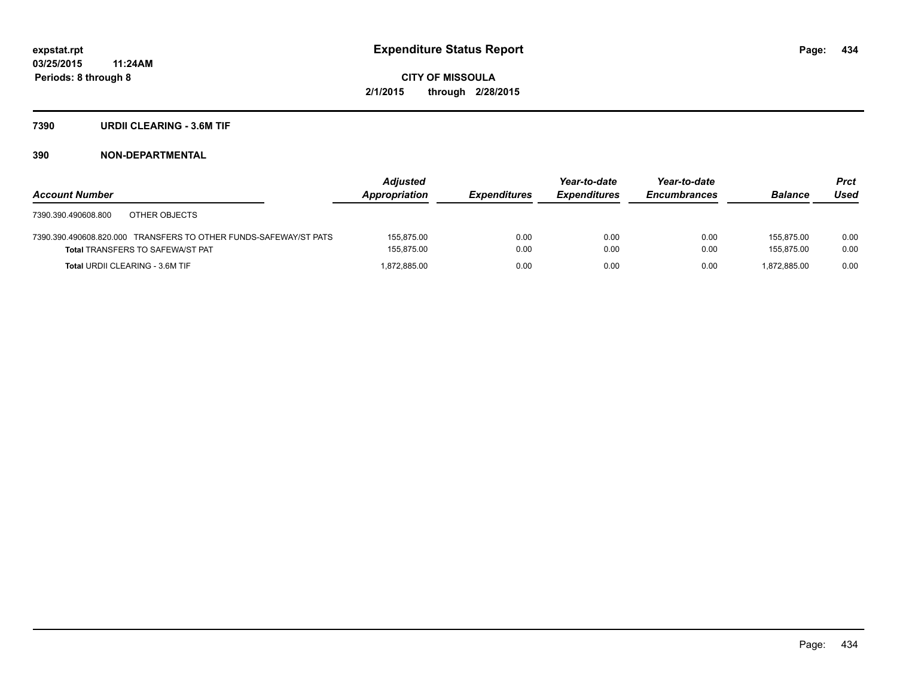#### **7390 URDII CLEARING - 3.6M TIF**

|                                                                  | <b>Adjusted</b> |                     | Year-to-date        | Year-to-date        |                | <b>Prct</b> |
|------------------------------------------------------------------|-----------------|---------------------|---------------------|---------------------|----------------|-------------|
| <b>Account Number</b>                                            | Appropriation   | <b>Expenditures</b> | <b>Expenditures</b> | <b>Encumbrances</b> | <b>Balance</b> | Used        |
| OTHER OBJECTS<br>7390.390.490608.800                             |                 |                     |                     |                     |                |             |
| 7390.390.490608.820.000 TRANSFERS TO OTHER FUNDS-SAFEWAY/ST PATS | 155.875.00      | 0.00                | 0.00                | 0.00                | 155.875.00     | 0.00        |
| <b>Total TRANSFERS TO SAFEWA/ST PAT</b>                          | 155,875.00      | 0.00                | 0.00                | 0.00                | 155.875.00     | 0.00        |
| <b>Total URDII CLEARING - 3.6M TIF</b>                           | 1.872.885.00    | 0.00                | 0.00                | 0.00                | 1.872.885.00   | 0.00        |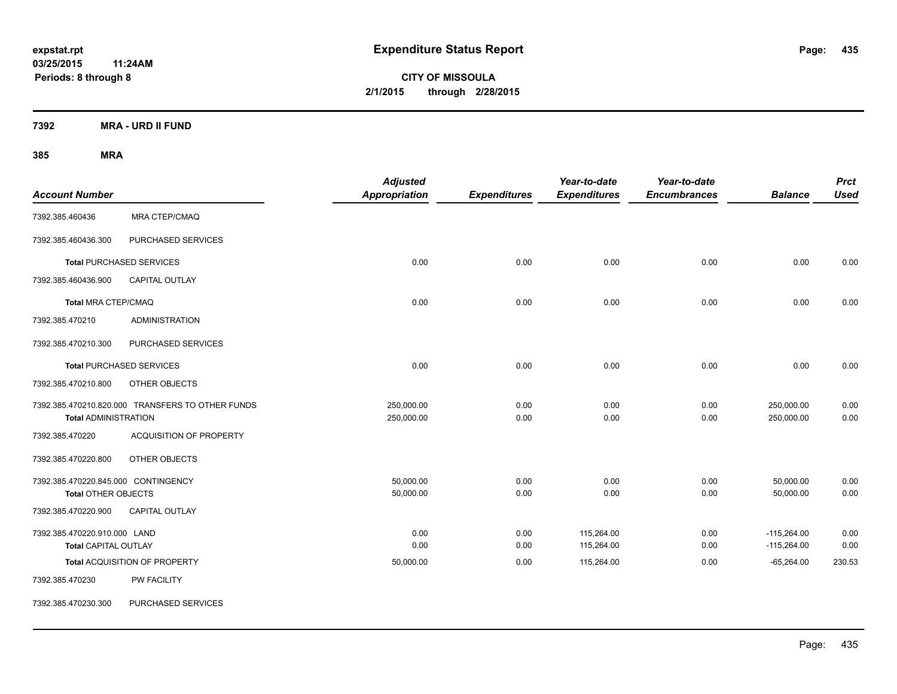**CITY OF MISSOULA 2/1/2015 through 2/28/2015**

**7392 MRA - URD II FUND**

| <b>Account Number</b>                                             |                                                  | <b>Adjusted</b><br><b>Appropriation</b> | <b>Expenditures</b> | Year-to-date<br><b>Expenditures</b> | Year-to-date<br><b>Encumbrances</b> | <b>Balance</b>                 | <b>Prct</b><br><b>Used</b> |
|-------------------------------------------------------------------|--------------------------------------------------|-----------------------------------------|---------------------|-------------------------------------|-------------------------------------|--------------------------------|----------------------------|
| 7392.385.460436                                                   | MRA CTEP/CMAQ                                    |                                         |                     |                                     |                                     |                                |                            |
| 7392.385.460436.300                                               | PURCHASED SERVICES                               |                                         |                     |                                     |                                     |                                |                            |
|                                                                   | <b>Total PURCHASED SERVICES</b>                  | 0.00                                    | 0.00                | 0.00                                | 0.00                                | 0.00                           | 0.00                       |
| 7392.385.460436.900                                               | <b>CAPITAL OUTLAY</b>                            |                                         |                     |                                     |                                     |                                |                            |
| Total MRA CTEP/CMAQ                                               |                                                  | 0.00                                    | 0.00                | 0.00                                | 0.00                                | 0.00                           | 0.00                       |
| 7392.385.470210                                                   | <b>ADMINISTRATION</b>                            |                                         |                     |                                     |                                     |                                |                            |
| 7392.385.470210.300                                               | PURCHASED SERVICES                               |                                         |                     |                                     |                                     |                                |                            |
|                                                                   | <b>Total PURCHASED SERVICES</b>                  | 0.00                                    | 0.00                | 0.00                                | 0.00                                | 0.00                           | 0.00                       |
| 7392.385.470210.800                                               | OTHER OBJECTS                                    |                                         |                     |                                     |                                     |                                |                            |
| <b>Total ADMINISTRATION</b>                                       | 7392.385.470210.820.000 TRANSFERS TO OTHER FUNDS | 250,000.00<br>250,000.00                | 0.00<br>0.00        | 0.00<br>0.00                        | 0.00<br>0.00                        | 250,000.00<br>250,000.00       | 0.00<br>0.00               |
| 7392.385.470220                                                   | <b>ACQUISITION OF PROPERTY</b>                   |                                         |                     |                                     |                                     |                                |                            |
| 7392.385.470220.800                                               | OTHER OBJECTS                                    |                                         |                     |                                     |                                     |                                |                            |
| 7392.385.470220.845.000 CONTINGENCY<br><b>Total OTHER OBJECTS</b> |                                                  | 50.000.00<br>50,000.00                  | 0.00<br>0.00        | 0.00<br>0.00                        | 0.00<br>0.00                        | 50,000.00<br>50,000.00         | 0.00<br>0.00               |
| 7392.385.470220.900                                               | CAPITAL OUTLAY                                   |                                         |                     |                                     |                                     |                                |                            |
| 7392.385.470220.910.000 LAND<br><b>Total CAPITAL OUTLAY</b>       |                                                  | 0.00<br>0.00                            | 0.00<br>0.00        | 115,264.00<br>115,264.00            | 0.00<br>0.00                        | $-115,264.00$<br>$-115,264.00$ | 0.00<br>0.00               |
|                                                                   | Total ACQUISITION OF PROPERTY                    | 50,000.00                               | 0.00                | 115,264.00                          | 0.00                                | $-65,264.00$                   | 230.53                     |
| 7392.385.470230                                                   | <b>PW FACILITY</b>                               |                                         |                     |                                     |                                     |                                |                            |
| 7392.385.470230.300                                               | PURCHASED SERVICES                               |                                         |                     |                                     |                                     |                                |                            |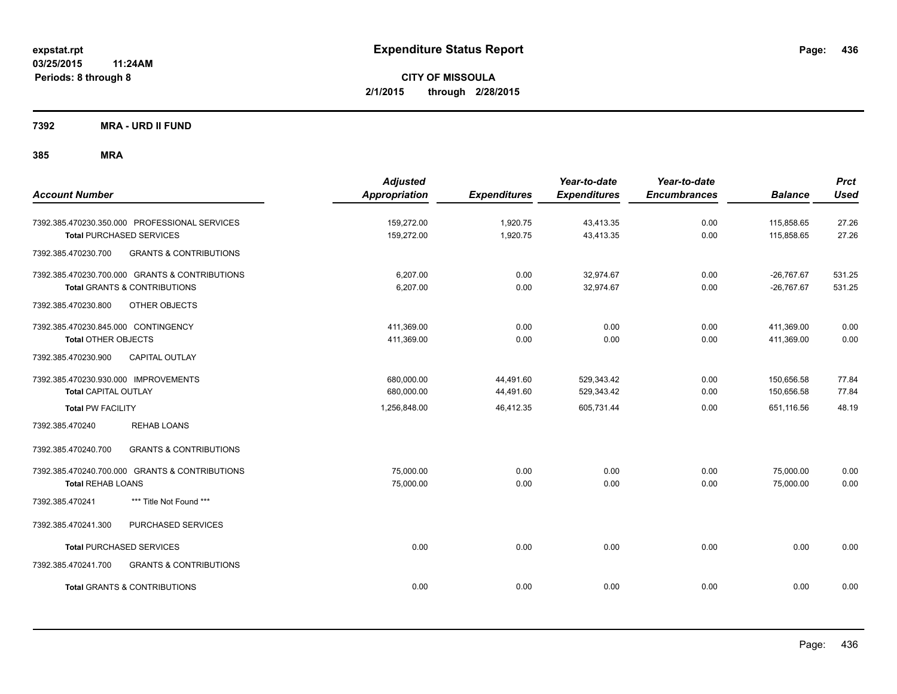**7392 MRA - URD II FUND**

| <b>Account Number</b>                                                                                             | <b>Adjusted</b><br><b>Appropriation</b> | <b>Expenditures</b>    | Year-to-date<br><b>Expenditures</b> | Year-to-date<br><b>Encumbrances</b> | <b>Balance</b>               | <b>Prct</b><br><b>Used</b> |
|-------------------------------------------------------------------------------------------------------------------|-----------------------------------------|------------------------|-------------------------------------|-------------------------------------|------------------------------|----------------------------|
| 7392.385.470230.350.000 PROFESSIONAL SERVICES<br><b>Total PURCHASED SERVICES</b>                                  | 159,272.00<br>159,272.00                | 1,920.75<br>1,920.75   | 43,413.35<br>43,413.35              | 0.00<br>0.00                        | 115,858.65<br>115,858.65     | 27.26<br>27.26             |
| <b>GRANTS &amp; CONTRIBUTIONS</b><br>7392.385.470230.700                                                          |                                         |                        |                                     |                                     |                              |                            |
| 7392.385.470230.700.000 GRANTS & CONTRIBUTIONS<br><b>Total GRANTS &amp; CONTRIBUTIONS</b>                         | 6.207.00<br>6,207.00                    | 0.00<br>0.00           | 32,974.67<br>32,974.67              | 0.00<br>0.00                        | $-26,767.67$<br>$-26,767.67$ | 531.25<br>531.25           |
| 7392.385.470230.800<br>OTHER OBJECTS                                                                              |                                         |                        |                                     |                                     |                              |                            |
| 7392.385.470230.845.000 CONTINGENCY<br><b>Total OTHER OBJECTS</b><br><b>CAPITAL OUTLAY</b><br>7392.385.470230.900 | 411,369.00<br>411,369.00                | 0.00<br>0.00           | 0.00<br>0.00                        | 0.00<br>0.00                        | 411,369.00<br>411,369.00     | 0.00<br>0.00               |
| 7392.385.470230.930.000 IMPROVEMENTS<br><b>Total CAPITAL OUTLAY</b>                                               | 680,000.00<br>680,000.00                | 44,491.60<br>44,491.60 | 529,343.42<br>529,343.42            | 0.00<br>0.00                        | 150,656.58<br>150,656.58     | 77.84<br>77.84             |
| <b>Total PW FACILITY</b>                                                                                          | 1,256,848.00                            | 46,412.35              | 605,731.44                          | 0.00                                | 651,116.56                   | 48.19                      |
| 7392.385.470240<br><b>REHAB LOANS</b>                                                                             |                                         |                        |                                     |                                     |                              |                            |
| 7392.385.470240.700<br><b>GRANTS &amp; CONTRIBUTIONS</b>                                                          |                                         |                        |                                     |                                     |                              |                            |
| 7392.385.470240.700.000 GRANTS & CONTRIBUTIONS<br><b>Total REHAB LOANS</b>                                        | 75,000.00<br>75,000.00                  | 0.00<br>0.00           | 0.00<br>0.00                        | 0.00<br>0.00                        | 75,000.00<br>75,000.00       | 0.00<br>0.00               |
| *** Title Not Found ***<br>7392.385.470241                                                                        |                                         |                        |                                     |                                     |                              |                            |
| 7392.385.470241.300<br>PURCHASED SERVICES                                                                         |                                         |                        |                                     |                                     |                              |                            |
| <b>Total PURCHASED SERVICES</b>                                                                                   | 0.00                                    | 0.00                   | 0.00                                | 0.00                                | 0.00                         | 0.00                       |
| 7392.385.470241.700<br><b>GRANTS &amp; CONTRIBUTIONS</b>                                                          |                                         |                        |                                     |                                     |                              |                            |
| <b>Total GRANTS &amp; CONTRIBUTIONS</b>                                                                           | 0.00                                    | 0.00                   | 0.00                                | 0.00                                | 0.00                         | 0.00                       |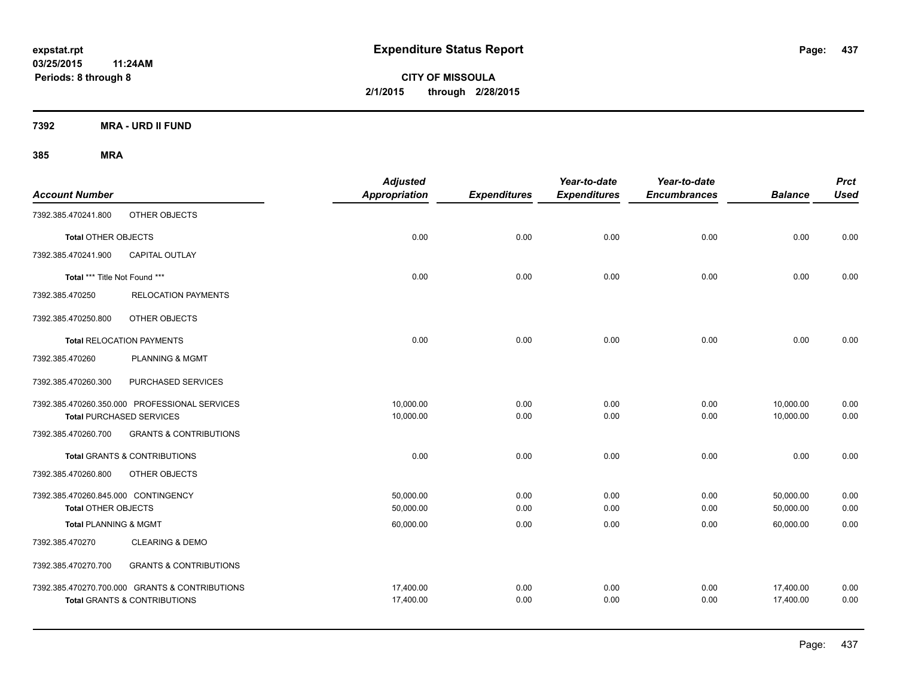**CITY OF MISSOULA 2/1/2015 through 2/28/2015**

**7392 MRA - URD II FUND**

| <b>Account Number</b>               |                                                | <b>Adjusted</b><br>Appropriation | <b>Expenditures</b> | Year-to-date<br><b>Expenditures</b> | Year-to-date<br><b>Encumbrances</b> | <b>Balance</b> | <b>Prct</b><br><b>Used</b> |
|-------------------------------------|------------------------------------------------|----------------------------------|---------------------|-------------------------------------|-------------------------------------|----------------|----------------------------|
| 7392.385.470241.800                 | OTHER OBJECTS                                  |                                  |                     |                                     |                                     |                |                            |
| <b>Total OTHER OBJECTS</b>          |                                                | 0.00                             | 0.00                | 0.00                                | 0.00                                | 0.00           | 0.00                       |
| 7392.385.470241.900                 | <b>CAPITAL OUTLAY</b>                          |                                  |                     |                                     |                                     |                |                            |
| Total *** Title Not Found ***       |                                                | 0.00                             | 0.00                | 0.00                                | 0.00                                | 0.00           | 0.00                       |
| 7392.385.470250                     | <b>RELOCATION PAYMENTS</b>                     |                                  |                     |                                     |                                     |                |                            |
| 7392.385.470250.800                 | OTHER OBJECTS                                  |                                  |                     |                                     |                                     |                |                            |
|                                     | <b>Total RELOCATION PAYMENTS</b>               | 0.00                             | 0.00                | 0.00                                | 0.00                                | 0.00           | 0.00                       |
| 7392.385.470260                     | PLANNING & MGMT                                |                                  |                     |                                     |                                     |                |                            |
| 7392.385.470260.300                 | PURCHASED SERVICES                             |                                  |                     |                                     |                                     |                |                            |
|                                     | 7392.385.470260.350.000 PROFESSIONAL SERVICES  | 10,000.00                        | 0.00                | 0.00                                | 0.00                                | 10,000.00      | 0.00                       |
|                                     | <b>Total PURCHASED SERVICES</b>                | 10,000.00                        | 0.00                | 0.00                                | 0.00                                | 10,000.00      | 0.00                       |
| 7392.385.470260.700                 | <b>GRANTS &amp; CONTRIBUTIONS</b>              |                                  |                     |                                     |                                     |                |                            |
|                                     | <b>Total GRANTS &amp; CONTRIBUTIONS</b>        | 0.00                             | 0.00                | 0.00                                | 0.00                                | 0.00           | 0.00                       |
| 7392.385.470260.800                 | OTHER OBJECTS                                  |                                  |                     |                                     |                                     |                |                            |
| 7392.385.470260.845.000 CONTINGENCY |                                                | 50,000.00                        | 0.00                | 0.00                                | 0.00                                | 50,000.00      | 0.00                       |
| <b>Total OTHER OBJECTS</b>          |                                                | 50,000.00                        | 0.00                | 0.00                                | 0.00                                | 50,000.00      | 0.00                       |
| <b>Total PLANNING &amp; MGMT</b>    |                                                | 60,000.00                        | 0.00                | 0.00                                | 0.00                                | 60,000.00      | 0.00                       |
| 7392.385.470270                     | <b>CLEARING &amp; DEMO</b>                     |                                  |                     |                                     |                                     |                |                            |
| 7392.385.470270.700                 | <b>GRANTS &amp; CONTRIBUTIONS</b>              |                                  |                     |                                     |                                     |                |                            |
|                                     | 7392.385.470270.700.000 GRANTS & CONTRIBUTIONS | 17,400.00                        | 0.00                | 0.00                                | 0.00                                | 17,400.00      | 0.00                       |
|                                     | <b>Total GRANTS &amp; CONTRIBUTIONS</b>        | 17,400.00                        | 0.00                | 0.00                                | 0.00                                | 17,400.00      | 0.00                       |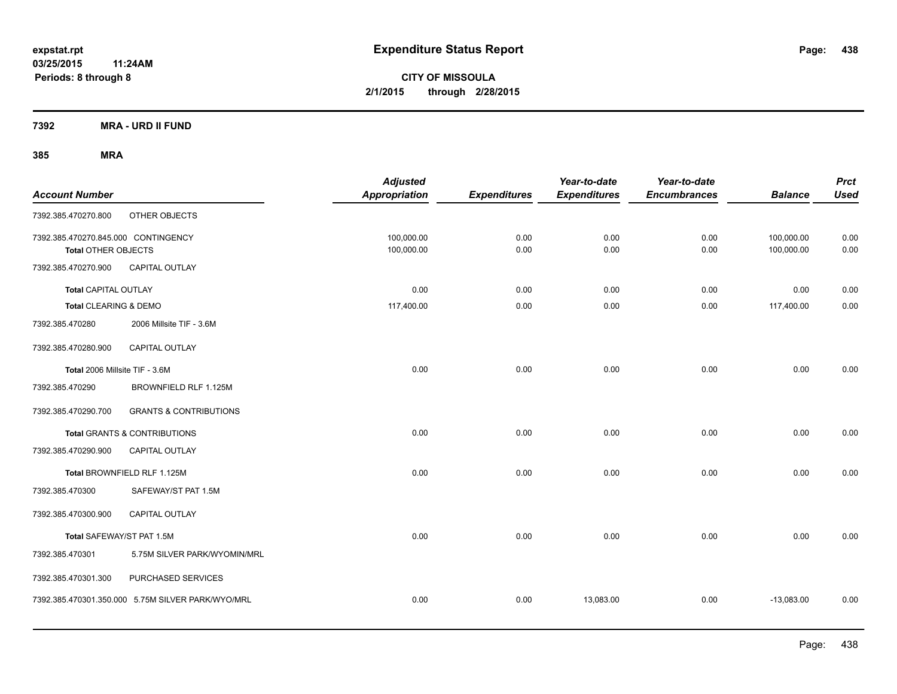**7392 MRA - URD II FUND**

| <b>Account Number</b>                                      |                                                   | <b>Adjusted</b><br><b>Appropriation</b> | <b>Expenditures</b> | Year-to-date<br><b>Expenditures</b> | Year-to-date<br><b>Encumbrances</b> | <b>Balance</b>           | <b>Prct</b><br><b>Used</b> |
|------------------------------------------------------------|---------------------------------------------------|-----------------------------------------|---------------------|-------------------------------------|-------------------------------------|--------------------------|----------------------------|
| 7392.385.470270.800                                        | OTHER OBJECTS                                     |                                         |                     |                                     |                                     |                          |                            |
| 7392.385.470270.845.000 CONTINGENCY<br>Total OTHER OBJECTS |                                                   | 100,000.00<br>100,000.00                | 0.00<br>0.00        | 0.00<br>0.00                        | 0.00<br>0.00                        | 100,000.00<br>100,000.00 | 0.00<br>0.00               |
| 7392.385.470270.900                                        | CAPITAL OUTLAY                                    |                                         |                     |                                     |                                     |                          |                            |
| <b>Total CAPITAL OUTLAY</b>                                |                                                   | 0.00                                    | 0.00                | 0.00                                | 0.00                                | 0.00                     | 0.00                       |
| Total CLEARING & DEMO                                      |                                                   | 117,400.00                              | 0.00                | 0.00                                | 0.00                                | 117,400.00               | 0.00                       |
| 7392.385.470280                                            | 2006 Millsite TIF - 3.6M                          |                                         |                     |                                     |                                     |                          |                            |
| 7392.385.470280.900                                        | CAPITAL OUTLAY                                    |                                         |                     |                                     |                                     |                          |                            |
| Total 2006 Millsite TIF - 3.6M                             |                                                   | 0.00                                    | 0.00                | 0.00                                | 0.00                                | 0.00                     | 0.00                       |
| 7392.385.470290                                            | BROWNFIELD RLF 1.125M                             |                                         |                     |                                     |                                     |                          |                            |
| 7392.385.470290.700                                        | <b>GRANTS &amp; CONTRIBUTIONS</b>                 |                                         |                     |                                     |                                     |                          |                            |
|                                                            | Total GRANTS & CONTRIBUTIONS                      | 0.00                                    | 0.00                | 0.00                                | 0.00                                | 0.00                     | 0.00                       |
| 7392.385.470290.900                                        | <b>CAPITAL OUTLAY</b>                             |                                         |                     |                                     |                                     |                          |                            |
|                                                            | Total BROWNFIELD RLF 1.125M                       | 0.00                                    | 0.00                | 0.00                                | 0.00                                | 0.00                     | 0.00                       |
| 7392.385.470300                                            | SAFEWAY/ST PAT 1.5M                               |                                         |                     |                                     |                                     |                          |                            |
| 7392.385.470300.900                                        | CAPITAL OUTLAY                                    |                                         |                     |                                     |                                     |                          |                            |
| Total SAFEWAY/ST PAT 1.5M                                  |                                                   | 0.00                                    | 0.00                | 0.00                                | 0.00                                | 0.00                     | 0.00                       |
| 7392.385.470301                                            | 5.75M SILVER PARK/WYOMIN/MRL                      |                                         |                     |                                     |                                     |                          |                            |
| 7392.385.470301.300                                        | PURCHASED SERVICES                                |                                         |                     |                                     |                                     |                          |                            |
|                                                            | 7392.385.470301.350.000 5.75M SILVER PARK/WYO/MRL | 0.00                                    | 0.00                | 13,083.00                           | 0.00                                | $-13,083.00$             | 0.00                       |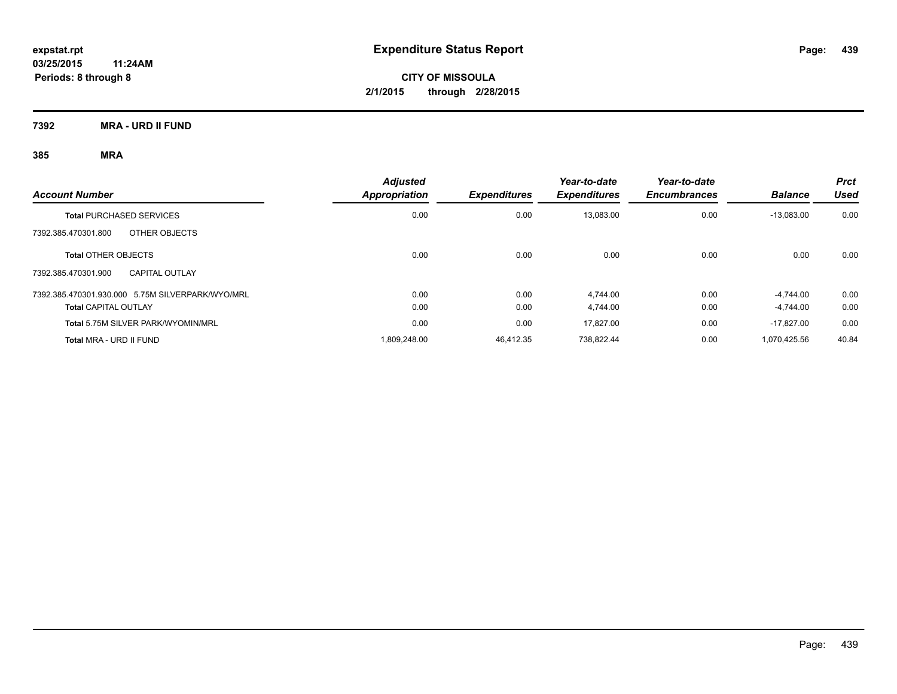**7392 MRA - URD II FUND**

| <b>Account Number</b>                            | <b>Adjusted</b><br>Appropriation | <b>Expenditures</b> | Year-to-date<br><b>Expenditures</b> | Year-to-date<br><b>Encumbrances</b> | <b>Balance</b> | <b>Prct</b><br>Used |
|--------------------------------------------------|----------------------------------|---------------------|-------------------------------------|-------------------------------------|----------------|---------------------|
| <b>Total PURCHASED SERVICES</b>                  | 0.00                             | 0.00                | 13,083.00                           | 0.00                                | $-13,083.00$   | 0.00                |
| OTHER OBJECTS<br>7392.385.470301.800             |                                  |                     |                                     |                                     |                |                     |
| <b>Total OTHER OBJECTS</b>                       | 0.00                             | 0.00                | 0.00                                | 0.00                                | 0.00           | 0.00                |
| <b>CAPITAL OUTLAY</b><br>7392.385.470301.900     |                                  |                     |                                     |                                     |                |                     |
| 7392.385.470301.930.000 5.75M SILVERPARK/WYO/MRL | 0.00                             | 0.00                | 4.744.00                            | 0.00                                | $-4.744.00$    | 0.00                |
| <b>Total CAPITAL OUTLAY</b>                      | 0.00                             | 0.00                | 4.744.00                            | 0.00                                | -4.744.00      | 0.00                |
| Total 5.75M SILVER PARK/WYOMIN/MRL               | 0.00                             | 0.00                | 17.827.00                           | 0.00                                | $-17.827.00$   | 0.00                |
| Total MRA - URD II FUND                          | 1.809.248.00                     | 46.412.35           | 738.822.44                          | 0.00                                | 1.070.425.56   | 40.84               |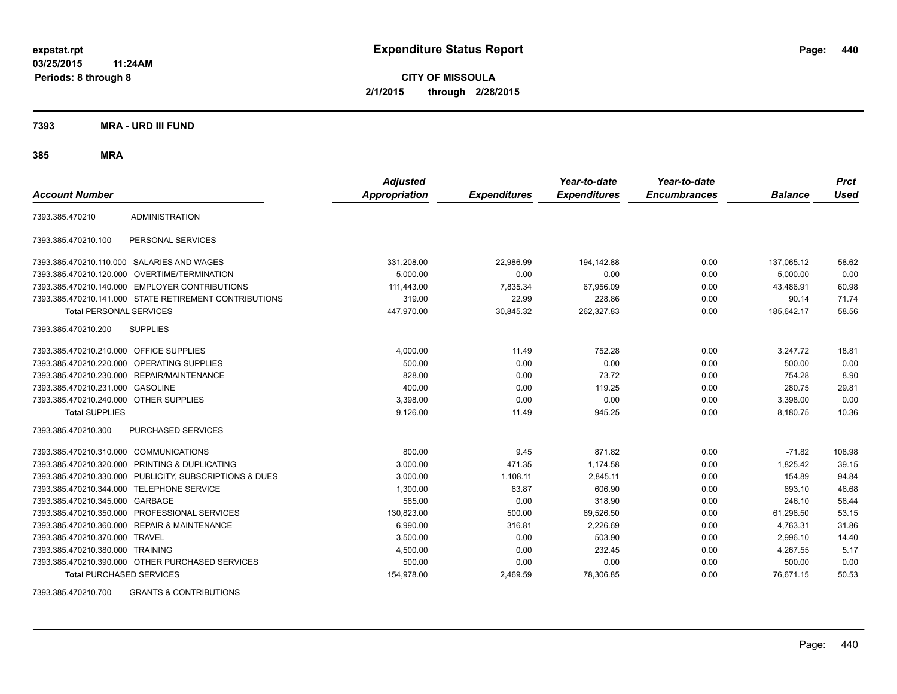**CITY OF MISSOULA 2/1/2015 through 2/28/2015**

**7393 MRA - URD III FUND**

**385 MRA**

| <b>Account Number</b>                   |                                                        | <b>Adjusted</b><br><b>Appropriation</b> | <b>Expenditures</b> | Year-to-date<br><b>Expenditures</b> | Year-to-date<br><b>Encumbrances</b> | <b>Balance</b> | <b>Prct</b><br>Used |
|-----------------------------------------|--------------------------------------------------------|-----------------------------------------|---------------------|-------------------------------------|-------------------------------------|----------------|---------------------|
| 7393.385.470210                         | <b>ADMINISTRATION</b>                                  |                                         |                     |                                     |                                     |                |                     |
| 7393.385.470210.100                     | PERSONAL SERVICES                                      |                                         |                     |                                     |                                     |                |                     |
|                                         | 7393.385.470210.110.000 SALARIES AND WAGES             | 331,208.00                              | 22,986.99           | 194,142.88                          | 0.00                                | 137,065.12     | 58.62               |
|                                         | 7393.385.470210.120.000 OVERTIME/TERMINATION           | 5,000.00                                | 0.00                | 0.00                                | 0.00                                | 5,000.00       | 0.00                |
|                                         | 7393.385.470210.140.000 EMPLOYER CONTRIBUTIONS         | 111,443.00                              | 7,835.34            | 67,956.09                           | 0.00                                | 43,486.91      | 60.98               |
|                                         | 7393.385.470210.141.000 STATE RETIREMENT CONTRIBUTIONS | 319.00                                  | 22.99               | 228.86                              | 0.00                                | 90.14          | 71.74               |
| <b>Total PERSONAL SERVICES</b>          |                                                        | 447,970.00                              | 30,845.32           | 262,327.83                          | 0.00                                | 185,642.17     | 58.56               |
| 7393.385.470210.200                     | <b>SUPPLIES</b>                                        |                                         |                     |                                     |                                     |                |                     |
| 7393.385.470210.210.000 OFFICE SUPPLIES |                                                        | 4,000.00                                | 11.49               | 752.28                              | 0.00                                | 3,247.72       | 18.81               |
|                                         | 7393.385.470210.220.000 OPERATING SUPPLIES             | 500.00                                  | 0.00                | 0.00                                | 0.00                                | 500.00         | 0.00                |
| 7393.385.470210.230.000                 | REPAIR/MAINTENANCE                                     | 828.00                                  | 0.00                | 73.72                               | 0.00                                | 754.28         | 8.90                |
| 7393.385.470210.231.000                 | <b>GASOLINE</b>                                        | 400.00                                  | 0.00                | 119.25                              | 0.00                                | 280.75         | 29.81               |
| 7393.385.470210.240.000 OTHER SUPPLIES  |                                                        | 3,398.00                                | 0.00                | 0.00                                | 0.00                                | 3,398.00       | 0.00                |
| <b>Total SUPPLIES</b>                   |                                                        | 9,126.00                                | 11.49               | 945.25                              | 0.00                                | 8,180.75       | 10.36               |
| 7393.385.470210.300                     | PURCHASED SERVICES                                     |                                         |                     |                                     |                                     |                |                     |
| 7393.385.470210.310.000                 | <b>COMMUNICATIONS</b>                                  | 800.00                                  | 9.45                | 871.82                              | 0.00                                | $-71.82$       | 108.98              |
| 7393.385.470210.320.000                 | <b>PRINTING &amp; DUPLICATING</b>                      | 3,000.00                                | 471.35              | 1.174.58                            | 0.00                                | 1,825.42       | 39.15               |
| 7393.385.470210.330.000                 | PUBLICITY, SUBSCRIPTIONS & DUES                        | 3,000.00                                | 1,108.11            | 2,845.11                            | 0.00                                | 154.89         | 94.84               |
| 7393.385.470210.344.000                 | <b>TELEPHONE SERVICE</b>                               | 1,300.00                                | 63.87               | 606.90                              | 0.00                                | 693.10         | 46.68               |
| 7393.385.470210.345.000                 | GARBAGE                                                | 565.00                                  | 0.00                | 318.90                              | 0.00                                | 246.10         | 56.44               |
| 7393.385.470210.350.000                 | PROFESSIONAL SERVICES                                  | 130,823.00                              | 500.00              | 69,526.50                           | 0.00                                | 61,296.50      | 53.15               |
| 7393.385.470210.360.000                 | <b>REPAIR &amp; MAINTENANCE</b>                        | 6,990.00                                | 316.81              | 2,226.69                            | 0.00                                | 4,763.31       | 31.86               |
| 7393.385.470210.370.000                 | <b>TRAVEL</b>                                          | 3,500.00                                | 0.00                | 503.90                              | 0.00                                | 2,996.10       | 14.40               |
| 7393.385.470210.380.000 TRAINING        |                                                        | 4,500.00                                | 0.00                | 232.45                              | 0.00                                | 4,267.55       | 5.17                |
|                                         | 7393.385.470210.390.000 OTHER PURCHASED SERVICES       | 500.00                                  | 0.00                | 0.00                                | 0.00                                | 500.00         | 0.00                |
| <b>Total PURCHASED SERVICES</b>         |                                                        | 154,978.00                              | 2,469.59            | 78,306.85                           | 0.00                                | 76,671.15      | 50.53               |

7393.385.470210.700 GRANTS & CONTRIBUTIONS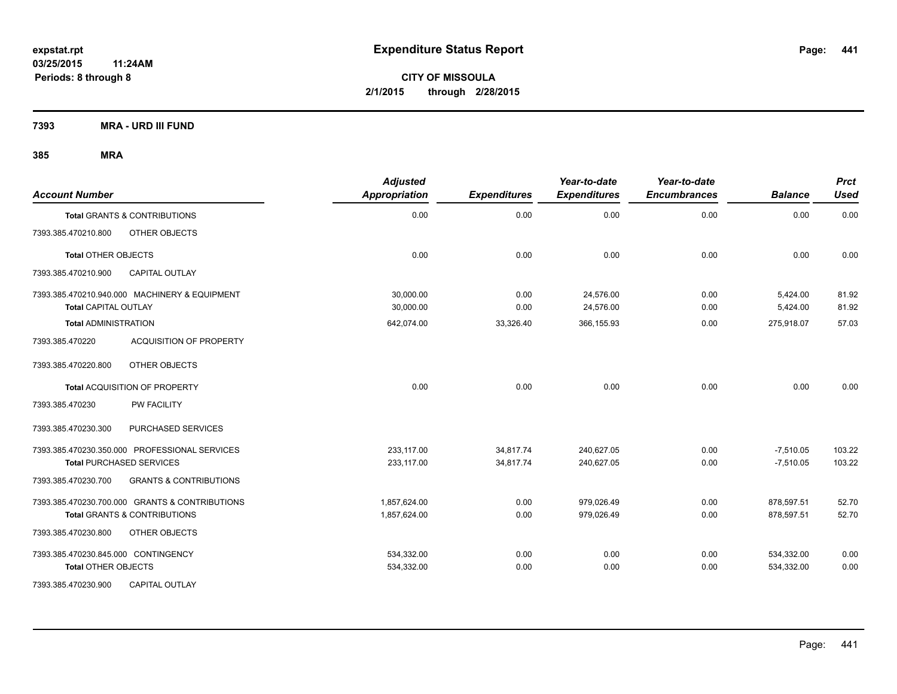**7393 MRA - URD III FUND**

| <b>Account Number</b>                                                        | <b>Adjusted</b><br><b>Appropriation</b> | <b>Expenditures</b> | Year-to-date<br><b>Expenditures</b> | Year-to-date<br><b>Encumbrances</b> | <b>Balance</b>       | <b>Prct</b><br><b>Used</b> |
|------------------------------------------------------------------------------|-----------------------------------------|---------------------|-------------------------------------|-------------------------------------|----------------------|----------------------------|
| <b>Total GRANTS &amp; CONTRIBUTIONS</b>                                      | 0.00                                    | 0.00                | 0.00                                | 0.00                                | 0.00                 | 0.00                       |
| OTHER OBJECTS<br>7393.385.470210.800                                         |                                         |                     |                                     |                                     |                      |                            |
| <b>Total OTHER OBJECTS</b>                                                   | 0.00                                    | 0.00                | 0.00                                | 0.00                                | 0.00                 | 0.00                       |
| <b>CAPITAL OUTLAY</b><br>7393.385.470210.900                                 |                                         |                     |                                     |                                     |                      |                            |
| 7393.385.470210.940.000 MACHINERY & EQUIPMENT<br><b>Total CAPITAL OUTLAY</b> | 30,000.00<br>30,000.00                  | 0.00<br>0.00        | 24,576.00<br>24,576.00              | 0.00<br>0.00                        | 5,424.00<br>5,424.00 | 81.92<br>81.92             |
| <b>Total ADMINISTRATION</b>                                                  | 642,074.00                              | 33,326.40           | 366,155.93                          | 0.00                                | 275,918.07           | 57.03                      |
| 7393.385.470220<br><b>ACQUISITION OF PROPERTY</b>                            |                                         |                     |                                     |                                     |                      |                            |
| 7393.385.470220.800<br>OTHER OBJECTS                                         |                                         |                     |                                     |                                     |                      |                            |
| Total ACQUISITION OF PROPERTY                                                | 0.00                                    | 0.00                | 0.00                                | 0.00                                | 0.00                 | 0.00                       |
| PW FACILITY<br>7393.385.470230                                               |                                         |                     |                                     |                                     |                      |                            |
| 7393.385.470230.300<br>PURCHASED SERVICES                                    |                                         |                     |                                     |                                     |                      |                            |
| 7393.385.470230.350.000 PROFESSIONAL SERVICES                                | 233,117.00                              | 34,817.74           | 240,627.05                          | 0.00                                | $-7,510.05$          | 103.22                     |
| <b>Total PURCHASED SERVICES</b>                                              | 233,117.00                              | 34,817.74           | 240,627.05                          | 0.00                                | $-7,510.05$          | 103.22                     |
| 7393.385.470230.700<br><b>GRANTS &amp; CONTRIBUTIONS</b>                     |                                         |                     |                                     |                                     |                      |                            |
| 7393.385.470230.700.000 GRANTS & CONTRIBUTIONS                               | 1,857,624.00                            | 0.00                | 979,026.49                          | 0.00                                | 878,597.51           | 52.70                      |
| <b>Total GRANTS &amp; CONTRIBUTIONS</b>                                      | 1,857,624.00                            | 0.00                | 979.026.49                          | 0.00                                | 878,597.51           | 52.70                      |
| 7393.385.470230.800<br>OTHER OBJECTS                                         |                                         |                     |                                     |                                     |                      |                            |
| 7393.385.470230.845.000 CONTINGENCY                                          | 534,332.00                              | 0.00                | 0.00                                | 0.00                                | 534,332.00           | 0.00                       |
| <b>Total OTHER OBJECTS</b>                                                   | 534,332.00                              | 0.00                | 0.00                                | 0.00                                | 534,332.00           | 0.00                       |
| 7393.385.470230.900<br><b>CAPITAL OUTLAY</b>                                 |                                         |                     |                                     |                                     |                      |                            |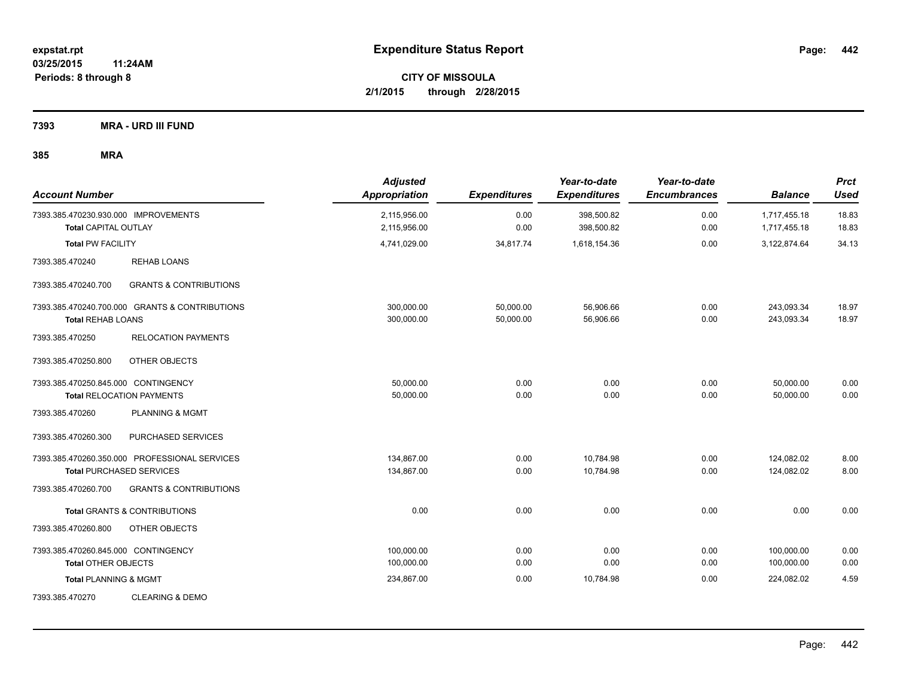**7393 MRA - URD III FUND**

| <b>Account Number</b>                                               |                                                                                  | <b>Adjusted</b><br><b>Appropriation</b> | <b>Expenditures</b>    | Year-to-date<br><b>Expenditures</b> | Year-to-date<br><b>Encumbrances</b> | <b>Balance</b>               | <b>Prct</b><br><b>Used</b> |
|---------------------------------------------------------------------|----------------------------------------------------------------------------------|-----------------------------------------|------------------------|-------------------------------------|-------------------------------------|------------------------------|----------------------------|
| 7393.385.470230.930.000 IMPROVEMENTS<br><b>Total CAPITAL OUTLAY</b> |                                                                                  | 2,115,956.00<br>2,115,956.00            | 0.00<br>0.00           | 398,500.82<br>398,500.82            | 0.00<br>0.00                        | 1,717,455.18<br>1,717,455.18 | 18.83<br>18.83             |
| <b>Total PW FACILITY</b>                                            |                                                                                  | 4,741,029.00                            | 34,817.74              | 1,618,154.36                        | 0.00                                | 3,122,874.64                 | 34.13                      |
| 7393.385.470240                                                     | <b>REHAB LOANS</b>                                                               |                                         |                        |                                     |                                     |                              |                            |
| 7393.385.470240.700                                                 | <b>GRANTS &amp; CONTRIBUTIONS</b>                                                |                                         |                        |                                     |                                     |                              |                            |
| <b>Total REHAB LOANS</b>                                            | 7393.385.470240.700.000 GRANTS & CONTRIBUTIONS                                   | 300,000.00<br>300,000.00                | 50,000.00<br>50,000.00 | 56,906.66<br>56,906.66              | 0.00<br>0.00                        | 243,093.34<br>243,093.34     | 18.97<br>18.97             |
| 7393.385.470250                                                     | <b>RELOCATION PAYMENTS</b>                                                       |                                         |                        |                                     |                                     |                              |                            |
| 7393.385.470250.800                                                 | OTHER OBJECTS                                                                    |                                         |                        |                                     |                                     |                              |                            |
| 7393.385.470250.845.000 CONTINGENCY                                 | <b>Total RELOCATION PAYMENTS</b>                                                 | 50,000.00<br>50,000.00                  | 0.00<br>0.00           | 0.00<br>0.00                        | 0.00<br>0.00                        | 50,000.00<br>50,000.00       | 0.00<br>0.00               |
| 7393.385.470260                                                     | <b>PLANNING &amp; MGMT</b>                                                       |                                         |                        |                                     |                                     |                              |                            |
| 7393.385.470260.300                                                 | PURCHASED SERVICES                                                               |                                         |                        |                                     |                                     |                              |                            |
|                                                                     | 7393.385.470260.350.000 PROFESSIONAL SERVICES<br><b>Total PURCHASED SERVICES</b> | 134,867.00<br>134,867.00                | 0.00<br>0.00           | 10,784.98<br>10,784.98              | 0.00<br>0.00                        | 124,082.02<br>124,082.02     | 8.00<br>8.00               |
| 7393.385.470260.700                                                 | <b>GRANTS &amp; CONTRIBUTIONS</b>                                                |                                         |                        |                                     |                                     |                              |                            |
|                                                                     | <b>Total GRANTS &amp; CONTRIBUTIONS</b>                                          | 0.00                                    | 0.00                   | 0.00                                | 0.00                                | 0.00                         | 0.00                       |
| 7393.385.470260.800                                                 | OTHER OBJECTS                                                                    |                                         |                        |                                     |                                     |                              |                            |
| 7393.385.470260.845.000 CONTINGENCY<br><b>Total OTHER OBJECTS</b>   |                                                                                  | 100,000.00<br>100,000.00                | 0.00<br>0.00           | 0.00<br>0.00                        | 0.00<br>0.00                        | 100,000.00<br>100,000.00     | 0.00<br>0.00               |
| <b>Total PLANNING &amp; MGMT</b>                                    |                                                                                  | 234,867.00                              | 0.00                   | 10,784.98                           | 0.00                                | 224,082.02                   | 4.59                       |
| 7393.385.470270                                                     | <b>CLEARING &amp; DEMO</b>                                                       |                                         |                        |                                     |                                     |                              |                            |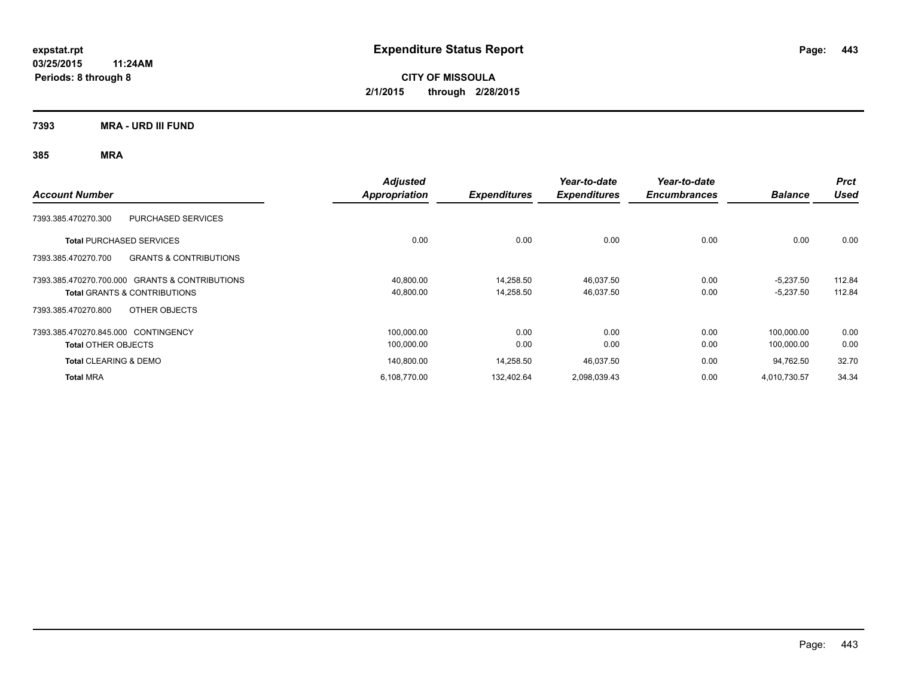**CITY OF MISSOULA 2/1/2015 through 2/28/2015**

**7393 MRA - URD III FUND**

| <b>Account Number</b>                                    | <b>Adjusted</b><br><b>Appropriation</b> | <b>Expenditures</b> | Year-to-date<br><b>Expenditures</b> | Year-to-date<br><b>Encumbrances</b> | <b>Balance</b> | <b>Prct</b><br><b>Used</b> |
|----------------------------------------------------------|-----------------------------------------|---------------------|-------------------------------------|-------------------------------------|----------------|----------------------------|
| 7393.385.470270.300<br><b>PURCHASED SERVICES</b>         |                                         |                     |                                     |                                     |                |                            |
| <b>Total PURCHASED SERVICES</b>                          | 0.00                                    | 0.00                | 0.00                                | 0.00                                | 0.00           | 0.00                       |
| <b>GRANTS &amp; CONTRIBUTIONS</b><br>7393.385.470270.700 |                                         |                     |                                     |                                     |                |                            |
| 7393.385.470270.700.000 GRANTS & CONTRIBUTIONS           | 40,800.00                               | 14,258.50           | 46,037.50                           | 0.00                                | $-5,237.50$    | 112.84                     |
| <b>Total GRANTS &amp; CONTRIBUTIONS</b>                  | 40,800.00                               | 14,258.50           | 46,037.50                           | 0.00                                | $-5,237.50$    | 112.84                     |
| OTHER OBJECTS<br>7393.385.470270.800                     |                                         |                     |                                     |                                     |                |                            |
| 7393.385.470270.845.000 CONTINGENCY                      | 100,000.00                              | 0.00                | 0.00                                | 0.00                                | 100,000.00     | 0.00                       |
| <b>Total OTHER OBJECTS</b>                               | 100,000.00                              | 0.00                | 0.00                                | 0.00                                | 100,000.00     | 0.00                       |
| <b>Total CLEARING &amp; DEMO</b>                         | 140,800.00                              | 14,258.50           | 46,037.50                           | 0.00                                | 94,762.50      | 32.70                      |
| <b>Total MRA</b>                                         | 6,108,770.00                            | 132,402.64          | 2,098,039.43                        | 0.00                                | 4,010,730.57   | 34.34                      |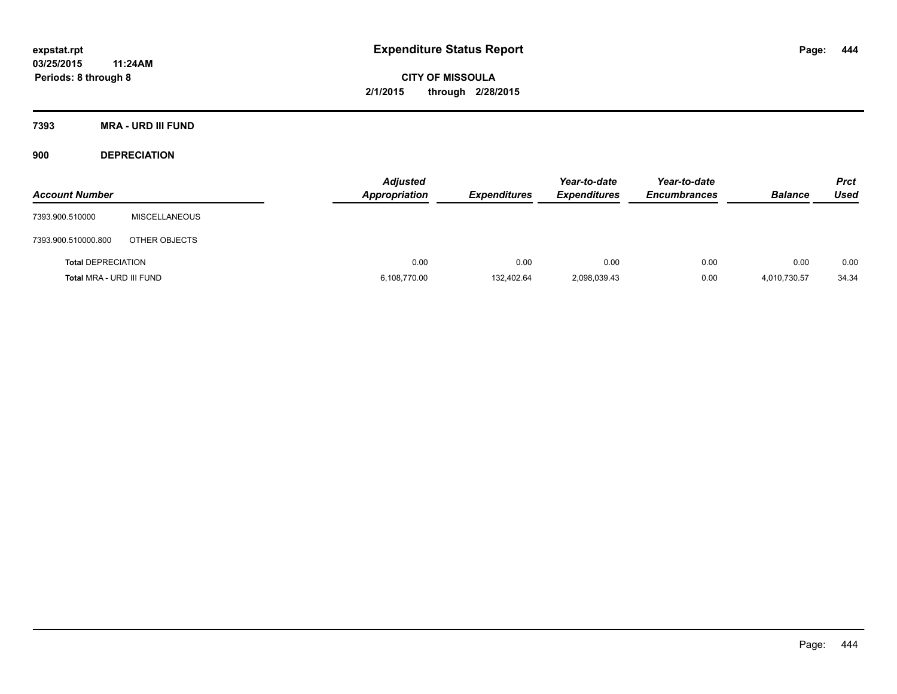**7393 MRA - URD III FUND**

**900 DEPRECIATION**

| <b>Account Number</b>     |                      | <b>Adjusted</b><br><b>Appropriation</b> | <b>Expenditures</b> | Year-to-date<br><b>Expenditures</b> | Year-to-date<br><b>Encumbrances</b> | <b>Balance</b> | <b>Prct</b><br><b>Used</b> |
|---------------------------|----------------------|-----------------------------------------|---------------------|-------------------------------------|-------------------------------------|----------------|----------------------------|
| 7393.900.510000           | <b>MISCELLANEOUS</b> |                                         |                     |                                     |                                     |                |                            |
| 7393.900.510000.800       | OTHER OBJECTS        |                                         |                     |                                     |                                     |                |                            |
| <b>Total DEPRECIATION</b> |                      | 0.00                                    | 0.00                | 0.00                                | 0.00                                | 0.00           | 0.00                       |
| Total MRA - URD III FUND  |                      | 6,108,770.00                            | 132,402.64          | 2,098,039.43                        | 0.00                                | 4,010,730.57   | 34.34                      |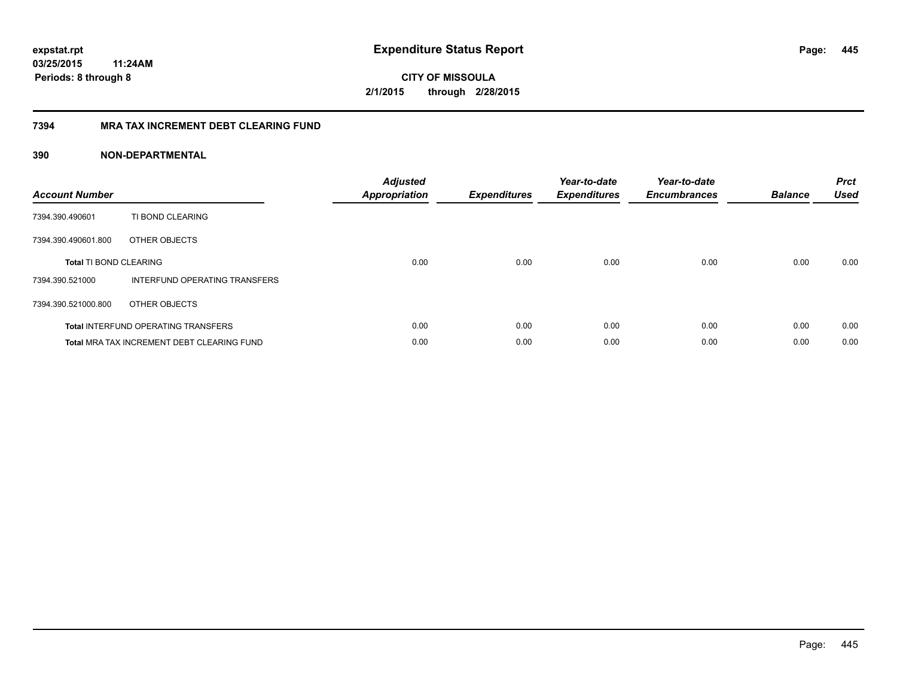**CITY OF MISSOULA 2/1/2015 through 2/28/2015**

#### **7394 MRA TAX INCREMENT DEBT CLEARING FUND**

| <b>Account Number</b>         |                                                   | <b>Adjusted</b><br><b>Appropriation</b> | <b>Expenditures</b> | Year-to-date<br><b>Expenditures</b> | Year-to-date<br><b>Encumbrances</b> | <b>Balance</b> | <b>Prct</b><br><b>Used</b> |
|-------------------------------|---------------------------------------------------|-----------------------------------------|---------------------|-------------------------------------|-------------------------------------|----------------|----------------------------|
| 7394.390.490601               | TI BOND CLEARING                                  |                                         |                     |                                     |                                     |                |                            |
| 7394.390.490601.800           | OTHER OBJECTS                                     |                                         |                     |                                     |                                     |                |                            |
| <b>Total TI BOND CLEARING</b> |                                                   | 0.00                                    | 0.00                | 0.00                                | 0.00                                | 0.00           | 0.00                       |
| 7394.390.521000               | INTERFUND OPERATING TRANSFERS                     |                                         |                     |                                     |                                     |                |                            |
| 7394.390.521000.800           | OTHER OBJECTS                                     |                                         |                     |                                     |                                     |                |                            |
|                               | <b>Total INTERFUND OPERATING TRANSFERS</b>        | 0.00                                    | 0.00                | 0.00                                | 0.00                                | 0.00           | 0.00                       |
|                               | <b>Total MRA TAX INCREMENT DEBT CLEARING FUND</b> | 0.00                                    | 0.00                | 0.00                                | 0.00                                | 0.00           | 0.00                       |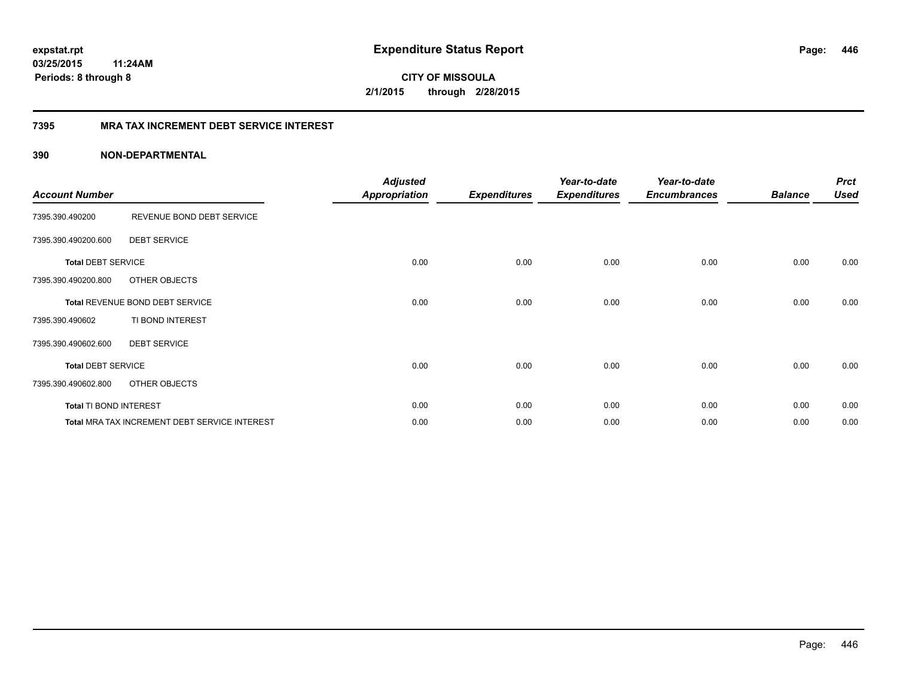**CITY OF MISSOULA 2/1/2015 through 2/28/2015**

#### **7395 MRA TAX INCREMENT DEBT SERVICE INTEREST**

| <b>Account Number</b>     |                                               | <b>Adjusted</b><br><b>Appropriation</b> | <b>Expenditures</b> | Year-to-date<br><b>Expenditures</b> | Year-to-date<br><b>Encumbrances</b> | <b>Balance</b> | <b>Prct</b><br><b>Used</b> |
|---------------------------|-----------------------------------------------|-----------------------------------------|---------------------|-------------------------------------|-------------------------------------|----------------|----------------------------|
| 7395.390.490200           | REVENUE BOND DEBT SERVICE                     |                                         |                     |                                     |                                     |                |                            |
| 7395.390.490200.600       | <b>DEBT SERVICE</b>                           |                                         |                     |                                     |                                     |                |                            |
| <b>Total DEBT SERVICE</b> |                                               | 0.00                                    | 0.00                | 0.00                                | 0.00                                | 0.00           | 0.00                       |
| 7395.390.490200.800       | OTHER OBJECTS                                 |                                         |                     |                                     |                                     |                |                            |
|                           | Total REVENUE BOND DEBT SERVICE               | 0.00                                    | 0.00                | 0.00                                | 0.00                                | 0.00           | 0.00                       |
| 7395.390.490602           | TI BOND INTEREST                              |                                         |                     |                                     |                                     |                |                            |
| 7395.390.490602.600       | <b>DEBT SERVICE</b>                           |                                         |                     |                                     |                                     |                |                            |
| <b>Total DEBT SERVICE</b> |                                               | 0.00                                    | 0.00                | 0.00                                | 0.00                                | 0.00           | 0.00                       |
| 7395.390.490602.800       | OTHER OBJECTS                                 |                                         |                     |                                     |                                     |                |                            |
| Total TI BOND INTEREST    |                                               | 0.00                                    | 0.00                | 0.00                                | 0.00                                | 0.00           | 0.00                       |
|                           | Total MRA TAX INCREMENT DEBT SERVICE INTEREST | 0.00                                    | 0.00                | 0.00                                | 0.00                                | 0.00           | 0.00                       |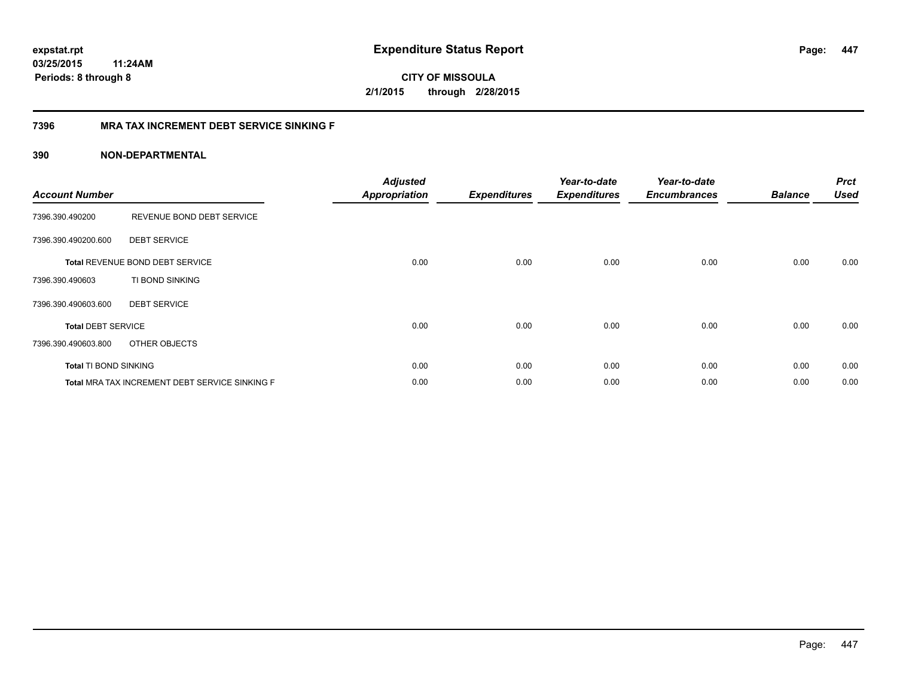**CITY OF MISSOULA 2/1/2015 through 2/28/2015**

#### **7396 MRA TAX INCREMENT DEBT SERVICE SINKING F**

| <b>Account Number</b>     |                                                | <b>Adjusted</b><br><b>Appropriation</b> | <b>Expenditures</b> | Year-to-date<br><b>Expenditures</b> | Year-to-date<br><b>Encumbrances</b> | <b>Balance</b> | <b>Prct</b><br><b>Used</b> |
|---------------------------|------------------------------------------------|-----------------------------------------|---------------------|-------------------------------------|-------------------------------------|----------------|----------------------------|
| 7396.390.490200           | REVENUE BOND DEBT SERVICE                      |                                         |                     |                                     |                                     |                |                            |
| 7396.390.490200.600       | <b>DEBT SERVICE</b>                            |                                         |                     |                                     |                                     |                |                            |
|                           | <b>Total REVENUE BOND DEBT SERVICE</b>         | 0.00                                    | 0.00                | 0.00                                | 0.00                                | 0.00           | 0.00                       |
| 7396.390.490603           | TI BOND SINKING                                |                                         |                     |                                     |                                     |                |                            |
| 7396.390.490603.600       | <b>DEBT SERVICE</b>                            |                                         |                     |                                     |                                     |                |                            |
| <b>Total DEBT SERVICE</b> |                                                | 0.00                                    | 0.00                | 0.00                                | 0.00                                | 0.00           | 0.00                       |
| 7396.390.490603.800       | OTHER OBJECTS                                  |                                         |                     |                                     |                                     |                |                            |
| Total TI BOND SINKING     |                                                | 0.00                                    | 0.00                | 0.00                                | 0.00                                | 0.00           | 0.00                       |
|                           | Total MRA TAX INCREMENT DEBT SERVICE SINKING F | 0.00                                    | 0.00                | 0.00                                | 0.00                                | 0.00           | 0.00                       |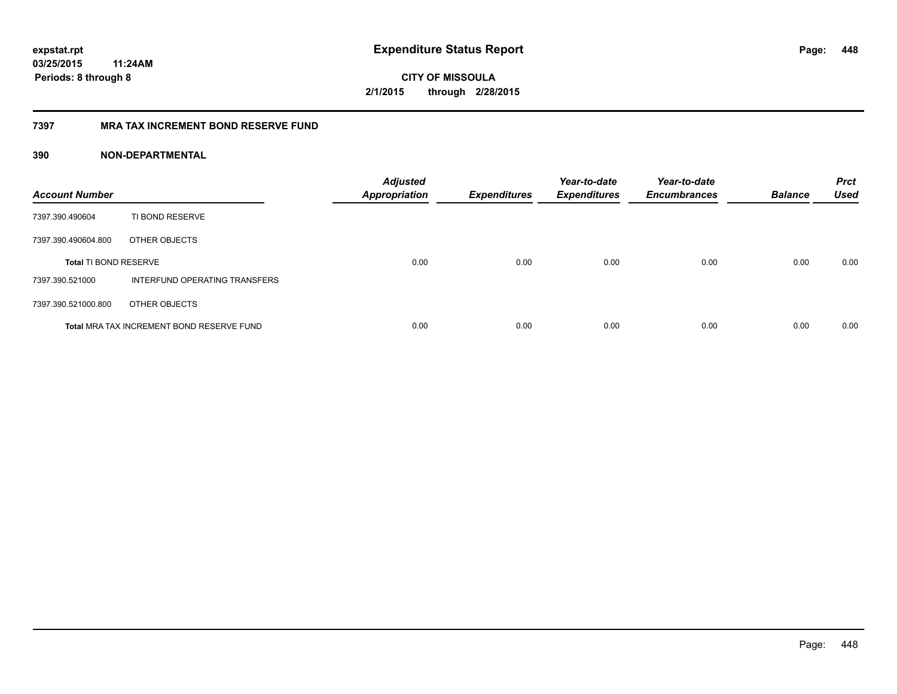**CITY OF MISSOULA 2/1/2015 through 2/28/2015**

#### **7397 MRA TAX INCREMENT BOND RESERVE FUND**

| <b>Account Number</b>        |                                           | <b>Adjusted</b><br><b>Appropriation</b> | <b>Expenditures</b> | Year-to-date<br><b>Expenditures</b> | Year-to-date<br><b>Encumbrances</b> | <b>Balance</b> | <b>Prct</b><br><b>Used</b> |
|------------------------------|-------------------------------------------|-----------------------------------------|---------------------|-------------------------------------|-------------------------------------|----------------|----------------------------|
| 7397.390.490604              | TI BOND RESERVE                           |                                         |                     |                                     |                                     |                |                            |
| 7397.390.490604.800          | OTHER OBJECTS                             |                                         |                     |                                     |                                     |                |                            |
| <b>Total TI BOND RESERVE</b> |                                           | 0.00                                    | 0.00                | 0.00                                | 0.00                                | 0.00           | 0.00                       |
| 7397.390.521000              | INTERFUND OPERATING TRANSFERS             |                                         |                     |                                     |                                     |                |                            |
| 7397.390.521000.800          | OTHER OBJECTS                             |                                         |                     |                                     |                                     |                |                            |
|                              | Total MRA TAX INCREMENT BOND RESERVE FUND | 0.00                                    | 0.00                | 0.00                                | 0.00                                | 0.00           | 0.00                       |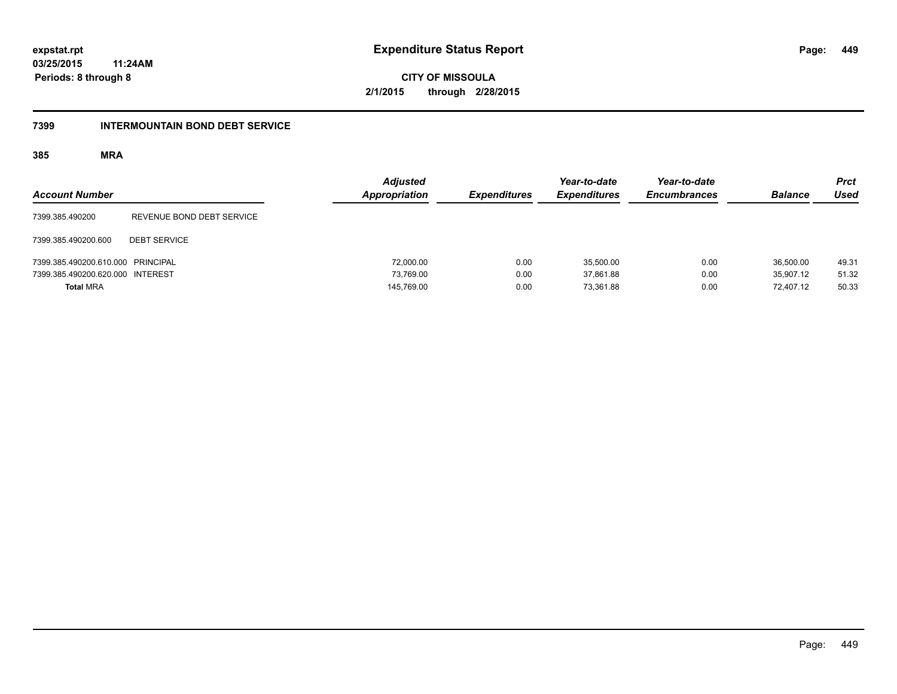**449**

**03/25/2015 11:24AM Periods: 8 through 8**

**CITY OF MISSOULA 2/1/2015 through 2/28/2015**

#### **7399 INTERMOUNTAIN BOND DEBT SERVICE**

| <b>Account Number</b>             |                           | <b>Adjusted</b><br>Appropriation | <b>Expenditures</b> | Year-to-date<br><b>Expenditures</b> | Year-to-date<br><b>Encumbrances</b> | <b>Balance</b> | <b>Prct</b><br><b>Used</b> |
|-----------------------------------|---------------------------|----------------------------------|---------------------|-------------------------------------|-------------------------------------|----------------|----------------------------|
| 7399.385.490200                   | REVENUE BOND DEBT SERVICE |                                  |                     |                                     |                                     |                |                            |
| 7399.385.490200.600               | <b>DEBT SERVICE</b>       |                                  |                     |                                     |                                     |                |                            |
| 7399.385.490200.610.000 PRINCIPAL |                           | 72,000.00                        | 0.00                | 35,500.00                           | 0.00                                | 36.500.00      | 49.31                      |
| 7399.385.490200.620.000 INTEREST  |                           | 73.769.00                        | 0.00                | 37.861.88                           | 0.00                                | 35.907.12      | 51.32                      |
| <b>Total MRA</b>                  |                           | 145,769.00                       | 0.00                | 73.361.88                           | 0.00                                | 72.407.12      | 50.33                      |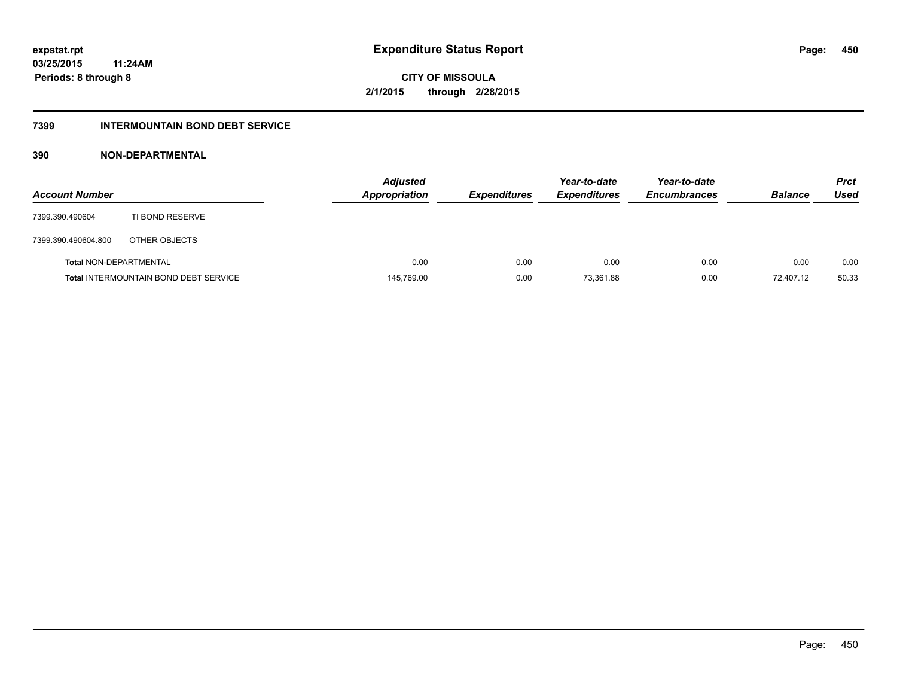# **CITY OF MISSOULA 2/1/2015 through 2/28/2015**

#### **7399 INTERMOUNTAIN BOND DEBT SERVICE**

| <b>Account Number</b>         |                                              | <b>Adjusted</b><br><b>Appropriation</b> | <b>Expenditures</b> | Year-to-date<br><b>Expenditures</b> | Year-to-date<br><b>Encumbrances</b> | <b>Balance</b> | <b>Prct</b><br>Used |
|-------------------------------|----------------------------------------------|-----------------------------------------|---------------------|-------------------------------------|-------------------------------------|----------------|---------------------|
| 7399.390.490604               | TI BOND RESERVE                              |                                         |                     |                                     |                                     |                |                     |
| 7399.390.490604.800           | OTHER OBJECTS                                |                                         |                     |                                     |                                     |                |                     |
| <b>Total NON-DEPARTMENTAL</b> |                                              | 0.00                                    | 0.00                | 0.00                                | 0.00                                | 0.00           | 0.00                |
|                               | <b>Total INTERMOUNTAIN BOND DEBT SERVICE</b> | 145,769.00                              | 0.00                | 73.361.88                           | 0.00                                | 72.407.12      | 50.33               |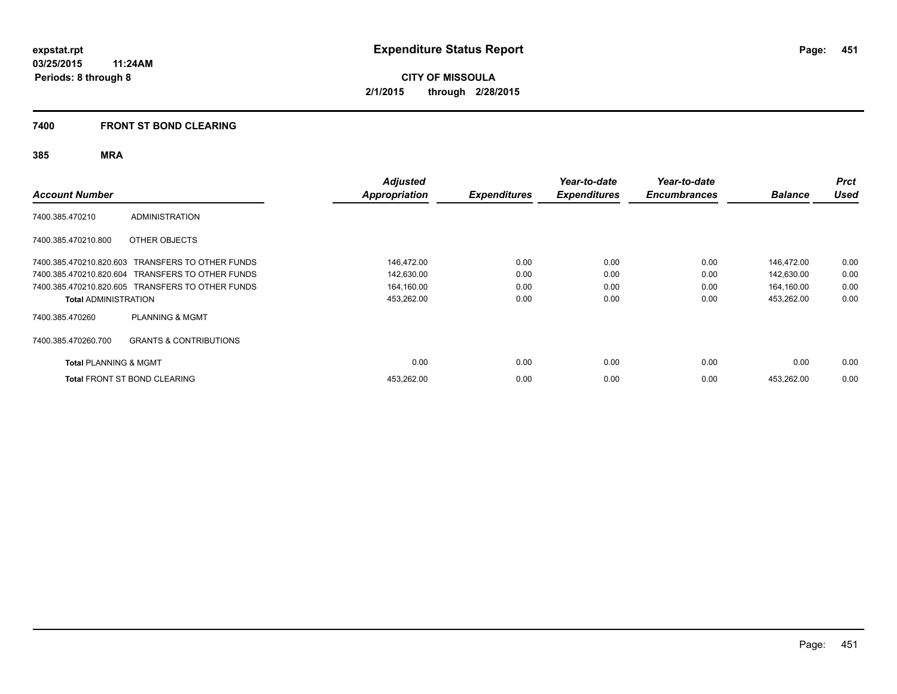#### **7400 FRONT ST BOND CLEARING**

| <b>Account Number</b>            |                                                  | <b>Adjusted</b><br>Appropriation | <b>Expenditures</b> | Year-to-date<br><b>Expenditures</b> | Year-to-date<br><b>Encumbrances</b> | <b>Balance</b> | <b>Prct</b><br><b>Used</b> |
|----------------------------------|--------------------------------------------------|----------------------------------|---------------------|-------------------------------------|-------------------------------------|----------------|----------------------------|
| 7400.385.470210                  | <b>ADMINISTRATION</b>                            |                                  |                     |                                     |                                     |                |                            |
| 7400.385.470210.800              | OTHER OBJECTS                                    |                                  |                     |                                     |                                     |                |                            |
|                                  | 7400.385.470210.820.603 TRANSFERS TO OTHER FUNDS | 146,472.00                       | 0.00                | 0.00                                | 0.00                                | 146.472.00     | 0.00                       |
|                                  | 7400.385.470210.820.604 TRANSFERS TO OTHER FUNDS | 142,630.00                       | 0.00                | 0.00                                | 0.00                                | 142,630.00     | 0.00                       |
|                                  | 7400.385.470210.820.605 TRANSFERS TO OTHER FUNDS | 164,160.00                       | 0.00                | 0.00                                | 0.00                                | 164,160.00     | 0.00                       |
| <b>Total ADMINISTRATION</b>      |                                                  | 453,262.00                       | 0.00                | 0.00                                | 0.00                                | 453,262.00     | 0.00                       |
| 7400.385.470260                  | <b>PLANNING &amp; MGMT</b>                       |                                  |                     |                                     |                                     |                |                            |
| 7400.385.470260.700              | <b>GRANTS &amp; CONTRIBUTIONS</b>                |                                  |                     |                                     |                                     |                |                            |
| <b>Total PLANNING &amp; MGMT</b> |                                                  | 0.00                             | 0.00                | 0.00                                | 0.00                                | 0.00           | 0.00                       |
|                                  | <b>Total FRONT ST BOND CLEARING</b>              | 453,262.00                       | 0.00                | 0.00                                | 0.00                                | 453.262.00     | 0.00                       |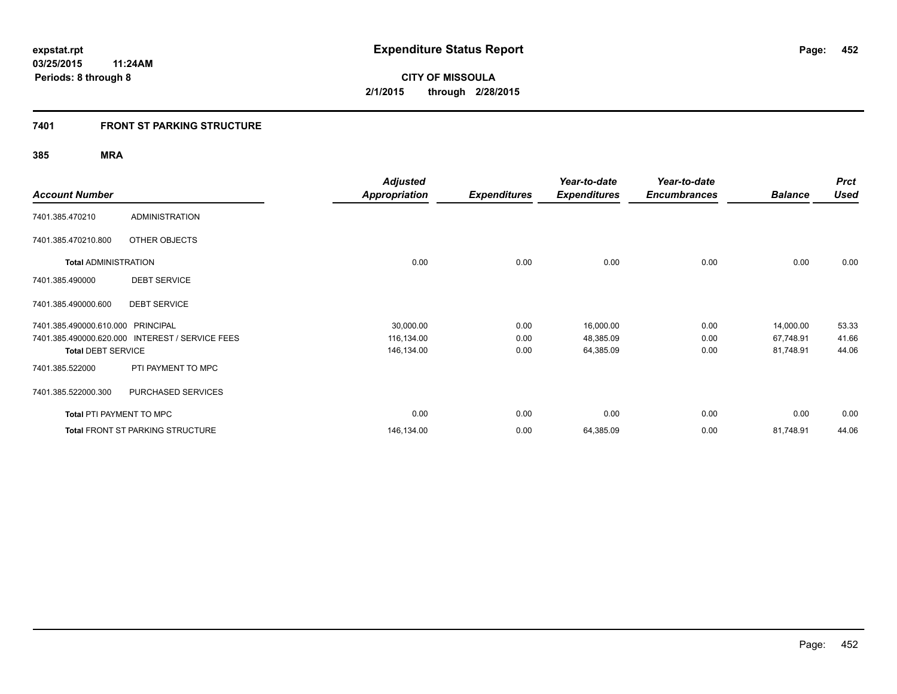#### **7401 FRONT ST PARKING STRUCTURE**

| <b>Account Number</b>             |                                                 | <b>Adjusted</b><br><b>Appropriation</b> | <b>Expenditures</b> | Year-to-date<br><b>Expenditures</b> | Year-to-date<br><b>Encumbrances</b> | <b>Balance</b> | <b>Prct</b><br>Used |
|-----------------------------------|-------------------------------------------------|-----------------------------------------|---------------------|-------------------------------------|-------------------------------------|----------------|---------------------|
| 7401.385.470210                   | <b>ADMINISTRATION</b>                           |                                         |                     |                                     |                                     |                |                     |
| 7401.385.470210.800               | OTHER OBJECTS                                   |                                         |                     |                                     |                                     |                |                     |
| <b>Total ADMINISTRATION</b>       |                                                 | 0.00                                    | 0.00                | 0.00                                | 0.00                                | 0.00           | 0.00                |
| 7401.385.490000                   | <b>DEBT SERVICE</b>                             |                                         |                     |                                     |                                     |                |                     |
| 7401.385.490000.600               | <b>DEBT SERVICE</b>                             |                                         |                     |                                     |                                     |                |                     |
| 7401.385.490000.610.000 PRINCIPAL |                                                 | 30,000.00                               | 0.00                | 16,000.00                           | 0.00                                | 14,000.00      | 53.33               |
|                                   | 7401.385.490000.620.000 INTEREST / SERVICE FEES | 116,134.00                              | 0.00                | 48,385.09                           | 0.00                                | 67,748.91      | 41.66               |
| <b>Total DEBT SERVICE</b>         |                                                 | 146,134.00                              | 0.00                | 64,385.09                           | 0.00                                | 81,748.91      | 44.06               |
| 7401.385.522000                   | PTI PAYMENT TO MPC                              |                                         |                     |                                     |                                     |                |                     |
| 7401.385.522000.300               | PURCHASED SERVICES                              |                                         |                     |                                     |                                     |                |                     |
| Total PTI PAYMENT TO MPC          |                                                 | 0.00                                    | 0.00                | 0.00                                | 0.00                                | 0.00           | 0.00                |
|                                   | <b>Total FRONT ST PARKING STRUCTURE</b>         | 146,134.00                              | 0.00                | 64,385.09                           | 0.00                                | 81,748.91      | 44.06               |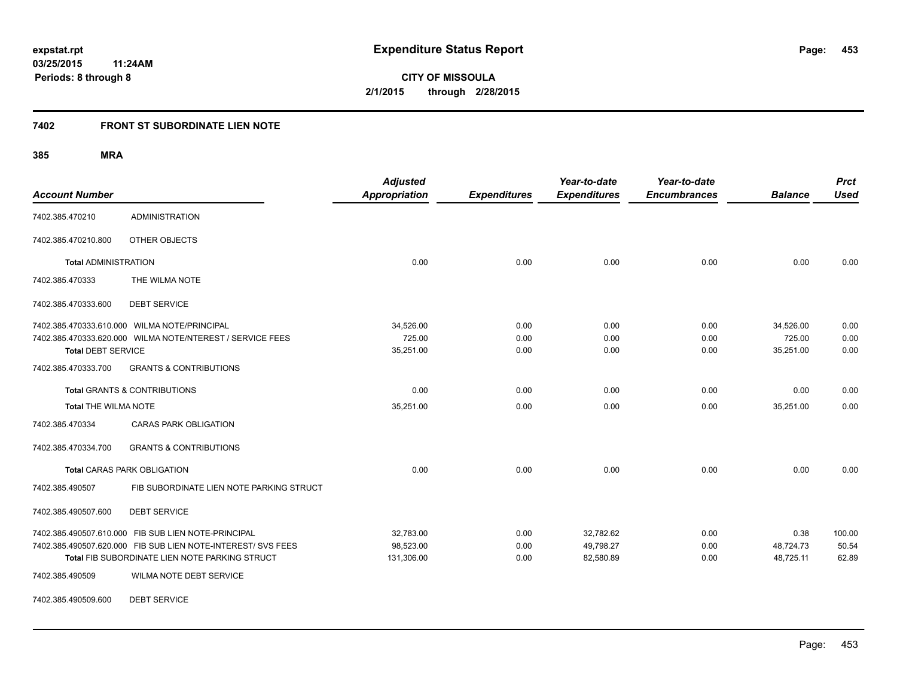#### **7402 FRONT ST SUBORDINATE LIEN NOTE**

**385 MRA**

| <b>Account Number</b>       |                                                              | <b>Adjusted</b><br><b>Appropriation</b> | <b>Expenditures</b> | Year-to-date<br><b>Expenditures</b> | Year-to-date<br><b>Encumbrances</b> | <b>Balance</b> | <b>Prct</b><br><b>Used</b> |
|-----------------------------|--------------------------------------------------------------|-----------------------------------------|---------------------|-------------------------------------|-------------------------------------|----------------|----------------------------|
| 7402.385.470210             | <b>ADMINISTRATION</b>                                        |                                         |                     |                                     |                                     |                |                            |
| 7402.385.470210.800         | OTHER OBJECTS                                                |                                         |                     |                                     |                                     |                |                            |
| <b>Total ADMINISTRATION</b> |                                                              | 0.00                                    | 0.00                | 0.00                                | 0.00                                | 0.00           | 0.00                       |
| 7402.385.470333             | THE WILMA NOTE                                               |                                         |                     |                                     |                                     |                |                            |
| 7402.385.470333.600         | <b>DEBT SERVICE</b>                                          |                                         |                     |                                     |                                     |                |                            |
|                             | 7402.385.470333.610.000 WILMA NOTE/PRINCIPAL                 | 34,526.00                               | 0.00                | 0.00                                | 0.00                                | 34,526.00      | 0.00                       |
|                             | 7402.385.470333.620.000 WILMA NOTE/NTEREST / SERVICE FEES    | 725.00                                  | 0.00                | 0.00                                | 0.00                                | 725.00         | 0.00                       |
| <b>Total DEBT SERVICE</b>   |                                                              | 35,251.00                               | 0.00                | 0.00                                | 0.00                                | 35,251.00      | 0.00                       |
| 7402.385.470333.700         | <b>GRANTS &amp; CONTRIBUTIONS</b>                            |                                         |                     |                                     |                                     |                |                            |
|                             | <b>Total GRANTS &amp; CONTRIBUTIONS</b>                      | 0.00                                    | 0.00                | 0.00                                | 0.00                                | 0.00           | 0.00                       |
| <b>Total THE WILMA NOTE</b> |                                                              | 35,251.00                               | 0.00                | 0.00                                | 0.00                                | 35,251.00      | 0.00                       |
| 7402.385.470334             | <b>CARAS PARK OBLIGATION</b>                                 |                                         |                     |                                     |                                     |                |                            |
| 7402.385.470334.700         | <b>GRANTS &amp; CONTRIBUTIONS</b>                            |                                         |                     |                                     |                                     |                |                            |
|                             | <b>Total CARAS PARK OBLIGATION</b>                           | 0.00                                    | 0.00                | 0.00                                | 0.00                                | 0.00           | 0.00                       |
| 7402.385.490507             | FIB SUBORDINATE LIEN NOTE PARKING STRUCT                     |                                         |                     |                                     |                                     |                |                            |
| 7402.385.490507.600         | <b>DEBT SERVICE</b>                                          |                                         |                     |                                     |                                     |                |                            |
|                             | 7402.385.490507.610.000 FIB SUB LIEN NOTE-PRINCIPAL          | 32,783.00                               | 0.00                | 32,782.62                           | 0.00                                | 0.38           | 100.00                     |
|                             | 7402.385.490507.620.000 FIB SUB LIEN NOTE-INTEREST/ SVS FEES | 98,523.00                               | 0.00                | 49,798.27                           | 0.00                                | 48,724.73      | 50.54                      |
|                             | Total FIB SUBORDINATE LIEN NOTE PARKING STRUCT               | 131,306.00                              | 0.00                | 82,580.89                           | 0.00                                | 48,725.11      | 62.89                      |
| 7402.385.490509             | WILMA NOTE DEBT SERVICE                                      |                                         |                     |                                     |                                     |                |                            |

7402.385.490509.600 DEBT SERVICE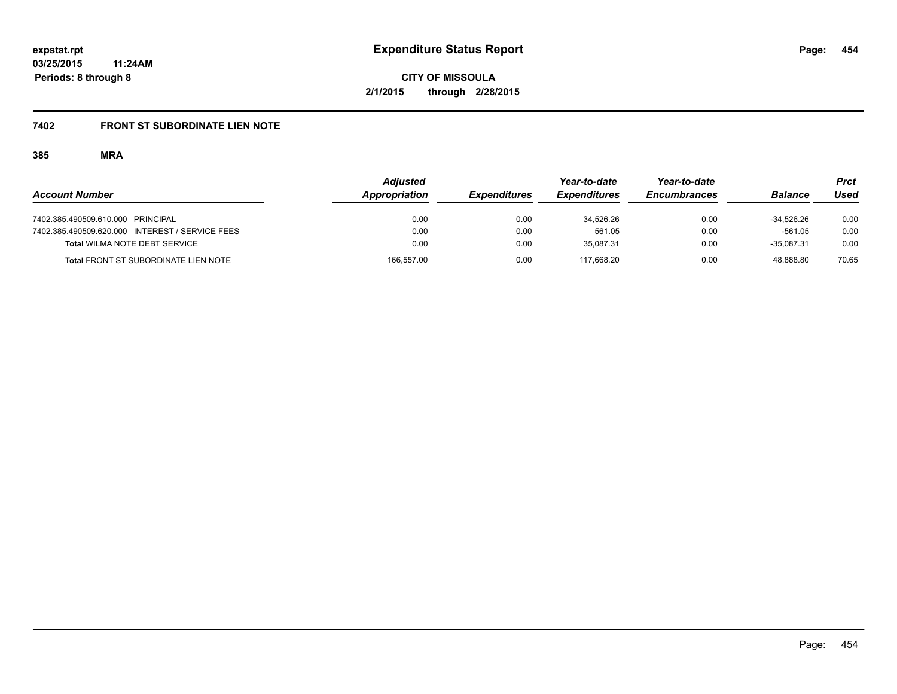# **7402 FRONT ST SUBORDINATE LIEN NOTE**

|                                                 | <b>Adjusted</b> |                     | Year-to-date        | Year-to-date        |                | Prct  |
|-------------------------------------------------|-----------------|---------------------|---------------------|---------------------|----------------|-------|
| <b>Account Number</b>                           | Appropriation   | <b>Expenditures</b> | <b>Expenditures</b> | <b>Encumbrances</b> | <b>Balance</b> | Used  |
| 7402.385.490509.610.000 PRINCIPAL               | 0.00            | 0.00                | 34.526.26           | 0.00                | $-34.526.26$   | 0.00  |
| 7402.385.490509.620.000 INTEREST / SERVICE FEES | 0.00            | 0.00                | 561.05              | 0.00                | $-561.05$      | 0.00  |
| <b>Total WILMA NOTE DEBT SERVICE</b>            | 0.00            | 0.00                | 35.087.31           | 0.00                | $-35.087.31$   | 0.00  |
| <b>Total FRONT ST SUBORDINATE LIEN NOTE</b>     | 166,557.00      | 0.00                | 117.668.20          | 0.00                | 48.888.80      | 70.65 |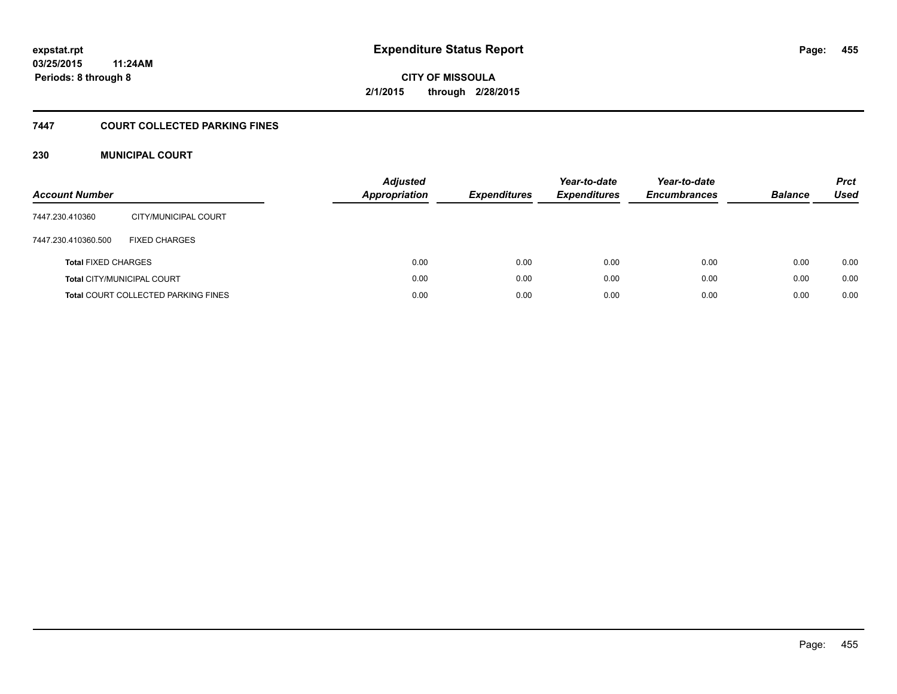# **CITY OF MISSOULA 2/1/2015 through 2/28/2015**

#### **7447 COURT COLLECTED PARKING FINES**

#### **230 MUNICIPAL COURT**

| <b>Account Number</b>      |                                            | <b>Adjusted</b><br><b>Appropriation</b> | <b>Expenditures</b> | Year-to-date<br><b>Expenditures</b> | Year-to-date<br><b>Encumbrances</b> | <b>Balance</b> | <b>Prct</b><br>Used |
|----------------------------|--------------------------------------------|-----------------------------------------|---------------------|-------------------------------------|-------------------------------------|----------------|---------------------|
| 7447.230.410360            | CITY/MUNICIPAL COURT                       |                                         |                     |                                     |                                     |                |                     |
| 7447.230.410360.500        | <b>FIXED CHARGES</b>                       |                                         |                     |                                     |                                     |                |                     |
| <b>Total FIXED CHARGES</b> |                                            | 0.00                                    | 0.00                | 0.00                                | 0.00                                | 0.00           | 0.00                |
|                            | <b>Total CITY/MUNICIPAL COURT</b>          | 0.00                                    | 0.00                | 0.00                                | 0.00                                | 0.00           | 0.00                |
|                            | <b>Total COURT COLLECTED PARKING FINES</b> | 0.00                                    | 0.00                | 0.00                                | 0.00                                | 0.00           | 0.00                |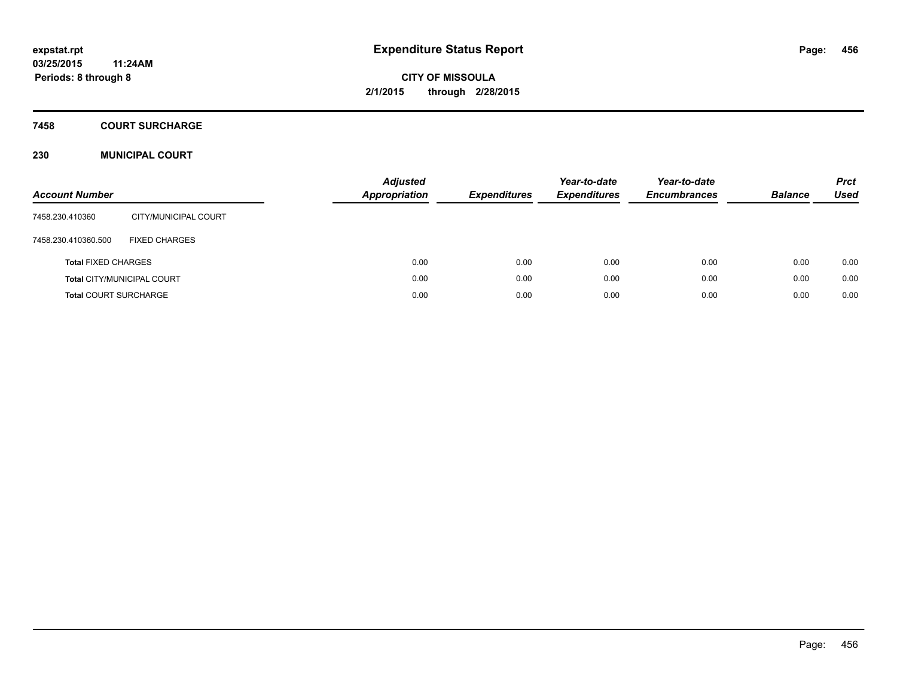## **7458 COURT SURCHARGE**

#### **230 MUNICIPAL COURT**

| <b>Account Number</b>        |                                   | Adjusted<br><b>Appropriation</b> | <b>Expenditures</b> | Year-to-date<br><b>Expenditures</b> | Year-to-date<br><b>Encumbrances</b> | <b>Balance</b> | <b>Prct</b><br>Used |
|------------------------------|-----------------------------------|----------------------------------|---------------------|-------------------------------------|-------------------------------------|----------------|---------------------|
| 7458.230.410360              | CITY/MUNICIPAL COURT              |                                  |                     |                                     |                                     |                |                     |
| 7458.230.410360.500          | <b>FIXED CHARGES</b>              |                                  |                     |                                     |                                     |                |                     |
| <b>Total FIXED CHARGES</b>   |                                   | 0.00                             | 0.00                | 0.00                                | 0.00                                | 0.00           | 0.00                |
|                              | <b>Total CITY/MUNICIPAL COURT</b> | 0.00                             | 0.00                | 0.00                                | 0.00                                | 0.00           | 0.00                |
| <b>Total COURT SURCHARGE</b> |                                   | 0.00                             | 0.00                | 0.00                                | 0.00                                | 0.00           | 0.00                |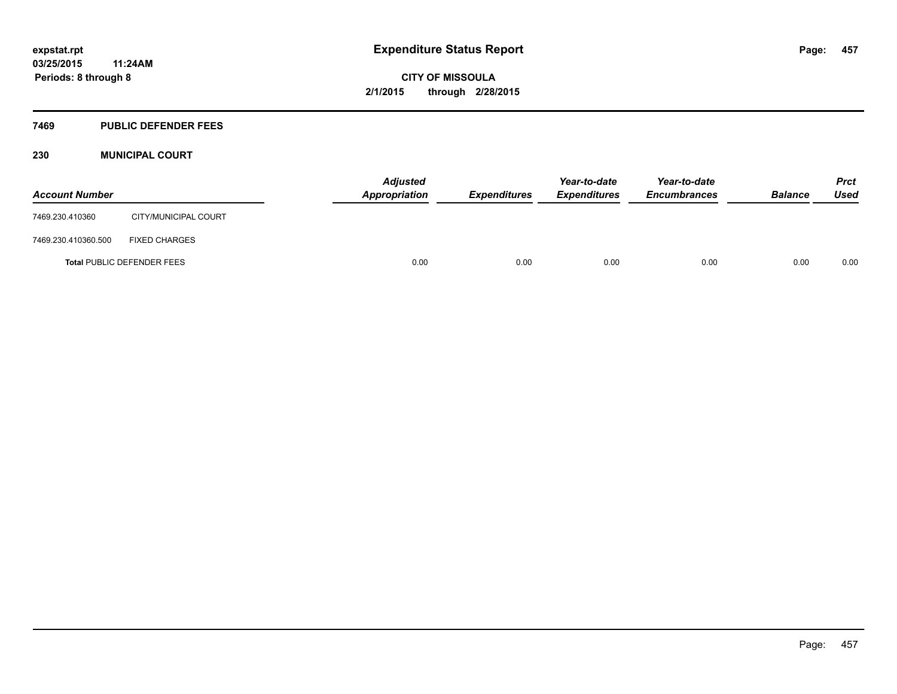#### **7469 PUBLIC DEFENDER FEES**

#### **230 MUNICIPAL COURT**

| <b>Account Number</b>             |                      | <b>Adjusted</b><br>Appropriation | <b>Expenditures</b> | Year-to-date<br><b>Expenditures</b> | Year-to-date<br><b>Encumbrances</b> | <b>Balance</b> | <b>Prct</b><br><b>Used</b> |
|-----------------------------------|----------------------|----------------------------------|---------------------|-------------------------------------|-------------------------------------|----------------|----------------------------|
| 7469.230.410360                   | CITY/MUNICIPAL COURT |                                  |                     |                                     |                                     |                |                            |
| 7469.230.410360.500               | <b>FIXED CHARGES</b> |                                  |                     |                                     |                                     |                |                            |
| <b>Total PUBLIC DEFENDER FEES</b> |                      | 0.00                             | 0.00                | 0.00                                | 0.00                                | 0.00           | 0.00                       |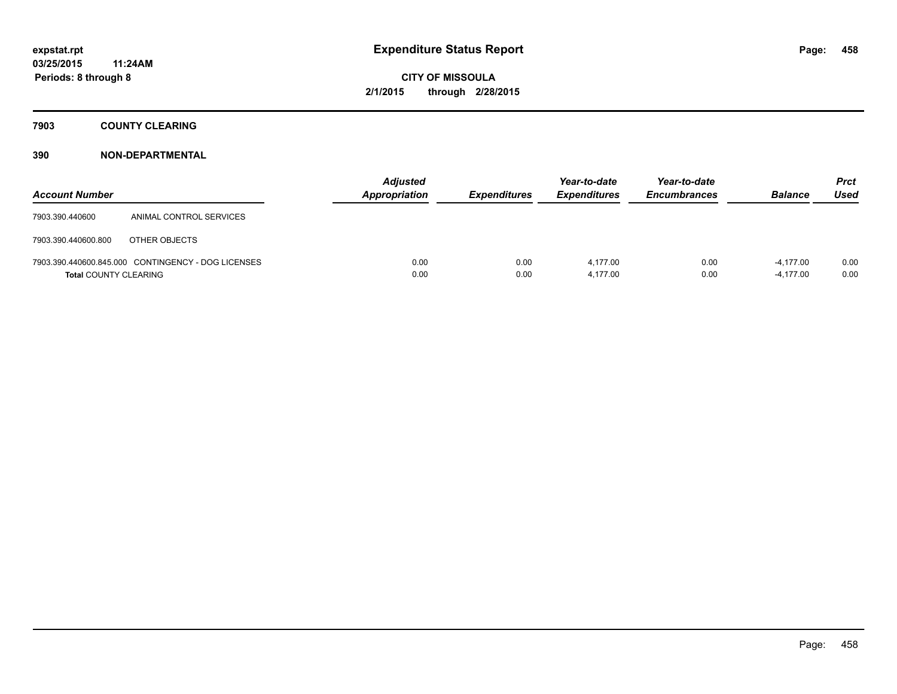**7903 COUNTY CLEARING**

| <b>Account Number</b>        |                                                    | <b>Adjusted</b><br><b>Appropriation</b> | <b>Expenditures</b> | Year-to-date<br><b>Expenditures</b> | Year-to-date<br><b>Encumbrances</b> | <b>Balance</b>             | Prct<br><b>Used</b> |
|------------------------------|----------------------------------------------------|-----------------------------------------|---------------------|-------------------------------------|-------------------------------------|----------------------------|---------------------|
| 7903.390.440600              | ANIMAL CONTROL SERVICES                            |                                         |                     |                                     |                                     |                            |                     |
| 7903.390.440600.800          | OTHER OBJECTS                                      |                                         |                     |                                     |                                     |                            |                     |
| <b>Total COUNTY CLEARING</b> | 7903.390.440600.845.000 CONTINGENCY - DOG LICENSES | 0.00<br>0.00                            | 0.00<br>0.00        | 4.177.00<br>4.177.00                | 0.00<br>0.00                        | $-4.177.00$<br>$-4,177.00$ | 0.00<br>0.00        |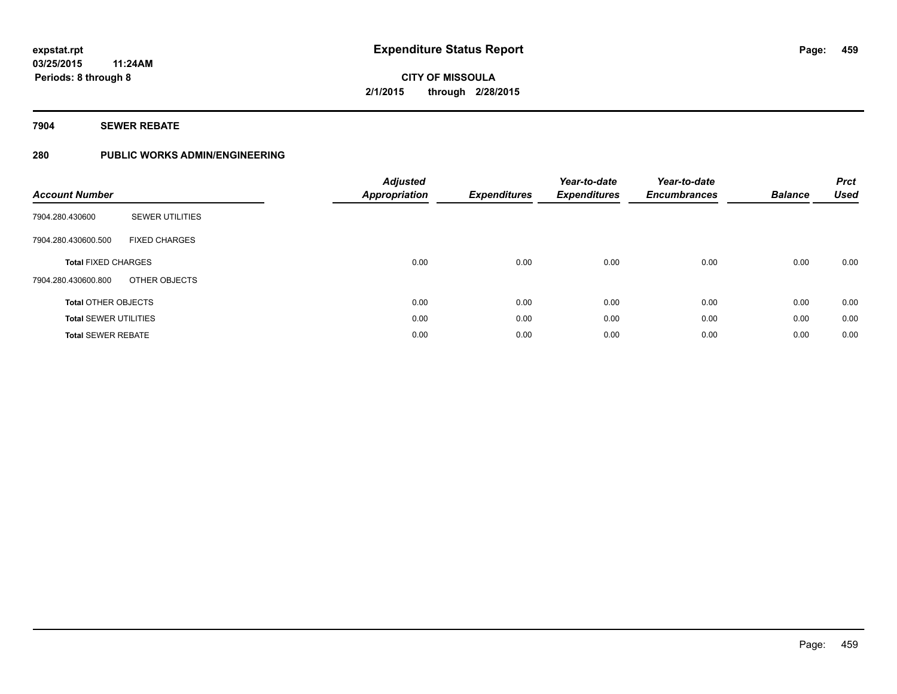#### **7904 SEWER REBATE**

#### **280 PUBLIC WORKS ADMIN/ENGINEERING**

| <b>Account Number</b>        |                        | <b>Adjusted</b><br><b>Appropriation</b> | <b>Expenditures</b> | Year-to-date<br><b>Expenditures</b> | Year-to-date<br><b>Encumbrances</b> | <b>Balance</b> | <b>Prct</b><br><b>Used</b> |
|------------------------------|------------------------|-----------------------------------------|---------------------|-------------------------------------|-------------------------------------|----------------|----------------------------|
| 7904.280.430600              | <b>SEWER UTILITIES</b> |                                         |                     |                                     |                                     |                |                            |
| 7904.280.430600.500          | <b>FIXED CHARGES</b>   |                                         |                     |                                     |                                     |                |                            |
| <b>Total FIXED CHARGES</b>   |                        | 0.00                                    | 0.00                | 0.00                                | 0.00                                | 0.00           | 0.00                       |
| 7904.280.430600.800          | OTHER OBJECTS          |                                         |                     |                                     |                                     |                |                            |
| <b>Total OTHER OBJECTS</b>   |                        | 0.00                                    | 0.00                | 0.00                                | 0.00                                | 0.00           | 0.00                       |
| <b>Total SEWER UTILITIES</b> |                        | 0.00                                    | 0.00                | 0.00                                | 0.00                                | 0.00           | 0.00                       |
| <b>Total SEWER REBATE</b>    |                        | 0.00                                    | 0.00                | 0.00                                | 0.00                                | 0.00           | 0.00                       |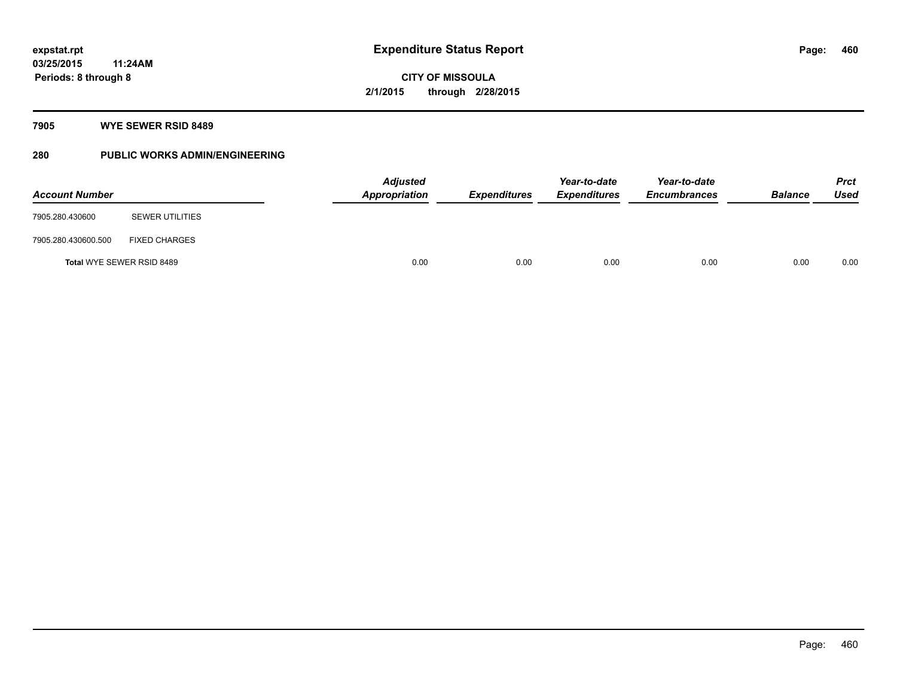#### **7905 WYE SEWER RSID 8489**

### **280 PUBLIC WORKS ADMIN/ENGINEERING**

| <b>Account Number</b>     |                        | <b>Adjusted</b><br><b>Appropriation</b> | <b>Expenditures</b> | Year-to-date<br><b>Expenditures</b> | Year-to-date<br><b>Encumbrances</b> | <b>Balance</b> | <b>Prct</b><br><b>Used</b> |
|---------------------------|------------------------|-----------------------------------------|---------------------|-------------------------------------|-------------------------------------|----------------|----------------------------|
| 7905.280.430600           | <b>SEWER UTILITIES</b> |                                         |                     |                                     |                                     |                |                            |
| 7905.280.430600.500       | <b>FIXED CHARGES</b>   |                                         |                     |                                     |                                     |                |                            |
| Total WYE SEWER RSID 8489 |                        | 0.00                                    | 0.00                | 0.00                                | 0.00                                | 0.00           | 0.00                       |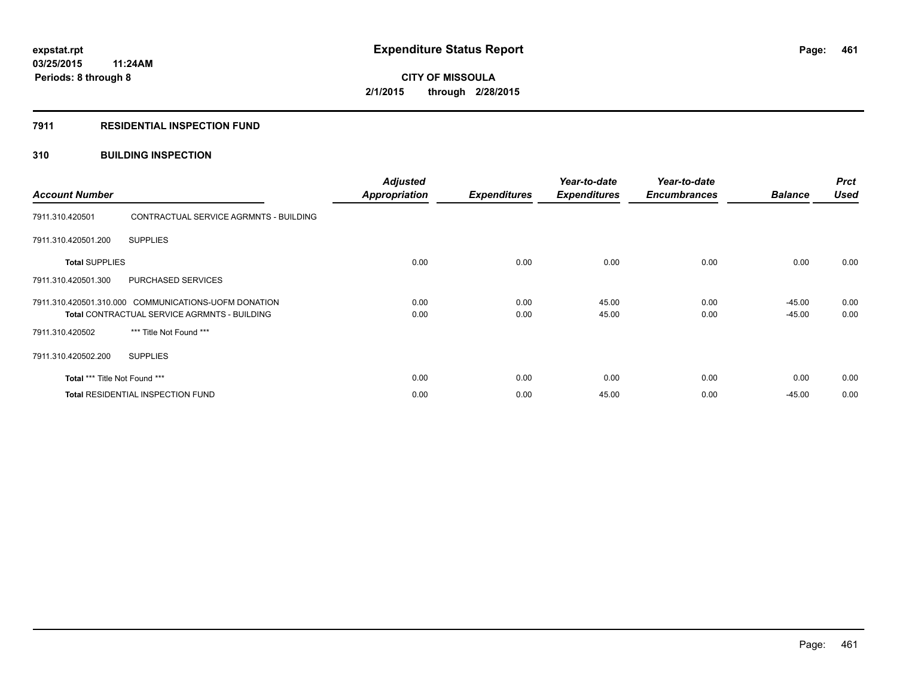#### **7911 RESIDENTIAL INSPECTION FUND**

#### **310 BUILDING INSPECTION**

| <b>Account Number</b>                                                                                       |                                          | <b>Adjusted</b><br><b>Appropriation</b> | <b>Expenditures</b> | Year-to-date<br><b>Expenditures</b> | Year-to-date<br><b>Encumbrances</b> | <b>Balance</b>       | <b>Prct</b><br><b>Used</b> |
|-------------------------------------------------------------------------------------------------------------|------------------------------------------|-----------------------------------------|---------------------|-------------------------------------|-------------------------------------|----------------------|----------------------------|
| 7911.310.420501                                                                                             | CONTRACTUAL SERVICE AGRMNTS - BUILDING   |                                         |                     |                                     |                                     |                      |                            |
| 7911.310.420501.200                                                                                         | <b>SUPPLIES</b>                          |                                         |                     |                                     |                                     |                      |                            |
| <b>Total SUPPLIES</b>                                                                                       |                                          | 0.00                                    | 0.00                | 0.00                                | 0.00                                | 0.00                 | 0.00                       |
| 7911.310.420501.300                                                                                         | PURCHASED SERVICES                       |                                         |                     |                                     |                                     |                      |                            |
| 7911.310.420501.310.000 COMMUNICATIONS-UOFM DONATION<br><b>Total CONTRACTUAL SERVICE AGRMNTS - BUILDING</b> |                                          | 0.00<br>0.00                            | 0.00<br>0.00        | 45.00<br>45.00                      | 0.00<br>0.00                        | $-45.00$<br>$-45.00$ | 0.00<br>0.00               |
| 7911.310.420502                                                                                             | *** Title Not Found ***                  |                                         |                     |                                     |                                     |                      |                            |
| 7911.310.420502.200                                                                                         | <b>SUPPLIES</b>                          |                                         |                     |                                     |                                     |                      |                            |
| Total *** Title Not Found ***                                                                               |                                          | 0.00                                    | 0.00                | 0.00                                | 0.00                                | 0.00                 | 0.00                       |
|                                                                                                             | <b>Total RESIDENTIAL INSPECTION FUND</b> | 0.00                                    | 0.00                | 45.00                               | 0.00                                | $-45.00$             | 0.00                       |